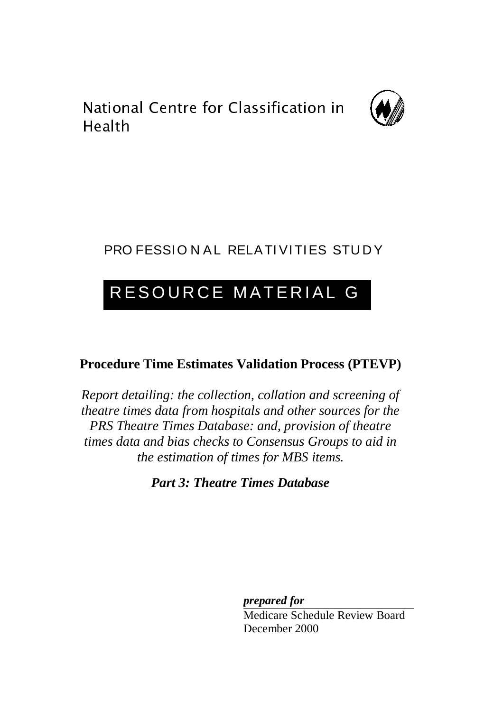----------<br>Health  - in T ina.<br>K



## PRO FESSION AL RELATIVITIES STUDY

# RESOURCE MATERIAL G

### **Procedure Time Estimates Validation Process (PTEVP)**

*Report detailing: the collection, collation and screening of theatre times data from hospitals and other sources for the PRS Theatre Times Database: and, provision of theatre times data and bias checks to Consensus Groups to aid in the estimation of times for MBS items.*

*Part 3: Theatre Times Database*

*prepared for*

Medicare Schedule Review Board December 2000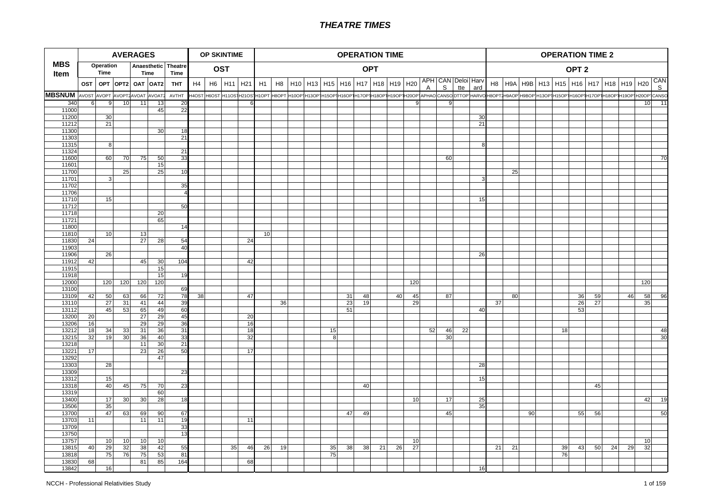|                                             |            |                          |                 | <b>AVERAGES</b>            |          |                        |    | <b>OP SKINTIME</b> |    |    |    |                                                           |                | <b>OPERATION TIME</b> |            |    |          |    |                                                                                                                                                                                                                                |     |    |    |    |                                          |    | <b>OPERATION TIME 2</b> |          |    |    |          |                      |
|---------------------------------------------|------------|--------------------------|-----------------|----------------------------|----------|------------------------|----|--------------------|----|----|----|-----------------------------------------------------------|----------------|-----------------------|------------|----|----------|----|--------------------------------------------------------------------------------------------------------------------------------------------------------------------------------------------------------------------------------|-----|----|----|----|------------------------------------------|----|-------------------------|----------|----|----|----------|----------------------|
| <b>MBS</b><br><b>Item</b>                   |            | Operation<br><b>Time</b> |                 | Anaesthetic<br><b>Time</b> |          | <b>Theatre</b><br>Time |    | <b>OST</b>         |    |    |    |                                                           |                |                       | <b>OPT</b> |    |          |    |                                                                                                                                                                                                                                |     |    |    |    |                                          |    | OPT <sub>2</sub>        |          |    |    |          |                      |
|                                             | <b>OST</b> |                          |                 | OPT OPT2 OAT OAT2          |          | <b>THT</b>             | H4 | H6 H11 H21         |    |    |    | $H1$   H8   H10   H13   H15   H16   H17   H18   H19   H20 |                |                       |            |    |          | A  | APH CAN Deloi Harv<br>$S_{\rm}$<br>tte                                                                                                                                                                                         | ard |    |    |    | $H8$ H9A H9B H13 H15 H16 H17 H18 H19 H20 |    |                         |          |    |    |          | CAN<br>$\mathcal{S}$ |
| <b>MBSNUM</b> AVOST AVOPT AVOPT AVOAT AVOAT |            |                          |                 |                            |          | AVTHT                  |    |                    |    |    |    |                                                           |                |                       |            |    |          |    | H4OST H6OST H11OS H21OS H1OPT H8OPT H10OP H13OP H16OP H16OP H18OP H18OP H20OP APHAO CANSO DTTOP HARVO H8OPT1H9AOP H19AOP H13OP H13OP H13OP H18OP H19OP H19OP H19OP H19OP H19OP H19OP H19OP H19OP H19OP H19OP H19OP H19OP H19OP |     |    |    |    |                                          |    |                         |          |    |    |          |                      |
| 340                                         | 6          | 9                        | 10 <sup>1</sup> | 11                         | 13       | 20                     |    |                    |    |    |    |                                                           |                |                       |            |    | 9        |    | 9                                                                                                                                                                                                                              |     |    |    |    |                                          |    |                         |          |    |    | 10       |                      |
| 11000<br>11200                              |            | 30                       |                 |                            | 45       | $\overline{22}$        |    |                    |    |    |    |                                                           |                |                       |            |    |          |    |                                                                                                                                                                                                                                | 30  |    |    |    |                                          |    |                         |          |    |    |          |                      |
| 11212                                       |            | 21                       |                 |                            |          |                        |    |                    |    |    |    |                                                           |                |                       |            |    |          |    |                                                                                                                                                                                                                                | 21  |    |    |    |                                          |    |                         |          |    |    |          |                      |
| 11300                                       |            |                          |                 |                            | 30       | 18                     |    |                    |    |    |    |                                                           |                |                       |            |    |          |    |                                                                                                                                                                                                                                |     |    |    |    |                                          |    |                         |          |    |    |          |                      |
| 11303                                       |            |                          |                 |                            |          | 21                     |    |                    |    |    |    |                                                           |                |                       |            |    |          |    |                                                                                                                                                                                                                                |     |    |    |    |                                          |    |                         |          |    |    |          |                      |
| 11315                                       |            | 8                        |                 |                            |          |                        |    |                    |    |    |    |                                                           |                |                       |            |    |          |    |                                                                                                                                                                                                                                |     |    |    |    |                                          |    |                         |          |    |    |          |                      |
| 11324                                       |            | 60                       |                 |                            | 50       | 21                     |    |                    |    |    |    |                                                           |                |                       |            |    |          |    | 60                                                                                                                                                                                                                             |     |    |    |    |                                          |    |                         |          |    |    |          |                      |
| 11600<br>11601                              |            |                          | $\overline{70}$ | 75                         | 15       | 33                     |    |                    |    |    |    |                                                           |                |                       |            |    |          |    |                                                                                                                                                                                                                                |     |    |    |    |                                          |    |                         |          |    |    |          | 70                   |
| 11700                                       |            |                          | 25              |                            | 25       | 10                     |    |                    |    |    |    |                                                           |                |                       |            |    |          |    |                                                                                                                                                                                                                                |     |    | 25 |    |                                          |    |                         |          |    |    |          |                      |
| 11701                                       |            | 3 <sup>1</sup>           |                 |                            |          |                        |    |                    |    |    |    |                                                           |                |                       |            |    |          |    |                                                                                                                                                                                                                                |     |    |    |    |                                          |    |                         |          |    |    |          |                      |
| 11702                                       |            |                          |                 |                            |          | 35                     |    |                    |    |    |    |                                                           |                |                       |            |    |          |    |                                                                                                                                                                                                                                |     |    |    |    |                                          |    |                         |          |    |    |          |                      |
| 11706                                       |            |                          |                 |                            |          |                        |    |                    |    |    |    |                                                           |                |                       |            |    |          |    |                                                                                                                                                                                                                                |     |    |    |    |                                          |    |                         |          |    |    |          |                      |
| 11710<br>11712                              |            | 15                       |                 |                            |          | 50                     |    |                    |    |    |    |                                                           |                |                       |            |    |          |    |                                                                                                                                                                                                                                | 15  |    |    |    |                                          |    |                         |          |    |    |          |                      |
| 11718                                       |            |                          |                 |                            | 20       |                        |    |                    |    |    |    |                                                           |                |                       |            |    |          |    |                                                                                                                                                                                                                                |     |    |    |    |                                          |    |                         |          |    |    |          |                      |
| 11721                                       |            |                          |                 |                            | 65       |                        |    |                    |    |    |    |                                                           |                |                       |            |    |          |    |                                                                                                                                                                                                                                |     |    |    |    |                                          |    |                         |          |    |    |          |                      |
| 11800                                       |            |                          |                 |                            |          | 14                     |    |                    |    |    |    |                                                           |                |                       |            |    |          |    |                                                                                                                                                                                                                                |     |    |    |    |                                          |    |                         |          |    |    |          |                      |
| 11810                                       |            | 10                       |                 | 13                         |          |                        |    |                    |    | 10 |    |                                                           |                |                       |            |    |          |    |                                                                                                                                                                                                                                |     |    |    |    |                                          |    |                         |          |    |    |          |                      |
| 11830                                       | 24         |                          |                 | 27                         | 28       | 54                     |    |                    | 24 |    |    |                                                           |                |                       |            |    |          |    |                                                                                                                                                                                                                                |     |    |    |    |                                          |    |                         |          |    |    |          |                      |
| 11903<br>11906                              |            | 26                       |                 |                            |          | 40                     |    |                    |    |    |    |                                                           |                |                       |            |    |          |    |                                                                                                                                                                                                                                | 26  |    |    |    |                                          |    |                         |          |    |    |          |                      |
| 11912                                       | 42         |                          |                 | 45                         | 30       | 104                    |    |                    | 42 |    |    |                                                           |                |                       |            |    |          |    |                                                                                                                                                                                                                                |     |    |    |    |                                          |    |                         |          |    |    |          |                      |
| 11915                                       |            |                          |                 |                            | 15       |                        |    |                    |    |    |    |                                                           |                |                       |            |    |          |    |                                                                                                                                                                                                                                |     |    |    |    |                                          |    |                         |          |    |    |          |                      |
| 11918                                       |            |                          |                 |                            | 15       | 19                     |    |                    |    |    |    |                                                           |                |                       |            |    |          |    |                                                                                                                                                                                                                                |     |    |    |    |                                          |    |                         |          |    |    |          |                      |
| 12000                                       |            | 120                      | 120             | 120                        | 120      |                        |    |                    |    |    |    |                                                           |                |                       |            |    | 120      |    |                                                                                                                                                                                                                                |     |    |    |    |                                          |    |                         |          |    |    | 120      |                      |
| 13100                                       |            |                          |                 |                            | 72       | 69<br>78               | 38 |                    | 47 |    |    |                                                           |                |                       |            |    |          |    | 87                                                                                                                                                                                                                             |     |    | 80 |    |                                          |    |                         |          |    | 46 |          |                      |
| 13109<br>13110                              | 42         | 50<br>27                 | 63<br>31        | 66<br>41                   | 44       | 39                     |    |                    |    |    | 36 |                                                           |                | 31<br>48<br>23<br>19  |            | 40 | 45<br>29 |    |                                                                                                                                                                                                                                |     | 37 |    |    |                                          |    | 36<br>26                | 59<br>27 |    |    | 58<br>35 | 96                   |
| 13112                                       |            | 45                       | 53              | 65                         | 49       | 60                     |    |                    |    |    |    |                                                           |                | 51                    |            |    |          |    |                                                                                                                                                                                                                                | 40  |    |    |    |                                          |    | 53                      |          |    |    |          |                      |
| 13200                                       | 20         |                          |                 | 27                         | 29       | 45                     |    |                    | 20 |    |    |                                                           |                |                       |            |    |          |    |                                                                                                                                                                                                                                |     |    |    |    |                                          |    |                         |          |    |    |          |                      |
| 13206                                       | 16         |                          |                 | 29                         | 29       | 36                     |    |                    | 16 |    |    |                                                           |                |                       |            |    |          |    |                                                                                                                                                                                                                                |     |    |    |    |                                          |    |                         |          |    |    |          |                      |
| 13212                                       | 18         | 34                       | 33              | 31                         | 36       | 31                     |    |                    | 18 |    |    |                                                           | 15             |                       |            |    |          | 52 | $\overline{22}$<br>46                                                                                                                                                                                                          |     |    |    |    |                                          | 18 |                         |          |    |    |          | 48                   |
| 13215                                       | 32         | 19                       | 30              | 36<br>11                   | 40<br>30 | 33                     |    |                    | 32 |    |    |                                                           | 8 <sup>1</sup> |                       |            |    |          |    | 30 <sup>°</sup>                                                                                                                                                                                                                |     |    |    |    |                                          |    |                         |          |    |    |          | 30                   |
| 13218<br>13221                              | 17         |                          |                 | 23                         | 26       | 21<br>50               |    |                    | 17 |    |    |                                                           |                |                       |            |    |          |    |                                                                                                                                                                                                                                |     |    |    |    |                                          |    |                         |          |    |    |          |                      |
| 13292                                       |            |                          |                 |                            | 47       |                        |    |                    |    |    |    |                                                           |                |                       |            |    |          |    |                                                                                                                                                                                                                                |     |    |    |    |                                          |    |                         |          |    |    |          |                      |
| 13303                                       |            | 28                       |                 |                            |          |                        |    |                    |    |    |    |                                                           |                |                       |            |    |          |    |                                                                                                                                                                                                                                | 28  |    |    |    |                                          |    |                         |          |    |    |          |                      |
| 13309                                       |            |                          |                 |                            |          | 23                     |    |                    |    |    |    |                                                           |                |                       |            |    |          |    |                                                                                                                                                                                                                                |     |    |    |    |                                          |    |                         |          |    |    |          |                      |
| 13312                                       |            | 15                       |                 |                            |          |                        |    |                    |    |    |    |                                                           |                |                       |            |    |          |    |                                                                                                                                                                                                                                | 15  |    |    |    |                                          |    |                         |          |    |    |          |                      |
| 13318<br>13319                              |            | 40                       | 45              | 75                         | 70<br>60 | 23                     |    |                    |    |    |    |                                                           |                | 40                    |            |    |          |    |                                                                                                                                                                                                                                |     |    |    |    |                                          |    |                         | 45       |    |    |          |                      |
| 13400                                       |            | 17                       | 30              | 30                         | 28       | 18                     |    |                    |    |    |    |                                                           |                |                       |            |    | 10       |    | 17                                                                                                                                                                                                                             | 25  |    |    |    |                                          |    |                         |          |    |    | 42       | 19                   |
| 13506                                       |            | 35                       |                 |                            |          |                        |    |                    |    |    |    |                                                           |                |                       |            |    |          |    |                                                                                                                                                                                                                                | 35  |    |    |    |                                          |    |                         |          |    |    |          |                      |
| 13700                                       |            | 47                       | 63              | 69                         | 90       | 67                     |    |                    |    |    |    |                                                           |                | 47<br>49              |            |    |          |    | 45                                                                                                                                                                                                                             |     |    |    | 90 |                                          |    | 55                      | 56       |    |    |          | 50                   |
| 13703                                       | 11         |                          |                 | 11                         | 11       | 19                     |    |                    | 11 |    |    |                                                           |                |                       |            |    |          |    |                                                                                                                                                                                                                                |     |    |    |    |                                          |    |                         |          |    |    |          |                      |
| 13709                                       |            |                          |                 |                            |          | 33<br>13               |    |                    |    |    |    |                                                           |                |                       |            |    |          |    |                                                                                                                                                                                                                                |     |    |    |    |                                          |    |                         |          |    |    |          |                      |
| 13750<br>13757                              |            | 10                       | 10              | 10                         | 10       |                        |    |                    |    |    |    |                                                           |                |                       |            |    | 10       |    |                                                                                                                                                                                                                                |     |    |    |    |                                          |    |                         |          |    |    | 10       |                      |
| 13815                                       | 40         | 29                       | 32              | 38                         | 42       | 55                     |    | 35                 | 46 | 26 | 19 |                                                           | 35             | 38<br>38              | 21         | 26 | 27       |    |                                                                                                                                                                                                                                |     | 21 | 21 |    |                                          | 39 | 43                      | 50       | 24 | 29 | 32       |                      |
| 13818                                       |            | 75                       | 76              | 75                         | 53       | 81                     |    |                    |    |    |    |                                                           | 75             |                       |            |    |          |    |                                                                                                                                                                                                                                |     |    |    |    |                                          | 76 |                         |          |    |    |          |                      |
| 13830                                       | 68         |                          |                 | 81                         | 85       | 164                    |    |                    | 68 |    |    |                                                           |                |                       |            |    |          |    |                                                                                                                                                                                                                                |     |    |    |    |                                          |    |                         |          |    |    |          |                      |
| 13842                                       |            | 16                       |                 |                            |          |                        |    |                    |    |    |    |                                                           |                |                       |            |    |          |    |                                                                                                                                                                                                                                | 16  |    |    |    |                                          |    |                         |          |    |    |          |                      |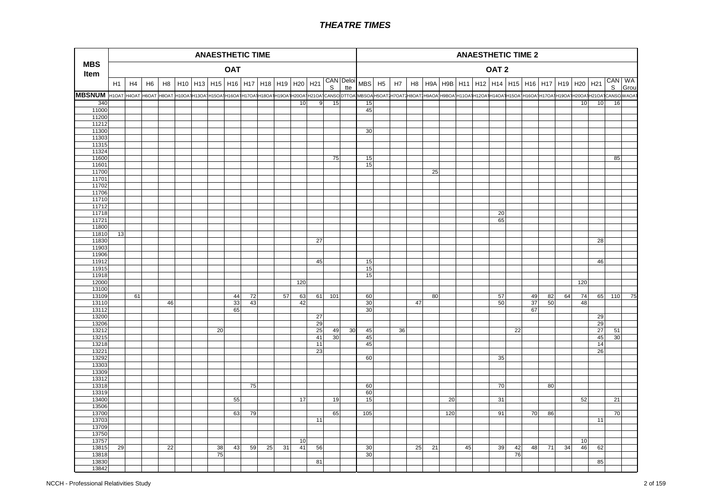|                    |    | <b>ANAESTHETIC TIME</b><br><b>OAT</b><br>CAN Deloi |                                                                              |    |  |  |    |                                                                                                                                                                                                                                |    |    |    |                 |          |     |     |                 |                |    |    |    |     |    | <b>ANAESTHETIC TIME 2</b> |    |    |    |    |                                                                 |                 |             |      |
|--------------------|----|----------------------------------------------------|------------------------------------------------------------------------------|----|--|--|----|--------------------------------------------------------------------------------------------------------------------------------------------------------------------------------------------------------------------------------|----|----|----|-----------------|----------|-----|-----|-----------------|----------------|----|----|----|-----|----|---------------------------|----|----|----|----|-----------------------------------------------------------------|-----------------|-------------|------|
| <b>MBS</b><br>Item |    |                                                    | H10 H13 H15 H16 H17 H18 H19 H20 H21<br>H <sub>6</sub><br>H <sub>8</sub><br>S |    |  |  |    |                                                                                                                                                                                                                                |    |    |    |                 |          |     |     |                 |                |    |    |    |     |    | OAT <sub>2</sub>          |    |    |    |    |                                                                 |                 |             |      |
|                    | H1 | H4                                                 |                                                                              |    |  |  |    |                                                                                                                                                                                                                                |    |    |    |                 |          |     | tte | <b>MBS</b>      | H <sub>5</sub> | H7 | H8 |    |     |    |                           |    |    |    |    | H9A   H9B   H11   H12   H14   H15   H16   H17   H19   H20   H21 |                 | CAN WA<br>S | Grou |
| <b>MBSNUM</b>      |    |                                                    |                                                                              |    |  |  |    | https://www.asht.co.urliso.arht.co.urliso.arht.co.urliso.arht.co.urliso.arht.co.urliso.arht.co.urliso.arht.co.urliso.arht.co.urliso.arht.co.urliso.arht.co.urliso.arht.co.urliso.arht.co.urliso.arht.co.urliso.arht.co.urliso. |    |    |    |                 |          |     |     |                 |                |    |    |    |     |    |                           |    |    |    |    |                                                                 |                 |             |      |
| 340                |    |                                                    |                                                                              |    |  |  |    |                                                                                                                                                                                                                                |    |    |    | 10 <sup>1</sup> | 9        | 15  |     | 15              |                |    |    |    |     |    |                           |    |    |    |    | 10                                                              | 10 <sup>1</sup> | 16          |      |
| 11000              |    |                                                    |                                                                              |    |  |  |    |                                                                                                                                                                                                                                |    |    |    |                 |          |     |     | 45              |                |    |    |    |     |    |                           |    |    |    |    |                                                                 |                 |             |      |
| 11200              |    |                                                    |                                                                              |    |  |  |    |                                                                                                                                                                                                                                |    |    |    |                 |          |     |     |                 |                |    |    |    |     |    |                           |    |    |    |    |                                                                 |                 |             |      |
| 11212              |    |                                                    |                                                                              |    |  |  |    |                                                                                                                                                                                                                                |    |    |    |                 |          |     |     |                 |                |    |    |    |     |    |                           |    |    |    |    |                                                                 |                 |             |      |
| 11300              |    |                                                    |                                                                              |    |  |  |    |                                                                                                                                                                                                                                |    |    |    |                 |          |     |     | 30              |                |    |    |    |     |    |                           |    |    |    |    |                                                                 |                 |             |      |
| 11303              |    |                                                    |                                                                              |    |  |  |    |                                                                                                                                                                                                                                |    |    |    |                 |          |     |     |                 |                |    |    |    |     |    |                           |    |    |    |    |                                                                 |                 |             |      |
| 11315              |    |                                                    |                                                                              |    |  |  |    |                                                                                                                                                                                                                                |    |    |    |                 |          |     |     |                 |                |    |    |    |     |    |                           |    |    |    |    |                                                                 |                 |             |      |
| 11324<br>11600     |    |                                                    |                                                                              |    |  |  |    |                                                                                                                                                                                                                                |    |    |    |                 |          | 75  |     | 15              |                |    |    |    |     |    |                           |    |    |    |    |                                                                 |                 | 85          |      |
| 11601              |    |                                                    |                                                                              |    |  |  |    |                                                                                                                                                                                                                                |    |    |    |                 |          |     |     | 15              |                |    |    |    |     |    |                           |    |    |    |    |                                                                 |                 |             |      |
| 11700              |    |                                                    |                                                                              |    |  |  |    |                                                                                                                                                                                                                                |    |    |    |                 |          |     |     |                 |                |    |    | 25 |     |    |                           |    |    |    |    |                                                                 |                 |             |      |
| 11701              |    |                                                    |                                                                              |    |  |  |    |                                                                                                                                                                                                                                |    |    |    |                 |          |     |     |                 |                |    |    |    |     |    |                           |    |    |    |    |                                                                 |                 |             |      |
| 11702              |    |                                                    |                                                                              |    |  |  |    |                                                                                                                                                                                                                                |    |    |    |                 |          |     |     |                 |                |    |    |    |     |    |                           |    |    |    |    |                                                                 |                 |             |      |
| 11706              |    |                                                    |                                                                              |    |  |  |    |                                                                                                                                                                                                                                |    |    |    |                 |          |     |     |                 |                |    |    |    |     |    |                           |    |    |    |    |                                                                 |                 |             |      |
| 11710              |    |                                                    |                                                                              |    |  |  |    |                                                                                                                                                                                                                                |    |    |    |                 |          |     |     |                 |                |    |    |    |     |    |                           |    |    |    |    |                                                                 |                 |             |      |
| 11712              |    |                                                    |                                                                              |    |  |  |    |                                                                                                                                                                                                                                |    |    |    |                 |          |     |     |                 |                |    |    |    |     |    |                           |    |    |    |    |                                                                 |                 |             |      |
| 11718              |    |                                                    |                                                                              |    |  |  |    |                                                                                                                                                                                                                                |    |    |    |                 |          |     |     |                 |                |    |    |    |     |    | 20                        |    |    |    |    |                                                                 |                 |             |      |
| 11721              |    |                                                    |                                                                              |    |  |  |    |                                                                                                                                                                                                                                |    |    |    |                 |          |     |     |                 |                |    |    |    |     |    | 65                        |    |    |    |    |                                                                 |                 |             |      |
| 11800              |    |                                                    |                                                                              |    |  |  |    |                                                                                                                                                                                                                                |    |    |    |                 |          |     |     |                 |                |    |    |    |     |    |                           |    |    |    |    |                                                                 |                 |             |      |
| 11810<br>11830     | 13 |                                                    |                                                                              |    |  |  |    |                                                                                                                                                                                                                                |    |    |    |                 | 27       |     |     |                 |                |    |    |    |     |    |                           |    |    |    |    |                                                                 | 28              |             |      |
| 11903              |    |                                                    |                                                                              |    |  |  |    |                                                                                                                                                                                                                                |    |    |    |                 |          |     |     |                 |                |    |    |    |     |    |                           |    |    |    |    |                                                                 |                 |             |      |
| 11906              |    |                                                    |                                                                              |    |  |  |    |                                                                                                                                                                                                                                |    |    |    |                 |          |     |     |                 |                |    |    |    |     |    |                           |    |    |    |    |                                                                 |                 |             |      |
| 11912              |    |                                                    |                                                                              |    |  |  |    |                                                                                                                                                                                                                                |    |    |    |                 | 45       |     |     | 15              |                |    |    |    |     |    |                           |    |    |    |    |                                                                 | 46              |             |      |
| 11915              |    |                                                    |                                                                              |    |  |  |    |                                                                                                                                                                                                                                |    |    |    |                 |          |     |     | 15              |                |    |    |    |     |    |                           |    |    |    |    |                                                                 |                 |             |      |
| 11918              |    |                                                    |                                                                              |    |  |  |    |                                                                                                                                                                                                                                |    |    |    |                 |          |     |     | 15              |                |    |    |    |     |    |                           |    |    |    |    |                                                                 |                 |             |      |
| 12000              |    |                                                    |                                                                              |    |  |  |    |                                                                                                                                                                                                                                |    |    |    | 120             |          |     |     |                 |                |    |    |    |     |    |                           |    |    |    |    | 120                                                             |                 |             |      |
| 13100              |    |                                                    |                                                                              |    |  |  |    |                                                                                                                                                                                                                                |    |    |    |                 |          |     |     |                 |                |    |    |    |     |    |                           |    |    |    |    |                                                                 |                 |             |      |
| 13109              |    | 61                                                 |                                                                              |    |  |  |    | 44                                                                                                                                                                                                                             | 72 |    | 57 | 63              | 61       | 101 |     | 60              |                |    |    | 80 |     |    | 57                        |    | 49 | 82 | 64 | 74                                                              | 65              | 110         | 75   |
| 13110              |    |                                                    |                                                                              | 46 |  |  |    | 33                                                                                                                                                                                                                             | 43 |    |    | 42              |          |     |     | 30 <sup>1</sup> |                |    | 47 |    |     |    | 50                        |    | 37 | 50 |    | 48                                                              |                 |             |      |
| 13112              |    |                                                    |                                                                              |    |  |  |    | 65                                                                                                                                                                                                                             |    |    |    |                 |          |     |     | 30              |                |    |    |    |     |    |                           |    | 67 |    |    |                                                                 |                 |             |      |
| 13200              |    |                                                    |                                                                              |    |  |  |    |                                                                                                                                                                                                                                |    |    |    |                 | 27       |     |     |                 |                |    |    |    |     |    |                           |    |    |    |    |                                                                 | 29              |             |      |
| 13206<br>13212     |    |                                                    |                                                                              |    |  |  | 20 |                                                                                                                                                                                                                                |    |    |    |                 | 29<br>25 | 49  | 30  | 45              |                | 36 |    |    |     |    |                           | 22 |    |    |    |                                                                 | 29<br>27        | 51          |      |
| 13215              |    |                                                    |                                                                              |    |  |  |    |                                                                                                                                                                                                                                |    |    |    |                 | 41       | 30  |     | 45              |                |    |    |    |     |    |                           |    |    |    |    |                                                                 | 45              | 30          |      |
| 13218              |    |                                                    |                                                                              |    |  |  |    |                                                                                                                                                                                                                                |    |    |    |                 | 11       |     |     | 45              |                |    |    |    |     |    |                           |    |    |    |    |                                                                 | 14              |             |      |
| 13221              |    |                                                    |                                                                              |    |  |  |    |                                                                                                                                                                                                                                |    |    |    |                 | 23       |     |     |                 |                |    |    |    |     |    |                           |    |    |    |    |                                                                 | 26              |             |      |
| 13292              |    |                                                    |                                                                              |    |  |  |    |                                                                                                                                                                                                                                |    |    |    |                 |          |     |     | 60              |                |    |    |    |     |    | 35                        |    |    |    |    |                                                                 |                 |             |      |
| 13303              |    |                                                    |                                                                              |    |  |  |    |                                                                                                                                                                                                                                |    |    |    |                 |          |     |     |                 |                |    |    |    |     |    |                           |    |    |    |    |                                                                 |                 |             |      |
| 13309              |    |                                                    |                                                                              |    |  |  |    |                                                                                                                                                                                                                                |    |    |    |                 |          |     |     |                 |                |    |    |    |     |    |                           |    |    |    |    |                                                                 |                 |             |      |
| 13312              |    |                                                    |                                                                              |    |  |  |    |                                                                                                                                                                                                                                |    |    |    |                 |          |     |     |                 |                |    |    |    |     |    |                           |    |    |    |    |                                                                 |                 |             |      |
| 13318              |    |                                                    |                                                                              |    |  |  |    |                                                                                                                                                                                                                                | 75 |    |    |                 |          |     |     | 60              |                |    |    |    |     |    | 70                        |    |    | 80 |    |                                                                 |                 |             |      |
| 13319              |    |                                                    |                                                                              |    |  |  |    |                                                                                                                                                                                                                                |    |    |    |                 |          |     |     | 60              |                |    |    |    |     |    |                           |    |    |    |    |                                                                 |                 |             |      |
| 13400              |    |                                                    |                                                                              |    |  |  |    | 55                                                                                                                                                                                                                             |    |    |    | 17              |          | 19  |     | 15              |                |    |    |    | 20  |    | 31                        |    |    |    |    | 52                                                              |                 | 21          |      |
| 13506              |    |                                                    |                                                                              |    |  |  |    |                                                                                                                                                                                                                                |    |    |    |                 |          |     |     |                 |                |    |    |    |     |    |                           |    |    |    |    |                                                                 |                 |             |      |
| 13700              |    |                                                    |                                                                              |    |  |  |    | 63                                                                                                                                                                                                                             | 79 |    |    |                 |          | 65  |     | 105             |                |    |    |    | 120 |    | 91                        |    | 70 | 86 |    |                                                                 |                 | 70          |      |
| 13703              |    |                                                    |                                                                              |    |  |  |    |                                                                                                                                                                                                                                |    |    |    |                 | 11       |     |     |                 |                |    |    |    |     |    |                           |    |    |    |    |                                                                 | 11              |             |      |
| 13709<br>13750     |    |                                                    |                                                                              |    |  |  |    |                                                                                                                                                                                                                                |    |    |    |                 |          |     |     |                 |                |    |    |    |     |    |                           |    |    |    |    |                                                                 |                 |             |      |
| 13757              |    |                                                    |                                                                              |    |  |  |    |                                                                                                                                                                                                                                |    |    |    | 10              |          |     |     |                 |                |    |    |    |     |    |                           |    |    |    |    | 10                                                              |                 |             |      |
| 13815              | 29 |                                                    |                                                                              | 22 |  |  | 38 | 43                                                                                                                                                                                                                             | 59 | 25 | 31 | 41              | 56       |     |     | 30              |                |    | 25 | 21 |     | 45 | 39                        | 42 | 48 | 71 | 34 | 46                                                              | 62              |             |      |
| 13818              |    |                                                    |                                                                              |    |  |  | 75 |                                                                                                                                                                                                                                |    |    |    |                 |          |     |     | 30              |                |    |    |    |     |    |                           | 76 |    |    |    |                                                                 |                 |             |      |
| 13830              |    |                                                    |                                                                              |    |  |  |    |                                                                                                                                                                                                                                |    |    |    |                 | 81       |     |     |                 |                |    |    |    |     |    |                           |    |    |    |    |                                                                 | 85              |             |      |
| 13842              |    |                                                    |                                                                              |    |  |  |    |                                                                                                                                                                                                                                |    |    |    |                 |          |     |     |                 |                |    |    |    |     |    |                           |    |    |    |    |                                                                 |                 |             |      |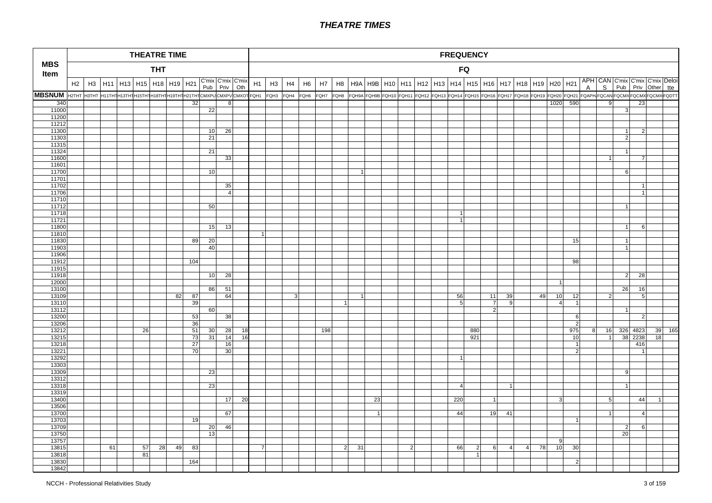|                    |    |    |    | <b>THEATRE TIME</b>        |    |          |                                   |                |    |                |           |              |                |     |   |                                                                                        |                |  | <b>FREQUENCY</b> |                |                |                |   |    |                |                     |                |                                                                                                                                                                                                                                |                |
|--------------------|----|----|----|----------------------------|----|----------|-----------------------------------|----------------|----|----------------|-----------|--------------|----------------|-----|---|----------------------------------------------------------------------------------------|----------------|--|------------------|----------------|----------------|----------------|---|----|----------------|---------------------|----------------|--------------------------------------------------------------------------------------------------------------------------------------------------------------------------------------------------------------------------------|----------------|
| <b>MBS</b><br>Item |    |    |    | <b>THT</b>                 |    |          |                                   |                |    |                |           |              |                |     |   |                                                                                        |                |  | <b>FQ</b>        |                |                |                |   |    |                |                     |                |                                                                                                                                                                                                                                |                |
|                    | H2 |    |    | H3 H11 H13 H15 H18 H19 H21 |    |          | C'mix C'mix C'mix<br>Pub Priv Oth |                |    |                | $H1$ $H3$ | H4           | H <sub>6</sub> | H7  |   | H8   H9A   H9B   H10   H11   H12   H13   H14   H15   H16   H17   H18   H19   H20   H21 |                |  |                  |                |                |                |   |    |                |                     |                | APH CAN C'mix C'mix C'mix Deloi<br>A S Pub Priv Other tte                                                                                                                                                                      |                |
|                    |    |    |    |                            |    |          |                                   |                |    |                |           |              |                |     |   |                                                                                        |                |  |                  |                |                |                |   |    |                |                     |                | MBSNUM  H2THT  H3THT  H3THT  H11THTH13THT H18THT H18THT H18THT H18THT H18THT H2NTH CMXPV CMXOT FQH1  FQH3  FQH4  FQH6  FQH6  FQH8  FQH8  FQH9  FQH19  FQH13  FQH13  FQH14  FQH15  FQH16  FQH17  FQH18  FQH12  FQAPH FQCM21  FQ |                |
| 340                |    |    |    |                            |    | 32       |                                   | 8              |    |                |           |              |                |     |   |                                                                                        |                |  |                  |                |                |                |   |    | 1020           | 590                 | Θ              | 23                                                                                                                                                                                                                             |                |
| 11000              |    |    |    |                            |    |          | 22                                |                |    |                |           |              |                |     |   |                                                                                        |                |  |                  |                |                |                |   |    |                |                     |                | $\mathbf{3}$                                                                                                                                                                                                                   |                |
| 11200              |    |    |    |                            |    |          |                                   |                |    |                |           |              |                |     |   |                                                                                        |                |  |                  |                |                |                |   |    |                |                     |                |                                                                                                                                                                                                                                |                |
| 11212              |    |    |    |                            |    |          |                                   |                |    |                |           |              |                |     |   |                                                                                        |                |  |                  |                |                |                |   |    |                |                     |                |                                                                                                                                                                                                                                |                |
| 11300<br>11303     |    |    |    |                            |    |          | 10 <sup>1</sup><br>21             | 26             |    |                |           |              |                |     |   |                                                                                        |                |  |                  |                |                |                |   |    |                |                     |                | 2 <sup>1</sup><br>$\vert$ 1<br>$\overline{2}$                                                                                                                                                                                  |                |
| 11315              |    |    |    |                            |    |          |                                   |                |    |                |           |              |                |     |   |                                                                                        |                |  |                  |                |                |                |   |    |                |                     |                |                                                                                                                                                                                                                                |                |
| 11324              |    |    |    |                            |    |          | 21                                |                |    |                |           |              |                |     |   |                                                                                        |                |  |                  |                |                |                |   |    |                |                     |                | $\mathbf{1}$                                                                                                                                                                                                                   |                |
| 11600              |    |    |    |                            |    |          |                                   | 33             |    |                |           |              |                |     |   |                                                                                        |                |  |                  |                |                |                |   |    |                |                     | $\overline{1}$ | $\overline{7}$                                                                                                                                                                                                                 |                |
| 11601              |    |    |    |                            |    |          |                                   |                |    |                |           |              |                |     |   |                                                                                        |                |  |                  |                |                |                |   |    |                |                     |                |                                                                                                                                                                                                                                |                |
| 11700              |    |    |    |                            |    |          | 10                                |                |    |                |           |              |                |     |   | $\mathbf{1}$                                                                           |                |  |                  |                |                |                |   |    |                |                     |                | $6 \overline{6}$                                                                                                                                                                                                               |                |
| 11701<br>11702     |    |    |    |                            |    |          |                                   | 35             |    |                |           |              |                |     |   |                                                                                        |                |  |                  |                |                |                |   |    |                |                     |                | $\overline{1}$                                                                                                                                                                                                                 |                |
| 11706              |    |    |    |                            |    |          |                                   | $\overline{4}$ |    |                |           |              |                |     |   |                                                                                        |                |  |                  |                |                |                |   |    |                |                     |                | $\mathbf{1}$                                                                                                                                                                                                                   |                |
| 11710              |    |    |    |                            |    |          |                                   |                |    |                |           |              |                |     |   |                                                                                        |                |  |                  |                |                |                |   |    |                |                     |                |                                                                                                                                                                                                                                |                |
| 11712              |    |    |    |                            |    |          | 50                                |                |    |                |           |              |                |     |   |                                                                                        |                |  |                  |                |                |                |   |    |                |                     |                | $\mathbf{1}$                                                                                                                                                                                                                   |                |
| 11718              |    |    |    |                            |    |          |                                   |                |    |                |           |              |                |     |   |                                                                                        |                |  | 1                |                |                |                |   |    |                |                     |                |                                                                                                                                                                                                                                |                |
| 11721<br>11800     |    |    |    |                            |    |          | 15                                | 13             |    |                |           |              |                |     |   |                                                                                        |                |  | $\mathbf{1}$     |                |                |                |   |    |                |                     |                | $6 \mid$                                                                                                                                                                                                                       |                |
| 11810              |    |    |    |                            |    |          |                                   |                |    | 1              |           |              |                |     |   |                                                                                        |                |  |                  |                |                |                |   |    |                |                     |                | 1                                                                                                                                                                                                                              |                |
| 11830              |    |    |    |                            |    | 89       | 20                                |                |    |                |           |              |                |     |   |                                                                                        |                |  |                  |                |                |                |   |    |                | 15                  |                | $\mathbf{1}$                                                                                                                                                                                                                   |                |
| 11903              |    |    |    |                            |    |          | 40                                |                |    |                |           |              |                |     |   |                                                                                        |                |  |                  |                |                |                |   |    |                |                     |                | $\mathbf{1}$                                                                                                                                                                                                                   |                |
| 11906              |    |    |    |                            |    |          |                                   |                |    |                |           |              |                |     |   |                                                                                        |                |  |                  |                |                |                |   |    |                |                     |                |                                                                                                                                                                                                                                |                |
| 11912              |    |    |    |                            |    | 104      |                                   |                |    |                |           |              |                |     |   |                                                                                        |                |  |                  |                |                |                |   |    |                | 98                  |                |                                                                                                                                                                                                                                |                |
| 11915<br>11918     |    |    |    |                            |    |          | 10                                | 28             |    |                |           |              |                |     |   |                                                                                        |                |  |                  |                |                |                |   |    |                |                     |                | $\overline{2}$<br>28                                                                                                                                                                                                           |                |
| 12000              |    |    |    |                            |    |          |                                   |                |    |                |           |              |                |     |   |                                                                                        |                |  |                  |                |                |                |   |    | $\vert$ 1      |                     |                |                                                                                                                                                                                                                                |                |
| 13100              |    |    |    |                            |    |          | 86                                | 51             |    |                |           |              |                |     |   |                                                                                        |                |  |                  |                |                |                |   |    |                |                     |                | 26<br>16                                                                                                                                                                                                                       |                |
| 13109              |    |    |    |                            | 82 | 87       |                                   | 64             |    |                |           | $\mathbf{3}$ |                |     |   | $\mathbf{1}$                                                                           |                |  | 56               |                | 11             | 39             |   | 49 | 10             | 12                  | $\overline{2}$ | 5 <sup>1</sup>                                                                                                                                                                                                                 |                |
| 13110              |    |    |    |                            |    | 39       |                                   |                |    |                |           |              |                |     |   |                                                                                        |                |  | 5 <sub>l</sub>   |                | $\overline{7}$ | $\overline{9}$ |   |    | $\overline{4}$ | $\overline{1}$      |                |                                                                                                                                                                                                                                |                |
| 13112              |    |    |    |                            |    |          | 60                                |                |    |                |           |              |                |     |   |                                                                                        |                |  |                  |                | 2 <sup>1</sup> |                |   |    |                |                     |                | 1                                                                                                                                                                                                                              |                |
| 13200<br>13206     |    |    |    |                            |    | 53<br>36 |                                   | 38             |    |                |           |              |                |     |   |                                                                                        |                |  |                  |                |                |                |   |    |                | 6<br>$\overline{2}$ |                | 2 <sup>1</sup>                                                                                                                                                                                                                 |                |
| 13212              |    |    | 26 |                            |    | 51       | 30                                | 28             | 18 |                |           |              |                | 198 |   |                                                                                        |                |  |                  | 880            |                |                |   |    |                | 975                 | 16<br>8        | 326 4823                                                                                                                                                                                                                       | 39 165         |
| 13215              |    |    |    |                            |    | 73       | 31                                | 14             | 16 |                |           |              |                |     |   |                                                                                        |                |  |                  | 921            |                |                |   |    |                | 10                  | $\mathbf{1}$   | 38 2238                                                                                                                                                                                                                        | 18             |
| 13218              |    |    |    |                            |    | 27       |                                   | 16             |    |                |           |              |                |     |   |                                                                                        |                |  |                  |                |                |                |   |    |                | $\overline{1}$      |                | 416                                                                                                                                                                                                                            |                |
| 13221              |    |    |    |                            |    | 70       |                                   | 30             |    |                |           |              |                |     |   |                                                                                        |                |  |                  |                |                |                |   |    |                | 2                   |                | $\mathbf{1}$                                                                                                                                                                                                                   |                |
| 13292              |    |    |    |                            |    |          |                                   |                |    |                |           |              |                |     |   |                                                                                        |                |  | 1                |                |                |                |   |    |                |                     |                |                                                                                                                                                                                                                                |                |
| 13303<br>13309     |    |    |    |                            |    |          | 23                                |                |    |                |           |              |                |     |   |                                                                                        |                |  |                  |                |                |                |   |    |                |                     |                | 9                                                                                                                                                                                                                              |                |
| 13312              |    |    |    |                            |    |          |                                   |                |    |                |           |              |                |     |   |                                                                                        |                |  |                  |                |                |                |   |    |                |                     |                |                                                                                                                                                                                                                                |                |
| 13318              |    |    |    |                            |    |          | 23                                |                |    |                |           |              |                |     |   |                                                                                        |                |  | 4 <sup>1</sup>   |                |                | $\mathbf{1}$   |   |    |                |                     |                | 1                                                                                                                                                                                                                              |                |
| 13319              |    |    |    |                            |    |          |                                   |                |    |                |           |              |                |     |   |                                                                                        |                |  |                  |                |                |                |   |    |                |                     |                |                                                                                                                                                                                                                                |                |
| 13400              |    |    |    |                            |    |          |                                   | 17             | 20 |                |           |              |                |     |   | 23                                                                                     |                |  | 220              |                | 1              |                |   |    | $\overline{3}$ |                     | 5 <sub>l</sub> | 44                                                                                                                                                                                                                             | $\overline{1}$ |
| 13506              |    |    |    |                            |    |          |                                   | 67             |    |                |           |              |                |     |   |                                                                                        |                |  | 44               |                | 19             | 41             |   |    |                |                     | 1              | $\vert$                                                                                                                                                                                                                        |                |
| 13700<br>13703     |    |    |    |                            |    | 19       |                                   |                |    |                |           |              |                |     |   | 11                                                                                     |                |  |                  |                |                |                |   |    |                | $\overline{1}$      |                |                                                                                                                                                                                                                                |                |
| 13709              |    |    |    |                            |    |          | 20                                | 46             |    |                |           |              |                |     |   |                                                                                        |                |  |                  |                |                |                |   |    |                |                     |                | $\overline{2}$<br>$6 \mid$                                                                                                                                                                                                     |                |
| 13750              |    |    |    |                            |    |          | 13                                |                |    |                |           |              |                |     |   |                                                                                        |                |  |                  |                |                |                |   |    |                |                     |                | 20                                                                                                                                                                                                                             |                |
| 13757              |    |    |    |                            |    |          |                                   |                |    |                |           |              |                |     |   |                                                                                        |                |  |                  |                |                |                |   |    | 9              |                     |                |                                                                                                                                                                                                                                |                |
| 13815              |    | 61 | 57 | 28                         | 49 | 83       |                                   |                |    | $\overline{7}$ |           |              |                |     | 2 | 31                                                                                     | $\overline{2}$ |  | 66               | $\overline{2}$ | $6 \mid$       | $\overline{4}$ | 4 | 78 | 10             | 30                  |                |                                                                                                                                                                                                                                |                |
| 13818<br>13830     |    |    | 81 |                            |    | 164      |                                   |                |    |                |           |              |                |     |   |                                                                                        |                |  |                  | $\overline{1}$ |                |                |   |    |                | $\mathcal{D}$       |                |                                                                                                                                                                                                                                |                |
| 13842              |    |    |    |                            |    |          |                                   |                |    |                |           |              |                |     |   |                                                                                        |                |  |                  |                |                |                |   |    |                |                     |                |                                                                                                                                                                                                                                |                |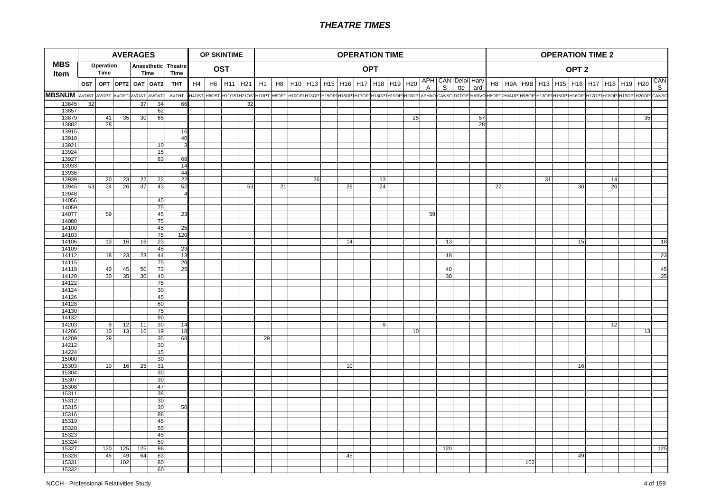|                |                                                                                                 |                 |           | <b>AVERAGES</b>     |          |                 |    | <b>OP SKINTIME</b> |               |    |    |    |                 | <b>OPERATION TIME</b>              |    |                    |     |     |    |     | <b>OPERATION TIME 2</b>                  |                  |    |    |          |
|----------------|-------------------------------------------------------------------------------------------------|-----------------|-----------|---------------------|----------|-----------------|----|--------------------|---------------|----|----|----|-----------------|------------------------------------|----|--------------------|-----|-----|----|-----|------------------------------------------|------------------|----|----|----------|
| <b>MBS</b>     |                                                                                                 | Operation       |           | Anaesthetic Theatre |          | Time            |    | <b>OST</b>         |               |    |    |    |                 | <b>OPT</b>                         |    |                    |     |     |    |     |                                          | OPT <sub>2</sub> |    |    |          |
| Item           | Time<br><b>Time</b><br>OPT OPT2 OAT OAT2<br>OST<br><b>MBSNUM</b> AVOST AVOPT AVOPT AVOAT AVOAT2 |                 |           |                     |          | THT             | H4 |                    | H6 H11 H21 H1 |    |    |    |                 | H8 H10 H13 H15 H16 H17 H18 H19 H20 |    | APH CAN Deloi Harv |     |     |    |     | $H8$ H9A H9B H13 H15 H16 H17 H18 H19 H20 |                  |    |    | CAN      |
|                |                                                                                                 |                 |           |                     |          | AVTHT           |    |                    |               |    |    |    |                 |                                    |    | S.                 | tte | ard |    |     |                                          |                  |    |    | S.       |
| 13845          | 32                                                                                              |                 |           | 37                  | 34       | 66              |    |                    | 32            |    |    |    |                 |                                    |    |                    |     |     |    |     |                                          |                  |    |    |          |
| 13857          |                                                                                                 |                 |           |                     | 62       |                 |    |                    |               |    |    |    |                 |                                    |    |                    |     |     |    |     |                                          |                  |    |    |          |
| 13879          |                                                                                                 | 41              | 35        | 30                  | 65       |                 |    |                    |               |    |    |    |                 |                                    | 25 |                    |     | 57  |    |     |                                          |                  |    | 35 |          |
| 13882          |                                                                                                 | 28              |           |                     |          |                 |    |                    |               |    |    |    |                 |                                    |    |                    |     | 28  |    |     |                                          |                  |    |    |          |
| 13915          |                                                                                                 |                 |           |                     |          | 16              |    |                    |               |    |    |    |                 |                                    |    |                    |     |     |    |     |                                          |                  |    |    |          |
| 13918<br>13921 |                                                                                                 |                 |           |                     | 10       | 40              |    |                    |               |    |    |    |                 |                                    |    |                    |     |     |    |     |                                          |                  |    |    |          |
| 13924          |                                                                                                 |                 |           |                     | 15       |                 |    |                    |               |    |    |    |                 |                                    |    |                    |     |     |    |     |                                          |                  |    |    |          |
| 13927          |                                                                                                 |                 |           |                     | 83       | 68              |    |                    |               |    |    |    |                 |                                    |    |                    |     |     |    |     |                                          |                  |    |    |          |
| 13933          |                                                                                                 |                 |           |                     |          | 14              |    |                    |               |    |    |    |                 |                                    |    |                    |     |     |    |     |                                          |                  |    |    |          |
| 13936          |                                                                                                 |                 |           |                     |          | 44              |    |                    |               |    |    |    |                 |                                    |    |                    |     |     |    |     |                                          |                  |    |    |          |
| 13939          |                                                                                                 | 20              | 23        | 22                  | 22       | $\overline{22}$ |    |                    |               |    |    | 26 |                 | 13                                 |    |                    |     |     |    |     | 31                                       |                  | 14 |    |          |
| 13945          | 53                                                                                              | 24              | 26        | 37                  | 43       | 52              |    |                    | 53            |    | 21 |    | 26              | 24                                 |    |                    |     |     | 22 |     |                                          | 30 <sup>1</sup>  | 26 |    |          |
| 13948          |                                                                                                 |                 |           |                     |          |                 |    |                    |               |    |    |    |                 |                                    |    |                    |     |     |    |     |                                          |                  |    |    |          |
| 14056<br>14059 |                                                                                                 |                 |           |                     | 45<br>75 |                 |    |                    |               |    |    |    |                 |                                    |    |                    |     |     |    |     |                                          |                  |    |    |          |
| 14077          |                                                                                                 | 59              |           |                     | 45       | 23              |    |                    |               |    |    |    |                 |                                    |    | 59                 |     |     |    |     |                                          |                  |    |    |          |
| 14080          |                                                                                                 |                 |           |                     | 75       |                 |    |                    |               |    |    |    |                 |                                    |    |                    |     |     |    |     |                                          |                  |    |    |          |
| 14100          |                                                                                                 |                 |           |                     | 45       | 25              |    |                    |               |    |    |    |                 |                                    |    |                    |     |     |    |     |                                          |                  |    |    |          |
| 14103          |                                                                                                 |                 |           |                     | 75       | 120             |    |                    |               |    |    |    |                 |                                    |    |                    |     |     |    |     |                                          |                  |    |    |          |
| 14106          |                                                                                                 | 13              | 16        | 16                  | 23       |                 |    |                    |               |    |    |    | 14              |                                    |    | 13                 |     |     |    |     |                                          | 15               |    |    | 18       |
| 14109          |                                                                                                 |                 |           |                     | 45       | 23              |    |                    |               |    |    |    |                 |                                    |    |                    |     |     |    |     |                                          |                  |    |    |          |
| 14112          |                                                                                                 | 18              | 23        | 23                  | 44       | 13              |    |                    |               |    |    |    |                 |                                    |    | 18                 |     |     |    |     |                                          |                  |    |    | 23       |
| 14115<br>14118 |                                                                                                 | 40              | 45        | 50                  | 75<br>73 | 20<br>25        |    |                    |               |    |    |    |                 |                                    |    | 40                 |     |     |    |     |                                          |                  |    |    |          |
| 14120          |                                                                                                 | 30 <sup>1</sup> | 35        | 30                  | 40       |                 |    |                    |               |    |    |    |                 |                                    |    | 30                 |     |     |    |     |                                          |                  |    |    | 45<br>35 |
| 14122          |                                                                                                 |                 |           |                     | 75       |                 |    |                    |               |    |    |    |                 |                                    |    |                    |     |     |    |     |                                          |                  |    |    |          |
| 14124          |                                                                                                 |                 |           |                     | 30       |                 |    |                    |               |    |    |    |                 |                                    |    |                    |     |     |    |     |                                          |                  |    |    |          |
| 14126          |                                                                                                 |                 |           |                     | 45       |                 |    |                    |               |    |    |    |                 |                                    |    |                    |     |     |    |     |                                          |                  |    |    |          |
| 14128          |                                                                                                 |                 |           |                     | 60       |                 |    |                    |               |    |    |    |                 |                                    |    |                    |     |     |    |     |                                          |                  |    |    |          |
| 14130          |                                                                                                 |                 |           |                     | 75       |                 |    |                    |               |    |    |    |                 |                                    |    |                    |     |     |    |     |                                          |                  |    |    |          |
| 14132          |                                                                                                 |                 |           |                     | 90       |                 |    |                    |               |    |    |    |                 |                                    |    |                    |     |     |    |     |                                          |                  |    |    |          |
| 14203<br>14206 |                                                                                                 | 9<br>10         | 12<br>13  | 11<br>16            | 30<br>19 | 14<br>18        |    |                    |               |    |    |    |                 | 9                                  | 10 |                    |     |     |    |     |                                          |                  | 12 | 13 |          |
| 14209          |                                                                                                 | 29              |           |                     | 35       | 68              |    |                    |               | 29 |    |    |                 |                                    |    |                    |     |     |    |     |                                          |                  |    |    |          |
| 14212          |                                                                                                 |                 |           |                     | 30       |                 |    |                    |               |    |    |    |                 |                                    |    |                    |     |     |    |     |                                          |                  |    |    |          |
| 14224          |                                                                                                 |                 |           |                     | 15       |                 |    |                    |               |    |    |    |                 |                                    |    |                    |     |     |    |     |                                          |                  |    |    |          |
| 15000          |                                                                                                 |                 |           |                     | 30       |                 |    |                    |               |    |    |    |                 |                                    |    |                    |     |     |    |     |                                          |                  |    |    |          |
| 15303          |                                                                                                 | 10              | 16        | 25                  | 31       |                 |    |                    |               |    |    |    | 10 <sup>1</sup> |                                    |    |                    |     |     |    |     |                                          | 16               |    |    |          |
| 15304          |                                                                                                 |                 |           |                     | 30       |                 |    |                    |               |    |    |    |                 |                                    |    |                    |     |     |    |     |                                          |                  |    |    |          |
| 15307          |                                                                                                 |                 |           |                     | 30       |                 |    |                    |               |    |    |    |                 |                                    |    |                    |     |     |    |     |                                          |                  |    |    |          |
| 15308<br>15311 |                                                                                                 |                 |           |                     | 47<br>38 |                 |    |                    |               |    |    |    |                 |                                    |    |                    |     |     |    |     |                                          |                  |    |    |          |
| 15312          |                                                                                                 |                 |           |                     | 30       |                 |    |                    |               |    |    |    |                 |                                    |    |                    |     |     |    |     |                                          |                  |    |    |          |
| 15315          |                                                                                                 |                 |           |                     | 30       | 50              |    |                    |               |    |    |    |                 |                                    |    |                    |     |     |    |     |                                          |                  |    |    |          |
| 15316          |                                                                                                 |                 |           |                     | 88       |                 |    |                    |               |    |    |    |                 |                                    |    |                    |     |     |    |     |                                          |                  |    |    |          |
| 15319          |                                                                                                 |                 |           |                     | 45       |                 |    |                    |               |    |    |    |                 |                                    |    |                    |     |     |    |     |                                          |                  |    |    |          |
| 15320          |                                                                                                 |                 |           |                     | 55       |                 |    |                    |               |    |    |    |                 |                                    |    |                    |     |     |    |     |                                          |                  |    |    |          |
| 15323          |                                                                                                 |                 |           |                     | 45       |                 |    |                    |               |    |    |    |                 |                                    |    |                    |     |     |    |     |                                          |                  |    |    |          |
| 15324          |                                                                                                 |                 |           |                     | 59       |                 |    |                    |               |    |    |    |                 |                                    |    |                    |     |     |    |     |                                          |                  |    |    |          |
| 15327          |                                                                                                 | 120             | 125       | 125                 | 88       |                 |    |                    |               |    |    |    |                 |                                    |    | 120                |     |     |    |     |                                          |                  |    |    | 125      |
| 15328<br>15331 |                                                                                                 | 45              | 49<br>102 | 64                  | 63<br>80 |                 |    |                    |               |    |    |    | 45              |                                    |    |                    |     |     |    | 102 |                                          | 49               |    |    |          |
| 15332          |                                                                                                 |                 |           |                     | 60       |                 |    |                    |               |    |    |    |                 |                                    |    |                    |     |     |    |     |                                          |                  |    |    |          |
|                |                                                                                                 |                 |           |                     |          |                 |    |                    |               |    |    |    |                 |                                    |    |                    |     |     |    |     |                                          |                  |    |    |          |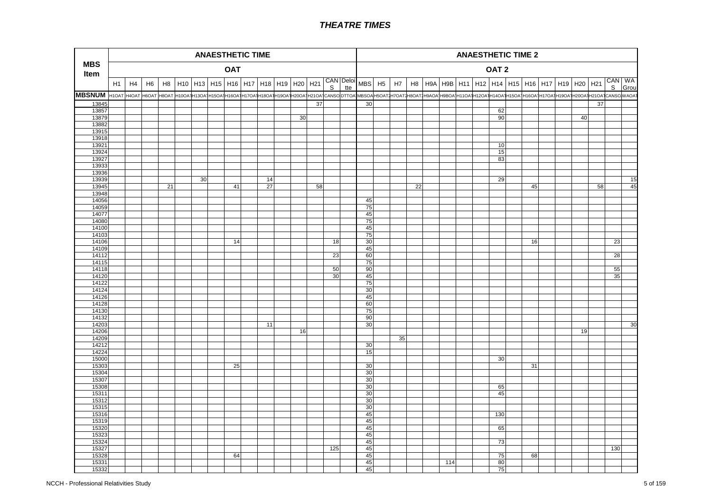|                                                                                                                                                                                                                                |    | <b>ANAESTHETIC TIME</b><br><b>OAT</b> |                |                |  |    |  |    |  |    |  |    |    |     |                         |            |                |           |                 |     | <b>ANAESTHETIC TIME 2</b> |                  |    |  |                                                                 |    |     |                |
|--------------------------------------------------------------------------------------------------------------------------------------------------------------------------------------------------------------------------------|----|---------------------------------------|----------------|----------------|--|----|--|----|--|----|--|----|----|-----|-------------------------|------------|----------------|-----------|-----------------|-----|---------------------------|------------------|----|--|-----------------------------------------------------------------|----|-----|----------------|
| <b>MBS</b><br>Item                                                                                                                                                                                                             |    | H10 H13 H15 H16 H17 H18 H19 H20 H21   |                |                |  |    |  |    |  |    |  |    |    |     |                         |            |                |           |                 |     |                           | OAT <sub>2</sub> |    |  |                                                                 |    |     |                |
|                                                                                                                                                                                                                                | H1 | H4                                    | H <sub>6</sub> | H <sub>8</sub> |  |    |  |    |  |    |  |    |    | S   | <b>CAN Deloi</b><br>tte | <b>MBS</b> | H <sub>5</sub> | <b>H7</b> | H8              |     |                           |                  |    |  | H9A   H9B   H11   H12   H14   H15   H16   H17   H19   H20   H21 | S  |     | CAN WA<br>Grou |
| MBSNUM  H10AT H6OAT H6OAT H6OAT H8OAT H10OATH15OATH15OATH15OATH19OATH2OATH21OATCANSODTTOAMBSOATH5OATH7OATTH8OATH9AOATH9BOATH11OATH12OATH14OATH15OATH16OATH19OATH2OATH19OATH2OATH1OATH11OATH11OATH11OATH11OATH11OATH11OATH11OAT |    |                                       |                |                |  |    |  |    |  |    |  |    |    |     |                         |            |                |           |                 |     |                           |                  |    |  |                                                                 |    |     |                |
| 13845                                                                                                                                                                                                                          |    |                                       |                |                |  |    |  |    |  |    |  |    | 37 |     |                         | 30         |                |           |                 |     |                           |                  |    |  |                                                                 | 37 |     |                |
| 13857                                                                                                                                                                                                                          |    |                                       |                |                |  |    |  |    |  |    |  |    |    |     |                         |            |                |           |                 |     |                           | 62               |    |  |                                                                 |    |     |                |
| 13879                                                                                                                                                                                                                          |    | 30 <sup>°</sup>                       |                |                |  |    |  |    |  |    |  |    |    |     |                         |            |                |           |                 |     |                           | 90               |    |  | 40                                                              |    |     |                |
| 13882                                                                                                                                                                                                                          |    |                                       |                |                |  |    |  |    |  |    |  |    |    |     |                         |            |                |           |                 |     |                           |                  |    |  |                                                                 |    |     |                |
| 13915                                                                                                                                                                                                                          |    |                                       |                |                |  |    |  |    |  |    |  |    |    |     |                         |            |                |           |                 |     |                           |                  |    |  |                                                                 |    |     |                |
| 13918                                                                                                                                                                                                                          |    |                                       |                |                |  |    |  |    |  |    |  |    |    |     |                         |            |                |           |                 |     |                           |                  |    |  |                                                                 |    |     |                |
| 13921                                                                                                                                                                                                                          |    |                                       |                |                |  |    |  |    |  |    |  |    |    |     |                         |            |                |           |                 |     |                           | 10               |    |  |                                                                 |    |     |                |
| 13924                                                                                                                                                                                                                          |    |                                       |                |                |  |    |  |    |  |    |  |    |    |     |                         |            |                |           |                 |     |                           | 15               |    |  |                                                                 |    |     |                |
| 13927<br>13933                                                                                                                                                                                                                 |    |                                       |                |                |  |    |  |    |  |    |  |    |    |     |                         |            |                |           |                 |     |                           | 83               |    |  |                                                                 |    |     |                |
| 13936                                                                                                                                                                                                                          |    |                                       |                |                |  |    |  |    |  |    |  |    |    |     |                         |            |                |           |                 |     |                           |                  |    |  |                                                                 |    |     |                |
| 13939                                                                                                                                                                                                                          |    |                                       |                |                |  | 30 |  |    |  | 14 |  |    |    |     |                         |            |                |           |                 |     |                           | 29               |    |  |                                                                 |    |     | 15             |
| 13945                                                                                                                                                                                                                          |    |                                       |                | 21             |  |    |  | 41 |  | 27 |  |    | 58 |     |                         |            |                |           | $\overline{22}$ |     |                           |                  | 45 |  |                                                                 | 58 |     | 45             |
| 13948                                                                                                                                                                                                                          |    |                                       |                |                |  |    |  |    |  |    |  |    |    |     |                         |            |                |           |                 |     |                           |                  |    |  |                                                                 |    |     |                |
| 14056                                                                                                                                                                                                                          |    |                                       |                |                |  |    |  |    |  |    |  |    |    |     |                         | 45         |                |           |                 |     |                           |                  |    |  |                                                                 |    |     |                |
| 14059                                                                                                                                                                                                                          |    |                                       |                |                |  |    |  |    |  |    |  |    |    |     |                         | 75         |                |           |                 |     |                           |                  |    |  |                                                                 |    |     |                |
| 14077                                                                                                                                                                                                                          |    |                                       |                |                |  |    |  |    |  |    |  |    |    |     |                         | 45         |                |           |                 |     |                           |                  |    |  |                                                                 |    |     |                |
| 14080                                                                                                                                                                                                                          |    |                                       |                |                |  |    |  |    |  |    |  |    |    |     |                         | 75         |                |           |                 |     |                           |                  |    |  |                                                                 |    |     |                |
| 14100                                                                                                                                                                                                                          |    |                                       |                |                |  |    |  |    |  |    |  |    |    |     |                         | 45         |                |           |                 |     |                           |                  |    |  |                                                                 |    |     |                |
| 14103                                                                                                                                                                                                                          |    |                                       |                |                |  |    |  |    |  |    |  |    |    |     |                         | 75         |                |           |                 |     |                           |                  |    |  |                                                                 |    |     |                |
| 14106                                                                                                                                                                                                                          |    |                                       |                |                |  |    |  | 14 |  |    |  |    |    | 18  |                         | 30         |                |           |                 |     |                           |                  | 16 |  |                                                                 |    | 23  |                |
| 14109                                                                                                                                                                                                                          |    |                                       |                |                |  |    |  |    |  |    |  |    |    |     |                         | 45         |                |           |                 |     |                           |                  |    |  |                                                                 |    |     |                |
| 14112                                                                                                                                                                                                                          |    |                                       |                |                |  |    |  |    |  |    |  |    |    | 23  |                         | 60         |                |           |                 |     |                           |                  |    |  |                                                                 |    | 28  |                |
| 14115                                                                                                                                                                                                                          |    |                                       |                |                |  |    |  |    |  |    |  |    |    |     |                         | 75         |                |           |                 |     |                           |                  |    |  |                                                                 |    |     |                |
| 14118                                                                                                                                                                                                                          |    |                                       |                |                |  |    |  |    |  |    |  |    |    | 50  |                         | 90         |                |           |                 |     |                           |                  |    |  |                                                                 |    | 55  |                |
| 14120<br>14122                                                                                                                                                                                                                 |    |                                       |                |                |  |    |  |    |  |    |  |    |    | 30  |                         | 45<br>75   |                |           |                 |     |                           |                  |    |  |                                                                 |    | 35  |                |
| 14124                                                                                                                                                                                                                          |    |                                       |                |                |  |    |  |    |  |    |  |    |    |     |                         | 30         |                |           |                 |     |                           |                  |    |  |                                                                 |    |     |                |
| 14126                                                                                                                                                                                                                          |    |                                       |                |                |  |    |  |    |  |    |  |    |    |     |                         | 45         |                |           |                 |     |                           |                  |    |  |                                                                 |    |     |                |
| 14128                                                                                                                                                                                                                          |    |                                       |                |                |  |    |  |    |  |    |  |    |    |     |                         | 60         |                |           |                 |     |                           |                  |    |  |                                                                 |    |     |                |
| 14130                                                                                                                                                                                                                          |    |                                       |                |                |  |    |  |    |  |    |  |    |    |     |                         | 75         |                |           |                 |     |                           |                  |    |  |                                                                 |    |     |                |
| 14132                                                                                                                                                                                                                          |    |                                       |                |                |  |    |  |    |  |    |  |    |    |     |                         | 90         |                |           |                 |     |                           |                  |    |  |                                                                 |    |     |                |
| 14203                                                                                                                                                                                                                          |    |                                       |                |                |  |    |  |    |  | 11 |  |    |    |     |                         | 30         |                |           |                 |     |                           |                  |    |  |                                                                 |    |     | 30             |
| 14206                                                                                                                                                                                                                          |    |                                       |                |                |  |    |  |    |  |    |  | 16 |    |     |                         |            |                |           |                 |     |                           |                  |    |  | 19                                                              |    |     |                |
| 14209                                                                                                                                                                                                                          |    |                                       |                |                |  |    |  |    |  |    |  |    |    |     |                         |            |                | 35        |                 |     |                           |                  |    |  |                                                                 |    |     |                |
| 14212                                                                                                                                                                                                                          |    |                                       |                |                |  |    |  |    |  |    |  |    |    |     |                         | 30         |                |           |                 |     |                           |                  |    |  |                                                                 |    |     |                |
| 14224                                                                                                                                                                                                                          |    |                                       |                |                |  |    |  |    |  |    |  |    |    |     |                         | 15         |                |           |                 |     |                           |                  |    |  |                                                                 |    |     |                |
| 15000                                                                                                                                                                                                                          |    |                                       |                |                |  |    |  |    |  |    |  |    |    |     |                         |            |                |           |                 |     |                           | 30               |    |  |                                                                 |    |     |                |
| 15303                                                                                                                                                                                                                          |    |                                       |                |                |  |    |  | 25 |  |    |  |    |    |     |                         | 30         |                |           |                 |     |                           |                  | 31 |  |                                                                 |    |     |                |
| 15304                                                                                                                                                                                                                          |    |                                       |                |                |  |    |  |    |  |    |  |    |    |     |                         | 30         |                |           |                 |     |                           |                  |    |  |                                                                 |    |     |                |
| 15307                                                                                                                                                                                                                          |    |                                       |                |                |  |    |  |    |  |    |  |    |    |     |                         | 30         |                |           |                 |     |                           |                  |    |  |                                                                 |    |     |                |
| 15308<br>15311                                                                                                                                                                                                                 |    |                                       |                |                |  |    |  |    |  |    |  |    |    |     |                         | 30<br>30   |                |           |                 |     |                           | 65<br>45         |    |  |                                                                 |    |     |                |
| 15312                                                                                                                                                                                                                          |    |                                       |                |                |  |    |  |    |  |    |  |    |    |     |                         | 30         |                |           |                 |     |                           |                  |    |  |                                                                 |    |     |                |
| 15315                                                                                                                                                                                                                          |    |                                       |                |                |  |    |  |    |  |    |  |    |    |     |                         | 30         |                |           |                 |     |                           |                  |    |  |                                                                 |    |     |                |
| 15316                                                                                                                                                                                                                          |    |                                       |                |                |  |    |  |    |  |    |  |    |    |     |                         | 45         |                |           |                 |     |                           | 130              |    |  |                                                                 |    |     |                |
| 15319                                                                                                                                                                                                                          |    |                                       |                |                |  |    |  |    |  |    |  |    |    |     |                         | 45         |                |           |                 |     |                           |                  |    |  |                                                                 |    |     |                |
| 15320                                                                                                                                                                                                                          |    |                                       |                |                |  |    |  |    |  |    |  |    |    |     |                         | 45         |                |           |                 |     |                           | 65               |    |  |                                                                 |    |     |                |
| 15323                                                                                                                                                                                                                          |    |                                       |                |                |  |    |  |    |  |    |  |    |    |     |                         | 45         |                |           |                 |     |                           |                  |    |  |                                                                 |    |     |                |
| 15324                                                                                                                                                                                                                          |    |                                       |                |                |  |    |  |    |  |    |  |    |    |     |                         | 45         |                |           |                 |     |                           | 73               |    |  |                                                                 |    |     |                |
| 15327                                                                                                                                                                                                                          |    |                                       |                |                |  |    |  |    |  |    |  |    |    | 125 |                         | 45         |                |           |                 |     |                           |                  |    |  |                                                                 |    | 130 |                |
| 15328                                                                                                                                                                                                                          |    |                                       |                |                |  |    |  | 64 |  |    |  |    |    |     |                         | 45         |                |           |                 |     |                           | 75               | 68 |  |                                                                 |    |     |                |
| 15331                                                                                                                                                                                                                          |    |                                       |                |                |  |    |  |    |  |    |  |    |    |     |                         | 45         |                |           |                 | 114 |                           | 80               |    |  |                                                                 |    |     |                |
| 15332                                                                                                                                                                                                                          |    |                                       |                |                |  |    |  |    |  |    |  |    |    |     |                         | 45         |                |           |                 |     |                           | 75               |    |  |                                                                 |    |     |                |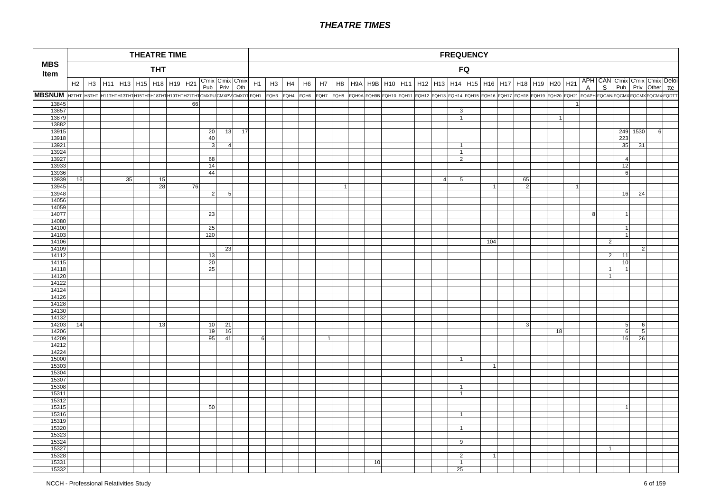|                                                                                             |    |  |    | <b>THEATRE TIME</b> |    |                                                                                                                 |                 |                         |                |   |           |    |    |                |    |                                                                                                                                       |  |         |                     | <b>FREQUENCY</b> |     |                |    |                |                |                                 |                 |                      |   |  |
|---------------------------------------------------------------------------------------------|----|--|----|---------------------|----|-----------------------------------------------------------------------------------------------------------------|-----------------|-------------------------|----------------|---|-----------|----|----|----------------|----|---------------------------------------------------------------------------------------------------------------------------------------|--|---------|---------------------|------------------|-----|----------------|----|----------------|----------------|---------------------------------|-----------------|----------------------|---|--|
| <b>MBS</b><br>Item                                                                          |    |  |    | <b>THT</b>          |    |                                                                                                                 |                 |                         |                |   |           |    |    |                |    |                                                                                                                                       |  |         |                     | <b>FQ</b>        |     |                |    |                |                |                                 |                 |                      |   |  |
|                                                                                             |    |  |    |                     |    | H2   H3   H11   H13   H15   H18   H19   H21   C'mix   C'mix   C'mix   C'mix   H19   H21   C'mix   C'mix   C'mix |                 |                         |                |   | $H1$ $H3$ | H4 | H6 | H7             |    | H8   H9A   H9B   H10   H11   H12   H13   H14   H15   H16   H17   H18   H19   H20   H21                                                |  |         |                     |                  |     |                |    |                | $\overline{A}$ | APH CAN C'mix C'mix C'mix Deloi |                 | S Pub Priv Other tte |   |  |
| MBSNUM H2THT H3THT H11THTH13THT H15THT H18THT H19THT H21THT CMXPU CMXPV CMXOTFQH1 FQH3 FQH4 |    |  |    |                     |    |                                                                                                                 |                 |                         |                |   |           |    |    |                |    | FQH6 FQH7 FQH8 FQH9AFQH9BFQH10 FQH11 FQH12 FQH13 FQH14 FQH15 FQH15 FQH16 FQH17 FQH18 FQH19 FQH20 FQH21 FQAPHFQCANFQCANTQCMXFQCMXFQCMX |  |         |                     |                  |     |                |    |                |                |                                 |                 |                      |   |  |
| 13845                                                                                       |    |  |    |                     |    | 66                                                                                                              |                 |                         |                |   |           |    |    |                |    |                                                                                                                                       |  |         |                     |                  |     |                |    | $\overline{1}$ |                |                                 |                 |                      |   |  |
| 13857<br>13879                                                                              |    |  |    |                     |    |                                                                                                                 |                 |                         |                |   |           |    |    |                |    |                                                                                                                                       |  |         | 3 <sup>1</sup><br>1 |                  |     |                | 1  |                |                |                                 |                 |                      |   |  |
| 13882                                                                                       |    |  |    |                     |    |                                                                                                                 |                 |                         |                |   |           |    |    |                |    |                                                                                                                                       |  |         |                     |                  |     |                |    |                |                |                                 |                 |                      |   |  |
| 13915                                                                                       |    |  |    |                     |    |                                                                                                                 | 20 <sup>1</sup> | 13                      | 17             |   |           |    |    |                |    |                                                                                                                                       |  |         |                     |                  |     |                |    |                |                |                                 |                 | 249 1530             | 6 |  |
| 13918                                                                                       |    |  |    |                     |    |                                                                                                                 | 40              |                         |                |   |           |    |    |                |    |                                                                                                                                       |  |         |                     |                  |     |                |    |                |                |                                 | 223             |                      |   |  |
| 13921<br>13924                                                                              |    |  |    |                     |    |                                                                                                                 |                 | $\overline{\mathbf{3}}$ | $\overline{4}$ |   |           |    |    |                |    |                                                                                                                                       |  |         | 1<br>1              |                  |     |                |    |                |                |                                 | 35              | 31                   |   |  |
| 13927                                                                                       |    |  |    |                     |    |                                                                                                                 | 68              |                         |                |   |           |    |    |                |    |                                                                                                                                       |  |         | 2                   |                  |     |                |    |                |                |                                 | $\vert 4 \vert$ |                      |   |  |
| 13933                                                                                       |    |  |    |                     |    |                                                                                                                 | 14              |                         |                |   |           |    |    |                |    |                                                                                                                                       |  |         |                     |                  |     |                |    |                |                |                                 | 12              |                      |   |  |
| 13936<br>13939                                                                              | 16 |  | 35 |                     | 15 |                                                                                                                 | 44              |                         |                |   |           |    |    |                |    |                                                                                                                                       |  | $\vert$ | 5 <sub>l</sub>      |                  |     | 65             |    |                |                |                                 | 6               |                      |   |  |
| 13945                                                                                       |    |  |    |                     | 28 | 76                                                                                                              |                 |                         |                |   |           |    |    |                | 11 |                                                                                                                                       |  |         |                     |                  | 1   | $\overline{2}$ |    | 1              |                |                                 |                 |                      |   |  |
| 13948                                                                                       |    |  |    |                     |    |                                                                                                                 |                 | $\overline{2}$          | 5 <sub>l</sub> |   |           |    |    |                |    |                                                                                                                                       |  |         |                     |                  |     |                |    |                |                |                                 | 16              | 24                   |   |  |
| 14056                                                                                       |    |  |    |                     |    |                                                                                                                 |                 |                         |                |   |           |    |    |                |    |                                                                                                                                       |  |         |                     |                  |     |                |    |                |                |                                 |                 |                      |   |  |
| 14059<br>14077                                                                              |    |  |    |                     |    |                                                                                                                 | 23              |                         |                |   |           |    |    |                |    |                                                                                                                                       |  |         |                     |                  |     |                |    |                | 8              |                                 | 1               |                      |   |  |
| 14080                                                                                       |    |  |    |                     |    |                                                                                                                 |                 |                         |                |   |           |    |    |                |    |                                                                                                                                       |  |         |                     |                  |     |                |    |                |                |                                 |                 |                      |   |  |
| 14100                                                                                       |    |  |    |                     |    |                                                                                                                 | 25              |                         |                |   |           |    |    |                |    |                                                                                                                                       |  |         |                     |                  |     |                |    |                |                |                                 | 1               |                      |   |  |
| 14103                                                                                       |    |  |    |                     |    |                                                                                                                 | 120             |                         |                |   |           |    |    |                |    |                                                                                                                                       |  |         |                     |                  |     |                |    |                |                |                                 | $\overline{1}$  |                      |   |  |
| 14106<br>14109                                                                              |    |  |    |                     |    |                                                                                                                 |                 | 23                      |                |   |           |    |    |                |    |                                                                                                                                       |  |         |                     |                  | 104 |                |    |                |                | $\overline{2}$                  |                 | $2 \vert$            |   |  |
| 14112                                                                                       |    |  |    |                     |    |                                                                                                                 | 13              |                         |                |   |           |    |    |                |    |                                                                                                                                       |  |         |                     |                  |     |                |    |                |                | $\overline{2}$                  | 11              |                      |   |  |
| 14115                                                                                       |    |  |    |                     |    |                                                                                                                 | 20              |                         |                |   |           |    |    |                |    |                                                                                                                                       |  |         |                     |                  |     |                |    |                |                |                                 | 10              |                      |   |  |
| 14118<br>14120                                                                              |    |  |    |                     |    |                                                                                                                 | 25              |                         |                |   |           |    |    |                |    |                                                                                                                                       |  |         |                     |                  |     |                |    |                |                | $\mathbf{1}$<br>$\mathbf{1}$    | $\overline{1}$  |                      |   |  |
| 14122                                                                                       |    |  |    |                     |    |                                                                                                                 |                 |                         |                |   |           |    |    |                |    |                                                                                                                                       |  |         |                     |                  |     |                |    |                |                |                                 |                 |                      |   |  |
| 14124                                                                                       |    |  |    |                     |    |                                                                                                                 |                 |                         |                |   |           |    |    |                |    |                                                                                                                                       |  |         |                     |                  |     |                |    |                |                |                                 |                 |                      |   |  |
| 14126                                                                                       |    |  |    |                     |    |                                                                                                                 |                 |                         |                |   |           |    |    |                |    |                                                                                                                                       |  |         |                     |                  |     |                |    |                |                |                                 |                 |                      |   |  |
| 14128<br>14130                                                                              |    |  |    |                     |    |                                                                                                                 |                 |                         |                |   |           |    |    |                |    |                                                                                                                                       |  |         |                     |                  |     |                |    |                |                |                                 |                 |                      |   |  |
| 14132                                                                                       |    |  |    |                     |    |                                                                                                                 |                 |                         |                |   |           |    |    |                |    |                                                                                                                                       |  |         |                     |                  |     |                |    |                |                |                                 |                 |                      |   |  |
| 14203                                                                                       | 14 |  |    |                     | 13 |                                                                                                                 | 10 <sup>1</sup> | 21                      |                |   |           |    |    |                |    |                                                                                                                                       |  |         |                     |                  |     | $\mathbf{3}$   |    |                |                |                                 | $5\overline{)}$ | 6                    |   |  |
| 14206                                                                                       |    |  |    |                     |    |                                                                                                                 | 19              | 16                      |                |   |           |    |    |                |    |                                                                                                                                       |  |         |                     |                  |     |                | 18 |                |                |                                 | 6               | $5\overline{)}$      |   |  |
| 14209<br>14212                                                                              |    |  |    |                     |    |                                                                                                                 | 95              | 41                      |                | 6 |           |    |    | $\overline{1}$ |    |                                                                                                                                       |  |         |                     |                  |     |                |    |                |                |                                 | 16              | 26                   |   |  |
| 14224                                                                                       |    |  |    |                     |    |                                                                                                                 |                 |                         |                |   |           |    |    |                |    |                                                                                                                                       |  |         |                     |                  |     |                |    |                |                |                                 |                 |                      |   |  |
| 15000                                                                                       |    |  |    |                     |    |                                                                                                                 |                 |                         |                |   |           |    |    |                |    |                                                                                                                                       |  |         | 11                  |                  |     |                |    |                |                |                                 |                 |                      |   |  |
| 15303                                                                                       |    |  |    |                     |    |                                                                                                                 |                 |                         |                |   |           |    |    |                |    |                                                                                                                                       |  |         |                     |                  | 1   |                |    |                |                |                                 |                 |                      |   |  |
| 15304<br>15307                                                                              |    |  |    |                     |    |                                                                                                                 |                 |                         |                |   |           |    |    |                |    |                                                                                                                                       |  |         |                     |                  |     |                |    |                |                |                                 |                 |                      |   |  |
| 15308                                                                                       |    |  |    |                     |    |                                                                                                                 |                 |                         |                |   |           |    |    |                |    |                                                                                                                                       |  |         | $\mathbf{1}$        |                  |     |                |    |                |                |                                 |                 |                      |   |  |
| 15311                                                                                       |    |  |    |                     |    |                                                                                                                 |                 |                         |                |   |           |    |    |                |    |                                                                                                                                       |  |         | 1                   |                  |     |                |    |                |                |                                 |                 |                      |   |  |
| 15312                                                                                       |    |  |    |                     |    |                                                                                                                 |                 |                         |                |   |           |    |    |                |    |                                                                                                                                       |  |         |                     |                  |     |                |    |                |                |                                 |                 |                      |   |  |
| 15315<br>15316                                                                              |    |  |    |                     |    |                                                                                                                 | 50              |                         |                |   |           |    |    |                |    |                                                                                                                                       |  |         | $\mathbf{1}$        |                  |     |                |    |                |                |                                 | 1               |                      |   |  |
| 15319                                                                                       |    |  |    |                     |    |                                                                                                                 |                 |                         |                |   |           |    |    |                |    |                                                                                                                                       |  |         |                     |                  |     |                |    |                |                |                                 |                 |                      |   |  |
| 15320                                                                                       |    |  |    |                     |    |                                                                                                                 |                 |                         |                |   |           |    |    |                |    |                                                                                                                                       |  |         | $\vert$ 1           |                  |     |                |    |                |                |                                 |                 |                      |   |  |
| 15323<br>15324                                                                              |    |  |    |                     |    |                                                                                                                 |                 |                         |                |   |           |    |    |                |    |                                                                                                                                       |  |         | -9                  |                  |     |                |    |                |                |                                 |                 |                      |   |  |
| 15327                                                                                       |    |  |    |                     |    |                                                                                                                 |                 |                         |                |   |           |    |    |                |    |                                                                                                                                       |  |         |                     |                  |     |                |    |                |                | $\overline{1}$                  |                 |                      |   |  |
| 15328                                                                                       |    |  |    |                     |    |                                                                                                                 |                 |                         |                |   |           |    |    |                |    |                                                                                                                                       |  |         | $2 \vert$           |                  | 1   |                |    |                |                |                                 |                 |                      |   |  |
| 15331                                                                                       |    |  |    |                     |    |                                                                                                                 |                 |                         |                |   |           |    |    |                |    | 10                                                                                                                                    |  |         | $\mathbf{1}$        |                  |     |                |    |                |                |                                 |                 |                      |   |  |
| 15332                                                                                       |    |  |    |                     |    |                                                                                                                 |                 |                         |                |   |           |    |    |                |    |                                                                                                                                       |  |         | 25                  |                  |     |                |    |                |                |                                 |                 |                      |   |  |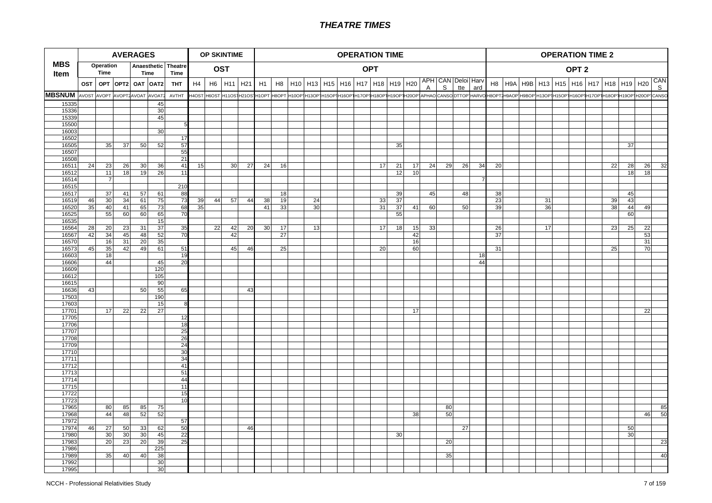|                                              |            |                          |                 | <b>AVERAGES</b>            |           |                        |    |    | OP SKINTIME |    |    |    |                                                                                                                                                                         |                 |  | <b>OPERATION TIME</b> |                 |    |    |                          |     |                |                 |  |          |                  | <b>OPERATION TIME 2</b> |    |                                                          |    |           |
|----------------------------------------------|------------|--------------------------|-----------------|----------------------------|-----------|------------------------|----|----|-------------|----|----|----|-------------------------------------------------------------------------------------------------------------------------------------------------------------------------|-----------------|--|-----------------------|-----------------|----|----|--------------------------|-----|----------------|-----------------|--|----------|------------------|-------------------------|----|----------------------------------------------------------|----|-----------|
| <b>MBS</b><br><b>Item</b>                    |            | Operation<br><b>Time</b> |                 | Anaesthetic<br><b>Time</b> |           | <b>Theatre</b><br>Time |    |    | <b>OST</b>  |    |    |    |                                                                                                                                                                         |                 |  | <b>OPT</b>            |                 |    |    |                          |     |                |                 |  |          | OPT <sub>2</sub> |                         |    |                                                          |    |           |
|                                              | <b>OST</b> |                          |                 | OPT OPT2 OAT OAT2          |           | <b>THT</b>             | H4 |    | H6 H11 H21  |    |    |    | $H1$   H8   H10   H13   H15   H16   H17   H18   H19   H20                                                                                                               |                 |  |                       |                 |    | A  | APH CAN Deloi Harv<br>S. | tte | ard            |                 |  |          |                  |                         |    | H8   H9A   H9B   H13   H15   H16   H17   H18   H19   H20 |    | CAN<br>S. |
| <b>MBSNUM</b> AVOST AVOPT AVOPT AVOAT AVOAT2 |            |                          |                 |                            |           | AVTHT                  |    |    |             |    |    |    | H4OST H6OST H11OSTH21OS H1OPT H8OPT H10OP1H13OP1H1SOP1H18OP1H18OP1H18OP1H20OP1APHAO CANSO DTTOP HARVO H8OPT H9AOP H9BOP H13OP1H15OP1H16OP1H17OP1H18OP1H19OP1H20OP1CANSC |                 |  |                       |                 |    |    |                          |     |                |                 |  |          |                  |                         |    |                                                          |    |           |
| 15335                                        |            |                          |                 |                            | 45        |                        |    |    |             |    |    |    |                                                                                                                                                                         |                 |  |                       |                 |    |    |                          |     |                |                 |  |          |                  |                         |    |                                                          |    |           |
| 15336                                        |            |                          |                 |                            | 30        |                        |    |    |             |    |    |    |                                                                                                                                                                         |                 |  |                       |                 |    |    |                          |     |                |                 |  |          |                  |                         |    |                                                          |    |           |
| 15339<br>15500                               |            |                          |                 |                            | 45        |                        |    |    |             |    |    |    |                                                                                                                                                                         |                 |  |                       |                 |    |    |                          |     |                |                 |  |          |                  |                         |    |                                                          |    |           |
| 16003                                        |            |                          |                 |                            | 30        |                        |    |    |             |    |    |    |                                                                                                                                                                         |                 |  |                       |                 |    |    |                          |     |                |                 |  |          |                  |                         |    |                                                          |    |           |
| 16502                                        |            |                          |                 |                            |           | 17                     |    |    |             |    |    |    |                                                                                                                                                                         |                 |  |                       |                 |    |    |                          |     |                |                 |  |          |                  |                         |    |                                                          |    |           |
| 16505                                        |            | 35                       | 37              | 50                         | 52        | 57                     |    |    |             |    |    |    |                                                                                                                                                                         |                 |  |                       | 35              |    |    |                          |     |                |                 |  |          |                  |                         |    | 37                                                       |    |           |
| 16507                                        |            |                          |                 |                            |           | 55                     |    |    |             |    |    |    |                                                                                                                                                                         |                 |  |                       |                 |    |    |                          |     |                |                 |  |          |                  |                         |    |                                                          |    |           |
| 16508<br>16511                               | 24         | 23                       | 26              | 30                         | 36        | 21<br>41               | 15 |    | 30          | 27 | 24 | 16 |                                                                                                                                                                         |                 |  | 17                    | 21              | 17 | 24 | 29                       | 26  | 34             | 20              |  |          |                  |                         | 22 | 28                                                       | 26 | 32        |
| 16512                                        |            | 11                       | 18              | 19                         | 26        | 11                     |    |    |             |    |    |    |                                                                                                                                                                         |                 |  |                       | 12              | 10 |    |                          |     |                |                 |  |          |                  |                         |    | 18                                                       | 18 |           |
| 16514                                        |            | $\overline{7}$           |                 |                            |           |                        |    |    |             |    |    |    |                                                                                                                                                                         |                 |  |                       |                 |    |    |                          |     | $\overline{7}$ |                 |  |          |                  |                         |    |                                                          |    |           |
| 16515                                        |            |                          |                 |                            |           | 210                    |    |    |             |    |    |    |                                                                                                                                                                         |                 |  |                       |                 |    |    |                          |     |                |                 |  |          |                  |                         |    |                                                          |    |           |
| 16517                                        |            | 37                       | 41              | 57                         | 61        | 88                     |    |    |             |    |    | 18 |                                                                                                                                                                         |                 |  |                       | 39              |    | 45 |                          | 48  |                | 38 <sup>l</sup> |  |          |                  |                         |    | 45                                                       |    |           |
| 16519                                        | 46         | 30                       | 34              | 61                         | 75        | 73                     | 39 | 44 | 57          | 44 | 38 | 19 |                                                                                                                                                                         | 24              |  | 33                    | 37              |    |    |                          | 50  |                | 23              |  | 31<br>36 |                  |                         | 39 | 43                                                       |    |           |
| 16520<br>16525                               | 35         | 40<br>55                 | 41<br>60        | 65<br>60                   | 73<br>65  | 68<br>70               | 35 |    |             |    | 41 | 33 |                                                                                                                                                                         | 30 <sub>l</sub> |  | 31                    | 37<br>55        | 41 | 60 |                          |     |                | 39              |  |          |                  |                         | 38 | 44<br>60                                                 | 49 |           |
| 16535                                        |            |                          |                 |                            | 15        |                        |    |    |             |    |    |    |                                                                                                                                                                         |                 |  |                       |                 |    |    |                          |     |                |                 |  |          |                  |                         |    |                                                          |    |           |
| 16564                                        | 28         | 20                       | 23              | 31                         | 37        | 35                     |    | 22 | 42          | 20 | 30 | 17 |                                                                                                                                                                         | 13              |  | 17                    | 18              | 15 | 33 |                          |     |                | 26              |  | 17       |                  |                         | 23 | 25                                                       | 22 |           |
| 16567                                        | 42         | 34                       | 45              | 48                         | 52        | 70                     |    |    | 42          |    |    | 27 |                                                                                                                                                                         |                 |  |                       |                 | 42 |    |                          |     |                | 37              |  |          |                  |                         |    |                                                          | 53 |           |
| 16570                                        |            | 16                       | 31              | 20                         | 35        |                        |    |    |             |    |    |    |                                                                                                                                                                         |                 |  |                       |                 | 16 |    |                          |     |                |                 |  |          |                  |                         |    |                                                          | 31 |           |
| 16573<br>16603                               | 45         | 35<br>18                 | 42              | 49                         | 61        | 51<br>19               |    |    | 45          | 46 |    | 25 |                                                                                                                                                                         |                 |  | 20                    |                 | 60 |    |                          |     | 18             | 31              |  |          |                  |                         | 25 |                                                          | 70 |           |
| 16606                                        |            | 44                       |                 |                            | 45        | 20                     |    |    |             |    |    |    |                                                                                                                                                                         |                 |  |                       |                 |    |    |                          |     | 44             |                 |  |          |                  |                         |    |                                                          |    |           |
| 16609                                        |            |                          |                 |                            | 120       |                        |    |    |             |    |    |    |                                                                                                                                                                         |                 |  |                       |                 |    |    |                          |     |                |                 |  |          |                  |                         |    |                                                          |    |           |
| 16612                                        |            |                          |                 |                            | 105       |                        |    |    |             |    |    |    |                                                                                                                                                                         |                 |  |                       |                 |    |    |                          |     |                |                 |  |          |                  |                         |    |                                                          |    |           |
| 16615                                        |            |                          |                 |                            | 90        |                        |    |    |             |    |    |    |                                                                                                                                                                         |                 |  |                       |                 |    |    |                          |     |                |                 |  |          |                  |                         |    |                                                          |    |           |
| 16636<br>17503                               | 43         |                          |                 | 50                         | 55<br>190 | 65                     |    |    |             | 43 |    |    |                                                                                                                                                                         |                 |  |                       |                 |    |    |                          |     |                |                 |  |          |                  |                         |    |                                                          |    |           |
| 17603                                        |            |                          |                 |                            | 15        |                        |    |    |             |    |    |    |                                                                                                                                                                         |                 |  |                       |                 |    |    |                          |     |                |                 |  |          |                  |                         |    |                                                          |    |           |
| 17701                                        |            | 17                       | 22              | 22                         | 27        |                        |    |    |             |    |    |    |                                                                                                                                                                         |                 |  |                       |                 | 17 |    |                          |     |                |                 |  |          |                  |                         |    |                                                          | 22 |           |
| 17705                                        |            |                          |                 |                            |           | 12                     |    |    |             |    |    |    |                                                                                                                                                                         |                 |  |                       |                 |    |    |                          |     |                |                 |  |          |                  |                         |    |                                                          |    |           |
| 17706                                        |            |                          |                 |                            |           | 18                     |    |    |             |    |    |    |                                                                                                                                                                         |                 |  |                       |                 |    |    |                          |     |                |                 |  |          |                  |                         |    |                                                          |    |           |
| 17707<br>17708                               |            |                          |                 |                            |           | 25<br>26               |    |    |             |    |    |    |                                                                                                                                                                         |                 |  |                       |                 |    |    |                          |     |                |                 |  |          |                  |                         |    |                                                          |    |           |
| 17709                                        |            |                          |                 |                            |           | 24                     |    |    |             |    |    |    |                                                                                                                                                                         |                 |  |                       |                 |    |    |                          |     |                |                 |  |          |                  |                         |    |                                                          |    |           |
| 17710                                        |            |                          |                 |                            |           | 30                     |    |    |             |    |    |    |                                                                                                                                                                         |                 |  |                       |                 |    |    |                          |     |                |                 |  |          |                  |                         |    |                                                          |    |           |
| 17711                                        |            |                          |                 |                            |           | 34                     |    |    |             |    |    |    |                                                                                                                                                                         |                 |  |                       |                 |    |    |                          |     |                |                 |  |          |                  |                         |    |                                                          |    |           |
| 17712                                        |            |                          |                 |                            |           | 41                     |    |    |             |    |    |    |                                                                                                                                                                         |                 |  |                       |                 |    |    |                          |     |                |                 |  |          |                  |                         |    |                                                          |    |           |
| 17713<br>17714                               |            |                          |                 |                            |           | 51<br>44               |    |    |             |    |    |    |                                                                                                                                                                         |                 |  |                       |                 |    |    |                          |     |                |                 |  |          |                  |                         |    |                                                          |    |           |
| 17715                                        |            |                          |                 |                            |           | 11                     |    |    |             |    |    |    |                                                                                                                                                                         |                 |  |                       |                 |    |    |                          |     |                |                 |  |          |                  |                         |    |                                                          |    |           |
| 17722                                        |            |                          |                 |                            |           | 15                     |    |    |             |    |    |    |                                                                                                                                                                         |                 |  |                       |                 |    |    |                          |     |                |                 |  |          |                  |                         |    |                                                          |    |           |
| 17723                                        |            |                          |                 |                            |           | 10                     |    |    |             |    |    |    |                                                                                                                                                                         |                 |  |                       |                 |    |    |                          |     |                |                 |  |          |                  |                         |    |                                                          |    |           |
| 17965                                        |            | 80                       | 85              | 85                         | 75        |                        |    |    |             |    |    |    |                                                                                                                                                                         |                 |  |                       |                 |    |    | 80                       |     |                |                 |  |          |                  |                         |    |                                                          |    | 85        |
| 17968<br>17972                               |            | 44                       | 48              | 52                         | 52        | 57                     |    |    |             |    |    |    |                                                                                                                                                                         |                 |  |                       |                 | 38 |    | 50                       |     |                |                 |  |          |                  |                         |    |                                                          | 46 | 50        |
| 17974                                        | 46         | 27                       | 50              | 33                         | 62        | 50                     |    |    |             | 46 |    |    |                                                                                                                                                                         |                 |  |                       |                 |    |    |                          | 27  |                |                 |  |          |                  |                         |    | 50                                                       |    |           |
| 17980                                        |            | 30                       | 30 <sup>°</sup> | 30 <sup>°</sup>            | 45        | 22                     |    |    |             |    |    |    |                                                                                                                                                                         |                 |  |                       | 30 <sup>1</sup> |    |    |                          |     |                |                 |  |          |                  |                         |    | 30                                                       |    |           |
| 17983                                        |            | 20                       | 23              | 20                         | 39        | 25                     |    |    |             |    |    |    |                                                                                                                                                                         |                 |  |                       |                 |    |    | 20                       |     |                |                 |  |          |                  |                         |    |                                                          |    | 23        |
| 17986                                        |            |                          |                 |                            | 225       |                        |    |    |             |    |    |    |                                                                                                                                                                         |                 |  |                       |                 |    |    |                          |     |                |                 |  |          |                  |                         |    |                                                          |    |           |
| 17989<br>17992                               |            | 35                       | 40              | 40                         | 38<br>30  |                        |    |    |             |    |    |    |                                                                                                                                                                         |                 |  |                       |                 |    |    | 35                       |     |                |                 |  |          |                  |                         |    |                                                          |    | 40        |
| 17995                                        |            |                          |                 |                            | 30        |                        |    |    |             |    |    |    |                                                                                                                                                                         |                 |  |                       |                 |    |    |                          |     |                |                 |  |          |                  |                         |    |                                                          |    |           |
|                                              |            |                          |                 |                            |           |                        |    |    |             |    |    |    |                                                                                                                                                                         |                 |  |                       |                 |    |    |                          |     |                |                 |  |          |                  |                         |    |                                                          |    |           |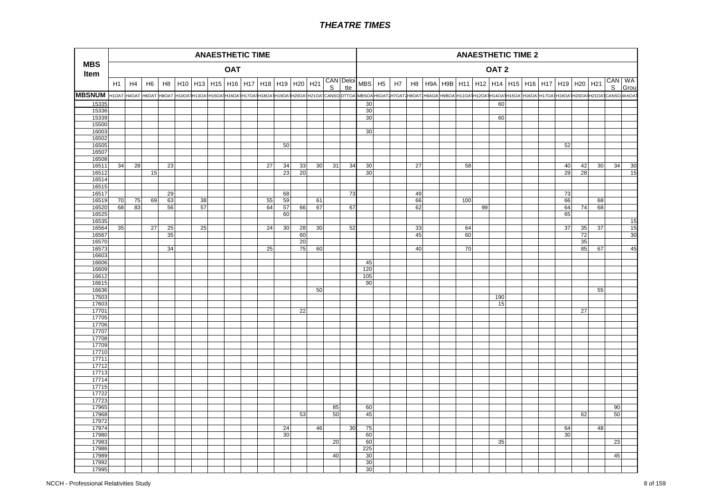|                    |    |                | <b>ANAESTHETIC TIME</b><br><b>OAT</b>                                                     |    |  |    |  |  |  |    |    |    |    |    |     |            |                |           |                |  |     | <b>ANAESTHETIC TIME 2</b> |                  |  |                                             |    |    |    |             |                 |
|--------------------|----|----------------|-------------------------------------------------------------------------------------------|----|--|----|--|--|--|----|----|----|----|----|-----|------------|----------------|-----------|----------------|--|-----|---------------------------|------------------|--|---------------------------------------------|----|----|----|-------------|-----------------|
| <b>MBS</b><br>Item |    |                | CAN Deloi<br>H10 H13 H15 H16 H17 H18 H19 H20 H21<br>H <sub>6</sub><br>H <sub>8</sub><br>S |    |  |    |  |  |  |    |    |    |    |    |     |            |                |           |                |  |     |                           | OAT <sub>2</sub> |  |                                             |    |    |    |             |                 |
|                    | H1 | H <sub>4</sub> |                                                                                           |    |  |    |  |  |  |    |    |    |    |    |     | <b>MBS</b> | H <sub>5</sub> | <b>H7</b> | H <sub>8</sub> |  |     |                           |                  |  | H9A H9B H11 H12 H14 H15 H16 H17 H19 H20 H21 |    |    |    | CAN WA<br>S | Grou            |
|                    |    |                |                                                                                           |    |  |    |  |  |  |    |    |    |    |    | tte |            |                |           |                |  |     |                           |                  |  |                                             |    |    |    |             |                 |
| 15335              |    |                |                                                                                           |    |  |    |  |  |  |    |    |    |    |    |     | 30         |                |           |                |  |     |                           | 60               |  |                                             |    |    |    |             |                 |
| 15336              |    |                |                                                                                           |    |  |    |  |  |  |    |    |    |    |    |     | 30<br>30   |                |           |                |  |     |                           |                  |  |                                             |    |    |    |             |                 |
| 15339              |    |                |                                                                                           |    |  |    |  |  |  |    |    |    |    |    |     |            |                |           |                |  |     |                           | 60               |  |                                             |    |    |    |             |                 |
| 15500              |    |                |                                                                                           |    |  |    |  |  |  |    |    |    |    |    |     | 30         |                |           |                |  |     |                           |                  |  |                                             |    |    |    |             |                 |
| 16003<br>16502     |    |                |                                                                                           |    |  |    |  |  |  |    |    |    |    |    |     |            |                |           |                |  |     |                           |                  |  |                                             |    |    |    |             |                 |
| 16505              |    |                |                                                                                           |    |  |    |  |  |  |    | 50 |    |    |    |     |            |                |           |                |  |     |                           |                  |  |                                             | 52 |    |    |             |                 |
| 16507              |    |                |                                                                                           |    |  |    |  |  |  |    |    |    |    |    |     |            |                |           |                |  |     |                           |                  |  |                                             |    |    |    |             |                 |
| 16508              |    |                |                                                                                           |    |  |    |  |  |  |    |    |    |    |    |     |            |                |           |                |  |     |                           |                  |  |                                             |    |    |    |             |                 |
| 16511              | 34 | 28             |                                                                                           | 23 |  |    |  |  |  | 27 | 34 | 33 | 30 | 31 | 34  | 30         |                |           | 27             |  | 58  |                           |                  |  |                                             | 40 | 42 | 30 | 34          | 30              |
| 16512<br>16514     |    |                | 15                                                                                        |    |  |    |  |  |  |    | 23 | 20 |    |    |     | 30         |                |           |                |  |     |                           |                  |  |                                             | 29 | 28 |    |             | 15              |
| 16515              |    |                |                                                                                           |    |  |    |  |  |  |    |    |    |    |    |     |            |                |           |                |  |     |                           |                  |  |                                             |    |    |    |             |                 |
| 16517              |    |                |                                                                                           | 29 |  |    |  |  |  |    | 68 |    |    |    | 73  |            |                |           | 49             |  |     |                           |                  |  |                                             | 73 |    |    |             |                 |
| 16519              | 70 | 75             | 69                                                                                        | 63 |  | 38 |  |  |  | 55 | 59 |    | 61 |    |     |            |                |           | 66             |  | 100 |                           |                  |  |                                             | 66 |    | 68 |             |                 |
| 16520              | 68 | 83             |                                                                                           | 56 |  | 57 |  |  |  | 64 | 57 | 66 | 67 |    | 67  |            |                |           | 62             |  |     | 99                        |                  |  |                                             | 64 | 74 | 68 |             |                 |
| 16525<br>16535     |    |                |                                                                                           |    |  |    |  |  |  |    | 60 |    |    |    |     |            |                |           |                |  |     |                           |                  |  |                                             | 65 |    |    |             |                 |
| 16564              | 35 |                | 27                                                                                        | 25 |  | 25 |  |  |  | 24 | 30 | 28 | 30 |    | 52  |            |                |           | 33             |  | 64  |                           |                  |  |                                             | 37 | 35 | 37 |             | 15              |
| 16567              |    |                |                                                                                           | 35 |  |    |  |  |  |    |    | 60 |    |    |     |            |                |           | 45             |  | 60  |                           |                  |  |                                             |    | 72 |    |             | $\frac{15}{30}$ |
| 16570              |    |                |                                                                                           |    |  |    |  |  |  |    |    | 20 |    |    |     |            |                |           |                |  |     |                           |                  |  |                                             |    | 35 |    |             |                 |
| 16573              |    |                |                                                                                           | 34 |  |    |  |  |  | 25 |    | 75 | 60 |    |     |            |                |           | 40             |  | 70  |                           |                  |  |                                             |    | 85 | 67 |             | 45              |
| 16603              |    |                |                                                                                           |    |  |    |  |  |  |    |    |    |    |    |     |            |                |           |                |  |     |                           |                  |  |                                             |    |    |    |             |                 |
| 16606<br>16609     |    |                |                                                                                           |    |  |    |  |  |  |    |    |    |    |    |     | 45<br>120  |                |           |                |  |     |                           |                  |  |                                             |    |    |    |             |                 |
| 16612              |    |                |                                                                                           |    |  |    |  |  |  |    |    |    |    |    |     | 105        |                |           |                |  |     |                           |                  |  |                                             |    |    |    |             |                 |
| 16615              |    |                |                                                                                           |    |  |    |  |  |  |    |    |    |    |    |     | 90         |                |           |                |  |     |                           |                  |  |                                             |    |    |    |             |                 |
| 16636              |    |                |                                                                                           |    |  |    |  |  |  |    |    |    | 50 |    |     |            |                |           |                |  |     |                           |                  |  |                                             |    |    | 55 |             |                 |
| 17503              |    |                |                                                                                           |    |  |    |  |  |  |    |    |    |    |    |     |            |                |           |                |  |     |                           | 190              |  |                                             |    |    |    |             |                 |
| 17603<br>17701     |    |                |                                                                                           |    |  |    |  |  |  |    |    | 22 |    |    |     |            |                |           |                |  |     |                           | 15               |  |                                             |    | 27 |    |             |                 |
| 17705              |    |                |                                                                                           |    |  |    |  |  |  |    |    |    |    |    |     |            |                |           |                |  |     |                           |                  |  |                                             |    |    |    |             |                 |
| 17706              |    |                |                                                                                           |    |  |    |  |  |  |    |    |    |    |    |     |            |                |           |                |  |     |                           |                  |  |                                             |    |    |    |             |                 |
| 17707              |    |                |                                                                                           |    |  |    |  |  |  |    |    |    |    |    |     |            |                |           |                |  |     |                           |                  |  |                                             |    |    |    |             |                 |
| 17708              |    |                |                                                                                           |    |  |    |  |  |  |    |    |    |    |    |     |            |                |           |                |  |     |                           |                  |  |                                             |    |    |    |             |                 |
| 17709              |    |                |                                                                                           |    |  |    |  |  |  |    |    |    |    |    |     |            |                |           |                |  |     |                           |                  |  |                                             |    |    |    |             |                 |
| 17710<br>17711     |    |                |                                                                                           |    |  |    |  |  |  |    |    |    |    |    |     |            |                |           |                |  |     |                           |                  |  |                                             |    |    |    |             |                 |
| 17712              |    |                |                                                                                           |    |  |    |  |  |  |    |    |    |    |    |     |            |                |           |                |  |     |                           |                  |  |                                             |    |    |    |             |                 |
| 17713              |    |                |                                                                                           |    |  |    |  |  |  |    |    |    |    |    |     |            |                |           |                |  |     |                           |                  |  |                                             |    |    |    |             |                 |
| 17714              |    |                |                                                                                           |    |  |    |  |  |  |    |    |    |    |    |     |            |                |           |                |  |     |                           |                  |  |                                             |    |    |    |             |                 |
| 17715              |    |                |                                                                                           |    |  |    |  |  |  |    |    |    |    |    |     |            |                |           |                |  |     |                           |                  |  |                                             |    |    |    |             |                 |
| 17722              |    |                |                                                                                           |    |  |    |  |  |  |    |    |    |    |    |     |            |                |           |                |  |     |                           |                  |  |                                             |    |    |    |             |                 |
| 17723<br>17965     |    |                |                                                                                           |    |  |    |  |  |  |    |    |    |    | 85 |     | 60         |                |           |                |  |     |                           |                  |  |                                             |    |    |    | 90          |                 |
| 17968              |    |                |                                                                                           |    |  |    |  |  |  |    |    | 53 |    | 50 |     | 45         |                |           |                |  |     |                           |                  |  |                                             |    | 62 |    | 50          |                 |
| 17972              |    |                |                                                                                           |    |  |    |  |  |  |    |    |    |    |    |     |            |                |           |                |  |     |                           |                  |  |                                             |    |    |    |             |                 |
| 17974              |    |                |                                                                                           |    |  |    |  |  |  |    | 24 |    | 46 |    | 30  | 75         |                |           |                |  |     |                           |                  |  |                                             | 64 |    | 48 |             |                 |
| 17980              |    |                |                                                                                           |    |  |    |  |  |  |    | 30 |    |    |    |     | 60         |                |           |                |  |     |                           |                  |  |                                             | 30 |    |    |             |                 |
| 17983<br>17986     |    |                |                                                                                           |    |  |    |  |  |  |    |    |    |    | 20 |     | 60<br>225  |                |           |                |  |     |                           | 35               |  |                                             |    |    |    | 23          |                 |
| 17989              |    |                |                                                                                           |    |  |    |  |  |  |    |    |    |    | 40 |     | 30         |                |           |                |  |     |                           |                  |  |                                             |    |    |    | 45          |                 |
| 17992              |    |                |                                                                                           |    |  |    |  |  |  |    |    |    |    |    |     | 30         |                |           |                |  |     |                           |                  |  |                                             |    |    |    |             |                 |
| 17995              |    |                |                                                                                           |    |  |    |  |  |  |    |    |    |    |    |     | 30         |                |           |                |  |     |                           |                  |  |                                             |    |    |    |             |                 |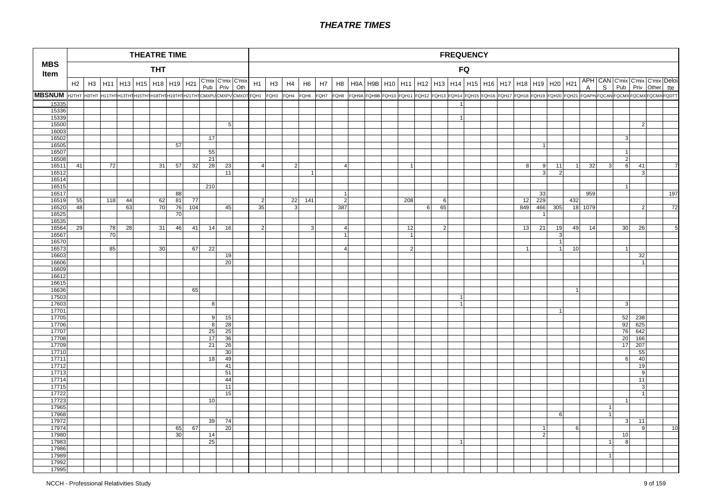|                                                                                                                                                                                                                                |    |     | <b>THEATRE TIME</b>        |            |                 |     |                 |                                   |                |           |                         |                |                |                |                                                                                        |                |   |                |                      | <b>FREQUENCY</b> |  |     |                |                |     |                |                                 |                      |                |
|--------------------------------------------------------------------------------------------------------------------------------------------------------------------------------------------------------------------------------|----|-----|----------------------------|------------|-----------------|-----|-----------------|-----------------------------------|----------------|-----------|-------------------------|----------------|----------------|----------------|----------------------------------------------------------------------------------------|----------------|---|----------------|----------------------|------------------|--|-----|----------------|----------------|-----|----------------|---------------------------------|----------------------|----------------|
| <b>MBS</b><br>Item                                                                                                                                                                                                             |    |     |                            | <b>THT</b> |                 |     |                 |                                   |                |           |                         |                |                |                |                                                                                        |                |   |                |                      | <b>FQ</b>        |  |     |                |                |     |                |                                 |                      |                |
|                                                                                                                                                                                                                                | H2 |     | H3 H11 H13 H15 H18 H19 H21 |            |                 |     |                 | C'mix C'mix C'mix<br>Pub Priv Oth |                | $H1$ $H3$ | H4                      | H6             | H <sub>7</sub> |                | H8   H9A   H9B   H10   H11   H12   H13   H14   H15   H16   H17   H18   H19   H20   H21 |                |   |                |                      |                  |  |     |                |                |     | $\overline{A}$ | APH CAN C'mix C'mix C'mix Deloi | S Pub Priv Other tte |                |
| MBSNUM  H2THT  H3THT  H3THT H13THT H13THT H18THT H18THT H21THT CMXPU CMXPV CMXOT FQH1  FQH3  FQH4  FQH6  FQH7  FQH8  FQH9 GH9B GAH9 FQH13 FQH13 FQH14 FQH15 FQH16 FQH17 FQH18 FQH19 FQH2 FQH2 FQAH2 FQCM2 FQCMX FQCMX FQCMX FQ |    |     |                            |            |                 |     |                 |                                   |                |           |                         |                |                |                |                                                                                        |                |   |                |                      |                  |  |     |                |                |     |                |                                 |                      |                |
| 15335                                                                                                                                                                                                                          |    |     |                            |            |                 |     |                 |                                   |                |           |                         |                |                |                |                                                                                        |                |   |                | $\overline{1}$       |                  |  |     |                |                |     |                |                                 |                      |                |
| 15336                                                                                                                                                                                                                          |    |     |                            |            |                 |     |                 |                                   |                |           |                         |                |                |                |                                                                                        |                |   |                |                      |                  |  |     |                |                |     |                |                                 |                      |                |
| 15339                                                                                                                                                                                                                          |    |     |                            |            |                 |     |                 |                                   |                |           |                         |                |                |                |                                                                                        |                |   |                | $\blacktriangleleft$ |                  |  |     |                |                |     |                |                                 |                      |                |
| 15500                                                                                                                                                                                                                          |    |     |                            |            |                 |     |                 | 5 <sub>5</sub>                    |                |           |                         |                |                |                |                                                                                        |                |   |                |                      |                  |  |     |                |                |     |                |                                 | 2                    |                |
| 16003<br>16502                                                                                                                                                                                                                 |    |     |                            |            |                 |     | 17              |                                   |                |           |                         |                |                |                |                                                                                        |                |   |                |                      |                  |  |     |                |                |     |                | $\mathbf{3}$                    |                      |                |
| 16505                                                                                                                                                                                                                          |    |     |                            |            | 57              |     |                 |                                   |                |           |                         |                |                |                |                                                                                        |                |   |                |                      |                  |  |     | 1              |                |     |                |                                 |                      |                |
| 16507                                                                                                                                                                                                                          |    |     |                            |            |                 |     | 55              |                                   |                |           |                         |                |                |                |                                                                                        |                |   |                |                      |                  |  |     |                |                |     |                | $\overline{1}$                  |                      |                |
| 16508                                                                                                                                                                                                                          |    |     |                            |            |                 |     | 21              |                                   |                |           |                         |                |                |                |                                                                                        |                |   |                |                      |                  |  |     |                |                |     |                | <sub>2</sub>                    |                      |                |
| 16511                                                                                                                                                                                                                          | 41 | 72  |                            | 31         | 57              | 32  | 28              | 23                                | $\vert$        |           | $\overline{2}$          |                |                | $\overline{4}$ |                                                                                        | 1              |   |                |                      |                  |  | 8   | 9              | 11             | 1   | 32             | $\overline{3}$<br>6             | 41                   | $\overline{7}$ |
| 16512<br>16514                                                                                                                                                                                                                 |    |     |                            |            |                 |     |                 | 11                                |                |           |                         | 1              |                |                |                                                                                        |                |   |                |                      |                  |  |     | 3              | $\overline{2}$ |     |                |                                 | $\mathbf{3}$         |                |
| 16515                                                                                                                                                                                                                          |    |     |                            |            |                 |     | 210             |                                   |                |           |                         |                |                |                |                                                                                        |                |   |                |                      |                  |  |     |                |                |     |                | $\overline{1}$                  |                      |                |
| 16517                                                                                                                                                                                                                          |    |     |                            |            | 88              |     |                 |                                   |                |           |                         |                |                | $\overline{1}$ |                                                                                        |                |   |                |                      |                  |  |     | 33             |                |     | 959            |                                 |                      | 197            |
| 16519                                                                                                                                                                                                                          | 55 | 118 | 44                         | 62         | 81              | 77  |                 |                                   | 2              |           |                         | 22 141         |                | $\overline{2}$ |                                                                                        | 208            |   | 6              |                      |                  |  | 12  | 229            |                | 432 |                |                                 |                      |                |
| 16520                                                                                                                                                                                                                          | 48 |     | 63                         | 70         | 76              | 104 |                 | 45                                | 35             |           | $\overline{\mathbf{3}}$ |                |                | 387            |                                                                                        |                | 6 | 65             |                      |                  |  | 849 | 466            | 305            |     | 18 1079        |                                 | 2                    | 72             |
| 16525                                                                                                                                                                                                                          |    |     |                            |            | 70              |     |                 |                                   |                |           |                         |                |                |                |                                                                                        |                |   |                |                      |                  |  |     | 1              |                |     |                |                                 |                      |                |
| 16535<br>16564                                                                                                                                                                                                                 | 29 | 78  | 28                         | 31         | 46              | 41  | 14              | 16                                | $\overline{2}$ |           |                         | $\overline{3}$ |                | $\overline{4}$ |                                                                                        | 12             |   | $\overline{2}$ |                      |                  |  | 13  | 21             | 19             | 49  | 14             | 30                              | 26                   | 5              |
| 16567                                                                                                                                                                                                                          |    | 70  |                            |            |                 |     |                 |                                   |                |           |                         |                |                | $\overline{1}$ |                                                                                        | $\mathbf{1}$   |   |                |                      |                  |  |     |                | $\overline{3}$ |     |                |                                 |                      |                |
| 16570                                                                                                                                                                                                                          |    |     |                            |            |                 |     |                 |                                   |                |           |                         |                |                |                |                                                                                        |                |   |                |                      |                  |  |     |                | 1              |     |                |                                 |                      |                |
| 16573                                                                                                                                                                                                                          |    | 85  |                            | 30         |                 | 67  | 22              |                                   |                |           |                         |                |                | $\overline{4}$ |                                                                                        | 2 <sup>1</sup> |   |                |                      |                  |  | 1   |                | $\overline{1}$ | 10  |                | $\overline{1}$                  |                      |                |
| 16603                                                                                                                                                                                                                          |    |     |                            |            |                 |     |                 | 19                                |                |           |                         |                |                |                |                                                                                        |                |   |                |                      |                  |  |     |                |                |     |                |                                 | 32                   |                |
| 16606                                                                                                                                                                                                                          |    |     |                            |            |                 |     |                 | 20                                |                |           |                         |                |                |                |                                                                                        |                |   |                |                      |                  |  |     |                |                |     |                |                                 | $\overline{1}$       |                |
| 16609<br>16612                                                                                                                                                                                                                 |    |     |                            |            |                 |     |                 |                                   |                |           |                         |                |                |                |                                                                                        |                |   |                |                      |                  |  |     |                |                |     |                |                                 |                      |                |
| 16615                                                                                                                                                                                                                          |    |     |                            |            |                 |     |                 |                                   |                |           |                         |                |                |                |                                                                                        |                |   |                |                      |                  |  |     |                |                |     |                |                                 |                      |                |
| 16636                                                                                                                                                                                                                          |    |     |                            |            |                 | 65  |                 |                                   |                |           |                         |                |                |                |                                                                                        |                |   |                |                      |                  |  |     |                |                | 1   |                |                                 |                      |                |
| 17503                                                                                                                                                                                                                          |    |     |                            |            |                 |     |                 |                                   |                |           |                         |                |                |                |                                                                                        |                |   |                | $\mathbf{1}$         |                  |  |     |                |                |     |                |                                 |                      |                |
| 17603                                                                                                                                                                                                                          |    |     |                            |            |                 |     | 8 <sup>1</sup>  |                                   |                |           |                         |                |                |                |                                                                                        |                |   |                | $\mathbf{1}$         |                  |  |     |                |                |     |                | $\mathbf{3}$                    |                      |                |
| 17701<br>17705                                                                                                                                                                                                                 |    |     |                            |            |                 |     | 9               |                                   |                |           |                         |                |                |                |                                                                                        |                |   |                |                      |                  |  |     |                | 11             |     |                |                                 | 238                  |                |
| 17706                                                                                                                                                                                                                          |    |     |                            |            |                 |     | 8               | 15<br>28                          |                |           |                         |                |                |                |                                                                                        |                |   |                |                      |                  |  |     |                |                |     |                | 52<br>92                        | 625                  |                |
| 17707                                                                                                                                                                                                                          |    |     |                            |            |                 |     | 25              | 25                                |                |           |                         |                |                |                |                                                                                        |                |   |                |                      |                  |  |     |                |                |     |                | 76                              | 642                  |                |
| 17708                                                                                                                                                                                                                          |    |     |                            |            |                 |     | 17              | 36                                |                |           |                         |                |                |                |                                                                                        |                |   |                |                      |                  |  |     |                |                |     |                | 20                              | 166                  |                |
| 17709                                                                                                                                                                                                                          |    |     |                            |            |                 |     | 21              | 26                                |                |           |                         |                |                |                |                                                                                        |                |   |                |                      |                  |  |     |                |                |     |                | 17                              | 207                  |                |
| 17710                                                                                                                                                                                                                          |    |     |                            |            |                 |     |                 | 30                                |                |           |                         |                |                |                |                                                                                        |                |   |                |                      |                  |  |     |                |                |     |                |                                 | 55                   |                |
| 17711<br>17712                                                                                                                                                                                                                 |    |     |                            |            |                 |     | 18              | 49<br>41                          |                |           |                         |                |                |                |                                                                                        |                |   |                |                      |                  |  |     |                |                |     |                | 6                               | 40<br>19             |                |
| 17713                                                                                                                                                                                                                          |    |     |                            |            |                 |     |                 | 51                                |                |           |                         |                |                |                |                                                                                        |                |   |                |                      |                  |  |     |                |                |     |                |                                 | -9                   |                |
| 17714                                                                                                                                                                                                                          |    |     |                            |            |                 |     |                 | 44                                |                |           |                         |                |                |                |                                                                                        |                |   |                |                      |                  |  |     |                |                |     |                |                                 | 11                   |                |
| 17715                                                                                                                                                                                                                          |    |     |                            |            |                 |     |                 | 11                                |                |           |                         |                |                |                |                                                                                        |                |   |                |                      |                  |  |     |                |                |     |                |                                 | $\mathbf{3}$         |                |
| 17722                                                                                                                                                                                                                          |    |     |                            |            |                 |     |                 | 15                                |                |           |                         |                |                |                |                                                                                        |                |   |                |                      |                  |  |     |                |                |     |                |                                 | 1                    |                |
| 17723                                                                                                                                                                                                                          |    |     |                            |            |                 |     | 10              |                                   |                |           |                         |                |                |                |                                                                                        |                |   |                |                      |                  |  |     |                |                |     |                | $\mathbf{1}$<br>$\overline{1}$  |                      |                |
| 17965<br>17968                                                                                                                                                                                                                 |    |     |                            |            |                 |     |                 |                                   |                |           |                         |                |                |                |                                                                                        |                |   |                |                      |                  |  |     |                | 6 <sup>1</sup> |     |                | $\mathbf{1}$                    |                      |                |
| 17972                                                                                                                                                                                                                          |    |     |                            |            |                 |     | 39              | 74                                |                |           |                         |                |                |                |                                                                                        |                |   |                |                      |                  |  |     |                |                |     |                | 3                               | 11                   |                |
| 17974                                                                                                                                                                                                                          |    |     |                            |            | 65              | 67  |                 | 20                                |                |           |                         |                |                |                |                                                                                        |                |   |                |                      |                  |  |     | $\mathbf{1}$   |                | 6   |                |                                 | 9                    | 10             |
| 17980                                                                                                                                                                                                                          |    |     |                            |            | 30 <sup>1</sup> |     | 14              |                                   |                |           |                         |                |                |                |                                                                                        |                |   |                |                      |                  |  |     | $\overline{2}$ |                |     |                | 10                              |                      |                |
| 17983                                                                                                                                                                                                                          |    |     |                            |            |                 |     | $\overline{25}$ |                                   |                |           |                         |                |                |                |                                                                                        |                |   |                | $\overline{1}$       |                  |  |     |                |                |     |                | $\overline{1}$<br>8             |                      |                |
| 17986<br>17989                                                                                                                                                                                                                 |    |     |                            |            |                 |     |                 |                                   |                |           |                         |                |                |                |                                                                                        |                |   |                |                      |                  |  |     |                |                |     |                | 1                               |                      |                |
| 17992                                                                                                                                                                                                                          |    |     |                            |            |                 |     |                 |                                   |                |           |                         |                |                |                |                                                                                        |                |   |                |                      |                  |  |     |                |                |     |                |                                 |                      |                |
| 17995                                                                                                                                                                                                                          |    |     |                            |            |                 |     |                 |                                   |                |           |                         |                |                |                |                                                                                        |                |   |                |                      |                  |  |     |                |                |     |                |                                 |                      |                |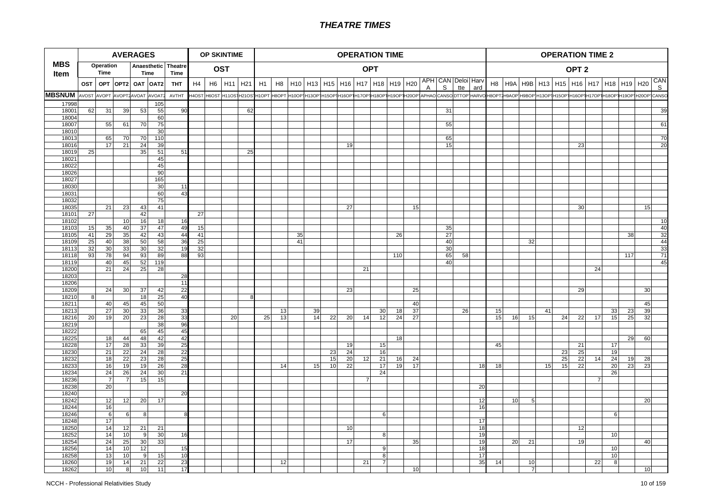|                           |            |                   |                  | <b>AVERAGES</b>                |           |                 |    | OP SKINTIME |    |    |    |                                                                                                                                                                                                                |                       |                 |                | <b>OPERATION TIME</b> |     |                 |                                           |     |          |    |                 |                 |                                                          |    |                  | <b>OPERATION TIME 2</b> |                       |     |                 |                      |
|---------------------------|------------|-------------------|------------------|--------------------------------|-----------|-----------------|----|-------------|----|----|----|----------------------------------------------------------------------------------------------------------------------------------------------------------------------------------------------------------------|-----------------------|-----------------|----------------|-----------------------|-----|-----------------|-------------------------------------------|-----|----------|----|-----------------|-----------------|----------------------------------------------------------|----|------------------|-------------------------|-----------------------|-----|-----------------|----------------------|
| <b>MBS</b><br><b>Item</b> |            | Operation<br>Time |                  | Anaesthetic<br><b>Time</b>     |           | Theatre<br>Time |    | <b>OST</b>  |    |    |    |                                                                                                                                                                                                                |                       |                 | <b>OPT</b>     |                       |     |                 |                                           |     |          |    |                 |                 |                                                          |    | OPT <sub>2</sub> |                         |                       |     |                 |                      |
|                           | <b>OST</b> |                   |                  | OPT OPT2 OAT OAT2              |           | <b>THT</b>      | H4 | H6 H11 H21  |    | H1 |    | H8   H10   H13   H15   H16   H17   H18   H19   H20                                                                                                                                                             |                       |                 |                |                       |     | A               | APH   CAN   Deloi   Harv<br>$\mathcal{S}$ | tte | ard      |    |                 |                 | H8   H9A   H9B   H13   H15   H16   H17   H18   H19   H20 |    |                  |                         |                       |     |                 | CAN<br>$\mathcal{S}$ |
| <b>MBSNUM</b>             |            |                   |                  | AVOST AVOPT AVOPTZAVOAT AVOATZ |           | AVTHT           |    |             |    |    |    | +4OST H6OST H11OS1H21OS H1OPT H8OPT H10OP1H13OP H15OP1H16OP1H17OP1H18OP1H19OP1H2OOP1APHAO CANSO DTTOP HARVO H8OPT1H9AOP H9BOP H13OP H16OP1H16OP1H18OP1H18OP1H18OP1H19OP1H2OP1H19OP1H2OP1H19OP1H2OP1H19OP1H2OP1 |                       |                 |                |                       |     |                 |                                           |     |          |    |                 |                 |                                                          |    |                  |                         |                       |     |                 |                      |
| 17998                     |            |                   |                  |                                | 105       |                 |    |             |    |    |    |                                                                                                                                                                                                                |                       |                 |                |                       |     |                 |                                           |     |          |    |                 |                 |                                                          |    |                  |                         |                       |     |                 |                      |
| 18001                     | 62         | 31                | 39               | 53                             | 55        | 90              |    |             | 62 |    |    |                                                                                                                                                                                                                |                       |                 |                |                       |     |                 | 31                                        |     |          |    |                 |                 |                                                          |    |                  |                         |                       |     |                 | 39                   |
| 18004<br>18007            |            | 55                | 61               | 70                             | 60<br>75  |                 |    |             |    |    |    |                                                                                                                                                                                                                |                       |                 |                |                       |     |                 | 55                                        |     |          |    |                 |                 |                                                          |    |                  |                         |                       |     |                 | 61                   |
| 18010                     |            |                   |                  |                                | 30        |                 |    |             |    |    |    |                                                                                                                                                                                                                |                       |                 |                |                       |     |                 |                                           |     |          |    |                 |                 |                                                          |    |                  |                         |                       |     |                 |                      |
| 18013                     |            | 65                | 70               | 70                             | 110       |                 |    |             |    |    |    |                                                                                                                                                                                                                |                       |                 |                |                       |     |                 | 65                                        |     |          |    |                 |                 |                                                          |    |                  |                         |                       |     |                 | 70                   |
| 18016                     |            | 17                | 21               | 24                             | 39<br>51  |                 |    |             |    |    |    |                                                                                                                                                                                                                |                       | 19              |                |                       |     |                 | 15                                        |     |          |    |                 |                 |                                                          |    | 23               |                         |                       |     |                 | 20                   |
| 18019<br>18021            | 25         |                   |                  | 35                             | 45        | 51              |    |             | 25 |    |    |                                                                                                                                                                                                                |                       |                 |                |                       |     |                 |                                           |     |          |    |                 |                 |                                                          |    |                  |                         |                       |     |                 |                      |
| 18022                     |            |                   |                  |                                | 45        |                 |    |             |    |    |    |                                                                                                                                                                                                                |                       |                 |                |                       |     |                 |                                           |     |          |    |                 |                 |                                                          |    |                  |                         |                       |     |                 |                      |
| 18026                     |            |                   |                  |                                | 90        |                 |    |             |    |    |    |                                                                                                                                                                                                                |                       |                 |                |                       |     |                 |                                           |     |          |    |                 |                 |                                                          |    |                  |                         |                       |     |                 |                      |
| 18027                     |            |                   |                  |                                | 165       |                 |    |             |    |    |    |                                                                                                                                                                                                                |                       |                 |                |                       |     |                 |                                           |     |          |    |                 |                 |                                                          |    |                  |                         |                       |     |                 |                      |
| 18030<br>18031            |            |                   |                  |                                | 30<br>60  | 11<br>43        |    |             |    |    |    |                                                                                                                                                                                                                |                       |                 |                |                       |     |                 |                                           |     |          |    |                 |                 |                                                          |    |                  |                         |                       |     |                 |                      |
| 18032                     |            |                   |                  |                                | 75        |                 |    |             |    |    |    |                                                                                                                                                                                                                |                       |                 |                |                       |     |                 |                                           |     |          |    |                 |                 |                                                          |    |                  |                         |                       |     |                 |                      |
| 18035                     |            | 21                | 23               | 43                             | 41        |                 |    |             |    |    |    |                                                                                                                                                                                                                |                       | 27              |                |                       |     | 15 <sup>1</sup> |                                           |     |          |    |                 |                 |                                                          |    | 30               |                         |                       |     | 15              |                      |
| 18101                     | 27         |                   |                  | 42                             |           |                 | 27 |             |    |    |    |                                                                                                                                                                                                                |                       |                 |                |                       |     |                 |                                           |     |          |    |                 |                 |                                                          |    |                  |                         |                       |     |                 |                      |
| 18102<br>18103            | 15         | 35                | 10<br>40         | 16<br>37                       | 18<br>47  | 16<br>49        | 15 |             |    |    |    |                                                                                                                                                                                                                |                       |                 |                |                       |     |                 | 35                                        |     |          |    |                 |                 |                                                          |    |                  |                         |                       |     |                 | 10<br>40             |
| 18105                     | 41         | 29                | 35               | 42                             | 43        | 44              | 41 |             |    |    |    | 35                                                                                                                                                                                                             |                       |                 |                |                       | 26  |                 | 27                                        |     |          |    |                 |                 |                                                          |    |                  |                         |                       | 38  |                 | 32                   |
| 18109                     | 25         | 40                | 38               | 50                             | 58        | 36              | 25 |             |    |    |    | 41                                                                                                                                                                                                             |                       |                 |                |                       |     |                 | 40                                        |     |          |    |                 | 32              |                                                          |    |                  |                         |                       |     |                 | 44                   |
| 18113                     | 32         | 30                | 33               | 30                             | 32        | 19              | 32 |             |    |    |    |                                                                                                                                                                                                                |                       |                 |                |                       |     |                 | 30                                        |     |          |    |                 |                 |                                                          |    |                  |                         |                       |     |                 | 33                   |
| 18118<br>18119            | 93         | 78<br>40          | 94<br>45         | 93<br>52                       | 89<br>119 | 88              | 93 |             |    |    |    |                                                                                                                                                                                                                |                       |                 |                |                       | 110 |                 | 65<br>40                                  | 58  |          |    |                 |                 |                                                          |    |                  |                         |                       | 117 |                 | 71<br>45             |
| 18200                     |            | 21                | 24               | 25                             | 28        |                 |    |             |    |    |    |                                                                                                                                                                                                                |                       |                 | 21             |                       |     |                 |                                           |     |          |    |                 |                 |                                                          |    |                  | 24                      |                       |     |                 |                      |
| 18203                     |            |                   |                  |                                |           | 28              |    |             |    |    |    |                                                                                                                                                                                                                |                       |                 |                |                       |     |                 |                                           |     |          |    |                 |                 |                                                          |    |                  |                         |                       |     |                 |                      |
| 18206                     |            |                   |                  |                                |           | 11              |    |             |    |    |    |                                                                                                                                                                                                                |                       |                 |                |                       |     |                 |                                           |     |          |    |                 |                 |                                                          |    |                  |                         |                       |     |                 |                      |
| 18209                     |            | 24                | 30               | 37<br>18                       | 42<br>25  | 22<br>40        |    |             | -8 |    |    |                                                                                                                                                                                                                |                       | 23              |                |                       |     | 25              |                                           |     |          |    |                 |                 |                                                          |    | 29               |                         |                       |     | 30              |                      |
| 18210<br>18211            | 8          | 40                | 45               | 45                             | 50        |                 |    |             |    |    |    |                                                                                                                                                                                                                |                       |                 |                |                       |     | 40              |                                           |     |          |    |                 |                 |                                                          |    |                  |                         |                       |     | 45              |                      |
| 18213                     |            | 27                | 30               | 33                             | 36        | 33              |    |             |    |    | 13 |                                                                                                                                                                                                                | 39                    |                 |                | 30 <sub>1</sub>       | 18  | 37              |                                           | 26  |          | 15 |                 |                 | 41                                                       |    |                  |                         | 33                    | 23  | 39              |                      |
| 18216                     | 20         | 19                | 20               | 23                             | 28        | 33              |    | 20          |    | 25 | 13 |                                                                                                                                                                                                                | 14<br>22              | 20              | 14             | 12                    | 24  | 27              |                                           |     |          | 15 | 16              | 15 <sup>1</sup> |                                                          | 24 | 22               | 17                      | 15                    | 25  | 32              |                      |
| 18219                     |            |                   |                  |                                | 38        | 96              |    |             |    |    |    |                                                                                                                                                                                                                |                       |                 |                |                       |     |                 |                                           |     |          |    |                 |                 |                                                          |    |                  |                         |                       |     |                 |                      |
| 18222<br>18225            |            | 18                | 44               | 65<br>48                       | 45<br>42  | 45<br>42        |    |             |    |    |    |                                                                                                                                                                                                                |                       |                 |                |                       | 18  |                 |                                           |     |          |    |                 |                 |                                                          |    |                  |                         |                       | 29  | 60              |                      |
| 18228                     |            | 17                | 28               | 33                             | 39        | $\overline{25}$ |    |             |    |    |    |                                                                                                                                                                                                                |                       | 19              |                | 15                    |     |                 |                                           |     |          | 45 |                 |                 |                                                          |    | 21               |                         | 17                    |     |                 |                      |
| 18230                     |            | 21                | 22               | 24                             | 28        | 22              |    |             |    |    |    |                                                                                                                                                                                                                | 23                    | 24              |                | 16                    |     |                 |                                           |     |          |    |                 |                 |                                                          | 23 | 25               |                         | 19                    |     |                 |                      |
| 18232                     |            | 18                | 22               | 23                             | 28        | 25              |    |             |    |    |    |                                                                                                                                                                                                                | 15                    | 20              | 12             | 21                    | 16  | 24              |                                           |     |          |    |                 |                 |                                                          | 25 | 22               | 14                      | 24                    | 19  | 28              |                      |
| 18233<br>18234            |            | 16<br>24          | 19<br>26         | 19<br>24                       | 26<br>30  | 28<br>21        |    |             |    |    | 14 |                                                                                                                                                                                                                | 15<br>10 <sup>1</sup> | 22              |                | 17<br>24              | 19  | 17              |                                           |     | 18       | 18 |                 |                 | 15                                                       | 15 | $\overline{22}$  |                         | $\overline{20}$<br>26 | 23  | 23              |                      |
| 18236                     |            | $\overline{7}$    | $\overline{7}$   | 15                             | 15        |                 |    |             |    |    |    |                                                                                                                                                                                                                |                       |                 | $\overline{7}$ |                       |     |                 |                                           |     |          |    |                 |                 |                                                          |    |                  | $\overline{7}$          |                       |     |                 |                      |
| 18238                     |            | 20                |                  |                                |           |                 |    |             |    |    |    |                                                                                                                                                                                                                |                       |                 |                |                       |     |                 |                                           |     | 20       |    |                 |                 |                                                          |    |                  |                         |                       |     |                 |                      |
| 18240                     |            |                   |                  |                                |           | 20              |    |             |    |    |    |                                                                                                                                                                                                                |                       |                 |                |                       |     |                 |                                           |     |          |    |                 |                 |                                                          |    |                  |                         |                       |     |                 |                      |
| 18242<br>18244            |            | 12<br>16          | 12               | 20                             | 17        |                 |    |             |    |    |    |                                                                                                                                                                                                                |                       |                 |                |                       |     |                 |                                           |     | 12<br>16 |    | 10 <sup>1</sup> | 5 <sup>1</sup>  |                                                          |    |                  |                         |                       |     | 20              |                      |
| 18246                     |            | 6                 | $6 \overline{6}$ | 8                              |           |                 |    |             |    |    |    |                                                                                                                                                                                                                |                       |                 |                | 6                     |     |                 |                                           |     |          |    |                 |                 |                                                          |    |                  |                         | 6                     |     |                 |                      |
| 18248                     |            | 17                |                  |                                |           |                 |    |             |    |    |    |                                                                                                                                                                                                                |                       |                 |                |                       |     |                 |                                           |     | 17       |    |                 |                 |                                                          |    |                  |                         |                       |     |                 |                      |
| 18250                     |            | 14                | 12               | 21                             | 21        |                 |    |             |    |    |    |                                                                                                                                                                                                                |                       | 10 <sup>1</sup> |                |                       |     |                 |                                           |     | 18       |    |                 |                 |                                                          |    | 12               |                         |                       |     |                 |                      |
| 18252<br>18254            |            | 14<br>24          | 10<br>25         | $9\,$<br>30                    | 30<br>33  | 16              |    |             |    |    |    |                                                                                                                                                                                                                |                       | 17              |                | 8                     |     | 35              |                                           |     | 19<br>19 |    | 20              | 21              |                                                          |    | 19               |                         | 10                    |     | 40              |                      |
| 18256                     |            | 14                | 10 <sup>1</sup>  | 12                             |           | 15              |    |             |    |    |    |                                                                                                                                                                                                                |                       |                 |                | -91                   |     |                 |                                           |     | 18       |    |                 |                 |                                                          |    |                  |                         | 10                    |     |                 |                      |
| 18258                     |            | 13                | 10               | 9                              | 15        | 10              |    |             |    |    |    |                                                                                                                                                                                                                |                       |                 |                | 8                     |     |                 |                                           |     | 17       |    |                 |                 |                                                          |    |                  |                         | 10                    |     |                 |                      |
| 18260                     |            | 19                | 14               | 21                             | 22        | 23              |    |             |    |    | 12 |                                                                                                                                                                                                                |                       |                 | 21             | 7                     |     |                 |                                           |     | 35       | 14 |                 | 10              |                                                          |    |                  | 22                      | 8                     |     |                 |                      |
| 18262                     |            | 10                | 8 <sup>1</sup>   | 10                             | 11        | 17              |    |             |    |    |    |                                                                                                                                                                                                                |                       |                 |                |                       |     | 10              |                                           |     |          |    |                 | $\overline{7}$  |                                                          |    |                  |                         |                       |     | 10 <sup>1</sup> |                      |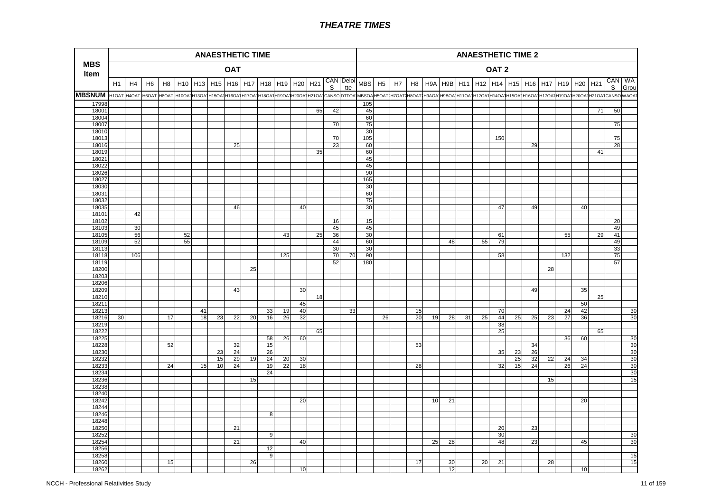|                    |    | <b>ANAESTHETIC TIME</b><br><b>OAT</b>                                                                                                                                                          |  |    |    |    |    |                       |    |                  |     |                 |    |          |    |                                                                                                   |                |    |                |     |          |    | <b>ANAESTHETIC TIME 2</b>                                 |                  |          |          |    |     |    |    |             |                 |
|--------------------|----|------------------------------------------------------------------------------------------------------------------------------------------------------------------------------------------------|--|----|----|----|----|-----------------------|----|------------------|-----|-----------------|----|----------|----|---------------------------------------------------------------------------------------------------|----------------|----|----------------|-----|----------|----|-----------------------------------------------------------|------------------|----------|----------|----|-----|----|----|-------------|-----------------|
| <b>MBS</b><br>Item |    | H4<br>H <sub>6</sub><br>H <sub>8</sub>                                                                                                                                                         |  |    |    |    |    |                       |    |                  |     |                 |    |          |    |                                                                                                   |                |    |                |     |          |    |                                                           | OAT <sub>2</sub> |          |          |    |     |    |    |             |                 |
|                    | H1 | <b>CAN</b> Deloi<br>H10   H13   H15   H16   H17   H18   H19   H20   H21<br>S<br>tte<br>MBSNUM  H1OAT  H4OAT  H6OAT  H8OAT  H10OAT H13OAT H15OAT H16OAT H17OAT H18OAT H19OAT H21OAT CANSO DTTOA |  |    |    |    |    |                       |    |                  |     |                 |    |          |    | <b>MBS</b>                                                                                        | H <sub>5</sub> | H7 | H <sub>8</sub> | H9A |          |    | H9B   H11   H12   H14   H15   H16   H17   H19   H20   H21 |                  |          |          |    |     |    |    | CAN WA<br>S | Grou            |
|                    |    |                                                                                                                                                                                                |  |    |    |    |    |                       |    |                  |     |                 |    |          |    | MBOAWOSHADTAOTHTAOOTHTAOTHTAOTHTAOTHTAOTHTAOATHTAOATHTAOTHTAOTHTAOTHTAOAHTAOTHTAOTHTAOTHTAOTHAOBH |                |    |                |     |          |    |                                                           |                  |          |          |    |     |    |    |             |                 |
| 17998              |    |                                                                                                                                                                                                |  |    |    |    |    |                       |    |                  |     |                 |    |          |    | 105                                                                                               |                |    |                |     |          |    |                                                           |                  |          |          |    |     |    |    |             |                 |
| 18001              |    |                                                                                                                                                                                                |  |    |    |    |    |                       |    |                  |     |                 | 65 | 42       |    | 45                                                                                                |                |    |                |     |          |    |                                                           |                  |          |          |    |     |    | 71 | 50          |                 |
| 18004              |    |                                                                                                                                                                                                |  |    |    |    |    |                       |    |                  |     |                 |    | 70       |    | 60                                                                                                |                |    |                |     |          |    |                                                           |                  |          |          |    |     |    |    |             |                 |
| 18007              |    |                                                                                                                                                                                                |  |    |    |    |    |                       |    |                  |     |                 |    |          |    | 75                                                                                                |                |    |                |     |          |    |                                                           |                  |          |          |    |     |    |    | 75          |                 |
| 18010<br>18013     |    |                                                                                                                                                                                                |  |    |    |    |    |                       |    |                  |     |                 |    | 70       |    | 30<br>105                                                                                         |                |    |                |     |          |    |                                                           | 150              |          |          |    |     |    |    | 75          |                 |
| 18016              |    |                                                                                                                                                                                                |  |    |    |    |    | 25                    |    |                  |     |                 |    | 23       |    | 60                                                                                                |                |    |                |     |          |    |                                                           |                  |          | 29       |    |     |    |    | 28          |                 |
| 18019              |    |                                                                                                                                                                                                |  |    |    |    |    |                       |    |                  |     |                 | 35 |          |    | 60                                                                                                |                |    |                |     |          |    |                                                           |                  |          |          |    |     |    | 41 |             |                 |
| 18021              |    |                                                                                                                                                                                                |  |    |    |    |    |                       |    |                  |     |                 |    |          |    | 45                                                                                                |                |    |                |     |          |    |                                                           |                  |          |          |    |     |    |    |             |                 |
| 18022              |    |                                                                                                                                                                                                |  |    |    |    |    |                       |    |                  |     |                 |    |          |    | 45                                                                                                |                |    |                |     |          |    |                                                           |                  |          |          |    |     |    |    |             |                 |
| 18026              |    |                                                                                                                                                                                                |  |    |    |    |    |                       |    |                  |     |                 |    |          |    | 90                                                                                                |                |    |                |     |          |    |                                                           |                  |          |          |    |     |    |    |             |                 |
| 18027              |    |                                                                                                                                                                                                |  |    |    |    |    |                       |    |                  |     |                 |    |          |    | 165                                                                                               |                |    |                |     |          |    |                                                           |                  |          |          |    |     |    |    |             |                 |
| 18030<br>18031     |    |                                                                                                                                                                                                |  |    |    |    |    |                       |    |                  |     |                 |    |          |    | 30<br>60                                                                                          |                |    |                |     |          |    |                                                           |                  |          |          |    |     |    |    |             |                 |
| 18032              |    |                                                                                                                                                                                                |  |    |    |    |    |                       |    |                  |     |                 |    |          |    | 75                                                                                                |                |    |                |     |          |    |                                                           |                  |          |          |    |     |    |    |             |                 |
| 18035              |    |                                                                                                                                                                                                |  |    |    |    |    | 46                    |    |                  |     | 40              |    |          |    | 30                                                                                                |                |    |                |     |          |    |                                                           | 47               |          | 49       |    |     | 40 |    |             |                 |
| 18101              |    | 42                                                                                                                                                                                             |  |    |    |    |    |                       |    |                  |     |                 |    |          |    |                                                                                                   |                |    |                |     |          |    |                                                           |                  |          |          |    |     |    |    |             |                 |
| 18102              |    |                                                                                                                                                                                                |  |    |    |    |    |                       |    |                  |     |                 |    | 16       |    | 15                                                                                                |                |    |                |     |          |    |                                                           |                  |          |          |    |     |    |    | 20          |                 |
| 18103              |    | 30                                                                                                                                                                                             |  |    |    |    |    |                       |    |                  |     |                 |    | 45       |    | 45                                                                                                |                |    |                |     |          |    |                                                           |                  |          |          |    |     |    |    | 49          |                 |
| 18105              |    | 56                                                                                                                                                                                             |  |    | 52 |    |    |                       |    |                  | 43  |                 | 25 | 36       |    | 30                                                                                                |                |    |                |     |          |    |                                                           | 61               |          |          |    | 55  |    | 29 | 41          |                 |
| 18109<br>18113     |    | 52                                                                                                                                                                                             |  |    | 55 |    |    |                       |    |                  |     |                 |    | 44<br>30 |    | 60<br>30                                                                                          |                |    |                |     | 48       |    | 55                                                        | 79               |          |          |    |     |    |    | 49<br>33    |                 |
| 18118              |    | 106                                                                                                                                                                                            |  |    |    |    |    |                       |    |                  | 125 |                 |    | 70       | 70 | 90                                                                                                |                |    |                |     |          |    |                                                           | 58               |          |          |    | 132 |    |    | 75          |                 |
| 18119              |    |                                                                                                                                                                                                |  |    |    |    |    |                       |    |                  |     |                 |    | 52       |    | 180                                                                                               |                |    |                |     |          |    |                                                           |                  |          |          |    |     |    |    | 57          |                 |
| 18200              |    |                                                                                                                                                                                                |  |    |    |    |    |                       | 25 |                  |     |                 |    |          |    |                                                                                                   |                |    |                |     |          |    |                                                           |                  |          |          | 28 |     |    |    |             |                 |
| 18203              |    |                                                                                                                                                                                                |  |    |    |    |    |                       |    |                  |     |                 |    |          |    |                                                                                                   |                |    |                |     |          |    |                                                           |                  |          |          |    |     |    |    |             |                 |
| 18206              |    |                                                                                                                                                                                                |  |    |    |    |    |                       |    |                  |     |                 |    |          |    |                                                                                                   |                |    |                |     |          |    |                                                           |                  |          |          |    |     |    |    |             |                 |
| 18209              |    |                                                                                                                                                                                                |  |    |    |    |    | 43                    |    |                  |     | 30 <sup>°</sup> |    |          |    |                                                                                                   |                |    |                |     |          |    |                                                           |                  |          | 49       |    |     | 35 |    |             |                 |
| 18210<br>18211     |    |                                                                                                                                                                                                |  |    |    |    |    |                       |    |                  |     | 45              | 18 |          |    |                                                                                                   |                |    |                |     |          |    |                                                           |                  |          |          |    |     | 50 | 25 |             |                 |
| 18213              |    |                                                                                                                                                                                                |  |    |    | 41 |    |                       |    | 33               | 19  | 40              |    |          | 33 |                                                                                                   |                |    | 15             |     |          |    |                                                           | 70               |          |          |    | 24  | 42 |    |             | 30              |
| 18216              | 30 |                                                                                                                                                                                                |  | 17 |    | 18 | 23 | 22                    | 20 | 16               | 26  | 32              |    |          |    |                                                                                                   | 26             |    | 20             | 19  | 28       | 31 | 25                                                        | 44               | 25       | 25       | 23 | 27  | 36 |    |             | 30              |
| 18219              |    |                                                                                                                                                                                                |  |    |    |    |    |                       |    |                  |     |                 |    |          |    |                                                                                                   |                |    |                |     |          |    |                                                           | 38               |          |          |    |     |    |    |             |                 |
| 18222              |    |                                                                                                                                                                                                |  |    |    |    |    |                       |    |                  |     |                 | 65 |          |    |                                                                                                   |                |    |                |     |          |    |                                                           | 25               |          |          |    |     |    | 65 |             |                 |
| 18225              |    |                                                                                                                                                                                                |  |    |    |    |    |                       |    | 58               | 26  | 60              |    |          |    |                                                                                                   |                |    |                |     |          |    |                                                           |                  |          |          |    | 36  | 60 |    |             | $\frac{8}{15}$  |
| 18228              |    |                                                                                                                                                                                                |  | 52 |    |    | 23 | 32<br>$\overline{24}$ |    | 15<br>26         |     |                 |    |          |    |                                                                                                   |                |    | 53             |     |          |    |                                                           |                  |          | 34<br>26 |    |     |    |    |             |                 |
| 18230<br>18232     |    |                                                                                                                                                                                                |  |    |    |    | 15 | 29                    | 19 | 24               | 20  | 30              |    |          |    |                                                                                                   |                |    |                |     |          |    |                                                           | 35               | 23<br>25 | 32       | 22 | 24  | 34 |    |             |                 |
| 18233              |    |                                                                                                                                                                                                |  | 24 |    | 15 | 10 | 24                    |    | 19               | 22  | 18              |    |          |    |                                                                                                   |                |    | 28             |     |          |    |                                                           | 32               | 15       | 24       |    | 26  | 24 |    |             |                 |
| 18234              |    |                                                                                                                                                                                                |  |    |    |    |    |                       |    | 24               |     |                 |    |          |    |                                                                                                   |                |    |                |     |          |    |                                                           |                  |          |          |    |     |    |    |             |                 |
| 18236              |    |                                                                                                                                                                                                |  |    |    |    |    |                       | 15 |                  |     |                 |    |          |    |                                                                                                   |                |    |                |     |          |    |                                                           |                  |          |          | 15 |     |    |    |             |                 |
| 18238              |    |                                                                                                                                                                                                |  |    |    |    |    |                       |    |                  |     |                 |    |          |    |                                                                                                   |                |    |                |     |          |    |                                                           |                  |          |          |    |     |    |    |             |                 |
| 18240              |    |                                                                                                                                                                                                |  |    |    |    |    |                       |    |                  |     |                 |    |          |    |                                                                                                   |                |    |                |     |          |    |                                                           |                  |          |          |    |     |    |    |             |                 |
| 18242              |    |                                                                                                                                                                                                |  |    |    |    |    |                       |    |                  |     | 20              |    |          |    |                                                                                                   |                |    |                | 10  | 21       |    |                                                           |                  |          |          |    |     | 20 |    |             |                 |
| 18244<br>18246     |    |                                                                                                                                                                                                |  |    |    |    |    |                       |    | 8 <sup>1</sup>   |     |                 |    |          |    |                                                                                                   |                |    |                |     |          |    |                                                           |                  |          |          |    |     |    |    |             |                 |
| 18248              |    |                                                                                                                                                                                                |  |    |    |    |    |                       |    |                  |     |                 |    |          |    |                                                                                                   |                |    |                |     |          |    |                                                           |                  |          |          |    |     |    |    |             |                 |
| 18250              |    |                                                                                                                                                                                                |  |    |    |    |    | 21                    |    |                  |     |                 |    |          |    |                                                                                                   |                |    |                |     |          |    |                                                           | 20               |          | 23       |    |     |    |    |             |                 |
| 18252              |    |                                                                                                                                                                                                |  |    |    |    |    |                       |    | $9\,$            |     |                 |    |          |    |                                                                                                   |                |    |                |     |          |    |                                                           | 30               |          |          |    |     |    |    |             | 30              |
| 18254              |    |                                                                                                                                                                                                |  |    |    |    |    | 21                    |    |                  |     | 40              |    |          |    |                                                                                                   |                |    |                | 25  | 28       |    |                                                           | 48               |          | 23       |    |     | 45 |    |             | $\overline{30}$ |
| 18256              |    |                                                                                                                                                                                                |  |    |    |    |    |                       |    | 12               |     |                 |    |          |    |                                                                                                   |                |    |                |     |          |    |                                                           |                  |          |          |    |     |    |    |             |                 |
| 18258              |    |                                                                                                                                                                                                |  |    |    |    |    |                       |    | $\boldsymbol{9}$ |     |                 |    |          |    |                                                                                                   |                |    |                |     |          |    |                                                           |                  |          |          |    |     |    |    |             | 15              |
| 18260              |    |                                                                                                                                                                                                |  | 15 |    |    |    |                       | 26 |                  |     | 10              |    |          |    |                                                                                                   |                |    | 17             |     | 30<br>12 |    | 20                                                        | 21               |          |          | 28 |     | 10 |    |             | 15              |
| 18262              |    |                                                                                                                                                                                                |  |    |    |    |    |                       |    |                  |     |                 |    |          |    |                                                                                                   |                |    |                |     |          |    |                                                           |                  |          |          |    |     |    |    |             |                 |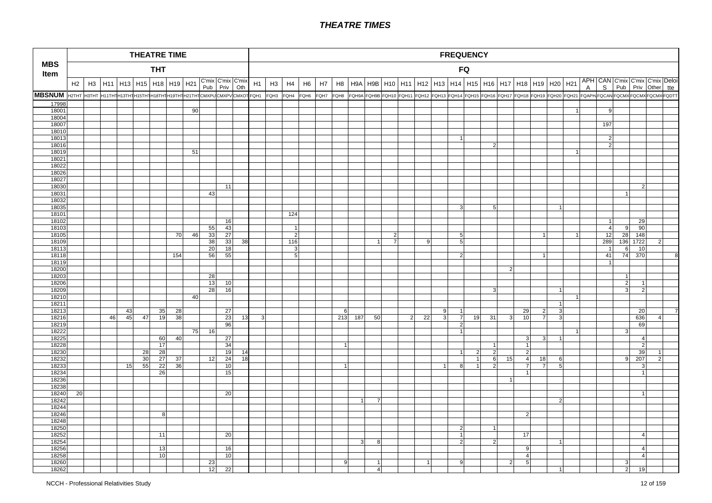|                                                                                                      |    |    |          |          |                | <b>THEATRE TIME</b>        |    |                   |          |     |                |    |                                  |                |    |                        |                |                |                |                |    |                     |                | <b>FREQUENCY</b>                 |                            |                |                              |                                                                                                                                       |                |                                |                                  |                                    |                |                |
|------------------------------------------------------------------------------------------------------|----|----|----------|----------|----------------|----------------------------|----|-------------------|----------|-----|----------------|----|----------------------------------|----------------|----|------------------------|----------------|----------------|----------------|----------------|----|---------------------|----------------|----------------------------------|----------------------------|----------------|------------------------------|---------------------------------------------------------------------------------------------------------------------------------------|----------------|--------------------------------|----------------------------------|------------------------------------|----------------|----------------|
| <b>MBS</b><br>Item                                                                                   |    |    |          |          | <b>THT</b>     |                            |    |                   |          |     |                |    |                                  |                |    |                        |                |                |                |                |    |                     |                | <b>FQ</b>                        |                            |                |                              |                                                                                                                                       |                |                                |                                  |                                    |                |                |
|                                                                                                      | H2 |    |          |          |                | H3 H11 H13 H15 H18 H19 H21 |    | C'mix C'mix C'mix |          |     | H <sub>1</sub> | H3 | H4                               | H <sub>6</sub> | H7 | H8                     |                |                |                |                |    |                     |                |                                  |                            |                |                              | H9A   H9B   H10   H11   H12   H13   H14   H15   H16   H17   H18   H19   H20   H21                                                     |                |                                | APH CAN C'mix C'mix C'mix Deloi  |                                    |                |                |
| <b>MBSNUM</b> H2THT H3THT H11THT H13THT H15THT H18THT H19THT H21THT CMXPU CMXPV CMXOT FQH1 FQH3 FQH4 |    |    |          |          |                |                            |    |                   | Pub Priv | Oth |                |    |                                  |                |    |                        |                |                |                |                |    |                     |                |                                  |                            |                |                              | FOH6 FOH7 FOH8 FOH9A FOH9B FOH10 FOH11 FOH12 FOH13 FOH14 FOH15 FOH16 FOH17 FOH18 FOH19 FOH20 FOH21 FOAPH FOCAN FOCMX FOCMX FOCMX FOTT |                |                                | S Pub Priv Other tte             |                                    |                |                |
| 17998                                                                                                |    |    |          |          |                |                            |    |                   |          |     |                |    |                                  |                |    |                        |                |                |                |                |    |                     |                |                                  |                            |                |                              |                                                                                                                                       |                |                                |                                  |                                    |                |                |
| 18001                                                                                                |    |    |          |          |                |                            | 90 |                   |          |     |                |    |                                  |                |    |                        |                |                |                |                |    |                     |                |                                  |                            |                |                              |                                                                                                                                       | $\overline{1}$ | 9                              |                                  |                                    |                |                |
| 18004<br>18007                                                                                       |    |    |          |          |                |                            |    |                   |          |     |                |    |                                  |                |    |                        |                |                |                |                |    |                     |                |                                  |                            |                |                              |                                                                                                                                       |                | 197                            |                                  |                                    |                |                |
| 18010                                                                                                |    |    |          |          |                |                            |    |                   |          |     |                |    |                                  |                |    |                        |                |                |                |                |    |                     |                |                                  |                            |                |                              |                                                                                                                                       |                |                                |                                  |                                    |                |                |
| 18013                                                                                                |    |    |          |          |                |                            |    |                   |          |     |                |    |                                  |                |    |                        |                |                |                |                |    |                     | $\mathbf{1}$   |                                  |                            |                |                              |                                                                                                                                       |                | $\overline{2}$                 |                                  |                                    |                |                |
| 18016<br>18019                                                                                       |    |    |          |          |                |                            | 51 |                   |          |     |                |    |                                  |                |    |                        |                |                |                |                |    |                     |                |                                  | 2 <sup>1</sup>             |                |                              |                                                                                                                                       | 1              | $\overline{2}$                 |                                  |                                    |                |                |
| 18021                                                                                                |    |    |          |          |                |                            |    |                   |          |     |                |    |                                  |                |    |                        |                |                |                |                |    |                     |                |                                  |                            |                |                              |                                                                                                                                       |                |                                |                                  |                                    |                |                |
| 18022                                                                                                |    |    |          |          |                |                            |    |                   |          |     |                |    |                                  |                |    |                        |                |                |                |                |    |                     |                |                                  |                            |                |                              |                                                                                                                                       |                |                                |                                  |                                    |                |                |
| 18026<br>18027                                                                                       |    |    |          |          |                |                            |    |                   |          |     |                |    |                                  |                |    |                        |                |                |                |                |    |                     |                |                                  |                            |                |                              |                                                                                                                                       |                |                                |                                  |                                    |                |                |
| 18030                                                                                                |    |    |          |          |                |                            |    |                   | 11       |     |                |    |                                  |                |    |                        |                |                |                |                |    |                     |                |                                  |                            |                |                              |                                                                                                                                       |                |                                |                                  | $\overline{2}$                     |                |                |
| 18031                                                                                                |    |    |          |          |                |                            |    | 43                |          |     |                |    |                                  |                |    |                        |                |                |                |                |    |                     |                |                                  |                            |                |                              |                                                                                                                                       |                |                                | 1                                |                                    |                |                |
| 18032<br>18035                                                                                       |    |    |          |          |                |                            |    |                   |          |     |                |    |                                  |                |    |                        |                |                |                |                |    |                     |                | 3 <sup>l</sup>                   | 5 <sup>1</sup>             |                |                              | 1                                                                                                                                     |                |                                |                                  |                                    |                |                |
| 18101                                                                                                |    |    |          |          |                |                            |    |                   |          |     |                |    | 124                              |                |    |                        |                |                |                |                |    |                     |                |                                  |                            |                |                              |                                                                                                                                       |                |                                |                                  |                                    |                |                |
| 18102                                                                                                |    |    |          |          |                |                            |    |                   | 16       |     |                |    |                                  |                |    |                        |                |                |                |                |    |                     |                |                                  |                            |                |                              |                                                                                                                                       |                | $\mathbf{1}$<br>$\overline{4}$ |                                  | 29                                 |                |                |
| 18103<br>18105                                                                                       |    |    |          |          |                | 70                         | 46 | 55<br>33          | 43<br>27 |     |                |    | $\overline{1}$<br>$\overline{2}$ |                |    |                        |                |                | $\overline{2}$ |                |    |                     | 5 <sup>1</sup> |                                  |                            |                |                              | $\mathbf{1}$                                                                                                                          | 11             | 12                             | 9<br>28                          | 90<br>148                          |                |                |
| 18109                                                                                                |    |    |          |          |                |                            |    | 38                | 33       | 38  |                |    | 116                              |                |    |                        |                | 1              | $\overline{7}$ |                | 9  |                     |                | 5 <sub>l</sub>                   |                            |                |                              |                                                                                                                                       |                | 289                            |                                  | 136 1722                           | $\overline{2}$ |                |
| 18113                                                                                                |    |    |          |          |                |                            |    | 20                | 18       |     |                |    | $\mathbf{3}$                     |                |    |                        |                |                |                |                |    |                     |                |                                  |                            |                |                              |                                                                                                                                       |                | $\overline{1}$                 | 6                                | 10                                 |                |                |
| 18118<br>18119                                                                                       |    |    |          |          |                | 154                        |    | 56                | 55       |     |                |    | $5\phantom{.0}$                  |                |    |                        |                |                |                |                |    |                     |                | 2                                |                            |                |                              | $\mathbf{1}$                                                                                                                          |                | 41<br>$\overline{1}$           | 74                               | 370                                |                | 8              |
| 18200                                                                                                |    |    |          |          |                |                            |    |                   |          |     |                |    |                                  |                |    |                        |                |                |                |                |    |                     |                |                                  |                            | $\overline{2}$ |                              |                                                                                                                                       |                |                                |                                  |                                    |                |                |
| 18203                                                                                                |    |    |          |          |                |                            |    | 28                |          |     |                |    |                                  |                |    |                        |                |                |                |                |    |                     |                |                                  |                            |                |                              |                                                                                                                                       |                |                                | 1                                |                                    |                |                |
| 18206<br>18209                                                                                       |    |    |          |          |                |                            |    | 13<br>28          | 10<br>16 |     |                |    |                                  |                |    |                        |                |                |                |                |    |                     |                |                                  | 3 <sup>l</sup>             |                |                              | 1                                                                                                                                     |                |                                | $\overline{2}$<br>3 <sup>1</sup> | $\mathbf{1}$<br>$2 \vert$          |                |                |
| 18210                                                                                                |    |    |          |          |                |                            | 40 |                   |          |     |                |    |                                  |                |    |                        |                |                |                |                |    |                     |                |                                  |                            |                |                              |                                                                                                                                       | 1              |                                |                                  |                                    |                |                |
| 18211                                                                                                |    |    |          |          |                |                            |    |                   |          |     |                |    |                                  |                |    |                        |                |                |                |                |    |                     |                |                                  |                            |                |                              | 1 <sup>1</sup>                                                                                                                        |                |                                |                                  |                                    |                | $\overline{7}$ |
| 18213<br>18216                                                                                       |    | 46 | 43<br>45 | 47       | 35<br>19       | 28<br>38                   |    |                   | 27<br>23 | 13  | 3              |    |                                  |                |    | $6\phantom{1}6$<br>213 | 187            | 50             |                | $\overline{2}$ | 22 | 9<br>3 <sup>1</sup> | 1              | $\overline{7}$<br>19             | 31                         | $\mathbf{3}$   | 29<br>10 <sup>1</sup>        | $\overline{2}$<br>3<br>$\overline{7}$<br>3                                                                                            |                |                                |                                  | 20<br>636                          | 4 <sup>1</sup> |                |
| 18219                                                                                                |    |    |          |          |                |                            |    |                   | 96       |     |                |    |                                  |                |    |                        |                |                |                |                |    |                     | $\overline{2}$ |                                  |                            |                |                              |                                                                                                                                       |                |                                |                                  | 69                                 |                |                |
| 18222                                                                                                |    |    |          |          |                |                            | 75 | 16                |          |     |                |    |                                  |                |    |                        |                |                |                |                |    |                     | $\overline{1}$ |                                  |                            |                |                              |                                                                                                                                       | 11             |                                | $\overline{3}$                   |                                    |                |                |
| 18225<br>18228                                                                                       |    |    |          |          | 60<br>17       | 40                         |    |                   | 27<br>34 |     |                |    |                                  |                |    | $\vert$ 1              |                |                |                |                |    |                     |                |                                  | 1 <sup>1</sup>             |                | $\overline{\mathbf{3}}$<br>1 | 3 <sup>1</sup><br>11                                                                                                                  |                |                                |                                  | $\left 4\right $<br>$\overline{2}$ |                |                |
| 18230                                                                                                |    |    |          | 28       | 28             |                            |    |                   | 19       | 14  |                |    |                                  |                |    |                        |                |                |                |                |    |                     | $\mathbf{1}$   | $\overline{2}$                   | $\mathbf{2}$               |                | $\vert$ 2                    |                                                                                                                                       |                |                                |                                  | 39                                 |                |                |
| 18232                                                                                                |    |    |          | 30<br>55 | 27<br>22       | 37<br>36                   |    | 12                | 24       | 18  |                |    |                                  |                |    | 1                      |                |                |                |                |    | 1                   | 8              | 1 <sup>1</sup><br>1 <sup>1</sup> | $6 \mid$<br>$\overline{2}$ | 15             | 4<br>$\overline{7}$          | 18<br>6<br>$\overline{7}$                                                                                                             |                |                                | 9                                | 207                                | 2 <sup>1</sup> |                |
| 18233<br>18234                                                                                       |    |    | 15       |          | 26             |                            |    |                   | 10<br>15 |     |                |    |                                  |                |    |                        |                |                |                |                |    |                     |                |                                  |                            |                | $\vert$ 1                    | $5\overline{)}$                                                                                                                       |                |                                |                                  | $\mathbf{3}$<br>11                 |                |                |
| 18236                                                                                                |    |    |          |          |                |                            |    |                   |          |     |                |    |                                  |                |    |                        |                |                |                |                |    |                     |                |                                  |                            | $\mathbf{1}$   |                              |                                                                                                                                       |                |                                |                                  |                                    |                |                |
| 18238<br>18240                                                                                       | 20 |    |          |          |                |                            |    |                   | 20       |     |                |    |                                  |                |    |                        |                |                |                |                |    |                     |                |                                  |                            |                |                              |                                                                                                                                       |                |                                |                                  | $\vert$ 1                          |                |                |
| 18242                                                                                                |    |    |          |          |                |                            |    |                   |          |     |                |    |                                  |                |    |                        | $\mathbf{1}$   | $\overline{7}$ |                |                |    |                     |                |                                  |                            |                |                              | 2                                                                                                                                     |                |                                |                                  |                                    |                |                |
| 18244                                                                                                |    |    |          |          |                |                            |    |                   |          |     |                |    |                                  |                |    |                        |                |                |                |                |    |                     |                |                                  |                            |                |                              |                                                                                                                                       |                |                                |                                  |                                    |                |                |
| 18246<br>18248                                                                                       |    |    |          |          | 8 <sup>1</sup> |                            |    |                   |          |     |                |    |                                  |                |    |                        |                |                |                |                |    |                     |                |                                  |                            |                | $\overline{2}$               |                                                                                                                                       |                |                                |                                  |                                    |                |                |
| 18250                                                                                                |    |    |          |          |                |                            |    |                   |          |     |                |    |                                  |                |    |                        |                |                |                |                |    |                     | $\overline{2}$ |                                  | 1                          |                |                              |                                                                                                                                       |                |                                |                                  |                                    |                |                |
| 18252                                                                                                |    |    |          |          | 11             |                            |    |                   | 20       |     |                |    |                                  |                |    |                        |                |                |                |                |    |                     | $\mathbf{1}$   |                                  |                            |                | 17                           |                                                                                                                                       |                |                                |                                  | $\vert$ 4                          |                |                |
| 18254<br>18256                                                                                       |    |    |          |          | 13             |                            |    |                   | 16       |     |                |    |                                  |                |    |                        | 3 <sup>1</sup> | 8              |                |                |    |                     |                | 2                                | 2 <sup>1</sup>             |                | 9                            | 1                                                                                                                                     |                |                                |                                  | $\vert$                            |                |                |
| 18258                                                                                                |    |    |          |          | 10             |                            |    |                   | 10       |     |                |    |                                  |                |    |                        |                |                |                |                |    |                     |                |                                  |                            |                | $\vert$ 4                    |                                                                                                                                       |                |                                |                                  | $\overline{4}$                     |                |                |
| 18260                                                                                                |    |    |          |          |                |                            |    | 23                |          |     |                |    |                                  |                |    | 9                      |                | 1 <sup>1</sup> |                |                |    |                     | 9              |                                  |                            | $\overline{2}$ | 5 <sup>1</sup>               |                                                                                                                                       |                |                                | 3                                |                                    |                |                |
| 18262                                                                                                |    |    |          |          |                |                            |    | 12                | 22       |     |                |    |                                  |                |    |                        |                | $\overline{4}$ |                |                |    |                     |                |                                  |                            |                |                              | 1                                                                                                                                     |                |                                | $\overline{2}$                   | 19                                 |                |                |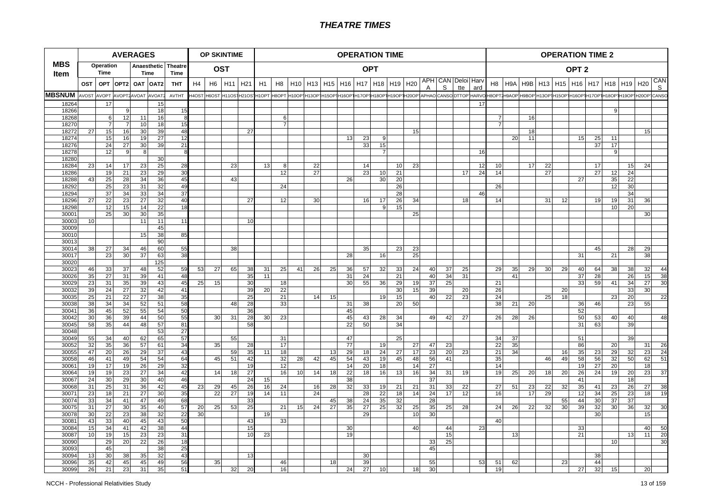|                           |                 |                   |                      | <b>AVERAGES</b>                |          |                        |                |                 | <b>OP SKINTIME</b> |                 |          |                                                                                                                 |                 |    |                 |                       |                 | <b>OPERATION TIME</b> |                                                                                                                                               |                       |                 |                                |     |     |                                  |                 |    |                                                                   |    | <b>OPERATION TIME 2</b> |                 |          |          |          |                      |
|---------------------------|-----------------|-------------------|----------------------|--------------------------------|----------|------------------------|----------------|-----------------|--------------------|-----------------|----------|-----------------------------------------------------------------------------------------------------------------|-----------------|----|-----------------|-----------------------|-----------------|-----------------------|-----------------------------------------------------------------------------------------------------------------------------------------------|-----------------------|-----------------|--------------------------------|-----|-----|----------------------------------|-----------------|----|-------------------------------------------------------------------|----|-------------------------|-----------------|----------|----------|----------|----------------------|
| <b>MBS</b><br><b>Item</b> |                 | Operation<br>Time |                      | Anaesthetic<br><b>Time</b>     |          | <b>Theatre</b><br>Time |                |                 | <b>OST</b>         |                 |          |                                                                                                                 |                 |    |                 |                       | <b>OPT</b>      |                       |                                                                                                                                               |                       |                 |                                |     |     |                                  |                 |    |                                                                   |    | OPT <sub>2</sub>        |                 |          |          |          |                      |
|                           | <b>OST</b>      |                   |                      | OPT OPT2 OAT OAT2              |          | <b>THT</b>             | H <sub>4</sub> | H6              | H <sub>11</sub>    | H <sub>21</sub> | H1       | H8                                                                                                              |                 |    |                 |                       |                 |                       | H <sub>10</sub>   H <sub>13</sub>   H <sub>15</sub>   H <sub>16</sub>   H <sub>17</sub>   H <sub>18</sub>   H <sub>19</sub>   H <sub>20</sub> |                       | A               | APH   CAN   Deloi   Harv<br>S. | tte | ard | H8                               |                 |    | H9A   H9B   H13   H15   H16   H17   H18   H19   H20               |    |                         |                 |          |          |          | CAN<br>$\mathcal{S}$ |
| <b>MBSNUM</b>             |                 |                   |                      | AVOST AVOPT AVOPTZAVOAT AVOAT2 |          | <b>AVTHT</b>           |                |                 |                    |                 |          | 140ST  H6OST  H11OSTH21OSTH1OPT  H8OPT  H10OPTH13OPTH15OPTH16OPTH17OPTH18OPTH19OPTH20OPTAPHAO CANSO DTTOPTHARVO |                 |    |                 |                       |                 |                       |                                                                                                                                               |                       |                 |                                |     |     |                                  |                 |    | H8OPT/H9AOP H9BOP H13OP H15OP H16OP H17OP H18OP H19OP H20OP CANSC |    |                         |                 |          |          |          |                      |
| 18264                     |                 | 17                |                      |                                | 15       |                        |                |                 |                    |                 |          |                                                                                                                 |                 |    |                 |                       |                 |                       |                                                                                                                                               |                       |                 |                                |     | 17  |                                  |                 |    |                                                                   |    |                         |                 |          |          |          |                      |
| 18266                     |                 |                   | 9 <sup>1</sup><br>12 |                                | 18       | 15                     |                |                 |                    |                 |          |                                                                                                                 |                 |    |                 |                       |                 |                       |                                                                                                                                               |                       |                 |                                |     |     |                                  |                 | 16 |                                                                   |    |                         |                 | 9        |          |          |                      |
| 18268<br>18270            |                 | 6 <br>7           | $\overline{7}$       | 11<br>10                       | 16<br>18 | 15                     |                |                 |                    |                 |          | 6<br>$\overline{7}$                                                                                             |                 |    |                 |                       |                 |                       |                                                                                                                                               |                       |                 |                                |     |     | 7 <sup>1</sup><br>$\overline{7}$ |                 |    |                                                                   |    |                         |                 |          |          |          |                      |
| 18272                     | 27              | 15                | 16                   | 30                             | 39       | 48                     |                |                 |                    | 27              |          |                                                                                                                 |                 |    |                 |                       |                 |                       |                                                                                                                                               | 15                    |                 |                                |     |     |                                  |                 | 18 |                                                                   |    |                         |                 |          |          | 15       |                      |
| 18274                     |                 | 15                | 16                   | 19                             | 27       | 12                     |                |                 |                    |                 |          |                                                                                                                 |                 |    |                 | 13                    | 23              | 9                     |                                                                                                                                               |                       |                 |                                |     |     |                                  | 20              | 11 |                                                                   |    | 15 <sup>1</sup>         | 25              | 11       |          |          |                      |
| 18276<br>18278            |                 | 24<br>12          | 27<br>9              | 30<br>8                        | 39       | 21                     |                |                 |                    |                 |          |                                                                                                                 |                 |    |                 |                       | 33              | 15<br>$\overline{7}$  |                                                                                                                                               |                       |                 |                                |     | 16  |                                  |                 |    |                                                                   |    |                         | 37              | 17<br>9  |          |          |                      |
| 18280                     |                 |                   |                      |                                | 30       |                        |                |                 |                    |                 |          |                                                                                                                 |                 |    |                 |                       |                 |                       |                                                                                                                                               |                       |                 |                                |     |     |                                  |                 |    |                                                                   |    |                         |                 |          |          |          |                      |
| 18284                     | 23              | 14                | 17                   | 23                             | 25       | 28                     |                |                 | 23                 |                 | 13       | 8                                                                                                               |                 | 22 |                 |                       | 14              |                       | 10                                                                                                                                            | 23                    |                 |                                |     |     | 10                               |                 | 17 | 22                                                                |    |                         | 17              |          | 15       | 24       |                      |
| 18286                     |                 | 19                | 21                   | 23                             | 29       | 30                     |                |                 |                    |                 |          | 12                                                                                                              |                 | 27 |                 |                       | 23              | 10 <sup>1</sup>       | 21                                                                                                                                            |                       |                 |                                | 17  | 24  | 14                               |                 |    | 27                                                                |    |                         | 27              | 12       | 24       |          |                      |
| 18288<br>18292            | 43              | 25<br>25          | 28<br>23             | 34<br>31                       | 36<br>32 | 45<br>49               |                |                 | 43                 |                 |          | 24                                                                                                              |                 |    |                 | 26                    |                 | 30                    | 20<br>26                                                                                                                                      |                       |                 |                                |     |     | 26                               |                 |    |                                                                   |    | 27                      |                 | 35<br>12 | 22<br>30 |          |                      |
| 18294                     |                 | 37                | 34                   | 33                             | 34       | 37                     |                |                 |                    |                 |          |                                                                                                                 |                 |    |                 |                       |                 |                       | 28                                                                                                                                            |                       |                 |                                |     | 46  |                                  |                 |    |                                                                   |    |                         |                 |          | 34       |          |                      |
| 18296                     | 27              | 22                | 23                   | 27                             | 32       | 40                     |                |                 |                    | 27              |          | 12                                                                                                              |                 | 30 |                 |                       | 16              | 17                    | 26                                                                                                                                            | 34                    |                 |                                | 18  |     | 14                               |                 |    | 31                                                                | 12 |                         | 19              | 19       | 31       | 36       |                      |
| 18298                     |                 | 12                | 15                   | 14                             | 22       | 18                     |                |                 |                    |                 |          |                                                                                                                 |                 |    |                 |                       |                 | -91                   | 15                                                                                                                                            |                       |                 |                                |     |     |                                  |                 |    |                                                                   |    |                         |                 | 10       | 20       |          |                      |
| 30001<br>30003            | 10 <sup>1</sup> | 25                | 30                   | 30<br>11                       | 35<br>11 | 11                     |                |                 |                    | 10              |          |                                                                                                                 |                 |    |                 |                       |                 |                       |                                                                                                                                               | 25                    |                 |                                |     |     |                                  |                 |    |                                                                   |    |                         |                 |          |          | 30       |                      |
| 30009                     |                 |                   |                      |                                | 45       |                        |                |                 |                    |                 |          |                                                                                                                 |                 |    |                 |                       |                 |                       |                                                                                                                                               |                       |                 |                                |     |     |                                  |                 |    |                                                                   |    |                         |                 |          |          |          |                      |
| 30010                     |                 |                   |                      | 15                             | 38       | 85                     |                |                 |                    |                 |          |                                                                                                                 |                 |    |                 |                       |                 |                       |                                                                                                                                               |                       |                 |                                |     |     |                                  |                 |    |                                                                   |    |                         |                 |          |          |          |                      |
| 30013                     |                 |                   |                      |                                | 90       |                        |                |                 |                    |                 |          |                                                                                                                 |                 |    |                 |                       |                 |                       |                                                                                                                                               |                       |                 |                                |     |     |                                  |                 |    |                                                                   |    |                         |                 |          |          |          |                      |
| 30014<br>30017            | 38              | 27<br>23          | 34<br>30             | 46<br>37                       | 60<br>63 | 55<br>38               |                |                 | 38                 |                 |          |                                                                                                                 |                 |    |                 | 28                    | 35              | 16                    | 23                                                                                                                                            | 23<br>25              |                 |                                |     |     |                                  |                 |    |                                                                   |    | 31                      | 45              | 21       | 28       | 29<br>38 |                      |
| 30020                     |                 |                   |                      |                                | 125      |                        |                |                 |                    |                 |          |                                                                                                                 |                 |    |                 |                       |                 |                       |                                                                                                                                               |                       |                 |                                |     |     |                                  |                 |    |                                                                   |    |                         |                 |          |          |          |                      |
| 30023                     | 46              | 33                | 37                   | 48                             | 52       | 59                     | 53             | 27              | 65                 | 38              | 31       | 25                                                                                                              | 41              | 26 | 25              | 36                    | 57              | 32                    | 33                                                                                                                                            | 24                    | 40              | 37                             | 25  |     | 29                               | 35 <sub>1</sub> | 29 | 30                                                                | 29 | 40                      | 64              | 38       | 38       | 32       | 44                   |
| 30026<br>30029            | 35<br>23        | 27<br>31          | 31<br>35             | 39<br>39                       | 41<br>43 | 48<br>45               | 25             | 15              |                    | 35<br>30        | 11       | 18                                                                                                              |                 |    |                 | 31<br>30 <sup>°</sup> | 24<br>55        | 36                    | 21<br>29                                                                                                                                      | 19                    | 40<br>37        | 34<br>25                       | 31  |     | 21                               | 41              |    |                                                                   |    | 37<br>33                | 28<br>59        | 41       | 26<br>34 | 15<br>27 | 38<br>30             |
| 30032                     | 39              | 24                | 27                   | 32                             | 42       | 41                     |                |                 |                    | 39              | 20       | 22                                                                                                              |                 |    |                 |                       |                 |                       | 30                                                                                                                                            | 15                    | 39              |                                | 20  |     | 26                               |                 |    |                                                                   | 20 |                         |                 |          | 33       | 30       |                      |
| 30035                     | 25              | 21                | 22                   | 27                             | 38       | 35                     |                |                 |                    | 25              |          | 21                                                                                                              |                 | 14 | 15              |                       |                 | 19                    | 15                                                                                                                                            |                       | 40              | 22                             | 23  |     | 24                               |                 |    | 25                                                                | 18 |                         |                 | 23       | 20       |          | 22                   |
| 30038                     | 38              | 34                | 34                   | 52                             | 51       | 58                     |                |                 | 48                 | 28              |          | 33                                                                                                              |                 |    |                 | 31                    | 38              |                       | 20                                                                                                                                            | 50                    |                 |                                |     |     | 38                               | 21              | 20 |                                                                   |    | 36                      | 46              |          | 23       | 55       |                      |
| 30041<br>30042            | 36<br>30        | 45<br>36          | 52<br>39             | 55<br>44                       | 54<br>50 | 50<br>55               |                | 30 <sup>°</sup> | 31                 | 36<br>28        | 30       | 23                                                                                                              |                 |    |                 | 45<br>45              | 43              | 28                    | 34                                                                                                                                            |                       | 49              | 42                             | 27  |     | 26                               | 28              | 26 |                                                                   |    | 52<br>50                | 53              | 40       | 40       |          | 48                   |
| 30045                     | 58              | 35                | 44                   | 48                             | 57       | 81                     |                |                 |                    | 58              |          |                                                                                                                 |                 |    |                 | 22                    | 50              |                       | 34                                                                                                                                            |                       |                 |                                |     |     |                                  |                 |    |                                                                   |    | 31                      | 63              |          | 39       |          |                      |
| 30048                     |                 |                   |                      |                                | 53       | 27                     |                |                 |                    |                 |          |                                                                                                                 |                 |    |                 |                       |                 |                       |                                                                                                                                               |                       |                 |                                |     |     |                                  |                 |    |                                                                   |    |                         |                 |          |          |          |                      |
| 30049                     | 55              | 34                | 40                   | 62                             | 65       | 57                     |                |                 | 55                 |                 |          | 31                                                                                                              |                 |    |                 | 47                    |                 |                       | 25                                                                                                                                            |                       |                 |                                |     |     | 34                               | 37              |    |                                                                   |    | 51                      |                 |          | 39       |          |                      |
| 30052<br>30055            | 32<br>47        | 35<br>20          | 36<br>26             | 57<br>29                       | 61<br>37 | 34<br>43               |                | 35              | 59                 | 28<br>35        | 11       | 17<br>18                                                                                                        |                 |    | 13              | 77<br>29              | 18              | 19<br>24              | 27                                                                                                                                            | 27<br>17 <sup>1</sup> | 47<br>23        | 23<br>20                       | 23  |     | 22<br>21                         | 35<br>34        |    |                                                                   | 16 | 86<br>35                | 23              | 20<br>29 | 32       | 31<br>23 | 26<br>24             |
| 30058                     | 46              | 41                | 49                   | 54                             | 54       | 64                     |                | 45              | 51                 | 42              |          | 32                                                                                                              | 28              | 42 | 45              | 54                    | 43              | 19                    | 45                                                                                                                                            | 48                    | 56              | 41                             |     |     | 35                               |                 |    | 46                                                                | 49 | 58                      | 56              | 32       | 50       | 62       | 51                   |
| 30061                     | 19              | 17                | 19                   | 26                             | 29       | 32                     |                |                 |                    | 19              |          | 12                                                                                                              |                 |    |                 | 14                    | 20              | 18                    |                                                                                                                                               | 14                    | 27              |                                |     |     | 14                               |                 |    |                                                                   |    | 19                      | 27              | 20       |          | 18       |                      |
| 30064                     | 19              | 19                | 23                   | 27                             | 34       | 42                     |                | 14              | 18                 | 27              |          | 16                                                                                                              | 10 <sup>1</sup> | 14 | 18              | 22                    | 18 <sup>1</sup> | 16                    | 13                                                                                                                                            | 16                    | 34              | 31                             | 19  |     | 19                               | 25              | 20 | 18                                                                | 20 | 26                      | 24              | 19       | 20       | 23       | 37                   |
| 30067<br>30068            | 24<br>31        | 30<br>25          | 29<br>31             | 30<br>36                       | 40<br>42 | 46<br>45               | 23             | 29              | 45                 | 24<br>26        | 15<br>16 | 24                                                                                                              |                 | 16 | 28              | 38<br>32              | 33              | 19                    | 21                                                                                                                                            | 21                    | 37<br>31        | 33                             | 22  |     | 27                               | 51              | 23 | 22                                                                | 32 | 41<br>35                | 41              | 23       | 18<br>26 | 27       | 38                   |
| 30071                     | 23              | 18                | 21                   | 27                             | 30       | 35                     |                | 22              | 27                 | 19              | 14       | 11                                                                                                              |                 | 24 |                 |                       | 28              | 22                    | 18                                                                                                                                            | 14                    | 24              | 17                             | 12  |     | 16                               |                 | 17 | 29                                                                |    | 12                      | 34              | 25       | 23       | 18       | 19                   |
| 30074                     | 33              | 34                | 41                   | 47                             | 49       | 68                     |                |                 |                    | 33              |          |                                                                                                                 |                 |    | 45              | 38                    | 24              | 35                    | 32                                                                                                                                            |                       | 28              |                                |     |     |                                  |                 |    |                                                                   | 55 | 44                      | 30              | 37       | 37       |          |                      |
| 30075                     | 31              | 27                | 30                   | 35                             | 40       | 57                     | 20             | 25              | 53                 | 25              |          | 21                                                                                                              | 15              | 24 | 27              | 35                    | 27              | 25                    | 32                                                                                                                                            | 25                    | 35              | 25                             | 28  |     | 24                               | 26              | 22 | 32                                                                | 30 | 39                      | 32              | 30       | 36       | 32       | 30                   |
| 30078<br>30081            | 30<br>43        | 22<br>33          | 23<br>40             | 38<br>45                       | 32<br>43 | $\overline{22}$<br>50  | 30             |                 |                    | 43              | 19       | 33                                                                                                              |                 |    |                 |                       | 29              |                       |                                                                                                                                               | 10                    | 30              |                                |     |     | 40                               |                 |    |                                                                   |    |                         | 30 <sup>1</sup> |          |          | 15       |                      |
| 30084                     | 15              | 34                | 41                   | 42                             | 38       | 44                     |                |                 |                    | 15              |          |                                                                                                                 |                 |    |                 | 30                    |                 |                       |                                                                                                                                               | 40                    |                 | 44                             |     | 23  |                                  |                 |    |                                                                   |    | 33                      |                 |          |          | 40       | 50                   |
| 30087                     | 10 <sup>1</sup> | 19                | 15                   | 23                             | 23       | 31                     |                |                 |                    | 10              | 23       |                                                                                                                 |                 |    |                 | 19                    |                 |                       |                                                                                                                                               |                       |                 | 15                             |     |     |                                  | 13              |    |                                                                   |    | 21                      |                 |          | 13       | 11       | 20                   |
| 30090                     |                 | 29                | 20                   | 22                             | 26       | 18                     |                |                 |                    |                 |          |                                                                                                                 |                 |    |                 |                       |                 |                       |                                                                                                                                               |                       | 33              | 25                             |     |     |                                  |                 |    |                                                                   |    |                         |                 | 10       |          |          | 30                   |
| 30093<br>30094            | 13              | 45<br>30          | 38                   | 35                             | 38<br>32 | 25<br>43               |                |                 |                    | 13              |          |                                                                                                                 |                 |    |                 |                       | 30              |                       |                                                                                                                                               |                       | 45              |                                |     |     |                                  |                 |    |                                                                   |    |                         | 38              |          |          |          |                      |
| 30096                     | 35              | 42                | 45                   | 45                             | 49       | 56                     |                | 35              |                    |                 |          | 46                                                                                                              |                 |    | 18 <sup>1</sup> |                       | 39              |                       |                                                                                                                                               |                       | 55              |                                |     | 53  | 51                               | 62              |    |                                                                   | 23 |                         | 44              |          |          |          |                      |
| 30099                     | 26              | 21                | 23                   | 31                             | 35       | 51                     |                |                 | 32                 | 20              |          | 16                                                                                                              |                 |    |                 | 24                    | 27              | 10                    |                                                                                                                                               | 18                    | 30 <sup>°</sup> |                                |     |     | 19                               |                 |    |                                                                   |    | 27                      | 32              | 15       |          | 20       |                      |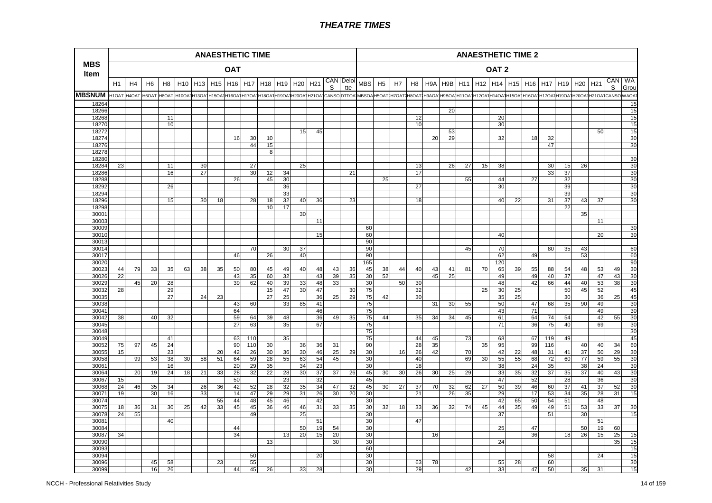|                    |    |                |                |                |                                                                                           |    |    | <b>ANAESTHETIC TIME</b>                         |          |                       |                                                                 |                 |          |                       |          |                       |                 |    |                |                  |                  |    |    |                                                                 | <b>ANAESTHETIC TIME 2</b> |          |          |                                                                                 |          |                                                                                                      |             |          |
|--------------------|----|----------------|----------------|----------------|-------------------------------------------------------------------------------------------|----|----|-------------------------------------------------|----------|-----------------------|-----------------------------------------------------------------|-----------------|----------|-----------------------|----------|-----------------------|-----------------|----|----------------|------------------|------------------|----|----|-----------------------------------------------------------------|---------------------------|----------|----------|---------------------------------------------------------------------------------|----------|------------------------------------------------------------------------------------------------------|-------------|----------|
| <b>MBS</b><br>Item |    |                |                |                |                                                                                           |    |    | <b>OAT</b>                                      |          |                       |                                                                 |                 |          |                       |          |                       |                 |    |                |                  |                  |    |    | OAT <sub>2</sub>                                                |                           |          |          |                                                                                 |          |                                                                                                      |             |          |
|                    | H1 | H <sub>4</sub> | H <sub>6</sub> | H <sub>8</sub> | H <sub>10</sub> H <sub>13</sub>                                                           |    |    | H <sub>15</sub> H <sub>16</sub> H <sub>17</sub> |          |                       | H <sub>18</sub> H <sub>19</sub> H <sub>20</sub> H <sub>21</sub> |                 |          | <b>CAN Deloi</b><br>ς | tte      | MBS                   | H <sub>5</sub>  | H7 | H <sub>8</sub> | H <sub>9</sub> A | H <sub>9</sub> B |    |    | H <sub>11</sub> H <sub>12</sub> H <sub>14</sub> H <sub>15</sub> |                           |          |          | H <sub>16</sub> H <sub>17</sub> H <sub>19</sub> H <sub>20</sub> H <sub>21</sub> |          |                                                                                                      | CAN WA<br>S | Grou     |
| <b>MBSNUM</b>      |    |                |                |                | H1OAT H4OAT H6OAT H8OAT H10OATH13OATH15OATH16OATH17OATH18OATH19OATH20OATH21OATCANSO DTTOA |    |    |                                                 |          |                       |                                                                 |                 |          |                       |          |                       |                 |    |                |                  |                  |    |    |                                                                 |                           |          |          |                                                                                 |          | MBSOA H5OAT1H7OAT1H8OAT1H9AOA H9BOA H11OA H12OA1H14OA1H15OA H16OA H17OA1H19OA1H20OA1H21OA1CANSO WAOA |             |          |
| 18264              |    |                |                |                |                                                                                           |    |    |                                                 |          |                       |                                                                 |                 |          |                       |          |                       |                 |    |                |                  |                  |    |    |                                                                 |                           |          |          |                                                                                 |          |                                                                                                      |             | 15       |
| 18266              |    |                |                |                |                                                                                           |    |    |                                                 |          |                       |                                                                 |                 |          |                       |          |                       |                 |    |                |                  | 20               |    |    |                                                                 |                           |          |          |                                                                                 |          |                                                                                                      |             | 15       |
| 18268<br>18270     |    |                |                | 11<br>10       |                                                                                           |    |    |                                                 |          |                       |                                                                 |                 |          |                       |          |                       |                 |    | 12<br>10       |                  |                  |    |    | 20<br>30                                                        |                           |          |          |                                                                                 |          |                                                                                                      |             | 15<br>15 |
| 18272              |    |                |                |                |                                                                                           |    |    |                                                 |          |                       |                                                                 | 15 <sup>1</sup> | 45       |                       |          |                       |                 |    |                |                  | 53               |    |    |                                                                 |                           |          |          |                                                                                 |          | 50                                                                                                   |             | 15       |
| 18274              |    |                |                |                |                                                                                           |    |    | 16                                              | 30       | 10                    |                                                                 |                 |          |                       |          |                       |                 |    |                | 20               | 29               |    |    | 32                                                              |                           | 18       | 32       |                                                                                 |          |                                                                                                      |             | 30       |
| 18276              |    |                |                |                |                                                                                           |    |    |                                                 | 44       | 15                    |                                                                 |                 |          |                       |          |                       |                 |    |                |                  |                  |    |    |                                                                 |                           |          | 47       |                                                                                 |          |                                                                                                      |             | 30       |
| 18278              |    |                |                |                |                                                                                           |    |    |                                                 |          | 8 <sup>1</sup>        |                                                                 |                 |          |                       |          |                       |                 |    |                |                  |                  |    |    |                                                                 |                           |          |          |                                                                                 |          |                                                                                                      |             |          |
| 18280              | 23 |                |                |                |                                                                                           | 30 |    |                                                 | 27       |                       |                                                                 |                 |          |                       |          |                       |                 |    | 13             |                  | 26               | 27 |    |                                                                 |                           |          | 30       |                                                                                 |          |                                                                                                      |             | 30       |
| 18284<br>18286     |    |                |                | 11<br>16       |                                                                                           | 27 |    |                                                 | 30       | 12                    | 34                                                              | 25              |          |                       | 21       |                       |                 |    | 17             |                  |                  |    | 15 | 38                                                              |                           |          | 33       | 15<br>37                                                                        | 26       |                                                                                                      |             | 30<br>30 |
| 18288              |    |                |                |                |                                                                                           |    |    | 26                                              |          | 45                    | 30                                                              |                 |          |                       |          |                       | 25              |    |                |                  |                  | 55 |    | 44                                                              |                           | 27       |          | 32                                                                              |          |                                                                                                      |             | 30       |
| 18292              |    |                |                | 26             |                                                                                           |    |    |                                                 |          |                       | 36                                                              |                 |          |                       |          |                       |                 |    | 27             |                  |                  |    |    | 30                                                              |                           |          |          | 39                                                                              |          |                                                                                                      |             | 30       |
| 18294              |    |                |                |                |                                                                                           |    |    |                                                 |          |                       | 33                                                              |                 |          |                       |          |                       |                 |    |                |                  |                  |    |    |                                                                 |                           |          |          | 39                                                                              |          |                                                                                                      |             | 30       |
| 18296              |    |                |                | 15             |                                                                                           | 30 | 18 |                                                 | 28       | 18                    | 32                                                              | 40              | 36       |                       | 23       |                       |                 |    | 18             |                  |                  |    |    | 40                                                              | 22                        |          | 31       | 37<br>22                                                                        | 43       | 37                                                                                                   |             | 30       |
| 18298<br>30001     |    |                |                |                |                                                                                           |    |    |                                                 |          | 10                    | 17                                                              | 30              |          |                       |          |                       |                 |    |                |                  |                  |    |    |                                                                 |                           |          |          |                                                                                 | 35       |                                                                                                      |             |          |
| 30003              |    |                |                |                |                                                                                           |    |    |                                                 |          |                       |                                                                 |                 | 11       |                       |          |                       |                 |    |                |                  |                  |    |    |                                                                 |                           |          |          |                                                                                 |          | 11                                                                                                   |             |          |
| 30009              |    |                |                |                |                                                                                           |    |    |                                                 |          |                       |                                                                 |                 |          |                       |          | 60                    |                 |    |                |                  |                  |    |    |                                                                 |                           |          |          |                                                                                 |          |                                                                                                      |             | 30       |
| 30010              |    |                |                |                |                                                                                           |    |    |                                                 |          |                       |                                                                 |                 | 15       |                       |          | 60                    |                 |    |                |                  |                  |    |    | 40                                                              |                           |          |          |                                                                                 |          | 20                                                                                                   |             | 30       |
| 30013              |    |                |                |                |                                                                                           |    |    |                                                 |          |                       |                                                                 |                 |          |                       |          | 90                    |                 |    |                |                  |                  |    |    |                                                                 |                           |          |          |                                                                                 |          |                                                                                                      |             |          |
| 30014<br>30017     |    |                |                |                |                                                                                           |    |    | 46                                              | 70       | 26                    | 30                                                              | 37<br>40        |          |                       |          | 90<br>90              |                 |    |                |                  |                  | 45 |    | 70<br>62                                                        |                           | 49       | 80       | 35                                                                              | 43<br>53 |                                                                                                      |             | 60<br>60 |
| 30020              |    |                |                |                |                                                                                           |    |    |                                                 |          |                       |                                                                 |                 |          |                       |          | 165                   |                 |    |                |                  |                  |    |    | 120                                                             |                           |          |          |                                                                                 |          |                                                                                                      |             | 90       |
| 30023              | 44 | 79             | 33             | 35             | 63                                                                                        | 38 | 35 | 50                                              | 80       | 45                    | 49                                                              | 40              | 48       | 43                    | 36       | 45                    | 38              | 44 | 40             | 43               | 41               | 81 | 70 | 65                                                              | 39                        | 55       | 88       | 54                                                                              | 48       | 53                                                                                                   | 49          | 30       |
| 30026              | 22 |                |                |                |                                                                                           |    |    | 43                                              | 35       | 60                    | 32                                                              |                 | 43       | 39                    | 35       | 30                    | 52              |    |                | 45               | 25               |    |    | 49                                                              |                           | 49       | 40       | $\overline{37}$                                                                 |          | 47                                                                                                   | 43          | 30       |
| 30029              |    | 45             | 20             | 28             |                                                                                           |    |    | 39                                              | 62       | 40                    | 39                                                              | 33              | 48       | 33                    |          | 30                    |                 | 50 | 30             |                  |                  |    |    | 48                                                              |                           | 42       | 66       | 44                                                                              | 40       | 53                                                                                                   | 38          | 30       |
| 30032<br>30035     | 28 |                |                | 29<br>27       |                                                                                           | 24 | 23 |                                                 |          | 15<br>$\overline{27}$ | 47<br>25                                                        | 30              | 47<br>36 | 25                    | 30<br>29 | 75<br>$\overline{75}$ | 42              |    | 32<br>30       |                  |                  |    | 25 | 30<br>35                                                        | 25<br>25                  |          |          | 50<br>30                                                                        | 45       | 52<br>36                                                                                             | 25          | 45<br>45 |
| 30038              |    |                |                |                |                                                                                           |    |    | 43                                              | 60       |                       | 33                                                              | 85              | 41       |                       |          | 75                    |                 |    |                | 31               | 30               | 55 |    | 50                                                              |                           | 47       | 68       | 35                                                                              | 90       | 49                                                                                                   |             | 30       |
| 30041              |    |                |                |                |                                                                                           |    |    | 64                                              |          |                       |                                                                 |                 | 46       |                       |          | 75                    |                 |    |                |                  |                  |    |    | 43                                                              |                           | 71       |          |                                                                                 |          | 49                                                                                                   |             | 30       |
| 30042              | 38 |                | 40             | 32             |                                                                                           |    |    | 59                                              | 64       | 39                    | 48                                                              |                 | 36       | 49                    | 35       | 75                    | 44              |    | 35             | 34               | 34               | 45 |    | 61                                                              |                           | 64       | 74       | 54                                                                              |          | 42                                                                                                   | 55          | 30       |
| 30045              |    |                |                |                |                                                                                           |    |    | 27                                              | 63       |                       | 35                                                              |                 | 67       |                       |          | 75                    |                 |    |                |                  |                  |    |    | 71                                                              |                           | 36       | 75       | 40                                                                              |          | 69                                                                                                   |             | 30       |
| 30048<br>30049     |    |                |                | 41             |                                                                                           |    |    | 63                                              | 110      |                       | 35                                                              |                 |          |                       |          | 75<br>75              |                 |    | 44             | 45               |                  | 73 |    | 68                                                              |                           | 67       | 119      | 49                                                                              |          |                                                                                                      |             | 30<br>45 |
| 30052              | 75 | 97             | 45             | 24             |                                                                                           |    |    | 90                                              | 110      | 30                    |                                                                 | 36              | 36       | 31                    |          | 90                    |                 |    | 28             | 35               |                  |    | 35 | 95                                                              |                           | 99       | 116      |                                                                                 | 40       | 40                                                                                                   | 34          | 60       |
| 30055              | 15 |                |                | 23             |                                                                                           |    | 20 | 42                                              | 26       | 30                    | 36                                                              | 30              | 46       | 25                    | 29       | 30                    |                 | 16 | 26             | 42               |                  | 70 |    | 42                                                              | 22                        | 48       | 31       | 41                                                                              | 37       | 50                                                                                                   | 29          | 30       |
| 30058              |    | 99             | 53             | 38             | 30                                                                                        | 58 | 51 | 64                                              | 59       | 28                    | 55                                                              | 63              | 54       | 45                    |          | 30                    |                 |    | 40             |                  |                  | 69 | 30 | 55                                                              | 55                        | 68       | 72       | 60                                                                              | 77       | 59                                                                                                   | 55          | 30       |
| 30061              |    |                |                | 16             |                                                                                           |    |    | 20                                              | 29       | 35                    |                                                                 | 34              | 23       |                       |          | 30                    |                 |    | 18             |                  |                  |    |    | 38                                                              |                           | 24       | 35       |                                                                                 | 38       | 24                                                                                                   |             | 30       |
| 30064<br>30067     | 15 | 20             | 19             | 24             | 18                                                                                        | 21 | 33 | 28<br>50                                        | 32       | 22                    | 28<br>23                                                        | 30              | 37<br>32 | 37                    | 26       | 45<br>45              | 30 <sub>0</sub> | 30 | 26             | 30               | 25               | 29 |    | 33<br>47                                                        | 35                        | 32<br>52 | 37       | 35<br>28                                                                        | 37       | 40<br>36                                                                                             | 43          | 30<br>30 |
| 30068              | 24 | 46             | 35             | 34             |                                                                                           | 26 | 36 | 42                                              | 52       | 28                    | 32                                                              | 35              | 34       | 47                    | 32       | 45                    | 30 <sub>0</sub> | 27 | 37             | 70               | 32               | 62 | 27 | 50                                                              | 39                        | 46       | 60       | 37                                                                              | 41       | 37                                                                                                   | 52          | 30       |
| 30071              | 19 |                | 30             | 16             |                                                                                           | 33 |    | 14                                              | 47       | 29                    | 29                                                              | 31              | 26       | 30                    | 20       | 30                    |                 |    | 21             |                  | 26               | 35 |    | 29                                                              |                           | 17       | 53       | 34                                                                              | 35       | 28                                                                                                   | 31          | 15       |
| 30074              |    |                |                |                |                                                                                           |    | 55 | 44                                              | 48       | 45                    | 46                                                              |                 | 42       |                       |          | 30                    |                 |    |                |                  |                  |    |    | 42                                                              | 65                        | 50       | 54       | 51                                                                              |          | 48                                                                                                   |             |          |
| 30075              | 18 | 36             | 31             | 30             | 25                                                                                        | 42 | 33 | 45                                              | 45       | 36                    | 46                                                              | 46              | 31       | 33                    | 35       | 30                    | 32              | 18 | 33             | 36               | 32               | 74 | 45 | 44                                                              | 35                        | 49       | 49       | 51                                                                              | 53       | 33                                                                                                   | 37          | 30       |
| 30078<br>30081     | 24 | 55             |                | 40             |                                                                                           |    |    |                                                 | 49       |                       |                                                                 | 25              | 51       |                       |          | 30<br>30              |                 |    | 47             |                  |                  |    |    | 37                                                              |                           |          | 51       |                                                                                 | 30       | 51                                                                                                   |             | 15       |
| 30084              |    |                |                |                |                                                                                           |    |    | 44                                              |          |                       |                                                                 | 50              | 19       | 54                    |          | 30                    |                 |    |                |                  |                  |    |    | 25                                                              |                           | 47       |          |                                                                                 | 50       | 19                                                                                                   | 60          |          |
| 30087              | 34 |                |                |                |                                                                                           |    |    | 34                                              |          |                       | 13                                                              | 20              | 15       | 20                    |          | 30                    |                 |    |                | 16               |                  |    |    |                                                                 |                           | 36       |          | 18                                                                              | 26       | 15                                                                                                   | 25          | 15       |
| 30090              |    |                |                |                |                                                                                           |    |    |                                                 |          | 13                    |                                                                 |                 |          | 30                    |          | 30                    |                 |    |                |                  |                  |    |    | 24                                                              |                           |          |          |                                                                                 |          |                                                                                                      | 35          | 15       |
| 30093              |    |                |                |                |                                                                                           |    |    |                                                 |          |                       |                                                                 |                 |          |                       |          | 60                    |                 |    |                |                  |                  |    |    |                                                                 |                           |          |          |                                                                                 |          |                                                                                                      |             | 15       |
| 30094<br>30096     |    |                | 45             | 58             |                                                                                           |    | 23 |                                                 | 50<br>55 |                       |                                                                 |                 | 20       |                       |          | 30<br>30              |                 |    | 63             | 78               |                  |    |    | 55                                                              | 28                        |          | 58<br>60 |                                                                                 |          | 24                                                                                                   |             | 15<br>30 |
| 30099              |    |                | 16             | 26             |                                                                                           |    |    | 44                                              | 45       | 26                    |                                                                 | 33              | 28       |                       |          | 30                    |                 |    | 29             |                  |                  | 42 |    | 33                                                              |                           | 47       | 50       |                                                                                 | 35       | 31                                                                                                   |             | 15       |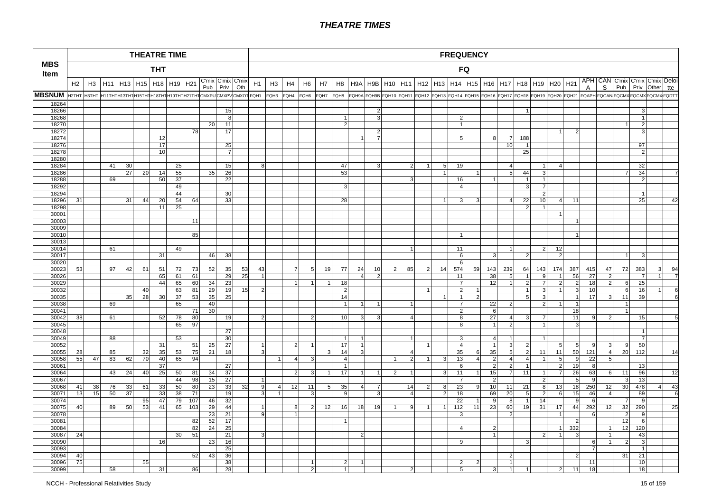|                    |    |                                                                                          |                 |    | <b>THEATRE TIME</b> |            |                 |            |                          |                      |     |                |                |                |                  |                |                                |                                           |                |                         |                |                |                | <b>FREQUENCY</b>                                   |                      |                                                                                                                                          |                                  |                                  |                 |                                |                      |                                                       |                 |                |
|--------------------|----|------------------------------------------------------------------------------------------|-----------------|----|---------------------|------------|-----------------|------------|--------------------------|----------------------|-----|----------------|----------------|----------------|------------------|----------------|--------------------------------|-------------------------------------------|----------------|-------------------------|----------------|----------------|----------------|----------------------------------------------------|----------------------|------------------------------------------------------------------------------------------------------------------------------------------|----------------------------------|----------------------------------|-----------------|--------------------------------|----------------------|-------------------------------------------------------|-----------------|----------------|
| <b>MBS</b><br>Item |    |                                                                                          |                 |    |                     | <b>THT</b> |                 |            |                          |                      |     |                |                |                |                  |                |                                |                                           |                |                         |                |                |                | <b>FQ</b>                                          |                      |                                                                                                                                          |                                  |                                  |                 |                                |                      |                                                       |                 |                |
|                    | H2 | H <sub>3</sub>                                                                           | H <sub>11</sub> |    | H13 H15 H18 H19 H21 |            |                 |            | C'mix C'mix C'mix<br>Pub | Priv                 | Oth | H1             | H <sub>3</sub> | H <sub>4</sub> | H <sub>6</sub>   | H7             | H <sub>8</sub>                 | H <sub>9</sub> A                          |                | H9B H10 H11             |                |                |                |                                                    |                      | H12 H13 H14 H15 H16 H17 H18 H19 H20 H21                                                                                                  |                                  |                                  |                 | S.                             |                      | APH CAN C'mix C'mix C'mix Deloi<br>Pub Priv Other tte |                 |                |
| <b>MBSNUM</b>      |    | н2тнт   н3тнт   н11тнт  н13тнт  н15тнт  н18тнт  н19тнт  н21тнт  смхри смхри смхот  годнз |                 |    |                     |            |                 |            |                          |                      |     |                |                | FQH4           | FQH <sub>6</sub> | FQH7           | FQH8                           |                                           |                |                         |                |                |                |                                                    |                      | ғанза ғанзв ған10  ған11  ған12  ған13  ған14  ған15  ған16  ған17  ған18  ған19  ған20  ған21  ғалрн ғаслм ғасмх ғасмх ғасмх ғасмх ғасм |                                  |                                  |                 |                                |                      |                                                       |                 |                |
| 18264              |    |                                                                                          |                 |    |                     |            |                 |            |                          |                      |     |                |                |                |                  |                |                                |                                           |                |                         |                |                |                |                                                    |                      |                                                                                                                                          |                                  |                                  |                 |                                |                      |                                                       |                 |                |
| 18266<br>18268     |    |                                                                                          |                 |    |                     |            |                 |            |                          | 15<br>8              |     |                |                |                |                  |                | $\mathbf{1}$                   | $\overline{2}$<br>3 <sup>1</sup>          |                |                         |                |                |                | 2                                                  |                      | $\mathbf{1}$                                                                                                                             |                                  |                                  |                 |                                |                      | $\mathbf{3}$<br>$\mathbf{1}$                          |                 |                |
| 18270              |    |                                                                                          |                 |    |                     |            |                 |            | 20                       | 11                   |     |                |                |                |                  |                | 2 <sup>1</sup>                 |                                           |                |                         |                |                | 1              |                                                    |                      |                                                                                                                                          |                                  |                                  |                 |                                | $\vert$              | $\overline{2}$                                        |                 |                |
| 18272              |    |                                                                                          |                 |    |                     |            |                 | 78         |                          | 17                   |     |                |                |                |                  |                |                                | $\overline{2}$                            |                |                         |                |                |                |                                                    |                      |                                                                                                                                          |                                  | 1 <sup>1</sup><br>$\overline{2}$ |                 |                                |                      | $\mathbf{3}$                                          |                 |                |
| 18274              |    |                                                                                          |                 |    |                     | 12         |                 |            |                          |                      |     |                |                |                |                  |                |                                | $\overline{7}$<br>1                       |                |                         |                |                |                | 5 <sup>1</sup>                                     | 8                    | 7<br>188                                                                                                                                 |                                  |                                  |                 |                                |                      |                                                       |                 |                |
| 18276              |    |                                                                                          |                 |    |                     | 17         |                 |            |                          | 25<br>$\overline{7}$ |     |                |                |                |                  |                |                                |                                           |                |                         |                |                |                |                                                    |                      | 10<br>$\overline{1}$                                                                                                                     |                                  |                                  |                 |                                |                      | 97<br>$\overline{2}$                                  |                 |                |
| 18278<br>18280     |    |                                                                                          |                 |    |                     | 10         |                 |            |                          |                      |     |                |                |                |                  |                |                                |                                           |                |                         |                |                |                |                                                    |                      | 25                                                                                                                                       |                                  |                                  |                 |                                |                      |                                                       |                 |                |
| 18284              |    |                                                                                          | 41              | 30 |                     |            | 25              |            |                          | 15                   |     | 8 <sup>1</sup> |                |                |                  |                | 47                             | 3 <sup>l</sup>                            |                | $\overline{2}$          | $\overline{1}$ | 5 <sub>l</sub> | 19             |                                                    |                      | $\overline{4}$                                                                                                                           | 1                                | 4 <sup>1</sup>                   |                 |                                |                      | 32                                                    |                 |                |
| 18286              |    |                                                                                          |                 | 27 | 20                  | 14         | 55              |            | 35 <sup>2</sup>          | 26                   |     |                |                |                |                  |                | 53                             |                                           |                |                         |                | $\mathbf{1}$   |                |                                                    |                      | $5\overline{)}$<br>44                                                                                                                    | 3 <sup>1</sup>                   |                                  |                 |                                | $\overline{7}$       | 34                                                    |                 | 7              |
| 18288              |    |                                                                                          | 69              |    |                     | 50         | 37              |            |                          | 22                   |     |                |                |                |                  |                |                                |                                           |                | 3                       |                |                | 16             |                                                    | $1\vert$             | $\mathbf{1}$                                                                                                                             | 1 <sup>1</sup>                   |                                  |                 |                                |                      | 2                                                     |                 |                |
| 18292<br>18294     |    |                                                                                          |                 |    |                     |            | 49<br>44        |            |                          | 30                   |     |                |                |                |                  |                | 3 <sup>1</sup>                 |                                           |                |                         |                |                | $\overline{4}$ |                                                    |                      | $\overline{3}$                                                                                                                           | $\overline{7}$<br>2 <sup>1</sup> |                                  |                 |                                |                      | 1                                                     |                 |                |
| 18296              | 31 |                                                                                          |                 | 31 | 44                  | 20         | 54              | 64         |                          | 33                   |     |                |                |                |                  |                | 28                             |                                           |                |                         |                | 1              |                | $\mathbf{3}$<br>$\overline{3}$                     |                      | 22<br>$\overline{4}$                                                                                                                     | 10 <sup>1</sup>                  | 11<br>4 <sup>1</sup>             |                 |                                |                      | 25                                                    |                 | 42             |
| 18298              |    |                                                                                          |                 |    |                     | 11         | 25              |            |                          |                      |     |                |                |                |                  |                |                                |                                           |                |                         |                |                |                |                                                    |                      | $\overline{2}$                                                                                                                           | $\vert$                          |                                  |                 |                                |                      |                                                       |                 |                |
| 30001              |    |                                                                                          |                 |    |                     |            |                 |            |                          |                      |     |                |                |                |                  |                |                                |                                           |                |                         |                |                |                |                                                    |                      |                                                                                                                                          |                                  | 1 <sup>1</sup>                   |                 |                                |                      |                                                       |                 |                |
| 30003<br>30009     |    |                                                                                          |                 |    |                     |            |                 | 11         |                          |                      |     |                |                |                |                  |                |                                |                                           |                |                         |                |                |                |                                                    |                      |                                                                                                                                          |                                  | $\mathbf{1}$                     |                 |                                |                      |                                                       |                 |                |
| 30010              |    |                                                                                          |                 |    |                     |            |                 | 85         |                          |                      |     |                |                |                |                  |                |                                |                                           |                |                         |                |                | 1              |                                                    |                      |                                                                                                                                          |                                  |                                  |                 |                                |                      |                                                       |                 |                |
| 30013              |    |                                                                                          |                 |    |                     |            |                 |            |                          |                      |     |                |                |                |                  |                |                                |                                           |                |                         |                |                |                |                                                    |                      |                                                                                                                                          |                                  |                                  |                 |                                |                      |                                                       |                 |                |
| 30014              |    |                                                                                          | 61              |    |                     |            | 49              |            |                          |                      |     |                |                |                |                  |                |                                |                                           |                |                         |                |                | 11             |                                                    |                      | $\mathbf{1}$                                                                                                                             | $\overline{2}$<br>12             |                                  |                 |                                |                      |                                                       |                 |                |
| 30017              |    |                                                                                          |                 |    |                     | 31         |                 |            | 46                       | 38                   |     |                |                |                |                  |                |                                |                                           |                |                         |                |                |                | $6 \mid$<br>6                                      | 3 <sup>1</sup>       | $\overline{2}$                                                                                                                           |                                  | 2 <sup>1</sup>                   |                 |                                | 11                   | $\mathbf{3}$                                          |                 |                |
| 30020<br>30023     | 53 |                                                                                          | 97              | 42 | 61                  | 51         | 72              | 73         | 52                       | 35                   | 53  | 43             |                | 7 <sup>1</sup> | 5 <sup>1</sup>   | 19             | 77                             | 24<br>10                                  | $\overline{2}$ | 85                      | $\overline{2}$ | 14             | 574            | 59                                                 | 143                  | 239<br>64                                                                                                                                | 143<br>174                       | 387                              | 415             | 47                             | 72                   | 383                                                   | 3 <sup>1</sup>  | 94             |
| 30026              |    |                                                                                          |                 |    |                     | 65         | 61              | 61         |                          | 29                   | 25  | $\overline{1}$ |                |                |                  |                |                                | $\overline{4}$<br>$\overline{2}$          |                |                         |                |                | 11             |                                                    | 38                   | 5                                                                                                                                        | 9                                | 56<br>11                         | 27              | $\overline{2}$                 |                      | $\overline{7}$                                        | 1               | $\overline{7}$ |
| 30029              |    |                                                                                          |                 |    |                     | 44         | 65              | 60         | 34                       | 23                   |     |                |                | 11             | 1 <sup>1</sup>   | $\mathbf{1}$   | 18                             |                                           |                |                         |                |                |                | $\overline{7}$                                     | 12                   | $\mathbf{1}$<br>$\mathbf{2}$                                                                                                             | $\overline{7}$                   | $\overline{2}$<br>$\overline{2}$ | 18              | $\overline{2}$                 | $6 \mid$             | 25                                                    |                 |                |
| 30032              |    |                                                                                          |                 | 35 | 40<br>28            | 30         | 63              | 81         | 29<br>35                 | 19<br>25             | 15  | $\overline{2}$ |                |                |                  |                | $\overline{2}$<br>14           |                                           |                |                         | $\overline{1}$ | $\vert$        |                | $\overline{2}$<br>1 <sup>1</sup><br>$\overline{2}$ |                      | 1<br>$\overline{5}$                                                                                                                      | 3 <sup>1</sup><br>3              | 1<br>3 <sup>l</sup><br>11        | 10              |                                | 6                    | 16<br>39                                              | 1               | 6<br>6         |
| 30035<br>30038     |    |                                                                                          | 69              |    |                     |            | 37<br>65        | 53         | 40                       |                      |     |                |                |                |                  |                | $\overline{1}$                 | 11<br>$\mathbf 1$                         |                | -1                      |                |                |                | 1<br>7                                             | 22                   | $\overline{2}$                                                                                                                           | 2 <sup>1</sup>                   | $\overline{1}$<br>$\mathbf{1}$   | 17              | $\mathbf{3}$                   | 11<br>$\vert$        |                                                       |                 |                |
| 30041              |    |                                                                                          |                 |    |                     |            |                 | 71         | 30                       |                      |     |                |                |                |                  |                |                                |                                           |                |                         |                |                |                | $\overline{2}$                                     | 6                    |                                                                                                                                          |                                  | 18                               |                 |                                | $\overline{1}$       |                                                       |                 |                |
| 30042              | 38 |                                                                                          | 61              |    |                     | 52         | 78              | 80         |                          | 19                   |     | $\overline{2}$ |                |                | 2 <sup>1</sup>   |                | 10 <sup>1</sup>                | 3 <sup>1</sup><br>3                       |                | $\overline{4}$          |                |                |                | 8                                                  | 27                   | 3 <sup>l</sup><br>4                                                                                                                      | $\overline{7}$                   | 11                               | 9               | $\overline{2}$                 |                      | 15                                                    |                 | 5              |
| 30045              |    |                                                                                          |                 |    |                     |            | 65              | 97         |                          |                      |     |                |                |                |                  |                |                                |                                           |                |                         |                |                |                | 8                                                  | 1                    | $\overline{2}$                                                                                                                           | $\mathbf{1}$                     | $\overline{3}$                   |                 |                                |                      |                                                       |                 |                |
| 30048<br>30049     |    |                                                                                          | 88              |    |                     |            | 53              |            |                          | 27<br>30             |     |                |                |                |                  |                | 11                             | $\overline{1}$                            |                | $\overline{\mathbf{1}}$ |                |                |                | $\mathbf{3}$                                       | 4 <sup>1</sup>       | $\mathbf{1}$                                                                                                                             | $\mathbf{1}$                     |                                  |                 |                                |                      | $\mathbf{1}$<br>7                                     |                 |                |
| 30052              |    |                                                                                          |                 |    |                     | 31         |                 | 51         | 25                       | 27                   |     | $\mathbf{1}$   |                | $\overline{2}$ | 1                |                | 17                             | $\mathbf{1}$                              |                |                         | $\overline{1}$ |                |                | $\overline{4}$                                     | 1                    | $\mathbf{3}$<br>$\overline{2}$                                                                                                           |                                  | 5 <sup>1</sup><br>5 <sup>1</sup> | -9              | 3                              | 9                    | 50                                                    |                 |                |
| 30055              | 28 |                                                                                          | 85              |    | 32                  | 35         | 53              | 75         | 21                       | 18                   |     | 3 <sup>1</sup> |                |                |                  | 3              | 14                             | 3 <sup>1</sup>                            |                | $\overline{4}$          |                |                | 35             | 6                                                  | 35                   | $5\overline{)}$<br>$\overline{2}$                                                                                                        | 11<br>11                         | 50                               | 121             | $\overline{4}$                 | 20                   | 112                                                   |                 | 14             |
| 30058              | 55 | 47                                                                                       | 83              | 62 | 70                  | 40         | 65              | 94         |                          |                      |     |                |                | $\overline{4}$ | 3 <sup>1</sup>   |                | $\overline{4}$<br>$\mathbf{1}$ |                                           | 11             | $\overline{2}$          | $\mathbf{1}$   | 3              | 13             | $\overline{4}$                                     | $\overline{2}$       | $\overline{4}$<br>$\overline{4}$                                                                                                         | $\overline{1}$                   | 5<br>9                           | $\overline{22}$ | $\overline{5}$                 |                      |                                                       |                 |                |
| 30061<br>30064     |    |                                                                                          | 43              | 24 | 40                  | 37<br>25   | 50              | 81         | 34                       | 27<br>37             |     |                |                | $\mathfrak{D}$ | 3 <sup>1</sup>   | 1              | 17                             | 1<br>$\mathbf{1}$                         | 2              |                         |                | $\mathbf{3}$   | 11             | 6                                                  | 2 <sup>1</sup><br>15 | $\overline{2}$<br>7 <sup>1</sup><br>11                                                                                                   | $\mathbf{1}$                     | 2 <br>19<br>7<br>26              | 8<br>63         | $6\phantom{.}6$                | 11                   | 13<br>96                                              |                 | 12             |
| 30067              |    |                                                                                          |                 |    |                     |            | 44              | 98         | 15                       | 27                   |     | $\mathbf{1}$   |                |                |                  |                |                                |                                           |                |                         |                |                | 7              |                                                    | 2 <sup>1</sup>       |                                                                                                                                          | 2 <sup>1</sup>                   | $5\phantom{.0}$                  | 9               |                                | 3                    | 13                                                    |                 |                |
| 30068              | 41 | 38                                                                                       | 76              | 33 | 61                  | 33         | 50              | 80         | 23                       | 33                   | 32  | 9              | $\overline{4}$ | 12             | 11               | 5 <sub>l</sub> | 35                             | $\overline{7}$<br>$\overline{\mathbf{A}}$ |                | 14                      | $\overline{2}$ | 8 <sup>1</sup> | 23             | 9 <sub>l</sub>                                     | 10                   | 11<br>21                                                                                                                                 | 8 <sup>1</sup><br>13             | 18                               | 250             | 12                             | 30 <sup>1</sup>      | 478                                                   | $\vert 4 \vert$ | 43             |
| 30071              | 13 | 15                                                                                       | 50              | 37 |                     | 33         | 38              | 71         |                          | 19                   |     | 3              |                |                | 3 <sup>1</sup>   |                | 9                              | 3 <sup>1</sup>                            |                | $\overline{4}$          |                | $\overline{a}$ | 18             |                                                    | 69                   | 20<br>$5\phantom{.0}$                                                                                                                    | 2                                | 15<br>6                          | 46              | $\overline{4}$                 |                      | 89                                                    |                 | 6              |
| 30074<br>30075     | 40 |                                                                                          | 89              | 50 | 95<br>53            | 47<br>41   | 79<br>65        | 107<br>103 | 46<br>29                 | 32<br>44             |     | 1              |                | 8              | 2 <sup>1</sup>   | 12             | 16                             | 19<br>18 <sup>1</sup>                     |                | 9                       | $\mathbf{1}$   | 1              | 22<br>112      | 1 <sup>1</sup><br>11                               | 9 <br>23             | 8<br>1<br>19<br>60                                                                                                                       | 14<br>31<br>17                   | 9<br>44                          | 6<br>292        | 12                             | $\overline{7}$<br>32 | 9<br>290                                              |                 | 25             |
| 30078              |    |                                                                                          |                 |    |                     |            |                 |            | 23                       | 21                   |     | 9 <sup>1</sup> |                |                |                  |                |                                |                                           |                |                         |                |                | 3              |                                                    |                      | $\overline{2}$                                                                                                                           |                                  | 11                               | 6               |                                | $\vert$ 2            | 9                                                     |                 |                |
| 30081              |    |                                                                                          |                 |    |                     |            |                 | 82         | 52                       | 17                   |     |                |                |                |                  |                | 1 <sup>1</sup>                 |                                           |                |                         |                |                |                |                                                    |                      |                                                                                                                                          |                                  | 2                                |                 |                                | 12                   | 6                                                     |                 |                |
| 30084              |    |                                                                                          |                 |    |                     |            |                 | 82         | 24                       | 25                   |     |                |                |                |                  |                |                                |                                           |                |                         |                |                |                | $\overline{\mathbf{A}}$                            | 2 <sup>1</sup>       |                                                                                                                                          |                                  | 332<br>11                        |                 | $\mathbf{1}$                   | 12                   | 120                                                   |                 |                |
| 30087<br>30090     | 24 |                                                                                          |                 |    |                     | 16         | 30 <sup>1</sup> | 51         | 23                       | 21<br>16             |     | 3 <sup>1</sup> |                |                |                  |                |                                | 2 <sup>1</sup>                            |                |                         |                |                |                | 9                                                  | 1 <sup>1</sup>       | 3 <sup>1</sup>                                                                                                                           | 2 <sup>1</sup>                   | 1 <sup>1</sup><br>3              | 6               | $\mathbf{1}$<br>$\overline{1}$ | $\overline{2}$       | 43<br>3                                               |                 |                |
| 30093              |    |                                                                                          |                 |    |                     |            |                 |            |                          | 25                   |     |                |                |                |                  |                |                                |                                           |                |                         |                |                |                |                                                    |                      |                                                                                                                                          |                                  |                                  | $\overline{7}$  |                                |                      | 11                                                    |                 |                |
| 30094              | 40 |                                                                                          |                 |    |                     |            |                 | 52         | 43                       | 36                   |     |                |                |                |                  |                |                                |                                           |                |                         |                |                |                |                                                    |                      | $\overline{2}$                                                                                                                           |                                  | $\overline{2}$                   |                 |                                | 31                   | 21                                                    |                 |                |
| 30096              | 75 |                                                                                          |                 |    | 55                  |            |                 |            |                          | 38                   |     |                |                |                | 1                |                | $\overline{2}$                 | 1                                         |                |                         |                |                |                | $\overline{2}$<br>$\overline{2}$                   |                      | $\mathbf{1}$                                                                                                                             |                                  |                                  | 11              |                                |                      | 10                                                    |                 |                |
| 30099              |    |                                                                                          | 58              |    |                     | 31         |                 | 86         |                          | 28                   |     |                |                |                | $2\sqrt{ }$      |                | 1 <sup>1</sup>                 |                                           |                | 2 <sup>1</sup>          |                |                |                | 5 <sub>1</sub>                                     | 3 <sup>1</sup>       | $\overline{1}$<br>1                                                                                                                      |                                  | 2 <br>11                         | $\overline{18}$ |                                |                      | 18                                                    |                 |                |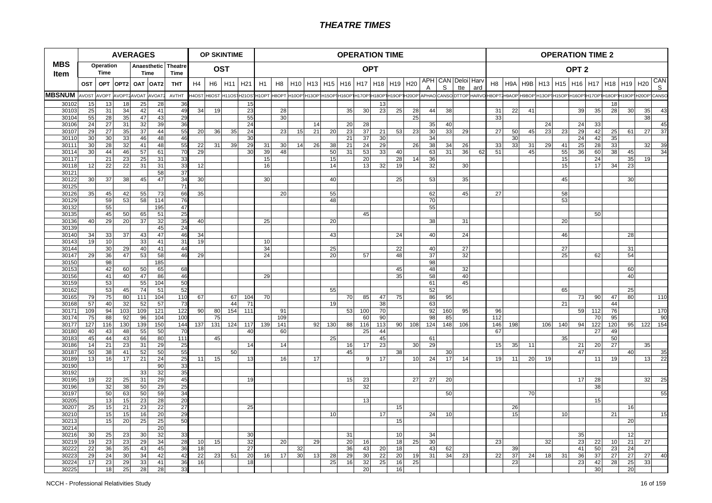|                           |            |                   |                  | <b>AVERAGES</b>    |             |                        |                |     | OP SKINTIME              |                 |          |          |                                               |    |                 |                 |                 | <b>OPERATION TIME</b> |                 |          |          |                                |          |           |                 |                 |          | <b>OPERATION TIME 2</b>                                                                                                                                             |          |                  |           |          |                             |          |                 |
|---------------------------|------------|-------------------|------------------|--------------------|-------------|------------------------|----------------|-----|--------------------------|-----------------|----------|----------|-----------------------------------------------|----|-----------------|-----------------|-----------------|-----------------------|-----------------|----------|----------|--------------------------------|----------|-----------|-----------------|-----------------|----------|---------------------------------------------------------------------------------------------------------------------------------------------------------------------|----------|------------------|-----------|----------|-----------------------------|----------|-----------------|
| <b>MBS</b><br><b>Item</b> |            | Operation<br>Time |                  | <b>Time</b>        | Anaesthetic | <b>Theatre</b><br>Time |                |     | <b>OST</b>               |                 |          |          |                                               |    |                 |                 | <b>OPT</b>      |                       |                 |          |          |                                |          |           |                 |                 |          |                                                                                                                                                                     |          | OPT <sub>2</sub> |           |          |                             |          |                 |
|                           | <b>OST</b> | <b>OPT</b>        | OPT <sub>2</sub> |                    | OAT OAT2    | <b>THT</b>             | H <sub>4</sub> | H6  | H <sub>11</sub>          | H <sub>21</sub> | H1       | H8       | H10   H13   H15   H16   H17   H18   H19   H20 |    |                 |                 |                 |                       |                 |          |          | APH   CAN   Deloi   Harv<br>S. | tte      | ard       | H8              | H9A             |          | H9B H13 H15                                                                                                                                                         |          |                  |           |          | H16   H17   H18   H19   H20 |          | CAN<br>S.       |
| <b>MBSNUM</b>             |            | <b>VOST AVOPT</b> |                  | AVOPT2AVOAT AVOAT2 |             | AVTHT                  |                |     | 140ST H60ST H110ST H210S |                 |          |          |                                               |    |                 |                 |                 |                       |                 |          |          |                                |          |           |                 |                 |          | H1OPT H8OPT H10OPT H13OPT H15OPT H16OPT H17OPT H18OPT H19OPT H2OOPT APHAO CANSO DTTOP HARVO H8OPT H9AOP H9OOP H13OPT H15OPT H16OPT H16OPT H18OPT H19OPT H2OOPTCANSC |          |                  |           |          |                             |          |                 |
| 30102                     | 15         | 13                | 18               | 25                 | 28          | 36                     |                |     |                          | 15              |          |          |                                               |    |                 |                 |                 | 13                    |                 |          |          |                                |          |           |                 |                 |          |                                                                                                                                                                     |          |                  |           | 18       |                             |          |                 |
| 30103<br>30104            | 25<br>55   | 31<br>28          | 34<br>35         | 42<br>47           | 41<br>43    | 49<br>29               | 34             | 19  |                          | 23<br>55        |          | 28<br>30 |                                               |    |                 | 35              | 30 <sup>1</sup> | 23                    | 25              | 28<br>25 | 44       | 38                             |          |           | 31<br>33        | 22              | 41       |                                                                                                                                                                     |          | 39 <sup>°</sup>  | 35        | 28       | 30                          | 35<br>38 | 43              |
| 30106                     | 24         | 27                | 31               | 32                 | 39          | 36                     |                |     |                          | 24              |          |          |                                               | 14 |                 | 20              | 28              |                       |                 |          | 35       | 40                             |          |           |                 |                 |          | 24                                                                                                                                                                  |          | 24               | 33        |          |                             |          | 45              |
| 30107                     | 29         | 27                | 35               | 37                 | 44          | 55                     | 20             | 36  | 35                       | 24              |          | 23       | 15                                            | 21 | 20              | 23              | 37              | 21                    | 53              | 23       | 30       | 33                             | 29       |           | 27              | 50              | 45       | 23                                                                                                                                                                  | 23       | 29               | 42        | 25       | 61                          | 27       | 37              |
| 30110                     | 30         | 30                | 33               | 46                 | 48          | 46                     |                |     |                          | 30              |          |          |                                               |    |                 | 21              | 37              | 30                    |                 |          | 34       |                                |          |           |                 | 30              |          |                                                                                                                                                                     |          | 24               | 42        | 35       |                             |          |                 |
| 30111<br>30114            | 30<br>30   | 28<br>44          | 32<br>46         | 41<br>57           | 48<br>61    | 55<br>70               | 22<br>29       | 31  | 39                       | 29<br>30        | 31<br>39 | 30<br>48 | 14                                            | 26 | 38<br>50        | 21              | 24<br>53        | 29                    | 40              | 26       | 38<br>63 | 34<br>31                       | 26<br>36 | <b>62</b> | 33<br>51        | 33 <sub>1</sub> | 31<br>45 | 29                                                                                                                                                                  | 41<br>55 | 25<br>36         | 28<br>60  | 33<br>38 | 45                          | 32       | 39<br>34        |
| 30117                     |            | 21                | 23               | 25                 | 31          | 33                     |                |     |                          |                 | 15       |          |                                               |    | 15              | 31              | 20              | 33                    | 28              | 14       | 36       |                                |          |           |                 |                 |          |                                                                                                                                                                     | 15       |                  | 24        |          | 35                          | 19       |                 |
| 30118                     | 12         | 22                | 22               | 31                 | 31          | 33                     | 12             |     |                          |                 | 16       |          |                                               |    | 14              |                 | 13 <sup>1</sup> | 32                    | 19              |          | 32       |                                | 30       |           |                 |                 |          |                                                                                                                                                                     | 15       |                  | 17        | 34       | 23                          |          |                 |
| 30121                     |            |                   |                  |                    | 58          | 37                     |                |     |                          |                 |          |          |                                               |    |                 |                 |                 |                       |                 |          |          |                                |          |           |                 |                 |          |                                                                                                                                                                     |          |                  |           |          |                             |          |                 |
| 30122                     | 30         | 37                | 38               | 45                 | 47          | 34<br>$\overline{71}$  | 30             |     |                          |                 | 30       |          |                                               |    | 40              |                 |                 |                       | 25              |          | 53       |                                | 35       |           |                 |                 |          |                                                                                                                                                                     | 45       |                  |           |          | 30                          |          |                 |
| 30125<br>30126            | 35         | 45                | 42               | 55                 | 73          | 66                     | 35             |     |                          |                 |          | 20       |                                               |    | 55              |                 |                 |                       |                 |          | 62       |                                | 45       |           | 27              |                 |          |                                                                                                                                                                     | 58       |                  |           |          |                             |          |                 |
| 30129                     |            | 59                | 53               | 58                 | 114         | 76                     |                |     |                          |                 |          |          |                                               |    | 48              |                 |                 |                       |                 |          | 70       |                                |          |           |                 |                 |          |                                                                                                                                                                     | 53       |                  |           |          |                             |          |                 |
| 30132                     |            | 55                |                  |                    | 195         | 47                     |                |     |                          |                 |          |          |                                               |    |                 |                 |                 |                       |                 |          | 55       |                                |          |           |                 |                 |          |                                                                                                                                                                     |          |                  |           |          |                             |          |                 |
| 30135                     |            | 45                | 50               | 65                 | 51          | 25                     |                |     |                          |                 |          |          |                                               |    |                 |                 | 45              |                       |                 |          |          |                                |          |           |                 |                 |          |                                                                                                                                                                     |          |                  | 50        |          |                             |          |                 |
| 30136<br>30139            | 40         | 29                | 20               | 37                 | 32<br>45    | 35<br>24               | 40             |     |                          |                 | 25       |          |                                               |    | 20              |                 |                 |                       |                 |          | 38       |                                | 31       |           |                 |                 |          |                                                                                                                                                                     | 20       |                  |           |          |                             |          |                 |
| 30140                     | 34         | 33                | 37               | 43                 | 47          | 46                     | 34             |     |                          |                 |          |          |                                               |    | 43              |                 |                 |                       | 24              |          | 40       |                                | 24       |           |                 |                 |          |                                                                                                                                                                     | 46       |                  |           |          | 28                          |          |                 |
| 30143                     | 19         | 10                |                  | 33                 | 41          | 31                     | 19             |     |                          |                 | 10       |          |                                               |    |                 |                 |                 |                       |                 |          |          |                                |          |           |                 |                 |          |                                                                                                                                                                     |          |                  |           |          |                             |          |                 |
| 30144                     |            | 30                | 29               | 40                 | 41          | 44                     |                |     |                          |                 | 34       |          |                                               |    | 25              |                 |                 |                       | 22              |          | 40       |                                | 27       |           |                 |                 |          |                                                                                                                                                                     | 27       |                  |           |          | 31                          |          |                 |
| 30147<br>30150            | 29         | 36<br>98          | 47               | 53                 | 58<br>185   | 46                     | 29             |     |                          |                 | 24       |          |                                               |    | 20              |                 | 57              |                       | 48              |          | 37<br>98 |                                | 32       |           |                 |                 |          |                                                                                                                                                                     | 25       |                  | 62        |          | 54                          |          |                 |
| 30153                     |            | 42                | 60               | 50                 | 65          | 68                     |                |     |                          |                 |          |          |                                               |    |                 |                 |                 |                       | 45              |          | 48       |                                | 32       |           |                 |                 |          |                                                                                                                                                                     |          |                  |           |          | 60                          |          |                 |
| 30156                     |            | 41                | 40               | 47                 | 86          | 46                     |                |     |                          |                 | 29       |          |                                               |    |                 |                 |                 |                       | 35              |          | 58       |                                | 40       |           |                 |                 |          |                                                                                                                                                                     |          |                  |           |          | 40                          |          |                 |
| 30159                     |            | 53                |                  | 55                 | 104         | 50                     |                |     |                          |                 |          |          |                                               |    |                 |                 |                 |                       |                 |          | 61       |                                | 45       |           |                 |                 |          |                                                                                                                                                                     |          |                  |           |          |                             |          |                 |
| 30162<br>30165            | 79         | 53<br>75          | 45<br>80         | 74<br>111          | 51<br>104   | 52<br>110              | 67             |     | 67                       | 104             | 70       |          |                                               |    | 55              | 70              | 85              | 47                    | 75              |          | 52<br>86 | 95                             |          |           |                 |                 |          |                                                                                                                                                                     | 65       | 73               | 90        | 47       | 25<br>80                    |          | 110             |
| 30168                     | 57         | 40                | 32               | 52                 | 57          | -73                    |                |     | 44                       | 71              |          |          |                                               |    | 19              |                 |                 | 38                    |                 |          | 63       |                                |          |           |                 |                 |          |                                                                                                                                                                     | 21       |                  |           | 44       |                             |          |                 |
| 30171                     | 109        | 94                | 103              | 109                | 121         | 122                    | 90             | 80  | 154                      | 111             |          | 91       |                                               |    |                 | 53              | 100             | 70                    |                 |          | 92       | 160                            | 95       |           | 96              |                 |          |                                                                                                                                                                     |          | 59               | 112       | 76       |                             |          | 170             |
| 30174                     | 75         | 88                | 92               | 96                 | 104         | 100                    |                | 75  |                          |                 |          | 109      |                                               |    |                 |                 | 60              | 90                    |                 |          | 98       | 85                             |          |           | 112             |                 |          |                                                                                                                                                                     |          |                  | 70        | 95       |                             |          | 90              |
| 30177<br>30180            | 127<br>40  | 116<br>43         | 130              | 139<br>55          | 150<br>50   | 144<br>70              | 137            | 131 | 124                      | 117             | 139      | 141      |                                               | 92 | 130             | 88              | 116             | 113<br>44             | 90              | 108      | 124      | 148                            | 106      |           | 146<br>67       | 198             |          | 106                                                                                                                                                                 | 140      | 94               | 122<br>27 | 120      | 95                          | 122      | 154             |
| 30183                     | 45         | 44                | 48<br>43         | 66                 | 80          | 111                    |                | 45  |                          | 40              |          | 60       |                                               |    | 25              |                 | 25              | 45                    |                 |          | 61       |                                |          |           |                 |                 |          |                                                                                                                                                                     | 35       |                  |           | 49<br>50 |                             |          |                 |
| 30186                     | 14         | 21                | 23               | 31                 | 29          | 25                     |                |     |                          | 14              |          | 14       |                                               |    |                 | 16              | 17              | 23                    |                 | 30       | 29       |                                |          |           | 15              | 35              | 11       |                                                                                                                                                                     |          | 21               | 20        | 27       |                             | 35       |                 |
| 30187                     | 50         | 38                | 41               | 52                 | 50          | 55                     |                |     | 50                       |                 |          |          |                                               |    |                 | 45              |                 |                       | 38 <sup>°</sup> |          |          | 30                             |          |           |                 |                 |          |                                                                                                                                                                     |          | 47               |           |          | 40                          |          | 35              |
| 30189                     | 13         | 16                | 17               | 21                 | 24          | 25                     | 11             | 15  |                          | 13              |          | 16       |                                               | 17 |                 |                 | 9               | 17                    |                 | 10       | 24       | 17                             | 14       |           | 19 <sup>1</sup> | 11              | 20       | 19                                                                                                                                                                  |          |                  | 11        | 19       |                             | 13       | $\overline{22}$ |
| 30190<br>30192            |            |                   |                  | 33                 | 90<br>32    | 33<br>35               |                |     |                          |                 |          |          |                                               |    |                 |                 |                 |                       |                 |          |          |                                |          |           |                 |                 |          |                                                                                                                                                                     |          |                  |           |          |                             |          |                 |
| 30195                     | 19         | 22                | 25               | 31                 | 29          | 45                     |                |     |                          | 19              |          |          |                                               |    |                 | 15 <sub>l</sub> | 23              |                       |                 | 27       | 27       | 20                             |          |           |                 |                 |          |                                                                                                                                                                     |          | 17               | 28        |          |                             | 32       | 25              |
| 30196                     |            | 32                | 38               | 50                 | 29          | 25                     |                |     |                          |                 |          |          |                                               |    |                 |                 | 32              |                       |                 |          |          |                                |          |           |                 |                 |          |                                                                                                                                                                     |          |                  | $38$      |          |                             |          |                 |
| 30197                     |            | 50                | 63               | 50                 | 59          | 34                     |                |     |                          |                 |          |          |                                               |    |                 |                 |                 |                       |                 |          |          | 50                             |          |           |                 |                 | 70       |                                                                                                                                                                     |          |                  |           |          |                             |          | 55              |
| 30205<br>30207            | 25         | 13<br>15          | 15<br>21         | 23<br>23           | 28<br>22    | 20<br>27               |                |     |                          | 25              |          |          |                                               |    |                 |                 | 13              |                       | 15              |          |          |                                |          |           |                 | 26              |          |                                                                                                                                                                     |          |                  | 15        |          | 16                          |          |                 |
| 30210                     |            | 15                | 15               | 16                 | 20          | 29                     |                |     |                          |                 |          |          |                                               |    | 10 <sub>l</sub> |                 |                 | 17                    |                 |          | 24       | 10                             |          |           |                 | 15              |          |                                                                                                                                                                     | 10       |                  |           | 21       |                             |          | 15              |
| 30213                     |            | 15                | 20               | 25                 | 25          | 50                     |                |     |                          |                 |          |          |                                               |    |                 |                 |                 |                       | 15 <sup>1</sup> |          |          |                                |          |           |                 |                 |          |                                                                                                                                                                     |          |                  |           |          | 20                          |          |                 |
| 30214                     |            |                   |                  |                    | 20          |                        |                |     |                          |                 |          |          |                                               |    |                 |                 |                 |                       |                 |          |          |                                |          |           |                 |                 |          |                                                                                                                                                                     |          |                  |           |          |                             |          |                 |
| 30216<br>30219            | 30<br>19   | 25<br>23          | 23<br>23         | 30<br>29           | 32<br>34    | 33<br>28               | 10             | 15  |                          | 30<br>32        |          | 20       |                                               | 29 |                 | 31<br>20        | 16              |                       | 10<br>18        | 25       | 34<br>30 |                                |          |           | 23              |                 |          | 32                                                                                                                                                                  |          | 35<br>23         | 22        | 10       | 12<br>21                    | 27       |                 |
| 30222                     | 22         | 36                | 35               | 43                 | 45          | 36                     | 18             |     |                          | 27              |          |          | 32                                            |    |                 | 36              | 43              | 20                    | 18              |          | 43       | 62                             |          |           |                 | 39              |          |                                                                                                                                                                     |          | 41               | 50        | 23       | 24                          |          |                 |
| 30223                     | 29         | 24                | 30               | 34                 | 42          | 42                     | 22             | 23  | 51                       | 20              | 16       | 17       | 30                                            | 13 | 28              | 29              | 30              | 22                    | 20              | 19       | 31       | 34                             | 23       |           | 22              | 37              | 24       | 18 <sup>l</sup>                                                                                                                                                     | 31       | 36               | 37        | 27       | 27                          | 27       | 40              |
| 30224                     | 17         | 23                | 29               | 33                 | 41          | 36                     | 16             |     |                          | 18              |          |          |                                               |    | 25              | 16              | 32              | 25                    | 16              | 25       |          |                                |          |           |                 | 23              |          |                                                                                                                                                                     |          | 23               | 42        | 28       | 25                          | 33       |                 |
| 30225                     |            | 18                | 25               | 28                 | 28          | 33                     |                |     |                          |                 |          |          |                                               |    |                 |                 | 20              |                       | 16              |          |          |                                |          |           |                 |                 |          |                                                                                                                                                                     |          |                  | 30        |          | 20                          |          |                 |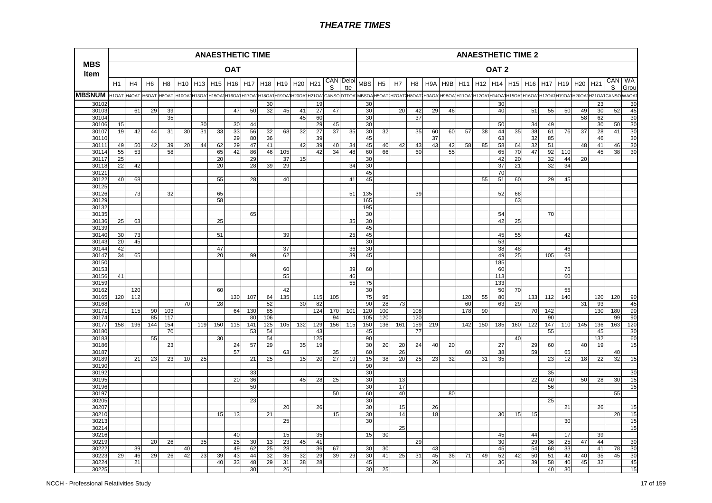|                           |                 |     |                |                |                                                                                                    |          |                 | <b>ANAESTHETIC TIME</b>                                                                 |          |          |          |                                                                 |           |                           |     |            |                |          |                |                  |     |                 |      |                                                 | <b>ANAESTHETIC TIME 2</b>                                                                                  |                      |                                                 |                 |                 |                 |          |
|---------------------------|-----------------|-----|----------------|----------------|----------------------------------------------------------------------------------------------------|----------|-----------------|-----------------------------------------------------------------------------------------|----------|----------|----------|-----------------------------------------------------------------|-----------|---------------------------|-----|------------|----------------|----------|----------------|------------------|-----|-----------------|------|-------------------------------------------------|------------------------------------------------------------------------------------------------------------|----------------------|-------------------------------------------------|-----------------|-----------------|-----------------|----------|
| <b>MBS</b><br><b>Item</b> |                 |     |                |                |                                                                                                    |          |                 | <b>OAT</b>                                                                              |          |          |          |                                                                 |           |                           |     |            |                |          |                |                  |     |                 |      | OAT <sub>2</sub>                                |                                                                                                            |                      |                                                 |                 |                 |                 |          |
|                           | H1              | H4  | H <sub>6</sub> | H <sub>8</sub> |                                                                                                    |          |                 | H <sub>10</sub>   H <sub>13</sub>   H <sub>15</sub>   H <sub>16</sub>   H <sub>17</sub> |          |          |          | H <sub>18</sub> H <sub>19</sub> H <sub>20</sub> H <sub>21</sub> |           | CAN Deloi<br>$\mathbf{C}$ | tte | <b>MBS</b> | H <sub>5</sub> | H7       | H <sub>8</sub> | H <sub>9</sub> A | H9B | H <sub>11</sub> |      | H <sub>12</sub> H <sub>14</sub> H <sub>15</sub> |                                                                                                            |                      | H <sub>16</sub> H <sub>17</sub> H <sub>19</sub> | H <sub>20</sub> | H <sub>21</sub> | CAN WA<br>S     | Grou     |
| <b>MBSNUM</b>             |                 |     |                |                | H1OAT H4OAT H6OAT H8OAT H10OAT H13OAT H15OAT H16OAT H17OAT H18OAT H19OAT H20OAT H21OAT CANSO DTTOA |          |                 |                                                                                         |          |          |          |                                                                 |           |                           |     |            |                |          |                |                  |     |                 |      |                                                 | MBSOA H5OAT1H7OAT1H8OAT1H9AOA H9BOA H11OA H112OA H114OA H115OA H116OA H117OA H119OA H20OA H21OA CANSO WAOA |                      |                                                 |                 |                 |                 |          |
| 30102                     |                 |     |                |                |                                                                                                    |          |                 |                                                                                         |          | 30       |          |                                                                 | 19        |                           |     | 30         |                |          |                |                  |     |                 |      | 30                                              |                                                                                                            |                      |                                                 |                 | 23              |                 | 30       |
| 30103                     |                 | 61  | 29             | 39             |                                                                                                    |          |                 | 47                                                                                      | 50       | 32       | 45       | 41                                                              | 27        | 47                        |     | 30         |                | 20       | 42             | 29               | 46  |                 |      | 40                                              |                                                                                                            | 51<br>55             | 50                                              | 49              | 30              | 52              | 45       |
| 30104                     |                 |     |                | 35             |                                                                                                    |          |                 |                                                                                         |          |          |          | 45                                                              | 60        |                           |     | 30         |                |          | 37             |                  |     |                 |      |                                                 |                                                                                                            |                      |                                                 | 58              | 62              |                 | 30       |
| 30106<br>30107            | 15<br>19        | 42  | 44             | 31             | 30                                                                                                 | 30<br>31 | 33              | 30<br>33                                                                                | 44<br>56 | 32       | 68       | 32                                                              | 29<br>27  | 45<br>37 <sup>1</sup>     | 35  | 30<br>30   | 32             |          | 35             | 60               | 60  | 57              | $38$ | 50<br>44                                        | 35                                                                                                         | 34<br>49<br>38<br>61 | 76                                              | 37              | 30<br>28        | 50<br>41        | 30<br>30 |
| 30110                     |                 |     |                |                |                                                                                                    |          |                 | 29                                                                                      | 80       | 36       |          |                                                                 | 39        |                           |     | 45         |                |          |                | 37               |     |                 |      | 63                                              |                                                                                                            | 32<br>85             |                                                 |                 | 46              |                 | 30       |
| 30111                     | 49              | 50  | 42             | 39             | 20                                                                                                 | 44       | 62              | 29                                                                                      | 47       | 41       |          | 42                                                              | 39        | 40                        | 34  | 45         | 40             | 42       | 43             | 43               | 42  | 58              | 85   | 58                                              | 64                                                                                                         | 32<br>51             |                                                 | 48              | 41              | 46              | 30       |
| 30114                     | 55              | 53  |                | 58             |                                                                                                    |          | 65              | 42                                                                                      | 86       | 46       | 105      |                                                                 | 42        | 34                        | 48  | 60         | 66             |          | 60             |                  | 55  |                 |      | 65                                              | 70                                                                                                         | 47<br>92             | 110                                             |                 | 45              | 38 <sup>1</sup> | 30       |
| 30117                     | 25              |     |                |                |                                                                                                    |          | $\overline{20}$ |                                                                                         | 29       |          | 37       | 15                                                              |           |                           |     | 30         |                |          |                |                  |     |                 |      | 42                                              | 20                                                                                                         | 32                   | 44                                              | 20              |                 |                 |          |
| 30118                     | 22              | 42  |                |                |                                                                                                    |          | 20              |                                                                                         | 28       | 39       | 29       |                                                                 |           |                           | 34  | 30         |                |          |                |                  |     |                 |      | 37                                              | 21                                                                                                         | 32                   | 34                                              |                 |                 |                 |          |
| 30121<br>30122            | 40              | 68  |                |                |                                                                                                    |          | 55              |                                                                                         | 28       |          | 40       |                                                                 |           |                           | 41  | 45<br>45   |                |          |                |                  |     |                 | 55   | 70<br>51                                        | 60                                                                                                         | 29                   | 45                                              |                 |                 |                 |          |
| 30125                     |                 |     |                |                |                                                                                                    |          |                 |                                                                                         |          |          |          |                                                                 |           |                           |     |            |                |          |                |                  |     |                 |      |                                                 |                                                                                                            |                      |                                                 |                 |                 |                 |          |
| 30126                     |                 | 73  |                | 32             |                                                                                                    |          | 65              |                                                                                         |          |          |          |                                                                 |           |                           | 51  | 135        |                |          | 39             |                  |     |                 |      | 52                                              | 68                                                                                                         |                      |                                                 |                 |                 |                 |          |
| 30129                     |                 |     |                |                |                                                                                                    |          | 58              |                                                                                         |          |          |          |                                                                 |           |                           |     | 165        |                |          |                |                  |     |                 |      |                                                 | 63                                                                                                         |                      |                                                 |                 |                 |                 |          |
| 30132                     |                 |     |                |                |                                                                                                    |          |                 |                                                                                         |          |          |          |                                                                 |           |                           |     | 195        |                |          |                |                  |     |                 |      |                                                 |                                                                                                            |                      |                                                 |                 |                 |                 |          |
| 30135<br>30136            | 25              | 63  |                |                |                                                                                                    |          | 25              |                                                                                         | 65       |          |          |                                                                 |           |                           | 35  | 30<br>30   |                |          |                |                  |     |                 |      | 54<br>42                                        | 25                                                                                                         | 70                   |                                                 |                 |                 |                 |          |
| 30139                     |                 |     |                |                |                                                                                                    |          |                 |                                                                                         |          |          |          |                                                                 |           |                           |     | 45         |                |          |                |                  |     |                 |      |                                                 |                                                                                                            |                      |                                                 |                 |                 |                 |          |
| 30140                     | 30 <sub>1</sub> | 73  |                |                |                                                                                                    |          | 51              |                                                                                         |          |          | 39       |                                                                 |           |                           | 25  | 45         |                |          |                |                  |     |                 |      | 45                                              | 55                                                                                                         |                      | 42                                              |                 |                 |                 |          |
| 30143                     | 20              | 45  |                |                |                                                                                                    |          |                 |                                                                                         |          |          |          |                                                                 |           |                           |     | 30         |                |          |                |                  |     |                 |      | 53                                              |                                                                                                            |                      |                                                 |                 |                 |                 |          |
| 30144                     | 42              |     |                |                |                                                                                                    |          | 47              |                                                                                         |          |          | 37       |                                                                 |           |                           | 36  | 30         |                |          |                |                  |     |                 |      | 38                                              | 48                                                                                                         |                      | 46                                              |                 |                 |                 |          |
| 30147                     | 34              | 65  |                |                |                                                                                                    |          | 20              |                                                                                         | 99       |          | 62       |                                                                 |           |                           | 39  | 45         |                |          |                |                  |     |                 |      | 49                                              | 25                                                                                                         | 105                  | 68                                              |                 |                 |                 |          |
| 30150<br>30153            |                 |     |                |                |                                                                                                    |          |                 |                                                                                         |          |          | 60       |                                                                 |           |                           | 39  | 60         |                |          |                |                  |     |                 |      | 185<br>60                                       |                                                                                                            |                      | 75                                              |                 |                 |                 |          |
| 30156                     | 41              |     |                |                |                                                                                                    |          |                 |                                                                                         |          |          | 55       |                                                                 |           |                           | 46  |            |                |          |                |                  |     |                 |      | 113                                             |                                                                                                            |                      | 60                                              |                 |                 |                 |          |
| 30159                     |                 |     |                |                |                                                                                                    |          |                 |                                                                                         |          |          |          |                                                                 |           |                           | 55  | 75         |                |          |                |                  |     |                 |      | 133                                             |                                                                                                            |                      |                                                 |                 |                 |                 |          |
| 30162                     |                 | 120 |                |                |                                                                                                    |          | 60              |                                                                                         |          |          | 42       |                                                                 |           |                           |     | 30         |                |          |                |                  |     |                 |      | 50                                              | 70                                                                                                         |                      | 55                                              |                 |                 |                 |          |
| 30165                     | 120             | 112 |                |                |                                                                                                    |          |                 | 130                                                                                     | 107      | 64       | 135      |                                                                 | 115       | 105                       |     | 75         | 95             |          |                |                  |     | 120             | 55   | 80                                              | 133                                                                                                        | 112                  | 140                                             |                 | 120             | 120             | 90       |
| 30168<br>30171            |                 | 115 | 90             | 103            | 70                                                                                                 |          | 28              | 64                                                                                      | 130      | 52<br>85 |          | 30                                                              | 82<br>124 | 170                       | 101 | 90<br>120  | 28<br>100      | 73       | 108            |                  |     | 60<br>178       | 90   | 63                                              | 29                                                                                                         | 70<br>142            |                                                 | 31              | 93<br>130       | 180             | 45<br>90 |
| 30174                     |                 |     | 85             | 117            |                                                                                                    |          |                 |                                                                                         | 80       | 106      |          |                                                                 |           | 94                        |     | 105        | 120            |          | 120            |                  |     |                 |      |                                                 |                                                                                                            | 90                   |                                                 |                 |                 | 99              | 90       |
| 30177                     | 158             | 196 | 144            | 154            |                                                                                                    | 119      | 150             | 115                                                                                     | 141      | 125      | 105      | 132                                                             | 129       | 156                       | 115 | 150        | 136            | 161      | 159            | 219              |     | 142             | 150  | 185                                             | 160<br>122                                                                                                 | 147                  | 110                                             | 145             | 136             | 163             | 120      |
| 30180                     |                 |     |                | 70             |                                                                                                    |          |                 |                                                                                         | 53       | 54       |          |                                                                 | 43        |                           |     | 45         |                |          | 77             |                  |     |                 |      |                                                 |                                                                                                            | 55                   |                                                 |                 | 45              |                 | 30       |
| 30183                     |                 |     | 55             |                |                                                                                                    |          | 30              |                                                                                         |          | 54       |          |                                                                 | 125       |                           |     | 90         |                |          |                |                  |     |                 |      |                                                 | 40                                                                                                         |                      |                                                 |                 | 132             |                 | 60       |
| 30186<br>30187            |                 |     |                | 23             |                                                                                                    |          |                 | 24<br>57                                                                                | 57       | 29       | 63       | 35                                                              | 19        |                           |     | 30<br>60   | 20             | 20<br>26 | 24             | 40               | 20  | 60              |      | 27<br>38                                        |                                                                                                            | 29<br>60<br>59       | 65                                              | 40              | 19              | 40              | 15       |
| 30189                     |                 | 21  | 23             | 23             | 10                                                                                                 | 25       |                 |                                                                                         | 21       | 25       |          | 15                                                              | 20        | 35<br>27                  | 19  | 15         | 38             | 20       | 25             | 23               | 32  |                 | 31   | 35                                              |                                                                                                            | 23                   | 12                                              | 18              | 22              | 32              | 15       |
| 30190                     |                 |     |                |                |                                                                                                    |          |                 |                                                                                         |          |          |          |                                                                 |           |                           |     | 90         |                |          |                |                  |     |                 |      |                                                 |                                                                                                            |                      |                                                 |                 |                 |                 |          |
| 30192                     |                 |     |                |                |                                                                                                    |          |                 |                                                                                         | 33       |          |          |                                                                 |           |                           |     | 30         |                |          |                |                  |     |                 |      |                                                 |                                                                                                            | 35                   |                                                 |                 |                 |                 | 30       |
| 30195                     |                 |     |                |                |                                                                                                    |          |                 | 20                                                                                      | 36       |          |          | 45                                                              | 28        | 25                        |     | 30         |                | 13       |                |                  |     |                 |      |                                                 |                                                                                                            | 22<br>40             |                                                 | 50              | 28              | 30 <sup>°</sup> | 15       |
| 30196                     |                 |     |                |                |                                                                                                    |          |                 |                                                                                         | 50       |          |          |                                                                 |           |                           |     | 30         |                | 17       |                |                  |     |                 |      |                                                 |                                                                                                            | 56                   |                                                 |                 |                 |                 | 15       |
| 30197<br>30205            |                 |     |                |                |                                                                                                    |          |                 |                                                                                         | 23       |          |          |                                                                 |           | 50                        |     | 60<br>30   |                | 40       |                |                  | 80  |                 |      |                                                 |                                                                                                            | 25                   |                                                 |                 |                 | 55              |          |
| 30207                     |                 |     |                |                |                                                                                                    |          |                 |                                                                                         |          |          | 20       |                                                                 | 26        |                           |     | 30         |                | 15       |                | 26               |     |                 |      |                                                 |                                                                                                            |                      | 21                                              |                 | 26              |                 | 15       |
| 30210                     |                 |     |                |                |                                                                                                    |          | 15 <sup>1</sup> | 13                                                                                      |          | 21       |          |                                                                 |           | 15                        |     | 30         |                | 14       |                | 18               |     |                 |      | 30                                              | 15                                                                                                         | 15                   |                                                 |                 |                 | 20              | 15       |
| 30213                     |                 |     |                |                |                                                                                                    |          |                 |                                                                                         |          |          | 25       |                                                                 |           |                           |     | 30         |                |          |                |                  |     |                 |      |                                                 |                                                                                                            |                      | 30                                              |                 |                 |                 | 15       |
| 30214                     |                 |     |                |                |                                                                                                    |          |                 |                                                                                         |          |          |          |                                                                 |           |                           |     |            |                | 25       |                |                  |     |                 |      |                                                 |                                                                                                            |                      |                                                 |                 |                 |                 | 15       |
| 30216                     |                 |     |                |                |                                                                                                    |          |                 | 40                                                                                      |          |          | 15       |                                                                 | 35        |                           |     | 15         | 30             |          |                |                  |     |                 |      | 45                                              |                                                                                                            | 44                   | 17                                              |                 | 39              |                 |          |
| 30219<br>30222            |                 | 39  | 20             | 26             | 40                                                                                                 | 35       |                 | 25<br>49                                                                                | 30<br>62 | 13<br>25 | 23<br>28 | 45                                                              | 41<br>36  | 67                        |     | 30         | 30             |          | 29             | 43               |     |                 |      | 30<br>45                                        |                                                                                                            | 29<br>36<br>54<br>68 | 25<br>33                                        | 47              | 44<br>41        | 78              | 30<br>30 |
| 30223                     | 29              | 46  | 29             | 26             | 42                                                                                                 | 23       | 39              | 43                                                                                      | 44       | 32       | 35       | 32                                                              | 29        | 39                        | 29  | 30         | 41             | 25       | 31             | 45               | 36  | 71              | 49   | 52                                              | 42                                                                                                         | 50<br>51             | 42                                              | 40              | 35              | 45              | 30       |
| 30224                     |                 | 21  |                |                |                                                                                                    |          | 40              | 33                                                                                      | 48       | 29       | 31       | 38                                                              | 28        |                           |     | 45         |                |          |                | 26               |     |                 |      | 36                                              |                                                                                                            | 58<br>39             | 40                                              | 45              | 32              |                 | 45       |
| 30225                     |                 |     |                |                |                                                                                                    |          |                 |                                                                                         | 30       |          | 26       |                                                                 |           |                           |     | 30         | 25             |          |                |                  |     |                 |      |                                                 |                                                                                                            | 40                   | 30                                              |                 |                 |                 | 15       |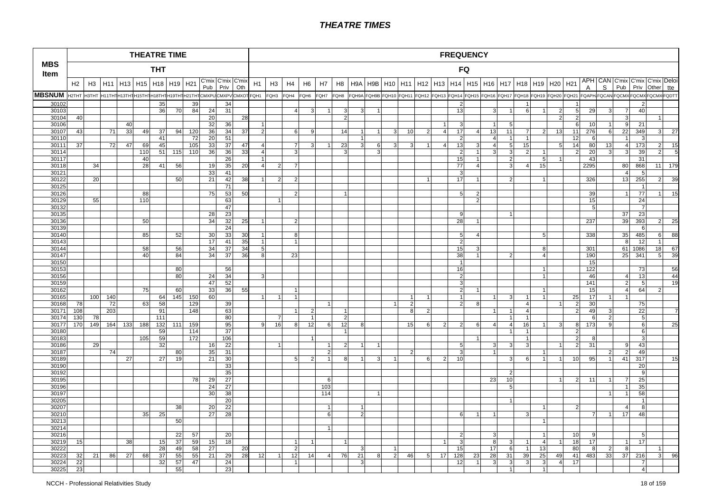|                           |            |           |     |                                 |     | <b>THEATRE TIME</b> |                 |           |                                                                                      |                       |    |                |                      |                |                    |                |                      |                  |                                  |                 |                |                | <b>FREQUENCY</b>                                                |                |                 |                                |                                |                                                                                                 |                 |                 |                                                                                                                                          |                    |                                  |                                  |
|---------------------------|------------|-----------|-----|---------------------------------|-----|---------------------|-----------------|-----------|--------------------------------------------------------------------------------------|-----------------------|----|----------------|----------------------|----------------|--------------------|----------------|----------------------|------------------|----------------------------------|-----------------|----------------|----------------|-----------------------------------------------------------------|----------------|-----------------|--------------------------------|--------------------------------|-------------------------------------------------------------------------------------------------|-----------------|-----------------|------------------------------------------------------------------------------------------------------------------------------------------|--------------------|----------------------------------|----------------------------------|
| <b>MBS</b><br><b>Item</b> |            |           |     |                                 |     | <b>THT</b>          |                 |           |                                                                                      |                       |    |                |                      |                |                    |                |                      |                  |                                  |                 |                |                |                                                                 | <b>FQ</b>      |                 |                                |                                |                                                                                                 |                 |                 |                                                                                                                                          |                    |                                  |                                  |
|                           | H2         | H3        | H11 | H <sub>13</sub> H <sub>15</sub> |     | H18 H19 H21         |                 |           | C'mix C'mix C'mix<br>Priv<br>Pub                                                     | Oth                   |    | H1             | H <sub>3</sub>       | H <sub>4</sub> | H <sub>6</sub>     | H <sub>7</sub> | H <sub>8</sub>       | H <sub>9</sub> A | H9B H10                          | H <sub>11</sub> |                |                | H <sub>12</sub> H <sub>13</sub> H <sub>14</sub> H <sub>15</sub> |                |                 |                                |                                | H <sub>16</sub> H <sub>17</sub> H <sub>18</sub> H <sub>19</sub> H <sub>20</sub> H <sub>21</sub> |                 |                 | APH CAN C'mix C'mix C'mix Deloi<br>S.                                                                                                    | Pub                |                                  | Priv Other tte                   |
| <b>MBSNUM</b>             |            |           |     |                                 |     |                     |                 |           | н2тнт  н3тнт  н11тнт н13тнт н15тнт н18тнт н19тнт н21тнт смхр∪ смхр∨ смхот гон1  гон3 |                       |    |                |                      | FQH4           | FQH <sub>6</sub>   | FQH7           | FQH8                 |                  |                                  |                 |                |                |                                                                 |                |                 |                                |                                |                                                                                                 |                 |                 | ғанза ғанзв ған10  ған11  ған12  ған13  ған14  ған15  ған16  ған17  ған18  ған19  ған20  ған21  ғалрн ғаслм ғасмх ғасмх ғасмх ғасмх ғасм |                    |                                  |                                  |
| 30102                     |            |           |     |                                 |     | 35                  |                 | 39        |                                                                                      | 34                    |    |                |                      |                |                    |                |                      |                  |                                  |                 |                |                | 2                                                               |                |                 |                                |                                |                                                                                                 |                 |                 |                                                                                                                                          |                    | $\overline{2}$                   |                                  |
| 30103                     |            |           |     |                                 |     | 36                  | 70              | 84        | 24                                                                                   | 31                    |    |                |                      | $\overline{4}$ | 3 <sup>1</sup>     | $\mathbf{1}$   | 3                    | 3 <sup>1</sup>   | 11                               |                 |                |                | 13                                                              |                | 3 <sup>1</sup>  | $\mathbf{1}$                   | 6                              | 1                                                                                               | $\overline{2}$  | 5               | 29<br>3                                                                                                                                  | $\overline{7}$     | 40                               |                                  |
| 30104                     | 40         |           |     |                                 |     |                     |                 |           | 20                                                                                   |                       | 28 |                |                      |                |                    |                | $\overline{2}$       |                  |                                  |                 |                |                |                                                                 |                |                 |                                |                                |                                                                                                 | $\overline{2}$  | $\overline{2}$  |                                                                                                                                          | 3                  |                                  | $\blacktriangleleft$             |
| 30106                     |            |           |     | 40                              |     |                     |                 |           | 32                                                                                   | 36                    |    | $\mathbf{1}$   |                      |                |                    |                | 14                   | $\overline{1}$   | 1                                |                 |                | 1              | 3                                                               |                | 1               | 5 <sub>l</sub>                 |                                |                                                                                                 |                 | 6               | 10<br>$\mathbf{1}$                                                                                                                       | 9                  | 21                               |                                  |
| 30107<br>30110            | 43         |           | 71  | 33                              | 49  | 37<br>41            | 94              | 120<br>72 | 36<br>20                                                                             | 34<br>51              | 37 | $2 \vert$      |                      | $6 \mid$       | 9                  |                |                      | 1                | 3 <sup>1</sup>                   | 10              | $\overline{2}$ | $\overline{a}$ | 17<br>2                                                         | $\vert$        | 13<br>$\vert$ 4 | 11<br>$\mathbf{1}$             | $\overline{7}$<br>$\mathbf{1}$ | $\overline{2}$                                                                                  | 13              | 11<br>12        | 276<br>6<br>6                                                                                                                            | 22<br>$\mathbf{1}$ | 349<br>3                         | 3 <sup>1</sup><br>27             |
| 30111                     | 37         |           | 72  | 47                              | 69  | 45                  |                 | 105       | 33                                                                                   | 37                    | 47 | 4 <sup>1</sup> |                      | $\overline{7}$ | 3 <sup>1</sup>     | 1              | 23                   | 3 <sup>1</sup>   | 6 <sup>1</sup><br>$\overline{3}$ | 3               | 1              | $\overline{4}$ | 13                                                              | $\overline{3}$ | $\vert$ 4       | 5                              | 15                             |                                                                                                 | 5 <sup>1</sup>  | 14              | 80<br>13                                                                                                                                 | $\vert 4 \vert$    | 173                              | $\overline{2}$<br>15             |
| 30114                     |            |           |     |                                 | 110 | 51                  | 115             | 110       | 36                                                                                   | 36                    | 33 | 4 <sup>1</sup> |                      | $\mathbf{3}$   |                    |                | $\overline{3}$       |                  | 3 <sup>1</sup>                   |                 |                |                | $\overline{2}$                                                  | $\mathbf{1}$   | 3 <sup>1</sup>  | $\mathbf{3}$                   | $\overline{2}$                 | $\mathbf{1}$                                                                                    |                 | $\mathcal{P}$   | $\overline{3}$<br>20                                                                                                                     | $\mathbf{3}$       | 39                               | $\overline{2}$<br>$\overline{5}$ |
| 30117                     |            |           |     |                                 | 40  |                     |                 |           |                                                                                      | $\overline{26}$       |    | 1              |                      |                |                    |                |                      |                  |                                  |                 |                |                | 15                                                              | $\vert$ 1      |                 | $\overline{2}$                 |                                | 5 <sup>1</sup>                                                                                  | $\mathbf{1}$    |                 | 43                                                                                                                                       |                    | 31                               |                                  |
| 30118                     |            | 34        |     |                                 | 28  | 41                  | 56              |           | 19                                                                                   | 35                    | 20 | 4 <sup>1</sup> | $\overline{2}$       | $\overline{7}$ |                    |                |                      |                  |                                  |                 |                |                | 77                                                              | $\overline{4}$ |                 | $\mathbf{3}$                   | $\overline{4}$                 | 15                                                                                              |                 |                 | 2295                                                                                                                                     | 80                 | 868                              | 11 179                           |
| 30121                     |            |           |     |                                 |     |                     |                 |           | 33                                                                                   | 41                    |    |                |                      |                |                    |                |                      |                  |                                  |                 |                |                | $\mathbf{3}$                                                    |                |                 |                                |                                |                                                                                                 |                 |                 |                                                                                                                                          | $\overline{4}$     | 5                                |                                  |
| 30122<br>30125            |            | 20        |     |                                 |     |                     | 50              |           | 21                                                                                   | 42<br>71              | 38 | 1 <sup>1</sup> | 2 <sub>l</sub>       | $\overline{2}$ |                    |                |                      |                  |                                  |                 | $\overline{1}$ |                | 17                                                              |                |                 | $\overline{2}$                 |                                | 1                                                                                               |                 |                 | 326                                                                                                                                      | 13                 | 255<br>$\mathbf{1}$              | $\overline{2}$<br>39             |
| 30126                     |            |           |     |                                 | 88  |                     |                 |           | 75                                                                                   | 53                    | 50 |                |                      | 2              |                    |                | $\overline{1}$       |                  |                                  |                 |                |                | 5 <sub>l</sub>                                                  | $\mathcal{P}$  |                 |                                |                                |                                                                                                 |                 |                 | 39                                                                                                                                       | $\overline{1}$     | 77                               | 15<br>11                         |
| 30129                     |            | 55        |     |                                 | 110 |                     |                 |           |                                                                                      | 63                    |    |                | $\mathbf{1}$         |                |                    |                |                      |                  |                                  |                 |                |                |                                                                 | 2              |                 |                                |                                |                                                                                                 |                 |                 | 15                                                                                                                                       |                    | 24                               |                                  |
| 30132                     |            |           |     |                                 |     |                     |                 |           |                                                                                      | 47                    |    |                |                      |                |                    |                |                      |                  |                                  |                 |                |                |                                                                 |                |                 |                                |                                |                                                                                                 |                 |                 | 5                                                                                                                                        |                    | $\overline{7}$                   |                                  |
| 30135                     |            |           |     |                                 | 50  |                     |                 |           | 28<br>34                                                                             | 23                    | 25 |                |                      |                |                    |                |                      |                  |                                  |                 |                |                | 9<br>28                                                         |                |                 |                                |                                |                                                                                                 |                 |                 |                                                                                                                                          | 37                 | 23                               | $\overline{2}$                   |
| 30136<br>30139            |            |           |     |                                 |     |                     |                 |           |                                                                                      | 32<br>24              |    | 1              |                      | $\overline{2}$ |                    |                |                      |                  |                                  |                 |                |                |                                                                 |                |                 |                                |                                |                                                                                                 |                 |                 | 237                                                                                                                                      | 39                 | 393<br>6                         | 25                               |
| 30140                     |            |           |     |                                 | 85  |                     | 52              |           | 30                                                                                   | 33                    | 30 | 1              |                      | 8              |                    |                |                      |                  |                                  |                 |                |                | 5 <sup>1</sup>                                                  | $\overline{a}$ |                 |                                |                                | 5 <sub>5</sub>                                                                                  |                 |                 | 338                                                                                                                                      | 35                 | 485                              | 88<br>$6 \mid$                   |
| 30143                     |            |           |     |                                 |     |                     |                 |           | 17                                                                                   | 41                    | 35 | 1              |                      | $\vert$ 1      |                    |                |                      |                  |                                  |                 |                |                | 2                                                               |                |                 |                                |                                |                                                                                                 |                 |                 |                                                                                                                                          | 8                  | 12                               | 11                               |
| 30144                     |            |           |     |                                 | 58  |                     | 56              |           | 34                                                                                   | 37                    | 34 | 5              |                      |                |                    |                |                      |                  |                                  |                 |                |                | 15                                                              | 3              |                 |                                |                                | 8                                                                                               |                 |                 | 301                                                                                                                                      | 61                 | 1086                             | 67<br>18                         |
| 30147                     |            |           |     |                                 | 40  |                     | 84              |           | 34                                                                                   | 37                    | 36 | 8 <sup>1</sup> |                      | 23             |                    |                |                      |                  |                                  |                 |                |                | 38                                                              | $\mathbf{1}$   |                 | 2                              |                                | $\overline{4}$                                                                                  |                 |                 | 190                                                                                                                                      | 25                 | 341                              | 39<br>5 <sup>1</sup>             |
| 30150                     |            |           |     |                                 |     |                     |                 |           |                                                                                      |                       |    |                |                      |                |                    |                |                      |                  |                                  |                 |                |                |                                                                 |                |                 |                                |                                |                                                                                                 |                 |                 | 15                                                                                                                                       |                    |                                  |                                  |
| 30153<br>30156            |            |           |     |                                 |     |                     | 80<br>80        |           | 24                                                                                   | 56<br>34              |    | 3 <sup>l</sup> |                      |                |                    |                |                      |                  |                                  |                 |                |                | 16<br>2                                                         |                |                 |                                |                                | 1<br>1                                                                                          |                 |                 | 122<br>46                                                                                                                                | $\overline{4}$     | 73<br>13                         | 56<br>44                         |
| 30159                     |            |           |     |                                 |     |                     |                 |           | 47                                                                                   | 52                    |    |                |                      |                |                    |                |                      |                  |                                  |                 |                |                | 3 <sup>1</sup>                                                  |                |                 |                                |                                |                                                                                                 |                 |                 | 141                                                                                                                                      | $\overline{2}$     | 5 <sup>1</sup>                   | 19                               |
| 30162                     |            |           |     |                                 | 75  |                     | 60              |           | 33                                                                                   | 36                    | 55 |                |                      | $\vert$ 1      |                    |                |                      |                  |                                  |                 |                |                | 2                                                               | $\vert$ 1      |                 |                                |                                | 1                                                                                               |                 |                 | 15                                                                                                                                       | $\overline{a}$     | 64                               | 2 <sup>1</sup>                   |
| 30165                     |            | 100       | 140 |                                 |     | 64                  | 145             | 150       | 60                                                                                   |                       |    | 1              | 1                    | $\vert$ 1      |                    |                |                      |                  |                                  |                 | 1              |                | 1                                                               |                | 11              | 3 <sup>l</sup>                 |                                | 1                                                                                               |                 | $\overline{25}$ | 17<br>$\overline{1}$                                                                                                                     | $\overline{1}$     |                                  |                                  |
| 30168                     | 78         |           | 72  |                                 | 63  | 58                  |                 | 129       |                                                                                      | 39                    |    |                |                      |                |                    | $\overline{1}$ |                      |                  | $\blacktriangleleft$             | $\overline{2}$  |                |                | $\overline{2}$                                                  | 8              |                 |                                | $\overline{4}$                 |                                                                                                 | 11              | $\overline{2}$  | 30                                                                                                                                       |                    | 75                               |                                  |
| 30171                     | 108        |           | 203 |                                 |     | 91                  |                 | 148       |                                                                                      | 63                    |    |                |                      |                | 2 <sup>1</sup>     |                |                      |                  |                                  | 8               | 2              |                |                                                                 |                | 1               | $\mathbf{1}$                   | $\overline{4}$                 |                                                                                                 |                 |                 | 49<br>$\mathbf{3}$                                                                                                                       |                    | 22                               |                                  |
| 30174<br>30177            | 130<br>170 | 78<br>149 | 164 | 133                             | 188 | 111<br>132          | 111             | 159       |                                                                                      | 80<br>95              |    | 9 <sup>1</sup> | $\overline{7}$<br>16 | 8              | $\mathbf{1}$<br>12 | $6 \mid$       | $\overline{2}$<br>12 | 8                |                                  | 15              | 6              | $\overline{2}$ | 2                                                               | $6 \mid$       | 4 <sup>1</sup>  | $\mathbf{1}$<br>$\overline{4}$ | $\overline{1}$<br>16           | 1                                                                                               | $\overline{3}$  | 8               | 6<br>$\overline{2}$<br>173<br>9                                                                                                          |                    | 5 <sup>1</sup><br>$6 \mid$       | 25                               |
| 30180                     |            |           |     |                                 |     | 59                  |                 | 114       |                                                                                      | 37                    |    |                |                      |                |                    |                | 1                    |                  |                                  |                 |                |                |                                                                 |                |                 | $\mathbf{1}$                   | $\overline{1}$                 |                                                                                                 |                 | $\overline{2}$  |                                                                                                                                          |                    | $6 \mid$                         |                                  |
| 30183                     |            |           |     |                                 | 105 | 59                  |                 | 172       |                                                                                      | 106                   |    |                |                      |                | 1                  |                |                      |                  |                                  |                 |                |                |                                                                 | $\overline{1}$ |                 |                                | 1                              |                                                                                                 |                 | 2               | 8                                                                                                                                        |                    | 3 <sup>1</sup>                   |                                  |
| 30186                     |            | 29        |     |                                 |     | 32                  |                 |           | 16                                                                                   | 22                    |    |                | $\mathbf{1}$         |                |                    | $\overline{1}$ | 2 <sup>1</sup>       |                  | $\overline{1}$                   |                 |                |                | 5 <sup>1</sup>                                                  |                | 3 <sup>1</sup>  | $\mathbf{3}$                   | $\mathbf{3}$                   |                                                                                                 |                 | 2               | 31                                                                                                                                       | 9                  | 43                               |                                  |
| 30187                     |            |           | 74  |                                 |     |                     | 80              |           | 35                                                                                   | 31                    |    |                |                      |                |                    | $\overline{2}$ |                      |                  |                                  | $\overline{2}$  |                |                | 3 <sup>1</sup>                                                  |                | 1               |                                |                                | 1                                                                                               |                 |                 | $\vert$ 2                                                                                                                                | $\overline{2}$     | 49                               |                                  |
| 30189                     |            |           |     | $\overline{27}$                 |     | 27                  | 19              |           | 21                                                                                   | 30                    |    |                |                      | -5             | 2 <sup>1</sup>     | $\overline{1}$ | 8                    | $\mathbf 1$      | $\mathbf{3}$<br>$\mathbf{1}$     |                 | 6              | $\overline{2}$ | 10                                                              |                |                 | $\overline{3}$                 | 6                              | $\overline{1}$                                                                                  | $\vert$ 1       | 10              | 95<br>1                                                                                                                                  | 41                 | 317                              | 15                               |
| 30190<br>30192            |            |           |     |                                 |     |                     |                 |           |                                                                                      | 33<br>35              |    |                |                      |                |                    |                |                      |                  |                                  |                 |                |                |                                                                 |                |                 | $\overline{2}$                 |                                |                                                                                                 |                 |                 |                                                                                                                                          |                    | 20<br>9                          |                                  |
| 30195                     |            |           |     |                                 |     |                     |                 | 78        | 29                                                                                   | 27                    |    |                |                      |                |                    | 6              |                      |                  |                                  |                 |                |                |                                                                 |                | 23              | 10                             |                                |                                                                                                 | $\mathbf{1}$    | $\overline{2}$  | 11<br>$\mathbf{1}$                                                                                                                       | $\overline{7}$     | 25                               |                                  |
| 30196                     |            |           |     |                                 |     |                     |                 |           | 24                                                                                   | 27                    |    |                |                      |                |                    | 103            |                      |                  |                                  |                 |                |                |                                                                 |                |                 | 5 <sup>1</sup>                 |                                |                                                                                                 |                 |                 |                                                                                                                                          | $\overline{1}$     | 35                               |                                  |
| 30197                     |            |           |     |                                 |     |                     |                 |           | 30                                                                                   | 38                    |    |                |                      |                |                    | 114            |                      |                  | $\mathbf{1}$                     |                 |                |                |                                                                 |                |                 |                                |                                |                                                                                                 |                 |                 | $\mathbf{1}$                                                                                                                             | $\mathbf{1}$       | 58                               |                                  |
| 30205                     |            |           |     |                                 |     |                     |                 |           |                                                                                      | 20                    |    |                |                      |                |                    |                |                      |                  |                                  |                 |                |                |                                                                 |                |                 | $\mathbf{1}$                   |                                |                                                                                                 |                 |                 |                                                                                                                                          |                    | $\mathbf{1}$                     |                                  |
| 30207                     |            |           |     |                                 |     |                     | 38 <sup>1</sup> |           | 20                                                                                   | 22                    |    |                |                      |                |                    | $\mathbf{1}$   |                      | 1                |                                  |                 |                |                |                                                                 |                |                 |                                |                                | $\mathbf{1}$                                                                                    |                 | 2               |                                                                                                                                          | 4                  | 8 <sup>1</sup>                   |                                  |
| 30210<br>30213            |            |           |     |                                 | 35  | 25                  | 50              |           | 27                                                                                   | 28                    |    |                |                      |                |                    | 6              |                      | 2 <sup>1</sup>   |                                  |                 |                |                | $6 \overline{6}$                                                | $\mathbf 1$    | 1               |                                | $\mathbf{3}$                   | 1 <sup>1</sup>                                                                                  |                 |                 | $\overline{7}$<br>$\mathbf{1}$                                                                                                           | 17                 | 48                               |                                  |
| 30214                     |            |           |     |                                 |     |                     |                 |           |                                                                                      |                       |    |                |                      |                |                    | $\overline{1}$ |                      |                  |                                  |                 |                |                |                                                                 |                |                 |                                |                                |                                                                                                 |                 |                 |                                                                                                                                          |                    |                                  |                                  |
| 30216                     |            |           |     |                                 |     |                     | 22              | 57        |                                                                                      | 20                    |    |                |                      |                |                    |                |                      |                  |                                  |                 |                |                | 2                                                               |                | 3               |                                |                                | 1                                                                                               |                 | 10              | 9                                                                                                                                        |                    | 5 <sub>1</sub>                   |                                  |
| 30219                     | 15         |           |     | 38                              |     | 15                  | 37              | 59        | 15                                                                                   | 18                    |    |                |                      | $\mathbf 1$    | 11                 |                |                      |                  |                                  |                 |                |                | 3 <sup>1</sup>                                                  |                | 8 <sup>1</sup>  | 3 <sup>1</sup>                 |                                | 4 <sup>1</sup>                                                                                  |                 | 18              | 17                                                                                                                                       | $\mathbf{1}$       | 17                               |                                  |
| 30222                     |            |           |     |                                 |     | 28                  | 49              | 58        | $\overline{27}$                                                                      |                       | 20 |                |                      | $\overline{2}$ |                    |                |                      | 3 <sup>1</sup>   | $\mathbf{1}$                     |                 |                |                | 15                                                              |                | 17              | 6                              | $\vert$                        | 13                                                                                              |                 | 80              | 8<br>$\overline{2}$                                                                                                                      | 8                  |                                  | 11                               |
| 30223                     | 32         | 21        | 86  | 27                              | 68  | 37                  | 55              | 55        | 21                                                                                   | 29                    | 28 | 12             |                      | 12             | 14                 | $\overline{4}$ | 76                   | 21               | 8 <sup>1</sup><br>$\overline{2}$ | 46              | 5 <sub>5</sub> | 17             | 128                                                             | 23             | 28              | 31                             | 39                             | 25                                                                                              | 49              | 41              | 483<br>33                                                                                                                                | 37                 | 216                              | 3 <sup>1</sup><br>96             |
| 30224<br>30225            | 22<br>23   |           |     |                                 |     | 32                  | 57<br>55        | 47        |                                                                                      | 24<br>$\overline{23}$ |    |                |                      | $\overline{1}$ |                    |                |                      | 3 <sup>1</sup>   |                                  |                 |                |                | 12                                                              | $\vert$ 1      | 3 <sup>1</sup>  | $\mathbf{3}$<br>1              | $\mathbf{3}$                   | $\mathbf{3}$<br>1                                                                               | $\vert 4 \vert$ | 17              |                                                                                                                                          |                    | $\overline{7}$<br>4 <sup>1</sup> |                                  |
|                           |            |           |     |                                 |     |                     |                 |           |                                                                                      |                       |    |                |                      |                |                    |                |                      |                  |                                  |                 |                |                |                                                                 |                |                 |                                |                                |                                                                                                 |                 |                 |                                                                                                                                          |                    |                                  |                                  |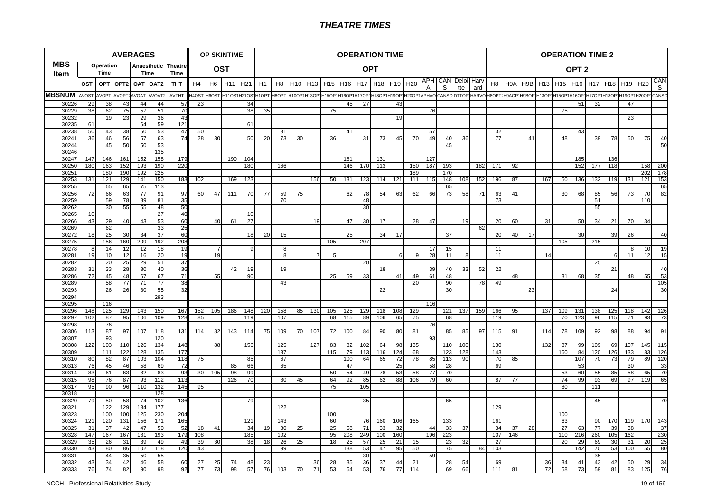|                    |                 |                          |                  | <b>AVERAGES</b>            |            |                        |                 |                | <b>OP SKINTIME</b>       |                 |     |            |                                                                                                    |                |                |           |            | <b>OPERATION TIME</b> |           |           |                          |            |                |     |                 |     |    |             |           |                  | <b>OPERATION TIME 2</b> |            |                                                                                 |                                                                   |                     |
|--------------------|-----------------|--------------------------|------------------|----------------------------|------------|------------------------|-----------------|----------------|--------------------------|-----------------|-----|------------|----------------------------------------------------------------------------------------------------|----------------|----------------|-----------|------------|-----------------------|-----------|-----------|--------------------------|------------|----------------|-----|-----------------|-----|----|-------------|-----------|------------------|-------------------------|------------|---------------------------------------------------------------------------------|-------------------------------------------------------------------|---------------------|
| <b>MBS</b><br>Item |                 | Operation<br><b>Time</b> |                  | Anaesthetic<br><b>Time</b> |            | <b>Theatre</b><br>Time |                 |                | <b>OST</b>               |                 |     |            |                                                                                                    |                |                |           | <b>OPT</b> |                       |           |           |                          |            |                |     |                 |     |    |             |           | OPT <sub>2</sub> |                         |            |                                                                                 |                                                                   |                     |
|                    | <b>OST</b>      | <b>OPT</b>               | OPT <sub>2</sub> |                            | OAT OAT2   | <b>THT</b>             | H4              | H <sub>6</sub> | H <sub>11</sub>          | H <sub>21</sub> | H1  | H8         | H10   H13   H15   H16   H17   H18   H19   H20                                                      |                |                |           |            |                       |           |           | APH   CAN   Deloi   Harv | S.         | tte            | ard | H <sub>8</sub>  | H9A |    | H9B H13 H15 |           |                  |                         |            | H <sub>16</sub> H <sub>17</sub> H <sub>18</sub> H <sub>19</sub> H <sub>20</sub> |                                                                   | CAN<br>$\mathbf{C}$ |
| <b>MBSNUM</b>      |                 | VOST AVOPT               |                  | AVOPT2AVOAT AVOAT2         |            | AVTHT                  |                 |                | 140ST H60ST H110ST H210S |                 |     |            | 110PT   H8OPT   H10OPT H13OPT H15OPT H16OPT H17OPT H18OPT H19OPT H20OPT AP HAO CANSO DTT OPT HARVO |                |                |           |            |                       |           |           |                          |            |                |     |                 |     |    |             |           |                  |                         |            |                                                                                 | H8OPT/H9AOP H9BOP H13OP H15OP H16OP H17OP H18OP H19OP H20OP CANSO |                     |
| 30226              | 29              | 38                       | 43               | 44                         | 44         | 57                     | 23              |                |                          | 34              |     |            |                                                                                                    |                |                | 45        | 27         |                       | 43        |           |                          |            |                |     |                 |     |    |             |           | 51               | 32 <sub>l</sub>         |            | 47                                                                              |                                                                   |                     |
| 30229              | 38              | 62                       | 75               | 57                         | 51         | 70                     |                 |                |                          | 38              | 35  |            |                                                                                                    |                | 75             |           |            |                       |           |           | 76                       |            |                |     |                 |     |    |             | 75        |                  |                         |            |                                                                                 |                                                                   |                     |
| 30232<br>30235     | 61              | 19                       | 23               | 29<br>64                   | 36<br>59   | 43<br>121              |                 |                |                          | 61              |     |            |                                                                                                    |                |                |           |            |                       | 19        |           |                          |            |                |     |                 |     |    |             |           |                  |                         |            | 23                                                                              |                                                                   |                     |
| 30238              | 50              | 43                       | 38               | 50                         | 53         | 47                     | 50              |                |                          |                 |     | 31         |                                                                                                    |                |                | 41        |            |                       |           |           | 57                       |            |                |     | 32              |     |    |             |           | 43               |                         |            |                                                                                 |                                                                   |                     |
| 30241              | 36              | 46                       | 56               | 57                         | 63         | 74                     | 28              | 30             |                          | 50              | 20  | 73         | 30                                                                                                 |                | 36             |           | 31         | 73                    | 45        | 70        | 49                       | 40         | 36             |     | 77              |     | 41 |             | 48        |                  | 39                      | 78         | 50                                                                              | 75                                                                | 40                  |
| 30244              |                 | 45                       | 50               | 50                         | 53         |                        |                 |                |                          |                 |     |            |                                                                                                    |                |                |           |            |                       |           |           |                          | 45         |                |     |                 |     |    |             |           |                  |                         |            |                                                                                 |                                                                   | 50                  |
| 30246              |                 |                          |                  |                            | 135        |                        |                 |                |                          |                 |     |            |                                                                                                    |                |                |           |            |                       |           |           |                          |            |                |     |                 |     |    |             |           |                  |                         |            |                                                                                 |                                                                   |                     |
| 30247              | 147<br>180      | 146                      | 161<br>152       | 152<br>193                 | 158<br>190 | 179<br>220             |                 |                | 190                      | 104             |     |            |                                                                                                    |                |                | 181       | 170        | 131<br>113            |           | 150       | 127<br>187               | 193        |                |     | 171             | 92  |    |             |           | 185<br>152       | 177                     | 136<br>118 |                                                                                 | 158                                                               | 200                 |
| 30250<br>3025'     |                 | 163<br>180               | 190              | 192                        | 225        |                        |                 |                |                          | 180             |     | 166        |                                                                                                    |                |                | 146       |            |                       |           | 189       |                          | 170        |                | 182 |                 |     |    |             |           |                  |                         |            |                                                                                 | 202                                                               | 178                 |
| 30253              | 131             | 121                      | 129              | 141                        | 150        | 183                    | 102             |                | 169                      | 123             |     |            |                                                                                                    | 156            | 50             | 131       | 123        | 114                   | 121       | 111       | 115                      | 148        | 108            | 152 | 196             | 87  |    | 167         | 50        | 136              | 132                     | 119        | 131                                                                             | 121                                                               | 153                 |
| 30255              |                 | 65                       | 65               | 75                         | 113        |                        |                 |                |                          |                 |     |            |                                                                                                    |                |                |           |            |                       |           |           |                          | 65         |                |     |                 |     |    |             |           |                  |                         |            |                                                                                 |                                                                   | 65                  |
| 30256              | 72              | 66                       | 63               | 77                         | 91         | 97                     | 60              | 47             | 111                      | 70              | 77  | 59         | 75                                                                                                 |                |                | 62        | 78         | 54                    | 63        | 62        | 66                       | 73         | 58             | 71  | 63              | 41  |    |             | 30        | 68               | 85                      | 56         | 73                                                                              | 70                                                                | 82                  |
| 30259              |                 | 59                       | 78               | 89                         | 81         | 35                     |                 |                |                          |                 |     | 70         |                                                                                                    |                |                |           | 48         |                       |           |           |                          |            |                |     | 73              |     |    |             |           |                  | 51                      |            |                                                                                 | 110                                                               |                     |
| 30262<br>30265     | 10              | 30                       | 55               | 55                         | 48<br>27   | 50<br>40               |                 |                |                          | 10              |     |            |                                                                                                    |                |                |           | 30         |                       |           |           |                          |            |                |     |                 |     |    |             |           |                  | 55                      |            |                                                                                 |                                                                   |                     |
| 30266              | 43              | 29                       | 40               | 43                         | 53         | 60                     |                 | 40             | 61                       | 27              |     |            |                                                                                                    | 19             |                | 47        | 30         | 17                    |           | 28        | 47                       |            | 19             |     | 20              | 60  |    | 31          |           | 50               | 34                      | 21         | 70                                                                              | 34                                                                |                     |
| 30269              |                 | 62                       |                  |                            | 33         | 25                     |                 |                |                          |                 |     |            |                                                                                                    |                |                |           |            |                       |           |           |                          |            |                | 62  |                 |     |    |             |           |                  |                         |            |                                                                                 |                                                                   |                     |
| 30272              | 18 <sup>1</sup> | 25                       | 30               | 34                         | 37         | 60                     |                 |                |                          | 18              | 20  | 15         |                                                                                                    |                |                | 25        |            | 34                    | 17        |           |                          | 37         |                |     | 20 <sub>l</sub> | 40  | 17 |             |           | 30               |                         | 39         | 26                                                                              |                                                                   | 40                  |
| 30275              |                 | 156                      | 160              | 209                        | 192        | 208                    |                 |                |                          |                 |     |            |                                                                                                    |                | 105            |           | 207        |                       |           |           |                          |            |                |     |                 |     |    |             | 105       |                  | 215                     |            |                                                                                 |                                                                   |                     |
| 30278              | 8               | 14                       | 12               | 12                         | 18         | 19                     |                 | $\overline{7}$ |                          |                 |     | 8          |                                                                                                    |                |                |           |            |                       |           |           | 17                       | 15         |                |     | 11              |     |    |             |           |                  |                         |            | 8                                                                               | 10 <sup>1</sup>                                                   | 19                  |
| 30281<br>30282     | 19 <sup>1</sup> | 10<br>20                 | 12<br>25         | 16<br>29                   | 20<br>51   | 19<br>37               |                 | 19             |                          |                 |     | 8          |                                                                                                    | $\overline{7}$ | 5 <sup>1</sup> |           | 20         |                       | 6 I       | 9         | 28                       | 11         | 8 <sup>1</sup> |     | 11              |     |    | 14          |           |                  | 25                      | 6          | 11                                                                              | 12                                                                | 15                  |
| 30283              | 31              | 33                       | 28               | 30                         | 40         | 36                     |                 |                | 42                       | 19              |     | 19         |                                                                                                    |                |                |           |            | 18                    |           |           | 39 <sub>l</sub>          | 40         | 33             | 52  | 22              |     |    |             |           |                  |                         | 21         |                                                                                 |                                                                   | 40                  |
| 30286              | 72              | 45                       | 48               | 67                         | 67         | 71                     |                 | 55             |                          | 90              |     |            |                                                                                                    |                | 25             | 59        | 33         |                       | 41        | 49        | 61                       | 48         |                |     |                 | 48  |    |             | 31        | 68               | 35                      |            | 48                                                                              | 55                                                                | 53                  |
| 30289              |                 | 58                       | 77               | 71                         | 77         | 38                     |                 |                |                          |                 |     | 43         |                                                                                                    |                |                |           |            |                       |           | 20        |                          | 90         |                | 78  | 49              |     |    |             |           |                  |                         |            |                                                                                 |                                                                   | 105                 |
| 30293              |                 | 26                       | 26               | 30                         | 55         | 32                     |                 |                |                          |                 |     |            |                                                                                                    |                |                |           |            | 22                    |           |           |                          | 30         |                |     |                 |     | 23 |             |           |                  |                         | 24         |                                                                                 |                                                                   | 30                  |
| 30294<br>30295     |                 | 116                      |                  |                            | 293        |                        |                 |                |                          |                 |     |            |                                                                                                    |                |                |           |            |                       |           |           | 116                      |            |                |     |                 |     |    |             |           |                  |                         |            |                                                                                 |                                                                   |                     |
| 30296              | 148             | 125                      | 129              | 143                        | 150        | 167                    | 152             | 105            | 186                      | 148             | 120 | 158        | 85                                                                                                 | 130            | 105            | 125       | 129        | 118                   | 108       | 129       |                          | 121        | 137            | 159 | 166             | 95  |    | 137         | 109       | 131              | 138                     | 125        | 118                                                                             | 142                                                               | 126                 |
| 30297              | 102             | 87                       | 95               | 106                        | 109        | 128                    | 85              |                |                          | 119             |     | 107        |                                                                                                    |                | 68             | 115       | 89         | 106                   | 65        | 75        |                          | 68         |                |     | 119             |     |    |             | 70        | 123              | 96                      | 115        | 71                                                                              | 93                                                                | 73                  |
| 30298              |                 | 76                       |                  |                            |            |                        |                 |                |                          |                 |     |            |                                                                                                    |                |                |           |            |                       |           |           | 76                       |            |                |     |                 |     |    |             |           |                  |                         |            |                                                                                 |                                                                   |                     |
| 30306              | 113             | 87                       | 97               | 107                        | 118        | 131                    | 114             | 82             | 143                      | 114             | 75  | 109        | 70                                                                                                 | 107            | 72             | 100       | 84         | 90                    | 80        | 81        |                          | 85         | 85             | 97  | 115             | 91  |    | 114         | 78        | 109              | 92                      | 98         | 88                                                                              | 94                                                                | 91                  |
| 30307              |                 | 93                       |                  |                            | 120        |                        |                 |                |                          |                 |     |            |                                                                                                    |                |                |           |            |                       |           |           | 93                       |            |                |     |                 |     |    |             |           |                  |                         |            |                                                                                 |                                                                   |                     |
| 30308<br>30309     | 122             | 103<br>111               | 110<br>122       | 126<br>128                 | 134<br>135 | 148<br>177             |                 | 88             |                          | 156             |     | 125<br>137 |                                                                                                    | 127            | 83<br>115      | 82<br>79  | 102<br>113 | 64<br>116             | 98<br>124 | 135<br>68 |                          | 110<br>123 | 100<br>128     |     | 130<br>143      |     |    | 132         | 87<br>160 | 99<br>84         | 109<br>120              | 69<br>126  | 107<br>133                                                                      | 145<br>83                                                         | 115<br>126          |
| 30310              | 80              | 82                       | 87               | 103                        | 104        | 118                    | 75              |                |                          | 85              |     | 67         |                                                                                                    |                |                | 100       | 64         | 65                    | 72        | 78        | 85                       | 113        | 90             |     | 70              | 85  |    |             |           | 107              | 70                      | 73         | 79                                                                              | 89                                                                | 120                 |
| 30313              | 76              | 45                       | 46               | 58                         | 69         | -72                    |                 |                | 85                       | 66              |     | 65         |                                                                                                    |                |                | 47        |            |                       | 25        |           | 58                       | 28         |                |     | 69              |     |    |             |           | 53               |                         |            | 30                                                                              |                                                                   | 33                  |
| 30314              | 83              | 61                       | 63               | 82                         | 83         | 93                     | 30 <sup>1</sup> | 105            | 98                       | 99              |     |            |                                                                                                    |                | 50             | 54        | 49         | 78                    | 53        | 58        | 77                       | 70         |                |     |                 |     |    |             | 53        | 60               | 55                      | 85         | 58                                                                              | 65                                                                | 70                  |
| 30315              | 98              | 76                       | 87               | 93                         | 112        | 113                    |                 |                | 126                      | 70              |     | 80         | 45                                                                                                 |                | 64             | 92        | 85         | 62                    | 88        | 106       | 79                       | 60         |                |     | 87              | 77  |    |             | 74        | 99               | 93                      | 69         | 97                                                                              | 119                                                               | 65                  |
| 30317              | 95              | 90                       | 96               | 110                        | 132        | 145                    | 95              |                |                          |                 |     |            |                                                                                                    |                | 75             |           | 105        |                       |           |           |                          |            |                |     |                 |     |    |             | 80        |                  | 111                     |            |                                                                                 |                                                                   |                     |
| 30318<br>30320     | 79              | 50                       | 58               | 74                         | 128<br>102 | 136                    |                 |                |                          | 79              |     |            |                                                                                                    |                |                |           | 35         |                       |           |           |                          | 65         |                |     |                 |     |    |             |           |                  | 45                      |            |                                                                                 |                                                                   | 70                  |
| 30321              |                 | 122                      | 129              | 134                        | 177        |                        |                 |                |                          |                 |     | 122        |                                                                                                    |                |                |           |            |                       |           |           |                          |            |                |     | 129             |     |    |             |           |                  |                         |            |                                                                                 |                                                                   |                     |
| 30323              |                 | 100                      | 100              | 125                        | 230        | 204                    |                 |                |                          |                 |     |            |                                                                                                    |                | 100            |           |            |                       |           |           |                          |            |                |     |                 |     |    |             | 100       |                  |                         |            |                                                                                 |                                                                   |                     |
| 30324              | 121             | 120                      | 131              | 156                        | 171        | 165                    |                 |                |                          | 121             |     | 143        |                                                                                                    |                | 60             |           | 76         | 160                   | 106       | 165       |                          | 133        |                |     | 161             |     |    |             | 63        |                  | 90                      | 170        | 119                                                                             | 170                                                               | 143                 |
| 30325              | 31              | 37                       | 42               | 47                         | 50         | 52                     | 18              | 41             |                          | 34              | 19  | 30         | 25                                                                                                 |                | 25             | 58        | 71         | 33                    | 32        |           | 44                       | 33         | 37             |     | 34              | 37  | 28 |             | 27        | 63               | 77                      | 39         | 38                                                                              |                                                                   | 37                  |
| 30328              | 147             | 167                      | 167              | 181                        | 193        | 179<br>49              | 108             |                |                          | 185             |     | 102        |                                                                                                    |                | 95             | 208       | 249        | 100                   | 160       |           | 196                      | 223        |                |     | 107             | 146 |    |             | 110       | 216              | 260                     | 105        | 162                                                                             |                                                                   | 230                 |
| 30329<br>30330     | 35<br>43        | 26<br>80                 | 31<br>86         | 39<br>102                  | 49<br>118  | 120                    | 39<br>43        | 30             |                          | 38              | 18  | 26<br>99   | 25                                                                                                 |                | 18             | 25<br>138 | 57<br>53   | 25<br>47              | 21<br>95  | 15<br>50  |                          | 23<br>75   | 32             | 84  | 27<br>103       |     |    |             | 20        | 29<br>142        | 69<br>70                | 30<br>53   | 31<br>100                                                                       | 20<br>55                                                          | 25<br>80            |
| 30331              |                 | 44                       | 35               | 50                         | 55         |                        |                 |                |                          |                 |     |            |                                                                                                    |                |                |           | 30         |                       |           |           | 59                       |            |                |     |                 |     |    |             |           |                  | 35                      |            |                                                                                 |                                                                   |                     |
| 30332              | 43              | 34                       | 42               | 46                         | 58         | 60                     | 27              | 25             | 74                       | 48              | 23  |            |                                                                                                    | 36             | 28             | 35        | 36         | 37                    | 44        | 21        |                          | 28         | 54             |     | 69              |     |    | 36          | 34        | 41               | 43                      | 42         | 50                                                                              | 29                                                                | 34                  |
| 30333              | 76              | 74                       | 82               | 90                         | 98         | 92                     | 77              | 73             | 98                       | 57              | 76  | 103        | 70                                                                                                 | 71             | 53             | 64        | 53         | 76                    | 77        | 114       |                          | 69         | 66             |     | 111             | 81  |    | 72          | 58        | 73               | 59                      | 81         | 83                                                                              | 125                                                               | 76                  |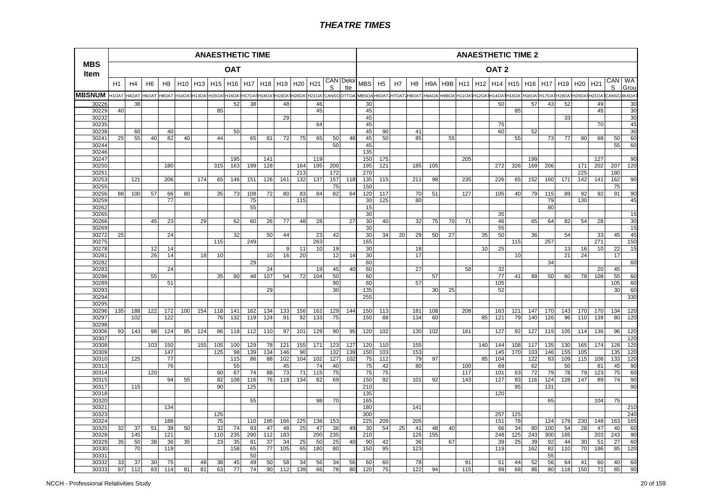|                           |     |                |                |                        |                 |                                                                                          |                 |            | <b>ANAESTHETIC TIME</b> |                 |                                                                 |                 |     |                  |            |                        |                |    |                |                                                                                                   |     |     |                 |                                                                 | <b>ANAESTHETIC TIME 2</b> |            |                                                 |            |            |                 |            |            |
|---------------------------|-----|----------------|----------------|------------------------|-----------------|------------------------------------------------------------------------------------------|-----------------|------------|-------------------------|-----------------|-----------------------------------------------------------------|-----------------|-----|------------------|------------|------------------------|----------------|----|----------------|---------------------------------------------------------------------------------------------------|-----|-----|-----------------|-----------------------------------------------------------------|---------------------------|------------|-------------------------------------------------|------------|------------|-----------------|------------|------------|
| <b>MBS</b><br><b>Item</b> |     |                |                |                        |                 |                                                                                          |                 | <b>OAT</b> |                         |                 |                                                                 |                 |     |                  |            |                        |                |    |                |                                                                                                   |     |     |                 | OAT <sub>2</sub>                                                |                           |            |                                                 |            |            |                 |            |            |
|                           | H1  | H <sub>4</sub> | H <sub>6</sub> | H <sub>8</sub>         | H <sub>10</sub> | H <sub>13</sub>   H <sub>15</sub>   H <sub>16</sub>   H <sub>17</sub>                    |                 |            |                         |                 | H <sub>18</sub> H <sub>19</sub> H <sub>20</sub> H <sub>21</sub> |                 |     | <b>CAN Deloi</b> |            | <b>MBS</b>             | H <sub>5</sub> | H7 | H <sub>8</sub> | H <sub>9</sub> A                                                                                  | H9B |     |                 | H <sub>11</sub> H <sub>12</sub> H <sub>14</sub> H <sub>15</sub> |                           |            | H <sub>16</sub> H <sub>17</sub> H <sub>19</sub> |            | H20        | H <sub>21</sub> | CAN WA     |            |
| <b>MBSNUM</b>             |     |                |                |                        |                 | H1OAT H4OAT H6OAT H8OAT H10OATH13OATH15OATH16OATH17OATH18OATH19OATH20OATH21OATCANSODTTOA |                 |            |                         |                 |                                                                 |                 |     | S                | tte        |                        |                |    |                | MBSOAH5OAT4H8OAT4H8OAT4H9AOAH5BOAHH3OATH1OATH14OATH15OATH16OATH17OATH19OATH20OATH21OATCANSOMAOAMM |     |     |                 |                                                                 |                           |            |                                                 |            |            |                 | S          | Grou       |
| 30226                     |     | 38             |                |                        |                 |                                                                                          |                 | 52         | 38                      |                 | 48                                                              |                 | 46  |                  |            | 30                     |                |    |                |                                                                                                   |     |     |                 | 50                                                              |                           | 57         | 43                                              | 52         |            | 49              |            | 30         |
| 30229                     | 40  |                |                |                        |                 |                                                                                          | 85              |            |                         |                 |                                                                 |                 | 45  |                  |            | 45                     |                |    |                |                                                                                                   |     |     |                 |                                                                 | 85                        |            |                                                 |            |            | 45              |            | 30         |
| 30232                     |     |                |                |                        |                 |                                                                                          |                 |            |                         |                 | 29                                                              |                 |     |                  |            | 45                     |                |    |                |                                                                                                   |     |     |                 |                                                                 |                           |            |                                                 | 33         |            |                 |            | 30         |
| 30235                     |     |                |                |                        |                 |                                                                                          |                 |            |                         |                 |                                                                 |                 | 64  |                  |            | 45                     |                |    |                |                                                                                                   |     |     |                 | 75                                                              |                           |            |                                                 |            |            | 70              |            | 45         |
| 30238                     |     | 60             |                | 40                     |                 |                                                                                          |                 | 50         |                         |                 |                                                                 |                 |     |                  |            | 45                     | 90             |    | 41             |                                                                                                   |     |     |                 | 60                                                              |                           | 52         |                                                 |            |            |                 |            | 30         |
| 30241<br>30244            | 25  | 55             | 40             | 82                     | 40              |                                                                                          | 44              |            | 65                      | 81              | 72                                                              | 75              | 65  | 50<br>50         | 48         | 45<br>45               | 50             |    | 85             |                                                                                                   | 55  |     |                 |                                                                 | 55                        |            | 73                                              | 77         | 80         | 68              | 50<br>55   | 60<br>60   |
| 30246                     |     |                |                |                        |                 |                                                                                          |                 |            |                         |                 |                                                                 |                 |     |                  |            | 135                    |                |    |                |                                                                                                   |     |     |                 |                                                                 |                           |            |                                                 |            |            |                 |            |            |
| 30247                     |     |                |                |                        |                 |                                                                                          |                 | 195        |                         | 141             |                                                                 |                 | 119 |                  |            | 150                    | 175            |    |                |                                                                                                   |     | 205 |                 |                                                                 |                           | 199        |                                                 |            |            | 127             |            | 90         |
| 30250                     |     |                |                | 180                    |                 |                                                                                          | 315             | 163        | 199                     | 128             |                                                                 | 164             | 195 | 200              |            | 195                    | 121            |    | 185            | 105                                                                                               |     |     |                 | 272                                                             | 326                       | 169        | 206                                             |            | 171        | 202             | 207        | 120        |
| 30251                     |     |                |                |                        |                 |                                                                                          |                 |            |                         |                 |                                                                 | 213             |     | 172              |            | 270                    |                |    |                |                                                                                                   |     |     |                 |                                                                 |                           |            |                                                 |            | 225        |                 | 180        |            |
| 30253                     |     | 121            |                | 206                    |                 | 174                                                                                      | 65              | 146        | 151                     | 126             | 161                                                             | 132             | 137 | 157              | 118        | 135                    | 115            |    | 211            | 98                                                                                                |     | 235 |                 | 226                                                             | 65                        | 152        | 160                                             | 171        | 142        | 141             | 162        | 90         |
| 30255                     |     | 100            | 57             |                        | 80              |                                                                                          |                 |            |                         |                 | 80                                                              |                 | 84  | 75<br>82         | 64         | 150                    |                |    |                | 51                                                                                                |     | 127 |                 | 105                                                             |                           | 79         |                                                 | 89         | 92         | 92              | 75<br>91   |            |
| 30256<br>30259            | 88  |                |                | 66<br>77               |                 |                                                                                          | 35              | 73         | 108<br>75               | 72              |                                                                 | 83<br>115       |     |                  |            | 120<br>30              | 117<br>125     |    | 70<br>80       |                                                                                                   |     |     |                 |                                                                 | 40                        |            | 115<br>79                                       |            | 130        |                 |            | 90<br>45   |
| 30262                     |     |                |                |                        |                 |                                                                                          |                 |            | 55                      |                 |                                                                 |                 |     |                  |            | 15                     |                |    |                |                                                                                                   |     |     |                 |                                                                 |                           |            | 80                                              |            |            |                 |            |            |
| 30265                     |     |                |                |                        |                 |                                                                                          |                 |            |                         |                 |                                                                 |                 |     |                  |            | 30                     |                |    |                |                                                                                                   |     |     |                 | 35                                                              |                           |            |                                                 |            |            |                 |            | 15         |
| 30266                     |     |                | 45             | 23                     |                 | 29                                                                                       |                 | 62         | 60                      | 26              | 77                                                              | 48              | 28  |                  | 27         | 30                     | 40             |    | 32             | 75                                                                                                | 70  | 71  |                 | 46                                                              |                           | 65         | 64                                              | 82         | 54         | 28              |            | 30         |
| 30269                     |     |                |                |                        |                 |                                                                                          |                 |            |                         |                 |                                                                 |                 |     |                  |            | 30                     |                |    |                |                                                                                                   |     |     |                 | 55                                                              |                           |            |                                                 |            |            |                 |            | 15         |
| 30272                     | 25  |                |                | 24                     |                 |                                                                                          |                 | 32         |                         | 50              | 44                                                              |                 | 23  | 42               |            | 30                     | 34             | 20 | 29             | 50                                                                                                | 27  |     | 35              | 50                                                              |                           | 36         |                                                 | 54         |            | 33              | 45         | 45         |
| 30275                     |     |                |                |                        |                 |                                                                                          | 115             |            | 249                     |                 |                                                                 |                 | 263 |                  |            | 165<br>$\overline{30}$ |                |    |                |                                                                                                   |     |     |                 |                                                                 | 115                       |            | 257                                             |            |            | 271             |            | 150<br>15  |
| 30278<br>30281            |     |                | 12<br>26       | 14<br>14               |                 | 18                                                                                       | 10 <sup>1</sup> |            |                         | 10 <sup>1</sup> | 9<br>16                                                         | 11<br>20        | 10  | 19<br>12         | 14         | 30                     |                |    | 18<br>17       |                                                                                                   |     |     | 10 <sup>1</sup> | 25                                                              | 10                        |            |                                                 | 13<br>21   | 16<br>24   | 10              | 22<br>17   |            |
| 30282                     |     |                |                |                        |                 |                                                                                          |                 |            | 29                      |                 |                                                                 |                 |     |                  |            | 60                     |                |    |                |                                                                                                   |     |     |                 |                                                                 |                           |            | 34                                              |            |            |                 |            | 60         |
| 30283                     |     |                |                | 24                     |                 |                                                                                          |                 |            |                         | 24              |                                                                 |                 | 19  | 45               | 40         | 60                     |                |    | 27             |                                                                                                   |     | 58  |                 | 32                                                              |                           |            |                                                 |            |            | 20              | 45         |            |
| 30286                     |     |                | 55             |                        |                 |                                                                                          | 35              | 80         | 48                      | 107             | 54                                                              | 72              | 104 | 50               |            | 60                     |                |    |                | 57                                                                                                |     |     |                 | 77                                                              | 41                        | 89         | 50                                              | 60         | 78         | 108             | 55         | 60         |
| 30289                     |     |                |                | 51                     |                 |                                                                                          |                 |            |                         |                 |                                                                 |                 |     | 90               |            | 60                     |                |    | 57             |                                                                                                   |     |     |                 | 105                                                             |                           |            |                                                 |            |            |                 | 105        | 60         |
| 30293                     |     |                |                |                        |                 |                                                                                          |                 |            |                         | 29              |                                                                 |                 |     | 30               |            | 135                    |                |    |                | 30                                                                                                | 25  |     |                 | 52                                                              |                           |            |                                                 |            |            |                 | 30         | 60         |
| 30294<br>30295            |     |                |                |                        |                 |                                                                                          |                 |            |                         |                 |                                                                 |                 |     |                  |            | 255                    |                |    |                |                                                                                                   |     |     |                 |                                                                 |                           |            |                                                 |            |            |                 |            | 330        |
| 30296                     | 135 | 188            | 122            | 172                    | 100             | 154                                                                                      | 118             | 141        | 162                     | 134             | 133                                                             | 156             | 162 | 129              | 144        | 150                    | 113            |    | 181            | 108                                                                                               |     | 208 |                 | 163                                                             | 121                       | 147        | 170                                             | 143        | 170        | 170             | 134        | 120        |
| 30297                     |     | 102            |                | 122                    |                 |                                                                                          | 76              | 132        | 119                     | 124             | 91                                                              | 92              | 133 | 75               |            | 150                    | 88             |    | 134            | 60                                                                                                |     |     | 85              | 121                                                             | 79                        | 140        | 126                                             | 96         | 110        | 139             | 80         | 120        |
| 30298                     |     |                |                |                        |                 |                                                                                          |                 |            |                         |                 |                                                                 |                 |     |                  |            |                        |                |    |                |                                                                                                   |     |     |                 |                                                                 |                           |            |                                                 |            |            |                 |            |            |
| 30306                     | 93  | 143            | 98             | 124                    | 85              | 124                                                                                      | 86              | 118        | 112                     | 110             | 97                                                              | 101             | 129 | 90               | 95         | 120                    | 102            |    | 130            | 102                                                                                               |     | 161 |                 | 127                                                             | 92                        | 127        | 119                                             | 105        | 114        | 136             | 96         | 120        |
| 30307                     |     |                |                |                        |                 |                                                                                          |                 |            |                         |                 |                                                                 |                 |     |                  |            |                        |                |    |                |                                                                                                   |     |     |                 |                                                                 |                           |            |                                                 |            |            |                 |            | 120        |
| 30308                     |     |                | 103            | 150                    |                 | 155                                                                                      | 105             | 100        | 129                     | 78              | 121                                                             | 155             | 171 | 123              | 127        | 120                    | 110            |    | 155            |                                                                                                   |     |     | 140             | 144                                                             | 108                       | 117        | 135                                             | 130        | 165        | 174             | 128        | 120        |
| 30309<br>30310            |     | 125            |                | 147<br>$\overline{77}$ |                 |                                                                                          | 125             | 98<br>115  | 139<br>86               | 134<br>88       | 146<br>102                                                      | 90<br>104       | 102 | 132<br>127       | 139<br>102 | 150<br>75              | 103<br>112     |    | 153<br>79      | 97                                                                                                |     |     | 85              | 145<br>104                                                      | 170                       | 103<br>122 | 146<br>93                                       | 155<br>109 | 105<br>115 | 108             | 135<br>133 | 120<br>120 |
| 30313                     |     |                |                | 76                     |                 |                                                                                          |                 | 55         |                         |                 | 45                                                              |                 | 74  | 40               |            | 75                     | 42             |    | 80             |                                                                                                   |     | 100 |                 | 69                                                              |                           | 62         |                                                 | 50         |            | 81              | 45         | 90         |
| 30314                     |     |                | 120            |                        |                 |                                                                                          | 60              | 67         | 74                      | 88              | 73                                                              | 71              | 115 | 75               |            | 75                     | 75             |    |                |                                                                                                   |     | 117 |                 | 101                                                             | 63                        | 72         | 79                                              | 78         | 79         | 123             | 75         | 60         |
| 30315                     |     |                |                | 94                     | 55              |                                                                                          | 82              | 108        | 116                     | 76              | 118                                                             | 134             | 82  | 69               |            | 150                    | 92             |    | 101            | 92                                                                                                |     | 143 |                 | 127                                                             | 93                        | 116        | 124                                             | 128        | 147        | 89              | 74         | 90         |
| 30317                     |     | 115            |                |                        |                 |                                                                                          | 90              |            | 125                     |                 |                                                                 |                 |     |                  |            | 210                    |                |    |                |                                                                                                   |     |     |                 |                                                                 | 95                        |            | 131                                             |            |            |                 |            | 90         |
| 30318                     |     |                |                |                        |                 |                                                                                          |                 |            |                         |                 |                                                                 |                 |     |                  |            | 135                    |                |    |                |                                                                                                   |     |     |                 | 120                                                             |                           |            |                                                 |            |            |                 |            |            |
| 30320                     |     |                |                |                        |                 |                                                                                          |                 |            | 55                      |                 |                                                                 |                 | 98  | 70               |            | 165                    |                |    |                |                                                                                                   |     |     |                 |                                                                 |                           |            | 65                                              |            |            | 104             | 75         |            |
| 30321<br>30323            |     |                |                | 134                    |                 |                                                                                          | 125             |            |                         |                 |                                                                 |                 |     |                  |            | 180<br>300             |                |    | 141            |                                                                                                   |     |     |                 | 257                                                             | 125                       |            |                                                 |            |            |                 |            | 210<br>240 |
| 30324                     |     |                |                | 188                    |                 |                                                                                          | 75              |            | 110                     | 195             | 166                                                             | 225             | 138 | 153              |            | 225                    | 209            |    | 205            |                                                                                                   |     |     |                 | 151                                                             | 78                        |            | 124                                             | 179        | 230        | 148             | 163        | 165        |
| 30325                     | 32  | 37             | 51             | 38                     | 50              |                                                                                          | 32              | 74         | 93                      | 47              | 48                                                              | 25              | 47  | 36               | 49         | 30                     | 54             | 25 | 41             | 48                                                                                                | 40  |     |                 | 66                                                              | 34                        | 80         | 100                                             | 54         | 28         | 47              | 40         | 60         |
| 30328                     |     | 145            |                | 121                    |                 |                                                                                          | 110             | 235        | 290                     | 112             | 183                                                             |                 | 200 | 235              |            | 210                    |                |    | 126            | 155                                                                                               |     |     |                 | 248                                                             | 125                       | 243        | 300                                             | 185        |            | 203             | 243        | 90         |
| 30329                     | 35  | 50             | 38             | 36                     | 35              |                                                                                          | 23              | 35         | 81                      | 37              | 34                                                              | 25 <sub>1</sub> | 50  | 25               | 40         | 90                     | 42             |    | 36             |                                                                                                   | 67  |     |                 | 39                                                              | 25                        | 39         | 92                                              | 44         | 30         | 51              | 27         | 60         |
| 30330                     |     | 70             |                | 119                    |                 |                                                                                          |                 | 158        | 65                      | 77              | 105                                                             | 65              | 180 | 80               |            | 150                    | 95             |    | 123            |                                                                                                   |     |     |                 | 119                                                             |                           | 162        | 82                                              | 110        | 70         | 186             | 85         | 120        |
| 30331                     |     |                |                |                        |                 |                                                                                          |                 |            | 50                      |                 |                                                                 |                 |     |                  |            |                        |                |    |                |                                                                                                   |     |     |                 |                                                                 |                           |            | 55                                              |            |            |                 |            |            |
| 30332                     | 33  | 37             | 30             | 75                     |                 | 48                                                                                       | 38              | 45         | 49                      | 50              | 58                                                              | 34              | 56  | 34               | 56         | 60                     | 60             |    | 78             |                                                                                                   |     | 91  |                 | 51                                                              | 44                        | 52         | 56                                              | 64         | 41         | 60              | 40         | 60         |
| 30333                     | 97  | 112            | 83             | 114                    | 81              | 81                                                                                       | 63              | 77         | 74                      | 90              | 112                                                             | 139             | 66  | 78               | 80         | 120                    | 75             |    | 122            | 94                                                                                                |     | 115 |                 | 99                                                              | 68                        | 86         | 80                                              | 118        | 150        | 72              | 85         | 90         |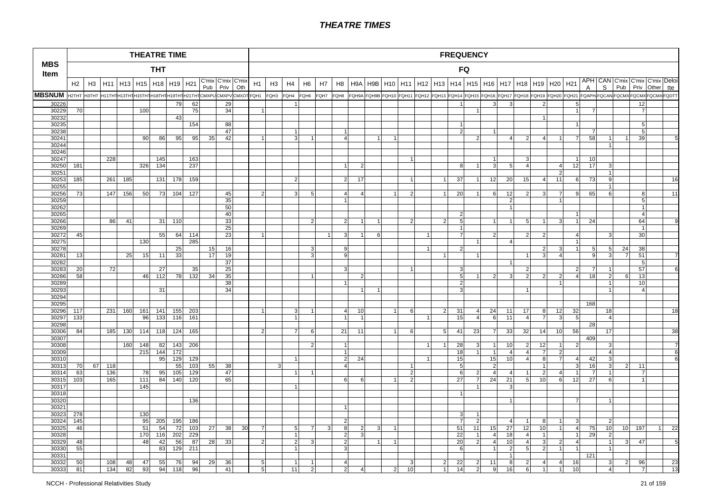|                    |           |                |            |     |           | <b>THEATRE TIME</b>                                                             |            |            |                                                                                                |          |     |                |                |                             |                |              |                                  |                                  |                      |                                  |              |                |                | <b>FREQUENCY</b>                                    |                |                      |                |                                                                                                 |                                  |                     |                                           |                            |                                                                                                                                                                                                                                |
|--------------------|-----------|----------------|------------|-----|-----------|---------------------------------------------------------------------------------|------------|------------|------------------------------------------------------------------------------------------------|----------|-----|----------------|----------------|-----------------------------|----------------|--------------|----------------------------------|----------------------------------|----------------------|----------------------------------|--------------|----------------|----------------|-----------------------------------------------------|----------------|----------------------|----------------|-------------------------------------------------------------------------------------------------|----------------------------------|---------------------|-------------------------------------------|----------------------------|--------------------------------------------------------------------------------------------------------------------------------------------------------------------------------------------------------------------------------|
| <b>MBS</b><br>Item |           |                |            |     |           | <b>THT</b>                                                                      |            |            |                                                                                                |          |     |                |                |                             |                |              |                                  |                                  |                      |                                  |              |                |                | <b>FQ</b>                                           |                |                      |                |                                                                                                 |                                  |                     |                                           |                            |                                                                                                                                                                                                                                |
|                    | H2        | H <sub>3</sub> | H11        |     |           | H <sub>13</sub> H <sub>15</sub> H <sub>18</sub> H <sub>19</sub> H <sub>21</sub> |            |            | C'mix C'mix C'mix<br>Pub                                                                       | Priv     | Oth | H1             | H3             | H <sub>4</sub>              | H <sub>6</sub> | H7           | H <sub>8</sub>                   | H9A                              |                      |                                  |              |                |                | H9B   H10   H11   H12   H13   H14   H15             |                |                      |                | H <sub>16</sub> H <sub>17</sub> H <sub>18</sub> H <sub>19</sub> H <sub>20</sub> H <sub>21</sub> |                                  |                     | S<br>$\overline{A}$                       |                            | APH   CAN   C'mix   C'mix   C'mix   Deloi<br>Pub Priv Other tte                                                                                                                                                                |
| <b>MBSNUM</b>      |           |                |            |     |           |                                                                                 |            |            | н2тнт  нзтнт  н11тнт н13тнт н15тнт н18тнт н19тнт н21тнт смхр∪ смхр∨ смхот FQн1    FQн3    FQн4 |          |     |                |                |                             |                |              |                                  |                                  |                      |                                  |              |                |                |                                                     |                |                      |                |                                                                                                 |                                  |                     |                                           |                            | FQH6 FQH7 FQH8 FQH9A FQH9B FQH10 FQH11 FQH12 FQH12 FQH13 FQH14 FQH15 FQH16 FQH17 FQH18 FQH19 FQH20 FQH21 FQAPH FQCAN FQCMX FQCMX FQCMX FQCMX FQCMX FQCMX FQCMX FQCMX FQCMX FQCMX FQCMX FQCMX FQCMX FQCMX FQCMX FQCMX FQCMX FQC |
| 30226              |           |                |            |     |           |                                                                                 | 79         | 62         |                                                                                                | 29       |     |                |                | $\overline{1}$              |                |              |                                  |                                  |                      |                                  |              |                | $\overline{1}$ |                                                     | 3 <sup>1</sup> | $\mathbf{3}$         |                | $\overline{2}$                                                                                  |                                  | 5                   |                                           | 12                         |                                                                                                                                                                                                                                |
| 30229              | 70        |                |            |     | 100       |                                                                                 |            | 75         |                                                                                                | 34       |     | 1              |                |                             |                |              |                                  |                                  |                      |                                  |              |                |                | $\mathbf{1}$                                        |                |                      |                |                                                                                                 |                                  | $\overline{1}$      | $\overline{7}$                            |                            | $\overline{7}$                                                                                                                                                                                                                 |
| 30232              |           |                |            |     |           |                                                                                 | 43         |            |                                                                                                |          |     |                |                |                             |                |              |                                  |                                  |                      |                                  |              |                |                |                                                     |                |                      |                | 1                                                                                               |                                  |                     |                                           |                            |                                                                                                                                                                                                                                |
| 30235              |           |                |            |     |           |                                                                                 |            | 154        |                                                                                                | 88       |     |                |                |                             |                |              |                                  |                                  |                      |                                  |              |                |                | 1 <sup>1</sup>                                      |                |                      |                |                                                                                                 |                                  |                     |                                           |                            | 5 <sub>l</sub>                                                                                                                                                                                                                 |
| 30238<br>30241     |           |                |            |     | 90        | 86                                                                              | 95         | 95         | 35                                                                                             | 47<br>42 |     | 1              |                | $\vert$ 1<br>3 <sup>1</sup> | 1 <sup>1</sup> |              | 1<br>$\vert$ 4                   | 1 <sup>1</sup>                   | $\overline{1}$       |                                  |              |                |                | $\overline{2}$<br>$\overline{2}$                    | 1              | 4                    | $\overline{2}$ | $\overline{4}$                                                                                  | $\mathbf{1}$                     | $\overline{7}$      | $\overline{7}$<br>58<br>$\mathbf{1}$      | 39<br>$\mathbf{1}$         | 5 <sub>1</sub>                                                                                                                                                                                                                 |
| 30244              |           |                |            |     |           |                                                                                 |            |            |                                                                                                |          |     |                |                |                             |                |              |                                  |                                  |                      |                                  |              |                |                |                                                     |                |                      |                |                                                                                                 |                                  |                     | $\mathbf{1}$                              |                            |                                                                                                                                                                                                                                |
| 30246              |           |                |            |     |           |                                                                                 |            |            |                                                                                                |          |     |                |                |                             |                |              |                                  |                                  |                      |                                  |              |                |                |                                                     |                |                      |                |                                                                                                 |                                  |                     |                                           |                            |                                                                                                                                                                                                                                |
| 30247              |           |                | 228        |     |           | 145                                                                             |            | 163        |                                                                                                |          |     |                |                |                             |                |              |                                  |                                  |                      |                                  |              |                |                |                                                     | 1              |                      | 3              |                                                                                                 |                                  | $\mathbf{1}$        | 10                                        |                            |                                                                                                                                                                                                                                |
| 30250              | 181       |                |            |     | 326       | 134                                                                             |            | 237        |                                                                                                |          |     |                |                |                             |                |              | 1                                | $\overline{2}$                   |                      |                                  |              |                |                | 8 <sup>1</sup><br>$\mathbf{1}$                      | 3 <sup>l</sup> | 5 <sup>1</sup>       | $\overline{4}$ |                                                                                                 | $\vert$                          | 12                  | 17<br>$\mathbf{3}$                        |                            |                                                                                                                                                                                                                                |
| 30251              |           |                |            |     |           |                                                                                 |            |            |                                                                                                |          |     |                |                |                             |                |              |                                  |                                  |                      |                                  |              |                |                |                                                     |                |                      |                |                                                                                                 | $\overline{2}$                   |                     | $\mathbf{1}$                              |                            |                                                                                                                                                                                                                                |
| 30253<br>30255     | 185       |                | 261        | 185 |           | 131                                                                             | 178        | 159        |                                                                                                |          |     |                |                | $\overline{2}$              |                |              | $\overline{2}$                   | 17                               |                      | $\overline{1}$                   |              | $\mathbf{1}$   | 37             | $\mathbf{1}$                                        | 12             | 20                   | 15             | 4 <sup>1</sup>                                                                                  | 11                               | 6                   | 73<br>9<br>$\mathbf{1}$                   |                            | 16                                                                                                                                                                                                                             |
| 30256              | 73        |                | 147        | 156 | 50        | 73                                                                              | 104        | 127        |                                                                                                | 45       |     | 2 <sup>1</sup> |                | 3 <sup>1</sup>              | 5 <sup>1</sup> |              | $\overline{4}$                   | $\vert$                          | 11                   | $\overline{2}$                   |              | 11             | 20             | $\mathbf 1$                                         | $6 \mid$       | 12                   | $\overline{2}$ | 3                                                                                               | $\overline{7}$                   | -91                 | 65<br>6                                   |                            | 11<br>8 <sup>1</sup>                                                                                                                                                                                                           |
| 30259              |           |                |            |     |           |                                                                                 |            |            |                                                                                                | 35       |     |                |                |                             |                |              | 1                                |                                  |                      |                                  |              |                |                |                                                     |                | $\overline{2}$       |                |                                                                                                 | $\overline{1}$                   |                     |                                           |                            | 5 <sup>1</sup>                                                                                                                                                                                                                 |
| 30262              |           |                |            |     |           |                                                                                 |            |            |                                                                                                | 50       |     |                |                |                             |                |              |                                  |                                  |                      |                                  |              |                |                |                                                     |                | $\mathbf{1}$         |                |                                                                                                 |                                  |                     |                                           |                            | $\mathbf{1}$                                                                                                                                                                                                                   |
| 30265              |           |                |            |     |           |                                                                                 |            |            |                                                                                                | 40       |     |                |                |                             |                |              |                                  |                                  |                      |                                  |              |                |                | 2                                                   |                |                      |                |                                                                                                 |                                  |                     |                                           |                            | $\overline{4}$                                                                                                                                                                                                                 |
| 30266              |           |                | 86         | 41  |           | 31                                                                              | 110        |            |                                                                                                | 33       |     |                |                |                             | 2 <sup>1</sup> |              | $\overline{2}$                   | $\mathbf{1}$<br>$\mathbf{1}$     |                      | $\overline{2}$                   |              | $\overline{2}$ |                | 5 <sup>1</sup>                                      | 1              | $\mathbf{1}$         | 5              | 1                                                                                               | 3                                |                     | 24                                        | 64                         |                                                                                                                                                                                                                                |
| 30269<br>30272     | 45        |                |            |     |           | 55                                                                              | 64         | 114        |                                                                                                | 25<br>23 |     | 1              |                |                             |                | $\mathbf{1}$ | $\mathbf{3}$                     | $6 \mid$<br>$\mathbf 1$          |                      |                                  | 1            |                |                | 1<br>$\overline{7}$                                 | $\overline{2}$ |                      | $\overline{2}$ | 2                                                                                               |                                  | $\overline{4}$      | 3                                         | 30                         | $\overline{1}$                                                                                                                                                                                                                 |
| 30275              |           |                |            |     | 130       |                                                                                 |            | 285        |                                                                                                |          |     |                |                |                             |                |              |                                  |                                  |                      |                                  |              |                |                | $\overline{1}$                                      |                | 4                    |                |                                                                                                 |                                  | $\overline{1}$      |                                           |                            |                                                                                                                                                                                                                                |
| 30278              |           |                |            |     |           |                                                                                 | 25         |            | 15                                                                                             | 16       |     |                |                |                             | 3 <sup>1</sup> |              | 9                                |                                  |                      |                                  | $\mathbf{1}$ |                |                | $\overline{2}$                                      |                |                      |                | $\overline{2}$                                                                                  | 3 <sup>l</sup>                   | $\mathbf{1}$        | 5 <sub>5</sub><br>5                       | 24<br>38                   |                                                                                                                                                                                                                                |
| 30281              | 13        |                |            | 25  | 15        | 11                                                                              | 33         |            | 17                                                                                             | 19       |     |                |                |                             | $\overline{3}$ |              | 9                                |                                  |                      |                                  |              | $\vert$        |                | 11                                                  |                |                      | $\overline{1}$ | 3 <sup>1</sup>                                                                                  | 4 <sup>1</sup>                   |                     | $\mathbf{3}$<br>9                         | $\overline{7}$<br>51       |                                                                                                                                                                                                                                |
| 30282              |           |                |            |     |           |                                                                                 |            |            |                                                                                                | 37       |     |                |                |                             |                |              |                                  |                                  |                      |                                  |              |                |                |                                                     |                | 1                    |                |                                                                                                 |                                  |                     |                                           |                            | 5 <sub>5</sub>                                                                                                                                                                                                                 |
| 30283              | 20        |                | 72         |     |           | 27                                                                              |            | 35         |                                                                                                | 25       |     |                |                |                             |                |              | 3 <sup>1</sup>                   |                                  |                      |                                  |              |                |                | 3 <sup>1</sup>                                      |                |                      | $\overline{2}$ |                                                                                                 |                                  | $\overline{2}$      | $\overline{7}$<br>$\mathbf{1}$            | 57                         | 6                                                                                                                                                                                                                              |
| 30286<br>30289     | 58        |                |            |     | 46        | 112                                                                             | 78         | 132        | 34                                                                                             | 35<br>38 |     |                |                |                             | 11             |              | $\overline{1}$                   | $\overline{2}$                   |                      |                                  |              |                |                | 5 <sup>1</sup><br>2                                 | $\overline{2}$ | 3                    | $\overline{2}$ | $\overline{2}$                                                                                  | $\overline{2}$<br>$\overline{1}$ | $\overline{a}$      | 18<br>$\overline{2}$<br>$\mathbf{1}$      | 6<br>13<br>10 <sup>1</sup> |                                                                                                                                                                                                                                |
| 30293              |           |                |            |     |           | 31                                                                              |            |            |                                                                                                | 34       |     |                |                |                             |                |              |                                  | 1<br>1                           |                      |                                  |              |                |                | 3 <sup>l</sup>                                      |                |                      | $\overline{1}$ |                                                                                                 |                                  |                     | 1                                         |                            | $\vert$                                                                                                                                                                                                                        |
| 30294              |           |                |            |     |           |                                                                                 |            |            |                                                                                                |          |     |                |                |                             |                |              |                                  |                                  |                      |                                  |              |                |                |                                                     |                |                      |                |                                                                                                 |                                  |                     |                                           |                            |                                                                                                                                                                                                                                |
| 30295              |           |                |            |     |           |                                                                                 |            |            |                                                                                                |          |     |                |                |                             |                |              |                                  |                                  |                      |                                  |              |                |                |                                                     |                |                      |                |                                                                                                 |                                  |                     | 168                                       |                            |                                                                                                                                                                                                                                |
| 30296              | 117       |                | 231        | 160 | 161       | 141                                                                             | 155        | 203        |                                                                                                |          |     | 1 <sup>1</sup> |                | $\mathbf{3}$                | 1              |              | 4 <sup>1</sup>                   | 10                               | $\blacktriangleleft$ | 6                                |              | $\overline{2}$ | 31             | $\overline{4}$                                      | 24             | 11                   | 17             | 8 <sup>1</sup>                                                                                  | 12                               | 32                  | 18                                        |                            | 18                                                                                                                                                                                                                             |
| 30297              | 133       |                |            |     | 96        | 133                                                                             | 116        | 161        |                                                                                                |          |     |                |                | $\overline{1}$              |                |              | 1 <sup>1</sup>                   | $\mathbf{1}$                     |                      |                                  | $\mathbf{1}$ |                | 15             | $\overline{4}$                                      | $6 \mid$       | 11                   | $\overline{4}$ | 7 <sup>1</sup>                                                                                  | 3 <sup>l</sup>                   | 5                   | $\overline{4}$                            |                            |                                                                                                                                                                                                                                |
| 30298<br>30306     | 84        |                | 185        | 130 | 114       | 118                                                                             | 124        | 165        |                                                                                                |          |     | 2 <sup>1</sup> |                | $\overline{7}$              | 6 <sup>1</sup> |              | 21                               | 11                               | 11                   | 6                                |              | 5 <sub>l</sub> | 41             | 23                                                  | $7 \mid$       | 33                   | 32             | 14                                                                                              | 10                               | 56                  | 28<br>17                                  |                            | 38                                                                                                                                                                                                                             |
| 30307              |           |                |            |     |           |                                                                                 |            |            |                                                                                                |          |     |                |                |                             |                |              |                                  |                                  |                      |                                  |              |                |                |                                                     |                |                      |                |                                                                                                 |                                  |                     | 409                                       |                            |                                                                                                                                                                                                                                |
| 30308              |           |                |            | 160 | 148       | 82                                                                              | 143        | 206        |                                                                                                |          |     |                |                |                             | 2 <sup>1</sup> |              | 1                                |                                  |                      |                                  | $\mathbf{1}$ | $\vert$        | 28             | 3 <sup>1</sup>                                      | 11             | 10                   | $\overline{c}$ | 12                                                                                              | $\mathbf{1}$                     | $\overline{2}$      | $\mathbf{3}$                              |                            |                                                                                                                                                                                                                                |
| 30309              |           |                |            |     | 215       | 144                                                                             | 172        |            |                                                                                                |          |     |                |                |                             |                |              | 1                                |                                  |                      |                                  |              |                | 18             | 1                                                   | 1              | $\vert$              | $\overline{4}$ | 7                                                                                               | $\overline{2}$                   |                     | $\overline{a}$                            |                            | 6                                                                                                                                                                                                                              |
| 30310              |           |                |            |     |           | 95                                                                              | 129        | 129        |                                                                                                |          |     |                |                | -1                          |                |              | $\overline{2}$                   | 24                               |                      |                                  | $\mathbf{1}$ |                | 15             |                                                     | 15             | 10                   | $\overline{a}$ | 8 <sup>1</sup>                                                                                  | $\overline{7}$                   | $\overline{4}$      | $\overline{3}$<br>42                      |                            |                                                                                                                                                                                                                                |
| 30313              | 70        | 67             | 118        |     |           |                                                                                 | 55         | 103        | 55                                                                                             | 38       |     |                | $\overline{3}$ |                             |                |              | $\vert$                          |                                  |                      |                                  |              |                |                | $5\overline{)}$                                     | 2 <sup>1</sup> |                      |                | 1                                                                                               |                                  | 3                   | $\mathbf{3}$<br>16                        | $\overline{2}$<br>11       |                                                                                                                                                                                                                                |
| 30314<br>30315     | 63<br>103 |                | 136<br>165 |     | 78<br>111 | 95<br>84                                                                        | 105<br>140 | 129<br>120 |                                                                                                | 47<br>65 |     |                |                | $\overline{1}$              | 1 <sup>1</sup> |              | 6                                | 6                                | 1                    | $\overline{2}$<br>$\overline{2}$ |              |                | 27             | $6\phantom{.}6$<br>$\overline{2}$<br>$\overline{7}$ | $\vert$<br>24  | $\overline{4}$<br>21 | $\overline{5}$ | 2 <br>10                                                                                        | $\overline{4}$<br>6              | 12                  | $\overline{7}$<br>$\mathbf{1}$<br>27<br>6 |                            | $\overline{7}$<br>$\mathbf{1}$                                                                                                                                                                                                 |
| 30317              |           |                |            |     | 145       |                                                                                 |            |            |                                                                                                |          |     |                |                | $\overline{1}$              |                |              |                                  |                                  |                      |                                  |              |                |                | $\mathbf{1}$                                        |                | $\mathbf{3}$         |                |                                                                                                 |                                  |                     |                                           |                            |                                                                                                                                                                                                                                |
| 30318              |           |                |            |     |           |                                                                                 |            |            |                                                                                                |          |     |                |                |                             |                |              |                                  |                                  |                      |                                  |              |                | $\vert$ 1      |                                                     |                |                      |                |                                                                                                 |                                  |                     |                                           |                            |                                                                                                                                                                                                                                |
| 30320              |           |                |            |     |           |                                                                                 |            | 136        |                                                                                                |          |     |                |                |                             |                |              |                                  |                                  |                      |                                  |              |                |                |                                                     |                | $\overline{1}$       |                |                                                                                                 |                                  | $\overline{7}$      | $\mathbf{1}$                              |                            |                                                                                                                                                                                                                                |
| 30321              |           |                |            |     |           |                                                                                 |            |            |                                                                                                |          |     |                |                |                             |                |              | $\mathbf{1}$                     |                                  |                      |                                  |              |                |                |                                                     |                |                      |                |                                                                                                 |                                  |                     |                                           |                            |                                                                                                                                                                                                                                |
| 30323              | 278       |                |            |     | 130       |                                                                                 |            |            |                                                                                                |          |     |                |                |                             |                |              |                                  |                                  |                      |                                  |              |                |                | 3 <sup>1</sup>                                      |                |                      |                |                                                                                                 |                                  |                     |                                           |                            |                                                                                                                                                                                                                                |
| 30324<br>30325     | 145<br>46 |                |            |     | 95<br>51  | 205<br>54                                                                       | 195<br>72  | 186<br>103 | 27                                                                                             | 38       | 30  | $\overline{7}$ |                | $5\phantom{.0}$             | $\overline{7}$ | $\mathbf{3}$ | $\overline{2}$<br>8 <sup>1</sup> | 3 <sup>l</sup><br>$\overline{2}$ | $\mathbf{1}$         |                                  |              |                | 51             | $\overline{7}$<br>$\overline{2}$<br>11              | 15             | 4 <sup>1</sup><br>27 | 12             | 8<br>10                                                                                         | 1 <sup>1</sup><br>1              | 3<br>$\overline{4}$ | $\overline{2}$<br>75<br>10                | 10<br>197                  | 22<br>1                                                                                                                                                                                                                        |
| 30328              |           |                |            |     | 170       | 116                                                                             | 202        | 229        |                                                                                                |          |     |                |                | $\vert$ 1                   |                |              | $\overline{2}$                   | $\overline{3}$                   |                      |                                  |              |                | 22             | $\vert$ 1                                           | 4 <sup>1</sup> | 18                   | $\overline{4}$ | 1                                                                                               |                                  | $\overline{1}$      | 29<br>$\overline{c}$                      |                            |                                                                                                                                                                                                                                |
| 30329              | 48        |                |            |     | 48        | 42                                                                              | 56         | 87         | 28                                                                                             | 33       |     | $\overline{2}$ |                | $\overline{2}$              | 3 <sup>1</sup> |              | $\overline{2}$                   | 1                                | $\mathbf{1}$         |                                  |              |                | 20             | $\overline{2}$                                      | $\vert$ 4      | 10                   | $\overline{a}$ | 3 <sup>1</sup>                                                                                  | $2 \vert$                        | $\overline{4}$      | $\mathbf{1}$                              | 47<br>$\mathbf{3}$         |                                                                                                                                                                                                                                |
| 30330              | 55        |                |            |     |           | 83                                                                              | 129        | 211        |                                                                                                |          |     |                |                | $\mathbf{1}$                |                |              | $\overline{3}$                   |                                  |                      |                                  |              |                |                | $6\overline{6}$                                     | 1              | $\overline{2}$       | 5              | $\overline{2}$                                                                                  | 1 <sup>1</sup>                   |                     | $\mathbf{1}$                              |                            |                                                                                                                                                                                                                                |
| 30331              |           |                |            |     |           |                                                                                 |            |            |                                                                                                |          |     |                |                |                             |                |              |                                  |                                  |                      |                                  |              |                |                |                                                     |                | $\mathbf{1}$         |                |                                                                                                 |                                  |                     | 121                                       |                            |                                                                                                                                                                                                                                |
| 30332              | 50        |                | 108        | 48  | 47        | 55                                                                              | 76         | 94         | 29                                                                                             | 36       |     | 5 <sup>1</sup> |                | $\mathbf{1}$                | 11             |              | 4 <sup>1</sup>                   |                                  |                      | 3                                |              | $\overline{2}$ | 22             | $\overline{2}$                                      | 11             | $\boldsymbol{8}$     | $\overline{2}$ | $\overline{4}$                                                                                  | $\vert$                          | 16                  | 3                                         | 96<br>$\overline{2}$       | 23                                                                                                                                                                                                                             |
| 30333              | 81        |                | 134        | 82  | 93        | 94                                                                              | 118        | 96         |                                                                                                | 41       |     | 5 <sup>1</sup> |                | 11                          | 2              |              | $\overline{2}$                   | $\overline{4}$                   | $\overline{2}$       | 10                               |              | 1              | 14             | $2 \overline{ }$                                    | 9              | 16                   | 6              | 1                                                                                               | 1                                | 10                  | $\overline{4}$                            |                            | $\overline{7}$<br>13                                                                                                                                                                                                           |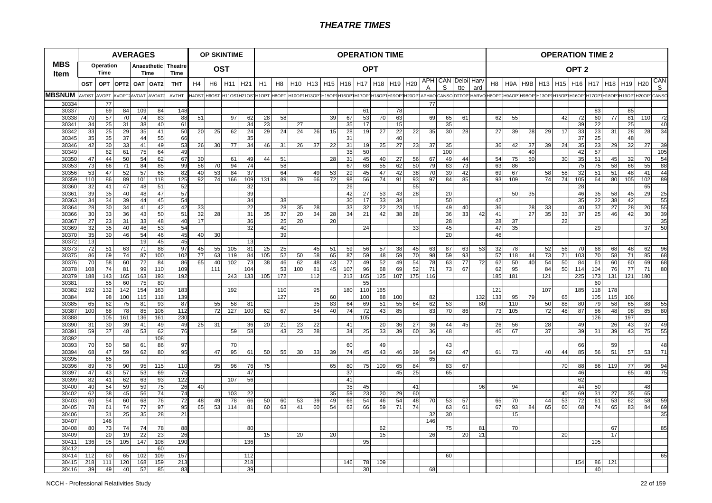|                           |                       |                          | <b>AVERAGES</b>  |           |                               |                               |          | <b>OP SKINTIME</b>        |                 |                 |          |                                                                                     |                                   |                 |          |          |                       | <b>OPERATION TIME</b> |          |          |          |                                |          |     |                |          |    | <b>OPERATION TIME 2</b>                                           |          |                  |           |          |                                                                                 |          |                     |
|---------------------------|-----------------------|--------------------------|------------------|-----------|-------------------------------|-------------------------------|----------|---------------------------|-----------------|-----------------|----------|-------------------------------------------------------------------------------------|-----------------------------------|-----------------|----------|----------|-----------------------|-----------------------|----------|----------|----------|--------------------------------|----------|-----|----------------|----------|----|-------------------------------------------------------------------|----------|------------------|-----------|----------|---------------------------------------------------------------------------------|----------|---------------------|
| <b>MBS</b><br><b>Item</b> |                       | Operation<br><b>Time</b> |                  |           | Anaesthetic<br><b>Time</b>    | <b>Theatre</b><br><b>Time</b> |          |                           | <b>OST</b>      |                 |          |                                                                                     |                                   |                 |          |          | <b>OPT</b>            |                       |          |          |          |                                |          |     |                |          |    |                                                                   |          | OPT <sub>2</sub> |           |          |                                                                                 |          |                     |
|                           | <b>OST</b>            | <b>OPT</b>               | OPT <sub>2</sub> |           | OAT OAT2                      | <b>THT</b>                    | H4       | H <sub>6</sub>            | H <sub>11</sub> | H <sub>21</sub> | H1       | H <sub>8</sub>                                                                      | H10   H13   H15   H16   H17   H18 |                 |          |          |                       |                       | H19 H20  |          |          | APH   CAN   Deloi   Harv<br>S. | tte      | ard | H <sub>8</sub> | H9A      |    | H9B H13 H15                                                       |          |                  |           |          | H <sub>16</sub> H <sub>17</sub> H <sub>18</sub> H <sub>19</sub> H <sub>20</sub> |          | CAN<br>$\mathbf{C}$ |
| <b>MBSNUM</b>             |                       |                          |                  |           | VOST AVOPT AVOPTZAVOAT AVOATZ | AVTHT                         |          | 140ST H60ST H110ST H210ST |                 |                 |          | H1OPT H8OPT H10OP1H13OP1H15OP1H16OP1H17OP1H18OP1H19OP1H20OP1APHAO CANSO DTTOP1HARVO |                                   |                 |          |          |                       |                       |          |          |          |                                |          |     |                |          |    | H8OPT/H9AOP H9BOP H13OP H15OP H16OP H17OP H18OP H19OP H20OP CANSO |          |                  |           |          |                                                                                 |          |                     |
| 30334                     |                       | 77                       |                  |           |                               |                               |          |                           |                 |                 |          |                                                                                     |                                   |                 |          |          |                       |                       |          |          | 77       |                                |          |     |                |          |    |                                                                   |          |                  |           |          |                                                                                 |          |                     |
| 30337                     |                       | 69                       | 84               | 109       | 84                            | 148                           |          |                           |                 |                 |          |                                                                                     |                                   |                 |          |          | 61                    |                       | 78       |          |          |                                |          |     |                |          |    |                                                                   |          |                  | 83        |          | 85                                                                              |          |                     |
| 30338<br>30341            | 70<br>34              | 57<br>25                 | 70<br>31         | 74<br>38  | 83<br>40                      | 88<br>61                      | 51       |                           | 97              | 62<br>34        | 28<br>23 | 58                                                                                  | 27                                |                 | 39       | 67<br>35 | 53<br>17              | 70                    | 63<br>15 |          | 69       | 65<br>35                       | 61       |     | 62             | 55       |    |                                                                   | 42       | 72<br>39         | 60<br>22  | 77       | 81<br>25                                                                        | 110      | 72<br>40            |
| 30342                     | 33                    | 25                       | 29               | 35        | 41                            | 50                            | 20       | 25                        | 62              | 24              | 29       | 24                                                                                  | 24                                | 26              | 15       | 28       | 19                    | 27                    | 22       | 22       | 35       | 30                             | 28       |     | 27             | 39       | 28 | 29                                                                | 17       | 33               | 23        | 31       | 28                                                                              | 28       | 34                  |
| 30345                     | 35                    | 35                       | 37               | 44        | 55                            | 66                            |          |                           |                 | 35              |          |                                                                                     |                                   |                 |          | 31       |                       |                       | 40       |          |          |                                |          |     |                |          |    |                                                                   |          | 37               | 25        |          | 48                                                                              |          |                     |
| 30346                     | 42                    | 30                       | 33               | 41        | 49                            | 53                            | 26       | 30                        | 77              | 34              | 46       | 31                                                                                  | 26                                | 37              | 22       | 31       | 19                    | 25                    | 27       | 23       | 37       | 35                             |          |     | 36             | 42       | 37 | 39                                                                | 24       | 35               | 23        | 29       | 32                                                                              | 27       | 39                  |
| 30349                     |                       | 62                       | 61               | 75        | 64                            | 4S                            |          |                           |                 |                 |          |                                                                                     |                                   |                 |          | 35       | 50                    |                       |          |          |          | 100                            |          |     |                |          | 40 |                                                                   |          | 42               | 57        |          |                                                                                 |          | 105                 |
| 30350<br>30353            | 47<br>73              | 44<br>66                 | 50<br>71         | 54<br>84  | 62<br>85                      | 67<br>99                      | 30<br>56 | 70                        | 61<br>94        | 49<br>74        | 44       | 51<br>58                                                                            |                                   |                 | 28       | 31<br>67 | 45<br>68              | 40<br>55              | 27<br>62 | 56<br>50 | 67<br>79 | 49<br>83                       | 44<br>73 |     | 54<br>63       | 75<br>86 | 50 |                                                                   | 30       | 35<br>75         | 51<br>75  | 45<br>58 | 32<br>66                                                                        | 70<br>55 | 54<br>88            |
| 30356                     | 53                    | 47                       | 52               | 57        | 65                            | 82                            | 40       | 53                        | 84              | 37              |          | 64                                                                                  |                                   | 49              | 53       | 29       | 45                    | 47                    | 42       | 38       | 70       | 39                             | 42       |     | 69             | 67       |    | 58                                                                | 58       | 32               | 51        | 51       | 48                                                                              | 41       | 44                  |
| 30359                     | 110                   | 86                       | 89               | 101       | 118                           | 125                           | 92       | 74                        | 166             | 109             | 131      | 89                                                                                  | 79                                | 66              | 72       | 98       | 56                    | 74                    | 91       | 93       | 97       | 84                             | 85       |     | 93             | 109      |    | 74                                                                | 74       | 105              | 64        | 80       | 105                                                                             | 102      | 89                  |
| 30360                     | 32                    | 41                       | 47               | 48        | 51                            | 52                            |          |                           |                 | 32              |          |                                                                                     |                                   |                 |          | 26       |                       |                       |          | 55       |          |                                |          |     |                |          |    |                                                                   |          | 28               |           |          |                                                                                 | 65       |                     |
| 30361                     | 39                    | 35                       | 40               | 48        | 47                            | 57                            |          |                           |                 | 39              |          |                                                                                     |                                   |                 |          | 42       | 27                    | 53                    | 43       | 28       |          | 20                             |          |     |                | 50       | 35 |                                                                   |          | 46               | 35        | 58       | 45                                                                              | 29       | 25                  |
| 30363<br>30364            | 34<br>$\overline{28}$ | 34<br>30                 | 39<br>34         | 44<br>41  | 45<br>42                      | 54<br>42                      | 33       |                           |                 | 34<br>22        |          | 38<br>28                                                                            | 35 <sub>1</sub>                   | 28              |          | 30<br>33 | 17 <sup>1</sup><br>32 | 33<br>22              | 34<br>23 | 15       |          | 50<br>49                       | 40       |     | 42<br>36       |          | 28 | 33                                                                |          | 35<br>40         | 22<br>37  | 38<br>27 | 42<br>28                                                                        | 20       | 55<br>55            |
| 30366                     | 30                    | 33                       | 36               | 43        | 50                            | 51                            | 32       | 28                        |                 | 31              | 35       | 37                                                                                  | 20                                | 34              | 28       | 34       | 21                    | 42                    | 38       | 28       |          | 36                             | 33       | 42  | 41             |          | 27 | 35                                                                | 33       | 37               | 25        | 46       | 42                                                                              | 30       | 39                  |
| 30367                     | 27                    | 23                       | 31               | 33        | 48                            | 40                            | 17       |                           |                 | 36              |          | 25                                                                                  | 20                                |                 | 20       |          |                       |                       |          |          |          | 28                             |          |     | 28             | 37       |    |                                                                   | 22       |                  |           |          |                                                                                 |          | 35                  |
| 30369                     | 32                    | 35                       | 40               | 46        | 53                            | 54                            |          |                           |                 | 32              |          | 40                                                                                  |                                   |                 |          |          | 24                    |                       |          | 33       |          | 45                             |          |     | 47             | 35       |    |                                                                   |          |                  | 29        |          |                                                                                 | 37       | 50                  |
| 30370<br>30372            | 35<br>13              | 30                       | 46               | 54<br>19  | 46<br>45                      | 45<br>45                      | 40       | 30                        |                 | 12              |          | 39                                                                                  |                                   |                 |          |          |                       |                       |          |          |          | 20                             |          |     | 46             |          |    |                                                                   |          |                  |           |          |                                                                                 |          |                     |
| 30373                     | 72                    | 51                       | 63               | 71        | 88                            | 97                            | 45       | 55                        | 105             | 81              | 25       | 25                                                                                  |                                   | 45              | 51       | 59       | 56                    | 57                    | 38       | 45       | 63       | 87                             | 63       | 53  | 32             | 78       |    | 52                                                                | 56       | 70               | 68        | 68       | 48                                                                              | 62       | 96                  |
| 30375                     | 86                    | 69                       | 74               | 87        | 100                           | 102                           | 77       | 63                        | 119             | 84              | 105      | 52                                                                                  | 50                                | 58              | 65       | 87       | 59                    | 48                    | 59       | 70       | 98       | 59                             | 93       |     | 57             | 118      | 44 | 73                                                                | 71       | 103              | 70        | 58       | 71                                                                              | 85       | 68                  |
| 30376                     | 70                    | 58                       | 60               | 72        | 84                            | 86                            | 65       | 40                        | 102             | 73              | 38       | 46                                                                                  | 62                                | 48              | 43       | 77       | 49                    | 52                    | 49       | 54       | 78       | 63                             | 77       | 72  | 62             | 50       | 40 | 54                                                                | 50       | 84               | 61        | 60       | 60                                                                              | 69       | 68                  |
| 30378                     | 108                   | 74                       | 81               | 99        | 110                           | 109                           |          | 111                       |                 | 104             |          | 53                                                                                  | 100                               | 81              | 45       | 107      | 96                    | 68                    | 69       | 52       | 71       | 73                             | 67       |     | 62             | 95       |    | 84                                                                | 50       | 114              | 104       | 76       | 77                                                                              | 71       | 80                  |
| 30379<br>30381            | 188                   | 143<br>55                | 165<br>60        | 163<br>75 | 193<br>80                     | 192                           |          |                           | 243             | 133             | 105      | 172                                                                                 |                                   | 112             |          | 213      | 165<br>55             | 125                   | 107      | 175      | 116      |                                |          |     | 185            | 181      |    | 121                                                               |          | 225              | 173<br>60 | 131      | 121                                                                             | 180      |                     |
| 30382                     | 192                   | 132                      | 142              | 154       | 163                           | 183                           |          |                           | 192             |                 |          | 110                                                                                 |                                   | 95              |          | 180      | 110                   | 165                   |          |          |          |                                |          |     | 121            |          |    | 107                                                               |          | 185              | 118       | 178      |                                                                                 |          |                     |
| 30384                     |                       | 98                       | 100              | 115       | 118                           | 139                           |          |                           |                 |                 |          | 127                                                                                 |                                   |                 | 60       |          | 100                   | 88                    | 100      |          | 82       |                                |          | 132 | 133            | 95       | 79 |                                                                   | 65       |                  | 105       | 115      | 106                                                                             |          |                     |
| 30385                     | 65                    | 62                       | 75               | 81        | 93                            | 87                            |          | 55                        | 58              | 81              |          |                                                                                     |                                   | 35 <sup>1</sup> | 83       | 64       | 69                    | 51                    | 55       | 64       | 62       | 53                             |          | 80  |                | 110      |    | 50                                                                | 88       | 80               | 79        | 58       | 65                                                                              | 88       | 55                  |
| 30387                     | 100                   | 68                       | 78               | 85        | 106                           | 112<br>230                    |          | 72                        | 127             | 100             | 62       | 67                                                                                  |                                   | 64              | 40       | 74       | 72                    | 43                    | 85       |          | 83       | 70                             | 86       |     | 73             | 105      |    | 72                                                                | 48       | 87               | 86<br>126 | 48       | 98                                                                              | 85       | 80                  |
| 30388<br>30390            | 31                    | 105<br>30                | 161<br>39        | 136<br>41 | 161<br>49                     | 49                            | 25       | 31                        |                 | 36              | 20       | 21                                                                                  | 23                                | 22              |          | 41       | 105                   | 20                    | 36       | 27       | 36       | 44                             | 45       |     | 26             | 56       |    | 28                                                                |          | 49               |           | 26       | 197<br>43                                                                       | 37       | 49                  |
| 30391                     | 59                    | 37                       | 48               | 53        | 62                            | 76                            |          |                           | 59              | 58              |          | 43                                                                                  | 23                                | 28              |          | 34       | 25                    | 33                    | 39       | 60       | 36       | 48                             |          |     | 46             | 67       |    | 37                                                                |          | 39               | 31        | 39       | 43                                                                              | 75       | 55                  |
| 30392                     |                       |                          |                  |           | 108                           |                               |          |                           |                 |                 |          |                                                                                     |                                   |                 |          |          |                       |                       |          |          |          |                                |          |     |                |          |    |                                                                   |          |                  |           |          |                                                                                 |          |                     |
| 30393                     | 70                    | 50                       | 58               | 61        | 86                            | 97                            |          |                           | 70              |                 |          |                                                                                     |                                   |                 |          | 60       |                       | 49                    |          |          |          | 43                             |          |     |                |          |    |                                                                   |          | 66               |           | 59       |                                                                                 |          | 48                  |
| 30394<br>30395            | 68                    | 47<br>65                 | 59               | 62        | 80                            | 95                            |          | 47                        | 95              | 61              | 50       | 55                                                                                  | 30 <sup>1</sup>                   | 33              | 39       | 74       | 45                    | 43                    | 46       | 39       | 54<br>65 | 62                             | 47       |     | 61             | 73       |    | 40                                                                | 44       | 85               | 56        | 51       | 57                                                                              | 53       | 71                  |
| 30396                     | 89                    | 78                       | 90               | 95        | 115                           | 110                           |          | 95                        | 96              | 76              | 75       |                                                                                     |                                   |                 | 65       | 80       | 75                    | 109                   | 65       | 84       |          | 83                             | 67       |     |                |          |    |                                                                   | 70       | 88               | 86        | 119      | 77                                                                              | 96       | 94                  |
| 30397                     | 47                    | 43                       | 57               | 53        | 69                            | 75                            |          |                           |                 | 47              |          |                                                                                     |                                   |                 |          | 37       |                       |                       | 45       | 25       |          | 65                             |          |     |                |          |    |                                                                   |          | 46               |           |          | 65                                                                              | 40       | 75                  |
| 30399                     | 82                    | 41                       | 62               | 63        | 93                            | 122                           |          |                           | 107             | 56              |          |                                                                                     |                                   |                 |          | 41       |                       |                       |          |          |          |                                |          |     |                |          |    |                                                                   |          | 62               |           |          |                                                                                 |          |                     |
| 30400                     | 40                    | 54                       | 59               | 59        | 75<br>74                      | 26                            | 40       |                           |                 |                 |          |                                                                                     |                                   |                 |          | 35       | 45                    |                       |          | 41       |          |                                |          | 96  |                | 94       |    |                                                                   |          | 44               | 50        |          |                                                                                 | 48       |                     |
| 30402<br>30403            | 62<br>60              | 38<br>54                 | 45<br>60         | 56<br>68  | 76                            | 74<br>72                      | 48       | 49                        | 103<br>78       | 22<br>66        | 50       | 60                                                                                  | 53                                | 39 <sub>l</sub> | 35<br>49 | 59<br>66 | 23<br>54              | 20<br>46              | 29<br>54 | 60<br>48 | 70       | 53                             | 57       |     | 65             | 70       |    | 44                                                                | 40<br>53 | 69<br>72         | 31<br>61  | 27<br>53 | 35<br>62                                                                        | 65<br>58 | 59                  |
| 30405                     | 78                    | 61                       | 74               | 77        | 97                            | 95                            | 65       | 53                        | 114             | 81              | 60       | 63                                                                                  | 41                                | 60              | 54       | 62       | 66                    | 59                    | 71       | 74       |          | 63                             | 61       |     | 67             | 93       | 84 | 65                                                                | 60       | 68               | 74        | 65       | 83                                                                              | 84       | 69                  |
| 30406                     |                       | 31                       | 25               | 35        | 28                            | 21                            |          |                           |                 |                 |          |                                                                                     |                                   |                 |          |          |                       |                       |          |          | 32       | 30                             |          |     |                | 15       |    |                                                                   |          |                  |           |          |                                                                                 |          | 35                  |
| 30407                     |                       | 146                      |                  |           |                               |                               |          |                           |                 |                 |          |                                                                                     |                                   |                 |          |          |                       |                       |          |          | 146      |                                |          |     |                |          |    |                                                                   |          |                  |           |          |                                                                                 |          |                     |
| 30408                     | 80                    | 73                       | 74               | 74        | 78                            | 88                            |          |                           |                 | 80              |          |                                                                                     |                                   |                 |          |          |                       | 62                    |          |          |          | 75                             | 20       | 81  |                | 70       |    |                                                                   |          |                  |           | 67       |                                                                                 |          | 85                  |
| 30409<br>30411            | 136                   | 20<br>95                 | 19<br>105        | 22<br>147 | 23<br>108                     | 26<br>190                     |          |                           |                 | 136             | 15       |                                                                                     | 20                                |                 | 20       |          | 95                    | 15                    |          |          | 26       |                                |          | 21  |                |          |    |                                                                   | 20       |                  | 105       | 17       |                                                                                 |          |                     |
| 30412                     |                       |                          |                  |           | 60                            |                               |          |                           |                 |                 |          |                                                                                     |                                   |                 |          |          |                       |                       |          |          |          |                                |          |     |                |          |    |                                                                   |          |                  |           |          |                                                                                 |          |                     |
| 30414                     | 112                   | 60                       | 65               | 102       | 109                           | 157                           |          |                           |                 | 112             |          |                                                                                     |                                   |                 |          |          |                       |                       |          |          |          | 60                             |          |     |                |          |    |                                                                   |          |                  |           |          |                                                                                 |          | 65                  |
| 30415                     | 218                   | 111                      | 120              | 168       | 159                           | 213                           |          |                           |                 | 218             |          |                                                                                     |                                   |                 |          | 146      | 78                    | 109                   |          |          |          |                                |          |     |                |          |    |                                                                   |          | 154              | 86        | 121      |                                                                                 |          |                     |
| 30416                     | 39                    | 49                       | 40               | 52        | 85                            | 83                            |          |                           |                 | 39              |          |                                                                                     |                                   |                 |          |          | 30                    |                       |          |          | 68       |                                |          |     |                |          |    |                                                                   |          |                  | 40        |          |                                                                                 |          |                     |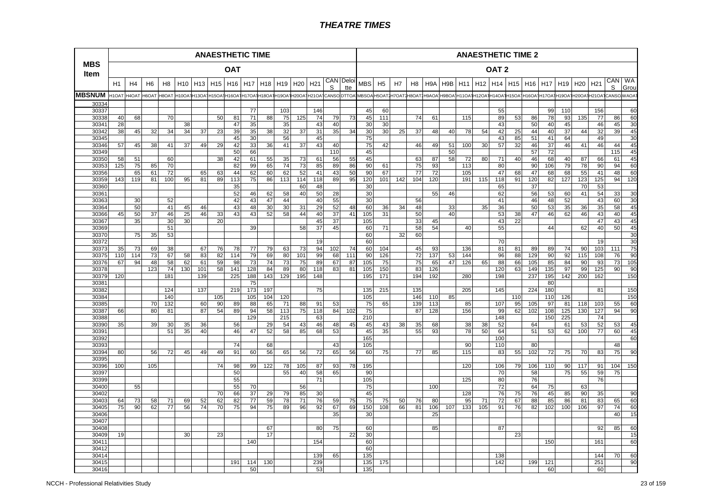|                    |           |           |                |                |                 |          |          |                                                 | <b>ANAESTHETIC TIME</b> |            |          |                                                                                          |            |                  |           |            |                |     |                |                  |         |            | <b>ANAESTHETIC TIME 2</b> |                  |          |                 |                 |                                                                                                       |                 |                 |           |                 |
|--------------------|-----------|-----------|----------------|----------------|-----------------|----------|----------|-------------------------------------------------|-------------------------|------------|----------|------------------------------------------------------------------------------------------|------------|------------------|-----------|------------|----------------|-----|----------------|------------------|---------|------------|---------------------------|------------------|----------|-----------------|-----------------|-------------------------------------------------------------------------------------------------------|-----------------|-----------------|-----------|-----------------|
| <b>MBS</b><br>Item |           |           |                |                |                 |          |          | <b>OAT</b>                                      |                         |            |          |                                                                                          |            |                  |           |            |                |     |                |                  |         |            |                           | OAT <sub>2</sub> |          |                 |                 |                                                                                                       |                 |                 |           |                 |
|                    | H1        | H4        | H <sub>6</sub> | H <sub>8</sub> | H <sub>10</sub> | H13      |          | H <sub>15</sub> H <sub>16</sub> H <sub>17</sub> |                         | H18        |          | H <sub>19</sub> H <sub>20</sub> H <sub>21</sub>                                          |            | <b>CAN</b> Deloi |           | <b>MBS</b> | H <sub>5</sub> | H7  | H <sub>8</sub> | H <sub>9</sub> A | H9B H11 |            | $H12$ $H14$ $H15$         |                  |          | H <sub>16</sub> | H <sub>17</sub> | H <sub>19</sub>                                                                                       | H <sub>20</sub> | H <sub>21</sub> | CAN       | WA              |
| <b>MBSNUM</b>      |           |           |                |                |                 |          |          |                                                 |                         |            |          | H1OAT H4OAT H6OAT H8OAT H10OATH13OATH15OATH16OATH17OATH18OATH19OATH20OATH21OATCANSODTTOA |            | ∘                | tte       |            |                |     |                |                  |         |            |                           |                  |          |                 |                 | MBSOA H5OAT1H7OAT1H8OAT1H9AOA H9BOA H11OATH12OATH14OATH15OATH16OATH17OATH19OATH20OATH21OATCANSO WAOAT |                 |                 | S         | Grou            |
| 30334              |           |           |                |                |                 |          |          |                                                 |                         |            |          |                                                                                          |            |                  |           |            |                |     |                |                  |         |            |                           |                  |          |                 |                 |                                                                                                       |                 |                 |           |                 |
| 30337              |           |           |                |                |                 |          |          |                                                 | 77                      |            | 103      |                                                                                          | 146        |                  |           | 45         | 60             |     |                |                  |         |            |                           | 55               |          |                 | 99              | 110                                                                                                   |                 | 156             |           | 60              |
| 30338              | 40        | 68        |                | 70             |                 |          | 50       | 81                                              | 71                      | 88         | 75       | 125                                                                                      | 74         | 79               | 73        | 45         | 111            |     | 74             | 61               |         | 115        |                           | 89               | 53       | 86              | 78              | 93                                                                                                    | 135             | 77              | 86        | 60              |
| 30341<br>30342     | 28<br>38  | 45        | 32             | 34             | 38<br>34        | 37       | 23       | 47<br>39                                        | 35<br>35                | 38         | 35<br>32 | 37                                                                                       | 43<br>31   | 40<br>35         | 34        | 30<br>30   | 30<br>30       | 25  | 37             | 48               | 40      | 78         | 54                        | 43<br>42         | 25       | 50<br>44        | 40<br>40        | 45<br>37                                                                                              | 44              | 46<br>32        | 45<br>39  | 30<br>45        |
| 30345              |           |           |                |                |                 |          |          | 45                                              | 30                      |            | 56       |                                                                                          | 45         |                  |           | 75         |                |     |                |                  |         |            |                           | 43               | 85       | 51              | 41              | 64                                                                                                    |                 | 49              |           | 30              |
| 30346              | 57        | 45        | 38             | 41             | 37              | 49       | 29       | 42                                              | 33                      | 36         | 41       | 37                                                                                       | 43         | 40               |           | 75         | 42             |     | 46             | 49               | 51      | 100        | 30                        | 57               | 32       | 46              | 37              | 46                                                                                                    | 41              | 46              | 44        | 45              |
| 30349              |           |           |                |                |                 |          |          | 50                                              | 66                      |            |          |                                                                                          |            | 110              |           | 45         |                |     |                |                  | 50      |            |                           |                  |          | 57              | 72              |                                                                                                       |                 |                 | 115       | $\overline{45}$ |
| 30350              | 58        | 51<br>75  |                | 60<br>70       |                 |          | 38       | 42                                              | 61                      | 55         | 35<br>74 | 73<br>73                                                                                 | 61         | 56               | 55        | 45         |                |     | 63             | 87<br>93         | 58      | 72<br>113  | 80                        | 71               | 40       | 46<br>90        | 68              | 40<br>79                                                                                              | 87<br>78        | 66              | 61        | 45<br>60        |
| 30353<br>30356     | 125       | 65        | 85<br>61       | 72             |                 | 65       | 63       | 82<br>44                                        | 99<br>62                | 65<br>60   | 62       | 52                                                                                       | 85<br>41   | 89<br>43         | 86<br>50  | 90<br>90   | 61<br>67       |     | 75<br>77       | 72               |         | 105        |                           | 80<br>47         | 68       | 47              | 106<br>68       | 68                                                                                                    | 55              | 90<br>41        | 94<br>48  | 60              |
| 30359              | 143       | 119       | 81             | 100            | 95              | 81       | 89       | 113                                             | 75                      | 86         | 113      | 114                                                                                      | 118        | 89               | 95        | 120        | 101            | 142 | 104            | 120              |         | 191        | 115                       | 118              | 91       | 120             | 82              | 127                                                                                                   | 123             | 125             | 94        | 120             |
| 30360              |           |           |                |                |                 |          |          | 35                                              |                         |            |          | 60                                                                                       | 48         |                  |           | 30         |                |     |                |                  |         |            |                           | 65               |          | 37              |                 |                                                                                                       | 70              | 53              |           |                 |
| 30361              |           |           |                |                |                 |          |          | 52                                              | 46                      | 62         | 58       | 40                                                                                       | 50         | 28               |           | 30         |                |     |                | 55               | 46      |            |                           | 62               |          | 56              | 53              | 60                                                                                                    | 41              | 54              | 33        | 30              |
| 30363              |           | 30        |                | 52             |                 |          |          | 42<br>43                                        | 43<br>48                | 47<br>30   | 44<br>30 |                                                                                          | 40<br>29   | 55<br>52         | 48        | 30         |                | 34  | 56             |                  | 33      |            | 35                        | 41<br>36         |          | 46<br>50        | 48<br>53        | 52<br>35                                                                                              | 36              | 43<br>35        | 60<br>58  | 30              |
| 30364<br>30366     | 45        | 50<br>50  | 37             | 41<br>46       | 45<br>25        | 46<br>46 | 33       | 43                                              | 43                      | 52         | 58       | 31<br>44                                                                                 | 40         | 37               | 41        | 60<br>105  | 36<br>31       |     | 48<br>50       |                  | 40      |            |                           | 53               | 38       | 47              | 46              | 62                                                                                                    | 46              | 43              | 40        | 45<br>45        |
| 30367              |           | 35        |                | 30             | 30              |          | 20       |                                                 |                         |            |          |                                                                                          | 45         | 37               |           | 105        |                |     | 33             | 45               |         |            |                           | 43               | 22       |                 |                 |                                                                                                       |                 | 47              | 43        | 45              |
| 30369              |           |           |                | 51             |                 |          |          |                                                 | 39                      |            |          | 58                                                                                       | 37         | 45               |           | 60         | 71             |     | 58             | 54               |         | 40         |                           | 55               |          |                 | 44              |                                                                                                       | 62              | 40              | 50        | $\frac{45}{30}$ |
| 30370              |           | 75        | 35             | 53             |                 |          |          |                                                 |                         |            |          |                                                                                          |            |                  |           | 60         |                | 32  | 60             |                  |         |            |                           |                  |          |                 |                 |                                                                                                       |                 |                 |           |                 |
| 30372              |           |           |                |                |                 |          |          |                                                 |                         |            |          |                                                                                          | 19         |                  |           | 60         |                |     |                |                  |         |            |                           | 70               |          |                 |                 |                                                                                                       |                 | 19              |           | 30              |
| 30373<br>30375     | 35<br>110 | 73<br>114 | 69<br>73       | 38<br>67       | 58              | 67<br>83 | 76<br>82 | 78<br>114                                       | 77<br>79                | 79<br>69   | 63<br>80 | 73<br>101                                                                                | 94<br>99   | 102<br>68        | 74<br>111 | 60<br>90   | 104<br>126     |     | 45<br>72       | 93<br>137        | 53      | 136<br>144 |                           | 81<br>96         | 81<br>88 | 89<br>129       | 89<br>90        | 74<br>92                                                                                              | 90<br>115       | 103<br>108      | 111<br>76 | 75<br>90        |
| 30376              | 67        | 94        | 48             | 58             | 62              | 61       | 59       | 98                                              | 73                      | 74         | 73       | 75                                                                                       | 89         | 67               | 87        | 105        | 75             |     | 75             | 65               | 47      | 126        | 65                        | 88               | 66       | 105             | 85              | 84                                                                                                    | 90              | 93              | 73        | 105             |
| 30378              |           |           | 123            | 74             | 130             | 101      | 58       | 141                                             | 128                     | 84         | 89       | 80                                                                                       | 118        | 83               | 81        | 105        | 150            |     | 83             | 126              |         |            |                           | 120              | 63       | 149             | 135             | 97                                                                                                    | 99              | 125             | 90        | 90              |
| 30379              | 120       |           |                | 181            |                 | 139      |          | 225                                             | 188                     | 143        | 129      | 195                                                                                      | 148        |                  |           | 195        | 171            |     | 194            | 192              |         | 280        |                           | 198              |          | 237             | 195             | 142                                                                                                   | 200             | 162             |           | 150             |
| 30381              |           |           |                |                |                 |          |          |                                                 | 75                      |            |          |                                                                                          |            |                  |           |            |                |     |                |                  |         |            |                           |                  |          |                 | 80              |                                                                                                       |                 |                 |           |                 |
| 30382<br>30384     |           |           |                | 124<br>140     |                 | 137      | 105      | 219                                             | 173<br>105              | 197<br>104 | 120      |                                                                                          | 75         |                  |           | 135<br>105 | 215            |     | 135<br>146     | 110              | 85      | 205        |                           | 145              | 110      | 224             | 180<br>110      | 126                                                                                                   |                 | 81              |           | 150<br>150      |
| 30385              |           |           | 70             | 132            |                 | 60       | 90       | 89                                              | 88                      | 65         | 71       | 88                                                                                       | 91         | 53               |           | 75         | 65             |     | 139            | 113              |         | 85         |                           | 107              | 95       | 105             | 97              | 81                                                                                                    | 118             | 103             | 55        | 60              |
| 30387              | 66        |           | 80             | 81             |                 | 87       | 54       | 89                                              | 94                      | 58         | 113      | 75                                                                                       | 118        | 84               | 102       | 75         |                |     | 87             | 128              |         | 156        |                           | 99               | 62       | 102             | 108             | 125                                                                                                   | 130             | 127             | 94        | 90              |
| 30388              |           |           |                |                |                 |          |          |                                                 | 129                     |            | 215      |                                                                                          | 63         |                  |           | 210        |                |     |                |                  |         |            |                           | 148              |          |                 | 150             | 225                                                                                                   |                 | 74              |           |                 |
| 30390              | 35        |           | 39             | 30             | 35              | 36       |          | 56                                              |                         | 29         | 54       | 43                                                                                       | 46         | 48               | 45        | 45         | 43             | 38  | 35             | 68               |         | 38         | 38                        | 52               |          | 64              |                 | 61                                                                                                    | 53              | 52              | 53        | 45              |
| 30391<br>30392     |           |           |                | 51             | 35              | 40       |          | 46                                              | 47                      | 52         | 58       | 85                                                                                       | 68         | 53               |           | 45<br>165  | 35             |     | 55             | 93               |         | 78         | 50                        | 64<br>100        |          | 51              | 53              | 62                                                                                                    | 100             | 77              | 60        | 45<br>60        |
| 30393              |           |           |                |                |                 |          |          | 74                                              |                         | 68         |          |                                                                                          |            | 43               |           | 105        |                |     |                |                  |         | 90         |                           | 110              |          | 80              |                 |                                                                                                       |                 |                 | 48        |                 |
| 30394              | 80        |           | 56             | 72             | 45              | 49       | 49       | 91                                              | 60                      | 56         | 65       | 56                                                                                       | 72         | 65               | 56        | 60         | 75             |     | 77             | 85               |         | 115        |                           | 83               | 55       | 102             | 72              | 75                                                                                                    | 70              | 83              | 75        | 90              |
| 30395              |           |           |                |                |                 |          |          |                                                 |                         |            |          |                                                                                          |            |                  |           |            |                |     |                |                  |         |            |                           |                  |          |                 |                 |                                                                                                       |                 |                 |           |                 |
| 30396              | 100       |           | 105            |                |                 |          | 74       | 98                                              | 99                      | 122        | 78       | 105                                                                                      | 87         | 93               | 78        | 195        |                |     |                |                  |         | 120        |                           | 106              | 79       | 106             | 110             | 90                                                                                                    | 117             | 91              | 104       | 150             |
| 30397<br>30399     |           |           |                |                |                 |          |          | 50<br>55                                        |                         |            | 55       | 40                                                                                       | 58<br>71   | 65               |           | 90<br>105  |                |     |                |                  |         | 125        |                           | 70<br>80         |          | 58<br>76        |                 | 75                                                                                                    | 55              | 59<br>76        | 75        |                 |
| 30400              |           | 55        |                |                |                 |          |          | 55                                              | 70                      |            |          | 56                                                                                       |            |                  |           | 75         |                |     |                | 100              |         |            |                           | 72               |          | 64              | 75              |                                                                                                       | 63              |                 |           |                 |
| 30402              |           |           |                |                |                 |          | 70       | 66                                              | 37                      | 29         | 79       | 85                                                                                       | 30         |                  |           | 45         |                |     |                |                  |         | 128        |                           | 76               | 75       | 76              | 45              | 85                                                                                                    | 90              | 35              |           | 90              |
| 30403              | 64        | 73        | 58             | 71             | 69              | 52       | 62       | 82                                              | 77                      | 59         | 78       | 71                                                                                       | 76         | 59               | 75        | 75         | 75             | 50  | 76             | 80               |         | 95         | 71                        | 72               | 67       | 88              | 85              | 86                                                                                                    | 81              | 83              | 65        | 60              |
| 30405              | 75        | 90        | 62             | 77             | 56              | 74       | 70       | 75                                              | 94                      | 75         | 89       | 96                                                                                       | 92         | 67               | 69        | 150        | 108            | 66  | 81             | 106              | 107     | 133        | 105                       | 91               | 76       | 82              | 102             | 100                                                                                                   | 106             | 97              | 74        | 60              |
| 30406<br>30407     |           |           |                |                |                 |          |          |                                                 |                         |            |          |                                                                                          |            | 35               |           | 30         |                |     |                | 25               |         |            |                           |                  |          |                 |                 |                                                                                                       |                 |                 | 40        | 15              |
| 30408              |           |           |                |                |                 |          |          |                                                 |                         | 67         |          |                                                                                          | 80         | 75               |           | 60         |                |     |                | 85               |         |            |                           | 87               |          |                 |                 |                                                                                                       |                 | 92              | 85        | 60              |
| 30409              | 19        |           |                |                | 30              |          | 23       |                                                 |                         | 17         |          |                                                                                          |            |                  | 22        | 30         |                |     |                |                  |         |            |                           |                  | 23       |                 |                 |                                                                                                       |                 |                 |           | 15              |
| 30411              |           |           |                |                |                 |          |          |                                                 | 140                     |            |          |                                                                                          | 154        |                  |           | 60         |                |     |                |                  |         |            |                           |                  |          |                 | 150             |                                                                                                       |                 | 161             |           | 60              |
| 30412              |           |           |                |                |                 |          |          |                                                 |                         |            |          |                                                                                          |            |                  |           | 60         |                |     |                |                  |         |            |                           |                  |          |                 |                 |                                                                                                       |                 |                 |           |                 |
| 30414<br>30415     |           |           |                |                |                 |          |          | 191                                             | 114                     | 130        |          |                                                                                          | 139<br>239 | 65               |           | 135<br>135 | 175            |     |                |                  |         |            |                           | 138<br>142       |          | 199             | 121             |                                                                                                       |                 | 144<br>251      | 70        | 60<br>90        |
| 30416              |           |           |                |                |                 |          |          |                                                 | 50                      |            |          |                                                                                          | 53         |                  |           | 135        |                |     |                |                  |         |            |                           |                  |          |                 | 60              |                                                                                                       |                 | 60              |           |                 |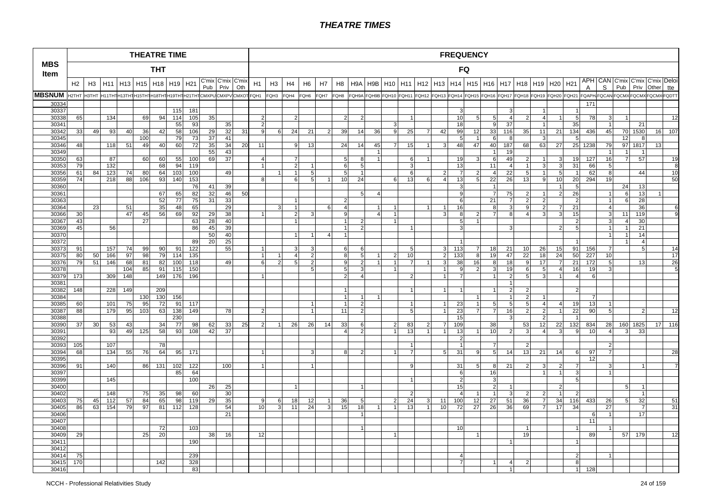|                           |     |    |                 |     |           | <b>THEATRE TIME</b>                                                                            |          |           |                          |                 |     |                |                |                |                 |                |                   |                |                |                 |                 |                |                | <b>FREQUENCY</b>     |                |                             |                                   |                                                                                                                     |                                  |                |                                |                |                                                       |    |                |
|---------------------------|-----|----|-----------------|-----|-----------|------------------------------------------------------------------------------------------------|----------|-----------|--------------------------|-----------------|-----|----------------|----------------|----------------|-----------------|----------------|-------------------|----------------|----------------|-----------------|-----------------|----------------|----------------|----------------------|----------------|-----------------------------|-----------------------------------|---------------------------------------------------------------------------------------------------------------------|----------------------------------|----------------|--------------------------------|----------------|-------------------------------------------------------|----|----------------|
| <b>MBS</b><br><b>Item</b> |     |    |                 |     |           | <b>THT</b>                                                                                     |          |           |                          |                 |     |                |                |                |                 |                |                   |                |                |                 |                 |                |                | <b>FQ</b>            |                |                             |                                   |                                                                                                                     |                                  |                |                                |                |                                                       |    |                |
|                           | H2  | H3 | H <sub>11</sub> |     |           | H13 H15 H18 H19 H21                                                                            |          |           | C'mix C'mix C'mix<br>Pub | Priv            | Oth | H1             | H <sub>3</sub> | H4             | H <sub>6</sub>  | H7             | H <sub>8</sub>    | H9A            | H9B            | H <sub>10</sub> | H <sub>11</sub> |                |                |                      |                |                             |                                   | H12   H13   H14   H15   H16   H17   H18   H19   H20   H21                                                           |                                  |                | S.                             |                | APH CAN C'mix C'mix C'mix Deloi<br>Pub Priv Other tte |    |                |
| <b>MBSNUM</b>             |     |    |                 |     |           | н2тнт  нзтнт  н11тнπ н13тнπ н15тнπ н18тнπ н19тнπ н21тнπ смхр∪ смхрv смхот гон1    гон3    гон4 |          |           |                          |                 |     |                |                |                |                 | FQH6 FQH7 FQH8 |                   |                |                |                 |                 |                |                |                      |                |                             |                                   | FQH9A FQH9B FQH10 FQH11 FQH12 FQH13 FQH14 FQH15 FQH16 FQH17 FQH18 FQH19 FQH21 FQH21 FQQPHFQCAN FQCMXFQCMXFQCMXFQCMX |                                  |                |                                |                |                                                       |    |                |
| 30334                     |     |    |                 |     |           |                                                                                                |          |           |                          |                 |     |                |                |                |                 |                |                   |                |                |                 |                 |                |                |                      |                |                             |                                   |                                                                                                                     |                                  | 171            |                                |                |                                                       |    |                |
| 30337                     |     |    |                 |     |           |                                                                                                | 115      | 181       |                          |                 |     |                |                |                |                 |                |                   |                |                |                 |                 |                |                | 3                    |                |                             | 3                                 |                                                                                                                     |                                  |                |                                |                |                                                       |    |                |
| 30338                     | 65  |    | 134             |     | 69        | 94                                                                                             | 114      | 105       | 35                       |                 |     | 2              |                | $\overline{2}$ |                 |                | $2 \vert$         | $\overline{2}$ |                |                 | $\overline{1}$  |                |                | 10                   | 5 <sub>l</sub> | 5 <sup>1</sup>              | $\vert$ 4<br>2                    | 4 <sup>1</sup><br>$\overline{1}$                                                                                    | 5 <sup>1</sup>                   | 78             | 3                              | 11             |                                                       |    | 12             |
| 30341                     |     |    |                 |     |           |                                                                                                | 55       | 93        |                          | 35              |     | $\overline{2}$ |                |                |                 |                |                   |                |                | $\overline{3}$  |                 |                |                | 18                   |                | 9 <sup>1</sup>              | $\overline{37}$                   | 1                                                                                                                   | 35                               |                |                                |                | 21                                                    |    |                |
| 30342<br>30345            | 33  | 49 | 93              | 40  | 36<br>100 | 42                                                                                             | 58<br>79 | 106<br>73 | 29<br>37                 | 32<br>41        | 31  | 9 <sup>1</sup> | $6 \mid$       | 24             | 21              | $\overline{2}$ | 39                | 14             | 36             | 9               | 25              | $\overline{7}$ | 42             | 99<br>5              | 12<br>1        | 33<br>6                     | 35<br>116<br>8                    | 11<br>21<br>$\overline{3}$                                                                                          | 134<br>5                         | 436            | 45                             | 12             | 70 1530<br>8                                          |    | 16 107         |
| 30346                     | 48  |    | 118             | 51  | 49        | 40                                                                                             | 60       | 72        | 35                       | 34              | 20  | 11             |                | 9              | 13              |                | 24                | 14             | 45             | 7 <sup>1</sup>  | 15              |                | 3 <sup>l</sup> | 48                   | 47             | 40                          | 187<br>68                         | 63<br>27                                                                                                            |                                  | 25 1238        | 79                             |                | 97 1817                                               | 13 |                |
| 30349                     |     |    |                 |     |           |                                                                                                |          |           | 55                       | 43              |     |                |                |                |                 |                |                   |                |                |                 |                 |                |                |                      |                | 1                           | 19                                |                                                                                                                     |                                  |                |                                | 1              | $\overline{1}$                                        |    |                |
| 30350                     | 63  |    | 87              |     | 60        | 60                                                                                             | 55       | 100       | 69                       | $\overline{37}$ |     | 4 <sup>1</sup> |                | $\overline{7}$ |                 |                | 5 <sub>l</sub>    | 8              | $\overline{1}$ |                 | 6               |                |                | 19                   | 3 <sup>1</sup> | 6 <sup>1</sup>              | 49<br>$\overline{2}$              | 3<br>1                                                                                                              | 19                               | 127            | 16                             | $\overline{7}$ | 57                                                    |    | 19             |
| 30353                     | 79  |    | 132             |     |           | 68                                                                                             | 94       | 119       |                          |                 |     | 1              |                | $\overline{2}$ | 1               |                | $6 \overline{6}$  | 5 <sup>1</sup> |                |                 | $\mathbf{3}$    |                |                | 13                   |                | 11                          | 1<br>$\overline{a}$               | 3 <sup>1</sup><br>$\mathbf{3}$                                                                                      | 31                               | 66             | $\sqrt{5}$                     |                |                                                       |    | 8              |
| 30356                     | 61  | 84 | 123             | 74  | 80        | 64                                                                                             | 103      | 100       |                          | 49              |     |                |                | $\overline{1}$ | $5\phantom{.0}$ |                | $5\overline{)}$   | $\mathbf{1}$   |                |                 | $6\phantom{1}6$ |                | $\overline{2}$ | $\overline{7}$       | $\overline{2}$ | $\vert$ 4                   | 5 <sub>1</sub><br>22              | 5<br>$\mathbf{1}$                                                                                                   | $\mathbf{1}$                     | 62             | 8                              |                | 44                                                    |    | 10             |
| 30359<br>30360            | 74  |    | 218             | 88  | 106       | 93                                                                                             | 140      | 153<br>76 | 41                       | 39              |     | 8              |                | 6              | -51             | 11             | 10                | 24             |                | 6               | 13              | 6              | $\overline{4}$ | 13<br>3              | 5 <sup>1</sup> | 22<br>1                     | 26<br>13                          | 9 <sup>1</sup><br>10 <sup>1</sup><br>$\blacktriangleleft$                                                           | 20<br>5                          | 294            | 19                             | 24             | 13                                                    |    | 50             |
| 30361                     |     |    |                 |     |           | 67                                                                                             | 65       | 82        | 32                       | 46              | 50  |                |                |                |                 |                |                   | 5 <sup>1</sup> | $\overline{4}$ |                 |                 |                |                | 9                    |                | $\overline{7}$              | 75<br>2                           | $\overline{2}$<br>1 <sup>1</sup>                                                                                    | 26                               |                | $\mathbf{1}$                   | 6              | 13                                                    |    |                |
| 30363                     |     |    |                 |     |           | 52                                                                                             | 77       | 75        | 31                       | 33              |     |                |                | $\overline{1}$ |                 |                | $2 \overline{2}$  |                |                |                 |                 |                |                | 6 <sup>1</sup>       |                | 21                          | $\overline{2}$<br>$\overline{7}$  | $\overline{2}$                                                                                                      | 2                                |                | $\mathbf{1}$                   | 6              | 28                                                    |    |                |
| 30364                     |     | 23 |                 | 51  |           | 35                                                                                             | 48       | 65        |                          | 29              |     |                | 3 <sup>l</sup> |                |                 | 6              | $\overline{a}$    |                |                | $\overline{1}$  |                 |                | 1              | 16                   |                | 8 <sup>1</sup>              | 3<br>9                            | 2 <br>$\overline{7}$                                                                                                | 21                               |                | $\overline{4}$                 |                | 36                                                    |    | 6              |
| 30366                     | 30  |    |                 | 47  | 45        | 56                                                                                             | 69       | 92        | 29                       | 38              |     | 1              |                | $\overline{2}$ | 3 <sup>1</sup>  |                | $\overline{9}$    |                | $\overline{4}$ | $\mathbf{1}$    |                 |                | $\mathbf{3}$   | 8 <sup>1</sup>       | $\overline{2}$ | $\overline{7}$              | 8<br>$\overline{4}$               | 3 <sup>1</sup><br>3                                                                                                 | 15                               |                | $\overline{3}$                 | 11             | 119                                                   |    | 9              |
| 30367                     | 43  |    |                 |     | 27        |                                                                                                |          | 63        | 28                       | 40              |     |                |                | $\overline{1}$ |                 |                | 1                 | 2 <sup>1</sup> |                | $\mathbf{1}$    |                 |                |                | 5 <sup>1</sup>       | 1              |                             |                                   |                                                                                                                     | 2                                |                | 3                              | $\overline{4}$ | 30                                                    |    |                |
| 30369<br>30370            | 45  |    | 56              |     |           |                                                                                                |          | 86        | 45<br>50                 | 39<br>40        |     |                |                | $\mathbf{1}$   | 11              | $\overline{4}$ | 1<br>$\mathbf{1}$ | 2 <sup>1</sup> |                |                 | $\overline{1}$  |                |                | 3 <sup>1</sup>       |                |                             | $\vert$ 3                         |                                                                                                                     | $\overline{2}$<br>5 <sup>1</sup> |                | $\overline{1}$<br>$\mathbf{1}$ | 1<br>1         | 21<br>14                                              |    |                |
| 30372                     |     |    |                 |     |           |                                                                                                |          | 89        | 20                       | 25              |     |                |                |                |                 |                |                   |                |                |                 |                 |                |                | $\mathbf 1$          |                |                             |                                   |                                                                                                                     | $\mathbf 1$                      |                |                                | $\vert$        | $\overline{4}$                                        |    |                |
| 30373                     | 91  |    | 157             | 74  | 99        | 90                                                                                             | 91       | 122       |                          | 55              |     | 1              |                | $\mathbf{3}$   | 3               |                | $6 \mid$          | 6              |                |                 | $5\phantom{.0}$ |                | 3 <sup>1</sup> | 113                  | $\overline{7}$ | 18                          | 21<br>10                          | 26<br>15                                                                                                            | 91                               | 156            | $\overline{7}$                 |                | $5\phantom{.0}$                                       |    | 14             |
| 30375                     | 80  | 50 | 166             | 97  | 98        | 79                                                                                             | 114      | 135       |                          |                 |     | 1              | 1              | $\overline{4}$ | $2 \vert$       |                | $\bf 8$           | 5 <sup>1</sup> |                | $\overline{2}$  | 10              |                | 2 <sup>1</sup> | 133                  | 8 <sup>1</sup> | 19                          | 47<br>22                          | 24<br>18                                                                                                            | 50                               | 227            | 10                             |                |                                                       |    | 17             |
| 30376                     | 79  | 51 | 146             | 68  | 81        | 82                                                                                             | 100      | 118       |                          | 49              |     | $6 \mid$       | 2 <sup>1</sup> | 5 <sup>5</sup> | $2 \vert$       |                | $9\,$             | 2              |                | $\mathbf{1}$    | $\overline{7}$  |                | 3 <sup>1</sup> | 38                   | 16             | 8 <sup>1</sup>              | 18<br>9                           | 17<br>$\overline{7}$                                                                                                | 21                               | 172            | $\sqrt{5}$                     |                | 13                                                    |    | 26             |
| 30378                     |     |    |                 | 104 | 85        | 91                                                                                             | 115      | 150       |                          |                 |     |                |                |                | 5               |                | $\overline{5}$    | 3 <sup>1</sup> |                | $\mathbf{1}$    |                 |                | 1              | 9                    | $\overline{2}$ | 3                           | $6 \overline{6}$<br>19            | 5 <sub>5</sub><br>$\overline{4}$                                                                                    | 16                               | 19             | $\mathsf 3$                    |                |                                                       |    | $\overline{5}$ |
| 30379                     | 173 |    | 309             | 148 |           | 149                                                                                            | 176      | 196       |                          |                 |     | 11             |                |                |                 |                | $\overline{2}$    | $\vert$        |                |                 | $\overline{2}$  |                | 11             | $\overline{7}$       |                | 11                          | 5<br><sub>2</sub><br>$\mathbf{1}$ | $\overline{3}$<br>$\overline{1}$                                                                                    | 4 <sup>1</sup>                   | 6              |                                |                |                                                       |    |                |
| 30381<br>30382            | 148 |    | 228             | 149 |           | 209                                                                                            |          |           |                          |                 |     |                |                |                |                 |                | $\mathbf{1}$      |                |                |                 | $\overline{1}$  |                | 1              | $\mathbf{1}$         |                | 1                           | $\overline{2}$<br>2               |                                                                                                                     | 2 <sup>1</sup>                   |                |                                |                |                                                       |    |                |
| 30384                     |     |    |                 |     | 130       | 130                                                                                            | 156      |           |                          |                 |     |                |                |                |                 |                | $\mathbf{1}$      | 1              |                |                 |                 |                |                |                      |                |                             | $\overline{2}$<br>$\mathbf{1}$    |                                                                                                                     |                                  | $\overline{7}$ |                                |                |                                                       |    |                |
| 30385                     | 60  |    | 101             | 75  | 95        | 72                                                                                             | 91       | 117       |                          |                 |     |                |                |                | $\mathbf{1}$    |                | $\mathbf{1}$      | 2              |                |                 | $\mathbf{1}$    |                | 1              | 23                   | 1              | 5 <sub>1</sub>              | $\sqrt{5}$<br>5 <sub>l</sub>      | 4 <sup>1</sup><br>4                                                                                                 | 19                               | 13             | $\mathbf{1}$                   |                |                                                       |    |                |
| 30387                     | 88  |    | 179             | 95  | 103       | 63                                                                                             | 138      | 149       |                          | 78              |     | $\overline{2}$ |                |                | 1 <sup>1</sup>  |                | 11                | 2 <sup>1</sup> |                |                 | 5 <sub>l</sub>  |                | 1 <sup>1</sup> | 23                   | $\overline{7}$ | $\overline{7}$              | 2 <br>16                          | 2 <br>$\vert$ 1                                                                                                     | 22                               | 90             | $\sqrt{5}$                     |                | $\overline{2}$                                        |    | 12             |
| 30388                     |     |    |                 |     |           |                                                                                                | 230      |           |                          |                 |     |                |                |                |                 |                |                   |                |                |                 |                 |                |                | 15                   |                |                             | 3                                 | 2 <sup>1</sup>                                                                                                      | $\overline{1}$                   |                |                                |                |                                                       |    |                |
| 30390                     | 37  | 30 | 53              | 43  |           | 34                                                                                             | 77       | 98        | 62                       | 33              | 25  | $\overline{2}$ | 1 <sup>1</sup> | 26             | 26              | 14             | 33                | 6 <sup>1</sup> |                | $\overline{2}$  | 83              | $\overline{2}$ | $\overline{7}$ | 109                  |                | 38                          | 53                                | 12<br>22                                                                                                            | $132$                            | 834            | 28                             |                | 160 1825                                              |    | 17 116         |
| 30391                     |     |    | 93              | 49  | 125       | 58                                                                                             | 93       | 108       | 42                       | 37              |     |                |                |                |                 |                | $\overline{4}$    | $\overline{2}$ |                | $\mathbf{1}$    | 13              | $\mathbf{1}$   | $\overline{1}$ | 13<br>2              | 1              | 10                          | $\overline{2}$<br>دی              | $\overline{4}$<br>$\overline{3}$                                                                                    | 9                                | 10             | $\overline{4}$                 | 3 <sup>1</sup> | 33                                                    |    |                |
| 30392<br>30393            | 105 |    | 107             |     |           | 78                                                                                             |          |           |                          |                 |     |                |                |                |                 |                |                   |                |                |                 | $\overline{1}$  |                |                | $\blacktriangleleft$ |                | 7 <sup>1</sup>              | $\overline{2}$                    |                                                                                                                     |                                  |                | $\overline{2}$                 |                |                                                       |    |                |
| 30394                     | 68  |    | 134             | 55  | 76        | 64                                                                                             | 95       | 171       |                          |                 |     | 1              |                |                | 3 <sup>1</sup>  |                | 8                 | 2              |                |                 | $\overline{7}$  |                | 5 <sub>1</sub> | 31                   | 9              | 5 <sup>1</sup>              | 14<br>13                          | 21<br>14                                                                                                            | 6                                | 97             | $\overline{7}$                 |                |                                                       |    | 28             |
| 30395                     |     |    |                 |     |           |                                                                                                |          |           |                          |                 |     |                |                |                |                 |                |                   |                |                |                 |                 |                |                |                      |                |                             |                                   |                                                                                                                     |                                  | 12             |                                |                |                                                       |    |                |
| 30396                     | 91  |    | 140             |     |           | 86 131                                                                                         | 102      | 122       |                          | 100             |     | 1              |                |                | 1               |                |                   |                |                |                 | 9               |                |                | 31                   | 5 <sub>5</sub> | 8 <sup>1</sup>              | 21<br>2                           | 3<br>$\overline{2}$                                                                                                 | $\overline{7}$                   |                | 3                              |                | $\mathbf{1}$                                          |    | $\overline{7}$ |
| 30397                     |     |    |                 |     |           |                                                                                                | 85       | 64        |                          |                 |     |                |                |                |                 |                |                   |                |                |                 |                 |                |                | 6                    |                | 16                          |                                   | 1 <sup>1</sup><br>$\vert$ 1                                                                                         | $\mathbf{3}$                     |                | $\overline{1}$                 |                |                                                       |    |                |
| 30399<br>30400            |     |    | 145             |     |           |                                                                                                |          | 100       |                          | 25              |     |                |                |                |                 |                |                   |                |                |                 | $\overline{1}$  |                |                | $\overline{2}$       |                | $\overline{3}$<br>$2 \vert$ | 1                                 |                                                                                                                     | 5 <sup>1</sup><br>2              |                |                                |                |                                                       |    |                |
| 30402                     |     |    | 148             |     | 75        | 35                                                                                             | 98       | 60        | 26                       | 30              |     |                |                | $\mathbf{1}$   |                 |                |                   | $\mathbf{1}$   |                |                 | $\overline{2}$  |                |                | 15<br>$\overline{4}$ |                | 1                           | 3<br>2                            | $\overline{2}$<br>$\overline{1}$                                                                                    | 2                                |                |                                | 5 <sub>1</sub> | $\mathbf 1$<br>1                                      |    |                |
| 30403                     | 75  | 45 | 112             | 57  | 84        | 65                                                                                             | 98       | 119       | 29                       | 35              |     | 9              | 6 <sup>1</sup> | 18             | 12              | 11             | 36                | 5 <sup>1</sup> |                | 2               | 24              | 3              | 11             | 100                  | 12             | 27                          | 51<br>36                          | 34<br>$\overline{7}$                                                                                                | 116                              | 433            | 26                             | 5 <sup>1</sup> | 32                                                    |    | 51             |
| 30405                     | 86  | 63 | 154             | 79  | 97        | 81                                                                                             | 112      | 128       |                          | 54              |     | 10             | 3 <sup>l</sup> | 11             | 24              | 3              | 15                | 18             | $\vert$ 1      | $\mathbf{1}$    | 13              | $\overline{1}$ | 10             | 72                   | 27             | 26                          | 36<br>69                          | $\overline{7}$<br>17                                                                                                | 34                               |                | 27                             |                | $\overline{7}$                                        |    | 31             |
| 30406                     |     |    |                 |     |           |                                                                                                |          |           |                          | 21              |     |                |                |                |                 |                |                   | $\mathbf{1}$   |                |                 |                 |                |                |                      |                |                             |                                   |                                                                                                                     |                                  | 6              | $\mathbf{1}$                   |                | 17                                                    |    |                |
| 30407                     |     |    |                 |     |           |                                                                                                |          |           |                          |                 |     |                |                |                |                 |                |                   |                |                |                 |                 |                |                |                      |                |                             |                                   |                                                                                                                     |                                  | 11             |                                |                |                                                       |    |                |
| 30408                     |     |    |                 |     |           | 72                                                                                             |          | 103       |                          |                 |     |                |                |                |                 |                |                   | $\mathbf{1}$   |                |                 |                 |                |                | 10                   |                |                             | $\mathbf{1}$                      |                                                                                                                     | $\overline{1}$                   |                |                                |                |                                                       |    |                |
| 30409<br>30411            | 29  |    |                 |     | 25        | 20                                                                                             |          | 190       | 38                       | 16              |     | 12             |                |                |                 |                |                   |                |                | $\mathbf{1}$    |                 |                |                |                      | $\mathbf{1}$   |                             | 19<br>$\overline{1}$              |                                                                                                                     | 1                                | 89             |                                | 57             | 179                                                   |    | 12             |
| 30412                     |     |    |                 |     |           |                                                                                                |          |           |                          |                 |     |                |                |                |                 |                |                   |                |                |                 |                 |                |                |                      |                |                             |                                   |                                                                                                                     |                                  |                |                                |                |                                                       |    |                |
| 30414                     | 75  |    |                 |     |           |                                                                                                |          | 239       |                          |                 |     |                |                |                |                 |                |                   |                |                |                 |                 |                |                | $\vert$ 4            |                |                             |                                   |                                                                                                                     | $\overline{2}$                   |                | $\mathbf{1}$                   |                |                                                       |    |                |
| 30415                     | 170 |    |                 |     |           | 142                                                                                            |          | 328       |                          |                 |     |                |                |                |                 |                |                   |                |                |                 |                 |                |                | $\overline{7}$       |                | 1 <sup>1</sup>              | $\overline{2}$<br>$\vert 4 \vert$ |                                                                                                                     | 8 <sup>1</sup>                   |                |                                |                |                                                       |    |                |
| 30416                     |     |    |                 |     |           |                                                                                                |          | 83        |                          |                 |     |                |                |                |                 |                |                   |                |                |                 |                 |                |                |                      |                |                             | 1                                 |                                                                                                                     | 1                                | 128            |                                |                |                                                       |    |                |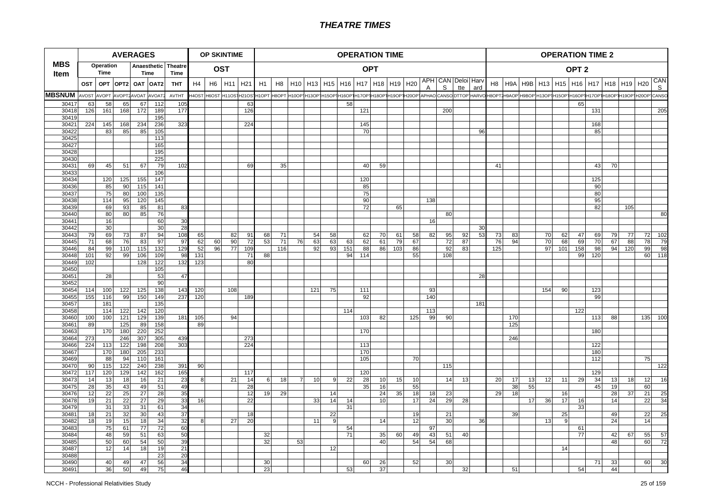| <b>MBS</b><br>Operation<br>Anaesthetic<br><b>Theatre</b><br><b>OST</b><br><b>OPT</b><br>OPT <sub>2</sub><br><b>Time</b><br><b>Time</b><br>Time<br>Item<br>APH   CAN   Deloi   Harv<br>CAN<br><sup> </sup> H10   H13   H15   H16   H17   H18   H19   H20<br>H8   H9A   H9B   H13   H15   H16   H17   H18   H19   H20<br>OPT OPT2 OAT OAT2<br>H <sub>4</sub><br>H6 H11<br>H <sub>21</sub><br>OST<br><b>THT</b><br>H1<br>H8<br>S.<br>S.<br>A<br>tte<br>ard<br><b>MBSNUM</b><br>140ST  H6OST  H11OSTH21OSTH1OPT  H8OPT  H10OPTH13OPTH15OPTH16OPTH17OPTH18OPTH19OPTH20OPTAPHAO CANSO DTTOPTHARVO<br>VOST AVOPT AVOPTZAVOAT AVOATZ<br>H8OPT/H9AOP H9BOP H13OP H15OP H16OP H17OP H18OP H19OP H20OP CANSO<br>AVTHT<br>58<br>58<br>30417<br>63<br>65<br>67<br>112<br>105<br>63<br>65<br>126<br>200<br>30418<br>161<br>168<br>172<br>189<br>177<br>126<br>121<br>205<br>131<br>30419<br>195<br>30421<br>224<br>168<br>234<br>236<br>323<br>145<br>224<br>145<br>168<br>30422<br>83<br>85<br>85<br>105<br>70<br>96<br>85<br>30425<br>113<br>165<br>30427<br>195<br>30428<br>225<br>30430<br>45<br>51<br>67<br>79<br>102<br>35<br>41<br>70<br>30431<br>69<br>69<br>40<br>59<br>43<br>30433<br>106<br>30434<br>120<br>125<br>155<br>147<br>120<br>125<br>30436<br>85<br>90<br>115<br>141<br>85<br>90<br>30437<br>75<br>80<br>100<br>135<br>75<br>80<br>95<br>30438<br>95<br>120<br>145<br>138<br>114<br>90<br>69<br>83<br>72<br>82<br>30439<br>93<br>85<br>81<br>65<br>105<br>30440<br>80<br>80<br>85<br>76<br>80<br>80<br>16<br>30441<br>16<br>60<br>30<br>30<br>30<br>28<br>30442<br>30<br>87<br>94<br>30443<br>79<br>69<br>73<br>108<br>82<br>71<br>54<br>58<br>62<br>70<br>61<br>82<br>95<br>92<br>53<br>73<br>83<br>70<br>62<br>47<br>69<br>79<br>77<br>72<br>102<br>65<br>91<br>68<br>58<br>$\overline{71}$<br>76<br>97<br>97<br>72<br>70<br>68<br>83<br>62<br>90<br>72<br>71<br>63<br>62<br>61<br>79<br>67<br>87<br>76<br>94<br>68<br>69<br>70<br>67<br>88<br>78<br>79<br>30445<br>60<br>53<br>76<br>63<br>63<br>129<br>132<br>52<br>77<br>93<br>103<br>86<br>92<br>83<br>125<br>97<br>98<br>94<br>99<br>98<br>30446<br>84<br>99<br>110<br>115<br>96<br>109<br>116<br>92<br>151<br>88<br>86<br>101<br>158<br>120<br>101<br>99<br>106<br>98<br>55<br>108<br>30448<br>92<br>109<br>131<br>71<br>88<br>94<br>114<br>99<br>120<br>60<br>118<br>102<br>122<br>132<br>123<br>80<br>30449<br>128<br>30450<br>105<br>30451<br>28<br>53<br>47<br>28<br>30452<br>90<br>30454<br>114<br>100<br>122<br>125<br>138<br>143<br>120<br>108<br>$121$<br>75<br>111<br>93<br>154<br>90<br>123<br>99<br>150<br>149<br>237<br>155<br>120<br>92<br>140<br>99<br>30455<br>116<br>189<br>181<br>135<br>30457<br>181<br>142<br>30458<br>114<br>122<br>120<br>114<br>113<br>122<br>90<br>100<br>100<br>121<br>129<br>181<br>105<br>94<br>103<br>82<br>125<br>99<br>170<br>113<br>88<br>135<br>30460<br>139<br>100<br>30461<br>89<br>125<br>89<br>158<br>89<br>125<br>170<br>180<br>220<br>252<br>170<br>180<br>30463<br>30464<br>273<br>246<br>307<br>305<br>439<br>246<br>273<br>122<br>30466<br>224<br>113<br>122<br>198<br>208<br>303<br>224<br>113<br>170<br>170<br>180<br>30467<br>180<br>205<br>233<br>88<br>110<br>161<br>75<br>30469<br>94<br>105<br>70<br>112<br>122<br>240<br>238<br>90<br>30470<br>90<br>115<br>391<br>115<br>122<br>30472<br>117<br>120<br>129<br>142<br>162<br>165<br>117<br>120<br>129<br>30473<br>14<br>16<br>21<br>23<br>21<br>$6 \mid$<br>18<br>$\overline{7}$<br>10 <sup>1</sup><br>9 <sub>l</sub><br>22<br>28<br>10<br>14<br>13<br>20<br>17<br>12<br>11<br>29<br>34<br>13<br>18<br>12<br>13<br>18<br>8<br>14<br>10 <sup>1</sup><br>15 <sup>1</sup><br>13<br>16<br>30475<br>28<br>35<br>43<br>49<br>51<br>49<br>28<br>35<br>16<br>55<br>38<br>55<br>45<br>19<br>60<br>35<br>25<br>28<br>22<br>27<br>29<br>23<br>28<br>37<br>25<br>30476<br>12<br>12<br>19<br>14<br>24<br>35<br>18<br>18<br>29<br>18<br>16<br>21<br>21<br>22<br>27<br>29<br>22<br>17<br>24<br>29<br>28<br>36<br>17<br>34<br>30478<br>19 <sup>1</sup><br>33<br>16<br>14<br>10<br>17<br>16<br>14<br>22<br>33 <sub>1</sub><br>14<br>34<br>31<br>33<br>61<br>31<br>33<br>30479<br>31<br>$\overline{37}$<br>21<br>32<br>43<br>22<br>21<br>39<br>25<br>22<br>25<br>30481<br>18<br>30 <sup>1</sup><br>19<br>49<br>18<br>12<br>30482<br>18<br>19<br>15<br>18<br>34<br>32<br>8 <sup>1</sup><br>27<br>20<br>11<br>9<br>30 <sup>1</sup><br>36<br>13<br>24<br>14<br>14<br>q<br>72<br>60<br>30483<br>75<br>61<br>77<br>54<br>97<br>61<br>30484<br>48<br>50<br>71<br>43<br>51<br>77<br>42<br>67<br>59<br>51<br>63<br>32<br>35<br>60<br>49<br>40<br>55<br>57<br>39<br>50<br>32<br>54<br>54<br>30485<br>50<br>60<br>54<br>53<br>40<br>68<br>48<br>60<br>72<br>21<br>19<br>30487<br>12<br>14<br>18 <sup>1</sup><br>12 <sup>1</sup><br>14<br>23<br>20<br>30488<br>56<br>34<br>30490<br>52<br>30<br>30<br>40<br>49<br>47<br>30<br>60<br>26<br>71<br>33<br>60<br>75<br>46<br>23<br>30491<br>36<br>50<br>49<br>53<br>37<br>32<br>51<br>54<br>44 |  |  | <b>AVERAGES</b> |  |  | <b>OP SKINTIME</b> |  |  |  | <b>OPERATION TIME</b> |  |  |  |  |  |  | <b>OPERATION TIME 2</b> |  |  |
|---------------------------------------------------------------------------------------------------------------------------------------------------------------------------------------------------------------------------------------------------------------------------------------------------------------------------------------------------------------------------------------------------------------------------------------------------------------------------------------------------------------------------------------------------------------------------------------------------------------------------------------------------------------------------------------------------------------------------------------------------------------------------------------------------------------------------------------------------------------------------------------------------------------------------------------------------------------------------------------------------------------------------------------------------------------------------------------------------------------------------------------------------------------------------------------------------------------------------------------------------------------------------------------------------------------------------------------------------------------------------------------------------------------------------------------------------------------------------------------------------------------------------------------------------------------------------------------------------------------------------------------------------------------------------------------------------------------------------------------------------------------------------------------------------------------------------------------------------------------------------------------------------------------------------------------------------------------------------------------------------------------------------------------------------------------------------------------------------------------------------------------------------------------------------------------------------------------------------------------------------------------------------------------------------------------------------------------------------------------------------------------------------------------------------------------------------------------------------------------------------------------------------------------------------------------------------------------------------------------------------------------------------------------------------------------------------------------------------------------------------------------------------------------------------------------------------------------------------------------------------------------------------------------------------------------------------------------------------------------------------------------------------------------------------------------------------------------------------------------------------------------------------------------------------------------------------------------------------------------------------------------------------------------------------------------------------------------------------------------------------------------------------------------------------------------------------------------------------------------------------------------------------------------------------------------------------------------------------------------------------------------------------------------------------------------------------------------------------------------------------------------------------------------------------------------------------------------------------------------------------------------------------------------------------------------------------------------------------------------------------------------------------------------------------------------------------------------------------------------------------------------------------------------------------------------------------------------------------------------------------------------------------------------------------------------------------------------------------------------------------------------------------------------------------------------------------------------------------------------------------------------------------------------------------------------------------------------------------------------------------------------------------------------------------------------------------------------------------------------------------------------------------------------------------------------------------------------------------------------------------------------------------------------------------------------------------------------------------------------------|--|--|-----------------|--|--|--------------------|--|--|--|-----------------------|--|--|--|--|--|--|-------------------------|--|--|
|                                                                                                                                                                                                                                                                                                                                                                                                                                                                                                                                                                                                                                                                                                                                                                                                                                                                                                                                                                                                                                                                                                                                                                                                                                                                                                                                                                                                                                                                                                                                                                                                                                                                                                                                                                                                                                                                                                                                                                                                                                                                                                                                                                                                                                                                                                                                                                                                                                                                                                                                                                                                                                                                                                                                                                                                                                                                                                                                                                                                                                                                                                                                                                                                                                                                                                                                                                                                                                                                                                                                                                                                                                                                                                                                                                                                                                                                                                                                                                                                                                                                                                                                                                                                                                                                                                                                                                                                                                                                                                                                                                                                                                                                                                                                                                                                                                                                                                                                                                                             |  |  |                 |  |  |                    |  |  |  |                       |  |  |  |  |  |  |                         |  |  |
|                                                                                                                                                                                                                                                                                                                                                                                                                                                                                                                                                                                                                                                                                                                                                                                                                                                                                                                                                                                                                                                                                                                                                                                                                                                                                                                                                                                                                                                                                                                                                                                                                                                                                                                                                                                                                                                                                                                                                                                                                                                                                                                                                                                                                                                                                                                                                                                                                                                                                                                                                                                                                                                                                                                                                                                                                                                                                                                                                                                                                                                                                                                                                                                                                                                                                                                                                                                                                                                                                                                                                                                                                                                                                                                                                                                                                                                                                                                                                                                                                                                                                                                                                                                                                                                                                                                                                                                                                                                                                                                                                                                                                                                                                                                                                                                                                                                                                                                                                                                             |  |  |                 |  |  |                    |  |  |  |                       |  |  |  |  |  |  |                         |  |  |
|                                                                                                                                                                                                                                                                                                                                                                                                                                                                                                                                                                                                                                                                                                                                                                                                                                                                                                                                                                                                                                                                                                                                                                                                                                                                                                                                                                                                                                                                                                                                                                                                                                                                                                                                                                                                                                                                                                                                                                                                                                                                                                                                                                                                                                                                                                                                                                                                                                                                                                                                                                                                                                                                                                                                                                                                                                                                                                                                                                                                                                                                                                                                                                                                                                                                                                                                                                                                                                                                                                                                                                                                                                                                                                                                                                                                                                                                                                                                                                                                                                                                                                                                                                                                                                                                                                                                                                                                                                                                                                                                                                                                                                                                                                                                                                                                                                                                                                                                                                                             |  |  |                 |  |  |                    |  |  |  |                       |  |  |  |  |  |  |                         |  |  |
|                                                                                                                                                                                                                                                                                                                                                                                                                                                                                                                                                                                                                                                                                                                                                                                                                                                                                                                                                                                                                                                                                                                                                                                                                                                                                                                                                                                                                                                                                                                                                                                                                                                                                                                                                                                                                                                                                                                                                                                                                                                                                                                                                                                                                                                                                                                                                                                                                                                                                                                                                                                                                                                                                                                                                                                                                                                                                                                                                                                                                                                                                                                                                                                                                                                                                                                                                                                                                                                                                                                                                                                                                                                                                                                                                                                                                                                                                                                                                                                                                                                                                                                                                                                                                                                                                                                                                                                                                                                                                                                                                                                                                                                                                                                                                                                                                                                                                                                                                                                             |  |  |                 |  |  |                    |  |  |  |                       |  |  |  |  |  |  |                         |  |  |
|                                                                                                                                                                                                                                                                                                                                                                                                                                                                                                                                                                                                                                                                                                                                                                                                                                                                                                                                                                                                                                                                                                                                                                                                                                                                                                                                                                                                                                                                                                                                                                                                                                                                                                                                                                                                                                                                                                                                                                                                                                                                                                                                                                                                                                                                                                                                                                                                                                                                                                                                                                                                                                                                                                                                                                                                                                                                                                                                                                                                                                                                                                                                                                                                                                                                                                                                                                                                                                                                                                                                                                                                                                                                                                                                                                                                                                                                                                                                                                                                                                                                                                                                                                                                                                                                                                                                                                                                                                                                                                                                                                                                                                                                                                                                                                                                                                                                                                                                                                                             |  |  |                 |  |  |                    |  |  |  |                       |  |  |  |  |  |  |                         |  |  |
|                                                                                                                                                                                                                                                                                                                                                                                                                                                                                                                                                                                                                                                                                                                                                                                                                                                                                                                                                                                                                                                                                                                                                                                                                                                                                                                                                                                                                                                                                                                                                                                                                                                                                                                                                                                                                                                                                                                                                                                                                                                                                                                                                                                                                                                                                                                                                                                                                                                                                                                                                                                                                                                                                                                                                                                                                                                                                                                                                                                                                                                                                                                                                                                                                                                                                                                                                                                                                                                                                                                                                                                                                                                                                                                                                                                                                                                                                                                                                                                                                                                                                                                                                                                                                                                                                                                                                                                                                                                                                                                                                                                                                                                                                                                                                                                                                                                                                                                                                                                             |  |  |                 |  |  |                    |  |  |  |                       |  |  |  |  |  |  |                         |  |  |
|                                                                                                                                                                                                                                                                                                                                                                                                                                                                                                                                                                                                                                                                                                                                                                                                                                                                                                                                                                                                                                                                                                                                                                                                                                                                                                                                                                                                                                                                                                                                                                                                                                                                                                                                                                                                                                                                                                                                                                                                                                                                                                                                                                                                                                                                                                                                                                                                                                                                                                                                                                                                                                                                                                                                                                                                                                                                                                                                                                                                                                                                                                                                                                                                                                                                                                                                                                                                                                                                                                                                                                                                                                                                                                                                                                                                                                                                                                                                                                                                                                                                                                                                                                                                                                                                                                                                                                                                                                                                                                                                                                                                                                                                                                                                                                                                                                                                                                                                                                                             |  |  |                 |  |  |                    |  |  |  |                       |  |  |  |  |  |  |                         |  |  |
|                                                                                                                                                                                                                                                                                                                                                                                                                                                                                                                                                                                                                                                                                                                                                                                                                                                                                                                                                                                                                                                                                                                                                                                                                                                                                                                                                                                                                                                                                                                                                                                                                                                                                                                                                                                                                                                                                                                                                                                                                                                                                                                                                                                                                                                                                                                                                                                                                                                                                                                                                                                                                                                                                                                                                                                                                                                                                                                                                                                                                                                                                                                                                                                                                                                                                                                                                                                                                                                                                                                                                                                                                                                                                                                                                                                                                                                                                                                                                                                                                                                                                                                                                                                                                                                                                                                                                                                                                                                                                                                                                                                                                                                                                                                                                                                                                                                                                                                                                                                             |  |  |                 |  |  |                    |  |  |  |                       |  |  |  |  |  |  |                         |  |  |
|                                                                                                                                                                                                                                                                                                                                                                                                                                                                                                                                                                                                                                                                                                                                                                                                                                                                                                                                                                                                                                                                                                                                                                                                                                                                                                                                                                                                                                                                                                                                                                                                                                                                                                                                                                                                                                                                                                                                                                                                                                                                                                                                                                                                                                                                                                                                                                                                                                                                                                                                                                                                                                                                                                                                                                                                                                                                                                                                                                                                                                                                                                                                                                                                                                                                                                                                                                                                                                                                                                                                                                                                                                                                                                                                                                                                                                                                                                                                                                                                                                                                                                                                                                                                                                                                                                                                                                                                                                                                                                                                                                                                                                                                                                                                                                                                                                                                                                                                                                                             |  |  |                 |  |  |                    |  |  |  |                       |  |  |  |  |  |  |                         |  |  |
|                                                                                                                                                                                                                                                                                                                                                                                                                                                                                                                                                                                                                                                                                                                                                                                                                                                                                                                                                                                                                                                                                                                                                                                                                                                                                                                                                                                                                                                                                                                                                                                                                                                                                                                                                                                                                                                                                                                                                                                                                                                                                                                                                                                                                                                                                                                                                                                                                                                                                                                                                                                                                                                                                                                                                                                                                                                                                                                                                                                                                                                                                                                                                                                                                                                                                                                                                                                                                                                                                                                                                                                                                                                                                                                                                                                                                                                                                                                                                                                                                                                                                                                                                                                                                                                                                                                                                                                                                                                                                                                                                                                                                                                                                                                                                                                                                                                                                                                                                                                             |  |  |                 |  |  |                    |  |  |  |                       |  |  |  |  |  |  |                         |  |  |
|                                                                                                                                                                                                                                                                                                                                                                                                                                                                                                                                                                                                                                                                                                                                                                                                                                                                                                                                                                                                                                                                                                                                                                                                                                                                                                                                                                                                                                                                                                                                                                                                                                                                                                                                                                                                                                                                                                                                                                                                                                                                                                                                                                                                                                                                                                                                                                                                                                                                                                                                                                                                                                                                                                                                                                                                                                                                                                                                                                                                                                                                                                                                                                                                                                                                                                                                                                                                                                                                                                                                                                                                                                                                                                                                                                                                                                                                                                                                                                                                                                                                                                                                                                                                                                                                                                                                                                                                                                                                                                                                                                                                                                                                                                                                                                                                                                                                                                                                                                                             |  |  |                 |  |  |                    |  |  |  |                       |  |  |  |  |  |  |                         |  |  |
|                                                                                                                                                                                                                                                                                                                                                                                                                                                                                                                                                                                                                                                                                                                                                                                                                                                                                                                                                                                                                                                                                                                                                                                                                                                                                                                                                                                                                                                                                                                                                                                                                                                                                                                                                                                                                                                                                                                                                                                                                                                                                                                                                                                                                                                                                                                                                                                                                                                                                                                                                                                                                                                                                                                                                                                                                                                                                                                                                                                                                                                                                                                                                                                                                                                                                                                                                                                                                                                                                                                                                                                                                                                                                                                                                                                                                                                                                                                                                                                                                                                                                                                                                                                                                                                                                                                                                                                                                                                                                                                                                                                                                                                                                                                                                                                                                                                                                                                                                                                             |  |  |                 |  |  |                    |  |  |  |                       |  |  |  |  |  |  |                         |  |  |
|                                                                                                                                                                                                                                                                                                                                                                                                                                                                                                                                                                                                                                                                                                                                                                                                                                                                                                                                                                                                                                                                                                                                                                                                                                                                                                                                                                                                                                                                                                                                                                                                                                                                                                                                                                                                                                                                                                                                                                                                                                                                                                                                                                                                                                                                                                                                                                                                                                                                                                                                                                                                                                                                                                                                                                                                                                                                                                                                                                                                                                                                                                                                                                                                                                                                                                                                                                                                                                                                                                                                                                                                                                                                                                                                                                                                                                                                                                                                                                                                                                                                                                                                                                                                                                                                                                                                                                                                                                                                                                                                                                                                                                                                                                                                                                                                                                                                                                                                                                                             |  |  |                 |  |  |                    |  |  |  |                       |  |  |  |  |  |  |                         |  |  |
|                                                                                                                                                                                                                                                                                                                                                                                                                                                                                                                                                                                                                                                                                                                                                                                                                                                                                                                                                                                                                                                                                                                                                                                                                                                                                                                                                                                                                                                                                                                                                                                                                                                                                                                                                                                                                                                                                                                                                                                                                                                                                                                                                                                                                                                                                                                                                                                                                                                                                                                                                                                                                                                                                                                                                                                                                                                                                                                                                                                                                                                                                                                                                                                                                                                                                                                                                                                                                                                                                                                                                                                                                                                                                                                                                                                                                                                                                                                                                                                                                                                                                                                                                                                                                                                                                                                                                                                                                                                                                                                                                                                                                                                                                                                                                                                                                                                                                                                                                                                             |  |  |                 |  |  |                    |  |  |  |                       |  |  |  |  |  |  |                         |  |  |
|                                                                                                                                                                                                                                                                                                                                                                                                                                                                                                                                                                                                                                                                                                                                                                                                                                                                                                                                                                                                                                                                                                                                                                                                                                                                                                                                                                                                                                                                                                                                                                                                                                                                                                                                                                                                                                                                                                                                                                                                                                                                                                                                                                                                                                                                                                                                                                                                                                                                                                                                                                                                                                                                                                                                                                                                                                                                                                                                                                                                                                                                                                                                                                                                                                                                                                                                                                                                                                                                                                                                                                                                                                                                                                                                                                                                                                                                                                                                                                                                                                                                                                                                                                                                                                                                                                                                                                                                                                                                                                                                                                                                                                                                                                                                                                                                                                                                                                                                                                                             |  |  |                 |  |  |                    |  |  |  |                       |  |  |  |  |  |  |                         |  |  |
|                                                                                                                                                                                                                                                                                                                                                                                                                                                                                                                                                                                                                                                                                                                                                                                                                                                                                                                                                                                                                                                                                                                                                                                                                                                                                                                                                                                                                                                                                                                                                                                                                                                                                                                                                                                                                                                                                                                                                                                                                                                                                                                                                                                                                                                                                                                                                                                                                                                                                                                                                                                                                                                                                                                                                                                                                                                                                                                                                                                                                                                                                                                                                                                                                                                                                                                                                                                                                                                                                                                                                                                                                                                                                                                                                                                                                                                                                                                                                                                                                                                                                                                                                                                                                                                                                                                                                                                                                                                                                                                                                                                                                                                                                                                                                                                                                                                                                                                                                                                             |  |  |                 |  |  |                    |  |  |  |                       |  |  |  |  |  |  |                         |  |  |
|                                                                                                                                                                                                                                                                                                                                                                                                                                                                                                                                                                                                                                                                                                                                                                                                                                                                                                                                                                                                                                                                                                                                                                                                                                                                                                                                                                                                                                                                                                                                                                                                                                                                                                                                                                                                                                                                                                                                                                                                                                                                                                                                                                                                                                                                                                                                                                                                                                                                                                                                                                                                                                                                                                                                                                                                                                                                                                                                                                                                                                                                                                                                                                                                                                                                                                                                                                                                                                                                                                                                                                                                                                                                                                                                                                                                                                                                                                                                                                                                                                                                                                                                                                                                                                                                                                                                                                                                                                                                                                                                                                                                                                                                                                                                                                                                                                                                                                                                                                                             |  |  |                 |  |  |                    |  |  |  |                       |  |  |  |  |  |  |                         |  |  |
|                                                                                                                                                                                                                                                                                                                                                                                                                                                                                                                                                                                                                                                                                                                                                                                                                                                                                                                                                                                                                                                                                                                                                                                                                                                                                                                                                                                                                                                                                                                                                                                                                                                                                                                                                                                                                                                                                                                                                                                                                                                                                                                                                                                                                                                                                                                                                                                                                                                                                                                                                                                                                                                                                                                                                                                                                                                                                                                                                                                                                                                                                                                                                                                                                                                                                                                                                                                                                                                                                                                                                                                                                                                                                                                                                                                                                                                                                                                                                                                                                                                                                                                                                                                                                                                                                                                                                                                                                                                                                                                                                                                                                                                                                                                                                                                                                                                                                                                                                                                             |  |  |                 |  |  |                    |  |  |  |                       |  |  |  |  |  |  |                         |  |  |
|                                                                                                                                                                                                                                                                                                                                                                                                                                                                                                                                                                                                                                                                                                                                                                                                                                                                                                                                                                                                                                                                                                                                                                                                                                                                                                                                                                                                                                                                                                                                                                                                                                                                                                                                                                                                                                                                                                                                                                                                                                                                                                                                                                                                                                                                                                                                                                                                                                                                                                                                                                                                                                                                                                                                                                                                                                                                                                                                                                                                                                                                                                                                                                                                                                                                                                                                                                                                                                                                                                                                                                                                                                                                                                                                                                                                                                                                                                                                                                                                                                                                                                                                                                                                                                                                                                                                                                                                                                                                                                                                                                                                                                                                                                                                                                                                                                                                                                                                                                                             |  |  |                 |  |  |                    |  |  |  |                       |  |  |  |  |  |  |                         |  |  |
|                                                                                                                                                                                                                                                                                                                                                                                                                                                                                                                                                                                                                                                                                                                                                                                                                                                                                                                                                                                                                                                                                                                                                                                                                                                                                                                                                                                                                                                                                                                                                                                                                                                                                                                                                                                                                                                                                                                                                                                                                                                                                                                                                                                                                                                                                                                                                                                                                                                                                                                                                                                                                                                                                                                                                                                                                                                                                                                                                                                                                                                                                                                                                                                                                                                                                                                                                                                                                                                                                                                                                                                                                                                                                                                                                                                                                                                                                                                                                                                                                                                                                                                                                                                                                                                                                                                                                                                                                                                                                                                                                                                                                                                                                                                                                                                                                                                                                                                                                                                             |  |  |                 |  |  |                    |  |  |  |                       |  |  |  |  |  |  |                         |  |  |
|                                                                                                                                                                                                                                                                                                                                                                                                                                                                                                                                                                                                                                                                                                                                                                                                                                                                                                                                                                                                                                                                                                                                                                                                                                                                                                                                                                                                                                                                                                                                                                                                                                                                                                                                                                                                                                                                                                                                                                                                                                                                                                                                                                                                                                                                                                                                                                                                                                                                                                                                                                                                                                                                                                                                                                                                                                                                                                                                                                                                                                                                                                                                                                                                                                                                                                                                                                                                                                                                                                                                                                                                                                                                                                                                                                                                                                                                                                                                                                                                                                                                                                                                                                                                                                                                                                                                                                                                                                                                                                                                                                                                                                                                                                                                                                                                                                                                                                                                                                                             |  |  |                 |  |  |                    |  |  |  |                       |  |  |  |  |  |  |                         |  |  |
|                                                                                                                                                                                                                                                                                                                                                                                                                                                                                                                                                                                                                                                                                                                                                                                                                                                                                                                                                                                                                                                                                                                                                                                                                                                                                                                                                                                                                                                                                                                                                                                                                                                                                                                                                                                                                                                                                                                                                                                                                                                                                                                                                                                                                                                                                                                                                                                                                                                                                                                                                                                                                                                                                                                                                                                                                                                                                                                                                                                                                                                                                                                                                                                                                                                                                                                                                                                                                                                                                                                                                                                                                                                                                                                                                                                                                                                                                                                                                                                                                                                                                                                                                                                                                                                                                                                                                                                                                                                                                                                                                                                                                                                                                                                                                                                                                                                                                                                                                                                             |  |  |                 |  |  |                    |  |  |  |                       |  |  |  |  |  |  |                         |  |  |
|                                                                                                                                                                                                                                                                                                                                                                                                                                                                                                                                                                                                                                                                                                                                                                                                                                                                                                                                                                                                                                                                                                                                                                                                                                                                                                                                                                                                                                                                                                                                                                                                                                                                                                                                                                                                                                                                                                                                                                                                                                                                                                                                                                                                                                                                                                                                                                                                                                                                                                                                                                                                                                                                                                                                                                                                                                                                                                                                                                                                                                                                                                                                                                                                                                                                                                                                                                                                                                                                                                                                                                                                                                                                                                                                                                                                                                                                                                                                                                                                                                                                                                                                                                                                                                                                                                                                                                                                                                                                                                                                                                                                                                                                                                                                                                                                                                                                                                                                                                                             |  |  |                 |  |  |                    |  |  |  |                       |  |  |  |  |  |  |                         |  |  |
|                                                                                                                                                                                                                                                                                                                                                                                                                                                                                                                                                                                                                                                                                                                                                                                                                                                                                                                                                                                                                                                                                                                                                                                                                                                                                                                                                                                                                                                                                                                                                                                                                                                                                                                                                                                                                                                                                                                                                                                                                                                                                                                                                                                                                                                                                                                                                                                                                                                                                                                                                                                                                                                                                                                                                                                                                                                                                                                                                                                                                                                                                                                                                                                                                                                                                                                                                                                                                                                                                                                                                                                                                                                                                                                                                                                                                                                                                                                                                                                                                                                                                                                                                                                                                                                                                                                                                                                                                                                                                                                                                                                                                                                                                                                                                                                                                                                                                                                                                                                             |  |  |                 |  |  |                    |  |  |  |                       |  |  |  |  |  |  |                         |  |  |
|                                                                                                                                                                                                                                                                                                                                                                                                                                                                                                                                                                                                                                                                                                                                                                                                                                                                                                                                                                                                                                                                                                                                                                                                                                                                                                                                                                                                                                                                                                                                                                                                                                                                                                                                                                                                                                                                                                                                                                                                                                                                                                                                                                                                                                                                                                                                                                                                                                                                                                                                                                                                                                                                                                                                                                                                                                                                                                                                                                                                                                                                                                                                                                                                                                                                                                                                                                                                                                                                                                                                                                                                                                                                                                                                                                                                                                                                                                                                                                                                                                                                                                                                                                                                                                                                                                                                                                                                                                                                                                                                                                                                                                                                                                                                                                                                                                                                                                                                                                                             |  |  |                 |  |  |                    |  |  |  |                       |  |  |  |  |  |  |                         |  |  |
|                                                                                                                                                                                                                                                                                                                                                                                                                                                                                                                                                                                                                                                                                                                                                                                                                                                                                                                                                                                                                                                                                                                                                                                                                                                                                                                                                                                                                                                                                                                                                                                                                                                                                                                                                                                                                                                                                                                                                                                                                                                                                                                                                                                                                                                                                                                                                                                                                                                                                                                                                                                                                                                                                                                                                                                                                                                                                                                                                                                                                                                                                                                                                                                                                                                                                                                                                                                                                                                                                                                                                                                                                                                                                                                                                                                                                                                                                                                                                                                                                                                                                                                                                                                                                                                                                                                                                                                                                                                                                                                                                                                                                                                                                                                                                                                                                                                                                                                                                                                             |  |  |                 |  |  |                    |  |  |  |                       |  |  |  |  |  |  |                         |  |  |
|                                                                                                                                                                                                                                                                                                                                                                                                                                                                                                                                                                                                                                                                                                                                                                                                                                                                                                                                                                                                                                                                                                                                                                                                                                                                                                                                                                                                                                                                                                                                                                                                                                                                                                                                                                                                                                                                                                                                                                                                                                                                                                                                                                                                                                                                                                                                                                                                                                                                                                                                                                                                                                                                                                                                                                                                                                                                                                                                                                                                                                                                                                                                                                                                                                                                                                                                                                                                                                                                                                                                                                                                                                                                                                                                                                                                                                                                                                                                                                                                                                                                                                                                                                                                                                                                                                                                                                                                                                                                                                                                                                                                                                                                                                                                                                                                                                                                                                                                                                                             |  |  |                 |  |  |                    |  |  |  |                       |  |  |  |  |  |  |                         |  |  |
|                                                                                                                                                                                                                                                                                                                                                                                                                                                                                                                                                                                                                                                                                                                                                                                                                                                                                                                                                                                                                                                                                                                                                                                                                                                                                                                                                                                                                                                                                                                                                                                                                                                                                                                                                                                                                                                                                                                                                                                                                                                                                                                                                                                                                                                                                                                                                                                                                                                                                                                                                                                                                                                                                                                                                                                                                                                                                                                                                                                                                                                                                                                                                                                                                                                                                                                                                                                                                                                                                                                                                                                                                                                                                                                                                                                                                                                                                                                                                                                                                                                                                                                                                                                                                                                                                                                                                                                                                                                                                                                                                                                                                                                                                                                                                                                                                                                                                                                                                                                             |  |  |                 |  |  |                    |  |  |  |                       |  |  |  |  |  |  |                         |  |  |
|                                                                                                                                                                                                                                                                                                                                                                                                                                                                                                                                                                                                                                                                                                                                                                                                                                                                                                                                                                                                                                                                                                                                                                                                                                                                                                                                                                                                                                                                                                                                                                                                                                                                                                                                                                                                                                                                                                                                                                                                                                                                                                                                                                                                                                                                                                                                                                                                                                                                                                                                                                                                                                                                                                                                                                                                                                                                                                                                                                                                                                                                                                                                                                                                                                                                                                                                                                                                                                                                                                                                                                                                                                                                                                                                                                                                                                                                                                                                                                                                                                                                                                                                                                                                                                                                                                                                                                                                                                                                                                                                                                                                                                                                                                                                                                                                                                                                                                                                                                                             |  |  |                 |  |  |                    |  |  |  |                       |  |  |  |  |  |  |                         |  |  |
|                                                                                                                                                                                                                                                                                                                                                                                                                                                                                                                                                                                                                                                                                                                                                                                                                                                                                                                                                                                                                                                                                                                                                                                                                                                                                                                                                                                                                                                                                                                                                                                                                                                                                                                                                                                                                                                                                                                                                                                                                                                                                                                                                                                                                                                                                                                                                                                                                                                                                                                                                                                                                                                                                                                                                                                                                                                                                                                                                                                                                                                                                                                                                                                                                                                                                                                                                                                                                                                                                                                                                                                                                                                                                                                                                                                                                                                                                                                                                                                                                                                                                                                                                                                                                                                                                                                                                                                                                                                                                                                                                                                                                                                                                                                                                                                                                                                                                                                                                                                             |  |  |                 |  |  |                    |  |  |  |                       |  |  |  |  |  |  |                         |  |  |
|                                                                                                                                                                                                                                                                                                                                                                                                                                                                                                                                                                                                                                                                                                                                                                                                                                                                                                                                                                                                                                                                                                                                                                                                                                                                                                                                                                                                                                                                                                                                                                                                                                                                                                                                                                                                                                                                                                                                                                                                                                                                                                                                                                                                                                                                                                                                                                                                                                                                                                                                                                                                                                                                                                                                                                                                                                                                                                                                                                                                                                                                                                                                                                                                                                                                                                                                                                                                                                                                                                                                                                                                                                                                                                                                                                                                                                                                                                                                                                                                                                                                                                                                                                                                                                                                                                                                                                                                                                                                                                                                                                                                                                                                                                                                                                                                                                                                                                                                                                                             |  |  |                 |  |  |                    |  |  |  |                       |  |  |  |  |  |  |                         |  |  |
|                                                                                                                                                                                                                                                                                                                                                                                                                                                                                                                                                                                                                                                                                                                                                                                                                                                                                                                                                                                                                                                                                                                                                                                                                                                                                                                                                                                                                                                                                                                                                                                                                                                                                                                                                                                                                                                                                                                                                                                                                                                                                                                                                                                                                                                                                                                                                                                                                                                                                                                                                                                                                                                                                                                                                                                                                                                                                                                                                                                                                                                                                                                                                                                                                                                                                                                                                                                                                                                                                                                                                                                                                                                                                                                                                                                                                                                                                                                                                                                                                                                                                                                                                                                                                                                                                                                                                                                                                                                                                                                                                                                                                                                                                                                                                                                                                                                                                                                                                                                             |  |  |                 |  |  |                    |  |  |  |                       |  |  |  |  |  |  |                         |  |  |
|                                                                                                                                                                                                                                                                                                                                                                                                                                                                                                                                                                                                                                                                                                                                                                                                                                                                                                                                                                                                                                                                                                                                                                                                                                                                                                                                                                                                                                                                                                                                                                                                                                                                                                                                                                                                                                                                                                                                                                                                                                                                                                                                                                                                                                                                                                                                                                                                                                                                                                                                                                                                                                                                                                                                                                                                                                                                                                                                                                                                                                                                                                                                                                                                                                                                                                                                                                                                                                                                                                                                                                                                                                                                                                                                                                                                                                                                                                                                                                                                                                                                                                                                                                                                                                                                                                                                                                                                                                                                                                                                                                                                                                                                                                                                                                                                                                                                                                                                                                                             |  |  |                 |  |  |                    |  |  |  |                       |  |  |  |  |  |  |                         |  |  |
|                                                                                                                                                                                                                                                                                                                                                                                                                                                                                                                                                                                                                                                                                                                                                                                                                                                                                                                                                                                                                                                                                                                                                                                                                                                                                                                                                                                                                                                                                                                                                                                                                                                                                                                                                                                                                                                                                                                                                                                                                                                                                                                                                                                                                                                                                                                                                                                                                                                                                                                                                                                                                                                                                                                                                                                                                                                                                                                                                                                                                                                                                                                                                                                                                                                                                                                                                                                                                                                                                                                                                                                                                                                                                                                                                                                                                                                                                                                                                                                                                                                                                                                                                                                                                                                                                                                                                                                                                                                                                                                                                                                                                                                                                                                                                                                                                                                                                                                                                                                             |  |  |                 |  |  |                    |  |  |  |                       |  |  |  |  |  |  |                         |  |  |
|                                                                                                                                                                                                                                                                                                                                                                                                                                                                                                                                                                                                                                                                                                                                                                                                                                                                                                                                                                                                                                                                                                                                                                                                                                                                                                                                                                                                                                                                                                                                                                                                                                                                                                                                                                                                                                                                                                                                                                                                                                                                                                                                                                                                                                                                                                                                                                                                                                                                                                                                                                                                                                                                                                                                                                                                                                                                                                                                                                                                                                                                                                                                                                                                                                                                                                                                                                                                                                                                                                                                                                                                                                                                                                                                                                                                                                                                                                                                                                                                                                                                                                                                                                                                                                                                                                                                                                                                                                                                                                                                                                                                                                                                                                                                                                                                                                                                                                                                                                                             |  |  |                 |  |  |                    |  |  |  |                       |  |  |  |  |  |  |                         |  |  |
|                                                                                                                                                                                                                                                                                                                                                                                                                                                                                                                                                                                                                                                                                                                                                                                                                                                                                                                                                                                                                                                                                                                                                                                                                                                                                                                                                                                                                                                                                                                                                                                                                                                                                                                                                                                                                                                                                                                                                                                                                                                                                                                                                                                                                                                                                                                                                                                                                                                                                                                                                                                                                                                                                                                                                                                                                                                                                                                                                                                                                                                                                                                                                                                                                                                                                                                                                                                                                                                                                                                                                                                                                                                                                                                                                                                                                                                                                                                                                                                                                                                                                                                                                                                                                                                                                                                                                                                                                                                                                                                                                                                                                                                                                                                                                                                                                                                                                                                                                                                             |  |  |                 |  |  |                    |  |  |  |                       |  |  |  |  |  |  |                         |  |  |
|                                                                                                                                                                                                                                                                                                                                                                                                                                                                                                                                                                                                                                                                                                                                                                                                                                                                                                                                                                                                                                                                                                                                                                                                                                                                                                                                                                                                                                                                                                                                                                                                                                                                                                                                                                                                                                                                                                                                                                                                                                                                                                                                                                                                                                                                                                                                                                                                                                                                                                                                                                                                                                                                                                                                                                                                                                                                                                                                                                                                                                                                                                                                                                                                                                                                                                                                                                                                                                                                                                                                                                                                                                                                                                                                                                                                                                                                                                                                                                                                                                                                                                                                                                                                                                                                                                                                                                                                                                                                                                                                                                                                                                                                                                                                                                                                                                                                                                                                                                                             |  |  |                 |  |  |                    |  |  |  |                       |  |  |  |  |  |  |                         |  |  |
|                                                                                                                                                                                                                                                                                                                                                                                                                                                                                                                                                                                                                                                                                                                                                                                                                                                                                                                                                                                                                                                                                                                                                                                                                                                                                                                                                                                                                                                                                                                                                                                                                                                                                                                                                                                                                                                                                                                                                                                                                                                                                                                                                                                                                                                                                                                                                                                                                                                                                                                                                                                                                                                                                                                                                                                                                                                                                                                                                                                                                                                                                                                                                                                                                                                                                                                                                                                                                                                                                                                                                                                                                                                                                                                                                                                                                                                                                                                                                                                                                                                                                                                                                                                                                                                                                                                                                                                                                                                                                                                                                                                                                                                                                                                                                                                                                                                                                                                                                                                             |  |  |                 |  |  |                    |  |  |  |                       |  |  |  |  |  |  |                         |  |  |
|                                                                                                                                                                                                                                                                                                                                                                                                                                                                                                                                                                                                                                                                                                                                                                                                                                                                                                                                                                                                                                                                                                                                                                                                                                                                                                                                                                                                                                                                                                                                                                                                                                                                                                                                                                                                                                                                                                                                                                                                                                                                                                                                                                                                                                                                                                                                                                                                                                                                                                                                                                                                                                                                                                                                                                                                                                                                                                                                                                                                                                                                                                                                                                                                                                                                                                                                                                                                                                                                                                                                                                                                                                                                                                                                                                                                                                                                                                                                                                                                                                                                                                                                                                                                                                                                                                                                                                                                                                                                                                                                                                                                                                                                                                                                                                                                                                                                                                                                                                                             |  |  |                 |  |  |                    |  |  |  |                       |  |  |  |  |  |  |                         |  |  |
|                                                                                                                                                                                                                                                                                                                                                                                                                                                                                                                                                                                                                                                                                                                                                                                                                                                                                                                                                                                                                                                                                                                                                                                                                                                                                                                                                                                                                                                                                                                                                                                                                                                                                                                                                                                                                                                                                                                                                                                                                                                                                                                                                                                                                                                                                                                                                                                                                                                                                                                                                                                                                                                                                                                                                                                                                                                                                                                                                                                                                                                                                                                                                                                                                                                                                                                                                                                                                                                                                                                                                                                                                                                                                                                                                                                                                                                                                                                                                                                                                                                                                                                                                                                                                                                                                                                                                                                                                                                                                                                                                                                                                                                                                                                                                                                                                                                                                                                                                                                             |  |  |                 |  |  |                    |  |  |  |                       |  |  |  |  |  |  |                         |  |  |
|                                                                                                                                                                                                                                                                                                                                                                                                                                                                                                                                                                                                                                                                                                                                                                                                                                                                                                                                                                                                                                                                                                                                                                                                                                                                                                                                                                                                                                                                                                                                                                                                                                                                                                                                                                                                                                                                                                                                                                                                                                                                                                                                                                                                                                                                                                                                                                                                                                                                                                                                                                                                                                                                                                                                                                                                                                                                                                                                                                                                                                                                                                                                                                                                                                                                                                                                                                                                                                                                                                                                                                                                                                                                                                                                                                                                                                                                                                                                                                                                                                                                                                                                                                                                                                                                                                                                                                                                                                                                                                                                                                                                                                                                                                                                                                                                                                                                                                                                                                                             |  |  |                 |  |  |                    |  |  |  |                       |  |  |  |  |  |  |                         |  |  |
|                                                                                                                                                                                                                                                                                                                                                                                                                                                                                                                                                                                                                                                                                                                                                                                                                                                                                                                                                                                                                                                                                                                                                                                                                                                                                                                                                                                                                                                                                                                                                                                                                                                                                                                                                                                                                                                                                                                                                                                                                                                                                                                                                                                                                                                                                                                                                                                                                                                                                                                                                                                                                                                                                                                                                                                                                                                                                                                                                                                                                                                                                                                                                                                                                                                                                                                                                                                                                                                                                                                                                                                                                                                                                                                                                                                                                                                                                                                                                                                                                                                                                                                                                                                                                                                                                                                                                                                                                                                                                                                                                                                                                                                                                                                                                                                                                                                                                                                                                                                             |  |  |                 |  |  |                    |  |  |  |                       |  |  |  |  |  |  |                         |  |  |
|                                                                                                                                                                                                                                                                                                                                                                                                                                                                                                                                                                                                                                                                                                                                                                                                                                                                                                                                                                                                                                                                                                                                                                                                                                                                                                                                                                                                                                                                                                                                                                                                                                                                                                                                                                                                                                                                                                                                                                                                                                                                                                                                                                                                                                                                                                                                                                                                                                                                                                                                                                                                                                                                                                                                                                                                                                                                                                                                                                                                                                                                                                                                                                                                                                                                                                                                                                                                                                                                                                                                                                                                                                                                                                                                                                                                                                                                                                                                                                                                                                                                                                                                                                                                                                                                                                                                                                                                                                                                                                                                                                                                                                                                                                                                                                                                                                                                                                                                                                                             |  |  |                 |  |  |                    |  |  |  |                       |  |  |  |  |  |  |                         |  |  |
|                                                                                                                                                                                                                                                                                                                                                                                                                                                                                                                                                                                                                                                                                                                                                                                                                                                                                                                                                                                                                                                                                                                                                                                                                                                                                                                                                                                                                                                                                                                                                                                                                                                                                                                                                                                                                                                                                                                                                                                                                                                                                                                                                                                                                                                                                                                                                                                                                                                                                                                                                                                                                                                                                                                                                                                                                                                                                                                                                                                                                                                                                                                                                                                                                                                                                                                                                                                                                                                                                                                                                                                                                                                                                                                                                                                                                                                                                                                                                                                                                                                                                                                                                                                                                                                                                                                                                                                                                                                                                                                                                                                                                                                                                                                                                                                                                                                                                                                                                                                             |  |  |                 |  |  |                    |  |  |  |                       |  |  |  |  |  |  |                         |  |  |
|                                                                                                                                                                                                                                                                                                                                                                                                                                                                                                                                                                                                                                                                                                                                                                                                                                                                                                                                                                                                                                                                                                                                                                                                                                                                                                                                                                                                                                                                                                                                                                                                                                                                                                                                                                                                                                                                                                                                                                                                                                                                                                                                                                                                                                                                                                                                                                                                                                                                                                                                                                                                                                                                                                                                                                                                                                                                                                                                                                                                                                                                                                                                                                                                                                                                                                                                                                                                                                                                                                                                                                                                                                                                                                                                                                                                                                                                                                                                                                                                                                                                                                                                                                                                                                                                                                                                                                                                                                                                                                                                                                                                                                                                                                                                                                                                                                                                                                                                                                                             |  |  |                 |  |  |                    |  |  |  |                       |  |  |  |  |  |  |                         |  |  |
|                                                                                                                                                                                                                                                                                                                                                                                                                                                                                                                                                                                                                                                                                                                                                                                                                                                                                                                                                                                                                                                                                                                                                                                                                                                                                                                                                                                                                                                                                                                                                                                                                                                                                                                                                                                                                                                                                                                                                                                                                                                                                                                                                                                                                                                                                                                                                                                                                                                                                                                                                                                                                                                                                                                                                                                                                                                                                                                                                                                                                                                                                                                                                                                                                                                                                                                                                                                                                                                                                                                                                                                                                                                                                                                                                                                                                                                                                                                                                                                                                                                                                                                                                                                                                                                                                                                                                                                                                                                                                                                                                                                                                                                                                                                                                                                                                                                                                                                                                                                             |  |  |                 |  |  |                    |  |  |  |                       |  |  |  |  |  |  |                         |  |  |
|                                                                                                                                                                                                                                                                                                                                                                                                                                                                                                                                                                                                                                                                                                                                                                                                                                                                                                                                                                                                                                                                                                                                                                                                                                                                                                                                                                                                                                                                                                                                                                                                                                                                                                                                                                                                                                                                                                                                                                                                                                                                                                                                                                                                                                                                                                                                                                                                                                                                                                                                                                                                                                                                                                                                                                                                                                                                                                                                                                                                                                                                                                                                                                                                                                                                                                                                                                                                                                                                                                                                                                                                                                                                                                                                                                                                                                                                                                                                                                                                                                                                                                                                                                                                                                                                                                                                                                                                                                                                                                                                                                                                                                                                                                                                                                                                                                                                                                                                                                                             |  |  |                 |  |  |                    |  |  |  |                       |  |  |  |  |  |  |                         |  |  |
|                                                                                                                                                                                                                                                                                                                                                                                                                                                                                                                                                                                                                                                                                                                                                                                                                                                                                                                                                                                                                                                                                                                                                                                                                                                                                                                                                                                                                                                                                                                                                                                                                                                                                                                                                                                                                                                                                                                                                                                                                                                                                                                                                                                                                                                                                                                                                                                                                                                                                                                                                                                                                                                                                                                                                                                                                                                                                                                                                                                                                                                                                                                                                                                                                                                                                                                                                                                                                                                                                                                                                                                                                                                                                                                                                                                                                                                                                                                                                                                                                                                                                                                                                                                                                                                                                                                                                                                                                                                                                                                                                                                                                                                                                                                                                                                                                                                                                                                                                                                             |  |  |                 |  |  |                    |  |  |  |                       |  |  |  |  |  |  |                         |  |  |
|                                                                                                                                                                                                                                                                                                                                                                                                                                                                                                                                                                                                                                                                                                                                                                                                                                                                                                                                                                                                                                                                                                                                                                                                                                                                                                                                                                                                                                                                                                                                                                                                                                                                                                                                                                                                                                                                                                                                                                                                                                                                                                                                                                                                                                                                                                                                                                                                                                                                                                                                                                                                                                                                                                                                                                                                                                                                                                                                                                                                                                                                                                                                                                                                                                                                                                                                                                                                                                                                                                                                                                                                                                                                                                                                                                                                                                                                                                                                                                                                                                                                                                                                                                                                                                                                                                                                                                                                                                                                                                                                                                                                                                                                                                                                                                                                                                                                                                                                                                                             |  |  |                 |  |  |                    |  |  |  |                       |  |  |  |  |  |  |                         |  |  |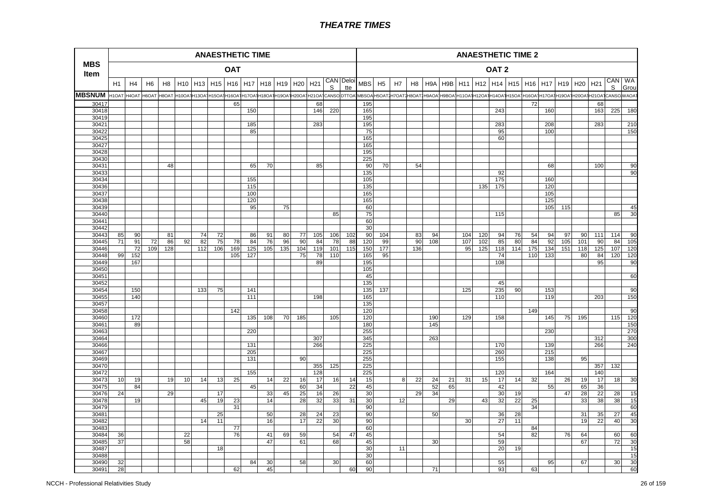|                    | <b>ANAESTHETIC TIME</b> |                                                                                                                                                                                                               |     |          |                 |          |          |     |            |          |          |          |                 |                                                                                          |           |            |                |    |                |                  |    |            |            | <b>ANAESTHETIC TIME 2</b> |                                                                                                                |          |            |           |           |            |             |            |
|--------------------|-------------------------|---------------------------------------------------------------------------------------------------------------------------------------------------------------------------------------------------------------|-----|----------|-----------------|----------|----------|-----|------------|----------|----------|----------|-----------------|------------------------------------------------------------------------------------------|-----------|------------|----------------|----|----------------|------------------|----|------------|------------|---------------------------|----------------------------------------------------------------------------------------------------------------|----------|------------|-----------|-----------|------------|-------------|------------|
| <b>MBS</b><br>Item |                         | <b>OAT</b><br>CAN Deloi                                                                                                                                                                                       |     |          |                 |          |          |     |            |          |          |          |                 |                                                                                          |           |            |                |    |                |                  |    |            |            | OAT <sub>2</sub>          |                                                                                                                |          |            |           |           |            |             |            |
|                    | H1                      | H <sub>10</sub> H <sub>13</sub> H <sub>15</sub> H <sub>16</sub> H <sub>17</sub><br>H <sub>18</sub> H <sub>19</sub> H <sub>20</sub> H <sub>21</sub><br>H <sub>4</sub><br>H <sub>6</sub><br>H <sub>8</sub><br>S |     |          |                 |          |          |     |            |          |          |          |                 |                                                                                          |           | <b>MBS</b> | H <sub>5</sub> | H7 | H <sub>8</sub> | H <sub>9</sub> A |    |            |            |                           | H9B   H11   H12   H14   H15   H16   H17   H19   H20   H21                                                      |          |            |           |           |            | CAN WA<br>S | Grou       |
| <b>MBSNUM</b>      |                         |                                                                                                                                                                                                               |     |          |                 |          |          |     |            |          |          |          |                 | H1OAT H4OAT H6OAT H8OAT H10OATH13OATH15OATH16OATH17OATH18OATH19OATH20OATH21OATCANSODTTOA | tte       |            |                |    |                |                  |    |            |            |                           | AOAWOCANDINO FIZIO ALIAO ALIAO ALIAO ALIAO ALIAO ALIAO ALIAO ALIAO ILIAO ALIAO ALIAO ALIAO ALIAO ALIAO ALIAO A |          |            |           |           |            |             |            |
| 30417              |                         |                                                                                                                                                                                                               |     |          |                 |          |          | 65  |            |          |          |          | 68              |                                                                                          |           | 195        |                |    |                |                  |    |            |            |                           |                                                                                                                | 72       |            |           |           | 68         |             |            |
| 30418              |                         |                                                                                                                                                                                                               |     |          |                 |          |          |     | 150        |          |          |          | 146             | 220                                                                                      |           | 165        |                |    |                |                  |    |            |            | 243                       |                                                                                                                |          | 160        |           |           | 163        | 225         | 180        |
| 30419              |                         |                                                                                                                                                                                                               |     |          |                 |          |          |     |            |          |          |          |                 |                                                                                          |           | 195        |                |    |                |                  |    |            |            |                           |                                                                                                                |          |            |           |           |            |             |            |
| 30421              |                         |                                                                                                                                                                                                               |     |          |                 |          |          |     | 185        |          |          |          | 283             |                                                                                          |           | 195        |                |    |                |                  |    |            |            | 283                       |                                                                                                                |          | 208        |           |           | 283        |             | 210        |
| 30422<br>30425     |                         |                                                                                                                                                                                                               |     |          |                 |          |          |     | 85         |          |          |          |                 |                                                                                          |           | 75<br>165  |                |    |                |                  |    |            |            | 95<br>60                  |                                                                                                                |          | 100        |           |           |            |             | 150        |
| 30427              |                         |                                                                                                                                                                                                               |     |          |                 |          |          |     |            |          |          |          |                 |                                                                                          |           | 165        |                |    |                |                  |    |            |            |                           |                                                                                                                |          |            |           |           |            |             |            |
| 30428              |                         |                                                                                                                                                                                                               |     |          |                 |          |          |     |            |          |          |          |                 |                                                                                          |           | 195        |                |    |                |                  |    |            |            |                           |                                                                                                                |          |            |           |           |            |             |            |
| 30430              |                         |                                                                                                                                                                                                               |     |          |                 |          |          |     |            |          |          |          |                 |                                                                                          |           | 225        |                |    |                |                  |    |            |            |                           |                                                                                                                |          |            |           |           |            |             |            |
| 30431              |                         |                                                                                                                                                                                                               |     | 48       |                 |          |          |     | 65         | 70       |          |          | 85              |                                                                                          |           | 90         | 70             |    | 54             |                  |    |            |            |                           |                                                                                                                |          | 68         |           |           | 100        |             | 90         |
| 30433              |                         |                                                                                                                                                                                                               |     |          |                 |          |          |     |            |          |          |          |                 |                                                                                          |           | 135        |                |    |                |                  |    |            |            | 92                        |                                                                                                                |          |            |           |           |            |             | 90         |
| 30434              |                         |                                                                                                                                                                                                               |     |          |                 |          |          |     | 155        |          |          |          |                 |                                                                                          |           | 105        |                |    |                |                  |    |            |            | 175                       |                                                                                                                |          | 160        |           |           |            |             |            |
| 30436<br>30437     |                         |                                                                                                                                                                                                               |     |          |                 |          |          |     | 115<br>100 |          |          |          |                 |                                                                                          |           | 135<br>165 |                |    |                |                  |    |            | 135        | 175                       |                                                                                                                |          | 120<br>105 |           |           |            |             |            |
| 30438              |                         |                                                                                                                                                                                                               |     |          |                 |          |          |     | 120        |          |          |          |                 |                                                                                          |           | 165        |                |    |                |                  |    |            |            |                           |                                                                                                                |          | 125        |           |           |            |             |            |
| 30439              |                         |                                                                                                                                                                                                               |     |          |                 |          |          |     | 95         |          | 75       |          |                 |                                                                                          |           | 60         |                |    |                |                  |    |            |            |                           |                                                                                                                |          | 105        | 115       |           |            |             | 45         |
| 30440              |                         |                                                                                                                                                                                                               |     |          |                 |          |          |     |            |          |          |          |                 | 85                                                                                       |           | 75         |                |    |                |                  |    |            |            | 115                       |                                                                                                                |          |            |           |           |            | 85          | 30         |
| 30441              |                         |                                                                                                                                                                                                               |     |          |                 |          |          |     |            |          |          |          |                 |                                                                                          |           | 60         |                |    |                |                  |    |            |            |                           |                                                                                                                |          |            |           |           |            |             |            |
| 30442              |                         |                                                                                                                                                                                                               |     |          |                 |          |          |     |            |          |          |          |                 |                                                                                          |           | 30         |                |    |                |                  |    |            |            |                           |                                                                                                                |          |            |           |           |            |             |            |
| 30443<br>30445     | 85<br>71                | 90<br>91                                                                                                                                                                                                      | 72  | 81<br>86 | 92              | 74<br>82 | 72<br>75 | 78  | 86<br>84   | 91<br>76 | 80<br>96 | 77<br>90 | 105<br>84       | 106<br>78                                                                                | 102<br>88 | 90<br>120  | 104<br>99      |    | 83<br>90       | 94<br>108        |    | 104<br>107 | 120<br>102 | 94<br>85                  | 76<br>80                                                                                                       | 54<br>84 | 94<br>92   | 97<br>105 | 90<br>101 | 111<br>90  | 114<br>84   | 90<br>105  |
| 30446              |                         | 72                                                                                                                                                                                                            | 109 | 128      |                 | 112      | 106      | 169 | 125        | 105      | 135      | 104      | 119             | 101                                                                                      | 115       | 150        | 177            |    | 136            |                  |    | 95         | 125        | 118                       | 114                                                                                                            | 175      | $134$      | 151       | 118       | 125        | 107         | 120        |
| 30448              | 99                      | 152                                                                                                                                                                                                           |     |          |                 |          |          | 105 | 127        |          |          | 75       | 78              | 110                                                                                      |           | 165        | 95             |    |                |                  |    |            |            | 74                        |                                                                                                                | 110      | 133        |           | 80        | 84         | 120         | 120        |
| 30449              |                         | 167                                                                                                                                                                                                           |     |          |                 |          |          |     |            |          |          |          | 89              |                                                                                          |           | 195        |                |    |                |                  |    |            |            | 108                       |                                                                                                                |          |            |           |           | 95         |             | 90         |
| 30450              |                         |                                                                                                                                                                                                               |     |          |                 |          |          |     |            |          |          |          |                 |                                                                                          |           | 105        |                |    |                |                  |    |            |            |                           |                                                                                                                |          |            |           |           |            |             |            |
| 30451              |                         |                                                                                                                                                                                                               |     |          |                 |          |          |     |            |          |          |          |                 |                                                                                          |           | 45         |                |    |                |                  |    |            |            |                           |                                                                                                                |          |            |           |           |            |             | 60         |
| 30452              |                         |                                                                                                                                                                                                               |     |          |                 |          |          |     |            |          |          |          |                 |                                                                                          |           | 135        |                |    |                |                  |    |            |            | 45                        |                                                                                                                |          |            |           |           |            |             |            |
| 30454<br>30455     |                         | 150<br>140                                                                                                                                                                                                    |     |          |                 | 133      | 75       |     | 141<br>111 |          |          |          | 198             |                                                                                          |           | 135<br>165 | 137            |    |                |                  |    | 125        |            | 235<br>110                | 90                                                                                                             |          | 153<br>119 |           |           | 203        |             | 90<br>150  |
| 30457              |                         |                                                                                                                                                                                                               |     |          |                 |          |          |     |            |          |          |          |                 |                                                                                          |           | 135        |                |    |                |                  |    |            |            |                           |                                                                                                                |          |            |           |           |            |             |            |
| 30458              |                         |                                                                                                                                                                                                               |     |          |                 |          |          | 142 |            |          |          |          |                 |                                                                                          |           | 120        |                |    |                |                  |    |            |            |                           |                                                                                                                | 149      |            |           |           |            |             | 90         |
| 30460              |                         | 172                                                                                                                                                                                                           |     |          |                 |          |          |     | 135        | 108      | 70       | 185      |                 | 105                                                                                      |           | 120        |                |    |                | 190              |    | 129        |            | 158                       |                                                                                                                |          | 145        | 75        | 195       |            | 115         | 120        |
| 30461              |                         | 89                                                                                                                                                                                                            |     |          |                 |          |          |     |            |          |          |          |                 |                                                                                          |           | 180        |                |    |                | 145              |    |            |            |                           |                                                                                                                |          |            |           |           |            |             | 150        |
| 30463              |                         |                                                                                                                                                                                                               |     |          |                 |          |          |     | 220        |          |          |          |                 |                                                                                          |           | 255        |                |    |                |                  |    |            |            |                           |                                                                                                                |          | 230        |           |           |            |             | 270        |
| 30464<br>30466     |                         |                                                                                                                                                                                                               |     |          |                 |          |          |     | 131        |          |          |          | 307<br>266      |                                                                                          |           | 345<br>225 |                |    |                | 263              |    |            |            | 170                       |                                                                                                                |          | 139        |           |           | 312<br>266 |             | 300<br>240 |
| 30467              |                         |                                                                                                                                                                                                               |     |          |                 |          |          |     | 205        |          |          |          |                 |                                                                                          |           | 225        |                |    |                |                  |    |            |            | 260                       |                                                                                                                |          | 215        |           |           |            |             |            |
| 30469              |                         |                                                                                                                                                                                                               |     |          |                 |          |          |     | 131        |          |          | 90       |                 |                                                                                          |           | 255        |                |    |                |                  |    |            |            | 155                       |                                                                                                                |          | 138        |           | 95        |            |             |            |
| 30470              |                         |                                                                                                                                                                                                               |     |          |                 |          |          |     |            |          |          |          | 355             | 125                                                                                      |           | 225        |                |    |                |                  |    |            |            |                           |                                                                                                                |          |            |           |           | 357        | 132         |            |
| 30472              |                         |                                                                                                                                                                                                               |     |          |                 |          |          |     | 155        |          |          |          | 128             |                                                                                          |           | 225        |                |    |                |                  |    |            |            | 120                       |                                                                                                                |          | 164        |           |           | 140        |             |            |
| 30473              | 10                      | 19                                                                                                                                                                                                            |     | 19       | 10 <sup>1</sup> | 14       | 13       | 25  |            | 14       | 22       | 16       | 17              | 16                                                                                       | 14        | 15         |                | 8  | 22             | 24               | 21 | 31         | 15         | 17                        | 14                                                                                                             | 32       |            | 26        | 19        | 17         | 18          | 30         |
| 30475              |                         | 84                                                                                                                                                                                                            |     |          |                 |          |          |     | 45         |          |          | 60       | 34              |                                                                                          | 22        | 45         |                |    |                | 52               | 65 |            |            | 42                        |                                                                                                                |          | 55         |           | 65        | 36         |             |            |
| 30476<br>30478     | 24                      | 19 <sup>1</sup>                                                                                                                                                                                               |     | 29       |                 | 45       | 17<br>19 | 23  |            | 33<br>14 | 45       | 25<br>28 | 16<br>32        | 26<br>33                                                                                 | 31        | 30<br>30   |                | 12 | 29             | 34               | 29 |            | 43         | 30<br>32                  | 19<br>22                                                                                                       | 25       |            | 47        | 28<br>33  | 22<br>38   | 28<br>38    | 15<br>15   |
| 30479              |                         |                                                                                                                                                                                                               |     |          |                 |          |          | 31  |            |          |          |          |                 |                                                                                          |           | 90         |                |    |                |                  |    |            |            |                           |                                                                                                                | 34       |            |           |           |            |             | 60         |
| 30481              |                         |                                                                                                                                                                                                               |     |          |                 |          | 25       |     |            | 50       |          | 28       | 24              | 23                                                                                       |           | 90         |                |    |                | 50               |    |            |            | 36                        | 28                                                                                                             |          |            |           | 31        | 35         | 27          | 45         |
| 30482              |                         |                                                                                                                                                                                                               |     |          |                 | 14       | 11       |     |            | 16       |          | 17       | $\overline{22}$ | 30                                                                                       |           | 90         |                |    |                |                  |    | 30         |            | $\overline{27}$           | 11                                                                                                             |          |            |           | 19        | 22         | 40          | 30         |
| 30483              |                         |                                                                                                                                                                                                               |     |          |                 |          |          | 77  |            |          |          |          |                 |                                                                                          |           | 60         |                |    |                |                  |    |            |            |                           |                                                                                                                | 84       |            |           |           |            |             |            |
| 30484              | 36                      |                                                                                                                                                                                                               |     |          | 22              |          |          | 76  |            | 41       | 69       | 59       |                 | 54                                                                                       | 47        | 45         |                |    |                |                  |    |            |            | 54                        |                                                                                                                | 82       |            | 76        | 64        |            | 60          | 60         |
| 30485              | 37                      |                                                                                                                                                                                                               |     |          | 58              |          |          |     |            | 47       |          | 61       |                 | 68                                                                                       |           | 45<br>30   |                |    |                | 30               |    |            |            | 59                        |                                                                                                                |          |            |           | 67        |            | 72          | 30<br>15   |
| 30487<br>30488     |                         |                                                                                                                                                                                                               |     |          |                 |          | 18       |     |            |          |          |          |                 |                                                                                          |           | 30         |                | 11 |                |                  |    |            |            | 20                        | 19                                                                                                             |          |            |           |           |            |             | 15         |
| 30490              | 32                      |                                                                                                                                                                                                               |     |          |                 |          |          |     | 84         | 30       |          | 58       |                 | 30                                                                                       |           | 60         |                |    |                |                  |    |            |            | 55                        |                                                                                                                |          | 95         |           | 67        |            | 30          | 30         |
| 30491              | 28                      |                                                                                                                                                                                                               |     |          |                 |          |          | 62  |            | 45       |          |          |                 |                                                                                          | 60        | 90         |                |    |                | $\overline{71}$  |    |            |            | 93                        |                                                                                                                | 63       |            |           |           |            |             | 60         |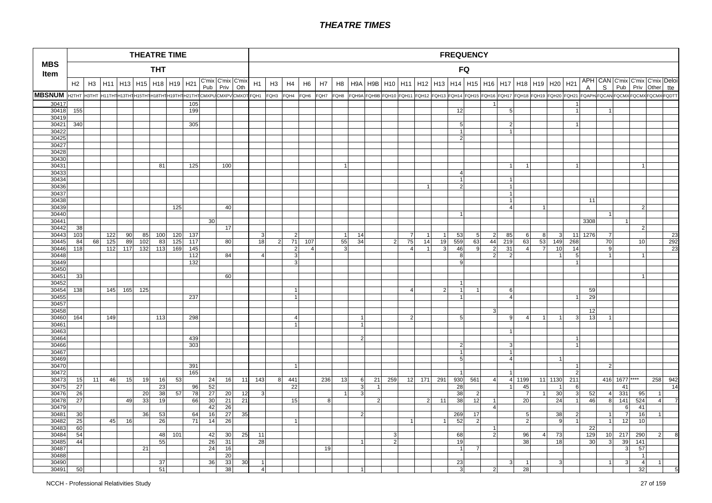|                                                                                      | <b>THEATRE TIME</b> |    |                         |           |                                   |            |            |                        |          |                       |                          |                 |                |                      |                       |     |                |                |                |                |                      |         |                | <b>FREQUENCY</b>     |                      |                                                                                                                                                                                                                                |                                   |                           |                       |                |                            |                                                       |                |                  |
|--------------------------------------------------------------------------------------|---------------------|----|-------------------------|-----------|-----------------------------------|------------|------------|------------------------|----------|-----------------------|--------------------------|-----------------|----------------|----------------------|-----------------------|-----|----------------|----------------|----------------|----------------|----------------------|---------|----------------|----------------------|----------------------|--------------------------------------------------------------------------------------------------------------------------------------------------------------------------------------------------------------------------------|-----------------------------------|---------------------------|-----------------------|----------------|----------------------------|-------------------------------------------------------|----------------|------------------|
| <b>MBS</b><br><b>Item</b>                                                            |                     |    |                         |           |                                   | <b>THT</b> |            |                        |          |                       |                          |                 |                |                      |                       |     |                |                |                |                |                      |         |                | <b>FQ</b>            |                      |                                                                                                                                                                                                                                |                                   |                           |                       |                |                            |                                                       |                |                  |
|                                                                                      | H2                  | H3 |                         |           | H11   H13   H15   H18   H19   H21 |            |            |                        | Pub      | Priv                  | C'mix C'mix C'mix<br>Qth | H1              | H3             | H <sub>4</sub>       | H <sub>6</sub>        | H7  | H <sub>8</sub> |                |                |                |                      |         |                |                      |                      | H9A   H9B   H10   H11   H12   H13   H14   H15   H16   H17   H18   H19   H20   H21                                                                                                                                              |                                   |                           |                       | S              |                            | APH CAN C'mix C'mix C'mix Deloi<br>Pub Priv Other tte |                |                  |
| MBSNUM H2THT H3THT H11THTH13THTH15THTH18THTH19THTH21THTCMXPUCMXPVCMXOTFQH1 FQH3 FQH4 |                     |    |                         |           |                                   |            |            |                        |          |                       |                          |                 |                |                      |                       |     |                |                |                |                |                      |         |                |                      |                      | FQH6 FQH7 FQH8 FQH9A FQH9B FQH10 FQH11 FQH12 FQH12 FQH13 FQH14 FQH15 FQH16 FQH17 FQH18 FQH19 FQH20 FQH21 FQAPH FQCAN FQCMX FQCMX FQCMX FQCMX FQCMX FQCMX FQCMX FQCMX FQCMX FQCMX FQCMX FQCMX FQCMX FQCMX FQCMX FQCMX FQCMX FQC |                                   |                           |                       |                |                            |                                                       |                |                  |
| 30417                                                                                |                     |    |                         |           |                                   |            |            | 105                    |          |                       |                          |                 |                |                      |                       |     |                |                |                |                |                      |         |                |                      | 1                    |                                                                                                                                                                                                                                |                                   | $\mathbf{1}$              |                       |                |                            |                                                       |                |                  |
| 30418<br>30419                                                                       | 155                 |    |                         |           |                                   |            |            | 199                    |          |                       |                          |                 |                |                      |                       |     |                |                |                |                |                      |         | 12             |                      |                      | $5\phantom{.0}$                                                                                                                                                                                                                |                                   | 1                         |                       | $\overline{1}$ |                            |                                                       |                |                  |
| 30421                                                                                | 340                 |    |                         |           |                                   |            |            | 305                    |          |                       |                          |                 |                |                      |                       |     |                |                |                |                |                      |         |                | 5 <sub>l</sub>       |                      | $\overline{c}$                                                                                                                                                                                                                 |                                   | 11                        |                       |                |                            |                                                       |                |                  |
| 30422                                                                                |                     |    |                         |           |                                   |            |            |                        |          |                       |                          |                 |                |                      |                       |     |                |                |                |                |                      |         |                | 1                    |                      | $\overline{1}$                                                                                                                                                                                                                 |                                   |                           |                       |                |                            |                                                       |                |                  |
| 30425                                                                                |                     |    |                         |           |                                   |            |            |                        |          |                       |                          |                 |                |                      |                       |     |                |                |                |                |                      |         |                | 2 <sup>1</sup>       |                      |                                                                                                                                                                                                                                |                                   |                           |                       |                |                            |                                                       |                |                  |
| 30427<br>30428                                                                       |                     |    |                         |           |                                   |            |            |                        |          |                       |                          |                 |                |                      |                       |     |                |                |                |                |                      |         |                |                      |                      |                                                                                                                                                                                                                                |                                   |                           |                       |                |                            |                                                       |                |                  |
| 30430                                                                                |                     |    |                         |           |                                   |            |            |                        |          |                       |                          |                 |                |                      |                       |     |                |                |                |                |                      |         |                |                      |                      |                                                                                                                                                                                                                                |                                   |                           |                       |                |                            |                                                       |                |                  |
| 30431                                                                                |                     |    |                         |           |                                   | 81         |            | 125                    |          | 100                   |                          |                 |                |                      |                       |     | 11             |                |                |                |                      |         |                |                      |                      | 1<br>$\overline{1}$                                                                                                                                                                                                            |                                   | 1                         |                       |                |                            | 1                                                     |                |                  |
| 30433                                                                                |                     |    |                         |           |                                   |            |            |                        |          |                       |                          |                 |                |                      |                       |     |                |                |                |                |                      |         |                | $\overline{4}$       |                      |                                                                                                                                                                                                                                |                                   |                           |                       |                |                            |                                                       |                |                  |
| 30434<br>30436                                                                       |                     |    |                         |           |                                   |            |            |                        |          |                       |                          |                 |                |                      |                       |     |                |                |                |                | $\overline{1}$       |         |                | 11<br>$\overline{2}$ |                      | $\overline{1}$<br>$\overline{1}$                                                                                                                                                                                               |                                   |                           |                       |                |                            |                                                       |                |                  |
| 30437                                                                                |                     |    |                         |           |                                   |            |            |                        |          |                       |                          |                 |                |                      |                       |     |                |                |                |                |                      |         |                |                      |                      | $\overline{1}$                                                                                                                                                                                                                 |                                   |                           |                       |                |                            |                                                       |                |                  |
| 30438                                                                                |                     |    |                         |           |                                   |            |            |                        |          |                       |                          |                 |                |                      |                       |     |                |                |                |                |                      |         |                |                      |                      | $\overline{1}$                                                                                                                                                                                                                 |                                   |                           | 11                    |                |                            |                                                       |                |                  |
| 30439                                                                                |                     |    |                         |           |                                   |            | 125        |                        |          | 40                    |                          |                 |                |                      |                       |     |                |                |                |                |                      |         |                |                      |                      | $\overline{4}$                                                                                                                                                                                                                 |                                   |                           |                       |                |                            | $\overline{2}$                                        |                |                  |
| 30440<br>30441                                                                       |                     |    |                         |           |                                   |            |            |                        | 30       |                       |                          |                 |                |                      |                       |     |                |                |                |                |                      |         |                | 11                   |                      |                                                                                                                                                                                                                                |                                   |                           | 3308                  | $\mathbf{1}$   | 1                          |                                                       |                |                  |
| 30442                                                                                | 38                  |    |                         |           |                                   |            |            |                        |          | 17                    |                          |                 |                |                      |                       |     |                |                |                |                |                      |         |                |                      |                      |                                                                                                                                                                                                                                |                                   |                           |                       |                |                            | $2 \vert$                                             |                |                  |
| 30443                                                                                | 103                 |    | 122                     | 90        | 85                                | 100        | 120        | 137                    |          |                       |                          | 3 <sup>1</sup>  |                | $\overline{2}$       |                       |     | 11             | 14             |                |                | $\overline{1}$       |         | 53<br>1        | 5 <sub>5</sub>       | $\mathbf{2}$         | 85<br>$6 \mid$                                                                                                                                                                                                                 | 8<br>3                            |                           | $11 \overline{)1276}$ | $\overline{7}$ |                            |                                                       |                | 23               |
| 30445                                                                                | 84<br>118           | 68 | $\overline{125}$<br>112 | 89<br>117 | 102<br>$132$                      | 83<br>113  | 125<br>169 | 117<br>$\frac{145}{2}$ |          | 80                    |                          | 18              | $2 \vert$      | 71<br>$\overline{2}$ | 107<br>$\overline{4}$ |     | 55<br>3        | 34             | $\overline{2}$ | 75<br>$\Delta$ | 14<br>$\overline{1}$ | 19<br>ω | 559<br>46      | 63<br> 9             | 44<br>$\overline{2}$ | 219<br>63<br>31<br>$\overline{4}$                                                                                                                                                                                              | 53<br>149<br>$\overline{7}$<br>10 | 268                       |                       | 70<br>9        |                            | 10                                                    |                | $\frac{292}{23}$ |
| 30446<br>30448                                                                       |                     |    |                         |           |                                   |            |            | 112                    |          | 84                    |                          | $\overline{a}$  |                | $\mathsf 3$          |                       |     |                |                |                |                |                      |         |                | 8 <sup>1</sup>       | $2 \vert$            | $\overline{2}$                                                                                                                                                                                                                 |                                   | 14<br>1<br>5 <sub>l</sub> |                       | $\mathbf{1}$   |                            | $\mathbf{1}$                                          |                |                  |
| 30449                                                                                |                     |    |                         |           |                                   |            |            | 132                    |          |                       |                          |                 |                | 3 <sup>l</sup>       |                       |     |                |                |                |                |                      |         |                | 9                    |                      |                                                                                                                                                                                                                                |                                   | 1                         |                       |                |                            |                                                       |                |                  |
| 30450                                                                                |                     |    |                         |           |                                   |            |            |                        |          |                       |                          |                 |                |                      |                       |     |                |                |                |                |                      |         |                |                      |                      |                                                                                                                                                                                                                                |                                   |                           |                       |                |                            |                                                       |                |                  |
| 30451<br>30452                                                                       | 33                  |    |                         |           |                                   |            |            |                        |          | 60                    |                          |                 |                |                      |                       |     |                |                |                |                |                      |         |                |                      |                      |                                                                                                                                                                                                                                |                                   |                           |                       |                |                            | 1                                                     |                |                  |
| 30454                                                                                | 138                 |    | 145                     | 165       | 125                               |            |            |                        |          |                       |                          |                 |                | $\mathbf{1}$         |                       |     |                |                |                | $\overline{4}$ |                      |         | $\overline{2}$ | 1<br>-1              |                      | 6                                                                                                                                                                                                                              |                                   |                           | 59                    |                |                            |                                                       |                |                  |
| 30455                                                                                |                     |    |                         |           |                                   |            |            | 237                    |          |                       |                          |                 |                | $\vert$ 1            |                       |     |                |                |                |                |                      |         |                | 1                    |                      | $\overline{4}$                                                                                                                                                                                                                 |                                   | $\mathbf{1}$              | 29                    |                |                            |                                                       |                |                  |
| 30457                                                                                |                     |    |                         |           |                                   |            |            |                        |          |                       |                          |                 |                |                      |                       |     |                |                |                |                |                      |         |                |                      |                      |                                                                                                                                                                                                                                |                                   |                           |                       |                |                            |                                                       |                |                  |
| 30458<br>30460                                                                       | 164                 |    | 149                     |           |                                   | 113        |            | 298                    |          |                       |                          |                 |                | $\overline{4}$       |                       |     |                | $\mathbf{1}$   |                | $\overline{2}$ |                      |         |                | 5 <sup>1</sup>       | 3 <sup>1</sup>       | 9<br>$\vert$                                                                                                                                                                                                                   | $\overline{1}$                    | $\mathbf{3}$<br>11        | 12<br>13              | $\overline{1}$ |                            |                                                       |                |                  |
| 30461                                                                                |                     |    |                         |           |                                   |            |            |                        |          |                       |                          |                 |                | 11                   |                       |     |                | 1 <sup>1</sup> |                |                |                      |         |                |                      |                      |                                                                                                                                                                                                                                |                                   |                           |                       |                |                            |                                                       |                |                  |
| 30463                                                                                |                     |    |                         |           |                                   |            |            |                        |          |                       |                          |                 |                |                      |                       |     |                |                |                |                |                      |         |                |                      |                      | $\overline{1}$                                                                                                                                                                                                                 |                                   |                           |                       |                |                            |                                                       |                |                  |
| 30464                                                                                |                     |    |                         |           |                                   |            |            | 439<br>303             |          |                       |                          |                 |                |                      |                       |     |                | 2 <sup>1</sup> |                |                |                      |         |                | $\overline{2}$       |                      | 3                                                                                                                                                                                                                              |                                   | $\overline{1}$<br>1       |                       |                |                            |                                                       |                |                  |
| 30466<br>30467                                                                       |                     |    |                         |           |                                   |            |            |                        |          |                       |                          |                 |                |                      |                       |     |                |                |                |                |                      |         |                | $\mathbf{1}$         |                      | $\mathbf{1}$                                                                                                                                                                                                                   |                                   |                           |                       |                |                            |                                                       |                |                  |
| 30469                                                                                |                     |    |                         |           |                                   |            |            |                        |          |                       |                          |                 |                |                      |                       |     |                |                |                |                |                      |         |                | $5 \mid$             |                      | $\overline{4}$                                                                                                                                                                                                                 |                                   | 1                         |                       |                |                            |                                                       |                |                  |
| 30470                                                                                |                     |    |                         |           |                                   |            |            | 391                    |          |                       |                          |                 |                | 1                    |                       |     |                |                |                |                |                      |         |                |                      |                      |                                                                                                                                                                                                                                |                                   | 11                        |                       | $\overline{2}$ |                            |                                                       |                |                  |
| 30472<br>30473                                                                       | 15                  | 11 | 46                      | 15        | 19                                | 16         | 53         | 165                    | 24       | 16                    | 11                       | 143             | 8 <sup>1</sup> | 441                  |                       | 236 | 13             | 6 <sup>1</sup> | 21<br>259      | 12             | 171                  | 291     | 930            | $\mathbf{1}$<br>561  | $\vert 4 \vert$      | $\mathbf{1}$<br>4 1199                                                                                                                                                                                                         | 11<br>1130                        | $\overline{2}$<br>211     |                       |                | 416 1677 ****              |                                                       | 258            | 942              |
| 30475                                                                                | 27                  |    |                         |           |                                   | 23         |            | 96                     | 52       |                       |                          |                 |                | 22                   |                       |     |                | 3 <sup>1</sup> | $\overline{1}$ |                |                      |         | 28             |                      |                      | $\overline{1}$<br>45                                                                                                                                                                                                           |                                   | $6 \mid$<br>1             |                       |                | 41                         |                                                       |                | 14               |
| 30476                                                                                | 26                  |    |                         |           | 20                                | 38         | 57         | 78                     | 27       | 20                    | 12                       | 3               |                |                      |                       |     |                | 3 <sup>1</sup> |                |                |                      |         | 38             | $\overline{2}$       |                      | $\overline{7}$                                                                                                                                                                                                                 | 30                                | 3 <sup>1</sup>            | 52                    | $\overline{4}$ | 331                        | 95                                                    | 1 <sup>1</sup> |                  |
| 30478                                                                                | 27                  |    |                         | 49        | 33                                | 19         |            | 66                     | 30       | 21                    | 21                       |                 |                | 15                   |                       | 8   |                |                | $\overline{2}$ |                | $\overline{2}$       | 11      | 38             | 12                   | 1                    | 20                                                                                                                                                                                                                             | 24                                | 1                         | 46                    | $8\phantom{.}$ | 141                        | 524                                                   | $\vert$        | $\overline{7}$   |
| 30479<br>30481                                                                       | 30                  |    |                         |           | 36                                | 53         |            | 64                     | 42<br>16 | 26<br>$\overline{27}$ | 35                       |                 |                |                      |                       |     |                | $\overline{2}$ |                |                |                      |         | 269            | 17                   | 4 <sup>1</sup>       | 5 <sub>5</sub>                                                                                                                                                                                                                 | 38                                | $\vert$ 2                 |                       | $\mathbf{1}$   | $6 \mid$<br>$\overline{7}$ | 41<br>16                                              |                |                  |
| 30482                                                                                | 25                  |    | 45                      | 16        |                                   | 26         |            | 71                     | 14       | 26                    |                          |                 |                | 11                   |                       |     |                |                |                | -1             |                      |         | 52<br>11       | $\overline{2}$       |                      | $\overline{2}$                                                                                                                                                                                                                 |                                   | 9<br>1 <sup>1</sup>       |                       | $\overline{1}$ | 12                         | 10 <sup>1</sup>                                       |                |                  |
| 30483                                                                                | 60                  |    |                         |           |                                   |            |            |                        |          |                       |                          |                 |                |                      |                       |     |                |                |                |                |                      |         |                |                      | 1                    |                                                                                                                                                                                                                                |                                   |                           | 22                    |                |                            |                                                       |                |                  |
| 30484                                                                                | 54                  |    |                         |           |                                   | 48         | 101        |                        | 42       | 30                    | 25                       | 11              |                |                      |                       |     |                |                | $\mathbf{3}$   |                |                      |         | 68             |                      | 2 <sup>1</sup>       | 96                                                                                                                                                                                                                             | 73<br>4                           |                           | 129                   | 10             | 217                        | 290                                                   | $\overline{2}$ | 8                |
| 30485<br>30487                                                                       | 44                  |    |                         |           | 21                                | 55         |            |                        | 26<br>24 | 31<br>16              |                          | 28              |                |                      |                       | 19  |                | $\mathbf{1}$   | $\overline{2}$ |                |                      |         | 19             | 1<br>$\overline{7}$  |                      | 38 <sup>1</sup>                                                                                                                                                                                                                | 18                                |                           | 30                    | $\mathbf{3}$   | 39<br> 3                   | 141<br>57                                             |                |                  |
| 30488                                                                                |                     |    |                         |           |                                   |            |            |                        |          | $\overline{20}$       |                          |                 |                |                      |                       |     |                |                |                |                |                      |         |                |                      |                      |                                                                                                                                                                                                                                |                                   |                           |                       |                |                            | $\overline{1}$                                        |                |                  |
| 30490                                                                                |                     |    |                         |           |                                   | 37         |            |                        | 36       | 33                    | 30                       | $\mathbf{1}$    |                |                      |                       |     |                |                |                |                |                      |         | 23             |                      |                      | $\mathbf{3}$<br>1                                                                                                                                                                                                              |                                   | 3 <sup>1</sup>            |                       | $\mathbf{1}$   | 3 <sup>1</sup>             | $\overline{4}$                                        |                |                  |
| 30491                                                                                | 50                  |    |                         |           |                                   | 51         |            |                        |          | 38                    |                          | $\vert 4 \vert$ |                |                      |                       |     |                | 1              |                |                |                      |         |                | $\mathbf{3}$         | 2                    | 28                                                                                                                                                                                                                             |                                   |                           |                       |                |                            | 32                                                    |                | 5                |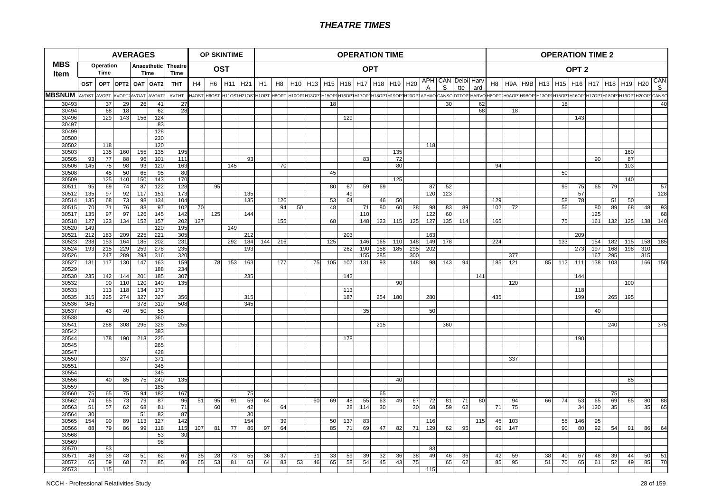|                           |            |                          |            | <b>AVERAGES</b>                |            |                        |     |            | <b>OP SKINTIME</b> |           |     |          |                                                                                                                  |    |          |            |            | <b>OPERATION TIME</b> |          |            |            |                                |     |     |     |                 | <b>OPERATION TIME 2</b>                                           |                  |           |                 |            |           |            |                      |
|---------------------------|------------|--------------------------|------------|--------------------------------|------------|------------------------|-----|------------|--------------------|-----------|-----|----------|------------------------------------------------------------------------------------------------------------------|----|----------|------------|------------|-----------------------|----------|------------|------------|--------------------------------|-----|-----|-----|-----------------|-------------------------------------------------------------------|------------------|-----------|-----------------|------------|-----------|------------|----------------------|
| <b>MBS</b><br><b>Item</b> |            | Operation<br><b>Time</b> |            | Anaesthetic<br><b>Time</b>     |            | <b>Theatre</b><br>Time |     | <b>OST</b> |                    |           |     |          |                                                                                                                  |    |          |            | <b>OPT</b> |                       |          |            |            |                                |     |     |     |                 |                                                                   | OPT <sub>2</sub> |           |                 |            |           |            |                      |
|                           | OST        |                          |            | OPT OPT2 OAT OAT2              |            | <b>THT</b>             | H4  |            | H6 H11             | H21       | H1  | H8       | H10   H13   H15   H16   H17   H18   H19   H20                                                                    |    |          |            |            |                       |          |            | A          | APH   CAN   Deloi   Harv<br>S. | tte | ard |     |                 | H8   H9A   H9B   H13   H15   H16   H17   H18   H19   H20          |                  |           |                 |            |           |            | CAN<br>$\mathcal{S}$ |
| <b>MBSNUM</b>             |            |                          |            | AVOST AVOPT AVOPTZAVOAT AVOATZ |            | AVTHT                  |     |            |                    |           |     |          | -40ST  H6OST  H11OS1H21OS  H1OPT  H8OPT  H10OP1H13OP1H15OP1H16OP1H17OP1H18OP1H19OP1H20OP1APHAO CANSO DTTOP1HARVO |    |          |            |            |                       |          |            |            |                                |     |     |     |                 | H8OPT/H9AOP H9BOP H13OP H15OP H16OP H17OP H18OP H19OP H20OP CANSC |                  |           |                 |            |           |            |                      |
| 30493                     |            | 37                       | 29         | 26                             | 41         | 27                     |     |            |                    |           |     |          |                                                                                                                  |    | 18       |            |            |                       |          |            |            | 30                             |     | 62  |     |                 |                                                                   | 18               |           |                 |            |           |            | 40                   |
| 30494                     |            | 68                       | 18         |                                | 62         | 28                     |     |            |                    |           |     |          |                                                                                                                  |    |          |            |            |                       |          |            |            |                                |     | 68  |     | 18 <sup>1</sup> |                                                                   |                  |           |                 |            |           |            |                      |
| 30496<br>30497            |            | 129                      | 143        | 156                            | 124<br>83  |                        |     |            |                    |           |     |          |                                                                                                                  |    |          | 129        |            |                       |          |            |            |                                |     |     |     |                 |                                                                   |                  | 143       |                 |            |           |            |                      |
| 30499                     |            |                          |            |                                | 128        |                        |     |            |                    |           |     |          |                                                                                                                  |    |          |            |            |                       |          |            |            |                                |     |     |     |                 |                                                                   |                  |           |                 |            |           |            |                      |
| 30500                     |            |                          |            |                                | 230        |                        |     |            |                    |           |     |          |                                                                                                                  |    |          |            |            |                       |          |            |            |                                |     |     |     |                 |                                                                   |                  |           |                 |            |           |            |                      |
| 30502                     |            | 118                      |            |                                | 120        |                        |     |            |                    |           |     |          |                                                                                                                  |    |          |            |            |                       |          |            | 118        |                                |     |     |     |                 |                                                                   |                  |           |                 |            |           |            |                      |
| 30503                     |            | 135                      | 160        | 155                            | 135        | 195                    |     |            |                    |           |     |          |                                                                                                                  |    |          |            |            |                       | 135      |            |            |                                |     |     |     |                 |                                                                   |                  |           |                 |            | 160       |            |                      |
| 30505<br>30506            | 93<br>145  | 77<br>75                 | 88<br>98   | 96<br>93                       | 101<br>120 | 111<br>163             |     |            | 145                | 93        |     | 70       |                                                                                                                  |    |          |            | 83         |                       | 72<br>80 |            |            |                                |     |     | 94  |                 |                                                                   |                  |           | 90 <sub>1</sub> |            | 87<br>103 |            |                      |
| 30508                     |            | 45                       | 50         | 65                             | 95         | 80                     |     |            |                    |           |     |          |                                                                                                                  |    | 45       |            |            |                       |          |            |            |                                |     |     |     |                 |                                                                   | 50               |           |                 |            |           |            |                      |
| 30509                     |            | 125                      | 140        | 150                            | 143        | 170                    |     |            |                    |           |     |          |                                                                                                                  |    |          |            |            |                       | 125      |            |            |                                |     |     |     |                 |                                                                   |                  |           |                 |            | 140       |            |                      |
| 30511                     | 95         | 69                       | 74         | 87                             | 122        | 128                    |     | 95         |                    |           |     |          |                                                                                                                  |    | 80       | 67         | 59         | 69                    |          |            | 87         | 52                             |     |     |     |                 |                                                                   | 95               | 75        | 65              | 79         |           |            | 57                   |
| 30512                     | 135        | 97                       | 92         | 117                            | 151        | 173                    |     |            |                    | 135       |     |          |                                                                                                                  |    |          | 49         |            |                       |          |            | 120        | 123                            |     |     |     |                 |                                                                   |                  | 57        |                 |            |           |            | 128                  |
| 30514                     | 135        | 68                       | 73<br>76   | 98                             | 134        | 104                    |     |            |                    | 135       |     | 126      |                                                                                                                  |    | 53       | 64         |            | 46                    | 50       |            |            |                                |     |     | 129 |                 |                                                                   | 58               | 78        |                 | 51         | 50        |            | 93                   |
| 30515<br>30517            | 70<br>135  | 71<br>97                 | 97         | 88<br>126                      | 97<br>145  | 102<br>142             | 70  | 125        |                    | 144       |     | 94       | 50                                                                                                               |    | 48       |            | 71<br>110  | 80                    | 60       | 38         | 98<br>122  | 83<br>60                       | 89  |     | 102 | 72              |                                                                   | 56               |           | 80<br>125       | 89         | 68        | 48         | 68                   |
| 30518                     | 127        | 123                      | 134        | 152                            | 157        | 202                    | 127 |            |                    |           |     | 155      |                                                                                                                  |    | 68       |            | 148        | 123                   | 115      | 125        | 127        | 135 114                        |     |     | 165 |                 |                                                                   | 75               |           | 161             | 132        | 125       | 138        | 140                  |
| 30520                     | 149        |                          |            |                                | 120        | 195                    |     |            | 149                |           |     |          |                                                                                                                  |    |          |            |            |                       |          |            |            |                                |     |     |     |                 |                                                                   |                  |           |                 |            |           |            |                      |
| 30521                     | 212        | 183                      | 209        | 225                            | 221        | 305                    |     |            |                    | 212       |     |          |                                                                                                                  |    |          | 203        |            |                       |          |            | 163        |                                |     |     |     |                 |                                                                   |                  | 209       |                 |            |           |            |                      |
| 30523                     | 238        | 153                      | 164        | 185                            | 202        | 231                    |     |            | 292                | 184       | 144 | 216      |                                                                                                                  |    | 125      |            | 146        | 165                   | 110      | 148        | 149        | 178                            |     |     | 224 |                 |                                                                   | 133              |           | 154             | 182        | 115       | 158        | 185                  |
| 30524<br>30526            | 193        | 215<br>247               | 229<br>289 | 259<br>293                     | 278<br>316 | 235<br>320             |     |            |                    | 193       |     |          |                                                                                                                  |    |          | 262        | 190<br>155 | 158<br>285            | 185      | 295<br>300 | 202        |                                |     |     |     | 377             |                                                                   |                  | 273       | 197<br>167      | 168<br>295 | 198       | 310<br>315 |                      |
| 30527                     | 131        | 117                      | 130        | 147                            | 163        | 159                    |     | 78         | 153                | 163       |     | 177      |                                                                                                                  | 75 | 105      | 107        | 131        | 93                    |          | 148        | 98         | 143                            | 94  |     | 185 | 121             | 85                                                                | 112              | 111       | 138             | 103        |           | 166        | 150                  |
| 30529                     |            |                          |            |                                | 188        | 234                    |     |            |                    |           |     |          |                                                                                                                  |    |          |            |            |                       |          |            |            |                                |     |     |     |                 |                                                                   |                  |           |                 |            |           |            |                      |
| 30530                     | 235        | 142                      | 144        | 201                            | 185        | 307                    |     |            |                    | 235       |     |          |                                                                                                                  |    |          | 142        |            |                       |          |            |            |                                |     | 141 |     |                 |                                                                   |                  | 144       |                 |            |           |            |                      |
| 30532                     |            | 90                       | 110        | 120                            | 149        | 135                    |     |            |                    |           |     |          |                                                                                                                  |    |          |            |            |                       | 90       |            |            |                                |     |     |     | 120             |                                                                   |                  |           |                 |            | 100       |            |                      |
| 30533                     |            | 113                      | 118<br>274 | 134<br>327                     | 173        | 356                    |     |            |                    | 315       |     |          |                                                                                                                  |    |          | 113<br>187 |            |                       | 180      |            | 280        |                                |     |     | 435 |                 |                                                                   |                  | 118       |                 |            |           |            |                      |
| 30535<br>30536            | 315<br>345 | 225                      |            | 378                            | 327<br>310 | 508                    |     |            |                    | 345       |     |          |                                                                                                                  |    |          |            |            | 254                   |          |            |            |                                |     |     |     |                 |                                                                   |                  | 199       |                 | 265        | 195       |            |                      |
| 30537                     |            | 43                       | 40         | 50                             | 55         |                        |     |            |                    |           |     |          |                                                                                                                  |    |          |            | 35         |                       |          |            | 50         |                                |     |     |     |                 |                                                                   |                  |           | 40              |            |           |            |                      |
| 30538                     |            |                          |            |                                | 360        |                        |     |            |                    |           |     |          |                                                                                                                  |    |          |            |            |                       |          |            |            |                                |     |     |     |                 |                                                                   |                  |           |                 |            |           |            |                      |
| 30541                     |            | 288                      | 308        | 295                            | 328        | 255                    |     |            |                    |           |     |          |                                                                                                                  |    |          |            |            | 215                   |          |            |            | 360                            |     |     |     |                 |                                                                   |                  |           |                 | 240        |           |            | 375                  |
| 30542                     |            |                          |            |                                | 383        |                        |     |            |                    |           |     |          |                                                                                                                  |    |          |            |            |                       |          |            |            |                                |     |     |     |                 |                                                                   |                  |           |                 |            |           |            |                      |
| 30544<br>30545            |            | 178                      | 190        | 213                            | 225<br>265 |                        |     |            |                    |           |     |          |                                                                                                                  |    |          | 178        |            |                       |          |            |            |                                |     |     |     |                 |                                                                   |                  | 190       |                 |            |           |            |                      |
| 30547                     |            |                          |            |                                | 428        |                        |     |            |                    |           |     |          |                                                                                                                  |    |          |            |            |                       |          |            |            |                                |     |     |     |                 |                                                                   |                  |           |                 |            |           |            |                      |
| 30550                     |            |                          | 337        |                                | 371        |                        |     |            |                    |           |     |          |                                                                                                                  |    |          |            |            |                       |          |            |            |                                |     |     |     | 337             |                                                                   |                  |           |                 |            |           |            |                      |
| 30551                     |            |                          |            |                                | 345        |                        |     |            |                    |           |     |          |                                                                                                                  |    |          |            |            |                       |          |            |            |                                |     |     |     |                 |                                                                   |                  |           |                 |            |           |            |                      |
| 30554                     |            |                          |            |                                | 345        |                        |     |            |                    |           |     |          |                                                                                                                  |    |          |            |            |                       |          |            |            |                                |     |     |     |                 |                                                                   |                  |           |                 |            |           |            |                      |
| 30556<br>30559            |            | 40                       | 85         | 75                             | 240<br>185 | 135                    |     |            |                    |           |     |          |                                                                                                                  |    |          |            |            |                       | 40       |            |            |                                |     |     |     |                 |                                                                   |                  |           |                 |            | 85        |            |                      |
| 30560                     | 75         | 65                       | 75         | 94                             | 182        | 167                    |     |            |                    | 75        |     |          |                                                                                                                  |    |          |            |            | 65                    |          |            |            |                                |     |     |     |                 |                                                                   |                  |           |                 | 75         |           |            |                      |
| 30562                     | 74         | 65                       | 73         | 79                             | 87         | 96                     | 51  | 95         | 91                 | 59        | 64  |          |                                                                                                                  | 60 | 69       | 48         | 55         | 63                    | 49       | 67         | 72         | 81                             | 71  | 80  |     | 94              | 66                                                                | 74               | 53        | 65              | 69         | 65        | 80         | 88                   |
| 30563                     | 51         | 57                       | 62         | 68                             | 81         | 71                     |     | 60         |                    | 42        |     | 64       |                                                                                                                  |    |          | 28         | 114        | 30                    |          | 30         | 68         | 59                             | 62  |     | 71  | 75              |                                                                   |                  | 34        | 120             | 35         |           | 35         | 65                   |
| 30564                     | 30         |                          |            | 51                             | 82         | 87                     |     |            |                    | 30        |     |          |                                                                                                                  |    |          |            |            |                       |          |            |            |                                |     |     |     |                 |                                                                   |                  |           |                 |            |           |            |                      |
| 30565<br>30566            | 154<br>88  | 90<br>79                 | 89<br>86   | 113<br>99                      | 127<br>118 | 142<br>115             | 107 | 81         | 77                 | 154<br>86 | 97  | 39<br>64 |                                                                                                                  |    | 50<br>85 | 137<br>71  | 83<br>69   | 47                    | 82       | 71         | 116<br>129 | 62                             | 95  | 115 | 45  | 103<br>147      |                                                                   | 55<br>90         | 146<br>80 | 95<br>92        | 54         | 91        | 86         | 64                   |
| 30568                     |            |                          |            |                                | 53         | 30                     |     |            |                    |           |     |          |                                                                                                                  |    |          |            |            |                       |          |            |            |                                |     |     | 69  |                 |                                                                   |                  |           |                 |            |           |            |                      |
| 30569                     |            |                          |            |                                | 98         |                        |     |            |                    |           |     |          |                                                                                                                  |    |          |            |            |                       |          |            |            |                                |     |     |     |                 |                                                                   |                  |           |                 |            |           |            |                      |
| 30570                     |            | 83                       |            |                                |            |                        |     |            |                    |           |     |          |                                                                                                                  |    |          |            |            |                       |          |            | 83         |                                |     |     |     |                 |                                                                   |                  |           |                 |            |           |            |                      |
| 30571                     | 48         | 39                       | 48         | 51                             | 62         | 67                     | 35  | 28         | 73                 | 55        | 36  | 37       |                                                                                                                  | 31 | 33       | 59         | 39         | 32                    | 36       | 38         | 49         | 46                             | 36  |     | 42  | 59              | 38                                                                | 40               | 67        | 48              | 39         | 44        | 50         | 51                   |
| 30572<br>30573            | 65         | 59                       | 68         | 72                             | 85         | 86                     | 65  | 53         | 81                 | 63        | 64  | 83       | 53                                                                                                               | 46 | 65       | 58         | 54         | 45                    | 43       | 75         | 115        | 65                             | 62  |     | 85  | 95              | 51                                                                | 70               | 65        | 61              | 52         | 49        | 85         | 70                   |
|                           |            | 115                      |            |                                |            |                        |     |            |                    |           |     |          |                                                                                                                  |    |          |            |            |                       |          |            |            |                                |     |     |     |                 |                                                                   |                  |           |                 |            |           |            |                      |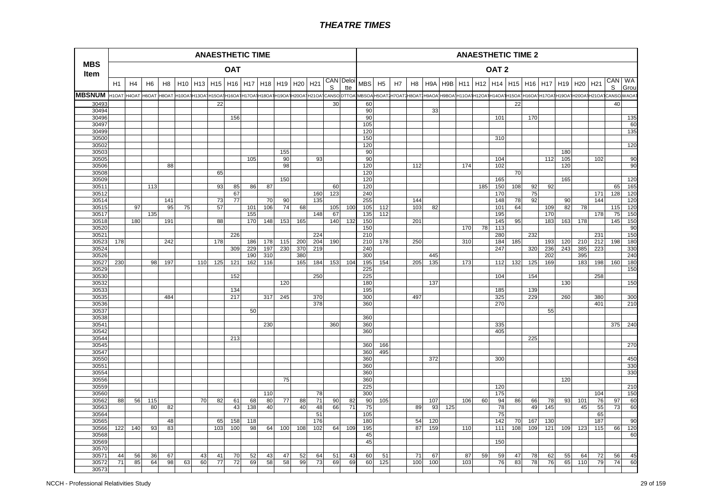|                    | <b>ANAESTHETIC TIME</b> |                                                                                                                                                                                                                                                                |          |     |    |          |          |     |            |          |          |          |          |           |                      |            |                |    |                                                                                                      |                  |     |     | <b>ANAESTHETIC TIME 2</b> |                  |                                                           |     |            |          |           |          |             |            |
|--------------------|-------------------------|----------------------------------------------------------------------------------------------------------------------------------------------------------------------------------------------------------------------------------------------------------------|----------|-----|----|----------|----------|-----|------------|----------|----------|----------|----------|-----------|----------------------|------------|----------------|----|------------------------------------------------------------------------------------------------------|------------------|-----|-----|---------------------------|------------------|-----------------------------------------------------------|-----|------------|----------|-----------|----------|-------------|------------|
| <b>MBS</b><br>Item |                         | <b>OAT</b><br>CAN Deloi                                                                                                                                                                                                                                        |          |     |    |          |          |     |            |          |          |          |          |           |                      |            |                |    |                                                                                                      |                  |     |     |                           | OAT <sub>2</sub> |                                                           |     |            |          |           |          |             |            |
|                    | H1                      | H10   H13   H15   H16   H17<br>H <sub>18</sub> H <sub>19</sub> H <sub>20</sub> H <sub>21</sub><br>H <sub>4</sub><br>H <sub>6</sub><br>H <sub>8</sub><br>S.<br>tte<br>H1OAT H4OAT H6OAT H8OAT H10OATH13OATH15OATH16OATH17OATH18OATH19OATH20OATH21OATCANSO DTTOA |          |     |    |          |          |     |            |          |          |          |          |           |                      | <b>MBS</b> | H <sub>5</sub> | H7 | H <sub>8</sub>                                                                                       | H <sub>9</sub> A |     |     |                           |                  | H9B   H11   H12   H14   H15   H16   H17   H19   H20   H21 |     |            |          |           |          | CAN WA<br>S | Grou       |
| <b>MBSNUM</b>      |                         |                                                                                                                                                                                                                                                                |          |     |    |          |          |     |            |          |          |          |          |           |                      |            |                |    | MBSOA H5OAT2H7OAT2H8OAT2H9AOA H9BOA H11OATH12OATH14OATH15OATH16OATH17OATH19OATH21OATE21OATCANSOMAAOA |                  |     |     |                           |                  |                                                           |     |            |          |           |          |             |            |
| 30493              |                         |                                                                                                                                                                                                                                                                |          |     |    |          | 22       |     |            |          |          |          |          | 30        |                      | 60         |                |    |                                                                                                      |                  |     |     |                           |                  | 22                                                        |     |            |          |           |          | 40          |            |
| 30494              |                         |                                                                                                                                                                                                                                                                |          |     |    |          |          |     |            |          |          |          |          |           |                      | 90         |                |    |                                                                                                      | 33               |     |     |                           |                  |                                                           |     |            |          |           |          |             |            |
| 30496              |                         |                                                                                                                                                                                                                                                                |          |     |    |          |          | 156 |            |          |          |          |          |           |                      | 90<br>105  |                |    |                                                                                                      |                  |     |     |                           | 101              |                                                           | 170 |            |          |           |          |             | 135        |
| 30497<br>30499     |                         |                                                                                                                                                                                                                                                                |          |     |    |          |          |     |            |          |          |          |          |           |                      | 120        |                |    |                                                                                                      |                  |     |     |                           |                  |                                                           |     |            |          |           |          |             | 60<br>135  |
| 30500              |                         |                                                                                                                                                                                                                                                                |          |     |    |          |          |     |            |          |          |          |          |           |                      | 150        |                |    |                                                                                                      |                  |     |     |                           | 310              |                                                           |     |            |          |           |          |             |            |
| 30502              |                         |                                                                                                                                                                                                                                                                |          |     |    |          |          |     |            |          |          |          |          |           |                      | 120        |                |    |                                                                                                      |                  |     |     |                           |                  |                                                           |     |            |          |           |          |             | 120        |
| 30503              |                         |                                                                                                                                                                                                                                                                |          |     |    |          |          |     |            |          | 155      |          |          |           |                      | 90         |                |    |                                                                                                      |                  |     |     |                           |                  |                                                           |     |            | 180      |           |          |             |            |
| 30505              |                         |                                                                                                                                                                                                                                                                |          |     |    |          |          |     | 105        |          | 90       |          | 93       |           |                      | 90         |                |    |                                                                                                      |                  |     |     |                           | 104              |                                                           |     | 112        | 105      |           | 102      |             | 90         |
| 30506              |                         |                                                                                                                                                                                                                                                                |          | 88  |    |          |          |     |            |          | 98       |          |          |           |                      | 120<br>120 |                |    | 112                                                                                                  |                  |     | 174 |                           | 102              | 70                                                        |     |            | 120      |           |          |             | 90         |
| 30508<br>30509     |                         |                                                                                                                                                                                                                                                                |          |     |    |          | 65       |     |            |          | 150      |          |          |           |                      | 120        |                |    |                                                                                                      |                  |     |     |                           | 165              |                                                           |     |            | 165      |           |          |             | 120        |
| 30511              |                         |                                                                                                                                                                                                                                                                | 113      |     |    |          | 93       | 85  | 86         | 87       |          |          |          | 60        |                      | 120        |                |    |                                                                                                      |                  |     |     | 185                       | 150              | 108                                                       | 92  | 92         |          |           |          | 65          | 165        |
| 30512              |                         |                                                                                                                                                                                                                                                                |          |     |    |          |          | 67  |            |          |          |          | 160      | 123       |                      | 240        |                |    |                                                                                                      |                  |     |     |                           | 170              |                                                           | 75  |            |          |           | 171      | 128         | 120        |
| 30514              |                         |                                                                                                                                                                                                                                                                |          | 141 |    |          | 73       | 77  |            | 70       | 90       |          | 135      |           |                      | 255        |                |    | 144                                                                                                  |                  |     |     |                           | 148              | 78                                                        | 92  |            | 90       |           | 144      |             | 120        |
| 30515              |                         | 97                                                                                                                                                                                                                                                             |          | 95  | 75 |          | 57       |     | 101        | 106      | 74       | 68       |          | 105       | 100                  | 105        | 112            |    | 103                                                                                                  | 82               |     |     |                           | 101              | 64                                                        |     | 109        | 82       | 78        |          | 115         | 120        |
| 30517<br>30518     |                         | 180                                                                                                                                                                                                                                                            | 135      | 191 |    |          | 88       |     | 155<br>170 | 148      | 153      | 165      | 148      | 67<br>140 | 132                  | 135<br>150 | 112            |    | 201                                                                                                  |                  |     |     |                           | 195<br>145       | 95                                                        |     | 170<br>183 | 163      | 178       | 178      | 75<br>145   | 150<br>150 |
| 30520              |                         |                                                                                                                                                                                                                                                                |          |     |    |          |          |     |            |          |          |          |          |           |                      | 150        |                |    |                                                                                                      |                  |     | 170 | 78                        | 113              |                                                           |     |            |          |           |          |             | 90         |
| 30521              |                         |                                                                                                                                                                                                                                                                |          |     |    |          |          | 226 |            |          |          |          | 224      |           |                      | 210        |                |    |                                                                                                      |                  |     |     |                           | 280              |                                                           | 232 |            |          |           | 231      |             | 150        |
| 30523              | 178                     |                                                                                                                                                                                                                                                                |          | 242 |    |          | 178      |     | 186        | 178      | 115      | 200      | 204      | 190       |                      | 210        | 178            |    | 250                                                                                                  |                  |     | 310 |                           | 184              | 185                                                       |     | 193        | 120      | 210       | 212      | 198         | 180        |
| 30524              |                         |                                                                                                                                                                                                                                                                |          |     |    |          |          | 309 | 229        | 197      | 230      | 370      | 219      |           |                      | 240        |                |    |                                                                                                      |                  |     |     |                           | 247              |                                                           | 320 | 236        | 243      | 385       | 223      |             | 330        |
| 30526              |                         |                                                                                                                                                                                                                                                                |          |     |    |          |          |     | 190        | 310      |          | 380      |          |           |                      | 300        |                |    |                                                                                                      | 445              |     |     |                           |                  |                                                           |     | 202        |          | 395       |          |             | 240        |
| 30527<br>30529     | 230                     |                                                                                                                                                                                                                                                                | 98       | 197 |    | 110      | 125      | 121 | 162        | 116      |          | 165      | 184      | 153       | 104                  | 195<br>225 | 154            |    | 205                                                                                                  | 135              |     | 173 |                           | 112              | 132                                                       | 125 | 169        |          | 183       | 198      | 160         | 180<br>150 |
| 30530              |                         |                                                                                                                                                                                                                                                                |          |     |    |          |          | 152 |            |          |          |          | 250      |           |                      | 225        |                |    |                                                                                                      |                  |     |     |                           | 104              |                                                           | 154 |            |          |           | 258      |             |            |
| 30532              |                         |                                                                                                                                                                                                                                                                |          |     |    |          |          |     |            |          | 120      |          |          |           |                      | 180        |                |    |                                                                                                      | 137              |     |     |                           |                  |                                                           |     |            | 130      |           |          |             | 150        |
| 30533              |                         |                                                                                                                                                                                                                                                                |          |     |    |          |          | 134 |            |          |          |          |          |           |                      | 195        |                |    |                                                                                                      |                  |     |     |                           | 185              |                                                           | 139 |            |          |           |          |             |            |
| 30535              |                         |                                                                                                                                                                                                                                                                |          | 484 |    |          |          | 217 |            | 317      | 245      |          | 370      |           |                      | 300        |                |    | 497                                                                                                  |                  |     |     |                           | 325              |                                                           | 229 |            | 260      |           | 380      |             | 300        |
| 30536              |                         |                                                                                                                                                                                                                                                                |          |     |    |          |          |     |            |          |          |          | 378      |           |                      | 360        |                |    |                                                                                                      |                  |     |     |                           | 270              |                                                           |     |            |          |           | 401      |             | 210        |
| 30537<br>30538     |                         |                                                                                                                                                                                                                                                                |          |     |    |          |          |     | 50         |          |          |          |          |           |                      | 360        |                |    |                                                                                                      |                  |     |     |                           |                  |                                                           |     | 55         |          |           |          |             |            |
| 30541              |                         |                                                                                                                                                                                                                                                                |          |     |    |          |          |     |            | 230      |          |          |          | 360       |                      | 360        |                |    |                                                                                                      |                  |     |     |                           | 335              |                                                           |     |            |          |           |          | 375         | 240        |
| 30542              |                         |                                                                                                                                                                                                                                                                |          |     |    |          |          |     |            |          |          |          |          |           |                      | 360        |                |    |                                                                                                      |                  |     |     |                           | 405              |                                                           |     |            |          |           |          |             |            |
| 30544              |                         |                                                                                                                                                                                                                                                                |          |     |    |          |          | 213 |            |          |          |          |          |           |                      |            |                |    |                                                                                                      |                  |     |     |                           |                  |                                                           | 225 |            |          |           |          |             |            |
| 30545              |                         |                                                                                                                                                                                                                                                                |          |     |    |          |          |     |            |          |          |          |          |           |                      | 360        | 166            |    |                                                                                                      |                  |     |     |                           |                  |                                                           |     |            |          |           |          |             | 270        |
| 30547              |                         |                                                                                                                                                                                                                                                                |          |     |    |          |          |     |            |          |          |          |          |           |                      | 360        | 495            |    |                                                                                                      |                  |     |     |                           |                  |                                                           |     |            |          |           |          |             |            |
| 30550<br>30551     |                         |                                                                                                                                                                                                                                                                |          |     |    |          |          |     |            |          |          |          |          |           |                      | 360<br>360 |                |    |                                                                                                      | 372              |     |     |                           | 300              |                                                           |     |            |          |           |          |             | 450<br>330 |
| 30554              |                         |                                                                                                                                                                                                                                                                |          |     |    |          |          |     |            |          |          |          |          |           |                      | 360        |                |    |                                                                                                      |                  |     |     |                           |                  |                                                           |     |            |          |           |          |             | 330        |
| 30556              |                         |                                                                                                                                                                                                                                                                |          |     |    |          |          |     |            |          | 75       |          |          |           |                      | 360        |                |    |                                                                                                      |                  |     |     |                           |                  |                                                           |     |            | 120      |           |          |             |            |
| 30559              |                         |                                                                                                                                                                                                                                                                |          |     |    |          |          |     |            |          |          |          |          |           |                      | 225        |                |    |                                                                                                      |                  |     |     |                           | 120              |                                                           |     |            |          |           |          |             | 210        |
| 30560              |                         |                                                                                                                                                                                                                                                                |          |     |    |          |          |     |            | 110      |          |          | 78       |           |                      | 300        |                |    |                                                                                                      |                  |     |     |                           | 175              |                                                           |     |            |          |           | 104      |             | 150        |
| 30562              | 88                      | 56                                                                                                                                                                                                                                                             | 115      |     |    | 70       | 82       | 61  | 68         | 80       | 77       | 88       | 71       | 90        | 82                   | 90         | 105            |    |                                                                                                      | 107              |     | 106 | 60                        | 94               | 86                                                        | 66  | 78         | 93       | 101       | 76       | 97          | 60         |
| 30563<br>30564     |                         |                                                                                                                                                                                                                                                                | 80       | 82  |    |          |          | 43  | 138        | 40       |          | 40       | 48<br>51 | 66        | 71                   | 75<br>105  |                |    | 89                                                                                                   | 93               | 125 |     |                           | 78<br>75         |                                                           | 49  | 145        |          | 45        | 55<br>65 | 73          | 60         |
| 30565              |                         |                                                                                                                                                                                                                                                                |          | 48  |    |          | 65       | 158 | 118        |          |          |          | 176      |           |                      | 180        |                |    | 54                                                                                                   | 120              |     |     |                           | 142              | 70                                                        | 167 | 130        |          |           | 187      |             | 90         |
| 30566              | 122                     | 140                                                                                                                                                                                                                                                            | 93       | 83  |    |          | 103      | 100 | 98         | 64       | 100      | 108      | 102      | 64        | 109                  | 195        |                |    | 87                                                                                                   | 159              |     | 110 |                           | 111              | 108                                                       | 109 | 121        | 109      | 123       | 115      | 66          | 120        |
| 30568              |                         |                                                                                                                                                                                                                                                                |          |     |    |          |          |     |            |          |          |          |          |           |                      | 45         |                |    |                                                                                                      |                  |     |     |                           |                  |                                                           |     |            |          |           |          |             | 60         |
| 30569              |                         |                                                                                                                                                                                                                                                                |          |     |    |          |          |     |            |          |          |          |          |           |                      | 45         |                |    |                                                                                                      |                  |     |     |                           | 150              |                                                           |     |            |          |           |          |             |            |
| 30570              | 44                      |                                                                                                                                                                                                                                                                |          | 67  |    |          |          | 70  |            |          |          |          |          |           |                      | 60         | 51             |    | 71                                                                                                   | 67               |     | 87  | 59                        | 59               |                                                           | 78  |            |          |           | 72       |             | 45         |
| 30571<br>30572     | 71                      | 56<br>85                                                                                                                                                                                                                                                       | 36<br>64 | 98  | 63 | 43<br>60 | 41<br>77 | 72  | 52<br>69   | 43<br>58 | 47<br>58 | 52<br>99 | 64<br>73 | 51<br>69  | 4 <sup>°</sup><br>69 | 60         | 125            |    | 100                                                                                                  | 100              |     | 103 |                           | 76               | 47<br>83                                                  | 78  | 62<br>76   | 55<br>65 | 64<br>110 | 79       | 56<br>74    | 60         |
| 30573              |                         |                                                                                                                                                                                                                                                                |          |     |    |          |          |     |            |          |          |          |          |           |                      |            |                |    |                                                                                                      |                  |     |     |                           |                  |                                                           |     |            |          |           |          |             |            |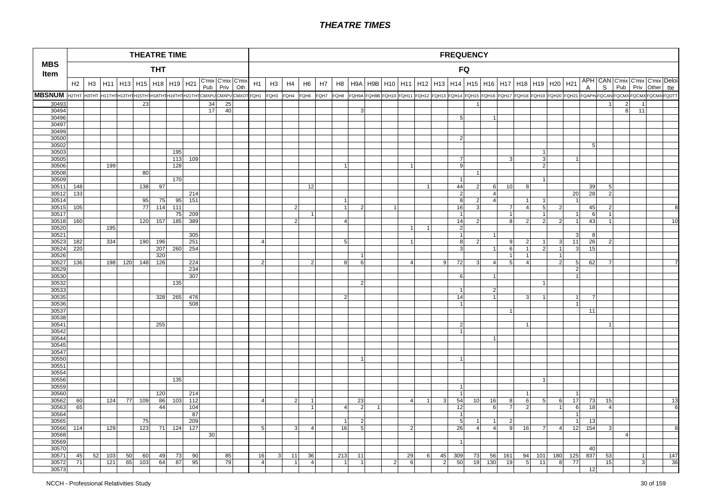|                                                                                      | <b>THEATRE TIME</b>             |    |            |    |                                   |          |                         |     |          |     |                |                |                |                                  |    |                      |                                                                                                                                              |                |                         |                |                |                      | <b>FREQUENCY</b>                               |                                  |                                             |                                       |                                  |                |                                |                |                                 |           |
|--------------------------------------------------------------------------------------|---------------------------------|----|------------|----|-----------------------------------|----------|-------------------------|-----|----------|-----|----------------|----------------|----------------|----------------------------------|----|----------------------|----------------------------------------------------------------------------------------------------------------------------------------------|----------------|-------------------------|----------------|----------------|----------------------|------------------------------------------------|----------------------------------|---------------------------------------------|---------------------------------------|----------------------------------|----------------|--------------------------------|----------------|---------------------------------|-----------|
| <b>MBS</b><br>Item                                                                   | <b>THT</b><br>C'mix C'mix C'mix |    |            |    |                                   |          |                         |     |          |     |                |                |                |                                  |    |                      |                                                                                                                                              |                |                         |                |                |                      | <b>FQ</b>                                      |                                  |                                             |                                       |                                  |                |                                |                |                                 |           |
|                                                                                      | H2                              | H3 |            |    | H11   H13   H15   H18   H19   H21 |          |                         |     |          |     | H1             | H3             | H4             | H <sub>6</sub>                   | H7 | H <sub>8</sub>       | H9A   H9B   H10   H11   H12   H13   H14   H15   H16   H17   H18   H19   H20   H21                                                            |                |                         |                |                |                      |                                                |                                  |                                             |                                       |                                  | Δ              | $\mathcal{S}$                  |                | APH CAN C'mix C'mix C'mix Deloi |           |
| MBSNUM H2THT H3THT H11THTH13THTH15THTH18THTH19THTH21THTCMXPUCMXPVCMXOTFQH1 FQH3 FQH4 |                                 |    |            |    |                                   |          |                         | Pub | Priv     | Oth |                |                |                |                                  |    |                      | ғанв  ғант  ғанв  ғанза ғанзв ған10 ған11 ған12 ған13 ған14 ған15 ған16 ған17 ған18 ған19 ған20 ған21 ғалғн ғаслм ғасмх ғасмх ғасмх ғасмх ға |                |                         |                |                |                      |                                                |                                  |                                             |                                       |                                  |                |                                |                | Pub Priv Other tte              |           |
| 30493                                                                                |                                 |    |            |    | 23                                |          |                         | 34  | 25       |     |                |                |                |                                  |    |                      |                                                                                                                                              |                |                         |                |                |                      | $\overline{1}$                                 |                                  |                                             |                                       |                                  |                | $\overline{1}$                 | $\overline{2}$ | $\overline{1}$                  |           |
| 30494                                                                                |                                 |    |            |    |                                   |          |                         | 17  | 40       |     |                |                |                |                                  |    |                      | 3 <sup>1</sup>                                                                                                                               |                |                         |                |                |                      |                                                | 1 <sup>1</sup>                   |                                             |                                       |                                  |                |                                | 8              | 11                              |           |
| 30496<br>30497                                                                       |                                 |    |            |    |                                   |          |                         |     |          |     |                |                |                |                                  |    |                      |                                                                                                                                              |                |                         |                |                |                      | 5 <sub>l</sub>                                 |                                  |                                             |                                       |                                  |                |                                |                |                                 |           |
| 30499                                                                                |                                 |    |            |    |                                   |          |                         |     |          |     |                |                |                |                                  |    |                      |                                                                                                                                              |                |                         |                |                |                      |                                                |                                  |                                             |                                       |                                  |                |                                |                |                                 |           |
| 30500                                                                                |                                 |    |            |    |                                   |          |                         |     |          |     |                |                |                |                                  |    |                      |                                                                                                                                              |                |                         |                |                |                      | 2                                              |                                  |                                             |                                       |                                  |                |                                |                |                                 |           |
| 30502<br>30503                                                                       |                                 |    |            |    |                                   |          | 195                     |     |          |     |                |                |                |                                  |    |                      |                                                                                                                                              |                |                         |                |                |                      |                                                |                                  |                                             | 1                                     |                                  | 5              |                                |                |                                 |           |
| 30505                                                                                |                                 |    |            |    |                                   |          | 113<br>109              |     |          |     |                |                |                |                                  |    |                      |                                                                                                                                              |                |                         |                |                |                      | $\overline{7}$                                 |                                  | $\mathbf{3}$                                | 3 <sup>1</sup>                        | 11                               |                |                                |                |                                 |           |
| 30506                                                                                |                                 |    | 199        |    |                                   |          | 128                     |     |          |     |                |                |                |                                  |    | $\mathbf{1}$         |                                                                                                                                              |                | $\overline{\mathbf{1}}$ |                |                |                      | 9                                              |                                  |                                             | 2 <sup>1</sup>                        |                                  |                |                                |                |                                 |           |
| 30508                                                                                |                                 |    |            |    | 80                                |          |                         |     |          |     |                |                |                |                                  |    |                      |                                                                                                                                              |                |                         |                |                |                      | $\vert$ 1                                      |                                  |                                             |                                       |                                  |                |                                |                |                                 |           |
| 30509<br>30511                                                                       | 148                             |    |            |    | 97<br>138                         |          | 170                     |     |          |     |                |                |                | 12                               |    |                      |                                                                                                                                              |                |                         |                |                | $\overline{1}$<br>44 | $\overline{2}$                                 | $6 \overline{6}$                 | 10<br>8 <sup>1</sup>                        | $\mathbf{1}$                          |                                  | 39             | 5                              |                |                                 |           |
| 30512                                                                                | 133                             |    |            |    |                                   |          | 214                     |     |          |     |                |                |                |                                  |    |                      |                                                                                                                                              |                |                         |                |                |                      | $\overline{2}$                                 | 4 <sup>1</sup>                   |                                             |                                       | 20                               | 28             | $\overline{2}$                 |                |                                 |           |
| 30514                                                                                |                                 |    |            |    | 75<br>95                          |          | 95<br>151               |     |          |     |                |                |                |                                  |    | 1                    |                                                                                                                                              |                |                         |                |                |                      | 8<br>2                                         | $\vert$ 4                        | 1                                           | $\mathbf{1}$                          | $\overline{1}$                   |                |                                |                |                                 |           |
| 30515                                                                                | 105                             |    |            |    | 77<br>114                         |          | 111                     |     |          |     |                |                | $\overline{2}$ |                                  |    | 11                   | 2 <sup>1</sup>                                                                                                                               | 11             |                         |                |                | 16                   | 3 <sup>1</sup>                                 |                                  | $\overline{4}$<br>$\overline{7}$            | 5 <sub>5</sub><br>2                   |                                  | 45             | $\overline{2}$                 |                |                                 | 8         |
| 30517<br>30518                                                                       | 160                             |    |            |    | 157<br>120                        |          | 75<br>209<br>389<br>185 |     |          |     |                |                | $\overline{2}$ | 1 <sup>1</sup>                   |    | $\vert$              |                                                                                                                                              |                |                         |                |                | 14                   | $\overline{2}$                                 |                                  | $\mathbf{1}$<br>8<br>2 <sup>1</sup>         | $\mathbf{1}$<br>2 <sup>1</sup><br>2   | 1<br>1                           | 6<br>43        | $\overline{1}$<br>$\mathbf{1}$ |                |                                 | 10        |
| 30520                                                                                |                                 |    | 195        |    |                                   |          |                         |     |          |     |                |                |                |                                  |    |                      |                                                                                                                                              |                |                         | $\overline{1}$ |                |                      | $\overline{2}$                                 |                                  |                                             |                                       |                                  |                |                                |                |                                 |           |
| 30521                                                                                |                                 |    |            |    |                                   |          | 305                     |     |          |     |                |                |                |                                  |    |                      |                                                                                                                                              |                |                         |                |                | 1                    |                                                | 1 <sup>1</sup>                   |                                             |                                       | $\overline{3}$                   | 8              |                                |                |                                 |           |
| 30523                                                                                | 182                             |    | 334        |    | 190<br>196                        |          | 251                     |     |          |     | $\vert$ 4      |                |                |                                  |    | 5 <sub>l</sub>       |                                                                                                                                              |                | $\overline{1}$          |                |                |                      | 8 <sup>1</sup><br>$2 \vert$                    |                                  | 9<br>$\overline{2}$                         | $\mathbf{1}$                          | 11<br>3 <sup>1</sup>             | 26             | $\overline{2}$                 |                |                                 |           |
| 30524<br>30526                                                                       | 220                             |    |            |    | 320                               | 207 260  | 254                     |     |          |     |                |                |                |                                  |    |                      | $\mathbf{1}$                                                                                                                                 |                |                         |                |                |                      | $\overline{3}$                                 | 1                                | $6\overline{6}$<br>1<br>$\overline{1}$<br>1 | $\overline{2}$<br>$\overline{1}$<br>1 | $\overline{3}$                   | 15             |                                |                |                                 |           |
| 30527                                                                                | 136                             |    | 198        |    | 120 148<br>126                    |          | 224                     |     |          |     | $\overline{2}$ |                |                | 2 <sup>1</sup>                   |    | 8 <sup>1</sup>       | 6                                                                                                                                            |                | $\overline{4}$          |                | 9              | 72                   |                                                | 3 <sup>l</sup><br>$\overline{4}$ | $5\overline{)}$<br>4 <sup>1</sup>           |                                       | $\overline{2}$<br>5 <sup>1</sup> | 62             | $\overline{7}$                 |                |                                 |           |
| 30529                                                                                |                                 |    |            |    |                                   |          | 234                     |     |          |     |                |                |                |                                  |    |                      |                                                                                                                                              |                |                         |                |                |                      |                                                |                                  |                                             |                                       | 2                                |                |                                |                |                                 |           |
| 30530                                                                                |                                 |    |            |    |                                   |          | 307                     |     |          |     |                |                |                |                                  |    |                      |                                                                                                                                              |                |                         |                |                |                      | 6 <sup>1</sup>                                 | 1 <sup>1</sup>                   |                                             |                                       | 1 <sup>1</sup>                   |                |                                |                |                                 |           |
| 30532<br>30533                                                                       |                                 |    |            |    |                                   |          | 135                     |     |          |     |                |                |                |                                  |    |                      | 2                                                                                                                                            |                |                         |                |                |                      | $\vert$ 1                                      | 2                                |                                             | $\mathbf{1}$                          |                                  |                |                                |                |                                 |           |
| 30535                                                                                |                                 |    |            |    | 328                               |          | 265<br>476              |     |          |     |                |                |                |                                  |    | $\overline{2}$       |                                                                                                                                              |                |                         |                |                | 14                   |                                                | 11                               | 3                                           | $\mathbf 1$                           | 11                               | $\overline{7}$ |                                |                |                                 |           |
| 30536                                                                                |                                 |    |            |    |                                   |          | 508                     |     |          |     |                |                |                |                                  |    |                      |                                                                                                                                              |                |                         |                |                |                      | 11                                             |                                  |                                             |                                       | $\vert$ 1                        |                |                                |                |                                 |           |
| 30537                                                                                |                                 |    |            |    |                                   |          |                         |     |          |     |                |                |                |                                  |    |                      |                                                                                                                                              |                |                         |                |                |                      |                                                |                                  |                                             |                                       |                                  | 11             |                                |                |                                 |           |
| 30538<br>30541                                                                       |                                 |    |            |    | 255                               |          |                         |     |          |     |                |                |                |                                  |    |                      |                                                                                                                                              |                |                         |                |                |                      | 2                                              |                                  | $\overline{1}$                              |                                       |                                  |                | $\mathbf{1}$                   |                |                                 |           |
| 30542                                                                                |                                 |    |            |    |                                   |          |                         |     |          |     |                |                |                |                                  |    |                      |                                                                                                                                              |                |                         |                |                | $\mathbf{1}$         |                                                |                                  |                                             |                                       |                                  |                |                                |                |                                 |           |
| 30544                                                                                |                                 |    |            |    |                                   |          |                         |     |          |     |                |                |                |                                  |    |                      |                                                                                                                                              |                |                         |                |                |                      |                                                | 1 <sup>1</sup>                   |                                             |                                       |                                  |                |                                |                |                                 |           |
| 30545                                                                                |                                 |    |            |    |                                   |          |                         |     |          |     |                |                |                |                                  |    |                      |                                                                                                                                              |                |                         |                |                |                      |                                                |                                  |                                             |                                       |                                  |                |                                |                |                                 |           |
| 30547<br>30550                                                                       |                                 |    |            |    |                                   |          |                         |     |          |     |                |                |                |                                  |    |                      | $\mathbf{1}$                                                                                                                                 |                |                         |                |                |                      | 1                                              |                                  |                                             |                                       |                                  |                |                                |                |                                 |           |
| 30551                                                                                |                                 |    |            |    |                                   |          |                         |     |          |     |                |                |                |                                  |    |                      |                                                                                                                                              |                |                         |                |                |                      |                                                |                                  |                                             |                                       |                                  |                |                                |                |                                 |           |
| 30554                                                                                |                                 |    |            |    |                                   |          |                         |     |          |     |                |                |                |                                  |    |                      |                                                                                                                                              |                |                         |                |                |                      |                                                |                                  |                                             |                                       |                                  |                |                                |                |                                 |           |
| 30556                                                                                |                                 |    |            |    |                                   |          | 135                     |     |          |     |                |                |                |                                  |    |                      |                                                                                                                                              |                |                         |                |                |                      |                                                |                                  |                                             | $\mathbf{1}$                          |                                  |                |                                |                |                                 |           |
| 30559<br>30560                                                                       |                                 |    |            |    | 120                               |          | 214                     |     |          |     |                |                |                |                                  |    |                      |                                                                                                                                              |                |                         |                |                | $\mathbf{1}$         | 1                                              |                                  |                                             |                                       |                                  |                |                                |                |                                 |           |
| 30562                                                                                | 60                              |    | 124        |    | 77 109                            | 86       | 103<br>112              |     |          |     | $\overline{4}$ |                |                | 2 <sup>1</sup><br>$\overline{1}$ |    |                      | 23                                                                                                                                           |                | $\overline{4}$          | $\mathbf{1}$   | 3 <sup>1</sup> | 54                   | 10                                             | 16                               | 6<br>8                                      | 5 <sub>l</sub><br>6                   | 17                               | 73             | 15                             |                |                                 | 13        |
| 30563                                                                                | 65                              |    |            |    |                                   | 44       | 104                     |     |          |     |                |                |                | 1 <sup>1</sup>                   |    | 4                    | $\overline{2}$<br>11                                                                                                                         |                |                         |                |                | 12                   |                                                | 6                                | $\overline{2}$<br>$\overline{7}$            | 1                                     | 6                                | 18             | $\overline{4}$                 |                |                                 | 6         |
| 30564                                                                                |                                 |    |            |    |                                   |          | 87                      |     |          |     |                |                |                |                                  |    |                      |                                                                                                                                              |                |                         |                |                |                      | 1                                              |                                  |                                             |                                       | 11                               |                |                                |                |                                 |           |
| 30565<br>30566                                                                       | 114                             |    | 129        |    | 75<br>123                         | 71       | 209<br>127<br>124       |     |          |     | 5 <sub>l</sub> |                |                | 3 <sup>1</sup><br>4 <sup>1</sup> |    | $\overline{1}$<br>16 | 2 <sup>1</sup><br>5 <sub>l</sub>                                                                                                             |                | $\overline{2}$          |                |                | 26                   | $5\phantom{.0}$<br>$\vert$ 1<br>$\overline{4}$ | 1<br>$\vert$ 4                   | $\overline{2}$<br>9<br>16                   | $\overline{7}$<br>$\overline{4}$      | 1<br>12                          | 13<br>154      | $\mathbf{3}$                   |                |                                 | 8         |
| 30568                                                                                |                                 |    |            |    |                                   |          |                         | 30  |          |     |                |                |                |                                  |    |                      |                                                                                                                                              |                |                         |                |                |                      |                                                |                                  |                                             |                                       |                                  |                |                                | $\overline{4}$ |                                 |           |
| 30569                                                                                |                                 |    |            |    |                                   |          |                         |     |          |     |                |                |                |                                  |    |                      |                                                                                                                                              |                |                         |                |                | $\mathbf{1}$         |                                                |                                  |                                             |                                       |                                  |                |                                |                |                                 |           |
| 30570                                                                                |                                 |    |            |    |                                   |          |                         |     |          |     |                |                |                |                                  |    |                      |                                                                                                                                              |                |                         |                |                |                      |                                                |                                  |                                             |                                       |                                  | 40             |                                |                |                                 |           |
| 30571                                                                                | 45<br>71                        | 52 | 103<br>121 | 50 | 60<br>103                         | 49<br>64 | 73<br>90<br>95<br>87    |     | 85<br>79 |     | 16             | 3 <sup>1</sup> | 11             | 36                               |    | 213                  | 11                                                                                                                                           |                | 29<br>6                 | 6              | 45             | 309<br>50            | 73<br>19                                       | 56<br>130                        | 94<br>161<br>5 <sub>1</sub><br>19           | 101<br>180<br>11                      | 125<br>77                        | 837            | 53<br>15                       |                | $\mathbf{1}$<br>$\overline{3}$  | 147<br>36 |
| 30572<br>30573                                                                       |                                 |    |            | 65 |                                   |          |                         |     |          |     | $\vert$ 4      |                | $\overline{1}$ | $\vert$ 4                        |    | $\overline{1}$       | $\vert$                                                                                                                                      | $\overline{2}$ |                         |                | $\overline{2}$ |                      |                                                |                                  |                                             | 8                                     |                                  | 12             |                                |                |                                 |           |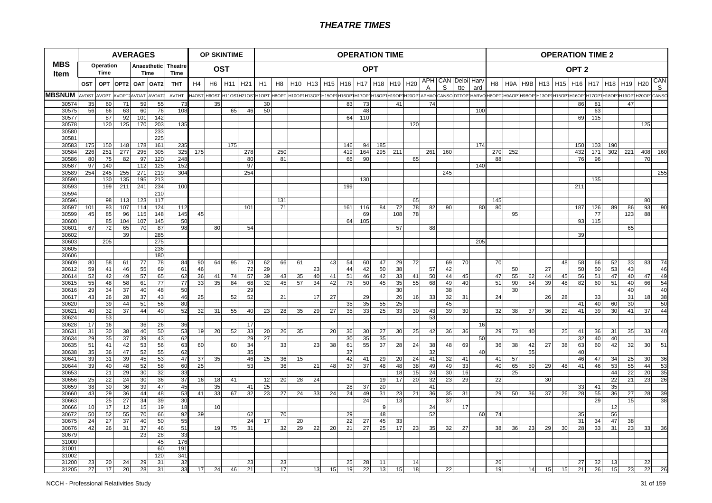|                    |            |                          |                  | <b>AVERAGES</b>    |             |                        |          |                | <b>OP SKINTIME</b> |                 |          |                                                                                                    |          |                 |          |                 |                 | <b>OPERATION TIME</b> |                                               |          |                 |                                |          |                 |                |          |          |                                                                   |          |                  | <b>OPERATION TIME 2</b> |          |                                                                                 |                 |           |
|--------------------|------------|--------------------------|------------------|--------------------|-------------|------------------------|----------|----------------|--------------------|-----------------|----------|----------------------------------------------------------------------------------------------------|----------|-----------------|----------|-----------------|-----------------|-----------------------|-----------------------------------------------|----------|-----------------|--------------------------------|----------|-----------------|----------------|----------|----------|-------------------------------------------------------------------|----------|------------------|-------------------------|----------|---------------------------------------------------------------------------------|-----------------|-----------|
| <b>MBS</b><br>Item |            | Operation<br><b>Time</b> |                  | <b>Time</b>        | Anaesthetic | <b>Theatre</b><br>Time |          |                | <b>OST</b>         |                 |          |                                                                                                    |          |                 |          |                 | <b>OPT</b>      |                       |                                               |          |                 |                                |          |                 |                |          |          |                                                                   |          | OPT <sub>2</sub> |                         |          |                                                                                 |                 |           |
|                    | <b>OST</b> | <b>OPT</b>               | OPT <sub>2</sub> |                    | OAT OAT2    | <b>THT</b>             | H4       | H <sub>6</sub> | H <sub>11</sub>    | H <sub>21</sub> | H1       | H <sub>8</sub>                                                                                     |          |                 |          |                 |                 |                       | H10   H13   H15   H16   H17   H18   H19   H20 |          |                 | APH   CAN   Deloi   Harv<br>S. | tte      | ard             | H <sub>8</sub> | H9A      |          | H9B H13 H15                                                       |          |                  |                         |          | H <sub>16</sub> H <sub>17</sub> H <sub>18</sub> H <sub>19</sub> H <sub>20</sub> |                 | CAN<br>S. |
| <b>MBSNUM</b>      |            | VOST AVOPT               |                  | AVOPT2AVOAT AVOAT2 |             | AVTHT                  | 14OST    |                | H6OST H11OS1H21OS  |                 |          | 110PT   H8OPT   H10OPT H13OPT H15OPT H16OPT H17OPT H18OPT H19OPT H20OPT AP HAO CANSO DTT OPT HARVO |          |                 |          |                 |                 |                       |                                               |          |                 |                                |          |                 |                |          |          | H8OPT/H9AOP H9BOP H13OP H15OP H16OP H17OP H18OP H19OP H20OP CANSO |          |                  |                         |          |                                                                                 |                 |           |
| 30574              | 35         | 60                       | 71               | 59                 | 55          | -73                    |          | 35             |                    |                 | 30       |                                                                                                    |          |                 |          | 83              | 73              |                       | 41                                            |          | 74              |                                |          |                 |                |          |          |                                                                   |          | 86               | 81                      |          | 47                                                                              |                 |           |
| 30575              | 56         | 66                       | 63               | 60                 | 76          | 108                    |          |                | 65                 | 46              | 50       |                                                                                                    |          |                 |          |                 | 48              |                       |                                               |          |                 |                                |          | 100             |                |          |          |                                                                   |          |                  | 63                      |          |                                                                                 |                 |           |
| 30577<br>30578     |            | 87<br>120                | 92<br>125        | 101<br>170         | 142<br>203  | 135                    |          |                |                    |                 |          |                                                                                                    |          |                 |          | 64              | 110             |                       |                                               | 120      |                 |                                |          |                 |                |          |          |                                                                   |          | 69               | 115                     |          |                                                                                 | 125             |           |
| 30580              |            |                          |                  |                    | 233         |                        |          |                |                    |                 |          |                                                                                                    |          |                 |          |                 |                 |                       |                                               |          |                 |                                |          |                 |                |          |          |                                                                   |          |                  |                         |          |                                                                                 |                 |           |
| 30581              |            |                          |                  |                    | 225         |                        |          |                |                    |                 |          |                                                                                                    |          |                 |          |                 |                 |                       |                                               |          |                 |                                |          |                 |                |          |          |                                                                   |          |                  |                         |          |                                                                                 |                 |           |
| 30583              | 175        | 150                      | 148              | 178                | 161         | 235                    |          |                | 175                |                 |          |                                                                                                    |          |                 |          | 146             | 94              | 185                   |                                               |          |                 |                                |          | 174             |                |          |          |                                                                   |          | 150              | 103                     | 190      |                                                                                 |                 |           |
| 30584<br>30586     | 226<br>80  | 251<br>75                | 277<br>82        | 295<br>97          | 305<br>120  | 325<br>248             | 175      |                |                    | 278<br>80       |          | 250<br>81                                                                                          |          |                 |          | 419<br>66       | 164<br>90       | 295                   | 211                                           | 65       | 261             | 160                            |          |                 | 270<br>88      | 252      |          |                                                                   |          | 432<br>76        | 171<br>96               | 302      | 221                                                                             | 408<br>70       | 160       |
| 30587              | 97         | 140                      |                  | 112                | 125         | 152                    |          |                |                    | 97              |          |                                                                                                    |          |                 |          |                 |                 |                       |                                               |          |                 |                                |          | 14 <sub>C</sub> |                |          |          |                                                                   |          |                  |                         |          |                                                                                 |                 |           |
| 30589              | 254        | 245                      | 255              | 271                | 219         | 304                    |          |                |                    | 254             |          |                                                                                                    |          |                 |          |                 |                 |                       |                                               |          |                 | 245                            |          |                 |                |          |          |                                                                   |          |                  |                         |          |                                                                                 |                 | 255       |
| 30590              |            | 130                      | 135              | 195                | 213         |                        |          |                |                    |                 |          |                                                                                                    |          |                 |          |                 | 130             |                       |                                               |          |                 |                                |          |                 |                |          |          |                                                                   |          |                  | 135                     |          |                                                                                 |                 |           |
| 30593              |            | 199                      | 211              | 241                | 234         | 100                    |          |                |                    |                 |          |                                                                                                    |          |                 |          | 199             |                 |                       |                                               |          |                 |                                |          |                 |                |          |          |                                                                   |          | 211              |                         |          |                                                                                 |                 |           |
| 30594<br>30596     |            | 98                       | 113              | 123                | 210<br>117  |                        |          |                |                    |                 |          | 131                                                                                                |          |                 |          |                 |                 |                       |                                               | 65       |                 |                                |          |                 | 145            |          |          |                                                                   |          |                  |                         |          |                                                                                 | 80              |           |
| 30597              | 101        | 93                       | 107              | 114                | 124         | 112                    |          |                |                    | 101             |          | 71                                                                                                 |          |                 |          | 161             | 116             | 84                    | 72                                            | 78       | 82              | 90                             |          | 80              | 80             |          |          |                                                                   |          | 187              | 126                     | 89       | 86                                                                              | 93              | 90        |
| 30599              | 45         | 85                       | 96               | 115                | 148         | 145                    | 45       |                |                    |                 |          |                                                                                                    |          |                 |          |                 | 69              |                       | 108                                           | 78       |                 |                                |          |                 |                | 95       |          |                                                                   |          |                  | 77                      |          | 123                                                                             | 88              |           |
| 30600              |            | 85                       | 104              | 107                | 145         | 50                     |          |                |                    |                 |          |                                                                                                    |          |                 |          | 64              | 105             |                       |                                               |          |                 |                                |          |                 |                |          |          |                                                                   |          | 93               | 115                     |          |                                                                                 |                 |           |
| 30601              | 67         | 72                       | 65               | 70                 | 87          | 98                     |          | 80             |                    | 54              |          |                                                                                                    |          |                 |          |                 |                 |                       | 57                                            |          | 88              |                                |          |                 |                |          |          |                                                                   |          |                  |                         |          | 65                                                                              |                 |           |
| 30602<br>30603     |            | 205                      | 39               |                    | 285<br>275  |                        |          |                |                    |                 |          |                                                                                                    |          |                 |          |                 |                 |                       |                                               |          |                 |                                |          | 205             |                |          |          |                                                                   |          | 39               |                         |          |                                                                                 |                 |           |
| 30605              |            |                          |                  |                    | 236         |                        |          |                |                    |                 |          |                                                                                                    |          |                 |          |                 |                 |                       |                                               |          |                 |                                |          |                 |                |          |          |                                                                   |          |                  |                         |          |                                                                                 |                 |           |
| 30606              |            |                          |                  |                    | 180         |                        |          |                |                    |                 |          |                                                                                                    |          |                 |          |                 |                 |                       |                                               |          |                 |                                |          |                 |                |          |          |                                                                   |          |                  |                         |          |                                                                                 |                 |           |
| 30609              | 80         | 58                       | 61               | 77                 | 78          | 84                     | 90       | 64             | 95                 | 73              | 62       | 66                                                                                                 | 61       |                 | 43       | 54              | 60              | 47                    | 29                                            | 72       |                 | 69                             | 70       |                 | 70             |          |          |                                                                   | 48       | 58               | 66                      | 52       | 33                                                                              | 83              | 74        |
| 30612              | 59         | 41                       | 46               | 55                 | 69          | 61                     | 46       |                |                    | 72              | 29       |                                                                                                    |          | 23              |          | 44              | 42              | 50                    | 38                                            |          | 57              | 42                             |          |                 |                | 50       |          | 27                                                                |          | 50               | 50                      | 53       | 43                                                                              |                 | 46        |
| 30614<br>30615     | 52<br>55   | 42<br>48                 | 49<br>58         | 57<br>61           | 65<br>77    | 62<br>77               | 36<br>33 | 41<br>35       | 74<br>84           | 57<br>68        | 39<br>32 | 43<br>45                                                                                           | 35<br>57 | 40<br>34        | 41<br>42 | 51<br>76        | 46<br>50        | 42<br>45              | 33<br>35                                      | 41<br>55 | 50<br>68        | 44<br>49                       | 45<br>40 |                 | 47<br>51       | 55<br>90 | 62<br>54 | 44<br>39                                                          | 45<br>48 | 56<br>82         | 51<br>60                | 47<br>51 | 40<br>40                                                                        | 47<br>66        | 49<br>54  |
| 30616              | 29         | 34                       | 37               | 40                 | 48          | 50                     |          |                |                    | 29              |          |                                                                                                    |          |                 |          |                 |                 |                       | 30                                            |          |                 | 38                             |          |                 |                | 30       |          |                                                                   |          |                  |                         |          | 40                                                                              |                 | 40        |
| 30617              | 43         | 26                       | 28               | 37                 | 43          | 46                     | 25       |                | 52                 | 52              |          | 21                                                                                                 |          | 17 <sup>1</sup> | 27       |                 | 29              |                       | 26                                            | 16       | 33              | 32                             | 31       |                 | 24             |          |          | 26                                                                | 28       |                  | 33                      |          | 31                                                                              | 18              | 38        |
| 30620              |            | 39                       | 44               | 51                 | 56          | 80                     |          |                |                    |                 |          |                                                                                                    |          |                 |          | 35 <sub>1</sub> | 35              | 55                    | 25                                            |          |                 | 45                             |          |                 |                |          |          |                                                                   |          | 41               | 40                      | 60       | 30                                                                              |                 | 50        |
| 30621<br>30624     | 40         | 32<br>53                 | 37               | 44                 | 49          | 52                     | 32       | 31             | 55                 | 40              | 23       | 28                                                                                                 | 35       | 29              | 27       | 35              | 33              | 25                    | 33                                            | 30       | 43<br>53        | 39                             | 30       |                 | 32             | 38       | 37       | 36                                                                | 29       | 41               | 39                      | 30       | 41                                                                              | 37              | 44        |
| 30628              | 17         | 16                       |                  | 36                 | 26          | 36                     |          |                |                    | 17              |          |                                                                                                    |          |                 |          |                 |                 |                       |                                               |          |                 |                                |          | 16              |                |          |          |                                                                   |          |                  |                         |          |                                                                                 |                 |           |
| 3063'              | 31         | 30                       | 38               | 40                 | 50          | 53                     | 19       | 20             | 52                 | 33              | 20       | 26                                                                                                 | 35       |                 | 20       | 36              | 30              | 27                    | 30                                            | 25       | 42              | 36                             | 36       |                 | 29             | 73       | 40       |                                                                   | 25       | 41               | 36                      | 31       | 35                                                                              | 33              | 40        |
| 30634              | 29         | 35                       | 37               | 39                 | 43          | 62                     |          |                |                    | 29              | 27       |                                                                                                    |          |                 |          | 30              | 35              | 35                    |                                               |          |                 |                                |          | 50              |                |          |          |                                                                   |          | 32               | 40                      | 40       |                                                                                 |                 |           |
| 30635              | 51         | 41                       | 42               | 53                 | 56          | 63                     | 60       |                | 60                 | 34              |          | 33                                                                                                 |          | 23              | 38       | 61              | 55              | 37                    | 28                                            | 24       | 38              | 48                             | 69       |                 | 36             | 38       | 42       | 27                                                                | 38       | 63               | 60                      | 42       | 32                                                                              | 30 <sub>2</sub> | 51        |
| 30638<br>30641     | 35<br>39   | 36<br>31                 | 47<br>39         | 52<br>45           | 55<br>53    | 62<br>47               | 37       | 35             |                    | 35<br>46        | 25       | 36                                                                                                 | 15       |                 |          | 37<br>42        | 41              | 29                    | 20                                            | 24       | 32<br>41        | 32                             | 41       | 40              | 41             | 57       | 55       |                                                                   |          | 40<br>46         | 47                      | 34       | 25                                                                              | 30              | 36        |
| 30644              | 39         | 40                       | 48               | 52                 | 58          | 60                     | 25       |                |                    | 53              |          | 36                                                                                                 |          | 21              | 48       | 37              | 37              | 48                    | 48                                            | 38       | 49              | 49                             | 33       |                 | 40             | 65       | 50       | 29                                                                | 48       | 41               | 46                      | 53       | 55                                                                              | 44              | 53        |
| 30653              |            | 21                       | 29               | 30                 | 32          | 33                     |          |                |                    |                 |          |                                                                                                    |          |                 |          |                 |                 |                       | 18                                            | 15       | 24              | 30 <sub>0</sub>                | 16       |                 |                | 25       |          |                                                                   |          |                  |                         | 44       | 22                                                                              | 20              | 35        |
| 30656              | 25         | 22                       | 24               | 30                 | 36          | 37                     | 16       | 18             | 41                 |                 | 12       | 20                                                                                                 | 28       | 24              |          |                 |                 | 19                    | 17                                            | 20       | 32              | 23                             | 29       |                 | 22             |          |          | 30                                                                |          |                  |                         | 22       | 21                                                                              | 23              | 26        |
| 30659              | 38         | 30                       | 36               | 39                 | 47          | 45                     |          | 35             |                    | 41<br>32        | 25       |                                                                                                    |          |                 |          | 28              | 37 <sup>1</sup> | 20                    |                                               |          | 41              |                                |          |                 |                |          |          |                                                                   |          | 33               | 41                      | 35       |                                                                                 |                 |           |
| 30660<br>30663     | 43         | 29<br>25                 | 36<br>27         | 44<br>34           | 48<br>39    | 53<br>30               | 41       | 33             | 67                 |                 | 23       | 27                                                                                                 | 24       | 33              | 24       | 24              | 49<br>24        | 31                    | 23<br>13                                      | 21       | 36              | 35<br>37                       | 31       |                 | 29             | 50       | 36       | 37                                                                | 26       | 28               | 55<br>29                | 36       | 27<br>15                                                                        | 28              | 39<br>38  |
| 30666              | 10         | 17                       | 12               | 15                 | 19          | 18                     |          | 10             |                    |                 |          |                                                                                                    |          |                 |          |                 |                 | 9                     |                                               |          | 24              |                                | 17       |                 |                |          |          |                                                                   |          |                  |                         | 12       |                                                                                 |                 |           |
| 30672              | 50         | 52                       | 55               | 70                 | 66          | 92                     | 39       |                |                    | 62              |          | 70                                                                                                 |          |                 |          | 29              |                 | 48                    |                                               |          | 52              |                                |          | 60              | 74             |          |          |                                                                   |          | 35               |                         | 56       |                                                                                 |                 |           |
| 30675              | 24         | 27                       | 37               | 40                 | 50          | 55                     |          |                |                    | 24              | 17       |                                                                                                    | 20       |                 |          | 22              | 27              | 45                    | 33                                            |          |                 |                                |          |                 |                |          |          |                                                                   |          | 31               | 34                      | 47       | 38                                                                              |                 |           |
| 30676              | 42         | 26                       | 31               | 37<br>23           | 46          | 51                     |          | 19             | 75                 | 31              |          | 32                                                                                                 | 29       | 22              | 20       | 21              | 27              | 25                    | 17                                            | 23       | 35 <sub>1</sub> | 32                             | 27       |                 | 38             | 36       | 23       | 29                                                                | 30       | 28               | 33                      | 31       | 23                                                                              | 33              | 36        |
| 30679<br>31000     |            |                          |                  |                    | 28<br>45    | 33<br>176              |          |                |                    |                 |          |                                                                                                    |          |                 |          |                 |                 |                       |                                               |          |                 |                                |          |                 |                |          |          |                                                                   |          |                  |                         |          |                                                                                 |                 |           |
| 31001              |            |                          |                  |                    | 60          | 191                    |          |                |                    |                 |          |                                                                                                    |          |                 |          |                 |                 |                       |                                               |          |                 |                                |          |                 |                |          |          |                                                                   |          |                  |                         |          |                                                                                 |                 |           |
| 31002              |            |                          |                  |                    | 120         | 341                    |          |                |                    |                 |          |                                                                                                    |          |                 |          |                 |                 |                       |                                               |          |                 |                                |          |                 |                |          |          |                                                                   |          |                  |                         |          |                                                                                 |                 |           |
| 31200              | 23         | 20                       | 24               | 29                 | 31          | 32                     |          |                |                    | 23              |          | 23                                                                                                 |          |                 |          | 25              | 28              | 11                    |                                               | 14       |                 |                                |          |                 | 26             |          |          |                                                                   |          | 27               | 32                      | 13       |                                                                                 | 22              |           |
| 31205              | 27         | 17                       | 20               | 28                 | 31          | 33                     | 17       | 24             | 46                 | 21              |          | 17                                                                                                 |          | 13              | 15       | 19              | 22              | 13                    | 15                                            | 18       |                 | 22                             |          |                 | 19             |          | 14       | 15                                                                | 15       | 21               | 26                      | 15       | 23                                                                              | 22              | 26        |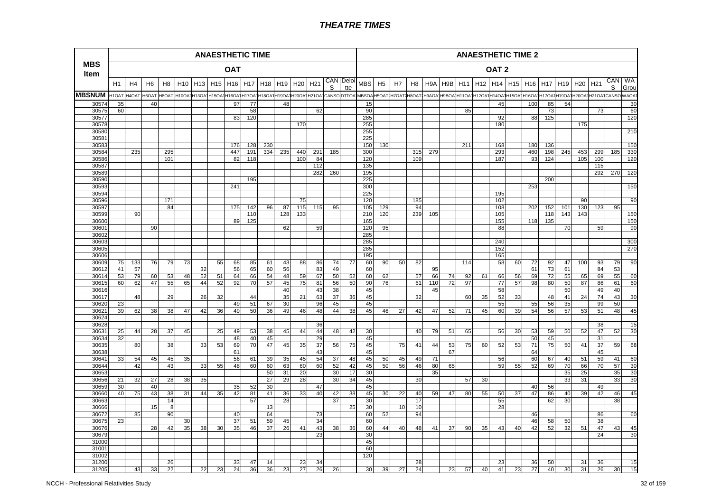|                           | <b>ANAESTHETIC TIME</b> |            |                |                |                 |    |                                                                                           |     |     |                                                 |     |     |                 |                |     |                 |                 |    |                | <b>ANAESTHETIC TIME 2</b> |     |     |    |                                                                                                      |     |     |                                                                 |     |                 |             |      |
|---------------------------|-------------------------|------------|----------------|----------------|-----------------|----|-------------------------------------------------------------------------------------------|-----|-----|-------------------------------------------------|-----|-----|-----------------|----------------|-----|-----------------|-----------------|----|----------------|---------------------------|-----|-----|----|------------------------------------------------------------------------------------------------------|-----|-----|-----------------------------------------------------------------|-----|-----------------|-------------|------|
| <b>MBS</b><br><b>Item</b> |                         | <b>OAT</b> |                |                |                 |    |                                                                                           |     |     |                                                 |     |     |                 |                |     |                 |                 |    |                |                           |     |     |    | OAT <sub>2</sub>                                                                                     |     |     |                                                                 |     |                 |             |      |
|                           | H1                      | H4         | H <sub>6</sub> | H <sub>8</sub> | H <sub>10</sub> |    | H <sub>13</sub> H <sub>15</sub> H <sub>16</sub> H <sub>17</sub>                           |     |     | H <sub>18</sub> H <sub>19</sub> H <sub>20</sub> |     |     | H <sub>21</sub> | CAN Deloi<br>S | tte | <b>MBS</b>      | H <sub>5</sub>  | H7 | H <sub>8</sub> | H <sub>9</sub> A          | H9B |     |    | H <sub>11</sub> H <sub>12</sub> H <sub>14</sub> H <sub>15</sub>                                      |     |     | H <sub>16</sub> H <sub>17</sub> H <sub>19</sub> H <sub>20</sub> |     | H <sub>21</sub> | CAN WA<br>S | Grou |
| <b>MBSNUM</b>             |                         |            |                |                |                 |    | H1OAT H4OAT H6OAT H8OAT H10OATH13OATH15OATH16OATH17OATH18OATH19OATH20OATH21OATCANSO DTTOA |     |     |                                                 |     |     |                 |                |     |                 |                 |    |                |                           |     |     |    | MBSOA H5OAT2H7OAT2H8OAT2H9AOA H9BOA H11OATH12OATH14OATH15OATH16OATH17OATH19OATH20OATH21OATCANSO WAOA |     |     |                                                                 |     |                 |             |      |
| 30574                     | 35                      |            | 40             |                |                 |    |                                                                                           | 97  | 77  |                                                 | 48  |     |                 |                |     | 15              |                 |    |                |                           |     |     |    | 45                                                                                                   | 100 | 85  | 54                                                              |     |                 |             | 30   |
| 30575                     | 60                      |            |                |                |                 |    |                                                                                           |     | 58  |                                                 |     |     | 62              |                |     | 90              |                 |    |                |                           |     | 85  |    |                                                                                                      |     | 73  |                                                                 |     | 73              |             | 60   |
| 30577                     |                         |            |                |                |                 |    |                                                                                           | 83  | 120 |                                                 |     |     |                 |                |     | 285             |                 |    |                |                           |     |     |    | 92                                                                                                   | 88  | 125 |                                                                 |     |                 |             | 120  |
| 30578<br>30580            |                         |            |                |                |                 |    |                                                                                           |     |     |                                                 |     | 170 |                 |                |     | 255<br>255      |                 |    |                |                           |     |     |    | 180                                                                                                  |     |     |                                                                 | 175 |                 |             | 210  |
| 30581                     |                         |            |                |                |                 |    |                                                                                           |     |     |                                                 |     |     |                 |                |     | 225             |                 |    |                |                           |     |     |    |                                                                                                      |     |     |                                                                 |     |                 |             |      |
| 30583                     |                         |            |                |                |                 |    |                                                                                           | 176 | 128 | 230                                             |     |     |                 |                |     | 150             | 130             |    |                |                           |     | 211 |    | 168                                                                                                  | 180 | 136 |                                                                 |     |                 |             | 150  |
| 30584                     |                         | 235        |                | 295            |                 |    |                                                                                           | 447 | 191 | 334                                             | 235 | 440 | 291             | 185            |     | 300             |                 |    | 315            | 279                       |     |     |    | 293                                                                                                  | 460 | 198 | 245                                                             | 453 | 299             | 185         | 330  |
| 30586                     |                         |            |                | 101            |                 |    |                                                                                           | 82  | 118 |                                                 |     | 100 | 84              |                |     | 120             |                 |    | 109            |                           |     |     |    | 187                                                                                                  | 93  | 124 |                                                                 | 105 | 100             |             | 120  |
| 30587                     |                         |            |                |                |                 |    |                                                                                           |     |     |                                                 |     |     | 112             |                |     | 135             |                 |    |                |                           |     |     |    |                                                                                                      |     |     |                                                                 |     | 115             |             |      |
| 30589                     |                         |            |                |                |                 |    |                                                                                           |     |     |                                                 |     |     | 282             | 260            |     | 195             |                 |    |                |                           |     |     |    |                                                                                                      |     |     |                                                                 |     | 292             | 270         | 120  |
| 30590<br>30593            |                         |            |                |                |                 |    |                                                                                           | 241 | 195 |                                                 |     |     |                 |                |     | 225<br>300      |                 |    |                |                           |     |     |    |                                                                                                      | 253 | 200 |                                                                 |     |                 |             | 150  |
| 30594                     |                         |            |                |                |                 |    |                                                                                           |     |     |                                                 |     |     |                 |                |     | 225             |                 |    |                |                           |     |     |    | 195                                                                                                  |     |     |                                                                 |     |                 |             |      |
| 30596                     |                         |            |                | 171            |                 |    |                                                                                           |     |     |                                                 |     | 75  |                 |                |     | 120             |                 |    | 185            |                           |     |     |    | 102                                                                                                  |     |     |                                                                 | 90  |                 |             | 90   |
| 30597                     |                         |            |                | 84             |                 |    |                                                                                           | 175 | 142 | 96                                              | 87  | 115 | 115             | 95             |     | 105             | 129             |    | 94             |                           |     |     |    | 108                                                                                                  | 202 | 152 | 101                                                             | 130 | 123             | 95          |      |
| 30599                     |                         | 90         |                |                |                 |    |                                                                                           |     | 110 |                                                 | 128 | 133 |                 |                |     | 210             | 120             |    | 239            | 105                       |     |     |    | 105                                                                                                  |     | 118 | 143                                                             | 143 |                 |             | 150  |
| 30600                     |                         |            |                |                |                 |    |                                                                                           | 89  | 125 |                                                 |     |     |                 |                |     | 165             |                 |    |                |                           |     |     |    | 155                                                                                                  | 118 | 135 |                                                                 |     |                 |             | 150  |
| 30601                     |                         |            | 90             |                |                 |    |                                                                                           |     |     |                                                 | 62  |     | 59              |                |     | 120             | 95              |    |                |                           |     |     |    | 88                                                                                                   |     |     | 70                                                              |     | 59              |             | 90   |
| 30602                     |                         |            |                |                |                 |    |                                                                                           |     |     |                                                 |     |     |                 |                |     | 285             |                 |    |                |                           |     |     |    |                                                                                                      |     |     |                                                                 |     |                 |             |      |
| 30603                     |                         |            |                |                |                 |    |                                                                                           |     |     |                                                 |     |     |                 |                |     | 285             |                 |    |                |                           |     |     |    | 240                                                                                                  |     |     |                                                                 |     |                 |             | 300  |
| 30605<br>30606            |                         |            |                |                |                 |    |                                                                                           |     |     |                                                 |     |     |                 |                |     | 285<br>195      |                 |    |                |                           |     |     |    | 152<br>165                                                                                           |     |     |                                                                 |     |                 |             | 270  |
| 30609                     | 75                      | 133        | 76             | 79             | 73              |    | 55                                                                                        | 68  | 85  | 61                                              | 43  | 88  | 86              | 74             | 77  | 60              | 90              | 50 | 82             |                           |     | 114 |    | 60<br>58                                                                                             | 72  | 92  | 47                                                              | 100 | 93              | 79          | 90   |
| 30612                     | 41                      | 57         |                |                |                 | 32 |                                                                                           | 56  | 65  | 60                                              | 56  |     | 83              | 49             |     | 60              |                 |    |                | 95                        |     |     |    |                                                                                                      | 61  | 73  | 61                                                              |     | 84              | 53          |      |
| 30614                     | 53                      | 79         | 60             | 53             | 48              | 52 | 51                                                                                        | 64  | 66  | 54                                              | 48  | 59  | 67              | 50             | 52  | 60              | 62              |    | 57             | 66                        | 74  | 92  | 61 | 66<br>56                                                                                             | 69  | 72  | 55                                                              | 65  | 69              | 55          | 60   |
| 30615                     | 60                      | 62         | 47             | 55             | 65              | 44 | 52                                                                                        | 92  | 70  | 57                                              | 45  | 75  | 81              | 56             | 50  | 90              | 76              |    | 61             | 110                       | 72  | 97  |    | 77<br>57                                                                                             | 98  | 80  | 50                                                              | 87  | 86              | 61          | 60   |
| 30616                     |                         |            |                |                |                 |    |                                                                                           |     |     |                                                 | 40  |     | 43              | 38             |     | 45              |                 |    |                | 45                        |     |     |    | 58                                                                                                   |     |     | 50                                                              |     | 49              | 40          |      |
| 30617                     |                         | 48         |                | 29             |                 | 26 | 32                                                                                        |     | 44  |                                                 | 35  | 21  | 63              | 37             | 36  | 45              |                 |    | 32             |                           |     | 60  | 35 | 33<br>52                                                                                             |     | 48  | 41                                                              | 24  | 74              | 43          | 30   |
| 30620                     | 23                      |            |                |                |                 |    |                                                                                           | 49  | 51  | 67                                              | 30  |     | 96              | 45             |     | 45              |                 |    |                |                           |     |     |    | 55                                                                                                   | 55  | 56  | 35                                                              |     | 99              | 50          |      |
| 30621<br>30624            | 39                      | 62         | 38             | 38             | 47              | 42 | 36                                                                                        | 49  | 50  | 36                                              | 49  | 46  | 48              | 44             | 38  | 45              | 46              | 27 | 42             | 47                        | 52  | 71  | 45 | 39<br>60                                                                                             | 54  | 56  | 57                                                              | 53  | 51              | 48          | 45   |
| 30628                     |                         |            |                |                |                 |    |                                                                                           |     |     |                                                 |     |     | 36              |                |     |                 |                 |    |                |                           |     |     |    |                                                                                                      |     |     |                                                                 |     | 38              |             | 15   |
| 30631                     | 25                      | 44         | 28             | 37             | 45              |    | 25                                                                                        | 49  | 53  | 38                                              | 45  | 44  | 44              | 48             | 42  | 30              |                 |    | 40             | 79                        | 51  | 65  |    | 56<br>30                                                                                             | 53  | 59  | 50                                                              | 52  | 47              | 52          | 30   |
| 30634                     | 32                      |            |                |                |                 |    |                                                                                           | 48  | 40  | 45                                              |     |     | 29              |                |     | 45              |                 |    |                |                           |     |     |    |                                                                                                      | 50  | 45  |                                                                 |     | 31              |             |      |
| 30635                     |                         | 80         |                | 38             |                 | 33 | 53                                                                                        | 69  | 70  | 47                                              | 45  | 35  | 37              | 56             | 75  | 45              |                 | 75 | 41             | 44                        | 53  | 75  | 60 | 52<br>53                                                                                             | 71  | 75  | 50                                                              | 41  | 37              | 59          | 68   |
| 30638                     |                         |            |                |                |                 |    |                                                                                           | 61  |     |                                                 |     |     | 43              |                |     | 45              |                 |    |                |                           | 67  |     |    |                                                                                                      | 64  |     |                                                                 |     | 45              |             |      |
| 30641                     | 33                      | 54         | 45             | 45             | 35              |    |                                                                                           | 56  | 61  | 39                                              | 35  | 45  | 54              | 37             | 48  | 45              | 50              | 45 | 49             | 71                        |     |     |    | 56                                                                                                   | 60  | 67  | 40                                                              | 51  | 59              | 41          | 60   |
| 30644                     |                         | 42         |                | 43             |                 | 33 | 55                                                                                        | 48  | 60  | 60                                              | 63  | 60  | 60              | 52             | 42  | 45              | 50              | 56 | 46             | 80                        | 65  |     |    | 59<br>55                                                                                             | 52  | 69  | 70                                                              | 66  | 70              | 57          | 30   |
| 30653                     |                         |            |                |                |                 |    |                                                                                           |     |     | 50                                              | 31  | 20  |                 | 30             | 17  | 30              |                 |    |                | 35                        |     |     |    |                                                                                                      |     |     | 35                                                              | 25  |                 | 35          | 30   |
| 30656<br>30659            | 21<br>30                | 32         | 27<br>40       | 28             | 38              | 35 |                                                                                           | 35  | 52  | 27<br>30                                        | 29  | 28  | 47              | 30             | 34  | 45<br>45        |                 |    | 30             |                           |     | 57  | 30 |                                                                                                      | 40  | 56  | 33                                                              | 31  | 49              | 33          | 30   |
| 30660                     | 40                      | 75         | 43             | 38             | 31              | 44 | 35                                                                                        | 42  | 81  | 41                                              | 36  | 33  | 40              | 42             | 38  | 45              | 30 <sup>1</sup> | 22 | 40             | 59                        | 47  | 80  | 55 | 37<br>50                                                                                             | 47  | 86  | 40                                                              | 39  | 42              | 46          | 45   |
| 30663                     |                         |            |                | 14             |                 |    |                                                                                           |     | 57  |                                                 | 28  |     |                 | 37             |     | 30              |                 |    | 17             |                           |     |     |    | 55                                                                                                   |     | 62  | 30                                                              |     |                 | 38          |      |
| 30666                     |                         |            | 15             | 8              |                 |    |                                                                                           |     |     | 13                                              |     |     |                 |                | 25  | 30              |                 | 10 | 10             |                           |     |     |    | 28                                                                                                   |     |     |                                                                 |     |                 |             |      |
| 30672                     |                         | 85         |                | 90             |                 |    |                                                                                           | 40  |     | 64                                              |     |     | 73              |                |     | 60              | 52              |    | 94             |                           |     |     |    |                                                                                                      | 46  |     |                                                                 |     | 86              |             | 60   |
| 30675                     | 23                      |            |                |                | 30              |    |                                                                                           | 37  | 51  | 59                                              | 45  |     | 34              |                |     | 60              |                 |    |                |                           |     |     |    |                                                                                                      | 46  | 58  | 50                                                              |     | 38              |             |      |
| 30676                     |                         |            | 28             | 42             | 35              | 38 | 30                                                                                        | 35  | 46  | 37                                              | 26  | 41  | 43              | 38             | 36  | 60              | 44              | 40 | 48             | 41                        | 37  | 90  | 35 | 43<br>40                                                                                             | 42  | 52  | 32                                                              | 51  | 47              | 43          | 45   |
| 30679                     |                         |            |                |                |                 |    |                                                                                           |     |     |                                                 |     |     | 23              |                |     | 30              |                 |    |                |                           |     |     |    |                                                                                                      |     |     |                                                                 |     | 24              |             | 30   |
| 31000                     |                         |            |                |                |                 |    |                                                                                           |     |     |                                                 |     |     |                 |                |     | 45              |                 |    |                |                           |     |     |    |                                                                                                      |     |     |                                                                 |     |                 |             |      |
| 31001<br>31002            |                         |            |                |                |                 |    |                                                                                           |     |     |                                                 |     |     |                 |                |     | 60<br>120       |                 |    |                |                           |     |     |    |                                                                                                      |     |     |                                                                 |     |                 |             |      |
| 31200                     |                         |            |                | 26             |                 |    |                                                                                           | 33  | 47  | 14                                              |     | 23  | 34              |                |     |                 |                 |    | 28             |                           |     |     |    | 23                                                                                                   | 36  | 50  |                                                                 | 31  | 36              |             | 15   |
| 31205                     |                         | 43         | 33             | 22             |                 | 22 | 23                                                                                        | 24  | 36  | 36                                              | 23  | 27  | 26              | 26             |     | 30 <sup>1</sup> | 39              | 27 | 24             |                           | 23  | 57  | 40 | 41<br>23                                                                                             | 27  | 40  | 30                                                              | 31  | 26              | 30          | 15   |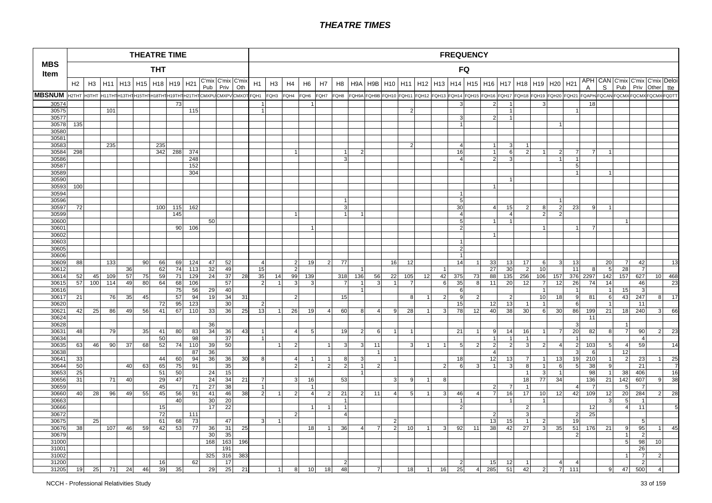|                                                                                      |     |                |                 |    | <b>THEATRE TIME</b> |          |          |          |                           |     |                |                |                |                                  |                |                      |                              |                                                    |                |                |                | <b>FREQUENCY</b>               |                  |                                  |                                                                                                                                        |                                       |                                         |                             |                                                            |                      |                       |                |     |
|--------------------------------------------------------------------------------------|-----|----------------|-----------------|----|---------------------|----------|----------|----------|---------------------------|-----|----------------|----------------|----------------|----------------------------------|----------------|----------------------|------------------------------|----------------------------------------------------|----------------|----------------|----------------|--------------------------------|------------------|----------------------------------|----------------------------------------------------------------------------------------------------------------------------------------|---------------------------------------|-----------------------------------------|-----------------------------|------------------------------------------------------------|----------------------|-----------------------|----------------|-----|
| <b>MBS</b><br>Item                                                                   |     |                |                 |    | <b>THT</b>          |          |          |          |                           |     |                |                |                |                                  |                |                      |                              |                                                    |                |                |                | <b>FQ</b>                      |                  |                                  |                                                                                                                                        |                                       |                                         |                             |                                                            |                      |                       |                |     |
|                                                                                      | H2  | H <sub>3</sub> | H <sub>11</sub> |    | H13 H15 H18 H19 H21 |          |          | Pub      | C'mix C'mix C'mix<br>Priv | Oth | H1             | H <sub>3</sub> | H <sub>4</sub> | H <sub>6</sub>                   | H7             | H <sub>8</sub>       | H9A                          | H9B H10 H11                                        |                |                |                |                                |                  |                                  | H12 H13 H14 H15 H16 H17 H18 H19 H20 H21                                                                                                |                                       |                                         | Δ                           | APH   CAN   C'mix   C'mix   C'mix   Deloi<br>$\mathcal{S}$ |                      | Pub Priv Other tte    |                |     |
| MBSNUM H2THT H3THT H11THTH13THTH15THTH18THTH19THTH21THTCMXPUCMXPVCMXOTFQH1 FQH3 FQH4 |     |                |                 |    |                     |          |          |          |                           |     |                |                |                |                                  |                |                      |                              |                                                    |                |                |                |                                |                  |                                  | ғанв  ғант  ғанз  ғанзл ғанзв ған10 ған11 ған12 ған13 ған14 ған15 ған16 ған17 ған18 ған19 ған20 ған21 ғалғн ғаслы ғасмұғасмұғасмұғартт |                                       |                                         |                             |                                                            |                      |                       |                |     |
| 30574                                                                                |     |                |                 |    |                     | 73       |          |          |                           |     | $\mathbf{1}$   |                |                | 1                                |                |                      |                              |                                                    |                |                |                | $\mathbf{3}$                   |                  | $\overline{2}$                   |                                                                                                                                        | 3                                     |                                         |                             | 18                                                         |                      |                       |                |     |
| 30575                                                                                |     |                | 101             |    |                     |          | 115      |          |                           |     | $\overline{1}$ |                |                |                                  |                |                      |                              |                                                    | $\overline{2}$ |                |                |                                |                  |                                  | $\mathbf{1}$                                                                                                                           |                                       |                                         | $\mathbf{1}$                |                                                            |                      |                       |                |     |
| 30577<br>30578                                                                       | 135 |                |                 |    |                     |          |          |          |                           |     |                |                |                |                                  |                |                      |                              |                                                    |                |                |                | 3                              |                  | 2                                | 1                                                                                                                                      |                                       | 1 <sup>1</sup>                          |                             |                                                            |                      |                       |                |     |
| 30580                                                                                |     |                |                 |    |                     |          |          |          |                           |     |                |                |                |                                  |                |                      |                              |                                                    |                |                |                |                                |                  |                                  |                                                                                                                                        |                                       |                                         |                             |                                                            |                      |                       |                |     |
| 30581                                                                                |     |                |                 |    |                     |          |          |          |                           |     |                |                |                |                                  |                |                      |                              |                                                    |                |                |                |                                |                  |                                  |                                                                                                                                        |                                       |                                         |                             |                                                            |                      |                       |                |     |
| 30583                                                                                | 298 |                | 235             |    | 235<br>342          | 288      | 374      |          |                           |     |                |                | $\mathbf{1}$   |                                  |                |                      | $\overline{2}$               |                                                    | $\overline{2}$ |                |                | $\overline{4}$<br>16           |                  | 1 <sup>1</sup><br>1 <sup>1</sup> | 3<br>$\mathbf{1}$<br>6                                                                                                                 | $\overline{2}$<br>$\mathbf 1$         | $2 \vert$                               | 7 <sup>1</sup>              | $\overline{7}$<br>$\mathbf{1}$                             |                      |                       |                |     |
| 30584<br>30586                                                                       |     |                |                 |    |                     |          | 248      |          |                           |     |                |                |                |                                  |                | 1<br>$\overline{3}$  |                              |                                                    |                |                |                | $\overline{4}$                 |                  | 2 <sup>1</sup>                   | 3                                                                                                                                      |                                       | 1                                       | 11                          |                                                            |                      |                       |                |     |
| 30587                                                                                |     |                |                 |    |                     |          | 152      |          |                           |     |                |                |                |                                  |                |                      |                              |                                                    |                |                |                |                                |                  |                                  |                                                                                                                                        |                                       |                                         | 5 <sup>1</sup>              |                                                            |                      |                       |                |     |
| 30589                                                                                |     |                |                 |    |                     |          | 304      |          |                           |     |                |                |                |                                  |                |                      |                              |                                                    |                |                |                |                                |                  |                                  |                                                                                                                                        |                                       |                                         | 11                          | $\overline{1}$                                             |                      |                       |                |     |
| 30590<br>30593                                                                       | 100 |                |                 |    |                     |          |          |          |                           |     |                |                |                |                                  |                |                      |                              |                                                    |                |                |                |                                |                  | 1                                | $\overline{1}$                                                                                                                         |                                       |                                         |                             |                                                            |                      |                       |                |     |
| 30594                                                                                |     |                |                 |    |                     |          |          |          |                           |     |                |                |                |                                  |                |                      |                              |                                                    |                |                |                | 1                              |                  |                                  |                                                                                                                                        |                                       |                                         |                             |                                                            |                      |                       |                |     |
| 30596                                                                                |     |                |                 |    |                     |          |          |          |                           |     |                |                |                |                                  |                | 11                   |                              |                                                    |                |                |                | 5 <sup>1</sup>                 |                  |                                  |                                                                                                                                        |                                       | 1                                       |                             |                                                            |                      |                       |                |     |
| 30597                                                                                | 72  |                |                 |    | 100                 | 115      | 162      |          |                           |     |                |                |                |                                  |                | 3                    |                              |                                                    |                |                |                | 30                             |                  | 4 <sup>1</sup>                   | 15                                                                                                                                     | $\overline{2}$<br>8                   | $\overline{2}$                          | 23                          | 9<br>$\overline{1}$                                        |                      |                       |                |     |
| 30599<br>30600                                                                       |     |                |                 |    |                     | 145      |          | 50       |                           |     |                |                | $\mathbf{1}$   |                                  |                | 1 <sup>1</sup>       |                              |                                                    |                |                |                | $\overline{4}$<br>5            |                  | 1 <sup>1</sup>                   | $\overline{4}$<br>$\mathbf{1}$                                                                                                         | 2 <sup>1</sup>                        | $\overline{2}$                          |                             |                                                            | $\mathbf{1}$         |                       |                |     |
| 30601                                                                                |     |                |                 |    |                     | 90       | 106      |          |                           |     |                |                |                | 1 <sup>1</sup>                   |                |                      |                              |                                                    |                |                |                | 2                              |                  |                                  |                                                                                                                                        | $\overline{1}$                        |                                         | 1                           | $\overline{7}$                                             |                      |                       |                |     |
| 30602                                                                                |     |                |                 |    |                     |          |          |          |                           |     |                |                |                |                                  |                |                      |                              |                                                    |                |                |                |                                |                  | 1 <sup>1</sup>                   |                                                                                                                                        |                                       |                                         |                             |                                                            |                      |                       |                |     |
| 30603                                                                                |     |                |                 |    |                     |          |          |          |                           |     |                |                |                |                                  |                |                      |                              |                                                    |                |                |                | 1                              |                  |                                  |                                                                                                                                        |                                       |                                         |                             |                                                            |                      |                       |                |     |
| 30605                                                                                |     |                |                 |    |                     |          |          |          |                           |     |                |                |                |                                  |                |                      |                              |                                                    |                |                |                | $\overline{2}$<br>$\mathbf{1}$ |                  |                                  |                                                                                                                                        |                                       |                                         |                             |                                                            |                      |                       |                |     |
| 30606<br>30609                                                                       | 88  |                | 133             |    | 90<br>66            | 69       | 124      | 47       | 52                        |     | $\overline{4}$ |                | $\overline{2}$ | 19                               | $\overline{2}$ | 77                   |                              | 16                                                 | 12             |                |                | 14                             | 11               | 33                               | 13<br>17                                                                                                                               | 6                                     | 3                                       | 13                          | 20                                                         | $\overline{7}$       | 42                    |                | 13  |
| 30612                                                                                |     |                |                 | 36 | 62                  | 74       | 113      | 32       | 49                        |     | 15             |                | 2              |                                  |                |                      |                              |                                                    |                |                | 1              |                                |                  | 27                               | 30<br>$\overline{2}$                                                                                                                   | 10                                    |                                         | 11                          | 5<br>8                                                     | 28                   | $\overline{7}$        |                |     |
| 30614                                                                                | 52  | 45             | 109             | 57 | 75<br>59            | 71       | 129      | 24       | 37                        | 28  | 35             | 14             | 99             | 139                              |                | 318                  | 136<br>56                    | 22                                                 | 105            | 12             | 42             | 375                            | 73               | 88                               | 135<br>256                                                                                                                             | 106<br>157                            |                                         | 376 2297                    | 142                                                        | 157                  | 627                   | 10             | 468 |
| 30615                                                                                | 57  | 100            | 114             | 49 | 80<br>64            | 68<br>75 | 106      |          | 57                        |     | $\overline{2}$ | $\vert$ 1      | $\mathbf{3}$   | 3 <sup>1</sup>                   |                | $\overline{7}$       | $\mathbf{1}$<br>$\mathbf{1}$ | 3 <sup>l</sup><br>1                                | $\overline{7}$ |                |                | 6<br>35                        | 8                | 11                               | 20<br>12                                                                                                                               | $\overline{7}$<br>$\mathbf{1}$        | 12                                      | 26<br>74<br>11              | 14<br>$\mathbf{1}$                                         |                      | 46<br>$\mathbf{3}$    |                | 23  |
| 30616<br>30617                                                                       | 21  |                | 76              | 35 | 45                  | 57       | 56<br>94 | 29<br>19 | 40<br>34                  | 31  |                |                | 2              |                                  |                | 15                   |                              |                                                    | 8              | $\mathbf{1}$   | $\overline{c}$ | $6 \overline{6}$<br>9          | $\overline{2}$   |                                  | $\overline{c}$                                                                                                                         | 10 <sup>1</sup>                       | 18                                      | 9<br>81                     | $6\phantom{.}6$                                            | 15<br>43             | 247                   | 8 <sup>1</sup> | 17  |
| 30620                                                                                |     |                |                 |    | 72                  | 95       | 123      |          | 30                        |     | $\overline{2}$ |                |                |                                  |                |                      |                              |                                                    |                |                |                | 15                             |                  | 12                               | 13                                                                                                                                     | $\mathbf{1}$                          |                                         | $6 \mid$                    | $\overline{1}$                                             |                      | 11                    |                |     |
| 30621                                                                                | 42  | 25             | 86              | 49 | 56<br>41            | 67       | 110      | 33       | 36                        | 25  | 13             | 1              | 26             | 19                               | $\overline{4}$ | 60                   | 8                            | 9<br>4 <sup>1</sup>                                | 28             | $\overline{1}$ |                | 78<br>3 <sup>1</sup>           | 12               | 40                               | 38<br>30                                                                                                                               | 6 <sup>1</sup>                        | 30                                      | 86<br>199                   | 21                                                         | 18                   | 240                   | 3 <sup>l</sup> | 66  |
| 30624                                                                                |     |                |                 |    |                     |          |          | 36       |                           |     |                |                |                |                                  |                |                      |                              |                                                    |                |                |                |                                |                  |                                  |                                                                                                                                        |                                       |                                         | 11<br>$\mathbf{3}$          |                                                            | $\mathbf{1}$         |                       |                |     |
| 30628<br>30631                                                                       | 48  |                | 79              |    | 35<br>41            | 80       | 83       | 34       | 36                        | 43  | $\mathbf{1}$   |                | 4              | 5 <sup>1</sup>                   |                | 19                   | $\overline{2}$               | $6 \overline{6}$<br>11                             | -1             |                |                | 21                             | 11               | 9                                | 14<br>16                                                                                                                               | 1                                     | 71                                      | 20<br>82                    | 8                                                          | $\overline{7}$       | 90                    | $2 \vert$      | 23  |
| 30634                                                                                |     |                |                 |    | 50                  |          | 98       |          | 37                        |     | 1 <sup>1</sup> |                |                |                                  |                |                      |                              |                                                    |                |                |                |                                |                  | 1 <sup>1</sup>                   | $\overline{1}$                                                                                                                         | 1                                     |                                         | 1                           |                                                            |                      | $\overline{4}$        |                |     |
| 30635                                                                                | 63  | 46             | 90              | 37 | 52<br>68            | 74       | 110      | 39       | 50                        |     |                | 1              | 2              |                                  | $\overline{1}$ | 3                    | 11<br>3                      |                                                    | 3              | $\overline{1}$ | $\overline{1}$ | 5 <sub>5</sub>                 | $\overline{2}$   | 2                                | $\overline{2}$                                                                                                                         | 3<br>$\overline{2}$                   | $\left 4\right $                        | $\overline{2}$<br>103       | 5                                                          | $\vert$              | 59                    |                | 14  |
| 30638<br>30641                                                                       | 33  |                |                 |    | 44                  | 60       | 87<br>94 | 36<br>36 | 36                        | 30  | 8 <sup>1</sup> |                | 4 <sup>1</sup> | 1 <sup>1</sup>                   | $\overline{1}$ | 8 <sup>1</sup>       | 3                            | 11<br>$\mathbf 1$                                  |                |                |                | 18                             |                  | 4 <sup>1</sup><br>12             | 13                                                                                                                                     | $\overline{7}$<br>1                   | 13                                      | 3 <sup>l</sup><br>19<br>210 | 6<br>$\mathbf{1}$                                          | 12<br>$\vert$ 2      | 23                    | 11             | 25  |
| 30644                                                                                | 50  |                |                 | 40 | 63<br>65            | 75       | 91       |          | 35                        |     |                |                | $\overline{2}$ |                                  | $\overline{2}$ | $\overline{2}$       | $\mathbf{1}$                 | $\overline{2}$                                     |                |                |                | $\overline{2}$<br>$6 \mid$     | 3 <sup>l</sup>   | 1                                | $\mathbf{3}$                                                                                                                           | 8 <sup>1</sup><br>1                   | 6                                       | 5 <sub>l</sub><br>38        | 9                                                          |                      | 21                    |                | 7   |
| 30653                                                                                | 25  |                |                 |    | 51                  | 50       |          | 24       | 15                        |     |                |                |                |                                  |                |                      | 1 <sup>1</sup>               |                                                    |                |                |                |                                |                  |                                  |                                                                                                                                        | 3 <sup>1</sup><br>1                   | 1                                       | 98                          | $\mathbf{1}$                                               | 38                   | 406                   |                | 16  |
| 30656                                                                                | 31  |                | 71              | 40 | 29                  | 47       |          | 24       | 34                        | 21  | $\overline{7}$ |                | 3 <sup>1</sup> | 16                               |                | 53                   |                              | 3 <sup>l</sup>                                     | 9              | $\overline{1}$ | 8              |                                |                  |                                  | 18                                                                                                                                     | 77                                    | 34                                      | 136                         | 21                                                         | 142                  | 607                   | 9 <sup>1</sup> | 38  |
| 30659<br>30660                                                                       | 40  | 28             | 96              | 49 | 45<br>55<br>45      | 56       | 71<br>91 | 27<br>41 | 38<br>46                  | 38  | 1<br>$\vert$ 2 |                | 2 <sup>1</sup> | 1 <sup>1</sup><br>4 <sup>1</sup> | $\overline{2}$ | 21                   | 2 <sup>1</sup><br>11         | $\vert$ 4                                          | 5              | $\mathbf{1}$   |                | 3<br>46                        | 4 <sup>1</sup>   | 2 <br>7                          | $\overline{7}$<br>$\mathbf{1}$<br>16<br>17                                                                                             | 10 <sup>1</sup>                       | 12                                      | $\overline{4}$<br>42<br>109 | -7<br>12                                                   | 5 <sub>l</sub><br>20 | 7<br>284              | $\overline{2}$ | 28  |
| 30663                                                                                |     |                |                 |    |                     | 40       |          | 30       | 20                        |     |                |                |                |                                  |                | $\overline{1}$       |                              |                                                    |                |                |                | $\mathbf{1}$                   |                  |                                  | $\overline{1}$                                                                                                                         | $\mathbf{1}$                          |                                         |                             | 3                                                          | 5 <sub>l</sub>       | $\overline{1}$        |                |     |
| 30666                                                                                |     |                |                 |    | 15                  |          |          | 17       | 22                        |     |                |                |                | 1 <sup>1</sup>                   |                | $\mathbf{1}$         |                              |                                                    |                |                |                | $\overline{2}$                 |                  |                                  |                                                                                                                                        | $\mathbf{2}$                          |                                         |                             | 12                                                         | $\vert$ 4            | 11                    |                | 5   |
| 30672                                                                                |     |                |                 |    | 72                  |          | 111      |          |                           |     |                |                | $\overline{2}$ |                                  |                | 4 <sup>1</sup>       |                              |                                                    |                |                |                |                                |                  | 2                                |                                                                                                                                        | 3                                     |                                         | 25<br>$\overline{2}$        |                                                            |                      |                       |                |     |
| 30675                                                                                | 38  | 25             | 107             | 46 | 61<br>59<br>42      | 68<br>53 | 73<br>77 | 36       | 47<br>31                  | 25  | 3 <sup>1</sup> | $\vert$ 1      |                | 18                               | $\mathbf{1}$   | 36                   | $\vert$                      | $\overline{2}$<br>$\overline{2}$<br>$\overline{7}$ | 10             | $\mathbf{1}$   |                | 92<br>3 <sup>1</sup>           | 11               | 13<br>38                         | 15<br>27<br>42                                                                                                                         | 1<br>$\overline{2}$<br>3 <sup>1</sup> | 35 <sup>1</sup>                         | 19<br>51<br>176             | 21                                                         | 9                    | $5\phantom{.0}$<br>95 | 11             | 45  |
| 30676<br>30679                                                                       |     |                |                 |    |                     |          |          | 30       | 35                        |     |                |                |                |                                  |                |                      |                              |                                                    |                |                |                |                                |                  |                                  |                                                                                                                                        |                                       |                                         | 2                           |                                                            | $\mathbf{1}$         | $\overline{2}$        |                |     |
| 31000                                                                                |     |                |                 |    |                     |          |          | 168      | 163                       | 196 |                |                |                |                                  |                |                      |                              |                                                    |                |                |                |                                |                  |                                  |                                                                                                                                        |                                       |                                         |                             |                                                            | 5 <sub>5</sub>       | 98                    | 10             |     |
| 31001                                                                                |     |                |                 |    |                     |          |          |          | 191                       |     |                |                |                |                                  |                |                      |                              |                                                    |                |                |                |                                |                  |                                  |                                                                                                                                        |                                       |                                         |                             |                                                            |                      | 26                    |                |     |
| 31002<br>31200                                                                       |     |                |                 |    |                     |          | 62       | 325      | 316<br>17                 | 383 |                |                |                |                                  |                |                      |                              |                                                    |                |                |                |                                |                  |                                  |                                                                                                                                        |                                       |                                         |                             |                                                            | $\overline{1}$       | 7<br>$\overline{2}$   | $\overline{2}$ |     |
| 31205                                                                                | 19  | 25             | 71              | 24 | 16<br>39<br>46      | 35       |          | 29       | 25                        | 21  |                | 1              | 8 <sup>1</sup> | 10                               | 18             | $\overline{2}$<br>48 |                              | $\overline{7}$                                     | 18             | 1              | 16             | $\overline{2}$<br>25           | $\left  \right $ | 15<br>285                        | 12<br>51<br>42                                                                                                                         | $\overline{2}$                        | 4 <sup>1</sup><br>$\overline{7}$<br>111 | 4                           | 9                                                          | 47                   | 500                   | $\overline{4}$ |     |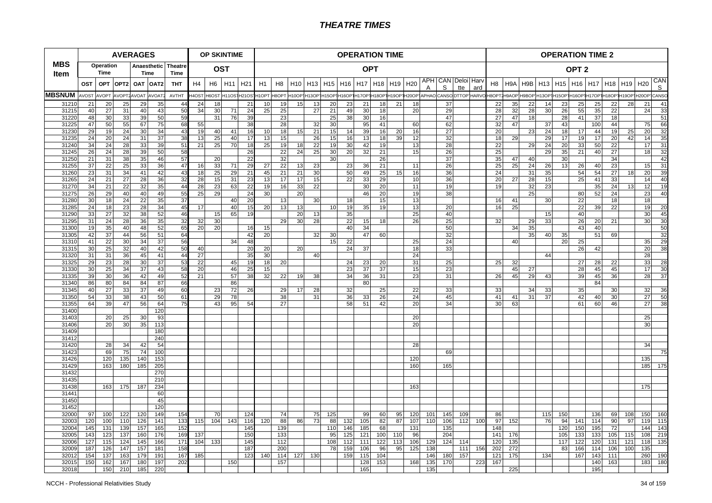|                    | <b>AVERAGES</b><br>Operation<br>Anaesthetic        |                       |            |                       |                        |            |                | <b>OP SKINTIME</b> |                 |                 |          |                |          |                       |                 |            |                       | <b>OPERATION TIME</b> |                                               |            |                                                                                                    |            |     |                 |            |          | <b>OPERATION TIME 2</b>                                           |                  |            |            |            |            |            |                      |
|--------------------|----------------------------------------------------|-----------------------|------------|-----------------------|------------------------|------------|----------------|--------------------|-----------------|-----------------|----------|----------------|----------|-----------------------|-----------------|------------|-----------------------|-----------------------|-----------------------------------------------|------------|----------------------------------------------------------------------------------------------------|------------|-----|-----------------|------------|----------|-------------------------------------------------------------------|------------------|------------|------------|------------|------------|------------|----------------------|
| <b>MBS</b><br>Item | Time<br>Time<br>OPT OPT2<br><b>OST</b><br>OAT OAT2 |                       |            |                       | <b>Theatre</b><br>Time |            | <b>OST</b>     |                    |                 |                 |          |                |          |                       |                 | <b>OPT</b> |                       |                       |                                               |            |                                                                                                    |            |     |                 |            |          |                                                                   | OPT <sub>2</sub> |            |            |            |            |            |                      |
|                    |                                                    |                       |            |                       |                        | <b>THT</b> | H <sub>4</sub> | H <sub>6</sub>     | H <sub>11</sub> | H <sub>21</sub> | H1       | H <sub>8</sub> |          |                       |                 |            |                       |                       | H10   H13   H15   H16   H17   H18   H19   H20 |            | APH   CAN   Deloi   Harv<br>S.                                                                     | tte        | ard | H <sub>8</sub>  | H9A        |          | H9B   H13   H15   H16   H17   H18   H19   H20                     |                  |            |            |            |            |            | CAN<br>$\mathcal{S}$ |
| <b>MBSNUM</b>      |                                                    | <b>VOST AVOPT</b>     |            | AVOPT2AVOAT AVOAT2    |                        | AVTHT      | 14OST          | H6OST H11OS1H21OS  |                 |                 |          |                |          |                       |                 |            |                       |                       |                                               |            | 110PT   H8OPT   H10OPT H13OPT H15OPT H16OPT H17OPT H18OPT H19OPT H20OPT AP HAO CANSO DTT OPT HARVO |            |     |                 |            |          | H8OPT/H9AOP H9BOP H13OP H15OP1H16OP H17OP1H18OP H19OP H20OP CANSC |                  |            |            |            |            |            |                      |
| 31210              | 21                                                 | 20                    | 25         | 29                    | 35                     | 44         | 24             | 18                 |                 | 21              | 10       | 19             | 15       | 13                    | 20              | 23         | 21                    | 18                    | 21                                            | 18         |                                                                                                    | 37         |     | 22              | 35         | 22       | 14                                                                | 23               | 25         | 25         | 22         | 28         | 21         | 41                   |
| 31215              | 40                                                 | 27                    | 31         | 40                    | 43                     | 50         | 34             | 30                 | 71              | 24              | 25       | 25             |          | 27                    | 21              | 49         | 30 <sub>1</sub>       | 18                    |                                               | 20         |                                                                                                    | 29         |     | 28              | 32         | 28       | 30                                                                | 26               | 55         | 35         | 22         |            | 24         | 33                   |
| 31220<br>31225     | 48<br>47                                           | 30<br>50              | 33<br>55   | 39<br>67              | 50<br>75               | 59<br>68   |                | 31                 | 76              | 39<br>38        |          | 23<br>28       |          | 32                    | 25<br>30        | 38         | 30 <sub>1</sub><br>95 | 16<br>41              |                                               | 60         |                                                                                                    | 47<br>62   |     | 27<br>32        | 47<br>47   | 18       | 37                                                                | 28<br>43         | 41         | 37<br>100  | 18<br>44   |            | 75         | 51<br>66             |
| 31230              | 29                                                 | 19                    | 24         | 30                    | 34                     | 43         | 55<br>19       | 40                 | 41              | 16              | 10       | 18             | 15       | 21                    | 15              | 14         | 39                    | 16                    | 20                                            | 16         |                                                                                                    | 27         |     | 20              |            | 23       | 24                                                                | 18               | 17         | 44         | 19         | 25         | 20         | 32                   |
| 31235              | 24                                                 | 20                    | 24         | 31                    | 37                     | 38         | 13             | 25                 | 40              | 17              | 13       | 15             |          | 26                    | 15 <sub>l</sub> | 16         | 13                    | 18                    | 39                                            | 12         |                                                                                                    | 32         |     | 18              | 29         |          | 29                                                                | 17               | 19         | 17         | 20         | 42         | 14         | 35                   |
| 31240              | 34                                                 | 24                    | 28         | 33                    | 39                     | 51         | 21             | 25                 | 70              | 18              | 25       | 19             | 18       | 22                    | 19              | 30         | 42                    | 19                    |                                               | 13         |                                                                                                    | 28         |     | 22              |            | 29       | 24                                                                | 20               | 33         | 50         | 22         |            | 17         | 31                   |
| 31245              | 26                                                 | 24                    | 28         | 39                    | 50                     | 58         |                |                    |                 | 26              |          | 22             | 24       | 25                    | 30              | 20         | 32                    | 21                    |                                               | 15         |                                                                                                    | 26         |     | 25              |            |          | 29                                                                | 35               | 21         | 40         | 27         |            | 18         | 32                   |
| 31250              | 21                                                 | 31                    | 38         | 35                    | 46                     | 57         |                | 20                 |                 | 22              |          | 32             |          |                       | 30              |            |                       | 26                    |                                               |            |                                                                                                    | 37         |     | 35 <sup>1</sup> | 47         | 40       |                                                                   | 30               |            |            | 34         |            |            | 42                   |
| 31255<br>31260     | 37<br>23                                           | 22<br>31              | 25<br>34   | 33<br>41              | 36<br>42               | 47<br>43   | 16<br>18       | 33<br>25           | 71<br>29        | 29<br>21        | 27<br>45 | 22<br>21       | 13<br>21 | 23<br>30 <sup>1</sup> |                 | 23<br>50   | 36 <sup>1</sup><br>49 | 21<br>25              | 15 <sup>1</sup>                               | 11<br>16   |                                                                                                    | 26<br>36   |     | 25<br>24        | 25         | 24<br>31 | 26<br>35                                                          | 13               | 26<br>54   | 40<br>54   | 23<br>27   | 18         | 15<br>20   | 31<br>39             |
| 31265              | 24                                                 | 21                    | 27         | 28                    | 36                     | 32         | 28             | 15                 | 31              | 23              | 13       | 17             | 17       | 15                    |                 | 22         | 33                    | 29                    |                                               | 10         |                                                                                                    | 36         |     | 20              | 27         | 28       | 15                                                                |                  | 25         | 41         | 33         |            | 14         | 40                   |
| 31270              | 34                                                 | 21                    | 22         | 32                    | 35                     | 44         | 28             | 23                 | 63              | 22              | 19       | 16             | 33       | 22                    |                 |            | 30 <sub>1</sub>       | 20                    |                                               | 11         |                                                                                                    | 19         |     | 19              |            | 32       | 23                                                                |                  |            | 35         | 24         | 13         | 12         | 19                   |
| 31275              | 26                                                 | 29                    | 40         | 40                    | 49                     | 55         | 25             | 29                 |                 | 24              | 30       |                | 20       |                       |                 |            | 46                    | 20                    |                                               | 19         |                                                                                                    | 38         |     |                 |            | 25       |                                                                   |                  | 80         | 52         | 24         |            | 23         | 40                   |
| 31280              | 30                                                 | 18                    | 24         | 22                    | 35                     | 37         |                |                    | 40              | 20              |          | 13             |          | 30 <sup>1</sup>       |                 | 18         |                       | 15                    |                                               | 13         |                                                                                                    |            |     | 16              | 41         |          | 30                                                                |                  | 22         |            | 18         |            | 18         |                      |
| 31285              | 24<br>33                                           | 18 <sup>l</sup><br>27 | 23<br>32   | 28                    | 34                     | 45<br>46   | 17             | 15                 | 40<br>65        | 15<br>19        | 20       | 13             | 13       | 13                    | 10 <sup>1</sup> | 19         | 35                    | 19                    |                                               | 13         |                                                                                                    | 20<br>40   |     | 16 <sup>1</sup> | 25         |          | 15                                                                |                  | 22         | 39         | 22         |            | 19<br>30   | 20<br>45             |
| 31290<br>31295     | 31                                                 | 24                    | 28         | 38<br>36              | 52<br>35               | 32         | 32             | 30                 |                 |                 |          | 29             | 20<br>30 | 28                    |                 | 35<br>22   | 15 <sup>1</sup>       | 18                    |                                               | 25<br>26   |                                                                                                    | 25         |     | 32              |            | 29       | 33                                                                |                  | 40<br>26   | 20         | 21         |            | 30         | 30                   |
| 31300              | 19                                                 | 35                    | 40         | 48                    | 52                     | 65         | 20             | 20                 |                 | 16              | 15       |                |          |                       |                 | 40         | 34                    |                       |                                               |            |                                                                                                    | 50         |     |                 | 34         | 35       |                                                                   |                  | 43         | 40         |            |            |            | 50                   |
| 31305              | 42                                                 | 37                    | 44         | 56                    | 51                     | 64         |                |                    |                 | 42              | 20       |                |          | 32                    | 30              |            | 47                    | 60                    |                                               |            |                                                                                                    | 32         |     |                 |            | 35       | 40                                                                | 35               |            | 51         | 69         |            |            | 32                   |
| 31310              | 41                                                 | 22                    | 30         | 34                    | 37                     | 56         |                |                    | 34              | 48              |          |                |          |                       | 15 <sub>l</sub> | 22         |                       |                       |                                               | 25         |                                                                                                    | 24         |     |                 | 40         |          |                                                                   | 20               | 25         |            |            |            | 35         | 29                   |
| 31315              | 30                                                 | 25                    | 32         | 40                    | 42                     | 50         | 40             |                    |                 | 20              | 20       |                | 20       |                       |                 | 24         | 37                    |                       |                                               | 18         |                                                                                                    | 33         |     |                 |            |          |                                                                   |                  | 26         | 42         |            |            | 20         | 38                   |
| 31320              | 31<br>29                                           | 31<br>23              | 36<br>28   | 45<br>30 <sup>1</sup> | 41<br>37               | 44         | 27<br>22       |                    | 45              | 35              | 30       |                |          | 40                    |                 |            |                       | 20                    |                                               | 24<br>31   |                                                                                                    | 25         |     | 25              | 32         |          | 44                                                                |                  | 27         | 28         | 22         |            | 28<br>33   | 28                   |
| 31325<br>31330     | 30                                                 | 25                    | 34         | 37                    | 43                     | 53<br>58   | 20             |                    | 46              | 19<br>25        | 18<br>15 | 20             |          |                       |                 | 24<br>23   | 23<br>37              | 37                    |                                               | 15         |                                                                                                    | 23         |     |                 | 45         | 27       |                                                                   |                  | 28         | 45         | 45         |            | 17         | 30                   |
| 31335              | 39                                                 | 30                    | 36         | 42                    | 49                     | 52         | 21             |                    | 57              | 38              | 32       | 22             | 19       | 38                    |                 | 34         | 36                    | 31                    |                                               | 23         |                                                                                                    | 31         |     | 26              | 45         | 29       | 43                                                                |                  | 39         | 45         | 36         |            | 28         | 37                   |
| 31340              | 86                                                 | 80                    | 84         | 84                    | 87                     | 66         |                |                    | 86              |                 |          |                |          |                       |                 |            | 80                    |                       |                                               |            |                                                                                                    |            |     |                 |            |          |                                                                   |                  |            | 84         |            |            |            |                      |
| 31345              | 40                                                 | 27                    | 33         | 37                    | 49                     | 60         |                | 23                 | 72              | 26              |          | 29             | 17       | 28                    |                 | 32         |                       | 25                    |                                               | 22         |                                                                                                    | 33         |     | 33              |            | 34       | 33                                                                |                  | 35         |            | 30         |            | 32         | 36                   |
| 31350              | 54                                                 | 33                    | 38         | 43                    | 50                     | 61         |                | 29                 | 78              |                 |          | 38             |          | 31                    |                 | 36         | 33                    | 26                    |                                               | 24         |                                                                                                    | 45         |     | 41              | 41         | 31       | 37                                                                |                  | 42         | 40         | 30         |            | 27         | 50                   |
| 31355<br>31400     | 64                                                 | 39                    | 47         | 56                    | 64<br>120              | 75         |                | 43                 | 95              | 54              |          | 27             |          |                       |                 | 58         | 51                    | 42                    |                                               | 20         |                                                                                                    | 34         |     | 30              | 63         |          |                                                                   |                  | 61         | 60         | 46         |            | 27         | $\overline{38}$      |
| 31403              |                                                    | 20                    | 25         | 30                    | 93                     |            |                |                    |                 |                 |          |                |          |                       |                 |            |                       |                       |                                               | 20         |                                                                                                    |            |     |                 |            |          |                                                                   |                  |            |            |            |            | 25         |                      |
| 31406              |                                                    | 20                    | 30         | 35                    | 113                    |            |                |                    |                 |                 |          |                |          |                       |                 |            |                       |                       |                                               | 20         |                                                                                                    |            |     |                 |            |          |                                                                   |                  |            |            |            |            | 30         |                      |
| 31409              |                                                    |                       |            |                       | 180                    |            |                |                    |                 |                 |          |                |          |                       |                 |            |                       |                       |                                               |            |                                                                                                    |            |     |                 |            |          |                                                                   |                  |            |            |            |            |            |                      |
| 31412              |                                                    |                       |            |                       | 240                    |            |                |                    |                 |                 |          |                |          |                       |                 |            |                       |                       |                                               |            |                                                                                                    |            |     |                 |            |          |                                                                   |                  |            |            |            |            |            |                      |
| 31420              |                                                    | 28                    | 34         | 42                    | 54                     |            |                |                    |                 |                 |          |                |          |                       |                 |            |                       |                       |                                               | 28         |                                                                                                    |            |     |                 |            |          |                                                                   |                  |            |            |            |            | 34         |                      |
| 31423<br>31426     |                                                    | 69<br>120             | 75<br>135  | 74<br>140             | 100<br>153             |            |                |                    |                 |                 |          |                |          |                       |                 |            |                       |                       |                                               | 120        |                                                                                                    | 69         |     |                 |            |          |                                                                   |                  |            |            |            |            | 135        | 75                   |
| 31429              |                                                    | 163                   | 180        | 185                   | 205                    |            |                |                    |                 |                 |          |                |          |                       |                 |            |                       |                       |                                               | 160        | 165                                                                                                |            |     |                 |            |          |                                                                   |                  |            |            |            |            | 185        | 175                  |
| 31432              |                                                    |                       |            |                       | 270                    |            |                |                    |                 |                 |          |                |          |                       |                 |            |                       |                       |                                               |            |                                                                                                    |            |     |                 |            |          |                                                                   |                  |            |            |            |            |            |                      |
| 31435              |                                                    |                       |            |                       | 210                    |            |                |                    |                 |                 |          |                |          |                       |                 |            |                       |                       |                                               |            |                                                                                                    |            |     |                 |            |          |                                                                   |                  |            |            |            |            |            |                      |
| 31438              |                                                    | 163                   | 175        | 187                   | 234                    |            |                |                    |                 |                 |          |                |          |                       |                 |            |                       |                       |                                               | 163        |                                                                                                    |            |     |                 |            |          |                                                                   |                  |            |            |            |            | 175        |                      |
| 31441              |                                                    |                       |            |                       | 60<br>45               |            |                |                    |                 |                 |          |                |          |                       |                 |            |                       |                       |                                               |            |                                                                                                    |            |     |                 |            |          |                                                                   |                  |            |            |            |            |            |                      |
| 31450<br>31452     |                                                    |                       |            |                       | 120                    |            |                |                    |                 |                 |          |                |          |                       |                 |            |                       |                       |                                               |            |                                                                                                    |            |     |                 |            |          |                                                                   |                  |            |            |            |            |            |                      |
| 32000              | 97                                                 | 100                   | 122        | 120                   | 149                    | 154        |                | 70                 |                 | 124             |          | 74             |          | 75                    | 125             |            | 99                    | 60                    | 95                                            | 120        | 101<br>145                                                                                         | 109        |     | 86              |            |          | 115                                                               | 150              |            | 136        | 69         | 108        | 150        | 160                  |
| 32003              | 120                                                | 100                   | 110        | 126                   | 141                    | 133        | 115            | 104                | 143             | 116             | 120      | 88             | 86       | 73                    | 88              | 132        | 105                   | 82                    | 87                                            | 107        | 106<br>110                                                                                         | 112        | 100 | 97              | 152        |          | 76                                                                | 94               | 141        | 114        | 90         | 97         | 119        | 115                  |
| 32004              | 145                                                | 131                   | 139        | 157                   | 165                    | 152        |                |                    |                 | 145             |          | 139            |          |                       | 110             | 146        | 185                   | 68                    |                                               | 131        | 135                                                                                                |            |     | 148             |            |          |                                                                   | 120              | 150        | 195        | 72         |            | 144        | 143                  |
| 32005              | 143                                                | 123                   | 137        | 160                   | 176                    | 169        | 137            |                    |                 | 150             |          | 133            |          |                       | 95              | 125        | 121                   | 100                   | 110                                           | 96         | 204                                                                                                |            |     | 141             | 176        |          |                                                                   | 105              | 133        | 133        | 105        | 115        | 108        | 219                  |
| 32006<br>32009     | 127<br>187                                         | 115<br>126            | 124<br>147 | 145<br>157            | 166<br>181             | 171<br>158 | 104            | 133                |                 | 145<br>187      |          | 112<br>200     |          |                       | 108<br>78       | 112<br>159 | 111<br>106            | 122<br>96             | 113<br>95                                     | 106<br>125 | 129<br>124<br>138                                                                                  | 114<br>111 | 156 | 120<br>202      | 135<br>272 |          |                                                                   | 117<br>83        | 122<br>166 | 120<br>114 | 131<br>106 | 121<br>100 | 118<br>135 | 135                  |
| 32012              | 154                                                | 137                   | 163        | 179                   | 191                    | 167        | 185            |                    |                 | 123             | 140      | 114            | 127      | 130                   |                 | 159        | 115                   | 104                   |                                               |            | 146<br>180                                                                                         | 157        |     | 121             | 175        |          | 134                                                               |                  | 167        | 143        | 111        |            | 260        | 190                  |
| 32015              | 150                                                | 162                   | 167        | 180                   | 197                    | 202        |                |                    | 150             |                 |          | 157            |          |                       |                 |            | 128                   | 153                   |                                               | 168        | 170<br>135                                                                                         |            | 223 | 167             |            |          |                                                                   |                  |            | 140        | 163        |            | 183        | 180                  |
| 32018              |                                                    | 150                   | 210        | 185                   | 220                    |            |                |                    |                 |                 |          |                |          |                       |                 |            | 165                   |                       |                                               |            | 135                                                                                                |            |     |                 | 225        |          |                                                                   |                  |            | 195        |            |            |            |                      |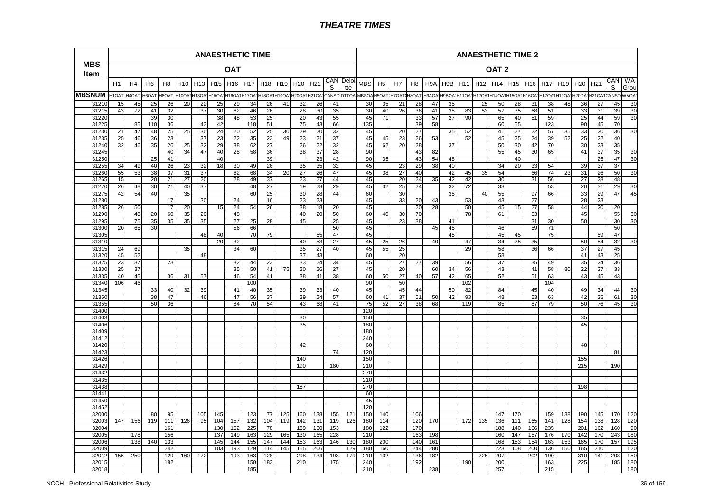|                    |          | <b>ANAESTHETIC TIME</b> |                |                |                                 |                 |                                 |            |                 |            |                                                                 |            |            |                                                                                           |            |                |          |                |                                      |                      |     | <b>ANAESTHETIC TIME 2</b> |                                                                                                      |            |                                                 |                 |                 |             |            |
|--------------------|----------|-------------------------|----------------|----------------|---------------------------------|-----------------|---------------------------------|------------|-----------------|------------|-----------------------------------------------------------------|------------|------------|-------------------------------------------------------------------------------------------|------------|----------------|----------|----------------|--------------------------------------|----------------------|-----|---------------------------|------------------------------------------------------------------------------------------------------|------------|-------------------------------------------------|-----------------|-----------------|-------------|------------|
| <b>MBS</b><br>Item |          |                         |                |                |                                 |                 |                                 | <b>OAT</b> |                 |            |                                                                 |            |            |                                                                                           |            |                |          |                |                                      |                      |     | OAT <sub>2</sub>          |                                                                                                      |            |                                                 |                 |                 |             |            |
|                    | H1       | H4                      | H <sub>6</sub> | H <sub>8</sub> | H <sub>10</sub> H <sub>13</sub> |                 | H <sub>15</sub> H <sub>16</sub> |            | H <sub>17</sub> |            | H <sub>18</sub> H <sub>19</sub> H <sub>20</sub> H <sub>21</sub> |            |            | CAN Delo<br>S.<br>tte                                                                     | <b>MBS</b> | H <sub>5</sub> | H7       | H <sub>8</sub> | H <sub>9</sub> A<br>H <sub>9</sub> B |                      |     | H11 H12 H14 H15           |                                                                                                      |            | H <sub>16</sub> H <sub>17</sub> H <sub>19</sub> | H <sub>20</sub> | H <sub>21</sub> | CAN WA<br>S | Grou       |
| <b>MBSNUM</b>      |          |                         |                |                |                                 |                 |                                 |            |                 |            |                                                                 |            |            | H1OAT H4OAT H6OAT H8OAT H10OATH13OATH15OATH16OATH17OATH18OATH19OATH20OATH21OATCANSO DTTOA |            |                |          |                |                                      |                      |     |                           | MBSOA H5OAT1H7OAT1H8OAT1H9AOA H9BOA H11OATH12OATH14OATH15OATH16OATH17OATH19OATH20OATH21OATCANSO WAOA |            |                                                 |                 |                 |             |            |
| 31210              | 15       | 45                      | 25             | 26             | 20                              | 22              | 25                              | 29         | 34              | 26         | 41                                                              | 32         | 26         | 41                                                                                        | 30         | 35             | 21       | 28             | 47                                   | 35                   | 25  | 50                        | 28                                                                                                   | 31         | 38<br>48                                        | 36              | 27              | 45          | 30         |
| 31215              | 43       | 72                      | 41             | 32             |                                 | 37              | 30                              | 62         | 46              | 26<br>25   |                                                                 | 28         | 30         | 35                                                                                        | 30         | 40             | 26       | 36<br>33       | 41                                   | 38<br>83             | 53  | 57                        | 35                                                                                                   | 68         | 51<br>59                                        | 33<br>25        | 31              | 39          | 30         |
| 31220<br>31225     |          | 85                      | 39<br>110      | 30<br>36       |                                 | 43              | 38<br>42                        | 48         | 53<br>118       | 51         |                                                                 | 20<br>75   | 43<br>43   | 55<br>66                                                                                  | 45<br>135  | 71             |          | 39             | 57<br>58                             | 27<br>90             |     | 65<br>60                  | 40<br>55                                                                                             | 51<br>123  |                                                 | 90              | 44<br>45        | 59<br>70    | 30         |
| 31230              | 21       | 47                      | 48             | 25             | 25                              | 30              | 24                              | 20         | 52              | 25         | 30                                                              | 29         | 20         | 32                                                                                        | 45         |                | 20       | 27             |                                      | 35<br>52             |     | 41                        | 27                                                                                                   | 22         | 57<br>35                                        | 33              | 20              | 36          | 30         |
| 31235              | 25       | 46                      | 36             | 23             |                                 | 37              | 23                              | 22         | 35              | 23         | 49                                                              | 23         | 21         | 37                                                                                        | 45         | 45             | 23       | 26             | 53                                   | 52                   |     | 45                        | 25                                                                                                   | 24         | 39<br>52                                        | 25              | 22              | 40          |            |
| 31240<br>31245     | 32       | 46                      | 35             | 26<br>40       | 25<br>34                        | 32<br>47        | 29<br>40                        | 38<br>28   | 62<br>58        | 27<br>36   |                                                                 | 26<br>38   | 22<br>37   | 32<br>28                                                                                  | 45<br>90   | 62             | 20       | 28<br>43       | 82                                   | 37                   |     | 50<br>55                  | 30<br>45                                                                                             | 42<br>30   | 70<br>65                                        | 30<br>41        | 23<br>37        | 35<br>35    | 30         |
| 31250              |          |                         | 25             | 41             |                                 |                 | 40                              |            |                 | 39         |                                                                 |            | 23         | 42                                                                                        | 90         | 35             |          | 43             | 54                                   | 48                   |     |                           | 40                                                                                                   |            |                                                 |                 | 25              | 47          | 30         |
| 31255              | 34       | 49                      | 40             | 26             | 23                              | 32              | 18                              | 30         | 49              | 26         |                                                                 | 35         | 35         | 32                                                                                        | 45         |                | 23       | 29             | 38                                   | 40                   |     | 34                        | 20                                                                                                   | 33         | 54                                              | 39              | 37              | 37          |            |
| 31260              | 55       | 53                      | 38             | 37             | 31                              | 37              |                                 | 62         | 68              | 34         | 20                                                              | 27         | 26         | 47                                                                                        | 45         | 38             | 27       | 40             |                                      | 42<br>45             | 35  | 54                        |                                                                                                      | 66         | 74<br>23                                        | 31              | 26              | 50          | 30         |
| 31265              | 15       |                         | 20             | 21             | 27                              | 20<br>37        |                                 | 28         | 49<br>48        | 37<br>27   |                                                                 | 23         | 27         | 44<br>29                                                                                  | 45<br>45   |                | 20<br>25 | 24<br>24       | 35                                   | 42<br>42<br>72       |     | 30                        |                                                                                                      | 31         | 56<br>53                                        | 27<br>20        | 28              | 48<br>29    | 30         |
| 31270<br>31275     | 26<br>42 | 48<br>54                | 30<br>40       | 21             | 40<br>35                        |                 |                                 |            | 60              | 25         |                                                                 | 19<br>30   | 28<br>28   | 44                                                                                        | 60         | 32             | 30       |                |                                      | 32<br>35             | 40  | 33<br>55                  |                                                                                                      | 97         | 66                                              | 33              | 31<br>29        | 47          | 45         |
| 31280              |          |                         |                | 17             |                                 | 30 <sup>1</sup> |                                 | 24         |                 | 16         |                                                                 | 23         | 23         |                                                                                           | 45         |                | 33       | 20             | 43                                   | 53                   |     | 43                        |                                                                                                      | 27         |                                                 | 28              | 23              |             |            |
| 31285              | 26       | 50                      |                | 17             | 20                              |                 | 15                              | 24         | 54              | 26         |                                                                 | 38         | 18         | 20                                                                                        | 45         |                |          | 20             | 28                                   | 50                   |     | 45                        | 15                                                                                                   | 27         | 58                                              | 44              | 20              | 20          |            |
| 31290              |          | 48                      | 20             | 60             | 35                              | 20              |                                 | 48         |                 |            |                                                                 | 40         | 20         | 50                                                                                        | 60         | 40             | 30       | 70             |                                      | 78                   |     | 61                        |                                                                                                      | 53         |                                                 | 45<br>50        |                 | 55          | 30         |
| 31295<br>31300     | 20       | 75<br>65                | 35<br>30       | 35             | 35                              | 35              |                                 | 27<br>56   | 25<br>66        | 28         |                                                                 | 45         |            | 25<br>50                                                                                  | 45<br>45   |                | 23       | 38             | 45                                   | 41<br>45             |     | 46                        |                                                                                                      | 31<br>59   | 30<br>71                                        |                 |                 | 30<br>50    | 30         |
| 31305              |          |                         |                |                |                                 | 48              | 40                              |            | 70              | 79         |                                                                 |            | 55         | 47                                                                                        | 45         |                |          |                |                                      | 45                   |     | 45                        | 45                                                                                                   |            | 75                                              |                 | 59              | 47          |            |
| 31310              |          |                         |                |                |                                 |                 | 20                              | 32         |                 |            |                                                                 | 40         | 53         | 27                                                                                        | 45         | 25             | 26       |                | 40                                   | 47                   |     | 34                        | 25                                                                                                   | 35         |                                                 | 50              | 54              | 32          | 30         |
| 31315              | 24       | 69                      |                |                | 35                              |                 |                                 | 34         | 60              |            |                                                                 | 35         | 27         | 40                                                                                        | 45         | 55             | 25       |                |                                      | 29                   |     | 58                        |                                                                                                      | 36         | 66                                              | 37              | 27              | 45          |            |
| 31320<br>31325     | 45<br>23 | 52<br>37                |                | 23             |                                 | 48              |                                 | 32         | 44              | 23         |                                                                 | 37<br>33   | 43<br>24   | 34                                                                                        | 60<br>45   |                | 20<br>27 | 27             | 39                                   | 56                   |     | 58<br>37                  |                                                                                                      | 35         | 49                                              | 41<br>35        | 43<br>24        | 25<br>36    |            |
| 31330              | 25       | 37                      |                |                |                                 |                 |                                 | 35         | 50              | 41         | 75                                                              | 20         | 26         | 27                                                                                        | 45         |                | 20       |                | 60                                   | 34<br>56             |     | 43                        |                                                                                                      | 41         | 58<br>80                                        | 22              | 27              | 33          |            |
| 31335              | 40       | 45                      |                | 36             | 31                              | 57              |                                 | 46         | 54              | 41         |                                                                 | 38         | 41         | 38                                                                                        | 60         | 50             | 27       | 40             | 57                                   | 42<br>65             |     | 52                        |                                                                                                      | 51         | 63                                              | 43              | 45              | 43          |            |
| 31340              | 106      | 46                      |                |                |                                 |                 |                                 |            | 100             |            |                                                                 |            |            |                                                                                           | 90         |                | 50       |                |                                      | 102                  |     |                           |                                                                                                      | 104        |                                                 |                 |                 |             |            |
| 31345<br>31350     |          |                         | 33<br>38       | 40<br>47       | 32                              | 39<br>46        |                                 | 41<br>47   | 40<br>56        | 35<br>37   |                                                                 | 39<br>39   | 33<br>24   | 40<br>57                                                                                  | 45<br>60   | 41             | 45<br>37 | 44<br>51       | 50                                   | 50<br>82<br>93<br>42 |     | 84<br>48                  |                                                                                                      | 45<br>53   | 40<br>63                                        | 49<br>42        | 34<br>25        | 44<br>61    | 30<br>30   |
| 31355              |          |                         | 50             | 36             |                                 |                 |                                 | 84         | 70              | 54         |                                                                 | 43         | 68         | 41                                                                                        | 75         | 52             | 27       | 38             | 68                                   | 119                  |     | 85                        |                                                                                                      | 87         | 79                                              | 50              | 76              | 45          | 30         |
| 31400              |          |                         |                |                |                                 |                 |                                 |            |                 |            |                                                                 |            |            |                                                                                           | 120        |                |          |                |                                      |                      |     |                           |                                                                                                      |            |                                                 |                 |                 |             |            |
| 31403              |          |                         |                |                |                                 |                 |                                 |            |                 |            |                                                                 | 30         |            |                                                                                           | 150        |                |          |                |                                      |                      |     |                           |                                                                                                      |            |                                                 | 35              |                 |             |            |
| 31406              |          |                         |                |                |                                 |                 |                                 |            |                 |            |                                                                 | 35         |            |                                                                                           | 180<br>180 |                |          |                |                                      |                      |     |                           |                                                                                                      |            |                                                 | 45              |                 |             |            |
| 31409<br>31412     |          |                         |                |                |                                 |                 |                                 |            |                 |            |                                                                 |            |            |                                                                                           | 240        |                |          |                |                                      |                      |     |                           |                                                                                                      |            |                                                 |                 |                 |             |            |
| 31420              |          |                         |                |                |                                 |                 |                                 |            |                 |            |                                                                 | 42         |            |                                                                                           | 60         |                |          |                |                                      |                      |     |                           |                                                                                                      |            |                                                 | 48              |                 |             |            |
| 31423              |          |                         |                |                |                                 |                 |                                 |            |                 |            |                                                                 |            |            | 74                                                                                        | 120        |                |          |                |                                      |                      |     |                           |                                                                                                      |            |                                                 |                 |                 | 81          |            |
| 31426              |          |                         |                |                |                                 |                 |                                 |            |                 |            |                                                                 | 140        |            |                                                                                           | 150        |                |          |                |                                      |                      |     |                           |                                                                                                      |            |                                                 | 155             |                 |             |            |
| 31429<br>31432     |          |                         |                |                |                                 |                 |                                 |            |                 |            |                                                                 | 190        |            | 180                                                                                       | 210<br>270 |                |          |                |                                      |                      |     |                           |                                                                                                      |            |                                                 | 215             |                 | 190         |            |
| 31435              |          |                         |                |                |                                 |                 |                                 |            |                 |            |                                                                 |            |            |                                                                                           | 210        |                |          |                |                                      |                      |     |                           |                                                                                                      |            |                                                 |                 |                 |             |            |
| 31438              |          |                         |                |                |                                 |                 |                                 |            |                 |            |                                                                 | 187        |            |                                                                                           | 270        |                |          |                |                                      |                      |     |                           |                                                                                                      |            |                                                 | 198             |                 |             |            |
| 31441              |          |                         |                |                |                                 |                 |                                 |            |                 |            |                                                                 |            |            |                                                                                           | 60         |                |          |                |                                      |                      |     |                           |                                                                                                      |            |                                                 |                 |                 |             |            |
| 31450<br>31452     |          |                         |                |                |                                 |                 |                                 |            |                 |            |                                                                 |            |            |                                                                                           | 45<br>120  |                |          |                |                                      |                      |     |                           |                                                                                                      |            |                                                 |                 |                 |             |            |
| 32000              |          |                         | 80             | 95             |                                 | 105             | 145                             |            | 123             | 77         | 125                                                             | 160        | 138        | 121<br>155                                                                                | 150        | 140            |          | 106            |                                      |                      |     | 147                       | 170                                                                                                  | 159        | 138                                             | 190             | 145             | 170         | 120        |
| 32003              | 147      | 156                     | 119            | 111            | 126                             | 95              | 104                             | 157        | 132             | 104        | 119                                                             | 142        | 131        | 119<br>126                                                                                | 180        | 114            |          | 120            | 170                                  | 172                  | 135 | 136                       | 111<br>165                                                                                           | 141        | 128                                             | 154             | 138             | 128         | 120        |
| 32004              |          |                         |                | 161            |                                 |                 | 130                             | 162        | 225             | 78         |                                                                 | 189        | 160        | 153                                                                                       | 180        | 122            |          | 170            |                                      |                      |     | 188                       | 140<br>166                                                                                           | 235        |                                                 | 201             | 162             | 160         | 90         |
| 32005<br>32006     |          | 178<br>138              | 140            | 156<br>133     |                                 |                 | 137<br>145                      | 149<br>144 | 163<br>155      | 129<br>147 | 165<br>144                                                      | 130<br>153 | 165<br>163 | 228<br>146<br>130                                                                         | 210<br>180 | 200            |          | 163<br>140     | 198<br>161                           |                      |     | 160<br>168                | 147<br>157<br>153<br>154                                                                             | 176<br>163 | 170<br>153                                      | 142<br>165      | 170<br>170      | 243<br>157  | 180<br>195 |
| 32009              |          |                         |                | 242            |                                 |                 | 103                             | 193        | 129             | 114        | 145                                                             | 155        | 206        | 129                                                                                       | 180        | 160            |          | 244            | 280                                  |                      |     | 223                       | 108<br>200                                                                                           | 136        | 150                                             | 165             | 210             |             | 120        |
| 32012              | 155      | 250                     |                | 129            | 160                             | 172             |                                 | 193        | 163             | 128        |                                                                 | 298        | 134        | 179<br>193                                                                                | 210        | 132            |          | 136            | 182                                  |                      | 225 | 207                       | 202                                                                                                  | 190        |                                                 | 310             | 141             | 203         | 150        |
| 32015              |          |                         |                | 182            |                                 |                 |                                 |            | 150             | 183        |                                                                 | 210        |            | 175                                                                                       | 240        |                |          | 192            |                                      | 190                  |     | 200                       |                                                                                                      | 163        |                                                 | 225             |                 | 185         | 180        |
| 32018              |          |                         |                |                |                                 |                 |                                 |            | 185             |            |                                                                 |            |            |                                                                                           | 210        |                |          |                | 238                                  |                      |     | 257                       |                                                                                                      | 215        |                                                 |                 |                 |             | 180        |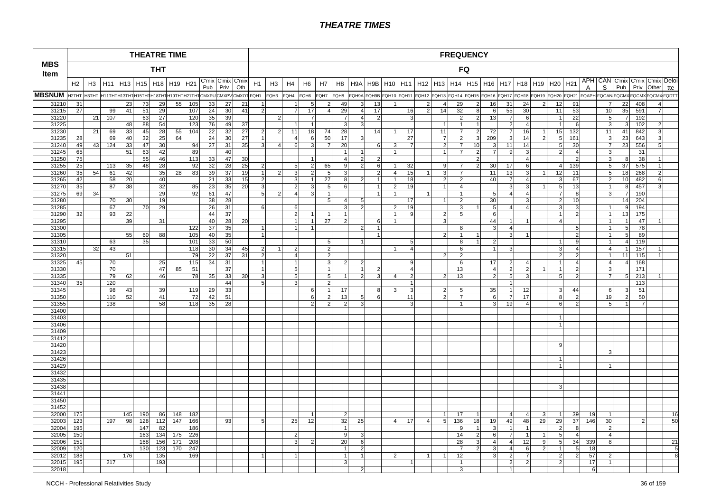|                           |            |    |                 |                                 |            | <b>THEATRE TIME</b>                             |            |            |                                                                            |          |     |                                  |                |                                  |                                                                       |                                |                                                                                                                              |                                |                |                 |                                                                 | <b>FREQUENCY</b>     |                                                    |                                  |                                |                |                                   |                                  |                                       |                                |                |                |
|---------------------------|------------|----|-----------------|---------------------------------|------------|-------------------------------------------------|------------|------------|----------------------------------------------------------------------------|----------|-----|----------------------------------|----------------|----------------------------------|-----------------------------------------------------------------------|--------------------------------|------------------------------------------------------------------------------------------------------------------------------|--------------------------------|----------------|-----------------|-----------------------------------------------------------------|----------------------|----------------------------------------------------|----------------------------------|--------------------------------|----------------|-----------------------------------|----------------------------------|---------------------------------------|--------------------------------|----------------|----------------|
| <b>MBS</b><br><b>Item</b> |            |    |                 |                                 |            | <b>THT</b>                                      |            |            |                                                                            |          |     |                                  |                |                                  |                                                                       |                                |                                                                                                                              |                                |                |                 |                                                                 | <b>FQ</b>            |                                                    |                                  |                                |                |                                   |                                  |                                       |                                |                |                |
|                           | H2         | H3 | H <sub>11</sub> | H <sub>13</sub> H <sub>15</sub> |            | H <sub>18</sub> H <sub>19</sub> H <sub>21</sub> |            |            | C'mix C'mix C'mix<br>Pub                                                   | Priv     | Oth | H1                               | H <sub>3</sub> | H <sub>4</sub><br>H <sub>6</sub> | H7                                                                    | H <sub>8</sub>                 | H <sub>9</sub> A                                                                                                             | H9B H10 H11                    |                |                 | H <sub>12</sub> H <sub>13</sub> H <sub>14</sub> H <sub>15</sub> |                      |                                                    | H16 H17 H18 H19 H20 H21          |                                |                |                                   |                                  | APH CAN C'mix C'mix C'mix Deloi<br>S. | Pub                            |                | Priv Other tte |
| <b>MBSNUM</b>             |            |    |                 |                                 |            |                                                 |            |            | 12ТНТ Н3ТНТ Н11ТНТН13ТНТН15ТНТН18ТНТН19ТНТН21ТНТСМХРUCMXPV СМХОТ FQH1 FQH3 |          |     |                                  |                | FQH4<br>FQH <sub>6</sub>         | FQH7                                                                  | FQH8                           | FQH9A FQH9B FQH10 FQH11 FQH12 FQH13 FQH14 FQH15 FQH16 FQH17 FQH18 FQH19 FQH20 FQH21 FQAPH FQCAN FQCMX FQCMX FQCMX FQCMX FQCM |                                |                |                 |                                                                 |                      |                                                    |                                  |                                |                |                                   |                                  |                                       |                                |                |                |
| 31210                     | 31         |    |                 | 23                              | 73         | 29                                              | 55         | 105        | 33                                                                         | 27       | 21  | 1                                |                |                                  | 5 <sub>l</sub><br>$\overline{2}$                                      | 49                             | 13<br>3                                                                                                                      |                                |                | $\overline{2}$  | $\overline{4}$                                                  | 29                   | 16<br>$\overline{2}$                               | 31                               | 24                             | $\overline{2}$ | 12                                | 91                               | $\overline{7}$                        | 22                             | 408            |                |
| 31215                     | 27         |    | 99              | 41                              | 51         | 29                                              |            | 107        | 24                                                                         | 30       | 41  | 2 <sup>1</sup>                   |                | 17<br>$\overline{7}$             | $\overline{4}$                                                        | 29                             | 17<br>4                                                                                                                      |                                | 16             | $\overline{2}$  | 14                                                              | 32                   | 8<br>6                                             | 55                               | 30                             |                | 11                                | 53                               | 10                                    | 35                             | 591            | $\overline{7}$ |
| 31220<br>31225            |            | 21 | 107             | 48                              | 63<br>88   | 27<br>54                                        |            | 120<br>123 | 35<br>76                                                                   | 39<br>49 | 37  |                                  | $\overline{2}$ |                                  | $\overline{7}$<br>1                                                   | $\overline{7}$<br>$\mathbf{3}$ | $\vert$<br>$\overline{2}$<br>3                                                                                               |                                | 3              |                 | 1                                                               | 2 <br>$\mathbf{1}$   | $\overline{2}$<br>13<br>$\mathbf{1}$               | $\overline{7}$<br>$\overline{2}$ | 6<br>$\overline{a}$            |                | 1<br>$\mathbf{1}$                 | 22<br>6                          | 5<br>3                                | $\overline{7}$<br>$\mathbf{3}$ | 192<br>102     | $\overline{2}$ |
| 31230                     |            | 21 | 69              | 33                              | 45         | 28                                              | 55         | 104        | 22                                                                         | 32       | 27  | 2 <sup>1</sup>                   | 2              | 11                               | 18<br>74                                                              | 28                             | 14                                                                                                                           |                                | 17             |                 | 11                                                              | 7                    | 2 <br>72                                           | 7                                | 16                             | 1              | 15                                | 132                              | 11                                    | 41                             | 842            | 3 <sup>l</sup> |
| 31235                     | 28         |    | 69              | 40                              | 32         | 25                                              | 64         |            | 24                                                                         | $30\,$   | 27  | 1                                |                | $\overline{4}$                   | $6 \mid$<br>50                                                        | 17                             | 3                                                                                                                            |                                | 27             |                 | $\overline{7}$                                                  | 2                    | 3<br>209                                           | $\mathbf{3}$                     | 14                             | 2              | 5 <sub>l</sub>                    | 161                              | $\mathbf{3}$                          | 23                             | 643            | 3              |
| 31240                     | 49         | 43 | 124             | 33                              | 47         | 30                                              |            | 94         | 27                                                                         | 31       | 35  | 3 <sup>l</sup>                   | $\overline{4}$ | 6                                | $\overline{7}$<br>$\overline{3}$                                      | 20                             | 6 <sup>1</sup>                                                                                                               | $\overline{3}$                 | $\overline{7}$ |                 | $\overline{2}$                                                  | $\overline{7}$       | 10<br>$\vert$ 3                                    | 11                               | 14                             |                | $5\overline{)}$                   | 30                               | $\overline{7}$                        | 23                             | 556            | 5 <sup>1</sup> |
| 31245<br>31250            | 65<br>75   |    |                 | 51                              | 63<br>55   | 42<br>46                                        |            | 89<br>113  | 33                                                                         | 40<br>47 | 30  |                                  |                |                                  | 11                                                                    | 1<br>4 <sup>1</sup>            | $\mathbf 1$<br>2 <sup>1</sup><br>$\overline{2}$                                                                              | $\mathbf 1$                    |                |                 | $\mathbf{1}$                                                    | 71                   | 7 <sup>1</sup><br>$\overline{2}$<br>$\overline{2}$ | $\overline{9}$                   | ω<br>$\overline{4}$            |                | $\overline{2}$                    | $\overline{4}$<br>2              | دى<br>3                               | 8                              | 31<br>38       | $\overline{1}$ |
| 31255                     | 25         |    | 113             | 35                              | 48         | 28                                              |            | 92         | 32                                                                         | 28       | 25  | 2 <sup>1</sup>                   |                | $5\phantom{.0}$                  | $2 \vert$<br>65                                                       | 9                              | 2 <sup>1</sup><br>$6 \mid$                                                                                                   |                                | 32             |                 | 9                                                               | $\overline{7}$       | $\overline{2}$<br>30                               | 17                               | $\,6$                          |                | 4                                 | 139                              | $5\phantom{.0}$                       | 37                             | 575            | $\vert$ 1      |
| 31260                     | 35         | 54 | 61              | 42                              |            | 35                                              | 28         | 83         | 39                                                                         | 37       | 19  | 1                                | 2              | $\mathbf{3}$                     | $2 \vert$<br>$5\phantom{.0}$                                          | 3 <sup>1</sup>                 | 2                                                                                                                            | $\overline{4}$                 | 15             | $\mathbf{1}$    | $\mathbf{3}$                                                    | $\overline{7}$       | 11                                                 | 13                               | $\mathbf{3}$                   | 11             | 12                                | 11                               | $\overline{5}$                        | 18                             | 268            | $\overline{2}$ |
| 31265                     | 42         |    | 58              | 20                              |            | 40                                              |            |            | 21                                                                         | 33       | 15  | $\mathbf{2}$                     |                | $\mathbf{3}$                     | 1 <sup>1</sup><br>27                                                  | 8 <sup>1</sup>                 | 1<br>2                                                                                                                       |                                | 18             |                 | $\overline{a}$                                                  | 2                    | 40                                                 | 7                                | $\overline{4}$                 |                | $\overline{3}$                    | 67                               | $\overline{2}$                        | 10                             | 482            | $6 \mid$       |
| 31270<br>31275            | 35<br>69   | 34 | 87              | 38                              |            | 32<br>29                                        |            | 85<br>92   | 23<br>61                                                                   | 35<br>47 | 20  | 3 <sup>1</sup><br>5 <sup>1</sup> | 2              | $\overline{2}$<br>$\overline{4}$ | $5\phantom{.0}$<br>3 <sup>1</sup><br>3 <sup>l</sup><br>$\overline{1}$ | 6                              | 1<br>11                                                                                                                      | $\overline{2}$<br>$\mathbf{1}$ | 19             | 1               | $\mathbf{1}$                                                    | 4<br>11              | 5 <sub>5</sub>                                     | $\mathbf{3}$<br>$\overline{4}$   | $\mathbf{3}$<br>$\overline{4}$ | $\mathbf{1}$   | $5\overline{)}$<br>$\overline{7}$ | 13<br>8                          | $\mathbf{1}$<br>$\mathbf{3}$          | 8<br>$\overline{7}$            | 457<br>190     | 3              |
| 31280                     |            |    | 70              | 30                              |            | 19                                              |            |            | 38                                                                         | 28       |     |                                  |                |                                  | $5\phantom{.0}$                                                       | 4 <sup>1</sup>                 | 5 <sup>1</sup>                                                                                                               |                                | 17             |                 | $\overline{1}$                                                  | 2                    | 30                                                 |                                  | $\mathbf{3}$                   |                | $\overline{2}$                    | 10                               |                                       | 14                             | 204            |                |
| 31285                     |            |    | 67              |                                 | 70         | 29                                              |            |            | 26                                                                         | 31       |     | $6 \mid$                         |                | 6                                |                                                                       | 3 <sup>1</sup>                 | 2 <sup>1</sup>                                                                                                               | 2 <sub>l</sub>                 | 19             |                 |                                                                 | 3 <sup>1</sup>       | 5                                                  | 4 <sup>1</sup>                   | $\overline{4}$                 |                | 3 <sup>l</sup>                    | $\mathbf{3}$                     | $\mathbf{1}$                          | 9                              | 194            |                |
| 31290                     | 32         |    | 93              | 22                              |            |                                                 |            |            | 44                                                                         | 37       |     |                                  |                | $\overline{2}$                   | $1\vert$<br>$\mathbf{1}$                                              | 1                              |                                                                                                                              | $\blacktriangleleft$           | $\mathbf{q}$   |                 | $\overline{2}$                                                  | 5 <sup>1</sup>       | $6 \mid$                                           |                                  |                                |                | $\mathbf{1}$                      | 2 <sup>1</sup>                   | $\mathbf{1}$                          | 13                             | 175            |                |
| 31295<br>31300            |            |    |                 | 39                              |            | 31                                              |            | 122        | 40<br>37                                                                   | 28<br>35 | 20  | 1                                |                | 1                                | 27<br>11<br>1 <sup>1</sup>                                            | 2 <sup>1</sup>                 | $6 \mid$<br>2 <sup>1</sup><br>1                                                                                              | $\overline{1}$                 |                |                 | $\mathbf{3}$                                                    | 8 <sup>1</sup>       | 44<br>3 <sup>1</sup>                               | 1<br>$\overline{4}$              |                                |                | $\overline{4}$                    | 5                                | $\mathbf{1}$<br>$\mathbf{1}$          | $\mathbf{1}$<br>$\overline{5}$ | 47<br>78       |                |
| 31305                     |            |    |                 | 55                              | 60         | 88                                              |            | 105        | 40                                                                         | 35       |     | 1                                |                |                                  |                                                                       |                                | 1 <sup>1</sup>                                                                                                               |                                |                |                 | $\overline{2}$                                                  | 1 <sup>1</sup>       | $\mathbf{1}$                                       | $\mathbf{3}$                     |                                |                |                                   | $\overline{2}$                   | $\mathbf{1}$                          | $\overline{5}$                 | 89             |                |
| 31310                     |            |    | 63              |                                 | 35         |                                                 |            | 101        | 33                                                                         | 50       |     |                                  |                |                                  | $5\phantom{.0}$                                                       |                                | $\mathbf{1}$                                                                                                                 |                                | 5              |                 |                                                                 | 8 <sup>1</sup>       | 2 <br>11                                           |                                  |                                |                | 1 <sup>1</sup>                    | 9                                | $\mathbf{1}$                          | $\overline{a}$                 | 119            |                |
| 31315                     |            | 32 | 43              |                                 |            |                                                 |            | 118        | 30                                                                         | 34       | 45  | $\overline{2}$                   | $\mathbf{1}$   | $\overline{2}$                   | $\overline{2}$                                                        |                                |                                                                                                                              | $\mathbf{1}$                   | $\overline{4}$ |                 |                                                                 | 6                    | 1                                                  | 3                                |                                |                | $\overline{3}$                    | $\overline{4}$                   | $\overline{4}$                        | $\mathbf{1}$                   | 157            |                |
| 31320                     |            |    |                 | 51                              |            |                                                 |            | 79         | 22                                                                         | 37       | 31  | 2 <sup>1</sup>                   |                | $\overline{4}$                   | $\overline{2}$                                                        |                                | 2 <sup>1</sup>                                                                                                               |                                | 9              |                 | $\overline{2}$                                                  | 2                    | 17                                                 |                                  | $\overline{4}$                 |                | 2 <sup>1</sup><br>$\mathbf{1}$    | $\overline{2}$                   | $\mathbf{1}$                          | 11                             | 115            | $\mathbf{1}$   |
| 31325<br>31330            | 45         |    | 70<br>70        |                                 |            | 25<br>47                                        | 85         | 115<br>51  | 34                                                                         | 31<br>37 |     | 1<br>1                           |                | $\vert$ 1<br>$5\phantom{.0}$     | $\mathbf{3}$<br>$\mathbf{1}$                                          | $\overline{2}$                 | $\mathbf{1}$<br>$\mathbf{2}$                                                                                                 |                                | $\overline{4}$ |                 |                                                                 | 6 <br>13             | $\overline{4}$                                     | 2 <br>$\overline{2}$             | $\overline{2}$                 | 1              | $\mathbf{1}$                      | $\overline{4}$<br>$\overline{2}$ | $\overline{4}$<br>$\mathbf{3}$        | $\sqrt{4}$                     | 168<br>171     |                |
| 31335                     |            |    | 79              | 62                              |            | 46                                              |            | 78         | 35                                                                         | 33       | 30  | 3 <sup>1</sup>                   |                | 5                                | $5\phantom{.0}$                                                       |                                | 2 <sup>1</sup><br>3 <sup>1</sup>                                                                                             | $\overline{4}$                 | $\overline{2}$ |                 | 2                                                               | 13                   | 2 <sup>1</sup>                                     | 5 <sup>1</sup>                   | 3                              |                | 5 <sub>l</sub>                    | 2                                | $\overline{7}$                        | 5 <sup>1</sup>                 | 213            |                |
| 31340                     | 35         |    | 120             |                                 |            |                                                 |            |            |                                                                            | 44       |     | 5 <sup>1</sup>                   |                | $\mathbf{3}$                     | $\overline{c}$                                                        |                                |                                                                                                                              |                                |                |                 |                                                                 |                      |                                                    | $\mathbf{1}$                     |                                |                |                                   |                                  |                                       |                                | 113            |                |
| 31345<br>31350            |            |    | 98<br>110       | 43<br>52                        |            | 39<br>41                                        |            | 119<br>72  | 29<br>42                                                                   | 33<br>51 |     |                                  |                |                                  | 6 <sup>1</sup><br>$\overline{1}$<br>$\overline{2}$<br>6 <sup>1</sup>  | 17<br>13                       | 8<br>5 <sup>1</sup><br>$6 \mid$                                                                                              | 3 <sup>l</sup>                 | 3<br>11        |                 | $\overline{2}$<br>$\overline{2}$                                | 5 <sub>l</sub><br>71 | 35                                                 | 1<br>$\overline{7}$              | 12<br>17                       |                | 3 <sup>l</sup><br>$\overline{8}$  | 44<br>$\overline{2}$             | $6\phantom{1}6$<br>19                 | $\mathbf{3}$                   | 51<br>50       |                |
| 31355                     |            |    | 138             |                                 |            | 58                                              |            | 118        | 35                                                                         | 28       |     |                                  |                |                                  | $\overline{2}$<br>2                                                   | $\overline{2}$                 | 3 <sup>1</sup>                                                                                                               |                                | 3              |                 |                                                                 | 1                    | 6<br>3 <sup>1</sup>                                | 19                               | $\overline{4}$                 |                | $6 \overline{6}$                  | 2                                | $5\phantom{.0}$                       | $\overline{2}$<br>$\mathbf{1}$ | $\overline{7}$ |                |
| 31400                     |            |    |                 |                                 |            |                                                 |            |            |                                                                            |          |     |                                  |                |                                  |                                                                       |                                |                                                                                                                              |                                |                |                 |                                                                 |                      |                                                    |                                  |                                |                |                                   |                                  |                                       |                                |                |                |
| 31403                     |            |    |                 |                                 |            |                                                 |            |            |                                                                            |          |     |                                  |                |                                  |                                                                       |                                |                                                                                                                              |                                |                |                 |                                                                 |                      |                                                    |                                  |                                |                | 1                                 |                                  |                                       |                                |                |                |
| 31406<br>31409            |            |    |                 |                                 |            |                                                 |            |            |                                                                            |          |     |                                  |                |                                  |                                                                       |                                |                                                                                                                              |                                |                |                 |                                                                 |                      |                                                    |                                  |                                |                | 1                                 |                                  |                                       |                                |                |                |
| 31412                     |            |    |                 |                                 |            |                                                 |            |            |                                                                            |          |     |                                  |                |                                  |                                                                       |                                |                                                                                                                              |                                |                |                 |                                                                 |                      |                                                    |                                  |                                |                |                                   |                                  |                                       |                                |                |                |
| 31420                     |            |    |                 |                                 |            |                                                 |            |            |                                                                            |          |     |                                  |                |                                  |                                                                       |                                |                                                                                                                              |                                |                |                 |                                                                 |                      |                                                    |                                  |                                |                | $\overline{9}$                    |                                  |                                       |                                |                |                |
| 31423                     |            |    |                 |                                 |            |                                                 |            |            |                                                                            |          |     |                                  |                |                                  |                                                                       |                                |                                                                                                                              |                                |                |                 |                                                                 |                      |                                                    |                                  |                                |                |                                   |                                  | 3                                     |                                |                |                |
| 31426<br>31429            |            |    |                 |                                 |            |                                                 |            |            |                                                                            |          |     |                                  |                |                                  |                                                                       |                                |                                                                                                                              |                                |                |                 |                                                                 |                      |                                                    |                                  |                                |                | $\mathbf{1}$<br>$\mathbf{1}$      |                                  | $\mathbf{1}$                          |                                |                |                |
| 31432                     |            |    |                 |                                 |            |                                                 |            |            |                                                                            |          |     |                                  |                |                                  |                                                                       |                                |                                                                                                                              |                                |                |                 |                                                                 |                      |                                                    |                                  |                                |                |                                   |                                  |                                       |                                |                |                |
| 31435                     |            |    |                 |                                 |            |                                                 |            |            |                                                                            |          |     |                                  |                |                                  |                                                                       |                                |                                                                                                                              |                                |                |                 |                                                                 |                      |                                                    |                                  |                                |                |                                   |                                  |                                       |                                |                |                |
| 31438                     |            |    |                 |                                 |            |                                                 |            |            |                                                                            |          |     |                                  |                |                                  |                                                                       |                                |                                                                                                                              |                                |                |                 |                                                                 |                      |                                                    |                                  |                                |                | $\overline{3}$                    |                                  |                                       |                                |                |                |
| 31441                     |            |    |                 |                                 |            |                                                 |            |            |                                                                            |          |     |                                  |                |                                  |                                                                       |                                |                                                                                                                              |                                |                |                 |                                                                 |                      |                                                    |                                  |                                |                |                                   |                                  |                                       |                                |                |                |
| 31450<br>31452            |            |    |                 |                                 |            |                                                 |            |            |                                                                            |          |     |                                  |                |                                  |                                                                       |                                |                                                                                                                              |                                |                |                 |                                                                 |                      |                                                    |                                  |                                |                |                                   |                                  |                                       |                                |                |                |
| 32000                     | 175        |    |                 | 145                             | 190        | 86                                              | 148        | 182        |                                                                            |          |     |                                  |                |                                  | 11                                                                    | $\overline{2}$                 |                                                                                                                              |                                |                |                 | $\mathbf{1}$                                                    | 17                   |                                                    | 4 <sup>1</sup>                   | $\overline{4}$                 | $\mathbf{3}$   | 1                                 | 39                               | 19<br>$\mathbf{1}$                    |                                |                | 16             |
| 32003                     | 123        |    | 197             | 98                              | 128        | 112                                             | 147        | 166        |                                                                            | 93       |     | 5 <sub>1</sub>                   |                | 25                               | 12                                                                    | 32                             | 25                                                                                                                           | $\overline{4}$                 | 17             | $\vert 4 \vert$ | 5 <sub>l</sub>                                                  | 136                  | 18<br>19                                           | 49                               | 48                             | 29             | 29                                | 37                               | 146<br>30                             |                                | 2              | 50             |
| 32004                     | 195        |    |                 |                                 | 147        | 82                                              |            | 186<br>226 |                                                                            |          |     |                                  |                |                                  |                                                                       | $\mathbf{1}$<br>9              |                                                                                                                              |                                |                |                 |                                                                 | 9                    | 3 <sup>1</sup>                                     | $\mathbf{1}$<br>$\overline{7}$   | $\overline{1}$                 |                | 2 <sup>1</sup><br>5 <sup>1</sup>  | 8                                | $\overline{c}$                        |                                |                |                |
| 32005<br>32006            | 150<br>151 |    |                 |                                 | 163<br>168 | 134<br>156                                      | 175<br>171 | 208        |                                                                            |          |     |                                  |                | $\overline{2}$<br>$\mathbf{3}$   | 2 <sup>1</sup>                                                        | 20                             | 3 <sup>1</sup><br>$6 \mid$                                                                                                   |                                |                |                 |                                                                 | 14<br>28             | $\overline{2}$<br>6<br>3<br>$\overline{4}$         | $\overline{4}$                   | 12                             | 11<br>9        | $5\overline{)}$                   | $\overline{4}$<br>34             | $\overline{4}$<br>339<br>8            |                                |                | 21             |
| 32009                     | 120        |    |                 |                                 | 130        | 123                                             | 170        | 247        |                                                                            |          |     |                                  |                |                                  |                                                                       | 11                             | 2 <sup>1</sup>                                                                                                               |                                |                |                 |                                                                 | $\overline{7}$       | $\overline{2}$<br>$\mathbf{3}$                     | 4 <sup>1</sup>                   | 6                              | 2              | 1 <sup>1</sup>                    | 5                                | 18                                    |                                |                | 5              |
| 32012                     | 188        |    |                 | 176                             |            | 135                                             |            | 169        |                                                                            |          |     | 1 <sup>1</sup>                   |                | $\overline{1}$                   |                                                                       | 1                              | $\mathbf{1}$                                                                                                                 | $\overline{2}$                 |                | 1               | $\mathbf{1}$                                                    | 12                   | $\overline{3}$                                     | 2 <sub>l</sub>                   | $\overline{7}$                 |                | $\overline{2}$                    | $\mathcal{P}$                    | 57<br>$\overline{2}$                  |                                |                | 8              |
| 32015                     | 195        |    | 217             |                                 |            | 193                                             |            |            |                                                                            |          |     |                                  |                |                                  |                                                                       | 3 <sup>1</sup>                 |                                                                                                                              |                                |                |                 |                                                                 | 1                    |                                                    | $\overline{2}$<br>11             | $\overline{2}$                 |                | $\overline{2}$                    |                                  | 17<br>$\mathbf{1}$                    |                                |                |                |
| 32018                     |            |    |                 |                                 |            |                                                 |            |            |                                                                            |          |     |                                  |                |                                  |                                                                       |                                | 2 <sup>1</sup>                                                                                                               |                                |                |                 |                                                                 | 3 <sup>1</sup>       |                                                    |                                  |                                |                |                                   |                                  | 6                                     |                                |                |                |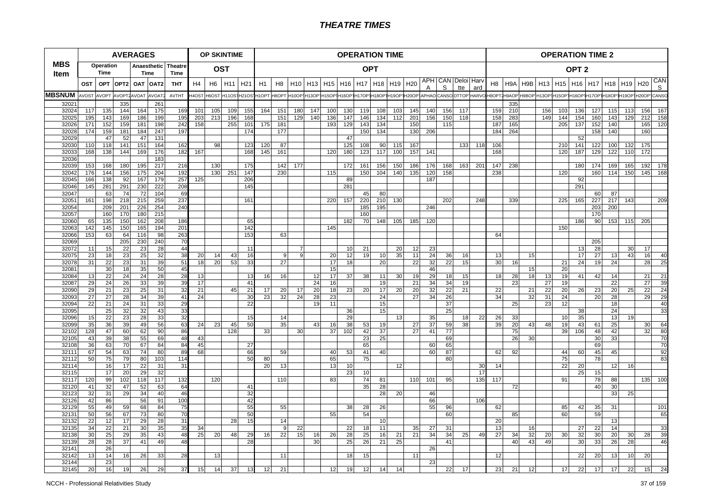|                           |                 |                    |            | <b>AVERAGES</b>    |            |                             |            |                | <b>OP SKINTIME</b>                                                                                                                                                      |                 |     |            |     |          |            | <b>OPERATION TIME</b>                         |                 |            |                 |            |          |                                |          |              |                 |            |    |                                               |            |                  | <b>OPERATION TIME 2</b> |            |     |            |                      |
|---------------------------|-----------------|--------------------|------------|--------------------|------------|-----------------------------|------------|----------------|-------------------------------------------------------------------------------------------------------------------------------------------------------------------------|-----------------|-----|------------|-----|----------|------------|-----------------------------------------------|-----------------|------------|-----------------|------------|----------|--------------------------------|----------|--------------|-----------------|------------|----|-----------------------------------------------|------------|------------------|-------------------------|------------|-----|------------|----------------------|
| <b>MBS</b><br><b>Item</b> |                 | Operation<br>Time  |            | Time               |            | Anaesthetic Theatre<br>Time |            | <b>OST</b>     |                                                                                                                                                                         |                 |     |            |     |          |            |                                               | <b>OPT</b>      |            |                 |            |          |                                |          |              |                 |            |    |                                               |            | OPT <sub>2</sub> |                         |            |     |            |                      |
|                           | <b>OST</b>      |                    |            | OPT OPT2 OAT OAT2  |            | <b>THT</b>                  | H4         | H <sub>6</sub> | H <sub>11</sub>                                                                                                                                                         | H <sub>21</sub> | H1  | H8         |     |          |            | H10   H13   H15   H16   H17   H18   H19   H20 |                 |            |                 |            |          | APH   CAN   Deloi   Harv<br>S. | tte      | ard          | H <sub>8</sub>  | H9A        |    | H9B   H13   H15   H16   H17   H18   H19   H20 |            |                  |                         |            |     |            | CAN<br>$\mathcal{S}$ |
| <b>MBSNUM</b>             |                 | <b>AVOST AVOPT</b> |            | AVOPT2AVOAT AVOAT2 |            | AVTHT                       | 14OST      |                | H6OST H11OS1H21OS  H1OPT H8OPT H10OP1H13OP1H15OP1H16OP1H17OP1H18OP1H19OP1H2OOP1APHAO CANSO DTTOP1HARVC H8OPT H9AOP1H9OP1H13OP1H15OP1H16OP1H17OP1H18OP1H19OP1H2OOP1CANSC |                 |     |            |     |          |            |                                               |                 |            |                 |            |          |                                |          |              |                 |            |    |                                               |            |                  |                         |            |     |            |                      |
| 32021                     |                 |                    | 335        |                    | 261        |                             |            |                |                                                                                                                                                                         |                 |     |            |     |          |            |                                               |                 |            |                 |            |          |                                |          |              |                 | 335        |    |                                               |            |                  |                         |            |     |            |                      |
| 32024                     | 117             | 135                | 144        | 164                | 175        | 169                         | 101        | 105            | 109                                                                                                                                                                     | 155             | 164 | 151        | 180 | 147      | 100        | 130                                           | 119             | 108        | 103             | 145        | 140      | 156                            | 117      |              | 159             | 210        |    | 156                                           | 103        | 136              | 127                     | 115        | 113 | 156        | 167                  |
| 32025<br>32026            | 195<br>171      | 143<br>152         | 169<br>159 | 186<br>181         | 199<br>198 | 195<br>242                  | 203<br>158 | 213            | 196<br>255                                                                                                                                                              | 168             | 175 | 151<br>181 | 129 | 140      | 136<br>193 | 147<br>129                                    | 146<br>143      | 134<br>134 | $\frac{112}{2}$ | 201<br>150 | 156      | 150<br>115                     | 118      |              | 158<br>187      | 283<br>165 |    | 149                                           | 144<br>205 | 154<br>137       | 160<br>152              | 143<br>140 | 129 | 212<br>165 | 158<br>120           |
| 32028                     | 174             | 159                | 181        | 184                | 247        | 197                         |            |                |                                                                                                                                                                         | 101<br>174      |     | 177        |     |          |            |                                               | 150             | 134        |                 | 130        | 206      |                                |          |              | 184             | 264        |    |                                               |            |                  | 158                     | 140        |     | 160        |                      |
| 32029                     |                 | 47                 | 52         | 47                 | 131        |                             |            |                |                                                                                                                                                                         |                 |     |            |     |          |            | 47                                            |                 |            |                 |            |          |                                |          |              |                 |            |    |                                               |            | 52               |                         |            |     |            |                      |
| 32030                     | 110             | 118                | 141        | 151                | 164        | 162                         |            | 98             |                                                                                                                                                                         | 123             | 120 | 87         |     |          |            | 125                                           | 108             | 90         | 115             | 167        |          |                                | 133      | 118          | 106             |            |    |                                               | 210        | 141              | 122                     | 100        | 132 | 175        |                      |
| 32033                     | 168             | 138                | 144        | 169                | 176        | 182                         | 167        |                |                                                                                                                                                                         | 168             | 145 | 161        |     |          | 120        | 180                                           | 123             | 117        | 100             | 157        | 141      |                                |          |              | 168             |            |    |                                               | 120        | 187              | 129                     | 122        | 110 | 172        |                      |
| 32036<br>32039            | 153             | 168                | 180        | 195                | 183<br>217 | 216                         |            | 130            |                                                                                                                                                                         | 175             |     | 142        | 177 |          |            | 172                                           | 161             | 156        | 150             | 186        | 176      | 168                            | 163      | $20^{\circ}$ | 147             | 238        |    |                                               |            | 180              | 174                     | 169        | 165 | 192        | 178                  |
| 32042                     | 176             | 144                | 156        | 175                | 204        | 192                         |            | 130            | 251                                                                                                                                                                     | 147             |     | 230        |     |          | 115        |                                               | 150             | 104        | 140             | 135        | 120      | 158                            |          |              | 238             |            |    |                                               | 120        |                  | 160                     | 114        | 150 | 145        | 168                  |
| 32045                     | 166             | 138                | 92         | 167                | 179        | 257                         | 125        |                |                                                                                                                                                                         | 206             |     |            |     |          |            | 89                                            |                 |            |                 |            | 187      |                                |          |              |                 |            |    |                                               |            | 92               |                         |            |     |            |                      |
| 32046                     | 145             | 281                | 291        | 230                | 222        | 208                         |            |                |                                                                                                                                                                         | 145             |     |            |     |          |            | 281                                           |                 |            |                 |            |          |                                |          |              |                 |            |    |                                               |            | 291              |                         |            |     |            |                      |
| 32047                     |                 | 63                 | 74         | 72                 | 104        | 69                          |            |                |                                                                                                                                                                         |                 |     |            |     |          |            |                                               | 45              | 80         |                 |            |          |                                |          |              |                 |            |    |                                               |            |                  | 60                      | 87         |     |            |                      |
| 32051<br>32054            | 161             | 198<br>209         | 218<br>201 | 215<br>226         | 259<br>254 | 237<br>240                  |            |                |                                                                                                                                                                         | 161             |     |            |     |          | 220        | 157                                           | 220<br>185      | 210<br>195 | 130             |            | 246      | 202                            |          | 248          |                 | 339        |    |                                               | 225        | 165              | 227<br>203              | 217<br>200 | 143 |            | 209                  |
| 32057                     |                 | 160                | 170        | 180                | 215        |                             |            |                |                                                                                                                                                                         |                 |     |            |     |          |            |                                               | 160             |            |                 |            |          |                                |          |              |                 |            |    |                                               |            |                  | 170                     |            |     |            |                      |
| 32060                     | 65              | 135                | 150        | 162                | 208        | 186                         |            |                |                                                                                                                                                                         | 65              |     |            |     |          |            | 182                                           | 70              | 148        | 105             | 185        | 120      |                                |          |              |                 |            |    |                                               |            | 186              | 90 <sub>l</sub>         | 153        | 115 | 205        |                      |
| 32063                     | 142             | 145                | 150        | 165                | 194        | 201                         |            |                |                                                                                                                                                                         | 142             |     |            |     |          | 145        |                                               |                 |            |                 |            |          |                                |          |              |                 |            |    |                                               | 150        |                  |                         |            |     |            |                      |
| 32066                     | 153             | 63                 | 64         | 116                | 98         | 263                         |            |                |                                                                                                                                                                         | 153             |     | 63         |     |          |            |                                               |                 |            |                 |            |          |                                |          |              | 64              |            |    |                                               |            |                  |                         |            |     |            |                      |
| 32069<br>32072            | 11              | 15                 | 205<br>22  | 230<br>23          | 240<br>28  | 70<br>44                    |            |                |                                                                                                                                                                         | 11              |     |            |     |          |            | 10 <sup>1</sup>                               | 21              |            | 20              | 12         | 23       |                                |          |              |                 |            |    |                                               |            | 13               | 205<br>28               |            | 30  | 17         |                      |
| 32075                     | 23              | 18                 | 23         | 25                 | 32         | 38                          | 20         | 14             | 43                                                                                                                                                                      | 16              |     | 9          | 9   |          | 20         | 12                                            | 19              | 10         | 35              | 11         | 24       | 36                             | 16       |              | 13              |            | 15 |                                               |            | 17               | 27                      | 13         | 43  | 16         | 40                   |
| 32078                     | 31              | 22                 | 23         | 31                 | 39         | 51                          | 18         | 20             | 53                                                                                                                                                                      | 33              |     | 27         |     |          | 17         | 18 <sup>l</sup>                               |                 | 20         |                 | 22         | 32       | 22                             | 15       |              | 30 <sup>1</sup> | 16         |    |                                               | 21         | 24               | 19                      | 24         |     | 28         | 25                   |
| 32081                     |                 | 30                 | 18         | 35                 | 50         | 45                          |            |                |                                                                                                                                                                         |                 |     |            |     |          | 15         |                                               |                 |            |                 |            | 46       |                                |          |              |                 |            | 15 |                                               | 20         |                  |                         |            |     |            |                      |
| 32084                     | 13              | 22                 | 24         | 24                 | 28         | 28                          | 13         |                |                                                                                                                                                                         | 13              | 16  | 16         |     | 12       | 17         | 37                                            | 38              | 11         | 30              | 19         | 29       | 18                             | 15       |              | 18              | 28         | 18 | 13                                            | 19         | 41               | 42                      | 14         |     | 21         | 21                   |
| 32087<br>32090            | 29<br>29        | 24<br>21           | 26<br>23   | 33<br>25           | 39<br>31   | 39<br>32                    | 17<br>21   |                | 45                                                                                                                                                                      | 41<br>21        | 17  | 20         | 17  | 24<br>20 | 16<br>18   | 23                                            | 20              | 19<br>17   | 20              | 21<br>20   | 34<br>32 | 34<br>22                       | 19<br>21 |              | 22              | 23         | 21 | 27<br>22                                      | 19<br>20   | 26               | 23                      | 22<br>20   | 25  | 27<br>22   | 39<br>24             |
| 32093                     | 27              | 27                 | 28         | 34                 | 39         | 41                          | 24         |                |                                                                                                                                                                         | 30              | 23  | 32         | 24  | 28       | 23         |                                               |                 | 24         |                 | 27         | 34       | 26                             |          |              | 34              |            | 32 | 31                                            | 24         |                  | 20                      | 28         |     | 29         | 29                   |
| 32094                     | 22              | 21                 | 24         | 31                 | 33         | 29                          |            |                |                                                                                                                                                                         | 22              |     |            |     | 19       | 11         |                                               |                 | 15         |                 |            |          | 37                             |          |              |                 | 25         |    | 23                                            | 12         |                  |                         | 18         |     |            | 40                   |
| 32095                     |                 | 25                 | 32         | 32                 | 43         | 33                          |            |                |                                                                                                                                                                         |                 |     |            |     |          |            | 36                                            |                 | 15         |                 |            |          | 25                             |          |              |                 |            |    |                                               |            | 38               |                         | 24         |     |            | 33                   |
| 32096                     | 15 <sup>1</sup> | 22                 | 23         | 28                 | 33         | 32                          |            |                |                                                                                                                                                                         | 15              |     | 14         |     |          |            | 29                                            |                 |            | 13              |            | 35       |                                | 18       | 22           | 26              | 33         |    |                                               | 10         | 35               |                         | 13         | 19  |            |                      |
| 32099<br>32102            | 35<br>128       | 36<br>47           | 39<br>60   | 49<br>62           | 56<br>90   | 63<br>86                    | 24         | 23             | 45<br>128                                                                                                                                                               | 50              | 33  | 35         | 30  | 43       | 16<br>37   | 38<br>102                                     | 53<br>42        | 19<br>37   |                 | 27<br>27   | 37<br>41 | 59<br>77                       | 38       |              | 39              | 20<br>75   | 43 | 48                                            | 19<br>39   | 43<br>106        | 61<br>48                | 25<br>42   |     | 30<br>32   | 64<br>80             |
| 32105                     | 43              | 39                 | 38         | 55                 | 69         | 48                          | 43         |                |                                                                                                                                                                         |                 |     |            |     |          |            |                                               | 23              | 25         |                 |            |          | 69                             |          |              |                 | 26         | 30 |                                               |            |                  | 30                      | 33         |     |            | 70                   |
| 32108                     | 36 <sup>°</sup> | 63                 | 70         | 67                 | 84         | 84                          | 45         |                |                                                                                                                                                                         | 27              |     |            |     |          |            |                                               | 65              |            |                 |            | 60       | 65                             |          |              |                 |            |    |                                               |            |                  | 69                      |            |     |            | 70                   |
| 32111                     | 67              | 54                 | 63         | 74                 | 80         | 89                          | 68         |                |                                                                                                                                                                         | 66              |     | 59         |     |          | 40         | 53                                            | 41              | 40         |                 |            | 60       | 87                             |          |              | 62              | 92         |    |                                               | 44         | 60               | 45                      | 45         |     |            | 92                   |
| 32112                     | 50              | 75                 | 79<br>17   | 80<br>22           | 103<br>31  | 114                         |            |                |                                                                                                                                                                         | 50              | 80  |            |     |          | 65         |                                               | 75              |            |                 |            |          | 80                             |          |              |                 |            |    |                                               | 75<br>22   |                  | 78                      |            |     |            | 83                   |
| 32114<br>32115            |                 | 16<br>17           | 20         | 29                 | 32         | 31                          |            |                |                                                                                                                                                                         |                 | 20  | 13         |     |          | 13         | 10<br>23                                      | 10              |            | 12              |            |          |                                |          | 30<br>17     | 14              |            |    |                                               |            | 20<br>25         | 15                      | 12         | 16  |            |                      |
| 32117                     | 120             | 99                 | 102        | 118                | 117        | 132                         |            | 120            |                                                                                                                                                                         |                 |     | 110        |     |          | 83         |                                               | 74              | 81         |                 | 110        | 101      | 95                             |          | 135          | 117             |            |    |                                               | 91         |                  | 78                      | 88         |     | 135        | 100                  |
| 32120                     | 41              | 32                 | 47         | 52                 | 63         | 64                          |            |                |                                                                                                                                                                         | 41              |     |            |     |          |            |                                               | 35 <sub>1</sub> | 28         |                 |            |          |                                |          |              |                 | 72         |    |                                               |            |                  | 40                      | 30         |     |            |                      |
| 32123                     | 32              | 31                 | 29         | 34                 | 40         | 46                          |            |                |                                                                                                                                                                         | 32              |     |            |     |          |            |                                               |                 | 28         | 20              |            | 46       |                                |          |              |                 |            |    |                                               |            |                  |                         | 33         | 25  |            |                      |
| 32126                     | 42              | 86                 |            | 56                 | 91         | 100                         |            |                |                                                                                                                                                                         | 42<br>55        |     |            |     |          |            |                                               |                 |            |                 |            | 66       |                                |          | 106          | 62              |            |    |                                               |            |                  |                         |            |     |            |                      |
| 32129<br>32131            | 55<br>50        | 49<br>56           | 59<br>67   | 68<br>73           | 84<br>80   | 75<br>70                    |            |                |                                                                                                                                                                         | 50              |     | 55         |     |          | 55         | 38                                            | 28<br>54        | 26         |                 |            | 55       | 96<br>60                       |          |              |                 | 85         |    |                                               | 85<br>60   | 42               | 35<br>59                | 31         |     |            | 101<br>65            |
| 32132                     | 22              | 12                 | 17         | 29                 | 28         | 31                          |            |                | 28                                                                                                                                                                      | 15              |     | 14         |     |          |            |                                               |                 | 10         |                 |            |          |                                |          |              | 20              |            |    |                                               |            |                  |                         | 13         |     |            |                      |
| 32135                     | 34              | 22                 | 21         | 30                 | 35         | 35                          | 34         |                |                                                                                                                                                                         |                 |     | 9          | 22  |          |            | 22                                            | 18              | 11         |                 | 35         | 27       | 31                             |          |              | 13              |            | 16 |                                               |            | 27               | 22                      | 14         |     |            | 33                   |
| 32138                     | 30              | 25                 | 29         | 35                 | 43         | 48                          | 25         | 20             | 48                                                                                                                                                                      | 29              | 16  | 22         | 15  | 16       | 26         | 28                                            | 25              | 16         | 21              | 21         | 34       | 34                             | 25       | 49           | 27              | 34         | 32 | 20                                            | 30         | 32               | 30                      | 20         | 30  | 28         | 39                   |
| 32139                     | 28              | 28                 | 37         | 41                 | 49         | 48                          |            |                |                                                                                                                                                                         | 28              |     |            |     | 30       |            | 25                                            | 26              | 21         | 25              |            |          | 41                             |          |              |                 | 40         | 43 | 49                                            |            | 30               | 33                      | 26         | 28  |            | 46                   |
| 32141<br>32142            | 13              | 26<br>14           | 16         | 26                 | 33         | 28                          |            | 13             |                                                                                                                                                                         |                 |     | 11         |     |          |            | 18 <sup>l</sup>                               | 15              |            |                 | 11         | 26       |                                |          |              | 12              |            |    |                                               |            | 22               | 20                      | 13         | 10  | 20         |                      |
| 32144                     |                 | 23                 |            |                    |            |                             |            |                |                                                                                                                                                                         |                 |     |            |     |          |            |                                               |                 |            |                 |            | 23       |                                |          |              |                 |            |    |                                               |            |                  |                         |            |     |            |                      |
| 32145                     | 20              | 16                 | 19         | 26                 | 29         | 37                          | 15         | 14             | 37                                                                                                                                                                      | 13              | 12  | 21         |     |          | 12         | 19                                            | 12              | 14         | 14              |            |          | 22                             | 17       |              | 23              | 21         | 12 |                                               | 17         | 22               | 17                      | 17         | 22  | 15         | 24                   |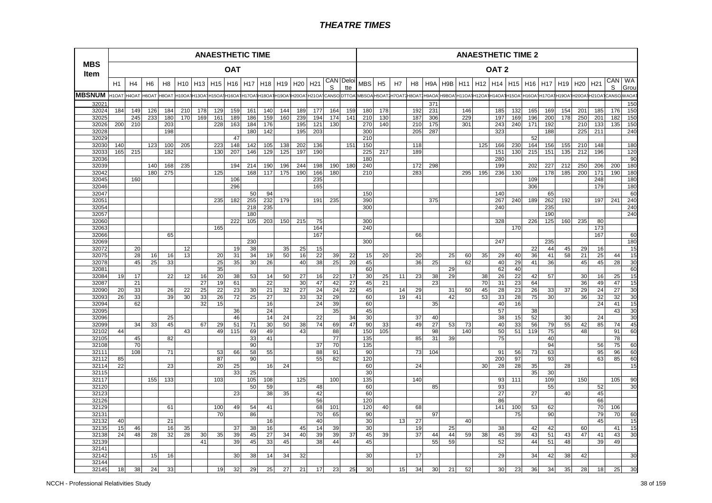|                    |          |            |                |                |                 |                                                                 |            |            | <b>ANAESTHETIC TIME</b> |            |     |                                                                                           |            |          |           |            |                                                                                                |                |                |                  |          |            | <b>ANAESTHETIC TIME 2</b>                                       |                  |            |                 |                 |                 |            |            |          |                           |
|--------------------|----------|------------|----------------|----------------|-----------------|-----------------------------------------------------------------|------------|------------|-------------------------|------------|-----|-------------------------------------------------------------------------------------------|------------|----------|-----------|------------|------------------------------------------------------------------------------------------------|----------------|----------------|------------------|----------|------------|-----------------------------------------------------------------|------------------|------------|-----------------|-----------------|-----------------|------------|------------|----------|---------------------------|
| <b>MBS</b><br>Item |          |            |                |                |                 |                                                                 |            | <b>OAT</b> |                         |            |     |                                                                                           |            |          |           |            |                                                                                                |                |                |                  |          |            |                                                                 | OAT <sub>2</sub> |            |                 |                 |                 |            |            |          |                           |
|                    | H1       | H4         | H <sub>6</sub> | H <sub>8</sub> | H <sub>10</sub> | H <sub>13</sub> H <sub>15</sub> H <sub>16</sub> H <sub>17</sub> |            |            |                         |            |     | H <sub>18</sub> H <sub>19</sub> H <sub>20</sub> H <sub>21</sub>                           |            |          | CAN Deloi | MBS        | H <sub>5</sub>                                                                                 | H <sub>7</sub> | H <sub>8</sub> | H <sub>9</sub> A | H9B H11  |            | H <sub>12</sub> H <sub>14</sub> H <sub>15</sub> H <sub>16</sub> |                  |            |                 | H <sub>17</sub> | H <sub>19</sub> | H20 H21    |            | CAN      | WA                        |
| <b>MBSNUM</b>      |          |            |                |                |                 |                                                                 |            |            |                         |            |     | H1OAT H4OAT H6OAT H8OAT H10OATH13OATH15OATH16OATH17OATH18OATH19OATH20OATH21OATCANSO DTTOA |            | S        | tte       |            | MBSOAH5OAT1H7OAT1H8OAT1H9AOATH9BOATH11OATH11OATH14OATH15OATH16OATH17OATH19OATH20OATH21OATCANSO |                |                |                  |          |            |                                                                 |                  |            |                 |                 |                 |            |            | S        | Grou<br>WAOA <sup>-</sup> |
| 32021              |          |            |                |                |                 |                                                                 |            |            |                         |            |     |                                                                                           |            |          |           |            |                                                                                                |                |                | 371              |          |            |                                                                 |                  |            |                 |                 |                 |            |            |          | 150                       |
| 32024              | 184      | 149        | 126            | 184            | 210             | 178                                                             | 129        | 159        | 161                     | 140        | 144 | 189                                                                                       | 177        | 164      | 159       | 180        | 178                                                                                            |                | 192            | 231              |          | 146        |                                                                 | 185              | 132        | 165             | 169             | 154             | 201        | 185        | 176      | 150                       |
| 32025              | 200      | 245<br>210 | 233            | 180            | 170             | 169                                                             | 161<br>228 | 189        | 186                     | 159        | 160 | 239<br>195                                                                                | 194<br>121 | 174      | 141       | 210        | 130<br>140                                                                                     |                | 187<br>210     | 306<br>175       |          | 229<br>301 |                                                                 | 197<br>243       | 169<br>240 | 196             | 200             | 178             | 250<br>210 | 201        | 182      | 150                       |
| 32026<br>32028     |          |            |                | 203<br>198     |                 |                                                                 |            | 163        | 184<br>180              | 176<br>142 |     | 195                                                                                       | 203        | 130      |           | 270<br>300 |                                                                                                |                | 205            | 287              |          |            |                                                                 | 323              |            | 171             | 192<br>188      |                 | 225        | 133<br>211 | 135      | 150<br>240                |
| 32029              |          |            |                |                |                 |                                                                 |            | 47         |                         |            |     |                                                                                           |            |          |           | 210        |                                                                                                |                |                |                  |          |            |                                                                 |                  |            | 52              |                 |                 |            |            |          |                           |
| 32030              | 140      |            | 123            | 100            | 205             |                                                                 | 223        | 148        | 142                     | 105        | 138 | 202                                                                                       | 136        |          | 151       | 150        |                                                                                                |                | 118            |                  |          |            | 125                                                             | 166              | 230        | 164             | 156             | 155             | 210        | 148        |          | 180                       |
| 32033              | 165      | 215        |                | 182            |                 |                                                                 | 130        | 207        | 146                     | 129        | 125 | 197                                                                                       | 190        |          |           | 225        | 217                                                                                            |                | 189            |                  |          |            |                                                                 | 151              | 130        | 215             | 151             | 135             | 212        | 196        |          | 120                       |
| 32036<br>32039     |          |            | 140            | 168            | 235             |                                                                 |            | 194        | 214                     | 190        | 196 | 244                                                                                       | 198        | 190      | 180       | 180<br>240 |                                                                                                |                | 172            | 298              |          |            |                                                                 | 280<br>199       |            | 202             | 227             | 212             | 250        | 206        | 200      | 90<br>180                 |
| 32042              |          |            | 180            | 275            |                 |                                                                 | 125        |            | 168                     | 117        | 175 | 190                                                                                       | 166        | 180      |           | 210        |                                                                                                |                | 283            |                  |          | 295        | 195                                                             | 236              | 130        |                 | 178             | 185             | 200        | 171        | 190      | 180                       |
| 32045              |          | 160        |                |                |                 |                                                                 |            | 106        |                         |            |     |                                                                                           | 235        |          |           |            |                                                                                                |                |                |                  |          |            |                                                                 |                  |            | 109             |                 |                 |            | 248        |          | 180                       |
| 32046              |          |            |                |                |                 |                                                                 |            | 296        |                         |            |     |                                                                                           | 165        |          |           |            |                                                                                                |                |                |                  |          |            |                                                                 |                  |            | 306             |                 |                 |            | 179        |          | 180                       |
| 32047              |          |            |                |                |                 |                                                                 |            |            | 50                      | 94         | 179 |                                                                                           |            |          |           | 150        |                                                                                                |                |                |                  |          |            |                                                                 | 140              |            |                 | 65              | 192             |            |            |          | 60                        |
| 32051<br>32054     |          |            |                |                |                 |                                                                 | 235        | 182        | 255<br>218              | 232<br>235 |     |                                                                                           | 191        | 235      |           | 390<br>300 |                                                                                                |                |                | 375              |          |            |                                                                 | 267<br>240       | 240        | 189             | 262<br>235      |                 |            | 197        | 241      | 240<br>240                |
| 32057              |          |            |                |                |                 |                                                                 |            |            | 180                     |            |     |                                                                                           |            |          |           |            |                                                                                                |                |                |                  |          |            |                                                                 |                  |            |                 | 190             |                 |            |            |          | 240                       |
| 32060              |          |            |                |                |                 |                                                                 |            | 222        | 105                     | 203        | 150 | 215                                                                                       | 75         |          |           | 300        |                                                                                                |                |                |                  |          |            |                                                                 | 328              |            | 226             | 125             | 160             | 235        | 80         |          |                           |
| 32063              |          |            |                |                |                 |                                                                 | 165        |            |                         |            |     |                                                                                           | 164        |          |           | 240        |                                                                                                |                |                |                  |          |            |                                                                 |                  | 170        |                 |                 |                 |            | 173        |          |                           |
| 32066<br>32069     |          |            |                | 65             |                 |                                                                 |            |            | 230                     |            |     |                                                                                           | 167        |          |           | 300        |                                                                                                |                | 66             |                  |          |            |                                                                 | 247              |            |                 | 235             |                 |            | 167        |          | 60<br>180                 |
| 32072              |          | 20         |                |                | 12              |                                                                 |            | 19         | 38                      |            | 35  | 25                                                                                        | 15         |          |           |            |                                                                                                |                |                |                  |          |            |                                                                 |                  |            | 22              | 44              | 45              | 29         | 16         |          | 15                        |
| 32075              |          | 28         | 16             | 16             | 13              |                                                                 | 20         | 31         | 34                      | 19         | 50  | 16                                                                                        | 22         | 39       | 22        | 15         | 20                                                                                             |                | 20             |                  | 25       | 60         | 35                                                              | 29               | 40         | 36              | 41              | 58              | 21         | 25         | 44       | 15                        |
| 32078              |          | 45         | 25             | 33             |                 |                                                                 | 25         | 35         | 30                      | 26         |     | 40                                                                                        | 38         | 25       | 20        | 45         |                                                                                                |                | 36             | 25               |          | 62         |                                                                 | 40               | 29         | 41              | 36              |                 | 45         | 45         | 28       | 30                        |
| 32081<br>32084     | 19       | 17         |                | 22             | 12              | 16                                                              | 35<br>20   | 38         | 53                      | 14         | 50  | 27                                                                                        | 16         | 22       | 17        | 60<br>30   | 25                                                                                             | 11             | 23             | 38               | 29<br>29 |            | 38                                                              | 62<br>26         | 40<br>22   | 42              | 57              |                 | 30         | 16         | 25       | 60                        |
| 32087              |          | 21         |                |                |                 | 27                                                              | 19         | 61         |                         | 22         |     | 30                                                                                        | 47         | 42       | 27        | 45         | 21                                                                                             |                |                | 23               |          |            | 70                                                              | 31               | 23         | 64              |                 |                 | 36         | 49         | 47       | $\frac{15}{15}$           |
| 32090              | 20       | 33         |                | 26             | 22              | 25                                                              | 22         | 23         | 30                      | 21         | 32  | 27                                                                                        | 24         | 24       | 22        | 45         |                                                                                                | 14             | 29             |                  | 31       | 50         | 45                                                              | 28               | 23         | 26              | 33              | 37              | 29         | 24         | 27       | $\frac{30}{30}$           |
| 32093              | 26       | 33         |                | 39             | 30              | 33                                                              | 26         | 72         | 25                      | 27         |     | 33                                                                                        | 32         | 29       |           | 60         |                                                                                                | 19             | 41             |                  | 42       |            | 53                                                              | 33               | 28         | 75              | 30              |                 | 36         | 32         | 32       |                           |
| 32094              |          | 62         |                |                |                 | 32                                                              | 15         |            |                         | 16<br>24   |     |                                                                                           | 24         | 39       |           | 60<br>45   |                                                                                                |                |                | 35               |          |            |                                                                 | 40               | 16         | 38              |                 |                 |            | 24         | 41       | 15                        |
| 32095<br>32096     |          |            |                | 25             |                 |                                                                 |            | 36<br>46   |                         | 14         | 24  |                                                                                           | 22         | 35       | 34        | 30         |                                                                                                |                | 37             | 40               |          |            |                                                                 | 57<br>38         | 15         | 52              |                 | 30              |            | 24         | 43       | 30<br>30                  |
| 32099              |          | 34         | 33             | 45             |                 | 67                                                              | 29         | 51         | 71                      | 30         | 50  | 38                                                                                        | 74         | 69       | 47        | 90         | 33                                                                                             |                | 49             | 27               | 53       | 73         |                                                                 | 40               | 33         | 56              | 79              | 55              | 42         | 85         | 74       | 45                        |
| 32102              | 44       |            |                |                | 43              |                                                                 | 49         | 115        | 69                      | 49         |     | 43                                                                                        |            | 88       |           | 150        | 105                                                                                            |                |                | 98               |          | 140        |                                                                 | 50               | 51         | 119             | 75              |                 | 48         |            | 91       | 60                        |
| 32105              |          | 45         |                | 82             |                 |                                                                 |            |            | 33                      | 41         |     |                                                                                           |            | 77       |           | 135        |                                                                                                |                | 85             | 31               | 39       |            |                                                                 | 75               |            |                 | 40              |                 |            |            | 78       |                           |
| 32108<br>32111     |          | 70<br>108  |                | 71             |                 |                                                                 | 53         | 66         | 90<br>58                | 55         |     |                                                                                           | 37<br>88   | 70<br>91 |           | 135<br>90  |                                                                                                |                | 73             | 104              |          |            |                                                                 | 91               | 56         | 73              | 94<br>63        |                 |            | 56<br>95   | 75<br>96 | 60<br>60                  |
| 32112              | 85       |            |                |                |                 |                                                                 | 87         |            | 90                      |            |     |                                                                                           | 55         | 82       |           | 120        |                                                                                                |                |                |                  |          |            |                                                                 | 200              | 97         |                 | 93              |                 |            | 63         | 85       | 60                        |
| 32114              | 22       |            |                | 23             |                 |                                                                 | 20         | 25         |                         | 16         | 24  |                                                                                           |            |          |           | 60         |                                                                                                |                | 24             |                  |          |            | 30 <sub>1</sub>                                                 | 28               | 28         | 35              |                 | 28              |            |            |          | 15                        |
| 32115              |          |            |                |                |                 |                                                                 |            | 33         | 25                      |            |     |                                                                                           |            |          |           | 30         |                                                                                                |                |                |                  |          |            |                                                                 |                  |            | 35              | 30              |                 |            |            |          |                           |
| 32117<br>32120     |          |            | 155            | 133            |                 |                                                                 | 103        |            | 105<br>50               | 108<br>59  |     | 125                                                                                       | 48         | 100      |           | 135<br>60  |                                                                                                |                | 140            | 85               |          |            |                                                                 | 93<br>93         | 111        |                 | 109<br>55       |                 | 150        | 52         | 105      | 90<br>30                  |
| 32123              |          |            |                |                |                 |                                                                 |            | 23         |                         | 38         | 35  |                                                                                           | 42         |          |           | 60         |                                                                                                |                |                |                  |          |            |                                                                 | 27               |            | $\overline{27}$ |                 | 40              |            | 45         |          |                           |
| 32126              |          |            |                |                |                 |                                                                 |            |            |                         |            |     |                                                                                           | 56         |          |           | 120        |                                                                                                |                |                |                  |          |            |                                                                 | 86               |            |                 |                 |                 |            | 66         |          |                           |
| 32129              |          |            |                | 61             |                 |                                                                 | 100        | 49         | 54                      | 41         |     |                                                                                           | 68         | 101      |           | 120        | 40                                                                                             |                | 68             |                  |          |            |                                                                 | 141              | 100        | 53              | 62              |                 |            | 70         | 106      |                           |
| 32131              |          |            |                | 21             |                 |                                                                 | 70         |            | 86                      |            |     |                                                                                           | 70<br>40   | 65       |           | 90<br>30   |                                                                                                | 13             | 27             | 97               |          | 40         |                                                                 |                  | 75         |                 | 90              |                 |            | 79<br>45   | 70       | 60                        |
| 32132<br>32135     | 40<br>15 | 46         |                | 16             | 35              |                                                                 |            | 37         | 38                      | 16<br>16   |     | 45                                                                                        | 14         | 39       |           | 30         |                                                                                                |                | 19             |                  | 25       |            |                                                                 | 38               |            | 42              | 42              |                 | 60         |            | 41       | 15<br>15                  |
| 32138              | 24       | 48         | 28             | 32             | 28              | 30                                                              | 35         | 39         | 45                      | 27         | 34  | 40                                                                                        | 39         | 39       | 37        | 45         | 39                                                                                             |                | 37             | 44               | 44       | 59         | 38                                                              | 45               | 39         | 43              | 51              | 43              | 47         | 41         | 43       | 30                        |
| 32139              |          |            |                |                |                 | 41                                                              |            | 39         | 45                      | 33         | 45  |                                                                                           | 38         | 44       |           | 45         |                                                                                                |                |                | 55               | 59       |            |                                                                 | 52               |            | 44              | 51              | 48              |            | 39         | 49       |                           |
| 32141              |          |            |                |                |                 |                                                                 |            |            |                         |            |     |                                                                                           |            |          |           |            |                                                                                                |                |                |                  |          |            |                                                                 |                  |            |                 |                 |                 |            |            |          |                           |
| 32142<br>32144     |          |            | 15             | 16             |                 |                                                                 |            | 30         | 38                      | 14         | 34  | 32                                                                                        |            |          |           | 30         |                                                                                                |                | 17             |                  |          |            |                                                                 | 29               |            | 34              | 42              | 38              | 42         |            |          | 30                        |
| 32145              | 18       | 38         | 24             | 33             |                 |                                                                 | 19         | 32         | 29                      | 25         | 27  | 21                                                                                        | 17         | 23       | 25        | 30         |                                                                                                | 15             | 34             | 30               | 21       | 52         |                                                                 | 30               | 23         | 36              | 34              | 35              | 28         | 18         | 25       | 30                        |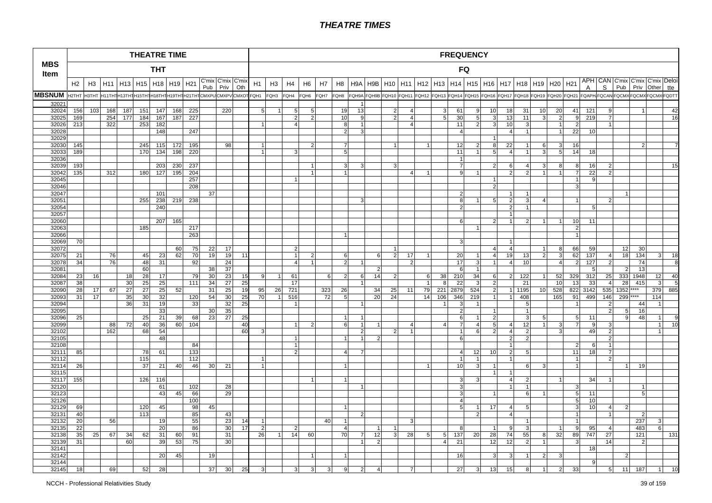|                    |            |                |                                                                               | <b>THEATRE TIME</b>         |            |            |            |                          |                 |          |                              |                |                         |                                  |                      |                                |                                                  |                                  |                                  |                     |                      | <b>FREQUENCY</b>               |                                        |                                                                |                                                                                                                                  |                                              |            |                                  |                                                       |                       |                      |                      |
|--------------------|------------|----------------|-------------------------------------------------------------------------------|-----------------------------|------------|------------|------------|--------------------------|-----------------|----------|------------------------------|----------------|-------------------------|----------------------------------|----------------------|--------------------------------|--------------------------------------------------|----------------------------------|----------------------------------|---------------------|----------------------|--------------------------------|----------------------------------------|----------------------------------------------------------------|----------------------------------------------------------------------------------------------------------------------------------|----------------------------------------------|------------|----------------------------------|-------------------------------------------------------|-----------------------|----------------------|----------------------|
| <b>MBS</b><br>Item |            |                |                                                                               |                             | <b>THT</b> |            |            |                          |                 |          |                              |                |                         |                                  |                      |                                |                                                  |                                  |                                  |                     |                      | <b>FQ</b>                      |                                        |                                                                |                                                                                                                                  |                                              |            |                                  |                                                       |                       |                      |                      |
|                    | H2         | H <sub>3</sub> | H <sub>11</sub>                                                               | H13   H15   H18   H19   H21 |            |            |            | C'mix C'mix C'mix<br>Pub | Priv            | Oth      | H1                           | H <sub>3</sub> | H <sub>4</sub>          | H <sub>6</sub>                   | H <sub>8</sub><br>H7 |                                | H <sub>9</sub> A<br>H9B                          | H <sub>10</sub>                  | H <sub>11</sub>                  |                     |                      |                                |                                        |                                                                | H12   H13   H14   H15   H16   H17   H18   H19   H20   H21                                                                        |                                              |            | $\mathcal{S}$                    | APH CAN C'mix C'mix C'mix Deloi<br>Pub Priv Other tte |                       |                      |                      |
| <b>MBSNUM</b>      |            |                | н2ТНТ Н3ТНТ Н11ТНТН13ТНТН15ТНТН18ТНТН19ТНТН21ТНТСМХРUCMXPVCMXOTFQH1 FQH3 FQH4 |                             |            |            |            |                          |                 |          |                              |                |                         |                                  | FQH6 FQH7 FQH8       |                                |                                                  |                                  |                                  |                     |                      |                                |                                        |                                                                | ғанза ғанзв ған10  ған11  ған12  ған13  ған14  ған15  ған16  ған17  ған18  ған19  ған20  ған21  ғалғн ғасли ғасмұғасмұғасмұғасмұ |                                              |            |                                  |                                                       |                       |                      |                      |
| 32021              |            |                |                                                                               |                             |            |            |            |                          |                 |          |                              |                |                         |                                  |                      |                                |                                                  |                                  |                                  |                     |                      |                                |                                        |                                                                |                                                                                                                                  |                                              |            |                                  |                                                       |                       |                      |                      |
| 32024<br>32025     | 156<br>169 | 103            | 168<br>187<br>254<br>177                                                      | 151<br>184                  | 147<br>167 | 168<br>187 | 225<br>227 |                          | 220             |          | 5 <sub>l</sub>               | $\mathbf{1}$   | 5<br>$\overline{2}$     | 5 <sup>1</sup><br>2 <sup>1</sup> |                      | 19<br>10                       | 13<br>9 <sup>1</sup>                             | $\overline{2}$<br>2 <sup>1</sup> | $\overline{4}$<br>$\overline{4}$ |                     | 3<br>5 <sup>1</sup>  | 61<br>30                       | 10 <sup>1</sup><br>9<br>5 <sup>1</sup> | 18<br>31<br>3 <sup>1</sup><br>13<br>11                         | 20<br>10 <sup>1</sup><br>3 <sup>1</sup>                                                                                          | 41<br>$2 \vert$<br>9                         | 121<br>219 | 9<br>$\overline{7}$              |                                                       | $\mathbf 1$           |                      | 42<br>16             |
| 32026              | 213        |                | 322                                                                           | 253                         | 182        |            |            |                          |                 |          | $\mathbf{1}$                 |                | $\overline{4}$          |                                  |                      | 8                              | $\mathbf{1}$                                     |                                  | $\overline{4}$                   |                     |                      | 11                             | $\overline{2}$                         | 10<br>3 <sup>1</sup>                                           | $\mathbf{3}$                                                                                                                     | 1<br>$\overline{2}$                          |            | $\mathbf{1}$                     |                                                       |                       |                      |                      |
| 32028              |            |                |                                                                               |                             | 148        |            | 247        |                          |                 |          |                              |                |                         |                                  |                      | $\overline{2}$                 | 3 <sup>1</sup>                                   |                                  |                                  |                     |                      | $\overline{4}$                 |                                        | $\overline{4}$                                                 | 1 <sup>1</sup>                                                                                                                   | 1<br>22                                      | 10         |                                  |                                                       |                       |                      |                      |
| 32029<br>32030     | 145        |                |                                                                               | 245                         | 115        | 172        | 195        |                          | 98              |          | 1                            |                |                         | 2 <sup>1</sup>                   |                      | $\overline{7}$                 |                                                  | $\overline{1}$                   |                                  | $\overline{1}$      |                      | 12                             | $\overline{2}$                         | 1 <sup>1</sup><br>22<br>8 <sup>1</sup>                         | 1<br>6                                                                                                                           | 3 <sup>1</sup><br>16                         |            |                                  |                                                       | $\overline{2}$        |                      |                      |
| 32033              | 189        |                |                                                                               | 170                         | $134$      | 198        | 220        |                          |                 |          | $\overline{1}$               |                | $\overline{3}$          |                                  |                      | 5 <sub>5</sub>                 |                                                  |                                  |                                  |                     |                      | 11                             | 11                                     | 5 <sup>1</sup><br>$\overline{4}$                               | $\overline{3}$<br>1                                                                                                              | 5<br>14                                      | 18         |                                  |                                                       |                       |                      |                      |
| 32036              |            |                |                                                                               |                             |            |            |            |                          |                 |          |                              |                |                         |                                  |                      |                                |                                                  |                                  |                                  |                     |                      | $\mathbf{1}$                   |                                        |                                                                |                                                                                                                                  |                                              |            |                                  |                                                       |                       |                      |                      |
| 32039<br>32042     | 193<br>135 |                | 312                                                                           | 180                         | 203<br>127 | 230<br>195 | 237<br>204 |                          |                 |          |                              |                |                         | 1<br>1                           |                      | 3 <sup>1</sup><br>$\mathbf{1}$ | 3                                                | $\mathbf{3}$                     | $\overline{4}$                   |                     |                      | $\overline{7}$<br>9            |                                        | $2 \vert$<br>6<br>2                                            | $\overline{4}$<br>3<br>$\overline{2}$<br>$\mathbf{1}$                                                                            | 8 <sup>1</sup><br>8<br>7 <sup>1</sup><br>11  | 16<br>22   | $\overline{2}$<br>$\overline{2}$ |                                                       |                       |                      | 15                   |
| 32045              |            |                |                                                                               |                             |            |            | 257        |                          |                 |          |                              |                | $\mathbf{1}$            |                                  |                      |                                |                                                  |                                  |                                  |                     |                      |                                |                                        | 1 <sup>1</sup>                                                 |                                                                                                                                  | 11                                           | 9          |                                  |                                                       |                       |                      |                      |
| 32046              |            |                |                                                                               |                             |            |            | 208        |                          |                 |          |                              |                |                         |                                  |                      |                                |                                                  |                                  |                                  |                     |                      |                                |                                        | 2                                                              |                                                                                                                                  | 3 <sup>1</sup>                               |            |                                  |                                                       |                       |                      |                      |
| 32047<br>32051     |            |                |                                                                               | 255                         | 101<br>238 | 219        | 238        | 37                       |                 |          |                              |                |                         |                                  |                      |                                | 3                                                |                                  |                                  |                     |                      | 2 <br>8 <sup>1</sup>           |                                        | $\mathbf{1}$<br>$\overline{c}$<br>5 <sup>1</sup>               | 1<br>3 <sup>1</sup><br>$\overline{a}$                                                                                            | 1                                            |            | $\overline{2}$                   | $\overline{1}$                                        |                       |                      |                      |
| 32054              |            |                |                                                                               |                             | 240        |            |            |                          |                 |          |                              |                |                         |                                  |                      |                                |                                                  |                                  |                                  |                     |                      | $\overline{2}$                 |                                        | $\overline{2}$                                                 | 1                                                                                                                                |                                              | 5          |                                  |                                                       |                       |                      |                      |
| 32057              |            |                |                                                                               |                             |            |            |            |                          |                 |          |                              |                |                         |                                  |                      |                                |                                                  |                                  |                                  |                     |                      |                                |                                        | $\overline{1}$<br>$\mathbf{1}$                                 | $\mathbf{1}$                                                                                                                     |                                              |            |                                  |                                                       |                       |                      |                      |
| 32060<br>32063     |            |                |                                                                               | 185                         |            | 207 165    | 217        |                          |                 |          |                              |                |                         |                                  |                      |                                |                                                  |                                  |                                  |                     |                      | 6                              | 11                                     | 2                                                              | $2 \vert$                                                                                                                        | 10 <sup>1</sup><br>$\overline{2}$            | 11         |                                  |                                                       |                       |                      |                      |
| 32066              |            |                |                                                                               |                             |            |            | 263        |                          |                 |          |                              |                |                         |                                  |                      | 11                             |                                                  |                                  |                                  |                     |                      |                                |                                        |                                                                |                                                                                                                                  | $\mathbf{1}$                                 |            |                                  |                                                       |                       |                      |                      |
| 32069              | 70         |                |                                                                               |                             |            |            |            |                          |                 |          |                              |                |                         |                                  |                      |                                |                                                  |                                  |                                  |                     |                      | 3 <sup>1</sup>                 |                                        | $\overline{1}$                                                 |                                                                                                                                  |                                              |            |                                  |                                                       |                       |                      |                      |
| 32072<br>32075     | 21         |                | 76                                                                            | 45                          | 23         | 60<br>62   | 75<br>70   | 22<br>19                 | 17<br>19        | 11       |                              |                | 2<br>$\mathbf{1}$       | 2 <sup>1</sup>                   |                      | 6 <sup>1</sup>                 | $6 \mid$                                         | $\mathbf{1}$<br>$\overline{2}$   | 17                               | $\mathbf{1}$        |                      | 20                             | $\vert$ 1                              | $\overline{4}$<br>$\overline{4}$<br>19<br>13<br>$\overline{4}$ | $\mathbf{1}$<br>2 <sup>1</sup>                                                                                                   | 8 <sup>1</sup><br>66<br>$\overline{3}$<br>62 | 59<br>137  | 4                                | 12<br>18                                              | 30<br>134             | 3 <sup>l</sup>       | 18                   |
| 32078              | 34         |                | 76                                                                            | 48                          | 31         |            | 92         |                          | 24              |          |                              |                | $\overline{4}$          | 1                                |                      | 2 <sup>1</sup>                 | $\mathbf{1}$                                     |                                  | $\mathcal{P}$                    |                     |                      | 17                             | $\mathbf{3}$                           | 1<br>$\overline{4}$<br>10                                      |                                                                                                                                  | $\vert$ 4<br>2                               | 127        | $\overline{2}$                   |                                                       | 74                    |                      | 8                    |
| 32081              |            |                |                                                                               | 60                          |            |            |            | 38                       | 37              |          |                              |                |                         |                                  |                      |                                | $\overline{2}$                                   |                                  |                                  |                     |                      | 6                              | $\mathbf{1}$                           |                                                                |                                                                                                                                  |                                              | 5          |                                  | $\overline{2}$                                        | 13                    |                      |                      |
| 32084<br>32087     | 23<br>38   | 16             |                                                                               | 18<br>28<br>$30\,$<br>25    | 17<br>25   |            | 79<br>111  | 30<br>34                 | 23<br>27        | 15<br>25 | 9                            | 11             | 61<br>17                |                                  | 6                    | $\overline{2}$                 | 14<br>6                                          | $\overline{2}$                   |                                  | 6<br>$\overline{1}$ | 38<br>8 <sup>1</sup> | 210<br>22                      | 34<br>3                                | $6 \mid$<br>2 <br>122<br>21<br>2                               | 52<br>10                                                                                                                         | 329<br>13                                    | 312<br>33  | 25<br>$\overline{4}$             | 333<br>28                                             | 1948<br>415           | 12<br>$\overline{3}$ | 40<br>$\overline{5}$ |
| 32090              | 28         | 17             | 67                                                                            | 27<br>27                    | 25         | 52         |            | 31                       | 25              | 19       | 95                           | 26             | 721                     |                                  | 323                  | 26                             | 34                                               | 25                               | 11                               | 79                  | 221                  | 2879                           | 524                                    | 1 1195<br>$2 \vert$                                            | 528<br>10                                                                                                                        |                                              | 822 3142   | 535                              | $1352$ ****                                           |                       | 379                  | 885                  |
| 32093              | 31         | 17             |                                                                               | 30<br>35                    | 32         |            | 120        | 54                       | 30              | 25       | 70                           | 1              | 516                     |                                  | 72                   | $\overline{5}$                 | 20                                               | $\overline{24}$                  |                                  | 14                  | 106                  | 346                            | 219                                    | 408<br>1<br>$\overline{1}$                                     | 165                                                                                                                              | 91                                           | 499        | 146                              | 299 ****                                              |                       | 114                  |                      |
| 32094<br>32095     |            |                |                                                                               | 36<br>31                    | 19<br>33   |            | 33         | 30                       | 32<br>35        | 25       |                              |                | $\overline{\mathbf{1}}$ |                                  |                      |                                | 1                                                |                                  |                                  |                     | $\mathbf{1}$         | $\mathbf{3}$<br>2              | $\overline{1}$                         | 1 <sup>1</sup><br>$\mathbf{1}$                                 | 5                                                                                                                                | $\overline{1}$                               |            | $\overline{2}$<br>$\overline{2}$ | 5 <sub>5</sub>                                        | 44<br>16              | $\overline{1}$       |                      |
| 32096              | 25         |                |                                                                               | 25                          | 21         | 39         | 68         | 23                       | 27              | 25       |                              |                |                         |                                  |                      | 1                              | 1                                                |                                  |                                  |                     |                      | 6                              |                                        | 2 <sup>1</sup>                                                 | 3 <sup>1</sup><br>5                                                                                                              | $5^{\circ}$                                  | 11         |                                  | 9                                                     | 48                    | 1                    | 9                    |
| 32099              |            |                | 88                                                                            | 72<br>40                    | 36         | 60         | 104        |                          |                 | 40       |                              |                | $\overline{1}$          | 2                                |                      | $6 \mid$                       | 1 <sup>1</sup><br>1 <sup>1</sup>                 |                                  | $\overline{4}$                   |                     | $\overline{4}$       | 7                              | $\overline{4}$                         | 5 <sup>1</sup><br>12<br>$\overline{4}$                         | 1 <sup>1</sup>                                                                                                                   | 3 <sup>1</sup><br>7 <sup>1</sup>             | 9          | 3                                |                                                       |                       | 1                    | 10                   |
| 32102<br>32105     |            |                | 162                                                                           | 68                          | 54<br>48   |            |            |                          |                 | 60       | 3                            |                | $\mathbf{1}$            |                                  |                      | $\mathbf{1}$                   | $\overline{2}$<br>2 <sup>1</sup><br>$\mathbf{1}$ | $\overline{2}$                   |                                  |                     |                      | 11<br>6                        | 6                                      | $\overline{2}$<br>$\overline{4}$<br>$\overline{2}$             | $\overline{2}$<br>$\overline{2}$                                                                                                 | $\overline{3}$                               | 49         | $\overline{2}$<br>$\overline{2}$ |                                                       |                       | 1 <sup>1</sup>       |                      |
| 32108              |            |                |                                                                               |                             |            |            | 84         |                          |                 |          |                              |                | $\overline{1}$          |                                  |                      |                                |                                                  |                                  |                                  |                     |                      |                                |                                        | $\mathbf{1}$                                                   |                                                                                                                                  | $\overline{2}$                               | 6          | $\overline{1}$                   |                                                       |                       |                      |                      |
| 32111              | 85         |                |                                                                               | 78                          | 61         |            | 133        |                          |                 |          |                              |                | 2                       |                                  |                      | $\overline{4}$                 | 7                                                |                                  |                                  |                     |                      | 4 <sup>1</sup>                 | 10<br>12                               | $\overline{2}$                                                 | 5 <sup>1</sup>                                                                                                                   | 11                                           | 18         | $\overline{7}$                   |                                                       |                       |                      |                      |
| 32112<br>32114     | 26         |                |                                                                               | 115<br>37                   | 21         | 40         | 112<br>46  | 30 <sup>°</sup>          | 21              |          | $\mathbf{1}$<br>$\mathbf{1}$ |                |                         |                                  |                      |                                |                                                  |                                  |                                  | $\overline{1}$      |                      | $\mathbf{1}$<br>10             | 3                                      | 1<br>1                                                         | $6 \overline{6}$<br>3 <sup>1</sup>                                                                                               | $\mathbf{1}$<br>$\mathbf{1}$                 |            | $\overline{2}$                   | 1                                                     | 19                    |                      |                      |
| 32115              |            |                |                                                                               |                             |            |            |            |                          |                 |          |                              |                |                         |                                  |                      |                                |                                                  |                                  |                                  |                     |                      |                                |                                        | 1 <sup>1</sup><br>$\overline{1}$                               |                                                                                                                                  |                                              |            |                                  |                                                       |                       |                      |                      |
| 32117              | 155        |                |                                                                               | 126                         | 116        |            |            |                          |                 |          |                              |                |                         | 1                                |                      | 1                              |                                                  |                                  |                                  |                     |                      | $\mathbf{3}$                   | 3                                      | $\overline{4}$                                                 | $2 \vert$<br>$\overline{1}$                                                                                                      |                                              | 34         | $\overline{1}$                   |                                                       |                       |                      |                      |
| 32120<br>32123     |            |                |                                                                               |                             | 61<br>43   | 45         | 102<br>66  |                          | 28<br>29        |          |                              |                |                         |                                  |                      |                                | $\mathbf{1}$                                     |                                  |                                  |                     |                      | 3 <sup>1</sup><br>$\mathbf{3}$ |                                        | $\mathbf{1}$<br>$\overline{1}$                                 | 1<br>6<br>$\mathbf{1}$                                                                                                           | 3<br>5                                       | 11         |                                  |                                                       | 1<br>5 <sup>1</sup>   |                      |                      |
| 32126              |            |                |                                                                               |                             |            |            | 100        |                          |                 |          |                              |                |                         |                                  |                      |                                |                                                  |                                  |                                  |                     |                      | $\overline{4}$                 |                                        |                                                                |                                                                                                                                  | 5 <sup>1</sup>                               | 10         |                                  |                                                       |                       |                      |                      |
| 32129              | 69         |                |                                                                               | 120                         | 45         |            | 98         | 45                       |                 |          |                              |                |                         |                                  |                      | $\mathbf{1}$                   |                                                  |                                  |                                  |                     |                      | 5 <sub>5</sub>                 | 17                                     | $\overline{4}$                                                 | 5 <sub>5</sub>                                                                                                                   | 3 <sup>1</sup>                               | 10         | $\overline{4}$                   | $\overline{2}$                                        |                       |                      |                      |
| 32131<br>32132     | 40<br>20   |                | 56                                                                            | 113                         | 19         |            | 85<br>55   |                          | 43<br>23        | 14       | 11                           |                |                         |                                  | 40                   | 11                             | $\overline{2}$                                   |                                  | 3                                |                     |                      |                                | $\overline{2}$                         | $\overline{4}$                                                 | 1                                                                                                                                | $\mathbf 1$<br>11                            |            | $\mathbf{1}$                     |                                                       | $\overline{2}$<br>237 | 3 <sup>l</sup>       |                      |
| 32135              | 22         |                |                                                                               |                             | 20         |            | 86         |                          | 30              | 17       | $\overline{2}$               |                | 2                       |                                  |                      | $\overline{4}$                 | $\mathbf{1}$                                     | $\mathbf{1}$                     |                                  |                     |                      | 8                              |                                        | 9<br>1 <sup>1</sup>                                            | 3<br>$\mathbf{1}$                                                                                                                | 9                                            | 95         | $\overline{4}$                   |                                                       | 483                   | $6 \overline{6}$     |                      |
| 32138              | 35         | 25             | 67                                                                            | 62<br>34                    | 31         | 60         | 91         |                          | 31              |          | 26                           | 11             | 14                      | 60                               |                      | 70                             | $\overline{7}$<br>12                             | 3 <sup>l</sup>                   | 28                               | 5 <sup>1</sup>      | 5 <sub>l</sub>       | 137                            | 20<br>28                               | 74<br>55                                                       | 32<br>8                                                                                                                          | 89                                           | 747        | 27                               |                                                       | 121                   |                      | 131                  |
| 32139<br>32141     | 31         |                |                                                                               | 60                          | 39         | 53         | 75         |                          | 30              |          |                              |                |                         |                                  |                      |                                | $\overline{1}$<br>$\overline{2}$                 |                                  |                                  |                     | $\overline{4}$       | 21                             | 12                                     | 12                                                             | $\overline{2}$<br>$\mathbf{1}$                                                                                                   | $\overline{3}$                               | 18         | 14                               |                                                       | $\overline{2}$        |                      |                      |
| 32142              |            |                |                                                                               |                             | 20         | 45         |            | 19                       |                 |          |                              |                |                         | 1 <sup>1</sup>                   |                      | $\mathbf{1}$                   |                                                  |                                  |                                  |                     |                      | 16                             |                                        | 3 <sup>1</sup><br>3                                            | 2 <sup>1</sup>                                                                                                                   | 3 <sup>l</sup>                               |            |                                  | $\overline{2}$                                        |                       |                      |                      |
| 32144              |            |                |                                                                               |                             |            |            |            |                          |                 |          |                              |                |                         |                                  |                      |                                |                                                  |                                  |                                  |                     |                      |                                |                                        |                                                                |                                                                                                                                  |                                              | 9          |                                  |                                                       |                       |                      |                      |
| 32145              | 18         |                | 69                                                                            | 52                          | 28         |            |            | 37                       | 30 <sup>°</sup> | 25       | 3                            |                | 3 <sup>1</sup>          | 3 <sup>1</sup>                   | 3                    | 9                              | 2 <sup>1</sup><br>4 <sup>1</sup>                 |                                  | $\overline{7}$                   |                     |                      | 27                             | 13<br>3 <sup>l</sup>                   | 15                                                             | 8<br>1 <sup>1</sup>                                                                                                              | 33<br>$\overline{2}$                         |            | 5 <sub>5</sub>                   | 11                                                    | 187                   | 1                    | 10                   |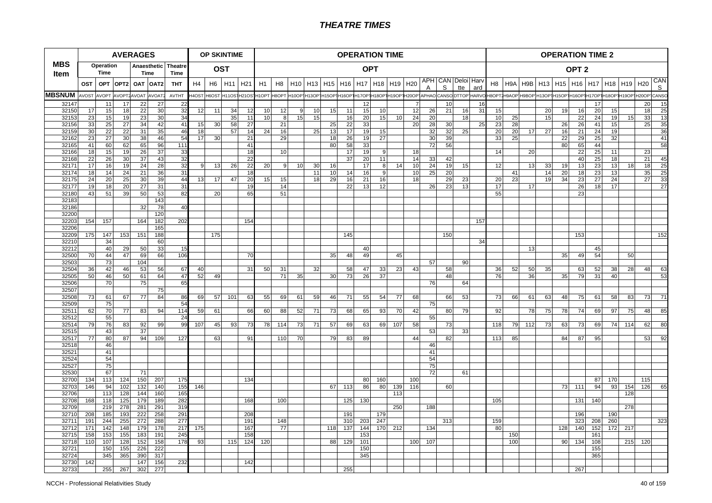|                           |            |                               |            | <b>AVERAGES</b>            |            |                        |                | <b>OP SKINTIME</b> |                 |                           |                 |                                                                                           |                 |                 |                 |          |                 | <b>OPERATION TIME</b> |                                               |                |          |                                |                 |     |          |            |                 |                                                                   |     |                  | <b>OPERATION TIME 2</b> |          |                             |          |                     |
|---------------------------|------------|-------------------------------|------------|----------------------------|------------|------------------------|----------------|--------------------|-----------------|---------------------------|-----------------|-------------------------------------------------------------------------------------------|-----------------|-----------------|-----------------|----------|-----------------|-----------------------|-----------------------------------------------|----------------|----------|--------------------------------|-----------------|-----|----------|------------|-----------------|-------------------------------------------------------------------|-----|------------------|-------------------------|----------|-----------------------------|----------|---------------------|
| <b>MBS</b><br><b>Item</b> |            | Operation<br><b>Time</b>      |            | Anaesthetic<br><b>Time</b> |            | <b>Theatre</b><br>Time |                | <b>OST</b>         |                 |                           |                 |                                                                                           |                 |                 |                 |          | <b>OPT</b>      |                       |                                               |                |          |                                |                 |     |          |            |                 |                                                                   |     | OPT <sub>2</sub> |                         |          |                             |          |                     |
|                           | <b>OST</b> | <b>OPT</b>                    | OPT2       | OAT OAT2                   |            | <b>THT</b>             | H4             | H6                 | H <sub>11</sub> | H <sub>21</sub>           | H1              | H8                                                                                        |                 |                 |                 |          |                 |                       | H10   H13   H15   H16   H17   H18   H19   H20 |                |          | APH   CAN   Deloi   Harv<br>S. | tte             | ard | H8       | H9A        |                 | H9B H13 H15                                                       |     |                  |                         |          | H16   H17   H18   H19   H20 |          | CAN<br>$\mathbf{S}$ |
| <b>MBSNUM</b>             |            | VOST AVOPT AVOPT/AVOAT AVOAT2 |            |                            |            | AVTHT                  |                |                    |                 | 140ST H60ST H110ST H210ST |                 | H1OPT   H8OPT   H10OPTH13OPTH15OPTH16OPTH17OPTH18OPTH19OPTH20OPTAPHAO CANSO   DTTOPTHARVO |                 |                 |                 |          |                 |                       |                                               |                |          |                                |                 |     |          |            |                 | +8OPT2H9AOP1H9BOP1H13OP1H15OP1H16OP1H17OP1H18OP1H19OP1H20OP1CANSC |     |                  |                         |          |                             |          |                     |
| 32147                     |            | 11                            | 17         | 22                         | 27         | 22                     |                |                    |                 |                           |                 |                                                                                           |                 |                 |                 |          | 12              |                       |                                               | $\overline{7}$ |          | 10                             |                 | 16  |          |            |                 |                                                                   |     |                  | 17                      |          |                             | 20       | 15                  |
| 32150                     | 17         | 15 <sup>1</sup>               | 18         | 22                         | 30         | 32                     | 12             | 11                 | 34              | 12                        | 10 <sup>1</sup> | 12                                                                                        | 9               | 10 <sup>1</sup> | 15              | 11       | 15 <sup>1</sup> | 10 <sup>1</sup>       |                                               | 12             | 26       | 21                             | 16              | 31  | 15       |            |                 | 20                                                                | 19  | 16               | 20                      | 15       |                             | 18       | 25                  |
| 32153<br>32156            | 23<br>33   | 15<br>25                      | 19<br>27   | 23<br>34                   | 30<br>42   | 34<br>41               | 15             | 30                 | 35<br>58        | 11<br>27                  | 10              | 8<br>21                                                                                   | 15              | 15              | 25              | 16<br>22 | 20<br>33        | 15                    | 10                                            | 24<br>20       | 20<br>28 | 30                             | 18              | 25  | 10<br>23 | 25<br>28   |                 | 15                                                                | 26  | 22<br>26         | 24<br>41                | 19<br>15 | 15                          | 33<br>25 | 13<br>35            |
| 32159                     | 30         | 22                            | 22         | 31                         | 35         | 46                     | 18             |                    | 57              | 14                        | 24              | 16                                                                                        |                 | 25              | 13              | 17       | 19              | 15                    |                                               |                | 32       | 32                             | 25              |     | 20       | 20         | 17              | 27                                                                | 16  | 21               | 24                      | 19       |                             |          | 36                  |
| 32162                     | 23         | 27                            | 30         | 38                         | 46         | 54                     | 17             | 30                 |                 | 21                        |                 | 29                                                                                        |                 |                 | 18              | 26       | 19              | 27                    |                                               |                | 30       | 39                             |                 |     | 33       | 25         |                 |                                                                   | 22  | 29               | 25                      | 32       |                             |          | 41                  |
| 32165                     | 41         | 60                            | 62         | 65                         | 96         | 111                    |                |                    |                 | 41                        |                 |                                                                                           |                 |                 | 80              | 58       | 33              |                       |                                               |                | 72       | 56                             |                 |     |          |            |                 |                                                                   | 80  | 65               | 44                      |          |                             |          | 58                  |
| 32166                     | 18         | 15                            | 19         | 26                         | 37         | 33                     |                |                    |                 | 18                        |                 | 10                                                                                        |                 |                 |                 | 17       | 19              | 9                     |                                               | 18             |          |                                |                 |     | 14       |            | 20              |                                                                   |     | 22               | 25                      | 11       |                             | 23       |                     |
| 32168<br>32171            | 22<br>17   | 26<br>16                      | 30<br>19   | 37<br>24                   | 43<br>28   | 32<br>32               | 9 <sup>1</sup> | 13                 | 26              | 22<br>22                  | 20              | 9                                                                                         | 10 <sup>1</sup> | 30 <sup>1</sup> | 16              | 37       | 20<br>17        | 11<br>8               | 14                                            | 14<br>10       | 33<br>24 | 42<br>19                       | 15 <sup>1</sup> |     | 12       |            | 13              | 33                                                                | 19  | 40<br>13         | 25<br>23                | 18<br>13 | 18                          | 21<br>18 | 45<br>25            |
| 32174                     | 18         | 14                            | 24         | 21                         | 36         | 31                     |                |                    |                 | 18                        |                 |                                                                                           |                 | 11              | 10              | 14       | 16              | 9                     |                                               | 10             | 25       | 20                             |                 |     |          | 41         |                 | 14                                                                | 20  | 18               | 23                      | 13       |                             | 35       | 25                  |
| 32175                     | 24         | 20                            | 25         | 30                         | 39         | 44                     | 13             | 17 <sup>1</sup>    | 47              | 20                        | 15              | 15                                                                                        |                 | 18              | 29              | 16       | 21              | 16                    |                                               | 18             |          | 29                             | 23              |     | 20       | 23         |                 | 19                                                                | 34  | 23               | 27                      | 24       |                             | 27       | 33                  |
| 32177                     | 19         | 18                            | 20         | 27                         | 31         | 31                     |                |                    |                 | 19                        |                 | 14                                                                                        |                 |                 |                 | 22       | 13              | 12                    |                                               |                | 26       | 23                             | 13              |     | 17       |            | 17 <sup>1</sup> |                                                                   |     | 26               | 18                      | 17       |                             |          | 27                  |
| 32180                     | 43         | 51                            | 39         | 50                         | 53         | 82                     |                | 20                 |                 | 65                        |                 | 51                                                                                        |                 |                 |                 |          |                 |                       |                                               |                |          |                                |                 |     | 55       |            |                 |                                                                   |     | 23               |                         |          |                             |          |                     |
| 32183<br>32186            |            |                               |            | 32                         | 143<br>78  | 40                     |                |                    |                 |                           |                 |                                                                                           |                 |                 |                 |          |                 |                       |                                               |                |          |                                |                 |     |          |            |                 |                                                                   |     |                  |                         |          |                             |          |                     |
| 32200                     |            |                               |            |                            | 120        |                        |                |                    |                 |                           |                 |                                                                                           |                 |                 |                 |          |                 |                       |                                               |                |          |                                |                 |     |          |            |                 |                                                                   |     |                  |                         |          |                             |          |                     |
| 32203                     | 154        | 157                           |            | 164                        | 182        | 202                    |                |                    |                 | 154                       |                 |                                                                                           |                 |                 |                 |          |                 |                       |                                               |                |          |                                |                 | 157 |          |            |                 |                                                                   |     |                  |                         |          |                             |          |                     |
| 32206                     |            |                               |            |                            | 165        |                        |                |                    |                 |                           |                 |                                                                                           |                 |                 |                 |          |                 |                       |                                               |                |          |                                |                 |     |          |            |                 |                                                                   |     |                  |                         |          |                             |          |                     |
| 32209<br>32210            | 175        | 147<br>34                     | 153        | 151                        | 188<br>60  |                        |                | 175                |                 |                           |                 |                                                                                           |                 |                 |                 | 145      |                 |                       |                                               |                |          | 150                            |                 | 34  |          |            |                 |                                                                   |     | 153              |                         |          |                             |          | 152                 |
| 32212                     |            | 40                            | 29         | 50                         | 33         | 15                     |                |                    |                 |                           |                 |                                                                                           |                 |                 |                 |          | 40              |                       |                                               |                |          |                                |                 |     |          |            | 13              |                                                                   |     |                  | 45                      |          |                             |          |                     |
| 32500                     | 70         | 44                            | 47         | 69                         | 66         | 106                    |                |                    |                 | 70                        |                 |                                                                                           |                 |                 | 35 <sub>1</sub> | 48       | 49              |                       | 45                                            |                |          |                                |                 |     |          |            |                 |                                                                   | 35  | 49               | 54                      |          | 50                          |          |                     |
| 32503                     |            | 73                            |            | 104                        |            |                        |                |                    |                 |                           |                 |                                                                                           |                 |                 |                 |          |                 |                       |                                               |                | 57       |                                | 90              |     |          |            |                 |                                                                   |     |                  |                         |          |                             |          |                     |
| 32504                     | 36         | 42                            | 46         | 53                         | 56         | 67                     | 40             |                    |                 | 31                        | 50              | 31                                                                                        |                 | 32              |                 | 58       | 47              | 33                    | 23                                            | 43             |          | 58                             |                 |     | 36       | 52         | 50              | 35                                                                |     | 63               | 52                      | 38       | 28                          | 48       | 63                  |
| 32505<br>32506            | 50         | 46<br>70                      | 50         | 61<br>75                   | 64         | 47<br>65               | 52             | 49                 |                 |                           |                 | 71                                                                                        | 35 <sup>2</sup> |                 | 30 <sup>1</sup> | 73       | 26              | 37                    |                                               |                | 76       | 48                             | 64              |     | 76       |            | 36              |                                                                   | 35  | 79               | 31                      | 40       |                             |          | 53                  |
| 32507                     |            |                               |            |                            | 75         |                        |                |                    |                 |                           |                 |                                                                                           |                 |                 |                 |          |                 |                       |                                               |                |          |                                |                 |     |          |            |                 |                                                                   |     |                  |                         |          |                             |          |                     |
| 32508                     | 73         | 61                            | 67         | 77                         | 84         | 86                     | 69             | 57                 | 101             | 63                        | 55              | 69                                                                                        | 61              | 59              | 46              | 71       | 55              | 54                    | 77                                            | 68             |          | 66                             | 53              |     | 73       | 66         | 61              | 63                                                                | 48  | 75               | 61                      | 58       | 83                          | 73       | 71                  |
| 32509                     |            | 75                            |            |                            |            | 54                     |                |                    |                 |                           |                 |                                                                                           |                 |                 |                 |          |                 |                       |                                               |                | 75       |                                |                 |     |          |            |                 |                                                                   |     |                  |                         |          |                             |          |                     |
| 32511                     | 62         | 70                            | 77         | 83                         | 94         | 114                    | 59             | 61                 |                 | 66                        | 60              | 88                                                                                        | 52              | 71              | 73              | 68       | 65              | 93                    | 70                                            | 42             |          | 80                             | 79              |     | 92       |            | 78              | 75                                                                | 78  | 74               | 69                      | 97       | 75                          | 48       | 85                  |
| 32512<br>32514            | 79         | 55<br>76                      | 83         | 92                         | 99         | 24<br>99               | 107            | 45                 | 93              | 73                        | 78              | 114                                                                                       | 73              | 71              | 57              | 69       | 63              | 69                    | 107                                           | 58             | 55       | 73                             |                 |     | 118      | 79         | 112             | 73                                                                | 63  | 73               | 69                      | 74       | 114                         | 62       | 80                  |
| 32515                     |            | 43                            |            | 37                         |            |                        |                |                    |                 |                           |                 |                                                                                           |                 |                 |                 |          |                 |                       |                                               |                | 53       |                                | 33              |     |          |            |                 |                                                                   |     |                  |                         |          |                             |          |                     |
| 32517                     | 77         | 80                            | 87         | 94                         | 109        | 127                    |                | 63                 |                 | 91                        |                 | 110                                                                                       | 70              |                 | 79              | 83       | 89              |                       |                                               | 44             |          | 82                             |                 |     | 113      | 85         |                 |                                                                   | 84  | 87               | 95                      |          |                             | 53       | 92                  |
| 32518                     |            | 46                            |            |                            |            |                        |                |                    |                 |                           |                 |                                                                                           |                 |                 |                 |          |                 |                       |                                               |                | 46       |                                |                 |     |          |            |                 |                                                                   |     |                  |                         |          |                             |          |                     |
| 32521<br>32524            |            | 41<br>54                      |            |                            |            |                        |                |                    |                 |                           |                 |                                                                                           |                 |                 |                 |          |                 |                       |                                               |                | 41<br>54 |                                |                 |     |          |            |                 |                                                                   |     |                  |                         |          |                             |          |                     |
| 32527                     |            | 75                            |            |                            |            |                        |                |                    |                 |                           |                 |                                                                                           |                 |                 |                 |          |                 |                       |                                               |                | 75       |                                |                 |     |          |            |                 |                                                                   |     |                  |                         |          |                             |          |                     |
| 32530                     |            | 67                            |            | 71                         |            |                        |                |                    |                 |                           |                 |                                                                                           |                 |                 |                 |          |                 |                       |                                               |                | 72       |                                | 61              |     |          |            |                 |                                                                   |     |                  |                         |          |                             |          |                     |
| 32700                     | 134        | 113                           | 124        | 150                        | 207        | 175                    |                |                    |                 | 134                       |                 |                                                                                           |                 |                 |                 |          | 80              | 160                   |                                               | 100            |          |                                |                 |     |          |            |                 |                                                                   |     |                  | 87                      | 170      |                             | 115      |                     |
| 32703                     | 146        | 94                            | 102        | 132                        | 140        | 155                    | 146            |                    |                 |                           |                 |                                                                                           |                 |                 | 67              | 113      | 86              | 80                    | 139                                           | 116            |          | 60                             |                 |     |          |            |                 |                                                                   | 73  | 111              | 94                      | 93       | 154                         | 126      | 65                  |
| 32706<br>32708            | 168        | 113<br>118                    | 128<br>125 | 144<br>179                 | 160<br>189 | 165<br>282             |                |                    |                 | 168                       |                 | 100                                                                                       |                 |                 |                 | 125      | 130             |                       | 113                                           |                |          |                                |                 |     | 105      |            |                 |                                                                   |     | 131              | 140                     |          | 128                         |          |                     |
| 32709                     |            | 219                           | 278        | 281                        | 291        | 319                    |                |                    |                 |                           |                 |                                                                                           |                 |                 |                 |          |                 |                       | 250                                           |                | 188      |                                |                 |     |          |            |                 |                                                                   |     |                  |                         |          | 278                         |          |                     |
| 32710                     | 208        | 185                           | 193        | 222                        | 258        | 291                    |                |                    |                 | 208                       |                 |                                                                                           |                 |                 |                 | 191      |                 | 179                   |                                               |                |          |                                |                 |     |          |            |                 |                                                                   |     | 196              |                         | 190      |                             |          |                     |
| 32711                     | 191        | 244                           | 255        | 272                        | 288        | 277                    |                |                    |                 | 191                       |                 | 148                                                                                       |                 |                 |                 | 310      | 203             | 247                   |                                               |                |          | 313                            |                 |     | 159      |            |                 |                                                                   |     | 323              | 208                     | 260      |                             |          | 323                 |
| 32712                     | 171        | 142                           | 148        | 179                        | 178        | 217                    | 175            |                    |                 | 167                       |                 | 77                                                                                        |                 |                 | 118             | 137      | 144             | 170                   | 212                                           |                | 134      |                                |                 |     | 80       |            |                 |                                                                   | 128 | 140              | 152                     | 172      | 217                         |          |                     |
| 32715<br>32718            | 158<br>110 | 153<br>107                    | 155<br>128 | 183<br>152                 | 191<br>158 | 245<br>178             | 93             |                    | 115             | 158<br>124                | 120             |                                                                                           |                 |                 | 88              | 129      | 153<br>101      |                       |                                               | 100            | 107      |                                |                 |     |          | 150<br>100 |                 |                                                                   | 90  | 134              | 161<br>108              |          | 215                         | 120      |                     |
| 32721                     |            | 150                           | 155        | 226                        | 222        |                        |                |                    |                 |                           |                 |                                                                                           |                 |                 |                 |          | 150             |                       |                                               |                |          |                                |                 |     |          |            |                 |                                                                   |     |                  | 155                     |          |                             |          |                     |
| 32724                     |            | 345                           | 365        | 390                        | 317        |                        |                |                    |                 |                           |                 |                                                                                           |                 |                 |                 |          | 345             |                       |                                               |                |          |                                |                 |     |          |            |                 |                                                                   |     |                  | 365                     |          |                             |          |                     |
| 32730                     | 142        |                               |            | 147                        | 156        | 232                    |                |                    |                 | 142                       |                 |                                                                                           |                 |                 |                 |          |                 |                       |                                               |                |          |                                |                 |     |          |            |                 |                                                                   |     |                  |                         |          |                             |          |                     |
| 32733                     |            | 255                           | 267        | 302                        | 277        |                        |                |                    |                 |                           |                 |                                                                                           |                 |                 |                 | 255      |                 |                       |                                               |                |          |                                |                 |     |          |            |                 |                                                                   |     | 267              |                         |          |                             |          |                     |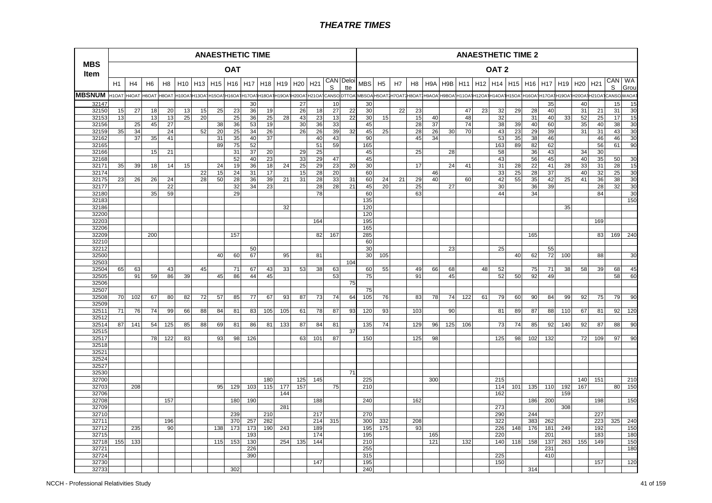|                    |          | <b>ANAESTHETIC TIME</b> |                |                |                                                                 |                       |     |            |            |            |     |                                                                 |          |                                                                                           |                       |                 |                |    |                                                                                                     |                  |     |                 |    |                                                 | <b>ANAESTHETIC TIME 2</b> |          |                                                 |     |                       |          |             |                       |
|--------------------|----------|-------------------------|----------------|----------------|-----------------------------------------------------------------|-----------------------|-----|------------|------------|------------|-----|-----------------------------------------------------------------|----------|-------------------------------------------------------------------------------------------|-----------------------|-----------------|----------------|----|-----------------------------------------------------------------------------------------------------|------------------|-----|-----------------|----|-------------------------------------------------|---------------------------|----------|-------------------------------------------------|-----|-----------------------|----------|-------------|-----------------------|
| <b>MBS</b><br>Item |          |                         |                |                |                                                                 |                       |     | <b>OAT</b> |            |            |     |                                                                 |          |                                                                                           |                       |                 |                |    |                                                                                                     |                  |     |                 |    | OAT <sub>2</sub>                                |                           |          |                                                 |     |                       |          |             |                       |
|                    | H1       | H <sub>4</sub>          | H <sub>6</sub> | H <sub>8</sub> | H <sub>10</sub> H <sub>13</sub> H <sub>15</sub> H <sub>16</sub> |                       |     |            | H17        |            |     | H <sub>18</sub> H <sub>19</sub> H <sub>20</sub> H <sub>21</sub> |          | CAN Deloi<br>S                                                                            | tte                   | <b>MBS</b>      | H <sub>5</sub> | H7 | H <sub>8</sub>                                                                                      | H <sub>9</sub> A | H9B | H <sub>11</sub> |    | H <sub>12</sub> H <sub>14</sub> H <sub>15</sub> |                           |          | H <sub>16</sub> H <sub>17</sub> H <sub>19</sub> |     | $H20$ H <sub>21</sub> |          | CAN WA<br>S | Grou                  |
| <b>MBSNUM</b>      |          |                         |                |                |                                                                 |                       |     |            |            |            |     |                                                                 |          | H1OAT H4OAT H6OAT H8OAT H10OATH13OATH15OATH16OATH17OATH18OATH19OATH20OATH21OATCANSO DTTOA |                       |                 |                |    | MBSOA H5OAT1H7OAT1H8OAT1H9AOA H9BOA H11OATH12OATH14OATH15OATH16OATH17OATH19OATH2OATH21OATCANSO WAOA |                  |     |                 |    |                                                 |                           |          |                                                 |     |                       |          |             |                       |
| 32147              |          |                         |                |                |                                                                 |                       |     |            | 30         |            |     | 27                                                              |          | 10                                                                                        |                       | 30              |                |    |                                                                                                     |                  |     |                 |    |                                                 |                           |          | 35                                              |     | 40                    |          | 15          | 15                    |
| 32150<br>32153     | 15<br>13 | 27                      | 18<br>13       | 20<br>13       | 13<br>25                                                        | 15 <sup>1</sup><br>20 | 25  | 23<br>25   | 36<br>36   | 19<br>25   | 28  | 26<br>43                                                        | 18<br>23 | 27<br>13                                                                                  | 22<br>$\overline{22}$ | 30<br>30        | 15             | 22 | 23<br>15                                                                                            | 40               |     | 47<br>48        | 23 | 32<br>32                                        | 29                        | 28<br>31 | 40<br>40                                        | 33  | 31<br>52              | 21<br>25 | 31<br>17    | 30<br>15              |
| 32156              |          | 25                      | 45             | 27             |                                                                 |                       | 38  | 36         | 53         | 19         |     | 30                                                              | 36       | 33                                                                                        |                       | 45              |                |    | 28                                                                                                  | 37               |     | 74              |    | 38                                              | 39                        | 40       | 60                                              |     | 35                    | 40       | 38          | 30                    |
| 32159              | 35       | 34                      |                | 24             |                                                                 | 52                    | 20  | 25         | 34         | 26         |     | 26                                                              | 26       | 39                                                                                        | 32                    | 45              | 25             |    | 28                                                                                                  | 26               | 30  | 70              |    | 43                                              | 23                        | 29       | 39                                              |     | 31                    | 31       | 43          | 30                    |
| 32162              |          | 37                      | 35             | 41             |                                                                 |                       | 31  | 35         | 40         | 37         |     |                                                                 | 40       | 43                                                                                        |                       | 90              |                |    | 45                                                                                                  | 34               |     |                 |    | 53                                              | 35                        | 38       | 46                                              |     |                       | 46       | 46          | 30                    |
| 32165<br>32166     |          |                         | 15             | 21             |                                                                 |                       | 89  | 75<br>31   | 52<br>37   | 20         |     | 29                                                              | 51<br>25 | 59                                                                                        |                       | 165<br>45       |                |    | 25                                                                                                  |                  | 28  |                 |    | 163<br>58                                       | 89                        | 82<br>36 | 62<br>43                                        |     | 34                    | 56<br>30 | 61          | 90                    |
| 32168              |          |                         |                |                |                                                                 |                       |     | 52         | 40         | 23         |     | 33                                                              | 29       | 47                                                                                        |                       | 45              |                |    |                                                                                                     |                  |     |                 |    | 43                                              |                           | 56       | 45                                              |     | 40                    | 35       | 50          | 30                    |
| 32171              | 35       | 39                      | 18             | 14             | 15                                                              |                       | 24  | 19         | 36         | 18         | 24  | 25                                                              | 29       | 23                                                                                        | 20                    | 30              |                |    | 17                                                                                                  |                  | 24  | 41              |    | 31                                              | 28                        | 22       | 41                                              | 28  | 33                    | 31       | 28          | 15                    |
| 32174              |          |                         |                |                |                                                                 | 22                    | 15  | 24         | 31         | 17         |     | 15                                                              | 28       | 20                                                                                        |                       | 60              |                |    |                                                                                                     | 46               |     |                 |    | 33                                              | 25                        | 28       | 37                                              |     | 40                    | 32       | 25          | 30                    |
| 32175<br>32177     | 23       | 26                      | 26             | 24<br>22       |                                                                 | 28                    | 50  | 28<br>32   | 36<br>34   | 39<br>23   | 21  | 31                                                              | 28<br>28 | 33<br>28                                                                                  | 31<br>21              | 60<br>45        | 24<br>20       | 21 | 29<br>$\overline{25}$                                                                               | 40               | 27  | 60              |    | 42<br>30                                        | 55                        | 35<br>36 | 42<br>39                                        | 25  | 41                    | 36<br>28 | 38<br>32    | $\overline{30}$<br>30 |
| 32180              |          |                         | 35             | 59             |                                                                 |                       |     | 29         |            |            |     |                                                                 | 78       |                                                                                           |                       | 60              |                |    | 63                                                                                                  |                  |     |                 |    | 44                                              |                           | 34       |                                                 |     |                       | 84       |             | 30                    |
| 32183              |          |                         |                |                |                                                                 |                       |     |            |            |            |     |                                                                 |          |                                                                                           |                       | 135             |                |    |                                                                                                     |                  |     |                 |    |                                                 |                           |          |                                                 |     |                       |          |             | 150                   |
| 32186              |          |                         |                |                |                                                                 |                       |     |            |            |            | 32  |                                                                 |          |                                                                                           |                       | 120             |                |    |                                                                                                     |                  |     |                 |    |                                                 |                           |          |                                                 | 35  |                       |          |             |                       |
| 32200<br>32203     |          |                         |                |                |                                                                 |                       |     |            |            |            |     |                                                                 | 164      |                                                                                           |                       | 120<br>195      |                |    |                                                                                                     |                  |     |                 |    |                                                 |                           |          |                                                 |     |                       | 169      |             |                       |
| 32206              |          |                         |                |                |                                                                 |                       |     |            |            |            |     |                                                                 |          |                                                                                           |                       | 165             |                |    |                                                                                                     |                  |     |                 |    |                                                 |                           |          |                                                 |     |                       |          |             |                       |
| 32209              |          |                         | 200            |                |                                                                 |                       |     | 157        |            |            |     |                                                                 | 82       | 167                                                                                       |                       | 285             |                |    |                                                                                                     |                  |     |                 |    |                                                 |                           | 165      |                                                 |     |                       | 83       | 169         | 240                   |
| 32210<br>32212     |          |                         |                |                |                                                                 |                       |     |            | 50         |            |     |                                                                 |          |                                                                                           |                       | 60<br>30        |                |    |                                                                                                     |                  | 23  |                 |    | 25                                              |                           |          | 55                                              |     |                       |          |             |                       |
| 32500              |          |                         |                |                |                                                                 |                       | 40  | 60         | 67         |            | 95  |                                                                 | 81       |                                                                                           |                       | 30 <sup>1</sup> | 105            |    |                                                                                                     |                  |     |                 |    |                                                 | 40                        | 62       | 72                                              | 100 |                       | 88       |             | 30                    |
| 32503              |          |                         |                |                |                                                                 |                       |     |            |            |            |     |                                                                 |          |                                                                                           | 10 <sup>2</sup>       |                 |                |    |                                                                                                     |                  |     |                 |    |                                                 |                           |          |                                                 |     |                       |          |             |                       |
| 32504              | 65       | 63                      |                | 43             |                                                                 | 45                    |     | 71         | 67         | 43         | 33  | 53                                                              | 38       | 63                                                                                        |                       | 60              | 55             |    | 49                                                                                                  | 66               | 68  |                 | 48 | 52                                              |                           | 75       | 71                                              | 38  | 58                    | 39       | 68          | 45                    |
| 32505<br>32506     |          | 91                      | 59             | 86             | 39                                                              |                       | 45  | 86         | 44         | 45         |     |                                                                 |          | 53                                                                                        | 75                    | $\overline{75}$ |                |    | 91                                                                                                  |                  | 45  |                 |    | 52                                              | 50                        | 92       | 49                                              |     |                       |          | 58          | 60                    |
| 32507              |          |                         |                |                |                                                                 |                       |     |            |            |            |     |                                                                 |          |                                                                                           |                       | 75              |                |    |                                                                                                     |                  |     |                 |    |                                                 |                           |          |                                                 |     |                       |          |             |                       |
| 32508              | 70       | 102                     | 67             | 80             | 82                                                              | 72                    | 57  | 85         | 77         | 67         | 93  | 87                                                              | 73       | 74                                                                                        | 64                    | 105             | 76             |    | 83                                                                                                  | 78               | 74  | 122             | 61 | 79                                              | 60                        | 90       | 84                                              | 99  | 92                    | 75       | 79          | 90                    |
| 32509              |          |                         |                |                |                                                                 |                       |     |            |            |            |     |                                                                 |          |                                                                                           |                       |                 |                |    |                                                                                                     |                  |     |                 |    |                                                 |                           |          |                                                 |     |                       |          |             |                       |
| 32511<br>32512     | 71       | 76                      | 74             | 99             | 66                                                              | 88                    | 84  | 81         | 83         | 105        | 105 | 61                                                              | 78       | 87                                                                                        | 93                    | 120             | 93             |    | 103                                                                                                 |                  | 90  |                 |    | 81                                              | 89                        | 87       | 88                                              | 110 | 67                    | 81       | 92          | 120                   |
| 32514              | 87       | 141                     | 54             | 125            | 85                                                              | 88                    | 69  | 81         | 86         | 81         | 133 | 87                                                              | 84       | 81                                                                                        |                       | 135             | 74             |    | 129                                                                                                 | 96               | 125 | 106             |    | 73                                              | 74                        | 85       | 92                                              | 140 | 92                    | 87       | 88          | 90                    |
| 32515              |          |                         |                |                |                                                                 |                       |     |            |            |            |     |                                                                 |          |                                                                                           | 37                    |                 |                |    |                                                                                                     |                  |     |                 |    |                                                 |                           |          |                                                 |     |                       |          |             |                       |
| 32517              |          |                         | 78             | 122            | 83                                                              |                       | 93  | 98         | 126        |            |     | 63                                                              | 101      | 87                                                                                        |                       | 150             |                |    | 125                                                                                                 | 98               |     |                 |    | 125                                             | 98                        | 102      | 132                                             |     | 72                    | 109      | 97          | 90                    |
| 32518<br>32521     |          |                         |                |                |                                                                 |                       |     |            |            |            |     |                                                                 |          |                                                                                           |                       |                 |                |    |                                                                                                     |                  |     |                 |    |                                                 |                           |          |                                                 |     |                       |          |             |                       |
| 32524              |          |                         |                |                |                                                                 |                       |     |            |            |            |     |                                                                 |          |                                                                                           |                       |                 |                |    |                                                                                                     |                  |     |                 |    |                                                 |                           |          |                                                 |     |                       |          |             |                       |
| 32527              |          |                         |                |                |                                                                 |                       |     |            |            |            |     |                                                                 |          |                                                                                           |                       |                 |                |    |                                                                                                     |                  |     |                 |    |                                                 |                           |          |                                                 |     |                       |          |             |                       |
| 32530              |          |                         |                |                |                                                                 |                       |     |            |            |            |     |                                                                 |          |                                                                                           | 71                    |                 |                |    |                                                                                                     |                  |     |                 |    | 215                                             |                           |          |                                                 |     | 140                   |          |             |                       |
| 32700<br>32703     |          | 208                     |                |                |                                                                 |                       | 95  | 129        | 103        | 180<br>115 | 177 | 125<br>157                                                      | 145      | 75                                                                                        |                       | 225<br>210      |                |    |                                                                                                     | 300              |     |                 |    | 114                                             | 101                       | 135      | 110                                             | 192 | 167                   | 151      | 80          | 210<br>150            |
| 32706              |          |                         |                |                |                                                                 |                       |     |            |            |            | 144 |                                                                 |          |                                                                                           |                       |                 |                |    |                                                                                                     |                  |     |                 |    | 162                                             |                           |          |                                                 | 159 |                       |          |             |                       |
| 32708              |          |                         |                | 157            |                                                                 |                       |     | 180        | 190        |            |     |                                                                 | 188      |                                                                                           |                       | 240             |                |    | 162                                                                                                 |                  |     |                 |    |                                                 |                           | 186      | 200                                             |     |                       | 198      |             | 150                   |
| 32709<br>32710     |          |                         |                |                |                                                                 |                       |     | 239        |            | 210        | 281 |                                                                 | 217      |                                                                                           |                       | 270             |                |    |                                                                                                     |                  |     |                 |    | 273<br>290                                      |                           | 244      |                                                 | 308 |                       | 227      |             |                       |
| 32711              |          |                         |                | 196            |                                                                 |                       |     | 370        | 257        | 282        |     |                                                                 | 214      | 315                                                                                       |                       | 300             | 332            |    | 208                                                                                                 |                  |     |                 |    | 322                                             |                           | 383      | 262                                             |     |                       | 223      | 325         | 240                   |
| 32712              |          | 235                     |                | 90             |                                                                 |                       | 138 | 173        | 173        | 190        | 243 |                                                                 | 189      |                                                                                           |                       | 195             | 175            |    | 93                                                                                                  |                  |     |                 |    | 226                                             | 148                       | 176      | 181                                             | 249 |                       | 192      |             | 150                   |
| 32715              |          |                         |                |                |                                                                 |                       |     |            | 193        |            |     |                                                                 | 174      |                                                                                           |                       | 195             |                |    |                                                                                                     | 165              |     |                 |    | 220                                             |                           |          | 201                                             |     |                       | 183      |             | 180                   |
| 32718              | 155      | 133                     |                |                |                                                                 |                       | 115 | 153        | 130        |            | 254 | 135                                                             | 144      |                                                                                           |                       | 210             |                |    |                                                                                                     | 121              |     | 132             |    | 140                                             | 118                       | 158      | 137                                             | 263 | 155                   | 149      |             | 150                   |
| 32721<br>32724     |          |                         |                |                |                                                                 |                       |     |            | 226<br>390 |            |     |                                                                 |          |                                                                                           |                       | 255<br>315      |                |    |                                                                                                     |                  |     |                 |    | 225                                             |                           |          | 231<br>410                                      |     |                       |          |             | 180                   |
| 32730              |          |                         |                |                |                                                                 |                       |     |            |            |            |     |                                                                 | 147      |                                                                                           |                       | 195             |                |    |                                                                                                     |                  |     |                 |    | 150                                             |                           |          |                                                 |     |                       | 157      |             | 120                   |
| 32733              |          |                         |                |                |                                                                 |                       |     | 302        |            |            |     |                                                                 |          |                                                                                           |                       | 240             |                |    |                                                                                                     |                  |     |                 |    |                                                 |                           | 314      |                                                 |     |                       |          |             |                       |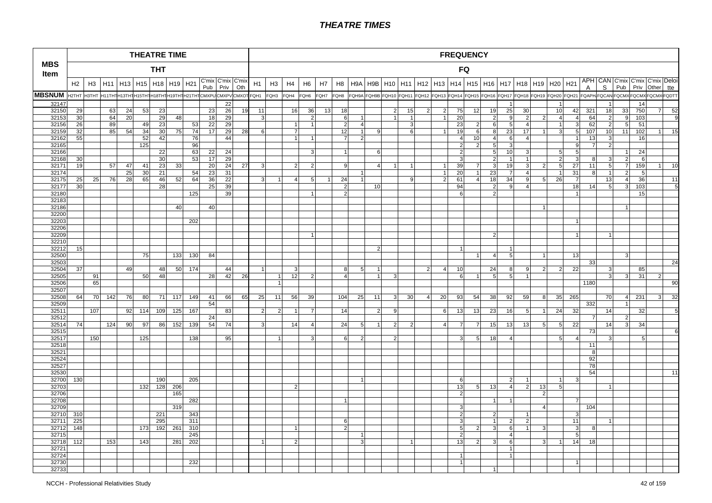|                                                                                                    |          |     |                 |          |          | <b>THEATRE TIME</b>         |     |                 |                          |          |     |                |                      |                |                  |                      |                     |                                                                                                                                        |                |              |                                                                 |              | <b>FREQUENCY</b>                 |                             |    |                                       |                                  |                |                |                     |                                                     |                                   |                                  |                                                         |     |
|----------------------------------------------------------------------------------------------------|----------|-----|-----------------|----------|----------|-----------------------------|-----|-----------------|--------------------------|----------|-----|----------------|----------------------|----------------|------------------|----------------------|---------------------|----------------------------------------------------------------------------------------------------------------------------------------|----------------|--------------|-----------------------------------------------------------------|--------------|----------------------------------|-----------------------------|----|---------------------------------------|----------------------------------|----------------|----------------|---------------------|-----------------------------------------------------|-----------------------------------|----------------------------------|---------------------------------------------------------|-----|
| <b>MBS</b><br>Item                                                                                 |          |     |                 |          |          | <b>THT</b>                  |     |                 |                          |          |     |                |                      |                |                  |                      |                     |                                                                                                                                        |                |              |                                                                 |              |                                  | <b>FQ</b>                   |    |                                       |                                  |                |                |                     |                                                     |                                   |                                  |                                                         |     |
|                                                                                                    | H2       | H3  | H <sub>11</sub> |          |          | H13   H15   H18   H19   H21 |     |                 | C'mix C'mix C'mix<br>Pub | Priv     | Oth | H1             | H <sub>3</sub>       | H <sub>4</sub> | H <sub>6</sub>   | H7<br>H <sub>8</sub> |                     | H9A H9B H10                                                                                                                            |                |              | H11   H12   H13   H14   H15   H16   H17   H18   H19   H20   H21 |              |                                  |                             |    |                                       |                                  |                |                |                     |                                                     | S.                                | Pub                              | APH   CAN   C'mix   C'mix   C'mix   Deloi<br>Priv Other | tte |
| <b>MBSNUM</b> H2THT H3THT H11THTH13THT H15THT H18THT H19THT H21THT CMXPU CMXPV CMXOTFQH1 FQH3 FQH4 |          |     |                 |          |          |                             |     |                 |                          |          |     |                |                      |                | FQH <sub>6</sub> | FQH7 FQH8            |                     | ғонза ғонзв ғон10  ғон11  ғон12  ғон13  ғон14  ғон15  ғон16  ғон17  ғон18  ғон19  ғон20  ғон21  ғолғн ғосам ғосмх ғосмх ғосмх ғосмх ғо |                |              |                                                                 |              |                                  |                             |    |                                       |                                  |                |                |                     |                                                     |                                   |                                  |                                                         |     |
| 32147                                                                                              |          |     |                 |          |          |                             |     |                 |                          | 22       |     |                |                      |                |                  |                      |                     |                                                                                                                                        |                |              |                                                                 |              |                                  |                             |    | $\mathbf{1}$                          |                                  |                | 1              |                     |                                                     | $\overline{1}$                    |                                  | 14                                                      |     |
| 32150                                                                                              | 29       |     | 63              | 24       | 53       | 23                          |     |                 | 23                       | 26       | 19  | 11             |                      | 16             | 36               | 13                   | 18                  |                                                                                                                                        | $\overline{2}$ | 15           | $\vert$ 2                                                       |              | $\overline{2}$<br>75             | 12                          |    | 25<br>19                              | 30                               |                | 10             |                     | 42<br>321                                           | 18                                | 33                               | 750<br>$\overline{7}$                                   | 52  |
| 32153<br>32156                                                                                     | 30<br>26 |     | 64<br>89        | 20       | 49       | 29<br>23                    | 48  | 53              | 18<br>$\overline{22}$    | 29<br>29 |     | 3              |                      | 1              | $\vert$ 2<br>1   |                      | 6<br>$\overline{2}$ | 1<br>4                                                                                                                                 | $\overline{1}$ |              | $\overline{1}$<br>3 <sup>1</sup>                                | $\mathbf{1}$ | 20<br>23                         | $\overline{2}$              |    | 9<br>$\left  \right $<br>5<br>6       | $\overline{2}$<br>$\overline{a}$ | $\overline{2}$ | $\mathbf{1}$   | $\vert$             | 64<br>$\overline{4}$<br>3<br>62                     | $\overline{2}$<br>$\overline{2}$  | 9<br>$\sqrt{5}$                  | 103<br>51                                               | 9   |
| 32159                                                                                              | 32       |     | 85              | 54       | 34       | 30                          | 75  | $\overline{74}$ | 17                       | 29       | 28  | $6 \mid$       |                      | <b>7</b>       |                  |                      | 12                  | 9<br>1                                                                                                                                 |                |              | $6 \mid$                                                        | $\mathbf{1}$ | 19                               | $6 \overline{6}$            |    | 23<br>8                               | 17                               | 1              |                | $\overline{3}$      | 5 <sup>1</sup><br>107                               | 10                                | 11                               | 102<br>1                                                | 15  |
| 32162                                                                                              | 55       |     |                 |          | 52       | 42                          |     | 76              |                          | 44       |     |                |                      | 11             | 1                |                      | $\overline{7}$      | 2 <sup>1</sup>                                                                                                                         |                |              |                                                                 |              | $\overline{4}$                   | 10                          |    | 4 <sup>1</sup><br>6                   | $\overline{4}$                   |                |                |                     | 13<br>$\mathbf{1}$                                  | 3                                 |                                  | 16                                                      |     |
| 32165                                                                                              |          |     |                 |          | 125      |                             |     | 96              |                          |          |     |                |                      |                |                  |                      |                     |                                                                                                                                        |                |              |                                                                 |              | $2 \vert$                        | $\overline{2}$              |    | 5 <sup>1</sup><br>$\mathbf{3}$        |                                  |                |                |                     | 9<br>7                                              | $\overline{2}$                    |                                  |                                                         |     |
| 32166                                                                                              |          |     |                 |          |          | 22                          |     | 63              | 22                       | 24       |     |                |                      |                | 3 <sup>1</sup>   |                      | $\overline{1}$      | $6 \overline{6}$                                                                                                                       |                |              |                                                                 |              | $2 \vert$                        |                             |    | 5 <sup>1</sup><br>10                  | $\mathbf{3}$                     |                |                | 5 <sup>1</sup>      | $5\phantom{.0}$                                     |                                   | $\mathbf{1}$                     | 24                                                      |     |
| 32168                                                                                              | 30       |     |                 |          |          | 30                          |     | 53              | 17                       | 29       |     |                |                      |                |                  |                      |                     |                                                                                                                                        |                |              |                                                                 |              | 3                                |                             |    | 2 <br>$\overline{1}$                  | 1                                |                |                | $\overline{2}$      | $\overline{3}$<br>8 <sup>1</sup>                    | $\mathbf{3}$                      | $\overline{c}$                   | 6                                                       |     |
| 32171<br>32174                                                                                     | 19       |     | 57              | 47<br>25 | 41<br>30 | 23<br>21                    | 33  | 54              | 20<br>23                 | 24<br>31 | 27  | 3              |                      | $\overline{2}$ | $2 \vert$        |                      | 9                   | 4<br>$\mathbf{1}$                                                                                                                      | $\overline{1}$ | $\mathbf{1}$ |                                                                 | $\mathbf{1}$ | 39<br>1<br>20                    | $\overline{7}$<br>$\vert$ 1 | 23 | 19<br>3<br>$\overline{7}$             | $\mathbf{3}$<br>$\overline{4}$   | $\overline{2}$ | $\overline{1}$ | 5 <sub>l</sub>      | 27<br>11<br>31<br>8                                 | $5\overline{)}$<br>$\overline{1}$ | $\overline{7}$<br>$\overline{2}$ | 159<br>1<br>$\sqrt{5}$                                  | 10  |
| 32175                                                                                              | 25       | 25  | 76              | 28       | 65       | 46                          | 52  | 64              | 36                       | 22       |     | $\overline{3}$ | 1                    | $\overline{4}$ | 5 <sup>1</sup>   | 11                   | 24                  | 1                                                                                                                                      |                |              | 9                                                               |              | $\overline{2}$<br>61             | $\overline{4}$              |    | 18<br>34                              | 9                                | 5 <sup>1</sup> | 26             |                     | $\overline{7}$                                      | 13                                | $\overline{4}$                   | 36                                                      | 11  |
| 32177                                                                                              | 30       |     |                 |          |          | 28                          |     |                 | 25                       | 39       |     |                |                      |                |                  |                      | $\overline{2}$      | 10                                                                                                                                     |                |              |                                                                 |              | 94                               |                             |    | 2<br>9                                | $\overline{4}$                   |                |                |                     | 18<br>14                                            | $5\phantom{.0}$                   | $\mathbf{3}$                     | 103                                                     | 5   |
| 32180                                                                                              |          |     |                 |          |          |                             |     | 125             |                          | 39       |     |                |                      |                | 1                |                      | $\overline{2}$      |                                                                                                                                        |                |              |                                                                 |              | $6 \mid$                         |                             |    | $2 \vert$                             |                                  |                |                |                     | $\mathbf{1}$                                        |                                   |                                  | 15 <sup>1</sup>                                         |     |
| 32183                                                                                              |          |     |                 |          |          |                             |     |                 |                          |          |     |                |                      |                |                  |                      |                     |                                                                                                                                        |                |              |                                                                 |              |                                  |                             |    |                                       |                                  |                |                |                     |                                                     |                                   |                                  |                                                         |     |
| 32186<br>32200                                                                                     |          |     |                 |          |          |                             | 40  |                 | 40                       |          |     |                |                      |                |                  |                      |                     |                                                                                                                                        |                |              |                                                                 |              |                                  |                             |    |                                       |                                  | $\mathbf{1}$   |                |                     |                                                     |                                   |                                  |                                                         |     |
| 32203                                                                                              |          |     |                 |          |          |                             |     | 202             |                          |          |     |                |                      |                |                  |                      |                     |                                                                                                                                        |                |              |                                                                 |              |                                  |                             |    |                                       |                                  |                |                |                     | $\overline{1}$                                      |                                   |                                  |                                                         |     |
| 32206                                                                                              |          |     |                 |          |          |                             |     |                 |                          |          |     |                |                      |                |                  |                      |                     |                                                                                                                                        |                |              |                                                                 |              |                                  |                             |    |                                       |                                  |                |                |                     |                                                     |                                   |                                  |                                                         |     |
| 32209                                                                                              |          |     |                 |          |          |                             |     |                 |                          |          |     |                |                      |                | 1 <sup>1</sup>   |                      |                     |                                                                                                                                        |                |              |                                                                 |              |                                  |                             |    | $\overline{2}$                        |                                  |                |                |                     | $\mathbf{1}$                                        | $\mathbf{1}$                      |                                  |                                                         |     |
| 32210                                                                                              |          |     |                 |          |          |                             |     |                 |                          |          |     |                |                      |                |                  |                      |                     |                                                                                                                                        |                |              |                                                                 |              |                                  |                             |    |                                       |                                  |                |                |                     |                                                     |                                   |                                  |                                                         |     |
| 32212                                                                                              | 15       |     |                 |          |          |                             |     |                 |                          |          |     |                |                      |                |                  |                      |                     | $\overline{2}$                                                                                                                         |                |              |                                                                 |              | $\mathbf{1}$                     |                             |    | 1                                     |                                  |                |                |                     |                                                     |                                   |                                  |                                                         |     |
| 32500<br>32503                                                                                     |          |     |                 |          | 75       |                             | 133 | 130             | 84                       |          |     |                |                      |                |                  |                      |                     |                                                                                                                                        |                |              |                                                                 |              |                                  | 11                          |    | $5\phantom{.0}$<br>$\overline{4}$     |                                  | $\overline{1}$ |                |                     | 13<br>33                                            |                                   | $\mathbf{3}$                     |                                                         | 24  |
| 32504                                                                                              | 37       |     |                 | 49       |          | 48                          | 50  | 174             |                          | 44       |     | 1              |                      | $\overline{3}$ |                  |                      | 8                   | $5\phantom{.0}$<br>$\mathbf{1}$                                                                                                        |                |              | $\vert$ 2                                                       |              | 10<br>4                          |                             | 24 | 8                                     | 9                                | $\overline{2}$ |                | $\overline{2}$      | $\overline{22}$                                     | $\mathbf{3}$                      |                                  | 85                                                      |     |
| 32505                                                                                              |          | 91  |                 |          | 50       | 48                          |     |                 | 28                       | 42       | 26  |                | 11                   | 12             | 2 <sup>1</sup>   |                      | $\overline{4}$      | 11                                                                                                                                     | $\mathbf{3}$   |              |                                                                 |              | $6 \mid$                         | 11                          |    | 5 <sup>1</sup><br>5 <sup>1</sup>      | $\mathbf{1}$                     |                |                |                     |                                                     | $\overline{3}$                    | $\mathbf{3}$                     | 31<br>$\overline{2}$                                    |     |
| 32506                                                                                              |          | 65  |                 |          |          |                             |     |                 |                          |          |     |                | 1                    |                |                  |                      |                     |                                                                                                                                        |                |              |                                                                 |              |                                  |                             |    |                                       |                                  |                |                |                     | 1180                                                |                                   |                                  |                                                         | 90  |
| 32507                                                                                              |          |     |                 |          |          |                             |     |                 |                          |          |     |                |                      |                |                  |                      |                     |                                                                                                                                        |                |              |                                                                 |              |                                  |                             |    |                                       |                                  |                |                |                     |                                                     |                                   |                                  |                                                         |     |
| 32508<br>32509                                                                                     | 64       | 70  | 142             | 76       | 80       | 71                          | 117 | 149             | 41<br>54                 | 66       | 65  | 25             | 11                   | 56             | 39               |                      | 104                 | 25<br>11                                                                                                                               | 3              | 30           | $\overline{4}$                                                  | 20           | 93                               | 54                          |    | 38<br>92                              | 59                               | 8              | 35             | 265                 | 332                                                 | 70                                | $\overline{a}$<br>$\overline{1}$ | 231<br>3                                                | 32  |
| 32511                                                                                              |          | 107 |                 | 92       | 114      | 109                         | 125 | 167             |                          | 83       |     | $\overline{2}$ | 2 <sup>1</sup>       | 11             | 7 <sup>1</sup>   |                      | 14                  | $\overline{2}$                                                                                                                         | 9              |              |                                                                 |              | 13<br>6                          | 13                          | 23 | 16                                    | 5                                | 1 <sup>1</sup> | 24             |                     | 32                                                  | 14                                |                                  | 32                                                      | 5   |
| 32512                                                                                              |          |     |                 |          |          |                             |     |                 | 24                       |          |     |                |                      |                |                  |                      |                     |                                                                                                                                        |                |              |                                                                 |              |                                  |                             |    |                                       |                                  |                |                |                     | $\overline{7}$                                      |                                   | $\overline{2}$                   |                                                         |     |
| 32514                                                                                              | 74       |     | 124             | 90       | 97       | 86                          | 152 | 139             | 54                       | 74       |     | 3 <sup>1</sup> |                      | 14             | 4 <sup>1</sup>   |                      | 24                  | 5 <sub>l</sub><br>1 <sup>1</sup>                                                                                                       | $\overline{2}$ |              | $\overline{2}$                                                  |              | $\overline{4}$<br>$\overline{7}$ | $\overline{7}$              |    | 15<br>13                              | 13                               | 5 <sub>5</sub> |                | $5\overline{)}$     | 22                                                  | 14                                | $\mathbf{3}$                     | 34                                                      |     |
| 32515                                                                                              |          |     |                 |          |          |                             |     |                 |                          |          |     |                |                      |                |                  |                      |                     |                                                                                                                                        |                |              |                                                                 |              |                                  |                             |    |                                       |                                  |                |                |                     | 73                                                  |                                   |                                  |                                                         | 6   |
| 32517                                                                                              |          | 150 |                 |          | 125      |                             |     | 138             |                          | 95       |     |                | $\blacktriangleleft$ |                | 3 <sup>1</sup>   |                      | 6                   | $\overline{2}$                                                                                                                         | $\overline{2}$ |              |                                                                 |              | 3 <sup>1</sup>                   | 5 <sub>5</sub>              |    | 18<br>$\overline{4}$                  |                                  |                |                | $5\overline{)}$     | $\overline{4}$                                      | 3                                 |                                  | $5\overline{)}$                                         |     |
| 32518<br>32521                                                                                     |          |     |                 |          |          |                             |     |                 |                          |          |     |                |                      |                |                  |                      |                     |                                                                                                                                        |                |              |                                                                 |              |                                  |                             |    |                                       |                                  |                |                |                     | 11<br>8                                             |                                   |                                  |                                                         |     |
| 32524                                                                                              |          |     |                 |          |          |                             |     |                 |                          |          |     |                |                      |                |                  |                      |                     |                                                                                                                                        |                |              |                                                                 |              |                                  |                             |    |                                       |                                  |                |                |                     | 92                                                  |                                   |                                  |                                                         |     |
| 32527                                                                                              |          |     |                 |          |          |                             |     |                 |                          |          |     |                |                      |                |                  |                      |                     |                                                                                                                                        |                |              |                                                                 |              |                                  |                             |    |                                       |                                  |                |                |                     | 78                                                  |                                   |                                  |                                                         |     |
| 32530                                                                                              |          |     |                 |          |          |                             |     |                 |                          |          |     |                |                      |                |                  |                      |                     |                                                                                                                                        |                |              |                                                                 |              |                                  |                             |    |                                       |                                  |                |                |                     | 54                                                  |                                   |                                  |                                                         | 11  |
| 32700<br>32703                                                                                     | 130      |     |                 |          | 132      | 190<br>128                  | 206 | 205             |                          |          |     |                |                      | $\overline{2}$ |                  |                      |                     | 1                                                                                                                                      |                |              |                                                                 |              | 6 <sup>1</sup><br>13             | 5 <sub>5</sub>              | 13 | 2 <sup>1</sup><br>$\vert$ 4           | $\mathbf{1}$<br>$\overline{2}$   | 13             |                | 1<br>5 <sub>5</sub> | $\mathbf{3}$                                        | -1                                |                                  |                                                         |     |
| 32706                                                                                              |          |     |                 |          |          |                             | 165 |                 |                          |          |     |                |                      |                |                  |                      |                     |                                                                                                                                        |                |              |                                                                 |              | 2 <sup>1</sup>                   |                             |    |                                       |                                  | $\overline{2}$ |                |                     |                                                     |                                   |                                  |                                                         |     |
| 32708                                                                                              |          |     |                 |          |          |                             |     | 282             |                          |          |     |                |                      |                |                  |                      | $\overline{1}$      |                                                                                                                                        |                |              |                                                                 |              |                                  |                             |    | 11<br>$\overline{1}$                  |                                  |                |                |                     | 7 <sup>1</sup>                                      |                                   |                                  |                                                         |     |
| 32709                                                                                              |          |     |                 |          |          |                             | 319 |                 |                          |          |     |                |                      |                |                  |                      |                     |                                                                                                                                        |                |              |                                                                 |              | 3 <sup>1</sup>                   |                             |    |                                       |                                  | $\overline{4}$ |                |                     | 104                                                 |                                   |                                  |                                                         |     |
| 32710                                                                                              | 310      |     |                 |          |          | 221                         |     | 343             |                          |          |     |                |                      |                |                  |                      |                     |                                                                                                                                        |                |              |                                                                 |              | 2                                |                             |    | 2                                     | $\mathbf{1}$                     |                |                |                     | $\mathbf{3}$                                        |                                   |                                  |                                                         |     |
| 32711                                                                                              | 225      |     |                 |          |          | 295                         |     | 311             |                          |          |     |                |                      |                |                  |                      | 6                   |                                                                                                                                        |                |              |                                                                 |              | 3 <sup>1</sup>                   |                             |    | $\mathbf{1}$<br>2                     | $\overline{2}$                   |                |                |                     | 11                                                  | $\mathbf{1}$                      |                                  |                                                         |     |
| 32712<br>32715                                                                                     | 148      |     |                 |          | 173      | 192                         | 261 | 310<br>245      |                          |          |     |                |                      | 1              |                  |                      | $\overline{2}$      | 1                                                                                                                                      |                |              |                                                                 |              | 5 <sup>1</sup><br>2 <sup>1</sup> | $\overline{2}$              |    | 3 <sup>1</sup><br>6<br>$\overline{4}$ | 1                                | $\overline{3}$ |                |                     | $\overline{3}$<br>8 <sup>1</sup><br>$5\phantom{.0}$ |                                   |                                  |                                                         |     |
| 32718                                                                                              | 112      |     | 153             |          | 143      |                             | 281 | 202             |                          |          |     | 11             |                      | $\overline{2}$ |                  |                      |                     | $\mathbf{3}$                                                                                                                           |                |              | 11                                                              |              | 13                               | $\overline{2}$              |    | $\mathbf{3}$<br>6                     |                                  | $\overline{3}$ |                | 11                  | 14<br>18                                            |                                   |                                  |                                                         |     |
| 32721                                                                                              |          |     |                 |          |          |                             |     |                 |                          |          |     |                |                      |                |                  |                      |                     |                                                                                                                                        |                |              |                                                                 |              |                                  |                             |    |                                       |                                  |                |                |                     |                                                     |                                   |                                  |                                                         |     |
| 32724                                                                                              |          |     |                 |          |          |                             |     |                 |                          |          |     |                |                      |                |                  |                      |                     |                                                                                                                                        |                |              |                                                                 |              | $\mathbf{1}$                     |                             |    | 1                                     |                                  |                |                |                     |                                                     |                                   |                                  |                                                         |     |
| 32730                                                                                              |          |     |                 |          |          |                             |     | 232             |                          |          |     |                |                      |                |                  |                      |                     |                                                                                                                                        |                |              |                                                                 |              | $\mathbf{1}$                     |                             |    |                                       |                                  |                |                |                     | $\mathbf{1}$                                        |                                   |                                  |                                                         |     |
| 32733                                                                                              |          |     |                 |          |          |                             |     |                 |                          |          |     |                |                      |                |                  |                      |                     |                                                                                                                                        |                |              |                                                                 |              |                                  |                             |    | $\mathbf{1}$                          |                                  |                |                |                     |                                                     |                                   |                                  |                                                         |     |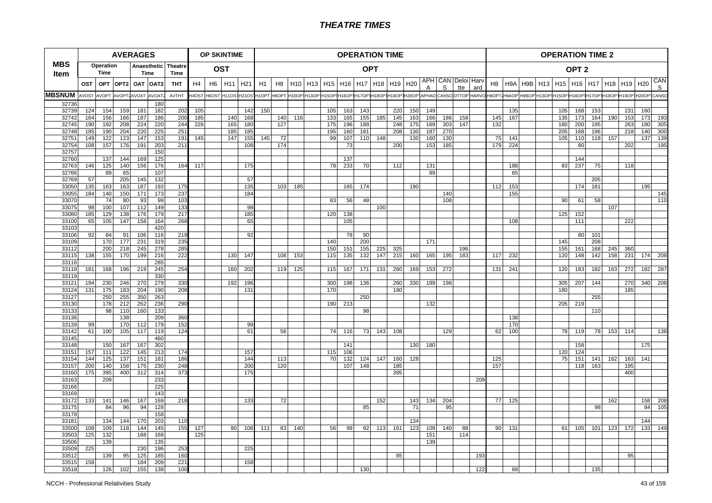|                    |            |                   |            | <b>AVERAGES</b>                |            |                             |     | <b>OP SKINTIME</b>                                                                                                                                                                      |     |                |         |                                               |            | <b>OPERATION TIME</b> |            |     |            |            |            |            |                           |     |            |        |                                                     |            | <b>OPERATION TIME 2</b> |            |         |            |            |                      |
|--------------------|------------|-------------------|------------|--------------------------------|------------|-----------------------------|-----|-----------------------------------------------------------------------------------------------------------------------------------------------------------------------------------------|-----|----------------|---------|-----------------------------------------------|------------|-----------------------|------------|-----|------------|------------|------------|------------|---------------------------|-----|------------|--------|-----------------------------------------------------|------------|-------------------------|------------|---------|------------|------------|----------------------|
| <b>MBS</b><br>Item |            | Operation<br>Time |            | Time                           |            | Anaesthetic Theatre<br>Time |     | <b>OST</b>                                                                                                                                                                              |     |                |         |                                               |            |                       | <b>OPT</b> |     |            |            |            |            |                           |     |            |        |                                                     |            | OPT <sub>2</sub>        |            |         |            |            |                      |
|                    | <b>OST</b> |                   |            | OPT OPT2 OAT OAT2              |            | <b>THT</b>                  | H4  | H6 H11 H21                                                                                                                                                                              | H1  | H <sub>8</sub> |         | H10   H13   H15   H16   H17   H18   H19   H20 |            |                       |            |     |            |            |            | S.         | APH CAN Deloi Harv<br>tte | ard | H8         |        | H9A   H9B   H13   H15   H16   H17   H18   H19   H20 |            |                         |            |         |            |            | CAN<br>$\mathcal{S}$ |
| <b>MBSNUM</b>      |            |                   |            | AVOST AVOPT AVOPTZAVOAT AVOATZ |            | AVTHT                       |     | 440ST  H6OST  H11OSTH21OSTH10PT  H8OPT  H10OPTH13OPTH15OPTH16OPTH18OPTH18OPTH120OPTAPHAO CANSO DTTOPTHARVO H8OPTH9AOPTH9AOPTH9AOPTH15OPTH16OPTH16OPTH18OPTH18OPTH18OPTH2OOPTH2OOPTCANSC |     |                |         |                                               |            |                       |            |     |            |            |            |            |                           |     |            |        |                                                     |            |                         |            |         |            |            |                      |
| 32736              |            |                   |            |                                | 180        |                             |     |                                                                                                                                                                                         |     |                |         |                                               |            |                       |            |     |            |            |            |            |                           |     |            |        |                                                     |            |                         |            |         |            |            |                      |
| 32739              | 124        | 154               | 159        | 181                            | 182        | 202                         | 105 | 142                                                                                                                                                                                     | 150 |                |         |                                               | 105        | 163                   | 143        |     | 220        | 150        | 149        |            |                           |     |            | 135    |                                                     | 105        | 168                     | 153        |         | 231        | 160        |                      |
| 32742<br>32745     | 164        | 156               | 166<br>208 | 187                            | 186        | 200                         | 185 | 140<br>168                                                                                                                                                                              |     | 140<br>127     | 116     |                                               | 133<br>175 | 165                   | 155        | 185 | 145<br>248 | 163<br>175 | 166        | 186        | 158<br>147                |     | 145<br>132 | 167    |                                                     | 135        | 173                     | 164        | 190     | 153        | 173        | 193                  |
| 32748              | 190<br>185 | 192<br>190        | 204        | 224<br>220                     | 220<br>225 | 244<br>251                  | 226 | 165<br>180<br>185<br>185                                                                                                                                                                |     |                |         |                                               | 195        | 196<br>160            | 188<br>181 |     | 208        | 130        | 169<br>187 | 303<br>270 |                           |     |            |        |                                                     | 180<br>205 | 200<br>168              | 195<br>196 |         | 263<br>218 | 180<br>140 | 305<br>300           |
| 32751              | 149        | 122               | 123        | 147                            | 153        | 191                         | 145 | 147<br>155                                                                                                                                                                              | 145 | 72             |         |                                               | 99         | 107                   | 110        | 148 |            | 130        | 160        | 130        |                           |     | 75         | 141    |                                                     | 105        | 110                     |            | 118 157 |            | 137        | 139                  |
| 32754              | 108        | 157               | 176        | 191                            | 203        | 211                         |     | 108                                                                                                                                                                                     |     | 174            |         |                                               |            | 73                    |            |     | 200        |            | 153        | 185        |                           |     | 179        | 224    |                                                     |            | 80                      |            |         | 202        |            | 195                  |
| 32757              |            |                   |            |                                | 150        |                             |     |                                                                                                                                                                                         |     |                |         |                                               |            |                       |            |     |            |            |            |            |                           |     |            |        |                                                     |            |                         |            |         |            |            |                      |
| 32760              |            | 137               | 144        | 169                            | 125        |                             |     |                                                                                                                                                                                         |     |                |         |                                               |            | 137                   |            |     |            |            |            |            |                           |     |            |        |                                                     |            | 144                     |            |         |            |            |                      |
| 32763              | 146        | 125               | 140        | 156                            | 176        | 164                         | 117 | 175                                                                                                                                                                                     |     |                |         |                                               | 78         | 233                   | 70         |     | 112        |            | 131        |            |                           |     |            | 188    |                                                     | 83         | 237                     | 75         |         | 118        |            |                      |
| 32766<br>32769     | 57         | 89                | 65<br>205  | 145                            | 107<br>132 |                             |     | 57                                                                                                                                                                                      |     |                |         |                                               |            |                       |            |     |            |            | 89         |            |                           |     |            | 65     |                                                     |            |                         | 205        |         |            |            |                      |
| 33050              | 135        | 163               | 163        | 187                            | 193        | 175                         |     | 135                                                                                                                                                                                     |     |                | 103 185 |                                               |            | 165                   | 174        |     |            | 190        |            |            |                           |     | 112        | 153    |                                                     |            | 174                     | 181        |         |            | 195        |                      |
| 33055              | 184        | 140               | 150        | 171                            | 173        | 237                         |     | 184                                                                                                                                                                                     |     |                |         |                                               |            |                       |            |     |            |            |            | 140        |                           |     |            | 155    |                                                     |            |                         |            |         |            |            | 145                  |
| 33070              |            | 74                | 80         | 93                             | 99         | 103                         |     |                                                                                                                                                                                         |     |                |         |                                               | 83         | 56                    | 48         |     |            |            |            | 108        |                           |     |            |        |                                                     | 90         | 61                      | 58         |         |            |            | 110                  |
| 33075              | 98         | 100               | 107        | 112                            | 149        | 133                         |     | 98                                                                                                                                                                                      |     |                |         |                                               |            |                       |            | 100 |            |            |            |            |                           |     |            |        |                                                     |            |                         |            | 107     |            |            |                      |
| 33080              | 185        | 129               | 138        | 176                            | 179        | 217                         |     | 185                                                                                                                                                                                     |     |                |         |                                               | 120        | 138                   |            |     |            |            |            |            |                           |     |            |        |                                                     | 125        | 152                     |            |         |            |            |                      |
| 33100              | 65         | 105               | 147        | 158                            | 164        | 268                         |     | 65                                                                                                                                                                                      |     |                |         |                                               |            | 105                   |            |     |            |            |            |            |                           |     |            | 108    |                                                     |            | 111                     |            |         | 222        |            |                      |
| 33103<br>33106     | 92         | 84                | 91         | 106                            | 420<br>116 | 219                         |     | 92                                                                                                                                                                                      |     |                |         |                                               |            | 78                    | 90         |     |            |            |            |            |                           |     |            |        |                                                     |            | 80                      | 101        |         |            |            |                      |
| 33109              |            | 170               | 177        | 231                            | 319        | 235                         |     |                                                                                                                                                                                         |     |                |         |                                               | 140        |                       | 200        |     |            |            | 171        |            |                           |     |            |        |                                                     | 145        |                         | 208        |         |            |            |                      |
| 33112              |            | 200               | 218        | 245                            | 278        | 285                         |     |                                                                                                                                                                                         |     |                |         |                                               | 150        | 151                   | 155        | 225 | 325        |            |            |            | 196                       |     |            |        |                                                     | 155        | 161                     | 168        | 245     | 360        |            |                      |
| 33115              | 138        | 155               | 170        | 199                            | 216        | 222                         |     | 130<br>147                                                                                                                                                                              |     | 108            | 153     |                                               | 115        | 135                   | 132        | 147 | 215        | 160        | 165        | 195        | 183                       |     | 117        | 232    |                                                     | 120        | 148                     | 142        | 158     | 231        | 174        | 208                  |
| 33116              |            |                   |            |                                | 285        |                             |     |                                                                                                                                                                                         |     |                |         |                                               |            |                       |            |     |            |            |            |            |                           |     |            |        |                                                     |            |                         |            |         |            |            |                      |
| 33118              | 181        | 168               | 196        | 219                            | 245        | 254                         |     | 202<br>160                                                                                                                                                                              |     | 119            | 125     |                                               | 115        | 167                   | 171        | 131 | 260        | 169        | 153        | 272        |                           |     | 131        | 241    |                                                     | 120        | 183                     | 182        | 163     | 272        | 182        | 287                  |
| 33119              |            |                   |            |                                | 330        |                             |     |                                                                                                                                                                                         |     |                |         |                                               |            |                       |            |     |            |            |            |            |                           |     |            |        |                                                     |            |                         |            |         |            |            |                      |
| 33121<br>33124     | 194<br>131 | 230<br>175        | 246<br>183 | 270<br>204                     | 279<br>190 | 330<br>208                  |     | 192<br>196<br>131                                                                                                                                                                       |     |                |         |                                               | 300<br>170 | 198                   | 136        |     | 260<br>180 | 330        | 189        | 198        |                           |     |            |        |                                                     | 305<br>180 | 207                     | 144        |         | 270<br>185 | 340        | 208                  |
| 33127              |            | 250               | 255        | 350                            | 263        |                             |     |                                                                                                                                                                                         |     |                |         |                                               |            |                       | 250        |     |            |            |            |            |                           |     |            |        |                                                     |            |                         | 255        |         |            |            |                      |
| 33130              |            | 178               | 212        | 262                            | 236        | 290                         |     |                                                                                                                                                                                         |     |                |         |                                               | 190        | 213                   |            |     |            |            | 132        |            |                           |     |            |        |                                                     | 205        | 219                     |            |         |            |            |                      |
| 33133              |            | 98                | 110        | 160                            | 133        |                             |     |                                                                                                                                                                                         |     |                |         |                                               |            |                       | 98         |     |            |            |            |            |                           |     |            |        |                                                     |            |                         | 110        |         |            |            |                      |
| 33136              |            |                   | 138        |                                | 209        | 360                         |     |                                                                                                                                                                                         |     |                |         |                                               |            |                       |            |     |            |            |            |            |                           |     |            | 138    |                                                     |            |                         |            |         |            |            |                      |
| 33139              | 99         |                   | 170        | 112                            | 179        | 152                         |     | 99                                                                                                                                                                                      |     |                |         |                                               |            |                       |            |     |            |            |            |            |                           |     |            | 170    |                                                     |            |                         |            |         |            |            |                      |
| 33142<br>33145     | 61         | 100               | 105        | 117                            | 119<br>460 | 124                         |     | 61                                                                                                                                                                                      |     | 56             |         |                                               | 74         | 116                   | 73         | 143 | 108        |            |            | 129        |                           |     | 62         | 100    |                                                     | 781        | 119                     | 78         | 153     | 114        |            | 138                  |
| 33148              |            | 150               | 167        | 167                            | 302        |                             |     |                                                                                                                                                                                         |     |                |         |                                               |            | 141                   |            |     |            |            | 130 180    |            |                           |     |            |        |                                                     |            | 158                     |            |         |            | 175        |                      |
| 33151              | 157        | 111               | 122        | 145                            | 213        | 174                         |     | 157                                                                                                                                                                                     |     |                |         |                                               | 115        | 106                   |            |     |            |            |            |            |                           |     |            |        |                                                     | 120        | 124                     |            |         |            |            |                      |
| 33154              | 144        | 125               | 137        | 151                            | 181        | 186                         |     | 144                                                                                                                                                                                     |     | 113            |         |                                               | 70         | 132                   | 124        | 147 | 160        | 128        |            |            |                           |     | 125        |        |                                                     | 75         | 151                     | $141$      | 162     | 163        | 141        |                      |
| 33157              | 200        | 140               | 158        | 175                            | 230        | 248                         |     | 200                                                                                                                                                                                     |     | 120            |         |                                               |            | 107                   | 148        |     | 185        |            |            |            |                           |     | 157        |        |                                                     |            | 118                     | 163        |         | 195        |            |                      |
| 33160              | 175        | 395               | 400        | 312                            | 314        | 373                         |     | 175                                                                                                                                                                                     |     |                |         |                                               |            |                       |            |     | 395        |            |            |            |                           |     |            |        |                                                     |            |                         |            |         | 400        |            |                      |
| 33163              |            | 209               |            |                                | 233        |                             |     |                                                                                                                                                                                         |     |                |         |                                               |            |                       |            |     |            |            |            |            |                           | 209 |            |        |                                                     |            |                         |            |         |            |            |                      |
| 33166<br>33169     |            |                   |            |                                | 225<br>143 |                             |     |                                                                                                                                                                                         |     |                |         |                                               |            |                       |            |     |            |            |            |            |                           |     |            |        |                                                     |            |                         |            |         |            |            |                      |
| 33172              | 133        | 141               | 146        | 167                            | 169        | 218                         |     | 133                                                                                                                                                                                     |     | 72             |         |                                               |            |                       |            | 152 |            | 143        | 134        | 204        |                           |     |            | 77 125 |                                                     |            |                         |            | 162     |            | 158        | 208                  |
| 33175              |            | 84                | 96         | 94                             | 128        |                             |     |                                                                                                                                                                                         |     |                |         |                                               |            |                       | 85         |     |            | 71         |            | 95         |                           |     |            |        |                                                     |            |                         | 98         |         |            | 84         | 105                  |
| 33178              |            |                   |            |                                | 158        |                             |     |                                                                                                                                                                                         |     |                |         |                                               |            |                       |            |     |            |            |            |            |                           |     |            |        |                                                     |            |                         |            |         |            |            |                      |
| 33181              |            | 134               | 144        | 170                            | 203        | 110                         |     |                                                                                                                                                                                         |     |                |         |                                               |            |                       |            |     |            | 134        |            |            |                           |     |            |        |                                                     |            |                         |            |         |            | 144        |                      |
| 33500              | 108        | 109               | 118        | 144                            | 145        | 155                         | 127 | 90<br>106                                                                                                                                                                               | 111 |                | 83 140  |                                               | 56         | 99                    | 92         | 113 | 161        | 123        | 109        | 140        | 88                        |     | 90         | 131    |                                                     | 61         | 105                     | 101        | 123     | 172        | 133        | 149                  |
| 33503              | 125        | 132               |            | 168                            | 168        |                             | 125 |                                                                                                                                                                                         |     |                |         |                                               |            |                       |            |     |            |            | 151        |            | 114                       |     |            |        |                                                     |            |                         |            |         |            |            |                      |
| 33506<br>33509     | 225        | 139               |            | 230                            | 135<br>196 | 253                         |     | 225                                                                                                                                                                                     |     |                |         |                                               |            |                       |            |     |            |            | 139        |            |                           |     |            |        |                                                     |            |                         |            |         |            |            |                      |
| 33512              |            | 139               | 95         | 125                            | 185        | 160                         |     |                                                                                                                                                                                         |     |                |         |                                               |            |                       |            |     | 85         |            |            |            |                           | 193 |            |        |                                                     |            |                         |            |         | 95         |            |                      |
| 33515              | 158        |                   |            | 184                            | 209        | 221                         |     | 158                                                                                                                                                                                     |     |                |         |                                               |            |                       |            |     |            |            |            |            |                           |     |            |        |                                                     |            |                         |            |         |            |            |                      |
| 33518              |            | 126               | 102        | 155                            | 138        | 100                         |     |                                                                                                                                                                                         |     |                |         |                                               |            |                       | 130        |     |            |            |            |            |                           | 122 |            | 68     |                                                     |            |                         | 135        |         |            |            |                      |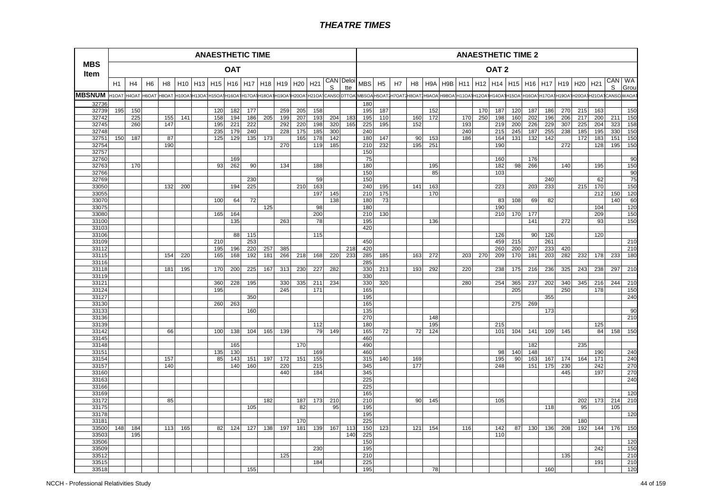|                    |     |            | <b>ANAESTHETIC TIME</b> |                |                 |                                                                                          |            |            |     |     |                                                                 |            |                       |     |            |                      |                |                  |                                                                                                      | <b>ANAESTHETIC TIME 2</b> |                  |            |            |            |             |            |            |                 |            |
|--------------------|-----|------------|-------------------------|----------------|-----------------|------------------------------------------------------------------------------------------|------------|------------|-----|-----|-----------------------------------------------------------------|------------|-----------------------|-----|------------|----------------------|----------------|------------------|------------------------------------------------------------------------------------------------------|---------------------------|------------------|------------|------------|------------|-------------|------------|------------|-----------------|------------|
| <b>MBS</b><br>Item |     | <b>OAT</b> |                         |                |                 |                                                                                          |            |            |     |     |                                                                 |            |                       |     |            |                      |                |                  |                                                                                                      |                           | OAT <sub>2</sub> |            |            |            |             |            |            |                 |            |
|                    | H1  | H4         | H <sub>6</sub>          | H <sub>8</sub> | H <sub>10</sub> | H <sub>13</sub> H <sub>15</sub> H <sub>16</sub> H <sub>17</sub>                          |            |            |     |     | H <sub>18</sub> H <sub>19</sub> H <sub>20</sub> H <sub>21</sub> |            | <b>CAN</b> Deloi<br>∘ | tte | <b>MBS</b> | H7<br>H <sub>5</sub> | H <sub>8</sub> | H <sub>9</sub> A | H9B H11                                                                                              | H12 H14 H15 H16 H17       |                  |            |            |            | H19 H20 H21 |            |            | <b>CAN</b><br>S | WA<br>Grou |
| <b>MBSNUM</b>      |     |            |                         |                |                 | H1OAT H4OAT H6OAT H8OAT H10OATH13OATH15OATH16OATH17OATH18OATH19OATH20OATH21OATCANSODTTOA |            |            |     |     |                                                                 |            |                       |     |            |                      |                |                  | MBSOAH5OAT1H7OAT1H8OAT1H9AOA H9BOA H11OA1H12OA1H14OA1H15OA1H16OA1H17OA1H19OA1H20OA1H21OA1CANSO WAOA1 |                           |                  |            |            |            |             |            |            |                 |            |
| 32736              |     |            |                         |                |                 |                                                                                          |            |            |     |     |                                                                 |            |                       |     | 180        |                      |                |                  |                                                                                                      |                           |                  |            |            |            |             |            |            |                 |            |
| 32739              | 195 | 150        |                         |                |                 | 120                                                                                      | 182        | 177        |     | 259 | 205                                                             | 158        |                       |     | 195        | 187                  |                | 152              |                                                                                                      | 170                       | 187              | 120        | 187        | 186        | 270         | 215        | 163        |                 | 150        |
| 32742              |     | 225        |                         | 155            | 141             | 158                                                                                      | 194        | 186        | 205 | 199 | 207                                                             | 193        | 204                   | 183 | 195        | 110                  | 160            | 172              | 170                                                                                                  | 250                       | 198              | 160        | 202        | 196        | 206         | 217        | 200        | 211             | 150        |
| 32745              |     | 260        |                         | 147            |                 | 195                                                                                      | 221        | 222        |     | 292 | 220                                                             | 198        | 320                   | 165 | 225        | 195                  | 152            |                  | 193<br>240                                                                                           |                           | 219              | 200        | 226        | 229        | 307         | 225        | 204        | 323             | 158        |
| 32748<br>32751     | 150 | 187        |                         | 87             |                 | 235<br>125                                                                               | 179<br>129 | 240<br>135 | 173 | 228 | 175<br>165                                                      | 185<br>178 | 300<br>142            |     | 240<br>180 | 147                  | 90             | 153              | 186                                                                                                  |                           | 215<br>164       | 245<br>131 | 187<br>132 | 255<br>142 | 238         | 185<br>172 | 195<br>183 | 330<br>151      | 150<br>150 |
| 32754              |     |            |                         | 190            |                 |                                                                                          |            |            |     | 270 |                                                                 | 119        | 185                   |     | 210        | 232                  | 195            | 251              |                                                                                                      |                           | 190              |            |            |            | 272         |            | 128        | 195             | 150        |
| 32757              |     |            |                         |                |                 |                                                                                          |            |            |     |     |                                                                 |            |                       |     | 150        |                      |                |                  |                                                                                                      |                           |                  |            |            |            |             |            |            |                 |            |
| 32760              |     |            |                         |                |                 |                                                                                          | 169        |            |     |     |                                                                 |            |                       |     | 75         |                      |                |                  |                                                                                                      |                           | 160              |            | 176        |            |             |            |            |                 | 90         |
| 32763              |     | 170        |                         |                |                 | 93                                                                                       | 262        | 90         |     | 134 |                                                                 | 188        |                       |     | 180        |                      |                | 195              |                                                                                                      |                           | 182              | 98         | 266        |            | 140         |            | 195        |                 | 150        |
| 32766              |     |            |                         |                |                 |                                                                                          |            |            |     |     |                                                                 |            |                       |     | 150        |                      |                | 85               |                                                                                                      |                           | 103              |            |            |            |             |            |            |                 | 90         |
| 32769<br>33050     |     |            |                         | 132            | 200             |                                                                                          | 194        | 230<br>225 |     |     | 210                                                             | 59<br>163  |                       |     | 150<br>240 | 195                  | 141            | 163              |                                                                                                      |                           | 223              |            | 203        | 240<br>233 |             | 215        | 62<br>170  |                 | 75<br>150  |
| 33055              |     |            |                         |                |                 |                                                                                          |            |            |     |     |                                                                 | 197        | 145                   |     | 210        | 175                  |                | 170              |                                                                                                      |                           |                  |            |            |            |             |            | 212        | 150             | 120        |
| 33070              |     |            |                         |                |                 | 100                                                                                      | 64         | 72         |     |     |                                                                 |            | 138                   |     | 180        | 73                   |                |                  |                                                                                                      |                           | 83               | 108        | 69         | 82         |             |            |            | 140             | 60         |
| 33075              |     |            |                         |                |                 |                                                                                          |            |            | 125 |     |                                                                 | 98         |                       |     | 180        |                      |                |                  |                                                                                                      |                           | 190              |            |            |            |             |            | 104        |                 | 120        |
| 33080              |     |            |                         |                |                 | 165                                                                                      | 164        |            |     |     |                                                                 | 200        |                       |     | 210        | 130                  |                |                  |                                                                                                      |                           | 210              | 170        | 177        |            |             |            | 209        |                 | 150        |
| 33100              |     |            |                         |                |                 |                                                                                          | 135        |            |     | 263 |                                                                 | 78         |                       |     | 195        |                      |                | 136              |                                                                                                      |                           |                  |            | 141        |            | 272         |            | 93         |                 | 150        |
| 33103              |     |            |                         |                |                 |                                                                                          |            |            |     |     |                                                                 |            |                       |     | 420        |                      |                |                  |                                                                                                      |                           |                  |            |            |            |             |            |            |                 |            |
| 33106<br>33109     |     |            |                         |                |                 | 210                                                                                      | 88         | 115<br>253 |     |     |                                                                 | 115        |                       |     | 450        |                      |                |                  |                                                                                                      |                           | 126<br>459       | 215        | 90         | 126<br>261 |             |            | 120        |                 | 210        |
| 33112              |     |            |                         |                |                 | 195                                                                                      | 196        | 220        | 257 | 385 |                                                                 |            |                       | 218 | 420        |                      |                |                  |                                                                                                      |                           | 260              | 200        | 207        | 233        | 420         |            |            |                 | 210        |
| 33115              |     |            |                         | 154            | 220             | 165                                                                                      | 168        | 192        | 181 | 266 | 218                                                             | 168        | 220                   | 233 | 285        | 185                  | 163            | 272              | 203                                                                                                  | 270                       | 209              | 170        | 181        | 203        | 282         | 232        | 178        | 233             | 180        |
| 33116              |     |            |                         |                |                 |                                                                                          |            |            |     |     |                                                                 |            |                       |     | 285        |                      |                |                  |                                                                                                      |                           |                  |            |            |            |             |            |            |                 |            |
| 33118              |     |            |                         | 181            | 195             | 170                                                                                      | 200        | 225        | 167 | 313 | 230                                                             | 227        | 282                   |     | 330        | 213                  | 193            | 292              | 220                                                                                                  |                           | 238              | 175        | 216        | 236        | 325         | 243        | 238        | 297             | 210        |
| 33119              |     |            |                         |                |                 |                                                                                          |            |            |     |     |                                                                 |            |                       |     | 330        |                      |                |                  |                                                                                                      |                           |                  |            |            |            |             |            |            |                 |            |
| 33121              |     |            |                         |                |                 | 360                                                                                      | 228        | 195        |     | 330 | 335                                                             | 211        | 234                   |     | 330        | 320                  |                |                  | 280                                                                                                  |                           | 254              | 365        | 237        | 202        | 340         | 345        | 216        | 244             | 210        |
| 33124<br>33127     |     |            |                         |                |                 | 195                                                                                      |            | 350        |     | 245 |                                                                 | 171        |                       |     | 165<br>195 |                      |                |                  |                                                                                                      |                           |                  | 205        |            | 355        | 250         |            | 178        |                 | 150<br>240 |
| 33130              |     |            |                         |                |                 | 260                                                                                      | 263        |            |     |     |                                                                 |            |                       |     | 165        |                      |                |                  |                                                                                                      |                           |                  | 275        | 269        |            |             |            |            |                 |            |
| 33133              |     |            |                         |                |                 |                                                                                          |            | 160        |     |     |                                                                 |            |                       |     | 135        |                      |                |                  |                                                                                                      |                           |                  |            |            | 173        |             |            |            |                 | 90         |
| 33136              |     |            |                         |                |                 |                                                                                          |            |            |     |     |                                                                 |            |                       |     | 270        |                      |                | 148              |                                                                                                      |                           |                  |            |            |            |             |            |            |                 | 210        |
| 33139              |     |            |                         |                |                 |                                                                                          |            |            |     |     |                                                                 | 112        |                       |     | 180        |                      |                | 195              |                                                                                                      |                           | 215              |            |            |            |             |            | 125        |                 |            |
| 33142              |     |            |                         | 66             |                 | 100                                                                                      | 138        | 104        | 165 | 139 |                                                                 | 79         | 149                   |     | 165        | 72                   | 72             | 124              |                                                                                                      |                           | 101              | 104        | 141        | 109        | 145         |            | 84         | 158             | 150        |
| 33145              |     |            |                         |                |                 |                                                                                          |            |            |     |     |                                                                 |            |                       |     | 460        |                      |                |                  |                                                                                                      |                           |                  |            |            |            |             |            |            |                 |            |
| 33148<br>33151     |     |            |                         |                |                 | 135                                                                                      | 165<br>130 |            |     |     | 170                                                             | 169        |                       |     | 490<br>460 |                      |                |                  |                                                                                                      |                           | 98               | 140        | 182<br>148 |            |             | 235        | 190        |                 | 240        |
| 33154              |     |            |                         | 157            |                 | 85                                                                                       | 143        | 151        | 197 | 172 | 151                                                             | 155        |                       |     | 315        | 140                  | 169            |                  |                                                                                                      |                           | 195              | 90         | 163        | 167        | 174         | 164        | 171        |                 | 240        |
| 33157              |     |            |                         | 140            |                 |                                                                                          | 140        | 160        |     | 220 |                                                                 | 215        |                       |     | 345        |                      | 177            |                  |                                                                                                      |                           | 248              |            | 151        | 175        | 230         |            | 242        |                 | 270        |
| 33160              |     |            |                         |                |                 |                                                                                          |            |            |     | 440 |                                                                 | 184        |                       |     | 345        |                      |                |                  |                                                                                                      |                           |                  |            |            |            | 445         |            | 197        |                 | 270        |
| 33163              |     |            |                         |                |                 |                                                                                          |            |            |     |     |                                                                 |            |                       |     | 225        |                      |                |                  |                                                                                                      |                           |                  |            |            |            |             |            |            |                 | 240        |
| 33166              |     |            |                         |                |                 |                                                                                          |            |            |     |     |                                                                 |            |                       |     | 225        |                      |                |                  |                                                                                                      |                           |                  |            |            |            |             |            |            |                 |            |
| 33169              |     |            |                         |                |                 |                                                                                          |            |            |     |     |                                                                 |            |                       |     | 165        |                      |                |                  |                                                                                                      |                           |                  |            |            |            |             |            |            |                 | 120        |
| 33172<br>33175     |     |            |                         | 85             |                 |                                                                                          |            | 105        | 182 |     | 187<br>82                                                       | 173        | 210<br>95             |     | 210<br>195 |                      | 90             | 145              |                                                                                                      |                           | 105              |            |            | 118        |             | 202<br>95  | 173        | 214<br>105      | 210        |
| 33178              |     |            |                         |                |                 |                                                                                          |            |            |     |     |                                                                 |            |                       |     | 195        |                      |                |                  |                                                                                                      |                           |                  |            |            |            |             |            |            |                 | 120        |
| 33181              |     |            |                         |                |                 |                                                                                          |            |            |     |     | 170                                                             |            |                       |     | 225        |                      |                |                  |                                                                                                      |                           |                  |            |            |            |             | 180        |            |                 |            |
| 33500              | 148 | 184        |                         | 113            | 165             | 82                                                                                       | 124        | 127        | 138 | 197 | 181                                                             | 139        | 167                   | 113 | 150        | 123                  | 121            | 154              | 116                                                                                                  |                           | 142              | 87         | 130        | 136        | 208         | 192        | 144        | 176             | 150        |
| 33503              |     | 195        |                         |                |                 |                                                                                          |            |            |     |     |                                                                 |            |                       | 140 | 225        |                      |                |                  |                                                                                                      |                           | 110              |            |            |            |             |            |            |                 |            |
| 33506              |     |            |                         |                |                 |                                                                                          |            |            |     |     |                                                                 |            |                       |     | 150        |                      |                |                  |                                                                                                      |                           |                  |            |            |            |             |            |            |                 | 120        |
| 33509              |     |            |                         |                |                 |                                                                                          |            |            |     |     |                                                                 | 230        |                       |     | 195        |                      |                |                  |                                                                                                      |                           |                  |            |            |            |             |            | 242        |                 | 150        |
| 33512              |     |            |                         |                |                 |                                                                                          |            |            |     | 125 |                                                                 |            |                       |     | 210        |                      |                |                  |                                                                                                      |                           |                  |            |            |            | 135         |            |            |                 | 210        |
| 33515<br>33518     |     |            |                         |                |                 |                                                                                          |            | 155        |     |     |                                                                 | 184        |                       |     | 225<br>195 |                      |                | 78               |                                                                                                      |                           |                  |            |            | 160        |             |            | 191        |                 | 210<br>120 |
|                    |     |            |                         |                |                 |                                                                                          |            |            |     |     |                                                                 |            |                       |     |            |                      |                |                  |                                                                                                      |                           |                  |            |            |            |             |            |            |                 |            |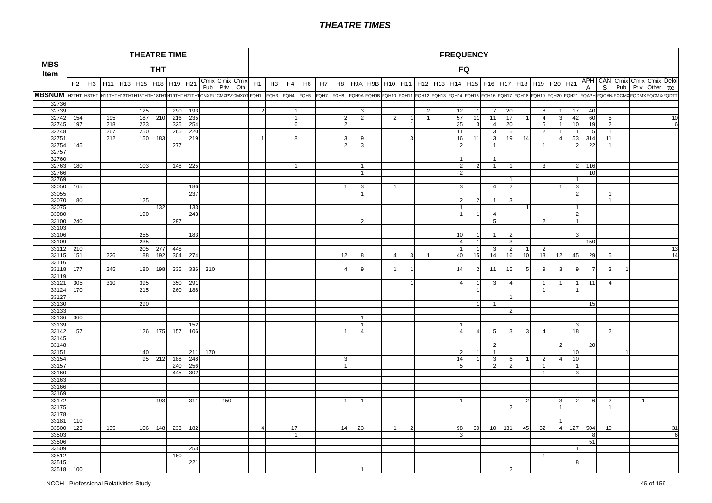|                                                                                                                                                                                                                                |            |                            | <b>THEATRE TIME</b> |            |            |            |     |          |                          |                |    |                     |                |    |                             |                                  |                |                |                | <b>FREQUENCY</b>     |                      |                                                                                        |                                                   |                       |             |                                   |                                                       |              |         |
|--------------------------------------------------------------------------------------------------------------------------------------------------------------------------------------------------------------------------------|------------|----------------------------|---------------------|------------|------------|------------|-----|----------|--------------------------|----------------|----|---------------------|----------------|----|-----------------------------|----------------------------------|----------------|----------------|----------------|----------------------|----------------------|----------------------------------------------------------------------------------------|---------------------------------------------------|-----------------------|-------------|-----------------------------------|-------------------------------------------------------|--------------|---------|
| <b>MBS</b><br><b>Item</b>                                                                                                                                                                                                      |            |                            |                     | <b>THT</b> |            |            |     |          |                          |                |    |                     |                |    |                             |                                  |                |                |                | <b>FQ</b>            |                      |                                                                                        |                                                   |                       |             |                                   |                                                       |              |         |
|                                                                                                                                                                                                                                | H2         | H3 H11 H13 H15 H18 H19 H21 |                     |            |            |            |     | Pub Priv | C'mix C'mix C'mix<br>Oth | H1             | H3 | H4                  | H <sub>6</sub> | H7 |                             |                                  |                |                |                |                      |                      | H8   H9A   H9B   H10   H11   H12   H13   H14   H15   H16   H17   H18   H19   H20   H21 |                                                   |                       | $\Delta$    | S                                 | APH CAN C'mix C'mix C'mix Deloi<br>Pub Priv Other tte |              |         |
| MBSNUM  H2THT  H3THT  H3THT H13THT H13THT H18THT H18THT H21THT CMXPU CMXPV CMXOT FQH1  FQH3  FQH4  FQH6  FQH6  FQH8  FQH9 GH9B GAH19 FQH13 FQH18 FQH14 FQH15 FQH16 FQH17 FQH18 FQH19 FQH20 FQH21 FQAH2 FQCMX FQCMX FQCMX FQCMX |            |                            |                     |            |            |            |     |          |                          |                |    |                     |                |    |                             |                                  |                |                |                |                      |                      |                                                                                        |                                                   |                       |             |                                   |                                                       |              |         |
| 32736                                                                                                                                                                                                                          |            |                            |                     |            |            |            |     |          |                          |                |    |                     |                |    |                             |                                  |                |                |                |                      |                      |                                                                                        |                                                   |                       |             |                                   |                                                       |              |         |
| 32739                                                                                                                                                                                                                          |            |                            | 125                 |            | 290        | 193        |     |          |                          | $\overline{2}$ |    | $\mathbf{1}$        |                |    |                             | 3 <sup>1</sup>                   |                |                | $\overline{2}$ | 12                   | 1                    | 20<br>$\overline{7}$                                                                   | 8 <sup>1</sup><br>1                               | 17                    | 40          |                                   |                                                       |              |         |
| 32742                                                                                                                                                                                                                          | 154        | 195<br>218                 | 187<br>223          | 210        | 216        | 235<br>254 |     |          |                          |                |    | $\overline{1}$<br>6 |                |    | $\vert$ 2<br>$\overline{2}$ | 2 <sup>1</sup>                   | $\overline{2}$ | -1             | $\overline{1}$ | 57                   | 11<br>11             | 17<br>1 <sup>1</sup><br>20                                                             | 4 <sup>1</sup><br>3<br>5 <sup>1</sup><br>$1\vert$ | 42<br>10 <sup>1</sup> | 60          | $5\phantom{.0}$<br>$\overline{2}$ |                                                       |              | 10<br>6 |
| 32745<br>32748                                                                                                                                                                                                                 | 197        | 267                        | 250                 |            | 325<br>265 | 220        |     |          |                          |                |    |                     |                |    |                             |                                  |                | $\overline{1}$ |                | 35<br>11             | 3<br>1               | $\overline{4}$<br>$5\overline{)}$<br>3                                                 | 2 <sup>1</sup><br>$1\vert$                        | 1                     | 19<br>5     | $\overline{1}$                    |                                                       |              |         |
| 32751                                                                                                                                                                                                                          |            | 212                        | 150 183             |            |            | 219        |     |          |                          | $\vert$        |    | 8                   |                |    | 3                           | 9                                |                | $\mathbf{3}$   |                | 16                   | 11                   | $\overline{3}$<br>19<br>14                                                             | $\left 4\right $                                  | 53                    | 314         | 11                                |                                                       |              |         |
| 32754                                                                                                                                                                                                                          | 145        |                            |                     |            | 277        |            |     |          |                          |                |    |                     |                |    | $\overline{2}$              | 3 <sup>1</sup>                   |                |                |                | 2 <sup>1</sup>       |                      | 11                                                                                     | $\mathbf{1}$                                      | $\overline{2}$        | 22          | $\mathbf{1}$                      |                                                       |              |         |
| 32757                                                                                                                                                                                                                          |            |                            |                     |            |            |            |     |          |                          |                |    |                     |                |    |                             |                                  |                |                |                |                      |                      |                                                                                        |                                                   |                       |             |                                   |                                                       |              |         |
| 32760                                                                                                                                                                                                                          |            |                            |                     |            |            |            |     |          |                          |                |    |                     |                |    |                             |                                  |                |                |                | $\mathbf{1}$         |                      | 1                                                                                      |                                                   |                       |             |                                   |                                                       |              |         |
| 32763<br>32766                                                                                                                                                                                                                 | 180        |                            | 103                 |            | 148        | 225        |     |          |                          |                |    | $\overline{1}$      |                |    |                             | $\overline{1}$<br>1 <sup>1</sup> |                |                |                | 2 <br>2              | 2                    | 1<br>$\overline{1}$                                                                    | 3 <sup>1</sup>                                    |                       | 2 116<br>10 |                                   |                                                       |              |         |
| 32769                                                                                                                                                                                                                          |            |                            |                     |            |            |            |     |          |                          |                |    |                     |                |    |                             |                                  |                |                |                |                      |                      | 1                                                                                      |                                                   | 1 <sup>1</sup>        |             |                                   |                                                       |              |         |
| 33050                                                                                                                                                                                                                          | 165        |                            |                     |            |            | 186        |     |          |                          |                |    |                     |                |    | 11                          | 3                                | $\mathbf{1}$   |                |                | 3                    |                      | $\overline{2}$<br>4 <sup>1</sup>                                                       | 11                                                | 3 <sup>1</sup>        |             |                                   |                                                       |              |         |
| 33055                                                                                                                                                                                                                          |            |                            |                     |            |            | 237        |     |          |                          |                |    |                     |                |    |                             | $\mathbf{1}$                     |                |                |                |                      |                      |                                                                                        |                                                   | $\overline{2}$        |             | $\overline{1}$                    |                                                       |              |         |
| 33070                                                                                                                                                                                                                          | 80         |                            | 125                 |            |            |            |     |          |                          |                |    |                     |                |    |                             |                                  |                |                |                | 2                    | $\overline{2}$       | $\mathbf{3}$<br>1                                                                      |                                                   |                       |             | $\mathbf{1}$                      |                                                       |              |         |
| 33075                                                                                                                                                                                                                          |            |                            |                     | 132        |            | 133        |     |          |                          |                |    |                     |                |    |                             |                                  |                |                |                | $\mathbf{1}$         |                      | -1                                                                                     |                                                   | 11                    |             |                                   |                                                       |              |         |
| 33080                                                                                                                                                                                                                          |            |                            | 190                 |            |            | 243        |     |          |                          |                |    |                     |                |    |                             |                                  |                |                |                | $\mathbf{1}$         |                      | 4 <sup>1</sup><br>5 <sup>1</sup>                                                       | $\overline{2}$                                    | $\vert$ 2<br>1        |             |                                   |                                                       |              |         |
| 33100<br>33103                                                                                                                                                                                                                 | 240        |                            |                     |            | 297        |            |     |          |                          |                |    |                     |                |    |                             | 2                                |                |                |                |                      |                      |                                                                                        |                                                   |                       |             |                                   |                                                       |              |         |
| 33106                                                                                                                                                                                                                          |            |                            | 255                 |            |            | 183        |     |          |                          |                |    |                     |                |    |                             |                                  |                |                |                | 10 <sup>1</sup>      | 1                    | 1<br>$\overline{2}$                                                                    |                                                   | 3 <sup>1</sup>        |             |                                   |                                                       |              |         |
| 33109                                                                                                                                                                                                                          |            |                            | 235                 |            |            |            |     |          |                          |                |    |                     |                |    |                             |                                  |                |                |                | $\vert$              | $\vert$ 1            | $\mathbf{3}$                                                                           |                                                   |                       | 150         |                                   |                                                       |              |         |
| 33112                                                                                                                                                                                                                          | 210        |                            | 205                 | 277        | 448        |            |     |          |                          |                |    |                     |                |    |                             |                                  |                |                |                | $\blacktriangleleft$ | 1 <sup>1</sup>       | $\overline{2}$<br>3 <sup>1</sup>                                                       | $\overline{2}$                                    |                       |             |                                   |                                                       |              | 13      |
| 33115                                                                                                                                                                                                                          | 151        | 226                        | 188                 | 192        | 304        | 274        |     |          |                          |                |    |                     |                |    | 12                          | 8 <sup>1</sup>                   | $\overline{4}$ | 3              | $\mathbf{1}$   | 40                   | 15<br>14             | 16<br>10                                                                               | 13<br>12                                          | 45                    | 29          | 5                                 |                                                       |              | 14      |
| 33116                                                                                                                                                                                                                          |            |                            |                     |            |            |            |     |          |                          |                |    |                     |                |    |                             |                                  |                |                |                |                      |                      |                                                                                        |                                                   |                       |             |                                   |                                                       |              |         |
| 33118<br>33119                                                                                                                                                                                                                 | 177        | 245                        | 180                 | 198        | 335        | 336        | 310 |          |                          |                |    |                     |                |    | $\overline{4}$              | 9                                | $\mathbf{1}$   |                |                | 14                   | $\overline{2}$<br>11 | 15<br>5 <sub>1</sub>                                                                   | 3 <sup>1</sup><br>9                               | 9                     | 7           | $\mathbf{3}$                      | $\mathbf{1}$                                          |              |         |
| 33121                                                                                                                                                                                                                          | 305        | 310                        | 395                 |            | 350        | 291        |     |          |                          |                |    |                     |                |    |                             |                                  |                |                |                | $\overline{4}$       | $\mathbf{1}$         | 3 <sup>1</sup><br>$\overline{4}$                                                       | $\mathbf{1}$<br>1 <sup>1</sup>                    | 1                     | 11          | $\overline{4}$                    |                                                       |              |         |
| 33124                                                                                                                                                                                                                          | 170        |                            | 215                 |            | 260        | 188        |     |          |                          |                |    |                     |                |    |                             |                                  |                |                |                |                      | $\vert$ 1            |                                                                                        | $\mathbf{1}$                                      | 11                    |             |                                   |                                                       |              |         |
| 33127                                                                                                                                                                                                                          |            |                            |                     |            |            |            |     |          |                          |                |    |                     |                |    |                             |                                  |                |                |                |                      |                      | $\mathbf{1}$                                                                           |                                                   |                       |             |                                   |                                                       |              |         |
| 33130                                                                                                                                                                                                                          |            |                            | 290                 |            |            |            |     |          |                          |                |    |                     |                |    |                             |                                  |                |                |                |                      | $\vert$ 1            | 1 <sup>1</sup>                                                                         |                                                   |                       | 15          |                                   |                                                       |              |         |
| 33133                                                                                                                                                                                                                          |            |                            |                     |            |            |            |     |          |                          |                |    |                     |                |    |                             |                                  |                |                |                |                      |                      | $\overline{2}$                                                                         |                                                   |                       |             |                                   |                                                       |              |         |
| 33136<br>33139                                                                                                                                                                                                                 | 360        |                            |                     |            |            | 152        |     |          |                          |                |    |                     |                |    |                             | $\mathbf{1}$<br>1                |                |                |                | 1                    |                      |                                                                                        |                                                   | 3 <sup>l</sup>        |             |                                   |                                                       |              |         |
| 33142                                                                                                                                                                                                                          | 57         |                            | 126                 |            | 175 157    | 106        |     |          |                          |                |    |                     |                |    | 1                           | $\vert$                          |                |                |                | $\overline{4}$       | $\overline{4}$       | 5 <sup>1</sup><br>$\overline{\mathbf{3}}$<br> 3                                        | $\overline{4}$                                    | 18                    |             | $\overline{2}$                    |                                                       |              |         |
| 33145                                                                                                                                                                                                                          |            |                            |                     |            |            |            |     |          |                          |                |    |                     |                |    |                             |                                  |                |                |                |                      |                      |                                                                                        |                                                   |                       |             |                                   |                                                       |              |         |
| 33148                                                                                                                                                                                                                          |            |                            |                     |            |            |            |     |          |                          |                |    |                     |                |    |                             |                                  |                |                |                |                      |                      | 2 <sup>1</sup>                                                                         | 2                                                 |                       | 20          |                                   |                                                       |              |         |
| 33151                                                                                                                                                                                                                          |            |                            | 140                 |            |            | 211        | 170 |          |                          |                |    |                     |                |    |                             |                                  |                |                |                | 2                    | $\mathbf{1}$         | 1                                                                                      |                                                   | 10                    |             |                                   | 11                                                    |              |         |
| 33154                                                                                                                                                                                                                          |            |                            | 95                  | 212        | 188        | 248        |     |          |                          |                |    |                     |                |    | 3 <sup>1</sup>              |                                  |                |                |                | 14                   | $\vert$ 1            | 3 <sup>1</sup><br>$6 \overline{6}$<br>$\overline{1}$                                   | 2 <br>4                                           | 10                    |             |                                   |                                                       |              |         |
| 33157                                                                                                                                                                                                                          |            |                            |                     |            | 240<br>445 | 256<br>302 |     |          |                          |                |    |                     |                |    | 1                           |                                  |                |                |                | 5 <sub>5</sub>       |                      | $2 \vert$<br>2                                                                         | $\mathbf{1}$<br>1 <sup>1</sup>                    | 1<br>3 <sup>1</sup>   |             |                                   |                                                       |              |         |
| 33160<br>33163                                                                                                                                                                                                                 |            |                            |                     |            |            |            |     |          |                          |                |    |                     |                |    |                             |                                  |                |                |                |                      |                      |                                                                                        |                                                   |                       |             |                                   |                                                       |              |         |
| 33166                                                                                                                                                                                                                          |            |                            |                     |            |            |            |     |          |                          |                |    |                     |                |    |                             |                                  |                |                |                |                      |                      |                                                                                        |                                                   |                       |             |                                   |                                                       |              |         |
| 33169                                                                                                                                                                                                                          |            |                            |                     |            |            |            |     |          |                          |                |    |                     |                |    |                             |                                  |                |                |                |                      |                      |                                                                                        |                                                   |                       |             |                                   |                                                       |              |         |
| 33172                                                                                                                                                                                                                          |            |                            |                     | 193        |            | 311        |     | 150      |                          |                |    |                     |                |    | 1                           | $\mathbf{1}$                     |                |                |                | $\mathbf{1}$         |                      | 2 <sup>1</sup>                                                                         | 3                                                 | $\overline{2}$        | 6           | $\overline{2}$                    |                                                       | $\mathbf{1}$ |         |
| 33175                                                                                                                                                                                                                          |            |                            |                     |            |            |            |     |          |                          |                |    |                     |                |    |                             |                                  |                |                |                |                      |                      | $\overline{2}$                                                                         | $\vert$ 1                                         |                       |             | $\mathbf{1}$                      |                                                       |              |         |
| 33178                                                                                                                                                                                                                          |            |                            |                     |            |            |            |     |          |                          |                |    |                     |                |    |                             |                                  |                |                |                |                      |                      |                                                                                        | 1                                                 |                       |             |                                   |                                                       |              |         |
| 33181<br>33500                                                                                                                                                                                                                 | 110<br>123 | 135                        | 106                 | 148        | 233        | 182        |     |          |                          | $\vert$ 4      |    | 17                  |                |    | 14                          | 23                               | 1 <sup>1</sup> | $\overline{2}$ |                | 98                   | 60<br>10             | 45<br>131                                                                              | 32<br>$\overline{4}$                              | 127                   | 504         | 10                                |                                                       |              | 31      |
| 33503                                                                                                                                                                                                                          |            |                            |                     |            |            |            |     |          |                          |                |    | $\overline{1}$      |                |    |                             |                                  |                |                |                | $\overline{3}$       |                      |                                                                                        |                                                   |                       | 8           |                                   |                                                       |              | 6       |
| 33506                                                                                                                                                                                                                          |            |                            |                     |            |            |            |     |          |                          |                |    |                     |                |    |                             |                                  |                |                |                |                      |                      |                                                                                        |                                                   |                       | 51          |                                   |                                                       |              |         |
| 33509                                                                                                                                                                                                                          |            |                            |                     |            |            | 253        |     |          |                          |                |    |                     |                |    |                             |                                  |                |                |                |                      |                      |                                                                                        |                                                   | -1                    |             |                                   |                                                       |              |         |
| 33512                                                                                                                                                                                                                          |            |                            |                     |            | 160        |            |     |          |                          |                |    |                     |                |    |                             |                                  |                |                |                |                      |                      |                                                                                        | $\mathbf{1}$                                      |                       |             |                                   |                                                       |              |         |
| 33515                                                                                                                                                                                                                          |            |                            |                     |            |            | 221        |     |          |                          |                |    |                     |                |    |                             |                                  |                |                |                |                      |                      |                                                                                        |                                                   | 8                     |             |                                   |                                                       |              |         |
| 33518                                                                                                                                                                                                                          | 100        |                            |                     |            |            |            |     |          |                          |                |    |                     |                |    |                             | 1                                |                |                |                |                      |                      | $\overline{2}$                                                                         |                                                   |                       |             |                                   |                                                       |              |         |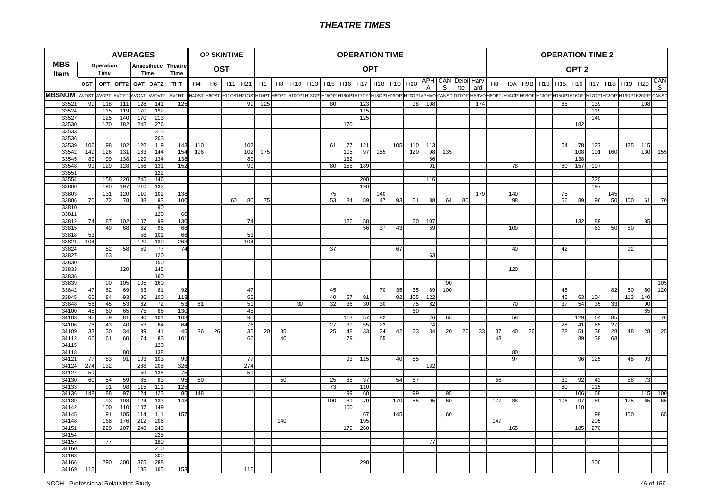|                    |            |                   |            | <b>AVERAGES</b>                  |                        |                        |                |    | <b>OP SKINTIME</b> |                          |     |     |                                                                                     |          | <b>OPERATION TIME</b> |                       |     |     |           |                               |     |     |     |     |          |    | <b>OPERATION TIME 2</b>                                           |                  |           |     |     |           |                     |
|--------------------|------------|-------------------|------------|----------------------------------|------------------------|------------------------|----------------|----|--------------------|--------------------------|-----|-----|-------------------------------------------------------------------------------------|----------|-----------------------|-----------------------|-----|-----|-----------|-------------------------------|-----|-----|-----|-----|----------|----|-------------------------------------------------------------------|------------------|-----------|-----|-----|-----------|---------------------|
| <b>MBS</b><br>Item |            | Operation<br>Time |            | Anaesthetic<br><b>Time</b>       |                        | <b>Theatre</b><br>Time |                |    | <b>OST</b>         |                          |     |     |                                                                                     |          |                       | <b>OPT</b>            |     |     |           |                               |     |     |     |     |          |    |                                                                   | OPT <sub>2</sub> |           |     |     |           |                     |
|                    | <b>OST</b> |                   |            | OPT OPT2 OAT OAT2                |                        | <b>THT</b>             | H <sub>4</sub> |    | H6 H11             | H21                      | H1  | H8  | H10   H13   H15   H16   H17   H18   H19   H20                                       |          |                       |                       |     |     |           | APH   CAN   Deloi   Harv<br>A | S.  | tte |     |     |          |    | H8   H9A   H9B   H13   H15   H16   H17   H18   H19   H20          |                  |           |     |     |           | CAN<br><sub>S</sub> |
| <b>MBSNUM</b>      |            |                   |            | vost Iavopt Iavopt/Avoat Iavoat2 |                        | <b>AVTHT</b>           |                |    |                    | 140ST H60ST H110STH210ST |     |     | H1OPT H8OPT H10OPTH13OPTH15OPTH16OPTH17OPTH18OPTH19OPTH20OPTAPHAO CANSO DTTOPTHARVO |          |                       |                       |     |     |           |                               |     |     | ard |     |          |    | H8OPT/H9AOP H9BOP H13OP H15OP H16OP H17OP H18OP H19OP H20OP CANSC |                  |           |     |     |           |                     |
| 33521              | 99         | 118               | 111        | 128                              | 141                    | 125                    |                |    |                    | 99                       | 125 |     |                                                                                     | 80       |                       | 123                   |     |     | 98        | 108                           |     |     | 174 |     |          |    | 85                                                                |                  | 139       |     |     | 108       |                     |
| 33524              |            | 115               | 119        | 170                              | 192                    |                        |                |    |                    |                          |     |     |                                                                                     |          |                       | 115                   |     |     |           |                               |     |     |     |     |          |    |                                                                   |                  | 119       |     |     |           |                     |
| 33527              |            | 125               | 140        | 170                              | 213                    |                        |                |    |                    |                          |     |     |                                                                                     |          |                       | 125                   |     |     |           |                               |     |     |     |     |          |    |                                                                   |                  | 140       |     |     |           |                     |
| 33530              |            | 170               | 182        | 245                              | 276                    |                        |                |    |                    |                          |     |     |                                                                                     |          | 170                   |                       |     |     |           |                               |     |     |     |     |          |    |                                                                   | 182              |           |     |     |           |                     |
| 33533              |            |                   |            |                                  | 315<br>203             |                        |                |    |                    |                          |     |     |                                                                                     |          |                       |                       |     |     |           |                               |     |     |     |     |          |    |                                                                   |                  |           |     |     |           |                     |
| 33536<br>33539     | 106        | 98                | 102        | 126                              | 119                    | 143                    | 110            |    |                    | 102                      |     |     |                                                                                     | 61       | 77                    | 121                   |     | 105 | 110       | 113                           |     |     |     |     |          |    | 64                                                                | 78               | 127       |     | 125 | 115       |                     |
| 33542              | 149        | 126               | 131        | 163                              | 144                    | 154                    | 196            |    |                    | 102                      | 175 |     |                                                                                     |          | 105                   | 97                    | 155 |     | 120       | 98                            | 135 |     |     |     |          |    |                                                                   | 108              | 101       | 160 |     | 130       | 155                 |
| 33545              | 89         | 99                | 138        | 129                              | 134                    | 138                    |                |    |                    | 89                       |     |     |                                                                                     |          | 132                   |                       |     |     |           | 66                            |     |     |     |     |          |    |                                                                   | 138              |           |     |     |           |                     |
| 33548              | 99         | 129               | 128        | 156                              | 131                    | 152                    |                |    |                    | 99                       |     |     |                                                                                     | 80       | 155                   | 189                   |     |     |           | 91                            |     |     |     |     | 78       |    | 80                                                                | 157              | 197       |     |     |           |                     |
| 33551              |            |                   |            |                                  | 122                    |                        |                |    |                    |                          |     |     |                                                                                     |          |                       |                       |     |     |           |                               |     |     |     |     |          |    |                                                                   |                  |           |     |     |           |                     |
| 33554              |            | 158               | 220        | 245                              | 146                    |                        |                |    |                    |                          |     |     |                                                                                     |          |                       | 200                   |     |     |           | 116                           |     |     |     |     |          |    |                                                                   |                  | 220       |     |     |           |                     |
| 33800<br>33803     |            | 190<br>131        | 197<br>120 | 210<br>110                       | 132                    | 138                    |                |    |                    |                          |     |     |                                                                                     | 75       |                       | 190                   | 140 |     |           |                               |     |     | 179 |     | 140      |    | 75                                                                |                  | 197       | 145 |     |           |                     |
| 33806              | 70         | 72                | 78         | 88                               | 102<br>93              | 100                    |                |    | 60                 | 80                       | 75  |     |                                                                                     | 53       | 84                    | 89                    | 47  | 93  | 51        | 88                            | 64  | 80  |     |     | 98       |    | 56                                                                | 89               | 96        | 50  | 100 | 61        | 70                  |
| 33810              |            |                   |            |                                  | 90                     |                        |                |    |                    |                          |     |     |                                                                                     |          |                       |                       |     |     |           |                               |     |     |     |     |          |    |                                                                   |                  |           |     |     |           |                     |
| 33811              |            |                   |            |                                  | 120                    | 60                     |                |    |                    |                          |     |     |                                                                                     |          |                       |                       |     |     |           |                               |     |     |     |     |          |    |                                                                   |                  |           |     |     |           |                     |
| 33812              | 74         | 87                | 102        | 107                              | 99                     | 130                    |                |    |                    | 74                       |     |     |                                                                                     |          | 126                   | 58                    |     |     | 60        | 107                           |     |     |     |     |          |    |                                                                   | 132              | 89        |     |     | 85        |                     |
| 33815              |            | 49                | 68         | 62                               | 96                     | 68                     |                |    |                    |                          |     |     |                                                                                     |          |                       | 56                    | 37  | 43  |           | 59                            |     |     |     |     | 109      |    |                                                                   |                  | 63        | 50  | 50  |           |                     |
| 33818              | 53         |                   |            | 58                               | 101                    | 66                     |                |    |                    | 53                       |     |     |                                                                                     |          |                       |                       |     |     |           |                               |     |     |     |     |          |    |                                                                   |                  |           |     |     |           |                     |
| 33821<br>33824     | 104        | 52                | 58         | 120<br>59                        | 130<br>$\overline{77}$ | 263<br>74              |                |    |                    | 104                      |     |     |                                                                                     | 37       |                       |                       |     | 67  |           |                               |     |     |     |     | 40       |    | 42                                                                |                  |           |     | 92  |           |                     |
| 33827              |            | 63                |            |                                  | 120                    |                        |                |    |                    |                          |     |     |                                                                                     |          |                       |                       |     |     |           | 63                            |     |     |     |     |          |    |                                                                   |                  |           |     |     |           |                     |
| 33830              |            |                   |            |                                  | 150                    |                        |                |    |                    |                          |     |     |                                                                                     |          |                       |                       |     |     |           |                               |     |     |     |     |          |    |                                                                   |                  |           |     |     |           |                     |
| 33833              |            |                   | 120        |                                  | 145                    |                        |                |    |                    |                          |     |     |                                                                                     |          |                       |                       |     |     |           |                               |     |     |     |     | 120      |    |                                                                   |                  |           |     |     |           |                     |
| 33836              |            |                   |            |                                  | 160                    |                        |                |    |                    |                          |     |     |                                                                                     |          |                       |                       |     |     |           |                               |     |     |     |     |          |    |                                                                   |                  |           |     |     |           |                     |
| 33839              |            | 90                | 105        | 105                              | 160                    |                        |                |    |                    |                          |     |     |                                                                                     |          |                       |                       |     |     |           |                               | 90  |     |     |     |          |    |                                                                   |                  |           |     |     |           | 105                 |
| 33842              | 47         | 62                | 69         | 83                               | 81                     | 92                     |                |    |                    | 47                       |     |     |                                                                                     | 45       |                       |                       | 70  | 35  | 35        | 89                            | 100 |     |     |     |          |    | 45                                                                |                  |           | 82  | 50  | 50        | 120                 |
| 33845<br>33848     | 65<br>56   | 84<br>45          | 93<br>53   | 86<br>62                         | 100<br>72              | 118<br>53              | 61             |    |                    | 65<br>51                 |     |     | 30 <sup>1</sup>                                                                     | 40<br>32 | 57<br>36              | 91<br>30 <sup>1</sup> | 30  | 92  | 105<br>75 | 122<br>82                     |     |     |     |     | 70       |    | 45<br>37                                                          | 63<br>54         | 104<br>35 | 33  | 113 | 140<br>90 |                     |
| 34100              | 45         | 60                | 65         | 75                               | 86                     | 130                    |                |    |                    | 45                       |     |     |                                                                                     |          |                       |                       |     |     | 60        |                               |     |     |     |     |          |    |                                                                   |                  |           |     |     | 65        |                     |
| 34103              | 95         | 79                | 81         | 90                               | 101                    | 103                    |                |    |                    | 95                       |     |     |                                                                                     |          | 113                   | 57                    | 82  |     |           | 76                            | 65  |     |     |     | 58       |    |                                                                   | 129              | 64        | 85  |     |           | 70                  |
| 34106              | 76         | 43                | 40         | 53                               | 64                     | 64                     |                |    |                    | 76                       |     |     |                                                                                     | 27       | 39                    | 55                    | 22  |     |           | 74                            |     |     |     |     |          |    | 28                                                                | 41               | 65        | 27  |     |           |                     |
| 34109              | 33         | 30                | 34         | 39                               | 41                     | 46                     | 36             | 26 |                    | 35                       | 20  | 35  |                                                                                     | 25       | 48                    | 33                    | 24  | 42  | 23        | 34                            | 20  | 26  | 33  | 37  | 40       | 20 | 28                                                                | 51               | 38        | 28  | 48  | 28        | $\overline{25}$     |
| 34112              | 66         | 61                | 60         | 74                               | 83                     | 101                    |                |    |                    | 66                       |     | 40  |                                                                                     |          | 79                    |                       | 65  |     |           |                               |     |     |     | 43  |          |    |                                                                   | 89               | 39        | 68  |     |           |                     |
| 34115              |            |                   |            |                                  | 120                    |                        |                |    |                    |                          |     |     |                                                                                     |          |                       |                       |     |     |           |                               |     |     |     |     |          |    |                                                                   |                  |           |     |     |           |                     |
| 34118<br>34121     | 77         | 83                | 80<br>91   | 103                              | 138<br>103             | 99                     |                |    |                    | 77                       |     |     |                                                                                     |          | 93                    | 115                   |     | 40  | 85        |                               |     |     |     |     | 80<br>97 |    |                                                                   | 96               | 125       |     | 45  | 93        |                     |
| 34124              | 274        | 132               |            | 288                              | 208                    | 326                    |                |    |                    | 274                      |     |     |                                                                                     |          |                       |                       |     |     |           | 132                           |     |     |     |     |          |    |                                                                   |                  |           |     |     |           |                     |
| 34127              | 59         |                   |            | 59                               | 135                    | 75                     |                |    |                    | 59                       |     |     |                                                                                     |          |                       |                       |     |     |           |                               |     |     |     |     |          |    |                                                                   |                  |           |     |     |           |                     |
| 34130              | 60         | 54                | 59         | 85                               | 83                     | 95                     | 60             |    |                    |                          |     | 50  |                                                                                     | 25       | 88                    | 37                    |     | 54  | 67        |                               |     |     |     | 56  |          |    | 31                                                                | 92               | 43        |     | 58  | 73        |                     |
| 34133              |            | 91                | 98         | 115                              | 111                    | 125                    |                |    |                    |                          |     |     |                                                                                     | 73       |                       | 110                   |     |     |           |                               |     |     |     |     |          |    | 80                                                                |                  | 115       |     |     |           |                     |
| 34136              | 148        | 88                | 97         | 124                              | 123                    | 85                     | 148            |    |                    |                          |     |     |                                                                                     |          | 99                    | 60                    |     |     | 99        |                               | 95  |     |     |     |          |    |                                                                   | 106              | 68        |     |     | 115       | 100                 |
| 34139              |            | 93                | 108        | 124                              | 133                    | 148                    |                |    |                    |                          |     |     |                                                                                     | 100      | 89                    | 79                    |     | 170 | 55        | 95                            | 60  |     |     | 177 | 88       |    | 106                                                               | 97               | 89        |     | 175 | 65        | 65                  |
| 34142              |            | 100               | 110        | 107                              | 149                    |                        |                |    |                    |                          |     |     |                                                                                     |          | 100                   |                       |     |     |           |                               |     |     |     |     |          |    |                                                                   | 110              |           |     |     |           | 65                  |
| 34145<br>34148     |            | 91<br>168         | 105<br>176 | 114<br>212                       | 111<br>206             | 157                    |                |    |                    |                          |     | 140 |                                                                                     |          |                       | 67<br>195             |     | 145 |           |                               | 60  |     |     | 147 |          |    |                                                                   |                  | 99<br>205 |     | 150 |           |                     |
| 34151              |            | 220               | 207        | 248                              | 245                    |                        |                |    |                    |                          |     |     |                                                                                     |          | 179                   | 260                   |     |     |           |                               |     |     |     |     | 165      |    |                                                                   | 185              | 270       |     |     |           |                     |
| 34154              |            |                   |            |                                  | 225                    |                        |                |    |                    |                          |     |     |                                                                                     |          |                       |                       |     |     |           |                               |     |     |     |     |          |    |                                                                   |                  |           |     |     |           |                     |
| 34157              |            | 77                |            |                                  | 180                    |                        |                |    |                    |                          |     |     |                                                                                     |          |                       |                       |     |     |           | 77                            |     |     |     |     |          |    |                                                                   |                  |           |     |     |           |                     |
| 34160              |            |                   |            |                                  | 210                    |                        |                |    |                    |                          |     |     |                                                                                     |          |                       |                       |     |     |           |                               |     |     |     |     |          |    |                                                                   |                  |           |     |     |           |                     |
| 34163              |            |                   |            |                                  | 300                    |                        |                |    |                    |                          |     |     |                                                                                     |          |                       |                       |     |     |           |                               |     |     |     |     |          |    |                                                                   |                  |           |     |     |           |                     |
| 34166              |            | 290               | 300        | 375                              | 288                    |                        |                |    |                    |                          |     |     |                                                                                     |          |                       | 290                   |     |     |           |                               |     |     |     |     |          |    |                                                                   |                  | 300       |     |     |           |                     |
| 34169              | 115        |                   |            | 135                              | 165                    | 153                    |                |    |                    | 115                      |     |     |                                                                                     |          |                       |                       |     |     |           |                               |     |     |     |     |          |    |                                                                   |                  |           |     |     |           |                     |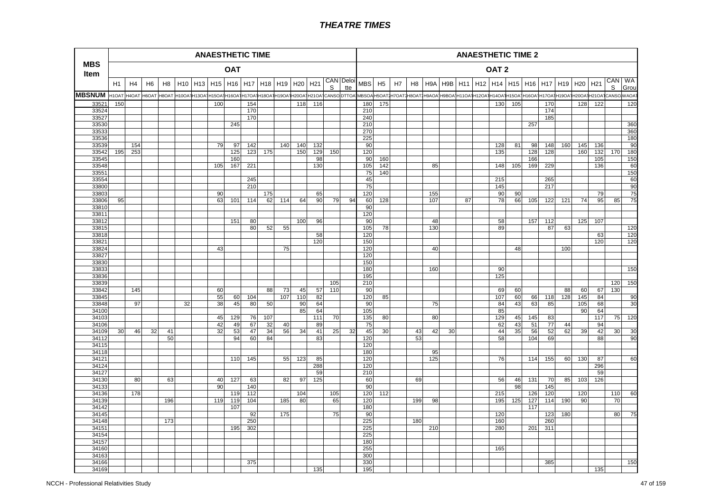| <b>MBS</b><br><b>OAT</b><br>OAT <sub>2</sub><br>Item<br>CAN Deloi<br>CAN WA<br>H <sub>10</sub>   H <sub>13</sub>   H <sub>15</sub>   H <sub>16</sub>   H <sub>17</sub><br>H <sub>18</sub> H <sub>19</sub> H <sub>20</sub> H <sub>21</sub><br><b>MBS</b><br>H <sub>5</sub><br>H7<br>H <sub>8</sub><br>H9B   H11   H12   H14   H15   H16   H17   H19   H20   H21<br>H1<br>H4<br>H <sub>6</sub><br>H <sub>8</sub><br>H <sub>9</sub> A<br>S<br>Grou<br>S<br>tte<br><b>MBSNUM</b><br>H1OAT H4OAT H6OAT H8OAT H10OATH13OATH15OATH16OATH17OATH18OATH19OATH20OATH21OATCANSO DTTOA<br>MBSOA H5OAT1H7OAT1H8OAT1H9AOA H9BOA H1AOATH14OATH14OATH15OATH17OATH17OATH19OATH20OATH21OATCANSOKWAOA<br>150<br>122<br>33521<br>100<br>154<br>118<br>116<br>180<br>175<br>130<br>105<br>170<br>128<br>120<br>33524<br>170<br>210<br>174<br>33527<br>170<br>240<br>185<br>33530<br>210<br>360<br>245<br>257<br>360<br>33533<br>270<br>180<br>33536<br>225<br>90<br>33539<br>79<br>90<br>160<br>97<br>142<br>140<br>128<br>81<br>98<br>148<br>145<br>136<br>154<br>140<br>132<br>33542<br>195<br>253<br>125<br>123<br>175<br>150<br>150<br>120<br>135<br>128<br>128<br>160<br>132<br>170<br>180<br>129<br>150<br>33545<br>160<br>98<br>90 <sub>1</sub><br>160<br>166<br>105<br>33548<br>167<br>221<br>130<br>142<br>105<br>169<br>229<br>136<br>60<br>105<br>105<br>85<br>148<br>150<br>33551<br>75<br>140<br>60<br>45<br>215<br>265<br>33554<br>245<br>75<br>90<br>217<br>33800<br>210<br>145<br>75<br>33803<br>175<br>120<br>90<br>79<br>90<br>155<br>90<br>65<br>79<br>94<br>87<br>95<br>75<br>33806<br>95<br>63<br>101<br>114<br>62<br>114<br>64<br>90<br>60<br>128<br>107<br>78<br>66<br>105<br>122<br>121<br>74<br>85<br>33810<br>90<br>120<br>33811<br>33812<br>151<br>80<br>100<br>90<br>48<br>58<br>157<br>112<br>125<br>107<br>96<br>33815<br>80<br>52<br>55<br>105<br>78<br>130<br>89<br>87<br>63<br>120<br>120<br>33818<br>58<br>120<br>63<br>33821<br>150<br>120<br>120<br>120<br>75<br>33824<br>43<br>120<br>40<br>48<br>100<br>33827<br>120<br>33830<br>150<br>33833<br>160<br>150<br>180<br>90<br>33836<br>195<br>125<br>210<br>150<br>33839<br>105<br>120<br>33842<br>88<br>73<br>88<br>67<br>130<br>145<br>60<br>45<br>57<br>110<br>90<br>69<br>60<br>60<br>90<br>33845<br>60<br>104<br>107<br>110<br>120<br>85<br>60<br>66<br>118<br>128<br>145<br>84<br>55<br>82<br>107<br>33848<br>32<br>38<br>80<br>50<br>90<br>43<br>63<br>85<br>68<br>30<br>97<br>45<br>90<br>75<br>84<br>105<br>64<br>34100<br>85<br>105<br>64<br>64<br>85<br>90<br>34103<br>129<br>76<br>107<br>111<br>70<br>80<br>80<br>129<br>145<br>83<br>117<br>75<br>120<br>45<br>135<br>45<br>34106<br>42<br>67<br>32<br>40<br>75<br>62<br>43<br>51<br>77<br>44<br>94<br>49<br>89<br>52<br>32<br>56<br>25<br>32<br>45<br>30<br>30<br>35<br>56<br>62<br>30<br>34109<br>30<br>46<br>32<br>41<br>53<br>47<br>34<br>34<br>41<br>43<br>42<br>44<br>39<br>42<br>30<br>60<br>50<br>84<br>83<br>120<br>53<br>58<br>104<br>69<br>88<br>90<br>34112<br>94<br>120<br>34115<br>34118<br>180<br>95<br>34121<br>145<br>55<br>123<br>120<br>125<br>76<br>155<br>60<br>130<br>87<br>60<br>110<br>85<br>114<br>34124<br>288<br>120<br>296<br>34127<br>59<br>210<br>59<br>82<br>125<br>60<br>131<br>70<br>103<br>126<br>34130<br>80<br>63<br>40<br>127<br>63<br>97<br>69<br>56<br>46<br>85<br>90<br>145<br>34133<br>140<br>90<br>98<br>120<br>60<br>34136<br>178<br>104<br>105<br>120<br>112<br>215<br>126<br>120<br>110<br>119<br>112<br>104<br>80<br>98<br>127<br>114<br>190<br>90<br>70<br>34139<br>119<br>119<br>185<br>65<br>120<br>199<br>195<br>125<br>196<br>34142<br>107<br>180<br>117<br>34145<br>175<br>75<br>90<br>180<br>80<br>75<br>92<br>120<br>123<br>34148<br>173<br>250<br>225<br>180<br>160<br>260<br>225<br>201<br>34151<br>195<br>302<br>210<br>280<br>311<br>34154<br>225<br>180<br>34157<br>34160<br>255<br>165<br>34163<br>300<br>34166<br>330<br>150<br>375<br>385 |       | <b>ANAESTHETIC TIME</b> |  |  |  |  |  |  |  |  |  |  |     |  |     |  |  |  |  | <b>ANAESTHETIC TIME 2</b> |  |  |     |  |
|-------------------------------------------------------------------------------------------------------------------------------------------------------------------------------------------------------------------------------------------------------------------------------------------------------------------------------------------------------------------------------------------------------------------------------------------------------------------------------------------------------------------------------------------------------------------------------------------------------------------------------------------------------------------------------------------------------------------------------------------------------------------------------------------------------------------------------------------------------------------------------------------------------------------------------------------------------------------------------------------------------------------------------------------------------------------------------------------------------------------------------------------------------------------------------------------------------------------------------------------------------------------------------------------------------------------------------------------------------------------------------------------------------------------------------------------------------------------------------------------------------------------------------------------------------------------------------------------------------------------------------------------------------------------------------------------------------------------------------------------------------------------------------------------------------------------------------------------------------------------------------------------------------------------------------------------------------------------------------------------------------------------------------------------------------------------------------------------------------------------------------------------------------------------------------------------------------------------------------------------------------------------------------------------------------------------------------------------------------------------------------------------------------------------------------------------------------------------------------------------------------------------------------------------------------------------------------------------------------------------------------------------------------------------------------------------------------------------------------------------------------------------------------------------------------------------------------------------------------------------------------------------------------------------------------------------------------------------------------------------------------------------------------------------------------------------------------------------------------------------------------------------------------------------------------------------------------------------------------------------------------------------------------------------------------------------------------------------------------------------------------------------------------------------------------------------------------------------------------------------------------------------------------------------------------------------------------------------------------------------------------------------------------------------------------------------------------------------------------------------------------------------------------------------------------------------------------------------------------------------------------------------------------------------------------------|-------|-------------------------|--|--|--|--|--|--|--|--|--|--|-----|--|-----|--|--|--|--|---------------------------|--|--|-----|--|
|                                                                                                                                                                                                                                                                                                                                                                                                                                                                                                                                                                                                                                                                                                                                                                                                                                                                                                                                                                                                                                                                                                                                                                                                                                                                                                                                                                                                                                                                                                                                                                                                                                                                                                                                                                                                                                                                                                                                                                                                                                                                                                                                                                                                                                                                                                                                                                                                                                                                                                                                                                                                                                                                                                                                                                                                                                                                                                                                                                                                                                                                                                                                                                                                                                                                                                                                                                                                                                                                                                                                                                                                                                                                                                                                                                                                                                                                                                                                     |       |                         |  |  |  |  |  |  |  |  |  |  |     |  |     |  |  |  |  |                           |  |  |     |  |
|                                                                                                                                                                                                                                                                                                                                                                                                                                                                                                                                                                                                                                                                                                                                                                                                                                                                                                                                                                                                                                                                                                                                                                                                                                                                                                                                                                                                                                                                                                                                                                                                                                                                                                                                                                                                                                                                                                                                                                                                                                                                                                                                                                                                                                                                                                                                                                                                                                                                                                                                                                                                                                                                                                                                                                                                                                                                                                                                                                                                                                                                                                                                                                                                                                                                                                                                                                                                                                                                                                                                                                                                                                                                                                                                                                                                                                                                                                                                     |       |                         |  |  |  |  |  |  |  |  |  |  |     |  |     |  |  |  |  |                           |  |  |     |  |
|                                                                                                                                                                                                                                                                                                                                                                                                                                                                                                                                                                                                                                                                                                                                                                                                                                                                                                                                                                                                                                                                                                                                                                                                                                                                                                                                                                                                                                                                                                                                                                                                                                                                                                                                                                                                                                                                                                                                                                                                                                                                                                                                                                                                                                                                                                                                                                                                                                                                                                                                                                                                                                                                                                                                                                                                                                                                                                                                                                                                                                                                                                                                                                                                                                                                                                                                                                                                                                                                                                                                                                                                                                                                                                                                                                                                                                                                                                                                     |       |                         |  |  |  |  |  |  |  |  |  |  |     |  |     |  |  |  |  |                           |  |  |     |  |
|                                                                                                                                                                                                                                                                                                                                                                                                                                                                                                                                                                                                                                                                                                                                                                                                                                                                                                                                                                                                                                                                                                                                                                                                                                                                                                                                                                                                                                                                                                                                                                                                                                                                                                                                                                                                                                                                                                                                                                                                                                                                                                                                                                                                                                                                                                                                                                                                                                                                                                                                                                                                                                                                                                                                                                                                                                                                                                                                                                                                                                                                                                                                                                                                                                                                                                                                                                                                                                                                                                                                                                                                                                                                                                                                                                                                                                                                                                                                     |       |                         |  |  |  |  |  |  |  |  |  |  |     |  |     |  |  |  |  |                           |  |  |     |  |
|                                                                                                                                                                                                                                                                                                                                                                                                                                                                                                                                                                                                                                                                                                                                                                                                                                                                                                                                                                                                                                                                                                                                                                                                                                                                                                                                                                                                                                                                                                                                                                                                                                                                                                                                                                                                                                                                                                                                                                                                                                                                                                                                                                                                                                                                                                                                                                                                                                                                                                                                                                                                                                                                                                                                                                                                                                                                                                                                                                                                                                                                                                                                                                                                                                                                                                                                                                                                                                                                                                                                                                                                                                                                                                                                                                                                                                                                                                                                     |       |                         |  |  |  |  |  |  |  |  |  |  |     |  |     |  |  |  |  |                           |  |  |     |  |
|                                                                                                                                                                                                                                                                                                                                                                                                                                                                                                                                                                                                                                                                                                                                                                                                                                                                                                                                                                                                                                                                                                                                                                                                                                                                                                                                                                                                                                                                                                                                                                                                                                                                                                                                                                                                                                                                                                                                                                                                                                                                                                                                                                                                                                                                                                                                                                                                                                                                                                                                                                                                                                                                                                                                                                                                                                                                                                                                                                                                                                                                                                                                                                                                                                                                                                                                                                                                                                                                                                                                                                                                                                                                                                                                                                                                                                                                                                                                     |       |                         |  |  |  |  |  |  |  |  |  |  |     |  |     |  |  |  |  |                           |  |  |     |  |
|                                                                                                                                                                                                                                                                                                                                                                                                                                                                                                                                                                                                                                                                                                                                                                                                                                                                                                                                                                                                                                                                                                                                                                                                                                                                                                                                                                                                                                                                                                                                                                                                                                                                                                                                                                                                                                                                                                                                                                                                                                                                                                                                                                                                                                                                                                                                                                                                                                                                                                                                                                                                                                                                                                                                                                                                                                                                                                                                                                                                                                                                                                                                                                                                                                                                                                                                                                                                                                                                                                                                                                                                                                                                                                                                                                                                                                                                                                                                     |       |                         |  |  |  |  |  |  |  |  |  |  |     |  |     |  |  |  |  |                           |  |  |     |  |
|                                                                                                                                                                                                                                                                                                                                                                                                                                                                                                                                                                                                                                                                                                                                                                                                                                                                                                                                                                                                                                                                                                                                                                                                                                                                                                                                                                                                                                                                                                                                                                                                                                                                                                                                                                                                                                                                                                                                                                                                                                                                                                                                                                                                                                                                                                                                                                                                                                                                                                                                                                                                                                                                                                                                                                                                                                                                                                                                                                                                                                                                                                                                                                                                                                                                                                                                                                                                                                                                                                                                                                                                                                                                                                                                                                                                                                                                                                                                     |       |                         |  |  |  |  |  |  |  |  |  |  |     |  |     |  |  |  |  |                           |  |  |     |  |
|                                                                                                                                                                                                                                                                                                                                                                                                                                                                                                                                                                                                                                                                                                                                                                                                                                                                                                                                                                                                                                                                                                                                                                                                                                                                                                                                                                                                                                                                                                                                                                                                                                                                                                                                                                                                                                                                                                                                                                                                                                                                                                                                                                                                                                                                                                                                                                                                                                                                                                                                                                                                                                                                                                                                                                                                                                                                                                                                                                                                                                                                                                                                                                                                                                                                                                                                                                                                                                                                                                                                                                                                                                                                                                                                                                                                                                                                                                                                     |       |                         |  |  |  |  |  |  |  |  |  |  |     |  |     |  |  |  |  |                           |  |  |     |  |
|                                                                                                                                                                                                                                                                                                                                                                                                                                                                                                                                                                                                                                                                                                                                                                                                                                                                                                                                                                                                                                                                                                                                                                                                                                                                                                                                                                                                                                                                                                                                                                                                                                                                                                                                                                                                                                                                                                                                                                                                                                                                                                                                                                                                                                                                                                                                                                                                                                                                                                                                                                                                                                                                                                                                                                                                                                                                                                                                                                                                                                                                                                                                                                                                                                                                                                                                                                                                                                                                                                                                                                                                                                                                                                                                                                                                                                                                                                                                     |       |                         |  |  |  |  |  |  |  |  |  |  |     |  |     |  |  |  |  |                           |  |  |     |  |
|                                                                                                                                                                                                                                                                                                                                                                                                                                                                                                                                                                                                                                                                                                                                                                                                                                                                                                                                                                                                                                                                                                                                                                                                                                                                                                                                                                                                                                                                                                                                                                                                                                                                                                                                                                                                                                                                                                                                                                                                                                                                                                                                                                                                                                                                                                                                                                                                                                                                                                                                                                                                                                                                                                                                                                                                                                                                                                                                                                                                                                                                                                                                                                                                                                                                                                                                                                                                                                                                                                                                                                                                                                                                                                                                                                                                                                                                                                                                     |       |                         |  |  |  |  |  |  |  |  |  |  |     |  |     |  |  |  |  |                           |  |  |     |  |
|                                                                                                                                                                                                                                                                                                                                                                                                                                                                                                                                                                                                                                                                                                                                                                                                                                                                                                                                                                                                                                                                                                                                                                                                                                                                                                                                                                                                                                                                                                                                                                                                                                                                                                                                                                                                                                                                                                                                                                                                                                                                                                                                                                                                                                                                                                                                                                                                                                                                                                                                                                                                                                                                                                                                                                                                                                                                                                                                                                                                                                                                                                                                                                                                                                                                                                                                                                                                                                                                                                                                                                                                                                                                                                                                                                                                                                                                                                                                     |       |                         |  |  |  |  |  |  |  |  |  |  |     |  |     |  |  |  |  |                           |  |  |     |  |
|                                                                                                                                                                                                                                                                                                                                                                                                                                                                                                                                                                                                                                                                                                                                                                                                                                                                                                                                                                                                                                                                                                                                                                                                                                                                                                                                                                                                                                                                                                                                                                                                                                                                                                                                                                                                                                                                                                                                                                                                                                                                                                                                                                                                                                                                                                                                                                                                                                                                                                                                                                                                                                                                                                                                                                                                                                                                                                                                                                                                                                                                                                                                                                                                                                                                                                                                                                                                                                                                                                                                                                                                                                                                                                                                                                                                                                                                                                                                     |       |                         |  |  |  |  |  |  |  |  |  |  |     |  |     |  |  |  |  |                           |  |  |     |  |
|                                                                                                                                                                                                                                                                                                                                                                                                                                                                                                                                                                                                                                                                                                                                                                                                                                                                                                                                                                                                                                                                                                                                                                                                                                                                                                                                                                                                                                                                                                                                                                                                                                                                                                                                                                                                                                                                                                                                                                                                                                                                                                                                                                                                                                                                                                                                                                                                                                                                                                                                                                                                                                                                                                                                                                                                                                                                                                                                                                                                                                                                                                                                                                                                                                                                                                                                                                                                                                                                                                                                                                                                                                                                                                                                                                                                                                                                                                                                     |       |                         |  |  |  |  |  |  |  |  |  |  |     |  |     |  |  |  |  |                           |  |  |     |  |
|                                                                                                                                                                                                                                                                                                                                                                                                                                                                                                                                                                                                                                                                                                                                                                                                                                                                                                                                                                                                                                                                                                                                                                                                                                                                                                                                                                                                                                                                                                                                                                                                                                                                                                                                                                                                                                                                                                                                                                                                                                                                                                                                                                                                                                                                                                                                                                                                                                                                                                                                                                                                                                                                                                                                                                                                                                                                                                                                                                                                                                                                                                                                                                                                                                                                                                                                                                                                                                                                                                                                                                                                                                                                                                                                                                                                                                                                                                                                     |       |                         |  |  |  |  |  |  |  |  |  |  |     |  |     |  |  |  |  |                           |  |  |     |  |
|                                                                                                                                                                                                                                                                                                                                                                                                                                                                                                                                                                                                                                                                                                                                                                                                                                                                                                                                                                                                                                                                                                                                                                                                                                                                                                                                                                                                                                                                                                                                                                                                                                                                                                                                                                                                                                                                                                                                                                                                                                                                                                                                                                                                                                                                                                                                                                                                                                                                                                                                                                                                                                                                                                                                                                                                                                                                                                                                                                                                                                                                                                                                                                                                                                                                                                                                                                                                                                                                                                                                                                                                                                                                                                                                                                                                                                                                                                                                     |       |                         |  |  |  |  |  |  |  |  |  |  |     |  |     |  |  |  |  |                           |  |  |     |  |
|                                                                                                                                                                                                                                                                                                                                                                                                                                                                                                                                                                                                                                                                                                                                                                                                                                                                                                                                                                                                                                                                                                                                                                                                                                                                                                                                                                                                                                                                                                                                                                                                                                                                                                                                                                                                                                                                                                                                                                                                                                                                                                                                                                                                                                                                                                                                                                                                                                                                                                                                                                                                                                                                                                                                                                                                                                                                                                                                                                                                                                                                                                                                                                                                                                                                                                                                                                                                                                                                                                                                                                                                                                                                                                                                                                                                                                                                                                                                     |       |                         |  |  |  |  |  |  |  |  |  |  |     |  |     |  |  |  |  |                           |  |  |     |  |
|                                                                                                                                                                                                                                                                                                                                                                                                                                                                                                                                                                                                                                                                                                                                                                                                                                                                                                                                                                                                                                                                                                                                                                                                                                                                                                                                                                                                                                                                                                                                                                                                                                                                                                                                                                                                                                                                                                                                                                                                                                                                                                                                                                                                                                                                                                                                                                                                                                                                                                                                                                                                                                                                                                                                                                                                                                                                                                                                                                                                                                                                                                                                                                                                                                                                                                                                                                                                                                                                                                                                                                                                                                                                                                                                                                                                                                                                                                                                     |       |                         |  |  |  |  |  |  |  |  |  |  |     |  |     |  |  |  |  |                           |  |  |     |  |
|                                                                                                                                                                                                                                                                                                                                                                                                                                                                                                                                                                                                                                                                                                                                                                                                                                                                                                                                                                                                                                                                                                                                                                                                                                                                                                                                                                                                                                                                                                                                                                                                                                                                                                                                                                                                                                                                                                                                                                                                                                                                                                                                                                                                                                                                                                                                                                                                                                                                                                                                                                                                                                                                                                                                                                                                                                                                                                                                                                                                                                                                                                                                                                                                                                                                                                                                                                                                                                                                                                                                                                                                                                                                                                                                                                                                                                                                                                                                     |       |                         |  |  |  |  |  |  |  |  |  |  |     |  |     |  |  |  |  |                           |  |  |     |  |
|                                                                                                                                                                                                                                                                                                                                                                                                                                                                                                                                                                                                                                                                                                                                                                                                                                                                                                                                                                                                                                                                                                                                                                                                                                                                                                                                                                                                                                                                                                                                                                                                                                                                                                                                                                                                                                                                                                                                                                                                                                                                                                                                                                                                                                                                                                                                                                                                                                                                                                                                                                                                                                                                                                                                                                                                                                                                                                                                                                                                                                                                                                                                                                                                                                                                                                                                                                                                                                                                                                                                                                                                                                                                                                                                                                                                                                                                                                                                     |       |                         |  |  |  |  |  |  |  |  |  |  |     |  |     |  |  |  |  |                           |  |  |     |  |
|                                                                                                                                                                                                                                                                                                                                                                                                                                                                                                                                                                                                                                                                                                                                                                                                                                                                                                                                                                                                                                                                                                                                                                                                                                                                                                                                                                                                                                                                                                                                                                                                                                                                                                                                                                                                                                                                                                                                                                                                                                                                                                                                                                                                                                                                                                                                                                                                                                                                                                                                                                                                                                                                                                                                                                                                                                                                                                                                                                                                                                                                                                                                                                                                                                                                                                                                                                                                                                                                                                                                                                                                                                                                                                                                                                                                                                                                                                                                     |       |                         |  |  |  |  |  |  |  |  |  |  |     |  |     |  |  |  |  |                           |  |  |     |  |
|                                                                                                                                                                                                                                                                                                                                                                                                                                                                                                                                                                                                                                                                                                                                                                                                                                                                                                                                                                                                                                                                                                                                                                                                                                                                                                                                                                                                                                                                                                                                                                                                                                                                                                                                                                                                                                                                                                                                                                                                                                                                                                                                                                                                                                                                                                                                                                                                                                                                                                                                                                                                                                                                                                                                                                                                                                                                                                                                                                                                                                                                                                                                                                                                                                                                                                                                                                                                                                                                                                                                                                                                                                                                                                                                                                                                                                                                                                                                     |       |                         |  |  |  |  |  |  |  |  |  |  |     |  |     |  |  |  |  |                           |  |  |     |  |
|                                                                                                                                                                                                                                                                                                                                                                                                                                                                                                                                                                                                                                                                                                                                                                                                                                                                                                                                                                                                                                                                                                                                                                                                                                                                                                                                                                                                                                                                                                                                                                                                                                                                                                                                                                                                                                                                                                                                                                                                                                                                                                                                                                                                                                                                                                                                                                                                                                                                                                                                                                                                                                                                                                                                                                                                                                                                                                                                                                                                                                                                                                                                                                                                                                                                                                                                                                                                                                                                                                                                                                                                                                                                                                                                                                                                                                                                                                                                     |       |                         |  |  |  |  |  |  |  |  |  |  |     |  |     |  |  |  |  |                           |  |  |     |  |
|                                                                                                                                                                                                                                                                                                                                                                                                                                                                                                                                                                                                                                                                                                                                                                                                                                                                                                                                                                                                                                                                                                                                                                                                                                                                                                                                                                                                                                                                                                                                                                                                                                                                                                                                                                                                                                                                                                                                                                                                                                                                                                                                                                                                                                                                                                                                                                                                                                                                                                                                                                                                                                                                                                                                                                                                                                                                                                                                                                                                                                                                                                                                                                                                                                                                                                                                                                                                                                                                                                                                                                                                                                                                                                                                                                                                                                                                                                                                     |       |                         |  |  |  |  |  |  |  |  |  |  |     |  |     |  |  |  |  |                           |  |  |     |  |
|                                                                                                                                                                                                                                                                                                                                                                                                                                                                                                                                                                                                                                                                                                                                                                                                                                                                                                                                                                                                                                                                                                                                                                                                                                                                                                                                                                                                                                                                                                                                                                                                                                                                                                                                                                                                                                                                                                                                                                                                                                                                                                                                                                                                                                                                                                                                                                                                                                                                                                                                                                                                                                                                                                                                                                                                                                                                                                                                                                                                                                                                                                                                                                                                                                                                                                                                                                                                                                                                                                                                                                                                                                                                                                                                                                                                                                                                                                                                     |       |                         |  |  |  |  |  |  |  |  |  |  |     |  |     |  |  |  |  |                           |  |  |     |  |
|                                                                                                                                                                                                                                                                                                                                                                                                                                                                                                                                                                                                                                                                                                                                                                                                                                                                                                                                                                                                                                                                                                                                                                                                                                                                                                                                                                                                                                                                                                                                                                                                                                                                                                                                                                                                                                                                                                                                                                                                                                                                                                                                                                                                                                                                                                                                                                                                                                                                                                                                                                                                                                                                                                                                                                                                                                                                                                                                                                                                                                                                                                                                                                                                                                                                                                                                                                                                                                                                                                                                                                                                                                                                                                                                                                                                                                                                                                                                     |       |                         |  |  |  |  |  |  |  |  |  |  |     |  |     |  |  |  |  |                           |  |  |     |  |
|                                                                                                                                                                                                                                                                                                                                                                                                                                                                                                                                                                                                                                                                                                                                                                                                                                                                                                                                                                                                                                                                                                                                                                                                                                                                                                                                                                                                                                                                                                                                                                                                                                                                                                                                                                                                                                                                                                                                                                                                                                                                                                                                                                                                                                                                                                                                                                                                                                                                                                                                                                                                                                                                                                                                                                                                                                                                                                                                                                                                                                                                                                                                                                                                                                                                                                                                                                                                                                                                                                                                                                                                                                                                                                                                                                                                                                                                                                                                     |       |                         |  |  |  |  |  |  |  |  |  |  |     |  |     |  |  |  |  |                           |  |  |     |  |
|                                                                                                                                                                                                                                                                                                                                                                                                                                                                                                                                                                                                                                                                                                                                                                                                                                                                                                                                                                                                                                                                                                                                                                                                                                                                                                                                                                                                                                                                                                                                                                                                                                                                                                                                                                                                                                                                                                                                                                                                                                                                                                                                                                                                                                                                                                                                                                                                                                                                                                                                                                                                                                                                                                                                                                                                                                                                                                                                                                                                                                                                                                                                                                                                                                                                                                                                                                                                                                                                                                                                                                                                                                                                                                                                                                                                                                                                                                                                     |       |                         |  |  |  |  |  |  |  |  |  |  |     |  |     |  |  |  |  |                           |  |  |     |  |
|                                                                                                                                                                                                                                                                                                                                                                                                                                                                                                                                                                                                                                                                                                                                                                                                                                                                                                                                                                                                                                                                                                                                                                                                                                                                                                                                                                                                                                                                                                                                                                                                                                                                                                                                                                                                                                                                                                                                                                                                                                                                                                                                                                                                                                                                                                                                                                                                                                                                                                                                                                                                                                                                                                                                                                                                                                                                                                                                                                                                                                                                                                                                                                                                                                                                                                                                                                                                                                                                                                                                                                                                                                                                                                                                                                                                                                                                                                                                     |       |                         |  |  |  |  |  |  |  |  |  |  |     |  |     |  |  |  |  |                           |  |  |     |  |
|                                                                                                                                                                                                                                                                                                                                                                                                                                                                                                                                                                                                                                                                                                                                                                                                                                                                                                                                                                                                                                                                                                                                                                                                                                                                                                                                                                                                                                                                                                                                                                                                                                                                                                                                                                                                                                                                                                                                                                                                                                                                                                                                                                                                                                                                                                                                                                                                                                                                                                                                                                                                                                                                                                                                                                                                                                                                                                                                                                                                                                                                                                                                                                                                                                                                                                                                                                                                                                                                                                                                                                                                                                                                                                                                                                                                                                                                                                                                     |       |                         |  |  |  |  |  |  |  |  |  |  |     |  |     |  |  |  |  |                           |  |  |     |  |
|                                                                                                                                                                                                                                                                                                                                                                                                                                                                                                                                                                                                                                                                                                                                                                                                                                                                                                                                                                                                                                                                                                                                                                                                                                                                                                                                                                                                                                                                                                                                                                                                                                                                                                                                                                                                                                                                                                                                                                                                                                                                                                                                                                                                                                                                                                                                                                                                                                                                                                                                                                                                                                                                                                                                                                                                                                                                                                                                                                                                                                                                                                                                                                                                                                                                                                                                                                                                                                                                                                                                                                                                                                                                                                                                                                                                                                                                                                                                     |       |                         |  |  |  |  |  |  |  |  |  |  |     |  |     |  |  |  |  |                           |  |  |     |  |
|                                                                                                                                                                                                                                                                                                                                                                                                                                                                                                                                                                                                                                                                                                                                                                                                                                                                                                                                                                                                                                                                                                                                                                                                                                                                                                                                                                                                                                                                                                                                                                                                                                                                                                                                                                                                                                                                                                                                                                                                                                                                                                                                                                                                                                                                                                                                                                                                                                                                                                                                                                                                                                                                                                                                                                                                                                                                                                                                                                                                                                                                                                                                                                                                                                                                                                                                                                                                                                                                                                                                                                                                                                                                                                                                                                                                                                                                                                                                     |       |                         |  |  |  |  |  |  |  |  |  |  |     |  |     |  |  |  |  |                           |  |  |     |  |
|                                                                                                                                                                                                                                                                                                                                                                                                                                                                                                                                                                                                                                                                                                                                                                                                                                                                                                                                                                                                                                                                                                                                                                                                                                                                                                                                                                                                                                                                                                                                                                                                                                                                                                                                                                                                                                                                                                                                                                                                                                                                                                                                                                                                                                                                                                                                                                                                                                                                                                                                                                                                                                                                                                                                                                                                                                                                                                                                                                                                                                                                                                                                                                                                                                                                                                                                                                                                                                                                                                                                                                                                                                                                                                                                                                                                                                                                                                                                     |       |                         |  |  |  |  |  |  |  |  |  |  |     |  |     |  |  |  |  |                           |  |  |     |  |
|                                                                                                                                                                                                                                                                                                                                                                                                                                                                                                                                                                                                                                                                                                                                                                                                                                                                                                                                                                                                                                                                                                                                                                                                                                                                                                                                                                                                                                                                                                                                                                                                                                                                                                                                                                                                                                                                                                                                                                                                                                                                                                                                                                                                                                                                                                                                                                                                                                                                                                                                                                                                                                                                                                                                                                                                                                                                                                                                                                                                                                                                                                                                                                                                                                                                                                                                                                                                                                                                                                                                                                                                                                                                                                                                                                                                                                                                                                                                     |       |                         |  |  |  |  |  |  |  |  |  |  |     |  |     |  |  |  |  |                           |  |  |     |  |
|                                                                                                                                                                                                                                                                                                                                                                                                                                                                                                                                                                                                                                                                                                                                                                                                                                                                                                                                                                                                                                                                                                                                                                                                                                                                                                                                                                                                                                                                                                                                                                                                                                                                                                                                                                                                                                                                                                                                                                                                                                                                                                                                                                                                                                                                                                                                                                                                                                                                                                                                                                                                                                                                                                                                                                                                                                                                                                                                                                                                                                                                                                                                                                                                                                                                                                                                                                                                                                                                                                                                                                                                                                                                                                                                                                                                                                                                                                                                     |       |                         |  |  |  |  |  |  |  |  |  |  |     |  |     |  |  |  |  |                           |  |  |     |  |
|                                                                                                                                                                                                                                                                                                                                                                                                                                                                                                                                                                                                                                                                                                                                                                                                                                                                                                                                                                                                                                                                                                                                                                                                                                                                                                                                                                                                                                                                                                                                                                                                                                                                                                                                                                                                                                                                                                                                                                                                                                                                                                                                                                                                                                                                                                                                                                                                                                                                                                                                                                                                                                                                                                                                                                                                                                                                                                                                                                                                                                                                                                                                                                                                                                                                                                                                                                                                                                                                                                                                                                                                                                                                                                                                                                                                                                                                                                                                     |       |                         |  |  |  |  |  |  |  |  |  |  |     |  |     |  |  |  |  |                           |  |  |     |  |
|                                                                                                                                                                                                                                                                                                                                                                                                                                                                                                                                                                                                                                                                                                                                                                                                                                                                                                                                                                                                                                                                                                                                                                                                                                                                                                                                                                                                                                                                                                                                                                                                                                                                                                                                                                                                                                                                                                                                                                                                                                                                                                                                                                                                                                                                                                                                                                                                                                                                                                                                                                                                                                                                                                                                                                                                                                                                                                                                                                                                                                                                                                                                                                                                                                                                                                                                                                                                                                                                                                                                                                                                                                                                                                                                                                                                                                                                                                                                     |       |                         |  |  |  |  |  |  |  |  |  |  |     |  |     |  |  |  |  |                           |  |  |     |  |
|                                                                                                                                                                                                                                                                                                                                                                                                                                                                                                                                                                                                                                                                                                                                                                                                                                                                                                                                                                                                                                                                                                                                                                                                                                                                                                                                                                                                                                                                                                                                                                                                                                                                                                                                                                                                                                                                                                                                                                                                                                                                                                                                                                                                                                                                                                                                                                                                                                                                                                                                                                                                                                                                                                                                                                                                                                                                                                                                                                                                                                                                                                                                                                                                                                                                                                                                                                                                                                                                                                                                                                                                                                                                                                                                                                                                                                                                                                                                     |       |                         |  |  |  |  |  |  |  |  |  |  |     |  |     |  |  |  |  |                           |  |  |     |  |
|                                                                                                                                                                                                                                                                                                                                                                                                                                                                                                                                                                                                                                                                                                                                                                                                                                                                                                                                                                                                                                                                                                                                                                                                                                                                                                                                                                                                                                                                                                                                                                                                                                                                                                                                                                                                                                                                                                                                                                                                                                                                                                                                                                                                                                                                                                                                                                                                                                                                                                                                                                                                                                                                                                                                                                                                                                                                                                                                                                                                                                                                                                                                                                                                                                                                                                                                                                                                                                                                                                                                                                                                                                                                                                                                                                                                                                                                                                                                     |       |                         |  |  |  |  |  |  |  |  |  |  |     |  |     |  |  |  |  |                           |  |  |     |  |
|                                                                                                                                                                                                                                                                                                                                                                                                                                                                                                                                                                                                                                                                                                                                                                                                                                                                                                                                                                                                                                                                                                                                                                                                                                                                                                                                                                                                                                                                                                                                                                                                                                                                                                                                                                                                                                                                                                                                                                                                                                                                                                                                                                                                                                                                                                                                                                                                                                                                                                                                                                                                                                                                                                                                                                                                                                                                                                                                                                                                                                                                                                                                                                                                                                                                                                                                                                                                                                                                                                                                                                                                                                                                                                                                                                                                                                                                                                                                     |       |                         |  |  |  |  |  |  |  |  |  |  |     |  |     |  |  |  |  |                           |  |  |     |  |
|                                                                                                                                                                                                                                                                                                                                                                                                                                                                                                                                                                                                                                                                                                                                                                                                                                                                                                                                                                                                                                                                                                                                                                                                                                                                                                                                                                                                                                                                                                                                                                                                                                                                                                                                                                                                                                                                                                                                                                                                                                                                                                                                                                                                                                                                                                                                                                                                                                                                                                                                                                                                                                                                                                                                                                                                                                                                                                                                                                                                                                                                                                                                                                                                                                                                                                                                                                                                                                                                                                                                                                                                                                                                                                                                                                                                                                                                                                                                     |       |                         |  |  |  |  |  |  |  |  |  |  |     |  |     |  |  |  |  |                           |  |  |     |  |
|                                                                                                                                                                                                                                                                                                                                                                                                                                                                                                                                                                                                                                                                                                                                                                                                                                                                                                                                                                                                                                                                                                                                                                                                                                                                                                                                                                                                                                                                                                                                                                                                                                                                                                                                                                                                                                                                                                                                                                                                                                                                                                                                                                                                                                                                                                                                                                                                                                                                                                                                                                                                                                                                                                                                                                                                                                                                                                                                                                                                                                                                                                                                                                                                                                                                                                                                                                                                                                                                                                                                                                                                                                                                                                                                                                                                                                                                                                                                     |       |                         |  |  |  |  |  |  |  |  |  |  |     |  |     |  |  |  |  |                           |  |  |     |  |
|                                                                                                                                                                                                                                                                                                                                                                                                                                                                                                                                                                                                                                                                                                                                                                                                                                                                                                                                                                                                                                                                                                                                                                                                                                                                                                                                                                                                                                                                                                                                                                                                                                                                                                                                                                                                                                                                                                                                                                                                                                                                                                                                                                                                                                                                                                                                                                                                                                                                                                                                                                                                                                                                                                                                                                                                                                                                                                                                                                                                                                                                                                                                                                                                                                                                                                                                                                                                                                                                                                                                                                                                                                                                                                                                                                                                                                                                                                                                     |       |                         |  |  |  |  |  |  |  |  |  |  |     |  |     |  |  |  |  |                           |  |  |     |  |
|                                                                                                                                                                                                                                                                                                                                                                                                                                                                                                                                                                                                                                                                                                                                                                                                                                                                                                                                                                                                                                                                                                                                                                                                                                                                                                                                                                                                                                                                                                                                                                                                                                                                                                                                                                                                                                                                                                                                                                                                                                                                                                                                                                                                                                                                                                                                                                                                                                                                                                                                                                                                                                                                                                                                                                                                                                                                                                                                                                                                                                                                                                                                                                                                                                                                                                                                                                                                                                                                                                                                                                                                                                                                                                                                                                                                                                                                                                                                     |       |                         |  |  |  |  |  |  |  |  |  |  |     |  |     |  |  |  |  |                           |  |  |     |  |
|                                                                                                                                                                                                                                                                                                                                                                                                                                                                                                                                                                                                                                                                                                                                                                                                                                                                                                                                                                                                                                                                                                                                                                                                                                                                                                                                                                                                                                                                                                                                                                                                                                                                                                                                                                                                                                                                                                                                                                                                                                                                                                                                                                                                                                                                                                                                                                                                                                                                                                                                                                                                                                                                                                                                                                                                                                                                                                                                                                                                                                                                                                                                                                                                                                                                                                                                                                                                                                                                                                                                                                                                                                                                                                                                                                                                                                                                                                                                     |       |                         |  |  |  |  |  |  |  |  |  |  |     |  |     |  |  |  |  |                           |  |  |     |  |
|                                                                                                                                                                                                                                                                                                                                                                                                                                                                                                                                                                                                                                                                                                                                                                                                                                                                                                                                                                                                                                                                                                                                                                                                                                                                                                                                                                                                                                                                                                                                                                                                                                                                                                                                                                                                                                                                                                                                                                                                                                                                                                                                                                                                                                                                                                                                                                                                                                                                                                                                                                                                                                                                                                                                                                                                                                                                                                                                                                                                                                                                                                                                                                                                                                                                                                                                                                                                                                                                                                                                                                                                                                                                                                                                                                                                                                                                                                                                     |       |                         |  |  |  |  |  |  |  |  |  |  |     |  |     |  |  |  |  |                           |  |  |     |  |
|                                                                                                                                                                                                                                                                                                                                                                                                                                                                                                                                                                                                                                                                                                                                                                                                                                                                                                                                                                                                                                                                                                                                                                                                                                                                                                                                                                                                                                                                                                                                                                                                                                                                                                                                                                                                                                                                                                                                                                                                                                                                                                                                                                                                                                                                                                                                                                                                                                                                                                                                                                                                                                                                                                                                                                                                                                                                                                                                                                                                                                                                                                                                                                                                                                                                                                                                                                                                                                                                                                                                                                                                                                                                                                                                                                                                                                                                                                                                     |       |                         |  |  |  |  |  |  |  |  |  |  |     |  |     |  |  |  |  |                           |  |  |     |  |
|                                                                                                                                                                                                                                                                                                                                                                                                                                                                                                                                                                                                                                                                                                                                                                                                                                                                                                                                                                                                                                                                                                                                                                                                                                                                                                                                                                                                                                                                                                                                                                                                                                                                                                                                                                                                                                                                                                                                                                                                                                                                                                                                                                                                                                                                                                                                                                                                                                                                                                                                                                                                                                                                                                                                                                                                                                                                                                                                                                                                                                                                                                                                                                                                                                                                                                                                                                                                                                                                                                                                                                                                                                                                                                                                                                                                                                                                                                                                     |       |                         |  |  |  |  |  |  |  |  |  |  |     |  |     |  |  |  |  |                           |  |  |     |  |
|                                                                                                                                                                                                                                                                                                                                                                                                                                                                                                                                                                                                                                                                                                                                                                                                                                                                                                                                                                                                                                                                                                                                                                                                                                                                                                                                                                                                                                                                                                                                                                                                                                                                                                                                                                                                                                                                                                                                                                                                                                                                                                                                                                                                                                                                                                                                                                                                                                                                                                                                                                                                                                                                                                                                                                                                                                                                                                                                                                                                                                                                                                                                                                                                                                                                                                                                                                                                                                                                                                                                                                                                                                                                                                                                                                                                                                                                                                                                     |       |                         |  |  |  |  |  |  |  |  |  |  |     |  |     |  |  |  |  |                           |  |  |     |  |
|                                                                                                                                                                                                                                                                                                                                                                                                                                                                                                                                                                                                                                                                                                                                                                                                                                                                                                                                                                                                                                                                                                                                                                                                                                                                                                                                                                                                                                                                                                                                                                                                                                                                                                                                                                                                                                                                                                                                                                                                                                                                                                                                                                                                                                                                                                                                                                                                                                                                                                                                                                                                                                                                                                                                                                                                                                                                                                                                                                                                                                                                                                                                                                                                                                                                                                                                                                                                                                                                                                                                                                                                                                                                                                                                                                                                                                                                                                                                     | 34169 |                         |  |  |  |  |  |  |  |  |  |  | 135 |  | 195 |  |  |  |  |                           |  |  | 135 |  |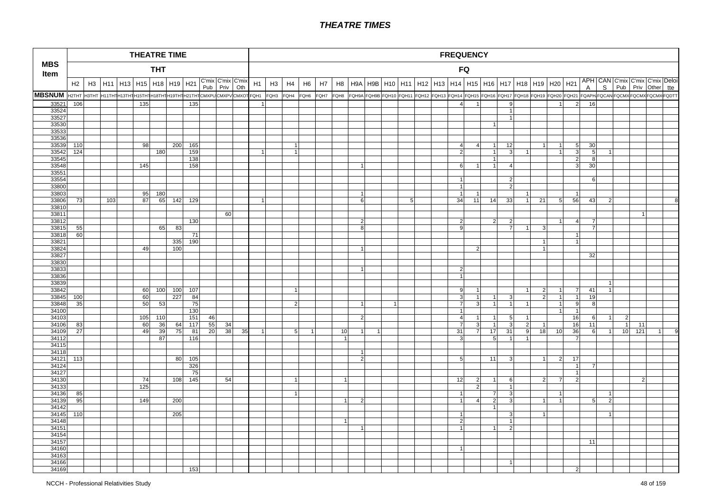|                                                                                                      |     |                            | <b>THEATRE TIME</b>   |     |            |                          |      |     |    |    |                |                |    |                      |                                  |    |                |  | <b>FREQUENCY</b>          |                |                      |                                       |                                                                                                                                                                                                                                |                      |                                  |                |                                                                 |                |   |   |
|------------------------------------------------------------------------------------------------------|-----|----------------------------|-----------------------|-----|------------|--------------------------|------|-----|----|----|----------------|----------------|----|----------------------|----------------------------------|----|----------------|--|---------------------------|----------------|----------------------|---------------------------------------|--------------------------------------------------------------------------------------------------------------------------------------------------------------------------------------------------------------------------------|----------------------|----------------------------------|----------------|-----------------------------------------------------------------|----------------|---|---|
| <b>MBS</b><br>Item                                                                                   |     |                            | <b>THT</b>            |     |            |                          |      |     |    |    |                |                |    |                      |                                  |    |                |  | <b>FQ</b>                 |                |                      |                                       |                                                                                                                                                                                                                                |                      |                                  |                |                                                                 |                |   |   |
|                                                                                                      | H2  | H3 H11 H13 H15 H18 H19 H21 |                       |     |            | C'mix C'mix C'mix<br>Pub | Priv | Oth | H1 | H3 | H4             | H <sub>6</sub> | H7 | H8                   |                                  |    |                |  |                           |                |                      |                                       | H9A   H9B   H10   H11   H12   H13   H14   H15   H16   H17   H18   H19   H20   H21                                                                                                                                              |                      |                                  |                | APH CAN C'mix C'mix C'mix Deloi<br>S   Pub   Priv   Other   tte |                |   |   |
| <b>MBSNUM</b> H2THT H3THT H11THT H13THT H15THT H18THT H19THT H21THT CMXPU CMXPV CMXOT FQH1 FQH3 FQH4 |     |                            |                       |     |            |                          |      |     |    |    |                |                |    |                      |                                  |    |                |  |                           |                |                      |                                       | FQH6 FQH7 FQH8 FQH9A FQH9B FQH10 FQH11 FQH12 FQH12 FQH13 FQH14 FQH15 FQH16 FQH17 FQH18 FQH19 FQH20 FQH21 FQAPH FQCAN FQCMX FQCMX FQCMX FQCMX FQCMX FQCMX FQCMX FQCMX FQCMX FQCMX FQCMX FQCMX FQCMX FQCMX FQCMX FQCMX FQCMX FQC |                      |                                  |                |                                                                 |                |   |   |
| 33521                                                                                                | 106 |                            | 135                   |     | 135        |                          |      |     | 11 |    |                |                |    |                      |                                  |    |                |  | $\vert$ 4                 | 1              |                      | 9                                     | 1                                                                                                                                                                                                                              | 2 <sup>1</sup>       | 16                               |                |                                                                 |                |   |   |
| 33524<br>33527                                                                                       |     |                            |                       |     |            |                          |      |     |    |    |                |                |    |                      |                                  |    |                |  |                           |                |                      | $\mathbf{1}$<br>$\overline{1}$        |                                                                                                                                                                                                                                |                      |                                  |                |                                                                 |                |   |   |
| 33530                                                                                                |     |                            |                       |     |            |                          |      |     |    |    |                |                |    |                      |                                  |    |                |  |                           |                | 1 <sup>1</sup>       |                                       |                                                                                                                                                                                                                                |                      |                                  |                |                                                                 |                |   |   |
| 33533                                                                                                |     |                            |                       |     |            |                          |      |     |    |    |                |                |    |                      |                                  |    |                |  |                           |                |                      |                                       |                                                                                                                                                                                                                                |                      |                                  |                |                                                                 |                |   |   |
| 33536<br>33539                                                                                       | 110 |                            | 98                    | 200 | 165        |                          |      |     |    |    | $\overline{1}$ |                |    |                      |                                  |    |                |  | 4                         | $\vert$ 4      | 1                    | 12                                    | 1 <sup>1</sup><br>1                                                                                                                                                                                                            | 5 <sub>1</sub>       | 30                               |                |                                                                 |                |   |   |
| 33542                                                                                                | 124 |                            | 180                   |     | 159        |                          |      |     | 1  |    | $\vert$ 1      |                |    |                      |                                  |    |                |  | 2                         |                | 1                    | $\mathbf{3}$                          | 1                                                                                                                                                                                                                              | 3 <sup>l</sup>       | $5\phantom{.0}$                  | $\mathbf{1}$   |                                                                 |                |   |   |
| 33545                                                                                                |     |                            |                       |     | 138        |                          |      |     |    |    |                |                |    |                      |                                  |    |                |  |                           |                | 1                    |                                       |                                                                                                                                                                                                                                | $\overline{2}$       | 8                                |                |                                                                 |                |   |   |
| 33548<br>33551                                                                                       |     |                            | 145                   |     | 158        |                          |      |     |    |    |                |                |    |                      | 1 <sup>1</sup>                   |    |                |  | $6 \overline{6}$          | 1              | 1                    | $\overline{4}$                        |                                                                                                                                                                                                                                | 3 <sup>l</sup>       | 30                               |                |                                                                 |                |   |   |
| 33554                                                                                                |     |                            |                       |     |            |                          |      |     |    |    |                |                |    |                      |                                  |    |                |  | 1                         |                |                      | $\overline{2}$                        |                                                                                                                                                                                                                                |                      | $6 \mid$                         |                |                                                                 |                |   |   |
| 33800                                                                                                |     |                            |                       |     |            |                          |      |     |    |    |                |                |    |                      |                                  |    |                |  | $\vert$ 1                 |                |                      | $\overline{2}$                        |                                                                                                                                                                                                                                |                      |                                  |                |                                                                 |                |   |   |
| 33803<br>33806                                                                                       | 73  | 103                        | 95<br>180<br>87<br>65 | 142 | 129        |                          |      |     | 1  |    |                |                |    |                      | $\mathbf{1}$<br>6                |    | 5 <sub>l</sub> |  | 1<br>34                   | 11             | 14                   | -1<br>33<br>1                         | 21<br>$5\overline{5}$                                                                                                                                                                                                          | $\mathbf{1}$<br>56   | 43                               | $\overline{2}$ |                                                                 |                |   | 8 |
| 33810                                                                                                |     |                            |                       |     |            |                          |      |     |    |    |                |                |    |                      |                                  |    |                |  |                           |                |                      |                                       |                                                                                                                                                                                                                                |                      |                                  |                |                                                                 |                |   |   |
| 33811                                                                                                |     |                            |                       |     |            |                          | 60   |     |    |    |                |                |    |                      |                                  |    |                |  |                           |                |                      |                                       |                                                                                                                                                                                                                                |                      |                                  |                |                                                                 | 1              |   |   |
| 33812<br>33815                                                                                       | 55  |                            | 65                    | 83  | 130        |                          |      |     |    |    |                |                |    |                      | 2 <sup>1</sup><br>8 <sup>1</sup> |    |                |  | $\overline{2}$<br>9       |                | 2                    | $\overline{2}$<br>$\overline{7}$<br>1 | 1<br>3 <sup>1</sup>                                                                                                                                                                                                            | $\overline{4}$       | $\overline{7}$<br>$\overline{7}$ |                |                                                                 |                |   |   |
| 33818                                                                                                | 60  |                            |                       |     | 71         |                          |      |     |    |    |                |                |    |                      |                                  |    |                |  |                           |                |                      |                                       |                                                                                                                                                                                                                                | 1                    |                                  |                |                                                                 |                |   |   |
| 33821                                                                                                |     |                            |                       | 335 | 190        |                          |      |     |    |    |                |                |    |                      |                                  |    |                |  |                           |                |                      |                                       | -1                                                                                                                                                                                                                             | 11                   |                                  |                |                                                                 |                |   |   |
| 33824<br>33827                                                                                       |     |                            | 49                    | 100 |            |                          |      |     |    |    |                |                |    |                      | $\mathbf{1}$                     |    |                |  |                           | $\overline{2}$ |                      |                                       | $\mathbf{1}$                                                                                                                                                                                                                   |                      | 32                               |                |                                                                 |                |   |   |
| 33830                                                                                                |     |                            |                       |     |            |                          |      |     |    |    |                |                |    |                      |                                  |    |                |  |                           |                |                      |                                       |                                                                                                                                                                                                                                |                      |                                  |                |                                                                 |                |   |   |
| 33833                                                                                                |     |                            |                       |     |            |                          |      |     |    |    |                |                |    |                      | $\mathbf{1}$                     |    |                |  | $\overline{2}$            |                |                      |                                       |                                                                                                                                                                                                                                |                      |                                  |                |                                                                 |                |   |   |
| 33836<br>33839                                                                                       |     |                            |                       |     |            |                          |      |     |    |    |                |                |    |                      |                                  |    |                |  | $\mathbf{1}$              |                |                      |                                       |                                                                                                                                                                                                                                |                      |                                  | $\overline{1}$ |                                                                 |                |   |   |
| 33842                                                                                                |     |                            | 60<br>100             | 100 | 107        |                          |      |     |    |    | $\overline{1}$ |                |    |                      |                                  |    |                |  | 9                         | $\mathbf{1}$   |                      | 11                                    | 2 <br>1                                                                                                                                                                                                                        | $\overline{7}$       | 41                               | $\mathbf{1}$   |                                                                 |                |   |   |
| 33845                                                                                                | 100 |                            | 60                    | 227 | 84         |                          |      |     |    |    |                |                |    |                      |                                  |    |                |  | 3 <sup>l</sup>            | 1 <sup>1</sup> | 1                    | $\mathbf{3}$                          | 2 <sup>1</sup><br>1                                                                                                                                                                                                            | 1                    | 19                               |                |                                                                 |                |   |   |
| 33848<br>34100                                                                                       | 35  |                            | 53<br>50              |     | 75<br>130  |                          |      |     |    |    | 2 <sup>1</sup> |                |    |                      | $\mathbf{1}$                     | 11 |                |  | $\overline{7}$<br>1       | 3 <sup>1</sup> | 1                    | $\overline{1}$<br>1 <sup>1</sup>      | 11<br>1                                                                                                                                                                                                                        | 9 <br>$\vert$ 1      | 8                                |                |                                                                 |                |   |   |
| 34103                                                                                                |     |                            | 110<br>105            |     | 151        | 46                       |      |     |    |    |                |                |    |                      | 2 <sup>1</sup>                   |    |                |  | $\overline{4}$            | $\vert$ 1      | 11                   | $5\phantom{.0}$<br>1                  |                                                                                                                                                                                                                                | 16                   | 6                                | $\overline{1}$ | $\overline{2}$                                                  |                |   |   |
| 34106                                                                                                | 83  |                            | 60<br>36              | 64  | 117        | 55                       | 34   |     |    |    |                |                |    |                      |                                  |    |                |  | $\overline{7}$            | $\mathbf{3}$   | 1                    | $\overline{2}$<br>$\mathbf{3}$        | $\mathbf{1}$                                                                                                                                                                                                                   | 16                   | 11                               |                | 1                                                               | 11             |   |   |
| 34109<br>34112                                                                                       | 27  |                            | 49<br>39<br>87        | 75  | 81<br>116  | 20                       | 38   | 35  | 1  |    | 5 <sup>1</sup> | 1              |    | 10<br>$\overline{1}$ | $\overline{1}$<br>1 <sup>1</sup> |    |                |  | 31<br>3                   | 7 <sup>1</sup> | 17<br>5 <sub>l</sub> | 31<br> 9 <br>$\overline{1}$<br>1      | 18<br>10                                                                                                                                                                                                                       | 36<br>$\overline{7}$ | 6                                | $\overline{1}$ | 10                                                              | 121            | 1 | 9 |
| 34115                                                                                                |     |                            |                       |     |            |                          |      |     |    |    |                |                |    |                      |                                  |    |                |  |                           |                |                      |                                       |                                                                                                                                                                                                                                |                      |                                  |                |                                                                 |                |   |   |
| 34118                                                                                                |     |                            |                       |     |            |                          |      |     |    |    |                |                |    |                      | $\mathbf{1}$                     |    |                |  |                           |                |                      |                                       |                                                                                                                                                                                                                                |                      |                                  |                |                                                                 |                |   |   |
| 34121<br>34124                                                                                       | 113 |                            |                       | 80  | 105<br>326 |                          |      |     |    |    |                |                |    |                      | $\overline{2}$                   |    |                |  | 5 <sup>1</sup>            |                | 11                   | 3                                     | $\overline{2}$<br>11                                                                                                                                                                                                           | 17<br>1              | <sup>7</sup>                     |                |                                                                 |                |   |   |
| 34127                                                                                                |     |                            |                       |     | 75         |                          |      |     |    |    |                |                |    |                      |                                  |    |                |  |                           |                |                      |                                       |                                                                                                                                                                                                                                | 1                    |                                  |                |                                                                 |                |   |   |
| 34130                                                                                                |     |                            | 74                    | 108 | 145        |                          | 54   |     |    |    | $\overline{1}$ |                |    | $\overline{1}$       |                                  |    |                |  | 12                        | $\overline{2}$ | 1                    | 6                                     | 2 <br>$\overline{7}$                                                                                                                                                                                                           | $\overline{2}$       |                                  |                |                                                                 | $\overline{2}$ |   |   |
| 34133<br>34136                                                                                       | 85  |                            | 125                   |     |            |                          |      |     |    |    | $\overline{1}$ |                |    |                      |                                  |    |                |  | 1                         | $\overline{2}$ | 7                    | $\mathbf{1}$<br>$\mathbf{3}$          | 1                                                                                                                                                                                                                              |                      |                                  | $\mathbf{1}$   |                                                                 |                |   |   |
| 34139                                                                                                | 95  |                            | 149                   | 200 |            |                          |      |     |    |    |                |                |    | 1                    | $\overline{2}$                   |    |                |  | 1                         | $\overline{4}$ | $\vert$ 2            | $\mathbf{3}$                          | 1<br>$\mathbf{1}$                                                                                                                                                                                                              |                      | 5                                | $\overline{2}$ |                                                                 |                |   |   |
| 34142                                                                                                |     |                            |                       |     |            |                          |      |     |    |    |                |                |    |                      |                                  |    |                |  |                           |                | 1                    |                                       |                                                                                                                                                                                                                                |                      |                                  |                |                                                                 |                |   |   |
| 34145<br>34148                                                                                       | 110 |                            |                       | 205 |            |                          |      |     |    |    |                |                |    | 11                   |                                  |    |                |  | $\mathbf{1}$<br>$2 \vert$ |                |                      | $\mathbf{3}$<br>$\mathbf{1}$          | $\mathbf{1}$                                                                                                                                                                                                                   |                      |                                  | $\mathbf{1}$   |                                                                 |                |   |   |
| 34151                                                                                                |     |                            |                       |     |            |                          |      |     |    |    |                |                |    |                      | $\mathbf{1}$                     |    |                |  | 1                         |                | 1                    | $\overline{2}$                        |                                                                                                                                                                                                                                |                      |                                  |                |                                                                 |                |   |   |
| 34154                                                                                                |     |                            |                       |     |            |                          |      |     |    |    |                |                |    |                      |                                  |    |                |  |                           |                |                      |                                       |                                                                                                                                                                                                                                |                      |                                  |                |                                                                 |                |   |   |
| 34157<br>34160                                                                                       |     |                            |                       |     |            |                          |      |     |    |    |                |                |    |                      |                                  |    |                |  | $\mathbf{1}$              |                |                      |                                       |                                                                                                                                                                                                                                |                      | 11                               |                |                                                                 |                |   |   |
| 34163                                                                                                |     |                            |                       |     |            |                          |      |     |    |    |                |                |    |                      |                                  |    |                |  |                           |                |                      |                                       |                                                                                                                                                                                                                                |                      |                                  |                |                                                                 |                |   |   |
| 34166                                                                                                |     |                            |                       |     |            |                          |      |     |    |    |                |                |    |                      |                                  |    |                |  |                           |                |                      | $\overline{1}$                        |                                                                                                                                                                                                                                |                      |                                  |                |                                                                 |                |   |   |
| 34169                                                                                                |     |                            |                       |     | 153        |                          |      |     |    |    |                |                |    |                      |                                  |    |                |  |                           |                |                      |                                       |                                                                                                                                                                                                                                | $\overline{2}$       |                                  |                |                                                                 |                |   |   |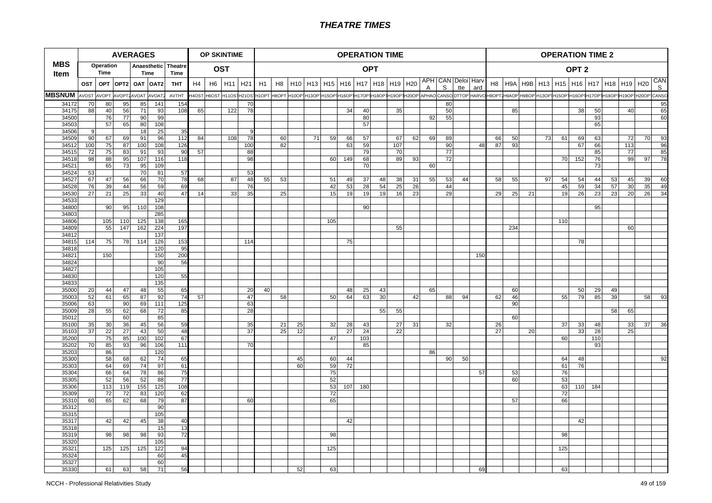|                    |            |                   |            | <b>AVERAGES</b>               |            |                        |                | <b>OP SKINTIME</b> |                       |    |          |          |                                                                                                                                                                                         |          |            | <b>OPERATION TIME</b> |           |          |                               |                 |     |     |          |          |    |                                                          |          | <b>OPERATION TIME 2</b> |          |          |           |          |                     |
|--------------------|------------|-------------------|------------|-------------------------------|------------|------------------------|----------------|--------------------|-----------------------|----|----------|----------|-----------------------------------------------------------------------------------------------------------------------------------------------------------------------------------------|----------|------------|-----------------------|-----------|----------|-------------------------------|-----------------|-----|-----|----------|----------|----|----------------------------------------------------------|----------|-------------------------|----------|----------|-----------|----------|---------------------|
| <b>MBS</b><br>Item |            | Operation<br>Time |            | Anaesthetic<br><b>Time</b>    |            | <b>Theatre</b><br>Time |                | <b>OST</b>         |                       |    |          |          |                                                                                                                                                                                         |          | <b>OPT</b> |                       |           |          |                               |                 |     |     |          |          |    |                                                          |          | OPT <sub>2</sub>        |          |          |           |          |                     |
|                    | <b>OST</b> |                   |            | OPT OPT2 OAT OAT2             |            | <b>THT</b>             | H <sub>4</sub> | H6 H11 H21         |                       | H1 |          |          | H8   H10   H13   H15   H16   H17   H18   H19   H20                                                                                                                                      |          |            |                       |           |          | APH   CAN   Deloi   Harv<br>A | <sub>S</sub>    | tte | ard |          |          |    | H8   H9A   H9B   H13   H15   H16   H17   H18   H19   H20 |          |                         |          |          |           |          | CAN<br><sub>S</sub> |
| <b>MBSNUM</b>      |            |                   |            | VOST AVOPT AVOPT2AVOAT AVOAT2 |            | AVTHT                  |                |                    |                       |    |          |          | 440ST  H6OST  H11OSTH21OSTH10PT  H8OPT  H10OPTH13OPTH15OPTH16OPTH18OPTH18OPTH120OPTAPHAO CANSO DTTOPTHARVO H8OPTH9AOPTH9AOPTH9AOPTH15OPTH16OPTH16OPTH18OPTH18OPTH18OPTH2OOPTH2OOPTCANSC |          |            |                       |           |          |                               |                 |     |     |          |          |    |                                                          |          |                         |          |          |           |          |                     |
| 34172              | 70         | 80                | 95         | 85                            | 141        | 154                    |                |                    | 70                    |    |          |          |                                                                                                                                                                                         |          |            |                       |           |          |                               | 80              |     |     |          |          |    |                                                          |          |                         |          |          |           |          | 95                  |
| 34175<br>34500     | 88         | 40<br>76          | 56<br>77   | 71<br>90                      | 93<br>99   | 108                    | 65             | 122                | 78                    |    |          |          |                                                                                                                                                                                         | 34       | 40<br>80   |                       | 35        |          | 92                            | 50<br>55        |     |     |          | 85       |    |                                                          |          | 38                      | 50<br>93 |          | 40        |          | 65<br>60            |
| 34503              |            | 57                | 65         | 80                            | 108        |                        |                |                    |                       |    |          |          |                                                                                                                                                                                         |          | 57         |                       |           |          |                               |                 |     |     |          |          |    |                                                          |          |                         | 65       |          |           |          |                     |
| 34506              | 9          |                   |            | 18                            | 25         | 35                     |                |                    |                       |    |          |          |                                                                                                                                                                                         |          |            |                       |           |          |                               |                 |     |     |          |          |    |                                                          |          |                         |          |          |           |          |                     |
| 34509              | 90         | 67                | 69         | 91                            | 96         | 112                    | 84             | 108                | 78                    |    | 60       |          | 71<br>59                                                                                                                                                                                | 66       | 57         |                       | 67        | 62       | 69                            | 89              |     |     | 66       | 50       |    | 73                                                       | 61       | 69                      | 63       |          | 72        | 70       | 93                  |
| 34512<br>34515     | 100<br>72  | 75<br>75          | 87<br>83   | 100<br>91                     | 108<br>93  | 126<br>90              | 57             |                    | 100<br>88             |    | 82       |          |                                                                                                                                                                                         | 63       | 59<br>79   |                       | 107<br>70 |          |                               | 90<br>77        |     | 48  | 871      | 93       |    |                                                          |          | 67                      | 66<br>85 |          | 113<br>77 |          | 96<br>85            |
| 34518              | 98         | 88                | 95         | 107                           | 116        | 118                    |                |                    | 98                    |    |          |          | 60                                                                                                                                                                                      | 149      | 68         |                       | 89        | 93       |                               | 72              |     |     |          |          |    |                                                          | 70       | 152                     | 76       |          | 99        | 97       | 78                  |
| 34521              |            | 65                | 73         | 95                            | 109        |                        |                |                    |                       |    |          |          |                                                                                                                                                                                         |          | 70         |                       |           |          | 60                            |                 |     |     |          |          |    |                                                          |          |                         | 73       |          |           |          |                     |
| 34524              | 53         |                   |            | 70                            | 81         | 57                     |                |                    | 53                    |    |          |          |                                                                                                                                                                                         |          |            |                       |           |          |                               |                 |     |     |          |          |    |                                                          |          |                         |          |          |           |          |                     |
| 34527              | 67         | 47                | 56         | 66                            | 70         | 78                     | 68             | 87                 | 48                    | 55 | 53       |          | 51                                                                                                                                                                                      | 49       | 37         | 48                    | 38        | 31       | 55                            | 53              | 44  |     | 58       | 55       |    | 97                                                       | 54       | 54                      | 44       | 53       | 45        | 39       | 60                  |
| 34528<br>34530     | 76<br>27   | 39<br>21          | 44<br>25   | 56<br>33                      | 59<br>40   | 69<br>47               | 14             | 33                 | 76<br>35              |    | 25       |          | 42<br>15 <sup>1</sup>                                                                                                                                                                   | 53<br>19 | 28<br>19   | 54<br>19              | 25<br>16  | 26<br>23 |                               | 44<br>29        |     |     | 29       | 25       | 21 |                                                          | 45<br>19 | 59<br>26                | 34<br>23 | 57<br>23 | 30<br>20  | 35<br>26 | 49<br>34            |
| 34533              |            |                   |            |                               | 129        |                        |                |                    |                       |    |          |          |                                                                                                                                                                                         |          |            |                       |           |          |                               |                 |     |     |          |          |    |                                                          |          |                         |          |          |           |          |                     |
| 34800              |            | 90                | 95         | 110                           | 108        |                        |                |                    |                       |    |          |          |                                                                                                                                                                                         |          | 90         |                       |           |          |                               |                 |     |     |          |          |    |                                                          |          |                         | 95       |          |           |          |                     |
| 34803              |            |                   |            |                               | 285        |                        |                |                    |                       |    |          |          |                                                                                                                                                                                         |          |            |                       |           |          |                               |                 |     |     |          |          |    |                                                          |          |                         |          |          |           |          |                     |
| 34806<br>34809     |            | 105<br>55         | 110<br>147 | 125<br>162                    | 138<br>224 | 165<br>197             |                |                    |                       |    |          |          | 105                                                                                                                                                                                     |          |            |                       | 55        |          |                               |                 |     |     |          | 234      |    |                                                          | 110      |                         |          |          | 60        |          |                     |
| 34812              |            |                   |            |                               | 137        |                        |                |                    |                       |    |          |          |                                                                                                                                                                                         |          |            |                       |           |          |                               |                 |     |     |          |          |    |                                                          |          |                         |          |          |           |          |                     |
| 34815              | 114        | 75                | 78         | 114                           | 126        | 153                    |                |                    | 114                   |    |          |          |                                                                                                                                                                                         | 75       |            |                       |           |          |                               |                 |     |     |          |          |    |                                                          |          | 78                      |          |          |           |          |                     |
| 34818              |            |                   |            |                               | 120        | 95                     |                |                    |                       |    |          |          |                                                                                                                                                                                         |          |            |                       |           |          |                               |                 |     |     |          |          |    |                                                          |          |                         |          |          |           |          |                     |
| 34821<br>34824     |            | 150               |            |                               | 150<br>90  | 200<br>56              |                |                    |                       |    |          |          |                                                                                                                                                                                         |          |            |                       |           |          |                               |                 |     | 150 |          |          |    |                                                          |          |                         |          |          |           |          |                     |
| 34827              |            |                   |            |                               | 105        |                        |                |                    |                       |    |          |          |                                                                                                                                                                                         |          |            |                       |           |          |                               |                 |     |     |          |          |    |                                                          |          |                         |          |          |           |          |                     |
| 34830              |            |                   |            |                               | 120        | 55                     |                |                    |                       |    |          |          |                                                                                                                                                                                         |          |            |                       |           |          |                               |                 |     |     |          |          |    |                                                          |          |                         |          |          |           |          |                     |
| 34833              |            |                   |            |                               | 135        |                        |                |                    |                       |    |          |          |                                                                                                                                                                                         |          |            |                       |           |          |                               |                 |     |     |          |          |    |                                                          |          |                         |          |          |           |          |                     |
| 35000<br>35003     | 20<br>52   | 44<br>61          | 47<br>65   | 48<br>87                      | 55<br>92   | 65<br>74               | 57             |                    | 20<br>47              | 40 | 58       |          | 50                                                                                                                                                                                      | 48<br>64 | 25<br>63   | 43<br>30              |           | 42       | 65                            | 88              | 94  |     | 62       | 60<br>46 |    |                                                          | 55       | 50<br>79                | 29<br>85 | 49<br>39 |           | 58       | 93                  |
| 35006              | 63         |                   | 90         | 69                            | 111        | 125                    |                |                    | 63                    |    |          |          |                                                                                                                                                                                         |          |            |                       |           |          |                               |                 |     |     |          | 90       |    |                                                          |          |                         |          |          |           |          |                     |
| 35009              | 28         | 55                | 62         | 68                            | 72         | 85                     |                |                    | 28                    |    |          |          |                                                                                                                                                                                         |          |            | 55                    | 55        |          |                               |                 |     |     |          |          |    |                                                          |          |                         |          | 58       | 65        |          |                     |
| 35012              |            |                   | 60         |                               | 85         |                        |                |                    |                       |    |          |          |                                                                                                                                                                                         |          |            |                       |           |          |                               |                 |     |     |          | 60       |    |                                                          |          |                         |          |          |           |          |                     |
| 35100<br>35103     | 35<br>37   | 30<br>22          | 36<br>27   | 45<br>43                      | 56<br>50   | 59<br>48               |                |                    | 35<br>$\overline{37}$ |    | 21<br>25 | 25<br>12 | 32                                                                                                                                                                                      | 28<br>27 | 43<br>24   |                       | 27<br>22  | 31       |                               | 32              |     |     | 26<br>27 |          | 20 |                                                          | 37       | 33<br>33                | 48<br>28 |          | 33<br>25  | 37       | 36                  |
| 35200              |            | 75                | 85         | 100                           | 102        | 67                     |                |                    |                       |    |          |          | 47                                                                                                                                                                                      |          | 103        |                       |           |          |                               |                 |     |     |          |          |    |                                                          | 60       |                         | 110      |          |           |          |                     |
| 35202              | 70         | 85                | 93         | 96                            | 106        | 111                    |                |                    | 70                    |    |          |          |                                                                                                                                                                                         |          | 85         |                       |           |          |                               |                 |     |     |          |          |    |                                                          |          |                         | 93       |          |           |          |                     |
| 35203              |            | 86                |            |                               | 120        |                        |                |                    |                       |    |          |          |                                                                                                                                                                                         |          |            |                       |           |          | 86                            |                 |     |     |          |          |    |                                                          |          |                         |          |          |           |          |                     |
| 35300<br>35303     |            | 58<br>64          | 68<br>69   | 62<br>74                      | 74<br>97   | 65<br>61               |                |                    |                       |    |          | 45<br>60 | 60<br>59                                                                                                                                                                                | 44<br>72 |            |                       |           |          |                               | 90 <sup>1</sup> | 50  |     |          |          |    |                                                          | 64<br>61 | 48<br>76                |          |          |           |          | 92                  |
| 35304              |            | 66                | 64         | 78                            | 86         | 75                     |                |                    |                       |    |          |          | 75                                                                                                                                                                                      |          |            |                       |           |          |                               |                 |     | 57  |          | 53       |    |                                                          | 76       |                         |          |          |           |          |                     |
| 35305              |            | 52                | 56         | 52                            | 88         | 77                     |                |                    |                       |    |          |          | 52                                                                                                                                                                                      |          |            |                       |           |          |                               |                 |     |     |          | 60       |    |                                                          | 53       |                         |          |          |           |          |                     |
| 35306              |            | 113               | 119        | 155                           | 125        | 108                    |                |                    |                       |    |          |          | 53                                                                                                                                                                                      |          | 107 180    |                       |           |          |                               |                 |     |     |          |          |    |                                                          | 63       | 110                     | 184      |          |           |          |                     |
| 35309              |            | 72                | 72         | 83                            | 120        | 62                     |                |                    |                       |    |          |          | 72                                                                                                                                                                                      |          |            |                       |           |          |                               |                 |     |     |          |          |    |                                                          | 72       |                         |          |          |           |          |                     |
| 35310<br>35312     | 60         | 65                | 62         | 68                            | 79<br>90   | 87                     |                |                    | 60                    |    |          |          | 65                                                                                                                                                                                      |          |            |                       |           |          |                               |                 |     |     |          | 57       |    |                                                          | 66       |                         |          |          |           |          |                     |
| 35315              |            |                   |            |                               | 105        |                        |                |                    |                       |    |          |          |                                                                                                                                                                                         |          |            |                       |           |          |                               |                 |     |     |          |          |    |                                                          |          |                         |          |          |           |          |                     |
| 35317              |            | 42                | 42         | 45                            | 38         | 40                     |                |                    |                       |    |          |          |                                                                                                                                                                                         | 42       |            |                       |           |          |                               |                 |     |     |          |          |    |                                                          |          | 42                      |          |          |           |          |                     |
| 35318              |            |                   |            |                               | 15         | 13                     |                |                    |                       |    |          |          |                                                                                                                                                                                         |          |            |                       |           |          |                               |                 |     |     |          |          |    |                                                          |          |                         |          |          |           |          |                     |
| 35319<br>35320     |            | 98                | 98         | 98                            | 93<br>105  | 72                     |                |                    |                       |    |          |          | 98                                                                                                                                                                                      |          |            |                       |           |          |                               |                 |     |     |          |          |    |                                                          | 98       |                         |          |          |           |          |                     |
| 35321              |            | 125               | 125        | 125                           | 122        | 94                     |                |                    |                       |    |          |          | 125                                                                                                                                                                                     |          |            |                       |           |          |                               |                 |     |     |          |          |    |                                                          | 125      |                         |          |          |           |          |                     |
| 35324              |            |                   |            |                               | 60         | 45                     |                |                    |                       |    |          |          |                                                                                                                                                                                         |          |            |                       |           |          |                               |                 |     |     |          |          |    |                                                          |          |                         |          |          |           |          |                     |
| 35327              |            |                   |            |                               | 60         |                        |                |                    |                       |    |          |          |                                                                                                                                                                                         |          |            |                       |           |          |                               |                 |     |     |          |          |    |                                                          |          |                         |          |          |           |          |                     |
| 35330              |            | 61                | 63         | 58                            | 71         | 56                     |                |                    |                       |    |          | 52       | 63                                                                                                                                                                                      |          |            |                       |           |          |                               |                 |     | 69  |          |          |    |                                                          | 63       |                         |          |          |           |          |                     |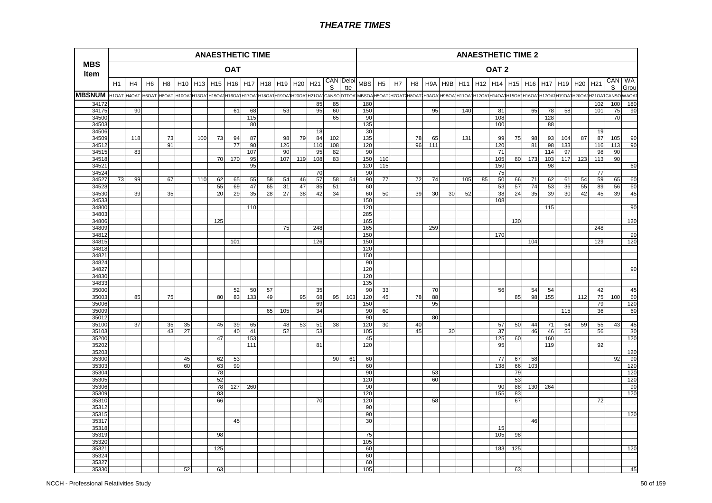|                    |    |                 |                |                       |                                                                                          |          | <b>ANAESTHETIC TIME</b> |          |          |                                                                 |          |          |                       |            |           |                |    |                |                  |    |     |    |                  | <b>ANAESTHETIC TIME 2</b>                                                                            |          |          |          |          |          |             |           |
|--------------------|----|-----------------|----------------|-----------------------|------------------------------------------------------------------------------------------|----------|-------------------------|----------|----------|-----------------------------------------------------------------|----------|----------|-----------------------|------------|-----------|----------------|----|----------------|------------------|----|-----|----|------------------|------------------------------------------------------------------------------------------------------|----------|----------|----------|----------|----------|-------------|-----------|
| <b>MBS</b><br>Item |    |                 |                |                       |                                                                                          |          | <b>OAT</b>              |          |          |                                                                 |          |          |                       |            |           |                |    |                |                  |    |     |    | OAT <sub>2</sub> |                                                                                                      |          |          |          |          |          |             |           |
|                    | H1 | H4              | H <sub>6</sub> | H <sub>8</sub>        | H10   H13   H15   H16   H17                                                              |          |                         |          |          | H <sub>18</sub> H <sub>19</sub> H <sub>20</sub> H <sub>21</sub> |          |          | CAN Deloi<br>S<br>tte | <b>MBS</b> |           | H <sub>5</sub> | H7 | H <sub>8</sub> | H <sub>9</sub> A |    |     |    |                  | H9B   H11   H12   H14   H15   H16   H17   H19   H20   H21                                            |          |          |          |          |          | CAN WA<br>S | Grou      |
| <b>MBSNUM</b>      |    |                 |                |                       | H1OAT H4OAT H6OAT H8OAT H10OATH13OATH15OATH16OATH17OATH18OATH19OATH20OATH21OATCANSODTTOA |          |                         |          |          |                                                                 |          |          |                       |            |           |                |    |                |                  |    |     |    |                  | MBSOA H5OAT2H7OAT2H8OAT2H9AOA H9BOA H11OATH12OATH14OATH15OATH16OATH17OATH19OATH20OATH21OATCANSO WAOA |          |          |          |          |          |             |           |
| 34172              |    |                 |                |                       |                                                                                          |          |                         |          |          |                                                                 |          | 85       | 85                    |            | 180       |                |    |                |                  |    |     |    |                  |                                                                                                      |          |          |          |          | 102      | 100         | 180       |
| 34175              |    | 90 <sup>1</sup> |                |                       |                                                                                          |          | 61                      | 68       |          | 53                                                              |          | 95       | 60                    |            | 150       |                |    |                | 95               |    | 140 |    | 81               |                                                                                                      | 65       | 78       | 58       |          | 101      | 75          | 90        |
| 34500              |    |                 |                |                       |                                                                                          |          |                         | 115      |          |                                                                 |          |          | 65                    |            | 90        |                |    |                |                  |    |     |    | 108              |                                                                                                      |          | 128      |          |          |          | 70          |           |
| 34503              |    |                 |                |                       |                                                                                          |          |                         | 80       |          |                                                                 |          |          |                       |            | 135       |                |    |                |                  |    |     |    | 100              |                                                                                                      |          | 88       |          |          |          |             |           |
| 34506<br>34509     |    | 118             |                | 73                    | 100                                                                                      | 73       | 94                      | 87       |          | 98                                                              | 79       | 18<br>84 | 102                   |            | 30<br>135 |                |    | 78             | 65               |    | 131 |    | 99               | 75                                                                                                   | 98       | 93       | 104      | 87       | 19<br>87 | 105         | 90        |
| 34512              |    |                 |                | 91                    |                                                                                          |          | 77                      | 90       |          | 126                                                             |          | 110      | 108                   |            | 120       |                |    | 96             | 111              |    |     |    | 120              |                                                                                                      | 81       | 98       | 133      |          | 116      | 113         | 90        |
| 34515              |    | 83              |                |                       |                                                                                          |          |                         | 107      |          | 90                                                              |          | 95       | 82                    |            | 90        |                |    |                |                  |    |     |    | 71               |                                                                                                      |          | $114$    | 97       |          | 98       | 90          |           |
| 34518              |    |                 |                |                       |                                                                                          | 70       | 170                     | 95       |          | 107                                                             | 119      | 108      | 83                    |            | 150       | 110            |    |                |                  |    |     |    | 105              | 80                                                                                                   | 173      | 103      | 117      | 123      | 113      | 90          |           |
| 34521              |    |                 |                |                       |                                                                                          |          |                         | 95       |          |                                                                 |          |          |                       |            | 120       | 115            |    |                |                  |    |     |    | 150              |                                                                                                      |          | 98       |          |          |          |             | 60        |
| 34524              |    |                 |                |                       |                                                                                          |          |                         |          |          |                                                                 |          | 70       |                       |            | 90        |                |    |                |                  |    |     |    | 75               |                                                                                                      |          |          |          |          | 77       |             |           |
| 34527              | 73 | 99              |                | 67                    | 110                                                                                      | 62       | 65                      | 55       | 58       | 54                                                              | 46       | 57       | 58                    | 54         | 90<br>60  | 77             |    | 72             | 74               |    | 105 | 85 | 50               | 66                                                                                                   | 71       | 62       | 61       | 54       | 59       | 65          | 60        |
| 34528<br>34530     |    | 39              |                | 35                    |                                                                                          | 55<br>20 | 69<br>29                | 47<br>35 | 65<br>28 | 31<br>27                                                        | 47<br>38 | 85<br>42 | 51<br>34              |            | 60        | 50             |    | 39             | 30               | 30 | 52  |    | 53<br>38         | 57<br>24                                                                                             | 74<br>35 | 53<br>39 | 36<br>30 | 55<br>42 | 89<br>45 | 56<br>39    | 60<br>45  |
| 34533              |    |                 |                |                       |                                                                                          |          |                         |          |          |                                                                 |          |          |                       |            | 150       |                |    |                |                  |    |     |    | 108              |                                                                                                      |          |          |          |          |          |             |           |
| 34800              |    |                 |                |                       |                                                                                          |          |                         | 110      |          |                                                                 |          |          |                       |            | 120       |                |    |                |                  |    |     |    |                  |                                                                                                      |          | 115      |          |          |          |             | 90        |
| 34803              |    |                 |                |                       |                                                                                          |          |                         |          |          |                                                                 |          |          |                       |            | 285       |                |    |                |                  |    |     |    |                  |                                                                                                      |          |          |          |          |          |             |           |
| 34806              |    |                 |                |                       |                                                                                          | 125      |                         |          |          |                                                                 |          |          |                       |            | 165       |                |    |                |                  |    |     |    |                  | 130                                                                                                  |          |          |          |          |          |             | 120       |
| 34809              |    |                 |                |                       |                                                                                          |          |                         |          |          | 75                                                              |          | 248      |                       |            | 165       |                |    |                | 259              |    |     |    |                  |                                                                                                      |          |          |          |          | 248      |             |           |
| 34812              |    |                 |                |                       |                                                                                          |          |                         |          |          |                                                                 |          |          |                       |            | 150       |                |    |                |                  |    |     |    | 170              |                                                                                                      |          |          |          |          |          |             | 90        |
| 34815              |    |                 |                |                       |                                                                                          |          | 101                     |          |          |                                                                 |          | 126      |                       |            | 150       |                |    |                |                  |    |     |    |                  |                                                                                                      | 104      |          |          |          | 129      |             | 120       |
| 34818              |    |                 |                |                       |                                                                                          |          |                         |          |          |                                                                 |          |          |                       |            | 120       |                |    |                |                  |    |     |    |                  |                                                                                                      |          |          |          |          |          |             |           |
| 34821<br>34824     |    |                 |                |                       |                                                                                          |          |                         |          |          |                                                                 |          |          |                       |            | 150<br>90 |                |    |                |                  |    |     |    |                  |                                                                                                      |          |          |          |          |          |             |           |
| 34827              |    |                 |                |                       |                                                                                          |          |                         |          |          |                                                                 |          |          |                       |            | 120       |                |    |                |                  |    |     |    |                  |                                                                                                      |          |          |          |          |          |             | 90        |
| 34830              |    |                 |                |                       |                                                                                          |          |                         |          |          |                                                                 |          |          |                       |            | 120       |                |    |                |                  |    |     |    |                  |                                                                                                      |          |          |          |          |          |             |           |
| 34833              |    |                 |                |                       |                                                                                          |          |                         |          |          |                                                                 |          |          |                       |            | 135       |                |    |                |                  |    |     |    |                  |                                                                                                      |          |          |          |          |          |             |           |
| 35000              |    |                 |                |                       |                                                                                          |          | 52                      | 50       | 57       |                                                                 |          | 35       |                       |            | 90        | 33             |    |                | 70               |    |     |    | 56               |                                                                                                      | 54       | 54       |          |          | 42       |             | 45        |
| 35003              |    | 85              |                | 75                    |                                                                                          | 80       | 83                      | 133      | 49       |                                                                 | 95       | 68       | 95                    | 103        | 120       | 45             |    | 78             | 88               |    |     |    |                  | 85                                                                                                   | 98       | 155      |          | 112      | 75       | 100         | 60        |
| 35006              |    |                 |                |                       |                                                                                          |          |                         |          |          |                                                                 |          | 69       |                       |            | 150       |                |    |                | 95               |    |     |    |                  |                                                                                                      |          |          |          |          | 79       |             | 120       |
| 35009              |    |                 |                |                       |                                                                                          |          |                         |          | 65       | 105                                                             |          | 34       |                       |            | 90        | 60             |    |                |                  |    |     |    |                  |                                                                                                      |          |          | 115      |          | 36       |             | 60        |
| 35012              |    | 37              |                |                       |                                                                                          | 45       | 39                      |          |          |                                                                 | 53       | 51       | 38                    |            | 90<br>120 | 30             |    | 40             | 80               |    |     |    | 57               |                                                                                                      | 44       |          | 54       | 59       |          | 43          |           |
| 35100<br>35103     |    |                 |                | 35<br>43 <sub>1</sub> | 35<br>27                                                                                 |          | 40                      | 65<br>41 |          | 48<br>52                                                        |          | 53       |                       |            | 105       |                |    | 45             |                  | 30 |     |    | 37               | 50                                                                                                   | 46       | 71<br>46 | 55       |          | 55<br>56 |             | 45<br>30  |
| 35200              |    |                 |                |                       |                                                                                          | 47       |                         | 153      |          |                                                                 |          |          |                       |            | 45        |                |    |                |                  |    |     |    | 125              | 60                                                                                                   |          | 160      |          |          |          |             | 120       |
| 35202              |    |                 |                |                       |                                                                                          |          |                         | 111      |          |                                                                 |          | 81       |                       |            | 120       |                |    |                |                  |    |     |    | 95               |                                                                                                      |          | 119      |          |          | 92       |             |           |
| 35203              |    |                 |                |                       |                                                                                          |          |                         |          |          |                                                                 |          |          |                       |            |           |                |    |                |                  |    |     |    |                  |                                                                                                      |          |          |          |          |          |             | 120       |
| 35300              |    |                 |                |                       | 45                                                                                       | 62       | 53                      |          |          |                                                                 |          |          | 90                    | 61         | 60        |                |    |                |                  |    |     |    | 77               | 67                                                                                                   | 58       |          |          |          |          | 92          | 90        |
| 35303              |    |                 |                |                       | 60                                                                                       | 63       | 99                      |          |          |                                                                 |          |          |                       |            | 60        |                |    |                |                  |    |     |    | 138              | 66                                                                                                   | 103      |          |          |          |          |             | 120       |
| 35304              |    |                 |                |                       |                                                                                          | 78       |                         |          |          |                                                                 |          |          |                       |            | 90        |                |    |                | 53               |    |     |    |                  | 79                                                                                                   |          |          |          |          |          |             | 120       |
| 35305              |    |                 |                |                       |                                                                                          | 52       |                         |          |          |                                                                 |          |          |                       |            | 120       |                |    |                | 60               |    |     |    |                  | 53                                                                                                   |          |          |          |          |          |             | 120       |
| 35306<br>35309     |    |                 |                |                       |                                                                                          | 78<br>83 | 127                     | 260      |          |                                                                 |          |          |                       |            | 90<br>120 |                |    |                |                  |    |     |    | 90<br>155        | 88<br>83                                                                                             | 130      | 264      |          |          |          |             | 90<br>120 |
| 35310              |    |                 |                |                       |                                                                                          | 66       |                         |          |          |                                                                 |          | 70       |                       |            | 120       |                |    |                | 58               |    |     |    |                  | 67                                                                                                   |          |          |          |          | 72       |             |           |
| 35312              |    |                 |                |                       |                                                                                          |          |                         |          |          |                                                                 |          |          |                       |            | 90        |                |    |                |                  |    |     |    |                  |                                                                                                      |          |          |          |          |          |             |           |
| 35315              |    |                 |                |                       |                                                                                          |          |                         |          |          |                                                                 |          |          |                       |            | 90        |                |    |                |                  |    |     |    |                  |                                                                                                      |          |          |          |          |          |             | 120       |
| 35317              |    |                 |                |                       |                                                                                          |          | 45                      |          |          |                                                                 |          |          |                       |            | 30        |                |    |                |                  |    |     |    |                  |                                                                                                      | 46       |          |          |          |          |             |           |
| 35318              |    |                 |                |                       |                                                                                          |          |                         |          |          |                                                                 |          |          |                       |            |           |                |    |                |                  |    |     |    | 15               |                                                                                                      |          |          |          |          |          |             |           |
| 35319              |    |                 |                |                       |                                                                                          | 98       |                         |          |          |                                                                 |          |          |                       |            | 75        |                |    |                |                  |    |     |    | 105              | 98                                                                                                   |          |          |          |          |          |             |           |
| 35320              |    |                 |                |                       |                                                                                          |          |                         |          |          |                                                                 |          |          |                       |            | 105       |                |    |                |                  |    |     |    |                  |                                                                                                      |          |          |          |          |          |             |           |
| 35321              |    |                 |                |                       |                                                                                          | 125      |                         |          |          |                                                                 |          |          |                       |            | 60        |                |    |                |                  |    |     |    | 183              | 125                                                                                                  |          |          |          |          |          |             | 120       |
| 35324<br>35327     |    |                 |                |                       |                                                                                          |          |                         |          |          |                                                                 |          |          |                       |            | 60<br>60  |                |    |                |                  |    |     |    |                  |                                                                                                      |          |          |          |          |          |             |           |
| 35330              |    |                 |                |                       | 52                                                                                       | 63       |                         |          |          |                                                                 |          |          |                       |            | 105       |                |    |                |                  |    |     |    |                  | 63                                                                                                   |          |          |          |          |          |             | 45        |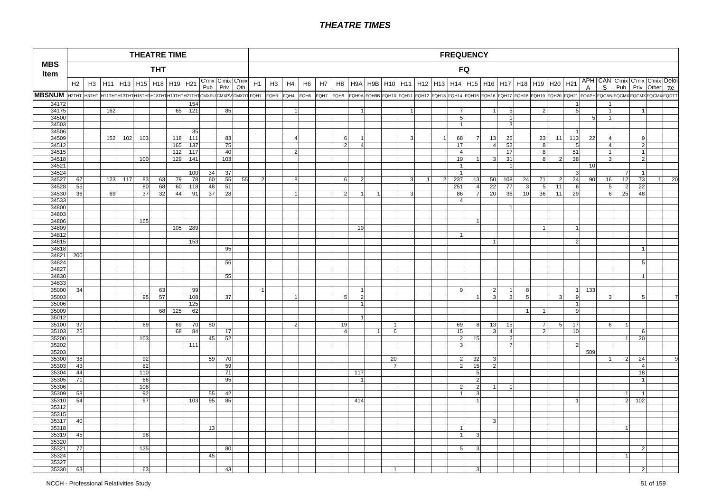|                           |          |         | <b>THEATRE TIME</b>        |                      |            |          |                               |     |                |    |                      |                |                                  |                  |   |              |                | <b>FREQUENCY</b>               |                                  |                                                                                                                                                                                                                                |                                              |                |                |                 |                                   |                                                       |                           |   |              |
|---------------------------|----------|---------|----------------------------|----------------------|------------|----------|-------------------------------|-----|----------------|----|----------------------|----------------|----------------------------------|------------------|---|--------------|----------------|--------------------------------|----------------------------------|--------------------------------------------------------------------------------------------------------------------------------------------------------------------------------------------------------------------------------|----------------------------------------------|----------------|----------------|-----------------|-----------------------------------|-------------------------------------------------------|---------------------------|---|--------------|
| <b>MBS</b><br><b>Item</b> |          |         | <b>THT</b>                 |                      |            |          |                               |     |                |    |                      |                |                                  |                  |   |              |                | <b>FQ</b>                      |                                  |                                                                                                                                                                                                                                |                                              |                |                |                 |                                   |                                                       |                           |   |              |
|                           | H2       |         | H3 H11 H13 H15 H18 H19 H21 |                      |            |          | C'mix C'mix C'mix<br>Pub Priv | Oth | H1             | H3 | H4<br>H <sub>6</sub> | H7             |                                  |                  |   |              |                |                                |                                  | H8   H9A   H9B   H10   H11   H12   H13   H14   H15   H16   H17   H18   H19   H20   H21                                                                                                                                         |                                              |                |                | $\Delta$        | S                                 | APH CAN C'mix C'mix C'mix Deloi<br>Pub Priv Other tte |                           |   |              |
|                           |          |         |                            |                      |            |          |                               |     |                |    |                      |                |                                  |                  |   |              |                |                                |                                  | MBSNUM  H2THT  H3THT  H3THT H13THT H13THT H18THT H18THT H21THT CMXPU CMXPV CMXOT FQH1  FQH3  FQH4  FQH6  FQH6  FQH8  FQH9 GH9B GAH19 FQH13 FQH18 FQH14 FQH15 FQH16 FQH17 FQH18 FQH19 FQH20 FQH21 FQAH2 FQCMX FQCMX FQCMX FQCMX |                                              |                |                |                 |                                   |                                                       |                           |   |              |
| 34172                     |          |         |                            |                      | 154        |          |                               |     |                |    |                      |                |                                  |                  |   |              |                |                                |                                  |                                                                                                                                                                                                                                |                                              |                | 1              |                 | $\mathbf{1}$                      |                                                       |                           |   |              |
| 34175                     |          | 162     |                            | 65                   | 121        |          | 85                            |     |                |    | $\mathbf{1}$         |                | $\mathbf{1}$                     |                  | 1 |              |                | 7                              |                                  | $5\phantom{.0}$<br>1                                                                                                                                                                                                           | 2 <sup>1</sup>                               |                | 5 <sup>1</sup> |                 | $\mathbf{1}$                      |                                                       | $\overline{1}$            |   |              |
| 34500<br>34503            |          |         |                            |                      |            |          |                               |     |                |    |                      |                |                                  |                  |   |              |                | 5 <sub>5</sub><br>$\mathbf{1}$ |                                  | $\overline{1}$<br>$\mathbf{3}$                                                                                                                                                                                                 |                                              |                |                | 5               | $\mathbf{1}$                      |                                                       |                           |   |              |
| 34506                     |          |         |                            |                      | 35         |          |                               |     |                |    |                      |                |                                  |                  |   |              |                |                                |                                  |                                                                                                                                                                                                                                |                                              |                | $\vert$ 1      |                 |                                   |                                                       |                           |   |              |
| 34509                     |          |         | 152 102 103                | 118                  | 111        |          | 83                            |     |                |    | $\overline{4}$       | 6              | $\mathbf 1$                      |                  | 3 |              | 11             | 68                             | $\overline{7}$                   | 25<br>13                                                                                                                                                                                                                       | 23                                           | 11             | 113            | $\overline{22}$ | $\overline{4}$                    |                                                       | 9                         |   |              |
| 34512                     |          |         |                            | 165                  | 137        |          | 75                            |     |                |    |                      | $\overline{2}$ | $\vert$                          |                  |   |              |                | 17                             |                                  | 52<br>$\overline{4}$                                                                                                                                                                                                           | 8 <sup>1</sup>                               |                | 5 <sub>l</sub> |                 | $\overline{4}$                    |                                                       | 2 <sup>1</sup>            |   |              |
| 34515<br>34518            |          |         | 100                        | 112<br>129           | 117<br>141 |          | 40<br>103                     |     |                |    | $\overline{2}$       |                |                                  |                  |   |              |                | $\overline{4}$<br>19           | $1\vert$                         | 17<br>31<br>3 <sup>1</sup>                                                                                                                                                                                                     | 8 <sup>1</sup><br>8 <sup>1</sup>             | $\overline{2}$ | 51<br>38       |                 | $\mathbf{1}$<br>$\mathbf{3}$      |                                                       | $\mathbf{1}$<br>$2 \vert$ |   |              |
| 34521                     |          |         |                            |                      |            |          |                               |     |                |    |                      |                |                                  |                  |   |              |                | $\vert$ 1                      |                                  | $\overline{1}$                                                                                                                                                                                                                 |                                              |                |                | 10              |                                   |                                                       |                           |   |              |
| 34524                     |          |         |                            |                      | 100        | 34       | 37                            |     |                |    |                      |                |                                  |                  |   |              |                | $\mathbf{1}$                   |                                  |                                                                                                                                                                                                                                |                                              |                | 3 <sup>1</sup> |                 |                                   | $\overline{7}$                                        | $\overline{1}$            |   |              |
| 34527                     | 67       | 123 117 | 83                         | 63<br>79             | 78         | 60       | 55                            | 55  | $\overline{2}$ |    | 81                   | $6 \mid$       | 2                                |                  | 3 | $\mathbf{1}$ | $\overline{2}$ | 237                            | 13                               | 50<br>108<br>24                                                                                                                                                                                                                | 71                                           | $\overline{2}$ | 24             | 90              | 16                                | 12                                                    | 73                        | 1 | 20           |
| 34528<br>34530            | 55<br>36 | 69      | 80<br>37                   | 68<br>60<br>32<br>44 | 118<br>91  | 48<br>37 | 51<br>28                      |     |                |    | $\vert$ 1            | $\overline{2}$ | $\mathbf{1}$<br>11               |                  | 3 |              |                | 251<br>86                      | $\overline{4}$<br>$\overline{7}$ | 77<br>22<br>20<br>36                                                                                                                                                                                                           | $\overline{3}$<br>$\overline{5}$<br>10<br>36 | 11<br>11       | 6<br>29        |                 | $\overline{5}$<br>$6\overline{6}$ | $\vert$ 2<br>25                                       | 22<br>48                  |   |              |
| 34533                     |          |         |                            |                      |            |          |                               |     |                |    |                      |                |                                  |                  |   |              |                | $\overline{4}$                 |                                  |                                                                                                                                                                                                                                |                                              |                |                |                 |                                   |                                                       |                           |   |              |
| 34800                     |          |         |                            |                      |            |          |                               |     |                |    |                      |                |                                  |                  |   |              |                |                                |                                  | $\mathbf{1}$                                                                                                                                                                                                                   |                                              |                |                |                 |                                   |                                                       |                           |   |              |
| 34803                     |          |         |                            |                      |            |          |                               |     |                |    |                      |                |                                  |                  |   |              |                |                                |                                  |                                                                                                                                                                                                                                |                                              |                |                |                 |                                   |                                                       |                           |   |              |
| 34806<br>34809            |          |         | 165                        | 105                  |            |          |                               |     |                |    |                      |                | 10                               |                  |   |              |                |                                | 1                                |                                                                                                                                                                                                                                | $\overline{1}$                               |                | 1              |                 |                                   |                                                       |                           |   |              |
| 34812                     |          |         |                            |                      | 289        |          |                               |     |                |    |                      |                |                                  |                  |   |              |                | 1                              |                                  |                                                                                                                                                                                                                                |                                              |                |                |                 |                                   |                                                       |                           |   |              |
| 34815                     |          |         |                            |                      | 153        |          |                               |     |                |    |                      |                |                                  |                  |   |              |                |                                |                                  | 11                                                                                                                                                                                                                             |                                              |                | $\overline{2}$ |                 |                                   |                                                       |                           |   |              |
| 34818                     |          |         |                            |                      |            |          | 95                            |     |                |    |                      |                |                                  |                  |   |              |                |                                |                                  |                                                                                                                                                                                                                                |                                              |                |                |                 |                                   |                                                       | $\overline{1}$            |   |              |
| 34821                     | 200      |         |                            |                      |            |          |                               |     |                |    |                      |                |                                  |                  |   |              |                |                                |                                  |                                                                                                                                                                                                                                |                                              |                |                |                 |                                   |                                                       |                           |   |              |
| 34824<br>34827            |          |         |                            |                      |            |          | 56                            |     |                |    |                      |                |                                  |                  |   |              |                |                                |                                  |                                                                                                                                                                                                                                |                                              |                |                |                 |                                   |                                                       | 5 <sup>1</sup>            |   |              |
| 34830                     |          |         |                            |                      |            |          | 55                            |     |                |    |                      |                |                                  |                  |   |              |                |                                |                                  |                                                                                                                                                                                                                                |                                              |                |                |                 |                                   |                                                       | 1                         |   |              |
| 34833                     |          |         |                            |                      |            |          |                               |     |                |    |                      |                |                                  |                  |   |              |                |                                |                                  |                                                                                                                                                                                                                                |                                              |                |                |                 |                                   |                                                       |                           |   |              |
| 35000                     | 34       |         |                            | 63                   | 99         |          |                               |     | 11             |    |                      |                | $\mathbf{1}$                     |                  |   |              |                | 9                              | $\mathbf{1}$                     | 2 <br>$\mathbf{1}$                                                                                                                                                                                                             | 8                                            |                |                | 1 133           |                                   |                                                       |                           |   |              |
| 35003<br>35006            |          |         | 95                         | 57                   | 108<br>125 |          | 37                            |     |                |    | $\overline{1}$       | 5 <sup>1</sup> | $\overline{2}$<br>1 <sup>1</sup> |                  |   |              |                |                                |                                  | $\mathbf{3}$<br>3 <sup>1</sup>                                                                                                                                                                                                 | 5 <sub>5</sub>                               | $\mathbf{3}$   | 9<br>1         |                 | $\mathbf{3}$                      |                                                       | $5\phantom{.0}$           |   |              |
| 35009                     |          |         |                            | 68<br>125            | 62         |          |                               |     |                |    |                      |                |                                  |                  |   |              |                |                                |                                  |                                                                                                                                                                                                                                | 1<br>$\overline{1}$                          |                | 9 <sup>1</sup> |                 |                                   |                                                       |                           |   |              |
| 35012                     |          |         |                            |                      |            |          |                               |     |                |    |                      |                | $\overline{1}$                   |                  |   |              |                |                                |                                  |                                                                                                                                                                                                                                |                                              |                |                |                 |                                   |                                                       |                           |   |              |
| 35100                     | 37       |         | 69                         | 69                   | 70         | 50       |                               |     |                |    | $\overline{2}$       | 19             |                                  | 11               |   |              |                | 69                             | 8 <sup>1</sup>                   | 13<br>15                                                                                                                                                                                                                       | $\overline{7}$                               | 5 <sub>l</sub> | 17             |                 | $6\phantom{.}6$                   | 1                                                     |                           |   |              |
| 35103<br>35200            | 25       |         | 103                        | 68                   | 84         | 45       | 17<br>52                      |     |                |    |                      | $\overline{4}$ | 1                                | $6 \overline{6}$ |   |              |                | 15 <sup>1</sup><br>$\vert$ 2   | 15                               | $\mathbf{3}$<br>$\overline{4}$<br>$\overline{2}$                                                                                                                                                                               | $\overline{2}$                               |                | 10             |                 |                                   | 1                                                     | $6 \mid$<br>20            |   |              |
| 35202                     |          |         |                            |                      | 111        |          |                               |     |                |    |                      |                |                                  |                  |   |              |                | $\overline{3}$                 |                                  | $\overline{7}$                                                                                                                                                                                                                 |                                              |                | $\overline{2}$ |                 |                                   |                                                       |                           |   |              |
| 35203                     |          |         |                            |                      |            |          |                               |     |                |    |                      |                |                                  |                  |   |              |                |                                |                                  |                                                                                                                                                                                                                                |                                              |                |                | 509             |                                   |                                                       |                           |   |              |
| 35300                     | 38       |         | 92                         |                      |            | 59       | 70                            |     |                |    |                      |                |                                  | 20               |   |              |                | $\overline{2}$                 | 32                               | 3 <sup>1</sup>                                                                                                                                                                                                                 |                                              |                |                |                 | $\mathbf{1}$                      | $\overline{2}$                                        | 24                        |   | $\mathbf{q}$ |
| 35303<br>35304            | 43<br>44 |         | 82<br>110                  |                      |            |          | 59<br>71                      |     |                |    |                      |                | 117                              | $\overline{7}$   |   |              |                | $\overline{2}$                 | 15<br>5 <sub>5</sub>             | $2 \vert$                                                                                                                                                                                                                      |                                              |                |                |                 |                                   |                                                       | $\overline{4}$<br>18      |   |              |
| 35305                     | 71       |         | 66                         |                      |            |          | 95                            |     |                |    |                      |                | $\overline{1}$                   |                  |   |              |                |                                | 2                                |                                                                                                                                                                                                                                |                                              |                |                |                 |                                   |                                                       | $\overline{1}$            |   |              |
| 35306                     |          |         | 108                        |                      |            |          |                               |     |                |    |                      |                |                                  |                  |   |              |                | $\vert$ 2                      | $\overline{2}$                   | 1<br>$\overline{1}$                                                                                                                                                                                                            |                                              |                |                |                 |                                   |                                                       |                           |   |              |
| 35309                     | 58       |         | 92                         |                      |            | 55       | 42                            |     |                |    |                      |                |                                  |                  |   |              |                | 1                              | $\mathbf{3}$                     |                                                                                                                                                                                                                                |                                              |                |                |                 |                                   | 1                                                     | $\overline{1}$            |   |              |
| 35310<br>35312            | 54       |         | 97                         |                      | 103        | 95       | 85                            |     |                |    |                      |                | 414                              |                  |   |              |                |                                | $\mathbf{1}$                     |                                                                                                                                                                                                                                |                                              |                | $\mathbf{1}$   |                 |                                   | $2 \vert$                                             | 102                       |   |              |
| 35315                     |          |         |                            |                      |            |          |                               |     |                |    |                      |                |                                  |                  |   |              |                |                                |                                  |                                                                                                                                                                                                                                |                                              |                |                |                 |                                   |                                                       |                           |   |              |
| 35317                     | 40       |         |                            |                      |            |          |                               |     |                |    |                      |                |                                  |                  |   |              |                |                                |                                  | $\mathbf{3}$                                                                                                                                                                                                                   |                                              |                |                |                 |                                   |                                                       |                           |   |              |
| 35318                     |          |         |                            |                      |            | 13       |                               |     |                |    |                      |                |                                  |                  |   |              |                | $\mathbf{1}$                   |                                  |                                                                                                                                                                                                                                |                                              |                |                |                 |                                   | 1                                                     |                           |   |              |
| 35319<br>35320            | 45       |         | 98                         |                      |            |          |                               |     |                |    |                      |                |                                  |                  |   |              |                | 1                              | 3 <sup>l</sup>                   |                                                                                                                                                                                                                                |                                              |                |                |                 |                                   |                                                       |                           |   |              |
| 35321                     | 77       |         | 125                        |                      |            |          | 80                            |     |                |    |                      |                |                                  |                  |   |              |                | $5 \mid$                       | 3 <sup>l</sup>                   |                                                                                                                                                                                                                                |                                              |                |                |                 |                                   |                                                       | $\overline{2}$            |   |              |
| 35324                     |          |         |                            |                      |            | 45       |                               |     |                |    |                      |                |                                  |                  |   |              |                |                                |                                  |                                                                                                                                                                                                                                |                                              |                |                |                 |                                   | 11                                                    |                           |   |              |
| 35327                     |          |         |                            |                      |            |          |                               |     |                |    |                      |                |                                  |                  |   |              |                |                                |                                  |                                                                                                                                                                                                                                |                                              |                |                |                 |                                   |                                                       |                           |   |              |
| 35330                     | 63       |         | 63                         |                      |            |          | 43                            |     |                |    |                      |                |                                  | 1                |   |              |                |                                | 3 <sup>l</sup>                   |                                                                                                                                                                                                                                |                                              |                |                |                 |                                   |                                                       | $\overline{2}$            |   |              |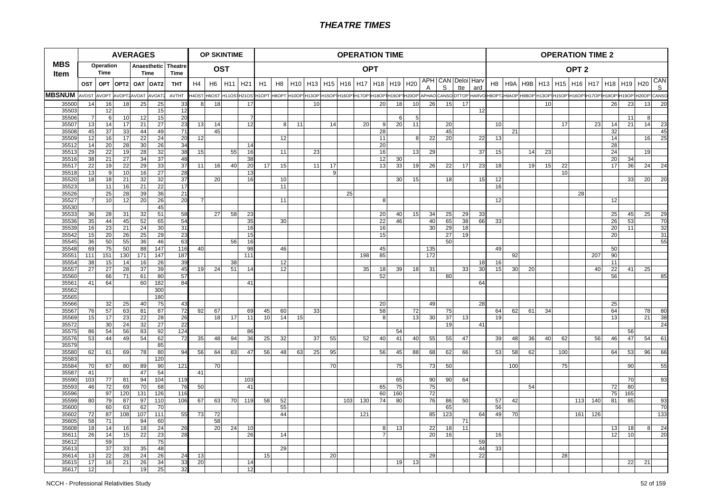|                    |                |                          |                       | <b>AVERAGES</b>                   |                        |                |    | <b>OP SKINTIME</b> |          |    |                |    |    |    |     | <b>OPERATION TIME</b>                         |                      |                 |                |          |          |                                 |                 |                 |                 |    | <b>OPERATION TIME 2</b>                                                                                                                                                                     |                  |     |                       |           |                |                     |
|--------------------|----------------|--------------------------|-----------------------|-----------------------------------|------------------------|----------------|----|--------------------|----------|----|----------------|----|----|----|-----|-----------------------------------------------|----------------------|-----------------|----------------|----------|----------|---------------------------------|-----------------|-----------------|-----------------|----|---------------------------------------------------------------------------------------------------------------------------------------------------------------------------------------------|------------------|-----|-----------------------|-----------|----------------|---------------------|
| <b>MBS</b><br>Item |                | Operation<br><b>Time</b> |                       | Anaesthetic<br><b>Time</b>        | <b>Theatre</b><br>Time |                |    | <b>OST</b>         |          |    |                |    |    |    |     | <b>OPT</b>                                    |                      |                 |                |          |          |                                 |                 |                 |                 |    |                                                                                                                                                                                             | OPT <sub>2</sub> |     |                       |           |                |                     |
|                    | <b>OST</b>     |                          |                       | OPT OPT2 OAT OAT2                 | <b>THT</b>             | H4             |    | H6   H11           | H21      | H1 | H8             |    |    |    |     | H10   H13   H15   H16   H17   H18   H19   H20 |                      |                 |                |          | S.       | APH   CAN   Deloi   Harv<br>tte | ard             |                 |                 |    | H8   H9A   H9B   H13   H15   H16   H17   H18   H19   H20                                                                                                                                    |                  |     |                       |           |                | CAN<br>$\mathbf{S}$ |
| <b>MBSNUM</b>      | AVOST          |                          |                       | AVOPT AVOPTZAVOAT AVOATZ          | AVTHT                  |                |    |                    |          |    |                |    |    |    |     |                                               |                      |                 |                |          |          |                                 |                 |                 |                 |    | H4OST H6OST H11OS1H21OS1H1OPT H8OPT H10OP1H13OP H15OP H16OP1H18OP1H18OP1H2OOP1APHAO CANSO DTTOP HARVO H8OPT1H9AOP H9BOP H13OP H15OP1H15OP1H18OP1H18OP1H18OP1H19OP1H2OP1H2OP1H2OP1H2OP1CANSC |                  |     |                       |           |                |                     |
| 35500              | 14             | 16                       | 18                    | 25<br>25                          | 33                     | 8              | 18 |                    | 17       |    |                |    | 10 |    |     |                                               | 20                   | 18              | 10             | 26       | 15       | 17                              |                 |                 |                 |    | 10                                                                                                                                                                                          |                  |     | 26                    | 23        | 13             | 20                  |
| 35503              | $\overline{7}$ | 12                       |                       | 15                                | 12                     |                |    |                    |          |    |                |    |    |    |     |                                               |                      |                 |                |          |          |                                 | 12              |                 |                 |    |                                                                                                                                                                                             |                  |     |                       |           |                |                     |
| 35506<br>35507     | 13             | 6<br>14                  | 10<br>17 <sup>1</sup> | 12<br>15<br>21<br>27              | 20<br>23               | 13             | 14 |                    | 12       |    | 8 <sup>1</sup> | 11 |    | 14 |     | 20                                            | 9 <sup>1</sup>       | $6 \mid$<br>20  | 5<br>11        |          | 20       |                                 |                 | 10              |                 |    |                                                                                                                                                                                             | 17               | 23  | 14                    | 11<br>21  | 8<br>14        | 23                  |
| 35508              | 45             | 37                       | 33                    | 44<br>49                          | 71                     |                | 45 |                    |          |    |                |    |    |    |     |                                               | 28                   |                 |                |          | 45       |                                 |                 |                 | 21              |    |                                                                                                                                                                                             |                  |     | 32                    |           |                | 45                  |
| 35509              | 12             | 16                       | 17                    | 24<br>22                          | 20                     | 12             |    |                    |          |    | 12             |    |    |    |     |                                               | 11                   |                 | 8 <sup>1</sup> | 22       | 20       |                                 | 22              | 13              |                 |    |                                                                                                                                                                                             |                  |     | 14                    |           | 16             | 25                  |
| 35512              | 14             | 20                       | 28                    | 30<br>26                          | 34                     |                |    |                    | 14       |    |                |    |    |    |     |                                               | 20                   |                 |                |          |          |                                 |                 |                 |                 |    |                                                                                                                                                                                             |                  |     | 28                    |           |                |                     |
| 35513<br>35516     | 29<br>38       | 22<br>21                 | 19<br>27              | 32<br>28<br>37<br>34              | 38<br>48               | 15             |    | 55                 | 16<br>38 |    | 11             |    | 23 |    |     |                                               | 16<br>12             | 30              | 13             | 29       |          |                                 | $\overline{37}$ | 15              |                 | 14 | 23                                                                                                                                                                                          |                  |     | $\overline{24}$<br>20 | 34        | 19             |                     |
| 35517              | 22             | 19                       | 22                    | 29<br>33                          | 37                     | 11             | 16 | 40                 | 20       | 17 | 15             |    | 11 | 17 |     |                                               | 13                   | 33              | 19             | 26       | 22       | 17                              | 23              | 18              |                 | 19 | 15                                                                                                                                                                                          | 22               |     | 17                    | 36        | 24             | 24                  |
| 35518              | 13             | 9                        | 10 <sup>1</sup>       | 27<br>16                          | 28                     |                |    |                    | 13       |    |                |    |    | 9  |     |                                               |                      |                 |                |          |          |                                 |                 |                 |                 |    |                                                                                                                                                                                             | 10               |     |                       |           |                |                     |
| 35520              | 18             | 18                       | 21                    | 32<br>32 <sub>l</sub>             | 37                     |                | 20 |                    | 16       |    | 10             |    |    |    |     |                                               |                      | 30 <sup>1</sup> | 15             |          | 18       |                                 | 15              | 12              |                 |    |                                                                                                                                                                                             |                  |     |                       | 33        | 20             | 20                  |
| 35523              |                | 11                       | 16                    | 22<br>21                          | 17                     |                |    |                    |          |    | 11             |    |    |    |     |                                               |                      |                 |                |          |          |                                 |                 | 16              |                 |    |                                                                                                                                                                                             |                  |     |                       |           |                |                     |
| 35526              | $\overline{7}$ | 25<br>10 <sup>1</sup>    | 28<br>12 <sup>1</sup> | 36<br>39 <sup>°</sup><br>26<br>20 | 21<br>20               | 7 <sup>1</sup> |    |                    |          |    | 11             |    |    |    | 25  |                                               | 8 <sup>1</sup>       |                 |                |          |          |                                 |                 | 12              |                 |    |                                                                                                                                                                                             | 28               |     | 12                    |           |                |                     |
| 35527<br>35530     |                |                          |                       | 45                                |                        |                |    |                    |          |    |                |    |    |    |     |                                               |                      |                 |                |          |          |                                 |                 |                 |                 |    |                                                                                                                                                                                             |                  |     |                       |           |                |                     |
| 35533              | 36             | 28                       | 31                    | 32<br>51                          | 58                     |                | 27 | 58                 | 23       |    |                |    |    |    |     |                                               | 20                   | 40              | 15             | 34       | 25       | 29                              | 33              |                 |                 |    |                                                                                                                                                                                             |                  |     | 25                    | 45        | 25             | 29                  |
| 35536              | 35             | 44                       | 45                    | 52<br>65                          | 54                     |                |    |                    | 35       |    | 30             |    |    |    |     |                                               | 22                   | 46              |                | 40       | 65       | 38                              | 66              | 33              |                 |    |                                                                                                                                                                                             |                  |     | 26                    | 53        |                | 70                  |
| 35539              | 16             | 23                       | 21                    | 30<br>24                          | 31                     |                |    |                    | 16       |    |                |    |    |    |     |                                               | 16                   |                 |                | 30       | 29       | 18                              |                 |                 |                 |    |                                                                                                                                                                                             |                  |     | 20                    | 11        |                | 32                  |
| 35542<br>35545     | 15<br>36       | 20<br>50                 | 26<br>55              | 25<br>29<br>36<br>46              | 23<br>63               |                |    | 56                 | 15<br>16 |    |                |    |    |    |     |                                               | 15                   |                 |                |          | 27<br>50 | 19                              |                 |                 |                 |    |                                                                                                                                                                                             |                  |     | 20                    |           |                | 31<br>55            |
| 35548              | 69             | 75                       | 50                    | 88<br>147                         | 116                    | 40             |    |                    | 98       |    | 46             |    |    |    |     |                                               | 45                   |                 |                | 135      |          |                                 |                 | 49              |                 |    |                                                                                                                                                                                             |                  |     | 50 <sup>1</sup>       |           |                |                     |
| 35551              | 111            | 151                      | 130                   | 171<br>147                        | 187                    |                |    |                    | 111      |    |                |    |    |    |     | 198                                           | 85                   |                 |                | 172      |          |                                 |                 |                 | 92              |    |                                                                                                                                                                                             |                  | 207 | 90                    |           |                |                     |
| 35554              | 38             | 15                       | 14                    | 26<br>16                          | 39                     |                |    | 38                 |          |    | 12             |    |    |    |     |                                               |                      |                 |                |          |          |                                 | 18              | 16 <sup>1</sup> |                 |    |                                                                                                                                                                                             |                  |     | 11                    |           |                |                     |
| 35557              | 27             | 27                       | 28                    | 37<br>39 <sup>°</sup>             | 45                     | 19             | 24 | 51                 | 14       |    | 12             |    |    |    |     | 35                                            | 18                   | 39              | 18             | 31       |          | 33                              | 30              | 15              | 30 <sup>1</sup> | 20 |                                                                                                                                                                                             |                  | 40  | 22                    | 41        | 25             |                     |
| 35560<br>35561     | 41             | 66<br>64                 | 71                    | 80<br>61<br>60<br>182             | 57<br>84               |                |    |                    | 41       |    |                |    |    |    |     |                                               | 52                   |                 |                |          | 80       |                                 | 64              |                 |                 |    |                                                                                                                                                                                             |                  |     | 56                    |           |                | 85                  |
| 35562              |                |                          |                       | 300                               |                        |                |    |                    |          |    |                |    |    |    |     |                                               |                      |                 |                |          |          |                                 |                 |                 |                 |    |                                                                                                                                                                                             |                  |     |                       |           |                |                     |
| 35565              |                |                          |                       | 180                               |                        |                |    |                    |          |    |                |    |    |    |     |                                               |                      |                 |                |          |          |                                 |                 |                 |                 |    |                                                                                                                                                                                             |                  |     |                       |           |                |                     |
| 35566              |                | 32                       | 25                    | 75<br>40                          | 43                     |                |    |                    |          |    |                |    |    |    |     |                                               | 20                   |                 |                | 49       |          |                                 | 28              |                 |                 |    |                                                                                                                                                                                             |                  |     | 25                    |           |                |                     |
| 35567              | 76             | 57                       | 63                    | 87<br>81<br>28                    | 72                     | 92             | 67 |                    | 69       | 45 | 60             |    | 33 |    |     |                                               | 58<br>8 <sup>1</sup> |                 | 72             |          | 75       |                                 |                 | 64              | 62              | 61 | 34                                                                                                                                                                                          |                  |     | 64<br>13              |           | 78<br>21       | 80                  |
| 35569<br>35572     | 15             | 17<br>30                 | 23<br>24              | 22<br>27<br>32                    | 26<br>22               |                | 18 | 17                 | 11       | 10 | 14             | 15 |    |    |     |                                               |                      |                 | 13             | 30       | 37<br>19 | 13                              | 41              | 19 <sup>1</sup> |                 |    |                                                                                                                                                                                             |                  |     |                       |           |                | 38<br>24            |
| 35575              | 86             | 54                       | 56                    | 83<br>92                          | 124                    |                |    |                    | 86       |    |                |    |    |    |     |                                               |                      | 54              |                |          |          |                                 |                 |                 |                 |    |                                                                                                                                                                                             |                  |     |                       | 56        |                |                     |
| 35576              | 53             | 44                       | 49                    | 62<br>54                          | 72                     | 35             | 48 | 94                 | 36       | 25 | 32             |    | 37 | 55 |     | 52                                            | 40                   | 41              | 40             | 55       | 55       | 47                              |                 | 39 <sup>1</sup> | 48              | 36 | 40                                                                                                                                                                                          | 62               | 56  | 46                    | 47        | 54             | 61                  |
| 35579              |                |                          |                       | 85                                |                        |                |    |                    |          |    |                |    |    |    |     |                                               |                      |                 |                |          |          |                                 |                 |                 |                 |    |                                                                                                                                                                                             |                  |     |                       |           |                |                     |
| 35580<br>35583     | 62             | 61                       | 69                    | 78<br>80<br>120                   | 94                     | 56             | 64 | 83                 | 47       | 56 | 48             | 63 | 25 | 95 |     |                                               | 56                   | 45              | 88             | 68       | 62       | 66                              |                 | 53              | 58              | 62 |                                                                                                                                                                                             | 100              |     | 64                    | 53        | 96             | 66                  |
| 35584              | 70             | 67                       | 80                    | 89<br>90                          | 121                    |                | 70 |                    |          |    |                |    |    | 70 |     |                                               |                      | 75              |                | 73       | 50       |                                 |                 |                 | 100             |    |                                                                                                                                                                                             | 75               |     |                       | 90        |                | 55                  |
| 35587              | 41             |                          |                       | 47<br>54                          |                        | 41             |    |                    |          |    |                |    |    |    |     |                                               |                      |                 |                |          |          |                                 |                 |                 |                 |    |                                                                                                                                                                                             |                  |     |                       |           |                |                     |
| 35590              | 103            | 77                       | 81                    | 94<br>104                         | 119                    |                |    |                    | 103      |    |                |    |    |    |     |                                               |                      | 65              |                | 90       | 90       | 64                              |                 |                 |                 |    |                                                                                                                                                                                             |                  |     |                       | 70        |                | 93                  |
| 35593              | 46             | 72                       | 69                    | 70<br>68                          | 76                     | 50             |    |                    | 41       |    |                |    |    |    |     |                                               | 65                   | 75              |                | 75       |          |                                 |                 |                 |                 | 54 |                                                                                                                                                                                             |                  |     | 72                    | 80        |                |                     |
| 35596<br>35599     | 80             | 97<br>79                 | 120<br>87             | 131<br>126<br>97<br>110           | 116<br>106             | 67             | 63 | 70                 | 119      | 58 | 52             |    |    |    | 103 | 130                                           | 60<br>74             | 160<br>80       |                | 72<br>76 | 86       | 50                              |                 | 57              | 42              |    |                                                                                                                                                                                             | 113              | 140 | 75<br>81              | 165<br>85 |                | 93                  |
| 35600              |                | 60                       | 63                    | 62<br>70                          |                        |                |    |                    |          |    | 55             |    |    |    |     |                                               |                      |                 |                |          | 65       |                                 |                 | 56              |                 |    |                                                                                                                                                                                             |                  |     |                       |           |                | 70                  |
| 35602              | 72             | 87                       | 108                   | 107<br>111                        | 55                     | 73             | 72 |                    |          |    | 44             |    |    |    |     | 121                                           |                      |                 |                | 85       | 123      |                                 | 64              | 49              | 70              |    |                                                                                                                                                                                             | 161              | 126 |                       |           |                | 133                 |
| 35605              | 58             | 71                       |                       | 94<br>60                          |                        |                | 58 |                    |          |    |                |    |    |    |     |                                               |                      |                 |                |          |          | 71                              |                 |                 |                 |    |                                                                                                                                                                                             |                  |     |                       |           |                |                     |
| 35608              | 18             | 14                       | 16                    | 24<br>18                          | 26                     |                | 20 | 24                 | 10       |    |                |    |    |    |     |                                               | 8                    | 13              |                | 22       | 18       | 11                              |                 |                 |                 |    |                                                                                                                                                                                             |                  |     | 13                    | 18        | 8 <sup>1</sup> | 24                  |
| 35611<br>35612     | 26             | 14<br>59                 | 15                    | 22<br>23<br>75                    | 28                     |                |    |                    | 26       |    | 14             |    |    |    |     |                                               | $\overline{7}$       |                 |                | 20       | 16       |                                 | 59              | 16              |                 |    |                                                                                                                                                                                             |                  |     | 12                    | 10        |                | 20                  |
| 35613              |                | 37                       | 33 <sub>1</sub>       | 48<br>35 <sub>1</sub>             |                        |                |    |                    |          |    | 29             |    |    |    |     |                                               |                      |                 |                |          |          |                                 | 44              | 33 <sup>1</sup> |                 |    |                                                                                                                                                                                             |                  |     |                       |           |                |                     |
| 35614              | 13             | 22                       | 28                    | 24<br>26                          | 24                     | 13             |    |                    |          | 15 |                |    |    | 20 |     |                                               |                      |                 |                | 29       |          |                                 | 22              |                 |                 |    |                                                                                                                                                                                             | 28               |     |                       |           |                |                     |
| 35615              | 17             | 16                       | 21                    | 26<br>34                          | 33                     | 20             |    |                    | 14       |    |                |    |    |    |     |                                               |                      | 19              | 13             |          |          |                                 |                 |                 |                 |    |                                                                                                                                                                                             |                  |     |                       | 22        | 21             |                     |
| 35617              | 12             |                          |                       | 25<br>19                          | 32                     |                |    |                    | 12       |    |                |    |    |    |     |                                               |                      |                 |                |          |          |                                 |                 |                 |                 |    |                                                                                                                                                                                             |                  |     |                       |           |                |                     |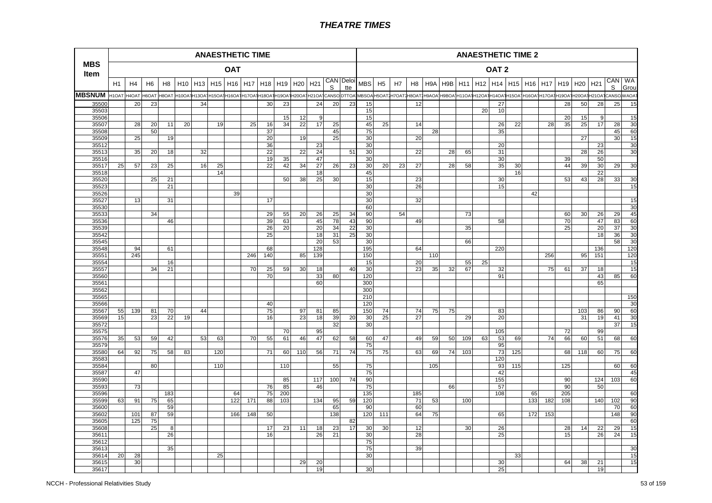|                    |                 |     |                |                |                                                                                          |    |     | <b>ANAESTHETIC TIME</b> |     |                 |          |                                                                 |           |                |     |            |                |    |                 |                  |    |     |    |                  | <b>ANAESTHETIC TIME 2</b>                                                                            |     |     |          |          |          |             |           |
|--------------------|-----------------|-----|----------------|----------------|------------------------------------------------------------------------------------------|----|-----|-------------------------|-----|-----------------|----------|-----------------------------------------------------------------|-----------|----------------|-----|------------|----------------|----|-----------------|------------------|----|-----|----|------------------|------------------------------------------------------------------------------------------------------|-----|-----|----------|----------|----------|-------------|-----------|
| <b>MBS</b><br>Item |                 |     |                |                |                                                                                          |    |     | <b>OAT</b>              |     |                 |          |                                                                 |           |                |     |            |                |    |                 |                  |    |     |    | OAT <sub>2</sub> |                                                                                                      |     |     |          |          |          |             |           |
|                    | H1              | H4  | H <sub>6</sub> | H <sub>8</sub> | H10   H13   H15   H16   H17                                                              |    |     |                         |     |                 |          | H <sub>18</sub> H <sub>19</sub> H <sub>20</sub> H <sub>21</sub> |           | CAN Deloi<br>S | tte | MBS        | H <sub>5</sub> | H7 | H <sub>8</sub>  | H <sub>9</sub> A |    |     |    |                  | H9B   H11   H12   H14   H15   H16   H17   H19   H20   H21                                            |     |     |          |          |          | CAN WA<br>S | Grou      |
| <b>MBSNUM</b>      |                 |     |                |                | H1OAT H4OAT H6OAT H8OAT H10OATH13OATH15OATH16OATH17OATH18OATH19OATH20OATH21OATCANSODTTOA |    |     |                         |     |                 |          |                                                                 |           |                |     |            |                |    |                 |                  |    |     |    |                  | MBSOA H5OAT1H7OAT1H8OAT1H9AOA H9BOA H11OATH12OATH14OATH15OATH16OATH17OATH19OATH20OATH21OATCANSO WAOA |     |     |          |          |          |             |           |
| 35500              |                 | 20  | 23             |                |                                                                                          | 34 |     |                         |     | 30              | 23       |                                                                 | 24        | 20             | 23  | 15         |                |    | 12              |                  |    |     |    | 27               |                                                                                                      |     |     | 28       | 50       | 28       | 25          | 15        |
| 35503              |                 |     |                |                |                                                                                          |    |     |                         |     |                 |          |                                                                 |           |                |     | 15         |                |    |                 |                  |    |     | 20 | 10               |                                                                                                      |     |     |          |          |          |             |           |
| 35506<br>35507     |                 | 28  |                | 11             | 20                                                                                       |    | 19  |                         | 25  | 16              | 15<br>34 | 12<br>22                                                        | 9<br>17   | 25             |     | 15<br>45   | 25             |    | 14              |                  |    |     |    | 26               |                                                                                                      |     | 28  | 20<br>35 | 15<br>25 | 9<br>17  |             | 15<br>30  |
| 35508              |                 |     | 20<br>50       |                |                                                                                          |    |     |                         |     | $\overline{37}$ |          |                                                                 |           | 45             |     | 75         |                |    |                 | 28               |    |     |    | 35               | 22                                                                                                   |     |     |          |          |          | 28<br>45    | 60        |
| 35509              |                 | 25  |                | 19             |                                                                                          |    |     |                         |     | 20              |          | 19                                                              |           | 25             |     | 30         |                |    | 20              |                  |    |     |    |                  |                                                                                                      |     |     |          | 27       |          | 30          | 15        |
| 35512              |                 |     |                |                |                                                                                          |    |     |                         |     | 36              |          |                                                                 | 23        |                |     | 30         |                |    |                 |                  |    |     |    | 20               |                                                                                                      |     |     |          |          | 23       |             | 30        |
| 35513              |                 | 35  | 20             | 18             |                                                                                          | 32 |     |                         |     | 22              |          | 22                                                              | 24        |                | 51  | 30         |                |    | $\overline{22}$ |                  | 28 | 65  |    | 31               |                                                                                                      |     |     |          | 28       | 26       |             | 30        |
| 35516              | 25              | 57  | 23             | 25             |                                                                                          | 16 | 25  |                         |     | 19<br>22        | 35<br>42 | 34                                                              | 47<br>27  | 26             | 23  | 30<br>30   | 20             | 23 | 27              |                  | 28 | 58  |    | 30<br>35         | 30                                                                                                   |     |     | 39<br>44 | 39       | 50<br>30 | 29          | 30        |
| 35517<br>35518     |                 |     |                |                |                                                                                          |    | 14  |                         |     |                 |          |                                                                 | 18        |                |     | 45         |                |    |                 |                  |    |     |    |                  | 16                                                                                                   |     |     |          |          | 22       |             |           |
| 35520              |                 |     | 25             | 21             |                                                                                          |    |     |                         |     |                 | 50       | 38                                                              | 25        | 30             |     | 15         |                |    | 23              |                  |    |     |    | 30               |                                                                                                      |     |     | 53       | 43       | 28       | 33          | 30        |
| 35523              |                 |     |                | 21             |                                                                                          |    |     |                         |     |                 |          |                                                                 |           |                |     | 30         |                |    | 26              |                  |    |     |    | 15               |                                                                                                      |     |     |          |          |          |             | 15        |
| 35526              |                 |     |                |                |                                                                                          |    |     | 39                      |     |                 |          |                                                                 |           |                |     | 30         |                |    |                 |                  |    |     |    |                  |                                                                                                      | 42  |     |          |          |          |             |           |
| 35527<br>35530     |                 | 13  |                | 31             |                                                                                          |    |     |                         |     | 17              |          |                                                                 |           |                |     | 30<br>60   |                |    | 32              |                  |    |     |    |                  |                                                                                                      |     |     |          |          |          |             | 15<br>30  |
| 35533              |                 |     | 34             |                |                                                                                          |    |     |                         |     | 29              | 55       | 20                                                              | 26        | 25             | 34  | 90         |                | 54 |                 |                  |    | 73  |    |                  |                                                                                                      |     |     | 60       | 30       | 26       | 29          | 45        |
| 35536              |                 |     |                | 46             |                                                                                          |    |     |                         |     | 39              | 63       |                                                                 | 45        | 78             | 43  | 90         |                |    | 49              |                  |    |     |    | 58               |                                                                                                      |     |     | 70       |          | 47       | 83          | 60        |
| 35539              |                 |     |                |                |                                                                                          |    |     |                         |     | 26              | 20       |                                                                 | 20        | 34             | 22  | 30         |                |    |                 |                  |    | 35  |    |                  |                                                                                                      |     |     | 25       |          | 20       | 37          | 30        |
| 35542              |                 |     |                |                |                                                                                          |    |     |                         |     | 25              |          |                                                                 | 18        | 31             | 25  | 30         |                |    |                 |                  |    |     |    |                  |                                                                                                      |     |     |          |          | 18       | 36          | 30        |
| 35545<br>35548     |                 | 94  |                | 61             |                                                                                          |    |     |                         |     | 68              |          |                                                                 | 20<br>128 | 53             |     | 30<br>195  |                |    | 64              |                  |    | 66  |    | 220              |                                                                                                      |     |     |          |          | 136      | 58          | 30<br>120 |
| 35551              |                 | 245 |                |                |                                                                                          |    |     |                         | 246 | 140             |          | 85                                                              | 139       |                |     | 150        |                |    |                 | 110              |    |     |    |                  |                                                                                                      |     | 256 |          | 95       | 151      |             | 120       |
| 35554              |                 |     |                | 16             |                                                                                          |    |     |                         |     |                 |          |                                                                 |           |                |     | 15         |                |    | 20              |                  |    | 55  | 25 |                  |                                                                                                      |     |     |          |          |          |             | 15        |
| 35557              |                 |     | 34             | 21             |                                                                                          |    |     |                         | 70  | 25              | 59       | 30                                                              | 18        |                | 40  | 30         |                |    | 23              | 35               | 32 | 67  |    | 32               |                                                                                                      |     | 75  | 61       | 37       | 18       |             | 15        |
| 35560              |                 |     |                |                |                                                                                          |    |     |                         |     | 70              |          |                                                                 | 33        | 80             |     | 120        |                |    |                 |                  |    |     |    | 91               |                                                                                                      |     |     |          |          | 43       | 85          | 60        |
| 35561<br>35562     |                 |     |                |                |                                                                                          |    |     |                         |     |                 |          |                                                                 | 60        |                |     | 300<br>300 |                |    |                 |                  |    |     |    |                  |                                                                                                      |     |     |          |          | 65       |             |           |
| 35565              |                 |     |                |                |                                                                                          |    |     |                         |     |                 |          |                                                                 |           |                |     | 210        |                |    |                 |                  |    |     |    |                  |                                                                                                      |     |     |          |          |          |             | 150       |
| 35566              |                 |     |                |                |                                                                                          |    |     |                         |     | 40              |          |                                                                 |           |                |     | 120        |                |    |                 |                  |    |     |    |                  |                                                                                                      |     |     |          |          |          |             | 30        |
| 35567              | 55              | 139 | 81             | 70             |                                                                                          | 44 |     |                         |     | 75              |          | 97                                                              | 81        | 85             |     | 150        | 74             |    | 74              | 75               | 75 |     |    | 83               |                                                                                                      |     |     |          | 103      | 86       | 90          | 60        |
| 35569              | 15 <sup>1</sup> |     | 23             | 22             | 19                                                                                       |    |     |                         |     | 16              |          | 23                                                              | 18        | 39             | 20  | 30         | 25             |    | 27              |                  |    | 29  |    | 20               |                                                                                                      |     |     |          | 31       | 19       | 41          | 30        |
| 35572<br>35575     |                 |     |                |                |                                                                                          |    |     |                         |     |                 | 70       |                                                                 | 95        | 32             |     | 30         |                |    |                 |                  |    |     |    | 105              |                                                                                                      |     |     | 72       |          | 99       | 37          | 15        |
| 35576              | 35              | 53  | 59             | 42             |                                                                                          | 53 | 63  |                         | 70  | 55              | 61       | 46                                                              | 47        | 62             | 58  | 60         | 47             |    | 49              | 59               | 50 | 109 | 63 | 53               | 69                                                                                                   |     | 74  | 66       | 60       | 51       | 68          | 60        |
| 35579              |                 |     |                |                |                                                                                          |    |     |                         |     |                 |          |                                                                 |           |                |     | 75         |                |    |                 |                  |    |     |    | 95               |                                                                                                      |     |     |          |          |          |             |           |
| 35580              | 64              | 92  | 75             | 58             | 83                                                                                       |    | 120 |                         |     | 71              | 60       | 110                                                             | 56        | 71             | 74  | 75         | 75             |    | 63              | 69               | 74 | 103 |    | 73               | 125                                                                                                  |     |     | 68       | 118      | 60       | 75          | 60        |
| 35583              |                 |     |                |                |                                                                                          |    |     |                         |     |                 |          |                                                                 |           |                |     |            |                |    |                 |                  |    |     |    | 120              |                                                                                                      |     |     |          |          |          |             |           |
| 35584<br>35587     |                 | 47  | 80             |                |                                                                                          |    | 110 |                         |     |                 | 110      |                                                                 |           | 55             |     | 75<br>75   |                |    |                 | 105              |    |     |    | 93<br>42         | 115                                                                                                  |     |     | 125      |          |          | 60          | 60<br>45  |
| 35590              |                 |     |                |                |                                                                                          |    |     |                         |     |                 | 85       |                                                                 | 117       | 100            | 74  | 90         |                |    |                 |                  |    |     |    | 155              |                                                                                                      |     |     | 90       |          | 124      | 103         | 60        |
| 35593              |                 | 73  |                |                |                                                                                          |    |     |                         |     | 76              | 85       |                                                                 | 46        |                |     | 75         |                |    |                 |                  | 66 |     |    | 57               |                                                                                                      |     |     | 90       |          | 50       |             |           |
| 35596              |                 |     |                | 183            |                                                                                          |    |     | 64                      |     | 75              | 200      |                                                                 |           |                |     | 135        |                |    | 185             |                  |    |     |    | 108              |                                                                                                      | 65  |     | 205      |          |          |             | 60        |
| 35599              | 63              | 91  | 75             | 65             |                                                                                          |    |     | 122                     | 171 | 88              | 103      |                                                                 | 134       | 95             | 59  | 120        |                |    | 71              | 53               |    | 100 |    |                  |                                                                                                      | 133 | 182 | 108      |          | 140      | 102         | 90        |
| 35600<br>35602     |                 | 101 | 87             | 59<br>59       |                                                                                          |    |     | 166                     | 148 | 50              |          |                                                                 |           | 65<br>138      |     | 90<br>120  | 111            |    | 60<br>64        | 75               |    |     |    | 65               |                                                                                                      | 172 | 153 |          |          |          | 70<br>148   | 60<br>90  |
| 35605              |                 | 125 | 75             |                |                                                                                          |    |     |                         |     |                 |          |                                                                 |           |                | 82  |            |                |    |                 |                  |    |     |    |                  |                                                                                                      |     |     |          |          |          |             | 60        |
| 35608              |                 |     | 25             | 8              |                                                                                          |    |     |                         |     | 17              | 23       | 11                                                              | 18        | 23             | 17  | 30         | 30             |    | 12              |                  |    | 30  |    | 26               |                                                                                                      |     |     | 28       | 14       | 22       | 29          | 15        |
| 35611              |                 |     |                | 26             |                                                                                          |    |     |                         |     | 16              |          |                                                                 | 26        | 21             |     | 30         |                |    | 28              |                  |    |     |    | 25               |                                                                                                      |     |     | 15       |          | 26       | 24          | 15        |
| 35612              |                 |     |                |                |                                                                                          |    |     |                         |     |                 |          |                                                                 |           |                |     | 75         |                |    |                 |                  |    |     |    |                  |                                                                                                      |     |     |          |          |          |             |           |
| 35613<br>35614     | 20              | 28  |                | 35             |                                                                                          |    | 25  |                         |     |                 |          |                                                                 |           |                |     | 75<br>30   |                |    | 39              |                  |    |     |    |                  | 33                                                                                                   |     |     |          |          |          |             | 30<br>15  |
| 35615              |                 | 30  |                |                |                                                                                          |    |     |                         |     |                 |          | 29                                                              | 20        |                |     |            |                |    |                 |                  |    |     |    | 30               |                                                                                                      |     |     | 64       | 38       | 21       |             | 15        |
| 35617              |                 |     |                |                |                                                                                          |    |     |                         |     |                 |          |                                                                 | 19        |                |     | 30         |                |    |                 |                  |    |     |    | 25               |                                                                                                      |     |     |          |          | 19       |             |           |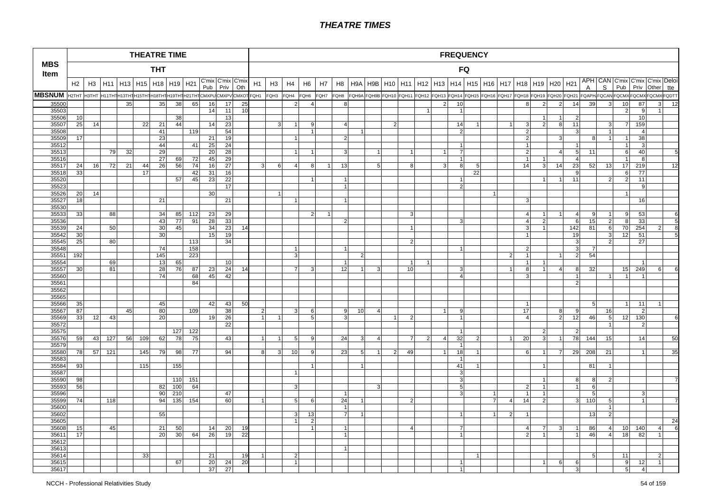| <b>MBS</b><br><b>THT</b><br><b>Item</b>                                                      |    |                                  |                |                |                                  |                                  |                |                                                                                                                                                                                                                              |                |                |                |                |                                      |    |                                                  |                                  |                                        |                      |                              |                                                       |                       |                                  |         |
|----------------------------------------------------------------------------------------------|----|----------------------------------|----------------|----------------|----------------------------------|----------------------------------|----------------|------------------------------------------------------------------------------------------------------------------------------------------------------------------------------------------------------------------------------|----------------|----------------|----------------|----------------|--------------------------------------|----|--------------------------------------------------|----------------------------------|----------------------------------------|----------------------|------------------------------|-------------------------------------------------------|-----------------------|----------------------------------|---------|
|                                                                                              |    |                                  |                |                |                                  |                                  |                |                                                                                                                                                                                                                              |                |                |                |                | <b>FQ</b>                            |    |                                                  |                                  |                                        |                      |                              |                                                       |                       |                                  |         |
| H11 H13 H15 H18 H19 H21<br>H2<br>H3<br>Pub                                                   |    | C'mix C'mix C'mix<br>Priv<br>Oth | H1             | H3             | H <sub>6</sub><br>H <sub>4</sub> | H7                               |                | H8   H9A   H9B   H10   H11   H12   H13   H14   H15   H16   H17   H18   H19   H20   H21                                                                                                                                       |                |                |                |                |                                      |    |                                                  |                                  |                                        |                      | S.                           | APH CAN C'mix C'mix C'mix Deloi<br>Pub Priv Other tte |                       |                                  |         |
| MBSNUM H2THT H3THT H11THTH13THTH15THTH18THTH19THTH21THTCMXPUCMXPVCMXOTFQH1 FQH3 FQH4         |    |                                  |                |                |                                  |                                  |                | FQH6  FQH7  FQH8  FQH9A FQH9B FQH10 FQH11 FQH12 FQH12 FQH13 FQH14 FQH15 FQH16 FQH17 FQH18 FQH19 FQH20 FQH21 FQAPH FQCAN FQCMX FQCMX FQCMX FQCMX FQCMX FQCMX FQCMX FQCMX FQCMX FQCMX FQCMX FQCMX FQCMX FQCMX FQCMX FQCMX FQCM |                |                |                |                |                                      |    |                                                  |                                  |                                        |                      |                              |                                                       |                       |                                  |         |
| 35<br>35<br>38<br>65<br>16<br>35500                                                          |    | 17<br>25                         |                |                | 2 <sup>1</sup>                   | $\overline{4}$                   | 8              |                                                                                                                                                                                                                              |                |                |                | $\overline{2}$ | 10 <sup>1</sup>                      |    | 8                                                | $\overline{2}$                   | 14<br>$2 \vert$                        | 39                   | $\mathbf{3}$                 | 10 <sup>1</sup>                                       | 87                    | 3 <sup>1</sup>                   | 12      |
| 35503<br>14                                                                                  |    | 11<br>10                         |                |                |                                  |                                  |                |                                                                                                                                                                                                                              |                |                | $\mathbf{1}$   |                | $\mathbf{1}$                         |    |                                                  |                                  |                                        |                      |                              | $\overline{2}$                                        | 9                     | $\mathbf{1}$                     |         |
| 35506<br>10<br>38                                                                            |    | 13                               |                |                |                                  |                                  |                |                                                                                                                                                                                                                              |                |                |                |                |                                      |    |                                                  | $\mathbf{1}$<br>1                | $\overline{2}$                         |                      |                              |                                                       | 10                    |                                  |         |
| 25<br>22<br>35507<br>14<br>21<br>44<br>14<br>119<br>35508<br>41                              |    | 23<br>54                         |                | 3 <sup>l</sup> |                                  | 9 <sup>1</sup><br>1 <sup>1</sup> | 4 <sup>1</sup> | $\mathbf{1}$                                                                                                                                                                                                                 | 2 <sup>1</sup> |                |                |                | 14<br>2                              |    | 3 <sup>1</sup><br>$\mathbf{1}$<br>$\overline{2}$ | 2 <sup>1</sup>                   | 8 <sup>1</sup><br>11<br>3 <sup>l</sup> |                      | $\mathbf{3}$<br>$\mathbf{1}$ | $\overline{7}$                                        | 159<br>$\overline{4}$ |                                  |         |
| 23<br>17<br>35509<br>21                                                                      |    | 19                               |                |                | $\mathbf{1}$                     |                                  | $\overline{2}$ |                                                                                                                                                                                                                              |                |                |                |                |                                      |    | $\overline{2}$                                   |                                  | $\mathbf{3}$                           | 8                    | $\mathbf{1}$                 | 1                                                     | 38                    |                                  |         |
| 44<br>25<br>35512<br>41                                                                      |    | 24                               |                |                |                                  |                                  |                |                                                                                                                                                                                                                              |                |                |                |                | 1                                    |    | 1                                                |                                  | 11                                     |                      |                              | 11                                                    | $\mathbf{3}$          |                                  |         |
| 79<br>32<br>29<br>20<br>35513                                                                |    | 28                               |                |                | $\vert$ 1                        | 1                                | 3              | 1                                                                                                                                                                                                                            |                |                |                | $\mathbf{1}$   | $\overline{7}$                       |    | $\overline{2}$                                   |                                  | 5 <sup>1</sup><br>4 <sup>1</sup>       | 11                   |                              | 6                                                     | 40                    |                                  | F       |
| 27<br>69<br>72<br>45<br>35516                                                                |    | 29                               |                |                |                                  | 1                                |                |                                                                                                                                                                                                                              |                |                |                |                | 1                                    |    | $\overline{1}$<br>14                             |                                  | $\overline{4}$                         |                      |                              | $\mathbf{1}$                                          | 8                     |                                  |         |
| 72<br>21<br>44<br>26<br>56<br>74<br>35517<br>24<br>16<br>16<br>17<br>33<br>42<br>31<br>35518 |    | 27<br>16                         | 3 <sup>1</sup> | 6              | $\overline{4}$                   | 8 <sup>1</sup>                   | 13             | 5 <sup>1</sup>                                                                                                                                                                                                               |                | 8              |                | 3 <sup>1</sup> | 8<br>5<br>22                         |    |                                                  | 3 <sup>1</sup><br>14             | 23<br>9                                | 52                   | 13                           | 17<br>$6 \mid$                                        | 219<br>77             |                                  | 12      |
| $\overline{23}$<br>57<br>45<br>35520                                                         |    | $\overline{22}$                  |                |                |                                  | 1                                | $\overline{1}$ |                                                                                                                                                                                                                              |                |                |                |                | 11                                   |    |                                                  | $\mathbf{1}$<br>11               | 11                                     |                      | $\overline{2}$               | $\overline{2}$                                        | 11                    |                                  |         |
| 35523                                                                                        |    | 17                               |                |                |                                  |                                  | $\vert$ 1      |                                                                                                                                                                                                                              |                |                |                |                | $\overline{2}$                       |    |                                                  |                                  |                                        |                      |                              |                                                       | 9                     |                                  |         |
| 30<br>35526<br>20<br>14                                                                      |    |                                  |                | 1              |                                  |                                  |                |                                                                                                                                                                                                                              |                |                |                |                |                                      | 11 |                                                  |                                  |                                        |                      |                              | $\mathbf{1}$                                          |                       |                                  |         |
| 18<br>21<br>35527                                                                            |    | 21                               |                |                | $\mathbf{1}$                     |                                  | $\vert$ 1      |                                                                                                                                                                                                                              |                |                |                |                |                                      |    | 3 <sup>1</sup>                                   |                                  |                                        |                      |                              |                                                       | 16                    |                                  |         |
| 35530<br>33<br>88<br>34<br>85<br>112<br>23<br>35533                                          |    | 29                               |                |                |                                  | 2 <br>$\overline{1}$             |                |                                                                                                                                                                                                                              |                | 3              |                |                |                                      |    | $\vert$                                          | 1<br>$\overline{1}$              | $\vert$ 4                              | 9                    | $\mathbf{1}$                 | 9                                                     | 53                    |                                  | 6       |
| 43<br>35536<br>77<br>91<br>28                                                                |    | 33                               |                |                |                                  |                                  | $2 \vert$      |                                                                                                                                                                                                                              |                |                |                |                | 3                                    |    | 4 <sup>1</sup>                                   | 2                                | 6                                      | 15                   | $\overline{2}$               | 8 <sup>1</sup>                                        | 33                    |                                  | 5       |
| 30<br>45<br>35539<br>24<br>50<br>34                                                          |    | 23<br>14                         |                |                |                                  |                                  |                |                                                                                                                                                                                                                              |                | $\overline{1}$ |                |                |                                      |    | $\mathbf{3}$                                     | 1 <sup>1</sup>                   | 142                                    | 81                   | 6                            | 70                                                    | 254                   | $2 \mid$                         | -8      |
| 30<br>30<br>15<br>35542                                                                      |    | 19                               |                |                |                                  |                                  |                |                                                                                                                                                                                                                              |                |                |                |                |                                      |    | 1                                                |                                  | 19                                     |                      | $\mathbf{3}$                 | 12                                                    | 51                    |                                  | F       |
| 25<br>80<br>113<br>35545                                                                     |    | 34                               |                |                |                                  |                                  |                |                                                                                                                                                                                                                              |                | $\overline{2}$ |                |                |                                      |    |                                                  |                                  | $\mathbf{3}$                           |                      | $\overline{2}$               |                                                       | 27                    |                                  |         |
| 74<br>158<br>35548<br>223<br>192<br>145                                                      |    |                                  |                |                | $\mathbf{1}$<br>3                |                                  | $\overline{1}$ | 2 <sup>1</sup>                                                                                                                                                                                                               |                |                |                |                |                                      |    | 2 <sup>1</sup><br>2<br>1                         |                                  | 3 <sup>1</sup><br>$\overline{2}$<br>1  | $\overline{7}$<br>54 |                              |                                                       |                       |                                  |         |
| 35551<br>35554<br>69<br>13<br>65                                                             |    | 10                               |                |                |                                  |                                  | $\mathbf{1}$   |                                                                                                                                                                                                                              |                | $\overline{1}$ | $\overline{1}$ |                |                                      |    | 1                                                | $\mathbf{1}$                     |                                        |                      |                              |                                                       | $\overline{1}$        |                                  |         |
| 28<br>23<br>35557<br>30<br>81<br>76<br>87                                                    |    | 24<br>14                         |                |                | $\overline{7}$                   | 3 <sup>1</sup>                   | 12             | 3 <sup>1</sup>                                                                                                                                                                                                               |                | 10             |                |                | 3                                    |    | 8 <sup>1</sup><br>$\mathbf{1}$                   | 1                                | 8<br>$\overline{4}$                    | 32                   |                              | 15                                                    | 249                   | $6 \mid$                         | 6       |
| 74<br>68<br>45<br>35560                                                                      | 42 |                                  |                |                |                                  |                                  |                |                                                                                                                                                                                                                              |                |                |                |                | $\overline{\mathbf{A}}$              |    | $\mathbf{3}$                                     |                                  | 1                                      |                      | 1                            | 1                                                     | $\mathbf{1}$          |                                  |         |
| 35561<br>84                                                                                  |    |                                  |                |                |                                  |                                  |                |                                                                                                                                                                                                                              |                |                |                |                |                                      |    |                                                  |                                  | $\overline{2}$                         |                      |                              |                                                       |                       |                                  |         |
| 35562                                                                                        |    |                                  |                |                |                                  |                                  |                |                                                                                                                                                                                                                              |                |                |                |                |                                      |    |                                                  |                                  |                                        |                      |                              |                                                       |                       |                                  |         |
| 35565<br>35566<br>45<br>42<br>35                                                             |    | 43<br>50                         |                |                |                                  |                                  |                |                                                                                                                                                                                                                              |                |                |                |                |                                      |    |                                                  |                                  |                                        | 5                    |                              | 1                                                     | 11                    |                                  |         |
| 87<br>45<br>80<br>109<br>35567                                                               | 38 |                                  | $\overline{2}$ |                | 3 <sup>1</sup>                   | 6 <sup>1</sup>                   | 9              | 10 <sup>1</sup><br>4 <sup>1</sup>                                                                                                                                                                                            |                |                |                | $\overline{1}$ | 9                                    |    | 17                                               |                                  | 8<br>9                                 |                      | 16                           |                                                       | $\overline{2}$        |                                  |         |
| 35569<br>33<br>12<br>43<br>20<br>19                                                          |    | 26                               | $\mathbf{1}$   |                |                                  | 5 <sup>1</sup>                   | 3 <sup>1</sup> |                                                                                                                                                                                                                              | 1 <sup>1</sup> | $\overline{2}$ |                |                | 1                                    |    | $\vert$ 4                                        |                                  | $2 \vert$<br>12                        | 46                   | $5\phantom{.0}$              | 12                                                    | 130                   |                                  | 6       |
| 35572                                                                                        |    | 22                               |                |                |                                  |                                  |                |                                                                                                                                                                                                                              |                |                |                |                |                                      |    |                                                  |                                  |                                        |                      | $\mathbf{1}$                 |                                                       | $\overline{2}$        |                                  |         |
| 127<br>122<br>35575<br>59<br>43<br>127<br>56<br>109<br>62<br>78<br>75                        |    | 43                               |                | $\mathbf{1}$   |                                  | 9 <sup>1</sup>                   | 24             | 3 <sup>1</sup><br>4 <sup>1</sup>                                                                                                                                                                                             |                | $\overline{7}$ | $\overline{2}$ |                | $\mathbf{1}$<br>32<br>$\overline{2}$ |    | 20<br>$\mathbf{1}$                               | 2 <sup>1</sup><br>3 <sup>1</sup> | $\overline{2}$<br>78<br>11             | 144                  | 15                           |                                                       | 14                    |                                  | 50      |
| 35576<br>35579                                                                               |    |                                  | $\mathbf{1}$   |                | 5                                |                                  |                |                                                                                                                                                                                                                              |                |                |                | $\overline{4}$ | 1                                    |    |                                                  |                                  |                                        |                      |                              |                                                       |                       |                                  |         |
| 79<br>35580<br>78<br>57<br>121<br>145<br>98<br>77                                            |    | 94                               | 8 <sup>1</sup> | 3 <sup>l</sup> | 10 <sup>1</sup>                  | 9 <sup>1</sup>                   | 23             | 5 <sub>l</sub><br>11                                                                                                                                                                                                         | $\overline{2}$ | 49             |                | 1 <sup>1</sup> | 18                                   |    | 6                                                | 1                                | $\overline{7}$<br>29                   | 208                  | 21                           |                                                       | 1                     |                                  | 35      |
| 35583                                                                                        |    |                                  |                |                |                                  |                                  |                |                                                                                                                                                                                                                              |                |                |                |                | $\mathbf{1}$                         |    |                                                  |                                  |                                        |                      |                              |                                                       |                       |                                  |         |
| 35584<br>93<br>115<br>155                                                                    |    |                                  |                |                |                                  | $\mathbf{1}$                     |                | 1                                                                                                                                                                                                                            |                |                |                |                | 41                                   |    |                                                  | 1                                |                                        | 81                   | $\mathbf{1}$                 |                                                       |                       |                                  |         |
| 35587<br>151<br>110<br>98                                                                    |    |                                  |                |                | $\overline{1}$                   |                                  |                |                                                                                                                                                                                                                              |                |                |                |                | $\overline{3}$<br>$\overline{3}$     |    |                                                  |                                  | 8                                      | 8                    | $\overline{2}$               |                                                       |                       |                                  |         |
| 35590<br>82<br>100<br>64<br>35593<br>56                                                      |    |                                  |                |                | $3 \mid$                         |                                  |                | 3 <sup>1</sup>                                                                                                                                                                                                               |                |                |                |                | 5 <sub>5</sub>                       |    | $\left  \right $                                 | 1 <sup>1</sup>                   | 11                                     | $6 \mid$             |                              |                                                       |                       |                                  |         |
| 90<br>210<br>35596                                                                           |    | 47                               |                |                |                                  |                                  | 11             |                                                                                                                                                                                                                              |                |                |                |                | $\overline{3}$                       | 1  | $\overline{1}$                                   | 1 <sup>1</sup>                   |                                        | 5                    |                              |                                                       | 3                     |                                  |         |
| 74<br>118<br>94<br>135<br>154<br>35599                                                       |    | 60                               | $\mathbf{1}$   |                | 5 <sup>1</sup>                   | 6 <sup>1</sup>                   | 24             | 1                                                                                                                                                                                                                            |                | $\overline{2}$ |                |                |                                      | 7  | 14<br>$\overline{4}$                             | 2 <sup>1</sup>                   | 3 <sup>1</sup>                         | 110                  | 5                            |                                                       | 1                     |                                  |         |
| 35600                                                                                        |    |                                  |                |                |                                  |                                  | $\overline{1}$ |                                                                                                                                                                                                                              |                |                |                |                |                                      |    |                                                  |                                  |                                        |                      | $\mathbf{1}$                 |                                                       |                       |                                  |         |
| 35602<br>55                                                                                  |    |                                  |                |                | $\mathbf{3}$<br>11               | 13                               | $\overline{7}$ |                                                                                                                                                                                                                              |                |                |                |                | 1                                    | 11 | $\overline{2}$                                   |                                  |                                        | 13                   | $\overline{2}$               |                                                       |                       |                                  |         |
| 35605<br>21<br>50<br>35608<br>15<br>45<br>14                                                 |    | 20<br>19                         |                |                |                                  | 2 <br>1 <sup>1</sup>             | $\overline{1}$ |                                                                                                                                                                                                                              |                | $\overline{4}$ |                |                | $\overline{7}$                       |    | $\vert$ 4                                        | $\overline{7}$                   | 3 <sup>1</sup><br>11                   | 86                   | $\overline{4}$               | 10                                                    | 140                   | $\overline{4}$                   | 24<br>6 |
| 26<br>17<br>20<br>30 <sup>1</sup><br>64<br>35611                                             |    | 22<br>19                         |                |                |                                  |                                  | 1              |                                                                                                                                                                                                                              |                |                |                |                | $\mathbf{1}$                         |    | $\overline{2}$                                   | $\mathbf{1}$                     | 11                                     | 46                   | $\overline{4}$               | 18                                                    | 82                    | 11                               |         |
| 35612                                                                                        |    |                                  |                |                |                                  |                                  |                |                                                                                                                                                                                                                              |                |                |                |                |                                      |    |                                                  |                                  |                                        |                      |                              |                                                       |                       |                                  |         |
| 35613                                                                                        |    |                                  |                |                |                                  |                                  | 1              |                                                                                                                                                                                                                              |                |                |                |                |                                      |    |                                                  |                                  |                                        |                      |                              |                                                       |                       |                                  |         |
| 33<br>35614<br>21<br>35615<br>67<br>20                                                       |    | 19<br>20<br>24                   | $\mathbf{1}$   |                | $\overline{2}$<br>$\mathbf{1}$   |                                  |                |                                                                                                                                                                                                                              |                |                |                |                | $\mathbf{1}$                         |    |                                                  |                                  |                                        | 5                    |                              | 11<br>9                                               | 12                    | $\overline{2}$<br>$\overline{1}$ |         |
| 37<br>35617                                                                                  |    | 27                               |                |                |                                  |                                  |                |                                                                                                                                                                                                                              |                |                |                |                | 1                                    |    |                                                  |                                  | 6<br>$6 \mid$<br>3 <sup>l</sup>        |                      |                              | 5 <sub>1</sub>                                        | 4                     |                                  |         |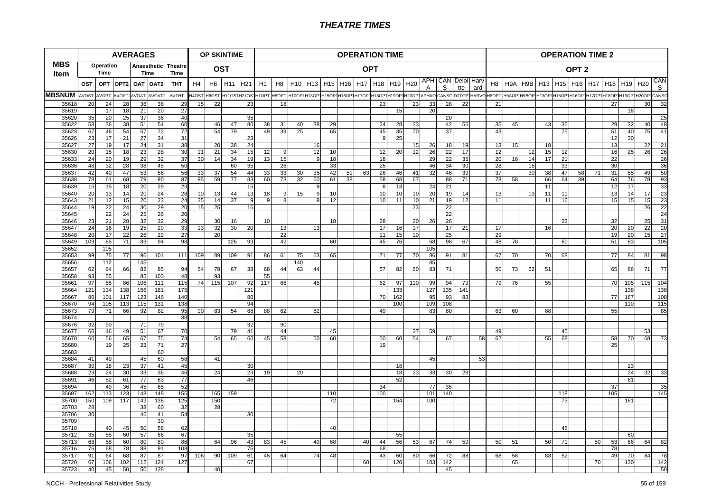|                           |                                                                                       |                       |                  |                    |                        |                 |            |                | <b>OP SKINTIME</b> |                 |          |                                                                                         |                 |                     |                                               |            |    | <b>OPERATION TIME</b> |                 |          |           |                                |          |     |                 |     |                 | <b>OPERATION TIME 2</b>                                           |                  |    |    |          |                                                                                 |                 |                     |
|---------------------------|---------------------------------------------------------------------------------------|-----------------------|------------------|--------------------|------------------------|-----------------|------------|----------------|--------------------|-----------------|----------|-----------------------------------------------------------------------------------------|-----------------|---------------------|-----------------------------------------------|------------|----|-----------------------|-----------------|----------|-----------|--------------------------------|----------|-----|-----------------|-----|-----------------|-------------------------------------------------------------------|------------------|----|----|----------|---------------------------------------------------------------------------------|-----------------|---------------------|
| <b>MBS</b><br><b>Item</b> | <b>AVERAGES</b><br>Operation<br>Anaesthetic<br><b>Time</b><br><b>Time</b><br>OAT OAT2 |                       |                  |                    | <b>Theatre</b><br>Time |                 | <b>OST</b> |                |                    |                 |          |                                                                                         |                 |                     |                                               | <b>OPT</b> |    |                       |                 |          |           |                                |          |     |                 |     |                 |                                                                   | OPT <sub>2</sub> |    |    |          |                                                                                 |                 |                     |
|                           | <b>OST</b>                                                                            | <b>OPT</b>            | OPT <sub>2</sub> |                    |                        | <b>THT</b>      | H4         | H <sub>6</sub> | H <sub>11</sub>    | H <sub>21</sub> | H1       | H8                                                                                      |                 |                     | H10   H13   H15   H16   H17   H18   H19   H20 |            |    |                       |                 |          |           | APH   CAN   Deloi   Harv<br>S. | tte      | ard | H <sub>8</sub>  | H9A |                 | H9B H13 H15                                                       |                  |    |    |          | H <sub>16</sub> H <sub>17</sub> H <sub>18</sub> H <sub>19</sub> H <sub>20</sub> |                 | CAN<br>$\mathbf{C}$ |
| <b>MBSNUM</b>             |                                                                                       | VOST AVOPT            |                  | AVOPT2AVOAT AVOAT2 |                        | AVTHT           | 14OST      |                | H6OST H11OS1H21OS  |                 |          | 110PT   H8OPT   H10OPTH13OPTH15OPTH16OPTH17OPTH18OPTH19OPTH20OPTAPHAO CANSO DTTOPTHARVO |                 |                     |                                               |            |    |                       |                 |          |           |                                |          |     |                 |     |                 | H8OPT/H9AOP H9BOP H13OP H15OP H16OP H17OP H18OP H19OP H20OP CANSC |                  |    |    |          |                                                                                 |                 |                     |
| 35618                     | <b>20</b>                                                                             | 24                    | 28               | 36 <sup>°</sup>    | 38                     | 29              | 15         | 22             |                    | 23              |          | 18                                                                                      |                 |                     |                                               |            |    | 23                    |                 | 23       | 33        | 28                             | 22       |     | 21              |     |                 |                                                                   |                  |    |    | 27       |                                                                                 | 30 <sup>1</sup> | 32                  |
| 35619<br>35620            | 35                                                                                    | 17<br>20              | 18<br>25         | 21<br>37           | 20<br>36               | 27<br>40        |            |                |                    | 35              |          |                                                                                         |                 |                     |                                               |            |    |                       | 15              |          | 20        | 20                             |          |     |                 |     |                 |                                                                   |                  |    |    |          | 18                                                                              |                 | 25                  |
| 35622                     | 58                                                                                    | 36                    | 38               | 51                 | 54                     | 60              |            | 46             | 47                 | 80              | 38       | 31                                                                                      | 40              | 38                  | 29                                            |            |    | 24                    | 28              | 33       |           | 42                             | 56       |     | 35 <sub>1</sub> | 45  |                 | 43                                                                | 30               |    |    | 29       | 32                                                                              | 40              | 48                  |
| 35623                     | 67                                                                                    | 46                    | 54               | 57                 | 72                     | 72              |            | 54             | 79                 |                 | 49       | 39                                                                                      | 25              |                     | 65                                            |            |    | 45                    | 35              | 70       |           | 37                             |          |     | 43              |     |                 |                                                                   | 75               |    |    | 51       | 40                                                                              | 75              | 41                  |
| 35626                     | 23                                                                                    | 17                    | 21               | 27                 | 34                     | 31              |            |                |                    | 23              |          |                                                                                         |                 |                     |                                               |            |    | 9                     | 25              |          |           |                                |          |     |                 |     |                 |                                                                   |                  |    |    | 12       | 30                                                                              |                 |                     |
| 35627<br>35630            | 27                                                                                    | 19<br>15 <sup>1</sup> | 17<br>18         | 24                 | 31<br>28               | 38<br>30        | 11         | 20             | 38                 | 24<br>15        |          | 9                                                                                       |                 | 16 <sup>1</sup>     | 10                                            |            |    | 12                    |                 | 15<br>12 | 26        | 18<br>22                       | 19<br>17 |     | 13<br>12        | 15  | 12 <sup>1</sup> | 18<br>15 <sup>1</sup>                                             |                  |    |    | 13       |                                                                                 | 22<br>26        | 21<br>26            |
| 35633                     | 20<br>24                                                                              | 20                    | 19               | 23<br>29           | 32                     | $\overline{37}$ | 30         | 21<br>14       | 34<br>34           | 19              | 12<br>13 | 15                                                                                      |                 | 12<br>9             | 18                                            |            |    | 18                    | 20              |          | 26<br>29  | 22                             | 35       |     | 20              | 16  | 14              | 17                                                                | 12<br>21         |    |    | 16<br>22 | 25                                                                              |                 | 26                  |
| 35636                     | 48                                                                                    | 32                    | 28               | 38                 | 45                     | 50              |            |                | 60                 | 35              |          | 26                                                                                      |                 |                     | 33                                            |            |    | 25                    |                 |          | 46        | 34                             | 30       |     | 28              |     | 15              |                                                                   | 33               |    |    | 30       |                                                                                 |                 | 36                  |
| 35637                     | 42                                                                                    | 40                    | 47               | 53                 | 56                     | 56              | 33         | 37             | 54                 | 44              | 33       | 33                                                                                      | 30 <sup>1</sup> | 35                  | 42                                            | 51         | 63 | 26                    | 46              | 41       | 32        | 46                             | 39       |     | 37              |     | 30              | 38                                                                | 47               | 58 | 71 | 31       | 55                                                                              | 49              | 50                  |
| 35638                     | 78<br>15                                                                              | 61                    | 68               | 79<br>20           | 90<br>29               | 87              | 95         | 59             | 77                 | 83<br>15        | 60       | 73                                                                                      | 32              | 60                  | 61                                            | 38         |    | 58                    | 68<br>13        | 67       | 24        | 88<br>21                       | 71       |     | 78              | 58  |                 | 66<br>11                                                          | 64               | 39 |    | 64<br>12 | 76<br>17                                                                        | 78              | 93                  |
| 35639<br>35640            | 20                                                                                    | 15<br>13              | 18<br>14         | 20                 | 24                     | 23<br>28        | 10         | 13             | 44                 | 13              | 18       | 9                                                                                       | 15              | 9<br>9 <sup>1</sup> | 10                                            |            |    | 8<br>10               | 10              | 10       | 20        | 19                             | 14       |     | 13              |     | 13              | 11                                                                | 11               |    |    | 13       | 14                                                                              | 17              | 33<br>23            |
| 35643                     | 21                                                                                    | 12                    | 15               | 20                 | 23                     | 24              | 25         | 14             | 37                 |                 | 9        | 8                                                                                       |                 | 8 <sup>1</sup>      | 12                                            |            |    | 10                    | 11              | 10       | 21        | 19                             | 12       |     | 11              |     |                 | 11                                                                | 16               |    |    | 15       | 15                                                                              | 15              | 23                  |
| 35644                     | 19                                                                                    | 22                    | 24               | 30                 | 29                     | 20              | 15         | 25             |                    | 16              |          |                                                                                         |                 |                     |                                               |            |    |                       |                 | 23       |           | 22                             |          |     |                 |     |                 |                                                                   |                  |    |    |          |                                                                                 | 26              | $\overline{22}$     |
| 35645                     |                                                                                       | 22                    | 24               | 25                 | 26                     | 20              |            |                |                    |                 |          |                                                                                         |                 |                     |                                               |            |    |                       |                 |          |           | 22                             |          |     |                 |     |                 |                                                                   |                  |    |    |          |                                                                                 |                 | 24                  |
| 35646<br>35647            | 23<br>24                                                                              | 21<br>16              | 28<br>19         | 32<br>25           | 32<br>29               | 29<br>33        | 13         | 30<br>32       | 16<br>30           | 20              | 10       | 13                                                                                      |                 | 13                  | 18                                            |            |    | 28<br>17              | 16              | 20<br>17 | 26        | 26<br>17                       | 21       |     | 17              |     |                 | 16                                                                | 23               |    |    | 32<br>20 | 20                                                                              | 25<br>22        | 31<br>20            |
| 35648                     | 20                                                                                    | 17                    | 22               | 26                 | 29                     | 27              |            | 20             |                    |                 |          | 22                                                                                      |                 |                     |                                               |            |    | 11                    | 15 <sup>1</sup> | 10       |           | 25                             |          |     | 29              |     |                 |                                                                   |                  |    |    | 19       | 20                                                                              | 15              | 27                  |
| 35649                     | 109                                                                                   | 65                    | 71               | 83                 | 94                     | 98              |            |                | 126                | 93              |          | 42                                                                                      |                 |                     | 60                                            |            |    | 45                    | 76              |          | 68        | 98                             | 67       |     | 48              | 78  |                 |                                                                   | 60               |    |    | 51       | 83                                                                              |                 | 105                 |
| 35652                     |                                                                                       | 105                   |                  |                    |                        |                 |            |                |                    |                 |          |                                                                                         |                 |                     |                                               |            |    |                       |                 |          | 105       |                                |          |     |                 |     |                 |                                                                   |                  |    |    |          |                                                                                 |                 |                     |
| 35653<br>35656            | 99                                                                                    | 75<br>112             | 77               | 96<br>145          | 101                    | 111             | 109        | 89             | 109                | 91              | 86       | 61                                                                                      | 75<br>140       | 63                  | 65                                            |            |    | 71                    | 77              | 70       | 86<br>85  | 91                             | 81       |     | 67              | 70  |                 | 70                                                                | 68               |    |    | 77       | 84                                                                              | 81              | 98                  |
| 35657                     | 62                                                                                    | 64                    | 66               | 82                 | 85                     | 94              | 64         | 78             | 67                 | 38              | 68       | 44                                                                                      | 63              | 44                  |                                               |            |    | 57                    | 82              | 60       | 83        | 71                             |          |     | 50              | 73  | 52              | 51                                                                |                  |    |    | 65       | 86                                                                              | 71              | 77                  |
| 35658                     | 93                                                                                    | 55                    |                  | 85                 | 103                    | 48              |            | 93             |                    |                 | 55       |                                                                                         |                 |                     |                                               |            |    |                       |                 |          |           |                                |          |     |                 |     |                 |                                                                   |                  |    |    |          |                                                                                 |                 |                     |
| 35661                     | 97                                                                                    | 85                    | 86               | 106                | 111                    | 115             | 74         | 115            | 107                | 92              | 117      | 66                                                                                      |                 | 45                  |                                               |            |    | 62                    | 97              | 110      | 99        | 94                             | 79       |     | 79              | 76  |                 | 55                                                                |                  |    |    | 70       | 105                                                                             | 115             | 104                 |
| 35664                     | 121                                                                                   | 134                   | 138<br>117       | 156<br>123         | 181<br>146             | 175<br>140      |            |                |                    | 121<br>80       |          |                                                                                         |                 |                     |                                               |            |    |                       | 133             |          | 127       | 135<br>93                      | 141      |     |                 |     |                 |                                                                   |                  |    |    |          | 138                                                                             |                 | 138<br>108          |
| 35667<br>35670            | 80<br>94                                                                              | 101<br>105            | 113              | 115                | 131                    | 138             |            |                |                    | 94              |          |                                                                                         |                 |                     |                                               |            |    | 70                    | 162<br>100      |          | 95<br>109 | 108                            | 83       |     |                 |     |                 |                                                                   |                  |    |    | 77       | 167<br>110                                                                      |                 | 115                 |
| 35673                     | 79                                                                                    | 71                    | 66               | 92                 | 82                     | 95              | 90         | 83             | 54                 | 88              | 88       | 62                                                                                      |                 | 62                  |                                               |            |    | 49                    |                 |          | 83        | 80                             |          |     | 63              | 60  |                 | 68                                                                |                  |    |    | 55       |                                                                                 |                 | 85                  |
| 35674                     |                                                                                       |                       |                  |                    |                        | 38              |            |                |                    |                 |          |                                                                                         |                 |                     |                                               |            |    |                       |                 |          |           |                                |          |     |                 |     |                 |                                                                   |                  |    |    |          |                                                                                 |                 |                     |
| 35676                     | 32                                                                                    | 90                    |                  | 71                 | 79                     |                 |            |                |                    | 32              |          | 90                                                                                      |                 |                     |                                               |            |    |                       |                 |          |           |                                |          |     |                 |     |                 |                                                                   |                  |    |    |          |                                                                                 |                 |                     |
| 35677<br>35678            | 60<br>60                                                                              | 46<br>56              | 49<br>65         | 51<br>67           | 67<br>75               | 70<br>74        |            | 54             | 79<br>65           | 41<br>60        | 45       | 44<br>58                                                                                |                 | 50                  | 45<br>60                                      |            |    | 50                    | 60              | 37<br>54 | 59        | 67                             |          | 58  | 49<br>62        |     |                 | 55                                                                | 45<br>68         |    |    | 58       | 70                                                                              | 53<br>68        | 73                  |
| 35680                     |                                                                                       | 19 <sup>l</sup>       | 25               | 23                 | 71                     | 27              |            |                |                    |                 |          |                                                                                         |                 |                     |                                               |            |    | 19                    |                 |          |           |                                |          |     |                 |     |                 |                                                                   |                  |    |    | 25       |                                                                                 |                 |                     |
| 35683                     |                                                                                       |                       |                  |                    | 60                     |                 |            |                |                    |                 |          |                                                                                         |                 |                     |                                               |            |    |                       |                 |          |           |                                |          |     |                 |     |                 |                                                                   |                  |    |    |          |                                                                                 |                 |                     |
| 35684                     | 41                                                                                    | 49                    |                  | 45                 | 60                     | 58              |            | 41             |                    |                 |          |                                                                                         |                 |                     |                                               |            |    |                       |                 |          | 45        |                                |          | 53  |                 |     |                 |                                                                   |                  |    |    |          |                                                                                 |                 |                     |
| 35687<br>35688            | 30<br>23                                                                              | 18<br>24              | 23<br>30         | 37<br>33           | 41<br>36               | 45<br>46        |            | 24             |                    | 30<br>23        | 19       |                                                                                         | 20              |                     |                                               |            |    |                       | 18<br>18        | 23       | 33        | 30 <sup>1</sup>                | 28       |     |                 |     |                 |                                                                   |                  |    |    |          | 23<br>24                                                                        | 32              | 33                  |
| 35691                     | 46                                                                                    | 52                    | 61               | 77                 | 63                     | 77              |            |                |                    | 46              |          |                                                                                         |                 |                     |                                               |            |    |                       | 52              |          |           |                                |          |     |                 |     |                 |                                                                   |                  |    |    |          | 61                                                                              |                 |                     |
| 35694                     |                                                                                       | 49                    | 36               | 45                 | 65                     | 52              |            |                |                    |                 |          |                                                                                         |                 |                     |                                               |            |    | 34                    |                 |          | 77        | 35                             |          |     |                 |     |                 |                                                                   |                  |    |    | 37       |                                                                                 |                 | 35                  |
| 35697                     | 162                                                                                   | 113                   | 123              | 148                | 148                    | 155             |            | 165            | 159                |                 |          |                                                                                         |                 |                     | 110                                           |            |    | 100                   |                 |          | 101       | 140                            |          |     |                 |     |                 |                                                                   | 118              |    |    | 105      |                                                                                 |                 | 145                 |
| 35700<br>35703            | 150<br>28                                                                             | 109                   | 117              | 142<br>38          | 138<br>60              | 125<br>32       |            | 150<br>28      |                    |                 |          |                                                                                         |                 |                     | 72                                            |            |    |                       | 154             |          | 100       |                                |          |     |                 |     |                 |                                                                   | 73               |    |    |          | 161                                                                             |                 |                     |
| 35706                     | 30                                                                                    |                       |                  | 46                 | 41                     | 54              |            |                |                    | 30              |          |                                                                                         |                 |                     |                                               |            |    |                       |                 |          |           |                                |          |     |                 |     |                 |                                                                   |                  |    |    |          |                                                                                 |                 |                     |
| 35709                     |                                                                                       |                       |                  |                    | 30                     |                 |            |                |                    |                 |          |                                                                                         |                 |                     |                                               |            |    |                       |                 |          |           |                                |          |     |                 |     |                 |                                                                   |                  |    |    |          |                                                                                 |                 |                     |
| 35710                     |                                                                                       | 40                    | 45               | 50                 | 58                     | 62              |            |                |                    |                 |          |                                                                                         |                 |                     | 40                                            |            |    |                       |                 |          |           |                                |          |     |                 |     |                 |                                                                   | 45               |    |    |          |                                                                                 |                 |                     |
| 35712                     | 35                                                                                    | 55                    | 60               | 57                 | 66                     | 67              |            |                |                    | 35<br>43        |          |                                                                                         |                 |                     |                                               |            |    |                       | 55              |          |           |                                |          |     |                 |     |                 |                                                                   |                  |    |    |          | 60                                                                              |                 |                     |
| 35713<br>35716            | 68<br>76                                                                              | 58<br>68              | 60<br>78         | 80<br>88           | 80<br>91               | 86<br>108       |            | 64             | 96                 | 76              | 83       | 45                                                                                      |                 | 49                  | 68                                            |            | 40 | 44<br>68              | 56              | 53       | 67        | 74                             | 59       |     | 50              | 51  |                 | 50                                                                | 71               |    | 50 | 53<br>78 | 66                                                                              | 64              | 82                  |
| 35717                     | 91                                                                                    | 64                    | 68               | 87                 | 87                     | 97              | 106        | 90             | 109                | 61              | 45       | 64                                                                                      |                 | 74                  | 48                                            |            |    | 43                    | 60              | 80       | 66        | 72                             | 88       |     | 68              | 58  |                 | 83                                                                | 52               |    |    | 49       | 70                                                                              | 84              | 78                  |
| 35720                     | 67                                                                                    | 106                   | 102              | 112                | 124                    | 127             |            |                |                    | 67              |          |                                                                                         |                 |                     |                                               |            | 60 |                       | 120             |          | 103       | 142                            |          |     |                 | 65  |                 |                                                                   |                  |    | 70 |          | 130                                                                             |                 | 142                 |
| 35723                     | 40                                                                                    | 45                    | 50               | 50                 | 128                    |                 |            | 40             |                    |                 |          |                                                                                         |                 |                     |                                               |            |    |                       |                 |          |           | 45                             |          |     |                 |     |                 |                                                                   |                  |    |    |          |                                                                                 |                 | 50                  |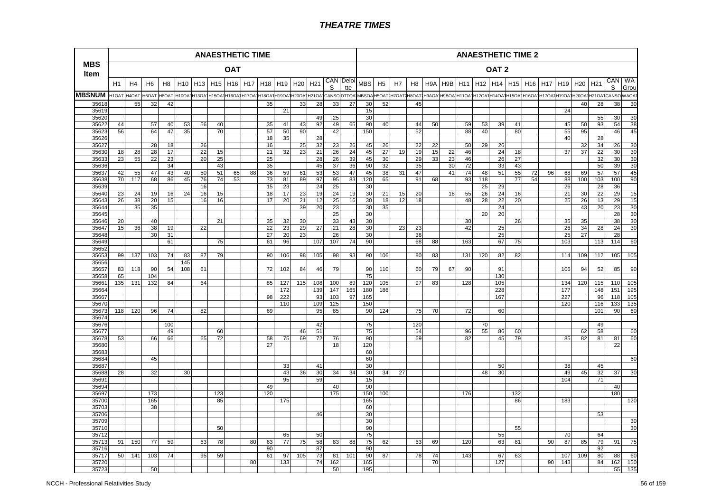|                    |          |                |                |                |                                                                                           |                      |                 | <b>ANAESTHETIC TIME</b> |          |                                                                 |          |           |                           |          |            |                |    |                |                  |                  |                 |          |                                                 | <b>ANAESTHETIC TIME 2</b>                                                                            |    |            |                 |                 |                       |           |
|--------------------|----------|----------------|----------------|----------------|-------------------------------------------------------------------------------------------|----------------------|-----------------|-------------------------|----------|-----------------------------------------------------------------|----------|-----------|---------------------------|----------|------------|----------------|----|----------------|------------------|------------------|-----------------|----------|-------------------------------------------------|------------------------------------------------------------------------------------------------------|----|------------|-----------------|-----------------|-----------------------|-----------|
| <b>MBS</b><br>Item |          |                |                |                |                                                                                           |                      | <b>OAT</b>      |                         |          |                                                                 |          |           |                           |          |            |                |    |                |                  |                  |                 |          | OAT <sub>2</sub>                                |                                                                                                      |    |            |                 |                 |                       |           |
|                    | H1       | H <sub>4</sub> | H <sub>6</sub> | H <sub>8</sub> | H <sub>10</sub> H <sub>13</sub> H <sub>15</sub>                                           |                      | H <sub>16</sub> | H17                     |          | H <sub>18</sub> H <sub>19</sub> H <sub>20</sub> H <sub>21</sub> |          |           | CAN Deloi<br>$\mathbf{C}$ | tte      | <b>MBS</b> | H <sub>5</sub> | H7 | H <sub>8</sub> | H <sub>9</sub> A | H <sub>9</sub> B | H <sub>11</sub> |          | H <sub>12</sub> H <sub>14</sub> H <sub>15</sub> | H16                                                                                                  |    | H17 H19    | H <sub>20</sub> | H <sub>21</sub> | CAN WA<br>S           | Grou      |
| <b>MBSNUM</b>      |          |                |                |                | H1OAT H4OAT H6OAT H8OAT H10OATH13OATH15OATH16OATH17OATH18OATH19OATH20OATH21OATCANSO DTTOA |                      |                 |                         |          |                                                                 |          |           |                           |          |            |                |    |                |                  |                  |                 |          |                                                 | MBSOA H5OAT2H7OAT2H8OAT2H9AOA H9BOA H11OATH12OATH14OATH15OATH16OATH17OATH19OATH21OATE21OATCANSOMAAOA |    |            |                 |                 |                       |           |
| 35618              |          | 55             | 32             | 42             |                                                                                           |                      |                 |                         | 35       |                                                                 | 33       | 28        | 33                        | 27       | 30         | 52             |    | 45             |                  |                  |                 |          |                                                 |                                                                                                      |    |            | 40              | 28              | 38                    | 30        |
| 35619              |          |                |                |                |                                                                                           |                      |                 |                         |          | 21                                                              |          |           |                           |          | 15         |                |    |                |                  |                  |                 |          |                                                 |                                                                                                      |    | 24         |                 |                 |                       |           |
| 35620<br>35622     | 44       |                | 57             | 40             | 53                                                                                        | 56<br>40             |                 |                         | 35       | 41                                                              | 43       | 49<br>92  | 25<br>49                  | 65       | 30<br>90   | 40             |    | 44             | 50               |                  | 59              | 53       | 39                                              | 41                                                                                                   |    | 45         | 50              | 55<br>93        | 30<br>54              | 30<br>38  |
| 35623              | 56       |                | 64             | 47             | 35                                                                                        | 70                   |                 |                         | 57       | 50                                                              | 90       |           | 42                        |          | 150        |                |    | 52             |                  |                  | 88              | 40       |                                                 | 80                                                                                                   |    | 55         | 95              |                 | 46                    | 45        |
| 35626              |          |                |                |                |                                                                                           |                      |                 |                         | 18       | 35                                                              |          | 28        |                           |          |            |                |    |                |                  |                  |                 |          |                                                 |                                                                                                      |    | 40         |                 | 28              |                       |           |
| 35627              |          |                | 28             | 18             |                                                                                           | 26                   |                 |                         | 16       |                                                                 | 25       | 32        | 23                        | 26       | 45         | 26             |    | 22             | 22               |                  | 50              | 29       | 26                                              |                                                                                                      |    |            | 32              | 34              | 26                    | 30        |
| 35630<br>35633     | 18<br>23 | 28<br>55       | 28<br>22       | 17<br>23       |                                                                                           | 22<br>15<br>20<br>25 |                 |                         | 21<br>25 | 32                                                              | 23       | 21<br>28  | 26<br>26                  | 24<br>39 | 45<br>45   | 27<br>30       | 19 | 19<br>29       | 15<br>33         | 22<br>23         | 46<br>46        |          | 24<br>26                                        | 18<br>27                                                                                             |    | 37         | 37              | 22<br>32        | 30 <sup>°</sup><br>30 | 30<br>30  |
| 35636              |          |                |                | 34             |                                                                                           | 43                   |                 |                         | 35       |                                                                 |          | 45        | 37                        | 36       | 90         | 32             |    | 35             |                  | 30               | 72              |          | 33                                              | 43                                                                                                   |    |            |                 | 50              | 39                    | 30        |
| 35637              | 42       | 55             | 47             | 43             | 40                                                                                        | 51<br>50             | 65              | 88                      | 36       | 59                                                              | 61       | 53        | 53                        | 47       | 45         | 38             | 31 | 47             |                  | 41               | 74              | 48       | 51                                              | 55                                                                                                   | 72 | 96<br>68   | 69              | 57              | 57                    | 45        |
| 35638              | 70       | 117            | 68             | 86             | 45                                                                                        | 76<br>74             | 53              |                         | 73       | 81                                                              | 89       | 97        | 95                        | 83       | 120        | 65             |    | 91             | 68               |                  | 93              | 118      |                                                 | 77                                                                                                   | 54 | 88         | 100             | 103             | 100                   | 90        |
| 35639<br>35640     | 23       | 24             | 19             | 16             | 24                                                                                        | 16<br>16<br>15       |                 |                         | 15<br>18 | 23<br>17                                                        | 23       | 24<br>19  | 25<br>24                  | 19       | 30<br>30   | 21             | 15 | 20             |                  | 18               | 55              | 25<br>26 | 29<br>24                                        | 16                                                                                                   |    | 26<br>21   | 30              | 28<br>22        | 36<br>29              | 15        |
| 35643              | 26       | 38             | 20             | 15             |                                                                                           | 16<br>16             |                 |                         | 17       | 20                                                              | 21       | 12        | 25                        | 16       | 30         | 18             | 12 | 18             |                  |                  | 48              | 28       | 22                                              | 20                                                                                                   |    | 25         | 26              | 13              | 29                    | 15        |
| 35644              |          | 35             | 35             |                |                                                                                           |                      |                 |                         |          |                                                                 | 39       | 20        | 23                        |          | 30         | 35             |    |                |                  |                  |                 |          | 24                                              |                                                                                                      |    |            | 43              | 20              | 23                    | 30        |
| 35645              |          |                |                |                |                                                                                           |                      |                 |                         |          |                                                                 |          |           | 25                        |          | 30         |                |    |                |                  |                  |                 | 20       | 20                                              |                                                                                                      |    |            |                 |                 | 28                    | 30        |
| 35646              | 20       |                | 40             |                |                                                                                           | 21<br>22             |                 |                         | 35       | 32                                                              | 30       |           | 33                        | 43       | 30         |                |    |                |                  |                  | 30              |          |                                                 | 26                                                                                                   |    | 35         | 35              |                 | 38                    | 30        |
| 35647<br>35648     | 15       | 36             | 38<br>30       | 19<br>31       |                                                                                           |                      |                 |                         | 22<br>27 | 23<br>20                                                        | 29<br>23 | 27        | 21<br>26                  | 28       | 30<br>30   |                | 23 | 23<br>38       |                  |                  | 42              |          | 25<br>25                                        |                                                                                                      |    | 26<br>25   | 34<br>27        | 28              | 24<br>28              | 30        |
| 35649              |          |                |                | 61             |                                                                                           | 75                   |                 |                         | 61       | 96                                                              |          | 107       | 107                       | 74       | 90         |                |    | 68             | 88               |                  | 163             |          | 67                                              | 75                                                                                                   |    | 103        |                 | 113             | 114                   | 60        |
| 35652              |          |                |                |                |                                                                                           |                      |                 |                         |          |                                                                 |          |           |                           |          |            |                |    |                |                  |                  |                 |          |                                                 |                                                                                                      |    |            |                 |                 |                       |           |
| 35653              | 99       | 137            | 103            | 74             | 83                                                                                        | 87<br>79             |                 |                         | 90       | 106                                                             | 98       | 105       | 98                        | 93       | 90         | 106            |    | 80             | 83               |                  | 131             | 120      | 82                                              | 82                                                                                                   |    | 114        | 109             | 112             | 105                   | 105       |
| 35656<br>35657     | 83       | 118            | 90             | 54             | 145<br>108                                                                                | 61                   |                 |                         | 72       | 102                                                             | 84       | 46        | 79                        |          | 90         | 110            |    | 60             | 79               | 67               | 90              |          | 91                                              |                                                                                                      |    | 106        | 94              | 52              | 85                    | 90        |
| 35658              | 65       |                | 104            |                |                                                                                           |                      |                 |                         |          |                                                                 |          |           |                           |          | 75         |                |    |                |                  |                  |                 |          | 130                                             |                                                                                                      |    |            |                 |                 |                       |           |
| 35661              | 135      | 131            | 132            | 84             |                                                                                           | 64                   |                 |                         | 85       | 127                                                             | 115      | 108       | 100                       | 89       | 120        | 105            |    | 97             | 83               |                  | 128             |          | 105                                             |                                                                                                      |    | 134        | 120             | 115             | 110                   | 105       |
| 35664              |          |                |                |                |                                                                                           |                      |                 |                         |          | 172                                                             |          | 139       | 147                       | 165      | 180        | 186            |    |                |                  |                  |                 |          | 228                                             |                                                                                                      |    | 177        |                 | 148             | 151                   | 195       |
| 35667              |          |                |                |                |                                                                                           |                      |                 |                         | 98       | 222<br>110                                                      |          | 93<br>109 | 103                       | 97       | 165        |                |    |                |                  |                  |                 |          | 167                                             |                                                                                                      |    | 227<br>120 |                 | 96<br>116       | 118                   | 105       |
| 35670<br>35673     | 118      | 120            | 96             | 74             |                                                                                           | 82                   |                 |                         | 69       |                                                                 |          | 95        | 125<br>85                 |          | 150<br>90  | 124            |    | 75             | 70               |                  | 72              |          | 60                                              |                                                                                                      |    |            |                 | 101             | 133<br>90             | 135<br>60 |
| 35674              |          |                |                |                |                                                                                           |                      |                 |                         |          |                                                                 |          |           |                           |          |            |                |    |                |                  |                  |                 |          |                                                 |                                                                                                      |    |            |                 |                 |                       |           |
| 35676              |          |                |                | 100            |                                                                                           |                      |                 |                         |          |                                                                 |          | 42        |                           |          | 75         |                |    | 120            |                  |                  |                 | 70       |                                                 |                                                                                                      |    |            |                 | 49              |                       |           |
| 35677              |          |                |                | 49             |                                                                                           | 60                   |                 |                         |          |                                                                 | 46       | 51        |                           |          | 75         |                |    | 54             |                  |                  | 96              | 55       | 86                                              | 60                                                                                                   |    |            | 62              | 58              |                       | 60        |
| 35678<br>35680     | 53       |                | 66             | 66             |                                                                                           | 65<br>72             |                 |                         | 58<br>27 | 75                                                              | 69       | 72        | 76<br>18                  |          | 90<br>120  |                |    | 69             |                  |                  | 82              |          | 45                                              | 79                                                                                                   |    | 85         | 82              | 81              | 81<br>22              | 60        |
| 35683              |          |                |                |                |                                                                                           |                      |                 |                         |          |                                                                 |          |           |                           |          | 60         |                |    |                |                  |                  |                 |          |                                                 |                                                                                                      |    |            |                 |                 |                       |           |
| 35684              |          |                | 45             |                |                                                                                           |                      |                 |                         |          |                                                                 |          |           |                           |          | 60         |                |    |                |                  |                  |                 |          |                                                 |                                                                                                      |    |            |                 |                 |                       | 60        |
| 35687              |          |                |                |                |                                                                                           |                      |                 |                         |          | 33                                                              |          | 41        |                           |          | 30         |                |    |                |                  |                  |                 |          | 50                                              |                                                                                                      |    | 38         |                 | 45              |                       |           |
| 35688<br>35691     | 28       |                | 32             |                | 30                                                                                        |                      |                 |                         |          | 43<br>95                                                        | 36       | 30<br>59  | 34                        | 34       | 30<br>15   | 34             | 27 |                |                  |                  |                 | 48       | 30                                              |                                                                                                      |    | 49<br>104  | 45              | 32<br>71        | 37                    | 30        |
| 35694              |          |                |                |                |                                                                                           |                      |                 |                         | 49       |                                                                 |          |           | 40                        |          | 90         |                |    |                |                  |                  |                 |          |                                                 |                                                                                                      |    |            |                 |                 | 40                    |           |
| 35697              |          |                | 173            |                |                                                                                           | 123                  |                 |                         | 120      |                                                                 |          |           | 175                       |          | 150        | 100            |    |                |                  |                  | 176             |          |                                                 | 132                                                                                                  |    |            |                 |                 | 180                   |           |
| 35700              |          |                | 165            |                |                                                                                           | 85                   |                 |                         |          | 175                                                             |          |           |                           |          | 165        |                |    |                |                  |                  |                 |          |                                                 | 86                                                                                                   |    | 183        |                 |                 |                       | 120       |
| 35703              |          |                | 38             |                |                                                                                           |                      |                 |                         |          |                                                                 |          | 46        |                           |          | 60<br>30   |                |    |                |                  |                  |                 |          |                                                 |                                                                                                      |    |            |                 | 53              |                       |           |
| 35706<br>35709     |          |                |                |                |                                                                                           |                      |                 |                         |          |                                                                 |          |           |                           |          | 30         |                |    |                |                  |                  |                 |          |                                                 |                                                                                                      |    |            |                 |                 |                       | 30        |
| 35710              |          |                |                |                |                                                                                           | 50                   |                 |                         |          |                                                                 |          |           |                           |          | 90         |                |    |                |                  |                  |                 |          |                                                 | 55                                                                                                   |    |            |                 |                 |                       | 30        |
| 35712              |          |                |                |                |                                                                                           |                      |                 |                         |          | 65                                                              |          | 50        |                           |          | 75         |                |    |                |                  |                  |                 |          | 55                                              |                                                                                                      |    | 70         |                 | 64              |                       |           |
| 35713              | 91       | 150            | 77             | 59             |                                                                                           | 63<br>78             |                 | 80                      | 63       | 77                                                              | 75       | 58        | 83                        | 88       | 75         | 62             |    | 63             | 69               |                  | 120             |          | 63                                              | 81                                                                                                   |    | 90<br>87   | 85              | 79              | 91                    | 75        |
| 35716<br>35717     | 50       | 141            | 103            | 74             |                                                                                           | 95<br>59             |                 |                         | 90<br>61 | 97                                                              | 105      | 87<br>73  | 81                        | 101      | 90<br>90   | 87             |    | 78             | 74               |                  | 143             |          | 67                                              | 63                                                                                                   |    | 107        | 109             | 92<br>80        | 88                    | 60        |
| 35720              |          |                |                |                |                                                                                           |                      |                 | 80                      |          | 133                                                             |          | 74        | 162                       |          | 165        |                |    |                | 70               |                  |                 |          | 127                                             |                                                                                                      |    | 143<br>90  |                 | 84              | 162                   | 150       |
| 35723              |          |                | 50             |                |                                                                                           |                      |                 |                         |          |                                                                 |          |           | 50                        |          | 195        |                |    |                |                  |                  |                 |          |                                                 |                                                                                                      |    |            |                 |                 | 55                    | 135       |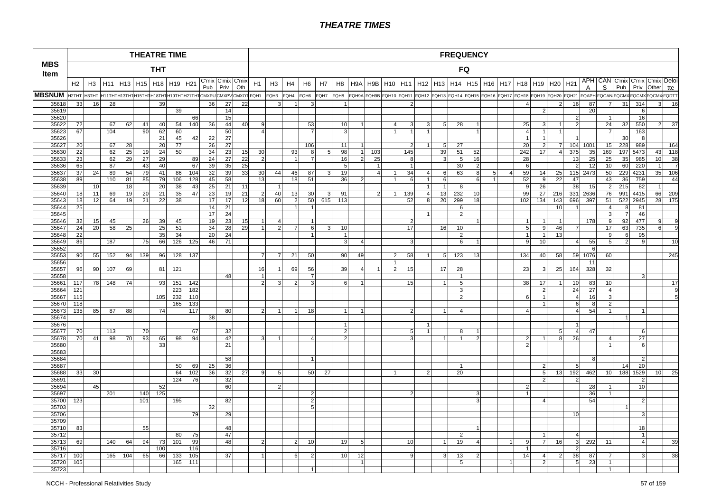|                    |            |          |                      | <b>THEATRE TIME</b>                                                           |            |            |            |                          |                 |          |                                |                     |                      |                     |                |                 |                                |                |                |                      |                                  |                      |                      | <b>FREQUENCY</b> |                |                                                                                                                                                                                                                              |                      |                |                       |               |                              |                 |                                                                 |                 |                |
|--------------------|------------|----------|----------------------|-------------------------------------------------------------------------------|------------|------------|------------|--------------------------|-----------------|----------|--------------------------------|---------------------|----------------------|---------------------|----------------|-----------------|--------------------------------|----------------|----------------|----------------------|----------------------------------|----------------------|----------------------|------------------|----------------|------------------------------------------------------------------------------------------------------------------------------------------------------------------------------------------------------------------------------|----------------------|----------------|-----------------------|---------------|------------------------------|-----------------|-----------------------------------------------------------------|-----------------|----------------|
| <b>MBS</b><br>Item |            |          |                      |                                                                               | <b>THT</b> |            |            |                          |                 |          |                                |                     |                      |                     |                |                 |                                |                |                |                      |                                  |                      |                      | <b>FQ</b>        |                |                                                                                                                                                                                                                              |                      |                |                       |               |                              |                 |                                                                 |                 |                |
|                    | H2         | H3       |                      | H11 H13 H15 H18 H19 H21                                                       |            |            |            | C'mix C'mix C'mix<br>Pub | Priv            | Oth      | H <sub>1</sub>                 | H <sub>3</sub>      | H <sub>4</sub>       | H <sub>6</sub>      | H7             | H <sub>8</sub>  | H <sub>9</sub> A               |                |                |                      |                                  |                      |                      |                  |                | H9B   H10   H11   H12   H13   H14   H15   H16   H17   H18   H19   H20   H21                                                                                                                                                  |                      |                |                       |               | S                            |                 | APH   CAN   C'mix   C'mix   C'mix   Deloi<br>Pub Priv Other tte |                 |                |
| <b>MBSNUM</b>      |            |          |                      | Н2ТНТ Н3ТНТ Н11ТНТН13ТНТН15ТНТН18ТНТН19ТНТН21ТНТСМХРUCMXPVCMXOTFQH1 FQH3 FQH4 |            |            |            |                          |                 |          |                                |                     |                      |                     |                |                 |                                |                |                |                      |                                  |                      |                      |                  |                | FQH6  FQH7  FQH8  FQH9A FQH9B FQH10 FQH11 FQH12 FQH12 FQH13 FQH14 FQH15 FQH16 FQH17 FQH18 FQH19 FQH20 FQH21 FQAPH FQCAN FQCMX FQCMX FQCMX FQCMX FQCMX FQCMX FQCMX FQCMX FQCMX FQCMX FQCMX FQCMX FQCMX FQCMX FQCMX FQCMX FQCM |                      |                |                       |               |                              |                 |                                                                 |                 |                |
| 35618              | 33         | 16       | 28                   |                                                                               | 39         |            |            | 36                       | 27              | 22       |                                | $\mathbf{3}$        |                      | 3 <sup>l</sup>      |                |                 |                                |                |                | $\overline{2}$       |                                  |                      |                      |                  |                | $\overline{4}$                                                                                                                                                                                                               |                      | 2 <sup>1</sup> | 16                    | 87            | $\overline{7}$               | 31              | 314                                                             | $\mathbf{3}$    | 16             |
| 35619              |            |          |                      |                                                                               |            | 39         |            |                          | 14              |          |                                |                     |                      |                     |                |                 |                                |                |                |                      |                                  |                      |                      |                  |                |                                                                                                                                                                                                                              | 2 <sup>1</sup>       |                |                       | 20            |                              |                 | 6                                                               |                 |                |
| 35620<br>35622     | 72         |          | 62<br>67             | 41                                                                            | 40         | 54         | 66<br>140  | 36                       | 15<br>44        | 40       | 9                              |                     |                      | 53                  |                | 10              |                                |                | 4 <sup>1</sup> | 3                    | 3                                | 5 <sub>5</sub>       | 28                   |                  |                | 25                                                                                                                                                                                                                           | 3                    | 1 <sup>1</sup> | $\overline{2}$<br>2   |               | $\overline{1}$<br>24         | 32              | 16<br>550                                                       | $\overline{2}$  | 37             |
| 35623              | 67         |          | 104                  | 90                                                                            | 62         | 60         |            |                          | 50              |          | $\overline{4}$                 |                     |                      | $\overline{7}$      |                | $\mathbf{3}$    |                                |                | 11             |                      | $\mathbf{1}$                     |                      |                      | $\vert$ 1        |                | $\overline{4}$                                                                                                                                                                                                               | 1 <sup>1</sup>       | 1              |                       |               | $\overline{7}$               |                 | 163                                                             |                 |                |
| 35626              |            |          |                      |                                                                               | 21         | 45         | 42         | 22                       | 27              |          |                                |                     |                      |                     |                |                 |                                |                |                |                      |                                  |                      |                      |                  |                | 1                                                                                                                                                                                                                            | $\mathbf{1}$         |                | $\mathbf{1}$          |               |                              | 30 <sub>l</sub> | 8                                                               |                 |                |
| 35627              | 20         |          | 67<br>28             |                                                                               | 20         | 77         |            | 26                       | 27              |          |                                |                     |                      | 106                 |                | 11              | $\mathbf 1$                    |                |                | $\overline{2}$       | $\mathbf{1}$                     | 5 <sub>l</sub>       | 27                   |                  |                | 20                                                                                                                                                                                                                           | 2                    | $\overline{7}$ | 104 1001              |               | 15                           | 228             | 989                                                             |                 | 164            |
| 35630<br>35633     | 22<br>23   |          | 62<br>25<br>62<br>29 | 19<br>27                                                                      | 24<br>29   | 50         | 89         | 34<br>24                 | 23<br>27        | 15<br>22 | 30<br>$\overline{2}$           |                     | 93<br>$\overline{1}$ | 8<br>$\overline{7}$ | 5 <sub>l</sub> | 98<br>16        | $\mathbf{1}$<br>2 <sup>1</sup> | 103<br>25      |                | 145<br>8             |                                  | 39<br>$\overline{3}$ | 51<br>5 <sub>5</sub> | 52<br>16         |                | 242<br>28                                                                                                                                                                                                                    | 17                   | 4 <sup>1</sup> | 375<br>13             | 35<br>25      | 169<br>25                    | 35              | 197 5473<br>985                                                 | 10              | 43 118<br>38   |
| 35636              | 65         |          | 87                   | 43                                                                            | 40         |            | 67         | 39                       | 35              | 25       |                                |                     |                      |                     |                | $5\overline{)}$ |                                | 1 <sup>1</sup> |                | $\overline{1}$       |                                  |                      | 30                   | $\overline{2}$   |                | $6 \overline{6}$                                                                                                                                                                                                             |                      |                | 2                     | 12            | 10                           | 60              | 220                                                             | 1               | $\overline{7}$ |
| 35637              | 37         | 24       | 89<br>54             | 79                                                                            | 41         | 86         | 104        | 32                       | 39              | 33       | 30 <sup>1</sup>                | 44                  | 46                   | 87                  | 3              | 19              |                                | 4 <sup>1</sup> | $\mathbf{1}$   | 34                   | 4                                | $6 \mid$             | 63                   | 8 <sup>1</sup>   | 5 <sup>1</sup> | $\overline{4}$<br>59                                                                                                                                                                                                         | 14                   | 25             | 115 2473              |               | 50                           |                 | 229 4231                                                        | 35              | 106            |
| 35638              | 89         |          | 110<br>81            | 85                                                                            | 79         | 106        | 128        | 45                       | 58              |          | 13                             |                     | 18                   | 51                  |                | 36              | 2 <sup>1</sup>                 |                | 11             | 6                    | $\overline{1}$                   | 6                    |                      | $6 \mid$         | $1\vert$       | 52                                                                                                                                                                                                                           | 9 <sup>1</sup>       | 22             | 47                    |               | 43                           | 36              | 759                                                             |                 | 44             |
| 35639<br>35640     | 18         | 10<br>11 | 18<br>69             | 19<br>20                                                                      | 20<br>21   | 38<br>35   | 43<br>47   | 25<br>23                 | 21<br>19        | 11<br>21 | $\overline{2}$                 | 40                  | 13                   | 30 <sup>°</sup>     | 3              | 91              |                                | 2 <sup>1</sup> | 11             | 139                  | $\overline{1}$<br>$\overline{4}$ | $\mathbf{1}$<br>13   | 8<br>232             | 10               |                | 9 <br>99                                                                                                                                                                                                                     | 26<br>27             | 216            | 38<br>331 2636        | 15            | $\overline{2}$<br>76         | 215             | 82<br>991 4415                                                  | 66              | 209            |
| 35643              | 18         | 12       | 19<br>64             | 21                                                                            | 22         | 38         |            | 17                       | 17              | 12       | 18                             | 60                  | $\overline{2}$       | 50                  | 615            | 113             |                                |                |                | 52                   | 8                                | 20                   | 299                  | 18               |                | 102                                                                                                                                                                                                                          | 134                  | 143            | 696                   | 397           | 51                           | 522             | 2945                                                            | 28              | 175            |
| 35644              | 25         |          |                      |                                                                               |            |            |            | 14                       | 21              |          |                                |                     | $\overline{1}$       | $\overline{1}$      |                |                 |                                |                |                |                      |                                  |                      | 6                    |                  |                |                                                                                                                                                                                                                              |                      | 10             | $\mathbf{1}$          |               | $\overline{4}$               | 8 <sup>1</sup>  | 81                                                              |                 |                |
| 35645              |            |          |                      |                                                                               |            |            |            | 17                       | 24              |          |                                |                     |                      |                     |                |                 |                                |                |                |                      | $\mathbf{1}$                     |                      | $\overline{2}$       |                  |                |                                                                                                                                                                                                                              |                      |                |                       |               | 3                            | $\overline{7}$  | 46                                                              |                 |                |
| 35646<br>35647     | 32<br>24   | 15<br>20 | 45<br>58<br>25       | 26                                                                            | 39<br>25   | 45<br>51   |            | 19<br>34                 | 23<br>28        | 15<br>29 | $\mathbf{1}$<br>1 <sup>1</sup> | $\overline{4}$<br>2 | <b>7</b>             | 1<br>6 <sup>1</sup> | 3 <sup>1</sup> | 10              |                                |                |                | $\overline{2}$<br>17 |                                  | 16                   | 10 <sup>1</sup>      |                  |                | 1 <sup>1</sup><br>5 <sub>5</sub>                                                                                                                                                                                             | 9                    | 1<br>46        | $\overline{7}$        | 178           | 9<br>17                      | 92<br>63        | 477<br>735                                                      | 9<br>$6 \mid$   | 9<br>9         |
| 35648              | 22         |          |                      |                                                                               | 35         | 34         |            | 20                       | 24              |          |                                |                     |                      | 1                   |                | 1               |                                |                |                |                      |                                  |                      | $\overline{2}$       |                  |                | 1                                                                                                                                                                                                                            | $\mathbf{1}$         | 13             |                       |               | 9                            | $6 \mid$        | 95                                                              |                 |                |
| 35649              | 86         |          | 187                  | 75                                                                            | 66         | 126        | 125        | 46                       | $\overline{71}$ |          |                                |                     |                      |                     |                | $\overline{3}$  | $\overline{\mathbf{A}}$        |                |                | 3                    |                                  |                      | 6 <sup>1</sup>       | $\mathbf{1}$     |                | $\overline{9}$                                                                                                                                                                                                               | 10                   |                | $\overline{4}$        | 55            | $5\overline{)}$              | $\overline{2}$  | 9                                                               |                 | 10             |
| 35652              |            |          |                      |                                                                               |            |            |            |                          |                 |          |                                |                     |                      |                     |                |                 | 49                             |                |                |                      |                                  |                      |                      |                  |                |                                                                                                                                                                                                                              |                      |                |                       | 6             |                              |                 |                                                                 |                 | 245            |
| 35653<br>35656     | 90         | 55       | 152                  | 94<br>139                                                                     | 96         | 128        | 137        |                          |                 |          | $\overline{7}$                 | $\overline{7}$      | 21                   | 50                  |                | 90              |                                |                | $\overline{2}$ | 58                   | $\mathbf{1}$                     | 5 <sub>l</sub>       | 123                  | 13               |                | 134                                                                                                                                                                                                                          | 40                   | 58             |                       | 59 1076<br>11 | 60                           |                 |                                                                 |                 |                |
| 35657              | 96         | 90       | 107<br>69            |                                                                               | 81         | 121        |            |                          |                 |          | 16                             | 1                   | 69                   | 56                  |                | 39              | $\overline{\mathbf{A}}$        | $\mathbf{1}$   | $\overline{2}$ | 15                   |                                  | 17                   | 28                   |                  |                | 23                                                                                                                                                                                                                           | 3                    | 25             | 164                   | 328           | 32                           |                 |                                                                 |                 |                |
| 35658              |            |          |                      |                                                                               |            |            |            |                          | 48              |          | $\overline{1}$                 |                     |                      | $\overline{7}$      |                |                 |                                |                |                |                      |                                  |                      | $\mathbf{1}$         |                  |                |                                                                                                                                                                                                                              |                      |                |                       |               |                              |                 | $\overline{3}$                                                  |                 |                |
| 35661<br>35664     | 117<br>121 | 78 148   | 74                   |                                                                               | 93         | 151<br>223 | 142<br>182 |                          |                 |          | $\overline{2}$                 | 3 <sup>1</sup>      | $\overline{2}$       | 3                   |                | 6               |                                |                |                | 15                   |                                  | $\mathbf{1}$         | 5<br>$\overline{3}$  |                  |                | 38                                                                                                                                                                                                                           | 17<br>2 <sup>1</sup> | 1              | 10 <sup>1</sup><br>24 | 83<br>27      | 10<br>$\overline{4}$         |                 |                                                                 |                 | 17<br>9        |
| 35667              | 115        |          |                      |                                                                               | 105        | 232        | 110        |                          |                 |          |                                |                     |                      |                     |                |                 |                                |                |                |                      |                                  |                      | 2                    |                  |                | $6 \mid$                                                                                                                                                                                                                     | $\mathbf{1}$         |                | $\overline{4}$        | 16            | $\mathbf{3}$                 |                 |                                                                 |                 | ŗ              |
| 35670              | 118        |          |                      |                                                                               |            | 165        | 133        |                          |                 |          |                                |                     |                      |                     |                |                 |                                |                |                |                      |                                  |                      |                      |                  |                |                                                                                                                                                                                                                              | $\mathbf{1}$         |                | $6 \mid$              | 8             | $\overline{2}$               |                 |                                                                 |                 |                |
| 35673              | 135        | 85       | 88<br>87             |                                                                               | 74         |            | 117        |                          | 80              |          | 2 <sup>1</sup>                 | $\overline{1}$      | $\mathbf{1}$         | 18                  |                | 1               | -1                             |                |                | $\mathfrak{p}$       |                                  | 1                    | 4                    |                  |                | $\overline{4}$                                                                                                                                                                                                               |                      |                | 4 <sup>1</sup>        | 54            | $\mathbf{1}$                 |                 | $\mathbf{1}$                                                    |                 |                |
| 35674<br>35676     |            |          |                      |                                                                               |            |            |            | 38 <sup>l</sup>          |                 |          |                                |                     |                      |                     |                | 1               |                                |                |                |                      | $\mathbf{1}$                     |                      |                      |                  |                |                                                                                                                                                                                                                              |                      |                |                       |               |                              | 1               |                                                                 |                 |                |
| 35677              | 70         |          | 113                  | 70                                                                            |            |            | 67         |                          | 32              |          |                                |                     |                      |                     |                | $\overline{2}$  |                                |                |                | 5                    | $\mathbf{1}$                     |                      | 8                    |                  |                |                                                                                                                                                                                                                              |                      | 5 <sup>1</sup> | $\overline{4}$        | 47            |                              |                 | 6                                                               |                 |                |
| 35678              | 70         | 41       | 98<br>70             | 93                                                                            | 65         | 98         | 94         |                          | 42              |          | $\overline{3}$                 | 11                  |                      | $\overline{4}$      |                | $\overline{2}$  |                                |                |                | 3                    |                                  | 1 <sup>1</sup>       | 1 <sup>1</sup>       | $\overline{2}$   |                | 2 <sup>1</sup>                                                                                                                                                                                                               | $\mathbf{1}$         | 8 <sup>1</sup> | 26                    |               | $\overline{4}$               |                 | 27                                                              |                 |                |
| 35680              |            |          |                      |                                                                               | 33         |            |            |                          | 21              |          |                                |                     |                      |                     |                |                 |                                |                |                |                      |                                  |                      |                      |                  |                | $\overline{2}$                                                                                                                                                                                                               |                      |                |                       |               | $\overline{1}$               |                 | 6                                                               |                 |                |
| 35683<br>35684     |            |          |                      |                                                                               |            |            |            |                          | 58              |          |                                |                     |                      | 1                   |                |                 |                                |                |                |                      |                                  |                      |                      |                  |                |                                                                                                                                                                                                                              |                      |                |                       | 8             |                              |                 | $\overline{2}$                                                  |                 |                |
| 35687              |            |          |                      |                                                                               |            | 50         | 69         | 25                       | 36              |          |                                |                     |                      |                     |                |                 |                                |                |                |                      |                                  |                      | 1                    |                  |                |                                                                                                                                                                                                                              | $\overline{2}$       |                | 5                     |               |                              | 14              | 20                                                              |                 |                |
| 35688              | 33         | 30       |                      |                                                                               |            | 64         | 102        | 36                       | 32              | 27       | 9                              | 5 <sup>1</sup>      |                      | 50                  | 27             |                 |                                |                | $\mathbf{1}$   |                      | $\overline{2}$                   |                      | 20                   |                  |                |                                                                                                                                                                                                                              | 5 <sup>1</sup>       | 13             | 192                   | 462           | 10 <sup>1</sup>              | 188             | 1529                                                            | 10 <sup>1</sup> | 25             |
| 35691              |            |          |                      |                                                                               |            | 124        | 76         |                          | 32              |          |                                |                     |                      |                     |                |                 |                                |                |                |                      |                                  |                      |                      |                  |                |                                                                                                                                                                                                                              | 2 <sup>1</sup>       |                | $\mathfrak{p}$        |               |                              |                 | $\overline{2}$                                                  |                 |                |
| 35694<br>35697     |            | 45       | 201                  | 140                                                                           | 52<br>125  |            |            |                          | 60              |          |                                | 2                   |                      | 2 <sup>1</sup>      |                |                 |                                |                |                | $\overline{2}$       |                                  |                      |                      | 3                |                | $\overline{2}$<br>$\mathbf{1}$                                                                                                                                                                                               |                      |                |                       | 28<br>36      | $\mathbf{1}$<br>$\mathbf{1}$ |                 | 10                                                              |                 |                |
| 35700              | 123        |          |                      | 101                                                                           |            | 195        |            |                          | 82              |          |                                |                     |                      | $\overline{2}$      |                |                 |                                |                |                |                      |                                  |                      |                      | 3                |                |                                                                                                                                                                                                                              | $\overline{4}$       |                |                       | 54            |                              |                 | $\overline{2}$                                                  |                 |                |
| 35703              |            |          |                      |                                                                               |            |            |            | 32                       |                 |          |                                |                     |                      | 5 <sup>1</sup>      |                |                 |                                |                |                |                      |                                  |                      |                      |                  |                |                                                                                                                                                                                                                              |                      |                |                       |               |                              | 1               |                                                                 |                 |                |
| 35706              |            |          |                      |                                                                               |            |            | 79         |                          | 29              |          |                                |                     |                      |                     |                |                 |                                |                |                |                      |                                  |                      |                      |                  |                |                                                                                                                                                                                                                              |                      |                | 10 <sup>1</sup>       |               |                              |                 | $\mathbf{3}$                                                    |                 |                |
| 35709<br>35710     | 83         |          |                      | 55                                                                            |            |            |            |                          | 48              |          |                                |                     |                      |                     |                |                 |                                |                |                |                      |                                  |                      |                      |                  |                |                                                                                                                                                                                                                              |                      |                |                       |               |                              |                 | 18                                                              |                 |                |
| 35712              |            |          |                      |                                                                               |            | 80         | 75         |                          | 47              |          |                                |                     |                      |                     |                |                 |                                |                |                |                      |                                  |                      | $\mathcal{P}$        |                  |                |                                                                                                                                                                                                                              | $\mathbf{1}$         |                | $\overline{4}$        |               |                              |                 | 1                                                               |                 |                |
| 35713              | 69         |          | 140<br>64            | 94                                                                            | 73         | 101        | 99         |                          | 48              |          | $\overline{2}$                 |                     | 2                    | 10                  |                | 19              | 5                              |                |                | 10                   |                                  | $\mathbf{1}$         | 19                   | $\vert$          |                | 9<br>$\mathbf{1}$                                                                                                                                                                                                            | $\overline{7}$       | 16             | 3 <sup>l</sup>        | 292           | 11                           |                 | $\overline{4}$                                                  |                 | 39             |
| 35716<br>35717     | 100        |          | 104<br>165           | 65                                                                            | 100<br>66  | 133        | 116<br>105 |                          | 37              |          | $\mathbf{1}$                   |                     | $6 \mid$             | 2 <sup>1</sup>      |                | 10 <sup>1</sup> | 12                             |                |                | 9                    |                                  | $\mathbf{3}$         | 13                   | $\overline{2}$   |                | 11<br>14                                                                                                                                                                                                                     | 4                    | 2              | $\overline{2}$<br>38  | 87            | $\overline{7}$               |                 | $\mathbf{3}$                                                    |                 | 38             |
| 35720              | 105        |          |                      |                                                                               |            | 165        | 111        |                          |                 |          |                                |                     |                      |                     |                |                 | $\mathbf{1}$                   |                |                |                      |                                  |                      | 5 <sub>5</sub>       |                  |                |                                                                                                                                                                                                                              | 2 <sup>1</sup>       |                | 5 <sup>1</sup>        | 23            | $\overline{1}$               |                 |                                                                 |                 |                |
| 35723              |            |          |                      |                                                                               |            |            |            |                          |                 |          |                                |                     |                      | 1 <sup>1</sup>      |                |                 |                                |                |                |                      |                                  |                      |                      |                  |                |                                                                                                                                                                                                                              |                      |                |                       |               | 1                            |                 |                                                                 |                 |                |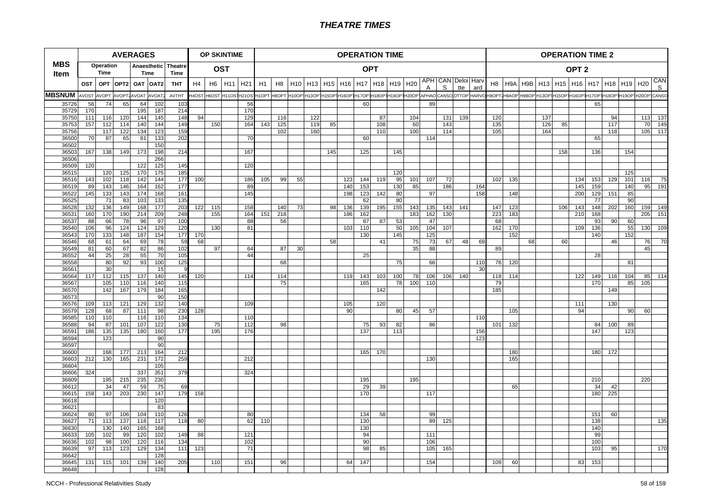|                           |                                                                    |                        |            |            |            |                        |     |           | OP SKINTIME     |                           |     |                |                                                                                                                                                                     |     | <b>OPERATION TIME</b> |            |         |           |           |            |                                |     |     |           |         |    | <b>OPERATION TIME 2</b>                       |                  |            |     |            |           |           |
|---------------------------|--------------------------------------------------------------------|------------------------|------------|------------|------------|------------------------|-----|-----------|-----------------|---------------------------|-----|----------------|---------------------------------------------------------------------------------------------------------------------------------------------------------------------|-----|-----------------------|------------|---------|-----------|-----------|------------|--------------------------------|-----|-----|-----------|---------|----|-----------------------------------------------|------------------|------------|-----|------------|-----------|-----------|
| <b>MBS</b><br><b>Item</b> | <b>AVERAGES</b><br>Operation<br>Anaesthetic<br>Time<br><b>Time</b> |                        |            |            |            | <b>Theatre</b><br>Time |     |           | <b>OST</b>      |                           |     |                |                                                                                                                                                                     |     |                       | <b>OPT</b> |         |           |           |            |                                |     |     |           |         |    |                                               | OPT <sub>2</sub> |            |     |            |           |           |
|                           | OPT OPT2 OAT OAT2<br><b>OST</b>                                    |                        |            |            |            | <b>THT</b>             | H4  | H6        | H <sub>11</sub> | H <sub>21</sub>           | H1  | H <sub>8</sub> | H10   H13   H15   H16   H17   H18   H19   H20                                                                                                                       |     |                       |            |         |           |           |            | APH   CAN   Deloi   Harv<br>S. | tte | ard | H8        | H9A     |    | H9B   H13   H15   H16   H17   H18   H19   H20 |                  |            |     |            |           | CAN<br>S. |
| <b>MBSNUM</b>             |                                                                    | VOST AVOPT AVOPTZAVOAT |            |            | AVOAT2     | <b>AVTHT</b>           |     |           |                 | 140ST H60ST H110ST H210ST |     |                | H1OPT H8OPT H10OPT H13OPT H15OPT H16OPT H17OPT H18OPT H19OPT H2OOPT APHAO CANSO DTTOP HARVO H8OPT H9AOP H9OOP H13OPT H15OPT H16OPT H16OPT H18OPT H19OPT H2OOPTCANSC |     |                       |            |         |           |           |            |                                |     |     |           |         |    |                                               |                  |            |     |            |           |           |
| 35726                     | 56                                                                 | 74                     | 65         | 64         | 102        | 103                    |     |           |                 | 56                        |     |                |                                                                                                                                                                     |     |                       | 60 l       |         |           |           | 89         |                                |     |     |           |         |    |                                               |                  | 65         |     |            |           |           |
| 35729<br>35750            | 170<br>111                                                         | 116                    | 120        | 195<br>144 | 187<br>145 | 214<br>148             | 94  |           |                 | 170<br>129                |     | 116            | 122                                                                                                                                                                 |     |                       |            | 87      |           | 104       |            | 131                            | 139 |     | 120       |         |    | 137                                           |                  |            | 94  |            | 113       | 137       |
| 35753                     | 157                                                                | 112                    | 114        | 140        | 144        | 149                    |     | 150       |                 | 164                       | 143 | 125            | 119                                                                                                                                                                 | 85  |                       |            | 108     |           | 60        |            | 143                            |     |     | 135       |         |    | 126                                           | 85               |            | 117 |            | 70        | 149       |
| 35756                     |                                                                    | 117                    | 122        | 134        | 123        | 159                    |     |           |                 |                           |     | 102            | 160                                                                                                                                                                 |     |                       |            | 110     |           | 100       |            | 114                            |     |     | 105       |         |    | 164                                           |                  |            | 118 |            | 105       | 117       |
| 36500                     | 70                                                                 | 87                     | 65         | 81         | 133        | 202                    |     |           |                 | 70                        |     |                |                                                                                                                                                                     |     |                       | 60         |         |           |           | 114        |                                |     |     |           |         |    |                                               |                  | 65         |     |            |           |           |
| 36502<br>36503            | 167                                                                | 138                    | 149        | 173        | 150<br>198 | 214                    |     |           |                 | 167                       |     |                |                                                                                                                                                                     | 145 |                       | 125        |         | 145       |           |            |                                |     |     |           |         |    | 158                                           |                  | 136        |     | 154        |           |           |
| 36506                     |                                                                    |                        |            |            | 266        |                        |     |           |                 |                           |     |                |                                                                                                                                                                     |     |                       |            |         |           |           |            |                                |     |     |           |         |    |                                               |                  |            |     |            |           |           |
| 36509                     | 120                                                                |                        |            | 122        | 125        | 145                    |     |           |                 | 120                       |     |                |                                                                                                                                                                     |     |                       |            |         |           |           |            |                                |     |     |           |         |    |                                               |                  |            |     |            |           |           |
| 36515                     |                                                                    | 120                    | 125        | 170        | 175        | 185                    |     |           |                 |                           |     |                |                                                                                                                                                                     |     |                       |            |         | 120       |           |            |                                |     |     |           |         |    |                                               |                  |            |     | 125        |           |           |
| 36516<br>36519            | 143<br>89                                                          | 102<br>143             | 118<br>146 | 142<br>164 | 144<br>162 | 177<br>177             | 100 |           |                 | 186<br>89                 | 105 | 99             | 55                                                                                                                                                                  |     | 123<br>140            | 153        | 144 119 | 95<br>130 | 101<br>85 | 107        | 72<br>186                      |     | 164 | 102       | 135     |    |                                               | 134<br>145       | 153<br>159 | 129 | 101<br>140 | 116<br>95 | 75<br>191 |
| 36522                     | 145                                                                | 133                    | 143        | 174        | 168        | 161                    |     |           |                 | 145                       |     |                |                                                                                                                                                                     |     | 198                   | 123        | 142     | 80        |           | 97         |                                |     | 158 |           | 148     |    |                                               | 200              | 129        | 151 | 85         |           |           |
| 36525                     |                                                                    | 71                     | 83         | 103        | 133        | 135                    |     |           |                 |                           |     |                |                                                                                                                                                                     |     |                       | 62         |         | 80        |           |            |                                |     |     |           |         |    |                                               |                  | 77         |     | 90         |           |           |
| 36528                     | 132                                                                | 136                    | 149        | 168        | 177        | 203                    | 122 | 115       |                 | 158                       |     | 140            | 73                                                                                                                                                                  | 98  | 136                   | 139        | 195     | 155       | 143       | 135        | 143                            | 141 |     | 147       | 123     |    | 106                                           | 143              | 148        | 202 | 160        | 159       | 149       |
| 36531                     | 160                                                                | 170                    | 190<br>78  | 214        | 209<br>97  | 248                    |     | 155       |                 | 164                       | 151 | 218            |                                                                                                                                                                     |     | 186                   | 162        |         |           | 183       | 162<br>47  | 130                            |     |     | 223       | 183     |    |                                               | 210              | 168        |     |            | 205       | 151       |
| 36537<br>36540            | 88<br>106                                                          | 66<br>96               | 124        | 96<br>124  | 129        | 100<br>120             |     | 130       |                 | 88<br>81                  |     | 56             |                                                                                                                                                                     |     | 103                   | 87<br>110  | 87      | 53<br>50  | 105       | 104        | 107                            |     |     | 68<br>162 | 170     |    |                                               | 109              | 93<br>136  | 90  | 60<br>55   | 130       | 109       |
| 36543                     | 170                                                                | 133                    | 148        | 187        | 154        | 177                    | 170 |           |                 |                           |     |                |                                                                                                                                                                     |     |                       | 130        |         | 145       |           | 125        |                                |     |     |           | 152     |    |                                               |                  | 140        |     | 152        |           |           |
| 36546                     | 68                                                                 | 61                     | 64         | 69         | 78         | 59                     | 68  |           |                 |                           |     |                |                                                                                                                                                                     | 58  |                       |            | 41      |           | 75        | 73         | 67                             | 48  | 69  |           |         | 68 |                                               | 60               |            | 46  |            | 76        | 70        |
| 36549                     | 81                                                                 | 60                     | 67         | 82         | 86         | 102                    |     | 97        |                 | 64                        |     | 87             | 30                                                                                                                                                                  |     |                       |            |         |           | 35        | 88         |                                |     |     | 89        |         |    |                                               |                  |            |     |            | 45        |           |
| 36552<br>36558            | 44                                                                 | 25<br>80               | 28<br>92   | 55<br>93   | 70<br>100  | 105<br>125             |     |           |                 | 44                        |     | 68             |                                                                                                                                                                     |     |                       | 25         |         | 75        |           | 66         |                                |     | 110 | 76        | 120     |    |                                               |                  | 28         |     | 81         |           |           |
| 36561                     |                                                                    | 30                     |            |            | 15         |                        |     |           |                 |                           |     |                |                                                                                                                                                                     |     |                       |            |         |           |           |            |                                |     | 30  |           |         |    |                                               |                  |            |     |            |           |           |
| 36564                     | 117                                                                | 112                    | 115        | 137        | 140        | 145                    | 120 |           |                 | 114                       |     | 114            |                                                                                                                                                                     |     | 119                   | 143        | 103     | 100       | 78        | 106        | 106                            | 140 |     |           | 118 114 |    |                                               | 122              | 149        | 116 | 104        | 85        | 114       |
| 36567                     |                                                                    | 105                    | 110        | 116        | 140        | 115                    |     |           |                 |                           |     | 75             |                                                                                                                                                                     |     |                       | 165        |         | 78        | 100       | 110        |                                |     |     | 79        |         |    |                                               |                  | 170        |     | 85         | 105       |           |
| 36570<br>36573            |                                                                    | 142                    | 167        | 179        | 184<br>90  | 165<br>150             |     |           |                 |                           |     |                |                                                                                                                                                                     |     |                       |            | 142     |           |           |            |                                |     |     | 185       |         |    |                                               |                  |            | 149 |            |           |           |
| 36576                     | 109                                                                | 113                    | 121        | 129        | 132        | 140                    |     |           |                 | 109                       |     |                |                                                                                                                                                                     |     | 105                   |            | 120     |           |           |            |                                |     |     |           |         |    |                                               | 111              |            | 130 |            |           |           |
| 36579                     | 128                                                                | 68                     | 87         | 111        | 98         | 230                    | 128 |           |                 |                           |     |                |                                                                                                                                                                     |     | 90                    |            |         | 80        | 45        | 57         |                                |     |     |           | 105     |    |                                               | 94               |            |     | 90         | 60        |           |
| 36585                     | 110                                                                | 110                    |            | 116        | 110        | 134                    |     |           |                 | 110                       |     |                |                                                                                                                                                                     |     |                       |            |         |           |           |            |                                |     | 110 |           |         |    |                                               |                  |            |     |            |           |           |
| 36588<br>36591            | 94<br>186                                                          | 87<br>135              | 101<br>135 | 107<br>180 | 122<br>160 | 130<br>177             |     | 75<br>195 |                 | 112<br>176                |     | 98             |                                                                                                                                                                     |     |                       | 75<br>137  | 93      | 82<br>113 |           | 86         |                                |     | 156 | 101       | 132     |    |                                               |                  | 84<br>147  | 100 | 89<br>123  |           |           |
| 36594                     |                                                                    | 123                    |            |            | 90         |                        |     |           |                 |                           |     |                |                                                                                                                                                                     |     |                       |            |         |           |           |            |                                |     | 123 |           |         |    |                                               |                  |            |     |            |           |           |
| 36597                     |                                                                    |                        |            |            | 90         |                        |     |           |                 |                           |     |                |                                                                                                                                                                     |     |                       |            |         |           |           |            |                                |     |     |           |         |    |                                               |                  |            |     |            |           |           |
| 36600                     |                                                                    | 168                    | 177        | 213        | 164        | 212                    |     |           |                 |                           |     |                |                                                                                                                                                                     |     |                       |            | 165 170 |           |           |            |                                |     |     |           | 180     |    |                                               |                  | 180        | 172 |            |           |           |
| 36603<br>36604            | 212                                                                | 130                    | 165        | 231        | 172<br>105 | 259                    |     |           |                 | 212                       |     |                |                                                                                                                                                                     |     |                       |            |         |           |           | 130        |                                |     |     |           | 165     |    |                                               |                  |            |     |            |           |           |
| 36606                     | 324                                                                |                        |            | 337        | 351        | 379                    |     |           |                 | 324                       |     |                |                                                                                                                                                                     |     |                       |            |         |           |           |            |                                |     |     |           |         |    |                                               |                  |            |     |            |           |           |
| 36609                     |                                                                    | 195                    | 215        | 235        | 230        |                        |     |           |                 |                           |     |                |                                                                                                                                                                     |     |                       | 195        |         |           | 195       |            |                                |     |     |           |         |    |                                               |                  | 210        |     |            | 220       |           |
| 36612                     |                                                                    | 34                     | 47         | 59         | 75         | 69                     |     |           |                 |                           |     |                |                                                                                                                                                                     |     |                       | 29         | 39      |           |           |            |                                |     |     |           | 65      |    |                                               |                  | 34         | 42  |            |           |           |
| 36615                     | 158                                                                | 143                    | 203        | 230        | 147        | 179                    | 158 |           |                 |                           |     |                |                                                                                                                                                                     |     |                       | 170        |         |           |           | 117        |                                |     |     |           |         |    |                                               |                  | 180        | 225 |            |           |           |
| 36618<br>36621            |                                                                    |                        |            |            | 120<br>83  |                        |     |           |                 |                           |     |                |                                                                                                                                                                     |     |                       |            |         |           |           |            |                                |     |     |           |         |    |                                               |                  |            |     |            |           |           |
| 36624                     | 80                                                                 | 97                     | 106        | 104        | 110        | 126                    |     |           |                 | 80                        |     |                |                                                                                                                                                                     |     |                       | 134        | 58      |           |           | 99         |                                |     |     |           |         |    |                                               |                  | 151        | 60  |            |           |           |
| 36627                     | 71                                                                 | 113                    | 137        | 118        | 117        | 118                    | 80  |           |                 | 62                        | 110 |                |                                                                                                                                                                     |     |                       | 130        |         |           |           | 89         | 125                            |     |     |           |         |    |                                               |                  | 138        |     |            |           | 135       |
| 36630                     |                                                                    | 130                    | 140        | 165        | 168        |                        |     |           |                 |                           |     |                |                                                                                                                                                                     |     |                       | 130        |         |           |           |            |                                |     |     |           |         |    |                                               |                  | 140        |     |            |           |           |
| 36633<br>36636            | 105<br>102                                                         | 102<br>98              | 99<br>100  | 120<br>120 | 102<br>116 | 149<br>134             | 88  |           |                 | 121<br>102                |     |                |                                                                                                                                                                     |     |                       | 94<br>90   |         |           |           | 111<br>106 |                                |     |     |           |         |    |                                               |                  | 99<br>100  |     |            |           |           |
| 36639                     | 97                                                                 | 113                    | 123        | 129        | 134        | 111                    | 123 |           |                 | 71                        |     |                |                                                                                                                                                                     |     |                       | 98         | 85      |           |           | 105        | 165                            |     |     |           |         |    |                                               |                  | 103        | 95  |            |           | 170       |
| 36642                     |                                                                    |                        |            |            | 128        |                        |     |           |                 |                           |     |                |                                                                                                                                                                     |     |                       |            |         |           |           |            |                                |     |     |           |         |    |                                               |                  |            |     |            |           |           |
| 36645                     | 131                                                                | 115                    | 101        | 139        | 140        | 205                    |     | 110       |                 | 151                       |     | 96             |                                                                                                                                                                     |     | 64                    | 147        |         |           |           | 154        |                                |     |     | 109       | 60      |    |                                               | 83               | 153        |     |            |           |           |
| 36648                     |                                                                    |                        |            |            | 128        |                        |     |           |                 |                           |     |                |                                                                                                                                                                     |     |                       |            |         |           |           |            |                                |     |     |           |         |    |                                               |                  |            |     |            |           |           |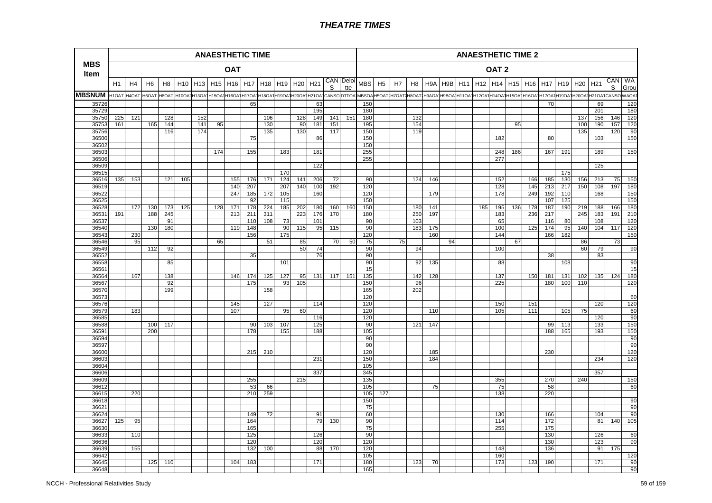|                    |     |                |                |                |                 |                                                                                          |     |            | <b>ANAESTHETIC TIME</b> |            |     |            |            |                       |     |            |                |    |                |                  |     |     |                  | <b>ANAESTHETIC TIME 2</b>                                                                           |            |            |     |                                 |            |             |            |
|--------------------|-----|----------------|----------------|----------------|-----------------|------------------------------------------------------------------------------------------|-----|------------|-------------------------|------------|-----|------------|------------|-----------------------|-----|------------|----------------|----|----------------|------------------|-----|-----|------------------|-----------------------------------------------------------------------------------------------------|------------|------------|-----|---------------------------------|------------|-------------|------------|
| <b>MBS</b><br>Item |     |                |                |                |                 |                                                                                          |     | <b>OAT</b> |                         |            |     |            |            |                       |     |            |                |    |                |                  |     |     | OAT <sub>2</sub> |                                                                                                     |            |            |     |                                 |            |             |            |
|                    | H1  | H <sub>4</sub> | H <sub>6</sub> | H <sub>8</sub> | H <sub>10</sub> | H13   H15   H16   H17   H18   H19   H20   H21                                            |     |            |                         |            |     |            |            | <b>CAN</b> Deloi<br>S | tte | <b>MBS</b> | H <sub>5</sub> | H7 | H <sub>8</sub> | H <sub>9</sub> A | H9B |     |                  | H11 H12 H14 H15 H16 H17 H19                                                                         |            |            |     | H <sub>20</sub> H <sub>21</sub> |            | CAN WA<br>S | Grou       |
| <b>MBSNUM</b>      |     |                |                |                |                 | H1OAT H4OAT H6OAT H8OAT H10OATH13OATH15OATH16OATH17OATH18OATH19OATH20OATH21OATCANSODTTOA |     |            |                         |            |     |            |            |                       |     |            |                |    |                |                  |     |     |                  | MBSOAH5OAT1H7OAT1H8OAT1H9AOAH19BOAHH11OATH12OATH14OATH15OATH16OATH17OATH19OATH20OATH21OATCANSOIWAOA |            |            |     |                                 |            |             |            |
| 35726              |     |                |                |                |                 |                                                                                          |     |            | 65                      |            |     |            | 63         |                       |     | 150        |                |    |                |                  |     |     |                  |                                                                                                     |            | 70         |     |                                 | 69         |             | 120        |
| 35729              |     |                |                |                |                 |                                                                                          |     |            |                         |            |     |            | 195        |                       |     | 180        |                |    |                |                  |     |     |                  |                                                                                                     |            |            |     |                                 | 201        |             | 180        |
| 35750              | 225 | 121            |                | 128            |                 | 152                                                                                      |     |            |                         | 106        |     | 128        | 149        | 141                   | 151 | 180        |                |    | 132            |                  |     |     |                  |                                                                                                     |            |            |     | 137                             | 156        | 146         | 120        |
| 35753              | 161 |                | 165            | 144            |                 | 141                                                                                      | 95  |            |                         | 130        |     | 90         | 181        | 151                   |     | 195        |                |    | 154            |                  |     |     |                  | 95                                                                                                  |            |            |     | 100                             | 190        | 157         | 120        |
| 35756              |     |                |                | 116            |                 | 174                                                                                      |     |            |                         | 135        |     | 130        |            | 117                   |     | 150        |                |    | 119            |                  |     |     |                  |                                                                                                     |            |            |     | 135                             |            | 120         | 90         |
| 36500<br>36502     |     |                |                |                |                 |                                                                                          |     |            | 75                      |            |     |            | 86         |                       |     | 150<br>150 |                |    |                |                  |     |     | 182              |                                                                                                     |            | 80         |     |                                 | 103        |             | 150        |
| 36503              |     |                |                |                |                 |                                                                                          | 174 |            | 155                     |            | 183 |            | 181        |                       |     | 255        |                |    |                |                  |     |     | 248              | 186                                                                                                 |            | 167        | 191 |                                 | 189        |             | 150        |
| 36506              |     |                |                |                |                 |                                                                                          |     |            |                         |            |     |            |            |                       |     | 255        |                |    |                |                  |     |     | 277              |                                                                                                     |            |            |     |                                 |            |             |            |
| 36509              |     |                |                |                |                 |                                                                                          |     |            |                         |            |     |            | 122        |                       |     |            |                |    |                |                  |     |     |                  |                                                                                                     |            |            |     |                                 | 125        |             |            |
| 36515              |     |                |                |                |                 |                                                                                          |     |            |                         |            | 170 |            |            |                       |     |            |                |    |                |                  |     |     |                  |                                                                                                     |            |            | 175 |                                 |            |             |            |
| 36516              | 135 | 153            |                | 121            | 105             |                                                                                          |     | 155        | 176                     | 171        | 124 | 141        | 206        | 72                    |     | 90         |                |    | 124            | 146              |     |     | 152              |                                                                                                     | 166        | 185        | 130 | 156                             | 213        | 75          | 150        |
| 36519              |     |                |                |                |                 |                                                                                          |     | 140        | 207                     |            | 207 | 140        | 100        | 192                   |     | 120        |                |    |                |                  |     |     | 128              |                                                                                                     | 145        | 213        | 217 | 150                             | 108        | 197         | 180        |
| 36522              |     |                |                |                |                 |                                                                                          |     | 247        | 185                     | 172        | 105 |            | 160        |                       |     | 120        |                |    |                | 179              |     |     | 178              |                                                                                                     | 249        | 192        | 110 |                                 | 168        |             | 150        |
| 36525              |     |                |                |                |                 |                                                                                          |     |            | 92                      |            | 115 |            |            |                       |     | 150        |                |    |                |                  |     |     |                  |                                                                                                     |            | 107        | 125 |                                 |            |             | 150        |
| 36528<br>36531     | 191 | 172            | 130<br>188     | 173<br>245     | 125             |                                                                                          | 128 | 171<br>213 | 178<br>211              | 224<br>311 | 185 | 202<br>223 | 180<br>176 | 160<br>170            | 160 | 150<br>180 |                |    | 180<br>250     | 141<br>197       |     | 185 | 195<br>183       | 136                                                                                                 | 178<br>236 | 187<br>217 | 190 | 219<br>245                      | 188<br>183 | 166<br>191  | 180<br>210 |
| 36537              |     |                |                | 91             |                 |                                                                                          |     |            | 110                     | 108        | 73  |            | 101        |                       |     | 90         |                |    | 103            |                  |     |     | 65               |                                                                                                     |            | 116        | 80  |                                 | 108        |             | 120        |
| 36540              |     |                | 130            | 180            |                 |                                                                                          |     | 119        | 148                     |            | 90  | 115        | 95         | 115                   |     | 90         |                |    | 183            | 175              |     |     | 100              |                                                                                                     | 125        | 174        | 95  | 140                             | 104        | 117         | 120        |
| 36543              |     | 230            |                |                |                 |                                                                                          |     |            | 156                     |            | 175 |            |            |                       |     | 120        |                |    |                | 160              |     |     | 144              |                                                                                                     |            | 166        | 182 |                                 |            |             | 150        |
| 36546              |     | 95             |                |                |                 |                                                                                          | 65  |            |                         | 51         |     | 85         |            | 70                    | 50  | 75         |                | 75 |                |                  | 94  |     |                  | 67                                                                                                  |            |            |     | 86                              |            | 73          |            |
| 36549              |     |                | 112            | 92             |                 |                                                                                          |     |            |                         |            |     | 50         | 74         |                       |     | 90         |                |    | 94             |                  |     |     | 100              |                                                                                                     |            |            |     | 60                              | 79         |             | 90         |
| 36552              |     |                |                |                |                 |                                                                                          |     |            | 35                      |            |     |            | 76         |                       |     | 90         |                |    |                |                  |     |     |                  |                                                                                                     |            | 38         |     |                                 | 83         |             |            |
| 36558              |     |                |                | 85             |                 |                                                                                          |     |            |                         |            | 101 |            |            |                       |     | 90         |                |    | 92             | 135              |     |     | 88               |                                                                                                     |            |            | 108 |                                 |            |             | 90         |
| 36561              |     |                |                |                |                 |                                                                                          |     |            |                         |            |     |            |            |                       |     | 15         |                |    |                |                  |     |     |                  |                                                                                                     |            |            |     |                                 |            |             | 15         |
| 36564              |     | 167            |                | 138            |                 |                                                                                          |     | 146        | 174                     | 125        | 127 | 95         | $131$      | 117                   | 15' | 135        |                |    | 142            | 128              |     |     | 137              |                                                                                                     | 150        | 181        | 131 | 102                             | 135        | 124         | 180        |
| 36567              |     |                |                | 92             |                 |                                                                                          |     |            | 175                     |            | 93  | 105        |            |                       |     | 150        |                |    | 96             |                  |     |     | 225              |                                                                                                     |            | 180        | 100 | 110                             |            |             | 120        |
| 36570              |     |                |                | 199            |                 |                                                                                          |     |            |                         | 158        |     |            |            |                       |     | 165        |                |    | 202            |                  |     |     |                  |                                                                                                     |            |            |     |                                 |            |             |            |
| 36573              |     |                |                |                |                 |                                                                                          |     |            |                         | 127        |     |            |            |                       |     | 120<br>120 |                |    |                |                  |     |     |                  |                                                                                                     |            |            |     |                                 | 120        |             | 60<br>120  |
| 36576<br>36579     |     | 183            |                |                |                 |                                                                                          |     | 145<br>107 |                         |            | 95  | 60         | 114        |                       |     | 120        |                |    |                | 110              |     |     | 150<br>105       |                                                                                                     | 151<br>111 |            | 105 | 75                              |            |             | 60         |
| 36585              |     |                |                |                |                 |                                                                                          |     |            |                         |            |     |            | 116        |                       |     | 120        |                |    |                |                  |     |     |                  |                                                                                                     |            |            |     |                                 | 120        |             | 90         |
| 36588              |     |                | 100            | 117            |                 |                                                                                          |     |            | 90                      | 103        | 107 |            | 125        |                       |     | 90         |                |    | 121            | 147              |     |     |                  |                                                                                                     |            | 99         | 113 |                                 | 133        |             | 150        |
| 36591              |     |                | 200            |                |                 |                                                                                          |     |            | 178                     |            | 155 |            | 188        |                       |     | 105        |                |    |                |                  |     |     |                  |                                                                                                     |            | 188        | 165 |                                 | 193        |             | 150        |
| 36594              |     |                |                |                |                 |                                                                                          |     |            |                         |            |     |            |            |                       |     | 90         |                |    |                |                  |     |     |                  |                                                                                                     |            |            |     |                                 |            |             | 90         |
| 36597              |     |                |                |                |                 |                                                                                          |     |            |                         |            |     |            |            |                       |     | 90         |                |    |                |                  |     |     |                  |                                                                                                     |            |            |     |                                 |            |             | 90         |
| 36600              |     |                |                |                |                 |                                                                                          |     |            | 215                     | 210        |     |            |            |                       |     | 120        |                |    |                | 185              |     |     |                  |                                                                                                     |            | 230        |     |                                 |            |             | 120        |
| 36603              |     |                |                |                |                 |                                                                                          |     |            |                         |            |     |            | 231        |                       |     | 150        |                |    |                | 184              |     |     |                  |                                                                                                     |            |            |     |                                 | 234        |             | 120        |
| 36604              |     |                |                |                |                 |                                                                                          |     |            |                         |            |     |            |            |                       |     | 105        |                |    |                |                  |     |     |                  |                                                                                                     |            |            |     |                                 |            |             |            |
| 36606              |     |                |                |                |                 |                                                                                          |     |            |                         |            |     |            | 337        |                       |     | 345        |                |    |                |                  |     |     |                  |                                                                                                     |            |            |     |                                 | 357        |             |            |
| 36609              |     |                |                |                |                 |                                                                                          |     |            | 255                     |            |     | 215        |            |                       |     | 135<br>105 |                |    |                |                  |     |     | 355<br>75        |                                                                                                     |            | 270        |     | 240                             |            |             | 150        |
| 36612<br>36615     |     | 220            |                |                |                 |                                                                                          |     |            | 53<br>210               | 66<br>259  |     |            |            |                       |     | 105        | 127            |    |                | 75               |     |     | 138              |                                                                                                     |            | 58<br>220  |     |                                 |            |             | 60         |
| 36618              |     |                |                |                |                 |                                                                                          |     |            |                         |            |     |            |            |                       |     | 150        |                |    |                |                  |     |     |                  |                                                                                                     |            |            |     |                                 |            |             | 90         |
| 36621              |     |                |                |                |                 |                                                                                          |     |            |                         |            |     |            |            |                       |     | 75         |                |    |                |                  |     |     |                  |                                                                                                     |            |            |     |                                 |            |             | 90         |
| 36624              |     |                |                |                |                 |                                                                                          |     |            | 149                     | 72         |     |            | 91         |                       |     | 60         |                |    |                |                  |     |     | 130              |                                                                                                     |            | 166        |     |                                 | 104        |             | 90         |
| 36627              | 125 | 95             |                |                |                 |                                                                                          |     |            | 164                     |            |     |            | 79         | 130                   |     | 90         |                |    |                |                  |     |     | 114              |                                                                                                     |            | 172        |     |                                 | 81         | 140         | 105        |
| 36630              |     |                |                |                |                 |                                                                                          |     |            | 165                     |            |     |            |            |                       |     | 75         |                |    |                |                  |     |     | 255              |                                                                                                     |            | 175        |     |                                 |            |             |            |
| 36633              |     | 110            |                |                |                 |                                                                                          |     |            | 125                     |            |     |            | 126        |                       |     | 90         |                |    |                |                  |     |     |                  |                                                                                                     |            | 130        |     |                                 | 126        |             | 60         |
| 36636              |     |                |                |                |                 |                                                                                          |     |            | 120                     |            |     |            | 120        |                       |     | 120        |                |    |                |                  |     |     |                  |                                                                                                     |            | 130        |     |                                 | 123        |             | 90         |
| 36639              |     | 155            |                |                |                 |                                                                                          |     |            | 132                     | 100        |     |            | 88         | 170                   |     | 120        |                |    |                |                  |     |     | 148              |                                                                                                     |            | 136        |     |                                 | 91         | 175         |            |
| 36642              |     |                |                |                |                 |                                                                                          |     |            |                         |            |     |            |            |                       |     | 105        |                |    |                |                  |     |     | 160              |                                                                                                     |            |            |     |                                 |            |             | 120        |
| 36645              |     |                | 125            | 110            |                 |                                                                                          |     | 104        | 183                     |            |     |            | 171        |                       |     | 180        |                |    | 123            | 70               |     |     | 173              |                                                                                                     | 123        | 190        |     |                                 | 171        |             | 90         |
| 36648              |     |                |                |                |                 |                                                                                          |     |            |                         |            |     |            |            |                       |     | 165        |                |    |                |                  |     |     |                  |                                                                                                     |            |            |     |                                 |            |             | 90         |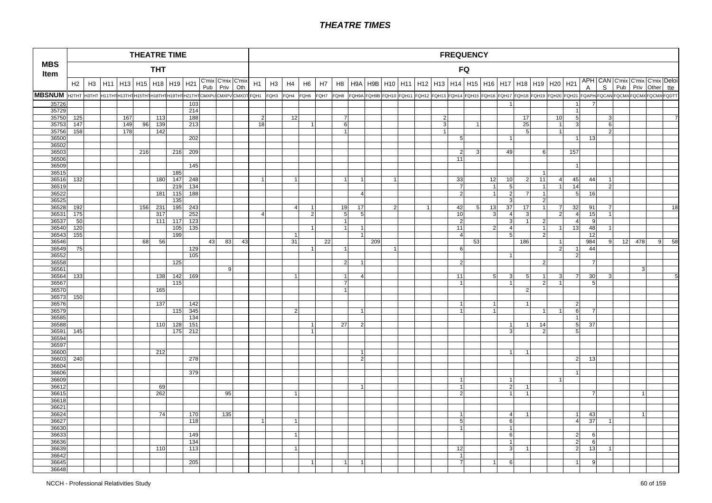|                                                                                                                                                                                                                                |            |                            | <b>THEATRE TIME</b> |            |                  |            |    |          |                          |                      |    |                |                |    |                            |                                  |                |  |                | <b>FREQUENCY</b>                 |                      |                                   |                                                                                        |                                  |                       |                      |                                                       |                |   |    |
|--------------------------------------------------------------------------------------------------------------------------------------------------------------------------------------------------------------------------------|------------|----------------------------|---------------------|------------|------------------|------------|----|----------|--------------------------|----------------------|----|----------------|----------------|----|----------------------------|----------------------------------|----------------|--|----------------|----------------------------------|----------------------|-----------------------------------|----------------------------------------------------------------------------------------|----------------------------------|-----------------------|----------------------|-------------------------------------------------------|----------------|---|----|
| <b>MBS</b><br><b>Item</b>                                                                                                                                                                                                      |            |                            |                     | <b>THT</b> |                  |            |    |          |                          |                      |    |                |                |    |                            |                                  |                |  |                | <b>FQ</b>                        |                      |                                   |                                                                                        |                                  |                       |                      |                                                       |                |   |    |
|                                                                                                                                                                                                                                | H2         | H3 H11 H13 H15 H18 H19 H21 |                     |            |                  |            |    | Pub Priv | C'mix C'mix C'mix<br>Oth | H1                   | H3 | H4             | H <sub>6</sub> | H7 |                            |                                  |                |  |                |                                  |                      |                                   | H8   H9A   H9B   H10   H11   H12   H13   H14   H15   H16   H17   H18   H19   H20   H21 |                                  | $\Delta$              | S                    | APH CAN C'mix C'mix C'mix Deloi<br>Pub Priv Other tte |                |   |    |
| MBSNUM  H2THT  H3THT  H3THT H13THT H13THT H18THT H18THT H21THT CMXPU CMXPV CMXOT FQH1  FQH3  FQH4  FQH6  FQH6  FQH8  FQH9 GH9B GAH19 FQH13 FQH18 FQH14 FQH15 FQH16 FQH17 FQH18 FQH19 FQH20 FQH21 FQAH2 FQCMX FQCMX FQCMX FQCMX |            |                            |                     |            |                  |            |    |          |                          |                      |    |                |                |    |                            |                                  |                |  |                |                                  |                      |                                   |                                                                                        |                                  |                       |                      |                                                       |                |   |    |
| 35726                                                                                                                                                                                                                          |            |                            |                     |            |                  | 103        |    |          |                          |                      |    |                |                |    |                            |                                  |                |  |                |                                  |                      | $\overline{1}$                    |                                                                                        | $\vert$ 1                        | $\overline{7}$        |                      |                                                       |                |   |    |
| 35729                                                                                                                                                                                                                          |            |                            |                     |            |                  | 214        |    |          |                          |                      |    |                |                |    |                            |                                  |                |  |                |                                  |                      |                                   |                                                                                        | 1                                |                       |                      |                                                       |                |   |    |
| 35750<br>35753                                                                                                                                                                                                                 | 125<br>147 | 167<br>149                 | 96                  | 113<br>139 |                  | 188<br>213 |    |          |                          | $\overline{2}$<br>18 |    | 12             | 1 <sup>1</sup> |    | $\overline{7}$<br>$6 \mid$ |                                  |                |  | $\vert$ 2<br>3 |                                  |                      | 17<br>25                          | 10<br>1                                                                                | 5 <sup>1</sup><br>3 <sup>l</sup> |                       | 3<br>$6\phantom{.}6$ |                                                       |                |   |    |
| 35756                                                                                                                                                                                                                          | 158        | 178                        |                     | 142        |                  |            |    |          |                          |                      |    |                |                |    | 1                          |                                  |                |  | 1              |                                  |                      | 5 <sub>l</sub>                    | 1                                                                                      |                                  |                       | 2                    |                                                       |                |   |    |
| 36500                                                                                                                                                                                                                          |            |                            |                     |            |                  | 202        |    |          |                          |                      |    |                |                |    |                            |                                  |                |  |                | 5 <sub>1</sub>                   |                      | $\overline{1}$                    |                                                                                        | 1                                | 13                    |                      |                                                       |                |   |    |
| 36502                                                                                                                                                                                                                          |            |                            |                     |            |                  |            |    |          |                          |                      |    |                |                |    |                            |                                  |                |  |                |                                  |                      |                                   |                                                                                        |                                  |                       |                      |                                                       |                |   |    |
| 36503<br>36506                                                                                                                                                                                                                 |            |                            | 216                 |            | 216              | 209        |    |          |                          |                      |    |                |                |    |                            |                                  |                |  |                | 2 <br>11                         | $\mathbf{3}$         | 49                                | 6 <sup>1</sup>                                                                         | 157                              |                       |                      |                                                       |                |   |    |
| 36509                                                                                                                                                                                                                          |            |                            |                     |            |                  | 145        |    |          |                          |                      |    |                |                |    |                            |                                  |                |  |                |                                  |                      |                                   |                                                                                        | 1                                |                       |                      |                                                       |                |   |    |
| 36515                                                                                                                                                                                                                          |            |                            |                     |            | 185              |            |    |          |                          |                      |    |                |                |    |                            |                                  |                |  |                |                                  |                      |                                   | $\overline{1}$                                                                         |                                  |                       |                      |                                                       |                |   |    |
| 36516                                                                                                                                                                                                                          | 132        |                            |                     | 180        | 147              | 248        |    |          |                          | 1                    |    | $\overline{1}$ |                |    | 1                          | $\overline{1}$                   | 1 <sup>1</sup> |  |                | 33                               | 12                   | 10<br>$\overline{2}$              | 11<br>$\overline{4}$                                                                   | 45                               | 44                    | $\mathbf{1}$         |                                                       |                |   |    |
| 36519                                                                                                                                                                                                                          |            |                            |                     |            | 219              | 134        |    |          |                          |                      |    |                |                |    |                            |                                  |                |  |                | $\overline{7}$<br>$\overline{2}$ | 1<br>$\vert$ 1       | $\overline{5}$<br>$\overline{7}$  | 1<br>$\mathbf{1}$<br>1                                                                 | 14<br>5 <sup>1</sup>             |                       | $\overline{2}$       |                                                       |                |   |    |
| 36522<br>36525                                                                                                                                                                                                                 |            |                            |                     | 181        | 115<br>135       | 188        |    |          |                          |                      |    |                |                |    |                            | 4 <sup>1</sup>                   |                |  |                |                                  |                      | $\overline{2}$<br>$\mathbf{3}$    | 2 <sup>1</sup>                                                                         |                                  | 16                    |                      |                                                       |                |   |    |
| 36528                                                                                                                                                                                                                          | 192        |                            | 156                 | 231        | 195              | 243        |    |          |                          |                      |    | 4 <sup>1</sup> | 1              |    | 19                         | 17                               | $\overline{2}$ |  |                | 42                               | 13<br>5 <sub>l</sub> | 37<br>17                          | $\overline{7}$<br>$\mathbf{1}$                                                         | 32                               | 91                    | $\overline{7}$       |                                                       |                |   | 18 |
| 36531                                                                                                                                                                                                                          | 175        |                            |                     | 317        |                  | 252        |    |          |                          | $\overline{4}$       |    |                | $2 \vert$      |    | $5\phantom{.0}$            | 5 <sub>5</sub>                   |                |  |                | 10                               | 3 <sup>1</sup>       | $\overline{4}$<br>$\mathbf{3}$    | $\overline{2}$                                                                         | $\overline{4}$                   | 15                    | $\mathbf{1}$         |                                                       |                |   |    |
| 36537                                                                                                                                                                                                                          | 50         |                            |                     | 111        | 117              | 123        |    |          |                          |                      |    |                |                |    | 1                          |                                  |                |  |                | $\overline{2}$                   |                      | $\mathbf{3}$<br>1                 | $\overline{2}$                                                                         | $\overline{4}$                   | 9                     |                      |                                                       |                |   |    |
| 36540<br>36543                                                                                                                                                                                                                 | 120<br>155 |                            |                     |            | 105<br>199       | 135        |    |          |                          |                      |    | $\overline{1}$ | 1              |    | 1                          | $\overline{1}$<br>$\overline{1}$ |                |  |                | 11<br>$\overline{4}$             | $\overline{2}$       | $\overline{4}$<br>$5\overline{)}$ | 1 <sup>1</sup><br>1<br>$\overline{2}$                                                  | 13                               | 48<br>12              | $\overline{1}$       |                                                       |                |   |    |
| 36546                                                                                                                                                                                                                          |            |                            | 68                  | 56         |                  |            | 43 | 83       | 43                       |                      |    | 31             |                | 22 |                            | 209                              |                |  |                | 53                               |                      | 186                               | 1                                                                                      |                                  | 984                   | 9                    | 12                                                    | 478            | 9 | 58 |
| 36549                                                                                                                                                                                                                          | 75         |                            |                     |            |                  | 129        |    |          |                          |                      |    |                | 1              |    | 11                         |                                  | 1              |  |                | 6 <sup>1</sup>                   |                      |                                   | $\overline{2}$                                                                         | 11                               | 44                    |                      |                                                       |                |   |    |
| 36552                                                                                                                                                                                                                          |            |                            |                     |            |                  | 105        |    |          |                          |                      |    |                |                |    |                            |                                  |                |  |                |                                  |                      | $\overline{1}$                    |                                                                                        | $\overline{2}$                   |                       |                      |                                                       |                |   |    |
| 36558<br>36561                                                                                                                                                                                                                 |            |                            |                     |            | 125              |            |    | 9        |                          |                      |    |                |                |    | 2                          | $\mathbf{1}$                     |                |  |                | $\overline{2}$                   |                      |                                   | 2 <sup>1</sup>                                                                         |                                  | $\overline{7}$        |                      |                                                       | $\overline{3}$ |   |    |
| 36564                                                                                                                                                                                                                          | 133        |                            |                     | 138        | 142              | 169        |    |          |                          |                      |    | 1 <sup>1</sup> |                |    | 1                          | $\vert$                          |                |  |                | 11                               | 5 <sup>1</sup>       | $\mathbf{3}$<br>5 <sub>l</sub>    | 1<br>3 <sup>1</sup>                                                                    | 7 <sup>1</sup>                   | 30                    | $\mathbf{3}$         |                                                       |                |   |    |
| 36567                                                                                                                                                                                                                          |            |                            |                     |            | $\overline{115}$ |            |    |          |                          |                      |    |                |                |    | $\overline{7}$             |                                  |                |  |                |                                  |                      | $\overline{1}$                    | $\overline{2}$<br>1                                                                    |                                  | $5\overline{5}$       |                      |                                                       |                |   |    |
| 36570                                                                                                                                                                                                                          |            |                            |                     | 165        |                  |            |    |          |                          |                      |    |                |                |    | $\overline{1}$             |                                  |                |  |                |                                  |                      | $\overline{2}$                    |                                                                                        |                                  |                       |                      |                                                       |                |   |    |
| 36573<br>36576                                                                                                                                                                                                                 | 150        |                            |                     | 137        |                  | 142        |    |          |                          |                      |    |                |                |    |                            |                                  |                |  |                | $\mathbf{1}$                     | 1                    | 1 <sup>1</sup>                    |                                                                                        | $\overline{2}$                   |                       |                      |                                                       |                |   |    |
| 36579                                                                                                                                                                                                                          |            |                            |                     |            | 115              | 345        |    |          |                          |                      |    | $\overline{2}$ |                |    |                            | $\mathbf{1}$                     |                |  |                | $\mathbf{1}$                     | 1 <sup>1</sup>       |                                   | 1 <sup>1</sup><br>1                                                                    | $6 \overline{6}$                 | $\overline{7}$        |                      |                                                       |                |   |    |
| 36585                                                                                                                                                                                                                          |            |                            |                     |            |                  | 134        |    |          |                          |                      |    |                |                |    |                            |                                  |                |  |                |                                  |                      |                                   |                                                                                        | 1                                |                       |                      |                                                       |                |   |    |
| 36588                                                                                                                                                                                                                          |            |                            |                     | 110        | 128              | 151        |    |          |                          |                      |    |                | 1              |    | 27                         | 2 <sup>1</sup>                   |                |  |                |                                  |                      | $\overline{1}$<br>11              | 14                                                                                     | 5 <sub>1</sub>                   | 37                    |                      |                                                       |                |   |    |
| 36591                                                                                                                                                                                                                          | 145        |                            |                     |            | 175              | 212        |    |          |                          |                      |    |                | 1              |    |                            |                                  |                |  |                |                                  |                      | $\overline{3}$                    | $\overline{2}$                                                                         | 5 <sup>1</sup>                   |                       |                      |                                                       |                |   |    |
| 36594<br>36597                                                                                                                                                                                                                 |            |                            |                     |            |                  |            |    |          |                          |                      |    |                |                |    |                            |                                  |                |  |                |                                  |                      |                                   |                                                                                        |                                  |                       |                      |                                                       |                |   |    |
| 36600                                                                                                                                                                                                                          |            |                            |                     | 212        |                  |            |    |          |                          |                      |    |                |                |    |                            | 1                                |                |  |                |                                  |                      | 1<br>$\overline{1}$               |                                                                                        |                                  |                       |                      |                                                       |                |   |    |
| 36603                                                                                                                                                                                                                          | 240        |                            |                     |            |                  | 278        |    |          |                          |                      |    |                |                |    |                            | 2                                |                |  |                |                                  |                      |                                   |                                                                                        | $\overline{2}$                   | 13                    |                      |                                                       |                |   |    |
| 36604                                                                                                                                                                                                                          |            |                            |                     |            |                  | 379        |    |          |                          |                      |    |                |                |    |                            |                                  |                |  |                |                                  |                      |                                   |                                                                                        | 1                                |                       |                      |                                                       |                |   |    |
| 36606<br>36609                                                                                                                                                                                                                 |            |                            |                     |            |                  |            |    |          |                          |                      |    |                |                |    |                            |                                  |                |  |                | $\mathbf{1}$                     |                      | $\mathbf{1}$                      | 11                                                                                     |                                  |                       |                      |                                                       |                |   |    |
| 36612                                                                                                                                                                                                                          |            |                            |                     | 69         |                  |            |    |          |                          |                      |    |                |                |    |                            | 1                                |                |  |                | 1                                |                      | $\overline{2}$<br>$\vert$ 1       |                                                                                        |                                  |                       |                      |                                                       |                |   |    |
| 36615                                                                                                                                                                                                                          |            |                            |                     | 262        |                  |            |    | 95       |                          |                      |    | $\overline{1}$ |                |    |                            |                                  |                |  |                | 2 <sup>1</sup>                   |                      | $\overline{1}$<br>1               |                                                                                        |                                  | $\overline{7}$        |                      |                                                       | $\mathbf{1}$   |   |    |
| 36618                                                                                                                                                                                                                          |            |                            |                     |            |                  |            |    |          |                          |                      |    |                |                |    |                            |                                  |                |  |                |                                  |                      |                                   |                                                                                        |                                  |                       |                      |                                                       |                |   |    |
| 36621<br>36624                                                                                                                                                                                                                 |            |                            |                     | 74         |                  | 170        |    | 135      |                          |                      |    |                |                |    |                            |                                  |                |  |                | 1                                |                      | $\overline{4}$                    |                                                                                        | 1 <sup>1</sup>                   | 43                    |                      |                                                       |                |   |    |
| 36627                                                                                                                                                                                                                          |            |                            |                     |            |                  | 118        |    |          |                          | 1                    |    | 1              |                |    |                            |                                  |                |  |                | 5 <sub>5</sub>                   |                      | $6\phantom{.}6$                   |                                                                                        | $\overline{4}$                   | 37                    | $\overline{1}$       |                                                       |                |   |    |
| 36630                                                                                                                                                                                                                          |            |                            |                     |            |                  |            |    |          |                          |                      |    |                |                |    |                            |                                  |                |  |                | $\mathbf{1}$                     |                      | $\overline{1}$                    |                                                                                        |                                  |                       |                      |                                                       |                |   |    |
| 36633                                                                                                                                                                                                                          |            |                            |                     |            |                  | 149        |    |          |                          |                      |    | $\overline{1}$ |                |    |                            |                                  |                |  |                |                                  |                      | 6                                 |                                                                                        | $\overline{2}$                   | 6                     |                      |                                                       |                |   |    |
| 36636<br>36639                                                                                                                                                                                                                 |            |                            |                     | 110        |                  | 134<br>113 |    |          |                          |                      |    | $\vert$ 1      |                |    |                            |                                  |                |  |                | 12                               |                      | $\mathbf{1}$<br>$\mathbf{3}$      |                                                                                        | $\overline{2}$<br>$\overline{2}$ | $6\phantom{1}6$<br>13 | -1                   |                                                       |                |   |    |
| 36642                                                                                                                                                                                                                          |            |                            |                     |            |                  |            |    |          |                          |                      |    |                |                |    |                            |                                  |                |  |                | $\overline{1}$                   |                      |                                   |                                                                                        |                                  |                       |                      |                                                       |                |   |    |
| 36645                                                                                                                                                                                                                          |            |                            |                     |            |                  | 205        |    |          |                          |                      |    |                | $\mathbf{1}$   |    |                            | $\overline{1}$                   |                |  |                | $\overline{7}$                   | 1 <sup>1</sup>       | 6                                 |                                                                                        | $\blacktriangleleft$             | 9                     |                      |                                                       |                |   |    |
| 36648                                                                                                                                                                                                                          |            |                            |                     |            |                  |            |    |          |                          |                      |    |                |                |    |                            |                                  |                |  |                |                                  |                      |                                   |                                                                                        |                                  |                       |                      |                                                       |                |   |    |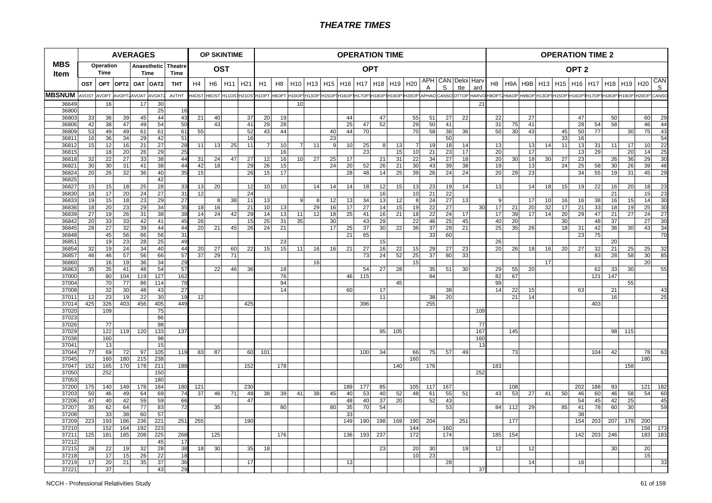|                           |                                                                          |            |                  | <b>AVERAGES</b>               |            |                    |                 | <b>OP SKINTIME</b>        |                 |                 |          |                                                                                     |                 |                |          |                 |            | <b>OPERATION TIME</b> |                                               |                      |                       |                                |                 |     |                 |           |                 |                                                                   |          |                  | <b>OPERATION TIME 2</b> |                                                                                 |          |            |            |
|---------------------------|--------------------------------------------------------------------------|------------|------------------|-------------------------------|------------|--------------------|-----------------|---------------------------|-----------------|-----------------|----------|-------------------------------------------------------------------------------------|-----------------|----------------|----------|-----------------|------------|-----------------------|-----------------------------------------------|----------------------|-----------------------|--------------------------------|-----------------|-----|-----------------|-----------|-----------------|-------------------------------------------------------------------|----------|------------------|-------------------------|---------------------------------------------------------------------------------|----------|------------|------------|
| <b>MBS</b><br><b>Item</b> | Operation<br>Anaesthetic<br><b>Theatre</b><br><b>Time</b><br><b>Time</b> |            |                  |                               |            |                    |                 | <b>OST</b>                |                 |                 |          |                                                                                     |                 |                |          |                 | <b>OPT</b> |                       |                                               |                      |                       |                                |                 |     |                 |           |                 |                                                                   |          | OPT <sub>2</sub> |                         |                                                                                 |          |            |            |
|                           | <b>OST</b>                                                               | OPT        | OPT <sub>2</sub> | OAT OAT2                      |            | Time<br><b>THT</b> | H4              | H <sub>6</sub>            | H <sub>11</sub> | H <sub>21</sub> | H1       | H8                                                                                  |                 |                |          |                 |            |                       | H10   H13   H15   H16   H17   H18   H19   H20 |                      |                       | APH   CAN   Deloi   Harv<br>S. | tte             | ard | H <sub>8</sub>  | H9A       |                 | H9B H13 H15                                                       |          |                  |                         | H <sub>16</sub> H <sub>17</sub> H <sub>18</sub> H <sub>19</sub> H <sub>20</sub> |          |            | CAN<br>S.  |
| <b>MBSNUM</b>             |                                                                          |            |                  | VOST AVOPT AVOPTZAVOAT AVOAT2 |            | AVTHT              |                 | 140ST H60ST H110ST H210ST |                 |                 |          | H1OPT H8OPT H10OP1H13OP1H15OP1H16OP1H17OP1H18OP1H19OP1H20OP1APHAO CANSO DTTOP1HARVO |                 |                |          |                 |            |                       |                                               |                      |                       |                                |                 |     |                 |           |                 | H8OPT/H9AOP H9BOP H13OP H15OP H16OP H17OP H18OP H19OP H20OP CANSO |          |                  |                         |                                                                                 |          |            |            |
| 36649                     |                                                                          | 16         |                  | 17                            | 30         |                    |                 |                           |                 |                 |          |                                                                                     | 10 <sup>1</sup> |                |          |                 |            |                       |                                               |                      |                       |                                |                 | 21  |                 |           |                 |                                                                   |          |                  |                         |                                                                                 |          |            |            |
| 36800<br>36803            | 33                                                                       | 36         | 39               | 45                            | 25<br>44   | 16<br>43           | 21              | 40                        |                 | 37              | 20       | 19                                                                                  |                 |                |          | 44              |            | 47                    |                                               | 55                   | 51                    | 27                             | 22              |     | 22              |           | 27              |                                                                   |          | 47               |                         | 50                                                                              |          | 60         | 29         |
| 36806                     | 42                                                                       | 38         | 47               | 49                            | 54         | 50                 |                 | 43                        |                 | 41              | 29       | 28                                                                                  |                 |                |          | 25              | 47         | 52                    |                                               | 29                   | 50                    | 41                             |                 |     | 31              | 75        | 41              |                                                                   |          | 28               | 54                      | 58                                                                              |          | 46         | 44         |
| 36809                     | 53                                                                       | 49         | 49               | 61                            | 61         | 61                 | 55              |                           |                 | 52              | 43       | 44                                                                                  |                 |                | 40       | 44              | 70         |                       |                                               | 70                   | 58                    | 38                             | 36              |     | 50              | 30        | 43              |                                                                   | 45       | 50               | 77                      |                                                                                 | 30       | 75         | 43         |
| 36811                     | 16                                                                       | 36         | 34               | 29                            | 42         | 51                 |                 |                           |                 | 16              |          |                                                                                     |                 |                | 23       |                 |            |                       |                                               |                      |                       | 50                             |                 |     |                 |           |                 |                                                                   | 33       | 16               |                         |                                                                                 |          |            | 54         |
| 36812<br>36815            | 15                                                                       | 12<br>18   | 16<br>20         | 21<br>26                      | 27<br>29   | 28<br>25           | 11              | 13                        | 25              | 11              | 7        | 10<br>16                                                                            | 7 <sup>1</sup>  | 11             | 9        | 10 <sup>1</sup> | 25<br>23   | 8                     | 13<br>15                                      | 7<br>10 <sup>1</sup> | 19 <sup>°</sup><br>21 | 18<br>23                       | 14<br>17        |     | 13<br>20        |           | 13<br>17        | 14                                                                | 11       | 13<br>13         | 31<br>29                | 11                                                                              | 17<br>20 | 10<br>14   | 22<br>25   |
| 36818                     | 32 <sub>1</sub>                                                          | 22         | 27               | 33                            | 38         | 44                 | 31              | 24                        | 47              | 27              | 12       | 16                                                                                  | 10 <sup>1</sup> | 27             | 25       | 17              |            | 21                    | 31                                            | 22                   | 34                    | 27                             | 18              |     | 20              | 30        | 18              | 30                                                                | 27       | 23               |                         | 26                                                                              | 36       | 29         | 30         |
| 36821                     | 30                                                                       | 30         | 31               | 41                            | 38         | 44                 | 42              | 18                        |                 | 29              | 26       | 15                                                                                  |                 |                | 24       | 20              | 52         | 26                    | 21                                            | 30                   | 43                    | 39                             | 38              |     | 19              |           | 13              |                                                                   | 24       | 25               | 58                      | 30                                                                              | 26       | 39         | 46         |
| 36824                     | 20                                                                       | 26         | 32               | 36                            | 40         | 35                 | 15              |                           |                 | 26              | 15       | 17                                                                                  |                 |                |          | 28              | 48         | 14                    | 25                                            | 39                   | 26                    | 24                             | 24              |     | 20 <sub>l</sub> | 29        | 23              |                                                                   |          | 34               | 55                      | 19                                                                              | 31       | 45         | 29         |
| 36825<br>36827            | 15                                                                       | 15         | 18               | 25                            | 42<br>28   | 33                 | 13              | 20                        |                 | 12              | 10       | 10                                                                                  |                 | 14             | 14       | 14              | 18         | 12                    | 15                                            | 13                   | 23                    | 19                             | 14              |     | 13              |           | 14              | 18                                                                | 15       | 19               | 22                      | 16                                                                              | 20       | 18         | 23         |
| 36830                     | 18                                                                       | 17         | 20               | 24                            | 27         | 31                 | 12              |                           |                 | 24              |          |                                                                                     |                 |                |          |                 |            | 16                    |                                               | 10                   | 21                    | 22                             |                 |     |                 |           |                 |                                                                   |          |                  |                         | 21                                                                              |          | 15         | 23         |
| 36833                     | 19                                                                       | 15         | 18               | 23                            | 29         | 27                 |                 | 8 <sup>1</sup>            | 38              | 11              | 13       |                                                                                     | 9               | 8 <sup>1</sup> | 12       | 13              | 34         | 13                    | 12                                            | 8                    | 24                    | 27                             | 13              |     | 9               |           | 17              | 10                                                                | 16       | 16               | 38                      | 16                                                                              | 15       | 14         | 30         |
| 36836                     | 18                                                                       | 20         | 23               | 29                            | 34         | 35                 | 18              | 16                        |                 | 21              | 10       | 13                                                                                  |                 | 29             | 16       | 17              | 27         | 14                    | 15 <sup>1</sup>                               | 19                   | 22                    | 27                             |                 | 30  | 17<br>17        | 21        | 20<br>17        | 32<br>14                                                          | 17       | $\overline{21}$  | 33                      | 18                                                                              | 19       | 25         | 30         |
| 36839<br>36842            | 27<br>20                                                                 | 19<br>33   | 26<br>33         | 31<br>42                      | 38<br>41   | 38<br>45           | 14<br>26        | 24                        | 42              | 29<br>15        | 14<br>25 | 13<br>31                                                                            | 11<br>35        | 12             | 18<br>30 | 25              | 41<br>43   | 16<br>29              | 21                                            | 18<br>22             | 22<br>46              | 24<br>25                       | 17<br>45        |     | 40              | 39<br>20  |                 |                                                                   | 20<br>30 | 29               | 47<br>48                | 21<br>37                                                                        | 27       | 24<br>27   | 27<br>30   |
| 36845                     | 28                                                                       | 27         | 32               | 39                            | 44         | 44                 | 20              | 21                        | 45              | 26              | 24       | 21                                                                                  |                 |                | 17       | 25              | 37         | 30                    | 22                                            | 36                   | 37                    | 29                             | 21              |     | 25              | 35        | 26              |                                                                   | 18       | 31               | 42                      | 36                                                                              | 30       | 43         | 34         |
| 36848                     |                                                                          | 45         | 56               | 66                            | 56         | 31                 |                 |                           |                 |                 |          |                                                                                     |                 |                |          | 21              | 65         |                       |                                               |                      | 33                    | 60                             |                 |     |                 |           |                 |                                                                   |          | 23               | 75                      |                                                                                 |          |            | 70         |
| 3685                      |                                                                          | 19         | 23               | 28                            | 25         | 49                 |                 |                           |                 |                 |          | 23                                                                                  |                 |                |          |                 |            | 15                    |                                               |                      |                       |                                |                 |     | 26              |           |                 |                                                                   |          |                  |                         | 20                                                                              |          |            |            |
| 36854<br>36857            | 32<br>46                                                                 | 19<br>46   | 24<br>57         | 34<br>56                      | 40<br>66   | 44<br>57           | 20<br>37        | 27<br>29                  | 60<br>71        | 22              | 15       | 15                                                                                  | 11              | 16             | 16       | 21              | 27<br>73   | 16<br>24              | 22<br>52                                      | 15<br>25             | 29<br>37              | 27<br>80                       | 23<br>33        |     | 20 <sub>l</sub> | 26        | 18 <sup>1</sup> | 16                                                                | 20       | 27               | 32<br>83                | 21<br>28                                                                        | 25<br>58 | 25<br>30   | 32<br>85   |
| 36860                     |                                                                          | 16         | 19               | 36                            | 34         | 29                 |                 |                           |                 |                 |          |                                                                                     |                 | 16             |          |                 |            |                       |                                               | 15                   |                       |                                |                 |     |                 |           |                 | 17                                                                |          |                  |                         |                                                                                 |          | 20         |            |
| 36863                     | 35 <sub>1</sub>                                                          | 35         | 41               | 48                            | 54         | 57                 |                 | 22                        | 46              | 36              |          | 18                                                                                  |                 |                |          |                 | 54         | 27                    | 28                                            |                      | 35                    | 51                             | 30              |     | 29              | 55        | 20              |                                                                   |          |                  | 62                      | 33                                                                              | 30       |            | 55         |
| 37000                     |                                                                          | 80         | 104              | 119                           | 127        | 162                |                 |                           |                 |                 |          | 76                                                                                  |                 |                |          | 46              | 115        |                       |                                               |                      | 84                    |                                |                 |     | 82              | 67        |                 |                                                                   |          |                  | 121                     | 147                                                                             |          |            |            |
| 37004<br>37008            |                                                                          | 70<br>32   | 77<br>30         | 86<br>48                      | 114<br>43  | 78<br>27           |                 |                           |                 |                 |          | 94<br>14                                                                            |                 |                |          | 60              |            | 17                    | 45                                            |                      |                       | 38                             |                 |     | 99<br>14        | 22        | 15              |                                                                   |          | 63               |                         | 21                                                                              | 55       |            | 43         |
| 37011                     | 12                                                                       | 23         | 19               | 22                            | 30         | 19                 | 12              |                           |                 |                 |          |                                                                                     |                 |                |          |                 |            | 11                    |                                               |                      | 38 <sup>°</sup>       | 20                             |                 |     |                 | 21        | 14              |                                                                   |          |                  |                         | 16                                                                              |          |            | 25         |
| 37014                     | 425                                                                      | 326        | 403              | 456                           | 405        | 449                |                 |                           |                 | 425             |          |                                                                                     |                 |                |          |                 | 396        |                       |                                               |                      | 255                   |                                |                 |     |                 |           |                 |                                                                   |          |                  | 403                     |                                                                                 |          |            |            |
| 37020                     |                                                                          | 109        |                  |                               | 75         |                    |                 |                           |                 |                 |          |                                                                                     |                 |                |          |                 |            |                       |                                               |                      |                       |                                |                 | 109 |                 |           |                 |                                                                   |          |                  |                         |                                                                                 |          |            |            |
| 37023<br>37026            |                                                                          | 77         |                  |                               | 86<br>98   |                    |                 |                           |                 |                 |          |                                                                                     |                 |                |          |                 |            |                       |                                               |                      |                       |                                |                 | 77  |                 |           |                 |                                                                   |          |                  |                         |                                                                                 |          |            |            |
| 37029                     |                                                                          | 122        | 119              | 120                           | 133        | 137                |                 |                           |                 |                 |          |                                                                                     |                 |                |          |                 |            | 95                    | 105                                           |                      |                       |                                |                 | 167 |                 | 145       |                 |                                                                   |          |                  |                         | 98                                                                              | 115      |            |            |
| 37038                     |                                                                          | 160        |                  |                               | 98         |                    |                 |                           |                 |                 |          |                                                                                     |                 |                |          |                 |            |                       |                                               |                      |                       |                                |                 | 160 |                 |           |                 |                                                                   |          |                  |                         |                                                                                 |          |            |            |
| 37041                     |                                                                          | 13         |                  |                               | 15         |                    |                 |                           |                 |                 |          |                                                                                     |                 |                |          |                 |            |                       |                                               |                      |                       |                                |                 | 13  |                 |           |                 |                                                                   |          |                  |                         |                                                                                 |          |            |            |
| 37044<br>37045            | 77                                                                       | 69<br>160  | 72<br>180        | 97<br>215                     | 105<br>238 | 119                | 83              | 87                        |                 | 60              | 101      |                                                                                     |                 |                |          |                 | 100        | 34                    |                                               | 66<br>160            | 75                    | 57                             | 49              |     |                 | 73        |                 |                                                                   |          |                  | 104                     | 42                                                                              |          | 78<br>180  | 63         |
| 37047                     | 152                                                                      | 165        | 170              | 178                           | 211        | 188                |                 |                           |                 | 152             |          | 178                                                                                 |                 |                |          |                 |            |                       | 140                                           |                      | 176                   |                                |                 |     | 183             |           |                 |                                                                   |          |                  |                         |                                                                                 | 158      |            |            |
| 37050                     |                                                                          | 252        |                  |                               | 150        |                    |                 |                           |                 |                 |          |                                                                                     |                 |                |          |                 |            |                       |                                               |                      |                       |                                |                 | 252 |                 |           |                 |                                                                   |          |                  |                         |                                                                                 |          |            |            |
| 37053                     |                                                                          |            |                  |                               | 180        |                    |                 |                           |                 |                 |          |                                                                                     |                 |                |          |                 |            |                       |                                               |                      |                       |                                |                 |     |                 |           |                 |                                                                   |          |                  |                         |                                                                                 |          |            |            |
| 37200<br>37203            | 175<br>50                                                                | 140<br>46  | 149<br>49        | 178<br>64                     | 184<br>69  | 180<br>74          | 121<br>37       | 46                        | 71              | 23C<br>48       | 38       | 39                                                                                  | 41              | 38             | 45       | 189<br>40       | 177<br>53  | 85<br>40              |                                               | 105                  | 117<br>61             | 167                            | 51              |     | 43              | 108<br>53 | 27              | 41                                                                | 50       | 202<br>46        | 188<br>60               | 93<br>46                                                                        |          | 121<br>54  | 182<br>60  |
| 37206                     | 47                                                                       | 40         | 42               | 59                            | 59         | 66                 |                 |                           |                 | 47              |          |                                                                                     |                 |                |          | 48              | 40         | 37                    | 52<br>20                                      | 48                   | 52                    | 55<br>43                       |                 |     |                 |           |                 |                                                                   |          | 54               | 45                      | 42                                                                              | 58<br>25 |            | 45         |
| 37207                     | 35                                                                       | 62         | 64               | 77                            | 83         | 72                 |                 | 35                        |                 |                 |          | 80                                                                                  |                 |                | 80       | 35 <sub>1</sub> | 70         | 54                    |                                               |                      |                       | 53                             |                 |     | 84              | 112       | 29              |                                                                   | 85       | 41               | 78                      | 60                                                                              | 30       |            | 59         |
| 37208                     |                                                                          | 33         | 38               | 60                            | 57         |                    |                 |                           |                 |                 |          |                                                                                     |                 |                |          | 33              |            |                       |                                               |                      |                       |                                |                 |     |                 |           |                 |                                                                   |          | 38               |                         |                                                                                 |          |            |            |
| 37209                     | 223                                                                      | 193        | 186              | 236                           | 221        | 251                | 255             |                           |                 | 190             |          |                                                                                     |                 |                |          | 149             | 190        | 198                   | 169                                           | 190                  | 204                   |                                | 251             |     |                 | 177       |                 |                                                                   |          | 154              | 203                     | 207                                                                             | 179      | 200        |            |
| 37210<br>37211            | 125                                                                      | 152<br>181 | 164<br>185       | 192<br>208                    | 223<br>225 | 268                |                 | 125                       |                 |                 |          | 176                                                                                 |                 |                |          | 136             | 193        | 237                   |                                               | 144<br>172           |                       | 160<br>174                     |                 |     | 185             | 154       |                 |                                                                   |          | 142              | 203                     | 246                                                                             |          | 156<br>183 | 173<br>183 |
| 37212                     |                                                                          |            |                  |                               | 45         | 17                 |                 |                           |                 |                 |          |                                                                                     |                 |                |          |                 |            |                       |                                               |                      |                       |                                |                 |     |                 |           |                 |                                                                   |          |                  |                         |                                                                                 |          |            |            |
| 37215                     | 28                                                                       | 22         | 19               | 32                            | 28         | 38                 | 18 <sup>l</sup> | 30                        |                 | 35              | 18       |                                                                                     |                 |                |          |                 |            | 23                    |                                               | 20                   | 30 <sup>1</sup>       |                                | 19 <sup>1</sup> |     | 12              |           | 12 <sup>1</sup> |                                                                   |          |                  |                         | 30                                                                              |          | 20         |            |
| 37218                     |                                                                          | 17         | 15               | 26                            | 22         | 18                 |                 |                           |                 |                 |          |                                                                                     |                 |                |          |                 |            |                       |                                               | 10                   | 23                    |                                |                 |     |                 |           |                 |                                                                   |          |                  |                         |                                                                                 |          | 15         |            |
| 37219<br>37221            | 17                                                                       | 20<br>37   | 21               | 35                            | 37<br>43   | 36<br>29           |                 |                           |                 | 17              |          |                                                                                     |                 |                |          | 13              |            |                       |                                               |                      |                       | 28                             |                 | 37  |                 |           | 14              |                                                                   |          | 16               |                         |                                                                                 |          |            | 33         |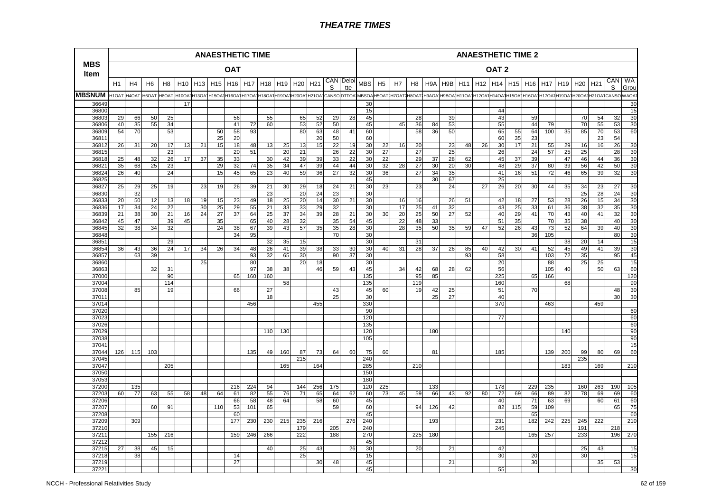|                    |                 | <b>ANAESTHETIC TIME</b> |                |                |                       |    |                                 |            |           |          |                                                 |          |                 |                                                                                           |                      |            |                |          |                       |                  |                  |                 |    |                                                 | <b>ANAESTHETIC TIME 2</b>                                                                                  |                 |          |                 |                 |                 |            |
|--------------------|-----------------|-------------------------|----------------|----------------|-----------------------|----|---------------------------------|------------|-----------|----------|-------------------------------------------------|----------|-----------------|-------------------------------------------------------------------------------------------|----------------------|------------|----------------|----------|-----------------------|------------------|------------------|-----------------|----|-------------------------------------------------|------------------------------------------------------------------------------------------------------------|-----------------|----------|-----------------|-----------------|-----------------|------------|
| <b>MBS</b><br>Item |                 |                         |                |                |                       |    |                                 | <b>OAT</b> |           |          |                                                 |          |                 |                                                                                           |                      |            |                |          |                       |                  |                  |                 |    | OAT <sub>2</sub>                                |                                                                                                            |                 |          |                 |                 |                 |            |
|                    | H1              | H <sub>4</sub>          | H <sub>6</sub> | H <sub>8</sub> | $H10$ H <sub>13</sub> |    | H <sub>15</sub> H <sub>16</sub> |            | H17       |          | H <sub>18</sub> H <sub>19</sub> H <sub>20</sub> |          | H <sub>21</sub> | CAN Delo<br>ς                                                                             | tte                  | <b>MBS</b> | H <sub>5</sub> | H7       | H <sub>8</sub>        | H <sub>9</sub> A | H <sub>9</sub> B | H <sub>11</sub> |    | H <sub>12</sub> H <sub>14</sub> H <sub>15</sub> | H16                                                                                                        |                 | H17 H19  | H <sub>20</sub> | H <sub>21</sub> | <b>CAN</b><br>S | WA<br>Grou |
| <b>MBSNUM</b>      |                 |                         |                |                |                       |    |                                 |            |           |          |                                                 |          |                 | H1OAT H4OAT H6OAT H8OAT H10OATH13OATH15OATH16OATH17OATH18OATH19OATH20OATH21OATCANSO DTTOA |                      |            |                |          |                       |                  |                  |                 |    |                                                 | MBSOA H5OAT1H7OAT1H8OAT1H9AOA H9BOA H11OA H112OA H114OA H115OA H116OA H117OA H119OA H20OA H21OA CANSO WAOA |                 |          |                 |                 |                 |            |
| 36649              |                 |                         |                |                | 17                    |    |                                 |            |           |          |                                                 |          |                 |                                                                                           |                      | 30         |                |          |                       |                  |                  |                 |    |                                                 |                                                                                                            |                 |          |                 |                 |                 | 30         |
| 36800              |                 |                         |                |                |                       |    |                                 |            |           |          |                                                 |          |                 |                                                                                           |                      | 15         |                |          |                       |                  |                  |                 |    | 44                                              |                                                                                                            |                 |          |                 |                 |                 | 15<br>30   |
| 36803<br>36806     | 29<br>40        | 66<br>35                | 50<br>55       | 25<br>34       |                       |    |                                 | 56<br>41   | 72        | 55<br>60 |                                                 | 65<br>53 | 52<br>52        | 29<br>50                                                                                  | 28                   | 45<br>45   |                | 45       | 28<br>36              | 84               | 39<br>53         |                 |    | 43<br>55                                        |                                                                                                            | 59<br>79<br>44  |          | 70<br>70        | 54<br>55        | 32<br>53        | 30         |
| 36809              | 54              | 70                      |                | 53             |                       |    | 50                              | 58         | 93        |          |                                                 | 80       | 63              | 48                                                                                        | 41                   | 60         |                |          | 58                    | 36               | 50               |                 |    | 65                                              | 55                                                                                                         | 100<br>64       | 35       | 85              | 70              | 53              | 60         |
| 36811              |                 |                         |                |                |                       |    | 25                              | 20         |           |          |                                                 |          | 20              | 50                                                                                        |                      | 60         |                |          |                       |                  |                  |                 |    | 60                                              | 35<br>23                                                                                                   |                 |          |                 | 23              | 54              |            |
| 36812              | 26              | 31                      | 20             | 17<br>23       | 13                    | 21 | 15                              | 18<br>20   | 48<br>51  | 13       | 25<br>20                                        | 13<br>21 | 15              | 22<br>26                                                                                  | 19<br>2 <sup>2</sup> | 30<br>30   | 22<br>27       | 16       | 20<br>$\overline{27}$ |                  | 23<br>25         | 48              | 26 | 30<br>26                                        | 21<br>17                                                                                                   | 24<br>57        | 55<br>29 | 16<br>25        | 16              | 26<br>28        | 30<br>30   |
| 36815<br>36818     | 25              | 48                      | 32             | 26             | 17                    | 37 | 35                              | 33         |           | 30       | 42                                              | 39       | 39              | 33                                                                                        | 22                   | 30         | 22             |          | 29                    | 37               | 28               | 62              |    | 45                                              | 37                                                                                                         | 39              | 25<br>47 | 46              | 44              | 36              | 30         |
| 36821              | 35              | 68                      | 25             | 23             |                       |    | 29                              | 32         | 74        | 35       | 34                                              | 47       | 39              | 44                                                                                        | 44                   | 30         | 32             | 28       | 27                    | 30               | 20               | 30              |    | 48                                              | 29                                                                                                         | 37<br>80        | 39       | 56              | 42              | 50              | 30         |
| 36824              | 26              | 40                      |                | 24             |                       |    | 15                              | 45         | 65        | 23       | 40                                              | 59       | 36              | 27                                                                                        | 32                   | 30         | 36             |          | 27                    | 34               | 35               |                 |    | 41                                              | 16<br>51                                                                                                   | 72              | 46       | 65              | 39              | 32              | 30         |
| 36825              |                 |                         |                |                |                       |    |                                 |            |           |          |                                                 |          |                 |                                                                                           |                      | 45         |                |          |                       | 30               | 67               |                 |    | 25                                              |                                                                                                            |                 |          |                 |                 |                 |            |
| 36827<br>36830     | 25              | 29<br>32                | 25             | 19             |                       | 23 | 19                              | 26         | 39        | 21<br>23 | 30                                              | 29<br>20 | 18<br>24        | 24<br>23                                                                                  | 21                   | 30<br>30   | 23             |          | 23                    |                  | 24               |                 | 27 | 26                                              | 20                                                                                                         | 30<br>44        | 35       | 34<br>25        | 23<br>28        | 27<br>24        | 30<br>30   |
| 36833              | 20              | 50                      | 12             | 13             | 18                    | 19 | 15                              | 23         | 49        | 18       | 25                                              | 20       | 14              | 30                                                                                        | 21                   | 30         |                | 16       | 16                    |                  | 26               | 51              |    | 42                                              | 27<br>18                                                                                                   | 53              | 28       | 26              | 15              | 34              | 30         |
| 36836              | 17              | 34                      | 24             | 22             |                       | 30 | 25                              | 29         | 55        | 21       | 33                                              | 33       | 29              | 32                                                                                        |                      | 30         |                | 17       | 25                    | 41               | 32               |                 |    | 43                                              | 25                                                                                                         | 33<br>61        | 36       | 38              | 32              | 35              | 30         |
| 36839              | 21              | 38                      | 30             | 21             | 16                    | 24 | 27                              | 37         | 64        | 25       | 37                                              | 34       | 39              | 28                                                                                        | $2^{\circ}$          | 30         | 30             | 20       | 25                    | 50               | 27               | 52              |    | 40                                              | 29<br>41                                                                                                   | 70              | 43       | 40              | 41              | 32              | 30         |
| 36842<br>36845     | 45<br>32        | 47<br>38                | 34             | 39<br>32       | 45                    |    | 35<br>24                        | 38         | 65<br>67  | 40<br>39 | 28<br>43                                        | 32<br>57 | 35              | 35<br>35                                                                                  | 54<br>28             | 45<br>30   |                | 22<br>28 | 48<br>35              | 33<br>50         | 35               | 59              | 47 | 51<br>52                                        | 35<br>26                                                                                                   | 70<br>73<br>43  | 35<br>52 | 38<br>64        | 39              | 40<br>40        | 30<br>30   |
| 36848              |                 |                         |                |                |                       |    |                                 | 34         | 95        |          |                                                 |          |                 | 70                                                                                        |                      | 30         |                |          |                       |                  |                  |                 |    |                                                 |                                                                                                            | 105<br>36       |          |                 |                 | 80              | 30         |
| 36851              |                 |                         |                | 29             |                       |    |                                 |            |           | 32       | 35                                              | 15       |                 |                                                                                           |                      | 30         |                |          | 31                    |                  |                  |                 |    |                                                 |                                                                                                            |                 | 38       | 20              | 14              |                 | 15         |
| 36854              | 36              | 43                      | 36             | 24             | 17                    | 34 | 26                              | 34         | 48        | 26       | 41                                              | 39       | 38              | 33                                                                                        | 3 <sub>C</sub>       | 30         | 40             | 31       | 28                    | 37               | 26               | 85              | 40 | 42                                              | 30<br>41                                                                                                   | 52              | 45       | 49              | 41              | 39              | 30         |
| 36857              |                 | 63                      | 39             |                |                       |    |                                 |            | 93        | 32       | 65                                              | 30       |                 | 90                                                                                        | 37                   | 30         |                |          |                       |                  |                  | 93              |    | 58                                              |                                                                                                            | 103             | 72       | 35              |                 | 95              | 45         |
| 36860<br>36863     |                 |                         | 32             | 31             |                       | 25 |                                 |            | 80<br>97  | 38       | 38                                              | 20       | 18<br>46        | 59                                                                                        | 43                   | 30<br>45   |                | 34       | 42                    | 68               | 28               | 62              |    | 20<br>56                                        |                                                                                                            | 88<br>105       | 40       | 25              | 25<br>50        | 63              | 15<br>60   |
| 37000              |                 |                         |                | 90             |                       |    |                                 | 65         | 160       | 160      |                                                 |          |                 |                                                                                           |                      | 135        |                |          | 95                    | 85               |                  |                 |    | 225                                             |                                                                                                            | 65<br>166       |          |                 |                 |                 | 120        |
| 37004              |                 |                         |                | 114            |                       |    |                                 |            |           |          | 58                                              |          |                 |                                                                                           |                      | 135        |                |          | 119                   |                  |                  |                 |    | 160                                             |                                                                                                            |                 | 68       |                 |                 |                 | 90         |
| 37008              |                 | 85                      |                | 19             |                       |    |                                 | 66         |           | 27       |                                                 |          |                 | 43                                                                                        |                      | 45<br>30   | 60             |          | 19                    | 42               | 25               |                 |    | 51                                              | 70                                                                                                         |                 |          |                 |                 | 48<br>30        | 30         |
| 37011<br>37014     |                 |                         |                |                |                       |    |                                 |            | 456       | 18       |                                                 |          | 455             | 25                                                                                        |                      | 330        |                |          |                       | 25               | 27               |                 |    | 40<br>370                                       |                                                                                                            | 463             |          |                 | 459             |                 | 30         |
| 37020              |                 |                         |                |                |                       |    |                                 |            |           |          |                                                 |          |                 |                                                                                           |                      | 90         |                |          |                       |                  |                  |                 |    |                                                 |                                                                                                            |                 |          |                 |                 |                 | 60         |
| 37023              |                 |                         |                |                |                       |    |                                 |            |           |          |                                                 |          |                 |                                                                                           |                      | 120        |                |          |                       |                  |                  |                 |    | 77                                              |                                                                                                            |                 |          |                 |                 |                 | 60         |
| 37026              |                 |                         |                |                |                       |    |                                 |            |           |          |                                                 |          |                 |                                                                                           |                      | 135        |                |          |                       |                  |                  |                 |    |                                                 |                                                                                                            |                 |          |                 |                 |                 | 60         |
| 37029<br>37038     |                 |                         |                |                |                       |    |                                 |            |           | 110      | 130                                             |          |                 |                                                                                           |                      | 120<br>105 |                |          |                       | 180              |                  |                 |    |                                                 |                                                                                                            |                 | 140      |                 |                 |                 | 90<br>90   |
| 37041              |                 |                         |                |                |                       |    |                                 |            |           |          |                                                 |          |                 |                                                                                           |                      |            |                |          |                       |                  |                  |                 |    |                                                 |                                                                                                            |                 |          |                 |                 |                 | 15         |
| 37044              | 126             | 115                     | 103            |                |                       |    |                                 |            | 135       | 49       | 160                                             | 87       | 73              | 64                                                                                        | 60                   | 75         | 60             |          |                       | 81               |                  |                 |    | 185                                             |                                                                                                            | 139             | 200      | 99              | 80              | 69              | 60         |
| 37045              |                 |                         |                |                |                       |    |                                 |            |           |          |                                                 | 215      |                 |                                                                                           |                      | 240        |                |          |                       |                  |                  |                 |    |                                                 |                                                                                                            |                 |          | 235             |                 |                 |            |
| 37047<br>37050     |                 |                         |                | 205            |                       |    |                                 |            |           |          | 165                                             |          | 164             |                                                                                           |                      | 285<br>150 |                |          | 210                   |                  |                  |                 |    |                                                 |                                                                                                            |                 | 183      |                 | 169             |                 | 210        |
| 37053              |                 |                         |                |                |                       |    |                                 |            |           |          |                                                 |          |                 |                                                                                           |                      | 180        |                |          |                       |                  |                  |                 |    |                                                 |                                                                                                            |                 |          |                 |                 |                 |            |
| 37200              |                 | 135                     |                |                |                       |    |                                 | 216        | 224       | 94       |                                                 | 144      | 256             | 175                                                                                       |                      | 120        | 225            |          |                       | 133              |                  |                 |    | 178                                             | 229                                                                                                        | 235             |          | 160             | 263             | 190             | 105        |
| 37203              | 60              | 77                      | 63             | 55             | 58                    | 48 | 64                              | 61         | 82        | 55       | 76                                              | 71       | 65              | 64                                                                                        | 62                   | 60         | 73             | 45       | 59                    | 66               | 43               | 92              | 80 | 72                                              | 69                                                                                                         | 89<br>66        | 82       | 78              | 69              | 69              | 60         |
| 37206<br>37207     |                 |                         | 60             | 91             |                       |    | 110                             | 66<br>53   | 58<br>101 | 48<br>65 | 64                                              |          | 58              | 60<br>59                                                                                  |                      | 45<br>60   |                |          | 94                    | 126              | 42               |                 |    | 40<br>82                                        | 71<br>115                                                                                                  | 63<br>109<br>59 | 69       |                 | 60              | 61<br>65        | 60<br>75   |
| 37208              |                 |                         |                |                |                       |    |                                 | 60         |           |          |                                                 |          |                 |                                                                                           |                      | 45         |                |          |                       |                  |                  |                 |    |                                                 |                                                                                                            | 65              |          |                 |                 |                 | 60         |
| 37209              |                 | 309                     |                |                |                       |    |                                 | 177        | 230       | 230      | 215                                             | 235      | 216             |                                                                                           | 276                  | 240        |                |          |                       | 193              |                  |                 |    | 231                                             | 182                                                                                                        | 242             | 225      | 245             | 222             |                 | 210        |
| 37210              |                 |                         |                |                |                       |    |                                 |            |           |          |                                                 | 179      |                 | 205                                                                                       |                      | 240        |                |          |                       |                  |                  |                 |    | 245                                             |                                                                                                            |                 |          | 191             |                 | 218             |            |
| 37211              |                 |                         | 155            | 216            |                       |    |                                 | 159        | 246       | 266      |                                                 | 222      |                 | 188                                                                                       |                      | 270        |                |          | 225                   | 180              |                  |                 |    |                                                 | 165                                                                                                        | 257             |          | 233             |                 | 196             | 270        |
| 37212<br>37215     | 27 <sup>1</sup> | 38                      | 45             | 15             |                       |    |                                 |            |           | 40       |                                                 | 25       | 43              |                                                                                           | 26                   | 45<br>30   |                |          | 20                    |                  | 21               |                 |    | 42                                              |                                                                                                            |                 |          | 25              | 43              |                 | 15         |
| 37218              |                 | 38                      |                |                |                       |    |                                 | 14         |           |          |                                                 | 25       |                 |                                                                                           |                      | 15         |                |          |                       |                  |                  |                 |    | 30                                              | 20                                                                                                         |                 |          | 30              |                 |                 | 15         |
| 37219              |                 |                         |                |                |                       |    |                                 | 27         |           |          |                                                 |          | 30              | 48                                                                                        |                      | 45         |                |          |                       |                  | 21               |                 |    |                                                 |                                                                                                            | 30              |          |                 | 35              | 53              |            |
| 37221              |                 |                         |                |                |                       |    |                                 |            |           |          |                                                 |          |                 |                                                                                           |                      | 45         |                |          |                       |                  |                  |                 |    | 55                                              |                                                                                                            |                 |          |                 |                 |                 | 30         |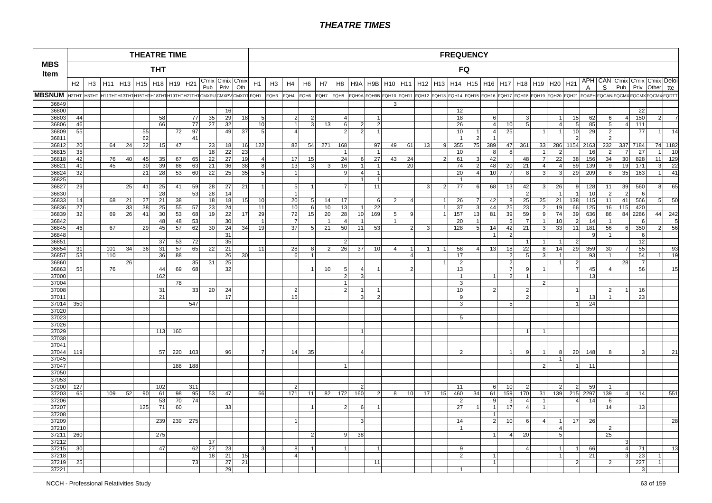|                                                                                      |          |    |     |    | <b>THEATRE TIME</b>     |        |                      |                       |                                    |          |                      |                |                                      |                                        |                      |                                                         |                |                |              |                | <b>FREQUENCY</b>                                                                                                       |                      |                                             |                                |                                                           |                             |                                  |                                                       |                      |                |     |
|--------------------------------------------------------------------------------------|----------|----|-----|----|-------------------------|--------|----------------------|-----------------------|------------------------------------|----------|----------------------|----------------|--------------------------------------|----------------------------------------|----------------------|---------------------------------------------------------|----------------|----------------|--------------|----------------|------------------------------------------------------------------------------------------------------------------------|----------------------|---------------------------------------------|--------------------------------|-----------------------------------------------------------|-----------------------------|----------------------------------|-------------------------------------------------------|----------------------|----------------|-----|
| <b>MBS</b><br><b>Item</b>                                                            |          |    |     |    | <b>THT</b>              |        |                      |                       |                                    |          |                      |                |                                      |                                        |                      |                                                         |                |                |              |                | <b>FQ</b>                                                                                                              |                      |                                             |                                |                                                           |                             |                                  |                                                       |                      |                |     |
|                                                                                      | H2       | H3 |     |    | H11 H13 H15 H18 H19 H21 |        |                      | Pub                   | C'mix C'mix C'mix<br>Priv          | Oth      | H1                   | H <sub>3</sub> | H <sub>4</sub><br>H <sub>6</sub>     | H7                                     | H <sub>8</sub>       | H9A                                                     |                |                |              |                | H9B   H10   H11   H12   H13   H14   H15   H16   H17   H18   H19   H20   H21                                            |                      |                                             |                                |                                                           |                             | S.                               | APH CAN C'mix C'mix C'mix Deloi<br>Pub Priv Other tte |                      |                |     |
| MBSNUM H2THT H3THT H11THTH13THTH15THTH18THTH19THTH21THTCMXPUCMXPVCMXOTFQH1 FQH3 FQH4 |          |    |     |    |                         |        |                      |                       |                                    |          |                      |                |                                      | FQH6 FQH7 FQH8                         |                      |                                                         |                |                |              |                | FQH9A FQH9B FQH10 FQH11 FQH12 FQH13 FQH14 FQH15 FQH16 FQH17 FQH18 FQH19 FQH20 FQH21 FQAPH FQCANFQCMX FQCMX FQCMX FQCMX |                      |                                             |                                |                                                           |                             |                                  |                                                       |                      |                |     |
| 36649                                                                                |          |    |     |    |                         |        |                      |                       |                                    |          |                      |                |                                      |                                        |                      |                                                         | $\overline{3}$ |                |              |                |                                                                                                                        |                      |                                             |                                |                                                           |                             |                                  |                                                       |                      |                |     |
| 36800                                                                                |          |    |     |    | 58                      |        |                      |                       | 16                                 |          |                      |                | 2 <sup>1</sup><br>$2 \vert$          |                                        |                      | 11                                                      |                |                |              |                | 12<br>18                                                                                                               | $6 \mid$             |                                             |                                |                                                           |                             |                                  |                                                       | 22                   |                |     |
| 36803<br>36806                                                                       | 44<br>46 |    |     |    | 66                      |        | 77<br>77             | 35<br>27              | 29<br>32                           | 18       | 5 <sub>l</sub><br>10 |                | $\mathbf{1}$<br>3 <sup>1</sup>       | 13                                     | $\overline{4}$<br>6  | $2 \vert$<br>2                                          |                |                |              |                | 26                                                                                                                     | 4 <sup>1</sup>       | $\mathbf{3}$<br>$5\overline{)}$<br>10       |                                | 11<br>15 <sup>1</sup><br>4 <sup>1</sup><br>5 <sub>5</sub> | 62<br>85                    | 6<br>$5\phantom{.0}$             | $\vert 4 \vert$<br>$\vert$                            | 150<br>111           | $2 \vert$      |     |
| 36809                                                                                | 55       |    |     |    | 55                      |        | 72<br>97             |                       | 49                                 | 37       | 5 <sub>5</sub>       |                | $\overline{4}$                       |                                        | $\overline{2}$       | $\overline{2}$<br>1                                     |                |                |              |                | 10 <sup>1</sup><br>1                                                                                                   | 4 <sup>1</sup>       | 25                                          | $\overline{1}$                 | 10<br>1                                                   | 29                          | $\overline{2}$                   |                                                       | 77                   | 1              | 14  |
| 36811                                                                                |          |    |     |    | 62                      |        | 41                   |                       |                                    |          |                      |                |                                      |                                        |                      |                                                         |                |                |              |                | $\overline{2}$<br>$\overline{1}$                                                                                       | 1 <sup>1</sup>       |                                             |                                | $\overline{2}$                                            |                             | $\overline{2}$                   |                                                       |                      |                |     |
| 36812                                                                                | 20       |    | 64  | 24 | 22                      | 15     | 47                   | 23                    | 18                                 | 16       | 122                  |                | 54<br>82                             | 271                                    | 168                  | 97                                                      | 49             | 61             | 13           | 9              | 355<br>75                                                                                                              | 389                  | 47<br>361                                   | 33                             | 286 1154 2163                                             |                             | 232                              | 337 7184                                              |                      | 74 1182        |     |
| 36815<br>36818                                                                       | 35<br>42 |    | 76  | 40 | 45<br>35                |        | 67<br>65             | 18<br>$\overline{22}$ | $\overline{22}$<br>$\overline{27}$ | 23<br>19 | 4                    |                | 17<br>15                             |                                        | 24                   | $\overline{1}$<br>27<br>6                               | 43             | 24             |              | $\overline{2}$ | 10<br>61<br>3 <sup>l</sup>                                                                                             | 8 <sup>1</sup><br>42 | 8<br>48                                     | $\overline{7}$                 | $\overline{2}$<br>22<br>38                                | 16<br>156                   | $\overline{2}$<br>34             | $\overline{7}$<br>30                                  | 27<br>828            | 1<br>11 129    | 10  |
| 36821                                                                                | 41       |    | 45  |    | 30<br>39                |        | 86<br>63             | 21                    | 36                                 | 38       | 8 <sup>1</sup>       |                | 13<br>3 <sup>1</sup>                 | $\mathbf{3}$                           | 16                   | $\mathbf{1}$<br>1                                       |                | 20             |              |                | 74<br>$\overline{2}$                                                                                                   | 48                   | 20<br>21                                    | 4 <sup>1</sup>                 | 59<br>$\vert 4 \vert$                                     | 139                         | 9                                | 19                                                    | 171                  | 3 <sup>1</sup> | 22  |
| 36824                                                                                | 32       |    |     |    | 28<br>21                |        | 53<br>60             | 22                    | 25                                 | 35       | 5 <sub>5</sub>       |                | $\mathbf{1}$                         |                                        | 9                    | $\overline{4}$<br>1                                     |                |                |              |                | $\overline{4}$<br>20                                                                                                   | 10                   | $\overline{7}$<br>8                         | 3 <sup>1</sup>                 | 3 <sup>1</sup><br>29                                      | 209                         | 8                                | 35                                                    | 163                  | 1              | 41  |
| 36825                                                                                |          |    |     |    |                         |        |                      |                       |                                    |          |                      |                |                                      |                                        |                      | 1 <sup>1</sup><br>11                                    |                |                |              |                | $\overline{1}$                                                                                                         |                      |                                             |                                |                                                           |                             |                                  |                                                       |                      |                |     |
| 36827<br>36830                                                                       | 29       |    |     | 25 | 41<br>25<br>28          |        | 59<br>41<br>53       | 28<br>28              | 27<br>14                           | 21       | $\overline{1}$       |                | $5\phantom{.0}$<br>1<br>$\mathbf{1}$ |                                        | $\overline{7}$       | 11                                                      |                |                | $\mathbf{3}$ | $\overline{2}$ | 77<br>$6 \overline{6}$                                                                                                 | 68                   | 13<br>42<br>$\overline{2}$                  | 3                              | 26<br>1<br>11                                             | 128<br>9 <sup>1</sup><br>10 | 11<br>$\overline{2}$             | 39<br>$\overline{2}$                                  | 560<br>6             | 8              | 65  |
| 36833                                                                                | 14       |    | 68  | 21 | 27<br>21                |        | 38                   | 18                    | 18                                 | 15       | 10                   |                | 20                                   | 5 <sup>1</sup><br>14                   | 17                   | $6\phantom{.}6$                                         | $\overline{2}$ | $\overline{4}$ |              | $\overline{1}$ | 26<br>7 <sup>1</sup>                                                                                                   | 42                   | 25<br>8                                     | 25                             | 21<br>138                                                 | 115                         | 11                               | 41                                                    | 566                  | 5              | 50  |
| 36836                                                                                | 27       |    |     | 33 | 38<br>25                |        | 55<br>57             | 23                    | 24                                 |          | 11                   |                | 10                                   | 10<br>6                                | 13                   | 22                                                      |                |                |              | $\mathbf{1}$   | 37<br>3                                                                                                                | 44                   | 25<br>23                                    | $2 \vert$                      | 19<br>66                                                  | 125                         | 16                               | 115                                                   | 420                  |                |     |
| 36839                                                                                | 32       |    | 69  | 26 | 30<br>41                |        | 53<br>68             | 19                    | $\overline{22}$                    | 17       | 29                   |                | 72<br>15                             | 20                                     | 28                   | 10<br>169                                               | 5 <sup>1</sup> | 9              |              | 1              | 157<br>13                                                                                                              | 81                   | 39<br>59                                    | $\overline{9}$                 | 39<br>74                                                  | 636                         | 86                               | 84                                                    | 2286                 | 44 242         |     |
| 36842<br>36845                                                                       | 46       |    | 67  |    | 48<br>29<br>45          |        | 48<br>53<br>57<br>62 | 30 <sup>°</sup>       | 30<br>24                           | 34       | $\overline{1}$<br>19 |                | $\overline{7}$<br>37                 | $\overline{1}$<br>21<br>5 <sup>1</sup> | $\overline{4}$<br>50 | 11<br>53                                                | 1              | $\overline{2}$ | $\mathbf{3}$ |                | 20<br>1<br>5 <sup>1</sup><br>128                                                                                       | 14                   | $\sqrt{5}$<br>$\overline{7}$<br>21<br>42    | $\mathbf{1}$<br>3 <sup>1</sup> | 10<br>$\overline{2}$<br>33<br>11                          | 14<br>181                   | $\mathbf{1}$<br>56               | $6 \overline{6}$                                      | 6<br>350             | $\overline{2}$ | 56  |
| 36848                                                                                |          |    |     |    |                         |        |                      |                       | 31                                 |          |                      |                |                                      |                                        |                      |                                                         |                |                |              |                |                                                                                                                        | 1                    | $\overline{2}$                              |                                |                                                           | <b>g</b>                    | $\mathbf{1}$                     |                                                       | 6                    |                |     |
| 36851                                                                                |          |    |     |    | 37                      |        | 53<br>72             |                       | 35                                 |          |                      |                |                                      |                                        | $\overline{2}$       |                                                         |                |                |              |                |                                                                                                                        |                      | 11                                          | 1                              | $\overline{2}$<br>1                                       |                             |                                  |                                                       | 12 <sup>1</sup>      |                |     |
| 36854                                                                                | 31       |    | 101 | 34 | 36<br>31                |        | 57<br>65             | 22                    | 21                                 |          | 11                   |                | 28<br>8                              | 2                                      | 26                   | 37<br>10                                                | $\vert$        |                |              | $\overline{1}$ | 58<br>$\vert 4 \vert$                                                                                                  | 13                   | 22<br>18                                    | 8 <sup>1</sup>                 | 14<br>29                                                  | 359                         | 30                               | $\overline{7}$                                        | 55                   |                | 93  |
| 36857                                                                                | 53       |    | 110 |    | 36                      |        | 88                   |                       | 26                                 | 30       |                      |                | $6 \overline{6}$<br>1                |                                        |                      |                                                         |                | $\overline{A}$ |              | $\mathbf{1}$   | 17<br>$\overline{2}$                                                                                                   |                      | $\overline{c}$<br>5 <sup>1</sup>            | 3 <sup>1</sup>                 | 1<br>1                                                    | 93                          | $\mathbf{1}$                     |                                                       | 54<br>$\overline{7}$ | 11             | 19  |
| 36860<br>36863                                                                       | 55       |    | 76  | 26 | 44                      |        | 35<br>69<br>68       | 31                    | 25<br>32                           |          |                      |                |                                      | $1\vert$<br>10                         | 5 <sub>l</sub>       | 4 <sup>1</sup><br>$\mathbf{1}$                          |                | $\overline{2}$ |              |                | 13                                                                                                                     |                      | $\overline{2}$<br>$\overline{7}$<br>9       |                                | 2 <sup>1</sup><br>$\overline{7}$                          | 45                          | $\overline{4}$                   | 28                                                    | 56                   |                | 15  |
| 37000                                                                                |          |    |     |    | 162                     |        |                      |                       |                                    |          |                      |                |                                      |                                        | $\overline{2}$       | $\overline{3}$                                          |                |                |              |                | 11                                                                                                                     | 11                   | $\overline{2}$<br>1                         |                                |                                                           | 13                          |                                  |                                                       |                      |                |     |
| 37004                                                                                |          |    |     |    |                         |        | 78                   |                       |                                    |          |                      |                |                                      |                                        | $\overline{1}$       |                                                         |                |                |              |                | 3                                                                                                                      |                      |                                             | 2 <sup>1</sup>                 |                                                           |                             |                                  |                                                       |                      |                |     |
| 37008<br>37011                                                                       |          |    |     |    | 31<br>21                |        | 33                   | 20                    | 24<br>17                           |          |                      |                | 2<br>15                              |                                        | 2 <sup>1</sup>       | 1 <sup>1</sup><br>1 <sup>1</sup><br>3 <sup>1</sup><br>2 |                |                |              |                | 10<br>9                                                                                                                | 2 <sup>1</sup>       | $2\vert$<br>$\overline{2}$                  |                                | $\mathbf{1}$                                              | 13                          | $\overline{2}$<br>$\overline{1}$ | 1                                                     | 16<br>23             |                |     |
| 37014                                                                                | 350      |    |     |    |                         |        | 547                  |                       |                                    |          |                      |                |                                      |                                        |                      |                                                         |                |                |              |                | 3                                                                                                                      |                      | 5                                           |                                | $\mathbf{1}$                                              | 24                          |                                  |                                                       |                      |                |     |
| 37020                                                                                |          |    |     |    |                         |        |                      |                       |                                    |          |                      |                |                                      |                                        |                      |                                                         |                |                |              |                |                                                                                                                        |                      |                                             |                                |                                                           |                             |                                  |                                                       |                      |                |     |
| 37023                                                                                |          |    |     |    |                         |        |                      |                       |                                    |          |                      |                |                                      |                                        |                      |                                                         |                |                |              |                | 5 <sub>5</sub>                                                                                                         |                      |                                             |                                |                                                           |                             |                                  |                                                       |                      |                |     |
| 37026                                                                                |          |    |     |    |                         |        |                      |                       |                                    |          |                      |                |                                      |                                        |                      |                                                         |                |                |              |                |                                                                                                                        |                      |                                             |                                |                                                           |                             |                                  |                                                       |                      |                |     |
| 37029<br>37038                                                                       |          |    |     |    | 113                     | 160    |                      |                       |                                    |          |                      |                |                                      |                                        |                      | $\mathbf{1}$                                            |                |                |              |                |                                                                                                                        |                      | 1                                           | $\mathbf{1}$                   |                                                           |                             |                                  |                                                       |                      |                |     |
| 37041                                                                                |          |    |     |    |                         |        |                      |                       |                                    |          |                      |                |                                      |                                        |                      |                                                         |                |                |              |                |                                                                                                                        |                      |                                             |                                |                                                           |                             |                                  |                                                       |                      |                |     |
| 37044                                                                                | 119      |    |     |    |                         | 57 220 | 103                  |                       | 96                                 |          | $\overline{7}$       |                | 14<br>35                             |                                        |                      | $\vert$                                                 |                |                |              |                | $\overline{2}$                                                                                                         |                      | 9<br>1                                      | $\mathbf{1}$                   | 8<br>20                                                   | 148                         | 8                                |                                                       | $\overline{3}$       |                | 21  |
| 37045                                                                                |          |    |     |    |                         |        |                      |                       |                                    |          |                      |                |                                      |                                        |                      |                                                         |                |                |              |                |                                                                                                                        |                      |                                             |                                | 1 <sup>1</sup>                                            |                             |                                  |                                                       |                      |                |     |
| 37047<br>37050                                                                       |          |    |     |    |                         | 188    | 188                  |                       |                                    |          |                      |                |                                      |                                        | 1                    |                                                         |                |                |              |                |                                                                                                                        |                      |                                             | $\overline{2}$                 | 1                                                         | 11                          |                                  |                                                       |                      |                |     |
| 37053                                                                                |          |    |     |    |                         |        |                      |                       |                                    |          |                      |                |                                      |                                        |                      |                                                         |                |                |              |                |                                                                                                                        |                      |                                             |                                |                                                           |                             |                                  |                                                       |                      |                |     |
| 37200                                                                                | 127      |    |     |    | 102                     |        | 311                  |                       |                                    |          |                      |                | 2                                    |                                        |                      | $\overline{2}$                                          |                |                |              |                | 11                                                                                                                     | 6                    | $2 \overline{2}$<br>10                      |                                | 2 <br>$\overline{2}$                                      | 59                          | $\mathbf{1}$                     |                                                       |                      |                |     |
| 37203                                                                                | 65       |    | 109 | 52 | 90<br>61                |        | 98<br>95             | 53                    | 47                                 |          | 66                   |                | 171<br>11                            | 82                                     | 172                  | 160<br>$\overline{2}$                                   | 8              | 10             | 17           | 15             | 460<br>34                                                                                                              | 61                   | 159<br>170                                  | 31<br>139                      |                                                           | 215 2297                    | 139                              | $\vert$ 4                                             | 14                   |                | 551 |
| 37206<br>37207                                                                       |          |    |     |    | 53<br>125<br>71         |        | 74<br>70<br>60       |                       | 33                                 |          |                      |                | 1 <sup>1</sup>                       |                                        | $2 \vert$            | 6<br>1 <sup>1</sup>                                     |                |                |              |                | $\overline{2}$<br>27                                                                                                   | 9 <sup>1</sup><br>1  | 3<br>$\overline{4}$<br>17<br>$\overline{4}$ | $\mathbf{1}$<br>$\mathbf{1}$   | $\overline{4}$                                            | 14                          | 6<br>14                          |                                                       | 13                   |                |     |
| 37208                                                                                |          |    |     |    |                         |        |                      |                       |                                    |          |                      |                |                                      |                                        |                      |                                                         |                |                |              |                |                                                                                                                        | 1                    |                                             |                                |                                                           |                             |                                  |                                                       |                      |                |     |
| 37209                                                                                |          |    |     |    | 239                     | 239    | 275                  |                       |                                    |          |                      |                | $\overline{1}$                       |                                        |                      | 3 <sup>1</sup>                                          |                |                |              |                | 14                                                                                                                     | 2                    | 10<br>6                                     | $\vert$                        | 17<br>11                                                  | 26                          |                                  |                                                       |                      |                | 28  |
| 37210                                                                                |          |    |     |    |                         |        |                      |                       |                                    |          |                      |                |                                      |                                        |                      |                                                         |                |                |              |                | $\overline{1}$                                                                                                         |                      |                                             |                                | 4                                                         |                             | $\overline{2}$                   |                                                       |                      |                |     |
| 37211<br>37212                                                                       | 260      |    |     |    | 275                     |        |                      | 17                    |                                    |          |                      |                | 2 <sup>1</sup>                       |                                        | 9                    | 38                                                      |                |                |              |                |                                                                                                                        | 11                   | 20<br>$\overline{4}$                        |                                | 5 <sup>1</sup>                                            |                             | 25                               | 3 <sup>1</sup>                                        |                      |                |     |
| 37215                                                                                | 30       |    |     |    | 47                      |        | 62                   | 27                    | 23                                 |          | 3                    |                | 8<br>$\mathbf{1}$                    |                                        |                      | 1                                                       |                |                |              |                | 9                                                                                                                      |                      | 4 <sup>1</sup>                              |                                | 1                                                         | 66                          |                                  | $\vert$ 4                                             | 71                   |                | 13  |
| 37218                                                                                |          |    |     |    |                         |        |                      | 18                    | 21                                 | 15       |                      |                | $\overline{4}$                       |                                        |                      |                                                         |                |                |              |                | $\overline{2}$                                                                                                         | 1 <sup>1</sup>       |                                             |                                | 1                                                         | 21                          |                                  | $\overline{3}$                                        | 23                   | 11             |     |
| 37219                                                                                | 25       |    |     |    |                         |        | 73                   |                       | 27                                 | 21       |                      |                |                                      |                                        |                      | 11                                                      |                |                |              |                |                                                                                                                        | 1 <sup>1</sup>       |                                             |                                | 2                                                         |                             | $\overline{2}$                   |                                                       | 227                  |                |     |
| 37221                                                                                |          |    |     |    |                         |        |                      |                       | 29                                 |          |                      |                |                                      |                                        |                      |                                                         |                |                |              |                | 1                                                                                                                      |                      |                                             |                                |                                                           |                             |                                  |                                                       | 3                    |                |     |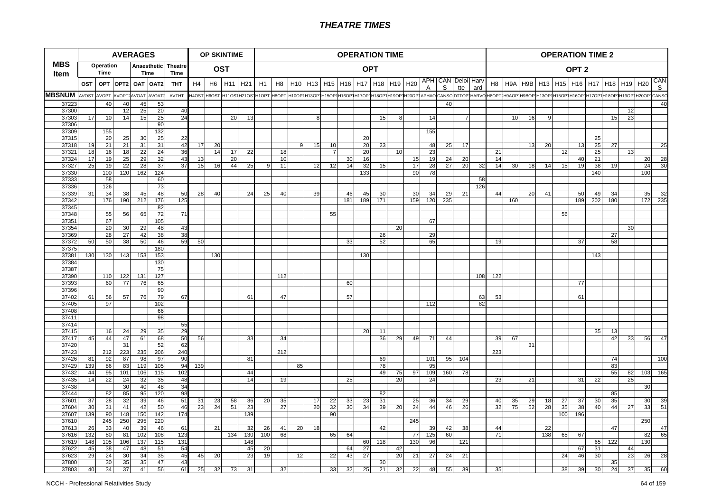|                    |            |                          |           | <b>AVERAGES</b>                |             |                        |     |          | <b>OP SKINTIME</b> |                 |     |     |                                               |                |                      |                 |            | <b>OPERATION TIME</b> |    |           |                 |                               |                |           |                 |                 |    |                                                                                                                                                                                  |     |                  | <b>OPERATION TIME 2</b> |          |          |           |           |
|--------------------|------------|--------------------------|-----------|--------------------------------|-------------|------------------------|-----|----------|--------------------|-----------------|-----|-----|-----------------------------------------------|----------------|----------------------|-----------------|------------|-----------------------|----|-----------|-----------------|-------------------------------|----------------|-----------|-----------------|-----------------|----|----------------------------------------------------------------------------------------------------------------------------------------------------------------------------------|-----|------------------|-------------------------|----------|----------|-----------|-----------|
| <b>MBS</b><br>Item |            | Operation<br><b>Time</b> |           | <b>Time</b>                    | Anaesthetic | <b>Theatre</b><br>Time |     |          | <b>OST</b>         |                 |     |     |                                               |                |                      |                 | <b>OPT</b> |                       |    |           |                 |                               |                |           |                 |                 |    |                                                                                                                                                                                  |     | OPT <sub>2</sub> |                         |          |          |           |           |
|                    | <b>OST</b> |                          |           | OPT OPT2 OAT OAT2              |             | <b>THT</b>             | H4  | H6       | H <sub>11</sub>    | H <sub>21</sub> | H1  | H8  | H10   H13   H15   H16   H17   H18   H19   H20 |                |                      |                 |            |                       |    |           | A               | APH   CAN   Deloi   Harv<br>S | tte            | ard       |                 |                 |    | H8   H9A   H9B   H13   H15   H16   H17   H18   H19   H20                                                                                                                         |     |                  |                         |          |          |           | CAN<br>S. |
| <b>MBSNUM</b>      |            |                          |           | AVOST AVOPT AVOPTZAVOAT AVOATZ |             | AVTHT                  |     |          |                    |                 |     |     |                                               |                |                      |                 |            |                       |    |           |                 |                               |                |           |                 |                 |    | HOST H6OST H11OSTH21OSTH1OPT H8OPT H10OPTH13OPTH15OPTH16OPTH17OPTH18OPTH19OPTH20OPTAPHAO CANSO DTTOPTHARVO H8OPT H9AOPTH9BOPTH13OPTH15OPTH15OPTH16OPTH17OPTH18OPTH2OPTH2OPTCANSC |     |                  |                         |          |          |           |           |
| 37223              |            | 40                       | 40        | 45                             | 53          |                        |     |          |                    |                 |     |     |                                               |                |                      |                 |            |                       |    |           |                 | 40                            |                |           |                 |                 |    |                                                                                                                                                                                  |     |                  |                         |          |          |           | 40        |
| 37300              | 17         |                          | 12        | 25<br>15                       | 20<br>25    | 40                     |     |          | 20                 | 13              |     |     |                                               |                |                      |                 |            |                       |    |           | 14              |                               | $\overline{7}$ |           |                 | 10 <sup>1</sup> |    | 9                                                                                                                                                                                |     |                  |                         |          | 12<br>23 |           |           |
| 37303<br>37306     |            | 10                       | 14        |                                | 90          | 24                     |     |          |                    |                 |     |     |                                               | 8 <sup>1</sup> |                      |                 |            | 15                    | 8  |           |                 |                               |                |           |                 |                 | 16 |                                                                                                                                                                                  |     |                  |                         | 15       |          |           |           |
| 37309              |            | 155                      |           |                                | 132         |                        |     |          |                    |                 |     |     |                                               |                |                      |                 |            |                       |    |           | 155             |                               |                |           |                 |                 |    |                                                                                                                                                                                  |     |                  |                         |          |          |           |           |
| 37315              |            | 20                       | 25        | 30                             | 25          | 22                     |     |          |                    |                 |     |     |                                               |                |                      |                 | 20         |                       |    |           |                 |                               |                |           |                 |                 |    |                                                                                                                                                                                  |     |                  | 25                      |          |          |           |           |
| 37318<br>37321     | 19<br>18   | 21<br>16                 | 21<br>18  | 31<br>22                       | 31<br>24    | 42<br>36               | 17  | 20<br>14 | 17                 | 22              |     | 18  | 9                                             | 15             | 10<br>$\overline{7}$ |                 | 20<br>20   | 23                    | 10 |           | 48<br>23        | 25                            | 17             |           | 21              |                 | 13 | 20                                                                                                                                                                               | 12  | 13               | 25<br>25                | 27       | 13       |           | 25        |
| 37324              | 17         | 19                       | 25        | 29                             | 32          | 43                     | 13  |          | 20                 |                 |     | 10  |                                               |                |                      | 30 <sub>l</sub> | 16         |                       |    | 15        | 19              | 24                            | 20             |           | 14              |                 |    |                                                                                                                                                                                  |     | 40               | 21                      |          |          | 20        | 28        |
| 37327              | 25         | 19                       | 22        | 28                             | 37          | 37                     | 15  | 16       | 44                 | 25              | 9   | 11  |                                               | 12             | 12                   | 14              | 32         | 15                    |    | 17        | 28              | 27                            | 20             | 32        | 14              | 30              | 18 | 14                                                                                                                                                                               | 15  | 19               | 38                      | 19       |          | 24        | 30        |
| 37330              |            | 100                      | 120       | 162                            | 124         |                        |     |          |                    |                 |     |     |                                               |                |                      |                 | 133        |                       |    | 90        | 78              |                               |                |           |                 |                 |    |                                                                                                                                                                                  |     |                  | 140                     |          |          | 100       |           |
| 37333<br>37336     |            | 58<br>126                |           |                                | 60<br>73    |                        |     |          |                    |                 |     |     |                                               |                |                      |                 |            |                       |    |           |                 |                               |                | 58<br>126 |                 |                 |    |                                                                                                                                                                                  |     |                  |                         |          |          |           |           |
| 37339              | 31         | 34                       | 38        | 45                             | 48          | 50                     | 28  | 40       |                    | 24              | 25  | 40  |                                               | 39             |                      | 46              | 45         | 30                    |    | 30        | 34              | 29                            | 21             |           | 44              |                 | 20 | 41                                                                                                                                                                               |     | 50               | 49                      | 34       |          | 35        | 32        |
| 37342              |            | 176                      | 190       | 212                            | 176         | 125                    |     |          |                    |                 |     |     |                                               |                |                      | 181             | 189        | 171                   |    | 159       | 120             | 235                           |                |           |                 | 160             |    |                                                                                                                                                                                  |     | 189              | 202                     | 180      |          | 172       | 235       |
| 37345              |            |                          |           |                                | 82          |                        |     |          |                    |                 |     |     |                                               |                |                      |                 |            |                       |    |           |                 |                               |                |           |                 |                 |    |                                                                                                                                                                                  |     |                  |                         |          |          |           |           |
| 37348<br>37351     |            | 55<br>67                 | 56        | 65                             | 72<br>105   | $\overline{71}$        |     |          |                    |                 |     |     |                                               |                | 55                   |                 |            |                       |    |           | 67              |                               |                |           |                 |                 |    |                                                                                                                                                                                  | 56  |                  |                         |          |          |           |           |
| 37354              |            | 20                       | 30        | 29                             | 48          | 43                     |     |          |                    |                 |     |     |                                               |                |                      |                 |            |                       | 20 |           |                 |                               |                |           |                 |                 |    |                                                                                                                                                                                  |     |                  |                         |          | 30       |           |           |
| 37369              |            | 28                       | 27        | 42                             | 38          | 38                     |     |          |                    |                 |     |     |                                               |                |                      |                 |            | 26                    |    |           | 29              |                               |                |           |                 |                 |    |                                                                                                                                                                                  |     |                  |                         | 27       |          |           |           |
| 37372              | 50         | 50                       | 38        | 50                             | 46          | 59                     | 50  |          |                    |                 |     |     |                                               |                |                      | 33              |            | 52                    |    |           | 65              |                               |                |           | 19              |                 |    |                                                                                                                                                                                  |     | 37               |                         | 58       |          |           |           |
| 37375              |            |                          |           |                                | 180         |                        |     |          |                    |                 |     |     |                                               |                |                      |                 |            |                       |    |           |                 |                               |                |           |                 |                 |    |                                                                                                                                                                                  |     |                  |                         |          |          |           |           |
| 37381<br>37384     | 130        | 130                      | 143       | 153                            | 153<br>130  |                        |     | 130      |                    |                 |     |     |                                               |                |                      |                 | 130        |                       |    |           |                 |                               |                |           |                 |                 |    |                                                                                                                                                                                  |     |                  | 143                     |          |          |           |           |
| 37387              |            |                          |           |                                | 75          |                        |     |          |                    |                 |     |     |                                               |                |                      |                 |            |                       |    |           |                 |                               |                |           |                 |                 |    |                                                                                                                                                                                  |     |                  |                         |          |          |           |           |
| 37390              |            | 110                      | 122       | 131                            | 127         |                        |     |          |                    |                 |     | 112 |                                               |                |                      |                 |            |                       |    |           |                 |                               |                | 108       | 122             |                 |    |                                                                                                                                                                                  |     |                  |                         |          |          |           |           |
| 37393              |            | 60                       | 77        | 76                             | 65          |                        |     |          |                    |                 |     |     |                                               |                |                      | 60              |            |                       |    |           |                 |                               |                |           |                 |                 |    |                                                                                                                                                                                  |     | 77               |                         |          |          |           |           |
| 37396<br>37402     | 61         | 56                       | 57        | 76                             | 90<br>79    | 67                     |     |          |                    | 61              |     | 47  |                                               |                |                      | 57              |            |                       |    |           |                 |                               |                | 63        | 53              |                 |    |                                                                                                                                                                                  |     | 61               |                         |          |          |           |           |
| 37405              |            | 97                       |           |                                | 102         |                        |     |          |                    |                 |     |     |                                               |                |                      |                 |            |                       |    |           | 112             |                               |                | 82        |                 |                 |    |                                                                                                                                                                                  |     |                  |                         |          |          |           |           |
| 37408              |            |                          |           |                                | 66          |                        |     |          |                    |                 |     |     |                                               |                |                      |                 |            |                       |    |           |                 |                               |                |           |                 |                 |    |                                                                                                                                                                                  |     |                  |                         |          |          |           |           |
| 37411              |            |                          |           |                                | 98          |                        |     |          |                    |                 |     |     |                                               |                |                      |                 |            |                       |    |           |                 |                               |                |           |                 |                 |    |                                                                                                                                                                                  |     |                  |                         |          |          |           |           |
| 37414<br>37415     |            | 16                       | 24        | 29                             | 35          | 55<br>29               |     |          |                    |                 |     |     |                                               |                |                      |                 | 20         | 11                    |    |           |                 |                               |                |           |                 |                 |    |                                                                                                                                                                                  |     |                  | 35 <sup>2</sup>         | 13       |          |           |           |
| 37417              | 45         | 44                       | 47        | 61                             | 68          | 50                     | 56  |          |                    | 33              |     | 34  |                                               |                |                      |                 |            | 36                    | 29 | 49        | 71              | 44                            |                |           | 39 <sup>1</sup> | 67              |    |                                                                                                                                                                                  |     |                  |                         | 42       | 33       | 56        | 47        |
| 37420              |            |                          | 31        |                                | 52          | 62                     |     |          |                    |                 |     |     |                                               |                |                      |                 |            |                       |    |           |                 |                               |                |           |                 |                 | 31 |                                                                                                                                                                                  |     |                  |                         |          |          |           |           |
| 37423              |            | 212                      | 223       | 235                            | 206         | 240                    |     |          |                    |                 |     | 212 |                                               |                |                      |                 |            |                       |    |           |                 |                               |                |           | 223             |                 |    |                                                                                                                                                                                  |     |                  |                         |          |          |           |           |
| 37426<br>37429     | 81<br>139  | 92<br>86                 | 87<br>83  | 98<br>119                      | 97<br>105   | 90<br>94               | 139 |          |                    | 81              |     |     | 85                                            |                |                      |                 |            | 69<br>78              |    |           | 101<br>95       | 95                            | 104            |           |                 |                 |    |                                                                                                                                                                                  |     |                  |                         | 74<br>83 |          |           | 100       |
| 37432              | 44         | 95                       | 101       | 106                            | 115         | 102                    |     |          |                    | 44              |     |     |                                               |                |                      |                 |            | 49                    | 75 | 97        | 109             | 160                           | 78             |           |                 |                 |    |                                                                                                                                                                                  |     |                  |                         | 55       | 82       | 103       | 165       |
| 37435              | 14         | 22                       | 24        | 32                             | 35          | 48                     |     |          |                    | 14              |     | 19  |                                               |                |                      | 25              |            |                       | 20 |           | 24              |                               |                |           | 23              |                 | 21 |                                                                                                                                                                                  |     | 31               | 22                      |          | 25       |           |           |
| 37438              |            |                          | 30        | 40                             | 48          | 34                     |     |          |                    |                 |     |     |                                               |                |                      |                 |            |                       |    |           |                 |                               |                |           |                 |                 |    |                                                                                                                                                                                  |     |                  |                         |          |          | 30        |           |
| 37444<br>37601     | 37         | 82<br>28                 | 85<br>32  | 95<br>39                       | 120<br>46   | 98<br>51               | 31  | 23       | 58                 | 36              | 20  | 35  |                                               | 17             | 22                   | 33              | 23         | 82<br>31              |    | 25        | 36              | 34                            | 29             |           | 40              | 35              | 29 | 18                                                                                                                                                                               | 27  | 37               | 30                      | 85<br>35 |          | 30        | 39        |
| 37604              | 30         | 31                       | 41        | 42                             | 50          | 46                     | 23  | 24       | 51                 | 23              |     | 27  |                                               | 20             | 32                   | 30              | 34         | 39                    | 20 | 24        | 44              | 46                            | 26             |           | 32              | 75              | 52 | 28                                                                                                                                                                               | 35  | 38               | 40                      | 44       | 27       | 33        | 51        |
| 37607              | 139        | 90                       | 148       | 150                            | 142         | 174                    |     |          |                    | 139             |     |     |                                               |                | 90                   |                 |            |                       |    |           |                 |                               |                |           |                 |                 |    |                                                                                                                                                                                  | 100 | 196              |                         |          |          |           |           |
| 37610              |            | 245                      | 250       | 295                            | 220         |                        |     |          |                    |                 |     |     |                                               |                |                      |                 |            |                       |    | 245       |                 |                               |                |           |                 |                 |    |                                                                                                                                                                                  |     |                  |                         |          |          | 250       |           |
| 37613              | 26         | 33                       | 40        | 39                             | 46          | 61                     |     | 21       |                    | 32              | 26  | 41  | 20                                            | 18             |                      |                 |            | 42                    |    |           | 39 <sub>l</sub> | 42                            | 38             |           | 44              |                 |    | 22                                                                                                                                                                               |     |                  |                         | 47       |          |           | 47        |
| 37616<br>37619     | 132<br>148 | 80<br>105                | 81<br>106 | 102<br>137                     | 108<br>115  | 123<br>131             |     |          | 134                | 130<br>148      | 100 | 68  |                                               |                | 65                   | 64              | 60         | 118                   |    | 77<br>130 | 125<br>96       | 60                            | 121            |           | 71              |                 |    | 138                                                                                                                                                                              | 65  | 67               | 65                      | 122      |          | 82<br>130 | 65        |
| 37622              | 45         | 38                       | 47        | 48                             | 51          | 54                     |     |          |                    | 45              | 20  |     |                                               |                |                      | 64              | 27         |                       | 42 |           |                 |                               |                |           |                 |                 |    |                                                                                                                                                                                  |     | 67               | 31                      |          | 44       |           |           |
| 37623              | 29         | 24                       | 30        | 34                             | 35          | 45                     | 45  | 20       |                    | 23              | 19  |     | 12                                            |                | 22                   | 43              | 27         |                       | 20 | 21        | 27              | 24                            | 21             |           |                 |                 |    |                                                                                                                                                                                  | 24  | 46               | 30                      |          | 23       | 26        | 28        |
| 37800              |            | 30                       | 35        | 35                             | 47          | 43                     |     |          |                    |                 |     |     |                                               |                |                      |                 |            | 30                    |    |           |                 |                               |                |           |                 |                 |    |                                                                                                                                                                                  |     |                  |                         | 35       |          |           |           |
| 37803              | 40         | 34                       | 37        | 41                             | 56          | 61                     | 25  | 32       | 73                 | 31              |     | 32  |                                               |                | 33                   | 32              | 25         | 21                    | 32 | 22        | 48              | 55                            | 39             |           | 35              |                 |    |                                                                                                                                                                                  | 38  | 39               | 30                      | 24       | 37       | 35        | 60        |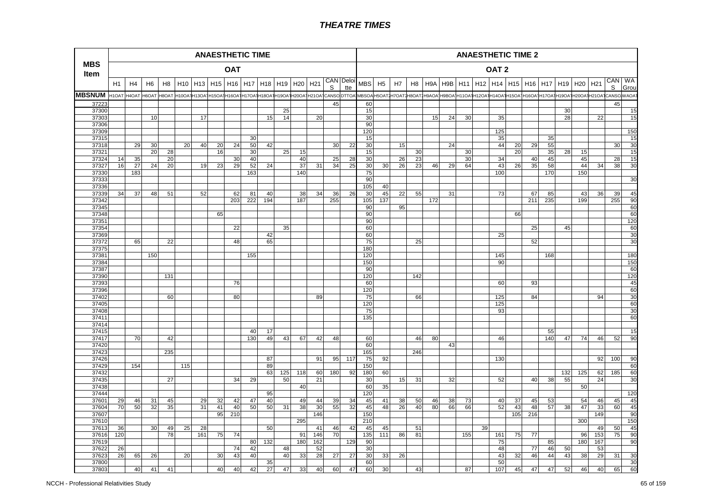|                           |            |                |                |                |                                 |           | <b>ANAESTHETIC TIME</b> |     |     |     |           |                                                                                           |           |                 |                         |            |                 |    |                |                  |                  |                  | <b>ANAESTHETIC TIME 2</b>                                                                           |     |     |                                                                 |           |     |                 |              |                                 |
|---------------------------|------------|----------------|----------------|----------------|---------------------------------|-----------|-------------------------|-----|-----|-----|-----------|-------------------------------------------------------------------------------------------|-----------|-----------------|-------------------------|------------|-----------------|----|----------------|------------------|------------------|------------------|-----------------------------------------------------------------------------------------------------|-----|-----|-----------------------------------------------------------------|-----------|-----|-----------------|--------------|---------------------------------|
| <b>MBS</b><br><b>Item</b> | <b>OAT</b> |                |                |                |                                 |           |                         |     |     |     |           |                                                                                           |           |                 |                         |            |                 |    |                |                  |                  | OAT <sub>2</sub> |                                                                                                     |     |     |                                                                 |           |     |                 |              |                                 |
|                           | H1         | H <sub>4</sub> | H <sub>6</sub> | H <sub>8</sub> | H <sub>10</sub> H <sub>13</sub> |           |                         |     |     |     |           | H15   H16   H17   H18   H19   H20   H21                                                   |           | S               | <b>CAN Deloi</b><br>tte | <b>MBS</b> | H <sub>5</sub>  | H7 | H <sub>8</sub> | H <sub>9</sub> A | H <sub>9</sub> B | H <sub>11</sub>  | H <sub>12</sub> H <sub>14</sub> H <sub>15</sub>                                                     |     |     | H <sub>16</sub> H <sub>17</sub> H <sub>19</sub> H <sub>20</sub> |           |     | H <sub>21</sub> | CAN WA<br>S. | Grou                            |
| <b>MBSNUM</b>             |            |                |                |                |                                 |           |                         |     |     |     |           | H1OAT H4OAT H6OAT H8OAT H10OATH13OATH15OATH16OATH17OATH18OATH19OATH20OATH21OATCANSO DTTOA |           |                 |                         |            |                 |    |                |                  |                  |                  | MBSOA H5OAT4H7OAT4H8OAT4H9AOAHH9BOA1H11OATH14OATH14OATH15OATH16OATH17OATH19OATH21OATH21OATCANSOMAOA |     |     |                                                                 |           |     |                 |              |                                 |
| 37223                     |            |                |                |                |                                 |           |                         |     |     |     |           |                                                                                           |           | 45              |                         | 60         |                 |    |                |                  |                  |                  |                                                                                                     |     |     |                                                                 |           |     |                 | 45           |                                 |
| 37300                     |            |                |                |                |                                 |           |                         |     |     |     | 25        |                                                                                           |           |                 |                         | 15         |                 |    |                |                  |                  |                  |                                                                                                     |     |     |                                                                 | 30        |     |                 |              | 15                              |
| 37303                     |            |                | 10             |                |                                 | 17        |                         |     |     | 15  | 14        |                                                                                           | 20        |                 |                         | 30         |                 |    |                | 15               | 24               | 30               | 35                                                                                                  |     |     |                                                                 | 28        |     | 22              |              | 15                              |
| 37306                     |            |                |                |                |                                 |           |                         |     |     |     |           |                                                                                           |           |                 |                         | 90<br>120  |                 |    |                |                  |                  |                  |                                                                                                     |     |     |                                                                 |           |     |                 |              |                                 |
| 37309<br>37315            |            |                |                |                |                                 |           |                         |     | 30  |     |           |                                                                                           |           |                 |                         | 15         |                 |    |                |                  |                  |                  | 125<br>35                                                                                           |     |     | 35                                                              |           |     |                 |              | 150<br>15                       |
| 37318                     |            | 29             | 30             |                | 20                              | 40        | 20                      | 24  | 50  | 42  |           |                                                                                           |           | 30 <sup>1</sup> | 22                      | 30         |                 | 15 |                |                  | 24               |                  | 44                                                                                                  | 20  | 29  | 55                                                              |           |     |                 | 30           |                                 |
| 37321                     |            |                | 20             | 28             |                                 |           | 16                      |     | 30  |     | 25        | 15                                                                                        |           |                 |                         | 15         |                 |    | 30             |                  |                  | 30               |                                                                                                     | 20  |     | 35                                                              | 28        | 15  |                 |              | $\frac{30}{15}$                 |
| 37324                     | 14         | 35             |                | 20             |                                 |           |                         | 30  | 40  |     |           | 40                                                                                        |           | 25              | 28                      | 30         |                 | 26 | 23             |                  |                  | 30               | 34                                                                                                  |     | 40  | 45                                                              |           | 45  |                 | 28           |                                 |
| 37327                     | 16         | 27             | 24             | 20             |                                 | 19        | 23                      | 29  | 52  | 24  |           | 37                                                                                        | 31        | 34              | 25                      | 30         | 30 <sup>°</sup> | 26 | 23             | 46               | 29               | 64               | 43                                                                                                  | 26  | 35  | 58                                                              |           | 44  | 34              | 38           | 30                              |
| 37330                     |            | 183            |                |                |                                 |           |                         |     | 163 |     |           | 140                                                                                       |           |                 |                         | 75         |                 |    |                |                  |                  |                  | 100                                                                                                 |     |     | 170                                                             |           | 150 |                 |              |                                 |
| 37333<br>37336            |            |                |                |                |                                 |           |                         |     |     |     |           |                                                                                           |           |                 |                         | 90<br>105  | 40              |    |                |                  |                  |                  |                                                                                                     |     |     |                                                                 |           |     |                 |              | 30                              |
| 37339                     | 34         | 37             | 48             | 51             |                                 | 52        |                         | 62  | 81  | 40  |           | 38                                                                                        | 34        | 36              | 26                      | 30         | 45              | 22 | 55             |                  | 31               |                  | 73                                                                                                  |     | 67  | 85                                                              |           | 43  | 36              | 39           | 45                              |
| 37342                     |            |                |                |                |                                 |           |                         | 203 | 222 | 194 |           | 187                                                                                       |           | 255             |                         | 105        | 137             |    |                | 172              |                  |                  |                                                                                                     |     | 211 | 235                                                             |           | 199 |                 | 255          |                                 |
| 37345                     |            |                |                |                |                                 |           |                         |     |     |     |           |                                                                                           |           |                 |                         | 90         |                 | 95 |                |                  |                  |                  |                                                                                                     |     |     |                                                                 |           |     |                 |              | $\frac{90}{60}$                 |
| 37348                     |            |                |                |                |                                 |           | 65                      |     |     |     |           |                                                                                           |           |                 |                         | 90         |                 |    |                |                  |                  |                  |                                                                                                     | 66  |     |                                                                 |           |     |                 |              | 60                              |
| 37351                     |            |                |                |                |                                 |           |                         |     |     |     |           |                                                                                           |           |                 |                         | 90         |                 |    |                |                  |                  |                  |                                                                                                     |     |     |                                                                 |           |     |                 |              | 120                             |
| 37354<br>37369            |            |                |                |                |                                 |           |                         | 22  |     | 42  | 35        |                                                                                           |           |                 |                         | 60<br>60   |                 |    |                |                  |                  |                  | 25                                                                                                  |     | 25  |                                                                 | 45        |     |                 |              | 60<br>30                        |
| 37372                     |            | 65             |                | 22             |                                 |           |                         | 48  |     | 65  |           |                                                                                           |           |                 |                         | 75         |                 |    | 25             |                  |                  |                  |                                                                                                     |     | 52  |                                                                 |           |     |                 |              | 30                              |
| 37375                     |            |                |                |                |                                 |           |                         |     |     |     |           |                                                                                           |           |                 |                         | 180        |                 |    |                |                  |                  |                  |                                                                                                     |     |     |                                                                 |           |     |                 |              |                                 |
| 37381                     |            |                | 150            |                |                                 |           |                         |     | 155 |     |           |                                                                                           |           |                 |                         | 120        |                 |    |                |                  |                  |                  | 145                                                                                                 |     |     | 168                                                             |           |     |                 |              | 180                             |
| 37384                     |            |                |                |                |                                 |           |                         |     |     |     |           |                                                                                           |           |                 |                         | 150        |                 |    |                |                  |                  |                  | 90                                                                                                  |     |     |                                                                 |           |     |                 |              | 150                             |
| 37387                     |            |                |                |                |                                 |           |                         |     |     |     |           |                                                                                           |           |                 |                         | 90         |                 |    |                |                  |                  |                  |                                                                                                     |     |     |                                                                 |           |     |                 |              | 60                              |
| 37390<br>37393            |            |                |                | 131            |                                 |           |                         | 76  |     |     |           |                                                                                           |           |                 |                         | 120<br>60  |                 |    | 142            |                  |                  |                  | 60                                                                                                  |     | 93  |                                                                 |           |     |                 |              | 120                             |
| 37396                     |            |                |                |                |                                 |           |                         |     |     |     |           |                                                                                           |           |                 |                         | 120        |                 |    |                |                  |                  |                  |                                                                                                     |     |     |                                                                 |           |     |                 |              | $\frac{45}{45}$ $\frac{60}{30}$ |
| 37402                     |            |                |                | 60             |                                 |           |                         | 80  |     |     |           |                                                                                           | 89        |                 |                         | 75         |                 |    | 66             |                  |                  |                  | 125                                                                                                 |     | 84  |                                                                 |           |     | 94              |              |                                 |
| 37405                     |            |                |                |                |                                 |           |                         |     |     |     |           |                                                                                           |           |                 |                         | 120        |                 |    |                |                  |                  |                  | 125                                                                                                 |     |     |                                                                 |           |     |                 |              | 60                              |
| 37408                     |            |                |                |                |                                 |           |                         |     |     |     |           |                                                                                           |           |                 |                         | 75         |                 |    |                |                  |                  |                  | 93                                                                                                  |     |     |                                                                 |           |     |                 |              | 30                              |
| 37411                     |            |                |                |                |                                 |           |                         |     |     |     |           |                                                                                           |           |                 |                         | 135        |                 |    |                |                  |                  |                  |                                                                                                     |     |     |                                                                 |           |     |                 |              | 60                              |
| 37414<br>37415            |            |                |                |                |                                 |           |                         |     | 40  | 17  |           |                                                                                           |           |                 |                         |            |                 |    |                |                  |                  |                  |                                                                                                     |     |     | 55                                                              |           |     |                 |              |                                 |
| 37417                     |            | 70             |                | 42             |                                 |           |                         |     | 130 | 49  | 43        | 67                                                                                        | 42        | 48              |                         | 60         |                 |    | 46             | 80               |                  |                  | 46                                                                                                  |     |     | 140                                                             | 47        | 74  | 46              | 52           | 15<br>90                        |
| 37420                     |            |                |                |                |                                 |           |                         |     |     |     |           |                                                                                           |           |                 |                         | 60         |                 |    |                |                  | 43               |                  |                                                                                                     |     |     |                                                                 |           |     |                 |              |                                 |
| 37423                     |            |                |                | 235            |                                 |           |                         |     |     |     |           |                                                                                           |           |                 |                         | 165        |                 |    | 246            |                  |                  |                  |                                                                                                     |     |     |                                                                 |           |     |                 |              |                                 |
| 37426                     |            |                |                |                |                                 |           |                         |     |     | 87  |           |                                                                                           | 91        | 95              | 117                     | 75         | 92              |    |                |                  |                  |                  | 130                                                                                                 |     |     |                                                                 |           |     | 92              | 100          | 90                              |
| 37429                     |            | 154            |                |                | 115                             |           |                         |     |     | 89  |           |                                                                                           |           |                 |                         | 150        |                 |    |                |                  |                  |                  |                                                                                                     |     |     |                                                                 |           |     |                 |              | 60                              |
| 37432<br>37435            |            |                |                | 27             |                                 |           |                         | 34  | 29  | 63  | 125<br>50 | 118                                                                                       | 60        | 180             | 92                      | 180        | 60              |    | 31             |                  | 32               |                  | 52                                                                                                  |     | 40  | 38                                                              | 132<br>55 | 125 | 62<br>24        | 185          | 60<br>30                        |
| 37438                     |            |                |                |                |                                 |           |                         |     |     |     |           | 40                                                                                        | 21        |                 |                         | 30<br>60   | 35              | 15 |                |                  |                  |                  |                                                                                                     |     |     |                                                                 |           | 50  |                 |              |                                 |
| 37444                     |            |                |                |                |                                 |           |                         |     |     | 95  |           |                                                                                           |           |                 |                         | 120        |                 |    |                |                  |                  |                  |                                                                                                     |     |     |                                                                 |           |     |                 |              | 120                             |
| 37601                     | 29         | 46             | 31             | 45             |                                 | 29        | 32                      | 42  | 47  | 40  |           | 49                                                                                        | 44        | 39              | 34                      | 45         | 41              | 38 | 50             | 46               | 38               | 73               | 40                                                                                                  | 37  | 45  | 53                                                              |           | 54  | 46              | 45           |                                 |
| 37604                     | 70         | 50             | 32             | 35             |                                 | 31        | 41                      | 40  | 50  | 50  | 31        | 38                                                                                        | 30        | 55              | 32                      | 45         | 48              | 26 | 40             | 80               | 66               | 66               | 52                                                                                                  | 43  | 48  | 57                                                              | 38        | 47  | 33              | 60           | $\frac{45}{90}$                 |
| 37607                     |            |                |                |                |                                 |           | 95                      | 210 |     |     |           |                                                                                           | 146       |                 |                         | 150        |                 |    |                |                  |                  |                  |                                                                                                     | 105 | 216 |                                                                 |           |     | 149             |              |                                 |
| 37610                     |            |                |                |                |                                 |           |                         |     |     |     |           | 295                                                                                       |           |                 |                         | 210        |                 |    |                |                  |                  |                  |                                                                                                     |     |     |                                                                 |           | 300 |                 |              | 150                             |
| 37613<br>37616            | 36<br>120  |                | 30             | 49<br>78       | 25                              | 28<br>161 | 75                      | 74  |     | 50  |           | 91                                                                                        | 41<br>146 | 46<br>70        | 42                      | 45<br>135  | 45<br>$111$     | 86 | 51<br>81       |                  |                  | 155              | 39<br>161                                                                                           | 75  | 77  |                                                                 |           | 96  | 49<br>153       | 50<br>75     | 45<br>90                        |
| 37619                     |            |                |                |                |                                 |           |                         |     | 80  | 132 |           | 180                                                                                       | 162       |                 | 129                     | 90         |                 |    |                |                  |                  |                  | 75                                                                                                  |     |     | 85                                                              |           | 180 | 167             |              | 90                              |
| 37622                     | 26         |                |                |                |                                 |           |                         | 74  | 42  |     | 48        |                                                                                           | 52        |                 |                         | 30         |                 |    |                |                  |                  |                  | 48                                                                                                  |     | 77  | 46                                                              | 50        |     | 53              |              |                                 |
| 37623                     | 26         | 65             | 26             |                | 20                              |           | 30                      | 43  | 40  |     | 40        | 33                                                                                        | 28        | 27              | 27                      | 30         | 33              | 26 |                |                  |                  |                  | 43                                                                                                  | 32  | 46  | 44                                                              | 43        | 38  | 29              | 31           | 30                              |
| 37800                     |            |                |                |                |                                 |           |                         |     |     | 35  |           |                                                                                           |           |                 |                         | 60         |                 |    |                |                  |                  |                  | 50                                                                                                  |     |     |                                                                 |           |     |                 |              | 30                              |
| 37803                     |            | 40             | 41             | 41             |                                 |           | 40                      | 40  | 42  | 27  | 47        | 33                                                                                        | 40        | 60              | 47                      | 60         | 30              |    | 43             |                  |                  | 87               | 107                                                                                                 | 45  | 47  | 47                                                              | 52        | 46  | 40              | 65           | 60                              |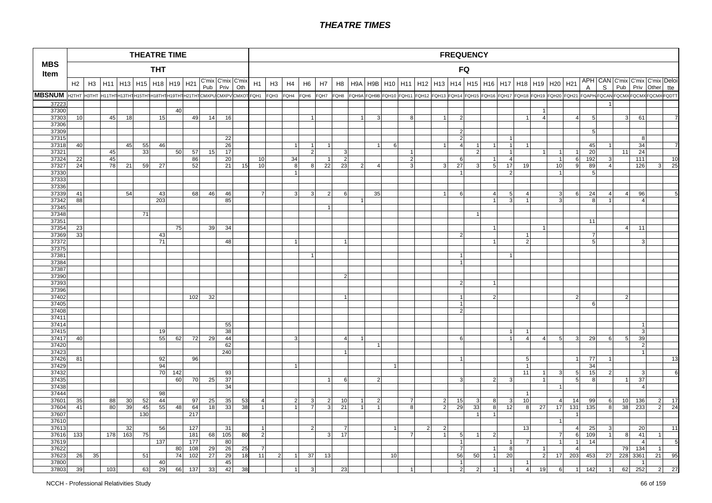|                                                                                      |          |    |          |        | <b>THEATRE TIME</b>     |          |            |          |                   |          |                       |    |                      |                |                    |                      |                                |                |                                |                |   |                              | <b>FREQUENCY</b>         |                                  |                                                                                                                                            |                   |                                  |                 |                     |                                                       |                     |                |                 |
|--------------------------------------------------------------------------------------|----------|----|----------|--------|-------------------------|----------|------------|----------|-------------------|----------|-----------------------|----|----------------------|----------------|--------------------|----------------------|--------------------------------|----------------|--------------------------------|----------------|---|------------------------------|--------------------------|----------------------------------|--------------------------------------------------------------------------------------------------------------------------------------------|-------------------|----------------------------------|-----------------|---------------------|-------------------------------------------------------|---------------------|----------------|-----------------|
| <b>MBS</b><br>Item                                                                   |          |    |          |        | <b>THT</b>              |          |            |          |                   |          |                       |    |                      |                |                    |                      |                                |                |                                |                |   |                              | <b>FQ</b>                |                                  |                                                                                                                                            |                   |                                  |                 |                     |                                                       |                     |                |                 |
|                                                                                      | H2       | H3 |          |        | H11 H13 H15 H18 H19 H21 |          |            |          | C'mix C'mix C'mix |          | H1                    | H3 | H4                   | H <sub>6</sub> | H7                 | H <sub>8</sub>       |                                |                |                                |                |   |                              |                          |                                  | H9A   H9B   H10   H11   H12   H13   H14   H15   H16   H17   H18   H19   H20   H21                                                          |                   |                                  |                 | $\mathbf{s}$        | APH CAN C'mix C'mix C'mix Deloi<br>Pub Priv Other tte |                     |                |                 |
| MBSNUM H2THT H3THT H11THTH13THTH15THTH18THTH19THTH21THTCMXPUCMXPVCMXOTFQH1 FQH3 FQH4 |          |    |          |        |                         |          |            | Pub      | Priv              | Oth      |                       |    |                      |                |                    |                      |                                |                |                                |                |   |                              |                          |                                  | FQH6  FQH7  FQH8  FQH9A FQH9B FQH10 FQH11  FQH12 FQH13 FQH14 FQH15 FQH16 FQH17 FQH18 FQH19 FQH20 FQH21 FQAPH FQCAN FQCMX FQCMX FQCMX FQCMX |                   |                                  | $\overline{A}$  |                     |                                                       |                     |                |                 |
| 37223                                                                                |          |    |          |        |                         |          |            |          |                   |          |                       |    |                      |                |                    |                      |                                |                |                                |                |   |                              |                          |                                  |                                                                                                                                            |                   |                                  |                 | $\overline{1}$      |                                                       |                     |                |                 |
| 37300                                                                                |          |    |          |        |                         | 40       |            |          |                   |          |                       |    |                      |                |                    |                      |                                |                |                                |                |   |                              |                          |                                  |                                                                                                                                            | $\mathbf 1$       |                                  |                 |                     |                                                       |                     |                |                 |
| 37303<br>37306                                                                       | 10       |    | 45       | 18     | 15                      |          | 49         | 14       | 16                |          |                       |    |                      | 1 <sup>1</sup> |                    |                      | $\overline{1}$                 | 3 <sup>1</sup> | 8                              |                |   | 1 <sup>1</sup>               | 2 <sup>1</sup>           |                                  | $\overline{1}$                                                                                                                             | $\vert$           | $\overline{4}$                   | $5\phantom{.0}$ |                     | 3 <sup>1</sup>                                        | 61                  |                |                 |
| 37309                                                                                |          |    |          |        |                         |          |            |          |                   |          |                       |    |                      |                |                    |                      |                                |                |                                |                |   |                              | 2                        |                                  |                                                                                                                                            |                   |                                  | 5               |                     |                                                       |                     |                |                 |
| 37315                                                                                |          |    |          |        |                         |          |            |          | 22                |          |                       |    |                      |                |                    |                      |                                |                |                                |                |   |                              | $\overline{2}$           |                                  | $\overline{1}$                                                                                                                             |                   |                                  |                 |                     |                                                       | 8                   |                |                 |
| 37318                                                                                | 40       |    |          | 45     | 55<br>46                |          |            |          | 26                |          |                       |    | 11                   | 1              | $\overline{1}$     |                      |                                | 1              | 6                              |                |   | 1                            | $\vert$<br>1             | 1                                | 1<br>$\overline{1}$                                                                                                                        |                   |                                  | 45              | $\mathbf{1}$        |                                                       | 34                  |                | $\overline{7}$  |
| 37321                                                                                |          |    | 45       |        | 33                      | 50       | 57         | 15       | 17                |          |                       |    |                      | $\overline{2}$ |                    | 3 <sup>1</sup>       |                                |                |                                |                |   |                              | $\overline{2}$           |                                  | $\overline{1}$                                                                                                                             | $\mathbf 1$       | 1<br>11                          | $\overline{20}$ |                     | 11                                                    | 24                  |                |                 |
| 37324<br>37327                                                                       | 22<br>24 |    | 45<br>78 | 21     | 27<br>59                |          | 86<br>52   |          | 20<br>21          | 15       | 10 <sup>1</sup><br>10 |    | 34<br>8              | 8 <sup>1</sup> | $\mathbf{1}$<br>22 | $\overline{2}$<br>23 | 2 <sup>1</sup>                 | $\overline{4}$ | $\overline{2}$<br>3            |                |   | 27<br>3 <sup>1</sup>         | $6 \mid$<br>$\mathbf{3}$ | 1 <sup>1</sup><br>5 <sup>1</sup> | $\overline{4}$<br>17<br>19                                                                                                                 |                   | 6<br>11<br>10<br>9               | 192<br>89       | 3<br>$\overline{4}$ |                                                       | 111<br>126          | $\overline{3}$ | 10<br>25        |
| 37330                                                                                |          |    |          |        |                         |          |            |          |                   |          |                       |    | $\mathbf{1}$         |                |                    |                      |                                |                |                                |                |   | -1                           |                          |                                  | $\overline{2}$                                                                                                                             |                   | 1                                | 5               |                     |                                                       |                     |                |                 |
| 37333                                                                                |          |    |          |        |                         |          |            |          |                   |          |                       |    |                      |                |                    |                      |                                |                |                                |                |   |                              |                          |                                  |                                                                                                                                            |                   |                                  |                 |                     |                                                       |                     |                |                 |
| 37336                                                                                |          |    |          |        |                         |          |            |          |                   |          |                       |    |                      |                |                    |                      |                                |                |                                |                |   |                              |                          |                                  |                                                                                                                                            |                   |                                  |                 |                     |                                                       |                     |                |                 |
| 37339                                                                                | 41       |    |          | 54     | 43                      |          | 68         | 46       | 46                |          | $\overline{7}$        |    | 3 <sup>1</sup>       | 3 <sup>l</sup> | $\overline{2}$     | $6 \overline{6}$     |                                | 35             |                                |                |   | 1                            | 6 <sup>1</sup>           | 4 <sup>1</sup>                   | $5\phantom{.0}$<br>$\overline{4}$                                                                                                          |                   | $\mathbf{3}$<br>6                | 24              | $\overline{4}$      | 4                                                     | 96                  |                | F               |
| 37342<br>37345                                                                       | 88       |    |          |        | 203                     |          |            |          | 85                |          |                       |    |                      |                | $\mathbf{1}$       |                      | $\mathbf 1$                    |                |                                |                |   |                              |                          | 1 <sup>1</sup>                   | $\mathbf{3}$<br>$\overline{1}$                                                                                                             |                   | 3                                | 8               | $\mathbf{1}$        |                                                       | $\overline{4}$      |                |                 |
| 37348                                                                                |          |    |          |        | 71                      |          |            |          |                   |          |                       |    |                      |                |                    |                      |                                |                |                                |                |   |                              |                          |                                  |                                                                                                                                            |                   |                                  |                 |                     |                                                       |                     |                |                 |
| 37351                                                                                |          |    |          |        |                         |          |            |          |                   |          |                       |    |                      |                |                    |                      |                                |                |                                |                |   |                              |                          |                                  |                                                                                                                                            |                   |                                  | 11              |                     |                                                       |                     |                |                 |
| 37354                                                                                | 23       |    |          |        |                         | 75       |            | 39       | 34                |          |                       |    |                      |                |                    |                      |                                |                |                                |                |   |                              |                          | 1 <sup>1</sup>                   |                                                                                                                                            | $\mathbf{1}$      |                                  |                 |                     | $\vert$ 4                                             | 11                  |                |                 |
| 37369                                                                                | 33       |    |          |        | 43                      |          |            |          |                   |          |                       |    |                      |                |                    |                      |                                |                |                                |                |   |                              | $\overline{2}$           |                                  | 11                                                                                                                                         |                   |                                  | 7               |                     |                                                       |                     |                |                 |
| 37372<br>37375                                                                       |          |    |          |        | $\overline{71}$         |          |            |          | 48                |          |                       |    | $\mathbf{1}$         |                |                    | $\mathbf{1}$         |                                |                |                                |                |   |                              |                          | 1 <sup>1</sup>                   | 2 <sup>1</sup>                                                                                                                             |                   |                                  | $5\phantom{.0}$ |                     |                                                       | 3                   |                |                 |
| 37381                                                                                |          |    |          |        |                         |          |            |          |                   |          |                       |    |                      | 11             |                    |                      |                                |                |                                |                |   |                              | $\mathbf{1}$             |                                  | $\mathbf{1}$                                                                                                                               |                   |                                  |                 |                     |                                                       |                     |                |                 |
| 37384                                                                                |          |    |          |        |                         |          |            |          |                   |          |                       |    |                      |                |                    |                      |                                |                |                                |                |   |                              | $\mathbf{1}$             |                                  |                                                                                                                                            |                   |                                  |                 |                     |                                                       |                     |                |                 |
| 37387                                                                                |          |    |          |        |                         |          |            |          |                   |          |                       |    |                      |                |                    |                      |                                |                |                                |                |   |                              |                          |                                  |                                                                                                                                            |                   |                                  |                 |                     |                                                       |                     |                |                 |
| 37390                                                                                |          |    |          |        |                         |          |            |          |                   |          |                       |    |                      |                |                    | $\overline{2}$       |                                |                |                                |                |   |                              |                          |                                  |                                                                                                                                            |                   |                                  |                 |                     |                                                       |                     |                |                 |
| 37393<br>37396                                                                       |          |    |          |        |                         |          |            |          |                   |          |                       |    |                      |                |                    |                      |                                |                |                                |                |   |                              | $\overline{2}$           | 1                                |                                                                                                                                            |                   |                                  |                 |                     |                                                       |                     |                |                 |
| 37402                                                                                |          |    |          |        |                         |          | 102        | 32       |                   |          |                       |    |                      |                |                    | $\vert$ 1            |                                |                |                                |                |   | $\mathbf 1$                  |                          | $\overline{2}$                   |                                                                                                                                            |                   | 2                                |                 |                     | $\overline{2}$                                        |                     |                |                 |
| 37405                                                                                |          |    |          |        |                         |          |            |          |                   |          |                       |    |                      |                |                    |                      |                                |                |                                |                |   |                              | 11                       |                                  |                                                                                                                                            |                   |                                  | 6               |                     |                                                       |                     |                |                 |
| 37408                                                                                |          |    |          |        |                         |          |            |          |                   |          |                       |    |                      |                |                    |                      |                                |                |                                |                |   |                              | $\overline{2}$           |                                  |                                                                                                                                            |                   |                                  |                 |                     |                                                       |                     |                |                 |
| 37411                                                                                |          |    |          |        |                         |          |            |          |                   |          |                       |    |                      |                |                    |                      |                                |                |                                |                |   |                              |                          |                                  |                                                                                                                                            |                   |                                  |                 |                     |                                                       |                     |                |                 |
| 37414<br>37415                                                                       |          |    |          |        | 19                      |          |            |          | 55<br>38          |          |                       |    |                      |                |                    |                      |                                |                |                                |                |   |                              |                          |                                  | $\mathbf{1}$                                                                                                                               |                   |                                  |                 |                     |                                                       | $\overline{1}$<br>3 |                |                 |
| 37417                                                                                | 40       |    |          |        | 55                      | 62       | 72         | 29       | 44                |          |                       |    | $\overline{3}$       |                |                    | $\vert 4 \vert$      | $\overline{1}$                 |                |                                |                |   |                              | $6 \overline{6}$         |                                  | $\overline{1}$<br>4                                                                                                                        | 4 <sup>1</sup>    | 5 <sub>l</sub><br>$\mathbf{3}$   | 29              | 6                   | 5 <sub>5</sub>                                        | 39                  |                |                 |
| 37420                                                                                |          |    |          |        |                         |          |            |          | 62                |          |                       |    |                      |                |                    |                      |                                | 1              |                                |                |   |                              |                          |                                  |                                                                                                                                            |                   |                                  |                 |                     |                                                       | $\overline{2}$      |                |                 |
| 37423                                                                                |          |    |          |        |                         |          |            |          | 240               |          |                       |    |                      |                |                    | 1                    |                                |                |                                |                |   |                              |                          |                                  |                                                                                                                                            |                   |                                  |                 |                     |                                                       | 11                  |                |                 |
| 37426                                                                                | 81       |    |          |        | 92                      |          | 96         |          |                   |          |                       |    |                      |                |                    |                      |                                |                |                                |                |   |                              | $\mathbf{1}$             |                                  | 5 <sub>5</sub>                                                                                                                             |                   | 11                               | 77              | $\mathbf{1}$        |                                                       |                     |                | 13              |
| 37429<br>37432                                                                       |          |    |          |        | 94<br>70                | 142      |            |          | 93                |          |                       |    | -1                   |                |                    |                      |                                |                | -1                             |                |   |                              |                          |                                  | $\mathbf{1}$<br>11                                                                                                                         | $\mathbf{1}$      | 3 <sup>l</sup><br>5 <sup>1</sup> | 34<br>15        | $\overline{2}$      |                                                       | $\mathbf{3}$        |                | 6               |
| 37435                                                                                |          |    |          |        |                         | 60       | 70         | 25       | 37                |          |                       |    |                      |                | $\mathbf{1}$       | $6 \overline{6}$     |                                | $\overline{2}$ |                                |                |   |                              | $\mathbf{3}$             | $2 \vert$                        | $\mathbf{3}$                                                                                                                               | 1 <sup>1</sup>    | 5 <sup>1</sup>                   | 8               |                     | 1                                                     | 37                  |                |                 |
| 37438                                                                                |          |    |          |        |                         |          |            |          | 34                |          |                       |    |                      |                |                    |                      |                                |                |                                |                |   |                              |                          |                                  |                                                                                                                                            |                   | 1 <sup>1</sup>                   |                 |                     |                                                       | $\overline{4}$      |                |                 |
| 37444                                                                                |          |    |          |        | 98                      |          |            |          |                   |          |                       |    |                      |                |                    |                      |                                |                |                                |                |   |                              |                          |                                  |                                                                                                                                            |                   |                                  |                 |                     |                                                       |                     |                |                 |
| 37601                                                                                | 35       |    | 88       | $30\,$ | 52<br>44                |          | 97         | 25       | 35                | 53       | $\vert$ 4             |    | 2 <br>1 <sup>1</sup> | $\mathbf{3}$   | $\overline{2}$     | 10 <sup>1</sup>      | $\overline{1}$<br>$\mathbf{1}$ | 2              | $\overline{7}$<br>$\mathbf{g}$ |                |   | $\vert$ 2<br>15 <sup>1</sup> | 3 <sup>l</sup>           | 8 <sup>1</sup>                   | 10<br>$\mathbf{3}$                                                                                                                         |                   | 14<br>$\overline{4}$             | 99              | 6                   | 10                                                    | 136                 | $\mathbf{2}$   | 17              |
| 37604<br>37607                                                                       | 41       |    | 80       | 39     | 45<br>55<br>130         | 48       | 64<br>217  | 18       | 33                | 38       | 1                     |    |                      | 7              | $\mathbf{3}$       | 21                   |                                | 1              |                                |                |   | $\overline{2}$<br>29         | 33<br>$\vert$ 1          | 8<br>1                           | 12<br>8 <sup>1</sup>                                                                                                                       | 27                | 17<br>131<br>$\mathbf{1}$        | 135             | $8\phantom{.}$      | 38                                                    | 233                 | $\overline{2}$ | $\overline{24}$ |
| 37610                                                                                |          |    |          |        |                         |          |            |          |                   |          |                       |    |                      |                |                    |                      |                                |                |                                |                |   |                              |                          |                                  |                                                                                                                                            |                   | 11                               |                 |                     |                                                       |                     |                |                 |
| 37613                                                                                |          |    |          | 32     | 56                      |          | 127        |          | 31                |          | $\mathbf{1}$          |    |                      | $2 \vert$      |                    | $\overline{7}$       |                                |                | $\mathbf{1}$                   | $\overline{2}$ |   | $\overline{2}$               |                          |                                  | 13                                                                                                                                         |                   | $\overline{4}$                   | 25              | $\mathbf{3}$        |                                                       | 20                  |                | 11              |
| 37616                                                                                | 133      |    | 178      | 163    | 75                      |          | 181        | 68       | 105               | 80       | $\overline{2}$        |    |                      |                | 3                  | 17                   |                                |                | $\overline{7}$                 |                | 1 |                              | 5 <sub>5</sub><br>1      | $2 \vert$                        |                                                                                                                                            |                   | 7<br>$6 \mid$                    | 109             | $\mathbf{1}$        | 8 <sup>1</sup>                                        | 41                  | $\vert$ 1      |                 |
| 37619                                                                                |          |    |          |        | 137                     |          | 177        |          | 80                |          |                       |    |                      |                |                    |                      |                                |                |                                |                |   |                              | 1                        |                                  | $\overline{7}$<br>1                                                                                                                        |                   | 1<br>11                          | 14              |                     |                                                       | $\overline{4}$      |                | 5               |
| 37622<br>37623                                                                       | 26       | 35 |          |        | 51                      | 80<br>74 | 108<br>102 | 29<br>27 | 26<br>29          | 25<br>18 | $\overline{7}$<br>11  | 2  | $\vert$ 1            | 37             | 13                 |                      |                                | 10             |                                |                |   | 56                           | $\overline{7}$<br>50     | $1\vert$<br>1                    | 8<br>20                                                                                                                                    | $\mathbf{1}$<br>2 | $\vert$ 4<br>17<br>203           | 453             | 27                  | 79                                                    | 134<br>228 3361     | 1<br>21        | 95              |
| 37800                                                                                |          |    |          |        | 40                      |          |            |          | 45                |          |                       |    |                      |                |                    |                      |                                |                |                                |                |   |                              | 1                        |                                  | 1                                                                                                                                          |                   |                                  |                 |                     |                                                       | $\mathbf{1}$        |                |                 |
| 37803                                                                                | 39       |    | 103      |        | 29<br>63                | 66       | 137        | 33       | 42                | 38       |                       |    | 11                   | 3 <sup>1</sup> |                    | 23                   |                                |                |                                |                |   |                              | $2 \vert$                | 2 <br>1                          | $\overline{4}$<br>1                                                                                                                        | 19                | 6                                | 142<br>1        | 1                   | 62                                                    | 252                 | $2 \vert$      | 27              |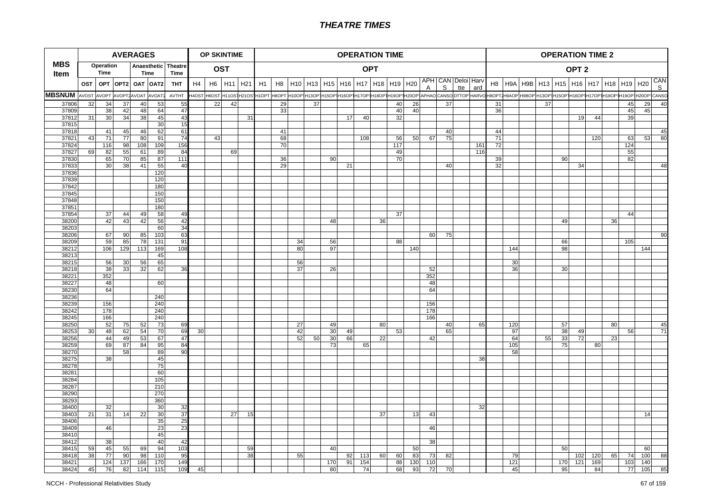| <b>MBS</b><br>Operation<br>Anaesthetic<br><b>Theatre</b><br><b>OST</b><br><b>OPT</b><br>OPT <sub>2</sub><br><b>Time</b><br><b>Time</b><br><b>Time</b><br>Item<br>APH CAN Deloi Harv<br>H8   H9A   H9B   H13   H15   H16   H17   H18   H19   H20<br>OPT OPT2 OAT OAT2<br>H6 H11<br>H <sub>21</sub><br>H10   H13   H15   H16   H17   H18   H19   H20<br><b>OST</b><br>H <sub>4</sub><br>H <sub>1</sub><br>H8<br><b>THT</b><br>S<br>tte<br>ard<br><b>MBSNUM</b><br>140ST  H6OST  H11OSTH21OSTH1OPT  H8OPT  H10OPTH13OPTH15OPTH16OPTH17OPTH18OPTH19OPTH20OPTAPHAO CANSO DTTOPTHARVO<br>VOST AVOPT<br>AVOPT2AVOAT AVOAT2<br>AVTHT<br>H8OPT/H9AOP H9BOP H13OP H15OP H16OP H17OP H18OP H19OP H20OP CANSC<br>32<br>34<br>37<br>55<br>37<br>31<br>37806<br>40<br>53<br>22<br>42<br>29<br>37<br>40<br>26<br>37<br>38<br>42<br>48<br>64<br>47<br>33<br>40<br>40<br>37809<br>36<br>37812<br>31<br>30<br>34<br>38<br>45<br>43<br>31<br>17<br>40<br>32<br>30<br>37815<br>15<br>37818<br>46<br>62<br>61<br>41<br>45<br>41<br>40<br>44<br>43<br>71<br>77<br>80<br>91<br>74<br>43<br>68<br>108<br>50<br>67<br>75<br>71<br>37821<br>56<br>37824<br>116<br>98<br>108<br>109<br>156<br>70<br>117<br>16 <sup>°</sup><br>72<br>55<br>37827<br>69<br>82<br>61<br>89<br>84<br>69<br>49<br>116<br>37830<br>70<br>87<br>111<br>65<br>85<br>36<br>90<br>70<br>39<br>90<br>55<br>29<br>40<br>37833<br>30<br>38<br>41<br>40<br>21<br>32<br>120<br>37836<br>37839<br>120<br>37842<br>180<br>37845<br>150<br>150<br>37848<br>180<br>37851<br>37<br>58<br>37<br>37854<br>44<br>49<br>49 | <b>OPERATION TIME 2</b>                           |
|---------------------------------------------------------------------------------------------------------------------------------------------------------------------------------------------------------------------------------------------------------------------------------------------------------------------------------------------------------------------------------------------------------------------------------------------------------------------------------------------------------------------------------------------------------------------------------------------------------------------------------------------------------------------------------------------------------------------------------------------------------------------------------------------------------------------------------------------------------------------------------------------------------------------------------------------------------------------------------------------------------------------------------------------------------------------------------------------------------------------------------------------------------------------------------------------------------------------------------------------------------------------------------------------------------------------------------------------------------------------------------------------------------------------------------------------------------------------------------------------------------------------------------------------------------|---------------------------------------------------|
|                                                                                                                                                                                                                                                                                                                                                                                                                                                                                                                                                                                                                                                                                                                                                                                                                                                                                                                                                                                                                                                                                                                                                                                                                                                                                                                                                                                                                                                                                                                                                         |                                                   |
|                                                                                                                                                                                                                                                                                                                                                                                                                                                                                                                                                                                                                                                                                                                                                                                                                                                                                                                                                                                                                                                                                                                                                                                                                                                                                                                                                                                                                                                                                                                                                         | CAN<br>$\mathbf{S}$                               |
|                                                                                                                                                                                                                                                                                                                                                                                                                                                                                                                                                                                                                                                                                                                                                                                                                                                                                                                                                                                                                                                                                                                                                                                                                                                                                                                                                                                                                                                                                                                                                         |                                                   |
|                                                                                                                                                                                                                                                                                                                                                                                                                                                                                                                                                                                                                                                                                                                                                                                                                                                                                                                                                                                                                                                                                                                                                                                                                                                                                                                                                                                                                                                                                                                                                         | 45<br>29<br>40                                    |
|                                                                                                                                                                                                                                                                                                                                                                                                                                                                                                                                                                                                                                                                                                                                                                                                                                                                                                                                                                                                                                                                                                                                                                                                                                                                                                                                                                                                                                                                                                                                                         | 45<br>45<br>19<br>44<br>39                        |
|                                                                                                                                                                                                                                                                                                                                                                                                                                                                                                                                                                                                                                                                                                                                                                                                                                                                                                                                                                                                                                                                                                                                                                                                                                                                                                                                                                                                                                                                                                                                                         |                                                   |
|                                                                                                                                                                                                                                                                                                                                                                                                                                                                                                                                                                                                                                                                                                                                                                                                                                                                                                                                                                                                                                                                                                                                                                                                                                                                                                                                                                                                                                                                                                                                                         | 45                                                |
|                                                                                                                                                                                                                                                                                                                                                                                                                                                                                                                                                                                                                                                                                                                                                                                                                                                                                                                                                                                                                                                                                                                                                                                                                                                                                                                                                                                                                                                                                                                                                         | 53<br>80<br>120<br>63                             |
|                                                                                                                                                                                                                                                                                                                                                                                                                                                                                                                                                                                                                                                                                                                                                                                                                                                                                                                                                                                                                                                                                                                                                                                                                                                                                                                                                                                                                                                                                                                                                         | 124                                               |
|                                                                                                                                                                                                                                                                                                                                                                                                                                                                                                                                                                                                                                                                                                                                                                                                                                                                                                                                                                                                                                                                                                                                                                                                                                                                                                                                                                                                                                                                                                                                                         | 55<br>82                                          |
|                                                                                                                                                                                                                                                                                                                                                                                                                                                                                                                                                                                                                                                                                                                                                                                                                                                                                                                                                                                                                                                                                                                                                                                                                                                                                                                                                                                                                                                                                                                                                         | 34<br>48                                          |
|                                                                                                                                                                                                                                                                                                                                                                                                                                                                                                                                                                                                                                                                                                                                                                                                                                                                                                                                                                                                                                                                                                                                                                                                                                                                                                                                                                                                                                                                                                                                                         |                                                   |
|                                                                                                                                                                                                                                                                                                                                                                                                                                                                                                                                                                                                                                                                                                                                                                                                                                                                                                                                                                                                                                                                                                                                                                                                                                                                                                                                                                                                                                                                                                                                                         |                                                   |
|                                                                                                                                                                                                                                                                                                                                                                                                                                                                                                                                                                                                                                                                                                                                                                                                                                                                                                                                                                                                                                                                                                                                                                                                                                                                                                                                                                                                                                                                                                                                                         |                                                   |
|                                                                                                                                                                                                                                                                                                                                                                                                                                                                                                                                                                                                                                                                                                                                                                                                                                                                                                                                                                                                                                                                                                                                                                                                                                                                                                                                                                                                                                                                                                                                                         |                                                   |
|                                                                                                                                                                                                                                                                                                                                                                                                                                                                                                                                                                                                                                                                                                                                                                                                                                                                                                                                                                                                                                                                                                                                                                                                                                                                                                                                                                                                                                                                                                                                                         |                                                   |
|                                                                                                                                                                                                                                                                                                                                                                                                                                                                                                                                                                                                                                                                                                                                                                                                                                                                                                                                                                                                                                                                                                                                                                                                                                                                                                                                                                                                                                                                                                                                                         | 44                                                |
| 38200<br>42<br>43<br>42<br>56<br>42<br>48<br>36<br>49                                                                                                                                                                                                                                                                                                                                                                                                                                                                                                                                                                                                                                                                                                                                                                                                                                                                                                                                                                                                                                                                                                                                                                                                                                                                                                                                                                                                                                                                                                   | 36                                                |
| 34<br>38203<br>60<br>38206<br>67<br>90<br>85<br>103<br>63<br>60<br>75                                                                                                                                                                                                                                                                                                                                                                                                                                                                                                                                                                                                                                                                                                                                                                                                                                                                                                                                                                                                                                                                                                                                                                                                                                                                                                                                                                                                                                                                                   | 90                                                |
| 38209<br>59<br>85<br>78<br>131<br>91<br>34<br>56<br>88<br>66                                                                                                                                                                                                                                                                                                                                                                                                                                                                                                                                                                                                                                                                                                                                                                                                                                                                                                                                                                                                                                                                                                                                                                                                                                                                                                                                                                                                                                                                                            | 105                                               |
| 108<br>97<br>38212<br>106<br>129<br>113<br>169<br>80<br>140<br>144<br>98                                                                                                                                                                                                                                                                                                                                                                                                                                                                                                                                                                                                                                                                                                                                                                                                                                                                                                                                                                                                                                                                                                                                                                                                                                                                                                                                                                                                                                                                                | 144                                               |
| 38213<br>45                                                                                                                                                                                                                                                                                                                                                                                                                                                                                                                                                                                                                                                                                                                                                                                                                                                                                                                                                                                                                                                                                                                                                                                                                                                                                                                                                                                                                                                                                                                                             |                                                   |
| 56<br>30<br>56<br>65<br>30<br>38215<br>56                                                                                                                                                                                                                                                                                                                                                                                                                                                                                                                                                                                                                                                                                                                                                                                                                                                                                                                                                                                                                                                                                                                                                                                                                                                                                                                                                                                                                                                                                                               |                                                   |
| 38<br>33<br>32<br>62<br>36<br>26<br>30<br>38218<br>37<br>52<br>36<br>352<br>38221<br>352                                                                                                                                                                                                                                                                                                                                                                                                                                                                                                                                                                                                                                                                                                                                                                                                                                                                                                                                                                                                                                                                                                                                                                                                                                                                                                                                                                                                                                                                |                                                   |
| 60<br>38227<br>48<br>48                                                                                                                                                                                                                                                                                                                                                                                                                                                                                                                                                                                                                                                                                                                                                                                                                                                                                                                                                                                                                                                                                                                                                                                                                                                                                                                                                                                                                                                                                                                                 |                                                   |
| 38230<br>64<br>64                                                                                                                                                                                                                                                                                                                                                                                                                                                                                                                                                                                                                                                                                                                                                                                                                                                                                                                                                                                                                                                                                                                                                                                                                                                                                                                                                                                                                                                                                                                                       |                                                   |
| 240<br>38236                                                                                                                                                                                                                                                                                                                                                                                                                                                                                                                                                                                                                                                                                                                                                                                                                                                                                                                                                                                                                                                                                                                                                                                                                                                                                                                                                                                                                                                                                                                                            |                                                   |
| 38239<br>156<br>240<br>156<br>178<br>240                                                                                                                                                                                                                                                                                                                                                                                                                                                                                                                                                                                                                                                                                                                                                                                                                                                                                                                                                                                                                                                                                                                                                                                                                                                                                                                                                                                                                                                                                                                |                                                   |
| 38242<br>178<br>38245<br>166<br>240<br>166                                                                                                                                                                                                                                                                                                                                                                                                                                                                                                                                                                                                                                                                                                                                                                                                                                                                                                                                                                                                                                                                                                                                                                                                                                                                                                                                                                                                                                                                                                              |                                                   |
| 38250<br>52<br>75<br>52<br>73<br>69<br>27<br>49<br>80<br>40<br>65<br>120<br>57                                                                                                                                                                                                                                                                                                                                                                                                                                                                                                                                                                                                                                                                                                                                                                                                                                                                                                                                                                                                                                                                                                                                                                                                                                                                                                                                                                                                                                                                          | 80<br>45                                          |
| 70<br>65<br>38253<br>30<br>48<br>62<br>54<br>69<br>30<br>42<br>30<br>49<br>53<br>97<br>38                                                                                                                                                                                                                                                                                                                                                                                                                                                                                                                                                                                                                                                                                                                                                                                                                                                                                                                                                                                                                                                                                                                                                                                                                                                                                                                                                                                                                                                               | $\overline{71}$<br>49<br>56                       |
| 38256<br>44<br>49<br>53<br>67<br>47<br>52<br>50<br>30<br>22<br>42<br>64<br>55<br>66<br>33                                                                                                                                                                                                                                                                                                                                                                                                                                                                                                                                                                                                                                                                                                                                                                                                                                                                                                                                                                                                                                                                                                                                                                                                                                                                                                                                                                                                                                                               | 72<br>23                                          |
| 38259<br>69<br>87<br>84<br>95<br>84<br>73<br>65<br>105<br>75<br>89<br>90<br>38270<br>58<br>58                                                                                                                                                                                                                                                                                                                                                                                                                                                                                                                                                                                                                                                                                                                                                                                                                                                                                                                                                                                                                                                                                                                                                                                                                                                                                                                                                                                                                                                           | 80                                                |
| 45<br>38<br>38<br>38275                                                                                                                                                                                                                                                                                                                                                                                                                                                                                                                                                                                                                                                                                                                                                                                                                                                                                                                                                                                                                                                                                                                                                                                                                                                                                                                                                                                                                                                                                                                                 |                                                   |
| 75<br>38278                                                                                                                                                                                                                                                                                                                                                                                                                                                                                                                                                                                                                                                                                                                                                                                                                                                                                                                                                                                                                                                                                                                                                                                                                                                                                                                                                                                                                                                                                                                                             |                                                   |
| 60<br>38281                                                                                                                                                                                                                                                                                                                                                                                                                                                                                                                                                                                                                                                                                                                                                                                                                                                                                                                                                                                                                                                                                                                                                                                                                                                                                                                                                                                                                                                                                                                                             |                                                   |
| 38284<br>105                                                                                                                                                                                                                                                                                                                                                                                                                                                                                                                                                                                                                                                                                                                                                                                                                                                                                                                                                                                                                                                                                                                                                                                                                                                                                                                                                                                                                                                                                                                                            |                                                   |
| 210<br>38287<br>38290<br>270                                                                                                                                                                                                                                                                                                                                                                                                                                                                                                                                                                                                                                                                                                                                                                                                                                                                                                                                                                                                                                                                                                                                                                                                                                                                                                                                                                                                                                                                                                                            |                                                   |
| 38293<br>360                                                                                                                                                                                                                                                                                                                                                                                                                                                                                                                                                                                                                                                                                                                                                                                                                                                                                                                                                                                                                                                                                                                                                                                                                                                                                                                                                                                                                                                                                                                                            |                                                   |
| 32<br>$30\,$<br>32<br>32<br>38400                                                                                                                                                                                                                                                                                                                                                                                                                                                                                                                                                                                                                                                                                                                                                                                                                                                                                                                                                                                                                                                                                                                                                                                                                                                                                                                                                                                                                                                                                                                       |                                                   |
| 37<br>30<br>21<br>31<br>14<br>22<br>37<br>13<br>43<br>38403<br>27<br>15                                                                                                                                                                                                                                                                                                                                                                                                                                                                                                                                                                                                                                                                                                                                                                                                                                                                                                                                                                                                                                                                                                                                                                                                                                                                                                                                                                                                                                                                                 | 14                                                |
| 35<br>25<br>38406<br>46<br>23<br>23<br>46                                                                                                                                                                                                                                                                                                                                                                                                                                                                                                                                                                                                                                                                                                                                                                                                                                                                                                                                                                                                                                                                                                                                                                                                                                                                                                                                                                                                                                                                                                               |                                                   |
| 38409<br>38410<br>45                                                                                                                                                                                                                                                                                                                                                                                                                                                                                                                                                                                                                                                                                                                                                                                                                                                                                                                                                                                                                                                                                                                                                                                                                                                                                                                                                                                                                                                                                                                                    |                                                   |
| 38412<br>38<br>40<br>38<br>42                                                                                                                                                                                                                                                                                                                                                                                                                                                                                                                                                                                                                                                                                                                                                                                                                                                                                                                                                                                                                                                                                                                                                                                                                                                                                                                                                                                                                                                                                                                           |                                                   |
| 103<br>38415<br>59<br>45<br>55<br>69<br>94<br>59<br>40<br>50<br>50                                                                                                                                                                                                                                                                                                                                                                                                                                                                                                                                                                                                                                                                                                                                                                                                                                                                                                                                                                                                                                                                                                                                                                                                                                                                                                                                                                                                                                                                                      | 60                                                |
| 38<br>38<br>77<br>90<br>98<br>110<br>95<br>55<br>60<br>83<br>73<br>82<br>79<br>38418<br>92<br>113<br>60                                                                                                                                                                                                                                                                                                                                                                                                                                                                                                                                                                                                                                                                                                                                                                                                                                                                                                                                                                                                                                                                                                                                                                                                                                                                                                                                                                                                                                                 | 120<br>65<br>74<br>100<br>102<br>88               |
| 124<br>38421<br>137<br>166<br>170<br>149<br>91<br>154<br>88<br>130<br>110<br>121<br>170<br>170<br>38424<br>45<br>76<br>82<br>114<br>115<br>109<br>45<br>80<br>74<br>68<br>93<br>72<br>70<br>45<br>95                                                                                                                                                                                                                                                                                                                                                                                                                                                                                                                                                                                                                                                                                                                                                                                                                                                                                                                                                                                                                                                                                                                                                                                                                                                                                                                                                    | 121<br>140<br>169<br>103<br>85<br>84<br>77<br>105 |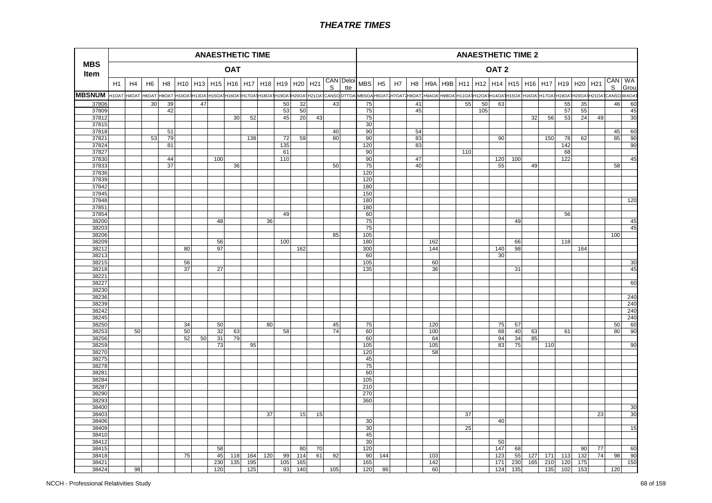|                           | <b>ANAESTHETIC TIME</b> |    |                |                |    |    |     |     |     |     |           |                                                     |    |     |                         |            |                |                      |           |                                                         | <b>ANAESTHETIC TIME 2</b> |                  |     |     |     |           |     |    |             |                 |
|---------------------------|-------------------------|----|----------------|----------------|----|----|-----|-----|-----|-----|-----------|-----------------------------------------------------|----|-----|-------------------------|------------|----------------|----------------------|-----------|---------------------------------------------------------|---------------------------|------------------|-----|-----|-----|-----------|-----|----|-------------|-----------------|
| <b>MBS</b><br><b>Item</b> | <b>OAT</b>              |    |                |                |    |    |     |     |     |     |           |                                                     |    |     |                         |            |                |                      |           |                                                         |                           | OAT <sub>2</sub> |     |     |     |           |     |    |             |                 |
|                           | H1                      | H4 | H <sub>6</sub> | H <sub>8</sub> |    |    |     |     |     |     |           | H10   H13   H15   H16   H17   H18   H19   H20   H21 |    | S   | <b>CAN</b> Deloi<br>tte | <b>MBS</b> | H <sub>5</sub> | H7<br>H <sub>8</sub> | H9A       | H9B H11   H12   H14   H15   H16   H17   H19   H20   H21 |                           |                  |     |     |     |           |     |    | CAN WA<br>S | Grou            |
|                           |                         |    |                |                |    |    |     |     |     |     |           |                                                     |    |     |                         |            |                |                      |           |                                                         |                           |                  |     |     |     |           |     |    |             |                 |
| 37806                     |                         |    | 30             | 39             |    | 47 |     |     |     |     | 50        | 32                                                  |    | 43  |                         | 75         |                | 41                   |           | 55                                                      | 50                        | 63               |     |     |     | 55        | 35  |    | 46          | 60              |
| 37809                     |                         |    |                | 42             |    |    |     |     |     |     | 53        | 50                                                  |    |     |                         | 75         |                | 45                   |           |                                                         | 105                       |                  |     |     |     | 57        | 55  |    |             | 45              |
| 37812                     |                         |    |                |                |    |    |     | 30  | 52  |     | 45        | 20                                                  | 43 |     |                         | 75         |                |                      |           |                                                         |                           |                  |     | 32  | 56  | 53        | 24  | 49 |             | 30              |
| 37815                     |                         |    |                |                |    |    |     |     |     |     |           |                                                     |    |     |                         | 30         |                |                      |           |                                                         |                           |                  |     |     |     |           |     |    |             |                 |
| 37818                     |                         |    |                | 51             |    |    |     |     |     |     |           |                                                     |    | 40  |                         | 90         |                | 54                   |           |                                                         |                           |                  |     |     |     |           |     |    | 45          | 60              |
| 37821<br>37824            |                         |    | 53             | 79<br>81       |    |    |     |     | 138 |     | 72<br>135 | 59                                                  |    | 80  |                         | 90<br>120  |                | 83<br>83             |           |                                                         |                           | 90               |     |     | 150 | 78<br>142 | 62  |    | 85          | 90<br>90        |
| 37827                     |                         |    |                |                |    |    |     |     |     |     | 61        |                                                     |    |     |                         | 90         |                |                      |           | 110                                                     |                           |                  |     |     |     | 68        |     |    |             |                 |
| 37830                     |                         |    |                | 44             |    |    | 100 |     |     |     | 110       |                                                     |    |     |                         | 90         |                | 47                   |           |                                                         |                           | 120              | 100 |     |     | 122       |     |    |             | 45              |
| 37833                     |                         |    |                | 37             |    |    |     | 36  |     |     |           |                                                     |    | 50  |                         | 75         |                | 40                   |           |                                                         |                           | 55               |     | 49  |     |           |     |    | 58          |                 |
| 37836                     |                         |    |                |                |    |    |     |     |     |     |           |                                                     |    |     |                         | 120        |                |                      |           |                                                         |                           |                  |     |     |     |           |     |    |             |                 |
| 37839                     |                         |    |                |                |    |    |     |     |     |     |           |                                                     |    |     |                         | 120        |                |                      |           |                                                         |                           |                  |     |     |     |           |     |    |             |                 |
| 37842                     |                         |    |                |                |    |    |     |     |     |     |           |                                                     |    |     |                         | 180        |                |                      |           |                                                         |                           |                  |     |     |     |           |     |    |             |                 |
| 37845                     |                         |    |                |                |    |    |     |     |     |     |           |                                                     |    |     |                         | 150        |                |                      |           |                                                         |                           |                  |     |     |     |           |     |    |             |                 |
| 37848<br>37851            |                         |    |                |                |    |    |     |     |     |     |           |                                                     |    |     |                         | 180<br>180 |                |                      |           |                                                         |                           |                  |     |     |     |           |     |    |             | 120             |
| 37854                     |                         |    |                |                |    |    |     |     |     |     | 49        |                                                     |    |     |                         | 60         |                |                      |           |                                                         |                           |                  |     |     |     | 56        |     |    |             |                 |
| 38200                     |                         |    |                |                |    |    | 48  |     |     | 36  |           |                                                     |    |     |                         | 75         |                |                      |           |                                                         |                           |                  | 49  |     |     |           |     |    |             | 45              |
| 38203                     |                         |    |                |                |    |    |     |     |     |     |           |                                                     |    |     |                         | 75         |                |                      |           |                                                         |                           |                  |     |     |     |           |     |    |             | 45              |
| 38206                     |                         |    |                |                |    |    |     |     |     |     |           |                                                     |    | 85  |                         | 105        |                |                      |           |                                                         |                           |                  |     |     |     |           |     |    | 100         |                 |
| 38209                     |                         |    |                |                |    |    | 56  |     |     |     | 100       |                                                     |    |     |                         | 180        |                |                      | 162       |                                                         |                           |                  | 66  |     |     | 118       |     |    |             |                 |
| 38212                     |                         |    |                |                | 80 |    | 97  |     |     |     |           | 162                                                 |    |     |                         | 300        |                |                      | 144       |                                                         |                           | 140              | 98  |     |     |           | 164 |    |             |                 |
| 38213                     |                         |    |                |                |    |    |     |     |     |     |           |                                                     |    |     |                         | 60         |                |                      |           |                                                         |                           | 30               |     |     |     |           |     |    |             |                 |
| 38215                     |                         |    |                |                | 56 |    |     |     |     |     |           |                                                     |    |     |                         | 105        |                |                      | 60        |                                                         |                           |                  |     |     |     |           |     |    |             | 30              |
| 38218                     |                         |    |                |                | 37 |    | 27  |     |     |     |           |                                                     |    |     |                         | 135        |                |                      | 36        |                                                         |                           |                  | 31  |     |     |           |     |    |             | 45              |
| 38221<br>38227            |                         |    |                |                |    |    |     |     |     |     |           |                                                     |    |     |                         |            |                |                      |           |                                                         |                           |                  |     |     |     |           |     |    |             | 60              |
| 38230                     |                         |    |                |                |    |    |     |     |     |     |           |                                                     |    |     |                         |            |                |                      |           |                                                         |                           |                  |     |     |     |           |     |    |             |                 |
| 38236                     |                         |    |                |                |    |    |     |     |     |     |           |                                                     |    |     |                         |            |                |                      |           |                                                         |                           |                  |     |     |     |           |     |    |             | 240             |
| 38239                     |                         |    |                |                |    |    |     |     |     |     |           |                                                     |    |     |                         |            |                |                      |           |                                                         |                           |                  |     |     |     |           |     |    |             | 240             |
| 38242                     |                         |    |                |                |    |    |     |     |     |     |           |                                                     |    |     |                         |            |                |                      |           |                                                         |                           |                  |     |     |     |           |     |    |             | 240             |
| 38245                     |                         |    |                |                |    |    |     |     |     |     |           |                                                     |    |     |                         |            |                |                      |           |                                                         |                           |                  |     |     |     |           |     |    |             | 240             |
| 38250                     |                         |    |                |                | 34 |    | 50  |     |     | 80  |           |                                                     |    | 45  |                         | 75         |                |                      | 120       |                                                         |                           | 75               | 57  |     |     |           |     |    | 50          | 60              |
| 38253                     |                         | 50 |                |                | 50 |    | 32  | 63  |     |     | 58        |                                                     |    | 74  |                         | 60         |                |                      | 100       |                                                         |                           | 68               | 40  | 63  |     | 61        |     |    | 80          | 90              |
| 38256                     |                         |    |                |                | 52 | 50 | 31  | 79  |     |     |           |                                                     |    |     |                         | 60         |                |                      | 64        |                                                         |                           | 94               | 34  | 85  |     |           |     |    |             |                 |
| 38259<br>38270            |                         |    |                |                |    |    | 73  |     | 95  |     |           |                                                     |    |     |                         | 105<br>120 |                |                      | 105<br>58 |                                                         |                           | 83               | 75  |     | 110 |           |     |    |             | 90              |
| 38275                     |                         |    |                |                |    |    |     |     |     |     |           |                                                     |    |     |                         | 45         |                |                      |           |                                                         |                           |                  |     |     |     |           |     |    |             |                 |
| 38278                     |                         |    |                |                |    |    |     |     |     |     |           |                                                     |    |     |                         | 75         |                |                      |           |                                                         |                           |                  |     |     |     |           |     |    |             |                 |
| 38281                     |                         |    |                |                |    |    |     |     |     |     |           |                                                     |    |     |                         | 60         |                |                      |           |                                                         |                           |                  |     |     |     |           |     |    |             |                 |
| 38284                     |                         |    |                |                |    |    |     |     |     |     |           |                                                     |    |     |                         | 105        |                |                      |           |                                                         |                           |                  |     |     |     |           |     |    |             |                 |
| 38287                     |                         |    |                |                |    |    |     |     |     |     |           |                                                     |    |     |                         | 210        |                |                      |           |                                                         |                           |                  |     |     |     |           |     |    |             |                 |
| 38290                     |                         |    |                |                |    |    |     |     |     |     |           |                                                     |    |     |                         | 270        |                |                      |           |                                                         |                           |                  |     |     |     |           |     |    |             |                 |
| 38293                     |                         |    |                |                |    |    |     |     |     |     |           |                                                     |    |     |                         | 360        |                |                      |           |                                                         |                           |                  |     |     |     |           |     |    |             |                 |
| 38400<br>38403            |                         |    |                |                |    |    |     |     |     | 37  |           | 15 <sup>1</sup>                                     |    |     |                         |            |                |                      |           | 37                                                      |                           |                  |     |     |     |           |     | 23 |             | $\frac{30}{30}$ |
| 38406                     |                         |    |                |                |    |    |     |     |     |     |           |                                                     | 15 |     |                         | 30         |                |                      |           |                                                         |                           | 40               |     |     |     |           |     |    |             |                 |
| 38409                     |                         |    |                |                |    |    |     |     |     |     |           |                                                     |    |     |                         | 30         |                |                      |           | 25                                                      |                           |                  |     |     |     |           |     |    |             | 15              |
| 38410                     |                         |    |                |                |    |    |     |     |     |     |           |                                                     |    |     |                         | 45         |                |                      |           |                                                         |                           |                  |     |     |     |           |     |    |             |                 |
| 38412                     |                         |    |                |                |    |    |     |     |     |     |           |                                                     |    |     |                         | 30         |                |                      |           |                                                         |                           | 50               |     |     |     |           |     |    |             |                 |
| 38415                     |                         |    |                |                |    |    | 58  |     |     |     |           | 80                                                  | 70 |     |                         | 120        |                |                      |           |                                                         |                           | 147              | 68  |     |     |           | 90  | 77 |             | 60              |
| 38418                     |                         |    |                |                | 75 |    | 45  | 118 | 164 | 120 | 99        | 114                                                 | 61 | 92  |                         | 90         | 144            |                      | 103       |                                                         |                           | 123              | 55  | 127 | 171 | 113       | 132 | 74 | 98          | 90              |
| 38421                     |                         |    |                |                |    |    | 230 | 135 | 195 |     | 105       | 165                                                 |    |     |                         | 165        |                |                      | 142       |                                                         |                           | 171              | 230 | 165 | 210 | 120       | 175 |    |             | 150             |
| 38424                     |                         | 98 |                |                |    |    | 120 |     | 125 |     | 93        | 140                                                 |    | 105 |                         | 120        | 86             |                      | 60        |                                                         |                           | 124              | 135 |     | 135 | 102       | 153 |    | 120         |                 |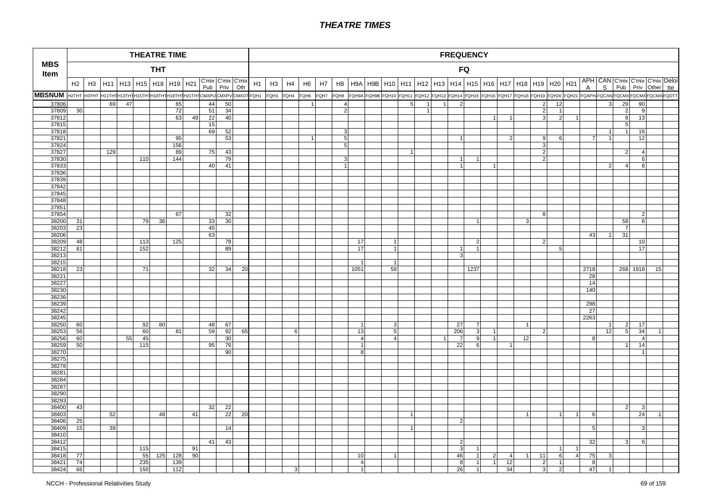|                    |                 |                                                                                                                                                                                                                                |    | <b>THEATRE TIME</b> |                      |    |                   |                 |     |    |    |                |                |    |                 |                     |                |   |              |   | <b>FREQUENCY</b>    |                     |           |                                                                                        |                                                    |                |                |                |                                  |                  |                                 |  |
|--------------------|-----------------|--------------------------------------------------------------------------------------------------------------------------------------------------------------------------------------------------------------------------------|----|---------------------|----------------------|----|-------------------|-----------------|-----|----|----|----------------|----------------|----|-----------------|---------------------|----------------|---|--------------|---|---------------------|---------------------|-----------|----------------------------------------------------------------------------------------|----------------------------------------------------|----------------|----------------|----------------|----------------------------------|------------------|---------------------------------|--|
| <b>MBS</b><br>Item |                 |                                                                                                                                                                                                                                |    | <b>THT</b>          |                      |    |                   |                 |     |    |    |                |                |    |                 |                     |                |   |              |   | <b>FQ</b>           |                     |           |                                                                                        |                                                    |                |                |                |                                  |                  |                                 |  |
|                    | H2              | H3 H11 H13 H15 H18 H19 H21                                                                                                                                                                                                     |    |                     |                      |    | C'mix C'mix C'mix |                 |     | H1 | H3 | H4             | H <sub>6</sub> | H7 |                 |                     |                |   |              |   |                     |                     |           | H8   H9A   H9B   H10   H11   H12   H13   H14   H15   H16   H17   H18   H19   H20   H21 |                                                    |                |                |                |                                  |                  | APH CAN C'mix C'mix C'mix Deloi |  |
|                    |                 | MBSNUM  H2THT  H3THT  H11THT H13THT H13THT H18THT H18THT H21THT CMXPU CMXPV CMXOT FQH1  FQH3  FQH4  FQH6  FQH7  FQH8  FQH98  FQH19  FQH19  FQH19  FQH19  FQH19  FQH19  FQH19  FQH19  FQH19  FQH21  FQAPH FQC2N FQCMX FQCMX FQC |    |                     |                      |    | Pub               | Priv            | Oth |    |    |                |                |    |                 |                     |                |   |              |   |                     |                     |           |                                                                                        |                                                    |                | A              | S              |                                  |                  | Pub Priv Other tte              |  |
| 37806              |                 | 69                                                                                                                                                                                                                             | 47 |                     | 65                   |    | 44                | 50              |     |    |    |                | $\vert$ 1      |    | $\overline{a}$  |                     |                | 5 | $\mathbf{1}$ | 1 | $\overline{2}$      |                     |           |                                                                                        | 12<br>2                                            |                |                | $\mathbf{3}$   | 29                               | 90               |                                 |  |
| 37809              | 30              |                                                                                                                                                                                                                                |    |                     | 72                   |    | 51                | 34              |     |    |    |                |                |    | $\overline{2}$  |                     |                |   | $\mathbf{1}$ |   |                     |                     |           | $\overline{1}$                                                                         | 2 <br>1                                            | 1              |                |                | $\vert$ 2                        | 9                |                                 |  |
| 37812<br>37815     |                 |                                                                                                                                                                                                                                |    |                     | 63                   | 49 | 22<br>15          | 40              |     |    |    |                |                |    |                 |                     |                |   |              |   |                     |                     | 1         |                                                                                        | 3 <sup>1</sup><br>$\overline{2}$                   |                |                |                | 8 <sup>1</sup><br>5 <sub>5</sub> | 13               |                                 |  |
| 37818              |                 |                                                                                                                                                                                                                                |    |                     |                      |    | 69                | 52              |     |    |    |                |                |    | 3               |                     |                |   |              |   |                     |                     |           |                                                                                        |                                                    |                |                | $\overline{1}$ | 1                                | 16               |                                 |  |
| 37821              |                 |                                                                                                                                                                                                                                |    |                     | 95                   |    |                   | 53              |     |    |    |                | 1 <sup>1</sup> |    | $5\overline{)}$ |                     |                |   |              |   | $\vert$ 1           |                     |           | $\overline{2}$                                                                         | $6 \overline{6}$<br>9 <sup>1</sup>                 |                | $\overline{7}$ | $\mathbf{1}$   |                                  | 12               |                                 |  |
| 37824<br>37827     |                 | 129                                                                                                                                                                                                                            |    |                     | 156<br>89            |    | 75                | 43              |     |    |    |                |                |    | 5 <sub>5</sub>  |                     |                | 1 |              |   |                     |                     |           |                                                                                        | 3 <sup>1</sup><br>$\overline{2}$                   |                |                |                | $\overline{2}$                   | $\overline{4}$   |                                 |  |
| 37830              |                 |                                                                                                                                                                                                                                |    | 110                 | 144                  |    |                   | 79              |     |    |    |                |                |    | 3               |                     |                |   |              |   | 1                   | $\overline{1}$      |           |                                                                                        | 2 <sup>1</sup>                                     |                |                |                |                                  | $6 \overline{6}$ |                                 |  |
| 37833              |                 |                                                                                                                                                                                                                                |    |                     |                      |    | 40                | 41              |     |    |    |                |                |    | 1               |                     |                |   |              |   | 1                   |                     | 1         |                                                                                        |                                                    |                |                | $\overline{2}$ | $\overline{4}$                   | 8 <sup>1</sup>   |                                 |  |
| 37836              |                 |                                                                                                                                                                                                                                |    |                     |                      |    |                   |                 |     |    |    |                |                |    |                 |                     |                |   |              |   |                     |                     |           |                                                                                        |                                                    |                |                |                |                                  |                  |                                 |  |
| 37839<br>37842     |                 |                                                                                                                                                                                                                                |    |                     |                      |    |                   |                 |     |    |    |                |                |    |                 |                     |                |   |              |   |                     |                     |           |                                                                                        |                                                    |                |                |                |                                  |                  |                                 |  |
| 37845              |                 |                                                                                                                                                                                                                                |    |                     |                      |    |                   |                 |     |    |    |                |                |    |                 |                     |                |   |              |   |                     |                     |           |                                                                                        |                                                    |                |                |                |                                  |                  |                                 |  |
| 37848              |                 |                                                                                                                                                                                                                                |    |                     |                      |    |                   |                 |     |    |    |                |                |    |                 |                     |                |   |              |   |                     |                     |           |                                                                                        |                                                    |                |                |                |                                  |                  |                                 |  |
| 37851              |                 |                                                                                                                                                                                                                                |    |                     |                      |    |                   |                 |     |    |    |                |                |    |                 |                     |                |   |              |   |                     |                     |           |                                                                                        |                                                    |                |                |                |                                  |                  |                                 |  |
| 37854<br>38200     | 31              |                                                                                                                                                                                                                                |    | 79<br>36            | 67                   |    | 33                | 32<br>30        |     |    |    |                |                |    |                 |                     |                |   |              |   |                     | $\overline{1}$      |           | 3                                                                                      | 8 <sup>1</sup>                                     |                |                |                | 58                               | $2 \vert$<br>8   |                                 |  |
| 38203              | 23              |                                                                                                                                                                                                                                |    |                     |                      |    | 45                |                 |     |    |    |                |                |    |                 |                     |                |   |              |   |                     |                     |           |                                                                                        |                                                    |                |                |                | $\overline{7}$                   |                  |                                 |  |
| 38206              |                 |                                                                                                                                                                                                                                |    |                     |                      |    | 63                |                 |     |    |    |                |                |    |                 |                     |                |   |              |   |                     |                     |           |                                                                                        |                                                    |                | 43             | $\vert$ 1      | 31                               |                  |                                 |  |
| 38209              | 48              |                                                                                                                                                                                                                                |    | 113                 | 125                  |    |                   | $\overline{78}$ |     |    |    |                |                |    |                 | 17                  | 11             |   |              |   |                     | $\overline{2}$      |           |                                                                                        | 2 <sup>1</sup>                                     |                |                |                |                                  | 10 <sup>1</sup>  |                                 |  |
| 38212<br>38213     | 81              |                                                                                                                                                                                                                                |    | 152                 |                      |    |                   | 89              |     |    |    |                |                |    |                 | 17                  | 1              |   |              |   | 1<br>3 <sup>l</sup> | $\overline{1}$      |           |                                                                                        | 5                                                  |                |                |                |                                  | 17               |                                 |  |
| 38215              |                 |                                                                                                                                                                                                                                |    |                     |                      |    |                   |                 |     |    |    |                |                |    |                 | -1                  | $\vert$ 1      |   |              |   |                     |                     |           |                                                                                        |                                                    |                |                |                |                                  |                  |                                 |  |
| 38218              | 23              |                                                                                                                                                                                                                                |    | 71                  |                      |    | 32                | 34              | 20  |    |    |                |                |    |                 | 1051                | 59             |   |              |   |                     | 1237                |           |                                                                                        |                                                    |                | 2718           |                |                                  | 268 1918         | 15                              |  |
| 38221              |                 |                                                                                                                                                                                                                                |    |                     |                      |    |                   |                 |     |    |    |                |                |    |                 |                     |                |   |              |   |                     |                     |           |                                                                                        |                                                    |                | 28             |                |                                  |                  |                                 |  |
| 38227              |                 |                                                                                                                                                                                                                                |    |                     |                      |    |                   |                 |     |    |    |                |                |    |                 |                     |                |   |              |   |                     |                     |           |                                                                                        |                                                    |                | 14<br>140      |                |                                  |                  |                                 |  |
| 38230<br>38236     |                 |                                                                                                                                                                                                                                |    |                     |                      |    |                   |                 |     |    |    |                |                |    |                 |                     |                |   |              |   |                     |                     |           |                                                                                        |                                                    |                |                |                |                                  |                  |                                 |  |
| 38239              |                 |                                                                                                                                                                                                                                |    |                     |                      |    |                   |                 |     |    |    |                |                |    |                 |                     |                |   |              |   |                     |                     |           |                                                                                        |                                                    |                | 298            |                |                                  |                  |                                 |  |
| 38242              |                 |                                                                                                                                                                                                                                |    |                     |                      |    |                   |                 |     |    |    |                |                |    |                 |                     |                |   |              |   |                     |                     |           |                                                                                        |                                                    |                | 27             |                |                                  |                  |                                 |  |
| 38245              |                 |                                                                                                                                                                                                                                |    | 80                  |                      |    | 48                |                 |     |    |    |                |                |    |                 | $\mathbf{1}$        | 3 <sup>1</sup> |   |              |   | 27                  | $\overline{7}$      |           | $\overline{1}$                                                                         |                                                    |                | 2263           | $\mathbf{1}$   |                                  | 17               |                                 |  |
| 38250<br>38253     | 60<br>56        |                                                                                                                                                                                                                                |    | 92<br>60            | 81                   |    | 59                | 67<br>92        | 65  |    |    | $6 \mid$       |                |    |                 | 13                  | 5              |   |              |   | 206                 | 3                   | 1         |                                                                                        | 2                                                  |                |                | 12             | $\vert$ 2<br>5 <sub>5</sub>      | 34               |                                 |  |
| 38256              | 60              |                                                                                                                                                                                                                                | 55 | 45                  |                      |    |                   | 30              |     |    |    |                |                |    |                 | $\vert$             | $\overline{4}$ |   |              | 1 | $\overline{7}$      | 9 <sub>l</sub>      | 1         | 12                                                                                     |                                                    |                | 8              |                |                                  | $\overline{4}$   |                                 |  |
| 38259              | 50              |                                                                                                                                                                                                                                |    | 115                 |                      |    | 95                | 76              |     |    |    |                |                |    |                 | $\overline{1}$      |                |   |              |   | 22                  | $6 \mid$            |           | $\mathbf{1}$                                                                           |                                                    |                |                |                | 1                                | 14               |                                 |  |
| 38270<br>38275     |                 |                                                                                                                                                                                                                                |    |                     |                      |    |                   | 90              |     |    |    |                |                |    |                 | 8 <sup>1</sup>      |                |   |              |   |                     |                     |           |                                                                                        |                                                    |                |                |                |                                  | $\overline{1}$   |                                 |  |
| 38278              |                 |                                                                                                                                                                                                                                |    |                     |                      |    |                   |                 |     |    |    |                |                |    |                 |                     |                |   |              |   |                     |                     |           |                                                                                        |                                                    |                |                |                |                                  |                  |                                 |  |
| 38281              |                 |                                                                                                                                                                                                                                |    |                     |                      |    |                   |                 |     |    |    |                |                |    |                 |                     |                |   |              |   |                     |                     |           |                                                                                        |                                                    |                |                |                |                                  |                  |                                 |  |
| 38284              |                 |                                                                                                                                                                                                                                |    |                     |                      |    |                   |                 |     |    |    |                |                |    |                 |                     |                |   |              |   |                     |                     |           |                                                                                        |                                                    |                |                |                |                                  |                  |                                 |  |
| 38287<br>38290     |                 |                                                                                                                                                                                                                                |    |                     |                      |    |                   |                 |     |    |    |                |                |    |                 |                     |                |   |              |   |                     |                     |           |                                                                                        |                                                    |                |                |                |                                  |                  |                                 |  |
| 38293              |                 |                                                                                                                                                                                                                                |    |                     |                      |    |                   |                 |     |    |    |                |                |    |                 |                     |                |   |              |   |                     |                     |           |                                                                                        |                                                    |                |                |                |                                  |                  |                                 |  |
| 38400              | 43              |                                                                                                                                                                                                                                |    |                     |                      |    | 32                | 22              |     |    |    |                |                |    |                 |                     |                |   |              |   |                     |                     |           |                                                                                        |                                                    |                |                |                | $\overline{2}$                   | 3                |                                 |  |
| 38403              |                 | 52                                                                                                                                                                                                                             |    | 48                  |                      | 41 |                   | 22              | 20  |    |    |                |                |    |                 |                     |                | 1 |              |   |                     |                     |           | $\mathbf{1}$                                                                           | 1                                                  | 1              | 6              |                |                                  | 24               |                                 |  |
| 38406<br>38409     | 25              | 39                                                                                                                                                                                                                             |    |                     |                      |    |                   | 14              |     |    |    |                |                |    |                 |                     |                |   |              |   | $\overline{2}$      |                     |           |                                                                                        |                                                    |                |                |                |                                  | 3                |                                 |  |
| 38410              | 15 <sup>1</sup> |                                                                                                                                                                                                                                |    |                     |                      |    |                   |                 |     |    |    |                |                |    |                 |                     |                |   |              |   |                     |                     |           |                                                                                        |                                                    |                | 5              |                |                                  |                  |                                 |  |
| 38412              |                 |                                                                                                                                                                                                                                |    |                     |                      |    | 41                | 43              |     |    |    |                |                |    |                 |                     |                |   |              |   | $\overline{2}$      |                     |           |                                                                                        |                                                    |                | 32             |                | 3                                | $6 \overline{6}$ |                                 |  |
| 38415              |                 |                                                                                                                                                                                                                                |    | 115                 |                      | 91 |                   |                 |     |    |    |                |                |    |                 |                     |                |   |              |   | 3 <sup>l</sup>      | 11                  |           |                                                                                        | 11                                                 | 1              |                |                |                                  |                  |                                 |  |
| 38418              | 77              |                                                                                                                                                                                                                                |    | 55<br>125           | 128                  | 90 |                   |                 |     |    |    |                |                |    |                 | 10                  | 11             |   |              |   | 46                  | 1                   | $2 \vert$ | $\overline{4}$<br>1                                                                    | $6 \overline{6}$<br>11                             | $\overline{4}$ | 75             | $\mathbf{3}$   |                                  |                  |                                 |  |
| 38421<br>38424     | 74<br>66        |                                                                                                                                                                                                                                |    | 235<br>150          | 139<br>$\boxed{112}$ |    |                   |                 |     |    |    | 3 <sup>1</sup> |                |    |                 | 4 <sup>1</sup><br>1 |                |   |              |   | 8<br>26             | 1<br>$\overline{1}$ | 1         | 12<br>34                                                                               | $\vert$ 2<br>1<br>3 <sup>1</sup><br>$\overline{2}$ |                | 8<br>47        | $\overline{1}$ |                                  |                  |                                 |  |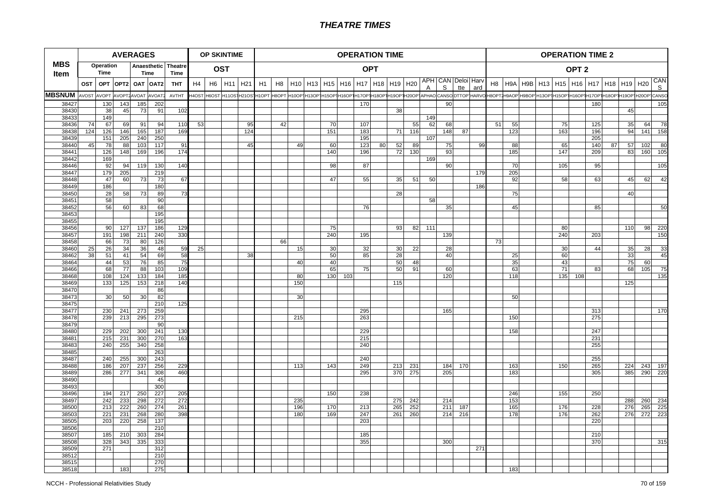|                           |            |                                   |            | <b>AVERAGES</b>            |            |                        |                | <b>OP SKINTIME</b> |            |    |    |                 |                                                                                                                 | <b>OPERATION TIME</b> |    |     |     |           |                                          |     |     |    |            | <b>OPERATION TIME 2</b>                                           |                  |            |    |          |            |           |
|---------------------------|------------|-----------------------------------|------------|----------------------------|------------|------------------------|----------------|--------------------|------------|----|----|-----------------|-----------------------------------------------------------------------------------------------------------------|-----------------------|----|-----|-----|-----------|------------------------------------------|-----|-----|----|------------|-------------------------------------------------------------------|------------------|------------|----|----------|------------|-----------|
| <b>MBS</b><br><b>Item</b> |            | Operation<br>Time                 |            | Anaesthetic<br><b>Time</b> |            | <b>Theatre</b><br>Time |                | <b>OST</b>         |            |    |    |                 |                                                                                                                 | <b>OPT</b>            |    |     |     |           |                                          |     |     |    |            |                                                                   | OPT <sub>2</sub> |            |    |          |            |           |
|                           | <b>OST</b> |                                   |            | OPT OPT2 OAT OAT2          |            | <b>THT</b>             | H <sub>4</sub> |                    | H6 H11 H21 | H1 | H8 |                 | H10   H13   H15   H16   H17   H18   H19   H20                                                                   |                       |    |     |     | A         | APH   CAN   Deloi   Harv<br><sub>S</sub> | tte | ard |    |            | H8   H9A   H9B   H13   H15   H16   H17   H18   H19   H20          |                  |            |    |          |            | CAN<br>S. |
| <b>MBSNUM</b>             |            | AVOST  AVOPT  AVOPT2AVOAT  AVOAT2 |            |                            |            | <b>AVTHT</b>           |                |                    |            |    |    |                 | 140ST  H6OST  H11OSTH21OSTH1OPT  H8OPT  H10OPTH13OPTH15OPTH16OPTH17OPTH18OPTH19OPTH20OPTAPHAO CANSO DTTOPTHARVO |                       |    |     |     |           |                                          |     |     |    |            | H8OPT/H9AOP H9BOP H13OP H15OP H16OP H17OP H18OP H19OP H20OP CANSC |                  |            |    |          |            |           |
| 38427                     |            | 130                               | 143        | 185                        | 202        |                        |                |                    |            |    |    |                 |                                                                                                                 | 170                   |    |     |     |           | 90 <sup>1</sup>                          |     |     |    |            |                                                                   |                  | 180        |    |          |            | 105       |
| 38430                     |            | 38                                | 45         | 73                         | 91         | 102                    |                |                    |            |    |    |                 |                                                                                                                 |                       |    | 38  |     |           |                                          |     |     |    |            |                                                                   |                  |            |    | 45       |            |           |
| 38433<br>38436            | 74         | 149<br>67                         | 69         | 91                         | 94         | 110                    |                |                    | 95         |    | 42 |                 | 70                                                                                                              | 107                   |    |     | 55  | 149<br>62 | 68                                       |     |     | 51 | 55         | 75                                                                |                  | 125        |    |          |            | 78        |
| 38438                     | 124        | 126                               | 146        | 165                        | 187        | 169                    | 53             |                    | 124        |    |    |                 | 151                                                                                                             | 183                   |    | 71  | 116 |           | 148                                      | 87  |     |    | 123        | 163                                                               |                  | 196        |    | 35<br>94 | 64<br>141  | 158       |
| 38439                     |            | 151                               | 205        | 240                        | 250        |                        |                |                    |            |    |    |                 |                                                                                                                 | 195                   |    |     |     | 107       |                                          |     |     |    |            |                                                                   |                  | 205        |    |          |            |           |
| 38440                     | 45         | 78                                | 88         | 103                        | 117        | 91                     |                |                    | 45         |    |    | 49              | 60                                                                                                              | 123                   | 80 | 52  | 89  |           | 75                                       |     | 99  |    | 88         | 65                                                                |                  | 140        | 87 | 57       | 102        | 80        |
| 38441                     |            | 126                               | 148        | 169                        | 196        | 174                    |                |                    |            |    |    |                 | 140                                                                                                             | 196                   |    | 72  | 130 |           | 93                                       |     |     |    | 185        | 147                                                               |                  | 209        |    | 83       | 160        | 105       |
| 38442<br>38446            |            | 169<br>92                         | 94         | 119                        | 130        | 140                    |                |                    |            |    |    |                 | 98                                                                                                              | 87                    |    |     |     | 169       | 90 <sup>1</sup>                          |     |     |    | 70         | 105                                                               |                  | 95         |    |          |            | 105       |
| 38447                     |            | 179                               | 205        |                            | 219        |                        |                |                    |            |    |    |                 |                                                                                                                 |                       |    |     |     |           |                                          |     | 179 |    | 205        |                                                                   |                  |            |    |          |            |           |
| 38448                     |            | 47                                | 60         | 73                         | 73         | 67                     |                |                    |            |    |    |                 | 47                                                                                                              | 55                    |    | 35  | 51  | 50        |                                          |     |     |    | 92         | 58                                                                |                  | 63         |    | 45       | 62         | 42        |
| 38449                     |            | 186                               |            |                            | 180        |                        |                |                    |            |    |    |                 |                                                                                                                 |                       |    |     |     |           |                                          |     | 186 |    |            |                                                                   |                  |            |    |          |            |           |
| 38450                     |            | 28                                | 58         | 73                         | 89         | 73                     |                |                    |            |    |    |                 |                                                                                                                 |                       |    | 28  |     | 58        |                                          |     |     |    | 75         |                                                                   |                  |            |    | 40       |            |           |
| 38451<br>38452            |            | 58<br>56                          | 60         | 83                         | 90<br>68   |                        |                |                    |            |    |    |                 |                                                                                                                 | 76                    |    |     |     |           | 35                                       |     |     |    | 45         |                                                                   |                  | 85         |    |          |            | 50        |
| 38453                     |            |                                   |            |                            | 195        |                        |                |                    |            |    |    |                 |                                                                                                                 |                       |    |     |     |           |                                          |     |     |    |            |                                                                   |                  |            |    |          |            |           |
| 38455                     |            |                                   |            |                            | 195        |                        |                |                    |            |    |    |                 |                                                                                                                 |                       |    |     |     |           |                                          |     |     |    |            |                                                                   |                  |            |    |          |            |           |
| 38456                     |            | 90                                | 127        | 137                        | 186        | 129                    |                |                    |            |    |    |                 | 75                                                                                                              |                       |    | 93  | 82  | 111       |                                          |     |     |    |            | 80                                                                |                  |            |    | 110      | 98         | 220       |
| 38457<br>38458            |            | 191<br>66                         | 198<br>73  | 211<br>80                  | 240<br>126 | 330                    |                |                    |            |    | 66 |                 | 240                                                                                                             | 195                   |    |     |     |           | 139                                      |     |     | 73 |            | 240                                                               |                  | 203        |    |          |            | 150       |
| 38460                     | 25         | 26                                | 34         | 36                         | 48         | 59                     | 25             |                    |            |    |    | 15              | 30                                                                                                              | 32                    |    | 30  | 22  |           | 28                                       |     |     |    |            | 30                                                                |                  | 44         |    | 35       | 28         | 33        |
| 38462                     | 38         | 51                                | 41         | 54                         | 69         | 58                     |                |                    | 38         |    |    |                 | 50                                                                                                              | 85                    |    | 28  |     |           | 40                                       |     |     |    | 25         | 60                                                                |                  |            |    | 33       |            | 45        |
| 38464                     |            | 44                                | 53         | 76                         | 85         | 75                     |                |                    |            |    |    | 40              | 40                                                                                                              |                       |    | 50  | 48  |           |                                          |     |     |    | 35         | 43                                                                |                  |            |    | 75       | 60         |           |
| 38466                     |            | 68                                | 77         | 88                         | 103        | 109                    |                |                    |            |    |    |                 | 65                                                                                                              | 75                    |    | 50  | 91  |           | 60                                       |     |     |    | 63         | 71                                                                |                  | 83         |    | 68       | 105        | 75        |
| 38468<br>38469            |            | 108<br>133                        | 124<br>125 | 133<br>153                 | 184<br>218 | 185<br>140             |                |                    |            |    |    | 80<br>150       | 130<br>103                                                                                                      |                       |    | 115 |     |           | 120                                      |     |     |    | 118        | 135                                                               | 108              |            |    | 125      |            | 135       |
| 38470                     |            |                                   |            |                            | 86         |                        |                |                    |            |    |    |                 |                                                                                                                 |                       |    |     |     |           |                                          |     |     |    |            |                                                                   |                  |            |    |          |            |           |
| 38473                     |            | 30                                | 50         | 30                         | 82         |                        |                |                    |            |    |    | 30 <sup>°</sup> |                                                                                                                 |                       |    |     |     |           |                                          |     |     |    | 50         |                                                                   |                  |            |    |          |            |           |
| 38475                     |            |                                   |            |                            | 210        | 125                    |                |                    |            |    |    |                 |                                                                                                                 |                       |    |     |     |           |                                          |     |     |    |            |                                                                   |                  |            |    |          |            |           |
| 38477                     |            | 230                               | 241        | 273                        | 259        |                        |                |                    |            |    |    |                 |                                                                                                                 | 295                   |    |     |     |           | 165                                      |     |     |    |            |                                                                   |                  | 313        |    |          |            | 170       |
| 38478<br>38479            |            | 239                               | 213        | 295                        | 273<br>90  |                        |                |                    |            |    |    | 215             |                                                                                                                 | 263                   |    |     |     |           |                                          |     |     |    | 150        |                                                                   |                  | 275        |    |          |            |           |
| 38480                     |            | 229                               | 202        | 300                        | 241        | 130                    |                |                    |            |    |    |                 |                                                                                                                 | 229                   |    |     |     |           |                                          |     |     |    | 158        |                                                                   |                  | 247        |    |          |            |           |
| 38481                     |            | 215                               | 231        | 300                        | 270        | 163                    |                |                    |            |    |    |                 |                                                                                                                 | 215                   |    |     |     |           |                                          |     |     |    |            |                                                                   |                  | 231        |    |          |            |           |
| 38483                     |            | 240                               | 255        | 340                        | 258        |                        |                |                    |            |    |    |                 |                                                                                                                 | 240                   |    |     |     |           |                                          |     |     |    |            |                                                                   |                  | 255        |    |          |            |           |
| 38485                     |            |                                   |            |                            | 263        |                        |                |                    |            |    |    |                 |                                                                                                                 |                       |    |     |     |           |                                          |     |     |    |            |                                                                   |                  |            |    |          |            |           |
| 38487<br>38488            |            | 240<br>186                        | 255<br>207 | 300<br>237                 | 243<br>256 | 229                    |                |                    |            |    |    | 113             | 143                                                                                                             | 240<br>249            |    | 213 | 231 |           | 184                                      | 170 |     |    | 163        | 150                                                               |                  | 255<br>265 |    | 224      | 243        | 197       |
| 38489                     |            | 286                               | 277        | 341                        | 308        | 460                    |                |                    |            |    |    |                 |                                                                                                                 | 295                   |    | 370 | 275 |           | 205                                      |     |     |    | 183        |                                                                   |                  | 305        |    | 385      | 290        | 220       |
| 38490                     |            |                                   |            |                            | 45         |                        |                |                    |            |    |    |                 |                                                                                                                 |                       |    |     |     |           |                                          |     |     |    |            |                                                                   |                  |            |    |          |            |           |
| 38493                     |            |                                   |            |                            | 300        |                        |                |                    |            |    |    |                 |                                                                                                                 |                       |    |     |     |           |                                          |     |     |    |            |                                                                   |                  |            |    |          |            |           |
| 38496<br>38497            |            | 194<br>242                        | 217<br>233 | 250<br>298                 | 227<br>272 | 205<br>272             |                |                    |            |    |    | 235             | 150                                                                                                             | 238                   |    | 275 | 242 |           | 214                                      |     |     |    | 246<br>153 | 155                                                               |                  | 250        |    | 288      |            | 234       |
| 38500                     |            | 213                               | 222        | 260                        | 274        | 261                    |                |                    |            |    |    | 196             | 170                                                                                                             | 213                   |    | 265 | 252 |           | 211                                      | 187 |     |    | 165        | 176                                                               |                  | 228        |    | 276      | 260<br>265 | 225       |
| 38503                     |            | 221                               | 231        | 268                        | 280        | 398                    |                |                    |            |    |    | 180             | 169                                                                                                             | 247                   |    | 261 | 260 |           | 214                                      | 216 |     |    | 178        | 176                                                               |                  | 262        |    | 276      | 272        | 223       |
| 38505                     |            | 203                               | 220        | 258                        | 137        |                        |                |                    |            |    |    |                 |                                                                                                                 | 203                   |    |     |     |           |                                          |     |     |    |            |                                                                   |                  | 220        |    |          |            |           |
| 38506                     |            |                                   |            |                            | 210        |                        |                |                    |            |    |    |                 |                                                                                                                 |                       |    |     |     |           |                                          |     |     |    |            |                                                                   |                  |            |    |          |            |           |
| 38507<br>38508            |            | 185<br>328                        | 210<br>343 | 303<br>335                 | 284<br>333 |                        |                |                    |            |    |    |                 |                                                                                                                 | 185<br>355            |    |     |     |           | 300                                      |     |     |    |            |                                                                   |                  | 210<br>370 |    |          |            | 315       |
| 38509                     |            | 271                               |            |                            | 312        |                        |                |                    |            |    |    |                 |                                                                                                                 |                       |    |     |     |           |                                          |     | 271 |    |            |                                                                   |                  |            |    |          |            |           |
| 38512                     |            |                                   |            |                            | 210        |                        |                |                    |            |    |    |                 |                                                                                                                 |                       |    |     |     |           |                                          |     |     |    |            |                                                                   |                  |            |    |          |            |           |
| 38515                     |            |                                   |            |                            | 270        |                        |                |                    |            |    |    |                 |                                                                                                                 |                       |    |     |     |           |                                          |     |     |    |            |                                                                   |                  |            |    |          |            |           |
| 38518                     |            |                                   | 183        |                            | 275        |                        |                |                    |            |    |    |                 |                                                                                                                 |                       |    |     |     |           |                                          |     |     |    | 183        |                                                                   |                  |            |    |          |            |           |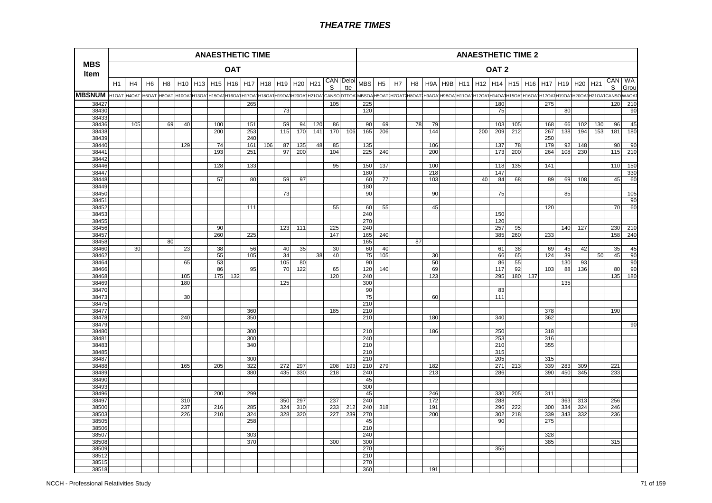|                    |    |     |                |                |                 |           | <b>ANAESTHETIC TIME</b>                                                                  |     |                                                                 |           |     |                        |            |                |    |                |                  |  |     |                  | <b>ANAESTHETIC TIME 2</b>                                                                            |            |     |     |     |                          |
|--------------------|----|-----|----------------|----------------|-----------------|-----------|------------------------------------------------------------------------------------------|-----|-----------------------------------------------------------------|-----------|-----|------------------------|------------|----------------|----|----------------|------------------|--|-----|------------------|------------------------------------------------------------------------------------------------------|------------|-----|-----|-----|--------------------------|
| <b>MBS</b><br>Item |    |     |                |                |                 |           | <b>OAT</b>                                                                               |     |                                                                 |           |     |                        |            |                |    |                |                  |  |     | OAT <sub>2</sub> |                                                                                                      |            |     |     |     |                          |
|                    | H1 | H4  | H <sub>6</sub> | H <sub>8</sub> |                 |           | H10   H13   H15   H16   H17                                                              |     | H <sub>18</sub> H <sub>19</sub> H <sub>20</sub> H <sub>21</sub> |           |     | CAN Deloi<br>S.<br>tte | <b>MBS</b> | H <sub>5</sub> | H7 | H <sub>8</sub> | H <sub>9</sub> A |  |     |                  | H9B   H11   H12   H14   H15   H16   H17   H19   H20   H21                                            |            |     |     | S   | CAN WA<br>Grou           |
| <b>MBSNUM</b>      |    |     |                |                |                 |           | H1OAT H4OAT H6OAT H8OAT H10OATH13OATH15OATH16OATH17OATH18OATH19OATH20OATH21OATCANSODTTOA |     |                                                                 |           |     |                        |            |                |    |                |                  |  |     |                  | MBSOA H5OAT2H7OAT2H8OAT2H9AOA H9BOA H11OATH12OATH14OATH15OATH16OATH17OATH19OATH21OATE21OATCANSOMAAOA |            |     |     |     |                          |
| 38427              |    |     |                |                |                 |           | 265                                                                                      |     |                                                                 |           |     | 105                    | 225        |                |    |                |                  |  |     | 180              |                                                                                                      | 275        |     |     |     | 120<br>210               |
| 38430              |    |     |                |                |                 |           |                                                                                          |     | 73                                                              |           |     |                        | 120        |                |    |                |                  |  |     | 75               |                                                                                                      |            | 80  |     |     | 90                       |
| 38433              |    |     |                |                |                 |           |                                                                                          |     |                                                                 |           |     |                        |            |                |    |                |                  |  |     |                  |                                                                                                      |            |     |     |     |                          |
| 38436              |    | 105 |                | 69             | 40              | 100       | 151                                                                                      |     | 59                                                              | 94<br>170 | 120 | 86                     | 90         | 69             |    | 78             | 79               |  |     | 103              | 105                                                                                                  | 168        | 66  | 102 | 130 | 96<br>45                 |
| 38438<br>38439     |    |     |                |                |                 | 200       | 253<br>240                                                                               |     | 115                                                             |           | 141 | 170<br>106             | 165        | 206            |    |                | 144              |  | 200 | 209              | 212                                                                                                  | 267<br>250 | 138 | 194 | 153 | 181<br>180               |
| 38440              |    |     |                |                | 129             | 74        | 161                                                                                      | 106 | 87                                                              | 135       | 48  | 85                     | 135        |                |    |                | 106              |  |     | 137              | 78                                                                                                   | 179        | 92  | 148 |     | 90<br>90                 |
| 38441              |    |     |                |                |                 | 193       | 251                                                                                      |     | 97                                                              | 200       |     | 104                    | 225        | 240            |    |                | 200              |  |     | 173              | 200                                                                                                  | 264        | 108 | 230 |     | 210<br>115               |
| 38442              |    |     |                |                |                 |           |                                                                                          |     |                                                                 |           |     |                        |            |                |    |                |                  |  |     |                  |                                                                                                      |            |     |     |     |                          |
| 38446              |    |     |                |                |                 | 128       | 133                                                                                      |     |                                                                 |           |     | 95                     | 150        | 137            |    |                | 100              |  |     | 118              | 135                                                                                                  | 141        |     |     |     | 110<br>150               |
| 38447              |    |     |                |                |                 |           |                                                                                          |     |                                                                 |           |     |                        | 180        | 77             |    |                | 218              |  |     | 147              |                                                                                                      |            |     | 108 |     | 330                      |
| 38448<br>38449     |    |     |                |                |                 | 57        | 80                                                                                       |     | 59                                                              | 97        |     |                        | 60<br>180  |                |    |                | 103              |  | 40  | 84               | 68                                                                                                   | 89         | 69  |     |     | 45<br>60                 |
| 38450              |    |     |                |                |                 |           |                                                                                          |     | 73                                                              |           |     |                        | 90         |                |    |                | 90               |  |     | 75               |                                                                                                      |            | 85  |     |     | 105                      |
| 38451              |    |     |                |                |                 |           |                                                                                          |     |                                                                 |           |     |                        |            |                |    |                |                  |  |     |                  |                                                                                                      |            |     |     |     | 90                       |
| 38452              |    |     |                |                |                 |           | 111                                                                                      |     |                                                                 |           |     | 55                     | 60         | 55             |    |                | 45               |  |     |                  |                                                                                                      | 120        |     |     |     | 70<br>60                 |
| 38453              |    |     |                |                |                 |           |                                                                                          |     |                                                                 |           |     |                        | 240        |                |    |                |                  |  |     | 150              |                                                                                                      |            |     |     |     |                          |
| 38455              |    |     |                |                |                 |           |                                                                                          |     |                                                                 |           |     |                        | 270        |                |    |                |                  |  |     | 120              |                                                                                                      |            |     |     |     |                          |
| 38456<br>38457     |    |     |                |                |                 | 90<br>260 | 225                                                                                      |     | 123                                                             | 111       |     | 225<br>147             | 240<br>165 | 240            |    |                |                  |  |     | 257<br>385       | 95<br>260                                                                                            | 233        | 140 | 127 |     | 210<br>230<br>158<br>240 |
| 38458              |    |     |                | 80             |                 |           |                                                                                          |     |                                                                 |           |     |                        | 165        |                |    | 87             |                  |  |     |                  |                                                                                                      |            |     |     |     |                          |
| 38460              |    | 30  |                |                | $\overline{23}$ | 38        | 56                                                                                       |     | 40                                                              | 35        |     | 30                     | 60         | 40             |    |                |                  |  |     | 61               | 38                                                                                                   | 69         | 45  | 42  |     | 35<br>45                 |
| 38462              |    |     |                |                |                 | 55        | 105                                                                                      |     | 34                                                              |           | 38  | 40                     | 75         | 105            |    |                | $30\,$           |  |     | 66               | 65                                                                                                   | 124        | 39  |     | 50  | 90<br>45                 |
| 38464              |    |     |                |                | 65              | 53        |                                                                                          |     | 105                                                             | 80        |     |                        | 90         |                |    |                | 50               |  |     | 86               | 55                                                                                                   |            | 130 | 93  |     | 90                       |
| 38466              |    |     |                |                |                 | 86        | 95                                                                                       |     | 70                                                              | 122       |     | 65                     | 120        | 140            |    |                | 69               |  |     | 117              | 92                                                                                                   | 103        | 88  | 136 |     | 90<br>80                 |
| 38468              |    |     |                |                | 105             | 175       | 132                                                                                      |     |                                                                 |           |     | 120                    | 240        |                |    |                | 123              |  |     | 295              | 180<br>137                                                                                           |            |     |     |     | 180<br>135               |
| 38469<br>38470     |    |     |                |                | 180             |           |                                                                                          |     | 125                                                             |           |     |                        | 300<br>90  |                |    |                |                  |  |     | 83               |                                                                                                      |            | 135 |     |     |                          |
| 38473              |    |     |                |                | 30              |           |                                                                                          |     |                                                                 |           |     |                        | 75         |                |    |                | 60               |  |     | 111              |                                                                                                      |            |     |     |     |                          |
| 38475              |    |     |                |                |                 |           |                                                                                          |     |                                                                 |           |     |                        | 210        |                |    |                |                  |  |     |                  |                                                                                                      |            |     |     |     |                          |
| 38477              |    |     |                |                |                 |           | 360                                                                                      |     |                                                                 |           |     | 185                    | 210        |                |    |                |                  |  |     |                  |                                                                                                      | 378        |     |     |     | 190                      |
| 38478              |    |     |                |                | 240             |           | 350                                                                                      |     |                                                                 |           |     |                        | 210        |                |    |                | 180              |  |     | 340              |                                                                                                      | 362        |     |     |     |                          |
| 38479              |    |     |                |                |                 |           |                                                                                          |     |                                                                 |           |     |                        |            |                |    |                |                  |  |     |                  |                                                                                                      |            |     |     |     | 90                       |
| 38480<br>38481     |    |     |                |                |                 |           | 300<br>300                                                                               |     |                                                                 |           |     |                        | 210<br>240 |                |    |                | 186              |  |     | 250<br>253       |                                                                                                      | 318<br>316 |     |     |     |                          |
| 38483              |    |     |                |                |                 |           | 340                                                                                      |     |                                                                 |           |     |                        | 210        |                |    |                |                  |  |     | 210              |                                                                                                      | 355        |     |     |     |                          |
| 38485              |    |     |                |                |                 |           |                                                                                          |     |                                                                 |           |     |                        | 210        |                |    |                |                  |  |     | 315              |                                                                                                      |            |     |     |     |                          |
| 38487              |    |     |                |                |                 |           | 300                                                                                      |     |                                                                 |           |     |                        | 210        |                |    |                |                  |  |     | 205              |                                                                                                      | 315        |     |     |     |                          |
| 38488              |    |     |                |                | 165             | 205       | 322                                                                                      |     | 272                                                             | 297       |     | 193<br>208             | 210        | 279            |    |                | 182              |  |     | 271              | 213                                                                                                  | 339        | 283 | 309 | 221 |                          |
| 38489              |    |     |                |                |                 |           | 380                                                                                      |     | 435                                                             | 330       |     | 218                    | 240        |                |    |                | 213              |  |     | 286              |                                                                                                      | 390        | 450 | 345 |     | 233                      |
| 38490<br>38493     |    |     |                |                |                 |           |                                                                                          |     |                                                                 |           |     |                        | 45<br>300  |                |    |                |                  |  |     |                  |                                                                                                      |            |     |     |     |                          |
| 38496              |    |     |                |                |                 | 200       | 299                                                                                      |     |                                                                 |           |     |                        | 45         |                |    |                | 246              |  |     | 330              | 205                                                                                                  | 311        |     |     |     |                          |
| 38497              |    |     |                |                | 310             |           |                                                                                          |     | 350                                                             | 297       |     | 237                    | 240        |                |    |                | 172              |  |     | 288              |                                                                                                      |            | 363 | 313 |     | 256                      |
| 38500              |    |     |                |                | 237             | 216       | 285                                                                                      |     | 324                                                             | 310       |     | 212<br>233             | 240        | 318            |    |                | 191              |  |     | 296              | 222                                                                                                  | 300        | 334 | 324 |     | 246                      |
| 38503              |    |     |                |                | 226             | 210       | 324                                                                                      |     | 328                                                             | 320       |     | 239<br>227             | 270        |                |    |                | 200              |  |     | 302              | 218                                                                                                  | 339        | 343 | 332 |     | 236                      |
| 38505              |    |     |                |                |                 |           | 258                                                                                      |     |                                                                 |           |     |                        | 45         |                |    |                |                  |  |     | 90               |                                                                                                      | 275        |     |     |     |                          |
| 38506              |    |     |                |                |                 |           |                                                                                          |     |                                                                 |           |     |                        | 210<br>240 |                |    |                |                  |  |     |                  |                                                                                                      |            |     |     |     |                          |
| 38507<br>38508     |    |     |                |                |                 |           | 303<br>370                                                                               |     |                                                                 |           |     | 300                    | 300        |                |    |                |                  |  |     |                  |                                                                                                      | 328<br>385 |     |     |     | 315                      |
| 38509              |    |     |                |                |                 |           |                                                                                          |     |                                                                 |           |     |                        | 270        |                |    |                |                  |  |     | 355              |                                                                                                      |            |     |     |     |                          |
| 38512              |    |     |                |                |                 |           |                                                                                          |     |                                                                 |           |     |                        | 210        |                |    |                |                  |  |     |                  |                                                                                                      |            |     |     |     |                          |
| 38515              |    |     |                |                |                 |           |                                                                                          |     |                                                                 |           |     |                        | 270        |                |    |                |                  |  |     |                  |                                                                                                      |            |     |     |     |                          |
| 38518              |    |     |                |                |                 |           |                                                                                          |     |                                                                 |           |     |                        | 360        |                |    |                | 191              |  |     |                  |                                                                                                      |            |     |     |     |                          |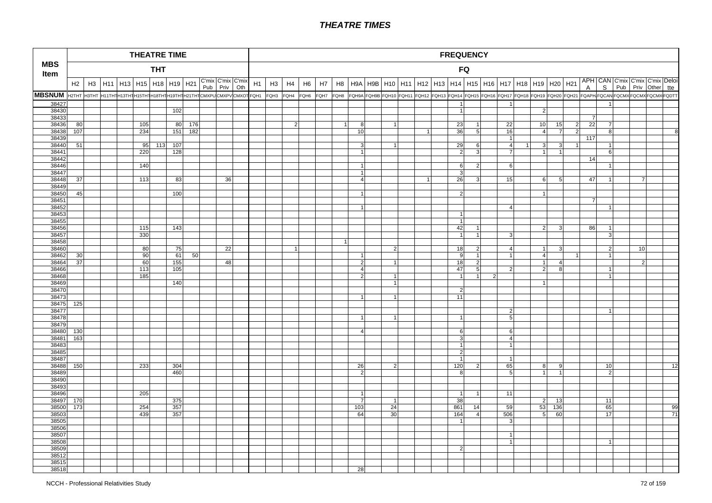|                                                                                                                                                                                                                                |                 |                            | <b>THEATRE TIME</b> |     |     |    |                                   |    |    |                |                |    |                |                 |                |              | <b>FREQUENCY</b>      |                |                                                                                        |                                   |                |                      |                 |                                                       |                 |                 |
|--------------------------------------------------------------------------------------------------------------------------------------------------------------------------------------------------------------------------------|-----------------|----------------------------|---------------------|-----|-----|----|-----------------------------------|----|----|----------------|----------------|----|----------------|-----------------|----------------|--------------|-----------------------|----------------|----------------------------------------------------------------------------------------|-----------------------------------|----------------|----------------------|-----------------|-------------------------------------------------------|-----------------|-----------------|
| <b>MBS</b><br>Item                                                                                                                                                                                                             |                 |                            | <b>THT</b>          |     |     |    |                                   |    |    |                |                |    |                |                 |                |              | <b>FQ</b>             |                |                                                                                        |                                   |                |                      |                 |                                                       |                 |                 |
|                                                                                                                                                                                                                                | H2              | H3 H11 H13 H15 H18 H19 H21 |                     |     |     |    | C'mix C'mix C'mix<br>Pub Priv Oth | H1 | H3 | H4             | H <sub>6</sub> | H7 |                |                 |                |              |                       |                | H8   H9A   H9B   H10   H11   H12   H13   H14   H15   H16   H17   H18   H19   H20   H21 |                                   |                | $\overline{A}$       | <sub>S</sub>    | APH CAN C'mix C'mix C'mix Deloi<br>Pub Priv Other tte |                 |                 |
| MBSNUM  H2THT  H3THT  H11THT H13THT H15THT H18THT H18THT CMXPU CMXPV CMXOT FQH1  FQH3  FQH4  FQH6  FQH7  FQH8  FQH8  FQH9B FQH19  FQH13  FQH14 FQH14 FQH15 FQH16 FQH17  FQH18 FQH12 FQH2 FQAH2 FQAH2 FQCMX FQCMX FQCMX FQCMX F |                 |                            |                     |     |     |    |                                   |    |    |                |                |    |                |                 |                |              |                       |                |                                                                                        |                                   |                |                      |                 |                                                       |                 |                 |
| 38427                                                                                                                                                                                                                          |                 |                            |                     |     |     |    |                                   |    |    |                |                |    |                |                 |                |              | $\vert$ 1             |                | $\overline{1}$                                                                         |                                   |                |                      | $\overline{1}$  |                                                       |                 |                 |
| 38430                                                                                                                                                                                                                          |                 |                            |                     | 102 |     |    |                                   |    |    |                |                |    |                |                 |                |              | 1                     |                |                                                                                        | 2 <sup>1</sup>                    |                |                      |                 |                                                       |                 |                 |
| 38433<br>38436                                                                                                                                                                                                                 | 80              |                            | 105                 | 80  | 176 |    |                                   |    |    | $\overline{2}$ |                |    | 11             | 8               | 11             |              | 23                    |                | 22                                                                                     | 10<br>15                          | $\mathbf{2}$   | $\overline{7}$<br>22 | $\overline{7}$  |                                                       |                 |                 |
| 38438                                                                                                                                                                                                                          | 107             |                            | 234                 | 151 | 182 |    |                                   |    |    |                |                |    |                | 10 <sup>1</sup> |                | 1            | 36                    | 5 <sup>1</sup> | 16                                                                                     | $\vert$<br>$\overline{7}$         | $\overline{2}$ |                      | 8               |                                                       |                 | 8               |
| 38439                                                                                                                                                                                                                          |                 |                            |                     |     |     |    |                                   |    |    |                |                |    |                |                 |                |              |                       |                | $\mathbf{1}$                                                                           |                                   |                | 117                  |                 |                                                       |                 |                 |
| 38440                                                                                                                                                                                                                          | 51              |                            | 95<br>113           | 107 |     |    |                                   |    |    |                |                |    |                | 3 <sup>1</sup>  | 11             |              | 29                    | $6 \mid$       | $\overline{4}$<br>1                                                                    | 3 <br>$\mathbf{3}$                | $\vert$ 1      |                      | $\overline{1}$  |                                                       |                 |                 |
| 38441                                                                                                                                                                                                                          |                 |                            | 220                 | 128 |     |    |                                   |    |    |                |                |    |                | $\mathbf{1}$    |                |              | 2                     | $\mathbf{3}$   | $\overline{7}$                                                                         | 1<br>1                            |                |                      | $6\overline{6}$ |                                                       |                 |                 |
| 38442<br>38446                                                                                                                                                                                                                 |                 |                            | 140                 |     |     |    |                                   |    |    |                |                |    |                | 1               |                |              | $6 \mid$              | $\overline{2}$ | 6                                                                                      |                                   |                | 14                   | $\mathbf{1}$    |                                                       |                 |                 |
| 38447                                                                                                                                                                                                                          |                 |                            |                     |     |     |    |                                   |    |    |                |                |    |                | 1               |                |              | $\mathbf{3}$          |                |                                                                                        |                                   |                |                      |                 |                                                       |                 |                 |
| 38448                                                                                                                                                                                                                          | 37              |                            | 113                 | 83  |     | 36 |                                   |    |    |                |                |    |                | $\vert$         |                | $\mathbf{1}$ | 26                    | 3 <sup>1</sup> | 15                                                                                     | $5\overline{5}$<br>6 <sup>1</sup> |                | 47                   | $\overline{1}$  |                                                       | 7               |                 |
| 38449                                                                                                                                                                                                                          |                 |                            |                     |     |     |    |                                   |    |    |                |                |    |                |                 |                |              |                       |                |                                                                                        |                                   |                |                      |                 |                                                       |                 |                 |
| 38450                                                                                                                                                                                                                          | 45              |                            |                     | 100 |     |    |                                   |    |    |                |                |    |                | 1               |                |              | $\overline{2}$        |                |                                                                                        | $\mathbf{1}$                      |                |                      |                 |                                                       |                 |                 |
| 38451<br>38452                                                                                                                                                                                                                 |                 |                            |                     |     |     |    |                                   |    |    |                |                |    |                | $\mathbf 1$     |                |              |                       |                | $\overline{4}$                                                                         |                                   |                | $\overline{7}$       | $\mathbf{1}$    |                                                       |                 |                 |
| 38453                                                                                                                                                                                                                          |                 |                            |                     |     |     |    |                                   |    |    |                |                |    |                |                 |                |              | 1                     |                |                                                                                        |                                   |                |                      |                 |                                                       |                 |                 |
| 38455                                                                                                                                                                                                                          |                 |                            |                     |     |     |    |                                   |    |    |                |                |    |                |                 |                |              | $\overline{1}$        |                |                                                                                        |                                   |                |                      |                 |                                                       |                 |                 |
| 38456                                                                                                                                                                                                                          |                 |                            | 115                 | 143 |     |    |                                   |    |    |                |                |    |                |                 |                |              | 42<br>11              |                |                                                                                        | $\overline{2}$<br>$\mathbf{3}$    |                | 86                   | $\mathbf{1}$    |                                                       |                 |                 |
| 38457                                                                                                                                                                                                                          |                 |                            | 330                 |     |     |    |                                   |    |    |                |                |    |                |                 |                |              | 1<br>$\vert$ 1        |                | $\mathbf{3}$                                                                           |                                   |                |                      | $\mathbf{3}$    |                                                       |                 |                 |
| 38458<br>38460                                                                                                                                                                                                                 |                 |                            | 80                  | 75  |     | 22 |                                   |    |    | $\overline{1}$ |                |    | $\overline{1}$ |                 | $\overline{2}$ |              | 18                    | $\overline{2}$ |                                                                                        | 3 <sup>l</sup><br>$\mathbf{1}$    |                |                      | $\overline{2}$  |                                                       | 10 <sup>1</sup> |                 |
| 38462                                                                                                                                                                                                                          | 30 <sup>°</sup> |                            | 90                  | 61  | 50  |    |                                   |    |    |                |                |    |                | 1               |                |              | 9<br>$\vert$ 1        |                | $\overline{4}$<br>$\overline{1}$                                                       | 4 <sup>1</sup>                    | $\mathbf{1}$   |                      | $\mathbf{1}$    |                                                       |                 |                 |
| 38464                                                                                                                                                                                                                          | 37              |                            | 60                  | 155 |     | 48 |                                   |    |    |                |                |    |                | 2 <sup>1</sup>  | 1              |              | 18                    | $\overline{2}$ |                                                                                        | 1 <sup>1</sup><br>$\vert$ 4       |                |                      |                 |                                                       | $\overline{2}$  |                 |
| 38466                                                                                                                                                                                                                          |                 |                            | 113                 | 105 |     |    |                                   |    |    |                |                |    |                | 4 <sup>1</sup>  |                |              | 47                    | 5 <sub>5</sub> | $\overline{2}$                                                                         | 2 <sup>1</sup><br>8 <sup>1</sup>  |                |                      | $\mathbf{1}$    |                                                       |                 |                 |
| 38468                                                                                                                                                                                                                          |                 |                            | 185                 |     |     |    |                                   |    |    |                |                |    |                | 2 <sup>1</sup>  | 1 <sup>1</sup> |              | $\vert$ 1             | 1<br>2         |                                                                                        |                                   |                |                      | $\mathbf{1}$    |                                                       |                 |                 |
| 38469                                                                                                                                                                                                                          |                 |                            |                     | 140 |     |    |                                   |    |    |                |                |    |                |                 | 1              |              |                       |                |                                                                                        | $\mathbf{1}$                      |                |                      |                 |                                                       |                 |                 |
| 38470<br>38473                                                                                                                                                                                                                 |                 |                            |                     |     |     |    |                                   |    |    |                |                |    |                | $\mathbf{1}$    | 1              |              | $\overline{2}$<br>11  |                |                                                                                        |                                   |                |                      |                 |                                                       |                 |                 |
| 38475                                                                                                                                                                                                                          | 125             |                            |                     |     |     |    |                                   |    |    |                |                |    |                |                 |                |              |                       |                |                                                                                        |                                   |                |                      |                 |                                                       |                 |                 |
| 38477                                                                                                                                                                                                                          |                 |                            |                     |     |     |    |                                   |    |    |                |                |    |                |                 |                |              |                       |                | $\overline{2}$                                                                         |                                   |                |                      | $\overline{1}$  |                                                       |                 |                 |
| 38478                                                                                                                                                                                                                          |                 |                            |                     |     |     |    |                                   |    |    |                |                |    |                | $\mathbf{1}$    | 1              |              | $\mathbf{1}$          |                | $5\phantom{.0}$                                                                        |                                   |                |                      |                 |                                                       |                 |                 |
| 38479                                                                                                                                                                                                                          |                 |                            |                     |     |     |    |                                   |    |    |                |                |    |                |                 |                |              |                       |                |                                                                                        |                                   |                |                      |                 |                                                       |                 |                 |
| 38480                                                                                                                                                                                                                          | 130<br>163      |                            |                     |     |     |    |                                   |    |    |                |                |    |                | $\vert$         |                |              | $6 \mid$<br>3         |                | 6                                                                                      |                                   |                |                      |                 |                                                       |                 |                 |
| 38481<br>38483                                                                                                                                                                                                                 |                 |                            |                     |     |     |    |                                   |    |    |                |                |    |                |                 |                |              | $\mathbf{1}$          |                | $\overline{4}$<br>$\overline{1}$                                                       |                                   |                |                      |                 |                                                       |                 |                 |
| 38485                                                                                                                                                                                                                          |                 |                            |                     |     |     |    |                                   |    |    |                |                |    |                |                 |                |              | 2                     |                |                                                                                        |                                   |                |                      |                 |                                                       |                 |                 |
| 38487                                                                                                                                                                                                                          |                 |                            |                     |     |     |    |                                   |    |    |                |                |    |                |                 |                |              | 1                     |                | $\mathbf{1}$                                                                           |                                   |                |                      |                 |                                                       |                 |                 |
| 38488                                                                                                                                                                                                                          | 150             |                            | 233                 | 304 |     |    |                                   |    |    |                |                |    |                | 26              | $\overline{2}$ |              | 120                   | $\overline{2}$ | 65                                                                                     | 8 <sup>1</sup><br>9               |                |                      | 10              |                                                       |                 | 12              |
| 38489<br>38490                                                                                                                                                                                                                 |                 |                            |                     | 460 |     |    |                                   |    |    |                |                |    |                | $\overline{2}$  |                |              | 8                     |                | $5\overline{5}$                                                                        | 1<br>1                            |                |                      | $\overline{2}$  |                                                       |                 |                 |
| 38493                                                                                                                                                                                                                          |                 |                            |                     |     |     |    |                                   |    |    |                |                |    |                |                 |                |              |                       |                |                                                                                        |                                   |                |                      |                 |                                                       |                 |                 |
| 38496                                                                                                                                                                                                                          |                 |                            | 205                 |     |     |    |                                   |    |    |                |                |    |                | 1               |                |              | $\vert$ 1<br>11       |                | 11                                                                                     |                                   |                |                      |                 |                                                       |                 |                 |
| 38497                                                                                                                                                                                                                          | 170             |                            |                     | 375 |     |    |                                   |    |    |                |                |    |                | $\overline{7}$  | $\mathbf{1}$   |              | 38                    |                |                                                                                        | 2 <sup>1</sup><br>13              |                |                      | 11              |                                                       |                 |                 |
| 38500                                                                                                                                                                                                                          | 173             |                            | 254                 | 357 |     |    |                                   |    |    |                |                |    |                | 103             | 24             |              | 861<br>14             |                | 59                                                                                     | 53<br>136                         |                |                      | 65              |                                                       |                 | $\frac{99}{71}$ |
| 38503                                                                                                                                                                                                                          |                 |                            | 439                 | 357 |     |    |                                   |    |    |                |                |    |                | 64              | 30             |              | 164<br>$\overline{4}$ |                | 506                                                                                    | 5 <sub>l</sub><br>60              |                |                      | 17              |                                                       |                 |                 |
| 38505<br>38506                                                                                                                                                                                                                 |                 |                            |                     |     |     |    |                                   |    |    |                |                |    |                |                 |                |              | $\vert$ 1             |                | $\mathbf{3}$                                                                           |                                   |                |                      |                 |                                                       |                 |                 |
| 38507                                                                                                                                                                                                                          |                 |                            |                     |     |     |    |                                   |    |    |                |                |    |                |                 |                |              |                       |                | $\mathbf{1}$                                                                           |                                   |                |                      |                 |                                                       |                 |                 |
| 38508                                                                                                                                                                                                                          |                 |                            |                     |     |     |    |                                   |    |    |                |                |    |                |                 |                |              |                       |                | $\overline{1}$                                                                         |                                   |                |                      | $\mathbf{1}$    |                                                       |                 |                 |
| 38509                                                                                                                                                                                                                          |                 |                            |                     |     |     |    |                                   |    |    |                |                |    |                |                 |                |              | $2 \vert$             |                |                                                                                        |                                   |                |                      |                 |                                                       |                 |                 |
| 38512                                                                                                                                                                                                                          |                 |                            |                     |     |     |    |                                   |    |    |                |                |    |                |                 |                |              |                       |                |                                                                                        |                                   |                |                      |                 |                                                       |                 |                 |
| 38515<br>38518                                                                                                                                                                                                                 |                 |                            |                     |     |     |    |                                   |    |    |                |                |    |                | 28              |                |              |                       |                |                                                                                        |                                   |                |                      |                 |                                                       |                 |                 |
|                                                                                                                                                                                                                                |                 |                            |                     |     |     |    |                                   |    |    |                |                |    |                |                 |                |              |                       |                |                                                                                        |                                   |                |                      |                 |                                                       |                 |                 |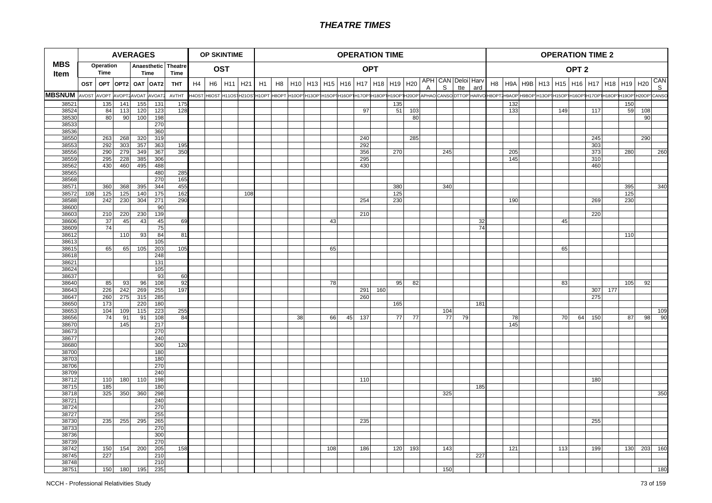|                           |            |                          |           | <b>AVERAGES</b>                 |            |                 |                | <b>OP SKINTIME</b> |            |            |                |                                                                                                                                                                                                           |     | <b>OPERATION TIME</b> |            |     |              |                                |     |     |     | <b>OPERATION TIME 2</b>                                  |                  |     |     |            |     |           |
|---------------------------|------------|--------------------------|-----------|---------------------------------|------------|-----------------|----------------|--------------------|------------|------------|----------------|-----------------------------------------------------------------------------------------------------------------------------------------------------------------------------------------------------------|-----|-----------------------|------------|-----|--------------|--------------------------------|-----|-----|-----|----------------------------------------------------------|------------------|-----|-----|------------|-----|-----------|
| <b>MBS</b><br><b>Item</b> |            | Operation<br><b>Time</b> |           | Anaesthetic<br><b>Time</b>      |            | Theatre<br>Time |                |                    | <b>OST</b> |            |                |                                                                                                                                                                                                           |     |                       | <b>OPT</b> |     |              |                                |     |     |     |                                                          | OPT <sub>2</sub> |     |     |            |     |           |
|                           | <b>OST</b> |                          |           | OPT OPT2 OAT OAT2               |            | <b>THT</b>      | H <sub>4</sub> |                    |            | H6 H11 H21 | H <sub>1</sub> | H8   H10   H13   H15   H16   H17   H18   H19   H20                                                                                                                                                        |     |                       |            |     | $\mathsf{A}$ | APH   CAN   Deloi   Harv<br>S. | tte | ard |     | H8   H9A   H9B   H13   H15   H16   H17   H18   H19   H20 |                  |     |     |            |     | CAN<br>S. |
| <b>MBSNUM</b>             |            |                          |           | AVOST AVOPT AVOPT AVOAT AVOAT 2 |            | AVTHT           |                |                    |            |            |                | +4OST H6OST H11OS1H21OS1H1OPT H8OPT H10OP1H13OP1H16OP1H16OP1H18OP1H18OP1H2OOP1APHAO CANSO DTTOP HARVO H8OPT1H9AOP H9BOP H13OP H16OP1H16OP1H18OP1H18OP1H18OP1H19OP1H2OPT H8OP1H19OP1H2OP1H18OP1H19OP1H2OP1 |     |                       |            |     |              |                                |     |     |     |                                                          |                  |     |     |            |     |           |
| 38521                     |            | 135                      | 141       | 155                             | 131        | 175             |                |                    |            |            |                |                                                                                                                                                                                                           |     |                       |            | 135 |              |                                |     |     | 132 |                                                          |                  |     |     | 150        |     |           |
| 38524                     |            | 84                       | 113       | 120                             | 123        | 128             |                |                    |            |            |                |                                                                                                                                                                                                           |     | 97                    |            | 51  | 103          |                                |     |     | 133 | 149                                                      |                  | 117 |     | 59         | 108 |           |
| 38530                     |            | 80                       | 90        | 100                             | 198        |                 |                |                    |            |            |                |                                                                                                                                                                                                           |     |                       |            |     | 80           |                                |     |     |     |                                                          |                  |     |     |            | 90  |           |
| 38533                     |            |                          |           |                                 | 270<br>360 |                 |                |                    |            |            |                |                                                                                                                                                                                                           |     |                       |            |     |              |                                |     |     |     |                                                          |                  |     |     |            |     |           |
| 38536<br>38550            |            | 263                      | 268       | 320                             | 319        |                 |                |                    |            |            |                |                                                                                                                                                                                                           |     | 240                   |            |     | 285          |                                |     |     |     |                                                          |                  | 245 |     |            | 290 |           |
| 38553                     |            | 292                      | 303       | 357                             | 363        | 195             |                |                    |            |            |                |                                                                                                                                                                                                           |     | 292                   |            |     |              |                                |     |     |     |                                                          |                  | 303 |     |            |     |           |
| 38556                     |            | 290                      | 279       | 349                             | 367        | 350             |                |                    |            |            |                |                                                                                                                                                                                                           |     | 356                   |            | 270 |              | 245                            |     |     | 205 |                                                          |                  | 373 |     | 280        |     | 260       |
| 38559                     |            | 295                      | 228       | 385                             | 306        |                 |                |                    |            |            |                |                                                                                                                                                                                                           |     | 295                   |            |     |              |                                |     |     | 145 |                                                          |                  | 310 |     |            |     |           |
| 38562                     |            | 430                      | 460       | 495                             | 488        |                 |                |                    |            |            |                |                                                                                                                                                                                                           |     | 430                   |            |     |              |                                |     |     |     |                                                          |                  | 460 |     |            |     |           |
| 38565                     |            |                          |           |                                 | 480        | 285             |                |                    |            |            |                |                                                                                                                                                                                                           |     |                       |            |     |              |                                |     |     |     |                                                          |                  |     |     |            |     |           |
| 38568                     |            |                          | 368       | 395                             | 270<br>344 | 165             |                |                    |            |            |                |                                                                                                                                                                                                           |     |                       |            | 380 |              | 340                            |     |     |     |                                                          |                  |     |     |            |     | 340       |
| 38571<br>38572            | 108        | 360<br>125               | 125       | 140                             | 175        | 455<br>162      |                |                    |            | 108        |                |                                                                                                                                                                                                           |     |                       |            | 125 |              |                                |     |     |     |                                                          |                  |     |     | 395<br>125 |     |           |
| 38588                     |            | 242                      | 230       | 304                             | 271        | 290             |                |                    |            |            |                |                                                                                                                                                                                                           |     | 254                   |            | 230 |              |                                |     |     | 190 |                                                          |                  | 269 |     | 230        |     |           |
| 38600                     |            |                          |           |                                 | 90         |                 |                |                    |            |            |                |                                                                                                                                                                                                           |     |                       |            |     |              |                                |     |     |     |                                                          |                  |     |     |            |     |           |
| 38603                     |            | 210                      | 220       | 230                             | 139        |                 |                |                    |            |            |                |                                                                                                                                                                                                           |     | 210                   |            |     |              |                                |     |     |     |                                                          |                  | 220 |     |            |     |           |
| 38606                     |            | 37                       | 45        | 43                              | 45         | 69              |                |                    |            |            |                |                                                                                                                                                                                                           | 43  |                       |            |     |              |                                |     | 32  |     |                                                          | 45               |     |     |            |     |           |
| 38609                     |            | 74                       |           |                                 | 75         |                 |                |                    |            |            |                |                                                                                                                                                                                                           |     |                       |            |     |              |                                |     | 74  |     |                                                          |                  |     |     |            |     |           |
| 38612                     |            |                          | 110       | 93                              | 84         | 81              |                |                    |            |            |                |                                                                                                                                                                                                           |     |                       |            |     |              |                                |     |     |     |                                                          |                  |     |     | 110        |     |           |
| 38613                     |            |                          |           |                                 | 105<br>203 | $\frac{105}{2}$ |                |                    |            |            |                |                                                                                                                                                                                                           |     |                       |            |     |              |                                |     |     |     |                                                          |                  |     |     |            |     |           |
| 38615<br>38618            |            | 65                       | 65        | $\frac{105}{2}$                 | 248        |                 |                |                    |            |            |                |                                                                                                                                                                                                           | 65  |                       |            |     |              |                                |     |     |     |                                                          | 65               |     |     |            |     |           |
| 38621                     |            |                          |           |                                 | 131        |                 |                |                    |            |            |                |                                                                                                                                                                                                           |     |                       |            |     |              |                                |     |     |     |                                                          |                  |     |     |            |     |           |
| 38624                     |            |                          |           |                                 | 105        |                 |                |                    |            |            |                |                                                                                                                                                                                                           |     |                       |            |     |              |                                |     |     |     |                                                          |                  |     |     |            |     |           |
| 38637                     |            |                          |           |                                 | 93         | 60              |                |                    |            |            |                |                                                                                                                                                                                                           |     |                       |            |     |              |                                |     |     |     |                                                          |                  |     |     |            |     |           |
| 38640                     |            | 85                       | 93        | 96                              | 108        | 92              |                |                    |            |            |                |                                                                                                                                                                                                           | 78  |                       |            | 95  | 82           |                                |     |     |     |                                                          | 83               |     |     | 105        | 92  |           |
| 38643                     |            | 226                      | 242       | 269                             | 255        | 197             |                |                    |            |            |                |                                                                                                                                                                                                           |     | 291                   | 160        |     |              |                                |     |     |     |                                                          |                  | 307 | 177 |            |     |           |
| 38647                     |            | 260                      | 275       | 315                             | 285        |                 |                |                    |            |            |                |                                                                                                                                                                                                           |     | 260                   |            |     |              |                                |     |     |     |                                                          |                  | 275 |     |            |     |           |
| 38650                     |            | 173                      |           | 220                             | 180        |                 |                |                    |            |            |                |                                                                                                                                                                                                           |     |                       |            | 165 |              |                                |     | 181 |     |                                                          |                  |     |     |            |     |           |
| 38653<br>38656            |            | 104<br>74                | 109<br>91 | 115<br>91                       | 223<br>108 | 255<br>84       |                |                    |            |            |                | 38                                                                                                                                                                                                        | 66  | 45<br>137             |            | 77  | 77           | 104<br>77                      | 79  |     | 78  |                                                          | 70<br>64         | 150 |     | 87         | 98  | 109<br>90 |
| 38670                     |            |                          | 145       |                                 | 217        |                 |                |                    |            |            |                |                                                                                                                                                                                                           |     |                       |            |     |              |                                |     |     | 145 |                                                          |                  |     |     |            |     |           |
| 38673                     |            |                          |           |                                 | 270        |                 |                |                    |            |            |                |                                                                                                                                                                                                           |     |                       |            |     |              |                                |     |     |     |                                                          |                  |     |     |            |     |           |
| 38677                     |            |                          |           |                                 | 240        |                 |                |                    |            |            |                |                                                                                                                                                                                                           |     |                       |            |     |              |                                |     |     |     |                                                          |                  |     |     |            |     |           |
| 38680                     |            |                          |           |                                 | 300        | 120             |                |                    |            |            |                |                                                                                                                                                                                                           |     |                       |            |     |              |                                |     |     |     |                                                          |                  |     |     |            |     |           |
| 38700                     |            |                          |           |                                 | 180        |                 |                |                    |            |            |                |                                                                                                                                                                                                           |     |                       |            |     |              |                                |     |     |     |                                                          |                  |     |     |            |     |           |
| 38703                     |            |                          |           |                                 | 180        |                 |                |                    |            |            |                |                                                                                                                                                                                                           |     |                       |            |     |              |                                |     |     |     |                                                          |                  |     |     |            |     |           |
| 38706                     |            |                          |           |                                 | 270        |                 |                |                    |            |            |                |                                                                                                                                                                                                           |     |                       |            |     |              |                                |     |     |     |                                                          |                  |     |     |            |     |           |
| 38709<br>38712            |            | 110                      | 180       | 110                             | 240<br>198 |                 |                |                    |            |            |                |                                                                                                                                                                                                           |     | 110                   |            |     |              |                                |     |     |     |                                                          |                  | 180 |     |            |     |           |
| 38715                     |            | 185                      |           |                                 | 180        |                 |                |                    |            |            |                |                                                                                                                                                                                                           |     |                       |            |     |              |                                |     | 185 |     |                                                          |                  |     |     |            |     |           |
| 38718                     |            | 325                      | 350       | 360                             | 298        |                 |                |                    |            |            |                |                                                                                                                                                                                                           |     |                       |            |     |              | 325                            |     |     |     |                                                          |                  |     |     |            |     | 350       |
| 38721                     |            |                          |           |                                 | 240        |                 |                |                    |            |            |                |                                                                                                                                                                                                           |     |                       |            |     |              |                                |     |     |     |                                                          |                  |     |     |            |     |           |
| 38724                     |            |                          |           |                                 | 270        |                 |                |                    |            |            |                |                                                                                                                                                                                                           |     |                       |            |     |              |                                |     |     |     |                                                          |                  |     |     |            |     |           |
| 38727                     |            |                          |           |                                 | 255        |                 |                |                    |            |            |                |                                                                                                                                                                                                           |     |                       |            |     |              |                                |     |     |     |                                                          |                  |     |     |            |     |           |
| 38730                     |            | 235                      | 255       | 295                             | 265        |                 |                |                    |            |            |                |                                                                                                                                                                                                           |     | 235                   |            |     |              |                                |     |     |     |                                                          |                  | 255 |     |            |     |           |
| 38733                     |            |                          |           |                                 | 270        |                 |                |                    |            |            |                |                                                                                                                                                                                                           |     |                       |            |     |              |                                |     |     |     |                                                          |                  |     |     |            |     |           |
| 38736<br>38739            |            |                          |           |                                 | 300<br>270 |                 |                |                    |            |            |                |                                                                                                                                                                                                           |     |                       |            |     |              |                                |     |     |     |                                                          |                  |     |     |            |     |           |
| 38742                     |            | 150                      | 154       | 200                             | 205        | 158             |                |                    |            |            |                |                                                                                                                                                                                                           | 108 | 186                   |            | 120 | 193          | 143                            |     |     | 121 | 113                                                      |                  | 199 |     | 130        | 203 | 160       |
| 38745                     |            | 227                      |           |                                 | 210        |                 |                |                    |            |            |                |                                                                                                                                                                                                           |     |                       |            |     |              |                                |     | 227 |     |                                                          |                  |     |     |            |     |           |
| 38748                     |            |                          |           |                                 | 210        |                 |                |                    |            |            |                |                                                                                                                                                                                                           |     |                       |            |     |              |                                |     |     |     |                                                          |                  |     |     |            |     |           |
| 38751                     |            | 150                      |           | 180 195                         | 235        |                 |                |                    |            |            |                |                                                                                                                                                                                                           |     |                       |            |     |              | 150                            |     |     |     |                                                          |                  |     |     |            |     | 180       |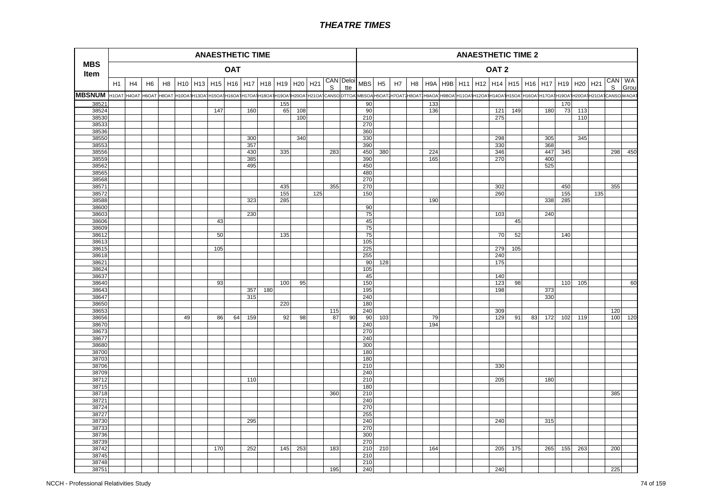|                           |    |    |                |                |    |     | <b>ANAESTHETIC TIME</b>                                                                                                                                                                                                        |     |     |         |     |                         |                 |                |    |                | <b>ANAESTHETIC TIME 2</b> |  |                  |                 |    |            |     |                                                                 |     |     |                |
|---------------------------|----|----|----------------|----------------|----|-----|--------------------------------------------------------------------------------------------------------------------------------------------------------------------------------------------------------------------------------|-----|-----|---------|-----|-------------------------|-----------------|----------------|----|----------------|---------------------------|--|------------------|-----------------|----|------------|-----|-----------------------------------------------------------------|-----|-----|----------------|
| <b>MBS</b><br><b>Item</b> |    |    |                |                |    |     | <b>OAT</b>                                                                                                                                                                                                                     |     |     |         |     |                         |                 |                |    |                |                           |  | OAT <sub>2</sub> |                 |    |            |     |                                                                 |     |     |                |
|                           | H1 | H4 | H <sub>6</sub> | H <sub>8</sub> |    |     | H10   H13   H15   H16   H17   H18   H19   H20   H21                                                                                                                                                                            |     |     |         | S   | <b>CAN</b> Deloi<br>tte | <b>MBS</b>      | H <sub>5</sub> | H7 | H <sub>8</sub> |                           |  |                  |                 |    |            |     | H9A   H9B   H11   H12   H14   H15   H16   H17   H19   H20   H21 |     | S   | CAN WA<br>Grou |
| <b>MBSNUM</b>             |    |    |                |                |    |     | hoorleaboorleaboorleaboorleaboorleaboorleaboorleaboorleaboorleaboorleaboorleaboorleaboordeaboordeaboorleaboordeaboordeaboordeaboordeaboorleaboorleaboordeaboordeaboordeaboordeaboordeaboordeaboordeaboordeaboordeaboordeaboord |     |     |         |     |                         |                 |                |    |                |                           |  |                  |                 |    |            |     |                                                                 |     |     |                |
| 38521                     |    |    |                |                |    |     |                                                                                                                                                                                                                                |     | 155 |         |     |                         | 90              |                |    |                | 133                       |  |                  |                 |    |            | 170 |                                                                 |     |     |                |
| 38524                     |    |    |                |                |    | 147 | 160                                                                                                                                                                                                                            |     | 65  | 108     |     |                         | 90              |                |    |                | 136                       |  | 121              | 149             |    | 180        | 73  | 113                                                             |     |     |                |
| 38530                     |    |    |                |                |    |     |                                                                                                                                                                                                                                |     |     | 100     |     |                         | 210             |                |    |                |                           |  | 275              |                 |    |            |     | 110                                                             |     |     |                |
| 38533                     |    |    |                |                |    |     |                                                                                                                                                                                                                                |     |     |         |     |                         | 270             |                |    |                |                           |  |                  |                 |    |            |     |                                                                 |     |     |                |
| 38536                     |    |    |                |                |    |     |                                                                                                                                                                                                                                |     |     |         |     |                         | 360             |                |    |                |                           |  |                  |                 |    |            |     |                                                                 |     |     |                |
| 38550                     |    |    |                |                |    |     | 300                                                                                                                                                                                                                            |     |     | 340     |     |                         | 330             |                |    |                |                           |  | 298              |                 |    | 305        |     | 345                                                             |     |     |                |
| 38553                     |    |    |                |                |    |     | 357                                                                                                                                                                                                                            |     |     |         |     |                         | 390             |                |    |                |                           |  | 330              |                 |    | 368        |     |                                                                 |     |     |                |
| 38556                     |    |    |                |                |    |     | 430                                                                                                                                                                                                                            |     | 335 |         | 283 |                         | 450             | 380            |    |                | 224                       |  | 346              |                 |    | 447        | 345 |                                                                 |     | 298 | 450            |
| 38559                     |    |    |                |                |    |     | 385<br>495                                                                                                                                                                                                                     |     |     |         |     |                         | 390<br>450      |                |    |                | 165                       |  | 270              |                 |    | 400<br>525 |     |                                                                 |     |     |                |
| 38562<br>38565            |    |    |                |                |    |     |                                                                                                                                                                                                                                |     |     |         |     |                         | 480             |                |    |                |                           |  |                  |                 |    |            |     |                                                                 |     |     |                |
| 38568                     |    |    |                |                |    |     |                                                                                                                                                                                                                                |     |     |         |     |                         | 270             |                |    |                |                           |  |                  |                 |    |            |     |                                                                 |     |     |                |
| 38571                     |    |    |                |                |    |     |                                                                                                                                                                                                                                |     | 435 |         | 355 |                         | 270             |                |    |                |                           |  | 302              |                 |    |            | 450 |                                                                 |     | 355 |                |
| 38572                     |    |    |                |                |    |     |                                                                                                                                                                                                                                |     | 155 |         | 125 |                         | 150             |                |    |                |                           |  | 260              |                 |    |            | 155 |                                                                 | 135 |     |                |
| 38588                     |    |    |                |                |    |     | 323                                                                                                                                                                                                                            |     | 285 |         |     |                         |                 |                |    |                | 190                       |  |                  |                 |    | 338        | 285 |                                                                 |     |     |                |
| 38600                     |    |    |                |                |    |     |                                                                                                                                                                                                                                |     |     |         |     |                         | 90              |                |    |                |                           |  |                  |                 |    |            |     |                                                                 |     |     |                |
| 38603                     |    |    |                |                |    |     | 230                                                                                                                                                                                                                            |     |     |         |     |                         | 75              |                |    |                |                           |  | 103              |                 |    | 240        |     |                                                                 |     |     |                |
| 38606                     |    |    |                |                |    | 43  |                                                                                                                                                                                                                                |     |     |         |     |                         | 45              |                |    |                |                           |  |                  | 45              |    |            |     |                                                                 |     |     |                |
| 38609                     |    |    |                |                |    |     |                                                                                                                                                                                                                                |     |     |         |     |                         | 75              |                |    |                |                           |  |                  |                 |    |            |     |                                                                 |     |     |                |
| 38612                     |    |    |                |                |    | 50  |                                                                                                                                                                                                                                |     | 135 |         |     |                         | 75              |                |    |                |                           |  | 70               | 52              |    |            | 140 |                                                                 |     |     |                |
| 38613                     |    |    |                |                |    |     |                                                                                                                                                                                                                                |     |     |         |     |                         | $\frac{105}{2}$ |                |    |                |                           |  |                  |                 |    |            |     |                                                                 |     |     |                |
| 38615                     |    |    |                |                |    | 105 |                                                                                                                                                                                                                                |     |     |         |     |                         | 225             |                |    |                |                           |  | 279              | $\frac{105}{2}$ |    |            |     |                                                                 |     |     |                |
| 38618                     |    |    |                |                |    |     |                                                                                                                                                                                                                                |     |     |         |     |                         | 255             |                |    |                |                           |  | 240              |                 |    |            |     |                                                                 |     |     |                |
| 38621                     |    |    |                |                |    |     |                                                                                                                                                                                                                                |     |     |         |     |                         | 90              | 128            |    |                |                           |  | 175              |                 |    |            |     |                                                                 |     |     |                |
| 38624                     |    |    |                |                |    |     |                                                                                                                                                                                                                                |     |     |         |     |                         | 105             |                |    |                |                           |  |                  |                 |    |            |     |                                                                 |     |     |                |
| 38637                     |    |    |                |                |    |     |                                                                                                                                                                                                                                |     | 100 | 95      |     |                         | 45<br>150       |                |    |                |                           |  | 140              | 98              |    |            |     | 110 105                                                         |     |     |                |
| 38640<br>38643            |    |    |                |                |    | 93  | 357                                                                                                                                                                                                                            | 180 |     |         |     |                         | 195             |                |    |                |                           |  | 123<br>198       |                 |    | 373        |     |                                                                 |     |     | 60             |
| 38647                     |    |    |                |                |    |     | 315                                                                                                                                                                                                                            |     |     |         |     |                         | 240             |                |    |                |                           |  |                  |                 |    | 330        |     |                                                                 |     |     |                |
| 38650                     |    |    |                |                |    |     |                                                                                                                                                                                                                                |     | 220 |         |     |                         | 180             |                |    |                |                           |  |                  |                 |    |            |     |                                                                 |     |     |                |
| 38653                     |    |    |                |                |    |     |                                                                                                                                                                                                                                |     |     |         | 115 |                         | 240             |                |    |                |                           |  | 309              |                 |    |            |     |                                                                 |     | 120 |                |
| 38656                     |    |    |                |                | 49 | 86  | 64<br>159                                                                                                                                                                                                                      |     | 92  | 98      | 87  | 90                      | 90              | 103            |    |                | 79                        |  | 129              | 91              | 83 | 172        | 102 | 119                                                             |     | 100 | 120            |
| 38670                     |    |    |                |                |    |     |                                                                                                                                                                                                                                |     |     |         |     |                         | 240             |                |    |                | 194                       |  |                  |                 |    |            |     |                                                                 |     |     |                |
| 38673                     |    |    |                |                |    |     |                                                                                                                                                                                                                                |     |     |         |     |                         | 270             |                |    |                |                           |  |                  |                 |    |            |     |                                                                 |     |     |                |
| 38677                     |    |    |                |                |    |     |                                                                                                                                                                                                                                |     |     |         |     |                         | 240             |                |    |                |                           |  |                  |                 |    |            |     |                                                                 |     |     |                |
| 38680                     |    |    |                |                |    |     |                                                                                                                                                                                                                                |     |     |         |     |                         | 300             |                |    |                |                           |  |                  |                 |    |            |     |                                                                 |     |     |                |
| 38700                     |    |    |                |                |    |     |                                                                                                                                                                                                                                |     |     |         |     |                         | 180             |                |    |                |                           |  |                  |                 |    |            |     |                                                                 |     |     |                |
| 38703                     |    |    |                |                |    |     |                                                                                                                                                                                                                                |     |     |         |     |                         | 180             |                |    |                |                           |  |                  |                 |    |            |     |                                                                 |     |     |                |
| 38706                     |    |    |                |                |    |     |                                                                                                                                                                                                                                |     |     |         |     |                         | 210             |                |    |                |                           |  | 330              |                 |    |            |     |                                                                 |     |     |                |
| 38709                     |    |    |                |                |    |     |                                                                                                                                                                                                                                |     |     |         |     |                         | 240             |                |    |                |                           |  |                  |                 |    |            |     |                                                                 |     |     |                |
| 38712                     |    |    |                |                |    |     | 110                                                                                                                                                                                                                            |     |     |         |     |                         | 210             |                |    |                |                           |  | 205              |                 |    | 180        |     |                                                                 |     |     |                |
| 38715                     |    |    |                |                |    |     |                                                                                                                                                                                                                                |     |     |         | 360 |                         | 180<br>210      |                |    |                |                           |  |                  |                 |    |            |     |                                                                 |     | 385 |                |
| 38718<br>38721            |    |    |                |                |    |     |                                                                                                                                                                                                                                |     |     |         |     |                         | 240             |                |    |                |                           |  |                  |                 |    |            |     |                                                                 |     |     |                |
| 38724                     |    |    |                |                |    |     |                                                                                                                                                                                                                                |     |     |         |     |                         | 270             |                |    |                |                           |  |                  |                 |    |            |     |                                                                 |     |     |                |
| 38727                     |    |    |                |                |    |     |                                                                                                                                                                                                                                |     |     |         |     |                         | 255             |                |    |                |                           |  |                  |                 |    |            |     |                                                                 |     |     |                |
| 38730                     |    |    |                |                |    |     | 295                                                                                                                                                                                                                            |     |     |         |     |                         | 240             |                |    |                |                           |  | 240              |                 |    | 315        |     |                                                                 |     |     |                |
| 38733                     |    |    |                |                |    |     |                                                                                                                                                                                                                                |     |     |         |     |                         | 270             |                |    |                |                           |  |                  |                 |    |            |     |                                                                 |     |     |                |
| 38736                     |    |    |                |                |    |     |                                                                                                                                                                                                                                |     |     |         |     |                         | 300             |                |    |                |                           |  |                  |                 |    |            |     |                                                                 |     |     |                |
| 38739                     |    |    |                |                |    |     |                                                                                                                                                                                                                                |     |     |         |     |                         | 270             |                |    |                |                           |  |                  |                 |    |            |     |                                                                 |     |     |                |
| 38742                     |    |    |                |                |    | 170 | 252                                                                                                                                                                                                                            |     |     | 145 253 | 183 |                         | 210             | 210            |    |                | 164                       |  | 205              | 175             |    | 265        | 155 | 263                                                             |     | 200 |                |
| 38745                     |    |    |                |                |    |     |                                                                                                                                                                                                                                |     |     |         |     |                         | 210             |                |    |                |                           |  |                  |                 |    |            |     |                                                                 |     |     |                |
| 38748                     |    |    |                |                |    |     |                                                                                                                                                                                                                                |     |     |         |     |                         | 210             |                |    |                |                           |  |                  |                 |    |            |     |                                                                 |     |     |                |
| 38751                     |    |    |                |                |    |     |                                                                                                                                                                                                                                |     |     |         | 195 |                         | 240             |                |    |                |                           |  | 240              |                 |    |            |     |                                                                 |     | 225 |                |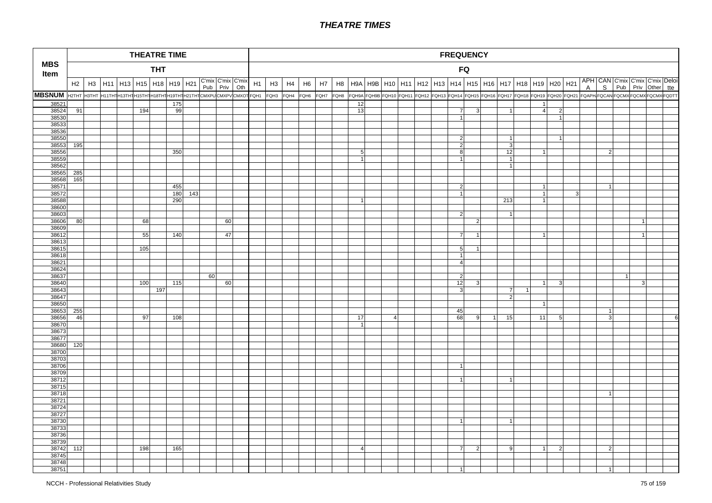|                                                                                                                                                                                                                                |           |                                              | <b>THEATRE TIME</b> |            |    |    |  |           |    |           |    |                |                |  | <b>FREQUENCY</b>     |                |   |                                                                                        |                                       |                |                |                              |                                                         |                |   |
|--------------------------------------------------------------------------------------------------------------------------------------------------------------------------------------------------------------------------------|-----------|----------------------------------------------|---------------------|------------|----|----|--|-----------|----|-----------|----|----------------|----------------|--|----------------------|----------------|---|----------------------------------------------------------------------------------------|---------------------------------------|----------------|----------------|------------------------------|---------------------------------------------------------|----------------|---|
| <b>MBS</b><br>Item                                                                                                                                                                                                             |           |                                              | <b>THT</b>          |            |    |    |  |           |    |           |    |                |                |  | <b>FQ</b>            |                |   |                                                                                        |                                       |                |                |                              |                                                         |                |   |
|                                                                                                                                                                                                                                | H2        | H3 H11 H13 H15 H18 H19 H21 C'mix C'mix C'mix |                     |            |    |    |  | $H1$ $H3$ | H4 | <b>H6</b> | H7 |                |                |  |                      |                |   | H8   H9A   H9B   H10   H11   H12   H13   H14   H15   H16   H17   H18   H19   H20   H21 |                                       |                | $\overline{A}$ |                              | APH CAN C'mix C'mix C'mix Deloi<br>S Pub Priv Other tte |                |   |
| MBSNUM  H2THT  H3THT  H1TTH H13TH1 H15TH1 H18TH1 H18TH1 H21TH1CMXPU CMXPV CMXOT FQH1  FQH3  FQH4  FQH6  FQH7  FQH8  FQH40 FQH11 FQH11 FQH12 FQH18 FQH14 FQH15 FQH16 FQH17 FQH18 FQH19 FQH21 FQAH2 FQAH2 FQCMX FQCMX FQCMX FQCM |           |                                              |                     |            |    |    |  |           |    |           |    |                |                |  |                      |                |   |                                                                                        |                                       |                |                |                              |                                                         |                |   |
| 38521                                                                                                                                                                                                                          |           |                                              |                     | 175        |    |    |  |           |    |           |    | 12             |                |  |                      |                |   |                                                                                        | $\overline{1}$                        |                |                |                              |                                                         |                |   |
| 38524<br>38530                                                                                                                                                                                                                 | 91        |                                              | 194                 | 99         |    |    |  |           |    |           |    | 13             |                |  | 7<br>1 <sup>1</sup>  | 3              |   | $\mathbf{1}$                                                                           | $\overline{4}$<br>$\overline{2}$<br>1 |                |                |                              |                                                         |                |   |
| 38533                                                                                                                                                                                                                          |           |                                              |                     |            |    |    |  |           |    |           |    |                |                |  |                      |                |   |                                                                                        |                                       |                |                |                              |                                                         |                |   |
| 38536                                                                                                                                                                                                                          |           |                                              |                     |            |    |    |  |           |    |           |    |                |                |  |                      |                |   |                                                                                        |                                       |                |                |                              |                                                         |                |   |
| 38550                                                                                                                                                                                                                          |           |                                              |                     |            |    |    |  |           |    |           |    |                |                |  | $\overline{2}$       |                |   | $\overline{1}$                                                                         | 1                                     |                |                |                              |                                                         |                |   |
| 38553<br>38556                                                                                                                                                                                                                 | 195       |                                              |                     | 350        |    |    |  |           |    |           |    | 5 <sub>5</sub> |                |  | 2 <br>$\overline{8}$ |                |   | $\mathbf{3}$<br>12                                                                     | $\overline{1}$                        |                |                | $\overline{2}$               |                                                         |                |   |
| 38559                                                                                                                                                                                                                          |           |                                              |                     |            |    |    |  |           |    |           |    | $\mathbf{1}$   |                |  | $\mathbf{1}$         |                |   | $\mathbf{1}$                                                                           |                                       |                |                |                              |                                                         |                |   |
| 38562                                                                                                                                                                                                                          |           |                                              |                     |            |    |    |  |           |    |           |    |                |                |  |                      |                |   | $\overline{1}$                                                                         |                                       |                |                |                              |                                                         |                |   |
| 38565                                                                                                                                                                                                                          | 285       |                                              |                     |            |    |    |  |           |    |           |    |                |                |  |                      |                |   |                                                                                        |                                       |                |                |                              |                                                         |                |   |
| 38568<br>38571                                                                                                                                                                                                                 | 165       |                                              |                     | 455        |    |    |  |           |    |           |    |                |                |  | $\overline{2}$       |                |   |                                                                                        | $\overline{1}$                        |                |                | $\mathbf{1}$                 |                                                         |                |   |
| 38572                                                                                                                                                                                                                          |           |                                              |                     | 180<br>143 |    |    |  |           |    |           |    |                |                |  | $\overline{1}$       |                |   |                                                                                        | $\mathbf{1}$                          | 3 <sup>1</sup> |                |                              |                                                         |                |   |
| 38588                                                                                                                                                                                                                          |           |                                              |                     | 290        |    |    |  |           |    |           |    | 1              |                |  |                      |                |   | 213                                                                                    | 1                                     |                |                |                              |                                                         |                |   |
| 38600                                                                                                                                                                                                                          |           |                                              |                     |            |    |    |  |           |    |           |    |                |                |  | $\overline{2}$       |                |   | $\overline{1}$                                                                         |                                       |                |                |                              |                                                         |                |   |
| 38603<br>38606                                                                                                                                                                                                                 | 80        |                                              | 68                  |            |    | 60 |  |           |    |           |    |                |                |  |                      | $\overline{2}$ |   |                                                                                        |                                       |                |                |                              |                                                         | $\mathbf{1}$   |   |
| 38609                                                                                                                                                                                                                          |           |                                              |                     |            |    |    |  |           |    |           |    |                |                |  |                      |                |   |                                                                                        |                                       |                |                |                              |                                                         |                |   |
| 38612                                                                                                                                                                                                                          |           |                                              | 55                  | 140        |    | 47 |  |           |    |           |    |                |                |  | $\overline{7}$       | $\mathbf{1}$   |   |                                                                                        | $\mathbf{1}$                          |                |                |                              |                                                         | $\overline{1}$ |   |
| 38613<br>38615                                                                                                                                                                                                                 |           |                                              | 105                 |            |    |    |  |           |    |           |    |                |                |  | 5 <sub>1</sub>       | $\overline{1}$ |   |                                                                                        |                                       |                |                |                              |                                                         |                |   |
| 38618                                                                                                                                                                                                                          |           |                                              |                     |            |    |    |  |           |    |           |    |                |                |  | $\mathbf{1}$         |                |   |                                                                                        |                                       |                |                |                              |                                                         |                |   |
| 38621                                                                                                                                                                                                                          |           |                                              |                     |            |    |    |  |           |    |           |    |                |                |  | 4                    |                |   |                                                                                        |                                       |                |                |                              |                                                         |                |   |
| 38624                                                                                                                                                                                                                          |           |                                              |                     |            |    |    |  |           |    |           |    |                |                |  |                      |                |   |                                                                                        |                                       |                |                |                              |                                                         |                |   |
| 38637<br>38640                                                                                                                                                                                                                 |           |                                              | 100                 | 115        | 60 | 60 |  |           |    |           |    |                |                |  | $\overline{2}$<br>12 | $\overline{3}$ |   |                                                                                        | 3<br>1 <sup>1</sup>                   |                |                |                              | 1                                                       | $\mathbf{3}$   |   |
| 38643                                                                                                                                                                                                                          |           |                                              | 197                 |            |    |    |  |           |    |           |    |                |                |  | $\overline{3}$       |                |   | $\overline{7}$<br>11                                                                   |                                       |                |                |                              |                                                         |                |   |
| 38647                                                                                                                                                                                                                          |           |                                              |                     |            |    |    |  |           |    |           |    |                |                |  |                      |                |   | $\overline{2}$                                                                         |                                       |                |                |                              |                                                         |                |   |
| 38650                                                                                                                                                                                                                          |           |                                              |                     |            |    |    |  |           |    |           |    |                |                |  |                      |                |   |                                                                                        | $\mathbf{1}$                          |                |                |                              |                                                         |                |   |
| 38653<br>38656                                                                                                                                                                                                                 | 255<br>46 |                                              | 97                  | 108        |    |    |  |           |    |           |    | 17             | $\overline{4}$ |  | 45<br>68             | 9              | 1 | 15                                                                                     | 11<br>5 <sup>1</sup>                  |                |                | $\mathbf{1}$<br>$\mathbf{3}$ |                                                         |                | 6 |
| 38670                                                                                                                                                                                                                          |           |                                              |                     |            |    |    |  |           |    |           |    | $\vert$        |                |  |                      |                |   |                                                                                        |                                       |                |                |                              |                                                         |                |   |
| 38673                                                                                                                                                                                                                          |           |                                              |                     |            |    |    |  |           |    |           |    |                |                |  |                      |                |   |                                                                                        |                                       |                |                |                              |                                                         |                |   |
| 38677                                                                                                                                                                                                                          |           |                                              |                     |            |    |    |  |           |    |           |    |                |                |  |                      |                |   |                                                                                        |                                       |                |                |                              |                                                         |                |   |
| 38680<br>38700                                                                                                                                                                                                                 | 120       |                                              |                     |            |    |    |  |           |    |           |    |                |                |  |                      |                |   |                                                                                        |                                       |                |                |                              |                                                         |                |   |
| 38703                                                                                                                                                                                                                          |           |                                              |                     |            |    |    |  |           |    |           |    |                |                |  |                      |                |   |                                                                                        |                                       |                |                |                              |                                                         |                |   |
| 38706                                                                                                                                                                                                                          |           |                                              |                     |            |    |    |  |           |    |           |    |                |                |  | $\overline{1}$       |                |   |                                                                                        |                                       |                |                |                              |                                                         |                |   |
| 38709                                                                                                                                                                                                                          |           |                                              |                     |            |    |    |  |           |    |           |    |                |                |  |                      |                |   |                                                                                        |                                       |                |                |                              |                                                         |                |   |
| 38712<br>38715                                                                                                                                                                                                                 |           |                                              |                     |            |    |    |  |           |    |           |    |                |                |  | $\mathbf{1}$         |                |   | $\mathbf{1}$                                                                           |                                       |                |                |                              |                                                         |                |   |
| 38718                                                                                                                                                                                                                          |           |                                              |                     |            |    |    |  |           |    |           |    |                |                |  |                      |                |   |                                                                                        |                                       |                |                | $\mathbf{1}$                 |                                                         |                |   |
| 38721                                                                                                                                                                                                                          |           |                                              |                     |            |    |    |  |           |    |           |    |                |                |  |                      |                |   |                                                                                        |                                       |                |                |                              |                                                         |                |   |
| 38724                                                                                                                                                                                                                          |           |                                              |                     |            |    |    |  |           |    |           |    |                |                |  |                      |                |   |                                                                                        |                                       |                |                |                              |                                                         |                |   |
| 38727<br>38730                                                                                                                                                                                                                 |           |                                              |                     |            |    |    |  |           |    |           |    |                |                |  | 1                    |                |   | $\overline{1}$                                                                         |                                       |                |                |                              |                                                         |                |   |
| 38733                                                                                                                                                                                                                          |           |                                              |                     |            |    |    |  |           |    |           |    |                |                |  |                      |                |   |                                                                                        |                                       |                |                |                              |                                                         |                |   |
| 38736                                                                                                                                                                                                                          |           |                                              |                     |            |    |    |  |           |    |           |    |                |                |  |                      |                |   |                                                                                        |                                       |                |                |                              |                                                         |                |   |
| 38739                                                                                                                                                                                                                          |           |                                              |                     |            |    |    |  |           |    |           |    |                |                |  |                      |                |   |                                                                                        |                                       |                |                |                              |                                                         |                |   |
| 38742<br>38745                                                                                                                                                                                                                 | 112       |                                              | 198                 | 165        |    |    |  |           |    |           |    | 4 <sup>1</sup> |                |  | 7                    | $\overline{2}$ |   | 9                                                                                      | $\overline{1}$<br>$\overline{2}$      |                |                | $\overline{2}$               |                                                         |                |   |
| 38748                                                                                                                                                                                                                          |           |                                              |                     |            |    |    |  |           |    |           |    |                |                |  |                      |                |   |                                                                                        |                                       |                |                |                              |                                                         |                |   |
| 38751                                                                                                                                                                                                                          |           |                                              |                     |            |    |    |  |           |    |           |    |                |                |  | 1                    |                |   |                                                                                        |                                       |                |                | $\mathbf{1}$                 |                                                         |                |   |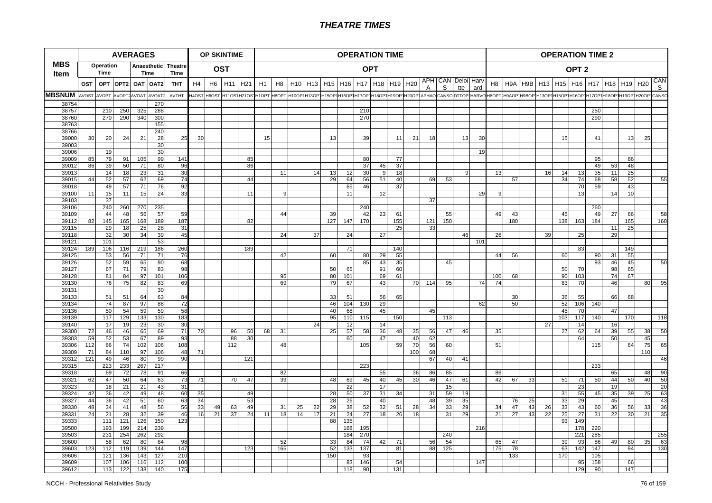|                           |            |                          |            | <b>AVERAGES</b> |                                |                        |    |    | <b>OP SKINTIME</b> |                 |    |     |                                                                                                                 |    |                 | <b>OPERATION TIME</b> |            |          |                 |          |                                |     |     |     |     |    | <b>OPERATION TIME 2</b>                                           |     |                  |          |          |          |          |           |
|---------------------------|------------|--------------------------|------------|-----------------|--------------------------------|------------------------|----|----|--------------------|-----------------|----|-----|-----------------------------------------------------------------------------------------------------------------|----|-----------------|-----------------------|------------|----------|-----------------|----------|--------------------------------|-----|-----|-----|-----|----|-------------------------------------------------------------------|-----|------------------|----------|----------|----------|----------|-----------|
| <b>MBS</b><br><b>Item</b> |            | Operation<br><b>Time</b> |            |                 | Anaesthetic<br><b>Time</b>     | <b>Theatre</b><br>Time |    |    | <b>OST</b>         |                 |    |     |                                                                                                                 |    |                 |                       | <b>OPT</b> |          |                 |          |                                |     |     |     |     |    |                                                                   |     | OPT <sub>2</sub> |          |          |          |          |           |
|                           | <b>OST</b> |                          |            |                 | OPT OPT2 OAT OAT2              | <b>THT</b>             | H4 | H6 | H <sub>11</sub>    | H <sub>21</sub> | H1 | H8  | H10   H13   H15   H16   H17   H18   H19   H20                                                                   |    |                 |                       |            |          |                 | A        | APH   CAN   Deloi   Harv<br>S. | tte | ard |     |     |    | H8   H9A   H9B   H13   H15   H16   H17   H18   H19   H20          |     |                  |          |          |          |          | CAN<br>S. |
| <b>MBSNUM</b>             |            |                          |            |                 | AVOST AVOPT AVOPTZAVOAT AVOAT2 | AVTHT                  |    |    |                    |                 |    |     | 140ST  H6OST  H11OSTH21OSTH1OPT  H8OPT  H10OPTH13OPTH15OPTH16OPTH17OPTH18OPTH19OPTH20OPTAPHAO CANSO DTTOPTHARVO |    |                 |                       |            |          |                 |          |                                |     |     |     |     |    | H8OPT/H9AOP H9BOP H13OP H15OP H16OP H17OP H18OP H19OP H20OP CANSC |     |                  |          |          |          |          |           |
| 38754                     |            |                          |            |                 | 270                            |                        |    |    |                    |                 |    |     |                                                                                                                 |    |                 |                       |            |          |                 |          |                                |     |     |     |     |    |                                                                   |     |                  |          |          |          |          |           |
| 38757                     |            | 210                      | 250        | 325             | 288                            |                        |    |    |                    |                 |    |     |                                                                                                                 |    |                 | 210                   |            |          |                 |          |                                |     |     |     |     |    |                                                                   |     |                  | 250      |          |          |          |           |
| 38760<br>38763            |            | 270                      | 290        | 340             | 300<br>155                     |                        |    |    |                    |                 |    |     |                                                                                                                 |    |                 | 270                   |            |          |                 |          |                                |     |     |     |     |    |                                                                   |     |                  | 290      |          |          |          |           |
| 38766                     |            |                          |            |                 | 240                            |                        |    |    |                    |                 |    |     |                                                                                                                 |    |                 |                       |            |          |                 |          |                                |     |     |     |     |    |                                                                   |     |                  |          |          |          |          |           |
| 39000                     | 30         | 20                       | 24         | 21              | 28                             | 25                     | 30 |    |                    |                 | 15 |     |                                                                                                                 |    | 13              | 39                    |            | 11       | 21              | 18       |                                | 13  | 30  |     |     |    |                                                                   | 15  |                  | 41       |          | 13       | 25       |           |
| 39003                     |            |                          |            |                 | 30                             |                        |    |    |                    |                 |    |     |                                                                                                                 |    |                 |                       |            |          |                 |          |                                |     |     |     |     |    |                                                                   |     |                  |          |          |          |          |           |
| 39006                     |            | 19                       |            |                 | 30                             |                        |    |    |                    |                 |    |     |                                                                                                                 |    |                 |                       |            |          |                 |          |                                |     | 19  |     |     |    |                                                                   |     |                  |          |          |          |          |           |
| 39009<br>39012            | 85<br>86   | 79<br>39                 | 91<br>50   | 105<br>71       | 99<br>80                       | 141<br>96              |    |    |                    | 85<br>86        |    |     |                                                                                                                 |    |                 | 80<br>37              | 45         | 77<br>37 |                 |          |                                |     |     |     |     |    |                                                                   |     |                  | 95<br>49 | 53       | 86<br>48 |          |           |
| 39013                     |            | 14                       | 18         | 23              | 31                             | 30                     |    |    |                    |                 |    | 11  |                                                                                                                 | 14 | 13 <sup>1</sup> | 30 <sub>1</sub><br>12 | 9          | 18       |                 |          |                                | 9   |     | 13  |     |    | 16                                                                | 14  | 13               | 35       | 11       | 25       |          |           |
| 39015                     | 44         | 52                       | 57         | 62              | 69                             | 74                     |    |    |                    | 44              |    |     |                                                                                                                 |    | 29              | 56<br>64              | 51         | 40       |                 | 69       | 53                             |     |     |     | 57  |    |                                                                   | 34  | 74               | 68       | 58       | 52       |          | 55        |
| 39018                     |            | 49                       | 57         | 71              | 76                             | 92                     |    |    |                    |                 |    |     |                                                                                                                 |    |                 | 65<br>46              |            | 37       |                 |          |                                |     |     |     |     |    |                                                                   |     | 70               | 59       |          | 43       |          |           |
| 39100                     | 11         | 15 <sup>1</sup>          | 11         | 15 <sup>1</sup> | 24                             | 33                     |    |    |                    | 11              |    | 9   |                                                                                                                 |    |                 | 11                    | 12         |          |                 |          |                                |     | 29  | 9   |     |    |                                                                   |     | 13               |          | 14       | 10       |          |           |
| 39103<br>39106            |            | 37<br>240                | 260        | 270             | 235                            |                        |    |    |                    |                 |    |     |                                                                                                                 |    |                 | 240                   |            |          |                 | 37       |                                |     |     |     |     |    |                                                                   |     |                  | 260      |          |          |          |           |
| 39109                     |            | 44                       | 48         | 56              | 57                             | 59                     |    |    |                    |                 |    | 44  |                                                                                                                 |    | 39              | 42                    | 23         | 61       |                 |          | 55                             |     |     | 49  | 43  |    |                                                                   | 45  |                  | 49       | 27       | 66       |          | 58        |
| 39112                     | 82         | 145                      | 165        | 168             | 189                            | 187                    |    |    |                    | 82              |    |     |                                                                                                                 |    | 127             | 147<br>170            |            | 155      |                 | 121      | 150                            |     |     |     | 180 |    |                                                                   | 138 | 163              | 184      |          | 165      |          | 160       |
| 39115                     |            | 29                       | 18         | 25              | 28                             | 31                     |    |    |                    |                 |    |     |                                                                                                                 |    |                 |                       |            | 25       |                 | 33       |                                |     |     |     |     |    |                                                                   |     |                  |          | 11       | 25       |          |           |
| 39118                     |            | 32                       | 30         | 34              | 39                             | 45                     |    |    |                    |                 |    | 24  |                                                                                                                 | 37 |                 | 24                    | 27         |          |                 |          |                                | 46  |     | 26  |     |    | 39                                                                |     | 25               |          | 29       |          |          |           |
| 39121                     |            | 101                      |            |                 | 53                             |                        |    |    |                    | 189             |    |     |                                                                                                                 |    |                 | 71                    |            | 140      |                 |          |                                |     | 101 |     |     |    |                                                                   |     | 83               |          |          | 149      |          |           |
| 39124<br>39125            | 189        | 106<br>53                | 116<br>56  | 219<br>71       | 186<br>71                      | 260<br>76              |    |    |                    |                 |    | 42  |                                                                                                                 |    | 60              | 80                    | 29         | 55       |                 |          |                                |     |     | 44  | 56  |    |                                                                   | 60  |                  | 90       | 31       | 55       |          |           |
| 39126                     |            | 52                       | 59         | 65              | 90                             | 68                     |    |    |                    |                 |    |     |                                                                                                                 |    |                 | 85                    | 43         | 35       |                 |          | 45                             |     |     |     |     |    |                                                                   |     |                  | 93       | 46       | 45       |          | 50        |
| 39127                     |            | 67                       | 71         | 79              | 83                             | 98                     |    |    |                    |                 |    |     |                                                                                                                 |    | 50              | 65                    | 91         | 60       |                 |          |                                |     |     |     |     |    |                                                                   | 50  | 70               |          | 98       | 65       |          |           |
| 39128                     |            | 81                       | 84         | 97              | 101                            | 106                    |    |    |                    |                 |    | 95  |                                                                                                                 |    | 80              | 101                   | 69         | 61       |                 |          |                                |     |     | 100 | 68  |    |                                                                   | 90  | 103              |          | 74       | 67       |          |           |
| 39130                     |            | 76                       | 75         | 82              | 83                             | 69                     |    |    |                    |                 |    | 69  |                                                                                                                 |    | 79              | 67                    | 43         |          | 70              | 114      | 95                             |     | 74  | 74  |     |    |                                                                   | 83  | 70               |          | 46       |          | 80       | 95        |
| 39131<br>39133            |            | 51                       | 51         | 64              | 30<br>63                       | 84                     |    |    |                    |                 |    |     |                                                                                                                 |    | 33              | 51                    | 56         | 65       |                 |          |                                |     |     |     | 30  |    |                                                                   | 36  | 55               |          | 66       | 68       |          |           |
| 39134                     |            | 74                       | 87         | 97              | 88                             | 72                     |    |    |                    |                 |    |     |                                                                                                                 |    | 46              | 104<br>130            | 29         |          |                 |          |                                |     | 62  |     | 50  |    |                                                                   | 52  | 106              | 140      |          |          |          |           |
| 39136                     |            | 50                       | 54         | 59              | 59                             | 58                     |    |    |                    |                 |    |     |                                                                                                                 |    | 40              | 68                    | 45         |          |                 | 45       |                                |     |     |     |     |    |                                                                   | 45  | 70               |          | 47       |          |          |           |
| 39139                     |            | 117                      | 129        | 133             | 130                            | 183                    |    |    |                    |                 |    |     |                                                                                                                 |    | 95              | 115<br>110            |            | 150      |                 |          | 113                            |     |     |     |     |    |                                                                   | 103 | 117              | 140      |          | 170      |          | 118       |
| 39140                     |            | 17                       | 19         | 23              | 30                             | 30                     |    |    |                    |                 |    |     |                                                                                                                 | 24 |                 | 12                    | 14         |          |                 |          |                                |     |     |     |     |    | 27                                                                |     | 14               |          | 16       |          |          |           |
| 39300                     | 72         | 46                       | 46         | 65              | 69                             | 71<br>93               | 70 |    | 96                 | 50<br>30        | 68 | 31  |                                                                                                                 |    | 25              | 58<br>57<br>60        | 36<br>47   | 48       | 35              | 56       | 47                             | 46  |     | 35  |     |    |                                                                   | 27  | 62<br>64         | 64       | 39       | 55       | 38       | 50        |
| 39303<br>39306            | 59<br>112  | 52<br>66                 | 53<br>74   | 67<br>102       | 89<br>106                      | 108                    |    |    | 88<br>112          |                 |    | 48  |                                                                                                                 |    |                 | 105                   |            | 59       | 40<br>70        | 62<br>56 | 60                             |     |     | 51  |     |    |                                                                   |     |                  | 115      | 50       | 64       | 45<br>75 | 65        |
| 39309                     | 71         | 84                       | 110        | 97              | 106                            | 48                     | 71 |    |                    |                 |    |     |                                                                                                                 |    |                 |                       |            |          | 100             | 68       |                                |     |     |     |     |    |                                                                   |     |                  |          |          |          | 110      |           |
| 39312                     | 121        | 49                       | 46         | 80              | 99                             | 90                     |    |    |                    | 121             |    |     |                                                                                                                 |    |                 |                       |            |          |                 | 67       | 40                             | 41  |     |     |     |    |                                                                   |     |                  |          |          |          |          | 46        |
| 39315                     |            | 223                      | 233        | 267             | 217                            |                        |    |    |                    |                 |    |     |                                                                                                                 |    |                 | 223                   |            |          |                 |          |                                |     |     |     |     |    |                                                                   |     |                  | 233      |          |          |          |           |
| 39318                     |            | 69                       | 72         | 78              | 91                             | 66                     |    |    |                    |                 |    | 82  |                                                                                                                 |    |                 |                       | 55         |          | 36              | 86       | 85                             |     |     | 86  |     |    |                                                                   |     |                  |          | 65       |          | 48       | 90        |
| 39321<br>39323            | 62         | 47<br>18                 | 50<br>21   | 64<br>21        | 63<br>43                       | 73<br>31               | 71 |    | 70                 | 47              |    | 39  |                                                                                                                 |    | 48              | 45<br>69<br>22        | 40<br>17   | 45       | 30 <sup>1</sup> | 46       | 47<br>15                       | 61  |     | 42  | 67  | 33 |                                                                   | 51  | 71<br>23         | 50       | 44<br>19 | 50       | 40       | 50<br>20  |
| 39324                     | 42         | 36                       | 42         | 49              | 48                             | 60                     | 35 |    |                    | 49              |    |     |                                                                                                                 |    | 28              | 37<br>50              | 31         | 34       |                 | 31       | 59                             | 19  |     |     |     |    |                                                                   | 31  | 55               | 45       | 35       | 39       | 25       | 63        |
| 39327                     | 44         | 36                       | 42         | 51              | 60                             | 63                     | 34 |    |                    | 53              |    |     |                                                                                                                 |    | 28              | 26                    | 40         |          |                 | 48       | 39                             | 35  |     |     | 76  | 25 |                                                                   | 33  | 29               |          | 45       |          |          | 43        |
| 39330                     | 48         | 34                       | 41         | 48              | 56                             | 56                     | 33 | 49 | 63                 | 49              |    | 31  | 25                                                                                                              | 22 | 29              | 38<br>52              | 32         | 51       | 28              | 34       | 33                             | 29  |     | 34  | 47  | 43 | 26                                                                | 33  | 43               | 60       | 36       | 56       | 33       | 36        |
| 39331                     | 24         | 21                       | 28         | 32              | 39                             | 46                     | 16 | 21 | 37                 | 24              | 11 | 18  | 14                                                                                                              | 17 | 21              | 24<br>27              | 18         | 26       | 18              |          | 31                             | 29  |     | 21  | 27  | 43 | 22                                                                | 25  | 27               | 31       | 22       | 30       | 21       | 35        |
| 39333<br>39500            |            | 111<br>193               | 121<br>199 | 126<br>214      | 150<br>239                     | 123                    |    |    |                    |                 |    |     |                                                                                                                 |    | 88              | 135<br>168<br>195     |            |          |                 |          |                                |     | 216 |     |     |    |                                                                   | 93  | 149<br>178       | 220      |          |          |          |           |
| 39503                     |            | 231                      | 254        | 262             | 292                            |                        |    |    |                    |                 |    |     |                                                                                                                 |    |                 | 184<br>270            |            |          |                 |          | 240                            |     |     |     |     |    |                                                                   |     | 221              | 285      |          |          |          | 255       |
| 39600                     |            | 58                       | 62         | 80              | 84                             | 98                     |    |    |                    |                 |    | 52  |                                                                                                                 |    | 33              | 74<br>84              | 42         | 71       |                 | 56       | 54                             |     |     | 65  | 47  |    |                                                                   | 39  | 93               | 86       | 49       | 80       | 35       | 63        |
| 39603                     | 123        | 112                      | 119        | 139             | 144                            | 147                    |    |    |                    | 123             |    | 165 |                                                                                                                 |    | 52              | 137<br>133            |            | 81       |                 | 88       | 125                            |     |     | 175 | 78  |    |                                                                   | 63  | 142              | 147      |          | 94       |          | 130       |
| 39606                     |            | 121                      | 136        | 143             | 127                            | 21C                    |    |    |                    |                 |    |     |                                                                                                                 |    | 150             | 93                    |            |          |                 |          |                                |     |     |     | 133 |    |                                                                   | 170 |                  | 105      |          |          |          |           |
| 39609                     |            | 107                      | 106        | 116             | 112                            | 100                    |    |    |                    |                 |    |     |                                                                                                                 |    |                 | 146<br>83             |            | 54       |                 |          |                                |     | 147 |     |     |    |                                                                   |     | 95               | 158      |          | 66       |          |           |
| 39612                     |            | 113                      | 122        | 138             | 140                            | 175                    |    |    |                    |                 |    |     |                                                                                                                 |    |                 | 118<br>90             |            | 131      |                 |          |                                |     |     |     |     |    |                                                                   |     | 129              | 90       |          | 147      |          |           |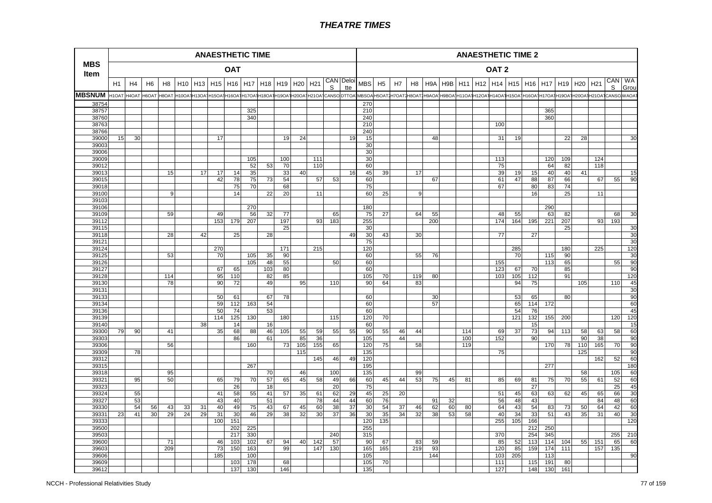|                                                                                                          |    |                | <b>ANAESTHETIC TIME</b><br><b>OAT</b> |                |                 |                 |          |            |            |          |           |                                         |          |          |                  |            |                |                |                |                  |          |                 | <b>ANAESTHETIC TIME 2</b>                                                                        |          |            |                                                                                 |           |            |          |              |                                                                     |
|----------------------------------------------------------------------------------------------------------|----|----------------|---------------------------------------|----------------|-----------------|-----------------|----------|------------|------------|----------|-----------|-----------------------------------------|----------|----------|------------------|------------|----------------|----------------|----------------|------------------|----------|-----------------|--------------------------------------------------------------------------------------------------|----------|------------|---------------------------------------------------------------------------------|-----------|------------|----------|--------------|---------------------------------------------------------------------|
| <b>MBS</b><br><b>Item</b>                                                                                |    |                |                                       |                |                 |                 |          |            |            |          |           |                                         |          |          |                  |            |                |                |                |                  |          |                 | OAT <sub>2</sub>                                                                                 |          |            |                                                                                 |           |            |          |              |                                                                     |
|                                                                                                          | H1 | H <sub>4</sub> | H <sub>6</sub>                        | H <sub>8</sub> | H <sub>10</sub> | H <sub>13</sub> |          |            |            |          |           | H15   H16   H17   H18   H19   H20   H21 |          | S.       | CAN Deloi<br>tte | MBS        | H <sub>5</sub> | H <sub>7</sub> | H <sub>8</sub> | H <sub>9</sub> A | H9B      | H <sub>11</sub> | H12 H14 H15                                                                                      |          |            | H <sub>16</sub> H <sub>17</sub> H <sub>19</sub> H <sub>20</sub> H <sub>21</sub> |           |            |          | CAN WA<br>S. | Grou                                                                |
| MBSNUM H10AT H40AT H60AT H60AT H10OAT H13OAT H15OAT H16OAT H17OAT H18OAT H20OAT H20OAT H21OAT CANSO DTTO |    |                |                                       |                |                 |                 |          |            |            |          |           |                                         |          |          |                  |            |                |                |                |                  |          |                 | ABSOA H5OAT1H7OAT1H8OAT1H9AOATH9DAATH11OATH112OATH14OATH15OATH16OATH17OATH19OATH20OATH21OATCANSO |          |            |                                                                                 |           |            |          |              |                                                                     |
| 38754                                                                                                    |    |                |                                       |                |                 |                 |          |            |            |          |           |                                         |          |          |                  | 270        |                |                |                |                  |          |                 |                                                                                                  |          |            |                                                                                 |           |            |          |              |                                                                     |
| 38757                                                                                                    |    |                |                                       |                |                 |                 |          |            | 325        |          |           |                                         |          |          |                  | 210        |                |                |                |                  |          |                 |                                                                                                  |          |            | 365                                                                             |           |            |          |              |                                                                     |
| 38760                                                                                                    |    |                |                                       |                |                 |                 |          |            | 340        |          |           |                                         |          |          |                  | 240        |                |                |                |                  |          |                 |                                                                                                  |          |            | 360                                                                             |           |            |          |              |                                                                     |
| 38763                                                                                                    |    |                |                                       |                |                 |                 |          |            |            |          |           |                                         |          |          |                  | 210        |                |                |                |                  |          |                 | 100                                                                                              |          |            |                                                                                 |           |            |          |              |                                                                     |
| 38766<br>39000                                                                                           | 15 | 30             |                                       |                |                 |                 | 17       |            |            |          | 19        | 24                                      |          |          | 19               | 240<br>15  |                |                |                | 48               |          |                 | 31                                                                                               | 19       |            |                                                                                 | 22        | 28         |          |              | 30                                                                  |
| 39003                                                                                                    |    |                |                                       |                |                 |                 |          |            |            |          |           |                                         |          |          |                  | 30         |                |                |                |                  |          |                 |                                                                                                  |          |            |                                                                                 |           |            |          |              |                                                                     |
| 39006                                                                                                    |    |                |                                       |                |                 |                 |          |            |            |          |           |                                         |          |          |                  | 30         |                |                |                |                  |          |                 |                                                                                                  |          |            |                                                                                 |           |            |          |              |                                                                     |
| 39009                                                                                                    |    |                |                                       |                |                 |                 |          |            | 105        |          | 100       |                                         | 111      |          |                  | 30         |                |                |                |                  |          |                 | 113                                                                                              |          |            | 120                                                                             | 109       |            | 124      |              |                                                                     |
| 39012                                                                                                    |    |                |                                       |                |                 |                 |          |            | 52         | 53       | 70        |                                         | 110      |          |                  | 60         |                |                |                |                  |          |                 | 75                                                                                               |          |            | 64                                                                              | 82        |            | 118      |              |                                                                     |
| 39013                                                                                                    |    |                |                                       | 15             |                 | 17              | 17       | 14         | 35         |          | 33        | 40                                      |          |          | 16               | 45         | 39             |                | 17             |                  |          |                 | 39                                                                                               | 19       | 15         | 40                                                                              | 40        | 41         |          |              | 15                                                                  |
| 39015                                                                                                    |    |                |                                       |                |                 |                 | 42       | 78         | 75         | 73       | 54        |                                         | 57       | 53       |                  | 60         |                |                |                | 67               |          |                 | 61                                                                                               | 47       | 88         | 87                                                                              | 66        |            | 67       | 55           | 90                                                                  |
| 39018<br>39100                                                                                           |    |                |                                       | 9 <sup>1</sup> |                 |                 |          | 75<br>14   | 70         | 22       | 68<br>20  |                                         | 11       |          |                  | 75<br>60   | 25             |                | 9              |                  |          |                 | 67                                                                                               |          | 80<br>16   | 83                                                                              | 74<br>25  |            | 11       |              |                                                                     |
| 39103                                                                                                    |    |                |                                       |                |                 |                 |          |            |            |          |           |                                         |          |          |                  |            |                |                |                |                  |          |                 |                                                                                                  |          |            |                                                                                 |           |            |          |              |                                                                     |
| 39106                                                                                                    |    |                |                                       |                |                 |                 |          |            | 270        |          |           |                                         |          |          |                  | 180        |                |                |                |                  |          |                 |                                                                                                  |          |            | 290                                                                             |           |            |          |              |                                                                     |
| 39109                                                                                                    |    |                |                                       | 59             |                 |                 | 49       |            | 56         | 32       | 77        |                                         |          | 65       |                  | 75         | 27             |                | 64             | 55               |          |                 | 48                                                                                               | 55       |            | 63                                                                              | 82        |            |          | 68           | 30                                                                  |
| 39112                                                                                                    |    |                |                                       |                |                 |                 | 153      | 179        | 207        |          | 197       |                                         | 93       | 183      |                  | 255        |                |                |                | 200              |          |                 | 174                                                                                              | 164      | 195        | 221                                                                             | 207       |            | 93       | 193          |                                                                     |
| 39115                                                                                                    |    |                |                                       |                |                 |                 |          |            |            |          | 25        |                                         |          |          |                  | 30         |                |                |                |                  |          |                 |                                                                                                  |          |            |                                                                                 | 25        |            |          |              | 30                                                                  |
| 39118                                                                                                    |    |                |                                       | 28             |                 | 42              |          | 25         |            | 28       |           |                                         |          |          | 49               | 30         | 43             |                | 30             |                  |          |                 | 77                                                                                               |          | 27         |                                                                                 |           |            |          |              | 30                                                                  |
| 39121<br>39124                                                                                           |    |                |                                       |                |                 |                 | 270      |            |            |          | 171       |                                         | 215      |          |                  | 75<br>120  |                |                |                |                  |          |                 |                                                                                                  | 285      |            |                                                                                 | 180       |            | 225      |              | 30<br>120                                                           |
| 39125                                                                                                    |    |                |                                       | 53             |                 |                 | 70       |            | 105        | 35       | 90        |                                         |          |          |                  | 60         |                |                | 55             | 76               |          |                 |                                                                                                  | 70       |            | 115                                                                             | 90        |            |          |              | 30                                                                  |
| 39126                                                                                                    |    |                |                                       |                |                 |                 |          |            | 105        | 48       | 55        |                                         |          | 50       |                  | 60         |                |                |                |                  |          |                 | 155                                                                                              |          |            | 113                                                                             | 65        |            |          | 55           | 90                                                                  |
| 39127                                                                                                    |    |                |                                       |                |                 |                 | 67       | 65         |            | 103      | 80        |                                         |          |          |                  | 60         |                |                |                |                  |          |                 | 123                                                                                              | 67       | 70         |                                                                                 | 85        |            |          |              | $\frac{1}{90}$                                                      |
| 39128                                                                                                    |    |                |                                       | 114            |                 |                 | 95       | 110        |            | 82       | 85        |                                         |          |          |                  | 105        | 70             |                | 119            | 80               |          |                 | 103                                                                                              | 105      | 112        |                                                                                 | 91        |            |          |              | 120                                                                 |
| 39130                                                                                                    |    |                |                                       | 78             |                 |                 | 90       | 72         |            | 49       |           | 95                                      |          | 110      |                  | 90         | 64             |                | 83             |                  |          |                 |                                                                                                  | 94       | 75         |                                                                                 |           | 105        |          | 110          | $\begin{array}{r}\n 45 \\ \hline\n 30 \\ \hline\n 90\n \end{array}$ |
| 39131                                                                                                    |    |                |                                       |                |                 |                 |          |            |            |          |           |                                         |          |          |                  |            |                |                |                |                  |          |                 |                                                                                                  |          |            |                                                                                 |           |            |          |              |                                                                     |
| 39133<br>39134                                                                                           |    |                |                                       |                |                 |                 | 50<br>59 | 61<br>112  | 163        | 67<br>54 | 78        |                                         |          |          |                  | 60<br>60   |                |                |                | 30<br>57         |          |                 |                                                                                                  | 53<br>65 | 65<br>114  | 172                                                                             | 80        |            |          |              | 60                                                                  |
| 39136                                                                                                    |    |                |                                       |                |                 |                 | 50       | 74         |            | 53       |           |                                         |          |          |                  | 60         |                |                |                |                  |          |                 |                                                                                                  | 54       | 76         |                                                                                 |           |            |          |              | 45                                                                  |
| 39139                                                                                                    |    |                |                                       |                |                 |                 | 114      | 125        | 130        |          | 180       |                                         |          | 115      |                  | 120        | 70             |                |                |                  |          |                 |                                                                                                  | 121      | 132        | 155                                                                             | 200       |            |          | 120          | 120                                                                 |
| 39140                                                                                                    |    |                |                                       |                |                 | 38              |          | 14         |            | 16       |           |                                         |          |          |                  | 60         |                |                |                |                  |          |                 |                                                                                                  |          | 15         |                                                                                 |           |            |          |              | 15                                                                  |
| 39300                                                                                                    | 79 | 90             |                                       | 41             |                 |                 | 35       | 68         | 88         | 46       | 105       | 55                                      | 59       | 55       | 55               | 90         | 55             | 46             | 44             |                  |          | 114             | 69                                                                                               | 37       | 73         | 94                                                                              | 113       | 58         | 63       | 58           | 60                                                                  |
| 39303                                                                                                    |    |                |                                       |                |                 |                 |          | 86         |            | 61       |           | 85                                      | 36       |          |                  | 105        |                | 44             |                |                  |          | 100             | 152                                                                                              |          | 90         |                                                                                 |           | 90         | 38       |              | $\begin{array}{c}\n 90 \\ \hline\n 90\n \end{array}$                |
| 39306                                                                                                    |    | 78             |                                       | 56             |                 |                 |          |            | 160        |          | 73        | 105                                     | 155      | 65       |                  | 120        | 75             |                | 58             |                  |          | 119             | 75                                                                                               |          |            | 170                                                                             | 78        | 110<br>125 | 165      | 70           |                                                                     |
| 39309<br>39312                                                                                           |    |                |                                       |                |                 |                 |          |            |            |          |           | 115                                     | 145      | 46       | 49               | 135<br>120 |                |                |                |                  |          |                 |                                                                                                  |          |            |                                                                                 |           |            | 162      | 52           | 60                                                                  |
| 39315                                                                                                    |    |                |                                       |                |                 |                 |          |            | 267        |          |           |                                         |          |          |                  | 195        |                |                |                |                  |          |                 |                                                                                                  |          |            | 277                                                                             |           |            |          |              | 180                                                                 |
| 39318                                                                                                    |    |                |                                       | 95             |                 |                 |          |            |            | 70       |           | 46                                      |          | 100      |                  | 135        |                |                | 99             |                  |          |                 |                                                                                                  |          |            |                                                                                 |           | 58         |          | 105          | 60                                                                  |
| 39321                                                                                                    |    | 95             |                                       | 50             |                 |                 | 65       | 79         | 70         | 57       | 65        | 45                                      | 58       | 49       | 66               | 60         | 45             | 44             | 53             | 75               | 45       | 81              | 85                                                                                               | 69       | 81         | 75                                                                              | 70        | 55         | 61       | 52           | 60                                                                  |
| 39323                                                                                                    |    |                |                                       |                |                 |                 |          | 26         |            | 18       |           |                                         |          | 20       |                  | 75         |                |                |                |                  |          |                 |                                                                                                  |          | 27         |                                                                                 |           |            |          | 25           | 45                                                                  |
| 39324                                                                                                    |    | 55             |                                       |                |                 |                 | 41       | 58         | 55         | 41       | 57        | 35                                      | 61       | 62       | 29               | 45         | 25             | 20             |                |                  |          |                 | 51                                                                                               | 45       | 63         | 63                                                                              | 62        | 45         | 65       | 66           | 30                                                                  |
| 39327                                                                                                    |    | 53             |                                       |                |                 |                 | 43       | 40         |            | 51       |           |                                         | 78       | 44       | 44               | 60         | 76             |                |                | 91               | 32       |                 | 56                                                                                               | 48       | 43         |                                                                                 |           |            | 84       | 48           | 60                                                                  |
| 39330<br>39331                                                                                           | 23 | 54<br>41       | 56<br>30                              | 43<br>29       | 33<br>24        | 31<br>29        | 40<br>31 | 49<br>30   | 75<br>46   | 43<br>29 | 67<br>38  | 45<br>32                                | 60<br>30 | 38<br>37 | 37<br>36         | 30<br>30   | 54<br>35       | 37<br>34       | 46<br>32       | 62<br>38         | 60<br>53 | 80<br>58        | 64<br>40                                                                                         | 43<br>34 | 54<br>33   | 83<br>51                                                                        | 73<br>43  | 50<br>35   | 64<br>31 | 42<br>40     | 60<br>30                                                            |
| 39333                                                                                                    |    |                |                                       |                |                 |                 | 100      | 151        |            |          |           |                                         |          |          |                  | 120        | 135            |                |                |                  |          |                 | 255                                                                                              | 105      | 166        |                                                                                 |           |            |          |              | 120                                                                 |
| 39500                                                                                                    |    |                |                                       |                |                 |                 |          | 202        | 225        |          |           |                                         |          |          |                  | 255        |                |                |                |                  |          |                 |                                                                                                  |          | 212        | 250                                                                             |           |            |          |              |                                                                     |
| 39503                                                                                                    |    |                |                                       |                |                 |                 |          | 217        | 330        |          |           |                                         |          | 240      |                  | 315        |                |                |                |                  |          |                 | 370                                                                                              |          | 254        | 345                                                                             |           |            |          | 255          | 210                                                                 |
| 39600                                                                                                    |    |                |                                       | 71             |                 |                 | 46       | 103        | 102        | 67       | 94        | 40                                      | 142      | 57       |                  | 90         | 67             |                | 83             | 59               |          |                 | 85                                                                                               | 52       | 113        | 114                                                                             | 104       | 55         | 151      | 65           | 60                                                                  |
| 39603                                                                                                    |    |                |                                       | 209            |                 |                 | 73       | 150        | 163        |          | 99        |                                         | 147      | 130      |                  | 165        | 165            |                | 219            | 93               |          |                 | 120                                                                                              | 85       | 159        | 174                                                                             | 111       |            | 157      | 135          |                                                                     |
| 39606                                                                                                    |    |                |                                       |                |                 |                 | 185      |            | 100        |          |           |                                         |          |          |                  | 105        |                |                |                | 144              |          |                 | 103                                                                                              | 205      |            | 113                                                                             |           |            |          |              | 90                                                                  |
| 39609<br>39612                                                                                           |    |                |                                       |                |                 |                 |          | 103<br>137 | 178<br>130 |          | 68<br>146 |                                         |          |          |                  | 105<br>135 | 70             |                |                |                  |          |                 | 111<br>127                                                                                       |          | 115<br>148 | 191<br>130                                                                      | 80<br>161 |            |          |              |                                                                     |
|                                                                                                          |    |                |                                       |                |                 |                 |          |            |            |          |           |                                         |          |          |                  |            |                |                |                |                  |          |                 |                                                                                                  |          |            |                                                                                 |           |            |          |              |                                                                     |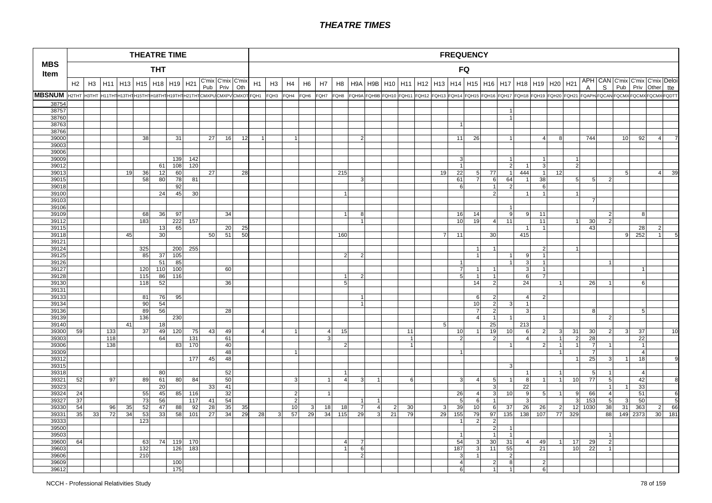|                                                                                      |          |    |            |    | <b>THEATRE TIME</b> |            |                                   |            |     |             |                          |                |    |                     |                |                                 |                |                                                                                                                                              |                |                      |                |                                  | <b>FREQUENCY</b>                  |                             |                                |                                                         |                     |                      |                 |                              |                |                                                       |                |                     |
|--------------------------------------------------------------------------------------|----------|----|------------|----|---------------------|------------|-----------------------------------|------------|-----|-------------|--------------------------|----------------|----|---------------------|----------------|---------------------------------|----------------|----------------------------------------------------------------------------------------------------------------------------------------------|----------------|----------------------|----------------|----------------------------------|-----------------------------------|-----------------------------|--------------------------------|---------------------------------------------------------|---------------------|----------------------|-----------------|------------------------------|----------------|-------------------------------------------------------|----------------|---------------------|
| <b>MBS</b><br><b>Item</b>                                                            |          |    |            |    |                     | <b>THT</b> |                                   |            |     |             |                          |                |    |                     |                |                                 |                |                                                                                                                                              |                |                      |                |                                  | <b>FQ</b>                         |                             |                                |                                                         |                     |                      |                 |                              |                |                                                       |                |                     |
|                                                                                      | H2       | H3 |            |    |                     |            | H11   H13   H15   H18   H19   H21 |            | Pub | <b>Priv</b> | C'mix C'mix C'mix<br>Oth | H <sub>1</sub> | H3 | H <sub>4</sub>      | H <sub>6</sub> | H7                              | H8             | H9A   H9B   H10   H11   H12   H13   H14   H15   H16   H17   H18   H19   H20   H21                                                            |                |                      |                |                                  |                                   |                             |                                |                                                         |                     |                      |                 | S.                           |                | APH CAN C'mix C'mix C'mix Deloi<br>Pub Priv Other tte |                |                     |
| MBSNUM H2THT H3THT H11THTH13THTH15THTH18THTH19THTH21THTCMXPUCMXPVCMXOTFQH1 FQH3 FQH4 |          |    |            |    |                     |            |                                   |            |     |             |                          |                |    |                     |                |                                 |                | ғанв  ғант  ғанв  ғанза ғанзв ған10 ған11 ған12 ған13 ған14 ған15 ған16 ған17 ған18 ған19 ған20 ған21 ғалғн ғаслм ғасмх ғасмх ғасмх ғасмх ға |                |                      |                |                                  |                                   |                             |                                |                                                         |                     |                      |                 |                              |                |                                                       |                |                     |
| 38754                                                                                |          |    |            |    |                     |            |                                   |            |     |             |                          |                |    |                     |                |                                 |                |                                                                                                                                              |                |                      |                |                                  |                                   |                             |                                |                                                         |                     |                      |                 |                              |                |                                                       |                |                     |
| 38757<br>38760                                                                       |          |    |            |    |                     |            |                                   |            |     |             |                          |                |    |                     |                |                                 |                |                                                                                                                                              |                |                      |                |                                  |                                   |                             | $\mathbf{1}$<br>$\overline{1}$ |                                                         |                     |                      |                 |                              |                |                                                       |                |                     |
| 38763                                                                                |          |    |            |    |                     |            |                                   |            |     |             |                          |                |    |                     |                |                                 |                |                                                                                                                                              |                |                      |                | $\blacktriangleleft$             |                                   |                             |                                |                                                         |                     |                      |                 |                              |                |                                                       |                |                     |
| 38766                                                                                |          |    |            |    |                     |            |                                   |            |     |             |                          |                |    |                     |                |                                 |                |                                                                                                                                              |                |                      |                |                                  |                                   |                             |                                |                                                         |                     |                      |                 |                              |                |                                                       |                |                     |
| 39000                                                                                |          |    |            |    | 38                  |            | 31                                |            | 27  | 16          | 12                       | 1              |    | $\overline{1}$      |                |                                 |                | 2 <sup>1</sup>                                                                                                                               |                |                      |                | 11                               | 26                                |                             | $\overline{1}$                 | $\vert$                                                 | 8                   |                      | 744             |                              | 10             | 92                                                    | $\vert$        |                     |
| 39003<br>39006                                                                       |          |    |            |    |                     |            |                                   |            |     |             |                          |                |    |                     |                |                                 |                |                                                                                                                                              |                |                      |                |                                  |                                   |                             |                                |                                                         |                     |                      |                 |                              |                |                                                       |                |                     |
| 39009                                                                                |          |    |            |    |                     |            | 139                               | 142        |     |             |                          |                |    |                     |                |                                 |                |                                                                                                                                              |                |                      |                | $\mathbf{3}$                     |                                   |                             | $\mathbf{1}$                   | 1                                                       |                     | $\mathbf{1}$         |                 |                              |                |                                                       |                |                     |
| 39012                                                                                |          |    |            |    |                     | 61         | 108                               | 120        |     |             |                          |                |    |                     |                |                                 |                |                                                                                                                                              |                |                      |                | $\vert$ 1                        |                                   |                             | $\overline{2}$                 | 3 <sup>1</sup><br>$\overline{1}$                        |                     | $\overline{2}$       |                 |                              |                |                                                       |                |                     |
| 39013<br>39015                                                                       |          |    |            | 19 | 36<br>58            | 12<br>80   | 60<br>78                          | 81         | 27  |             | 28                       |                |    |                     |                |                                 | 215            | 3 <sup>1</sup>                                                                                                                               |                |                      | 19             | 22<br>61                         | $5\overline{)}$<br>$\overline{7}$ | 77<br>6                     | 444<br>$\overline{1}$<br>64    | 1 <sup>1</sup><br>38<br>$\overline{1}$                  | 12                  | 5 <sup>1</sup>       | $5\overline{5}$ | $\overline{2}$               | 5 <sub>l</sub> |                                                       | $\vert$        | 39                  |
| 39018                                                                                |          |    |            |    |                     |            | 92                                |            |     |             |                          |                |    |                     |                |                                 |                |                                                                                                                                              |                |                      |                | 6                                |                                   | 1                           | <sub>2</sub>                   | 6 <sup>1</sup>                                          |                     |                      |                 |                              |                |                                                       |                |                     |
| 39100                                                                                |          |    |            |    |                     | 24         | 45                                | 30         |     |             |                          |                |    |                     |                |                                 | $\overline{1}$ |                                                                                                                                              |                |                      |                |                                  |                                   | 2 <sup>1</sup>              |                                | $\mathbf{1}$<br>1                                       |                     | 11                   |                 |                              |                |                                                       |                |                     |
| 39103                                                                                |          |    |            |    |                     |            |                                   |            |     |             |                          |                |    |                     |                |                                 |                |                                                                                                                                              |                |                      |                |                                  |                                   |                             |                                |                                                         |                     |                      | $\overline{7}$  |                              |                |                                                       |                |                     |
| 39106<br>39109                                                                       |          |    |            |    | 68                  | 36         | 97                                |            |     | 34          |                          |                |    |                     |                |                                 | 1              | 8                                                                                                                                            |                |                      |                | 16                               | 14                                |                             | $\mathbf{1}$<br>9              | 9<br>11                                                 |                     |                      |                 | $\overline{2}$               |                | 8                                                     |                |                     |
| 39112                                                                                |          |    |            |    | 183                 |            | 222                               | 157        |     |             |                          |                |    |                     |                |                                 |                | $\mathbf{1}$                                                                                                                                 |                |                      |                | 10                               | 19                                | $\overline{4}$              | 11                             | 11                                                      |                     | 1                    | 30              | $\overline{c}$               |                |                                                       |                |                     |
| 39115                                                                                |          |    |            |    |                     | 13         | 65                                |            |     | 20          | 25                       |                |    |                     |                |                                 |                |                                                                                                                                              |                |                      |                |                                  |                                   |                             |                                | $\vert$<br>$\overline{1}$                               |                     |                      | 43              |                              |                | 28                                                    | $\overline{2}$ |                     |
| 39118<br>39121                                                                       |          |    |            | 45 |                     | 30         |                                   |            | 50  | 51          | 50                       |                |    |                     |                |                                 | 160            |                                                                                                                                              |                |                      | $\overline{7}$ | 11                               |                                   | 30 <sup>1</sup>             | 415                            |                                                         |                     |                      |                 |                              | 9              | 252                                                   | 1              | 5                   |
| 39124                                                                                |          |    |            |    | 325                 |            | 200                               | 255        |     |             |                          |                |    |                     |                |                                 |                |                                                                                                                                              |                |                      |                |                                  | 11                                | 1                           |                                | 2 <sup>1</sup>                                          |                     | 1                    |                 |                              |                |                                                       |                |                     |
| 39125                                                                                |          |    |            |    | 85                  | 37         | 105                               |            |     |             |                          |                |    |                     |                |                                 | $\overline{2}$ | $\overline{2}$                                                                                                                               |                |                      |                |                                  | 1                                 |                             | $\mathbf{1}$                   | 9<br>$\mathbf{1}$                                       |                     |                      |                 |                              |                |                                                       |                |                     |
| 39126                                                                                |          |    |            |    |                     | 51         | 85                                |            |     |             |                          |                |    |                     |                |                                 |                |                                                                                                                                              |                |                      |                | 1                                |                                   |                             | 1                              | $\mathbf{3}$<br>1 <sup>1</sup>                          |                     |                      |                 | $\mathbf{1}$                 |                |                                                       |                |                     |
| 39127<br>39128                                                                       |          |    |            |    | 120<br>115          | 110<br>86  | 100<br>116                        |            |     | 60          |                          |                |    |                     |                |                                 | $\vert$ 1      | 2 <sup>1</sup>                                                                                                                               |                |                      |                | $\overline{7}$<br>5 <sub>5</sub> | 1<br>$\vert$ 1                    | 1 <sup>1</sup><br>1         |                                | $\overline{3}$<br>1 <sup>1</sup><br>6<br>$\overline{7}$ |                     |                      |                 |                              |                | $\mathbf{1}$                                          |                |                     |
| 39130                                                                                |          |    |            |    | 118                 | 52         |                                   |            |     | 36          |                          |                |    |                     |                |                                 | 5 <sub>l</sub> |                                                                                                                                              |                |                      |                |                                  | 14                                | 2 <sup>1</sup>              | 24                             |                                                         | 1                   |                      | 26              | $\mathbf{1}$                 |                | $6 \mid$                                              |                |                     |
| 39131                                                                                |          |    |            |    |                     |            |                                   |            |     |             |                          |                |    |                     |                |                                 |                |                                                                                                                                              |                |                      |                |                                  |                                   |                             |                                |                                                         |                     |                      |                 |                              |                |                                                       |                |                     |
| 39133<br>39134                                                                       |          |    |            |    | 81<br>90            | 76<br>54   | 95                                |            |     |             |                          |                |    |                     |                |                                 |                | $\mathbf{1}$<br>$\mathbf{1}$                                                                                                                 |                |                      |                |                                  | 6<br>10                           | $2 \vert$<br>$2 \vert$      | $\mathbf{3}$                   | $\vert$<br>2 <sup>1</sup><br>1                          |                     |                      |                 |                              |                |                                                       |                |                     |
| 39136                                                                                |          |    |            |    | 89                  | 56         |                                   |            |     | 28          |                          |                |    |                     |                |                                 |                |                                                                                                                                              |                |                      |                |                                  | $\overline{7}$                    | 2                           |                                | $\mathbf{3}$                                            |                     |                      | 8               |                              |                | 5 <sup>1</sup>                                        |                |                     |
| 39139                                                                                |          |    |            |    | 136                 |            | 230                               |            |     |             |                          |                |    |                     |                |                                 |                |                                                                                                                                              |                |                      |                |                                  | $\overline{4}$                    | 1                           | $\overline{1}$                 | $\mathbf{1}$                                            |                     |                      |                 | $\overline{2}$               |                |                                                       |                |                     |
| 39140                                                                                |          |    |            | 41 |                     | 18         |                                   |            |     |             |                          |                |    |                     |                |                                 |                |                                                                                                                                              |                |                      | 5 <sub>l</sub> |                                  |                                   | 25                          | 213                            |                                                         |                     |                      |                 |                              |                |                                                       |                |                     |
| 39300<br>39303                                                                       | 59       |    | 133<br>118 |    | 37                  | 49<br>64   | 120                               | 75<br>131  | 43  | 49<br>61    |                          | $\overline{4}$ |    | $\overline{1}$      |                | $\vert 4 \vert$<br>$\mathbf{3}$ | 15             |                                                                                                                                              |                | 11<br>$\overline{1}$ |                | 10<br>$2 \vert$                  | 1                                 | 19<br>$\overline{2}$        | 10                             | 6<br>2 <sup>1</sup><br>$\vert$ 4                        | $\overline{3}$<br>1 | 31<br>$\overline{2}$ | 30<br>28        | $\overline{2}$               | 3              | 37<br>22                                              |                | 10                  |
| 39306                                                                                |          |    | 138        |    |                     |            | 83                                | 170        |     | 40          |                          |                |    |                     |                |                                 | $\overline{2}$ |                                                                                                                                              |                | $\overline{1}$       |                |                                  |                                   |                             | $\overline{1}$                 | 2 <sup>1</sup>                                          | 11                  | $\overline{1}$       | $\overline{7}$  | $\mathbf{1}$                 |                | $\overline{1}$                                        |                |                     |
| 39309                                                                                |          |    |            |    |                     |            |                                   |            |     | 48          |                          |                |    |                     |                |                                 |                |                                                                                                                                              |                |                      |                |                                  |                                   |                             |                                |                                                         | 1 <sup>1</sup>      |                      | $\overline{7}$  |                              |                | $\overline{4}$                                        |                |                     |
| 39312<br>39315                                                                       |          |    |            |    |                     |            |                                   | 177        | 45  | 48          |                          |                |    |                     |                |                                 |                |                                                                                                                                              |                |                      |                |                                  |                                   |                             | 3                              |                                                         |                     | 11                   | 25              | $\mathbf{3}$                 | 1              | 18                                                    |                | 9                   |
| 39318                                                                                |          |    |            |    |                     | 80         |                                   |            |     | 52          |                          |                |    |                     |                |                                 | 1              |                                                                                                                                              |                |                      |                |                                  |                                   |                             |                                | $\mathbf{1}$                                            | 11                  |                      | 5               | $\mathbf{1}$                 |                | $\overline{4}$                                        |                |                     |
| 39321                                                                                | 52       |    | 97         |    | 89                  | 61         | 80                                | 84         |     | 50          |                          |                |    | 3 <sup>l</sup>      |                | $\mathbf{1}$                    | $\vert$ 4      | 3 <sup>1</sup><br>1                                                                                                                          |                | 6                    |                | 3 <sup>1</sup>                   | $\overline{4}$                    | 5 <sup>1</sup>              | $\mathbf{1}$                   | 8 <sup>1</sup><br>$\mathbf{1}$                          | 1                   | 10 <sup>1</sup>      | 77              | $5\phantom{.0}$              |                | 42                                                    |                | 8                   |
| 39323                                                                                |          |    |            |    |                     | 20         |                                   |            | 33  | 41          |                          |                |    |                     |                |                                 |                |                                                                                                                                              |                |                      |                |                                  |                                   | 3 <sup>1</sup>              | 22                             |                                                         |                     |                      |                 | $\mathbf{1}$                 | 1              | 33                                                    |                |                     |
| 39324<br>39327                                                                       | 24<br>37 |    |            |    | 55<br>73            | 45<br>56   | 85                                | 116<br>117 | 41  | 32<br>54    |                          |                |    | $\overline{2}$<br>2 |                | $\overline{1}$                  |                | 11                                                                                                                                           |                |                      |                | 26<br>$5\phantom{.0}$            | $\vert$<br>6                      | 3 <sup>1</sup><br>1         | 10                             | 9<br>5 <sup>1</sup><br>3                                | 11                  | 9<br>3 <sup>l</sup>  | 66<br>153       | $\overline{4}$<br>$\sqrt{5}$ | 3              | 51<br>50                                              |                | 6<br>$\overline{5}$ |
| 39330                                                                                | 54       |    | 96         | 35 | 52                  | 47         | 88                                | 92         | 28  | 35          | 35                       |                |    | 10                  | $\mathbf{3}$   | 18                              | 18             | $\overline{7}$<br>$\overline{4}$                                                                                                             | $\overline{2}$ | 30                   | 3              | 39                               | 10                                | $6 \mid$                    | 26<br>37                       | 26                                                      | $\overline{2}$      |                      | 12 1030         | 38                           | 31             | 363                                                   | $\mathbf{2}$   | 66                  |
| 39331                                                                                | 35       | 33 | 72         | 34 | 53                  | 33         | 58                                | 101        | 27  | 34          | 29                       | 28             | 3  | 57                  | 29             | 34                              | $\boxed{115}$  | 29<br>$\overline{3}$                                                                                                                         | 21             | 79                   | 29             | 155                              | 79                                | 97                          | $135$<br>138                   | 107                                                     | 77                  | 329                  |                 | 88                           |                | 149 2373                                              |                | $30 - 181$          |
| 39333<br>39500                                                                       |          |    |            |    | 123                 |            |                                   |            |     |             |                          |                |    |                     |                |                                 |                |                                                                                                                                              |                |                      |                | $\overline{1}$                   | $\overline{2}$                    | $\overline{2}$<br>$2 \vert$ | $\overline{1}$                 |                                                         |                     |                      |                 |                              |                |                                                       |                |                     |
| 39503                                                                                |          |    |            |    |                     |            |                                   |            |     |             |                          |                |    |                     |                |                                 |                |                                                                                                                                              |                |                      |                | $\mathbf{1}$                     |                                   | 1                           | $\mathbf{1}$                   |                                                         |                     |                      |                 | $\mathbf{1}$                 |                |                                                       |                |                     |
| 39600                                                                                | 64       |    |            |    | 63                  | 74         | 119                               | 170        |     |             |                          |                |    |                     |                |                                 | $\vert$        | $\overline{7}$                                                                                                                               |                |                      |                | 54                               | 3 <sup>1</sup>                    | 30 <sub>l</sub>             | 31                             | $\vert$ 4<br>49                                         | $\overline{1}$      | 17                   | 29              | $\overline{2}$               |                |                                                       |                |                     |
| 39603                                                                                |          |    |            |    | 132                 |            | 126                               | 183        |     |             |                          |                |    |                     |                |                                 | 1              | 6 <sup>1</sup>                                                                                                                               |                |                      |                | 187                              |                                   | 3 <sup>l</sup><br>11        | 55                             | 21                                                      |                     | 10 <sup>1</sup>      | 22              | $\mathbf{1}$                 |                |                                                       |                |                     |
| 39606<br>39609                                                                       |          |    |            |    | 210                 |            | 100                               |            |     |             |                          |                |    |                     |                |                                 |                | 2 <sup>1</sup>                                                                                                                               |                |                      |                | 3<br>$\overline{4}$              | 1 <sup>1</sup>                    | $2 \vert$                   | $\overline{2}$<br>8            | 2 <sup>1</sup>                                          |                     |                      |                 |                              |                |                                                       |                |                     |
| 39612                                                                                |          |    |            |    |                     |            | 175                               |            |     |             |                          |                |    |                     |                |                                 |                |                                                                                                                                              |                |                      |                | $6 \overline{6}$                 |                                   | 1                           | 1                              | 6 <sup>1</sup>                                          |                     |                      |                 |                              |                |                                                       |                |                     |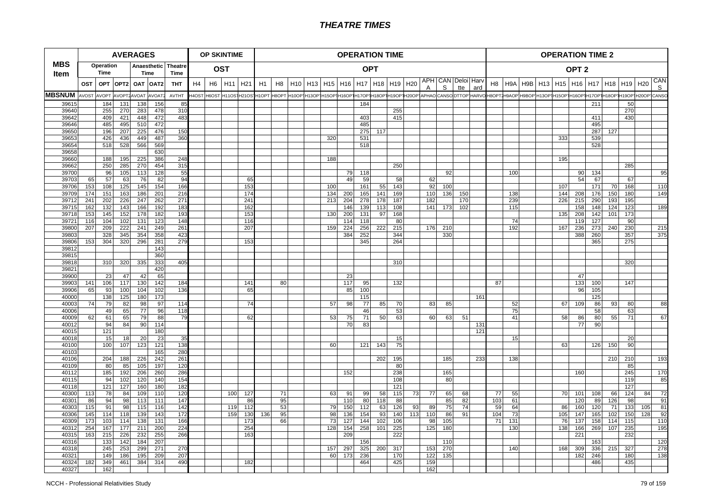|                    |            |                   |            | <b>AVERAGES</b>    |            |                             |    |    | <b>OP SKINTIME</b>      |                 |     |                |  |                                                                                                                                                                           | <b>OPERATION TIME</b> |            |            |            |       |            |           |                                 |     |                |            |  |           |                  | <b>OPERATION TIME 2</b> |            |                                               |     |           |
|--------------------|------------|-------------------|------------|--------------------|------------|-----------------------------|----|----|-------------------------|-----------------|-----|----------------|--|---------------------------------------------------------------------------------------------------------------------------------------------------------------------------|-----------------------|------------|------------|------------|-------|------------|-----------|---------------------------------|-----|----------------|------------|--|-----------|------------------|-------------------------|------------|-----------------------------------------------|-----|-----------|
| <b>MBS</b><br>Item |            | Operation<br>Time |            | <b>Time</b>        |            | Anaesthetic Theatre<br>Time |    |    | <b>OST</b>              |                 |     |                |  |                                                                                                                                                                           |                       | <b>OPT</b> |            |            |       |            |           |                                 |     |                |            |  |           | OPT <sub>2</sub> |                         |            |                                               |     |           |
|                    | OST        |                   |            | OPT OPT2 OAT OAT2  |            | <b>THT</b>                  | H4 | H6 | H <sub>11</sub>         | H <sub>21</sub> | H1  | H <sub>8</sub> |  | H10   H13   H15   H16   H17   H18   H19   H20                                                                                                                             |                       |            |            |            |       |            | S.        | APH   CAN   Deloi   Harv<br>tte | ard | H <sub>8</sub> | H9A        |  |           |                  |                         |            | H9B   H13   H15   H16   H17   H18   H19   H20 |     | CAN<br>S. |
| <b>MBSNUM</b>      | AVOST      | <b>AVOPT</b>      |            | AVOPT2AVOAT AVOAT2 |            | <b>AVTHT</b>                |    |    | 140ST H60ST H110STH210S |                 |     |                |  | H1OPT H8OPT H10OPT H13OPT H15OPT H16OPT H17OPT H18OPT H9OPT H2OOPT APHAO CANSO DTTOP HARVO H8OPT H9AOP H9AOP H13OPT H15OPT H16OPT H16OPT H18OPT H19OPT H19OPT H2OOPTCANSO |                       |            |            |            |       |            |           |                                 |     |                |            |  |           |                  |                         |            |                                               |     |           |
| 39615              |            | 184               | 131        | 138                | 156        | 85                          |    |    |                         |                 |     |                |  |                                                                                                                                                                           |                       | 184        |            |            |       |            |           |                                 |     |                |            |  |           |                  | 211                     |            | 50                                            |     |           |
| 39640              |            | 255               | 270        | 283                | 478        | 310                         |    |    |                         |                 |     |                |  |                                                                                                                                                                           |                       |            |            | 255        |       |            |           |                                 |     |                |            |  |           |                  |                         |            | 270                                           |     |           |
| 39642<br>39646     |            | 409<br>485        | 421<br>495 | 448<br>510         | 472<br>472 | 483                         |    |    |                         |                 |     |                |  |                                                                                                                                                                           |                       | 403<br>485 |            | 415        |       |            |           |                                 |     |                |            |  |           |                  | 411<br>495              |            | 430                                           |     |           |
| 39650              |            | 196               | 207        | 225                | 476        | 150                         |    |    |                         |                 |     |                |  |                                                                                                                                                                           |                       | 275        | 117        |            |       |            |           |                                 |     |                |            |  |           |                  | 287                     | 127        |                                               |     |           |
| 39653              |            | 426               | 436        | 449                | 487        | 360                         |    |    |                         |                 |     |                |  | 320                                                                                                                                                                       |                       | 531        |            |            |       |            |           |                                 |     |                |            |  | 333       |                  | 539                     |            |                                               |     |           |
| 39654              |            | 518               | 528        | 566                | 569        |                             |    |    |                         |                 |     |                |  |                                                                                                                                                                           |                       | 518        |            |            |       |            |           |                                 |     |                |            |  |           |                  | 528                     |            |                                               |     |           |
| 39658              |            |                   |            |                    | 630        |                             |    |    |                         |                 |     |                |  |                                                                                                                                                                           |                       |            |            |            |       |            |           |                                 |     |                |            |  |           |                  |                         |            |                                               |     |           |
| 39660<br>39662     |            | 188<br>250        | 195<br>285 | 225<br>270         | 386<br>454 | 248<br>315                  |    |    |                         |                 |     |                |  | 188                                                                                                                                                                       |                       |            |            | 250        |       |            |           |                                 |     |                |            |  | 195       |                  |                         |            | 285                                           |     |           |
| 39700              |            | 96                | 105        | 113                | 128        | 55                          |    |    |                         |                 |     |                |  |                                                                                                                                                                           | 79                    | 118        |            |            |       |            | 92        |                                 |     |                | 100        |  |           | 90               | 134                     |            |                                               |     | 95        |
| 39703              | 65         | 57                | 63         | 76                 | 82         | 94                          |    |    |                         | 65              |     |                |  |                                                                                                                                                                           | 49                    | 59         |            | 58         |       | 62         |           |                                 |     |                |            |  |           | 54               | 67                      |            | 67                                            |     |           |
| 39706              | 153        | 108               | 125        | 145                | 154        | 166                         |    |    |                         | 153             |     |                |  | 100                                                                                                                                                                       |                       | 161        | 55         | 143        |       | 92         | 100       |                                 |     |                |            |  | 107       |                  | 171                     | 70         | 168                                           |     | 110       |
| 39709              | 174        | 151               | 163        | 186                | 201        | 216                         |    |    |                         | 174             |     |                |  | 134                                                                                                                                                                       | 200                   | 165        | 141        | 169        |       | 110        | 136       | 150                             |     |                | 138        |  | 144       | 208              | 176                     | 150        | 180                                           |     | 149       |
| 39712<br>39715     | 241<br>162 | 202<br>132        | 226<br>143 | 247<br>166         | 262<br>192 | 271<br>183                  |    |    |                         | 241<br>162      |     |                |  | 213                                                                                                                                                                       | 204<br>146            | 278<br>139 | 178<br>113 | 187<br>108 |       | 182<br>141 | 173       | 170<br>102                      |     |                | 239<br>115 |  | 226       | 215              | 290<br>148              | 193<br>124 | 195<br>123                                    |     | 189       |
| 39718              | 153        | 145               | 152        | 178                | 182        | 193                         |    |    |                         | 153             |     |                |  | 130                                                                                                                                                                       | 200                   | 131        | 97         | 168        |       |            |           |                                 |     |                |            |  | 135       | 158<br>208       | 142                     | 101        | 173                                           |     |           |
| 39721              | 116        | 104               | 102        | 131                | 123        | 148                         |    |    |                         | 116             |     |                |  |                                                                                                                                                                           | 114                   | 118        |            | 80         |       |            |           |                                 |     |                | 74         |  |           | 119              | 127                     |            | 90                                            |     |           |
| 39800              | 207        | 209               | 222        | 241                | 249        | 261                         |    |    |                         | 207             |     |                |  | 159                                                                                                                                                                       | 224                   | 256        | 222        | 215        |       | 176        | 210       |                                 |     |                | 192        |  | 167       | 236              | 273                     | 240        | 230                                           |     | 215       |
| 39803              |            | 328               | 345        | 354                | 358        | 423                         |    |    |                         |                 |     |                |  |                                                                                                                                                                           | 384                   | 252        |            | 344        |       |            | 330       |                                 |     |                |            |  |           | 388              | 260                     |            | 357                                           |     | 375       |
| 39806              | 153        | 304               | 320        | 296                | 281        | 279                         |    |    |                         | 153             |     |                |  |                                                                                                                                                                           |                       | 345        |            | 264        |       |            |           |                                 |     |                |            |  |           |                  | 365                     |            | 275                                           |     |           |
| 39812<br>39815     |            |                   |            |                    | 143<br>360 |                             |    |    |                         |                 |     |                |  |                                                                                                                                                                           |                       |            |            |            |       |            |           |                                 |     |                |            |  |           |                  |                         |            |                                               |     |           |
| 39818              |            | 310               | 320        | 335                | 333        | 405                         |    |    |                         |                 |     |                |  |                                                                                                                                                                           |                       |            |            | 310        |       |            |           |                                 |     |                |            |  |           |                  |                         |            | 320                                           |     |           |
| 39821              |            |                   |            |                    | 420        |                             |    |    |                         |                 |     |                |  |                                                                                                                                                                           |                       |            |            |            |       |            |           |                                 |     |                |            |  |           |                  |                         |            |                                               |     |           |
| 39900              |            | 23                | 47         | 42                 | 65         |                             |    |    |                         |                 |     |                |  |                                                                                                                                                                           | 23                    |            |            |            |       |            |           |                                 |     |                |            |  |           | 47               |                         |            |                                               |     |           |
| 39903              | 141        | 106               | 117        | 130                | 142        | 184                         |    |    |                         | 141             |     | 80             |  |                                                                                                                                                                           | 117                   | 95         |            | 132        |       |            |           |                                 |     | 87             |            |  |           | 133              | 100                     |            | 147                                           |     |           |
| 39906<br>40000     | 65         | 93<br>138         | 100<br>125 | 104<br>180         | 102<br>173 | 136                         |    |    |                         | 65              |     |                |  |                                                                                                                                                                           | 85                    | 100<br>115 |            |            |       |            |           |                                 | 161 |                |            |  |           | 96               | 105<br>125              |            |                                               |     |           |
| 40003              | 74         | 79                | 82         | 98                 | 97         | 114                         |    |    |                         | 74              |     |                |  | 57                                                                                                                                                                        | 98                    | 77         | 85         | 70         |       | 83         | 85        |                                 |     |                | 52         |  | 67        | 109              | 86                      | 93         | 80                                            |     | 88        |
| 40006              |            | 49                | 65         | 77                 | 96         | 118                         |    |    |                         |                 |     |                |  |                                                                                                                                                                           |                       | 46         |            | 53         |       |            |           |                                 |     |                | 75         |  |           |                  | 58                      |            | 63                                            |     |           |
| 40009              | 62         | 61                | 65         | 79                 | 88         | 79                          |    |    |                         | 62              |     |                |  | 53                                                                                                                                                                        | 75                    | 71         | 50         | 63         |       | 60         | 63        | 51                              |     |                | 41         |  | 58        | 86               | 80                      | 55         | 71                                            |     | 67        |
| 40012              |            | 94                | 84         | 90                 | 114        |                             |    |    |                         |                 |     |                |  |                                                                                                                                                                           | 70                    | 83         |            |            |       |            |           |                                 | 13' |                |            |  |           | 77               | 90                      |            |                                               |     |           |
| 40015<br>40018     |            | 121<br>15         | 18         | 20                 | 180<br>23  | 35                          |    |    |                         |                 |     |                |  |                                                                                                                                                                           |                       |            |            | 15         |       |            |           |                                 | 121 |                | 15         |  |           |                  |                         |            | 20                                            |     |           |
| 40100              |            | 100               | 107        | 123                | 121        | 138                         |    |    |                         |                 |     |                |  | 60                                                                                                                                                                        |                       | 121        | 143        | 75         |       |            |           |                                 |     |                |            |  | 63        |                  | 126                     | 150        | 90                                            |     |           |
| 40103              |            |                   |            |                    | 165        | 280                         |    |    |                         |                 |     |                |  |                                                                                                                                                                           |                       |            |            |            |       |            |           |                                 |     |                |            |  |           |                  |                         |            |                                               |     |           |
| 40106              |            | 204               | 188        | 226                | 242        | 261                         |    |    |                         |                 |     |                |  |                                                                                                                                                                           |                       |            | 202        | 195        |       |            | 185       |                                 | 233 |                | 138        |  |           |                  |                         | 210        | 210                                           |     | 193       |
| 40109              |            | 80                | 85         | 105                | 197        | 120                         |    |    |                         |                 |     |                |  |                                                                                                                                                                           |                       |            |            | 80         |       |            |           |                                 |     |                |            |  |           |                  |                         |            | 85                                            |     |           |
| 40112<br>40115     |            | 185<br>94         | 192<br>102 | 206<br>120         | 260<br>140 | 286<br>154                  |    |    |                         |                 |     |                |  |                                                                                                                                                                           | 152                   |            |            | 238<br>108 |       |            | 165<br>80 |                                 |     |                |            |  |           | 160              |                         |            | 245<br>119                                    |     | 170<br>85 |
| 40118              |            | 121               | 127        | 160                | 180        | 182                         |    |    |                         |                 |     |                |  |                                                                                                                                                                           |                       |            |            | 121        |       |            |           |                                 |     |                |            |  |           |                  |                         |            | 127                                           |     |           |
| 40300              | 113        | 78                | 84         | 109                | 110        | 120                         |    |    | 100                     | 127             |     | 71             |  | 63                                                                                                                                                                        | 91                    | 99         | 58         | 115        | 73    | 77         | 65        | 68                              |     | 77             | 55         |  | 70        | 101              | 108                     | 66         | 124                                           | 84  | 72        |
| 40301              | 86         | 94                | 98         | 113                | 111        | 147                         |    |    |                         | 86              |     | 95             |  |                                                                                                                                                                           | 110                   | 80         | 118        | 88         |       |            | 85        | 82                              |     | 103            | 61         |  |           | 120              | 89                      | 126        | 98                                            |     | 91        |
| 40303              | 115        | 91                | 98         | 115                | 116        | 142                         |    |    | 119                     | 112             |     | 53             |  | 79                                                                                                                                                                        | 150                   | 112        | 63         | 126        | 93    | 89         | 75        | 74                              |     | 59             | 64         |  | 86        | 160              | 120                     | 71         | 133                                           | 105 | 81<br>92  |
| 40306<br>40309     | 145<br>173 | 114<br>103        | 118<br>114 | 139<br>138         | 143<br>131 | 172<br>166                  |    |    | 159                     | 130<br>173      | 136 | 95<br>66       |  | 98<br>73                                                                                                                                                                  | 136<br>127            | 154<br>144 | 93<br>102  | 140<br>106 | $113$ | 110<br>98  | 86<br>105 | 91                              |     | 104<br>71      | 73<br>131  |  | 105<br>76 | 147<br>137       | 165<br>158              | 102<br>114 | 150<br>115                                    | 128 | 110       |
| 40312              | 254        | 167               | 177        | 211                | 200        | 224                         |    |    |                         | 254             |     |                |  | 128                                                                                                                                                                       | 154                   | 258        | 101        | 225        |       | 125        | 180       |                                 |     |                | 130        |  | 138       | 166              | 269                     | 107        | 235                                           |     | 195       |
| 40315              | 163        | 215               | 226        | 232                | 255        | 266                         |    |    |                         | 163             |     |                |  |                                                                                                                                                                           | 209                   |            |            | 222        |       |            |           |                                 |     |                |            |  |           | 221              |                         |            | 232                                           |     |           |
| 40316              |            | 133               | 142        | 184                | 207        |                             |    |    |                         |                 |     |                |  |                                                                                                                                                                           |                       | 156        |            |            |       |            | 110       |                                 |     |                |            |  |           |                  | 163                     |            |                                               |     | 120       |
| 40318<br>40321     |            | 245<br>149        | 253<br>186 | 299                | 271<br>209 | 270<br>207                  |    |    |                         |                 |     |                |  | 157                                                                                                                                                                       | 297                   | 325        | 200        | 317<br>170 |       | 153<br>122 | 270       |                                 |     |                | 140        |  | 168       | 309              | 336<br>246              | 215        | 327<br>180                                    |     | 278       |
| 40324              | 182        | 349               | 461        | 195<br>384         | 314        | 490                         |    |    |                         | 182             |     |                |  | 60                                                                                                                                                                        | 173                   | 236<br>464 |            | 425        |       | 159        | 135       |                                 |     |                |            |  |           | 182              | 486                     |            | 435                                           |     | 138       |
| 40327              |            | 162               |            |                    |            |                             |    |    |                         |                 |     |                |  |                                                                                                                                                                           |                       |            |            |            |       | 162        |           |                                 |     |                |            |  |           |                  |                         |            |                                               |     |           |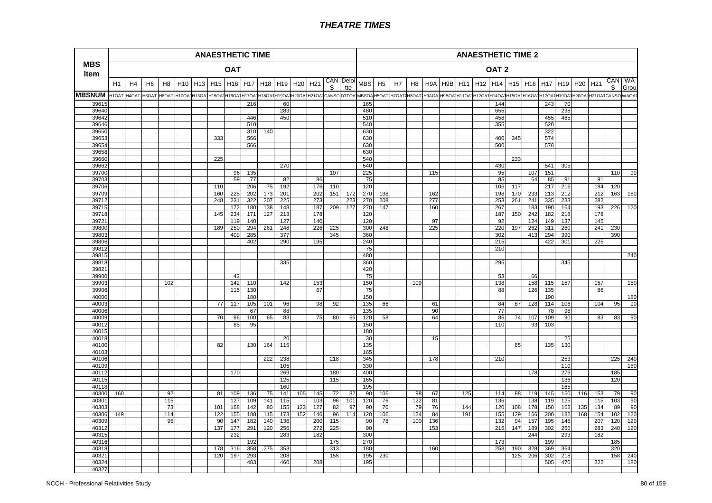|                                                                                                     |     |           | <b>ANAESTHETIC TIME</b> |                |  |                                 |     |            |            |     |            |                                         |            |                         |            |                |                      |                  |                                                                                                                 | <b>ANAESTHETIC TIME 2</b>                       |     |            |            |            |                     |            |            |                |
|-----------------------------------------------------------------------------------------------------|-----|-----------|-------------------------|----------------|--|---------------------------------|-----|------------|------------|-----|------------|-----------------------------------------|------------|-------------------------|------------|----------------|----------------------|------------------|-----------------------------------------------------------------------------------------------------------------|-------------------------------------------------|-----|------------|------------|------------|---------------------|------------|------------|----------------|
| <b>MBS</b><br><b>Item</b>                                                                           |     |           |                         |                |  |                                 |     | <b>OAT</b> |            |     |            |                                         |            |                         |            |                |                      |                  |                                                                                                                 | OAT <sub>2</sub>                                |     |            |            |            |                     |            |            |                |
|                                                                                                     | H1  | H4        | H <sub>6</sub>          | H <sub>8</sub> |  | H <sub>10</sub> H <sub>13</sub> |     |            |            |     |            | H15   H16   H17   H18   H19   H20   H21 | S          | <b>CAN Deloi</b><br>tte | <b>MBS</b> | H <sub>5</sub> | H7<br>H <sub>8</sub> | H <sub>9</sub> A | H <sub>9</sub> B<br>H <sub>11</sub>                                                                             | H <sub>12</sub> H <sub>14</sub> H <sub>15</sub> |     |            |            |            | H16 H17 H19 H20 H21 |            | S.         | CAN WA<br>Grou |
| MBSNUM H10AT H40AT H60AT H60AT H10AT H13OATH50ATH50ATH50ATH7OATH7OATH50ATH20ATH20ATH20ATH20ATH7OFTT |     |           |                         |                |  |                                 |     |            |            |     |            |                                         |            |                         |            |                |                      |                  | AOAWOGAASI AOI SHI AOOSHI AOOH HAOO AH AOO AH AOO AH AOO AH AO AH AOO AH AOO AH AO AGH AOO AH AOO AH AOO AH AOO |                                                 |     |            |            |            |                     |            |            |                |
| 39615                                                                                               |     | 216<br>60 |                         |                |  |                                 |     |            |            |     |            |                                         |            |                         | 165        |                |                      |                  |                                                                                                                 | 144                                             |     |            | 243        | 70         |                     |            |            |                |
| 39640                                                                                               |     |           |                         |                |  |                                 |     |            |            |     | 283        |                                         |            |                         | 480        |                |                      |                  |                                                                                                                 | 655                                             |     |            |            | 298        |                     |            |            |                |
| 39642                                                                                               |     |           |                         |                |  |                                 |     |            | 446        |     | 450        |                                         |            |                         | 510        |                |                      |                  |                                                                                                                 | 458                                             |     |            | 455        | 465        |                     |            |            |                |
| 39646                                                                                               |     |           |                         |                |  |                                 |     |            | 510        |     |            |                                         |            |                         | 540        |                |                      |                  |                                                                                                                 | 355                                             |     |            | 520        |            |                     |            |            |                |
| 39650                                                                                               |     |           |                         |                |  |                                 |     |            | 310        | 140 |            |                                         |            |                         | 630        |                |                      |                  |                                                                                                                 |                                                 |     |            | 322        |            |                     |            |            |                |
| 39653                                                                                               |     |           |                         |                |  |                                 | 333 |            | 566        |     |            |                                         |            |                         | 630        |                |                      |                  |                                                                                                                 | 400                                             | 345 |            | 574        |            |                     |            |            |                |
| 39654                                                                                               |     |           |                         |                |  |                                 |     |            | 566        |     |            |                                         |            |                         | 630<br>630 |                |                      |                  |                                                                                                                 | 500                                             |     |            | 576        |            |                     |            |            |                |
| 39658<br>39660                                                                                      |     |           |                         |                |  |                                 | 225 |            |            |     |            |                                         |            |                         | 540        |                |                      |                  |                                                                                                                 |                                                 | 233 |            |            |            |                     |            |            |                |
| 39662                                                                                               |     |           |                         |                |  |                                 |     |            |            |     | 270        |                                         |            |                         | 540        |                |                      |                  |                                                                                                                 | 430                                             |     |            | 541        | 305        |                     |            |            |                |
| 39700                                                                                               |     |           |                         |                |  |                                 |     | 96         | 135        |     |            |                                         | 107        |                         | 225        |                |                      | 115              |                                                                                                                 | 95                                              |     | 107        | 151        |            |                     |            | 110        | 90             |
| 39703                                                                                               |     |           |                         |                |  |                                 |     | 59         | 77         |     | 82         | 86                                      |            |                         | 75         |                |                      |                  |                                                                                                                 | 85                                              |     | 64         | 85         | 91         |                     | 91         |            |                |
| 39706                                                                                               |     |           |                         |                |  |                                 | 110 |            | 206        | 75  | 192        | 176                                     | 110        |                         | 120        |                |                      |                  |                                                                                                                 | 106                                             | 117 |            | 217        | 216        |                     | 184        | 120        |                |
| 39709                                                                                               |     |           |                         |                |  |                                 | 160 | 225        | 202        | 173 | 201        | 202                                     | 151        | 172                     | 270        | 198            |                      | 162              |                                                                                                                 | 198                                             | 170 | 233        | 213        | 212        |                     | 212        | 163        | 180            |
| 39712                                                                                               |     |           |                         |                |  |                                 | 248 | 231        | 322        | 207 | 225        | 273                                     |            | 223                     | 270        | 208            |                      | 277              |                                                                                                                 | 253                                             | 261 | 241        | 335        | 233        |                     | 282        |            |                |
| 39715                                                                                               |     |           |                         |                |  |                                 |     | 172        | 180        | 138 | 148        | 187                                     | 209        | 127                     | 270        | 147            |                      | 160              |                                                                                                                 | 267                                             |     | 183        | 190        | 164        |                     | 193        | 226        | 120            |
| 39718                                                                                               |     |           |                         |                |  |                                 | 145 | 234        | 171        | 127 | 213        | 178                                     |            |                         | 120        |                |                      |                  |                                                                                                                 | 187                                             | 150 | 242        | 182        | 218        |                     | 178        |            |                |
| 39721                                                                                               |     |           |                         |                |  |                                 |     | 119        | 140        |     | 127        | 140                                     |            |                         | 120        |                |                      | 97               |                                                                                                                 | 92                                              |     | 124        | 149        | 137        |                     | 145        |            |                |
| 39800<br>39803                                                                                      |     |           |                         |                |  |                                 | 189 | 250<br>409 | 294<br>285 | 261 | 246<br>377 | 226                                     | 225<br>345 |                         | 300<br>360 | 248            |                      | 225              |                                                                                                                 | 220<br>302                                      | 197 | 262<br>413 | 311<br>294 | 260<br>390 |                     | 241        | 230<br>390 |                |
| 39806                                                                                               |     |           |                         |                |  |                                 |     |            | 402        |     | 290        | 195                                     |            |                         | 240        |                |                      |                  |                                                                                                                 | 215                                             |     |            | 422        | 301        |                     | 225        |            |                |
| 39812                                                                                               |     |           |                         |                |  |                                 |     |            |            |     |            |                                         |            |                         | 75         |                |                      |                  |                                                                                                                 | 210                                             |     |            |            |            |                     |            |            |                |
| 39815                                                                                               |     |           |                         |                |  |                                 |     |            |            |     |            |                                         |            |                         | 480        |                |                      |                  |                                                                                                                 |                                                 |     |            |            |            |                     |            |            | 240            |
| 39818                                                                                               |     |           |                         |                |  |                                 |     |            |            |     | 335        |                                         |            |                         | 360        |                |                      |                  |                                                                                                                 | 295                                             |     |            |            | 345        |                     |            |            |                |
| 39821                                                                                               |     |           |                         |                |  |                                 |     |            |            |     |            |                                         |            |                         | 420        |                |                      |                  |                                                                                                                 |                                                 |     |            |            |            |                     |            |            |                |
| 39900                                                                                               |     |           |                         |                |  |                                 |     | 42         |            |     |            |                                         |            |                         | 75         |                |                      |                  |                                                                                                                 | 53                                              |     | 66         |            |            |                     |            |            |                |
| 39903                                                                                               |     |           |                         | 102            |  |                                 |     | 142        | 110        |     | 142        | 153                                     |            |                         | 150        |                | 109                  |                  |                                                                                                                 | 138                                             |     | 158        | 115        | 157        |                     | 157        |            | 150            |
| 39906                                                                                               |     |           |                         |                |  |                                 |     | 115        | 130        |     |            | 67                                      |            |                         | 75         |                |                      |                  |                                                                                                                 | 88                                              |     | 126        | 135        |            |                     | 86         |            |                |
| 40000                                                                                               |     |           |                         |                |  |                                 |     |            | 180        |     |            |                                         |            |                         | 150        |                |                      |                  |                                                                                                                 |                                                 |     |            | 190        |            |                     |            |            | 180            |
| 40003                                                                                               |     |           |                         |                |  |                                 | 77  | 117        | 105        | 101 | 96         | 98                                      | 92         |                         | 135        | 66             |                      | 61               |                                                                                                                 | 84                                              | 87  | 128        | 114        | 106        |                     | 104        | 95         | 90             |
| 40006<br>40009                                                                                      |     |           |                         |                |  |                                 | 70  | 96         | 67<br>100  | 65  | 88<br>83   | 75                                      | 80         | 66                      | 135<br>120 | 58             |                      | 90<br>64         |                                                                                                                 | 77<br>85                                        | 74  | 107        | 78<br>109  | 98<br>90   |                     | 83         | 83         | 90             |
| 40012                                                                                               |     |           |                         |                |  |                                 |     | 85         | 95         |     |            |                                         |            |                         | 150        |                |                      |                  |                                                                                                                 | 110                                             |     | 93         | 103        |            |                     |            |            |                |
| 40015                                                                                               |     |           |                         |                |  |                                 |     |            |            |     |            |                                         |            |                         | 180        |                |                      |                  |                                                                                                                 |                                                 |     |            |            |            |                     |            |            |                |
| 40018                                                                                               |     |           |                         |                |  |                                 |     |            |            |     | 20         |                                         |            |                         | 30         |                |                      | 15               |                                                                                                                 |                                                 |     |            |            | 25         |                     |            |            |                |
| 40100                                                                                               |     |           |                         |                |  |                                 | 82  |            | 130        | 164 | 115        |                                         |            |                         | 135        |                |                      |                  |                                                                                                                 |                                                 | 85  |            | 135        | 130        |                     |            |            |                |
| 40103                                                                                               |     |           |                         |                |  |                                 |     |            |            |     |            |                                         |            |                         | 165        |                |                      |                  |                                                                                                                 |                                                 |     |            |            |            |                     |            |            |                |
| 40106                                                                                               |     |           |                         |                |  |                                 |     |            |            | 222 | 238        |                                         | 218        |                         | 345        |                |                      | 178              |                                                                                                                 | 210                                             |     |            |            | 253        |                     |            | 225        | 240            |
| 40109                                                                                               |     |           |                         |                |  |                                 |     |            |            |     | 105        |                                         |            |                         | 330        |                |                      |                  |                                                                                                                 |                                                 |     |            |            | 110        |                     |            |            | 150            |
| 40112                                                                                               |     |           |                         |                |  |                                 |     | 170        |            |     | 269        |                                         | 180        |                         | 400        |                |                      |                  |                                                                                                                 |                                                 |     | 178        |            | 276        |                     |            | 185        |                |
| 40115                                                                                               |     |           |                         |                |  |                                 |     |            |            |     | 125        |                                         | 115        |                         | 165        |                |                      |                  |                                                                                                                 |                                                 |     |            |            | 136        |                     |            | 120        |                |
| 40118                                                                                               | 160 |           |                         | 92             |  |                                 | 81  | 109        |            | 75  | 160<br>141 |                                         |            |                         | 195        | 106            | 98                   |                  | 125                                                                                                             | 114                                             | 88  | 119        | 145        | 165        |                     |            |            | 90             |
| 40300<br>40301                                                                                      |     |           |                         | 115            |  |                                 |     | 127        | 136<br>109 | 141 | 115        | 105<br>145<br>103                       | 72<br>96   | 82<br>10 <sup>7</sup>   | 90<br>120  | 76             | 122                  | 67<br>81         |                                                                                                                 | 136                                             |     | 138        | 119        | 150<br>125 | 116                 | 153<br>115 | 79<br>103  | 90             |
| 40303                                                                                               |     |           |                         | 73             |  |                                 | 101 | 168        | 142        | 80  | 155        | 127<br>123                              | 82         | 97                      | 90         | 70             | 79                   | 76               | 144                                                                                                             | 120                                             | 108 | 178        | 150        | 162        | 135                 | 134        | 89         | 90             |
| 40306                                                                                               | 149 |           |                         | 114            |  |                                 | 122 | 155        | 188        | 115 | 173        | 152<br>146                              | 96         | 114                     | 120        | 106            | 124                  | 84               | 191                                                                                                             | 155                                             | 129 | 166        | 200        | 182        | 168                 | 154        | 102        | 120            |
| 40309                                                                                               |     |           |                         | 95             |  |                                 | 90  | 147        | 182        | 140 | 136        | 200                                     | 115        |                         | 90         | 78             | 100                  | 136              |                                                                                                                 | 132                                             | 94  | 157        | 195        | 145        |                     | 207        | 120        | 120            |
| 40312                                                                                               |     |           |                         |                |  |                                 | 137 | 177        | 291        | 120 | 256        | 272                                     | 225        |                         | 90         |                |                      | 153              |                                                                                                                 | 215                                             | 147 | 189        | 302        | 266        |                     | 283        | 240        | 120            |
| 40315                                                                                               |     |           |                         |                |  |                                 |     | 232        |            |     | 283        | 182                                     |            |                         | 300        |                |                      |                  |                                                                                                                 |                                                 |     | 244        |            | 293        |                     | 182        |            |                |
| 40316                                                                                               |     |           |                         |                |  |                                 |     |            | 192        |     |            |                                         | 175        |                         | 270        |                |                      |                  |                                                                                                                 | 173                                             |     |            | 199        |            |                     |            | 185        |                |
| 40318                                                                                               |     |           |                         |                |  |                                 | 178 | 316        | 358        | 275 | 353        |                                         | 313        |                         | 180        |                |                      | 160              |                                                                                                                 | 258                                             | 190 | 328        | 369        | 364        |                     |            | 320        |                |
| 40321                                                                                               |     |           |                         |                |  |                                 | 120 | 197        | 293        |     | 208        |                                         | 155        |                         | 195        | 230            |                      |                  |                                                                                                                 |                                                 | 125 | 206        | 302        | 218        |                     |            | 158        | 240            |
| 40324                                                                                               |     |           |                         |                |  |                                 |     |            | 483        |     | 460        | 208                                     |            |                         | 195        |                |                      |                  |                                                                                                                 |                                                 |     |            | 505        | 470        |                     | 222        |            | 180            |
| 40327                                                                                               |     |           |                         |                |  |                                 |     |            |            |     |            |                                         |            |                         |            |                |                      |                  |                                                                                                                 |                                                 |     |            |            |            |                     |            |            |                |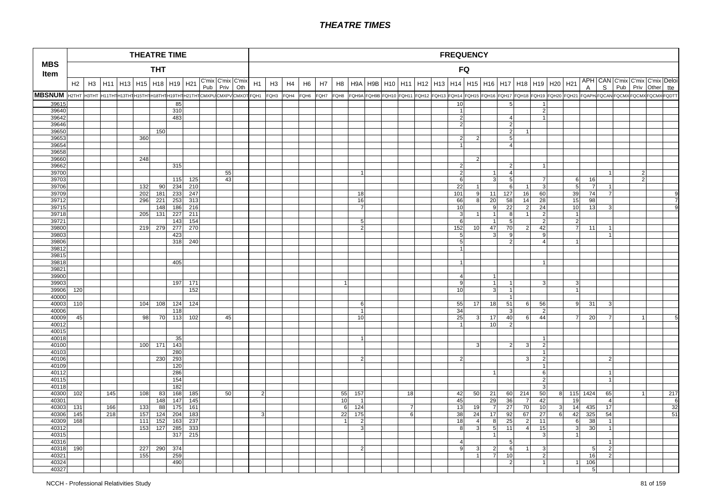|                                                                                                               |     |                                        | <b>THEATRE TIME</b> |            |            |            |     |          |                          |                |    |    |                |    |                |                                  |                |  | <b>FREQUENCY</b>                       |                     |                                   |                                                                                                                                                                                                                                |                     |                       |                      |                                                       |                                  |              |
|---------------------------------------------------------------------------------------------------------------|-----|----------------------------------------|---------------------|------------|------------|------------|-----|----------|--------------------------|----------------|----|----|----------------|----|----------------|----------------------------------|----------------|--|----------------------------------------|---------------------|-----------------------------------|--------------------------------------------------------------------------------------------------------------------------------------------------------------------------------------------------------------------------------|---------------------|-----------------------|----------------------|-------------------------------------------------------|----------------------------------|--------------|
| <b>MBS</b><br><b>Item</b>                                                                                     |     |                                        | <b>THT</b>          |            |            |            |     |          |                          |                |    |    |                |    |                |                                  |                |  | <b>FQ</b>                              |                     |                                   |                                                                                                                                                                                                                                |                     |                       |                      |                                                       |                                  |              |
|                                                                                                               | H2  | H3   H11   H13   H15   H18   H19   H21 |                     |            |            |            | Pub | Priv     | C'mix C'mix C'mix<br>Oth | H <sub>1</sub> | H3 | H4 | H <sub>6</sub> | H7 | H8             |                                  |                |  |                                        |                     |                                   | H9A   H9B   H10   H11   H12   H13   H14   H15   H16   H17   H18   H19   H20   H21                                                                                                                                              |                     | A                     | S.                   | APH CAN C'mix C'mix C'mix Deloi<br>Pub Priv Other tte |                                  |              |
| MBSNUM   H2THT   H3THT   H11THT   H13THT   H13THT   H13THT   H13THT   CHT   H13THT   CHT   H2HT   H2HT   FQH4 |     |                                        |                     |            |            |            |     |          |                          |                |    |    |                |    |                |                                  |                |  |                                        |                     |                                   | FQH6 FQH7 FQH8 FQH9A FQH9B FQH10 FQH11 FQH12 FQH12 FQH13 FQH14 FQH15 FQH16 FQH17 FQH18 FQH19 FQH20 FQH21 FQAPH FQCAN FQCMX FQCMX FQCMX FQCMX FQCMX FQCMX FQCMX FQCMX FQCMX FQCMX FQCMX FQCMX FQCMX FQCMX FQCMX FQCMX FQCMX FQC |                     |                       |                      |                                                       |                                  |              |
| 39615                                                                                                         |     |                                        |                     |            | 85         |            |     |          |                          |                |    |    |                |    |                |                                  |                |  | 10                                     |                     | $5\overline{)}$                   | $\mathbf{1}$                                                                                                                                                                                                                   |                     |                       |                      |                                                       |                                  |              |
| 39640<br>39642                                                                                                |     |                                        |                     |            | 310<br>483 |            |     |          |                          |                |    |    |                |    |                |                                  |                |  | $\mathbf{1}$<br>$\overline{2}$         |                     | $\overline{4}$                    | 2 <sup>1</sup><br>1 <sup>1</sup>                                                                                                                                                                                               |                     |                       |                      |                                                       |                                  |              |
| 39646                                                                                                         |     |                                        |                     |            |            |            |     |          |                          |                |    |    |                |    |                |                                  |                |  | $\overline{2}$                         |                     | $\overline{2}$                    |                                                                                                                                                                                                                                |                     |                       |                      |                                                       |                                  |              |
| 39650                                                                                                         |     |                                        |                     | 150        |            |            |     |          |                          |                |    |    |                |    |                |                                  |                |  |                                        |                     | $\overline{2}$<br>11              |                                                                                                                                                                                                                                |                     |                       |                      |                                                       |                                  |              |
| 39653                                                                                                         |     |                                        | 360                 |            |            |            |     |          |                          |                |    |    |                |    |                |                                  |                |  | 2 <br>2 <sup>1</sup><br>$\overline{1}$ |                     | $5\phantom{.0}$<br>$\overline{4}$ |                                                                                                                                                                                                                                |                     |                       |                      |                                                       |                                  |              |
| 39654<br>39658                                                                                                |     |                                        |                     |            |            |            |     |          |                          |                |    |    |                |    |                |                                  |                |  |                                        |                     |                                   |                                                                                                                                                                                                                                |                     |                       |                      |                                                       |                                  |              |
| 39660                                                                                                         |     |                                        | 248                 |            |            |            |     |          |                          |                |    |    |                |    |                |                                  |                |  | $\overline{2}$                         |                     |                                   |                                                                                                                                                                                                                                |                     |                       |                      |                                                       |                                  |              |
| 39662                                                                                                         |     |                                        |                     |            | 315        |            |     |          |                          |                |    |    |                |    |                |                                  |                |  | 2                                      |                     | $\overline{2}$                    | 1                                                                                                                                                                                                                              |                     |                       |                      |                                                       |                                  |              |
| 39700<br>39703                                                                                                |     |                                        |                     |            | 115        | 125        |     | 55<br>43 |                          |                |    |    |                |    |                | $\mathbf{1}$                     |                |  | 2 <br><sup>6</sup>                     | 1<br>$\overline{3}$ | $\overline{4}$<br>$5\phantom{.0}$ | $\overline{7}$                                                                                                                                                                                                                 | 6                   | 16                    | $\mathbf{1}$         |                                                       | $\overline{2}$<br>2 <sup>1</sup> |              |
| 39706                                                                                                         |     |                                        | 132                 | 90         | 234        | 210        |     |          |                          |                |    |    |                |    |                |                                  |                |  | 22                                     |                     | $6\overline{6}$                   | $\overline{3}$                                                                                                                                                                                                                 | 5                   | $\overline{7}$        | $\mathbf{1}$         |                                                       |                                  |              |
| 39709                                                                                                         |     |                                        | 202                 | 181        | 233        | 247        |     |          |                          |                |    |    |                |    |                | 18                               |                |  | 101<br>9                               | 11                  | 127<br>16                         | 60                                                                                                                                                                                                                             | 39                  | 74                    | $\overline{7}$       |                                                       |                                  |              |
| 39712                                                                                                         |     |                                        | 296                 | 221        | 253        | 313        |     |          |                          |                |    |    |                |    |                | 16                               |                |  | 66<br>8                                | 20                  | 58<br>14                          | 28                                                                                                                                                                                                                             | 15                  | 98                    |                      |                                                       |                                  |              |
| 39715<br>39718                                                                                                |     |                                        | 205                 | 148<br>131 | 186<br>227 | 216<br>211 |     |          |                          |                |    |    |                |    |                | $\overline{7}$                   |                |  | 10 <sup>1</sup><br>3<br>11             | 9<br>1              | 22<br>$\overline{2}$<br>8<br>1    | 24<br>$\overline{2}$                                                                                                                                                                                                           | 10<br>1             | 13                    | 3                    |                                                       |                                  | $\mathbf{q}$ |
| 39721                                                                                                         |     |                                        |                     |            | 143        | 154        |     |          |                          |                |    |    |                |    |                | 5                                |                |  | 6                                      | 1                   | $5\phantom{.0}$                   | $\overline{2}$                                                                                                                                                                                                                 | 2                   |                       |                      |                                                       |                                  |              |
| 39800                                                                                                         |     |                                        | 219                 | 279        | 277        | 270        |     |          |                          |                |    |    |                |    |                | 2 <sup>1</sup>                   |                |  | 152<br>10                              | 47                  | 70<br>$\overline{2}$              | 42                                                                                                                                                                                                                             | 7 <sup>1</sup>      | 11                    | $\overline{1}$       |                                                       |                                  |              |
| 39803<br>39806                                                                                                |     |                                        |                     |            | 423<br>318 | 240        |     |          |                          |                |    |    |                |    |                |                                  |                |  | 5 <sub>5</sub><br>5 <sub>l</sub>       | 3 <sup>1</sup>      | 9<br>$\overline{2}$               | $\overline{9}$<br>4 <sup>1</sup>                                                                                                                                                                                               | 11                  |                       | $\mathbf{1}$         |                                                       |                                  |              |
| 39812                                                                                                         |     |                                        |                     |            |            |            |     |          |                          |                |    |    |                |    |                |                                  |                |  | $\overline{1}$                         |                     |                                   |                                                                                                                                                                                                                                |                     |                       |                      |                                                       |                                  |              |
| 39815                                                                                                         |     |                                        |                     |            |            |            |     |          |                          |                |    |    |                |    |                |                                  |                |  |                                        |                     |                                   |                                                                                                                                                                                                                                |                     |                       |                      |                                                       |                                  |              |
| 39818                                                                                                         |     |                                        |                     |            | 405        |            |     |          |                          |                |    |    |                |    |                |                                  |                |  | 1                                      |                     |                                   | $\overline{1}$                                                                                                                                                                                                                 |                     |                       |                      |                                                       |                                  |              |
| 39821<br>39900                                                                                                |     |                                        |                     |            |            |            |     |          |                          |                |    |    |                |    |                |                                  |                |  | 4 <sup>1</sup>                         | 1 <sup>1</sup>      |                                   |                                                                                                                                                                                                                                |                     |                       |                      |                                                       |                                  |              |
| 39903                                                                                                         |     |                                        |                     |            | 197        | 171        |     |          |                          |                |    |    |                |    | 1              |                                  |                |  | 9                                      | 1                   | $\mathbf{1}$                      | 3                                                                                                                                                                                                                              | 3 <sup>1</sup>      |                       |                      |                                                       |                                  |              |
| 39906                                                                                                         | 120 |                                        |                     |            |            | 152        |     |          |                          |                |    |    |                |    |                |                                  |                |  | 10                                     | 3 <sup>l</sup>      | $\mathbf{1}$                      |                                                                                                                                                                                                                                | 1 <sup>1</sup>      |                       |                      |                                                       |                                  |              |
| 40000                                                                                                         |     |                                        |                     |            |            |            |     |          |                          |                |    |    |                |    |                |                                  |                |  |                                        |                     | 1                                 |                                                                                                                                                                                                                                |                     |                       |                      |                                                       |                                  |              |
| 40003<br>40006                                                                                                | 110 |                                        | 104                 | 108        | 124<br>118 | 124        |     |          |                          |                |    |    |                |    |                | 6 <sup>1</sup><br>$\overline{1}$ |                |  | 55<br>17<br>34                         | 18                  | 51<br>6<br>$\mathbf{3}$           | 56<br>2 <sup>1</sup>                                                                                                                                                                                                           | $9^{\circ}$         | 31                    | 3                    |                                                       |                                  |              |
| 40009                                                                                                         | 45  |                                        | 98                  | 70         | 113        | 102        |     | 45       |                          |                |    |    |                |    |                | 10 <sup>1</sup>                  |                |  | 25<br>3                                | 17                  | 40<br>6                           | 44                                                                                                                                                                                                                             | $\overline{7}$      | 20                    | $\overline{7}$       |                                                       | $\mathbf{1}$                     |              |
| 40012                                                                                                         |     |                                        |                     |            |            |            |     |          |                          |                |    |    |                |    |                |                                  |                |  | $\mathbf{1}$                           | 10                  | $\overline{2}$                    |                                                                                                                                                                                                                                |                     |                       |                      |                                                       |                                  |              |
| 40015<br>40018                                                                                                |     |                                        |                     |            | 35         |            |     |          |                          |                |    |    |                |    |                | $\mathbf{1}$                     |                |  |                                        |                     |                                   | $\mathbf{1}$                                                                                                                                                                                                                   |                     |                       |                      |                                                       |                                  |              |
| 40100                                                                                                         |     |                                        | 100                 | 171        | 143        |            |     |          |                          |                |    |    |                |    |                |                                  |                |  | 3 <sup>l</sup>                         |                     | $\overline{2}$<br>$\mathbf{3}$    | 2 <sup>1</sup>                                                                                                                                                                                                                 |                     |                       |                      |                                                       |                                  |              |
| 40103                                                                                                         |     |                                        |                     |            | 280        |            |     |          |                          |                |    |    |                |    |                |                                  |                |  |                                        |                     |                                   | $\mathbf{1}$                                                                                                                                                                                                                   |                     |                       |                      |                                                       |                                  |              |
| 40106                                                                                                         |     |                                        |                     | 230        | 293        |            |     |          |                          |                |    |    |                |    |                | 2                                |                |  | $\overline{2}$                         |                     | $\mathbf{3}$                      | 2 <sup>1</sup>                                                                                                                                                                                                                 |                     |                       | $\overline{2}$       |                                                       |                                  |              |
| 40109<br>40112                                                                                                |     |                                        |                     |            | 120<br>286 |            |     |          |                          |                |    |    |                |    |                |                                  |                |  |                                        | 1 <sup>1</sup>      |                                   | $\mathbf{1}$<br>6 <sup>1</sup>                                                                                                                                                                                                 |                     |                       | $\mathbf{1}$         |                                                       |                                  |              |
| 40115                                                                                                         |     |                                        |                     |            | 154        |            |     |          |                          |                |    |    |                |    |                |                                  |                |  |                                        |                     |                                   | 2 <sup>1</sup>                                                                                                                                                                                                                 |                     |                       | $\mathbf{1}$         |                                                       |                                  |              |
| 40118                                                                                                         |     |                                        |                     |            | 182        |            |     |          |                          |                |    |    |                |    |                |                                  |                |  |                                        |                     |                                   | 3 <sup>1</sup>                                                                                                                                                                                                                 |                     |                       |                      |                                                       |                                  |              |
| 40300                                                                                                         | 102 | 145                                    | 108                 | 83<br>148  | 168        | 185<br>145 |     | 50       |                          | $\overline{2}$ |    |    |                |    | 55<br>10       | 157<br>$\mathbf{1}$              | 18             |  | 42<br>50                               | 21<br>29            | 60<br>214<br>36                   | 50<br>8                                                                                                                                                                                                                        |                     | 115 1424              | 65<br>$\overline{4}$ |                                                       | 1                                | 217<br>6     |
| 40301<br>40303                                                                                                | 131 | 166                                    | 133                 | 88         | 147<br>175 | 161        |     |          |                          |                |    |    |                |    | 6              | 124                              | $\overline{7}$ |  | 45<br>13<br>19                         | $\overline{7}$      | $\overline{7}$<br>27<br>70        | 42<br>10<br>$\mathbf{3}$                                                                                                                                                                                                       | 19<br>14            | 435                   | 17                   |                                                       |                                  | 32           |
| 40306                                                                                                         | 145 | 218                                    | 157                 | 124        | 204        | 183        |     |          |                          | 3              |    |    |                |    | 22             | 175                              | 6              |  | 38<br>24                               | 17                  | 92<br>67                          | $6 \overline{}$<br>27                                                                                                                                                                                                          | 42                  | 325                   | 54                   |                                                       |                                  | 51           |
| 40309                                                                                                         | 168 |                                        | 111                 | 152        | 163        | 237        |     |          |                          |                |    |    |                |    | $\overline{1}$ | $\overline{2}$                   |                |  | 18<br>$\overline{4}$                   | 8                   | 25<br>$\overline{2}$              | 11                                                                                                                                                                                                                             | 6                   | 38                    | $\mathbf{1}$         |                                                       |                                  |              |
| 40312<br>40315                                                                                                |     |                                        | 153                 | 127        | 285<br>317 | 333<br>215 |     |          |                          |                |    |    |                |    |                | 3 <sup>1</sup>                   |                |  | 8 <sup>1</sup><br>$\mathbf{3}$         | 5 <sup>1</sup><br>1 | 11<br>$\vert$ 4                   | 15<br>3 <sup>1</sup>                                                                                                                                                                                                           | 3 <sup>l</sup><br>1 | 30                    | $\mathbf{1}$         |                                                       |                                  |              |
| 40316                                                                                                         |     |                                        |                     |            |            |            |     |          |                          |                |    |    |                |    |                |                                  |                |  | $\overline{4}$                         |                     | $5\phantom{.0}$                   |                                                                                                                                                                                                                                |                     |                       | $\mathbf{1}$         |                                                       |                                  |              |
| 40318                                                                                                         | 190 |                                        | 227                 | 290        | 374        |            |     |          |                          |                |    |    |                |    |                | $\overline{2}$                   |                |  | 9<br>3                                 | $\mathbf{2}$        | 6<br>1                            | 3                                                                                                                                                                                                                              |                     | 5                     | $\overline{2}$       |                                                       |                                  |              |
| 40321                                                                                                         |     |                                        | 155                 |            | 259        |            |     |          |                          |                |    |    |                |    |                |                                  |                |  | 1                                      | $\overline{7}$      | 10                                | 2 <sup>1</sup>                                                                                                                                                                                                                 |                     | 16                    | $\overline{2}$       |                                                       |                                  |              |
| 40324<br>40327                                                                                                |     |                                        |                     |            | 490        |            |     |          |                          |                |    |    |                |    |                |                                  |                |  |                                        |                     | 2                                 | $\mathbf{1}$                                                                                                                                                                                                                   | 11                  | 106<br>5 <sub>l</sub> |                      |                                                       |                                  |              |
|                                                                                                               |     |                                        |                     |            |            |            |     |          |                          |                |    |    |                |    |                |                                  |                |  |                                        |                     |                                   |                                                                                                                                                                                                                                |                     |                       |                      |                                                       |                                  |              |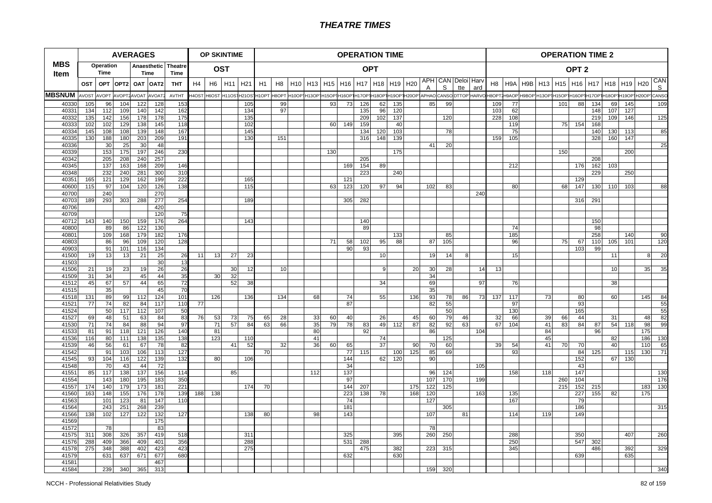|                    |                                                                         |                                                                    |            | <b>AVERAGES</b>     |            |                        |     |                 | <b>OP SKINTIME</b>        |                 |    |     |                                                                                           |     |           |            | <b>OPERATION TIME</b> |           |     |            |                               |     |     |                |            | <b>OPERATION TIME 2</b>        |            |                  |            |     |                     |                                     |            |
|--------------------|-------------------------------------------------------------------------|--------------------------------------------------------------------|------------|---------------------|------------|------------------------|-----|-----------------|---------------------------|-----------------|----|-----|-------------------------------------------------------------------------------------------|-----|-----------|------------|-----------------------|-----------|-----|------------|-------------------------------|-----|-----|----------------|------------|--------------------------------|------------|------------------|------------|-----|---------------------|-------------------------------------|------------|
| <b>MBS</b><br>Item |                                                                         | <b>Time</b>                                                        |            | Anaesthetic<br>Time |            | <b>Theatre</b><br>Time |     |                 | <b>OST</b>                |                 |    |     |                                                                                           |     |           | <b>OPT</b> |                       |           |     |            |                               |     |     |                |            |                                |            | OPT <sub>2</sub> |            |     |                     |                                     |            |
|                    | Operation<br><b>OPT</b><br>OPT <sub>2</sub><br><b>OST</b><br>VOST AVOPT |                                                                    |            | OAT OAT2            |            | <b>THT</b>             | H4  | H6              | H <sub>11</sub>           | H <sub>21</sub> | H1 | H8  | H10   H13   H15   H16   H17   H18   H19   H20                                             |     |           |            |                       |           |     |            | APH   CAN   Deloi   Harv<br>S | tte | ard | H <sub>8</sub> | H9A        | H9B H13 H15                    |            |                  |            |     | H16 H17 H18 H19 H20 |                                     | CAN<br>S.  |
| <b>MBSNUM</b>      |                                                                         |                                                                    |            | AVOPT2AVOAT AVOAT2  |            | AVTHT                  |     |                 | 140ST H60ST H110ST H210ST |                 |    |     | H1OPT   H8OPT   H10OPTH13OPTH15OPTH16OPTH17OPTH18OPTH19OPTH20OPTAPHAO CANSO   DTTOPTHARVO |     |           |            |                       |           |     |            |                               |     |     |                |            | H8OPT2H9AOP1H9BOP1H13OP1H15OP1 |            |                  |            |     |                     | H16OP1H17OP1H18OP1H19OP1H20OP1CANSC |            |
| 40330              | 105                                                                     | 96                                                                 | 104        | 122                 | 128        | 153                    |     |                 |                           | 105             |    | 99  |                                                                                           | 93  | 73        | 126        | 62                    | 135       |     | 85         | 99                            |     |     | 109            | 77         |                                | 101        | 88               | 134        | 69  | 145                 |                                     | 109        |
| 40331              | 134                                                                     | 112<br>109<br>140<br>142<br>135<br>142<br>156<br>178<br>178<br>129 |            | 162                 |            |                        |     | 134             |                           | 97              |    |     |                                                                                           | 135 | 96        | 120        |                       |           |     |            |                               | 103 | 62  |                |            |                                | 148        | 107              | 127        |     |                     |                                     |            |
| 40332<br>40333     | 102                                                                     | 102                                                                |            | 138                 | 145        | 175<br>118             |     |                 |                           | 135<br>102      |    |     |                                                                                           | 60  | 149       | 209<br>159 | 102                   | 137<br>40 |     |            | 120                           |     |     | 228            | 108<br>119 |                                | 75         | 154              | 219<br>168 | 109 | 146                 |                                     | 125        |
| 40334              | 145                                                                     | 108                                                                | 108        | 139                 | 148        | 167                    |     |                 |                           | 145             |    |     |                                                                                           |     |           | 134        | 120                   | 103       |     |            | 78                            |     |     |                | 75         |                                |            |                  | 140        | 130 | 113                 |                                     | 85         |
| 40335              | 130                                                                     | 188                                                                | 180        | 203                 | 209        | 191                    |     |                 |                           | 130             |    | 151 |                                                                                           |     |           | 316        | 148                   | 139       |     |            |                               |     |     | 159            | 105        |                                |            |                  | 328        | 160 | 147                 |                                     |            |
| 40336              |                                                                         | 30                                                                 | 25         | 30                  | 48         |                        |     |                 |                           |                 |    |     |                                                                                           |     |           |            |                       |           |     | 41         | 20                            |     |     |                |            |                                |            |                  |            |     |                     |                                     | 25         |
| 40339              |                                                                         | 153                                                                | 175        | 197                 | 246        | 230                    |     |                 |                           |                 |    |     |                                                                                           | 130 |           |            |                       | 175       |     |            |                               |     |     |                |            |                                | 150        |                  |            |     | 200                 |                                     |            |
| 40342<br>40345     |                                                                         | 205<br>137                                                         | 208<br>163 | 240<br>168          | 257<br>209 | 146                    |     |                 |                           |                 |    |     |                                                                                           |     | 169       | 205<br>154 | 89                    |           |     |            |                               |     |     |                | 212        |                                |            | 176              | 208<br>162 | 103 |                     |                                     |            |
| 40348              |                                                                         | 232                                                                | 240        | 281                 | 300        | 310                    |     |                 |                           |                 |    |     |                                                                                           |     |           | 223        |                       | 240       |     |            |                               |     |     |                |            |                                |            |                  | 229        |     | 250                 |                                     |            |
| 40351              | 165                                                                     | 121                                                                | 129        | 162                 | 199        | 222                    |     |                 |                           | 165             |    |     |                                                                                           |     | 121       |            |                       |           |     |            |                               |     |     |                |            |                                |            | 129              |            |     |                     |                                     |            |
| 40600              | 115                                                                     | 97                                                                 | 104        | 120                 | 126        | 138                    |     |                 |                           | 115             |    |     |                                                                                           | 63  | 123       | 120        | 97                    | 94        |     | 102        | 83                            |     |     |                | 80         |                                | 68         | 147              | 130        | 110 | 103                 |                                     | 88         |
| 40700              |                                                                         | 240                                                                |            |                     | 270        |                        |     |                 |                           |                 |    |     |                                                                                           |     |           |            |                       |           |     |            |                               |     | 240 |                |            |                                |            |                  |            |     |                     |                                     |            |
| 40703<br>40706     | 189                                                                     | 293                                                                | 303        | 288                 | 277<br>420 | 254                    |     |                 |                           | 189             |    |     |                                                                                           |     | 305       | 282        |                       |           |     |            |                               |     |     |                |            |                                |            | 316              | 291        |     |                     |                                     |            |
| 40709              |                                                                         |                                                                    |            |                     | 120        | 75                     |     |                 |                           |                 |    |     |                                                                                           |     |           |            |                       |           |     |            |                               |     |     |                |            |                                |            |                  |            |     |                     |                                     |            |
| 40712              | 143                                                                     | 140                                                                | 150        | 159                 | 176        | 264                    |     |                 |                           | 143             |    |     |                                                                                           |     |           | 140        |                       |           |     |            |                               |     |     |                |            |                                |            |                  | 150        |     |                     |                                     |            |
| 40800              |                                                                         | 89                                                                 | 86         | 122                 | 130        |                        |     |                 |                           |                 |    |     |                                                                                           |     |           | 89         |                       |           |     |            |                               |     |     |                | 74         |                                |            |                  | 98         |     |                     |                                     |            |
| 40801              |                                                                         | 109                                                                | 168        | 179                 | 182        | 176                    |     |                 |                           |                 |    |     |                                                                                           |     |           |            |                       | 133       |     |            | 85                            |     |     |                | 185        |                                |            |                  | 258        |     | 140                 |                                     | 90         |
| 40803              |                                                                         | 86                                                                 | 96         | 109                 | 120        | 128                    |     |                 |                           |                 |    |     |                                                                                           | 71  | 58        | 102        | 95                    | 88        |     | 87         | 105                           |     |     |                | 96         |                                | 75         | 67               | 110        | 105 | 101                 |                                     | 120        |
| 40903<br>41500     | 19                                                                      | 91<br>13                                                           | 101<br>13  | 116<br>21           | 134<br>25  | 26                     | 11  | 13 <sup>1</sup> | 27                        | 23              |    |     |                                                                                           |     | 90        | 93         | 10                    |           |     | 19         | 14                            | 8   |     |                | 15         |                                |            | 103              | 99         | 11  |                     | 8                                   | 20         |
| 41503              |                                                                         |                                                                    |            |                     | 30         | 13                     |     |                 |                           |                 |    |     |                                                                                           |     |           |            |                       |           |     |            |                               |     |     |                |            |                                |            |                  |            |     |                     |                                     |            |
| 41506              | 21                                                                      | 19                                                                 | 23         | 19                  | 26         | 26                     |     |                 | 30                        | 12              |    | 10  |                                                                                           |     |           |            | 9                     |           | 20  | 30         | 28                            |     | 14  | 13             |            |                                |            |                  |            | 10  |                     | 35                                  | 35         |
| 41509              | 31                                                                      | 34                                                                 |            | 45                  | 44         | 35                     |     | 30              | 32                        |                 |    |     |                                                                                           |     |           |            |                       |           |     | 34         |                               |     |     |                |            |                                |            |                  |            |     |                     |                                     |            |
| 41512              | 45                                                                      | 67                                                                 | 57         | 44                  | 65         | 72                     |     |                 | 52                        | 38              |    |     |                                                                                           |     |           |            | 34                    |           |     | 69         |                               |     | 97  |                | 76         |                                |            |                  |            | 38  |                     |                                     |            |
| 41515<br>41518     | 131                                                                     | 35<br>89                                                           | 99         | 112                 | 45<br>124  | 70<br>101              |     | 126             |                           | 136             |    | 134 | 68                                                                                        |     | 74        |            | 55                    |           | 136 | 35<br>93   | 78                            | 86  | 73  | 137            | 117        | 73                             |            | 80               |            | 60  |                     | 145                                 | 84         |
| 41521              | 77                                                                      | 74                                                                 | 82         | 84                  | 117        | 110                    | 77  |                 |                           |                 |    |     |                                                                                           |     | 87        |            |                       |           |     | 82         | 55                            |     |     |                | 97         |                                |            | 93               |            |     |                     |                                     | 55         |
| 41524              |                                                                         | 50                                                                 | 117        | 112                 | 107        | 50                     |     |                 |                           |                 |    |     |                                                                                           |     |           |            |                       |           |     |            | 50                            |     |     |                | 130        |                                |            | 165              |            |     |                     |                                     | 55         |
| 41527              | 69                                                                      | 48                                                                 | 51         | 63                  | 84         | 83                     | 76  | 53              | 73                        | 75              | 65 | 28  | 33 <sub>1</sub>                                                                           | 60  | 40        |            | 26                    |           | 45  | 60         | 79                            | 46  |     | 32             | 66         | 39                             | 66         | 44               |            | 31  |                     | 48                                  | 82         |
| 41530              | 71                                                                      | 74                                                                 | 84         | 88                  | 94         | 97                     |     | 71              | 57                        | 84              | 63 | 66  | 35                                                                                        | 79  | 78        | 83         | 49                    | 112       | 87  | 82         | 92                            | 63  |     | 67             | 104        | 41                             | 83         | 84               | 87         | 54  | 118                 | 98                                  | 99         |
| 41533              | 81                                                                      | 91                                                                 | 118<br>111 | 121                 | 126        | 140                    |     | 81<br>123       |                           |                 |    |     | 80                                                                                        |     |           | 92         | 74                    |           |     | 86         | 125                           |     | 104 |                |            | 84<br>45                       |            |                  | 96         | 82  |                     | 175                                 |            |
| 41536<br>41539     | 116<br>46                                                               | 80<br>56                                                           | 61         | 138<br>67           | 135<br>78  | 138<br>82              |     |                 | 41                        | 110<br>52       |    | 32  | 41<br>36                                                                                  | 60  | 65        |            | 37                    |           | 90  | 70         | 60                            |     |     | 39             | 54         | 41                             | 70         | 70               |            | 40  |                     | 186<br>110                          | 130<br>65  |
| 41542              |                                                                         | 91                                                                 | 103        | 106                 | 113        | 127                    |     |                 |                           |                 | 70 |     |                                                                                           |     | 77        | 115        |                       | 100       | 125 | 85         | 69                            |     |     |                | 93         |                                |            | 84               | 125        |     | 115                 | 130                                 | 71         |
| 41545              | 93                                                                      | 104                                                                | 116        | 122                 | 139        | 132                    |     | 80              |                           | 106             |    |     |                                                                                           |     | 144       |            | 62                    | 120       |     | 90         |                               |     |     |                |            |                                |            | 152              |            | 67  | 130                 |                                     |            |
| 41548              |                                                                         | 70                                                                 | 43         | 44                  | 72         |                        |     |                 |                           |                 |    |     |                                                                                           |     | 34        |            |                       |           |     |            |                               |     | 105 |                |            |                                |            | 43               |            |     |                     |                                     |            |
| 41551              | 85                                                                      | 117                                                                | 138        | 137                 | 156        | 114                    |     |                 | 85                        |                 |    |     | 112                                                                                       |     | 137       |            |                       |           |     | 96         | 124<br>170                    |     |     |                | 158        | 118                            |            | 147              |            |     |                     |                                     | 130<br>176 |
| 41554<br>41557     | 174                                                                     | 143<br>140                                                         | 180<br>179 | 195<br>173          | 183<br>181 | 350<br>221             |     |                 |                           | 174             | 70 |     |                                                                                           |     | 97<br>144 | 207        |                       |           | 175 | 107<br>122 | 125                           |     | 199 |                |            |                                | 260<br>215 | 104<br>152       | 215        |     |                     | 183                                 | 130        |
| 41560              | 163                                                                     | 148                                                                | 155        | 176                 | 178        | 139                    | 188 | 138             |                           |                 |    |     |                                                                                           |     | 223       | 138        | 78                    |           | 168 | 120        |                               |     | 163 |                | 135        |                                |            | 227              | 155        | 82  |                     | 175                                 |            |
| 41563              |                                                                         | 101                                                                | 123        | 81                  | 147        | 110                    |     |                 |                           |                 |    |     |                                                                                           |     | 74        |            |                       |           |     | 127        |                               |     |     |                | 167        |                                |            | 79               |            |     |                     |                                     |            |
| 41564              |                                                                         | 243                                                                | 251        | 268                 | 239        |                        |     |                 |                           |                 |    |     |                                                                                           |     | 181       |            |                       |           |     |            | 305                           |     |     |                |            |                                |            | 186              |            |     |                     |                                     | 315        |
| 41566              | 138                                                                     | 102                                                                | 127        | 122                 | 132        | 127                    |     |                 |                           | 138             | 80 |     | 98                                                                                        |     | 143       |            |                       |           |     | 107        |                               | 81  |     |                | 114        | 119                            |            | 149              |            |     |                     |                                     |            |
| 41569<br>41572     |                                                                         | 78                                                                 |            |                     | 175<br>83  |                        |     |                 |                           |                 |    |     |                                                                                           |     |           |            |                       |           |     | 78         |                               |     |     |                |            |                                |            |                  |            |     |                     |                                     |            |
| 41575              | 311                                                                     | 308                                                                | 326        | 357                 | 419        | 518                    |     |                 |                           | 31'             |    |     |                                                                                           |     | 325       |            |                       | 395       |     | 260        | 250                           |     |     |                | 288        |                                |            | 350              |            |     | 407                 |                                     | 260        |
| 41576              | 288                                                                     | 409                                                                | 366        | 409                 | 401        | 356                    |     |                 |                           | 288             |    |     |                                                                                           |     | 531       | 288        |                       |           |     |            |                               |     |     |                | 250        |                                |            | 547              | 302        |     |                     |                                     |            |
| 41578              | 275                                                                     | 348                                                                | 388        | 402                 | 423        | 423                    |     |                 |                           | 275             |    |     |                                                                                           |     |           | 475        |                       | 382       |     | 223        | 315                           |     |     |                | 345        |                                |            |                  | 486        |     | 392                 |                                     | 329        |
| 41579              |                                                                         | 631                                                                | 637        | 671                 | 677        | 680                    |     |                 |                           |                 |    |     |                                                                                           |     | 632       |            |                       | 630       |     |            |                               |     |     |                |            |                                |            | 639              |            |     | 635                 |                                     |            |
| 41581              |                                                                         |                                                                    |            |                     | 467        |                        |     |                 |                           |                 |    |     |                                                                                           |     |           |            |                       |           |     |            |                               |     |     |                |            |                                |            |                  |            |     |                     |                                     |            |
| 41584              |                                                                         | 239                                                                | 340        | 365                 | 313        |                        |     |                 |                           |                 |    |     |                                                                                           |     |           |            |                       |           |     | 159        | 320                           |     |     |                |            |                                |            |                  |            |     |                     |                                     | 340        |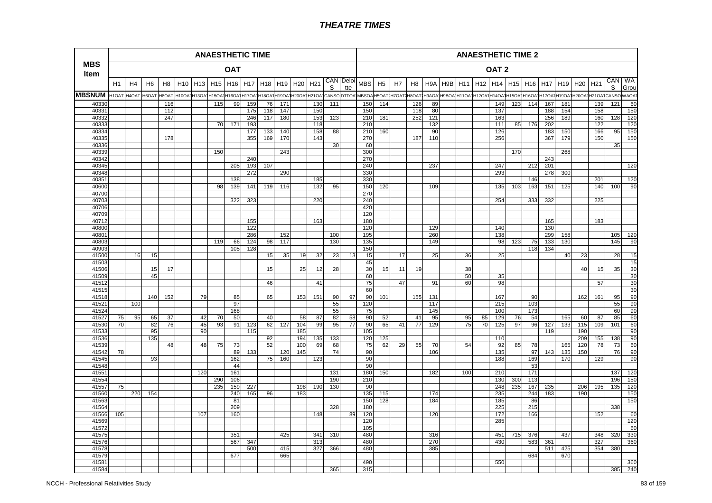|                    |     |     | <b>ANAESTHETIC TIME</b><br><b>OAT</b> |                |                                                                                           |     |           |            |                 |     |                                                 |            |                |     |            |                |    |                |                                                                                                      |     |    |                  | <b>ANAESTHETIC TIME 2</b>               |           |            |            |            |            |             |            |
|--------------------|-----|-----|---------------------------------------|----------------|-------------------------------------------------------------------------------------------|-----|-----------|------------|-----------------|-----|-------------------------------------------------|------------|----------------|-----|------------|----------------|----|----------------|------------------------------------------------------------------------------------------------------|-----|----|------------------|-----------------------------------------|-----------|------------|------------|------------|------------|-------------|------------|
| <b>MBS</b><br>Item |     |     |                                       |                |                                                                                           |     |           |            |                 |     |                                                 |            |                |     |            |                |    |                |                                                                                                      |     |    | OAT <sub>2</sub> |                                         |           |            |            |            |            |             |            |
|                    | H1  | H4  | H <sub>6</sub>                        | H <sub>8</sub> | H <sub>10</sub>   H <sub>13</sub>   H <sub>15</sub>   H <sub>16</sub>   H <sub>17</sub>   |     |           |            |                 |     | H <sub>18</sub> H <sub>19</sub> H <sub>20</sub> | H21        | CAN Deloi<br>S | tte | <b>MBS</b> | H <sub>5</sub> | H7 | H <sub>8</sub> | H <sub>9</sub> A<br>H9B                                                                              |     |    |                  | H11   H12   H14   H15   H16   H17   H19 |           |            |            | H20 H21    |            | CAN WA<br>S | Grou       |
| <b>MBSNUM</b>      |     |     |                                       |                | H1OAT H4OAT H6OAT H8OAT H10OATH13OATH15OATH16OATH17OATH18OATH19OATH20OATH21OATCANSO DTTOA |     |           |            |                 |     |                                                 |            |                |     |            |                |    |                | MBSOA H5OAT2H7OAT2H8OAT2H9AOA H9BOA H11OATH12OATH14OATH15OATH16OATH17OATH19OATH21OATE21OATCANSOMAAOA |     |    |                  |                                         |           |            |            |            |            |             |            |
| 40330              |     |     |                                       | 116            |                                                                                           | 115 | 99        | 159        | 76              | 171 |                                                 | 130        | 111            |     | 150        | 114            |    | 126            | 89                                                                                                   |     |    | 149              | 123                                     | 114       | 167        | 181        |            | 139        | 121         | 60         |
| 40331              |     |     |                                       | 112            |                                                                                           |     |           | 175        | 118             | 147 |                                                 | 150        |                |     | 150        |                |    | 118            | 80                                                                                                   |     |    | 137              |                                         |           | 188        | 154        |            | 158        |             | 150        |
| 40332<br>40333     |     |     |                                       | 247            |                                                                                           | 70  | 171       | 246<br>193 | 117             | 180 |                                                 | 153<br>118 | 123            |     | 210<br>210 | 181            |    | 252            | 121<br>132                                                                                           |     |    | 163<br>111       | 85                                      | 176       | 256<br>202 | 189        |            | 160<br>122 | 128         | 120<br>120 |
| 40334              |     |     |                                       |                |                                                                                           |     |           | 177        | 133             | 140 |                                                 | 158        | 88             |     | 210        | 160            |    |                | 90                                                                                                   |     |    | 126              |                                         |           | 183        | 150        |            | 166        | 95          | 150        |
| 40335              |     |     |                                       | 178            |                                                                                           |     |           | 355        | 169             | 170 |                                                 | 143        |                |     | 270        |                |    | 187            | 110                                                                                                  |     |    | 256              |                                         |           | 367        | 179        |            | 150        |             | 150        |
| 40336              |     |     |                                       |                |                                                                                           |     |           |            |                 |     |                                                 |            | 30             |     | 60         |                |    |                |                                                                                                      |     |    |                  |                                         |           |            |            |            |            | 35          |            |
| 40339              |     |     |                                       |                |                                                                                           | 150 |           |            |                 | 243 |                                                 |            |                |     | 300        |                |    |                |                                                                                                      |     |    |                  | 170                                     |           |            | 268        |            |            |             |            |
| 40342<br>40345     |     |     |                                       |                |                                                                                           |     | 205       | 240<br>193 | 107             |     |                                                 |            |                |     | 270<br>240 |                |    |                | 237                                                                                                  |     |    | 247              |                                         | 212       | 243<br>201 |            |            |            |             | 120        |
| 40348              |     |     |                                       |                |                                                                                           |     |           | 272        |                 | 290 |                                                 |            |                |     | 330        |                |    |                |                                                                                                      |     |    | 293              |                                         |           | 278        | 300        |            |            |             |            |
| 40351              |     |     |                                       |                |                                                                                           |     | 138       |            |                 |     |                                                 | 185        |                |     | 330        |                |    |                |                                                                                                      |     |    |                  |                                         | 146       |            |            |            | 201        |             | 120        |
| 40600              |     |     |                                       |                |                                                                                           | 98  | 139       | 141        | 119             | 116 |                                                 | 132        | 95             |     | 150        | 120            |    |                | 109                                                                                                  |     |    | 135              | 103                                     | 163       | 151        | 125        |            | 140        | 100         | 90         |
| 40700              |     |     |                                       |                |                                                                                           |     |           |            |                 |     |                                                 |            |                |     | 270        |                |    |                |                                                                                                      |     |    |                  |                                         |           |            |            |            |            |             |            |
| 40703<br>40706     |     |     |                                       |                |                                                                                           |     | 322       | 323        |                 |     |                                                 | 220        |                |     | 240<br>420 |                |    |                |                                                                                                      |     |    | 254              |                                         | 333       | 332        |            |            | 225        |             |            |
| 40709              |     |     |                                       |                |                                                                                           |     |           |            |                 |     |                                                 |            |                |     | 120        |                |    |                |                                                                                                      |     |    |                  |                                         |           |            |            |            |            |             |            |
| 40712              |     |     |                                       |                |                                                                                           |     |           | 155        |                 |     |                                                 | 163        |                |     | 180        |                |    |                |                                                                                                      |     |    |                  |                                         |           | 165        |            |            | 183        |             |            |
| 40800              |     |     |                                       |                |                                                                                           |     |           | 122        |                 |     |                                                 |            |                |     | 120        |                |    |                | 129                                                                                                  |     |    | 140              |                                         |           | 130        |            |            |            |             |            |
| 40801              |     |     |                                       |                |                                                                                           |     |           | 286        |                 | 152 |                                                 |            | 100            |     | 195        |                |    |                | 260                                                                                                  |     |    | 138              |                                         |           | 299        | 158        |            |            | 105         | 120        |
| 40803<br>40903     |     |     |                                       |                |                                                                                           | 119 | 66<br>105 | 124<br>128 | 98              | 117 |                                                 |            | 130            |     | 135<br>150 |                |    |                | 149                                                                                                  |     |    | 98               | 123                                     | 75<br>118 | 133<br>134 | 130        |            |            | 145         | 90         |
| 41500              |     | 16  | 15                                    |                |                                                                                           |     |           |            | 15 <sub>l</sub> | 35  | 19                                              | 32         | 23             | 13  | 15         |                | 17 |                | 25                                                                                                   | 36  |    | 25               |                                         |           |            | 40         | 23         |            | 28          | 15         |
| 41503              |     |     |                                       |                |                                                                                           |     |           |            |                 |     |                                                 |            |                |     | 45         |                |    |                |                                                                                                      |     |    |                  |                                         |           |            |            |            |            |             | 15         |
| 41506              |     |     | 15                                    | 17             |                                                                                           |     |           |            | 15              |     | 25                                              | 12         | 28             |     | 30         | 15             | 11 | 19             |                                                                                                      | 38  |    |                  |                                         |           |            |            | 40         | 15         | 35          | 30         |
| 41509              |     |     | 45                                    |                |                                                                                           |     |           |            |                 |     |                                                 |            |                |     | 60         |                |    |                |                                                                                                      | 50  |    | 35               |                                         |           |            |            |            |            |             | 30         |
| 41512<br>41515     |     |     |                                       |                |                                                                                           |     |           |            | 46              |     |                                                 | 41         |                |     | 75<br>60   |                | 47 |                | 91                                                                                                   | 60  |    | 98               |                                         |           |            |            |            | 57         |             | 30<br>30   |
| 41518              |     |     | 140                                   | 152            | 79                                                                                        |     | 85        |            | 65              |     | 153                                             | 151        | 90             | 97  | 90         | 101            |    | 155            | 131                                                                                                  |     |    | 167              |                                         | 90        |            |            | 162        | 161        | 95          | 90         |
| 41521              |     | 100 |                                       |                |                                                                                           |     | 97        |            |                 |     |                                                 |            | 55             |     | 120        |                |    |                | 117                                                                                                  |     |    | 215              |                                         | 103       |            |            |            |            | 55          | 90         |
| 41524              |     |     |                                       |                |                                                                                           |     | 168       |            |                 |     |                                                 |            | 55             |     | 75         |                |    |                | 145                                                                                                  |     |    | 100              |                                         | 173       |            |            |            |            | 60          | 90         |
| 41527              | 75  | 95  | 65                                    | 37             | 42                                                                                        | 70  | 50        |            | 40              |     | 58                                              | 87         | 82             | 58  | 90         | 52             |    | 41             | 95                                                                                                   | 95  | 85 | 129              | 76                                      | 54        |            | 165        | 60         | 87         | 85          | 60         |
| 41530<br>41533     | 70  |     | 82<br>95                              | 76             | 45<br>90                                                                                  | 93  | 91        | 123<br>115 | 62              | 127 | 104<br>185                                      | 99         | 95             | 77  | 90<br>105  | 65             | 41 | 77             | 129                                                                                                  | 75  | 70 | 125              | 97                                      | 96        | 127<br>119 | 133        | 115<br>190 | 109        | 101         | 60<br>90   |
| 41536              |     |     | 135                                   |                |                                                                                           |     |           |            | 92              |     | 194                                             | 135        | 133            |     | 120        | 125            |    |                |                                                                                                      |     |    | 110              |                                         |           |            |            | 209        | 155        | 138         | 90         |
| 41539              |     |     |                                       | 48             | 48                                                                                        | 75  | 73        |            | 52              |     | 100                                             | 69         | 68             |     | 75         | 62             | 29 | 55             | 70                                                                                                   | 54  |    | 92               | 85                                      | 78        |            | 165        | 120        | 78         | 73          | 60         |
| 41542              | 78  |     |                                       |                |                                                                                           |     | 89        | 133        |                 | 120 | 145                                             |            | 74             |     | 90         |                |    |                | 106                                                                                                  |     |    | 135              |                                         | 97        | 143        | 135        | 150        |            | 76          | 90         |
| 41545              |     |     | 93                                    |                |                                                                                           |     | 162       |            | 75              | 160 |                                                 | 123        |                |     | 90<br>90   |                |    |                |                                                                                                      |     |    | 188              |                                         | 169       |            | 170        |            | 129        |             | 90         |
| 41548<br>41551     |     |     |                                       |                | 120                                                                                       |     | 44<br>161 |            |                 |     |                                                 |            | 131            |     | 180        | 150            |    |                | 182                                                                                                  | 100 |    | 210              |                                         | 53<br>171 |            |            |            |            | 137         | 120        |
| 41554              |     |     |                                       |                |                                                                                           | 290 | 106       |            |                 |     |                                                 |            | 190            |     | 210        |                |    |                |                                                                                                      |     |    | 130              | 300                                     | 113       |            |            |            |            | 196         | 150        |
| 41557              | 75  |     |                                       |                |                                                                                           | 235 | 159       | 227        |                 |     | 198                                             | 190        | 130            |     | 90         |                |    |                |                                                                                                      |     |    | 248              | 235                                     | 167       | 235        |            | 206        | 195        | 135         | 120        |
| 41560              |     | 220 | 154                                   |                |                                                                                           |     | 240       | 165        | 96              |     | 183                                             |            |                |     | 135        | 115            |    |                | 174                                                                                                  |     |    | 235              |                                         | 244       | 183        |            | 190        |            |             | 150        |
| 41563<br>41564     |     |     |                                       |                |                                                                                           |     | 81<br>209 |            |                 |     |                                                 |            | 328            |     | 150<br>180 | 128            |    |                | 184                                                                                                  |     |    | 185<br>225       |                                         | 86<br>215 |            |            |            |            | 338         | 150        |
| 41566              | 105 |     |                                       |                | 107                                                                                       |     | 160       |            |                 |     |                                                 | 148        |                | 89  | 120        |                |    |                | 120                                                                                                  |     |    | 172              |                                         | 166       |            |            |            | 152        |             | 60         |
| 41569              |     |     |                                       |                |                                                                                           |     |           |            |                 |     |                                                 |            |                |     | 120        |                |    |                |                                                                                                      |     |    | 285              |                                         |           |            |            |            |            |             | 120        |
| 41572              |     |     |                                       |                |                                                                                           |     |           |            |                 |     |                                                 |            |                |     | 105        |                |    |                |                                                                                                      |     |    |                  |                                         |           |            |            |            |            |             | 60         |
| 41575              |     |     |                                       |                |                                                                                           |     | 351       |            |                 | 425 |                                                 | 341        | 310            |     | 480        |                |    |                | 316                                                                                                  |     |    | 451              | 715                                     | 376       |            | 437        |            | 348        | 320         | 330        |
| 41576<br>41578     |     |     |                                       |                |                                                                                           |     | 567       | 347<br>500 |                 | 415 |                                                 | 313<br>327 |                |     | 480<br>480 |                |    |                | 270<br>385                                                                                           |     |    | 430              |                                         | 583       | 361<br>511 |            |            | 327<br>354 | 380         | 360        |
| 41579              |     |     |                                       |                |                                                                                           |     | 677       |            |                 | 665 |                                                 |            | 366            |     |            |                |    |                |                                                                                                      |     |    |                  |                                         | 684       |            | 425<br>670 |            |            |             |            |
| 41581              |     |     |                                       |                |                                                                                           |     |           |            |                 |     |                                                 |            |                |     | 490        |                |    |                |                                                                                                      |     |    | 550              |                                         |           |            |            |            |            |             | 360        |
| 41584              |     |     |                                       |                |                                                                                           |     |           |            |                 |     |                                                 |            | 365            |     | 315        |                |    |                |                                                                                                      |     |    |                  |                                         |           |            |            |            |            | 385         | 240        |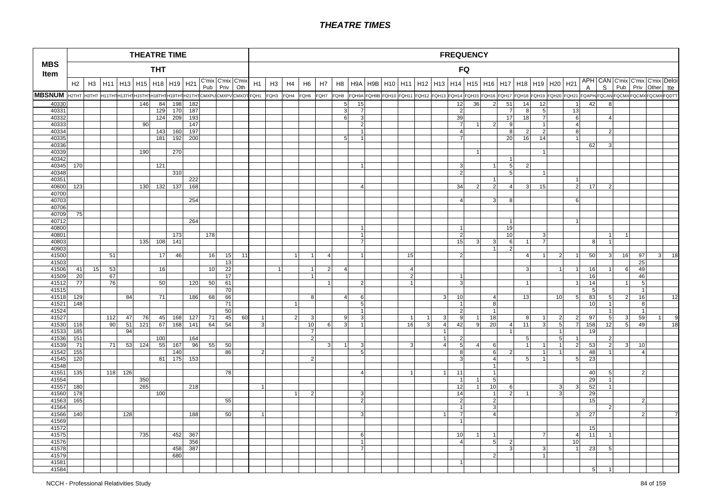|                           |     |                |           |          |           | <b>THEATRE TIME</b>               |            |            |                                                                                                |          |     |                     |    |                |                      |                |                     |                                                                                                                                          |                               |                              |                 | <b>FREQUENCY</b>     |                      |                                  |                     |                |                                |                                  |                                |                                     |                                            |                                 |
|---------------------------|-----|----------------|-----------|----------|-----------|-----------------------------------|------------|------------|------------------------------------------------------------------------------------------------|----------|-----|---------------------|----|----------------|----------------------|----------------|---------------------|------------------------------------------------------------------------------------------------------------------------------------------|-------------------------------|------------------------------|-----------------|----------------------|----------------------|----------------------------------|---------------------|----------------|--------------------------------|----------------------------------|--------------------------------|-------------------------------------|--------------------------------------------|---------------------------------|
| <b>MBS</b><br><b>Item</b> |     |                |           |          |           | <b>THT</b>                        |            |            |                                                                                                |          |     |                     |    |                |                      |                |                     |                                                                                                                                          |                               |                              |                 | <b>FQ</b>            |                      |                                  |                     |                |                                |                                  |                                |                                     |                                            |                                 |
|                           | H2  | H <sub>3</sub> |           |          |           | H11   H13   H15   H18   H19   H21 |            |            | C'mix C'mix C'mix<br>Pub                                                                       | Priv     | Oth | H <sub>1</sub>      | H3 | H4             | H <sub>6</sub>       | H7             | H8                  | H9A   H9B   H10   H11   H12   H13   H14   H15   H16   H17   H18   H19   H20   H21                                                        |                               |                              |                 |                      |                      |                                  |                     |                |                                |                                  |                                | S<br>$\overline{A}$                 | Pub Priv Other tte                         | APH CAN C'mix C'mix C'mix Deloi |
| <b>MBSNUM</b>             |     |                |           |          |           |                                   |            |            | н2тнт  нзтнт  н11тнт н13тнт н15тнт н18тнт н19тнт н21тнт смхр∪ смхр∨ смхот гон1    гон3    гон4 |          |     |                     |    |                |                      |                |                     | ғанв  ғант  ғанв  ғанза ғанзв ған10 ған11 ған12 ған13 ған14 ған15 ған16 ған17 ған18 ған20 ған21 ғаснн ғасам ғасмх ғасмх ғасмх ғасмх ғаст |                               |                              |                 |                      |                      |                                  |                     |                |                                |                                  |                                |                                     |                                            |                                 |
| 40330                     |     |                |           |          | 146       | 84                                | 198        | 182        |                                                                                                |          |     |                     |    |                |                      |                | 5 <sup>1</sup>      | 15                                                                                                                                       |                               |                              |                 | 12                   | 36                   | $\overline{2}$                   | 51                  | 14             | 12                             |                                  | $\overline{1}$                 | 42<br>8 <sup>1</sup>                |                                            |                                 |
| 40331                     |     |                |           |          |           | 129                               | 170        | 187        |                                                                                                |          |     |                     |    |                |                      |                | 3                   | $\overline{7}$                                                                                                                           |                               |                              |                 | 2                    |                      |                                  | $\overline{7}$      | 8              | $5\phantom{.0}$                |                                  | 13                             |                                     |                                            |                                 |
| 40332                     |     |                |           |          |           | 124                               | 209        | 193        |                                                                                                |          |     |                     |    |                |                      |                | $6 \mid$            | 3 <sup>1</sup>                                                                                                                           |                               |                              |                 | 39                   |                      |                                  | 17                  | 18             | $\overline{7}$                 |                                  | $6 \mid$                       | $\overline{4}$                      |                                            |                                 |
| 40333                     |     |                |           |          | 90        |                                   |            | 147        |                                                                                                |          |     |                     |    |                |                      |                |                     | 2                                                                                                                                        |                               |                              |                 | 7 <sup>1</sup>       |                      | 2                                | 9                   |                | 1                              |                                  | $\overline{4}$                 |                                     |                                            |                                 |
| 40334                     |     |                |           |          |           | 143                               | 160        | 197        |                                                                                                |          |     |                     |    |                |                      |                |                     | 1 <sup>1</sup>                                                                                                                           |                               |                              |                 | 4                    |                      |                                  | 8                   | $\overline{2}$ | 2                              |                                  | 8                              | $\overline{2}$                      |                                            |                                 |
| 40335                     |     |                |           |          |           | 181                               | 192        | 200        |                                                                                                |          |     |                     |    |                |                      |                | 5                   | $\mathbf{1}$                                                                                                                             |                               |                              |                 | 7 <sup>1</sup>       |                      |                                  | 20                  | 16             | 14                             |                                  | $\overline{1}$                 |                                     |                                            |                                 |
| 40336<br>40339            |     |                |           |          | 190       |                                   | 270        |            |                                                                                                |          |     |                     |    |                |                      |                |                     |                                                                                                                                          |                               |                              |                 |                      | $\blacktriangleleft$ |                                  |                     |                | 1                              |                                  |                                | 62<br>3                             |                                            |                                 |
| 40342                     |     |                |           |          |           |                                   |            |            |                                                                                                |          |     |                     |    |                |                      |                |                     |                                                                                                                                          |                               |                              |                 |                      |                      |                                  | $\mathbf{1}$        |                |                                |                                  |                                |                                     |                                            |                                 |
| 40345                     | 170 |                |           |          |           | 121                               |            |            |                                                                                                |          |     |                     |    |                |                      |                |                     | 1 <sup>1</sup>                                                                                                                           |                               |                              |                 | 3 <sup>1</sup>       |                      | 1                                | 5                   | $\overline{2}$ |                                |                                  |                                |                                     |                                            |                                 |
| 40348                     |     |                |           |          |           |                                   | 310        |            |                                                                                                |          |     |                     |    |                |                      |                |                     |                                                                                                                                          |                               |                              |                 | $\overline{2}$       |                      |                                  | $5\overline{)}$     |                | 1 <sup>1</sup>                 |                                  |                                |                                     |                                            |                                 |
| 40351                     |     |                |           |          |           |                                   |            | 222        |                                                                                                |          |     |                     |    |                |                      |                |                     |                                                                                                                                          |                               |                              |                 |                      |                      | 11                               |                     |                |                                |                                  | $\overline{1}$                 |                                     |                                            |                                 |
| 40600                     | 123 |                |           |          | 130       | 132                               | 137        | 168        |                                                                                                |          |     |                     |    |                |                      |                |                     | $\overline{4}$                                                                                                                           |                               |                              |                 | 34                   | $\overline{2}$       | 2 <sup>1</sup>                   | $\overline{4}$      | 3              | 15                             |                                  | $\overline{2}$                 | 17<br>$\overline{2}$                |                                            |                                 |
| 40700                     |     |                |           |          |           |                                   |            |            |                                                                                                |          |     |                     |    |                |                      |                |                     |                                                                                                                                          |                               |                              |                 |                      |                      |                                  |                     |                |                                |                                  |                                |                                     |                                            |                                 |
| 40703                     |     |                |           |          |           |                                   |            | 254        |                                                                                                |          |     |                     |    |                |                      |                |                     |                                                                                                                                          |                               |                              |                 | $\left 4\right $     |                      | 3 <sup>l</sup>                   | 8 <sup>1</sup>      |                |                                |                                  | 6                              |                                     |                                            |                                 |
| 40706                     |     |                |           |          |           |                                   |            |            |                                                                                                |          |     |                     |    |                |                      |                |                     |                                                                                                                                          |                               |                              |                 |                      |                      |                                  |                     |                |                                |                                  |                                |                                     |                                            |                                 |
| 40709                     | 75  |                |           |          |           |                                   |            |            |                                                                                                |          |     |                     |    |                |                      |                |                     |                                                                                                                                          |                               |                              |                 |                      |                      |                                  |                     |                |                                |                                  |                                |                                     |                                            |                                 |
| 40712                     |     |                |           |          |           |                                   |            | 264        |                                                                                                |          |     |                     |    |                |                      |                |                     |                                                                                                                                          |                               |                              |                 |                      |                      |                                  | $\overline{1}$      |                |                                |                                  | $\overline{\mathbf{1}}$        |                                     |                                            |                                 |
| 40800                     |     |                |           |          |           |                                   | 173        |            | 178                                                                                            |          |     |                     |    |                |                      |                |                     | $\vert$<br>$\mathbf{1}$                                                                                                                  |                               |                              |                 | 1<br>$\overline{2}$  |                      |                                  | 19<br>10            |                |                                |                                  |                                |                                     |                                            |                                 |
| 40801<br>40803            |     |                |           |          | 135       | 108                               | 141        |            |                                                                                                |          |     |                     |    |                |                      |                |                     | $\overline{7}$                                                                                                                           |                               |                              |                 | 15                   | $3 \mid$             | 3                                | $6\phantom{.}6$     |                | $\mathbf{3}$<br>$\overline{7}$ |                                  |                                | $\overline{1}$<br>8<br>$\mathbf{1}$ | $\overline{1}$                             |                                 |
| 40903                     |     |                |           |          |           |                                   |            |            |                                                                                                |          |     |                     |    |                |                      |                |                     |                                                                                                                                          |                               |                              |                 |                      |                      | 1 <sup>1</sup>                   | $\overline{2}$      |                |                                |                                  |                                |                                     |                                            |                                 |
| 41500                     |     |                | 51        |          |           | 17                                | 46         |            | 16                                                                                             | 15       | 11  |                     |    | $\mathbf{1}$   | 1                    | $\overline{4}$ |                     | $\mathbf{1}$                                                                                                                             | 15                            |                              |                 | 2                    |                      |                                  |                     | $\vert$ 4      | 1                              | $\overline{2}$                   | -1                             | 50<br>$\mathbf{3}$                  | 16<br>97                                   | 18<br>$\mathbf{3}$              |
| 41503                     |     |                |           |          |           |                                   |            |            |                                                                                                | 13       |     |                     |    |                |                      |                |                     |                                                                                                                                          |                               |                              |                 |                      |                      |                                  |                     |                |                                |                                  |                                |                                     | 25                                         |                                 |
| 41506                     | 41  | 15             | 53        |          |           | 16                                |            |            | 10                                                                                             | 22       |     |                     | 1  |                | 1                    | $\overline{2}$ | $\overline{4}$      |                                                                                                                                          | $\overline{4}$                |                              |                 |                      |                      |                                  |                     | 3              |                                | 11                               |                                | 16<br>11                            | 49<br>6                                    |                                 |
| 41509                     | 20  |                | 67        |          |           |                                   |            |            |                                                                                                | 17       |     |                     |    |                | $\overline{1}$       |                |                     |                                                                                                                                          | $\overline{2}$                |                              |                 | 1                    |                      |                                  |                     |                |                                |                                  |                                | 16                                  | 46                                         |                                 |
| 41512                     | 77  |                | 76        |          |           | 50                                |            | 120        | 50                                                                                             | 61       |     |                     |    |                |                      | $\mathbf{1}$   |                     | 2 <sup>1</sup>                                                                                                                           |                               |                              |                 | 3 <sup>1</sup>       |                      |                                  |                     | 1              |                                |                                  |                                | 14                                  | 5<br>$\overline{1}$                        |                                 |
| 41515                     |     |                |           |          |           |                                   |            |            |                                                                                                | 70       |     |                     |    |                |                      |                |                     |                                                                                                                                          |                               |                              |                 |                      |                      |                                  |                     |                |                                |                                  |                                | $5\phantom{.0}$                     | 1                                          |                                 |
| 41518                     | 129 |                |           | 84       |           | 71                                |            | 186        | 68                                                                                             | 66       |     |                     |    |                | 8 <sup>1</sup>       |                | $\vert$ 4           | 6 <sup>1</sup>                                                                                                                           |                               |                              | 3 <sup>1</sup>  | 10                   |                      | 4 <sup>1</sup>                   |                     | 13             |                                | 10                               | 5                              | 83<br>5 <sub>l</sub>                | $\overline{2}$<br>16                       | 12                              |
| 41521                     | 148 |                |           |          |           |                                   |            |            |                                                                                                | 71       |     |                     |    |                |                      |                |                     | 5 <sup>1</sup>                                                                                                                           |                               |                              |                 | $\mathbf{1}$         |                      | 8 <sup>1</sup>                   |                     |                |                                |                                  |                                | 10<br>$\mathbf{1}$                  | 8 <sup>1</sup>                             |                                 |
| 41524                     |     |                |           |          |           |                                   |            |            |                                                                                                | 50       |     |                     |    |                |                      |                |                     | 1 <sup>1</sup>                                                                                                                           |                               |                              |                 | 2                    |                      | 1 <sup>1</sup>                   |                     |                |                                |                                  |                                | 1                                   | 1 <sup>1</sup>                             |                                 |
| 41527<br>41530            | 116 |                | 112<br>90 | 47<br>51 | 76<br>121 | 45<br>67                          | 168<br>168 | 127<br>141 | 71<br>64                                                                                       | 45<br>54 | 60  | 1<br>3 <sup>l</sup> |    | 2              | 3 <sup>1</sup><br>10 |                | 9<br>$\overline{3}$ | 3 <sup>1</sup><br>1 <sup>1</sup>                                                                                                         | $\overline{\mathbf{1}}$<br>16 | $\mathbf{1}$<br>$\mathbf{3}$ | 3 <br>$\vert$ 4 | 9<br>42              |                      | 18<br>20                         |                     | 8<br>11        | 1<br>$\mathbf{3}$              | $\overline{2}$<br>5 <sub>l</sub> | $\overline{2}$<br><sup>7</sup> | 97<br>5 <sub>l</sub><br>158<br>12   | 59<br>$\mathbf{3}$<br>5 <sup>1</sup><br>49 | 9<br>11<br>18                   |
| 41533                     | 185 |                |           | 94       |           |                                   |            |            |                                                                                                |          |     |                     |    |                | <sup>7</sup>         | 6              |                     |                                                                                                                                          |                               |                              | 1               |                      | 9                    |                                  | $\overline{4}$<br>1 |                |                                | 1                                |                                | 19                                  |                                            |                                 |
| 41536                     | 151 |                |           |          |           | 100                               |            | 164        |                                                                                                |          |     |                     |    |                | 2 <sup>1</sup>       |                |                     |                                                                                                                                          |                               |                              | $\mathbf{1}$    | 2                    |                      |                                  |                     | 5              |                                | $5\overline{)}$                  |                                | $\overline{2}$                      |                                            |                                 |
| 41539                     | 71  |                | 71        | 53       | 124       | 55                                | 167        | 96         | 55                                                                                             | 50       |     |                     |    |                |                      | 3              | $\overline{1}$      | 3                                                                                                                                        | 3                             |                              | $\overline{4}$  | 5 <sup>1</sup>       | $\overline{4}$       | $6 \mid$                         |                     | $\overline{1}$ | 1                              | 1                                | 2                              | 53<br>$\overline{2}$                | 10<br>3                                    |                                 |
| 41542                     | 155 |                |           |          |           |                                   | 140        |            |                                                                                                | 86       |     | 2 <sup>1</sup>      |    |                |                      |                |                     | 5 <sup>1</sup>                                                                                                                           |                               |                              |                 | 8 <sup>1</sup>       |                      | $6 \mid$                         | $\overline{2}$      |                | 1                              | $\overline{1}$                   |                                | 48<br>1                             | $\vert$                                    |                                 |
| 41545                     | 120 |                |           |          |           |                                   | 81 175     | 153        |                                                                                                |          |     |                     |    |                | $\overline{2}$       |                |                     |                                                                                                                                          |                               |                              |                 | 3 <sup>l</sup>       |                      | $\vert$ 4                        |                     | 5              | 1 <sup>1</sup>                 |                                  | 5 <sup>1</sup>                 | $\overline{23}$                     |                                            |                                 |
| 41548                     |     |                |           |          |           |                                   |            |            |                                                                                                |          |     |                     |    |                |                      |                |                     |                                                                                                                                          |                               |                              |                 |                      |                      | 1                                |                     |                |                                |                                  |                                |                                     |                                            |                                 |
| 41551                     | 135 |                | 118       | 126      |           |                                   |            |            |                                                                                                | 78       |     |                     |    |                |                      |                |                     | $\vert$                                                                                                                                  | 1                             |                              | $\mathbf{1}$    | 11                   |                      | 1                                |                     |                |                                |                                  |                                | 40<br>5 <sub>l</sub>                | 2 <sup>1</sup>                             |                                 |
| 41554                     |     |                |           |          | 350       |                                   |            |            |                                                                                                |          |     |                     |    |                |                      |                |                     |                                                                                                                                          |                               |                              |                 | $\overline{1}$       |                      | 5 <sup>1</sup>                   |                     |                |                                |                                  |                                | 29<br>$\mathbf{1}$                  |                                            |                                 |
| 41557                     | 180 |                |           |          | 265       |                                   |            | 218        |                                                                                                |          |     | 1                   |    |                |                      |                |                     |                                                                                                                                          |                               |                              |                 | 12                   | 11                   | 10 <sup>1</sup>                  | $6 \mid$            |                |                                | 3 <sup>l</sup>                   | 3                              | 52<br>$\mathbf{1}$                  |                                            |                                 |
| 41560                     | 178 |                |           |          |           | 100                               |            |            |                                                                                                |          |     |                     |    | $\overline{1}$ | 2                    |                |                     | 3 <sup>1</sup>                                                                                                                           |                               |                              |                 | 14                   |                      | 1                                | 2                   |                |                                | $\overline{3}$                   |                                | 29                                  |                                            |                                 |
| 41563                     | 165 |                |           |          |           |                                   |            |            |                                                                                                | 55       |     |                     |    |                |                      |                |                     | 2                                                                                                                                        |                               |                              |                 | $\overline{2}$       |                      | $\vert$ 2                        |                     |                |                                |                                  |                                | 15<br>2                             | 2 <sup>1</sup>                             |                                 |
| 41564<br>41566            | 140 |                |           | 128      |           |                                   |            | 188        |                                                                                                | 50       |     | 1                   |    |                |                      |                |                     | 3 <sup>1</sup>                                                                                                                           |                               |                              | $\overline{1}$  | 11<br>7 <sup>1</sup> |                      | 3 <sup>l</sup><br>$\overline{4}$ |                     |                |                                |                                  | $\mathbf{3}$                   | $\overline{27}$                     | $\overline{2}$                             | $\overline{7}$                  |
| 41569                     |     |                |           |          |           |                                   |            |            |                                                                                                |          |     |                     |    |                |                      |                |                     |                                                                                                                                          |                               |                              |                 | $\mathbf{1}$         |                      |                                  |                     |                |                                |                                  |                                |                                     |                                            |                                 |
| 41572                     |     |                |           |          |           |                                   |            |            |                                                                                                |          |     |                     |    |                |                      |                |                     |                                                                                                                                          |                               |                              |                 |                      |                      |                                  |                     |                |                                |                                  |                                | 15                                  |                                            |                                 |
| 41575                     |     |                |           |          | 735       |                                   | 452        | 367        |                                                                                                |          |     |                     |    |                |                      |                |                     | 6 <sup>1</sup>                                                                                                                           |                               |                              |                 | 10                   |                      | 1                                |                     |                | $\overline{7}$                 |                                  | -4                             | 11<br>$\mathbf{1}$                  |                                            |                                 |
| 41576                     |     |                |           |          |           |                                   |            | 356        |                                                                                                |          |     |                     |    |                |                      |                |                     | 1 <sup>1</sup>                                                                                                                           |                               |                              |                 | 4                    |                      | 5 <sup>1</sup>                   | $\overline{2}$      |                |                                |                                  | 10                             |                                     |                                            |                                 |
| 41578                     |     |                |           |          |           |                                   | 458        | 387        |                                                                                                |          |     |                     |    |                |                      |                |                     | $\overline{7}$                                                                                                                           |                               |                              |                 |                      |                      |                                  | $\mathbf{3}$        |                | $\mathbf{3}$                   |                                  |                                | 23<br>5 <sub>l</sub>                |                                            |                                 |
| 41579                     |     |                |           |          |           |                                   | 680        |            |                                                                                                |          |     |                     |    |                |                      |                |                     |                                                                                                                                          |                               |                              |                 |                      |                      | 2 <sup>1</sup>                   |                     |                | 11                             |                                  |                                |                                     |                                            |                                 |
| 41581                     |     |                |           |          |           |                                   |            |            |                                                                                                |          |     |                     |    |                |                      |                |                     |                                                                                                                                          |                               |                              |                 | 1                    |                      |                                  |                     |                |                                |                                  |                                |                                     |                                            |                                 |
| 41584                     |     |                |           |          |           |                                   |            |            |                                                                                                |          |     |                     |    |                |                      |                |                     |                                                                                                                                          |                               |                              |                 |                      |                      |                                  |                     |                |                                |                                  |                                | $5\overline{5}$<br>$\mathbf{1}$     |                                            |                                 |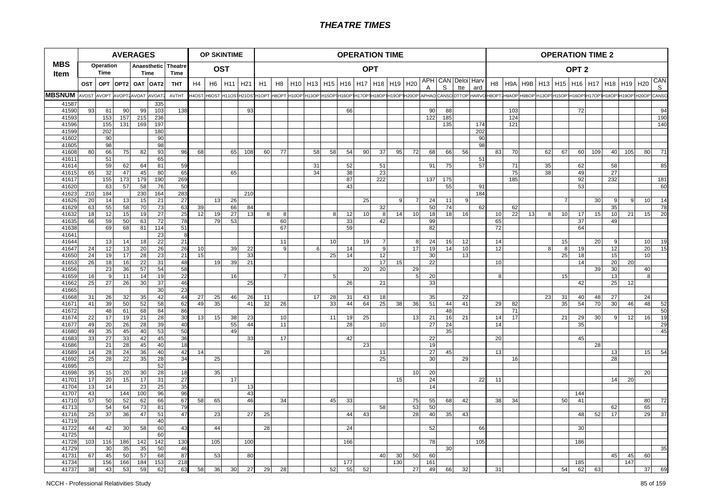|                    |              |                          |            | <b>AVERAGES</b>            |                  |                       |                | <b>OP SKINTIME</b>      |                 |    |                |                 |    |                 |                 |                 | <b>OPERATION TIME</b>                   |                 |                |           |            |                                 |     |                 |                 |    |                |                | <b>OPERATION TIME 2</b>                             |     |          |     |                                                                                                                                                              |            |
|--------------------|--------------|--------------------------|------------|----------------------------|------------------|-----------------------|----------------|-------------------------|-----------------|----|----------------|-----------------|----|-----------------|-----------------|-----------------|-----------------------------------------|-----------------|----------------|-----------|------------|---------------------------------|-----|-----------------|-----------------|----|----------------|----------------|-----------------------------------------------------|-----|----------|-----|--------------------------------------------------------------------------------------------------------------------------------------------------------------|------------|
| <b>MBS</b><br>Item |              | Operation<br><b>Time</b> |            | Anaesthetic<br><b>Time</b> | Theatre<br>Time  |                       |                | <b>OST</b>              |                 |    |                |                 |    |                 |                 |                 | <b>OPT</b>                              |                 |                |           |            |                                 |     |                 |                 |    |                |                | OPT <sub>2</sub>                                    |     |          |     |                                                                                                                                                              |            |
|                    | OST          |                          |            | OPT OPT2 OAT OAT2          | <b>THT</b>       | H4                    | H <sub>6</sub> | H <sub>11</sub>         | H <sub>21</sub> | H1 | H <sub>8</sub> | H <sub>10</sub> |    |                 |                 |                 | H13   H15   H16   H17   H18   H19   H20 |                 |                | Δ         | S          | APH   CAN   Deloi   Harv<br>tte | ard | H8              |                 |    |                |                | H9A   H9B   H13   H15   H16   H17   H18   H19   H20 |     |          |     |                                                                                                                                                              | CAN<br>S.  |
| <b>MBSNUM</b>      | <b>AVOST</b> |                          |            | AVOPT AVOPTZAVOAT AVOATZ   | AVTHT            |                       |                | 140ST H60ST H110S1H210S |                 |    |                |                 |    |                 |                 |                 |                                         |                 |                |           |            |                                 |     |                 |                 |    |                |                |                                                     |     |          |     | H1OPT H8OPT H10OP1H13OP1H15OP1H16OP1H17OP1H18OP1H19OP1H20OP1APHAO CANSO DTTOP HARVO H8OPT1H9AOP H9BOP H13OP1H15OP1H15OP1H17OP1H18OP1H19OP1H19OP1H12OOP1CANSC |            |
| 41587              |              |                          |            |                            | 335              |                       |                |                         |                 |    |                |                 |    |                 |                 |                 |                                         |                 |                |           |            |                                 |     |                 |                 |    |                |                |                                                     |     |          |     |                                                                                                                                                              |            |
| 41590              | 93           | 81                       | 90         | 99                         | 103<br>138       |                       |                |                         | 93              |    |                |                 |    |                 | 66              |                 |                                         |                 |                | 90        | 88         |                                 |     |                 | 103             |    |                |                | 72                                                  |     |          |     |                                                                                                                                                              | 94         |
| 41593<br>41596     |              | 153<br>155               | 157<br>131 | 215<br>169                 | 236<br>197       |                       |                |                         |                 |    |                |                 |    |                 |                 |                 |                                         |                 |                | 122       | 185<br>135 |                                 | 174 |                 | 124<br>121      |    |                |                |                                                     |     |          |     |                                                                                                                                                              | 190<br>140 |
| 41599              |              | 202                      |            |                            | 180              |                       |                |                         |                 |    |                |                 |    |                 |                 |                 |                                         |                 |                |           |            |                                 | 202 |                 |                 |    |                |                |                                                     |     |          |     |                                                                                                                                                              |            |
| 41602              |              | 90                       |            |                            | 90               |                       |                |                         |                 |    |                |                 |    |                 |                 |                 |                                         |                 |                |           |            |                                 | 90  |                 |                 |    |                |                |                                                     |     |          |     |                                                                                                                                                              |            |
| 41605              |              | 98                       | 75         | 82                         | 98               |                       |                |                         | 108             |    |                |                 |    |                 |                 |                 |                                         |                 |                |           |            | 56                              | 98  |                 | $\overline{70}$ |    |                |                |                                                     |     |          |     |                                                                                                                                                              | 71         |
| 41608<br>41611     | 80           | 66<br>51                 |            |                            | 93<br>65         | 96<br>68              |                | 65                      |                 | 60 | 77             |                 | 58 | 58              | 54              | 90              | 37                                      | 95              | 72             | 68        | 66         |                                 | 51  | 83              |                 |    | 62             | 67             | 60                                                  | 109 | 40       | 105 | 80                                                                                                                                                           |            |
| 41614              |              | 59                       | 62         | 64                         | 81               | 59                    |                |                         |                 |    |                |                 | 31 |                 | 52              |                 | 51                                      |                 |                | 91        | 75         |                                 | 57  |                 | 71              |    | 35             |                | 62                                                  |     | 58       |     |                                                                                                                                                              | 85         |
| 41615              | 65           | 32                       | 47         | 45                         | 80               | 65                    |                | 65                      |                 |    |                |                 | 34 |                 | 38              |                 | 23                                      |                 |                |           |            |                                 |     |                 | 75              |    | 38             |                | 49                                                  |     | 27       |     |                                                                                                                                                              |            |
| 41617<br>41620     |              | 155<br>63                | 173<br>57  | 179<br>58                  | 190<br>269<br>76 | 50                    |                |                         |                 |    |                |                 |    |                 | 87<br>43        |                 | 222                                     |                 |                | 137       | 175<br>55  |                                 | 91  |                 | 185             |    |                |                | 92<br>53                                            |     | 232      |     |                                                                                                                                                              | 181<br>60  |
| 41623              | 210          | 184                      |            | 230                        | 283<br>164       |                       |                |                         | 210             |    |                |                 |    |                 |                 |                 |                                         |                 |                |           |            |                                 | 184 |                 |                 |    |                |                |                                                     |     |          |     |                                                                                                                                                              |            |
| 41626              | 20           | 14                       | 13         | 15                         | 21               | 27                    | 13             | 26                      |                 |    |                |                 |    |                 |                 | 25              |                                         | 9               | 7              | 24        | 11         | 9                               |     |                 |                 |    |                | $\overline{7}$ |                                                     | 30  | 9        | 9   | 10 <sup>1</sup>                                                                                                                                              | 14         |
| 41629              | 63           | 55                       | 58         | 70                         | 73               | 63<br>39              |                | 66                      | 84              |    |                |                 |    |                 |                 |                 | 32                                      |                 |                | 50        | 74         |                                 | 62  |                 | 62              |    |                |                |                                                     |     | 35       |     |                                                                                                                                                              | 78         |
| 41632<br>41635     | 18           | 12<br>59                 | 15<br>50   | 19<br>63                   | 27<br>72         | 25<br>12<br>78        | 19<br>79       | 27<br>53                | 13              | 8  | 8<br>60        |                 |    | 8 <sup>1</sup>  | 12<br>33        | 10              | 8<br>42                                 | 14              | 10             | 18<br>99  | 18         | 16                              |     | 10              | 22              | 13 | 8              | 10             | 17<br>37                                            | 15  | 10<br>49 | 21  | 15                                                                                                                                                           | 20         |
| 41638              | 66           | 69                       | 68         | 81                         | 114              | 51                    |                |                         |                 |    | 67             |                 |    |                 | 59              |                 |                                         |                 |                | 82        |            |                                 |     | 65<br>72        |                 |    |                |                | 64                                                  |     |          |     |                                                                                                                                                              |            |
| 41641              |              |                          |            |                            | 23               |                       |                |                         |                 |    |                |                 |    |                 |                 |                 |                                         |                 |                |           |            |                                 |     |                 |                 |    |                |                |                                                     |     |          |     |                                                                                                                                                              |            |
| 41644              |              | 13                       | 14         | 18                         | 22               | 21                    |                |                         |                 |    | 11             |                 |    | 10 <sup>1</sup> |                 | 19 <sup>1</sup> | $\overline{7}$                          |                 | 8 <sup>1</sup> | 24        | 16         | 12                              |     | 14              |                 |    |                | 15             |                                                     | 20  | 9        |     | 10 <sup>1</sup>                                                                                                                                              | -19        |
| 41647              | 24           | 12                       | 13         | 20                         | 26               | 26<br>10 <sup>1</sup> |                | 39                      | 22              |    | 9              |                 | 6  |                 | 14              |                 | 9                                       |                 | 17             | 19        | 14         | 10                              |     | 12              |                 |    | 8 <sup>1</sup> | 8              | 19                                                  |     | 12       |     | 20 <sup>1</sup>                                                                                                                                              | 15         |
| 41650<br>41653     | 24<br>26     | 19<br>18                 | 17<br>16   | 28<br>22                   | 23<br>31         | 21<br>15<br>48        | 19             | 39                      | 33<br>21        |    |                |                 |    | 25              | 14              |                 | 12<br>17                                | 15 <sup>1</sup> |                | 30<br>22  |            | 13                              |     | 10              |                 |    |                | 25             | 18<br>14                                            |     | 15<br>20 | 20  | 10                                                                                                                                                           |            |
| 41656              |              | 23                       | 36         | 57                         | 54               | 58                    |                |                         |                 |    |                |                 |    |                 |                 | 20              | 20                                      |                 | 29             |           |            |                                 |     |                 |                 |    |                |                |                                                     | 39  | 30       |     | 40                                                                                                                                                           |            |
| 41659              | 16           | 9                        | 11         | 14                         | 19               | 22                    |                | 16                      |                 |    | $\overline{7}$ |                 |    | 5 <sub>l</sub>  |                 |                 |                                         |                 | 5 <sup>1</sup> | 20        |            |                                 |     | 8               |                 |    |                | 15             |                                                     |     | 13       |     | 8                                                                                                                                                            |            |
| 41662              | 25           | 27                       | 26         | 30                         | 37               | 46                    |                |                         | 25              |    |                |                 |    |                 | 26              |                 | 21                                      |                 |                | 33        |            |                                 |     |                 |                 |    |                |                | 42                                                  |     | 25       | 12  |                                                                                                                                                              |            |
| 41665<br>41668     | 31           | 26                       | 32         | 35                         | 30<br>42         | 23<br>44<br>27        | 25             | 46                      | 26              | 11 |                |                 | 17 | 28              | 31              | 43              | 18                                      |                 |                | 35        |            | 22                              |     |                 |                 |    | 23             | 31             | 40                                                  | 48  | 27       |     | 24                                                                                                                                                           |            |
| 41671              | 41           | 39                       | 50         | 52                         | 58               | 62<br>49              | 35             |                         | 41              | 32 | 26             |                 |    | 33              | 44              | 64              | 25                                      | 38              | 36             | 51        | 44         | 41                              |     | 29              | 82              |    |                | 35             | 54                                                  | 70  | 30       | 46  | 48                                                                                                                                                           | 52         |
| 41672              |              | 48                       | 61         | 68                         | 84               | 86                    |                |                         |                 |    |                |                 |    |                 |                 |                 |                                         |                 |                |           | 48         |                                 |     |                 | 71              |    |                |                |                                                     |     |          |     |                                                                                                                                                              | 50         |
| 41674              | 22           | 17                       | 19         | 21                         | 28               | 30<br>13              | 15             | 38                      | 23              |    | 10             |                 |    | 11              | 19              | 25              |                                         |                 | 13             | 21        | 16         | 21                              |     | 14              | 17              |    |                | 21             | 29                                                  | 30  | 9        | 12  | 16                                                                                                                                                           | 19         |
| 41677<br>41680     | 49<br>49     | 20<br>35                 | 26<br>45   | 28<br>40                   | 39<br>53         | 40<br>50              |                | 55<br>49                | 44              |    | 11             |                 |    |                 | 28              |                 | 10 <sup>1</sup>                         |                 |                | 27        | 24<br>35   |                                 |     | 14              |                 |    |                |                | 35                                                  |     |          |     |                                                                                                                                                              | 29<br>45   |
| 41683              | 33           | 27                       | 33         | 42                         | 45               | 36                    |                |                         | 33              |    | 17             |                 |    |                 | 42              |                 |                                         |                 |                | 22        |            |                                 |     | 20              |                 |    |                |                | 45                                                  |     |          |     |                                                                                                                                                              |            |
| 41686              |              | 21                       | 28         | 45                         | 40               | 18                    |                |                         |                 |    |                |                 |    |                 |                 | 23              |                                         |                 |                | 19        |            |                                 |     |                 |                 |    |                |                |                                                     | 28  |          |     |                                                                                                                                                              |            |
| 41689              | 14           | 28                       | 24         | 36                         | 40               | 42<br>14              |                |                         |                 | 28 |                |                 |    |                 |                 |                 | 11                                      |                 |                | 27        | 45         |                                 |     | 13              |                 |    |                |                |                                                     |     | 13       |     | 15                                                                                                                                                           | 54         |
| 41692<br>41695     | 25           | 28                       | 22         | 35                         | 28<br>52         | 34                    | 25             |                         |                 |    |                |                 |    |                 |                 |                 | 25                                      |                 |                | 30        |            | 29                              |     |                 | 16              |    |                |                |                                                     |     | 28       |     |                                                                                                                                                              |            |
| 41698              | 35           | 15                       | 20         | 30                         | 28               | 18                    | 35             |                         |                 |    |                |                 |    |                 |                 |                 |                                         |                 | 10             | 20        |            |                                 |     |                 |                 |    |                |                |                                                     |     |          |     | 20                                                                                                                                                           |            |
| 41701              | 17           | 20                       | 15         | 17                         | 31               | 27                    |                | 17                      |                 |    |                |                 |    |                 |                 |                 |                                         | 15 <sup>1</sup> |                | 24        |            |                                 | 22  | 11              |                 |    |                |                |                                                     |     | 14       | 20  |                                                                                                                                                              |            |
| 41704              | 13           | 14                       |            | 23                         | 25               | 35                    |                |                         | -13             |    |                |                 |    |                 |                 |                 |                                         |                 |                | 14        |            |                                 |     |                 |                 |    |                |                |                                                     |     |          |     |                                                                                                                                                              |            |
| 41707<br>41710     | 43<br>57     | 50                       | 144<br>52  | 100<br>62                  | 96<br>66         | 96<br>67<br>58        | 65             |                         | 43<br>46        |    | 34             |                 |    | 45              | 33 <sub>1</sub> |                 |                                         |                 | 75             | 55        | 68         | 42                              |     | 38 <sup>1</sup> | 34              |    |                | 50             | 144<br>41                                           |     |          |     | 80                                                                                                                                                           | 72         |
| 41713              |              | 54                       | 64         | 73                         | 81               | 79                    |                |                         |                 |    |                |                 |    |                 |                 |                 | 58                                      |                 | 53             | 50        |            |                                 |     |                 |                 |    |                |                |                                                     |     | 62       |     | 65                                                                                                                                                           |            |
| 41716              | 25           | 37                       | 36         | 47                         | 51               | 47                    | 23             |                         | 27              | 25 |                |                 |    |                 | 44              | 43              |                                         |                 | 28             | 40        | 35         | 43                              |     |                 |                 |    |                |                | 48                                                  | 52  | 17       |     | 29                                                                                                                                                           | 37         |
| 41719              |              |                          |            |                            | 40               |                       |                |                         |                 |    |                |                 |    |                 |                 |                 |                                         |                 |                |           |            |                                 |     |                 |                 |    |                |                |                                                     |     |          |     |                                                                                                                                                              |            |
| 41722              | 44           | 42                       | 30         | 58                         | 60<br>60         | 43                    | 44             |                         |                 | 28 |                |                 |    |                 | 24              |                 |                                         |                 |                | 52        |            |                                 | 66  |                 |                 |    |                |                | 30                                                  |     |          |     |                                                                                                                                                              |            |
| 41725<br>41728     | 103          | 116                      | 186        | 142                        | 142<br>130       |                       | 105            |                         | 100             |    |                |                 |    |                 | 166             |                 |                                         |                 |                | 78        |            |                                 | 105 |                 |                 |    |                |                | 186                                                 |     |          |     |                                                                                                                                                              |            |
| 41729              |              | 30                       | 35         | 35                         | 50               | 46                    |                |                         |                 |    |                |                 |    |                 |                 |                 |                                         |                 |                |           | 30         |                                 |     |                 |                 |    |                |                |                                                     |     |          |     |                                                                                                                                                              | 35         |
| 41731              | 67           | 45                       | 50         | 57                         | 68               | 87                    | 53             |                         | 80              |    |                |                 |    |                 |                 |                 | 40                                      | 30              | 50             | 60        |            |                                 |     |                 |                 |    |                |                |                                                     |     | 45       | 45  | 60                                                                                                                                                           |            |
| 41734<br>41737     | 38           | 156<br>43                | 166<br>53  | 184<br>59                  | 153<br>218<br>62 | 63<br>58              | 36             | 30 <sup>°</sup>         | 27              | 29 | 28             |                 |    | 52              | 177<br>55       | 52              |                                         | 130             | 27             | 161<br>49 | 66         | 32                              |     | 31              |                 |    |                | 54             | 185<br>62                                           | 63  |          | 147 | 37                                                                                                                                                           | 69         |
|                    |              |                          |            |                            |                  |                       |                |                         |                 |    |                |                 |    |                 |                 |                 |                                         |                 |                |           |            |                                 |     |                 |                 |    |                |                |                                                     |     |          |     |                                                                                                                                                              |            |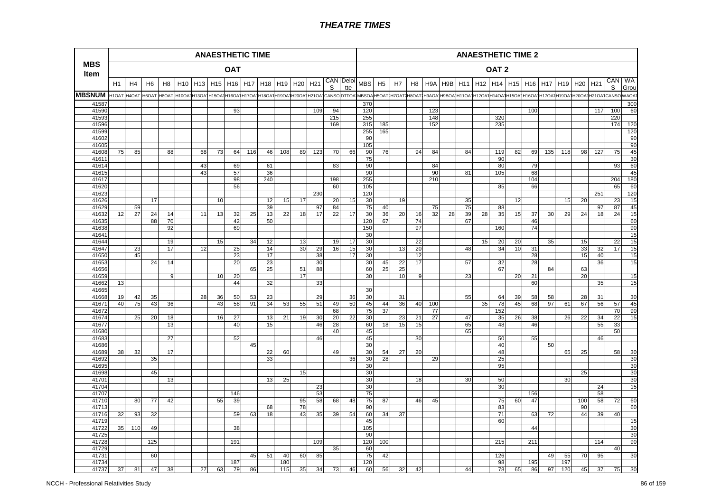|                    |    |                |                |                |                                                                                           |    | <b>ANAESTHETIC TIME</b>                         |     |          |                                                                 |    |          |                              |            |                      |    |                |                  |                  |          |                 |                                                                 | <b>ANAESTHETIC TIME 2</b>                                                                                  |           |     |                                                                                 |     |                 |             |            |
|--------------------|----|----------------|----------------|----------------|-------------------------------------------------------------------------------------------|----|-------------------------------------------------|-----|----------|-----------------------------------------------------------------|----|----------|------------------------------|------------|----------------------|----|----------------|------------------|------------------|----------|-----------------|-----------------------------------------------------------------|------------------------------------------------------------------------------------------------------------|-----------|-----|---------------------------------------------------------------------------------|-----|-----------------|-------------|------------|
| <b>MBS</b><br>Item |    |                |                |                |                                                                                           |    | <b>OAT</b>                                      |     |          |                                                                 |    |          |                              |            |                      |    |                |                  |                  |          |                 | OAT <sub>2</sub>                                                |                                                                                                            |           |     |                                                                                 |     |                 |             |            |
|                    | H1 | H <sub>4</sub> | H <sub>6</sub> | H <sub>8</sub> | H <sub>10</sub> H <sub>13</sub>                                                           |    | H <sub>15</sub> H <sub>16</sub> H <sub>17</sub> |     |          | H <sub>18</sub> H <sub>19</sub> H <sub>20</sub> H <sub>21</sub> |    |          | <b>CAN Deloi</b><br>S<br>tte | <b>MBS</b> | H <sub>5</sub>       | H7 | H <sub>8</sub> | H <sub>9</sub> A | H <sub>9</sub> B |          |                 | H <sub>11</sub> H <sub>12</sub> H <sub>14</sub> H <sub>15</sub> |                                                                                                            |           |     | H <sub>16</sub> H <sub>17</sub> H <sub>19</sub> H <sub>20</sub> H <sub>21</sub> |     |                 | CAN WA<br>S | Grou       |
| <b>MBSNUM</b>      |    |                |                |                | H1OAT H4OAT H6OAT H8OAT H10OATH13OATH15OATH16OATH17OATH18OATH19OATH20OATH21OATCANSO DTTOA |    |                                                 |     |          |                                                                 |    |          |                              |            |                      |    |                |                  |                  |          |                 |                                                                 | MBSOA H5OAT1H7OAT1H8OAT1H9AOA H9BOA H11OA H112OA H114OA H115OA H116OA H117OA H119OA H20OA H21OA CANSO WAOA |           |     |                                                                                 |     |                 |             |            |
| 41587              |    |                |                |                |                                                                                           |    |                                                 |     |          |                                                                 |    |          |                              | 370        |                      |    |                |                  |                  |          |                 |                                                                 |                                                                                                            |           |     |                                                                                 |     |                 |             | 300        |
| 41590              |    |                |                |                |                                                                                           |    | 93                                              |     |          |                                                                 |    | 109      | 94                           | 120        |                      |    |                | 123              |                  |          |                 |                                                                 |                                                                                                            | 100       |     |                                                                                 |     | 117             | 100         | 60         |
| 41593<br>41596     |    |                |                |                |                                                                                           |    |                                                 |     |          |                                                                 |    |          | 215<br>169                   | 255<br>315 | 185                  |    |                | 148<br>152       |                  |          |                 | 320<br>235                                                      |                                                                                                            |           |     |                                                                                 |     |                 | 220<br>174  |            |
| 41599              |    |                |                |                |                                                                                           |    |                                                 |     |          |                                                                 |    |          |                              | 255        | 165                  |    |                |                  |                  |          |                 |                                                                 |                                                                                                            |           |     |                                                                                 |     |                 |             | 120<br>120 |
| 41602              |    |                |                |                |                                                                                           |    |                                                 |     |          |                                                                 |    |          |                              |            | 90                   |    |                |                  |                  |          |                 |                                                                 |                                                                                                            |           |     |                                                                                 |     |                 |             | 90         |
| 41605              |    |                |                |                |                                                                                           |    |                                                 |     |          |                                                                 |    |          |                              | 105        |                      |    |                |                  |                  |          |                 |                                                                 |                                                                                                            |           |     |                                                                                 |     |                 |             | 90         |
| 41608              | 75 | 85             |                | 88             | 68                                                                                        | 73 | 64                                              | 116 | 46       | 108                                                             | 89 | 123      | 70                           | 66         | 90<br>76             |    | 94             | 84               |                  | 84       |                 | 119                                                             | 82                                                                                                         | 69        | 135 | 118                                                                             | 98  | 127             | 75          | 45         |
| 41611              |    |                |                |                | 43                                                                                        |    |                                                 |     |          |                                                                 |    |          |                              |            | 75<br>90             |    |                |                  |                  |          |                 | 90                                                              |                                                                                                            |           |     |                                                                                 |     |                 |             | 30         |
| 41614<br>41615     |    |                |                |                | 43                                                                                        |    | 69<br>57                                        |     | 61<br>36 |                                                                 |    |          | 83                           |            | 90                   |    |                | 84<br>90         |                  | 81       |                 | 80<br>105                                                       |                                                                                                            | 79<br>68  |     |                                                                                 |     |                 | 93          | 60<br>45   |
| 41617              |    |                |                |                |                                                                                           |    | 98                                              |     | 240      |                                                                 |    |          | 198                          | 255        |                      |    |                | 210              |                  |          |                 |                                                                 |                                                                                                            | 104       |     |                                                                                 |     |                 | 204         | 180        |
| 41620              |    |                |                |                |                                                                                           |    | 56                                              |     |          |                                                                 |    |          | 60                           | 105        |                      |    |                |                  |                  |          |                 | 85                                                              |                                                                                                            | 66        |     |                                                                                 |     |                 | 65          | 60         |
| 41623              |    |                |                |                |                                                                                           |    |                                                 |     |          |                                                                 |    | 230      |                              | 120        |                      |    |                |                  |                  |          |                 |                                                                 |                                                                                                            |           |     |                                                                                 |     | 251             |             | 120        |
| 41626              |    |                | 17             |                |                                                                                           | 10 |                                                 |     | 12       | 15                                                              | 17 |          | 20                           | 15         | 30                   | 19 |                |                  |                  | 35       |                 |                                                                 | 12                                                                                                         |           |     | 15                                                                              | 20  |                 | 23          | 15         |
| 41629<br>41632     | 12 | 59<br>27       | 24             | 14             | 11                                                                                        | 13 | 32                                              | 25  | 39<br>13 | 22                                                              | 18 | 97<br>17 | 84<br>22                     | 17         | 75<br>40<br>30<br>36 | 20 | 16             | 75<br>32         | 28               | 75<br>39 | 28              | 88<br>35                                                        | 15                                                                                                         | 37        | 30  | 29                                                                              | 24  | 97<br>18        | 87<br>24    | 45<br>15   |
| 41635              |    |                | 88             | 70             |                                                                                           |    | 42                                              |     | 50       |                                                                 |    |          |                              |            | 120<br>67            |    | 74             |                  |                  | 67       |                 |                                                                 |                                                                                                            | 46        |     |                                                                                 |     |                 |             | 60         |
| 41638              |    |                |                | 92             |                                                                                           |    | 69                                              |     |          |                                                                 |    |          |                              | 150        |                      |    | 97             |                  |                  |          |                 | 160                                                             |                                                                                                            | 74        |     |                                                                                 |     |                 |             | 90         |
| 41641              |    |                |                |                |                                                                                           |    |                                                 |     |          |                                                                 |    |          |                              |            | 30                   |    |                |                  |                  |          |                 |                                                                 |                                                                                                            |           |     |                                                                                 |     |                 |             | 15         |
| 41644              |    |                |                | 19             |                                                                                           | 15 |                                                 | 34  | 12       |                                                                 | 13 |          | 19                           | 17         | 30                   |    | 22             |                  |                  |          | 15              | 20                                                              | 20                                                                                                         |           | 35  |                                                                                 | 15  |                 | 22          | 15         |
| 41647              |    | 23             |                | 17             | 12                                                                                        |    | 25                                              |     | 14       |                                                                 | 30 | 29       | 16                           | 15         | 30                   | 13 | 20             |                  |                  | 48       |                 | 34                                                              | 10                                                                                                         | 31        |     |                                                                                 | 33  | 32              | 17          | 15         |
| 41650<br>41653     |    | 45             | 24             | 14             |                                                                                           |    | 23<br>20                                        |     | 17<br>23 |                                                                 |    | 38<br>30 |                              | 17         | 30<br>30<br>45       | 22 | 12<br>17       |                  |                  | 57       |                 | 32                                                              |                                                                                                            | 28<br>28  |     |                                                                                 | 15  | 40<br>36        |             | 15<br>15   |
| 41656              |    |                |                |                |                                                                                           |    |                                                 | 65  | 25       |                                                                 | 51 | 88       |                              |            | 25<br>60             | 25 |                |                  |                  |          |                 | 67                                                              |                                                                                                            |           | 84  |                                                                                 | 63  |                 |             |            |
| 41659              |    |                |                | 9              |                                                                                           | 10 | 20                                              |     |          |                                                                 | 17 |          |                              |            | 30                   | 10 | 9              |                  |                  | 23       |                 |                                                                 | 20                                                                                                         | 21        |     |                                                                                 | 20  |                 |             | 15         |
| 41662              | 13 |                |                |                |                                                                                           |    | 44                                              |     | 32       |                                                                 |    | 33       |                              |            |                      |    |                |                  |                  |          |                 |                                                                 |                                                                                                            | 60        |     |                                                                                 |     | 35              |             | 15         |
| 41665              |    |                |                |                |                                                                                           |    |                                                 |     |          |                                                                 |    |          |                              |            | 30                   |    |                |                  |                  |          |                 |                                                                 |                                                                                                            |           |     |                                                                                 |     |                 |             |            |
| 41668              | 19 | 42             | 35             |                | 28                                                                                        | 36 | 50                                              | 53  | 23       |                                                                 |    | 29       |                              | 36         | 30                   | 31 |                |                  |                  | 55       |                 | 64                                                              | 39                                                                                                         | 58        | 58  |                                                                                 | 28  | 31              |             | 30         |
| 41671<br>41672     | 40 | 75             | 43             | 36             |                                                                                           | 43 | 58                                              | 91  | 34       | 53                                                              | 55 | 51       | 49<br>68                     | 50         | 45<br>44<br>75<br>37 | 36 | 40             | 100<br>77        |                  |          | 35 <sub>1</sub> | 78<br>152                                                       | 45                                                                                                         | 68        | 97  | 61                                                                              | 67  | 56              | 57<br>70    | 45<br>90   |
| 41674              |    | 25             | 20             | 18             |                                                                                           | 16 | 27                                              |     | 13       | 21                                                              | 19 | 30       | 20                           | 22         | 30                   | 23 | 21             | 27               |                  | 47       |                 | 35                                                              | 26                                                                                                         | 38        |     | 26                                                                              | 22  | 34              | 22          | 15         |
| 41677              |    |                |                | 13             |                                                                                           |    | 40                                              |     | 15       |                                                                 |    | 46       | 28                           |            | 60<br>18             | 15 | 15             |                  |                  | 65       |                 | 48                                                              |                                                                                                            | 46        |     |                                                                                 |     | 55              | 33          |            |
| 41680              |    |                |                |                |                                                                                           |    |                                                 |     |          |                                                                 |    |          | 40                           |            | 45                   |    |                |                  |                  | 65       |                 |                                                                 |                                                                                                            |           |     |                                                                                 |     |                 | 50          |            |
| 41683              |    |                |                | 27             |                                                                                           |    | 52                                              |     |          |                                                                 |    | 46       |                              |            | 45                   |    | 30             |                  |                  |          |                 | 50                                                              |                                                                                                            | 55        |     |                                                                                 |     | 46              |             |            |
| 41686<br>41689     | 38 | 32             |                | 17             |                                                                                           |    |                                                 | 45  | 22       | 60                                                              |    |          | 49                           |            | 30<br>30<br>54       | 27 | 20             |                  |                  |          |                 | 40<br>48                                                        |                                                                                                            |           | 50  | 65                                                                              | 25  |                 | 58          | 30         |
| 41692              |    |                | 35             |                |                                                                                           |    |                                                 |     | 33       |                                                                 |    |          |                              | 36         | 30<br>28             |    |                | 29               |                  |          |                 | 25                                                              |                                                                                                            |           |     |                                                                                 |     |                 |             | 30         |
| 41695              |    |                |                |                |                                                                                           |    |                                                 |     |          |                                                                 |    |          |                              |            | 30                   |    |                |                  |                  |          |                 | 95                                                              |                                                                                                            |           |     |                                                                                 |     |                 |             | 30         |
| 41698              |    |                | 45             |                |                                                                                           |    |                                                 |     |          |                                                                 | 15 |          |                              |            | 30                   |    |                |                  |                  |          |                 |                                                                 |                                                                                                            |           |     |                                                                                 | 25  |                 |             | 30         |
| 41701              |    |                |                | 13             |                                                                                           |    |                                                 |     | 13       | 25                                                              |    |          |                              |            | 30                   |    | 18             |                  |                  | 30       |                 | 50                                                              |                                                                                                            |           |     | 30                                                                              |     |                 |             | 30         |
| 41704              |    |                |                |                |                                                                                           |    |                                                 |     |          |                                                                 |    | 23       |                              |            | 30                   |    |                |                  |                  |          |                 | 30                                                              |                                                                                                            |           |     |                                                                                 |     | 24              |             | 15         |
| 41707<br>41710     |    | 80             | 77             | 42             |                                                                                           | 55 | 146<br>39                                       |     |          |                                                                 | 95 | 53<br>58 | 68                           | 48         | 75<br>75<br>87       |    | 46             | 45               |                  |          |                 | 75                                                              | 60                                                                                                         | 156<br>47 |     |                                                                                 | 100 | 58<br>58        | 72          | 60         |
| 41713              |    |                |                |                |                                                                                           |    |                                                 |     | 68       |                                                                 | 78 |          |                              |            | 90                   |    |                |                  |                  |          |                 | 83                                                              |                                                                                                            |           |     |                                                                                 | 90  |                 |             | 60         |
| 41716              | 32 | 93             | 32             |                |                                                                                           |    | 59                                              | 63  | 18       |                                                                 | 43 | 35       | 39                           | 54         | 60<br>34             | 37 |                |                  |                  |          |                 | 71                                                              |                                                                                                            | 63        | 72  |                                                                                 | 44  | 39              | 40          |            |
| 41719              |    |                |                |                |                                                                                           |    |                                                 |     |          |                                                                 |    |          |                              |            | 45                   |    |                |                  |                  |          |                 | 60                                                              |                                                                                                            |           |     |                                                                                 |     |                 |             | 15         |
| 41722              | 35 | 110            | 49             |                |                                                                                           |    | 38                                              |     |          |                                                                 |    |          |                              | 105        |                      |    |                |                  |                  |          |                 |                                                                 |                                                                                                            | 44        |     |                                                                                 |     |                 |             | 30         |
| 41725<br>41728     |    |                |                |                |                                                                                           |    |                                                 |     |          |                                                                 |    |          |                              | 120        | 90<br>100            |    |                |                  |                  |          |                 |                                                                 |                                                                                                            | 211       |     |                                                                                 |     | 114             |             | 30         |
| 41729              |    |                | 125            |                |                                                                                           |    | 191                                             |     |          |                                                                 |    | 109      | 35                           |            | 60                   |    |                |                  |                  |          |                 | 215                                                             |                                                                                                            |           |     |                                                                                 |     |                 | 40          | 90         |
| 41731              |    |                | 60             |                |                                                                                           |    |                                                 | 45  | 51       | 40                                                              | 60 | 85       |                              |            | 75<br>42             |    |                |                  |                  |          |                 | 126                                                             |                                                                                                            |           | 49  | 55                                                                              | 70  | 95              |             | 30         |
| 41734              |    |                |                |                |                                                                                           |    | 187                                             |     |          | 180                                                             |    |          |                              | 120        |                      |    |                |                  |                  |          |                 | 98                                                              |                                                                                                            | 195       |     | 197                                                                             |     |                 |             |            |
| 41737              | 37 | 81             | 47             | 38             | 27                                                                                        | 63 | 79                                              | 86  |          | 115                                                             | 35 | 34       | 73                           | 46         | 56<br>60             | 32 | 42             |                  |                  | 44       |                 | 78                                                              | 65                                                                                                         | 86        | 97  | 120                                                                             | 45  | $\overline{37}$ | 75          | 30         |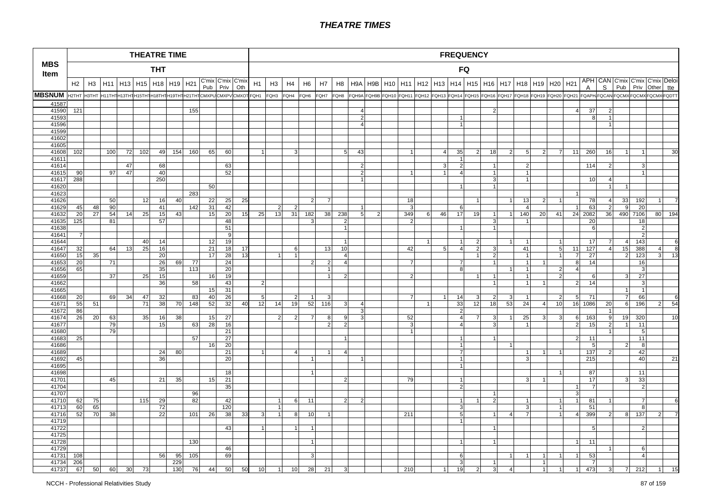|                                                                                                               |                |                 |          |                 | <b>THEATRE TIME</b>     |     |           |                   |          |     |                |                |                |                |                                |                           |                                                                                                                     |             |                |                |                | <b>FREQUENCY</b>                 |                |                                  |                                                           |                |                                       |                |                                  |                                           |                                  |                  |                |
|---------------------------------------------------------------------------------------------------------------|----------------|-----------------|----------|-----------------|-------------------------|-----|-----------|-------------------|----------|-----|----------------|----------------|----------------|----------------|--------------------------------|---------------------------|---------------------------------------------------------------------------------------------------------------------|-------------|----------------|----------------|----------------|----------------------------------|----------------|----------------------------------|-----------------------------------------------------------|----------------|---------------------------------------|----------------|----------------------------------|-------------------------------------------|----------------------------------|------------------|----------------|
| <b>MBS</b>                                                                                                    |                |                 |          |                 | <b>THT</b>              |     |           |                   |          |     |                |                |                |                |                                |                           |                                                                                                                     |             |                |                |                | <b>FQ</b>                        |                |                                  |                                                           |                |                                       |                |                                  |                                           |                                  |                  |                |
| <b>Item</b>                                                                                                   | H2             | H3              |          |                 | H11 H13 H15 H18 H19 H21 |     |           | C'mix C'mix C'mix |          |     | H1             | H <sub>3</sub> | H <sub>4</sub> | H <sub>6</sub> | H <sub>7</sub>                 | H <sub>8</sub>            | H9A                                                                                                                 | H9B H10 H11 |                |                |                |                                  |                |                                  | H12   H13   H14   H15   H16   H17   H18   H19   H20   H21 |                |                                       |                |                                  | APH   CAN   C'mix   C'mix   C'mix   Deloi |                                  |                  |                |
|                                                                                                               |                |                 |          |                 |                         |     |           | Pub               | Priv     | Oth |                |                |                |                |                                |                           |                                                                                                                     |             |                |                |                |                                  |                |                                  |                                                           |                |                                       |                | S.                               | Pub Priv Other                            |                                  |                  | tte            |
| <b>MBSNUM</b> H2THT H3THT H11THT H13THT H15THT H18THT H19THT H21THT CMXPU CMXPV CMXOT FQH1 FQH3 FQH4<br>41587 |                |                 |          |                 |                         |     |           |                   |          |     |                |                |                |                | FQH6 FQH7 FQH8                 |                           | FQH9A FQH9B FQH10 FQH11 FQH12 FQH13 FQH14 FQH15 FQH16 FQH17 FQH18 FQH19 FQH20 FQH21 FQAPH FQCANFQCMXFQCMXFQCMXFQCMX |             |                |                |                |                                  |                |                                  |                                                           |                |                                       |                |                                  |                                           |                                  |                  |                |
| 41590                                                                                                         | 121            |                 |          |                 |                         |     | 155       |                   |          |     |                |                |                |                |                                |                           | $\overline{4}$                                                                                                      |             |                |                |                |                                  |                | 2 <sup>1</sup>                   |                                                           |                | $\overline{4}$                        | 37             | $\overline{2}$                   |                                           |                                  |                  |                |
| 41593                                                                                                         |                |                 |          |                 |                         |     |           |                   |          |     |                |                |                |                |                                |                           | 2 <sup>1</sup>                                                                                                      |             |                |                |                | $\mathbf{1}$                     |                |                                  |                                                           |                |                                       | 8              | $\mathbf{1}$<br>$\overline{1}$   |                                           |                                  |                  |                |
| 41596<br>41599                                                                                                |                |                 |          |                 |                         |     |           |                   |          |     |                |                |                |                |                                |                           | 4 <sup>1</sup>                                                                                                      |             |                |                |                |                                  |                |                                  |                                                           |                |                                       |                |                                  |                                           |                                  |                  |                |
| 41602                                                                                                         |                |                 |          |                 |                         |     |           |                   |          |     |                |                |                |                |                                |                           |                                                                                                                     |             |                |                |                |                                  |                |                                  |                                                           |                |                                       |                |                                  |                                           |                                  |                  |                |
| 41605                                                                                                         |                |                 | 100      |                 |                         |     |           |                   |          |     | $\mathbf{1}$   |                | 3 <sup>l</sup> |                |                                |                           | 43                                                                                                                  |             |                |                | $\overline{4}$ |                                  | 2              |                                  | $\overline{2}$                                            | 2 <sup>1</sup> | 7 <sup>1</sup><br>11                  |                |                                  | $\overline{1}$                            | 1                                |                  |                |
| 41608<br>41611                                                                                                | 102            |                 |          | 72              | 102<br>49               | 154 | 160       | 65                | 60       |     |                |                |                |                |                                | 5 <sup>1</sup>            |                                                                                                                     |             |                |                |                | 35                               |                | 18                               | 5 <sup>1</sup>                                            |                |                                       | 260            | 16                               |                                           |                                  |                  | 30             |
| 41614                                                                                                         |                |                 |          | 47              | 68                      |     |           |                   | 63       |     |                |                |                |                |                                |                           | 2                                                                                                                   |             |                |                | $\mathbf{3}$   | $\overline{2}$                   |                | 1                                | $\overline{2}$                                            |                |                                       | 114            | $\overline{2}$                   |                                           | 3                                |                  |                |
| 41615                                                                                                         | 90             |                 | 97       | 47              | 40<br>250               |     |           |                   | 52       |     |                |                |                |                |                                |                           | 2                                                                                                                   |             |                |                | $\mathbf{1}$   | $\overline{4}$                   |                | 1                                | 1                                                         |                |                                       |                |                                  |                                           | $\mathbf{1}$                     |                  |                |
| 41617<br>41620                                                                                                | 288            |                 |          |                 |                         |     |           | 50                |          |     |                |                |                |                |                                |                           | 11                                                                                                                  |             |                |                |                | $\overline{1}$                   |                | 3 <sup>1</sup><br>11             | 1                                                         |                |                                       | 10             | $\overline{4}$<br>$\mathbf{1}$   | 11                                        |                                  |                  |                |
| 41623                                                                                                         |                |                 |          |                 |                         |     | 283       |                   |          |     |                |                |                |                |                                |                           |                                                                                                                     |             |                |                |                |                                  |                |                                  |                                                           |                | $\mathbf{1}$                          |                |                                  |                                           |                                  |                  |                |
| 41626<br>41629                                                                                                | 45             | 48              | 50<br>90 |                 | 12<br>16<br>41          | 40  | 142       | 22<br>31          | 25<br>42 | 25  |                | 2              | $\overline{2}$ | 2 <sup>1</sup> | $\overline{7}$                 |                           | 1                                                                                                                   |             | 18<br>3        |                |                | 6 <sup>1</sup>                   | 1 <sup>1</sup> |                                  | 13<br>$\mathbf{1}$<br>$\overline{4}$                      | 2 <sup>1</sup> | 1<br>11                               | 78<br>63       | $\overline{4}$<br>$\overline{2}$ | 33<br>9                                   | 192<br>20                        | 1                |                |
| 41632                                                                                                         | 20             | 27              | 54       | 14              | 25<br>15                | 43  |           | 15                | 20       | 15  | 25             | 13             | 31             | 182            | 38                             | 238                       | 5 <sup>1</sup><br>2 <sup>1</sup>                                                                                    |             | 349            | 6              | 46             | 17                               | 19             | 1 <sup>1</sup>                   | 140<br>1                                                  | 20<br>41       |                                       | 24 2082        | 36                               | 490 7106                                  |                                  |                  | 80 194         |
| 41635                                                                                                         | 125            |                 | 81       |                 | 57                      |     |           |                   | 48       |     |                |                |                | 3 <sup>1</sup> |                                | $\overline{2}$            |                                                                                                                     |             | $\overline{2}$ |                |                |                                  |                | 3                                |                                                           |                |                                       | 20             |                                  |                                           | 18                               |                  |                |
| 41638<br>41641                                                                                                | $\overline{7}$ |                 |          |                 |                         |     |           |                   | 51<br>9  |     |                |                |                |                |                                | $\overline{1}$            |                                                                                                                     |             |                |                |                | 11                               |                | 1                                |                                                           |                |                                       | 6              |                                  |                                           | $\overline{2}$<br>$\overline{2}$ |                  |                |
| 41644                                                                                                         |                |                 |          |                 | 40<br>14                |     |           | 12                | 19       |     |                |                |                |                |                                | $\vert$ 1                 |                                                                                                                     |             |                | $\mathbf{1}$   |                | 1                                | $\overline{2}$ |                                  | $\mathbf{1}$<br>$\overline{1}$                            |                | 1                                     | 17             | $\overline{7}$                   | $\vert 4 \vert$                           | 143                              |                  | 6              |
| 41647                                                                                                         | 32             |                 | 64       | 13              | 25<br>16                |     |           | 21                | 18       | 17  |                |                | 6              |                | 13                             | 10                        |                                                                                                                     |             | 42             |                | 5 <sub>5</sub> | $\overline{4}$                   | $\overline{2}$ | 3 <sup>1</sup>                   | 41                                                        |                | 5 <sup>1</sup><br>11                  | 127            | $\overline{4}$                   | 15                                        | 388                              | $\left 4\right $ | $\overline{8}$ |
| 41650                                                                                                         | 15             | 35 <sup>1</sup> |          |                 | 20                      | 69  |           | 17                | 28       | 13  |                | 1              | $\mathbf{1}$   | 2              |                                | $\vert$<br>$\overline{4}$ |                                                                                                                     |             | $\overline{7}$ |                |                | $\overline{7}$                   | $\mathbf{1}$   | 2 <sup>1</sup><br>1              | 1<br>1                                                    | $\overline{1}$ | 1<br>$\overline{7}$<br>8 <sup>1</sup> | 27             |                                  | $\overline{2}$                            | 123                              | 3 <sup>l</sup>   | 13             |
| 41653<br>41656                                                                                                | 20<br>65       |                 | 71       |                 | 26<br>35                |     | 77<br>113 |                   | 24<br>20 |     |                |                |                |                | $\overline{2}$<br>$\mathbf{1}$ |                           |                                                                                                                     |             |                |                |                | 8 <sup>1</sup>                   |                |                                  | 1<br>1                                                    |                | $\overline{2}$<br>$\overline{4}$      | 14             |                                  |                                           | 16<br>3                          |                  |                |
| 41659                                                                                                         |                |                 | 37       |                 | 25<br>15                |     |           | 16                | 19       |     |                |                |                |                | 1                              | $2 \overline{2}$          |                                                                                                                     |             | $\overline{2}$ |                |                |                                  |                | 11                               | 1                                                         |                | $\overline{2}$                        | 6              |                                  | 3 <sup>1</sup>                            | 27                               |                  |                |
| 41662                                                                                                         |                |                 |          |                 | 36                      |     | 58        |                   | 43       |     | $\vert$ 2      |                |                |                |                                |                           |                                                                                                                     |             |                |                |                |                                  |                | 1 <sup>1</sup>                   | 1                                                         | $\mathbf{1}$   | $\overline{2}$                        | 14             |                                  | 1                                         | 3<br>1                           |                  |                |
| 41665<br>41668                                                                                                | 20             |                 | 69       | 34              | 32<br>47                |     | 83        | 15<br>40          | 31<br>26 |     | 5 <sub>5</sub> |                | 2              | 1              | $\mathbf{3}$                   |                           |                                                                                                                     |             | $\overline{7}$ |                | 1              | 14                               | 3 <sup>l</sup> | 2                                | $\mathbf{3}$<br>$\mathbf{1}$                              |                | $\overline{2}$<br>5 <sup>1</sup>      | 71             |                                  | $\overline{7}$                            | 66                               |                  | 6              |
| 41671                                                                                                         | 55             | 51              |          |                 | 71<br>38                | 70  | 148       | 52                | 32       | 40  | 12             | 14             | 19             | 52             | 116                            | 3 <sup>1</sup>            | $\overline{4}$                                                                                                      |             |                | $\overline{1}$ |                | 33                               | 12             | 18                               | 53<br>24                                                  | 10<br>$\vert$  |                                       | 16 1086        | 20                               | $6 \mid$                                  | 196                              | 2                | 54             |
| 41672<br>41674                                                                                                | 86<br>26       | 20              | 63       |                 | 35<br>16                | 38  |           | 15                | 27       |     |                | 2              | 2              | 7 <sup>1</sup> | 8                              | 9                         | 3 <sup>1</sup><br>3                                                                                                 |             | 52             |                |                | $\overline{2}$<br>$\overline{4}$ | $\overline{7}$ | 3 <sup>1</sup>                   | 25<br>1                                                   | 3              | $\mathbf{3}$<br>6                     | 163            | 9                                | 19                                        | 320                              |                  | 10             |
| 41677                                                                                                         |                |                 | 79       |                 | 15                      |     | 63        | 28                | 16       |     |                |                |                |                | $\overline{2}$                 | $\overline{2}$            |                                                                                                                     |             | 3              |                |                | 4                                |                | 3 <sup>l</sup>                   | $\mathbf{1}$                                              |                | $\overline{2}$                        | 15             | $\overline{2}$                   | 1                                         | 11                               |                  |                |
| 41680                                                                                                         |                |                 | 79       |                 |                         |     |           |                   | 21       |     |                |                |                |                |                                |                           |                                                                                                                     |             | $\overline{1}$ |                |                |                                  |                |                                  |                                                           |                |                                       |                | $\mathbf{1}$                     |                                           | $5\overline{)}$                  |                  |                |
| 41683<br>41686                                                                                                | 25             |                 |          |                 |                         |     | 57        | 16                | 27<br>20 |     |                |                |                |                |                                | $\overline{1}$            |                                                                                                                     |             |                |                |                | 1<br>1                           |                | 1                                | $\mathbf{1}$                                              |                | $\overline{2}$                        | 11<br>5        |                                  | $\overline{2}$                            | 11<br>8                          |                  |                |
| 41689                                                                                                         |                |                 |          |                 | 24                      | 80  |           |                   | 21       |     | 11             |                | 4 <sup>1</sup> |                | $\mathbf{1}$                   | $\overline{4}$            |                                                                                                                     |             |                |                |                | $\overline{7}$                   |                |                                  | 11                                                        | $\mathbf 1$    | 11                                    | 137            | $\overline{2}$                   |                                           | 42                               |                  |                |
| 41692                                                                                                         | 45             |                 |          |                 | 36                      |     |           |                   | 20       |     |                |                |                | 1 <sup>1</sup> |                                |                           |                                                                                                                     |             |                |                |                | $\mathbf{1}$                     |                |                                  | $\overline{3}$                                            |                |                                       | 215            |                                  |                                           | 40                               |                  | 21             |
| 41695<br>41698                                                                                                |                |                 |          |                 |                         |     |           |                   | 18       |     |                |                |                | 1 <sup>1</sup> |                                |                           |                                                                                                                     |             |                |                |                | $\mathbf{1}$                     |                |                                  |                                                           |                | 1 <sup>1</sup>                        | 87             |                                  |                                           | 11                               |                  |                |
| 41701                                                                                                         |                |                 | 45       |                 | 21                      | 35  |           | 15                | 21       |     |                |                |                |                |                                | 2 <sup>1</sup>            |                                                                                                                     |             | 79             |                |                | 1                                |                |                                  | 3 <sup>1</sup>                                            | $\mathbf{1}$   |                                       | 17             |                                  | $\overline{3}$                            | 33                               |                  |                |
| 41704                                                                                                         |                |                 |          |                 |                         |     |           |                   | 35       |     |                |                |                |                |                                |                           |                                                                                                                     |             |                |                |                | $\overline{2}$                   |                |                                  |                                                           |                | 11                                    | $\overline{7}$ |                                  |                                           | $\vert$ 2                        |                  |                |
| 41707<br>41710                                                                                                | 62             | 75              |          |                 | 29<br>115               |     | 96<br>82  |                   | 42       |     |                | 11             | 6 <sup>1</sup> | 11             |                                | $\overline{2}$            | 2                                                                                                                   |             |                |                |                | $\mathbf{1}$                     |                | 1 <sup>1</sup><br>2 <sup>1</sup> | $\mathbf{1}$                                              |                | $\mathbf{3}$<br>11<br>11              | 81             | $\mathbf{1}$                     |                                           | 7                                |                  | 6              |
| 41713                                                                                                         | 60             | 65              |          |                 | 72                      |     |           |                   | 120      |     |                |                |                |                |                                |                           |                                                                                                                     |             |                |                |                | 3                                |                |                                  | 3 <sup>1</sup>                                            |                | 1                                     | 51             |                                  |                                           | 8                                |                  |                |
| 41716                                                                                                         | 52             | 70              | 38       |                 | 22                      |     | 101       | 26                | 38       | 33  | 3              | 1              | 8 <sup>1</sup> | 10             |                                |                           |                                                                                                                     |             | 211            |                |                | $5\overline{)}$                  |                | 1                                | $\overline{7}$<br>4                                       |                | 1 <sup>1</sup><br>$\overline{4}$      | 399            | $\overline{2}$                   | 8                                         | 137                              | $\overline{2}$   |                |
| 41719<br>41722                                                                                                |                |                 |          |                 |                         |     |           |                   | 43       |     | $\mathbf{1}$   |                |                | 1              |                                |                           |                                                                                                                     |             |                |                |                | 1                                |                | $\mathbf{1}$                     |                                                           |                |                                       | 5              |                                  |                                           | $\overline{2}$                   |                  |                |
| 41725                                                                                                         |                |                 |          |                 |                         |     |           |                   |          |     |                |                |                |                |                                |                           |                                                                                                                     |             |                |                |                |                                  |                |                                  |                                                           |                |                                       |                |                                  |                                           |                                  |                  |                |
| 41728                                                                                                         |                |                 |          |                 |                         |     | 130       |                   |          |     |                |                |                | 1 <sup>1</sup> |                                |                           |                                                                                                                     |             |                |                |                | 1                                |                | 1 <sup>1</sup>                   |                                                           |                | $\vert$ 1                             | 11             |                                  |                                           |                                  |                  |                |
| 41729<br>41731                                                                                                | 108            |                 |          |                 | 56                      | 95  | 105       |                   | 46<br>69 |     |                |                |                | 3 <sup>1</sup> |                                |                           |                                                                                                                     |             |                |                |                | 6                                |                |                                  |                                                           |                | $\mathbf{1}$                          | 53             | $\mathbf{1}$                     |                                           | 6 I<br>$\overline{a}$            |                  |                |
| 41734                                                                                                         | 206            |                 |          |                 |                         | 229 |           |                   |          |     |                |                |                |                |                                |                           |                                                                                                                     |             |                |                |                | $\mathbf{3}$                     |                | 1 <sup>1</sup>                   |                                                           | $\mathbf{1}$   |                                       | $\overline{7}$ |                                  |                                           |                                  |                  |                |
| 41737                                                                                                         | 67             | 50              | 60       | 30 <sup>2</sup> | $\overline{73}$         | 130 | 76        | 44                | 50       | 50  | 10             | 1              | 10             | 28             | 21                             | 3 <sup>l</sup>            |                                                                                                                     |             | 210            |                | 1              | 19                               | $\overline{2}$ | 3 <sup>1</sup>                   | $\overline{4}$                                            | 1              | 1<br>11                               | 473            | $\mathbf{3}$                     | 7                                         | 212                              | 1                | 15             |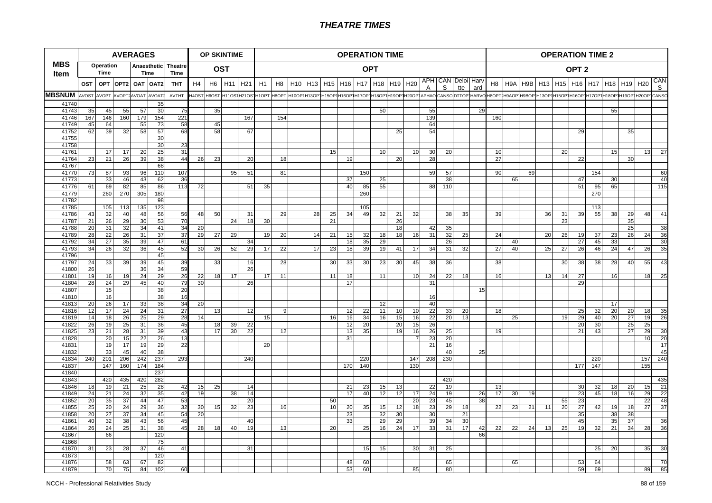|                           |            |                          |            | <b>AVERAGES</b>                |                        |           |                |                 | <b>OP SKINTIME</b> |                 |    |     |                                                                                                                                               |                 | <b>OPERATION TIME</b> |                 |          |          |                 |                 |                                |     |          |     |                 |    |                                                                   |          |                  | <b>OPERATION TIME 2</b> |          |          |                 |           |
|---------------------------|------------|--------------------------|------------|--------------------------------|------------------------|-----------|----------------|-----------------|--------------------|-----------------|----|-----|-----------------------------------------------------------------------------------------------------------------------------------------------|-----------------|-----------------------|-----------------|----------|----------|-----------------|-----------------|--------------------------------|-----|----------|-----|-----------------|----|-------------------------------------------------------------------|----------|------------------|-------------------------|----------|----------|-----------------|-----------|
| <b>MBS</b><br><b>Item</b> |            | Operation<br><b>Time</b> |            | Anaesthetic<br><b>Time</b>     | <b>Theatre</b><br>Time |           |                | <b>OST</b>      |                    |                 |    |     |                                                                                                                                               |                 |                       | <b>OPT</b>      |          |          |                 |                 |                                |     |          |     |                 |    |                                                                   |          | OPT <sub>2</sub> |                         |          |          |                 |           |
|                           | <b>OST</b> |                          |            | OPT OPT2 OAT OAT2              | <b>THT</b>             |           | H <sub>4</sub> | H6              | H <sub>11</sub>    | H <sub>21</sub> | H1 | H8  | H <sub>10</sub>   H <sub>13</sub>   H <sub>15</sub>   H <sub>16</sub>   H <sub>17</sub>   H <sub>18</sub>   H <sub>19</sub>   H <sub>20</sub> |                 |                       |                 |          |          |                 | A               | APH   CAN   Deloi   Harv<br>S. | tte | ard      |     |                 |    | H8 H9A H9B H13 H15 H16 H17 H18 H19 H20                            |          |                  |                         |          |          |                 | CAN<br>S. |
| <b>MBSNUM</b>             |            |                          |            | AVOST AVOPT AVOPTZAVOAT AVOATZ | AVTHT                  |           |                |                 |                    |                 |    |     | 140ST  H6OST  H11OSTH21OSTH1OPT  H8OPT  H10OPTH13OPTH15OPTH16OPTH17OPTH18OPTH19OPTH20OPTAPHAO CANSO DTTOPTHARVO                               |                 |                       |                 |          |          |                 |                 |                                |     |          |     |                 |    | H8OPT/H9AOP H9BOP H13OP H15OP H16OP H17OP H18OP H19OP H20OP CANSC |          |                  |                         |          |          |                 |           |
| 41740                     |            |                          |            |                                | 35                     |           |                |                 |                    |                 |    |     |                                                                                                                                               |                 |                       |                 |          |          |                 |                 |                                |     |          |     |                 |    |                                                                   |          |                  |                         |          |          |                 |           |
| 41743<br>41746            | 35<br>167  | 45<br>146                | 55<br>160  | 57<br>179                      | 30<br>154              | 75<br>221 |                | 35              |                    | 167             |    | 154 |                                                                                                                                               |                 |                       |                 | 50       |          |                 | 55<br>139       |                                |     | 29       | 160 |                 |    |                                                                   |          |                  |                         | 55       |          |                 |           |
| 41749                     | 45         | 64                       |            | 55                             | 73                     | 58        |                | 45              |                    |                 |    |     |                                                                                                                                               |                 |                       |                 |          |          |                 | 64              |                                |     |          |     |                 |    |                                                                   |          |                  |                         |          |          |                 |           |
| 41752                     | 62         | 39                       | 32         | 58                             | 57                     | 68        |                | 58              |                    | 67              |    |     |                                                                                                                                               |                 |                       |                 |          | 25       |                 | 54              |                                |     |          |     |                 |    |                                                                   |          | 29               |                         |          | 35       |                 |           |
| 41755                     |            |                          |            |                                | 30                     |           |                |                 |                    |                 |    |     |                                                                                                                                               |                 |                       |                 |          |          |                 |                 |                                |     |          |     |                 |    |                                                                   |          |                  |                         |          |          |                 |           |
| 41758<br>41761            |            | 17                       | 17         | 20                             | 30<br>25               | 23<br>31  |                |                 |                    |                 |    |     |                                                                                                                                               | 15              |                       |                 | 10       |          | 10              | 30 <sup>°</sup> | 20                             |     |          | 10  |                 |    |                                                                   | 20       |                  |                         | 15       |          | 13              | 27        |
| 41764                     | 23         | 21                       | 26         | 39                             | 38                     | 44        | 26             | 23              |                    | 20              |    | 18  |                                                                                                                                               |                 | 19                    |                 |          | 20       |                 | 28              |                                |     |          | 27  |                 |    |                                                                   |          | 22               |                         |          | 30       |                 |           |
| 41767                     |            |                          |            |                                | 68                     |           |                |                 |                    |                 |    |     |                                                                                                                                               |                 |                       |                 |          |          |                 |                 |                                |     |          |     |                 |    |                                                                   |          |                  |                         |          |          |                 |           |
| 41770                     | 73         | 87                       | 93         | 96                             | 110                    | 107       |                |                 | 95                 | 51              |    | 81  |                                                                                                                                               |                 |                       | 150             |          |          |                 | 59              | 57                             |     |          | 90  |                 | 69 |                                                                   |          |                  | 154                     |          |          |                 | 60        |
| 41773<br>41776            | 61         | 33<br>69                 | 46<br>82   | 43<br>85                       | 62<br>86               | 36<br>113 | 72             |                 |                    | 51              | 35 |     |                                                                                                                                               |                 | 37<br>40              | 85              | 25<br>55 |          |                 | 88              | 38<br>110                      |     |          |     | 65              |    |                                                                   |          | 47<br>51         | 95                      | 30<br>65 |          |                 | 40<br>115 |
| 41779                     |            | 260                      | 270        | 305                            | 180                    |           |                |                 |                    |                 |    |     |                                                                                                                                               |                 |                       | 260             |          |          |                 |                 |                                |     |          |     |                 |    |                                                                   |          |                  | 270                     |          |          |                 |           |
| 41782                     |            |                          |            |                                | 98                     |           |                |                 |                    |                 |    |     |                                                                                                                                               |                 |                       |                 |          |          |                 |                 |                                |     |          |     |                 |    |                                                                   |          |                  |                         |          |          |                 |           |
| 41785                     |            | 105                      | 113<br>40  | 135                            | 123                    |           |                | 50              |                    |                 |    |     |                                                                                                                                               |                 |                       | 105             |          |          |                 |                 |                                | 35  |          | 39  |                 |    | 36                                                                |          |                  | 113                     |          |          |                 |           |
| 41786<br>41787            | 43<br>21   | 32<br>26                 | 29         | 48<br>30                       | 56<br>53               | 56<br>70  | 48             |                 | 24                 | 31<br>18        | 30 | 29  | 28                                                                                                                                            | 25<br>21        | 34                    | 49              | 32       | 21<br>26 | 32              |                 | 38                             |     |          |     |                 |    |                                                                   | 31<br>23 | 39               | 55                      | 38       | 29<br>35 | 48              | 41        |
| 41788                     | 20         | 31                       | 32         | 34                             | 41                     | 34        | 20             |                 |                    |                 |    |     |                                                                                                                                               |                 |                       |                 |          | 18       |                 | 42              | 35                             |     |          |     |                 |    |                                                                   |          |                  |                         |          | 25       |                 | 38        |
| 41789                     | 28         | 22                       | 26         | 31                             | 37                     | 37        | 29             | 27              | 29                 |                 | 19 | 20  | 14                                                                                                                                            | 21              | 15                    | 32              | 18       | 18       | 16              | 31              | 32                             | 25  |          | 24  |                 |    | 20                                                                | 26       | 19               | 37                      | 23       | 26       | 24              | 36        |
| 41792                     | 34         | 27                       | 35         | 39                             | 47                     | 61        |                |                 |                    | 34              |    |     |                                                                                                                                               |                 | 18                    | 35              | 29       |          |                 |                 | 26                             |     |          |     | 40              |    |                                                                   |          | 27               | 45                      | 33       |          |                 | 30        |
| 41793<br>41796            | 34         | 26                       | 32         | 36                             | 45<br>45               | 52        | 30             | 26              | 52                 | 29              | 17 | 22  | 17                                                                                                                                            | 23              | 18                    | 39              | 19       | 41       | 17              | 34              | 31                             | 32  |          | 27  | 40              |    | 25                                                                | 27       | 26               | 46                      | 24       | 47       | 26              | 35        |
| 41797                     | 24         | 33                       | 39         | 39                             | 45                     | 39        |                | 33              |                    | 16              |    | 28  |                                                                                                                                               | 30 <sup>1</sup> | 33                    | 30 <sup>1</sup> | 23       | 30       | 45              | 38              | 36                             |     |          | 38  |                 |    |                                                                   | 30       | 38               | 38                      | 28       | 40       | 55              | 43        |
| 41800                     | 26         |                          |            | 36                             | 34                     | 59        |                |                 |                    | 26              |    |     |                                                                                                                                               |                 |                       |                 |          |          |                 |                 |                                |     |          |     |                 |    |                                                                   |          |                  |                         |          |          |                 |           |
| 4180 <sup>-</sup>         | 19         | 16                       | 19         | 24                             | 29                     | 26        | 22             | 18              | 17                 |                 | 17 | 11  |                                                                                                                                               | 11              | 18                    |                 | 11       |          | 10 <sup>1</sup> | 24              | 22                             | 18  |          | 16  |                 |    | 13                                                                | 14       | 27               |                         | 16       |          | 18              | 25        |
| 41804<br>41807            | 28         | 24<br>15                 | 29         | 45                             | 40<br>38               | 79<br>20  | 30             |                 |                    | 26              |    |     |                                                                                                                                               |                 | 17                    |                 |          |          |                 | 31              |                                |     | 15       |     |                 |    |                                                                   |          | 29               |                         |          |          |                 |           |
| 41810                     |            | 16                       |            |                                | 38                     | 16        |                |                 |                    |                 |    |     |                                                                                                                                               |                 |                       |                 |          |          |                 | 16              |                                |     |          |     |                 |    |                                                                   |          |                  |                         |          |          |                 |           |
| 41813                     | 20         | 26                       | 17         | 33                             | 38                     | 34        | 20             |                 |                    |                 |    |     |                                                                                                                                               |                 |                       |                 | 12       |          |                 | 40              |                                |     |          |     |                 |    |                                                                   |          |                  |                         | 17       |          |                 |           |
| 41816                     | 12         | 17                       | 24         | 24                             | 31                     | 27        |                | 13              |                    | 12              |    | 9   |                                                                                                                                               |                 | 12                    | 22              | 11       | 10       | 10              | 22              | 33                             | 20  |          | 18  |                 |    |                                                                   |          | 25               | 32                      | 20       | 20       | 18              | 35        |
| 41819<br>41822            | 14<br>26   | 18<br>19                 | 26<br>25   | 25<br>31                       | 29<br>36               | 28<br>45  | 14             | 18 <sup>1</sup> | 39                 | 22              | 15 |     |                                                                                                                                               | 16              | 16<br>12              | 34<br>20        | 16       | 15<br>20 | 16              | 22<br>26        | 20 <sup>1</sup>                | 13  |          |     | 25              |    |                                                                   | 19       | 29<br>20         | 40<br>30                | 20       | 27<br>25 | 19<br>25        | 26        |
| 41825                     | 23         | 21                       | 28         | 31                             | 39                     | 43        |                | 17 <sup>1</sup> | 30                 | 22              |    | 12  |                                                                                                                                               |                 | 13                    | 35              |          | 19       | 15<br>16        | 26              | 25                             |     |          | 19  |                 |    |                                                                   |          | 21               | 43                      |          | 27       | 29              | 30        |
| 41828                     |            | 20                       | 15         | 22                             | 26                     | 13        |                |                 |                    |                 |    |     |                                                                                                                                               |                 | 31                    |                 |          |          | $\overline{7}$  | 23              | 20                             |     |          |     |                 |    |                                                                   |          |                  |                         |          |          | 10              | 20        |
| 41831                     |            | 19                       | 17         | 19                             | 29                     | 22        |                |                 |                    |                 | 20 |     |                                                                                                                                               |                 |                       |                 |          |          |                 | 21              | 16                             |     |          |     |                 |    |                                                                   |          |                  |                         |          |          |                 | 17        |
| 41832                     |            | 33                       | 45         | 40                             | 38                     |           |                |                 |                    |                 |    |     |                                                                                                                                               |                 |                       |                 |          |          |                 |                 | 40                             |     | 25       |     |                 |    |                                                                   |          |                  |                         |          |          |                 | 45        |
| 41834<br>41837            | 240        | 201<br>147               | 206<br>160 | 242<br>174                     | 237<br>184             | 293       |                |                 |                    | 240             |    |     |                                                                                                                                               |                 | 170                   | 220<br>140      |          |          | 147<br>130      | 208             | 230                            |     |          |     |                 |    |                                                                   |          | 177              | 220<br>147              |          |          | 157<br>155      | 240       |
| 41840                     |            |                          |            |                                | 237                    |           |                |                 |                    |                 |    |     |                                                                                                                                               |                 |                       |                 |          |          |                 |                 |                                |     |          |     |                 |    |                                                                   |          |                  |                         |          |          |                 |           |
| 41843                     |            | 420                      | 435        | 420                            | 282                    |           |                |                 |                    |                 |    |     |                                                                                                                                               |                 |                       |                 |          |          |                 |                 | 420                            |     |          |     |                 |    |                                                                   |          |                  |                         |          |          |                 | 435       |
| 41846                     | 18         | 19                       | 21         | 25                             | 28                     | 42        | 15             | 25              |                    | 14              |    |     |                                                                                                                                               |                 | 21                    | 23              | 15       | 13       |                 | 22              | 19                             |     |          | 13  |                 |    |                                                                   |          | 30               | 32                      | 18       | 20       | 15              | 21        |
| 41849<br>41852            | 24<br>20   | 21<br>35                 | 24<br>37   | 32<br>44                       | 35<br>47               | 42<br>53  | 19             |                 | 38                 | 14<br>20        |    |     |                                                                                                                                               | 50              | 17                    | 40              | 12       | 12       | 17<br>20        | 24<br>23        | 19<br>45                       |     | 26<br>38 | 17  | 30 <sup>°</sup> | 19 |                                                                   | 55       | 23<br>23         | 45                      | 18       | 16       | 29<br>22        | 22<br>48  |
| 41855                     | 25         | 20                       | 24         | 29                             | 36                     | 32        | 30             | 15              | 32                 | 23              |    | 16  |                                                                                                                                               | 10 <sup>1</sup> | 20                    | 35              | 15       | 12       | 18              | 23              | 29                             | 18  |          | 22  | 23              | 21 | 11                                                                | 20       | 27               | 42                      | 19       | 18       | 27              | 37        |
| 41858                     | 20         | 27                       | 37         | 34                             | 45                     | 54        | 20             |                 |                    |                 |    |     |                                                                                                                                               |                 | 23                    |                 | 32       | 30       |                 | 30              |                                | 21  |          |     |                 |    |                                                                   |          | 35               |                         | 38       | 38       |                 |           |
| 41861                     | 40         | 32                       | 38         | 43                             | 56                     | 45        |                |                 |                    | 40              |    |     |                                                                                                                                               |                 | 33                    |                 | 29       | 29       |                 | 39              | 34                             | 30  |          |     |                 |    |                                                                   |          | 45               |                         | 35       | 37       |                 | 36        |
| 41864<br>41867            | 26         | 24<br>66                 | 25         | 31                             | 38<br>120              | 45        | 28             | 18              | 40                 | 19              |    | 13  |                                                                                                                                               | 20              |                       | 25              | 16       | 24       | 17              | 33              | 31                             | 17  | 42<br>66 | 22  | 22              | 24 | 13                                                                | 25       | 19               | 32                      | 21       | 34       | 28              | 36        |
| 41868                     |            |                          |            |                                | 75                     |           |                |                 |                    |                 |    |     |                                                                                                                                               |                 |                       |                 |          |          |                 |                 |                                |     |          |     |                 |    |                                                                   |          |                  |                         |          |          |                 |           |
| 41870                     | 31         | 23                       | 28         | 37                             | 46                     | 41        |                |                 |                    | 31              |    |     |                                                                                                                                               |                 |                       | 15              | 15       |          | 30              | 31              | 25                             |     |          |     |                 |    |                                                                   |          |                  | 25                      | 20       |          | 35 <sub>1</sub> | 30        |
| 41873                     |            |                          |            |                                | 120                    |           |                |                 |                    |                 |    |     |                                                                                                                                               |                 |                       |                 |          |          |                 |                 |                                |     |          |     |                 |    |                                                                   |          |                  |                         |          |          |                 |           |
| 41876<br>41879            |            | 58<br>70                 | 63<br>75   | 67                             | 82<br>102              | 60        |                |                 |                    |                 |    |     |                                                                                                                                               |                 | 48<br>53              | 60              |          |          | 85              |                 | 65<br>80                       |     |          |     | 65              |    |                                                                   |          | 53<br>59         | 64<br>69                |          |          | 89              | 70<br>85  |
|                           |            |                          |            | 84                             |                        |           |                |                 |                    |                 |    |     |                                                                                                                                               |                 |                       | 60              |          |          |                 |                 |                                |     |          |     |                 |    |                                                                   |          |                  |                         |          |          |                 |           |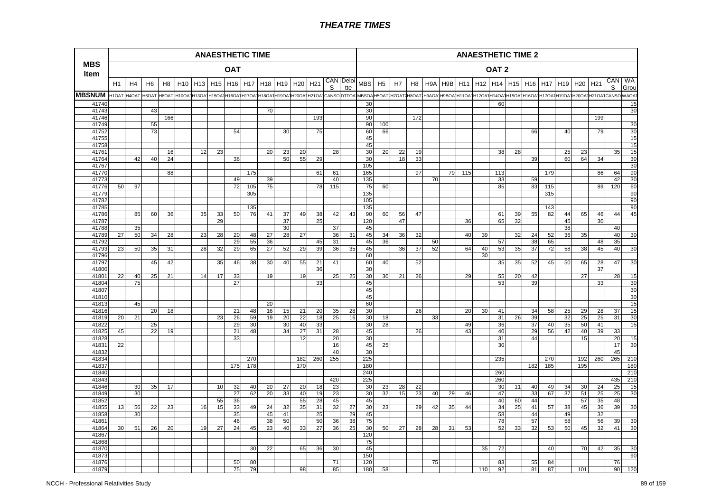|                    |    |                |                |                |                                                                                           |                 | <b>ANAESTHETIC TIME</b> |          |          |                                                                 |          |          |                 |          |            |                  |          |                |                  |     |     |     |          | <b>ANAESTHETIC TIME 2</b>                                                                           |          |     |          |                 |          |                 |          |
|--------------------|----|----------------|----------------|----------------|-------------------------------------------------------------------------------------------|-----------------|-------------------------|----------|----------|-----------------------------------------------------------------|----------|----------|-----------------|----------|------------|------------------|----------|----------------|------------------|-----|-----|-----|----------|-----------------------------------------------------------------------------------------------------|----------|-----|----------|-----------------|----------|-----------------|----------|
| <b>MBS</b><br>Item |    |                |                |                |                                                                                           |                 |                         |          |          |                                                                 |          |          |                 |          |            | OAT <sub>2</sub> |          |                |                  |     |     |     |          |                                                                                                     |          |     |          |                 |          |                 |          |
|                    | H1 | H <sub>4</sub> | H <sub>6</sub> | H <sub>8</sub> | H10   H13   H15   H16   H17                                                               |                 |                         |          |          | H <sub>18</sub> H <sub>19</sub> H <sub>20</sub> H <sub>21</sub> |          |          | CAN Deloi<br>S. | tte      | <b>MBS</b> | H <sub>5</sub>   | H7       | H <sub>8</sub> | H <sub>9</sub> A | H9B |     |     |          | H11   H12   H14   H15   H16   H17   H19   H20   H21                                                 |          |     |          |                 |          | CAN WA<br>S     | Grou     |
| <b>MBSNUM</b>      |    |                |                |                | H1OAT H4OAT H6OAT H8OAT H10OATH13OATH15OATH16OATH17OATH18OATH19OATH20OATH21OATCANSO DTTOA |                 |                         |          |          |                                                                 |          |          |                 |          |            |                  |          |                |                  |     |     |     |          | MBSOAH5OAT1H7OAT1H8OAT1H9AOA1H9BOA1H11OA1H12OA1H14OA1H15OA1H16OA1H17OA1H19OA1H20OA1H21OA1CANSO WAOA |          |     |          |                 |          |                 |          |
| 41740              |    |                |                |                |                                                                                           |                 |                         |          |          |                                                                 |          |          |                 |          | 30         |                  |          |                |                  |     |     |     | 60       |                                                                                                     |          |     |          |                 |          |                 | 15       |
| 41743              |    |                | 43             |                |                                                                                           |                 |                         |          | 70       |                                                                 |          |          |                 |          | 30         |                  |          |                |                  |     |     |     |          |                                                                                                     |          |     |          |                 |          |                 | 30       |
| 41746<br>41749     |    |                | 55             | 166            |                                                                                           |                 |                         |          |          |                                                                 |          | 193      |                 |          | 90<br>90   | 100              |          | 172            |                  |     |     |     |          |                                                                                                     |          |     |          |                 | 199      |                 | 30       |
| 41752              |    |                | 73             |                |                                                                                           |                 | 54                      |          |          | 30                                                              |          | 75       |                 |          | 60         | 66               |          |                |                  |     |     |     |          |                                                                                                     | 66       |     | 40       |                 | 79       |                 | 30       |
| 41755              |    |                |                |                |                                                                                           |                 |                         |          |          |                                                                 |          |          |                 |          | 45         |                  |          |                |                  |     |     |     |          |                                                                                                     |          |     |          |                 |          |                 | 15       |
| 41758              |    |                |                |                |                                                                                           |                 |                         |          |          |                                                                 |          |          |                 |          | 45         |                  |          |                |                  |     |     |     |          |                                                                                                     |          |     |          |                 |          |                 | 15       |
| 41761              |    |                |                | 16             | 12                                                                                        | 23              |                         |          | 20       | 23                                                              | 20       |          | 28              |          | 30         | 20               | 22       | 19             |                  |     |     |     | 38       | 28                                                                                                  |          |     | 25       | 23              |          | 35              | 15       |
| 41764              |    | 42             | 40             | 24             |                                                                                           |                 | 36                      |          |          | 50                                                              | 55       | 29       |                 |          | 30         |                  | 18       | 33             |                  |     |     |     |          |                                                                                                     | 39       |     | 60       | 64              | 34       |                 | 30       |
| 41767<br>41770     |    |                |                | 88             |                                                                                           |                 |                         | 175      |          |                                                                 |          | 61       | 61              |          | 105<br>165 |                  |          | 97             |                  | 79  | 115 |     | 113      |                                                                                                     |          | 179 |          |                 | 86       | 64              | 30<br>90 |
| 41773              |    |                |                |                |                                                                                           |                 | 49                      |          | 39       |                                                                 |          |          | 40              |          | 135        |                  |          |                | 70               |     |     |     | 33       |                                                                                                     | 59       |     |          |                 |          | 42              | 30       |
| 41776              | 50 | 97             |                |                |                                                                                           |                 | 72                      | 105      | 75       |                                                                 |          | 78       | 115             |          | 75         | 60               |          |                |                  |     |     |     | 85       |                                                                                                     | 83       | 115 |          |                 | 89       | 120             | 60       |
| 41779              |    |                |                |                |                                                                                           |                 |                         | 305      |          |                                                                 |          |          |                 |          | 135        |                  |          |                |                  |     |     |     |          |                                                                                                     |          | 315 |          |                 |          |                 | 90       |
| 41782              |    |                |                |                |                                                                                           |                 |                         |          |          |                                                                 |          |          |                 |          | 105        |                  |          |                |                  |     |     |     |          |                                                                                                     |          |     |          |                 |          |                 | 90       |
| 41785              |    |                |                |                |                                                                                           |                 |                         | 135      |          |                                                                 |          |          |                 |          | 135        |                  |          |                |                  |     |     |     |          |                                                                                                     |          | 143 |          |                 |          |                 | 90       |
| 41786<br>41787     |    | 85             | 60             | 36             | 35                                                                                        | 33<br>29        | 50                      | 76       | 41       | 37<br>37                                                        | 49       | 38<br>25 | 42              | 43       | 90<br>120  | 60               | 56<br>47 | 47             |                  |     | 36  |     | 61<br>65 | 39<br>32                                                                                            | 55       | 82  | 44<br>45 | 65              | 46<br>30 | 44              | 45       |
| 41788              |    | 35             |                |                |                                                                                           |                 |                         |          |          | 30                                                              |          |          | 37              |          | 45         |                  |          |                |                  |     |     |     |          |                                                                                                     |          |     | 38       |                 |          | 40              |          |
| 41789              | 27 | 50             | 34             | 28             | 23                                                                                        | 28              | 20                      | 48       | 27       | 28                                                              | 27       |          | 36              | 31       | 45         | 34               | 36       | 32             |                  |     | 40  | 39  |          | 32                                                                                                  | 24       | 52  | 36       | 35              |          | 40              | 30       |
| 41792              |    |                |                |                |                                                                                           |                 | 29                      | 55       | 36       |                                                                 |          | 45       | 31              |          | 45         | 36               |          |                | 50               |     |     |     | 57       |                                                                                                     | 38       | 65  |          |                 | 48       | 35              |          |
| 41793              | 23 | 50             | 35             | 31             | 28                                                                                        | 32              | 29                      | 65       | 27       | 52                                                              | 29       | 39       | 36              | 35       | 45         |                  | 36       | 37             | 52               |     | 64  | 40  | 53       | 35                                                                                                  | 37       | 72  | 58       | 38              | 45       | 40              | 30       |
| 41796              |    |                |                |                |                                                                                           |                 |                         |          |          |                                                                 |          |          |                 |          | 60         |                  |          |                |                  |     |     | 30  |          |                                                                                                     |          |     |          |                 |          |                 |          |
| 41797<br>41800     |    |                | 45             | 42             |                                                                                           | 35              | 46                      | 38       | 30       | 40                                                              | 55       | 21<br>36 | 41              |          | 60<br>30   | 40               |          | 52             |                  |     |     |     | 35       | 35                                                                                                  | 52       | 45  | 50       | 65              | 28<br>37 | 47              | 30       |
| 41801              | 22 | 40             | 25             | 21             | 14                                                                                        | 17              | 33                      |          | 19       |                                                                 | 19       |          | 25              | 25       | 30         | 30               | 21       | 26             |                  |     | 29  |     | 55       | 20                                                                                                  | 42       |     |          | $\overline{27}$ |          | $\overline{28}$ | 15       |
| 41804              |    | 75             |                |                |                                                                                           |                 | 27                      |          |          |                                                                 |          | 33       |                 |          | 45         |                  |          |                |                  |     |     |     | 53       |                                                                                                     | 39       |     |          |                 | 33       |                 | 30       |
| 41807              |    |                |                |                |                                                                                           |                 |                         |          |          |                                                                 |          |          |                 |          | 45         |                  |          |                |                  |     |     |     |          |                                                                                                     |          |     |          |                 |          |                 | 30       |
| 41810              |    |                |                |                |                                                                                           |                 |                         |          |          |                                                                 |          |          |                 |          | 45         |                  |          |                |                  |     |     |     |          |                                                                                                     |          |     |          |                 |          |                 | 30       |
| 41813              |    | 45             |                |                |                                                                                           |                 | 21                      |          | 20       |                                                                 |          |          |                 |          | 60<br>30   |                  |          |                |                  |     | 20  |     |          |                                                                                                     | 34       |     |          |                 |          |                 | 15       |
| 41816<br>41819     | 20 | 21             | 20             | 18             |                                                                                           | 23              | 26                      | 48<br>59 | 16<br>19 | 15<br>20                                                        | 21<br>22 | 20<br>18 | 35<br>25        | 28<br>16 | 30         | 18               |          | 26             | 33               |     |     | 30  | 41<br>31 | 26                                                                                                  | 39       | 58  | 25<br>32 | 29<br>25        | 28<br>25 | 37<br>31        | 15<br>30 |
| 41822              |    |                | 25             |                |                                                                                           |                 | 29                      | 30       |          | 30                                                              | 40       | 33       |                 |          | 30         | 28               |          |                |                  |     | 49  |     | 36       |                                                                                                     | 37       | 40  | 35       | 50              | 41       |                 | 15       |
| 41825              | 45 |                | 22             | 19             |                                                                                           |                 | 21                      | 48       |          | 34                                                              | 27       | 31       | 28              |          | 45         |                  |          | 26             |                  |     | 43  |     | 40       |                                                                                                     | 29       | 56  | 42       | 40              | 39       | 33              |          |
| 41828              |    |                |                |                |                                                                                           |                 | 33                      |          |          |                                                                 | 12       |          | 20              |          | 30         |                  |          |                |                  |     |     |     | 31       |                                                                                                     | 44       |     |          | 15              |          | 20              | 15       |
| 41831              | 22 |                |                |                |                                                                                           |                 |                         |          |          |                                                                 |          |          | 16              |          | 45         | 25               |          |                |                  |     |     |     | 30       |                                                                                                     |          |     |          |                 |          | 17              | 30       |
| 41832<br>41834     |    |                |                |                |                                                                                           |                 |                         | 270      |          |                                                                 | 182      | 260      | 40<br>255       |          | 30<br>225  |                  |          |                |                  |     |     |     | 235      |                                                                                                     |          | 270 |          | 192             | 260      | 45<br>265       | 210      |
| 41837              |    |                |                |                |                                                                                           |                 | 175                     | 178      |          |                                                                 | 170      |          |                 |          | 180        |                  |          |                |                  |     |     |     |          |                                                                                                     | 182      | 185 |          | 195             |          |                 | 180      |
| 41840              |    |                |                |                |                                                                                           |                 |                         |          |          |                                                                 |          |          |                 |          | 240        |                  |          |                |                  |     |     |     | 260      |                                                                                                     |          |     |          |                 |          |                 | 210      |
| 41843              |    |                |                |                |                                                                                           |                 |                         |          |          |                                                                 |          |          | 420             |          | 225        |                  |          |                |                  |     |     |     | 260      |                                                                                                     |          |     |          |                 |          | 435             | 210      |
| 41846              |    | 30             | 35             | 17             |                                                                                           | 10 <sup>1</sup> | 32                      | 40       | 20       | 27                                                              | 20       | 18       | 23              |          | 30         | 23               | 28       | 22             |                  |     |     |     | 30       | 11                                                                                                  | 40       | 49  | 34       | 30              | 24       | 25              | 15       |
| 41849              |    | 30             |                |                |                                                                                           |                 | 27                      | 62       | 20       | 33                                                              | 40       | 19       | 23              |          | 30         | 32               | 15       | 23             | 40               | 29  | 46  |     | 47       |                                                                                                     | 33       | 67  | 37       | 51              | 25       | 25              | 30       |
| 41852<br>41855     | 13 | 56             | 22             | 23             | 16                                                                                        | 55<br>15        | 36<br>33                | 49       | 24       | 32                                                              | 55<br>35 | 28<br>31 | 45<br>32        | 27       | 45<br>30   | 23               |          | 29             | 42               | 35  | 44  |     | 40<br>34 | 60<br>25                                                                                            | 44<br>41 | 57  | 38       | 57<br>45        | 35<br>36 | 48<br>39        | 30       |
| 41858              |    | 30             |                |                |                                                                                           |                 | 35                      |          | 45       | 41                                                              |          | 25       |                 | 29       | 45         |                  |          |                |                  |     |     |     | 58       |                                                                                                     | 44       |     | 49       |                 | 32       |                 |          |
| 41861              |    |                |                |                |                                                                                           |                 | 46                      |          | 38       | 50                                                              |          | 50       | 36              | 38       | 75         |                  |          |                |                  |     |     |     | 78       |                                                                                                     | 57       |     | 58       |                 | 56       | 39              | 30       |
| 41864              | 30 | 51             | 26             | 20             | 19                                                                                        | 27              | 24                      | 45       | 23       | 40                                                              | 33       | 27       | 36              | 25       | 30         | 50               | 27       | 28             | 28               | 31  | 53  |     | 52       | 33                                                                                                  | 32       | 53  | 50       | 45              | 32       | 41              | 30       |
| 41867              |    |                |                |                |                                                                                           |                 |                         |          |          |                                                                 |          |          |                 |          | 120        |                  |          |                |                  |     |     |     |          |                                                                                                     |          |     |          |                 |          |                 |          |
| 41868<br>41870     |    |                |                |                |                                                                                           |                 |                         | 30       | 22       |                                                                 | 65       | 36       | 30              |          | 75<br>45   |                  |          |                |                  |     |     | 35  | 72       |                                                                                                     |          | 40  |          | 70              | 42       |                 | 30       |
| 41873              |    |                |                |                |                                                                                           |                 |                         |          |          |                                                                 |          |          |                 |          | 150        |                  |          |                |                  |     |     |     |          |                                                                                                     |          |     |          |                 |          | 35              | 90       |
| 41876              |    |                |                |                |                                                                                           |                 | 50                      | 80       |          |                                                                 |          |          | 71              |          | 120        |                  |          |                | 75               |     |     |     | 83       |                                                                                                     | 55       | 84  |          |                 |          | 76              |          |
| 41879              |    |                |                |                |                                                                                           |                 | 75                      | 79       |          |                                                                 | 98       |          | 85              |          | 180        | 58               |          |                |                  |     |     | 110 | 92       |                                                                                                     | 81       | 87  |          | 101             |          | 90              | 120      |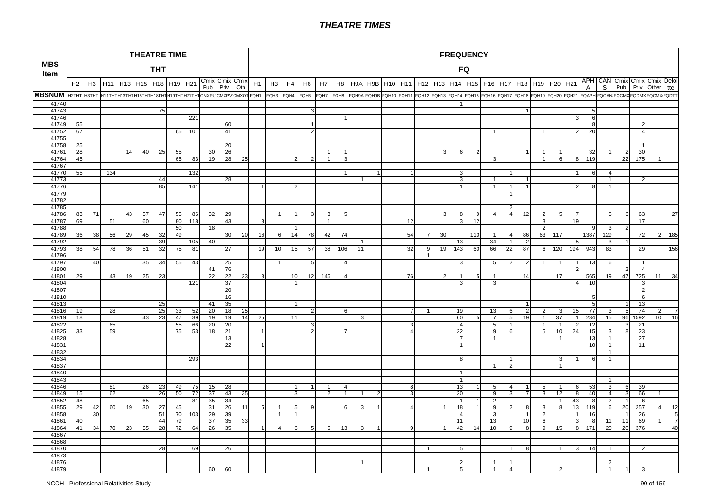|                                                                                        |                 |                 |     |                                   |    | <b>THEATRE TIME</b> |          |     |          |                           |     |                |                 |                 |                  |                |                |                     |                |                |                |                   |                                                           |                                  | <b>FREQUENCY</b> |                   |                                  |                                   |                     |                 |                                |                      |                                                  |                |                                                                                                                              |
|----------------------------------------------------------------------------------------|-----------------|-----------------|-----|-----------------------------------|----|---------------------|----------|-----|----------|---------------------------|-----|----------------|-----------------|-----------------|------------------|----------------|----------------|---------------------|----------------|----------------|----------------|-------------------|-----------------------------------------------------------|----------------------------------|------------------|-------------------|----------------------------------|-----------------------------------|---------------------|-----------------|--------------------------------|----------------------|--------------------------------------------------|----------------|------------------------------------------------------------------------------------------------------------------------------|
| <b>MBS</b><br><b>Item</b>                                                              |                 |                 |     |                                   |    | <b>THT</b>          |          |     |          |                           |     |                |                 |                 |                  |                |                |                     |                |                |                |                   |                                                           |                                  | <b>FQ</b>        |                   |                                  |                                   |                     |                 |                                |                      |                                                  |                |                                                                                                                              |
|                                                                                        | H2              | H3              |     | H11   H13   H15   H18   H19   H21 |    |                     |          |     | Pub      | C'mix C'mix C'mix<br>Priv | Oth | H1             | H <sub>3</sub>  | H <sub>4</sub>  | H <sub>6</sub>   | H7             | H <sub>8</sub> | H <sub>9</sub> A    |                | H9B H10 H11    |                |                   | H12   H13   H14   H15   H16   H17   H18   H19   H20   H21 |                                  |                  |                   |                                  |                                   |                     |                 |                                | S.                   |                                                  |                | APH   CAN   C'mix   C'mix   C'mix   Deloi<br>Pub Priv Other tte                                                              |
| <b>MBSNUM</b> H2THT H3THT H11THTH13THTH15THTH18THTH19THTH21THTCMXPUCMXPVCMXOTFQH1 FQH3 |                 |                 |     |                                   |    |                     |          |     |          |                           |     |                |                 | FQH4            | FQH <sub>6</sub> | FQH7           |                |                     |                |                |                |                   |                                                           |                                  |                  |                   |                                  |                                   |                     |                 |                                |                      |                                                  |                | FQH8 FQH9A FQH9B FQH10 FQH11 FQH12 FQH13 FQH14 FQH15 FQH16 FQH17 FQH18 FQH19 FQH20 FQH21 FQAPH FQCAN FQCMX FQCMX FQCMX FQCMX |
| 41740                                                                                  |                 |                 |     |                                   |    |                     |          |     |          |                           |     |                |                 |                 |                  |                |                |                     |                |                |                |                   |                                                           | $\vert$ 1                        |                  |                   |                                  |                                   |                     |                 |                                |                      |                                                  |                |                                                                                                                              |
| 41743                                                                                  |                 |                 |     |                                   |    | 75                  |          |     |          |                           |     |                |                 |                 | $\mathbf{3}$     |                |                |                     |                |                |                |                   |                                                           |                                  |                  |                   |                                  | 1 <sup>1</sup>                    |                     |                 |                                | $5\phantom{.0}$      |                                                  |                |                                                                                                                              |
| 41746<br>41749                                                                         | 55              |                 |     |                                   |    |                     |          | 221 |          | 60                        |     |                |                 |                 | $\overline{1}$   |                |                | 1 <sup>1</sup>      |                |                |                |                   |                                                           |                                  |                  |                   |                                  |                                   |                     |                 | $\mathbf{3}$                   | $6 \mid$<br>8        |                                                  | $\overline{2}$ |                                                                                                                              |
| 41752                                                                                  | 67              |                 |     |                                   |    |                     | 65       | 101 |          | 41                        |     |                |                 |                 | $\overline{2}$   |                |                |                     |                |                |                |                   |                                                           |                                  |                  | $\mathbf{1}$      |                                  |                                   | 11                  |                 | 2 <sup>1</sup>                 | 20                   |                                                  | $\overline{4}$ |                                                                                                                              |
| 41755                                                                                  |                 |                 |     |                                   |    |                     |          |     |          |                           |     |                |                 |                 |                  |                |                |                     |                |                |                |                   |                                                           |                                  |                  |                   |                                  |                                   |                     |                 |                                |                      |                                                  |                |                                                                                                                              |
| 41758                                                                                  | 25 <sub>l</sub> |                 |     |                                   |    |                     |          |     |          | 20                        |     |                |                 |                 |                  |                |                |                     |                |                |                |                   |                                                           |                                  |                  |                   |                                  |                                   |                     |                 |                                |                      |                                                  | $\overline{1}$ |                                                                                                                              |
| 41761                                                                                  | 28              |                 |     | 14                                | 40 | 25                  | 55       |     | 30       | 26                        |     |                |                 |                 |                  | $\mathbf{1}$   | 1              |                     |                |                |                |                   | 3 <sup>1</sup>                                            | <sup>6</sup>                     | 2 <sup>1</sup>   |                   |                                  | 1 <sup>1</sup>                    | $\overline{1}$      |                 |                                | 32                   | $\mathbf{1}$<br>$\overline{2}$                   | 30             |                                                                                                                              |
| 41764                                                                                  | 45              |                 |     |                                   |    |                     | 65       | 83  | 19       | 28                        | 25  |                |                 | $\overline{2}$  | $\overline{2}$   | $\mathbf{1}$   |                | 3 <sup>1</sup>      |                |                |                |                   |                                                           |                                  |                  | 3                 |                                  |                                   | $\mathbf{1}$        | $6 \mid$        | 8                              | 119                  | 22                                               | 175            |                                                                                                                              |
| 41767<br>41770                                                                         | 55              |                 | 134 |                                   |    |                     |          | 132 |          |                           |     |                |                 |                 |                  |                |                | 1 <sup>1</sup>      |                |                | $\overline{1}$ |                   |                                                           | 3 <sup>1</sup>                   |                  |                   | 1                                |                                   |                     |                 | 11                             | 6                    | $\overline{\mathbf{4}}$                          |                |                                                                                                                              |
| 41773                                                                                  |                 |                 |     |                                   |    | 44                  |          |     |          | 28                        |     |                |                 |                 |                  |                |                |                     | 1              |                |                |                   |                                                           | 3                                |                  | $\mathbf{1}$      |                                  | 1                                 |                     |                 |                                |                      | $\mathbf{1}$                                     | $\overline{2}$ |                                                                                                                              |
| 41776                                                                                  |                 |                 |     |                                   |    | 85                  |          | 141 |          |                           |     | $\mathbf{1}$   |                 | $\overline{2}$  |                  |                |                |                     |                |                |                |                   |                                                           | $\blacktriangleleft$             |                  | $\overline{1}$    | $\mathbf{1}$                     | 1                                 |                     |                 | 2 <sup>1</sup>                 | 8                    | $\mathbf{1}$                                     |                |                                                                                                                              |
| 41779                                                                                  |                 |                 |     |                                   |    |                     |          |     |          |                           |     |                |                 |                 |                  |                |                |                     |                |                |                |                   |                                                           |                                  |                  |                   | 1                                |                                   |                     |                 |                                |                      |                                                  |                |                                                                                                                              |
| 41782                                                                                  |                 |                 |     |                                   |    |                     |          |     |          |                           |     |                |                 |                 |                  |                |                |                     |                |                |                |                   |                                                           |                                  |                  |                   |                                  |                                   |                     |                 |                                |                      |                                                  |                |                                                                                                                              |
| 41785<br>41786                                                                         | 83              | 71              |     | 43                                | 57 | 47                  | 55       | 86  | 32       | 29                        |     |                | 1               | 1               | 3                | 3              |                | 5 <sup>1</sup>      |                |                |                |                   | 3 <sup>1</sup>                                            | 8                                | 9                | $\overline{4}$    | $\overline{2}$<br>$\overline{4}$ | 12                                | $\overline{2}$      | $5\overline{5}$ | $\overline{7}$                 |                      | 5 <sub>l</sub><br>6                              | 63             | $\overline{27}$                                                                                                              |
| 41787                                                                                  | 69              |                 | 51  |                                   | 60 |                     | 80       | 118 |          | 43                        |     | 3              |                 |                 |                  | $\mathbf{1}$   |                |                     |                |                | 12             |                   |                                                           | 3 <sup>1</sup>                   | 12               |                   |                                  |                                   | 3 <sup>1</sup>      |                 | 19                             |                      |                                                  | 17             |                                                                                                                              |
| 41788                                                                                  |                 |                 |     |                                   |    |                     | 50       |     | 18       |                           |     |                |                 | 11              |                  |                |                |                     |                |                |                |                   |                                                           |                                  |                  |                   |                                  |                                   | $2 \vert$           |                 |                                | 9                    | $\overline{2}$<br>$\mathbf{3}$                   |                |                                                                                                                              |
| 41789                                                                                  | 36              | 38              | 56  | 29                                | 45 | 32                  | 49       |     |          | 30                        | 20  | 16             | 6               | 14              | 78               | 42             | 74             |                     |                |                | 54             | $\overline{7}$    | 30                                                        |                                  | 110              | $\mathbf{1}$      | $\overline{4}$                   | 86                                | 63                  | 117             |                                | 1387<br>129          |                                                  | 72             | $2 \overline{) 185}$                                                                                                         |
| 41792                                                                                  |                 |                 |     |                                   |    | 39                  |          | 105 | 40       |                           |     |                |                 |                 |                  |                |                | 1                   |                |                |                |                   |                                                           | 13                               |                  | 34                | $\mathbf{1}$                     | $\overline{2}$                    |                     |                 | $5\phantom{.0}$                |                      | $\mathbf{3}$<br>1                                |                |                                                                                                                              |
| 41793<br>41796                                                                         | 38              | 54              | 78  | 36                                | 51 | 32                  | 75       | 81  |          | $\overline{27}$           |     | 19             | 10 <sup>1</sup> | 15              | 57               | 38             | 106            | 11                  |                |                | 32             | 9<br>$\mathbf{1}$ | 19                                                        | 143                              | 60               | 66                | 22                               | 87                                | $6 \mid$            | 120             | 194                            | 943                  | 83                                               | 29             | 156                                                                                                                          |
| 41797                                                                                  |                 | 40              |     |                                   | 35 | 34                  | 55       | 43  |          | 25                        |     |                | 1               |                 | 5 <sub>1</sub>   |                |                | 4 <sup>1</sup>      |                |                |                |                   |                                                           | $\mathbf{3}$                     | 11               | 5 <sub>l</sub>    | $\overline{2}$                   | $2 \vert$                         | 1 <sup>1</sup>      | $\overline{1}$  | 1                              | 13                   | $6\phantom{.}6$                                  | $\overline{1}$ |                                                                                                                              |
| 41800                                                                                  |                 |                 |     |                                   |    |                     |          |     | 41       | 76                        |     |                |                 |                 |                  |                |                |                     |                |                |                |                   |                                                           |                                  |                  |                   |                                  |                                   |                     |                 | $\overline{2}$                 |                      | 2                                                | $\overline{4}$ |                                                                                                                              |
| 41801                                                                                  | 29              |                 | 43  | 19                                | 25 | 23                  |          |     | 22       | 22                        | 23  | 3              |                 | 10 <sup>1</sup> | 12               | 146            |                | $\vert$             |                |                | 76             |                   | 2 <sup>1</sup>                                            | $\overline{1}$                   | 5 <sup>1</sup>   | $\mathbf 1$       |                                  | 14                                |                     | 17              |                                | 565                  | 19<br>47                                         | 725            | 34<br>11                                                                                                                     |
| 41804                                                                                  |                 |                 |     |                                   |    |                     |          | 121 |          | 37                        |     |                |                 | $\mathbf{1}$    |                  |                |                |                     |                |                |                |                   |                                                           | $\overline{3}$                   |                  | $\overline{3}$    |                                  |                                   |                     |                 | $\overline{4}$                 | 10                   |                                                  | 3              |                                                                                                                              |
| 41807                                                                                  |                 |                 |     |                                   |    |                     |          |     |          | 20                        |     |                |                 |                 |                  |                |                |                     |                |                |                |                   |                                                           |                                  |                  |                   |                                  |                                   |                     |                 |                                |                      |                                                  | $\overline{2}$ |                                                                                                                              |
| 41810<br>41813                                                                         |                 |                 |     |                                   |    | 25                  |          |     | 41       | 16<br>35                  |     |                |                 | 11              |                  |                |                |                     |                |                |                |                   |                                                           |                                  |                  |                   |                                  | 1 <sup>1</sup>                    |                     |                 |                                | $5\phantom{.0}$<br>5 | 1                                                | 6<br>13        |                                                                                                                              |
| 41816                                                                                  | 19              |                 | 28  |                                   |    | 25                  | 33       | 52  | 20       | 18                        | 25  |                |                 |                 | $\overline{2}$   |                |                | $6 \mid$            |                |                | $\overline{7}$ | $\overline{1}$    |                                                           | 19                               |                  | 13                | 6                                | $2 \vert$                         | $\overline{2}$      | 3 <sup>1</sup>  | 15                             | 77                   | $\mathbf{3}$<br>5 <sub>5</sub>                   | 74             | $2 \vert$                                                                                                                    |
| 41819                                                                                  | 18              |                 |     |                                   | 43 | 23                  | 47       | 39  | 19       | 19                        | 14  | 25             |                 | 11              |                  |                |                | 3                   |                |                |                |                   |                                                           | 60                               | 5 <sub>l</sub>   | $\overline{7}$    | $\sqrt{5}$                       | 19                                | 1                   | 37              | 11                             | 234                  | 15                                               | 96 1592        | 16<br>10                                                                                                                     |
| 41822                                                                                  |                 |                 | 65  |                                   |    |                     | 55       | 66  | 20       | 20                        |     |                |                 |                 | 3                |                |                |                     |                |                | 3              |                   |                                                           | $\overline{4}$                   |                  | $5\overline{)}$   | $\mathbf{1}$                     |                                   | 1                   | $\overline{1}$  | $\overline{2}$                 | 12                   | $3 \mid$                                         | 21             |                                                                                                                              |
| 41825                                                                                  | 33              |                 | 59  |                                   |    |                     | 75       | 53  | 18       | 21                        |     | $\overline{1}$ |                 |                 | $\overline{2}$   |                | $\overline{7}$ |                     |                |                | $\overline{4}$ |                   |                                                           | 22                               |                  | 9                 | 6                                |                                   | 5 <sup>1</sup>      | 10              | $\overline{24}$                | 15                   | $\overline{8}$<br>$\mathbf{3}$                   | 23             |                                                                                                                              |
| 41828<br>41831                                                                         |                 |                 |     |                                   |    |                     |          |     |          | 13<br>22                  |     | $\mathbf{1}$   |                 |                 |                  |                |                |                     |                |                |                |                   |                                                           | $\overline{7}$<br>$\mathbf{1}$   |                  | $\overline{1}$    |                                  |                                   |                     | $\overline{1}$  |                                | 13<br>10             | $\mathbf{1}$<br>$\mathbf{1}$                     | 27<br>11       |                                                                                                                              |
| 41832                                                                                  |                 |                 |     |                                   |    |                     |          |     |          |                           |     |                |                 |                 |                  |                |                |                     |                |                |                |                   |                                                           |                                  |                  |                   |                                  |                                   |                     |                 |                                |                      | $\mathbf{1}$                                     |                |                                                                                                                              |
| 41834                                                                                  |                 |                 |     |                                   |    |                     |          | 293 |          |                           |     |                |                 |                 |                  |                |                |                     |                |                |                |                   |                                                           | 8                                |                  |                   | $\overline{1}$                   |                                   |                     | 3 <sup>l</sup>  | 1 <sup>1</sup>                 | 6                    | $\mathbf{1}$                                     |                |                                                                                                                              |
| 41837                                                                                  |                 |                 |     |                                   |    |                     |          |     |          |                           |     |                |                 |                 |                  |                |                |                     |                |                |                |                   |                                                           |                                  |                  | $\overline{1}$    | $\overline{2}$                   |                                   |                     | 11              |                                |                      |                                                  |                |                                                                                                                              |
| 41840                                                                                  |                 |                 |     |                                   |    |                     |          |     |          |                           |     |                |                 |                 |                  |                |                |                     |                |                |                |                   |                                                           | $\mathbf{1}$                     |                  |                   |                                  |                                   |                     |                 |                                |                      |                                                  |                |                                                                                                                              |
| 41843<br>41846                                                                         |                 |                 | 81  |                                   | 26 | 23                  | 49       | 75  | 15       | 28                        |     |                |                 | 1               | 1                | 1              |                | $\vert$             |                |                | 8              |                   |                                                           | $\mathbf{1}$<br>13               | 1                | 5 <sub>l</sub>    | $\overline{4}$                   | 1                                 | 5 <sup>1</sup>      | 1               | 6                              | 53                   | $\mathbf{1}$<br>$\mathbf{3}$<br>$6 \overline{6}$ | 39             |                                                                                                                              |
| 41849                                                                                  | 15              |                 | 62  |                                   |    | 26                  | 50       | 72  | 37       | 43                        | 35  |                |                 | 3 <sup>1</sup>  |                  | $\overline{2}$ |                | 1<br>1              |                | 2 <sup>1</sup> | 3              |                   |                                                           | 20                               |                  | 9                 | 3                                | 7                                 | $\overline{3}$      | 12              | 8                              | 40                   | 3 <sup>1</sup><br>$\overline{4}$                 | 66             | 1                                                                                                                            |
| 41852                                                                                  | 48              |                 |     |                                   | 65 |                     |          | 81  | 35       | 34                        |     |                |                 |                 |                  |                |                |                     |                |                |                |                   |                                                           | $\overline{1}$                   | 1                | $\vert$ 2         |                                  |                                   |                     | $\overline{1}$  | 43                             | 8                    | $\overline{2}$<br>1                              | 6              |                                                                                                                              |
| 41855                                                                                  | 29              | 42              | 60  | 19                                | 30 | 27                  | 45       |     | 31       | 26                        | 11  | 5 <sup>1</sup> | 1               | 5 <sub>5</sub>  | 9                |                |                | 6 <sup>1</sup><br>3 | $\overline{1}$ |                | $\overline{4}$ |                   | $\mathbf{1}$                                              | 18                               | 1                | 9                 | $\overline{2}$                   | 8 <sup>1</sup>                    | 3 <sup>1</sup>      | 8 <sup>1</sup>  | 13                             | 119                  | 20<br>6                                          | 257            | $\vert$ 4<br>12                                                                                                              |
| 41858                                                                                  |                 | 30 <sup>1</sup> |     |                                   |    | 51                  | 70       | 103 | 29       | 39                        |     |                | 11              | $\mathbf{1}$    |                  |                |                |                     |                |                |                |                   |                                                           | $\overline{4}$                   |                  | 3 <sup>l</sup>    |                                  | 1                                 | $\overline{2}$      |                 | $\mathbf{1}$                   | 16                   | 11                                               | 26             | 5                                                                                                                            |
| 41861<br>41864                                                                         | 40<br>41        | 34              | 70  | 23                                | 55 | 44<br>28            | 79<br>72 | 64  | 37<br>26 | 35<br>35                  | 33  |                | $\overline{4}$  | $6 \mid$        | 5 <sub>l</sub>   | 5 <sup>1</sup> | 13             | 3                   |                |                | 9              |                   | $\mathbf{1}$                                              | 11<br>42                         | 14               | 13<br>10          | $\boldsymbol{9}$                 | 10 <sup>1</sup><br>8 <sup>1</sup> | 6 <sup>1</sup><br>9 | 15              | $\mathbf{3}$<br>8 <sup>1</sup> | 8<br>171             | 11<br>11<br>20<br>20                             | 69<br>376      | 1<br>$\overline{7}$<br>40                                                                                                    |
| 41867                                                                                  |                 |                 |     |                                   |    |                     |          |     |          |                           |     |                |                 |                 |                  |                |                |                     |                |                |                |                   |                                                           |                                  |                  |                   |                                  |                                   |                     |                 |                                |                      |                                                  |                |                                                                                                                              |
| 41868                                                                                  |                 |                 |     |                                   |    |                     |          |     |          |                           |     |                |                 |                 |                  |                |                |                     |                |                |                |                   |                                                           |                                  |                  |                   |                                  |                                   |                     |                 |                                |                      |                                                  |                |                                                                                                                              |
| 41870                                                                                  |                 |                 |     |                                   |    | 28                  |          | 69  |          | 26                        |     |                |                 |                 |                  |                |                |                     |                |                |                | -1                |                                                           | 5                                |                  |                   | $\overline{1}$                   | 8 <sup>1</sup>                    |                     | -11             | 3 <sup>1</sup>                 | 14                   | $\mathbf{1}$                                     | $\overline{2}$ |                                                                                                                              |
| 41873                                                                                  |                 |                 |     |                                   |    |                     |          |     |          |                           |     |                |                 |                 |                  |                |                |                     |                |                |                |                   |                                                           |                                  |                  |                   |                                  |                                   |                     |                 |                                |                      |                                                  |                |                                                                                                                              |
| 41876<br>41879                                                                         |                 |                 |     |                                   |    |                     |          |     | 60       | 60                        |     |                |                 |                 |                  |                |                |                     |                |                |                | 11                |                                                           | $\overline{2}$<br>5 <sup>1</sup> |                  | $\mathbf{1}$<br>1 | $\overline{4}$                   |                                   |                     | $\overline{2}$  |                                |                      | $\overline{2}$<br>1<br>1                         | 3              |                                                                                                                              |
|                                                                                        |                 |                 |     |                                   |    |                     |          |     |          |                           |     |                |                 |                 |                  |                |                |                     |                |                |                |                   |                                                           |                                  |                  |                   |                                  |                                   |                     |                 |                                |                      |                                                  |                |                                                                                                                              |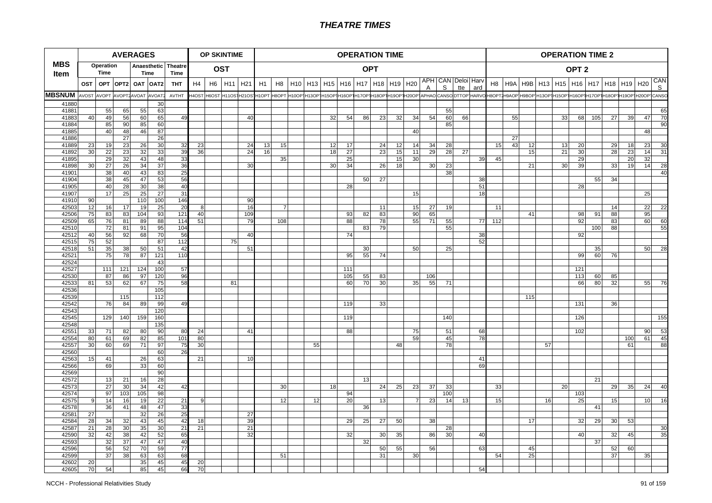|                           |                                                                                                 |           |                       | <b>AVERAGES</b> |            |                        |          | <b>OP SKINTIME</b> |          |    |                                               |                                                                                                                                                                                   |                 |                       |                 | <b>OPERATION TIME</b> |          |                |     |                                 |                 |    |                 |    |                                                          | <b>OPERATION TIME 2</b> |                  |     |                 |          |                 |          |
|---------------------------|-------------------------------------------------------------------------------------------------|-----------|-----------------------|-----------------|------------|------------------------|----------|--------------------|----------|----|-----------------------------------------------|-----------------------------------------------------------------------------------------------------------------------------------------------------------------------------------|-----------------|-----------------------|-----------------|-----------------------|----------|----------------|-----|---------------------------------|-----------------|----|-----------------|----|----------------------------------------------------------|-------------------------|------------------|-----|-----------------|----------|-----------------|----------|
| <b>MBS</b><br><b>Item</b> |                                                                                                 | Operation |                       | Anaesthetic     |            | <b>Theatre</b><br>Time |          | <b>OST</b>         |          |    |                                               |                                                                                                                                                                                   |                 |                       | <b>OPT</b>      |                       |          |                |     |                                 |                 |    |                 |    |                                                          |                         | OPT <sub>2</sub> |     |                 |          |                 |          |
|                           | <b>Time</b><br><b>Time</b><br>OPT OPT2 OAT OAT2<br><b>OST</b><br>AVOST AVOPT AVOPTZAVOAT AVOATZ |           |                       |                 | <b>THT</b> | H <sub>4</sub>         | H6 H11   | H21                | H1       | H8 | H10   H13   H15   H16   H17   H18   H19   H20 |                                                                                                                                                                                   |                 |                       |                 |                       |          | A              | S.  | APH   CAN   Deloi   Harv<br>tte | ard             |    |                 |    | H8   H9A   H9B   H13   H15   H16   H17   H18   H19   H20 |                         |                  |     |                 |          | CAN<br>S.       |          |
| <b>MBSNUM</b>             |                                                                                                 |           |                       |                 |            | AVTHT                  |          |                    |          |    |                                               | +4OST H6OST H11OS1H21OS H1OPT H8OPT H10OP1H13OP1H15OP1H16OP1H17OP1H18OP1H19OP1H20OP1APHAO CANSO DTTOP HARVO H8OPT H9AOP H9BOP H13OP1H13OP1H15OP1H16OP1H17OP1H18OP1H2OP1H2OP1CANSC |                 |                       |                 |                       |          |                |     |                                 |                 |    |                 |    |                                                          |                         |                  |     |                 |          |                 |          |
| 41880                     |                                                                                                 |           |                       |                 | 30         |                        |          |                    |          |    |                                               |                                                                                                                                                                                   |                 |                       |                 |                       |          |                |     |                                 |                 |    |                 |    |                                                          |                         |                  |     |                 |          |                 |          |
| 41881                     |                                                                                                 | 55        | 65                    | 55              | 63         |                        |          |                    |          |    |                                               |                                                                                                                                                                                   |                 |                       |                 |                       |          |                |     | 55                              |                 |    |                 |    |                                                          |                         |                  |     |                 |          |                 | 65       |
| 41883<br>41884            | 40                                                                                              | 49<br>85  | 56<br>90              | 60<br>85        | 65<br>60   | 49                     |          |                    | 40       |    |                                               |                                                                                                                                                                                   | 32              | 54                    | 86              | 23                    | 32       | 34             | 54  | 60<br>85                        | 66              |    |                 | 55 |                                                          |                         | 33<br>68         | 105 | 27              | 39       | 47              | 70<br>90 |
| 41885                     |                                                                                                 | 40        | 48                    | 46              | 87         |                        |          |                    |          |    |                                               |                                                                                                                                                                                   |                 |                       |                 |                       |          | 40             |     |                                 |                 |    |                 |    |                                                          |                         |                  |     |                 |          | 48              |          |
| 41886                     |                                                                                                 |           | 27                    |                 | 26         |                        |          |                    |          |    |                                               |                                                                                                                                                                                   |                 |                       |                 |                       |          |                |     |                                 |                 |    |                 | 27 |                                                          |                         |                  |     |                 |          |                 |          |
| 41889                     | 23                                                                                              | 19        | 23                    | 26              | 30         | 32                     | 23       |                    | 24       | 13 | 15                                            |                                                                                                                                                                                   | 12              | 17                    |                 | 24                    | 12       | 14             | 34  | 28                              |                 |    | 15 <sup>1</sup> | 43 | 12                                                       |                         | 20<br>13         |     | 29              | 18       | 23              | 30       |
| 41892<br>41895            | 30                                                                                              | 22<br>29  | 23<br>32              | 32<br>43        | 33<br>48   | 39<br>33               | 36       |                    | 24       | 16 | 35                                            |                                                                                                                                                                                   | 18              | $\overline{27}$<br>25 |                 | 23                    | 15<br>15 | 11<br>30       | 29  | 28                              | $\overline{27}$ | 39 | 45              |    | 15                                                       | 21                      | 30<br>29         |     | $\overline{28}$ | 23<br>20 | 14<br>32        | 31       |
| 41898                     | 30                                                                                              | 27        | 26                    | 34              | 37         | 36                     |          |                    | 30       |    |                                               |                                                                                                                                                                                   | 30 <sup>°</sup> | 34                    |                 | 26                    | 18       |                | 30  | 23                              |                 |    |                 |    | 21                                                       | 30                      | 39               |     | 33              | 19       | 14              | 28       |
| 41901                     |                                                                                                 | 38        | 40                    | 43              | 83         | 25                     |          |                    |          |    |                                               |                                                                                                                                                                                   |                 |                       |                 |                       |          |                |     | 38                              |                 |    |                 |    |                                                          |                         |                  |     |                 |          |                 | 40       |
| 41904                     |                                                                                                 | 38        | 45                    | 47              | 53         | 56                     |          |                    |          |    |                                               |                                                                                                                                                                                   |                 |                       | 50              | 27                    |          |                |     |                                 |                 | 38 |                 |    |                                                          |                         |                  | 55  | 34              |          |                 |          |
| 41905                     |                                                                                                 | 40        | 28                    | 30              | 38         | 40                     |          |                    |          |    |                                               |                                                                                                                                                                                   |                 | 28                    |                 |                       |          |                |     |                                 |                 | 51 |                 |    |                                                          |                         | 28               |     |                 |          |                 |          |
| 41907<br>41910            | 90                                                                                              | 17        | 25                    | 25<br>110       | 27<br>100  | 31<br>146              |          |                    | 90       |    |                                               |                                                                                                                                                                                   |                 |                       |                 |                       |          | 15             |     |                                 |                 | 18 |                 |    |                                                          |                         |                  |     |                 |          | 25              |          |
| 42503                     | 12                                                                                              | 16        | 17                    | 19              | 25         | 20                     | 8        |                    | 16       |    | $\overline{7}$                                |                                                                                                                                                                                   |                 |                       |                 | 11                    |          | 15             | 27  | 19                              |                 |    | 11              |    |                                                          |                         |                  |     | 14              |          | 22              | 22       |
| 42506                     | 75                                                                                              | 83        | 83                    | 104             | 93         | 121                    | 40       |                    | 109      |    |                                               |                                                                                                                                                                                   |                 | 93                    | 82              | 83                    |          | 90             | 65  |                                 |                 |    |                 |    | 41                                                       |                         | 98               | 91  | 88              |          | 95              |          |
| 42509                     | 65                                                                                              | 76        | 81                    | 89              | 88         | 114                    | 51       |                    | 79       |    | 108                                           |                                                                                                                                                                                   |                 | 88                    |                 | 78                    |          | 55             | 71  | 55                              |                 | 77 | 112             |    |                                                          |                         | 92               |     | 83              |          | 60              | 60       |
| 42510<br>42512            | 40                                                                                              | 72<br>56  | 81<br>92              | 91<br>68        | 95<br>70   | 104<br>56              |          |                    | 40       |    |                                               |                                                                                                                                                                                   |                 | 74                    | 83              | 79                    |          |                |     | 55                              |                 | 38 |                 |    |                                                          |                         | 92               | 100 | 88              |          |                 | 55       |
| 42515                     | 75                                                                                              | 52        |                       |                 | 87         | 112                    |          | 75                 |          |    |                                               |                                                                                                                                                                                   |                 |                       |                 |                       |          |                |     |                                 |                 | 52 |                 |    |                                                          |                         |                  |     |                 |          |                 |          |
| 42518                     | 51                                                                                              | 35        | 38                    | 50              | 51         | 42                     |          |                    | 51       |    |                                               |                                                                                                                                                                                   |                 |                       | 30              |                       |          | 50             |     | 25                              |                 |    |                 |    |                                                          |                         |                  | 35  |                 |          | 50              | 28       |
| 42521                     |                                                                                                 | 75        | 78                    | 87              | 121        | 110                    |          |                    |          |    |                                               |                                                                                                                                                                                   |                 | 95                    | 55              | 74                    |          |                |     |                                 |                 |    |                 |    |                                                          |                         | 99               | 60  | 76              |          |                 |          |
| 42524                     |                                                                                                 |           |                       |                 | 43         |                        |          |                    |          |    |                                               |                                                                                                                                                                                   |                 |                       |                 |                       |          |                |     |                                 |                 |    |                 |    |                                                          |                         |                  |     |                 |          |                 |          |
| 42527<br>42530            |                                                                                                 | 111<br>87 | 121<br>86             | 124<br>97       | 100<br>120 | 57<br>96               |          |                    |          |    |                                               |                                                                                                                                                                                   |                 | 111<br>105            | 55              | 83                    |          |                | 106 |                                 |                 |    |                 |    |                                                          |                         | 121<br>113       | 60  | 85              |          |                 |          |
| 42533                     | 81                                                                                              | 53        | 62                    | 67              | 75         | 58                     |          | 81                 |          |    |                                               |                                                                                                                                                                                   |                 | 60                    | 70              | 30                    |          | 35             | 55  | 71                              |                 |    |                 |    |                                                          |                         | 66               | 80  | 32              |          | 55              | 76       |
| 42536                     |                                                                                                 |           |                       |                 | 105        |                        |          |                    |          |    |                                               |                                                                                                                                                                                   |                 |                       |                 |                       |          |                |     |                                 |                 |    |                 |    |                                                          |                         |                  |     |                 |          |                 |          |
| 42539                     |                                                                                                 |           | 115                   |                 | 112        |                        |          |                    |          |    |                                               |                                                                                                                                                                                   |                 |                       |                 |                       |          |                |     |                                 |                 |    |                 |    | 115                                                      |                         |                  |     |                 |          |                 |          |
| 42542                     |                                                                                                 | 76        | 84                    | 89              | 99         | 49                     |          |                    |          |    |                                               |                                                                                                                                                                                   |                 | 119                   |                 | 33                    |          |                |     |                                 |                 |    |                 |    |                                                          |                         | 131              |     | 36              |          |                 |          |
| 42543<br>42545            |                                                                                                 | 129       | 140                   | 159             | 120<br>160 |                        |          |                    |          |    |                                               |                                                                                                                                                                                   |                 | 119                   |                 |                       |          |                |     | 140                             |                 |    |                 |    |                                                          |                         | 126              |     |                 |          |                 | 155      |
| 42548                     |                                                                                                 |           |                       |                 | 135        |                        |          |                    |          |    |                                               |                                                                                                                                                                                   |                 |                       |                 |                       |          |                |     |                                 |                 |    |                 |    |                                                          |                         |                  |     |                 |          |                 |          |
| 42551                     | 33                                                                                              | 71        | 82                    | 80              | 90         | 80                     | 24       |                    | 41       |    |                                               |                                                                                                                                                                                   |                 | 88                    |                 |                       |          | 75             |     | 51                              |                 | 68 |                 |    |                                                          |                         | 102              |     |                 |          | 90              | 53       |
| 42554                     | 80                                                                                              | 61        | 69                    | 82              | 85         | 101                    | 80       |                    |          |    |                                               |                                                                                                                                                                                   |                 |                       |                 |                       |          | 59             |     | 45                              |                 | 78 |                 |    |                                                          |                         |                  |     |                 | 100      | 61              | 45       |
| 42557                     | 30                                                                                              | 60        | 69                    | 71              | 97<br>60   | 75<br>26               | 30       |                    |          |    |                                               | 55                                                                                                                                                                                |                 |                       |                 |                       | 48       |                |     | 78                              |                 |    |                 |    |                                                          | 57                      |                  |     |                 | 61       |                 | 88       |
| 42560<br>42563            | 15 <sup>1</sup>                                                                                 | 41        |                       | 26              | 63         |                        | 21       |                    | 10       |    |                                               |                                                                                                                                                                                   |                 |                       |                 |                       |          |                |     |                                 |                 | 41 |                 |    |                                                          |                         |                  |     |                 |          |                 |          |
| 42566                     |                                                                                                 | 69        |                       | 33              | 60         |                        |          |                    |          |    |                                               |                                                                                                                                                                                   |                 |                       |                 |                       |          |                |     |                                 |                 | 69 |                 |    |                                                          |                         |                  |     |                 |          |                 |          |
| 42569                     |                                                                                                 |           |                       |                 | 90         |                        |          |                    |          |    |                                               |                                                                                                                                                                                   |                 |                       |                 |                       |          |                |     |                                 |                 |    |                 |    |                                                          |                         |                  |     |                 |          |                 |          |
| 42572                     |                                                                                                 | 13        | 21                    | 16              | 28         |                        |          |                    |          |    |                                               |                                                                                                                                                                                   |                 |                       | 13              |                       |          |                |     |                                 |                 |    |                 |    |                                                          |                         |                  | 21  |                 |          |                 |          |
| 42573<br>42574            |                                                                                                 | 27<br>97  | 30<br>103             | 34<br>105       | 42<br>98   | 42                     |          |                    |          |    | 30                                            |                                                                                                                                                                                   | 18              | 94                    |                 | 24                    | 25       | 23             | 37  | 33<br>100                       |                 |    | 33              |    |                                                          |                         | 20<br>103        |     | 29              | 35       | 24              | 40       |
| 42575                     | 9                                                                                               | 14        | 16                    | 19              | 22         | 21                     | -91      |                    |          |    | 12                                            | 12 <sup>1</sup>                                                                                                                                                                   |                 | 20                    |                 | 13                    |          | 7 <sup>1</sup> | 23  | 14                              | 13              |    | 15 <sup>1</sup> |    |                                                          | 16 <sup>1</sup>         | 25               |     | 15              |          | 10 <sup>1</sup> | 16       |
| 42578                     |                                                                                                 | 36        | 41                    | 48              | 47         | 33                     |          |                    |          |    |                                               |                                                                                                                                                                                   |                 |                       | 36 <sup>1</sup> |                       |          |                |     |                                 |                 |    |                 |    |                                                          |                         |                  | 41  |                 |          |                 |          |
| 42581                     | 27                                                                                              |           |                       | 32              | 26         | 25                     |          |                    | 27       |    |                                               |                                                                                                                                                                                   |                 |                       |                 |                       |          |                |     |                                 |                 |    |                 |    |                                                          |                         |                  |     |                 |          |                 |          |
| 42584                     | 28                                                                                              | 34        | 32                    | 43              | 45         | 42                     | 18       |                    | 39       |    |                                               |                                                                                                                                                                                   |                 | 29                    | 25              | 27                    | 50       |                | 38  |                                 |                 |    |                 |    | 17                                                       |                         | 32               | 29  | 30              | 53       |                 |          |
| 42587<br>42590            | 21<br>32                                                                                        | 28<br>42  | 30 <sup>1</sup><br>38 | 35<br>42        | 30<br>52   | 21<br>65               | 21       |                    | 21<br>32 |    |                                               |                                                                                                                                                                                   |                 | 32                    |                 | 30                    | 35       |                | 86  | 28<br>30                        |                 | 40 |                 |    |                                                          |                         | 40               |     | 32              | 45       |                 | 30<br>35 |
| 42593                     |                                                                                                 | 32        | 37                    | 47              | 47         | 40                     |          |                    |          |    |                                               |                                                                                                                                                                                   |                 |                       | 32              |                       |          |                |     |                                 |                 |    |                 |    |                                                          |                         |                  | 37  |                 |          |                 |          |
| 42596                     |                                                                                                 | 56        | 52                    | 70              | 59         | $\overline{77}$        |          |                    |          |    |                                               |                                                                                                                                                                                   |                 |                       |                 | 50                    | 55       |                | 56  |                                 |                 | 63 |                 |    | 45                                                       |                         |                  |     | 52              | 60       |                 |          |
| 42599                     |                                                                                                 | 37        | 38                    | 63              | 63         | 68                     |          |                    |          |    | 51                                            |                                                                                                                                                                                   |                 |                       |                 | 31                    |          | 30             |     |                                 |                 |    | 54              |    | 25                                                       |                         |                  |     | 37              |          | 35              |          |
| 42602<br>42605            | 20<br>70                                                                                        | 54        |                       | 35<br>85        | 45<br>45   | 45<br>66               | 20<br>70 |                    |          |    |                                               |                                                                                                                                                                                   |                 |                       |                 |                       |          |                |     |                                 |                 | 54 |                 |    |                                                          |                         |                  |     |                 |          |                 |          |
|                           |                                                                                                 |           |                       |                 |            |                        |          |                    |          |    |                                               |                                                                                                                                                                                   |                 |                       |                 |                       |          |                |     |                                 |                 |    |                 |    |                                                          |                         |                  |     |                 |          |                 |          |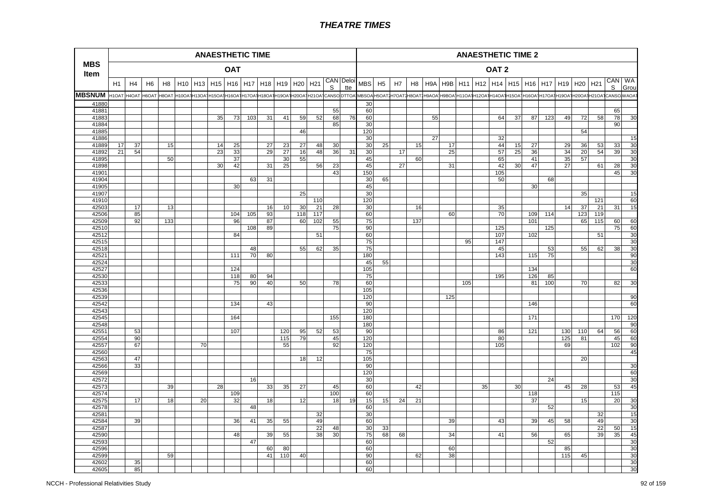|                    |                       |                |                |                |                             |                                                                 | <b>ANAESTHETIC TIME</b> |                       |            |                |          |                |                                                                                          |            |                  |    |     |                                                           |          |     |    |          | <b>ANAESTHETIC TIME 2</b>                                                                   |             |      |            |           |                 |          |                |
|--------------------|-----------------------|----------------|----------------|----------------|-----------------------------|-----------------------------------------------------------------|-------------------------|-----------------------|------------|----------------|----------|----------------|------------------------------------------------------------------------------------------|------------|------------------|----|-----|-----------------------------------------------------------|----------|-----|----|----------|---------------------------------------------------------------------------------------------|-------------|------|------------|-----------|-----------------|----------|----------------|
| <b>MBS</b><br>Item |                       |                |                |                |                             |                                                                 |                         |                       |            |                |          |                |                                                                                          |            | OAT <sub>2</sub> |    |     |                                                           |          |     |    |          |                                                                                             |             |      |            |           |                 |          |                |
|                    | H1                    | H <sub>4</sub> | H <sub>6</sub> | H <sub>8</sub> | H10   H13   H15   H16   H17 | H <sub>18</sub> H <sub>19</sub> H <sub>20</sub> H <sub>21</sub> |                         | CAN Deloi<br>S<br>tte | <b>MBS</b> | H <sub>5</sub> | H7       | H <sub>8</sub> | H <sub>9</sub> A                                                                         |            |                  |    |     | H9B   H11   H12   H14   H15   H16   H17   H19   H20   H21 |          |     |    |          |                                                                                             | CAN WA<br>S | Grou |            |           |                 |          |                |
| <b>MBSNUM</b>      |                       |                |                |                |                             |                                                                 |                         |                       |            |                |          |                | H1OAT H4OAT H6OAT H8OAT H10OATH13OATH15OATH16OATH17OATH18OATH19OATH20OATH21OATCANSOOTTOA |            |                  |    |     |                                                           |          |     |    |          | MBSOAH5OATH7OAT1H8OAT1H9AOAH9BOAH11OATH12OATH14OATH15OATH16OATH17OATH19OATH20OATH21OATCANSO |             |      |            |           |                 |          |                |
| 41880              |                       |                |                |                |                             |                                                                 |                         |                       |            |                |          |                |                                                                                          | 30         |                  |    |     |                                                           |          |     |    |          |                                                                                             |             |      |            |           |                 |          |                |
| 41881              |                       |                |                |                |                             |                                                                 |                         |                       |            |                |          |                | 55                                                                                       | 60         |                  |    |     |                                                           |          |     |    |          |                                                                                             |             |      |            |           |                 | 65       |                |
| 41883<br>41884     |                       |                |                |                |                             | 35                                                              | 73                      | 103                   | 31         | 41             | 59       | 52             | 68<br>76<br>85                                                                           | 60<br>30   |                  |    |     | 55                                                        |          |     |    | 64       | 37                                                                                          | 87          | 123  | 49         | 72        | 58              | 78<br>90 | 30             |
| 41885              |                       |                |                |                |                             |                                                                 |                         |                       |            |                | 46       |                |                                                                                          | 120        |                  |    |     |                                                           |          |     |    |          |                                                                                             |             |      |            | 54        |                 |          |                |
| 41886              |                       |                |                |                |                             |                                                                 |                         |                       |            |                |          |                |                                                                                          | 30         |                  |    |     | 27                                                        |          |     |    | 32       |                                                                                             |             |      |            |           |                 |          | 15             |
| 41889<br>41892     | 17 <sup>1</sup><br>21 | 37<br>54       |                | 15             |                             | 14 <br>23                                                       | 25<br>33                |                       | 27<br>29   | 23<br>27       | 27<br>16 | 48<br>48       | 30<br>36<br>31                                                                           | 30<br>30   | 25               | 17 | 15  |                                                           | 17<br>25 |     |    | 44<br>57 | 15<br>25                                                                                    | 27<br>36    |      | 29<br>34   | 36<br>20  | 53<br>54        | 33<br>39 | 30<br>30       |
| 41895              |                       |                |                | 50             |                             |                                                                 | 37                      |                       |            | 30             | 55       |                |                                                                                          | 45         |                  |    | 60  |                                                           |          |     |    | 65       |                                                                                             | 41          |      | 35         | 57        |                 |          | 30             |
| 41898              |                       |                |                |                |                             | 30                                                              | 42                      |                       | 31         | 25             |          | 56             | 23                                                                                       | 45         |                  | 27 |     |                                                           | 31       |     |    | 42       | 30                                                                                          | 47          |      | 27         |           | 61              | 28       | 30             |
| 41901              |                       |                |                |                |                             |                                                                 |                         |                       |            |                |          |                | 43                                                                                       | 150        |                  |    |     |                                                           |          |     |    | 105      |                                                                                             |             |      |            |           |                 | 45       | 30             |
| 41904<br>41905     |                       |                |                |                |                             |                                                                 | 30                      | 63                    | 31         |                |          |                |                                                                                          | 30<br>45   | 65               |    |     |                                                           |          |     |    | 50       |                                                                                             | 30          | 68   |            |           |                 |          |                |
| 41907              |                       |                |                |                |                             |                                                                 |                         |                       |            |                | 25       |                |                                                                                          | 30         |                  |    |     |                                                           |          |     |    |          |                                                                                             |             |      |            | 35        |                 |          | 15             |
| 41910              |                       |                |                |                |                             |                                                                 |                         |                       |            |                |          | 110            |                                                                                          | 120        |                  |    |     |                                                           |          |     |    |          |                                                                                             |             |      |            |           | 121             |          | 60             |
| 42503              |                       | 17             |                | 13             |                             |                                                                 |                         |                       | 16         | 10             | 30       | 21             | 28                                                                                       | 30         |                  |    | 16  |                                                           |          |     |    | 35       |                                                                                             |             |      | 14         | 37        | 21              | 31       | 15             |
| 42506              |                       | 85             |                |                |                             |                                                                 | 104                     | 105                   | 93         |                | 118      | 117            |                                                                                          | 60         |                  |    |     |                                                           | 60       |     |    | 70       |                                                                                             | 109         | 114  |            | 123       | 119             |          |                |
| 42509<br>42510     |                       | 92             |                | 133            |                             |                                                                 | 96                      | 108                   | 87<br>89   |                | 60       | 102            | 55<br>75                                                                                 | 75<br>90   |                  |    | 137 |                                                           |          |     |    | 125      |                                                                                             | 101         | 125  |            | 65        | 115             | 60<br>75 | 60<br>60       |
| 42512              |                       |                |                |                |                             |                                                                 | 84                      |                       |            |                |          | 51             |                                                                                          | 60         |                  |    |     |                                                           |          |     |    | 107      |                                                                                             | 102         |      |            |           | 51              |          | 30             |
| 42515              |                       |                |                |                |                             |                                                                 |                         |                       |            |                |          |                |                                                                                          | 75         |                  |    |     |                                                           |          | 95  |    | 147      |                                                                                             |             |      |            |           |                 |          | 30             |
| 42518              |                       |                |                |                |                             |                                                                 |                         | 48                    |            |                | 55       | 62             | 35                                                                                       | 75         |                  |    |     |                                                           |          |     |    | 45       |                                                                                             |             | 53   |            | 55        | 62              | 38       | 30             |
| 42521<br>42524     |                       |                |                |                |                             |                                                                 | 111                     | 70                    | 80         |                |          |                |                                                                                          | 180<br>45  | 55               |    |     |                                                           |          |     |    | 143      |                                                                                             | 115         | 75   |            |           |                 |          | 90<br>30       |
| 42527              |                       |                |                |                |                             |                                                                 | 124                     |                       |            |                |          |                |                                                                                          | 105        |                  |    |     |                                                           |          |     |    |          |                                                                                             | 134         |      |            |           |                 |          | 60             |
| 42530              |                       |                |                |                |                             |                                                                 | 118                     | 80                    | 94         |                |          |                |                                                                                          | 75         |                  |    |     |                                                           |          |     |    | 195      |                                                                                             | 126         | 85   |            |           |                 |          |                |
| 42533              |                       |                |                |                |                             |                                                                 | 75                      | 90                    | 40         |                | 50       |                | 78                                                                                       | 60         |                  |    |     |                                                           |          | 105 |    |          |                                                                                             | 81          | 100  |            | 70        |                 | 82       | 30             |
| 42536<br>42539     |                       |                |                |                |                             |                                                                 |                         |                       |            |                |          |                |                                                                                          | 105<br>120 |                  |    |     |                                                           | 125      |     |    |          |                                                                                             |             |      |            |           |                 |          | 90             |
| 42542              |                       |                |                |                |                             |                                                                 | 134                     |                       | 43         |                |          |                |                                                                                          | 90         |                  |    |     |                                                           |          |     |    |          |                                                                                             | 146         |      |            |           |                 |          | 60             |
| 42543              |                       |                |                |                |                             |                                                                 |                         |                       |            |                |          |                |                                                                                          | 120        |                  |    |     |                                                           |          |     |    |          |                                                                                             |             |      |            |           |                 |          |                |
| 42545              |                       |                |                |                |                             |                                                                 | 164                     |                       |            |                |          |                | 155                                                                                      | 180        |                  |    |     |                                                           |          |     |    |          |                                                                                             | 171         |      |            |           |                 | 170      | 120            |
| 42548              |                       |                |                |                |                             |                                                                 |                         |                       |            |                |          |                |                                                                                          | 180        |                  |    |     |                                                           |          |     |    |          |                                                                                             |             |      |            |           |                 |          | 90             |
| 42551<br>42554     |                       | 53<br>90       |                |                |                             |                                                                 | 107                     |                       |            | 120<br>115     | 95<br>79 | 52             | 53<br>45                                                                                 | 90<br>120  |                  |    |     |                                                           |          |     |    | 86<br>80 |                                                                                             | 121         |      | 130<br>125 | 110<br>81 | 64              | 56<br>45 | 60<br>60       |
| 42557              |                       | 67             |                |                | 70                          |                                                                 |                         |                       |            | 55             |          |                | 92                                                                                       | 120        |                  |    |     |                                                           |          |     |    | 105      |                                                                                             |             |      | 69         |           |                 | 102      | 90             |
| 42560              |                       |                |                |                |                             |                                                                 |                         |                       |            |                |          |                |                                                                                          | 75         |                  |    |     |                                                           |          |     |    |          |                                                                                             |             |      |            |           |                 |          | 45             |
| 42563              |                       | 47             |                |                |                             |                                                                 |                         |                       |            |                | 18       | 12             |                                                                                          | 105        |                  |    |     |                                                           |          |     |    |          |                                                                                             |             |      |            | 20        |                 |          |                |
| 42566<br>42569     |                       | 33             |                |                |                             |                                                                 |                         |                       |            |                |          |                |                                                                                          | 90<br>120  |                  |    |     |                                                           |          |     |    |          |                                                                                             |             |      |            |           |                 |          | 30<br>60       |
| 42572              |                       |                |                |                |                             |                                                                 |                         | 16                    |            |                |          |                |                                                                                          | 30         |                  |    |     |                                                           |          |     |    |          |                                                                                             |             | 24   |            |           |                 |          | 30             |
| 42573              |                       |                |                | 39             |                             | 28                                                              |                         |                       | 33         | 35             | 27       |                | 45                                                                                       | 60         |                  |    | 42  |                                                           |          |     | 35 |          | 30                                                                                          |             |      | 45         | 28        |                 | 53       | 45             |
| 42574              |                       |                |                |                |                             |                                                                 | 109                     |                       |            |                |          |                | 100                                                                                      | 60         |                  |    |     |                                                           |          |     |    |          |                                                                                             | 118         |      |            |           |                 | 115      |                |
| 42575              |                       | 17             |                | 18             | 20                          |                                                                 | 32                      | 48                    | 18         |                | 12       |                | 18<br>19                                                                                 | 15<br>60   | 15               | 24 | 21  |                                                           |          |     |    |          |                                                                                             | 37          | 52   |            | 15        |                 | 20       | 30<br>30       |
| 42578<br>42581     |                       |                |                |                |                             |                                                                 |                         |                       |            |                |          | 32             |                                                                                          | 30         |                  |    |     |                                                           |          |     |    |          |                                                                                             |             |      |            |           | 32              |          | $\frac{1}{15}$ |
| 42584              |                       | 39             |                |                |                             |                                                                 | 36                      | 41                    | 35         | 55             |          | 49             |                                                                                          | 60         |                  |    |     |                                                           | 39       |     |    | 43       |                                                                                             | 39          | 45   | 58         |           | 49              |          | 30             |
| 42587              |                       |                |                |                |                             |                                                                 |                         |                       |            |                |          | 22             | 48                                                                                       | 30         | 33               |    |     |                                                           |          |     |    |          |                                                                                             |             |      |            |           | $\overline{22}$ | 50       | 15             |
| 42590              |                       |                |                |                |                             |                                                                 | 48                      |                       | 39         | 55             |          | 38             | 30                                                                                       | 75         | 68               | 68 |     |                                                           | 34       |     |    | 41       |                                                                                             | 56          |      | 65         |           | 39              | 35       | 45<br>30       |
| 42593<br>42596     |                       |                |                |                |                             |                                                                 |                         | 47                    | 60         | 80             |          |                |                                                                                          | 60<br>60   |                  |    |     |                                                           | 60       |     |    |          |                                                                                             |             | 52   | 85         |           |                 |          | 30             |
| 42599              |                       |                |                | 59             |                             |                                                                 |                         |                       | 41         | 110            | 40       |                |                                                                                          | 90         |                  |    | 62  |                                                           | 38       |     |    |          |                                                                                             |             |      | 115        | 45        |                 |          | 30             |
| 42602              |                       | 35             |                |                |                             |                                                                 |                         |                       |            |                |          |                |                                                                                          | 60         |                  |    |     |                                                           |          |     |    |          |                                                                                             |             |      |            |           |                 |          | 30             |
| 42605              |                       | 85             |                |                |                             |                                                                 |                         |                       |            |                |          |                |                                                                                          | 60         |                  |    |     |                                                           |          |     |    |          |                                                                                             |             |      |            |           |                 |          | 30             |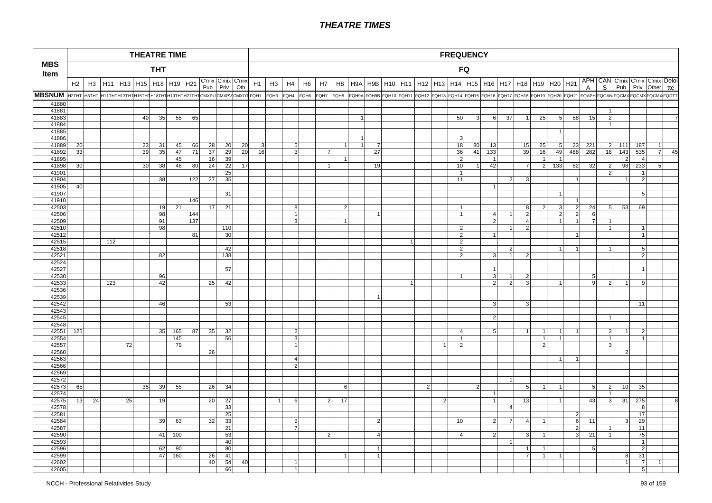|                                                                                                                                                                                                                                |          |    |                                        | <b>THEATRE TIME</b> |            |           |            |          |                               |          |          |    |                                |                |                |                |                                                                                   |    |                |                | <b>FREQUENCY</b>               |                |                                   |                                                                    |                                  |                      |                |                      |                                |                                                       |                                  |                      |    |
|--------------------------------------------------------------------------------------------------------------------------------------------------------------------------------------------------------------------------------|----------|----|----------------------------------------|---------------------|------------|-----------|------------|----------|-------------------------------|----------|----------|----|--------------------------------|----------------|----------------|----------------|-----------------------------------------------------------------------------------|----|----------------|----------------|--------------------------------|----------------|-----------------------------------|--------------------------------------------------------------------|----------------------------------|----------------------|----------------|----------------------|--------------------------------|-------------------------------------------------------|----------------------------------|----------------------|----|
| <b>MBS</b><br><b>Item</b>                                                                                                                                                                                                      |          |    |                                        |                     | <b>THT</b> |           |            |          |                               |          |          |    |                                |                |                |                |                                                                                   |    |                |                |                                | <b>FQ</b>      |                                   |                                                                    |                                  |                      |                |                      |                                |                                                       |                                  |                      |    |
|                                                                                                                                                                                                                                | H2       |    | H3   H11   H13   H15   H18   H19   H21 |                     |            |           |            |          | C'mix C'mix C'mix<br>Pub Priv | Oth      | H1       | H3 | H4                             | H <sub>6</sub> | H7             | H8             | H9A   H9B   H10   H11   H12   H13   H14   H15   H16   H17   H18   H19   H20   H21 |    |                |                |                                |                |                                   |                                                                    |                                  |                      |                | A                    | S                              | APH CAN C'mix C'mix C'mix Deloi<br>Pub Priv Other tte |                                  |                      |    |
| MBSNUM  H2THT  H3THT  H3THT H13THT H13THT H18THT H18THT H21THT CMXPU CMXPV CMXOT FQH1  FQH3  FQH4  FQH6  FQH6  FQH8  FQH9 GH9B GAH19 FQH13 FQH18 FQH14 FQH15 FQH16 FQH17 FQH18 FQH19 FQH20 FQH21 FQAH2 FQCMX FQCMX FQCMX FQCMX |          |    |                                        |                     |            |           |            |          |                               |          |          |    |                                |                |                |                |                                                                                   |    |                |                |                                |                |                                   |                                                                    |                                  |                      |                |                      |                                |                                                       |                                  |                      |    |
| 41880                                                                                                                                                                                                                          |          |    |                                        |                     |            |           |            |          |                               |          |          |    |                                |                |                |                |                                                                                   |    |                |                |                                |                |                                   |                                                                    |                                  |                      |                |                      |                                |                                                       |                                  |                      |    |
| 41881<br>41883                                                                                                                                                                                                                 |          |    |                                        | 40                  | 35         | 55        | 65         |          |                               |          |          |    |                                |                |                |                | $\mathbf{1}$                                                                      |    |                |                | 50                             | 3 <sup>l</sup> | $6 \mid$                          | 37                                                                 | 25<br>1                          | 5 <sup>1</sup>       | 58             | 15                   | $\mathbf{1}$<br>$\overline{2}$ |                                                       |                                  |                      |    |
| 41884                                                                                                                                                                                                                          |          |    |                                        |                     |            |           |            |          |                               |          |          |    |                                |                |                |                |                                                                                   |    |                |                |                                |                |                                   |                                                                    |                                  |                      |                |                      | $\mathbf{1}$                   |                                                       |                                  |                      |    |
| 41885                                                                                                                                                                                                                          |          |    |                                        |                     |            |           |            |          |                               |          |          |    |                                |                |                |                |                                                                                   |    |                |                |                                |                |                                   |                                                                    |                                  | 1                    |                |                      |                                |                                                       |                                  |                      |    |
| 41886                                                                                                                                                                                                                          |          |    |                                        |                     |            |           |            |          |                               |          |          |    |                                |                |                |                | $\mathbf 1$                                                                       |    |                |                | $\overline{3}$                 |                |                                   |                                                                    |                                  |                      |                |                      |                                |                                                       |                                  |                      |    |
| 41889<br>41892                                                                                                                                                                                                                 | 20<br>33 |    |                                        | 23<br>39            | 31<br>35   | 45<br>47  | 66<br>71   | 28<br>37 | 20<br>29                      | 20<br>20 | 3 <br>16 |    | 5 <sub>l</sub><br>$\mathbf{3}$ |                | $\overline{7}$ | 1              | $\overline{7}$<br>$\vert$<br>27                                                   |    |                |                | 18<br>36                       | 80<br>41       | 13<br>133                         | 15<br>39                                                           | 25<br>16                         | 5 <sub>l</sub><br>49 | 23<br>488      | 221<br>282           | $\left  \right $<br>18         | 111<br>143                                            | 187<br>535                       | 11<br>$\overline{7}$ | 45 |
| 41895                                                                                                                                                                                                                          |          |    |                                        |                     |            | 45        |            | 16       | 39                            |          |          |    |                                |                |                | -1             |                                                                                   |    |                |                | $\overline{2}$                 |                | $\mathbf{1}$                      |                                                                    | -1                               | $\mathbf{1}$         |                |                      |                                | $\overline{2}$                                        | $\overline{4}$                   |                      |    |
| 41898                                                                                                                                                                                                                          | 30       |    |                                        | 30                  | 38         | 46        | 80         | 24       | 22                            | 17       |          |    |                                |                | $\overline{1}$ |                | 19                                                                                |    |                |                | 10                             | 1              | 42                                |                                                                    | $\overline{7}$<br>2 <sup>1</sup> | 133                  | 82             | 32                   | $\overline{2}$                 | 98                                                    | 233                              | 5 <sup>1</sup>       |    |
| 41901                                                                                                                                                                                                                          |          |    |                                        |                     | 38         |           |            |          | 25                            |          |          |    |                                |                |                |                |                                                                                   |    |                |                | $\overline{1}$                 |                |                                   |                                                                    |                                  |                      |                |                      | $\overline{2}$                 |                                                       | $\mathbf{1}$                     |                      |    |
| 41904<br>41905                                                                                                                                                                                                                 | 40       |    |                                        |                     |            |           | 122        | 27       | 35                            |          |          |    |                                |                |                |                |                                                                                   |    |                |                | 11                             |                | 1 <sup>1</sup>                    | 3 <sup>l</sup><br>$\overline{2}$                                   |                                  |                      | 1 <sup>1</sup> |                      |                                | 1                                                     | $\overline{2}$                   |                      |    |
| 41907                                                                                                                                                                                                                          |          |    |                                        |                     |            |           |            |          | 31                            |          |          |    |                                |                |                |                |                                                                                   |    |                |                |                                |                |                                   |                                                                    |                                  | 1                    |                |                      |                                |                                                       | $5\overline{)}$                  |                      |    |
| 41910                                                                                                                                                                                                                          |          |    |                                        |                     |            |           | 146        |          |                               |          |          |    |                                |                |                |                |                                                                                   |    |                |                |                                |                |                                   |                                                                    |                                  |                      | 11             |                      |                                |                                                       |                                  |                      |    |
| 42503                                                                                                                                                                                                                          |          |    |                                        |                     | 19         | 21        |            | 17       | 21                            |          |          |    | 8<br>$\mathbf{1}$              |                |                | 2 <sup>1</sup> | 11                                                                                |    |                |                | 1<br>1                         |                |                                   | 8 <sup>1</sup><br>$\overline{1}$                                   | 2                                | 3 <sup>l</sup>       | $\overline{2}$ | 24                   | $5\overline{5}$                | 53                                                    | 69                               |                      |    |
| 42506<br>42509                                                                                                                                                                                                                 |          |    |                                        |                     | 98<br>91   |           | 144<br>137 |          |                               |          |          |    | 3                              |                |                | 1 <sup>1</sup> |                                                                                   |    |                |                |                                |                | $\vert 4 \vert$<br>2 <sup>1</sup> | $\overline{2}$<br>$\overline{4}$                                   |                                  | $\overline{2}$<br>1  | 2 <br>1        | 6<br>$\overline{7}$  | $\mathbf{1}$                   |                                                       |                                  |                      |    |
| 42510                                                                                                                                                                                                                          |          |    |                                        |                     | 98         |           |            |          | 110                           |          |          |    |                                |                |                |                |                                                                                   |    |                |                | $\overline{2}$                 |                |                                   | 2<br>$\overline{1}$                                                |                                  |                      |                |                      | $\overline{1}$                 |                                                       | 1                                |                      |    |
| 42512                                                                                                                                                                                                                          |          |    |                                        |                     |            |           | 81         |          | 30                            |          |          |    |                                |                |                |                |                                                                                   |    |                |                | $\overline{2}$                 |                | 1                                 |                                                                    |                                  |                      | 11             |                      |                                |                                                       | $\mathbf{1}$                     |                      |    |
| 42515<br>42518                                                                                                                                                                                                                 |          |    | 112                                    |                     |            |           |            |          | 42                            |          |          |    |                                |                |                |                |                                                                                   | -1 |                |                | 2 <br>$\overline{2}$           |                |                                   | $\overline{2}$                                                     |                                  | 1                    | 1              |                      | $\mathbf{1}$                   |                                                       | $5\phantom{.0}$                  |                      |    |
| 42521                                                                                                                                                                                                                          |          |    |                                        |                     | 82         |           |            |          | 138                           |          |          |    |                                |                |                |                |                                                                                   |    |                |                | $\overline{2}$                 |                | 3 <sup>1</sup>                    | $\mathbf{1}$<br>$2 \overline{2}$                                   |                                  |                      |                |                      |                                |                                                       | 2                                |                      |    |
| 42524                                                                                                                                                                                                                          |          |    |                                        |                     |            |           |            |          |                               |          |          |    |                                |                |                |                |                                                                                   |    |                |                |                                |                |                                   |                                                                    |                                  |                      |                |                      |                                |                                                       |                                  |                      |    |
| 42527                                                                                                                                                                                                                          |          |    |                                        |                     |            |           |            |          | 57                            |          |          |    |                                |                |                |                |                                                                                   |    |                |                |                                |                | 1 <sup>1</sup>                    |                                                                    |                                  |                      |                |                      |                                |                                                       |                                  |                      |    |
| 42530<br>42533                                                                                                                                                                                                                 |          |    | 123                                    |                     | 96<br>42   |           |            | 25       | 42                            |          |          |    |                                |                |                |                |                                                                                   |    |                |                | $\blacktriangleleft$           |                | 3 <sup>1</sup><br>2 <sup>1</sup>  | $\overline{2}$<br>$\mathbf{1}$<br>$\overline{2}$<br>$\overline{3}$ |                                  | 1                    |                | $5\phantom{.0}$<br>9 | $\overline{2}$                 | 1                                                     | 9                                |                      |    |
| 42536                                                                                                                                                                                                                          |          |    |                                        |                     |            |           |            |          |                               |          |          |    |                                |                |                |                |                                                                                   |    |                |                |                                |                |                                   |                                                                    |                                  |                      |                |                      |                                |                                                       |                                  |                      |    |
| 42539                                                                                                                                                                                                                          |          |    |                                        |                     |            |           |            |          |                               |          |          |    |                                |                |                |                | 1                                                                                 |    |                |                |                                |                |                                   |                                                                    |                                  |                      |                |                      |                                |                                                       |                                  |                      |    |
| 42542                                                                                                                                                                                                                          |          |    |                                        |                     | 46         |           |            |          | 53                            |          |          |    |                                |                |                |                |                                                                                   |    |                |                |                                |                | 3 <sup>l</sup>                    | 3 <sup>l</sup>                                                     |                                  |                      |                |                      |                                |                                                       | 11                               |                      |    |
| 42543<br>42545                                                                                                                                                                                                                 |          |    |                                        |                     |            |           |            |          |                               |          |          |    |                                |                |                |                |                                                                                   |    |                |                |                                |                | 2 <sup>1</sup>                    |                                                                    |                                  |                      |                |                      | $\mathbf{1}$                   |                                                       |                                  |                      |    |
| 42548                                                                                                                                                                                                                          |          |    |                                        |                     |            |           |            |          |                               |          |          |    |                                |                |                |                |                                                                                   |    |                |                |                                |                |                                   |                                                                    |                                  |                      |                |                      |                                |                                                       |                                  |                      |    |
| 42551                                                                                                                                                                                                                          | 125      |    |                                        |                     | 35         | 165       | 87         | 35       | 32                            |          |          |    | $\overline{2}$                 |                |                |                |                                                                                   |    |                |                | $\overline{4}$                 |                | 5 <sup>1</sup>                    | 1                                                                  | $\vert$                          | 1                    | 11             |                      | $\mathbf{3}$                   | 11                                                    | $\overline{2}$                   |                      |    |
| 42554                                                                                                                                                                                                                          |          |    | 72                                     |                     |            | 145<br>79 |            |          | 56                            |          |          |    | $\mathbf{3}$<br>$\mathbf{1}$   |                |                |                |                                                                                   |    |                | 1              | $\mathbf{1}$<br>$\overline{2}$ |                |                                   |                                                                    | 1 <sup>1</sup><br>$\overline{2}$ | 1                    |                |                      | $\mathbf{1}$<br>$\mathbf{3}$   |                                                       | $\mathbf{1}$                     |                      |    |
| 42557<br>42560                                                                                                                                                                                                                 |          |    |                                        |                     |            |           |            | 26       |                               |          |          |    |                                |                |                |                |                                                                                   |    |                |                |                                |                |                                   |                                                                    |                                  |                      |                |                      |                                | $\overline{2}$                                        |                                  |                      |    |
| 42563                                                                                                                                                                                                                          |          |    |                                        |                     |            |           |            |          |                               |          |          |    | $\overline{4}$                 |                |                |                |                                                                                   |    |                |                |                                |                |                                   |                                                                    |                                  | 1                    |                |                      |                                |                                                       |                                  |                      |    |
| 42566                                                                                                                                                                                                                          |          |    |                                        |                     |            |           |            |          |                               |          |          |    | $\overline{2}$                 |                |                |                |                                                                                   |    |                |                |                                |                |                                   |                                                                    |                                  |                      |                |                      |                                |                                                       |                                  |                      |    |
| 42569<br>42572                                                                                                                                                                                                                 |          |    |                                        |                     |            |           |            |          |                               |          |          |    |                                |                |                |                |                                                                                   |    |                |                |                                |                |                                   | $\overline{1}$                                                     |                                  |                      |                |                      |                                |                                                       |                                  |                      |    |
| 42573                                                                                                                                                                                                                          | 65       |    |                                        | 35                  | 39         | 55        |            | 26       | 34                            |          |          |    |                                |                |                | $6 \mid$       |                                                                                   |    | $\overline{2}$ |                |                                | $\overline{2}$ |                                   |                                                                    | 5 <sub>5</sub><br>11             | 1                    |                | $5 \vert$            | $\overline{2}$                 | 10                                                    | 35                               |                      |    |
| 42574                                                                                                                                                                                                                          |          |    |                                        |                     |            |           |            |          |                               |          |          |    |                                |                |                |                |                                                                                   |    |                |                |                                |                | 1                                 |                                                                    |                                  |                      |                |                      | $\mathbf{1}$                   |                                                       |                                  |                      |    |
| 42575                                                                                                                                                                                                                          | 13       | 24 | 25                                     |                     | 19         |           |            | 20       | 27                            |          |          | 1  | 6                              |                | 2              | 17             |                                                                                   |    |                | $\overline{2}$ |                                |                | 1                                 | 13                                                                 |                                  | 1 <sup>1</sup>       |                | 43                   | $\mathbf{3}$                   | 31                                                    | 275                              |                      | 8  |
| 42578<br>42581                                                                                                                                                                                                                 |          |    |                                        |                     |            |           |            |          | 33<br>25                      |          |          |    |                                |                |                |                |                                                                                   |    |                |                |                                |                |                                   | $\overline{4}$                                                     |                                  |                      | $\overline{2}$ |                      |                                |                                                       | 8<br>17                          |                      |    |
| 42584                                                                                                                                                                                                                          |          |    |                                        |                     | 39         | 63        |            | 32       | 33                            |          |          |    | 9                              |                |                |                | $\overline{2}$                                                                    |    |                |                | 10                             |                | 2                                 | 7                                                                  | $\vert$ 4<br>1                   |                      | 6              | 11                   |                                | 3                                                     | 29                               |                      |    |
| 42587                                                                                                                                                                                                                          |          |    |                                        |                     |            |           |            |          | 21                            |          |          |    | 7 <sup>1</sup>                 |                |                |                |                                                                                   |    |                |                |                                |                |                                   |                                                                    |                                  |                      | $\overline{2}$ |                      | $\mathbf{1}$                   |                                                       | 11                               |                      |    |
| 42590                                                                                                                                                                                                                          |          |    |                                        |                     | 41         | 100       |            |          | 53                            |          |          |    |                                |                | $\overline{2}$ |                | $\overline{4}$                                                                    |    |                |                | $\overline{4}$                 |                | 2 <sup>1</sup>                    | 3 <sup>l</sup>                                                     | $\mathbf{1}$                     |                      | 3 <sup>l</sup> | 21                   | $\mathbf{1}$                   |                                                       | 75                               |                      |    |
| 42593<br>42596                                                                                                                                                                                                                 |          |    |                                        |                     | 62         | 90        |            |          | 40<br>80                      |          |          |    |                                |                |                |                | 1                                                                                 |    |                |                |                                |                |                                   | $\overline{1}$                                                     | 1<br>1                           |                      |                | 5                    |                                |                                                       | $\overline{1}$<br>$\overline{2}$ |                      |    |
| 42599                                                                                                                                                                                                                          |          |    |                                        |                     | 47         | 160       |            | 26       | 41                            |          |          |    |                                |                |                | $\overline{1}$ | 1                                                                                 |    |                |                |                                |                |                                   |                                                                    | $\overline{7}$<br>1 <sup>1</sup> | 1                    |                |                      |                                | 8 <sup>1</sup>                                        | 31                               |                      |    |
| 42602                                                                                                                                                                                                                          |          |    |                                        |                     |            |           |            | 40       | 54                            | 40       |          |    | $\mathbf{1}$                   |                |                |                |                                                                                   |    |                |                |                                |                |                                   |                                                                    |                                  |                      |                |                      |                                | $\overline{1}$                                        | $\overline{7}$                   |                      |    |
| 42605                                                                                                                                                                                                                          |          |    |                                        |                     |            |           |            |          | 66                            |          |          |    | 1                              |                |                |                |                                                                                   |    |                |                |                                |                |                                   |                                                                    |                                  |                      |                |                      |                                |                                                       | 5 <sub>5</sub>                   |                      |    |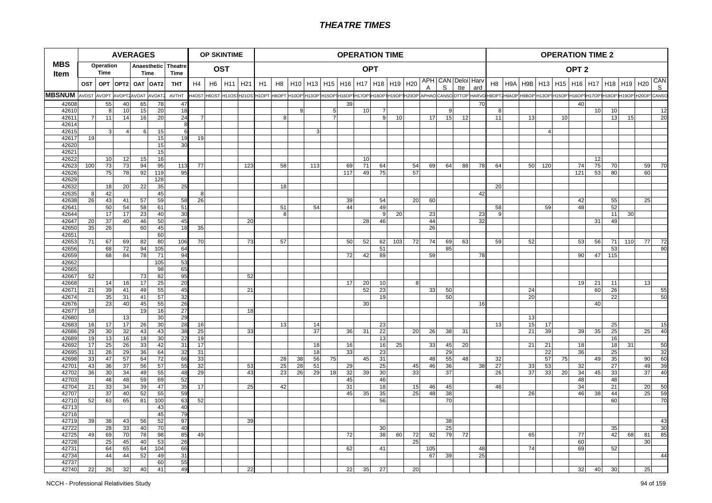|                           |                 |                          |                | <b>AVERAGES</b>                |          |                        |                |            | <b>OP SKINTIME</b> |                 |    |    |    |                       |                                  |          |                 | <b>OPERATION TIME</b> |                                                                                                                 |    |                               |          |     |     |                |    | <b>OPERATION TIME 2</b>                                           |    |                  |                 |                 |     |    |           |
|---------------------------|-----------------|--------------------------|----------------|--------------------------------|----------|------------------------|----------------|------------|--------------------|-----------------|----|----|----|-----------------------|----------------------------------|----------|-----------------|-----------------------|-----------------------------------------------------------------------------------------------------------------|----|-------------------------------|----------|-----|-----|----------------|----|-------------------------------------------------------------------|----|------------------|-----------------|-----------------|-----|----|-----------|
| <b>MBS</b><br><b>Item</b> |                 | Operation<br><b>Time</b> |                | Anaesthetic<br><b>Time</b>     |          | <b>Theatre</b><br>Time |                | <b>OST</b> |                    |                 |    |    |    |                       |                                  |          | <b>OPT</b>      |                       |                                                                                                                 |    |                               |          |     |     |                |    |                                                                   |    | OPT <sub>2</sub> |                 |                 |     |    |           |
|                           | <b>OST</b>      |                          |                | OPT OPT2 OAT OAT2              |          | <b>THT</b>             | H <sub>4</sub> | H6         | H <sub>11</sub>    | H <sub>21</sub> | H1 | H8 |    |                       |                                  |          |                 |                       | H10   H13   H15   H16   H17   H18   H19   H20                                                                   |    | APH   CAN   Deloi   Harv<br>A | S.       | tte | ard |                |    | H8   H9A   H9B   H13   H15   H16   H17   H18   H19   H20          |    |                  |                 |                 |     |    | CAN<br>S. |
| <b>MBSNUM</b>             |                 |                          |                | AVOST AVOPT AVOPTŽAVOAT AVOATŽ |          | AVTHT                  |                |            |                    |                 |    |    |    |                       |                                  |          |                 |                       | 140ST  H6OST  H11OSTH21OSTH1OPT  H8OPT  H10OPTH13OPTH15OPTH16OPTH17OPTH18OPTH19OPTH20OPTAPHAO CANSO DTTOPTHARVO |    |                               |          |     |     |                |    | H8OPT/H9AOP H9BOP H13OP H15OP H16OP H17OP H18OP H19OP H20OP CANSC |    |                  |                 |                 |     |    |           |
| 42608                     |                 | 55                       | 40             | 65                             | 78       | 47                     |                |            |                    |                 |    |    |    |                       |                                  | 39       |                 |                       |                                                                                                                 |    |                               |          |     | 70  |                |    |                                                                   |    | 40               |                 |                 |     |    |           |
| 42610                     |                 | 8                        | 10             | 15 <sup>1</sup>                | 20       | 18                     |                |            |                    |                 |    |    | 9  |                       | 5 <sup>1</sup><br>$\overline{7}$ |          | 10 <sup>1</sup> | 7                     |                                                                                                                 |    |                               | 9        |     |     | 8              |    |                                                                   |    |                  | 10 <sup>1</sup> | 10              |     |    | 12<br>20  |
| 42611<br>42614            | 7               | 11                       | 14             | 16                             | 20       | 24                     | $\overline{7}$ |            |                    |                 |    | 8  |    |                       |                                  |          |                 | -91                   | 10                                                                                                              |    | 17 <sup>1</sup>               | 15       | 12  |     | 11             | 13 |                                                                   | 10 |                  |                 | 13              | 15  |    |           |
| 42615                     |                 | 3 <sup>1</sup>           | $\overline{4}$ | 6                              | 15       |                        |                |            |                    |                 |    |    |    | 3 <sup>1</sup>        |                                  |          |                 |                       |                                                                                                                 |    |                               |          |     |     |                |    | $\overline{4}$                                                    |    |                  |                 |                 |     |    |           |
| 42617                     | 19              |                          |                |                                | 15       | 19                     | 19             |            |                    |                 |    |    |    |                       |                                  |          |                 |                       |                                                                                                                 |    |                               |          |     |     |                |    |                                                                   |    |                  |                 |                 |     |    |           |
| 42620                     |                 |                          |                |                                | 15       | 30                     |                |            |                    |                 |    |    |    |                       |                                  |          |                 |                       |                                                                                                                 |    |                               |          |     |     |                |    |                                                                   |    |                  |                 |                 |     |    |           |
| 42621<br>42622            |                 | 10 <sup>1</sup>          | 12             | 15 <sup>1</sup>                | 15<br>16 |                        |                |            |                    |                 |    |    |    |                       |                                  |          | 10 <sup>1</sup> |                       |                                                                                                                 |    |                               |          |     |     |                |    |                                                                   |    |                  | 12              |                 |     |    |           |
| 42623                     | 100             | 73                       | 73             | 94                             | 95       | 113                    | 77             |            |                    | 123             |    | 58 |    | 113                   |                                  | 69       | 71              | 64                    |                                                                                                                 | 54 | 69                            | 64       | 88  | 78  | 64             | 50 | 120                                                               |    | 74               | 75              | 70              |     | 59 | 70        |
| 42626                     |                 | 75                       | 78             | 92                             | 119      | 95                     |                |            |                    |                 |    |    |    |                       |                                  | 117      | 49              | 75                    |                                                                                                                 | 57 |                               |          |     |     |                |    |                                                                   |    | 121              | 53              | 80              |     | 60 |           |
| 42629                     |                 |                          |                |                                | 128      |                        |                |            |                    |                 |    |    |    |                       |                                  |          |                 |                       |                                                                                                                 |    |                               |          |     |     |                |    |                                                                   |    |                  |                 |                 |     |    |           |
| 42632<br>42635            | 8               | 18 <sup>l</sup><br>42    | 20             | 22                             | 35<br>45 | 25                     | 8              |            |                    |                 |    | 18 |    |                       |                                  |          |                 |                       |                                                                                                                 |    |                               |          |     | 42  | 20             |    |                                                                   |    |                  |                 |                 |     |    |           |
| 42638                     | 26              | 43                       | 41             | 57                             | 59       | 58                     | 26             |            |                    |                 |    |    |    |                       |                                  | 39       |                 | 54                    |                                                                                                                 | 20 | 60                            |          |     |     |                |    |                                                                   |    | 42               |                 | 55              |     | 25 |           |
| 42641                     |                 | 50                       | 54             | 58                             | 61       | 51                     |                |            |                    |                 |    | 51 |    | 54                    |                                  | 44       |                 | 49                    |                                                                                                                 |    |                               |          |     |     | 58             |    | 59                                                                |    | 48               |                 | 52              |     |    |           |
| 42644                     |                 | 17                       | 17             | 23                             | 40       | 30                     |                |            |                    |                 |    | 8  |    |                       |                                  |          |                 | 9                     | 20                                                                                                              |    | 23                            |          |     | 23  | 9 <sup>1</sup> |    |                                                                   |    |                  |                 | 11              | 30  |    |           |
| 42647                     | 20              | 37                       | 40             | 46                             | 50       | 45                     |                |            |                    | 20              |    |    |    |                       |                                  |          | 28              | 46                    |                                                                                                                 |    | 44                            |          |     | 32  |                |    |                                                                   |    |                  | 31              | 49              |     |    |           |
| 42650<br>42651            | 35 <sub>1</sub> | 26                       |                | 60                             | 45<br>60 | 18                     | 35             |            |                    |                 |    |    |    |                       |                                  |          |                 |                       |                                                                                                                 |    | 26                            |          |     |     |                |    |                                                                   |    |                  |                 |                 |     |    |           |
| 42653                     | 71              | 67                       | 69             | 82                             | 80       | 106                    | 70             |            |                    | 73              |    | 57 |    |                       |                                  | 50       | 52              | 62                    | 103                                                                                                             | 72 | 74                            | 69       | 63  |     | 59             | 52 |                                                                   |    | 53               | 56              | 71              | 110 | 77 | 72        |
| 42656                     |                 | 68                       | 72             | 94                             | 105      | 64                     |                |            |                    |                 |    |    |    |                       |                                  |          |                 | 51                    |                                                                                                                 |    |                               | 85       |     |     |                |    |                                                                   |    |                  |                 | 53              |     |    | 90        |
| 42659                     |                 | 68                       | 84             | 78                             | 71       | 94                     |                |            |                    |                 |    |    |    |                       |                                  | 72       | 42              | 89                    |                                                                                                                 |    | 59                            |          |     | 78  |                |    |                                                                   |    | 90               | 47              | 115             |     |    |           |
| 42662                     |                 |                          |                |                                | 105      | 53                     |                |            |                    |                 |    |    |    |                       |                                  |          |                 |                       |                                                                                                                 |    |                               |          |     |     |                |    |                                                                   |    |                  |                 |                 |     |    |           |
| 42665<br>42667            | 52              |                          |                | 73                             | 98<br>82 | 65<br>95               |                |            |                    | 52              |    |    |    |                       |                                  |          |                 |                       |                                                                                                                 |    |                               |          |     |     |                |    |                                                                   |    |                  |                 |                 |     |    |           |
| 42668                     |                 | 14                       | 16             | 17                             | 25       | 20                     |                |            |                    |                 |    |    |    |                       |                                  | 17       | 20              | 10                    |                                                                                                                 | 8  |                               |          |     |     |                |    |                                                                   |    | 19               | 21              | 11              |     | 13 |           |
| 42671                     | 21              | 39                       | 41             | 49                             | 55       | 45                     |                |            |                    | 21              |    |    |    |                       |                                  |          | 52              | 23                    |                                                                                                                 |    | 33                            | 50       |     |     |                | 24 |                                                                   |    |                  | 60              | 26              |     |    | 55        |
| 42674                     |                 | 35                       | 31             | 41                             | 57       | 32                     |                |            |                    |                 |    |    |    |                       |                                  |          |                 | 19                    |                                                                                                                 |    |                               | 50       |     |     |                | 20 |                                                                   |    |                  |                 | 22              |     |    | 50        |
| 42676<br>42677            | 18              | 23                       | 40             | 45<br>19                       | 55<br>16 | 26<br>27               |                |            |                    | 18              |    |    |    |                       |                                  |          | 30 <sup>1</sup> |                       |                                                                                                                 |    |                               |          |     | 16  |                |    |                                                                   |    |                  | 40              |                 |     |    |           |
| 42680                     |                 |                          | 13             |                                | 30       | 29                     |                |            |                    |                 |    |    |    |                       |                                  |          |                 |                       |                                                                                                                 |    |                               |          |     |     |                | 13 |                                                                   |    |                  |                 |                 |     |    |           |
| 42683                     | 16              | 17                       | 17             | 26                             | 30       | 28                     | 16             |            |                    |                 |    | 13 |    | 14                    |                                  |          |                 | 23                    |                                                                                                                 |    |                               |          |     |     | 13             | 15 | 17                                                                |    |                  |                 | 25              |     |    | 15        |
| 42686                     | 29              | 30                       | 32             | 43                             | 43       | 38                     | 25             |            |                    | 33              |    |    |    | 37 <sup>1</sup>       |                                  | 36       | 31              | 22                    |                                                                                                                 | 20 | 26                            | 38       | 31  |     |                | 21 | 39                                                                |    | 39               | 35              | 25              |     | 25 | 40        |
| 42689                     | 19              | 13                       | 16             | 18                             | 30       | 22                     | 19             |            |                    |                 |    |    |    |                       |                                  |          |                 | 13                    |                                                                                                                 |    |                               |          |     |     |                |    |                                                                   |    |                  |                 | 16              |     |    |           |
| 42692<br>42695            | 17<br>31        | 25<br>26                 | 26<br>29       | 33<br>36 <sup>°</sup>          | 42<br>64 | 31<br>32               | 17<br>31       |            |                    |                 |    |    |    | 18<br>18 <sup>1</sup> |                                  | 16<br>33 |                 | 16<br>23              | 25                                                                                                              |    | 33                            | 45<br>29 | 20  |     |                | 21 | 21<br>22                                                          |    | 18<br>36         |                 | 18<br>25        | 31  |    | 50<br>32  |
| 42698                     | 33              | 47                       | 57             | 64                             | 72       | 66                     | 33             |            |                    |                 |    | 28 | 38 | 56                    | 75                               |          | 45              | 31                    |                                                                                                                 |    | 48                            | 55       | 48  |     | 32             |    | 57                                                                | 75 |                  | 49              | 35              |     | 90 | 60        |
| 42701                     | 43              | 36                       | 37             | 56                             | 57       | 55                     | 32             |            |                    | 53              |    | 25 | 28 | 51                    |                                  | 29       |                 | 25                    |                                                                                                                 | 45 | 46                            | 36       |     | 38  | 27             | 33 | 53                                                                |    | 32               |                 | $\overline{27}$ |     | 49 | 39        |
| 42702                     | 36              | 30                       | 34             | 49                             | 55       | 48                     | 29             |            |                    | 43              |    | 23 | 26 | 29                    | 18                               | 32       | 39              | 30                    |                                                                                                                 | 33 |                               | 37       |     |     | 26             | 37 | 33                                                                | 20 | 34               | 45              | 33              |     | 37 | 40        |
| 42703<br>42704            | 21              | 46<br>33                 | 48<br>34       | 59<br>39                       | 69<br>47 | 52<br>35               | 17             |            |                    | 25              |    | 42 |    |                       |                                  | 45<br>31 |                 | 46<br>18              |                                                                                                                 | 15 | 46                            | 45       |     |     | 46             |    |                                                                   |    | 48<br>34         |                 | 48<br>21        |     | 20 | 50        |
| 42707                     |                 | 37                       | 40             | 52                             | 55       | 59                     |                |            |                    |                 |    |    |    |                       |                                  | 45       | 35              | 35                    |                                                                                                                 | 25 | 48                            | 38       |     |     |                | 26 |                                                                   |    | 46               | 38              | 44              |     | 25 | 59        |
| 42710                     | 52              | 63                       | 65             | 81                             | 100      | 63                     | 52             |            |                    |                 |    |    |    |                       |                                  |          |                 | 56                    |                                                                                                                 |    |                               | 70       |     |     |                |    |                                                                   |    |                  |                 | 60              |     |    | 70        |
| 42713                     |                 |                          |                |                                | 43       | 40                     |                |            |                    |                 |    |    |    |                       |                                  |          |                 |                       |                                                                                                                 |    |                               |          |     |     |                |    |                                                                   |    |                  |                 |                 |     |    |           |
| 42716                     |                 |                          |                |                                | 45       | 79                     |                |            |                    |                 |    |    |    |                       |                                  |          |                 |                       |                                                                                                                 |    |                               |          |     |     |                |    |                                                                   |    |                  |                 |                 |     |    |           |
| 42719<br>42722            | 39              | 38<br>28                 | 43<br>33       | 56<br>40                       | 52<br>70 | 97<br>40               |                |            |                    | 39              |    |    |    |                       |                                  |          |                 | 30                    |                                                                                                                 |    |                               | 38<br>25 |     |     |                |    |                                                                   |    |                  |                 | 35              |     |    | 43<br>30  |
| 42725                     | 49              | 69                       | 70             | 78                             | 98       | 85                     | 49             |            |                    |                 |    |    |    |                       |                                  | 72       |                 | 38                    | 60                                                                                                              | 72 | 92                            | 79       | 72  |     |                | 65 |                                                                   |    | 77               |                 | 42              | 68  | 81 | 85        |
| 42728                     |                 | 25                       | 45             | 40                             | 53       | 26                     |                |            |                    |                 |    |    |    |                       |                                  |          |                 |                       |                                                                                                                 | 25 |                               |          |     |     |                |    |                                                                   |    | 60               |                 |                 |     | 30 |           |
| 42731                     |                 | 64                       | 65             | 64                             | 104      | 66                     |                |            |                    |                 |    |    |    |                       |                                  | 62       |                 | 41                    |                                                                                                                 |    | 105                           |          |     | 48  |                | 74 |                                                                   |    | 69               |                 | 52              |     |    |           |
| 42734<br>42737            |                 | 44                       | 44             | 52                             | 49<br>60 | 31<br>55               |                |            |                    |                 |    |    |    |                       |                                  |          |                 |                       |                                                                                                                 |    | 67                            | 39       |     | 25  |                |    |                                                                   |    |                  |                 |                 |     |    | 44        |
| 42740                     | 22              | 26                       | 32             | 40                             | 41       | 49                     |                |            |                    | 22              |    |    |    |                       |                                  | 22       | 35              | 27                    |                                                                                                                 | 20 |                               |          |     |     |                |    |                                                                   |    | 32               | 40              | 30              |     | 25 |           |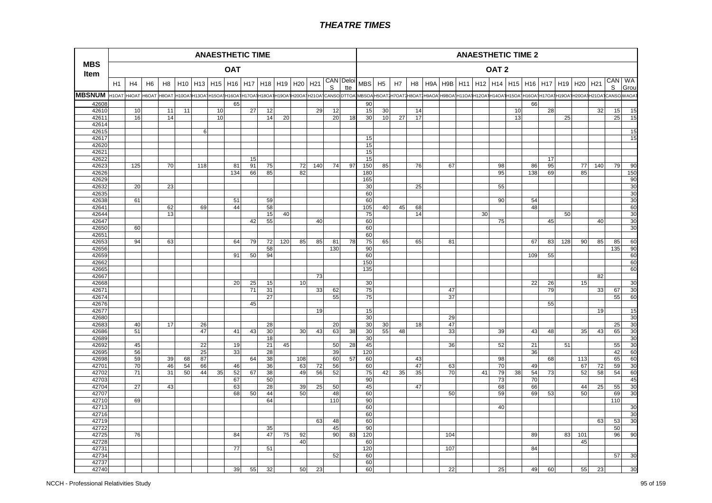|                |    | <b>ANAESTHETIC TIME</b><br><b>OAT</b>                                                                                                                        |  |    |    |          |                 |                                                                                           |    |          |     |                 |     |                  |     |                 |                |    |                |     |     |         |    | <b>ANAESTHETIC TIME 2</b> |    |          |                                               |     |          |     |          |                                                                                       |
|----------------|----|--------------------------------------------------------------------------------------------------------------------------------------------------------------|--|----|----|----------|-----------------|-------------------------------------------------------------------------------------------|----|----------|-----|-----------------|-----|------------------|-----|-----------------|----------------|----|----------------|-----|-----|---------|----|---------------------------|----|----------|-----------------------------------------------|-----|----------|-----|----------|---------------------------------------------------------------------------------------|
| <b>MBS</b>     |    | H <sub>10</sub>   H <sub>13</sub>   H <sub>15</sub>   H <sub>16</sub>   H <sub>17</sub><br>  H18   H19   H20   H21<br>H4<br>H <sub>6</sub><br>H <sub>8</sub> |  |    |    |          |                 |                                                                                           |    |          |     |                 |     |                  |     |                 |                |    |                |     |     |         |    | OAT <sub>2</sub>          |    |          |                                               |     |          |     |          |                                                                                       |
| Item           | H1 |                                                                                                                                                              |  |    |    |          |                 |                                                                                           |    |          |     |                 |     | <b>CAN</b> Deloi |     | MBS             | H <sub>5</sub> | H7 | H <sub>8</sub> | H9A |     | H9B H11 |    |                           |    |          | H12   H14   H15   H16   H17   H19   H20   H21 |     |          |     | CAN WA   |                                                                                       |
| <b>MBSNUM</b>  |    |                                                                                                                                                              |  |    |    |          |                 | H1OAT H4OAT H6OAT H8OAT H10OATH13OATH15OATH16OATH17OATH18OATH19OATH20OATH21OATCANSO DTTOA |    |          |     |                 |     | S                | tte |                 |                |    |                |     |     |         |    |                           |    |          |                                               |     |          |     | S        | Grou                                                                                  |
| 42608          |    |                                                                                                                                                              |  |    |    |          |                 | 65                                                                                        |    |          |     |                 |     |                  |     | 90              |                |    |                |     |     |         |    |                           |    | 66       |                                               |     |          |     |          |                                                                                       |
| 42610          |    | 10                                                                                                                                                           |  | 11 | 11 |          | 10 <sup>1</sup> |                                                                                           | 27 | 12       |     |                 | 29  | 12               |     | 15              | 30             |    | 14             |     |     |         |    |                           | 10 |          | 28                                            |     |          | 32  | 15       | 15                                                                                    |
| 42611          |    | 16                                                                                                                                                           |  | 14 |    |          | 10 <sup>1</sup> |                                                                                           |    | 14       | 20  |                 |     | 20               | 18  | 30 <sup>1</sup> | 10             | 27 | 17             |     |     |         |    |                           | 13 |          |                                               | 25  |          |     | 25       | 15                                                                                    |
| 42614          |    |                                                                                                                                                              |  |    |    |          |                 |                                                                                           |    |          |     |                 |     |                  |     |                 |                |    |                |     |     |         |    |                           |    |          |                                               |     |          |     |          |                                                                                       |
| 42615          |    |                                                                                                                                                              |  |    |    | 6        |                 |                                                                                           |    |          |     |                 |     |                  |     |                 |                |    |                |     |     |         |    |                           |    |          |                                               |     |          |     |          | 15                                                                                    |
| 42617          |    |                                                                                                                                                              |  |    |    |          |                 |                                                                                           |    |          |     |                 |     |                  |     | 15              |                |    |                |     |     |         |    |                           |    |          |                                               |     |          |     |          | 15                                                                                    |
| 42620          |    |                                                                                                                                                              |  |    |    |          |                 |                                                                                           |    |          |     |                 |     |                  |     | 15              |                |    |                |     |     |         |    |                           |    |          |                                               |     |          |     |          |                                                                                       |
| 42621          |    |                                                                                                                                                              |  |    |    |          |                 |                                                                                           |    |          |     |                 |     |                  |     | 15              |                |    |                |     |     |         |    |                           |    |          |                                               |     |          |     |          |                                                                                       |
| 42622          |    |                                                                                                                                                              |  |    |    |          |                 |                                                                                           | 15 |          |     |                 |     |                  |     | 15              |                |    |                |     |     |         |    |                           |    |          | 17                                            |     |          |     |          |                                                                                       |
| 42623          |    | 125                                                                                                                                                          |  | 70 |    | 118      |                 | 81                                                                                        | 91 | 75       |     | 72<br>82        | 140 | 74               | 97  | 150             | 85             |    | 76             |     | 67  |         |    | 98                        |    | 86       | 95                                            |     | 77<br>85 | 140 | 79       | 90                                                                                    |
| 42626<br>42629 |    |                                                                                                                                                              |  |    |    |          |                 | 134                                                                                       | 66 | 85       |     |                 |     |                  |     | 180<br>165      |                |    |                |     |     |         |    | 95                        |    | 138      | 69                                            |     |          |     |          | 150                                                                                   |
| 42632          |    | 20                                                                                                                                                           |  | 23 |    |          |                 |                                                                                           |    |          |     |                 |     |                  |     | 30              |                |    | 25             |     |     |         |    | 55                        |    |          |                                               |     |          |     |          |                                                                                       |
| 42635          |    |                                                                                                                                                              |  |    |    |          |                 |                                                                                           |    |          |     |                 |     |                  |     | 60              |                |    |                |     |     |         |    |                           |    |          |                                               |     |          |     |          | $\begin{array}{r} 90 \\ \hline 30 \\ \hline 30 \\ \hline 30 \\ \hline 60 \end{array}$ |
| 42638          |    | 61                                                                                                                                                           |  |    |    |          |                 | 51                                                                                        |    | 59       |     |                 |     |                  |     | 60              |                |    |                |     |     |         |    | 90                        |    | 54       |                                               |     |          |     |          |                                                                                       |
| 42641          |    |                                                                                                                                                              |  | 62 |    | 69       |                 | 44                                                                                        |    | 58       |     |                 |     |                  |     | 105             | 40             | 45 | 68             |     |     |         |    |                           |    | 48       |                                               |     |          |     |          |                                                                                       |
| 42644          |    |                                                                                                                                                              |  | 13 |    |          |                 |                                                                                           |    | 15       | 40  |                 |     |                  |     | 75              |                |    | 14             |     |     |         | 30 |                           |    |          |                                               | 50  |          |     |          | $\frac{30}{30}$                                                                       |
| 42647          |    |                                                                                                                                                              |  |    |    |          |                 |                                                                                           | 42 | 55       |     |                 | 40  |                  |     | 60              |                |    |                |     |     |         |    | 75                        |    |          | 45                                            |     |          | 40  |          |                                                                                       |
| 42650          |    | 60                                                                                                                                                           |  |    |    |          |                 |                                                                                           |    |          |     |                 |     |                  |     | 60              |                |    |                |     |     |         |    |                           |    |          |                                               |     |          |     |          | 30                                                                                    |
| 42651          |    |                                                                                                                                                              |  |    |    |          |                 |                                                                                           |    |          |     |                 |     |                  |     | 60              |                |    |                |     |     |         |    |                           |    |          |                                               |     |          |     |          |                                                                                       |
| 42653          |    | 94                                                                                                                                                           |  | 63 |    |          |                 | 64                                                                                        | 79 | 72       | 120 | 85              | 85  | 81               | 78  | 75              | 65             |    | 65             |     | 81  |         |    |                           |    | 67       | 83                                            | 128 | 90       | 85  | 85       | 60                                                                                    |
| 42656          |    |                                                                                                                                                              |  |    |    |          |                 |                                                                                           |    | 58       |     |                 |     | 130              |     | 90              |                |    |                |     |     |         |    |                           |    |          |                                               |     |          |     | 135      | 90                                                                                    |
| 42659          |    |                                                                                                                                                              |  |    |    |          |                 | 91                                                                                        | 50 | 94       |     |                 |     |                  |     | 60              |                |    |                |     |     |         |    |                           |    | 109      | 55                                            |     |          |     |          | 60                                                                                    |
| 42662<br>42665 |    |                                                                                                                                                              |  |    |    |          |                 |                                                                                           |    |          |     |                 |     |                  |     | 150<br>135      |                |    |                |     |     |         |    |                           |    |          |                                               |     |          |     |          | 60<br>60                                                                              |
| 42667          |    |                                                                                                                                                              |  |    |    |          |                 |                                                                                           |    |          |     |                 | 73  |                  |     |                 |                |    |                |     |     |         |    |                           |    |          |                                               |     |          | 82  |          |                                                                                       |
| 42668          |    |                                                                                                                                                              |  |    |    |          |                 | 20                                                                                        | 25 | 15       |     | 10 <sup>1</sup> |     |                  |     | 30              |                |    |                |     |     |         |    |                           |    | 22       | 26                                            |     | 15       |     |          | 30                                                                                    |
| 42671          |    |                                                                                                                                                              |  |    |    |          |                 |                                                                                           | 71 | 31       |     |                 | 33  | 62               |     | 75              |                |    |                |     | 47  |         |    |                           |    |          | 79                                            |     |          | 33  | 67       | 30                                                                                    |
| 42674          |    |                                                                                                                                                              |  |    |    |          |                 |                                                                                           |    | 27       |     |                 |     | 55               |     | 75              |                |    |                |     | 37  |         |    |                           |    |          |                                               |     |          |     | 55       | 60                                                                                    |
| 42676          |    |                                                                                                                                                              |  |    |    |          |                 |                                                                                           | 45 |          |     |                 |     |                  |     |                 |                |    |                |     |     |         |    |                           |    |          | 55                                            |     |          |     |          |                                                                                       |
| 42677          |    |                                                                                                                                                              |  |    |    |          |                 |                                                                                           |    |          |     |                 | 19  |                  |     | 15              |                |    |                |     |     |         |    |                           |    |          |                                               |     |          | 19  |          | 15                                                                                    |
| 42680          |    |                                                                                                                                                              |  |    |    |          |                 |                                                                                           |    |          |     |                 |     |                  |     | 30              |                |    |                |     | 29  |         |    |                           |    |          |                                               |     |          |     |          | $\frac{30}{30}$                                                                       |
| 42683          |    | 40                                                                                                                                                           |  | 17 |    | 26       |                 |                                                                                           |    | 28       |     |                 |     | 20               |     | 30              | 30             |    | 18             |     | 47  |         |    |                           |    |          |                                               |     |          |     | 25       |                                                                                       |
| 42686          |    | 51                                                                                                                                                           |  |    |    | 47       |                 | 41                                                                                        | 43 | 30       |     | 30 <sup>1</sup> | 43  | 63               | 38  | 30              | 55             | 48 |                |     | 33  |         |    | 39                        |    | 43       | 48                                            |     | 35       | 43  | 65       |                                                                                       |
| 42689          |    |                                                                                                                                                              |  |    |    |          |                 |                                                                                           |    | 18       |     |                 |     |                  |     | 30              |                |    |                |     |     |         |    |                           |    |          |                                               |     |          |     |          | $\frac{30}{60}$                                                                       |
| 42692<br>42695 |    | 45<br>56                                                                                                                                                     |  |    |    | 22       |                 | 19<br>33                                                                                  |    | 21<br>28 | 45  |                 |     | 50<br>39         | 28  | 45<br>120       |                |    |                |     | 36  |         |    | 52                        |    | 21<br>36 |                                               | 51  |          |     | 55<br>42 |                                                                                       |
| 42698          |    | 59                                                                                                                                                           |  | 39 | 68 | 25<br>87 |                 |                                                                                           | 64 | 38       |     | 108             |     | 60               | 57  | 60              |                |    | 43             |     |     |         |    | 98                        |    |          | 68                                            |     | 113      |     | 65       |                                                                                       |
| 42701          |    | 70                                                                                                                                                           |  | 46 | 54 | 66       |                 | 46                                                                                        |    | 36       |     | 63              | 72  | 56               |     | 60              |                |    | 47             |     | 63  |         |    | 70                        |    | 49       |                                               |     | 67       | 72  | 59       | $\begin{array}{r l}\n 60 \\ \hline\n 45 \\ \hline\n 30\n \end{array}$                 |
| 42702          |    | 71                                                                                                                                                           |  | 31 | 50 | 44       | 35              | 52                                                                                        | 67 | 38       |     | 49              | 56  | 52               |     | 75              | 42             | 35 | 35             |     | 70  |         | 41 | 79                        | 38 | 54       | 73                                            |     | 52       | 58  | 54       |                                                                                       |
| 42703          |    |                                                                                                                                                              |  |    |    |          |                 | 67                                                                                        |    | 50       |     |                 |     |                  |     | 90              |                |    |                |     |     |         |    | 73                        |    | 70       |                                               |     |          |     |          |                                                                                       |
| 42704          |    | 27                                                                                                                                                           |  | 43 |    |          |                 | 63                                                                                        |    | 28       |     | 39              | 25  | 50               |     | 45              |                |    | 47             |     |     |         |    | 68                        |    | 66       |                                               |     | 44       | 25  | 55       |                                                                                       |
| 42707          |    |                                                                                                                                                              |  |    |    |          |                 | 68                                                                                        | 50 | 44       |     | 50              |     | 48               |     | 60              |                |    |                |     | 50  |         |    | 59                        |    | 69       | 53                                            |     | 50       |     | 69       | 30                                                                                    |
| 42710          |    | 69                                                                                                                                                           |  |    |    |          |                 |                                                                                           |    | 64       |     |                 |     | 110              |     | 90              |                |    |                |     |     |         |    |                           |    |          |                                               |     |          |     | 110      |                                                                                       |
| 42713          |    |                                                                                                                                                              |  |    |    |          |                 |                                                                                           |    |          |     |                 |     |                  |     | 60              |                |    |                |     |     |         |    | 40                        |    |          |                                               |     |          |     |          | $\frac{30}{30}$                                                                       |
| 42716          |    |                                                                                                                                                              |  |    |    |          |                 |                                                                                           |    |          |     |                 |     |                  |     | 60              |                |    |                |     |     |         |    |                           |    |          |                                               |     |          |     |          |                                                                                       |
| 42719          |    |                                                                                                                                                              |  |    |    |          |                 |                                                                                           |    |          |     |                 | 63  | 48               |     | 60              |                |    |                |     |     |         |    |                           |    |          |                                               |     |          | 63  | 53       | 30                                                                                    |
| 42722          |    |                                                                                                                                                              |  |    |    |          |                 |                                                                                           |    | 35       |     |                 |     | 45               |     | 90              |                |    |                |     |     |         |    |                           |    |          |                                               |     |          |     | 50       |                                                                                       |
| 42725          |    | 76                                                                                                                                                           |  |    |    |          |                 | 84                                                                                        |    | 47       | 75  | 92              |     | 90               | 83  | 120             |                |    |                |     | 104 |         |    |                           |    | 89       |                                               | 83  | 101      |     | 96       | 90                                                                                    |
| 42728          |    |                                                                                                                                                              |  |    |    |          |                 |                                                                                           |    |          |     | 40              |     |                  |     | 60<br>120       |                |    |                |     |     |         |    |                           |    | 84       |                                               |     | 45       |     |          |                                                                                       |
| 42731<br>42734 |    |                                                                                                                                                              |  |    |    |          |                 | 77                                                                                        |    | 51       |     |                 |     | 52               |     | 60              |                |    |                |     | 107 |         |    |                           |    |          |                                               |     |          |     | 57       | 30                                                                                    |
| 42737          |    |                                                                                                                                                              |  |    |    |          |                 |                                                                                           |    |          |     |                 |     |                  |     | 60              |                |    |                |     |     |         |    |                           |    |          |                                               |     |          |     |          |                                                                                       |
| 42740          |    |                                                                                                                                                              |  |    |    |          |                 | 39                                                                                        | 55 | 32       |     | 50              | 23  |                  |     | 60              |                |    |                |     | 22  |         |    | 25                        |    | 49       | 60                                            |     | 55       | 23  |          | 30                                                                                    |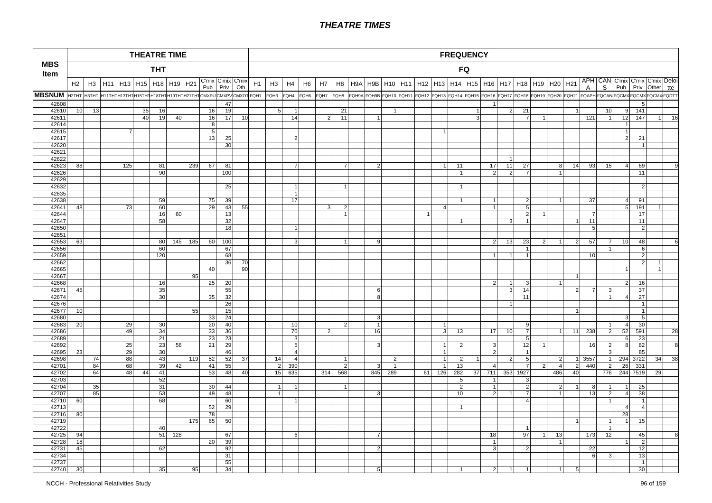|                                                                                                                                                                                                                           |    |          | <b>THEATRE TIME</b>                    |            |     |     |                |                   |     |                |                      |                       |                |                |                                |                |                 |                                |                |                                | <b>FREQUENCY</b>     |              |                                         |                |                             |                |                                  |                |                |                             |                                   |                                  |                |
|---------------------------------------------------------------------------------------------------------------------------------------------------------------------------------------------------------------------------|----|----------|----------------------------------------|------------|-----|-----|----------------|-------------------|-----|----------------|----------------------|-----------------------|----------------|----------------|--------------------------------|----------------|-----------------|--------------------------------|----------------|--------------------------------|----------------------|--------------|-----------------------------------------|----------------|-----------------------------|----------------|----------------------------------|----------------|----------------|-----------------------------|-----------------------------------|----------------------------------|----------------|
| <b>MBS</b>                                                                                                                                                                                                                |    |          |                                        | <b>THT</b> |     |     |                |                   |     |                |                      |                       |                |                |                                |                |                 |                                |                |                                |                      | <b>FQ</b>    |                                         |                |                             |                |                                  |                |                |                             |                                   |                                  |                |
| <b>Item</b>                                                                                                                                                                                                               | H2 |          | H3   H11   H13   H15   H18   H19   H21 |            |     |     |                | C'mix C'mix C'mix |     | H <sub>1</sub> | H3                   | H <sub>4</sub>        | H <sub>6</sub> | H7             | H <sub>8</sub>                 |                | H9A H9B H10 H11 |                                |                |                                |                      |              | H12 H13 H14 H15 H16 H17 H18 H19 H20 H21 |                |                             |                |                                  |                |                |                             |                                   | APH CAN C'mix C'mix C'mix Deloi  |                |
| MBSNUM H2THT H3THT H3THT H11THTH13THTH18THTH18THTH21THTCMXPUCMXPVCMXOTFQH1 FQH3 FQH4 FQH6 FQH7 FQH8 FQH8 FQH8 FQH41 FQH13 FQH13 FQH14 FQH15 FQH16 FQH17 FQH18 FQH12 FQH21 FQAPH FQQDEQH21 FQAPH FQCMXFQCMXFQCMXFQCMXFQQTT |    |          |                                        |            |     |     | Pub            | Priv              | Oth |                |                      |                       |                |                |                                |                |                 |                                |                |                                |                      |              |                                         |                |                             |                |                                  |                | $\Delta$       | S                           |                                   | Pub Priv Other tte               |                |
| 42608                                                                                                                                                                                                                     |    |          |                                        |            |     |     |                | 47                |     |                |                      |                       |                |                |                                |                |                 |                                |                |                                |                      |              | $\mathbf{1}$                            |                |                             |                |                                  |                |                |                             |                                   | $5\phantom{.0}$                  |                |
| 42610                                                                                                                                                                                                                     | 10 | 13       | 35                                     | 16         |     |     | 16             | 19                |     |                | $5\phantom{.0}$      | $\overline{1}$        |                |                | 21                             |                |                 | $\mathbf{1}$                   |                |                                |                      | 1            |                                         | $2 \vert$      | 21                          |                |                                  | 11             |                | 10                          | 9                                 | 141                              |                |
| 42611                                                                                                                                                                                                                     |    |          | 40                                     | 19         | 40  |     | 16             | 17                | 10  |                |                      | 14                    |                | 2 <sup>1</sup> | 11                             |                | 1               |                                |                |                                |                      | $\mathbf{3}$ |                                         |                | 7                           | $\mathbf{1}$   |                                  |                | 121            | 1                           | 12                                | 147                              | 16<br>1        |
| 42614                                                                                                                                                                                                                     |    |          |                                        |            |     |     | 8              |                   |     |                |                      |                       |                |                |                                |                |                 |                                |                |                                |                      |              |                                         |                |                             |                |                                  |                |                |                             |                                   |                                  |                |
| 42615                                                                                                                                                                                                                     |    |          | $\overline{7}$                         |            |     |     | 5 <sub>5</sub> |                   |     |                |                      |                       |                |                |                                |                |                 |                                |                | $\overline{1}$                 |                      |              |                                         |                |                             |                |                                  |                |                |                             | $\overline{1}$                    |                                  |                |
| 42617                                                                                                                                                                                                                     |    |          |                                        |            |     |     | 13             | 25                |     |                |                      | $\overline{2}$        |                |                |                                |                |                 |                                |                |                                |                      |              |                                         |                |                             |                |                                  |                |                |                             | $\overline{2}$                    | 21                               |                |
| 42620                                                                                                                                                                                                                     |    |          |                                        |            |     |     |                | 30                |     |                |                      |                       |                |                |                                |                |                 |                                |                |                                |                      |              |                                         |                |                             |                |                                  |                |                |                             |                                   | 1                                |                |
| 42621<br>42622                                                                                                                                                                                                            |    |          |                                        |            |     |     |                |                   |     |                |                      |                       |                |                |                                |                |                 |                                |                |                                |                      |              |                                         | 1              |                             |                |                                  |                |                |                             |                                   |                                  |                |
| 42623                                                                                                                                                                                                                     | 88 |          | 125                                    | 81         |     | 239 | 67             | 81                |     |                |                      | 7                     |                |                |                                | $\overline{7}$ | 2               |                                |                | $\overline{1}$                 | 11                   |              | 17                                      | 11             | 27                          |                | 8                                | 14             | 93             | 15                          | $\overline{4}$                    | 69                               |                |
| 42626                                                                                                                                                                                                                     |    |          |                                        | 90         |     |     |                | 100               |     |                |                      |                       |                |                |                                |                |                 |                                |                |                                | $\overline{1}$       |              | $\overline{2}$                          | $\overline{2}$ | $\overline{7}$              |                | 1                                |                |                |                             |                                   | 11                               |                |
| 42629                                                                                                                                                                                                                     |    |          |                                        |            |     |     |                |                   |     |                |                      |                       |                |                |                                |                |                 |                                |                |                                |                      |              |                                         |                |                             |                |                                  |                |                |                             |                                   |                                  |                |
| 42632                                                                                                                                                                                                                     |    |          |                                        |            |     |     |                | 25                |     |                |                      | $\vert$ 1             |                |                | $\overline{1}$                 |                |                 |                                |                |                                | $\overline{1}$       |              |                                         |                |                             |                |                                  |                |                |                             |                                   | $\overline{c}$                   |                |
| 42635                                                                                                                                                                                                                     |    |          |                                        |            |     |     |                |                   |     |                |                      | $\vert$ 1             |                |                |                                |                |                 |                                |                |                                |                      |              |                                         |                |                             |                |                                  |                |                |                             |                                   |                                  |                |
| 42638<br>42641                                                                                                                                                                                                            | 48 |          | 73                                     | 59<br>60   |     |     | 75<br>29       | 39<br>43          | 55  |                |                      | 17                    |                | 3              | $\overline{2}$                 |                |                 |                                |                | $\overline{4}$                 | $\mathbf{1}$         |              | 1<br>$\overline{1}$                     |                | 2 <br>5 <sub>l</sub>        |                | 1                                |                | 37             |                             | $\overline{4}$<br>$5\phantom{.0}$ | 91<br>191                        |                |
| 42644                                                                                                                                                                                                                     |    |          |                                        | 16         | 60  |     |                | 13                |     |                |                      |                       |                |                | $\overline{1}$                 |                |                 |                                | $\overline{1}$ |                                |                      |              |                                         |                | $\overline{2}$              | $\overline{1}$ |                                  |                | 7              |                             |                                   | 17                               |                |
| 42647                                                                                                                                                                                                                     |    |          |                                        | 58         |     |     |                | 32                |     |                |                      |                       |                |                |                                |                |                 |                                |                |                                | $\overline{1}$       |              |                                         | $\mathbf{3}$   | $\vert$ 1                   |                |                                  | 11             | 11             |                             |                                   | 11                               |                |
| 42650                                                                                                                                                                                                                     |    |          |                                        |            |     |     |                | 18                |     |                |                      | 1                     |                |                |                                |                |                 |                                |                |                                |                      |              |                                         |                |                             |                |                                  |                | 5 <sup>1</sup> |                             |                                   | $\overline{2}$                   |                |
| 42651                                                                                                                                                                                                                     |    |          |                                        |            |     |     |                |                   |     |                |                      |                       |                |                |                                |                |                 |                                |                |                                |                      |              |                                         |                |                             |                |                                  |                |                |                             |                                   |                                  |                |
| 42653                                                                                                                                                                                                                     | 63 |          |                                        | 80         | 145 | 185 | 60             | 100               |     |                |                      | 3 <sup>1</sup>        |                |                | $\overline{1}$                 |                | 9               |                                |                |                                |                      |              | $2 \vert$                               | 13             | 23                          | $\overline{2}$ | 11                               | $\overline{2}$ | 57             | $\overline{7}$              | 10                                | 48                               | -6             |
| 42656                                                                                                                                                                                                                     |    |          |                                        | 60         |     |     |                | 67                |     |                |                      |                       |                |                |                                |                |                 |                                |                |                                |                      |              |                                         |                | $\vert$ 1<br>1              |                |                                  |                |                |                             |                                   | $6 \overline{6}$                 |                |
| 42659<br>42662                                                                                                                                                                                                            |    |          |                                        | 120        |     |     |                | 68<br>36          | 70  |                |                      |                       |                |                |                                |                |                 |                                |                |                                |                      |              | $\mathbf{1}$                            | 1              |                             |                |                                  |                | 10             |                             |                                   | 2 <br>$\overline{2}$             | $\overline{1}$ |
| 42665                                                                                                                                                                                                                     |    |          |                                        |            |     |     | 40             |                   | 90  |                |                      |                       |                |                |                                |                |                 |                                |                |                                |                      |              |                                         |                |                             |                |                                  |                |                |                             |                                   |                                  |                |
| 42667                                                                                                                                                                                                                     |    |          |                                        |            |     | 95  |                |                   |     |                |                      |                       |                |                |                                |                |                 |                                |                |                                |                      |              |                                         |                |                             |                |                                  | 1 <sup>1</sup> |                |                             |                                   |                                  |                |
| 42668                                                                                                                                                                                                                     |    |          |                                        | 16         |     |     | 25             | 20                |     |                |                      |                       |                |                |                                |                |                 |                                |                |                                |                      |              | $\overline{2}$                          | $\mathbf 1$    | $\mathbf{3}$                |                | 1                                |                |                |                             | $\overline{2}$                    | 16                               |                |
| 42671                                                                                                                                                                                                                     | 45 |          |                                        | 35         |     |     |                | 55                |     |                |                      |                       |                |                |                                |                | 6 <sup>1</sup>  |                                |                |                                |                      |              |                                         | $\overline{3}$ | 14                          |                |                                  | $\overline{2}$ | $\overline{7}$ | $\mathbf{3}$                |                                   | 37                               |                |
| 42674                                                                                                                                                                                                                     |    |          |                                        | 30         |     |     | 35             | 32                |     |                |                      |                       |                |                |                                |                | 8 <sup>1</sup>  |                                |                |                                |                      |              |                                         |                | 11                          |                |                                  |                |                |                             | $\overline{4}$                    | 27                               |                |
| 42676                                                                                                                                                                                                                     | 10 |          |                                        |            |     | 55  |                | 26<br>15          |     |                |                      |                       |                |                |                                |                |                 |                                |                |                                |                      |              |                                         | 1              |                             |                |                                  | 11             |                |                             |                                   | $\overline{1}$<br>$\overline{1}$ |                |
| 42677<br>42680                                                                                                                                                                                                            |    |          |                                        |            |     |     | 33             | 24                |     |                |                      |                       |                |                |                                |                | 3 <sup>1</sup>  |                                |                |                                |                      |              |                                         |                |                             |                |                                  |                |                |                             | 3                                 | $5\overline{)}$                  |                |
| 42683                                                                                                                                                                                                                     | 20 |          | 29                                     | 30         |     |     | 20             | 40                |     |                |                      | 10                    |                |                | $\overline{2}$                 |                | 1               |                                |                | $\overline{1}$                 |                      |              |                                         |                | 9                           |                |                                  |                |                | $\overline{1}$              | $\overline{4}$                    | 30                               |                |
| 42686                                                                                                                                                                                                                     |    |          | 49                                     | 34         |     |     | 33             | 36                |     |                |                      | 70                    |                | $\overline{2}$ |                                |                | 16              |                                |                | $\overline{3}$                 | 13                   |              | 17                                      | 10             | $\overline{7}$              |                | 1                                | $11$ 238       |                | $\overline{2}$              | 52                                | 591                              | 28             |
| 42689                                                                                                                                                                                                                     |    |          |                                        | 21         |     |     | 23             | 23                |     |                |                      | $\mathbf{3}$          |                |                |                                |                |                 |                                |                |                                |                      |              |                                         |                | 5 <sub>5</sub>              |                |                                  |                |                |                             | 6                                 | 23                               |                |
| 42692                                                                                                                                                                                                                     |    |          | 25                                     | 23         | 56  |     | 21             | 29                |     |                |                      | $5\phantom{.0}$       |                |                |                                |                | 3 <sup>1</sup>  |                                |                | -1                             | $\overline{2}$       |              | 3 <sup>1</sup>                          |                | 12                          | $\mathbf{1}$   |                                  |                | 16             | $\overline{2}$              | 8                                 | 82                               | 8              |
| 42695                                                                                                                                                                                                                     | 23 |          | 29                                     | 30         |     |     |                | 46                |     |                |                      | $\overline{4}$        |                |                |                                |                |                 |                                |                | $\mathbf{1}$<br>$\overline{1}$ |                      |              | $\overline{2}$                          |                | $\overline{1}$              |                |                                  |                |                | $\mathbf{3}$                |                                   | 85                               |                |
| 42698<br>42701                                                                                                                                                                                                            |    | 74<br>84 | 88<br>68                               | 43<br>39   | 42  | 119 | 52<br>41       | 52<br>55          | 37  |                | 14<br>$\overline{2}$ | $\overline{4}$<br>390 |                |                | $\mathbf{1}$<br>$\overline{2}$ |                | 3               | $\overline{2}$<br>$\mathbf{1}$ |                | $\overline{1}$                 | $\overline{2}$<br>13 | 1            | $\overline{4}$                          | 2 <sub>1</sub> | $5 \vert$<br>$\overline{7}$ | 2 <sub>1</sub> | $\overline{2}$<br>4 <sup>1</sup> | 2              | 1 3557<br>440  | $\vert$ 1<br>$\overline{2}$ | 294<br>26                         | 3722<br>331                      | 34<br>38       |
| 42702                                                                                                                                                                                                                     |    | 64       | 48<br>44                               | 41         |     |     | 53             | 48                | 40  |                | 15                   | 635                   |                | 314            | 568                            |                | 845<br>289      |                                | 61             | 126                            | 282                  |              | $37$ 711                                | 353            | 1927                        |                | 486                              | 40             |                | 776                         | 244                               | 7519                             | 29             |
| 42703                                                                                                                                                                                                                     |    |          |                                        | 52         |     |     |                |                   |     |                |                      |                       |                |                |                                |                |                 |                                |                |                                | $5\phantom{.0}$      |              | $\mathbf{1}$                            |                | 3                           |                |                                  |                |                |                             |                                   |                                  |                |
| 42704                                                                                                                                                                                                                     |    | 35       |                                        | 31         |     |     | 30             | 44                |     |                | 1                    | 1                     |                |                |                                | 1              |                 |                                |                |                                | $\overline{2}$       |              | $\overline{1}$                          |                | $\overline{2}$              |                | $\overline{2}$                   | 1              | 8 <sup>1</sup> | 1                           | -1                                | 25                               |                |
| 42707                                                                                                                                                                                                                     |    | 85       |                                        | 53         |     |     | 49             | 48                |     |                | $\vert$ 1            |                       |                |                |                                |                | 3 <sup>l</sup>  |                                |                |                                | 10                   |              | $\overline{2}$                          | $\mathbf{1}$   | $\overline{7}$              |                | 1 <sup>1</sup>                   |                | 13             | $\overline{2}$              | $\overline{4}$                    | 38                               |                |
| 42710                                                                                                                                                                                                                     | 60 |          |                                        | 68         |     |     |                | 60                |     |                |                      | $\vert$ 1             |                |                |                                |                |                 |                                |                |                                |                      |              |                                         |                | $\vert$                     |                |                                  |                |                | $\mathbf{1}$                |                                   | $\mathbf{1}$                     |                |
| 42713<br>42716                                                                                                                                                                                                            | 80 |          |                                        |            |     |     | 52<br>78       | 29                |     |                |                      |                       |                |                |                                |                |                 |                                |                |                                | $\overline{1}$       |              |                                         |                |                             |                |                                  |                |                |                             | $\overline{4}$<br>28              | $\overline{4}$                   |                |
| 42719                                                                                                                                                                                                                     |    |          |                                        |            |     | 175 | 65             | 50                |     |                |                      |                       |                |                |                                |                |                 |                                |                |                                |                      |              |                                         |                |                             |                |                                  | 1              |                | 1                           | $\overline{1}$                    | 15                               |                |
| 42722                                                                                                                                                                                                                     |    |          |                                        | 40         |     |     |                |                   |     |                |                      |                       |                |                |                                |                |                 |                                |                |                                |                      |              |                                         |                | $\vert$ 1                   |                |                                  |                |                | $\mathbf{1}$                |                                   |                                  |                |
| 42725                                                                                                                                                                                                                     | 94 |          |                                        | 51         | 128 |     |                | 67                |     |                |                      | 6 I                   |                |                |                                |                | $\overline{7}$  |                                |                |                                |                      |              | 18                                      |                | 97                          | 11             | 13                               |                | 173            | 12                          |                                   | 45                               | 8              |
| 42728                                                                                                                                                                                                                     | 18 |          |                                        |            |     |     | 20             | 39                |     |                |                      |                       |                |                |                                |                |                 |                                |                |                                |                      |              |                                         |                |                             |                | 1 <sup>1</sup>                   |                |                |                             |                                   | $\overline{2}$                   |                |
| 42731                                                                                                                                                                                                                     | 45 |          |                                        | 62         |     |     |                | 92                |     |                |                      |                       |                |                |                                |                | 2               |                                |                |                                |                      |              | 3                                       |                | $\overline{2}$              |                |                                  |                | 22             |                             |                                   | 12                               |                |
| 42734                                                                                                                                                                                                                     |    |          |                                        |            |     |     |                | 31                |     |                |                      |                       |                |                |                                |                |                 |                                |                |                                |                      |              |                                         |                |                             |                |                                  |                | 6              | $\mathbf{3}$                |                                   | 13                               |                |
| 42737<br>42740                                                                                                                                                                                                            | 30 |          |                                        | 35         |     | 95  |                | 55<br>34          |     |                |                      |                       |                |                |                                |                | 5 <sub>5</sub>  |                                |                |                                | 1                    |              | 2                                       | 1              | 1                           |                | 1                                | 5 <sub>5</sub> |                |                             |                                   | 1<br>30                          |                |
|                                                                                                                                                                                                                           |    |          |                                        |            |     |     |                |                   |     |                |                      |                       |                |                |                                |                |                 |                                |                |                                |                      |              |                                         |                |                             |                |                                  |                |                |                             |                                   |                                  |                |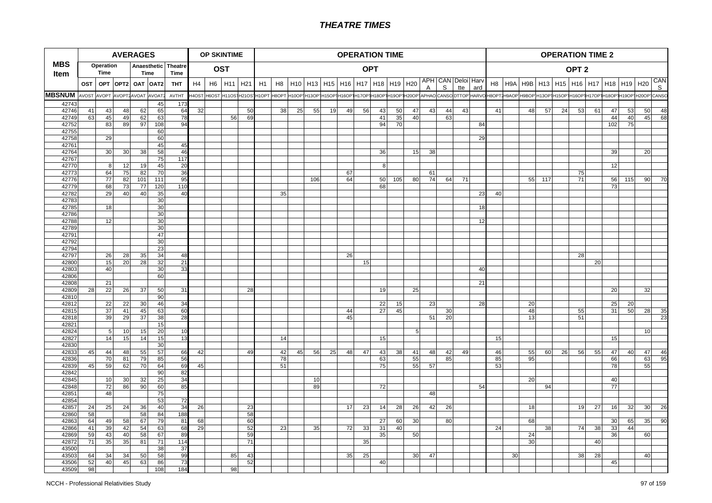|                           | <b>AVERAGES</b><br><b>OP SKINTIME</b><br>Operation<br>Anaesthetic<br><b>Theatre</b> |                       |          |                                |           |            |    |  |            |                 |    |    |                                                    |                 |    |    |            | <b>OPERATION TIME</b> |          |                 |                               |              |     |     |                 |    |    | <b>OPERATION TIME 2</b>                                                                                                                                                          |    |                  |    |           |          |                 |           |
|---------------------------|-------------------------------------------------------------------------------------|-----------------------|----------|--------------------------------|-----------|------------|----|--|------------|-----------------|----|----|----------------------------------------------------|-----------------|----|----|------------|-----------------------|----------|-----------------|-------------------------------|--------------|-----|-----|-----------------|----|----|----------------------------------------------------------------------------------------------------------------------------------------------------------------------------------|----|------------------|----|-----------|----------|-----------------|-----------|
| <b>MBS</b><br><b>Item</b> |                                                                                     | Time                  |          | <b>Time</b>                    |           | Time       |    |  | <b>OST</b> |                 |    |    |                                                    |                 |    |    | <b>OPT</b> |                       |          |                 |                               |              |     |     |                 |    |    |                                                                                                                                                                                  |    | OPT <sub>2</sub> |    |           |          |                 |           |
|                           | OST                                                                                 |                       |          | OPT OPT2 OAT OAT2              |           | <b>THT</b> | H4 |  | H6 H11 H21 |                 | H1 |    | H8   H10   H13   H15   H16   H17   H18   H19   H20 |                 |    |    |            |                       |          |                 | APH   CAN   Deloi   Harv<br>A | <sub>S</sub> |     |     |                 |    |    | H8   H9A   H9B   H13   H15   H16   H17   H18   H19   H20                                                                                                                         |    |                  |    |           |          |                 | CAN<br>S. |
| <b>MBSNUM</b>             |                                                                                     |                       |          | AVOST AVOPT AVOPTZAVOAT AVOATZ |           | AVTHT      |    |  |            |                 |    |    |                                                    |                 |    |    |            |                       |          |                 |                               |              | tte | ard |                 |    |    | HOST H6OST H11OSTH21OSTH1OPT H8OPT H10OPTH13OPTH15OPTH16OPTH17OPTH18OPTH19OPTH20OPTAPHAO CANSO DTTOPTHARVO H8OPT H9AOPTH9BOPTH13OPTH15OPTH15OPTH16OPTH17OPTH18OPTH2OPTH2OPTCANSC |    |                  |    |           |          |                 |           |
| 42743                     |                                                                                     |                       |          |                                | 45        | 173        |    |  |            |                 |    |    |                                                    |                 |    |    |            |                       |          |                 |                               |              |     |     |                 |    |    |                                                                                                                                                                                  |    |                  |    |           |          |                 |           |
| 42746                     | 41                                                                                  | 43                    | 48<br>49 | 62                             | 65        | 64         | 32 |  |            | 50<br>69        |    | 38 | 25                                                 | 55              | 19 | 49 | 56         | 43                    | 50       | 47              | 43                            | 44           | 43  |     | 41              |    | 48 | 57                                                                                                                                                                               | 24 | 53               | 61 | 47        | 53       | 50              | 48        |
| 42749<br>42752            | 63                                                                                  | 45<br>83              | 89       | 62<br>97                       | 63<br>108 | 78<br>94   |    |  | 56         |                 |    |    |                                                    |                 |    |    |            | 41<br>94              | 35<br>70 | 40              |                               | 63           |     | 84  |                 |    |    |                                                                                                                                                                                  |    |                  |    | 44<br>102 | 40<br>75 | 45              | 68        |
| 42755                     |                                                                                     |                       |          |                                | 60        |            |    |  |            |                 |    |    |                                                    |                 |    |    |            |                       |          |                 |                               |              |     |     |                 |    |    |                                                                                                                                                                                  |    |                  |    |           |          |                 |           |
| 42758                     |                                                                                     | 29                    |          |                                | 60        |            |    |  |            |                 |    |    |                                                    |                 |    |    |            |                       |          |                 |                               |              |     | 29  |                 |    |    |                                                                                                                                                                                  |    |                  |    |           |          |                 |           |
| 42761                     |                                                                                     |                       |          |                                | 45        | 45         |    |  |            |                 |    |    |                                                    |                 |    |    |            |                       |          |                 |                               |              |     |     |                 |    |    |                                                                                                                                                                                  |    |                  |    |           |          |                 |           |
| 42764<br>42767            |                                                                                     | 30 <sup>1</sup>       | 30       | 38                             | 58<br>75  | 46<br>117  |    |  |            |                 |    |    |                                                    |                 |    |    |            | 36                    |          | 15              | 38                            |              |     |     |                 |    |    |                                                                                                                                                                                  |    |                  |    | 39        |          | 20              |           |
| 42770                     |                                                                                     | 8                     | 12       | 19                             | 45        | 20         |    |  |            |                 |    |    |                                                    |                 |    |    |            | 8                     |          |                 |                               |              |     |     |                 |    |    |                                                                                                                                                                                  |    |                  |    | 12        |          |                 |           |
| 42773                     |                                                                                     | 64                    | 75       | 82                             | 70        | 36         |    |  |            |                 |    |    |                                                    |                 |    | 67 |            |                       |          |                 | 61                            |              |     |     |                 |    |    |                                                                                                                                                                                  |    | 75               |    |           |          |                 |           |
| 42776                     |                                                                                     | 77                    | 82       | 101                            | 111       | 95         |    |  |            |                 |    |    |                                                    | 106             |    | 64 |            | 50                    | 105      | 80              | 74                            | 64           | 71  |     |                 |    | 55 | 117                                                                                                                                                                              |    | 71               |    | 56        | 115      | 90              | -70       |
| 42779<br>42782            |                                                                                     | 68<br>29              | 73<br>40 | 77<br>40                       | 120<br>35 | 110<br>40  |    |  |            |                 |    | 35 |                                                    |                 |    |    |            | 68                    |          |                 |                               |              |     | 23  | 40              |    |    |                                                                                                                                                                                  |    |                  |    | 73        |          |                 |           |
| 42783                     |                                                                                     |                       |          |                                | 30        |            |    |  |            |                 |    |    |                                                    |                 |    |    |            |                       |          |                 |                               |              |     |     |                 |    |    |                                                                                                                                                                                  |    |                  |    |           |          |                 |           |
| 42785                     |                                                                                     | 18                    |          |                                | 30        |            |    |  |            |                 |    |    |                                                    |                 |    |    |            |                       |          |                 |                               |              |     | 18  |                 |    |    |                                                                                                                                                                                  |    |                  |    |           |          |                 |           |
| 42786                     |                                                                                     |                       |          |                                | 30        |            |    |  |            |                 |    |    |                                                    |                 |    |    |            |                       |          |                 |                               |              |     |     |                 |    |    |                                                                                                                                                                                  |    |                  |    |           |          |                 |           |
| 42788                     |                                                                                     | 12                    |          |                                | 30        |            |    |  |            |                 |    |    |                                                    |                 |    |    |            |                       |          |                 |                               |              |     | 12  |                 |    |    |                                                                                                                                                                                  |    |                  |    |           |          |                 |           |
| 42789<br>42791            |                                                                                     |                       |          |                                | 30<br>47  |            |    |  |            |                 |    |    |                                                    |                 |    |    |            |                       |          |                 |                               |              |     |     |                 |    |    |                                                                                                                                                                                  |    |                  |    |           |          |                 |           |
| 42792                     |                                                                                     |                       |          |                                | 30        |            |    |  |            |                 |    |    |                                                    |                 |    |    |            |                       |          |                 |                               |              |     |     |                 |    |    |                                                                                                                                                                                  |    |                  |    |           |          |                 |           |
| 42794                     |                                                                                     |                       |          |                                | 23        |            |    |  |            |                 |    |    |                                                    |                 |    |    |            |                       |          |                 |                               |              |     |     |                 |    |    |                                                                                                                                                                                  |    |                  |    |           |          |                 |           |
| 42797                     |                                                                                     | 26                    | 28       | 35                             | 34        | 48         |    |  |            |                 |    |    |                                                    |                 |    | 26 |            |                       |          |                 |                               |              |     |     |                 |    |    |                                                                                                                                                                                  |    | 28               |    |           |          |                 |           |
| 42800<br>42803            |                                                                                     | 15 <sup>1</sup><br>40 | 20       | 28                             | 32<br>30  | 21<br>33   |    |  |            |                 |    |    |                                                    |                 |    |    | 15         |                       |          |                 |                               |              |     | 40  |                 |    |    |                                                                                                                                                                                  |    |                  | 20 |           |          |                 |           |
| 42806                     |                                                                                     |                       |          |                                | 60        |            |    |  |            |                 |    |    |                                                    |                 |    |    |            |                       |          |                 |                               |              |     |     |                 |    |    |                                                                                                                                                                                  |    |                  |    |           |          |                 |           |
| 42808                     |                                                                                     | 21                    |          |                                |           |            |    |  |            |                 |    |    |                                                    |                 |    |    |            |                       |          |                 |                               |              |     | 21  |                 |    |    |                                                                                                                                                                                  |    |                  |    |           |          |                 |           |
| 42809                     | 28                                                                                  | 22                    | 26       | 37 <sup>l</sup>                | 50        | 31         |    |  |            | 28              |    |    |                                                    |                 |    |    |            | 19                    |          | 25              |                               |              |     |     |                 |    |    |                                                                                                                                                                                  |    |                  |    | 20        |          | 32              |           |
| 42810<br>42812            |                                                                                     | 22                    | 22       | 30 <sup>1</sup>                | 90<br>46  | 34         |    |  |            |                 |    |    |                                                    |                 |    |    |            | 22                    | 15       |                 | 23                            |              |     | 28  |                 |    | 20 |                                                                                                                                                                                  |    |                  |    | 25        | 20       |                 |           |
| 42815                     |                                                                                     | 37                    | 41       | 45                             | 63        | 60         |    |  |            |                 |    |    |                                                    |                 |    | 44 |            | 27                    | 45       |                 |                               | 30           |     |     |                 |    | 48 |                                                                                                                                                                                  |    | 55               |    | 31        | 50       | 28              | 35        |
| 42818                     |                                                                                     | 39                    | 29       | 37                             | 38        | 28         |    |  |            |                 |    |    |                                                    |                 |    | 45 |            |                       |          |                 | 51                            | 20           |     |     |                 |    | 13 |                                                                                                                                                                                  |    | 51               |    |           |          |                 | 23        |
| 42821                     |                                                                                     |                       |          |                                | 15        |            |    |  |            |                 |    |    |                                                    |                 |    |    |            |                       |          |                 |                               |              |     |     |                 |    |    |                                                                                                                                                                                  |    |                  |    |           |          |                 |           |
| 42824                     |                                                                                     | 5 <sub>5</sub>        | 10       | 15                             | 20        | 10         |    |  |            |                 |    |    |                                                    |                 |    |    |            |                       |          | $5\phantom{.0}$ |                               |              |     |     |                 |    |    |                                                                                                                                                                                  |    |                  |    |           |          | 10 <sup>1</sup> |           |
| 42827<br>42830            |                                                                                     | 14                    | 15       | 14                             | 15<br>30  | 13         |    |  |            |                 |    | 14 |                                                    |                 |    |    |            | 15                    |          |                 |                               |              |     |     | 15 <sup>1</sup> |    |    |                                                                                                                                                                                  |    |                  |    | 15        |          |                 |           |
| 42833                     | 45                                                                                  | 44                    | 48       | 55                             | 57        | 66         | 42 |  |            | 49              |    | 42 | 45                                                 | 56              | 25 | 48 | 47         | 43                    | 38       | 41              | 48                            | 42           | 49  |     | 46              |    | 55 | 60                                                                                                                                                                               | 26 | 56               | 55 | 47        | 40       | 47              | 46        |
| 42836                     |                                                                                     | 70                    | 81       | 79                             | 85        | 56         |    |  |            |                 |    | 78 |                                                    |                 |    |    |            | 63                    |          | 55              |                               | 85           |     |     | 85              |    | 95 |                                                                                                                                                                                  |    |                  |    | 66        |          | 63              | 95        |
| 42839                     | 45                                                                                  | 59                    | 62       | 70                             | 64        | 69         | 45 |  |            |                 |    | 51 |                                                    |                 |    |    |            | 75                    |          | 55              | 57                            |              |     |     | 53              |    |    |                                                                                                                                                                                  |    |                  |    | 78        |          | 55              |           |
| 42842<br>42845            |                                                                                     | 10 <sup>1</sup>       | 30       | 32                             | 90<br>25  | 82<br>34   |    |  |            |                 |    |    |                                                    | 10 <sup>1</sup> |    |    |            |                       |          |                 |                               |              |     |     |                 |    | 20 |                                                                                                                                                                                  |    |                  |    | 40        |          |                 |           |
| 42848                     |                                                                                     | 72                    | 86       | 90                             | 60        | 85         |    |  |            |                 |    |    |                                                    | 89              |    |    |            | 72                    |          |                 |                               |              |     | 54  |                 |    |    | 94                                                                                                                                                                               |    |                  |    | 77        |          |                 |           |
| 42851                     |                                                                                     | 48                    |          |                                | 75        |            |    |  |            |                 |    |    |                                                    |                 |    |    |            |                       |          |                 | 48                            |              |     |     |                 |    |    |                                                                                                                                                                                  |    |                  |    |           |          |                 |           |
| 42854                     |                                                                                     |                       |          |                                | 53        | 72         |    |  |            |                 |    |    |                                                    |                 |    |    |            |                       |          |                 |                               |              |     |     |                 |    |    |                                                                                                                                                                                  |    |                  |    |           |          |                 |           |
| 42857<br>42860            | 24<br>58                                                                            | 25                    | 24       | 36<br>58                       | 40<br>84  | 34<br>188  | 26 |  |            | 23<br>58        |    |    |                                                    |                 |    | 17 | 23         | 14                    | 28       | 26              | 42                            | 26           |     |     |                 |    | 18 |                                                                                                                                                                                  |    | 19               | 27 | 16        | 32       | 30 <sup>°</sup> | 26        |
| 42863                     | 64                                                                                  | 49                    | 58       | 67                             | 79        | 81         | 68 |  |            | 60              |    |    |                                                    |                 |    |    |            | 27                    | 60       | 30              |                               | 80           |     |     |                 |    | 68 |                                                                                                                                                                                  |    |                  |    | 30        | 65       | 35              | 90        |
| 42866                     | 41                                                                                  | 39                    | 42       | 54                             | 63        | 68         | 29 |  |            | 52              |    | 23 |                                                    | 35              |    | 72 | 33         | 31                    | 40       |                 |                               |              |     |     | 24              |    |    | 38 <sup>1</sup>                                                                                                                                                                  |    | 74               | 38 | 33        | 44       |                 |           |
| 42869                     | 59                                                                                  | 43                    | 40       | 58                             | 67        | 89         |    |  |            | 59              |    |    |                                                    |                 |    |    |            | 35                    |          | 50              |                               |              |     |     |                 |    | 24 |                                                                                                                                                                                  |    |                  |    | 36        |          | 60              |           |
| 42872                     | 71                                                                                  | 35                    | 35       | 81                             | 71        | 114        |    |  |            | $\overline{71}$ |    |    |                                                    |                 |    |    | 35         |                       |          |                 |                               |              |     |     |                 |    | 30 |                                                                                                                                                                                  |    |                  | 40 |           |          |                 |           |
| 43500<br>43503            | 64                                                                                  | 34                    | 34       | 50                             | 38<br>58  | 37<br>99   |    |  | 85         | 43              |    |    |                                                    |                 |    | 35 | 25         |                       |          | 30              | 47                            |              |     |     |                 | 30 |    |                                                                                                                                                                                  |    | 38               | 28 |           |          | 40              |           |
| 43506                     | 52                                                                                  | 40                    | 45       | 63                             | 86        | 73         |    |  |            | 52              |    |    |                                                    |                 |    |    |            | 40                    |          |                 |                               |              |     |     |                 |    |    |                                                                                                                                                                                  |    |                  |    | 45        |          |                 |           |
| 43509                     | 98                                                                                  |                       |          |                                | 108       | 184        |    |  | 98         |                 |    |    |                                                    |                 |    |    |            |                       |          |                 |                               |              |     |     |                 |    |    |                                                                                                                                                                                  |    |                  |    |           |          |                 |           |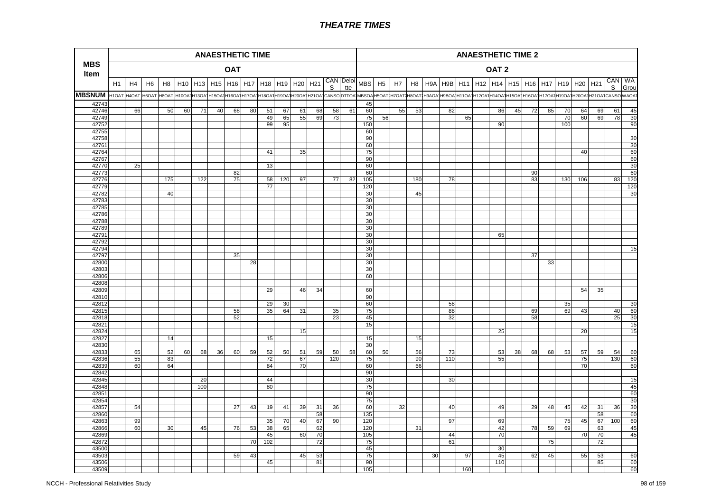|                           |    | <b>ANAESTHETIC TIME</b> |                                                                                       |                 |    |     |    |    |    |          |     |    |    |     |     |            |                |    |                |    |     |     | <b>ANAESTHETIC TIME 2</b>                                       |    |          |    |     |     |    |             |            |
|---------------------------|----|-------------------------|---------------------------------------------------------------------------------------|-----------------|----|-----|----|----|----|----------|-----|----|----|-----|-----|------------|----------------|----|----------------|----|-----|-----|-----------------------------------------------------------------|----|----------|----|-----|-----|----|-------------|------------|
| <b>MBS</b><br><b>Item</b> |    |                         | <b>OAT</b><br><b>CAN</b> Deloi<br>H10   H13   H15   H16   H17   H18   H19   H20   H21 |                 |    |     |    |    |    |          |     |    |    |     |     |            |                |    |                |    |     |     | OAT <sub>2</sub>                                                |    |          |    |     |     |    |             |            |
|                           | H1 | H4                      | H <sub>6</sub>                                                                        | H <sub>8</sub>  |    |     |    |    |    |          |     |    |    | S   | tte | <b>MBS</b> | H <sub>5</sub> | H7 | H <sub>8</sub> |    |     |     | H9A   H9B   H11   H12   H14   H15   H16   H17   H19   H20   H21 |    |          |    |     |     |    | CAN WA<br>S | Grou       |
|                           |    |                         |                                                                                       |                 |    |     |    |    |    |          |     |    |    |     |     |            |                |    |                |    |     |     |                                                                 |    |          |    |     |     |    |             |            |
| 42743                     |    |                         |                                                                                       |                 |    |     |    |    |    |          |     |    |    |     |     | 45         |                |    |                |    |     |     |                                                                 |    |          |    |     |     |    |             |            |
| 42746                     |    | 66                      |                                                                                       | 50              | 60 | 71  | 40 | 68 | 80 | 51       | 67  | 61 | 68 | 58  | 61  | 60         |                | 55 | 53             |    | 82  |     | 86                                                              | 45 | 72       | 85 | 70  | 64  | 69 | 61          | 45         |
| 42749                     |    |                         |                                                                                       |                 |    |     |    |    |    | 49       | 65  | 55 | 69 | 73  |     | 75         | 56             |    |                |    |     | 65  |                                                                 |    |          |    | 70  | 60  | 69 | 78          | 30         |
| 42752<br>42755            |    |                         |                                                                                       |                 |    |     |    |    |    | 99       | 95  |    |    |     |     | 150<br>60  |                |    |                |    |     |     | 90                                                              |    |          |    | 100 |     |    |             | 90         |
| 42758                     |    |                         |                                                                                       |                 |    |     |    |    |    |          |     |    |    |     |     | 90         |                |    |                |    |     |     |                                                                 |    |          |    |     |     |    |             | 30         |
| 42761                     |    |                         |                                                                                       |                 |    |     |    |    |    |          |     |    |    |     |     | 60         |                |    |                |    |     |     |                                                                 |    |          |    |     |     |    |             | 30         |
| 42764                     |    |                         |                                                                                       |                 |    |     |    |    |    | 41       |     | 35 |    |     |     | 75         |                |    |                |    |     |     |                                                                 |    |          |    |     | 40  |    |             | 60         |
| 42767                     |    |                         |                                                                                       |                 |    |     |    |    |    |          |     |    |    |     |     | 90         |                |    |                |    |     |     |                                                                 |    |          |    |     |     |    |             | 60         |
| 42770                     |    | 25                      |                                                                                       |                 |    |     |    |    |    | 13       |     |    |    |     |     | 60         |                |    |                |    |     |     |                                                                 |    |          |    |     |     |    |             | 30         |
| 42773                     |    |                         |                                                                                       |                 |    |     |    | 82 |    |          |     |    |    |     |     | 60         |                |    |                |    | 78  |     |                                                                 |    | 90<br>83 |    |     |     |    |             | 60         |
| 42776<br>42779            |    |                         |                                                                                       | 175             |    | 122 |    | 75 |    | 58<br>77 | 120 | 97 |    | 77  | 82  | 105<br>120 |                |    | 180            |    |     |     |                                                                 |    |          |    | 130 | 106 |    | 83          | 120<br>120 |
| 42782                     |    |                         |                                                                                       | 40              |    |     |    |    |    |          |     |    |    |     |     | 30         |                |    | 45             |    |     |     |                                                                 |    |          |    |     |     |    |             | 30         |
| 42783                     |    |                         |                                                                                       |                 |    |     |    |    |    |          |     |    |    |     |     | 30         |                |    |                |    |     |     |                                                                 |    |          |    |     |     |    |             |            |
| 42785                     |    |                         |                                                                                       |                 |    |     |    |    |    |          |     |    |    |     |     | 30         |                |    |                |    |     |     |                                                                 |    |          |    |     |     |    |             |            |
| 42786                     |    |                         |                                                                                       |                 |    |     |    |    |    |          |     |    |    |     |     | 30         |                |    |                |    |     |     |                                                                 |    |          |    |     |     |    |             |            |
| 42788                     |    |                         |                                                                                       |                 |    |     |    |    |    |          |     |    |    |     |     | 30         |                |    |                |    |     |     |                                                                 |    |          |    |     |     |    |             |            |
| 42789<br>42791            |    |                         |                                                                                       |                 |    |     |    |    |    |          |     |    |    |     |     | 30<br>30   |                |    |                |    |     |     | 65                                                              |    |          |    |     |     |    |             |            |
| 42792                     |    |                         |                                                                                       |                 |    |     |    |    |    |          |     |    |    |     |     | 30         |                |    |                |    |     |     |                                                                 |    |          |    |     |     |    |             |            |
| 42794                     |    |                         |                                                                                       |                 |    |     |    |    |    |          |     |    |    |     |     | 30         |                |    |                |    |     |     |                                                                 |    |          |    |     |     |    |             | 15         |
| 42797                     |    |                         |                                                                                       |                 |    |     |    | 35 |    |          |     |    |    |     |     | 30         |                |    |                |    |     |     |                                                                 |    | 37       |    |     |     |    |             |            |
| 42800                     |    |                         |                                                                                       |                 |    |     |    |    | 28 |          |     |    |    |     |     | 30         |                |    |                |    |     |     |                                                                 |    |          | 33 |     |     |    |             |            |
| 42803                     |    |                         |                                                                                       |                 |    |     |    |    |    |          |     |    |    |     |     | 30         |                |    |                |    |     |     |                                                                 |    |          |    |     |     |    |             |            |
| 42806                     |    |                         |                                                                                       |                 |    |     |    |    |    |          |     |    |    |     |     | 60         |                |    |                |    |     |     |                                                                 |    |          |    |     |     |    |             |            |
| 42808                     |    |                         |                                                                                       |                 |    |     |    |    |    |          |     |    |    |     |     |            |                |    |                |    |     |     |                                                                 |    |          |    |     |     |    |             |            |
| 42809<br>42810            |    |                         |                                                                                       |                 |    |     |    |    |    | 29       |     | 46 | 34 |     |     | 60<br>90   |                |    |                |    |     |     |                                                                 |    |          |    |     | 54  | 35 |             |            |
| 42812                     |    |                         |                                                                                       |                 |    |     |    |    |    | 29       | 30  |    |    |     |     | 60         |                |    |                |    | 58  |     |                                                                 |    |          |    | 35  |     |    |             | 30         |
| 42815                     |    |                         |                                                                                       |                 |    |     |    | 58 |    | 35       | 64  | 31 |    | 35  |     | 75         |                |    |                |    | 88  |     |                                                                 |    | 69       |    | 69  | 43  |    | 40          | 60         |
| 42818                     |    |                         |                                                                                       |                 |    |     |    | 52 |    |          |     |    |    | 23  |     | 45         |                |    |                |    | 32  |     |                                                                 |    | 58       |    |     |     |    | 25          | 30         |
| 42821                     |    |                         |                                                                                       |                 |    |     |    |    |    |          |     |    |    |     |     | 15         |                |    |                |    |     |     |                                                                 |    |          |    |     |     |    |             | 15         |
| 42824                     |    |                         |                                                                                       |                 |    |     |    |    |    |          |     | 15 |    |     |     |            |                |    |                |    |     |     | 25                                                              |    |          |    |     | 20  |    |             | 15         |
| 42827<br>42830            |    |                         |                                                                                       | 14              |    |     |    |    |    | 15       |     |    |    |     |     | 15<br>30   |                |    | 15             |    |     |     |                                                                 |    |          |    |     |     |    |             |            |
| 42833                     |    | 65                      |                                                                                       | 52              | 60 | 68  | 36 | 60 | 59 | 52       | 50  | 51 | 59 | 50  | 58  | 60         | 50             |    | 56             |    | 73  |     | 53                                                              | 38 | 68       | 68 | 53  | 57  | 59 | 54          | 60         |
| 42836                     |    | 55                      |                                                                                       | 83              |    |     |    |    |    | 72       |     | 67 |    | 120 |     | 75         |                |    | 90             |    | 110 |     | 55                                                              |    |          |    |     | 75  |    | 130         | 60         |
| 42839                     |    | 60                      |                                                                                       | 64              |    |     |    |    |    | 84       |     | 70 |    |     |     | 60         |                |    | 66             |    |     |     |                                                                 |    |          |    |     | 70  |    |             | 60         |
| 42842                     |    |                         |                                                                                       |                 |    |     |    |    |    |          |     |    |    |     |     | 90         |                |    |                |    |     |     |                                                                 |    |          |    |     |     |    |             |            |
| 42845                     |    |                         |                                                                                       |                 |    | 20  |    |    |    | 44       |     |    |    |     |     | 30         |                |    |                |    | 30  |     |                                                                 |    |          |    |     |     |    |             | 15         |
| 42848                     |    |                         |                                                                                       |                 |    | 100 |    |    |    | 80       |     |    |    |     |     | 75         |                |    |                |    |     |     |                                                                 |    |          |    |     |     |    |             | 45         |
| 42851<br>42854            |    |                         |                                                                                       |                 |    |     |    |    |    |          |     |    |    |     |     | 90<br>75   |                |    |                |    |     |     |                                                                 |    |          |    |     |     |    |             | 60<br>30   |
| 42857                     |    | 54                      |                                                                                       |                 |    |     |    | 27 | 43 | 19       | 41  | 39 | 31 | 36  |     | 60         |                | 32 |                |    | 40  |     | 49                                                              |    | 29       | 48 | 45  | 42  | 31 | 36          | 30         |
| 42860                     |    |                         |                                                                                       |                 |    |     |    |    |    |          |     |    | 58 |     |     | 135        |                |    |                |    |     |     |                                                                 |    |          |    |     |     | 58 |             | 60         |
| 42863                     |    | 99                      |                                                                                       |                 |    |     |    |    |    | 35       | 70  | 40 | 67 | 90  |     | 120        |                |    |                |    | 97  |     | 69                                                              |    |          |    | 75  | 45  | 67 | 100         | 60         |
| 42866                     |    | 60                      |                                                                                       | 30 <sup>°</sup> |    | 45  |    | 76 | 53 | 38       | 65  |    | 62 |     |     | 120        |                |    | 31             |    |     |     | 42                                                              |    | 78       | 59 | 69  |     | 63 |             | 45         |
| 42869                     |    |                         |                                                                                       |                 |    |     |    |    |    | 45       |     | 60 | 70 |     |     | 105        |                |    |                |    | 44  |     | 70                                                              |    |          |    |     | 70  | 70 |             | 45         |
| 42872                     |    |                         |                                                                                       |                 |    |     |    |    | 70 | 102      |     |    | 72 |     |     | 75         |                |    |                |    | 61  |     |                                                                 |    |          | 75 |     |     | 72 |             |            |
| 43500<br>43503            |    |                         |                                                                                       |                 |    |     |    | 59 | 43 |          |     | 45 | 53 |     |     | 45<br>75   |                |    |                | 30 |     | 97  | 30<br>45                                                        |    | 62       | 45 |     | 55  | 53 |             | 60         |
| 43506                     |    |                         |                                                                                       |                 |    |     |    |    |    | 45       |     |    | 81 |     |     | 90         |                |    |                |    |     |     | 110                                                             |    |          |    |     |     | 85 |             | 60         |
| 43509                     |    |                         |                                                                                       |                 |    |     |    |    |    |          |     |    |    |     |     | 105        |                |    |                |    |     | 160 |                                                                 |    |          |    |     |     |    |             | 60         |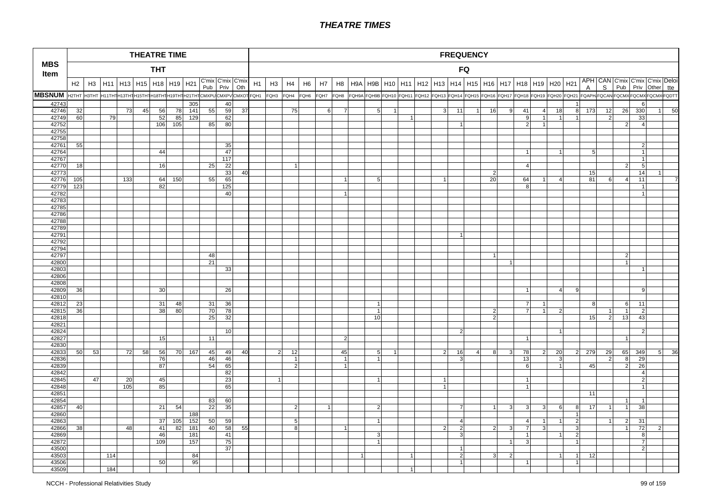|                                                                                                                                                                                                                                |     |    |     |                                        |    | <b>THEATRE TIME</b> |     |        |          |                   |     |    |                |                 |                |                |                    |                |                      |                                                                                   |   |                |                      | <b>FREQUENCY</b> |                |                |                |                |                  |                |                |                |                |                                 |                 |
|--------------------------------------------------------------------------------------------------------------------------------------------------------------------------------------------------------------------------------|-----|----|-----|----------------------------------------|----|---------------------|-----|--------|----------|-------------------|-----|----|----------------|-----------------|----------------|----------------|--------------------|----------------|----------------------|-----------------------------------------------------------------------------------|---|----------------|----------------------|------------------|----------------|----------------|----------------|----------------|------------------|----------------|----------------|----------------|----------------|---------------------------------|-----------------|
| <b>MBS</b><br>Item                                                                                                                                                                                                             |     |    |     |                                        |    | <b>THT</b>          |     |        |          |                   |     |    |                |                 |                |                |                    |                |                      |                                                                                   |   |                |                      | <b>FQ</b>        |                |                |                |                |                  |                |                |                |                |                                 |                 |
|                                                                                                                                                                                                                                | H2  |    |     | H3   H11   H13   H15   H18   H19   H21 |    |                     |     |        |          | C'mix C'mix C'mix |     | H1 | H3             | H <sub>4</sub>  | H <sub>6</sub> | H <sub>7</sub> | H8                 |                |                      | H9A   H9B   H10   H11   H12   H13   H14   H15   H16   H17   H18   H19   H20   H21 |   |                |                      |                  |                |                |                |                |                  |                |                |                |                | APH CAN C'mix C'mix C'mix Deloi |                 |
| MBSNUM  H2THT  H3THT  H11THT H13THT H18THT H18THT H18THT H21THT CMXPU CMXPV CMXOT FQH1  FQH3  FQH4  FQH6  FQH7  FQH8  FQH98  FQH19  FQH19  FQH19  FQH19  FQH18  FQH19  FQH19  FQH19  FQH21  FQAPH FQCMX FQCMX FQCMX FQCMX FQCT |     |    |     |                                        |    |                     |     |        | Pub      | Priv              | Oth |    |                |                 |                |                |                    |                |                      |                                                                                   |   |                |                      |                  |                |                |                |                |                  |                | $\overline{A}$ | S.             |                | Pub Priv Other tte              |                 |
| 42743                                                                                                                                                                                                                          |     |    |     |                                        |    |                     |     | 305    |          | 40                |     |    |                |                 |                |                |                    |                |                      |                                                                                   |   |                |                      |                  |                |                |                |                |                  | 1              |                |                |                | 6                               |                 |
| 42746                                                                                                                                                                                                                          | 32  |    |     | 73                                     | 45 | 56                  | 78  | 141    | 55       | 59                | 37  |    |                | 75              |                | 6              | $\overline{7}$     |                |                      | $5\overline{)}$<br>$\mathbf{1}$                                                   |   | 3              | 11                   | 1                | 16             | 9              | 41             | $\vert$ 4      | 18               |                | 8 173          | 12             | 26             | 330                             | 50<br>1         |
| 42749                                                                                                                                                                                                                          | 60  |    | 79  |                                        |    | 52                  | 85  | 129    |          | 62                |     |    |                |                 |                |                |                    |                |                      |                                                                                   | 1 |                |                      |                  |                |                | 9              | 1              | 1                | 1              |                | $\vert$ 2      |                | 33                              |                 |
| 42752                                                                                                                                                                                                                          |     |    |     |                                        |    | 106                 | 105 |        | 85       | 80                |     |    |                |                 |                |                |                    |                |                      |                                                                                   |   |                | $\overline{1}$       |                  |                |                | $\overline{2}$ | $\overline{1}$ |                  |                |                |                | $\overline{2}$ | 4                               |                 |
| 42755<br>42758                                                                                                                                                                                                                 |     |    |     |                                        |    |                     |     |        |          |                   |     |    |                |                 |                |                |                    |                |                      |                                                                                   |   |                |                      |                  |                |                |                |                |                  |                |                |                |                |                                 |                 |
| 42761                                                                                                                                                                                                                          | 55  |    |     |                                        |    |                     |     |        |          | 35                |     |    |                |                 |                |                |                    |                |                      |                                                                                   |   |                |                      |                  |                |                |                |                |                  |                |                |                |                | $\overline{2}$                  |                 |
| 42764                                                                                                                                                                                                                          |     |    |     |                                        |    | 44                  |     |        |          | 47                |     |    |                |                 |                |                |                    |                |                      |                                                                                   |   |                |                      |                  |                |                | 1              |                | $\mathbf{1}$     |                | 5 <sub>1</sub> |                |                | $\overline{1}$                  |                 |
| 42767                                                                                                                                                                                                                          |     |    |     |                                        |    |                     |     |        |          | 117               |     |    |                |                 |                |                |                    |                |                      |                                                                                   |   |                |                      |                  |                |                |                |                |                  |                |                |                |                | 1                               |                 |
| 42770                                                                                                                                                                                                                          | 18  |    |     |                                        |    | 16                  |     |        | 25       | 22                |     |    |                | 1               |                |                |                    |                |                      |                                                                                   |   |                |                      |                  |                |                | $\overline{4}$ |                |                  |                |                |                | $\overline{2}$ | $\sqrt{5}$                      |                 |
| 42773                                                                                                                                                                                                                          |     |    |     |                                        |    |                     |     |        |          | 33                | 40  |    |                |                 |                |                |                    |                |                      |                                                                                   |   |                |                      |                  | $\overline{2}$ |                |                |                |                  |                | 15             |                |                | 14                              | 1               |
| 42776                                                                                                                                                                                                                          | 105 |    |     | 133                                    |    | 64                  | 150 |        | 55       | 65                |     |    |                |                 |                |                |                    | 11             |                      | $5\overline{5}$                                                                   |   | $\overline{1}$ |                      |                  | 20             |                | 64             | 1              | $\overline{4}$   |                | 81             | 6              | $\overline{4}$ | 11                              | -7              |
| 42779<br>42782                                                                                                                                                                                                                 | 123 |    |     |                                        |    | 82                  |     |        |          | 125<br>40         |     |    |                |                 |                |                |                    | 1              |                      |                                                                                   |   |                |                      |                  |                |                | $\overline{8}$ |                |                  |                |                |                |                | 1<br>$\mathbf{1}$               |                 |
| 42783                                                                                                                                                                                                                          |     |    |     |                                        |    |                     |     |        |          |                   |     |    |                |                 |                |                |                    |                |                      |                                                                                   |   |                |                      |                  |                |                |                |                |                  |                |                |                |                |                                 |                 |
| 42785                                                                                                                                                                                                                          |     |    |     |                                        |    |                     |     |        |          |                   |     |    |                |                 |                |                |                    |                |                      |                                                                                   |   |                |                      |                  |                |                |                |                |                  |                |                |                |                |                                 |                 |
| 42786                                                                                                                                                                                                                          |     |    |     |                                        |    |                     |     |        |          |                   |     |    |                |                 |                |                |                    |                |                      |                                                                                   |   |                |                      |                  |                |                |                |                |                  |                |                |                |                |                                 |                 |
| 42788                                                                                                                                                                                                                          |     |    |     |                                        |    |                     |     |        |          |                   |     |    |                |                 |                |                |                    |                |                      |                                                                                   |   |                |                      |                  |                |                |                |                |                  |                |                |                |                |                                 |                 |
| 42789                                                                                                                                                                                                                          |     |    |     |                                        |    |                     |     |        |          |                   |     |    |                |                 |                |                |                    |                |                      |                                                                                   |   |                |                      |                  |                |                |                |                |                  |                |                |                |                |                                 |                 |
| 42791                                                                                                                                                                                                                          |     |    |     |                                        |    |                     |     |        |          |                   |     |    |                |                 |                |                |                    |                |                      |                                                                                   |   |                | $\blacktriangleleft$ |                  |                |                |                |                |                  |                |                |                |                |                                 |                 |
| 42792<br>42794                                                                                                                                                                                                                 |     |    |     |                                        |    |                     |     |        |          |                   |     |    |                |                 |                |                |                    |                |                      |                                                                                   |   |                |                      |                  |                |                |                |                |                  |                |                |                |                |                                 |                 |
| 42797                                                                                                                                                                                                                          |     |    |     |                                        |    |                     |     |        | 48       |                   |     |    |                |                 |                |                |                    |                |                      |                                                                                   |   |                |                      |                  | $\overline{1}$ |                |                |                |                  |                |                |                | $\overline{2}$ |                                 |                 |
| 42800                                                                                                                                                                                                                          |     |    |     |                                        |    |                     |     |        | 21       |                   |     |    |                |                 |                |                |                    |                |                      |                                                                                   |   |                |                      |                  |                | 1              |                |                |                  |                |                |                | $\overline{1}$ |                                 |                 |
| 42803                                                                                                                                                                                                                          |     |    |     |                                        |    |                     |     |        |          | 33                |     |    |                |                 |                |                |                    |                |                      |                                                                                   |   |                |                      |                  |                |                |                |                |                  |                |                |                |                | $\mathbf{1}$                    |                 |
| 42806                                                                                                                                                                                                                          |     |    |     |                                        |    |                     |     |        |          |                   |     |    |                |                 |                |                |                    |                |                      |                                                                                   |   |                |                      |                  |                |                |                |                |                  |                |                |                |                |                                 |                 |
| 42808                                                                                                                                                                                                                          |     |    |     |                                        |    |                     |     |        |          |                   |     |    |                |                 |                |                |                    |                |                      |                                                                                   |   |                |                      |                  |                |                |                |                |                  |                |                |                |                |                                 |                 |
| 42809                                                                                                                                                                                                                          | 36  |    |     |                                        |    | 30                  |     |        |          | 26                |     |    |                |                 |                |                |                    |                |                      |                                                                                   |   |                |                      |                  |                |                | 1              |                | 4 <sup>1</sup>   | 9              |                |                |                | -91                             |                 |
| 42810<br>42812                                                                                                                                                                                                                 | 23  |    |     |                                        |    | 31                  | 48  |        | 31       | 36                |     |    |                |                 |                |                |                    |                | 1                    |                                                                                   |   |                |                      |                  |                |                | $\overline{7}$ | -1             |                  |                | 8 <sup>1</sup> |                | 6              | 11                              |                 |
| 42815                                                                                                                                                                                                                          | 36  |    |     |                                        |    | 38                  | 80  |        | 70       | 78                |     |    |                |                 |                |                |                    |                |                      | 1                                                                                 |   |                |                      |                  | 2              |                | $\overline{7}$ | 1              | 2                |                |                | $\mathbf{1}$   | $\overline{1}$ | $\overline{2}$                  |                 |
| 42818                                                                                                                                                                                                                          |     |    |     |                                        |    |                     |     |        | 25       | 32                |     |    |                |                 |                |                |                    |                | 10                   |                                                                                   |   |                |                      |                  | $\overline{2}$ |                |                |                |                  |                | 15             | $\overline{2}$ | 13             | 43                              |                 |
| 42821                                                                                                                                                                                                                          |     |    |     |                                        |    |                     |     |        |          |                   |     |    |                |                 |                |                |                    |                |                      |                                                                                   |   |                |                      |                  |                |                |                |                |                  |                |                |                |                |                                 |                 |
| 42824                                                                                                                                                                                                                          |     |    |     |                                        |    |                     |     |        |          | 10 <sup>1</sup>   |     |    |                |                 |                |                |                    |                |                      |                                                                                   |   |                | $\overline{2}$       |                  |                |                |                |                | 11               |                |                |                |                | $\overline{2}$                  |                 |
| 42827                                                                                                                                                                                                                          |     |    |     |                                        |    | 15                  |     |        | 11       |                   |     |    |                |                 |                |                |                    | $\overline{2}$ |                      |                                                                                   |   |                |                      |                  |                |                | $\vert$ 1      |                |                  |                |                |                | $\overline{1}$ |                                 |                 |
| 42830                                                                                                                                                                                                                          |     |    |     |                                        |    |                     |     |        |          |                   |     |    |                |                 |                |                |                    |                |                      |                                                                                   |   |                |                      |                  |                |                |                |                |                  |                |                |                |                |                                 |                 |
| 42833<br>42836                                                                                                                                                                                                                 | 50  | 53 |     | 72                                     | 58 | 56<br>76            |     | 70 167 | 45<br>46 | 49<br>46          | 40  |    | 2              | 12<br>$\vert$ 1 |                |                | 45<br>$\mathbf{1}$ |                |                      | 5 <sub>5</sub><br>1 <sup>1</sup>                                                  |   | $\overline{2}$ | 16<br>$\overline{3}$ | $\vert 4 \vert$  | 8              | 3 <sup>1</sup> | 78<br>13       | 2              | 20<br>3          |                | 2 279          | 29<br>2        | 65<br>8        | 349<br>29                       | 36<br>$5 \vert$ |
| 42839                                                                                                                                                                                                                          |     |    |     |                                        |    | 87                  |     |        | 54       | 65                |     |    |                | $\overline{2}$  |                |                |                    | 1              |                      |                                                                                   |   |                |                      |                  |                |                | $6 \mid$       |                | 1                |                | 45             |                | $\overline{2}$ | 26                              |                 |
| 42842                                                                                                                                                                                                                          |     |    |     |                                        |    |                     |     |        |          | 82                |     |    |                |                 |                |                |                    |                |                      |                                                                                   |   |                |                      |                  |                |                |                |                |                  |                |                |                |                | $\overline{4}$                  |                 |
| 42845                                                                                                                                                                                                                          |     | 47 |     | 20                                     |    | 45                  |     |        |          | 23                |     |    | $\overline{1}$ |                 |                |                |                    |                | $\blacktriangleleft$ |                                                                                   |   | $\overline{1}$ |                      |                  |                |                | $\overline{1}$ |                |                  |                |                |                |                | $\overline{2}$                  |                 |
| 42848                                                                                                                                                                                                                          |     |    |     | 105                                    |    | 85                  |     |        |          | 65                |     |    |                |                 |                |                |                    |                |                      |                                                                                   |   | $\overline{1}$ |                      |                  |                |                | $\overline{1}$ |                |                  |                |                |                |                | 1                               |                 |
| 42851                                                                                                                                                                                                                          |     |    |     |                                        |    |                     |     |        |          |                   |     |    |                |                 |                |                |                    |                |                      |                                                                                   |   |                |                      |                  |                |                |                |                |                  |                | 11             |                |                |                                 |                 |
| 42854                                                                                                                                                                                                                          |     |    |     |                                        |    |                     |     |        | 83       | 60                |     |    |                |                 |                |                |                    |                |                      |                                                                                   |   |                |                      |                  |                |                |                |                |                  |                |                |                | -1             | $\mathbf{1}$                    |                 |
| 42857<br>42860                                                                                                                                                                                                                 | 40  |    |     |                                        |    | 21                  | 54  | 188    | 22       | 35                |     |    |                | $\overline{2}$  |                | $\mathbf{1}$   |                    |                |                      | 2                                                                                 |   |                | $\overline{7}$       |                  | 1              | $\mathbf{3}$   | 3              | $\mathbf{3}$   | $6 \overline{6}$ | 8<br>1         | 17             | $\mathbf{1}$   | $\overline{1}$ | 38                              |                 |
| 42863                                                                                                                                                                                                                          |     |    |     |                                        |    | 37                  | 105 | 152    | 50       | 59                |     |    |                | 5 <sub>l</sub>  |                |                |                    |                |                      | $\vert$ 1                                                                         |   |                | $\overline{4}$       |                  |                |                | $\overline{4}$ | 1              | 1                | 2              |                | 1              | $\overline{2}$ | 31                              |                 |
| 42866                                                                                                                                                                                                                          | 38  |    |     | 48                                     |    | 41                  | 82  | 181    | 40       | 58                | 55  |    |                | 8 <sup>1</sup>  |                |                | $\vert$ 1          |                |                      |                                                                                   |   | $\overline{2}$ | $\overline{2}$       |                  | 2 <sup>1</sup> | $\mathbf{3}$   | $\overline{7}$ | 3              |                  | 3 <sup>1</sup> |                |                | $\overline{1}$ | 72                              | $\overline{2}$  |
| 42869                                                                                                                                                                                                                          |     |    |     |                                        |    | 46                  |     | 181    |          | 41                |     |    |                |                 |                |                |                    |                |                      | 3 <sup>l</sup>                                                                    |   |                | $\overline{3}$       |                  |                |                | $\overline{1}$ |                | 11               | $\overline{2}$ |                |                |                | 8                               |                 |
| 42872                                                                                                                                                                                                                          |     |    |     |                                        |    | 109                 |     | 157    |          | 75                |     |    |                |                 |                |                |                    |                |                      | $\mathbf{1}$                                                                      |   |                |                      |                  |                |                | $\overline{3}$ |                |                  | 1              |                |                |                | $\overline{7}$                  |                 |
| 43500                                                                                                                                                                                                                          |     |    |     |                                        |    |                     |     |        |          | 37                |     |    |                |                 |                |                |                    |                |                      |                                                                                   |   |                | -1                   |                  |                |                |                |                |                  |                |                |                |                | 2                               |                 |
| 43503                                                                                                                                                                                                                          |     |    | 114 |                                        |    |                     |     | 84     |          |                   |     |    |                |                 |                |                |                    | 1              |                      |                                                                                   | 1 |                | $\overline{2}$       |                  | $\mathbf{3}$   | $\overline{2}$ |                |                | 1 <sup>1</sup>   | 1              | 12             |                |                |                                 |                 |
| 43506                                                                                                                                                                                                                          |     |    |     |                                        |    | 50                  |     | 95     |          |                   |     |    |                |                 |                |                |                    |                |                      |                                                                                   |   |                | $\mathbf{1}$         |                  |                |                | 1              |                |                  | 1 <sup>1</sup> |                |                |                |                                 |                 |
| 43509                                                                                                                                                                                                                          |     |    | 184 |                                        |    |                     |     |        |          |                   |     |    |                |                 |                |                |                    |                |                      |                                                                                   | 1 |                |                      |                  |                |                |                |                |                  |                |                |                |                |                                 |                 |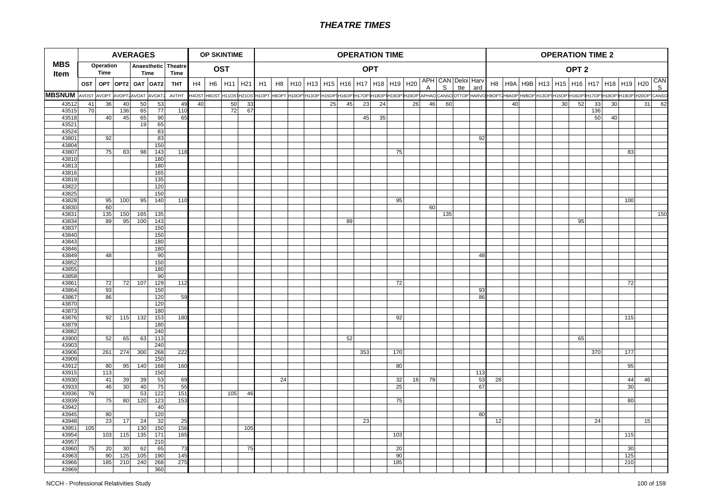|                           |     | <b>AVERAGES</b><br>Operation<br>Anaesthetic Theatre<br><b>Time</b> |                 |                                |            |            |    |  | OP SKINTIME |     |    |    |  |            |     |    | <b>OPERATION TIME</b>                              |    |              |     |     |                           |    |                  | <b>OPERATION TIME 2</b>                                                                                                                                                                 |    |     |    |     |    |           |
|---------------------------|-----|--------------------------------------------------------------------|-----------------|--------------------------------|------------|------------|----|--|-------------|-----|----|----|--|------------|-----|----|----------------------------------------------------|----|--------------|-----|-----|---------------------------|----|------------------|-----------------------------------------------------------------------------------------------------------------------------------------------------------------------------------------|----|-----|----|-----|----|-----------|
| <b>MBS</b><br><b>Item</b> |     | <b>Time</b>                                                        | Time            |                                |            | <b>OST</b> |    |  |             |     |    |    |  | <b>OPT</b> |     |    |                                                    |    |              |     |     |                           |    | OPT <sub>2</sub> |                                                                                                                                                                                         |    |     |    |     |    |           |
|                           | OST |                                                                    |                 | OPT OPT2 OAT OAT2              | <b>THT</b> |            | H4 |  | H6 H11 H21  |     | H1 |    |  |            |     |    | H8   H10   H13   H15   H16   H17   H18   H19   H20 |    | $\mathsf{A}$ | S   | tte | APH CAN Deloi Harv<br>ard |    |                  | H8 H9A H9B H13 H15 H16 H17 H18 H19 H20                                                                                                                                                  |    |     |    |     |    | CAN<br>S. |
| <b>MBSNUM</b>             |     |                                                                    |                 | AVOST AVOPT AVOPTZAVOAT AVOATZ | AVTHT      |            |    |  |             |     |    |    |  |            |     |    |                                                    |    |              |     |     |                           |    |                  | 440ST H6OST H11OS1H21OS H1OPT H8OPT H10OP1H13OP1H16OP1H16OP1H17OP1H18OP1H19OP1H2OOP1APHAO CANSO DTTOP HARVO H8OPT1H9AOP H9AOP H9OP1H13OP1H16OP1H17OP1H18OP1H19OP1H19OP1H2OP1H19OP1H2OP1 |    |     |    |     |    |           |
| 43512                     | 41  | 36                                                                 | 40              | 50                             | 53         | 49         | 40 |  | 50          | 33  |    |    |  | 25<br>45   | 23  | 24 |                                                    | 26 | 46           | 60  |     |                           |    | 40               | 30                                                                                                                                                                                      | 52 | 33  | 30 |     | 31 | -62       |
| 43515                     | 70  |                                                                    | 136             | 65                             | 77         | 110        |    |  | 72          | 67  |    |    |  |            |     |    |                                                    |    |              |     |     |                           |    |                  |                                                                                                                                                                                         |    | 136 |    |     |    |           |
| 43518<br>43521            |     | 40                                                                 | 45              | 65<br>19                       | 90<br>65   | 65         |    |  |             |     |    |    |  |            | 45  | 35 |                                                    |    |              |     |     |                           |    |                  |                                                                                                                                                                                         |    | 50  | 40 |     |    |           |
| 43524                     |     |                                                                    |                 |                                | 83         |            |    |  |             |     |    |    |  |            |     |    |                                                    |    |              |     |     |                           |    |                  |                                                                                                                                                                                         |    |     |    |     |    |           |
| 43801                     |     | 92                                                                 |                 |                                | 83         |            |    |  |             |     |    |    |  |            |     |    |                                                    |    |              |     |     | 92                        |    |                  |                                                                                                                                                                                         |    |     |    |     |    |           |
| 43804                     |     |                                                                    |                 |                                | 150        |            |    |  |             |     |    |    |  |            |     |    |                                                    |    |              |     |     |                           |    |                  |                                                                                                                                                                                         |    |     |    |     |    |           |
| 43807                     |     | 75                                                                 | 83              | 98                             | 143        | 118        |    |  |             |     |    |    |  |            |     |    | 75                                                 |    |              |     |     |                           |    |                  |                                                                                                                                                                                         |    |     |    | 83  |    |           |
| 43810<br>43813            |     |                                                                    |                 |                                | 180<br>180 |            |    |  |             |     |    |    |  |            |     |    |                                                    |    |              |     |     |                           |    |                  |                                                                                                                                                                                         |    |     |    |     |    |           |
| 43816                     |     |                                                                    |                 |                                | 165        |            |    |  |             |     |    |    |  |            |     |    |                                                    |    |              |     |     |                           |    |                  |                                                                                                                                                                                         |    |     |    |     |    |           |
| 43819                     |     |                                                                    |                 |                                | 135        |            |    |  |             |     |    |    |  |            |     |    |                                                    |    |              |     |     |                           |    |                  |                                                                                                                                                                                         |    |     |    |     |    |           |
| 43822                     |     |                                                                    |                 |                                | 120        |            |    |  |             |     |    |    |  |            |     |    |                                                    |    |              |     |     |                           |    |                  |                                                                                                                                                                                         |    |     |    |     |    |           |
| 43825                     |     |                                                                    |                 |                                | 150        |            |    |  |             |     |    |    |  |            |     |    |                                                    |    |              |     |     |                           |    |                  |                                                                                                                                                                                         |    |     |    |     |    |           |
| 43828<br>43830            |     | 95<br>60                                                           | 100             | 95                             | 140        | 110        |    |  |             |     |    |    |  |            |     |    | 95                                                 |    | 60           |     |     |                           |    |                  |                                                                                                                                                                                         |    |     |    | 100 |    |           |
| 43831                     |     | 135                                                                | 150             | 165                            | 135        |            |    |  |             |     |    |    |  |            |     |    |                                                    |    |              | 135 |     |                           |    |                  |                                                                                                                                                                                         |    |     |    |     |    | 150       |
| 43834                     |     | 89                                                                 | 95              | 100                            | 143        |            |    |  |             |     |    |    |  |            | 89  |    |                                                    |    |              |     |     |                           |    |                  |                                                                                                                                                                                         | 95 |     |    |     |    |           |
| 43837                     |     |                                                                    |                 |                                | 150        |            |    |  |             |     |    |    |  |            |     |    |                                                    |    |              |     |     |                           |    |                  |                                                                                                                                                                                         |    |     |    |     |    |           |
| 43840<br>43843            |     |                                                                    |                 |                                | 150<br>180 |            |    |  |             |     |    |    |  |            |     |    |                                                    |    |              |     |     |                           |    |                  |                                                                                                                                                                                         |    |     |    |     |    |           |
| 43846                     |     |                                                                    |                 |                                | 180        |            |    |  |             |     |    |    |  |            |     |    |                                                    |    |              |     |     |                           |    |                  |                                                                                                                                                                                         |    |     |    |     |    |           |
| 43849                     |     | 48                                                                 |                 |                                | 90         |            |    |  |             |     |    |    |  |            |     |    |                                                    |    |              |     |     | 48                        |    |                  |                                                                                                                                                                                         |    |     |    |     |    |           |
| 43852                     |     |                                                                    |                 |                                | 150        |            |    |  |             |     |    |    |  |            |     |    |                                                    |    |              |     |     |                           |    |                  |                                                                                                                                                                                         |    |     |    |     |    |           |
| 43855                     |     |                                                                    |                 |                                | 180        |            |    |  |             |     |    |    |  |            |     |    |                                                    |    |              |     |     |                           |    |                  |                                                                                                                                                                                         |    |     |    |     |    |           |
| 43858                     |     | 72                                                                 | 72              | 107                            | 90<br>129  | 112        |    |  |             |     |    |    |  |            |     |    | 72                                                 |    |              |     |     |                           |    |                  |                                                                                                                                                                                         |    |     |    | 72  |    |           |
| 43861<br>43864            |     | 93                                                                 |                 |                                | 150        |            |    |  |             |     |    |    |  |            |     |    |                                                    |    |              |     |     | 93                        |    |                  |                                                                                                                                                                                         |    |     |    |     |    |           |
| 43867                     |     | 86                                                                 |                 |                                | 120        | 59         |    |  |             |     |    |    |  |            |     |    |                                                    |    |              |     |     | 86                        |    |                  |                                                                                                                                                                                         |    |     |    |     |    |           |
| 43870                     |     |                                                                    |                 |                                | 120        |            |    |  |             |     |    |    |  |            |     |    |                                                    |    |              |     |     |                           |    |                  |                                                                                                                                                                                         |    |     |    |     |    |           |
| 43873                     |     |                                                                    |                 |                                | 180        |            |    |  |             |     |    |    |  |            |     |    |                                                    |    |              |     |     |                           |    |                  |                                                                                                                                                                                         |    |     |    |     |    |           |
| 43876<br>43879            |     | 92                                                                 | 115             | 132                            | 153<br>180 | 180        |    |  |             |     |    |    |  |            |     |    | 92                                                 |    |              |     |     |                           |    |                  |                                                                                                                                                                                         |    |     |    | 115 |    |           |
| 43882                     |     |                                                                    |                 |                                | 240        |            |    |  |             |     |    |    |  |            |     |    |                                                    |    |              |     |     |                           |    |                  |                                                                                                                                                                                         |    |     |    |     |    |           |
| 43900                     |     | 52                                                                 | 65              | 63                             | 113        |            |    |  |             |     |    |    |  |            | 52  |    |                                                    |    |              |     |     |                           |    |                  |                                                                                                                                                                                         | 65 |     |    |     |    |           |
| 43903                     |     |                                                                    |                 |                                | 240        |            |    |  |             |     |    |    |  |            |     |    |                                                    |    |              |     |     |                           |    |                  |                                                                                                                                                                                         |    |     |    |     |    |           |
| 43906                     |     | 261                                                                | 274             | 300                            | 268        | 222        |    |  |             |     |    |    |  |            | 353 |    | 170                                                |    |              |     |     |                           |    |                  |                                                                                                                                                                                         |    | 370 |    | 177 |    |           |
| 43909<br>43912            |     | 80                                                                 | 95              | 140                            | 150<br>168 | 160        |    |  |             |     |    |    |  |            |     |    | 80                                                 |    |              |     |     |                           |    |                  |                                                                                                                                                                                         |    |     |    | 95  |    |           |
| 43915                     |     | 113                                                                |                 |                                | 150        |            |    |  |             |     |    |    |  |            |     |    |                                                    |    |              |     |     | 113                       |    |                  |                                                                                                                                                                                         |    |     |    |     |    |           |
| 43930                     |     | 41                                                                 | 39              | 39                             | 53         | 69         |    |  |             |     |    | 24 |  |            |     |    | 32                                                 | 16 | 79           |     |     | 53                        | 28 |                  |                                                                                                                                                                                         |    |     |    | 44  | 46 |           |
| 43933                     |     | 46                                                                 | 30 <sup>1</sup> | 40                             | 75         | 55         |    |  |             |     |    |    |  |            |     |    | 25                                                 |    |              |     |     | 67                        |    |                  |                                                                                                                                                                                         |    |     |    | 30  |    |           |
| 43936                     | 76  |                                                                    |                 | 53                             | 122        | 151        |    |  | 105         | 46  |    |    |  |            |     |    |                                                    |    |              |     |     |                           |    |                  |                                                                                                                                                                                         |    |     |    |     |    |           |
| 43939<br>43942            |     | 75                                                                 | 80              | 120                            | 123<br>40  | 153        |    |  |             |     |    |    |  |            |     |    | 75                                                 |    |              |     |     |                           |    |                  |                                                                                                                                                                                         |    |     |    | 80  |    |           |
| 43945                     |     | 80                                                                 |                 |                                | 120        |            |    |  |             |     |    |    |  |            |     |    |                                                    |    |              |     |     | 80                        |    |                  |                                                                                                                                                                                         |    |     |    |     |    |           |
| 43948                     |     | 23                                                                 | 17              | 24                             | 32         | 25         |    |  |             |     |    |    |  |            | 23  |    |                                                    |    |              |     |     |                           | 12 |                  |                                                                                                                                                                                         |    | 24  |    |     | 15 |           |
| 43951                     | 105 |                                                                    |                 | 130                            | 150        | 156        |    |  |             | 105 |    |    |  |            |     |    |                                                    |    |              |     |     |                           |    |                  |                                                                                                                                                                                         |    |     |    |     |    |           |
| 43954                     |     | 103                                                                | 115             | 135                            | 171        | 165        |    |  |             |     |    |    |  |            |     |    | 103                                                |    |              |     |     |                           |    |                  |                                                                                                                                                                                         |    |     |    | 115 |    |           |
| 43957<br>43960            | 75  | 20                                                                 | 30              | 62                             | 210<br>65  | 73         |    |  |             | 75  |    |    |  |            |     |    | 20                                                 |    |              |     |     |                           |    |                  |                                                                                                                                                                                         |    |     |    | 30  |    |           |
| 43963                     |     | 90                                                                 | 125             | 105                            | 190        | 145        |    |  |             |     |    |    |  |            |     |    | 90                                                 |    |              |     |     |                           |    |                  |                                                                                                                                                                                         |    |     |    | 125 |    |           |
| 43966                     |     | 185                                                                | 210             | 240                            | 268        | 275        |    |  |             |     |    |    |  |            |     |    | 185                                                |    |              |     |     |                           |    |                  |                                                                                                                                                                                         |    |     |    | 210 |    |           |
| 43969                     |     |                                                                    |                 |                                | 360        |            |    |  |             |     |    |    |  |            |     |    |                                                    |    |              |     |     |                           |    |                  |                                                                                                                                                                                         |    |     |    |     |    |           |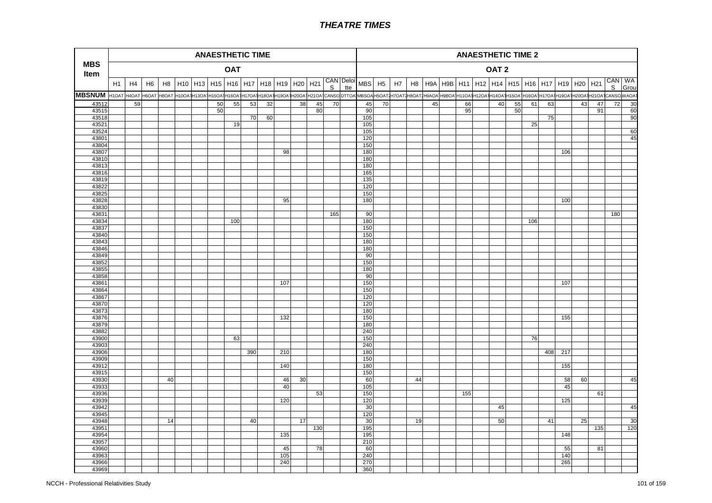|                           |    |    |                |                |  | <b>ANAESTHETIC TIME</b> |            |     |    |     |                                     |     |                         |            |                |                             |    |                                                                 | <b>ANAESTHETIC TIME 2</b> |    |     |          |     |    |     |             |      |
|---------------------------|----|----|----------------|----------------|--|-------------------------|------------|-----|----|-----|-------------------------------------|-----|-------------------------|------------|----------------|-----------------------------|----|-----------------------------------------------------------------|---------------------------|----|-----|----------|-----|----|-----|-------------|------|
| <b>MBS</b><br><b>Item</b> |    |    |                |                |  |                         | <b>OAT</b> |     |    |     |                                     |     |                         |            |                |                             |    |                                                                 | OAT <sub>2</sub>          |    |     |          |     |    |     |             |      |
|                           | H1 | H4 | H <sub>6</sub> | H <sub>8</sub> |  |                         |            |     |    |     | H10 H13 H15 H16 H17 H18 H19 H20 H21 | S   | <b>CAN</b> Deloi<br>tte | <b>MBS</b> | H <sub>5</sub> | <b>H7</b><br>H <sub>8</sub> |    | H9A   H9B   H11   H12   H14   H15   H16   H17   H19   H20   H21 |                           |    |     |          |     |    |     | CAN WA<br>S | Grou |
|                           |    |    |                |                |  |                         |            |     |    |     |                                     |     |                         |            |                |                             |    |                                                                 |                           |    |     |          |     |    |     |             |      |
| 43512                     |    | 59 |                |                |  | 50                      | 55         | 53  | 32 |     | 45<br>38                            | 70  |                         | 45         | 70             |                             | 45 | 66                                                              |                           | 40 | 55  | 61<br>63 |     | 43 | 47  | 72          | 30   |
| 43515                     |    |    |                |                |  | 50                      |            |     |    |     | 80                                  |     |                         | 90         |                |                             |    | 95                                                              |                           |    | 50  |          |     |    | 91  |             | 60   |
| 43518                     |    |    |                |                |  |                         |            | 70  | 60 |     |                                     |     |                         | 105        |                |                             |    |                                                                 |                           |    |     | 75       |     |    |     |             | 90   |
| 43521                     |    |    |                |                |  |                         | 19         |     |    |     |                                     |     |                         | 105        |                |                             |    |                                                                 |                           |    |     | 25       |     |    |     |             |      |
| 43524                     |    |    |                |                |  |                         |            |     |    |     |                                     |     |                         | 105        |                |                             |    |                                                                 |                           |    |     |          |     |    |     |             | 60   |
| 43801                     |    |    |                |                |  |                         |            |     |    |     |                                     |     |                         | 120        |                |                             |    |                                                                 |                           |    |     |          |     |    |     |             | 45   |
| 43804                     |    |    |                |                |  |                         |            |     |    |     |                                     |     |                         | 150        |                |                             |    |                                                                 |                           |    |     |          |     |    |     |             |      |
| 43807                     |    |    |                |                |  |                         |            |     |    | 98  |                                     |     |                         | 180        |                |                             |    |                                                                 |                           |    |     |          | 106 |    |     |             |      |
| 43810<br>43813            |    |    |                |                |  |                         |            |     |    |     |                                     |     |                         | 180<br>180 |                |                             |    |                                                                 |                           |    |     |          |     |    |     |             |      |
| 43816                     |    |    |                |                |  |                         |            |     |    |     |                                     |     |                         | 165        |                |                             |    |                                                                 |                           |    |     |          |     |    |     |             |      |
| 43819                     |    |    |                |                |  |                         |            |     |    |     |                                     |     |                         | 135        |                |                             |    |                                                                 |                           |    |     |          |     |    |     |             |      |
| 43822                     |    |    |                |                |  |                         |            |     |    |     |                                     |     |                         | 120        |                |                             |    |                                                                 |                           |    |     |          |     |    |     |             |      |
| 43825                     |    |    |                |                |  |                         |            |     |    |     |                                     |     |                         | 150        |                |                             |    |                                                                 |                           |    |     |          |     |    |     |             |      |
| 43828                     |    |    |                |                |  |                         |            |     |    | 95  |                                     |     |                         | 180        |                |                             |    |                                                                 |                           |    |     |          | 100 |    |     |             |      |
| 43830                     |    |    |                |                |  |                         |            |     |    |     |                                     |     |                         |            |                |                             |    |                                                                 |                           |    |     |          |     |    |     |             |      |
| 43831                     |    |    |                |                |  |                         |            |     |    |     |                                     | 165 |                         | 90         |                |                             |    |                                                                 |                           |    |     |          |     |    |     | 180         |      |
| 43834                     |    |    |                |                |  |                         | 100        |     |    |     |                                     |     |                         | 180        |                |                             |    |                                                                 |                           |    | 106 |          |     |    |     |             |      |
| 43837                     |    |    |                |                |  |                         |            |     |    |     |                                     |     |                         | 150        |                |                             |    |                                                                 |                           |    |     |          |     |    |     |             |      |
| 43840                     |    |    |                |                |  |                         |            |     |    |     |                                     |     |                         | 150        |                |                             |    |                                                                 |                           |    |     |          |     |    |     |             |      |
| 43843<br>43846            |    |    |                |                |  |                         |            |     |    |     |                                     |     |                         | 180<br>180 |                |                             |    |                                                                 |                           |    |     |          |     |    |     |             |      |
| 43849                     |    |    |                |                |  |                         |            |     |    |     |                                     |     |                         | 90         |                |                             |    |                                                                 |                           |    |     |          |     |    |     |             |      |
| 43852                     |    |    |                |                |  |                         |            |     |    |     |                                     |     |                         | 150        |                |                             |    |                                                                 |                           |    |     |          |     |    |     |             |      |
| 43855                     |    |    |                |                |  |                         |            |     |    |     |                                     |     |                         | 180        |                |                             |    |                                                                 |                           |    |     |          |     |    |     |             |      |
| 43858                     |    |    |                |                |  |                         |            |     |    |     |                                     |     |                         | 90         |                |                             |    |                                                                 |                           |    |     |          |     |    |     |             |      |
| 43861                     |    |    |                |                |  |                         |            |     |    | 107 |                                     |     |                         | 150        |                |                             |    |                                                                 |                           |    |     |          | 107 |    |     |             |      |
| 43864                     |    |    |                |                |  |                         |            |     |    |     |                                     |     |                         | 150        |                |                             |    |                                                                 |                           |    |     |          |     |    |     |             |      |
| 43867                     |    |    |                |                |  |                         |            |     |    |     |                                     |     |                         | 120        |                |                             |    |                                                                 |                           |    |     |          |     |    |     |             |      |
| 43870                     |    |    |                |                |  |                         |            |     |    |     |                                     |     |                         | 120        |                |                             |    |                                                                 |                           |    |     |          |     |    |     |             |      |
| 43873                     |    |    |                |                |  |                         |            |     |    |     |                                     |     |                         | 180        |                |                             |    |                                                                 |                           |    |     |          |     |    |     |             |      |
| 43876                     |    |    |                |                |  |                         |            |     |    | 132 |                                     |     |                         | 150        |                |                             |    |                                                                 |                           |    |     |          | 155 |    |     |             |      |
| 43879                     |    |    |                |                |  |                         |            |     |    |     |                                     |     |                         | 180        |                |                             |    |                                                                 |                           |    |     |          |     |    |     |             |      |
| 43882                     |    |    |                |                |  |                         | 63         |     |    |     |                                     |     |                         | 240<br>150 |                |                             |    |                                                                 |                           |    | 76  |          |     |    |     |             |      |
| 43900<br>43903            |    |    |                |                |  |                         |            |     |    |     |                                     |     |                         | 240        |                |                             |    |                                                                 |                           |    |     |          |     |    |     |             |      |
| 43906                     |    |    |                |                |  |                         |            | 390 |    | 210 |                                     |     |                         | 180        |                |                             |    |                                                                 |                           |    |     | 408      | 217 |    |     |             |      |
| 43909                     |    |    |                |                |  |                         |            |     |    |     |                                     |     |                         | 150        |                |                             |    |                                                                 |                           |    |     |          |     |    |     |             |      |
| 43912                     |    |    |                |                |  |                         |            |     |    | 140 |                                     |     |                         | 180        |                |                             |    |                                                                 |                           |    |     |          | 155 |    |     |             |      |
| 43915                     |    |    |                |                |  |                         |            |     |    |     |                                     |     |                         | 150        |                |                             |    |                                                                 |                           |    |     |          |     |    |     |             |      |
| 43930                     |    |    |                | 40             |  |                         |            |     |    | 46  | 30                                  |     |                         | 60         |                | 44                          |    |                                                                 |                           |    |     |          | 58  | 60 |     |             | 45   |
| 43933                     |    |    |                |                |  |                         |            |     |    | 40  |                                     |     |                         | 105        |                |                             |    |                                                                 |                           |    |     |          | 45  |    |     |             |      |
| 43936                     |    |    |                |                |  |                         |            |     |    |     | 53                                  |     |                         | 150        |                |                             |    | 155                                                             |                           |    |     |          |     |    | 61  |             |      |
| 43939                     |    |    |                |                |  |                         |            |     |    | 120 |                                     |     |                         | 120        |                |                             |    |                                                                 |                           |    |     |          | 125 |    |     |             |      |
| 43942                     |    |    |                |                |  |                         |            |     |    |     |                                     |     |                         | 30         |                |                             |    |                                                                 |                           | 45 |     |          |     |    |     |             | 45   |
| 43945                     |    |    |                |                |  |                         |            |     |    |     |                                     |     |                         | 120        |                |                             |    |                                                                 |                           |    |     |          |     |    |     |             |      |
| 43948                     |    |    |                | 14             |  |                         |            | 40  |    |     | 17                                  |     |                         | 30         |                | 19                          |    |                                                                 |                           | 50 |     | 41       |     | 25 |     |             | 30   |
| 43951<br>43954            |    |    |                |                |  |                         |            |     |    | 135 | 130                                 |     |                         | 195<br>195 |                |                             |    |                                                                 |                           |    |     |          | 148 |    | 135 |             | 120  |
| 43957                     |    |    |                |                |  |                         |            |     |    |     |                                     |     |                         | 210        |                |                             |    |                                                                 |                           |    |     |          |     |    |     |             |      |
| 43960                     |    |    |                |                |  |                         |            |     |    | 45  | 78                                  |     |                         | 60         |                |                             |    |                                                                 |                           |    |     |          | 55  |    | 81  |             |      |
| 43963                     |    |    |                |                |  |                         |            |     |    | 105 |                                     |     |                         | 240        |                |                             |    |                                                                 |                           |    |     |          | 140 |    |     |             |      |
| 43966                     |    |    |                |                |  |                         |            |     |    | 240 |                                     |     |                         | 270        |                |                             |    |                                                                 |                           |    |     |          | 265 |    |     |             |      |
| 43969                     |    |    |                |                |  |                         |            |     |    |     |                                     |     |                         | 360        |                |                             |    |                                                                 |                           |    |     |          |     |    |     |             |      |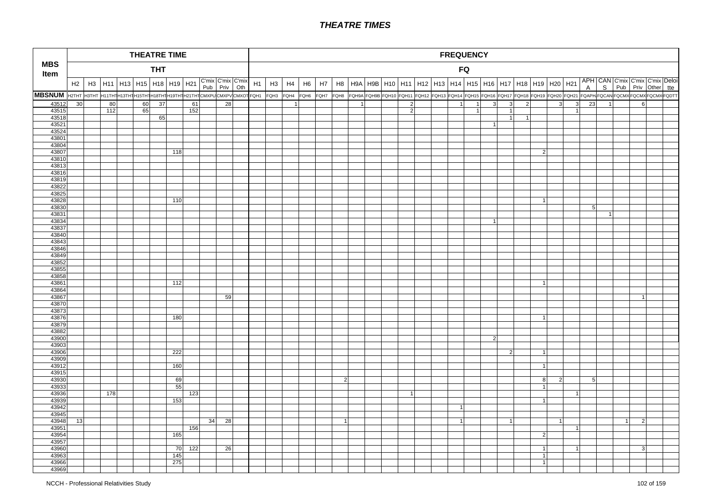|                    |    |                                                                                                                                                                                                                              | <b>THEATRE TIME</b> |           |    |                 |  |                |   |    |   |                |                |  | <b>FREQUENCY</b> |           |                |                                                                                             |                                  |                |                |              |   |                                                           |  |
|--------------------|----|------------------------------------------------------------------------------------------------------------------------------------------------------------------------------------------------------------------------------|---------------------|-----------|----|-----------------|--|----------------|---|----|---|----------------|----------------|--|------------------|-----------|----------------|---------------------------------------------------------------------------------------------|----------------------------------|----------------|----------------|--------------|---|-----------------------------------------------------------|--|
| <b>MBS</b><br>Item |    |                                                                                                                                                                                                                              | <b>THT</b>          |           |    |                 |  |                |   |    |   |                |                |  | <b>FQ</b>        |           |                |                                                                                             |                                  |                |                |              |   |                                                           |  |
|                    |    | H2   H3   H11   H13   H15   H18   H19   H21   C'mix   C'mix   C'mix                                                                                                                                                          |                     |           |    |                 |  | $H1$ $H3$ $H4$ |   | H6 |   |                |                |  |                  |           |                | H7   H8   H9A   H9B   H10   H11   H12   H13   H14   H15   H16   H17   H18   H19   H20   H21 |                                  |                |                |              |   | APH CAN C'mix C'mix C'mix Deloi<br>A S Pub Priv Other tte |  |
| <b>MBSNUM</b>      |    | н2тнт нзтнт н11тнт н11тнт н11тнт н21тнт смхри смхри смхот гон1  гон3  гон4  гон6  гон7  гон8  гон8  гон4 сон11 гон11 гон11 гон11 гон11 гон11 гон16 гон11 гон12 гон12 гон2 гон21 годен21 годен21 годен21 годен21 годен21 годе |                     |           |    |                 |  |                |   |    |   |                |                |  |                  |           |                |                                                                                             |                                  |                |                |              |   |                                                           |  |
| 43512              | 30 | 80                                                                                                                                                                                                                           | 37<br>60            | 61        |    | 28              |  |                | 1 |    |   | $\overline{1}$ | $\overline{2}$ |  | $\vert$ 1        | $\vert$ 1 | $\mathbf{3}$   | $\mathbf{3}$<br>$2\vert$                                                                    | $\mathbf{3}$                     | 3              | 23             | 1            |   | $6\overline{6}$                                           |  |
| 43515              |    | $\overline{112}$                                                                                                                                                                                                             | 65<br>65            | 152       |    |                 |  |                |   |    |   |                | $\overline{2}$ |  |                  | $\vert$ 1 |                | $\overline{1}$<br>$\overline{1}$                                                            |                                  | 1              |                |              |   |                                                           |  |
| 43518<br>43521     |    |                                                                                                                                                                                                                              |                     |           |    |                 |  |                |   |    |   |                |                |  |                  |           | 1              | $\overline{1}$                                                                              |                                  |                |                |              |   |                                                           |  |
| 43524              |    |                                                                                                                                                                                                                              |                     |           |    |                 |  |                |   |    |   |                |                |  |                  |           |                |                                                                                             |                                  |                |                |              |   |                                                           |  |
| 43801              |    |                                                                                                                                                                                                                              |                     |           |    |                 |  |                |   |    |   |                |                |  |                  |           |                |                                                                                             |                                  |                |                |              |   |                                                           |  |
| 43804              |    |                                                                                                                                                                                                                              |                     |           |    |                 |  |                |   |    |   |                |                |  |                  |           |                |                                                                                             |                                  |                |                |              |   |                                                           |  |
| 43807<br>43810     |    |                                                                                                                                                                                                                              |                     | 118       |    |                 |  |                |   |    |   |                |                |  |                  |           |                |                                                                                             | 2                                |                |                |              |   |                                                           |  |
| 43813              |    |                                                                                                                                                                                                                              |                     |           |    |                 |  |                |   |    |   |                |                |  |                  |           |                |                                                                                             |                                  |                |                |              |   |                                                           |  |
| 43816              |    |                                                                                                                                                                                                                              |                     |           |    |                 |  |                |   |    |   |                |                |  |                  |           |                |                                                                                             |                                  |                |                |              |   |                                                           |  |
| 43819              |    |                                                                                                                                                                                                                              |                     |           |    |                 |  |                |   |    |   |                |                |  |                  |           |                |                                                                                             |                                  |                |                |              |   |                                                           |  |
| 43822              |    |                                                                                                                                                                                                                              |                     |           |    |                 |  |                |   |    |   |                |                |  |                  |           |                |                                                                                             |                                  |                |                |              |   |                                                           |  |
| 43825<br>43828     |    |                                                                                                                                                                                                                              |                     | 110       |    |                 |  |                |   |    |   |                |                |  |                  |           |                |                                                                                             | $\overline{1}$                   |                |                |              |   |                                                           |  |
| 43830              |    |                                                                                                                                                                                                                              |                     |           |    |                 |  |                |   |    |   |                |                |  |                  |           |                |                                                                                             |                                  |                | 5 <sub>l</sub> |              |   |                                                           |  |
| 43831              |    |                                                                                                                                                                                                                              |                     |           |    |                 |  |                |   |    |   |                |                |  |                  |           |                |                                                                                             |                                  |                |                | $\mathbf{1}$ |   |                                                           |  |
| 43834              |    |                                                                                                                                                                                                                              |                     |           |    |                 |  |                |   |    |   |                |                |  |                  |           | 1              |                                                                                             |                                  |                |                |              |   |                                                           |  |
| 43837              |    |                                                                                                                                                                                                                              |                     |           |    |                 |  |                |   |    |   |                |                |  |                  |           |                |                                                                                             |                                  |                |                |              |   |                                                           |  |
| 43840<br>43843     |    |                                                                                                                                                                                                                              |                     |           |    |                 |  |                |   |    |   |                |                |  |                  |           |                |                                                                                             |                                  |                |                |              |   |                                                           |  |
| 43846              |    |                                                                                                                                                                                                                              |                     |           |    |                 |  |                |   |    |   |                |                |  |                  |           |                |                                                                                             |                                  |                |                |              |   |                                                           |  |
| 43849              |    |                                                                                                                                                                                                                              |                     |           |    |                 |  |                |   |    |   |                |                |  |                  |           |                |                                                                                             |                                  |                |                |              |   |                                                           |  |
| 43852              |    |                                                                                                                                                                                                                              |                     |           |    |                 |  |                |   |    |   |                |                |  |                  |           |                |                                                                                             |                                  |                |                |              |   |                                                           |  |
| 43855              |    |                                                                                                                                                                                                                              |                     |           |    |                 |  |                |   |    |   |                |                |  |                  |           |                |                                                                                             |                                  |                |                |              |   |                                                           |  |
| 43858<br>43861     |    |                                                                                                                                                                                                                              |                     | 112       |    |                 |  |                |   |    |   |                |                |  |                  |           |                |                                                                                             | $\mathbf{1}$                     |                |                |              |   |                                                           |  |
| 43864              |    |                                                                                                                                                                                                                              |                     |           |    |                 |  |                |   |    |   |                |                |  |                  |           |                |                                                                                             |                                  |                |                |              |   |                                                           |  |
| 43867              |    |                                                                                                                                                                                                                              |                     |           |    | 59              |  |                |   |    |   |                |                |  |                  |           |                |                                                                                             |                                  |                |                |              |   | 1                                                         |  |
| 43870              |    |                                                                                                                                                                                                                              |                     |           |    |                 |  |                |   |    |   |                |                |  |                  |           |                |                                                                                             |                                  |                |                |              |   |                                                           |  |
| 43873              |    |                                                                                                                                                                                                                              |                     |           |    |                 |  |                |   |    |   |                |                |  |                  |           |                |                                                                                             |                                  |                |                |              |   |                                                           |  |
| 43876<br>43879     |    |                                                                                                                                                                                                                              |                     | 180       |    |                 |  |                |   |    |   |                |                |  |                  |           |                |                                                                                             | $\vert$                          |                |                |              |   |                                                           |  |
| 43882              |    |                                                                                                                                                                                                                              |                     |           |    |                 |  |                |   |    |   |                |                |  |                  |           |                |                                                                                             |                                  |                |                |              |   |                                                           |  |
| 43900              |    |                                                                                                                                                                                                                              |                     |           |    |                 |  |                |   |    |   |                |                |  |                  |           | 2 <sup>1</sup> |                                                                                             |                                  |                |                |              |   |                                                           |  |
| 43903              |    |                                                                                                                                                                                                                              |                     |           |    |                 |  |                |   |    |   |                |                |  |                  |           |                |                                                                                             |                                  |                |                |              |   |                                                           |  |
| 43906<br>43909     |    |                                                                                                                                                                                                                              |                     | 222       |    |                 |  |                |   |    |   |                |                |  |                  |           |                | $\overline{2}$                                                                              | 11                               |                |                |              |   |                                                           |  |
| 43912              |    |                                                                                                                                                                                                                              |                     | 160       |    |                 |  |                |   |    |   |                |                |  |                  |           |                |                                                                                             | $\mathbf{1}$                     |                |                |              |   |                                                           |  |
| 43915              |    |                                                                                                                                                                                                                              |                     |           |    |                 |  |                |   |    |   |                |                |  |                  |           |                |                                                                                             |                                  |                |                |              |   |                                                           |  |
| 43930              |    |                                                                                                                                                                                                                              |                     | 69        |    |                 |  |                |   |    | 2 |                |                |  |                  |           |                |                                                                                             | 8 <sup>1</sup><br>$\overline{2}$ |                | 5 <sub>l</sub> |              |   |                                                           |  |
| 43933              |    |                                                                                                                                                                                                                              |                     | 55        |    |                 |  |                |   |    |   |                |                |  |                  |           |                |                                                                                             | 1 <sup>1</sup>                   |                |                |              |   |                                                           |  |
| 43936              |    | 178                                                                                                                                                                                                                          |                     | 123       |    |                 |  |                |   |    |   |                |                |  |                  |           |                |                                                                                             |                                  | 11             |                |              |   |                                                           |  |
| 43939<br>43942     |    |                                                                                                                                                                                                                              |                     | 153       |    |                 |  |                |   |    |   |                |                |  | $\overline{1}$   |           |                |                                                                                             | 1                                |                |                |              |   |                                                           |  |
| 43945              |    |                                                                                                                                                                                                                              |                     |           |    |                 |  |                |   |    |   |                |                |  |                  |           |                |                                                                                             |                                  |                |                |              |   |                                                           |  |
| 43948              | 13 |                                                                                                                                                                                                                              |                     |           | 34 | $\overline{28}$ |  |                |   |    | 1 |                |                |  | 1                |           |                | $\overline{1}$                                                                              | 1                                |                |                |              | 1 | $\overline{2}$                                            |  |
| 43951              |    |                                                                                                                                                                                                                              |                     | 156       |    |                 |  |                |   |    |   |                |                |  |                  |           |                |                                                                                             |                                  | $\overline{1}$ |                |              |   |                                                           |  |
| 43954              |    |                                                                                                                                                                                                                              |                     | 165       |    |                 |  |                |   |    |   |                |                |  |                  |           |                |                                                                                             | 2 <sup>1</sup>                   |                |                |              |   |                                                           |  |
| 43957<br>43960     |    |                                                                                                                                                                                                                              |                     | 122<br>70 |    | 26              |  |                |   |    |   |                |                |  |                  |           |                |                                                                                             | 11                               | 11             |                |              |   | 3 <sup>l</sup>                                            |  |
| 43963              |    |                                                                                                                                                                                                                              |                     | 145       |    |                 |  |                |   |    |   |                |                |  |                  |           |                |                                                                                             | $\mathbf{1}$                     |                |                |              |   |                                                           |  |
| 43966              |    |                                                                                                                                                                                                                              |                     | 275       |    |                 |  |                |   |    |   |                |                |  |                  |           |                |                                                                                             | $\mathbf{1}$                     |                |                |              |   |                                                           |  |
| 43969              |    |                                                                                                                                                                                                                              |                     |           |    |                 |  |                |   |    |   |                |                |  |                  |           |                |                                                                                             |                                  |                |                |              |   |                                                           |  |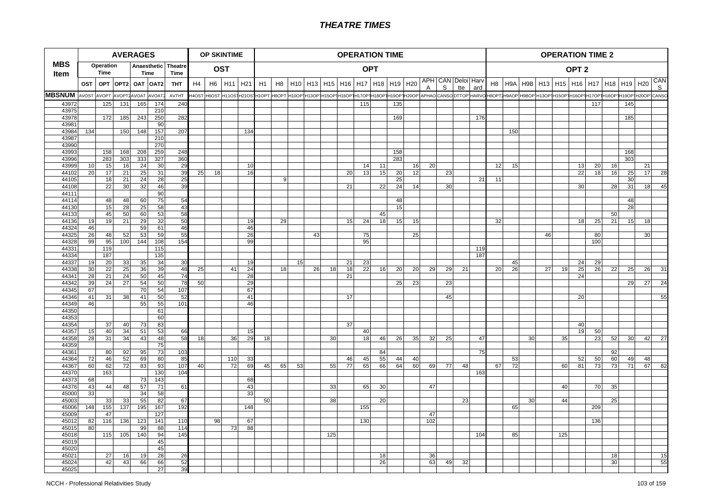|                           |                 |                   |                   | <b>AVERAGES</b>                |                            |                        |            |    | <b>OP SKINTIME</b> |          |                                               |    |                                                                                                                                                                                  |    |     | <b>OPERATION TIME</b> |                 |          |          |                 |                                        |                 |                                                          |     |                |    |    |     |                  | <b>OPERATION TIME 2</b> |          |           |                 |    |
|---------------------------|-----------------|-------------------|-------------------|--------------------------------|----------------------------|------------------------|------------|----|--------------------|----------|-----------------------------------------------|----|----------------------------------------------------------------------------------------------------------------------------------------------------------------------------------|----|-----|-----------------------|-----------------|----------|----------|-----------------|----------------------------------------|-----------------|----------------------------------------------------------|-----|----------------|----|----|-----|------------------|-------------------------|----------|-----------|-----------------|----|
| <b>MBS</b><br><b>Item</b> |                 | Operation<br>Time |                   |                                | Anaesthetic<br><b>Time</b> | <b>Theatre</b><br>Time |            |    | <b>OST</b>         |          |                                               |    |                                                                                                                                                                                  |    |     |                       | <b>OPT</b>      |          |          |                 |                                        |                 |                                                          |     |                |    |    |     | OPT <sub>2</sub> |                         |          |           |                 |    |
|                           | <b>OST</b>      |                   | OPT OPT2 OAT OAT2 | <b>THT</b>                     | H <sub>4</sub>             |                        | H6 H11 H21 |    | H1                 | H8       | H10   H13   H15   H16   H17   H18   H19   H20 |    |                                                                                                                                                                                  |    |     |                       |                 |          | A        | <sub>S</sub>    | APH   CAN   Deloi   Harv<br>tte<br>ard |                 | H8   H9A   H9B   H13   H15   H16   H17   H18   H19   H20 |     |                |    |    |     |                  |                         |          | CAN<br>S. |                 |    |
| <b>MBSNUM</b>             |                 |                   |                   | AVOST AVOPT AVOPTZAVOAT AVOATZ |                            | AVTHT                  |            |    |                    |          |                                               |    | HOST H6OST H11OSTH21OSTH1OPT H8OPT H10OPTH13OPTH15OPTH16OPTH17OPTH18OPTH19OPTH20OPTAPHAO CANSO DTTOPTHARVO H8OPT H9AOPTH9BOPTH13OPTH15OPTH15OPTH16OPTH17OPTH18OPTH2OPTH2OPTCANSC |    |     |                       |                 |          |          |                 |                                        |                 |                                                          |     |                |    |    |     |                  |                         |          |           |                 |    |
| 43972                     |                 | 125               | 131               | 165                            | 174                        | 240                    |            |    |                    |          |                                               |    |                                                                                                                                                                                  |    |     | 115                   |                 |          | 135      |                 |                                        |                 |                                                          |     |                |    |    |     |                  | 117                     |          | 145       |                 |    |
| 43975                     |                 |                   |                   |                                | 210                        |                        |            |    |                    |          |                                               |    |                                                                                                                                                                                  |    |     |                       |                 |          |          |                 |                                        |                 |                                                          |     |                |    |    |     |                  |                         |          |           |                 |    |
| 43978<br>43981            |                 | 172               | 185               | 243                            | 250<br>90                  | 282                    |            |    |                    |          |                                               |    |                                                                                                                                                                                  |    |     |                       |                 |          | 169      |                 |                                        |                 |                                                          | 176 |                |    |    |     |                  |                         |          | 185       |                 |    |
| 43984                     | 134             |                   | 150               | 148                            | 157                        | 207                    |            |    |                    | 134      |                                               |    |                                                                                                                                                                                  |    |     |                       |                 |          |          |                 |                                        |                 |                                                          |     | 150            |    |    |     |                  |                         |          |           |                 |    |
| 43987                     |                 |                   |                   |                                | 210                        |                        |            |    |                    |          |                                               |    |                                                                                                                                                                                  |    |     |                       |                 |          |          |                 |                                        |                 |                                                          |     |                |    |    |     |                  |                         |          |           |                 |    |
| 43990                     |                 |                   |                   |                                | 270                        |                        |            |    |                    |          |                                               |    |                                                                                                                                                                                  |    |     |                       |                 |          |          |                 |                                        |                 |                                                          |     |                |    |    |     |                  |                         |          |           |                 |    |
| 43993                     |                 | 158               | 168               | 208                            | 259                        | 248                    |            |    |                    |          |                                               |    |                                                                                                                                                                                  |    |     |                       |                 |          | 158      |                 |                                        |                 |                                                          |     |                |    |    |     |                  |                         |          | 168       |                 |    |
| 43996<br>43999            | 10              | 283<br>15         | 303<br>16         | 333<br>24                      | 327<br>30                  | 360<br>29              |            |    |                    | 10       |                                               |    |                                                                                                                                                                                  |    |     |                       | 14              | 11       | 283      | 16              | 20                                     |                 |                                                          |     | 15<br>12       |    |    |     | 13               | 20                      | 16       | 303       | 21              |    |
| 44102                     | 20              | 17                | 21                | 25                             | 31                         | 39                     | 25         | 18 |                    | 16       |                                               |    |                                                                                                                                                                                  |    |     | 20                    | 13              | 15       | 20       | 12              |                                        | 23              |                                                          |     |                |    |    |     | 22               | 18                      | 16       | 25        | 17              | 28 |
| 44105                     |                 | 18                | 21                | 24                             | 28                         | 25                     |            |    |                    |          |                                               | 9  |                                                                                                                                                                                  |    |     |                       |                 |          | 25       |                 |                                        |                 |                                                          | 21  | 11             |    |    |     |                  |                         |          | 30        |                 |    |
| 44108                     |                 | 22                | 30                | 32                             | 46                         | 39                     |            |    |                    |          |                                               |    |                                                                                                                                                                                  |    |     | 21                    |                 | 22       | 24       | 14              |                                        | 30 <sub>0</sub> |                                                          |     |                |    |    |     | 30               |                         | 28       | 31        | 18              | 45 |
| 44111                     |                 |                   |                   |                                | 90                         |                        |            |    |                    |          |                                               |    |                                                                                                                                                                                  |    |     |                       |                 |          |          |                 |                                        |                 |                                                          |     |                |    |    |     |                  |                         |          |           |                 |    |
| 44114<br>44130            |                 | 48<br>15          | 48<br>28          | 60<br>25                       | 75<br>58                   | 54<br>43               |            |    |                    |          |                                               |    |                                                                                                                                                                                  |    |     |                       |                 |          | 48<br>15 |                 |                                        |                 |                                                          |     |                |    |    |     |                  |                         |          | 48<br>28  |                 |    |
| 44133                     |                 | 45                | 50                | 60                             | 53                         | 58                     |            |    |                    |          |                                               |    |                                                                                                                                                                                  |    |     |                       |                 | 45       |          |                 |                                        |                 |                                                          |     |                |    |    |     |                  |                         | 50       |           |                 |    |
| 44136                     | 19              | 19                | 21                | 29                             | 32                         | 50                     |            |    |                    | 19       |                                               | 29 |                                                                                                                                                                                  |    |     | 15                    | 24              | 18       | 15       | 15 <sup>1</sup> |                                        |                 |                                                          |     | 32             |    |    |     | 18               | 25                      | 21       | 15        | 18              |    |
| 44324                     | 46              |                   |                   | 59                             | 61                         | 46                     |            |    |                    | 46       |                                               |    |                                                                                                                                                                                  |    |     |                       |                 |          |          |                 |                                        |                 |                                                          |     |                |    |    |     |                  |                         |          |           |                 |    |
| 44325                     | 26<br>99        | 48                | 52                | 53                             | 59<br>108                  | 55<br>154              |            |    |                    | 26       |                                               |    |                                                                                                                                                                                  | 43 |     |                       | 75              |          |          | 25              |                                        |                 |                                                          |     |                |    | 46 |     |                  | 80                      |          |           | 30 <sub>1</sub> |    |
| 44328<br>44331            |                 | 95<br>119         | 100               | 144                            | 115                        |                        |            |    |                    | 99       |                                               |    |                                                                                                                                                                                  |    |     |                       | 95              |          |          |                 |                                        |                 |                                                          | 119 |                |    |    |     |                  | 100                     |          |           |                 |    |
| 44334                     |                 | 187               |                   |                                | 135                        |                        |            |    |                    |          |                                               |    |                                                                                                                                                                                  |    |     |                       |                 |          |          |                 |                                        |                 |                                                          | 187 |                |    |    |     |                  |                         |          |           |                 |    |
| 44337                     | 19              | 20                | 33                | 35                             | 34                         | 30                     |            |    |                    | 19       |                                               |    | 15                                                                                                                                                                               |    |     | 21                    | 23              |          |          |                 |                                        |                 |                                                          |     | 45             |    |    |     | 24               | 29                      |          |           |                 |    |
| 44338                     | 30              | 22                | 25                | 36                             | 39                         | 48                     | 25         |    | 41                 | 24       |                                               | 18 |                                                                                                                                                                                  | 26 | 18  | 18                    | 22              | 16       | 20       | 20              | 29                                     | 29              | 21                                                       |     | 20<br>26       |    | 27 | 19  | 25               | 26                      | 22       | 25        | 26              | 31 |
| 44341                     | 28              | 21                | 24                | 50                             | 45                         | 74                     |            |    |                    | 28       |                                               |    |                                                                                                                                                                                  |    |     | 21                    |                 |          |          |                 |                                        |                 |                                                          |     |                |    |    |     | 24               |                         |          |           |                 |    |
| 44342<br>44345            | 39<br>67        | 24                | 27                | 54<br>70                       | 50<br>54                   | 78<br>107              | 50         |    |                    | 29<br>67 |                                               |    |                                                                                                                                                                                  |    |     |                       |                 |          | 25       | 23              |                                        | 23              |                                                          |     |                |    |    |     |                  |                         |          | 29        | 27              | 24 |
| 44346                     | 41              | 31                | 38                | 41                             | 50                         | 52                     |            |    |                    | 41       |                                               |    |                                                                                                                                                                                  |    |     | 17                    |                 |          |          |                 |                                        | 45              |                                                          |     |                |    |    |     | 20               |                         |          |           |                 | 55 |
| 44349                     | 46              |                   |                   | 55                             | 55                         | 101                    |            |    |                    | 46       |                                               |    |                                                                                                                                                                                  |    |     |                       |                 |          |          |                 |                                        |                 |                                                          |     |                |    |    |     |                  |                         |          |           |                 |    |
| 44350                     |                 |                   |                   |                                | 61                         |                        |            |    |                    |          |                                               |    |                                                                                                                                                                                  |    |     |                       |                 |          |          |                 |                                        |                 |                                                          |     |                |    |    |     |                  |                         |          |           |                 |    |
| 44353<br>44354            |                 | 37                | 40                | 73                             | 60                         |                        |            |    |                    |          |                                               |    |                                                                                                                                                                                  |    |     | 37                    |                 |          |          |                 |                                        |                 |                                                          |     |                |    |    |     | 40               |                         |          |           |                 |    |
| 44357                     | 15 <sup>1</sup> | 40                | 34                | 51                             | 83<br>53                   | 66                     |            |    |                    | 15       |                                               |    |                                                                                                                                                                                  |    |     |                       | 40              |          |          |                 |                                        |                 |                                                          |     |                |    |    |     | 19               | 50                      |          |           |                 |    |
| 44358                     | 28              | 31                | 34                | 43                             | 48                         | 58                     | 18         |    | 36                 | 29       | 18                                            |    |                                                                                                                                                                                  |    | 30  |                       | 18 <sup>1</sup> | 46       | 26       | 35              | 32                                     | 25              |                                                          | 47  |                | 30 |    | 35  |                  | 23                      | 52       | 30        | 42              | 27 |
| 44359                     |                 |                   |                   |                                | 75                         |                        |            |    |                    |          |                                               |    |                                                                                                                                                                                  |    |     |                       |                 |          |          |                 |                                        |                 |                                                          |     |                |    |    |     |                  |                         |          |           |                 |    |
| 44361                     |                 | 80                | 92                | 95                             | 73                         | 103                    |            |    |                    |          |                                               |    |                                                                                                                                                                                  |    |     |                       |                 | 84       |          |                 |                                        |                 |                                                          | 75  |                |    |    |     |                  |                         | 92       |           |                 |    |
| 44364<br>44367            | 72<br>60        | 46<br>62          | 52<br>72          | 69<br>83                       | 80<br>93                   | 85<br>107              | 40         |    | 110<br>72          | 33<br>69 | 45                                            | 65 | 53                                                                                                                                                                               |    | 55  | 46<br>77              | 45<br>65        | 55<br>66 | 44<br>64 | 40<br>60        | 69                                     | 77              | 48                                                       |     | 53<br>67<br>72 |    |    | 60  | 52<br>81         | 50<br>73                | 60<br>73 | 49<br>71  | 48<br>67        | 82 |
| 44370                     |                 | 163               |                   |                                | 130                        | 104                    |            |    |                    |          |                                               |    |                                                                                                                                                                                  |    |     |                       |                 |          |          |                 |                                        |                 | 163                                                      |     |                |    |    |     |                  |                         |          |           |                 |    |
| 44373                     | 68              |                   |                   | 73                             | 143                        |                        |            |    |                    | 68       |                                               |    |                                                                                                                                                                                  |    |     |                       |                 |          |          |                 |                                        |                 |                                                          |     |                |    |    |     |                  |                         |          |           |                 |    |
| 44376                     | 43              | 44                | 48                | 57                             | 71                         | 61                     |            |    |                    | 43       |                                               |    |                                                                                                                                                                                  |    | 33  |                       | 65              | 30       |          |                 | 47                                     |                 |                                                          |     |                |    |    | 40  |                  | 70                      | 35       |           |                 |    |
| 45000                     | 33              |                   |                   | 34                             | 58                         |                        |            |    |                    | 33       |                                               |    |                                                                                                                                                                                  |    |     |                       |                 |          |          |                 |                                        |                 |                                                          |     |                |    |    |     |                  |                         |          |           |                 |    |
| 45003                     |                 | 33                | 33                | 55                             | 82                         | 67                     |            |    |                    |          | 50                                            |    |                                                                                                                                                                                  |    | 38  |                       |                 | 20       |          |                 |                                        |                 | 23                                                       |     | 65             | 30 |    | 44  |                  | 209                     | 25       |           |                 |    |
| 45006<br>45009            | 148             | 155<br>47         | 137               | 195                            | 167<br>127                 | 192                    |            |    |                    | 148      |                                               |    |                                                                                                                                                                                  |    |     | 155                   |                 |          |          |                 | 47                                     |                 |                                                          |     |                |    |    |     |                  |                         |          |           |                 |    |
| 45012                     | 82              | 116               | 136               | 123                            | 141                        | 110                    |            | 98 |                    | 67       |                                               |    |                                                                                                                                                                                  |    |     | 130                   |                 |          |          |                 | 102                                    |                 |                                                          |     |                |    |    |     |                  | 136                     |          |           |                 |    |
| 45015                     | 80              |                   |                   | 99                             | 88                         | 114                    |            |    | 73                 | 88       |                                               |    |                                                                                                                                                                                  |    |     |                       |                 |          |          |                 |                                        |                 |                                                          |     |                |    |    |     |                  |                         |          |           |                 |    |
| 45018                     |                 | 115               | 105               | 140                            | 94                         | 145                    |            |    |                    |          |                                               |    |                                                                                                                                                                                  |    | 125 |                       |                 |          |          |                 |                                        |                 | 104                                                      |     | 85             |    |    | 125 |                  |                         |          |           |                 |    |
| 45019                     |                 |                   |                   |                                | 45                         |                        |            |    |                    |          |                                               |    |                                                                                                                                                                                  |    |     |                       |                 |          |          |                 |                                        |                 |                                                          |     |                |    |    |     |                  |                         |          |           |                 |    |
| 45020<br>45021            |                 | 27                | 16                | 19                             | 45<br>28                   | 26                     |            |    |                    |          |                                               |    |                                                                                                                                                                                  |    |     |                       |                 | 18       |          |                 | 36                                     |                 |                                                          |     |                |    |    |     |                  |                         | 18       |           |                 | 15 |
| 45024                     |                 | 42                | 43                | 66                             | 66                         | 52                     |            |    |                    |          |                                               |    |                                                                                                                                                                                  |    |     |                       |                 | 26       |          |                 | 63                                     | 49              | 32                                                       |     |                |    |    |     |                  |                         | 30       |           |                 | 55 |
| 45025                     |                 |                   |                   |                                | 27                         | 39                     |            |    |                    |          |                                               |    |                                                                                                                                                                                  |    |     |                       |                 |          |          |                 |                                        |                 |                                                          |     |                |    |    |     |                  |                         |          |           |                 |    |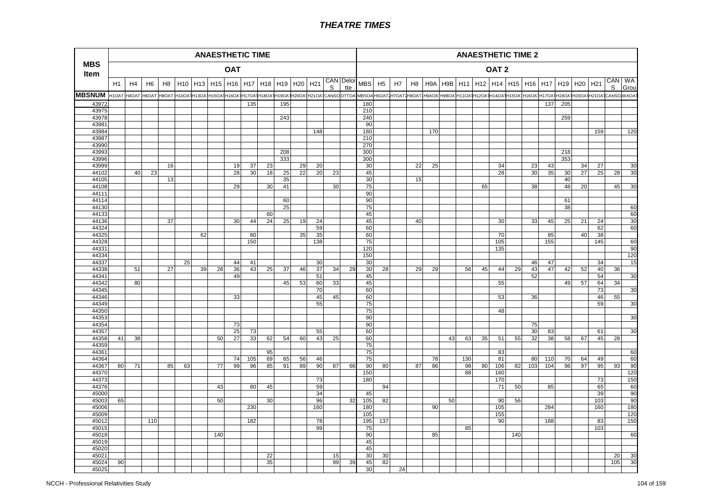|                    |    |    |                |                |    |    |     | <b>ANAESTHETIC TIME</b>                                                         |     |    |                                                                 |    |          |                                                                                    |    |            |                |    |                |     |    |     |    |                  | <b>ANAESTHETIC TIME 2</b>                               |          |     |          |    |          |             |            |
|--------------------|----|----|----------------|----------------|----|----|-----|---------------------------------------------------------------------------------|-----|----|-----------------------------------------------------------------|----|----------|------------------------------------------------------------------------------------|----|------------|----------------|----|----------------|-----|----|-----|----|------------------|---------------------------------------------------------|----------|-----|----------|----|----------|-------------|------------|
| <b>MBS</b><br>Item |    |    |                |                |    |    |     | <b>OAT</b>                                                                      |     |    |                                                                 |    |          |                                                                                    |    |            |                |    |                |     |    |     |    | OAT <sub>2</sub> |                                                         |          |     |          |    |          |             |            |
|                    | H1 | H4 | H <sub>6</sub> | H <sub>8</sub> |    |    |     | H <sub>10</sub> H <sub>13</sub> H <sub>15</sub> H <sub>16</sub> H <sub>17</sub> |     |    | H <sub>18</sub> H <sub>19</sub> H <sub>20</sub> H <sub>21</sub> |    |          | CAN Deloi<br>S<br>tte                                                              |    | <b>MBS</b> | H <sub>5</sub> | H7 | H <sub>8</sub> | H9A |    |     |    |                  | H9B H11   H12   H14   H15   H16   H17   H19   H20   H21 |          |     |          |    |          | CAN WA<br>S | Grou       |
| <b>MBSNUM</b>      |    |    |                |                |    |    |     |                                                                                 |     |    |                                                                 |    |          | H1OAT H4OAT H6OAT H8OAT H10OATH13OATH15OATH16OATH17OATH18OATH19OATH21OATCANSODTTOA |    |            |                |    |                |     |    |     |    |                  |                                                         |          |     |          |    |          |             |            |
| 43972              |    |    |                |                |    |    |     |                                                                                 | 135 |    | 195                                                             |    |          |                                                                                    |    | 180        |                |    |                |     |    |     |    |                  |                                                         |          | 137 | 205      |    |          |             |            |
| 43975              |    |    |                |                |    |    |     |                                                                                 |     |    |                                                                 |    |          |                                                                                    |    | 210        |                |    |                |     |    |     |    |                  |                                                         |          |     |          |    |          |             |            |
| 43978              |    |    |                |                |    |    |     |                                                                                 |     |    | 243                                                             |    |          |                                                                                    |    | 240        |                |    |                |     |    |     |    |                  |                                                         |          |     | 259      |    |          |             |            |
| 43981              |    |    |                |                |    |    |     |                                                                                 |     |    |                                                                 |    |          |                                                                                    |    | 90         |                |    |                |     |    |     |    |                  |                                                         |          |     |          |    |          |             |            |
| 43984              |    |    |                |                |    |    |     |                                                                                 |     |    |                                                                 |    | 148      |                                                                                    |    | 180<br>210 |                |    |                | 170 |    |     |    |                  |                                                         |          |     |          |    | 159      |             | 120        |
| 43987<br>43990     |    |    |                |                |    |    |     |                                                                                 |     |    |                                                                 |    |          |                                                                                    |    | 270        |                |    |                |     |    |     |    |                  |                                                         |          |     |          |    |          |             |            |
| 43993              |    |    |                |                |    |    |     |                                                                                 |     |    | 208                                                             |    |          |                                                                                    |    | 300        |                |    |                |     |    |     |    |                  |                                                         |          |     | 218      |    |          |             |            |
| 43996              |    |    |                |                |    |    |     |                                                                                 |     |    | 333                                                             |    |          |                                                                                    |    | 300        |                |    |                |     |    |     |    |                  |                                                         |          |     | 353      |    |          |             |            |
| 43999              |    |    |                | 16             |    |    |     | 19                                                                              | 37  | 23 |                                                                 | 29 | 20       |                                                                                    |    | 30         |                |    | 22             | 25  |    |     |    | 34               |                                                         | 23       | 43  |          | 34 | 27       |             | 30         |
| 44102              |    | 40 | 23             |                |    |    |     | 28                                                                              | 30  | 18 | 25                                                              | 22 | 20       | 23                                                                                 |    | 45         |                |    |                |     |    |     |    | 28               |                                                         | 30       | 35  | 30       | 27 | 25       | 28          | 30         |
| 44105              |    |    |                | 13             |    |    |     |                                                                                 |     |    | 35                                                              |    |          |                                                                                    |    | 30         |                |    | 15             |     |    |     |    |                  |                                                         |          |     | 40       |    |          |             |            |
| 44108              |    |    |                |                |    |    |     | 29                                                                              |     | 30 | 41                                                              |    |          | 30                                                                                 |    | 75         |                |    |                |     |    |     | 65 |                  |                                                         | 38       |     | 48       | 20 |          | 45          | 30         |
| 44111              |    |    |                |                |    |    |     |                                                                                 |     |    |                                                                 |    |          |                                                                                    |    | 90         |                |    |                |     |    |     |    |                  |                                                         |          |     |          |    |          |             |            |
| 44114<br>44130     |    |    |                |                |    |    |     |                                                                                 |     |    | 60<br>25                                                        |    |          |                                                                                    |    | 90<br>75   |                |    |                |     |    |     |    |                  |                                                         |          |     | 61<br>38 |    |          |             | 60         |
| 44133              |    |    |                |                |    |    |     |                                                                                 |     | 60 |                                                                 |    |          |                                                                                    |    | 45         |                |    |                |     |    |     |    |                  |                                                         |          |     |          |    |          |             | 60         |
| 44136              |    |    |                | 37             |    |    |     | 30                                                                              | 44  | 24 | 25                                                              | 19 | 24       |                                                                                    |    | 45         |                |    | 40             |     |    |     |    | 30               |                                                         | 33       | 45  | 25       | 21 | 24       |             | 30         |
| 44324              |    |    |                |                |    |    |     |                                                                                 |     |    |                                                                 |    | 59       |                                                                                    |    | 60         |                |    |                |     |    |     |    |                  |                                                         |          |     |          |    | 62       |             | 60         |
| 44325              |    |    |                |                |    | 62 |     |                                                                                 | 80  |    |                                                                 | 35 | 35       |                                                                                    |    | 60         |                |    |                |     |    |     |    | 70               |                                                         |          | 85  |          | 40 | 38       |             |            |
| 44328              |    |    |                |                |    |    |     |                                                                                 | 150 |    |                                                                 |    | 138      |                                                                                    |    | 75         |                |    |                |     |    |     |    | 105              |                                                         |          | 155 |          |    | 145      |             | 60         |
| 44331              |    |    |                |                |    |    |     |                                                                                 |     |    |                                                                 |    |          |                                                                                    |    | 120        |                |    |                |     |    |     |    | 135              |                                                         |          |     |          |    |          |             | 90         |
| 44334              |    |    |                |                |    |    |     |                                                                                 |     |    |                                                                 |    |          |                                                                                    |    | 150        |                |    |                |     |    |     |    |                  |                                                         |          |     |          |    |          |             | 120        |
| 44337              |    |    |                |                | 25 |    |     | 44                                                                              | 41  |    |                                                                 |    | 30       |                                                                                    |    | 30         |                |    |                |     |    |     |    |                  |                                                         | 46       | 47  |          |    | 34       |             | 15         |
| 44338<br>44341     |    | 51 |                | 27             |    | 39 | 28  | 36<br>49                                                                        | 43  | 25 | 37                                                              | 46 | 37<br>51 | 34                                                                                 | 29 | 30<br>45   | 28             |    | 29             | 29  |    | 56  | 45 | 44               | 29                                                      | 43<br>52 | 47  | 42       | 52 | 40<br>54 | 36          | 30         |
| 44342              |    | 80 |                |                |    |    |     |                                                                                 |     |    | 45                                                              | 53 | 60       | 33                                                                                 |    | 45         |                |    |                |     |    |     |    | 55               |                                                         |          |     | 49       | 57 | 64       | 34          |            |
| 44345              |    |    |                |                |    |    |     |                                                                                 |     |    |                                                                 |    | 70       |                                                                                    |    | 60         |                |    |                |     |    |     |    |                  |                                                         |          |     |          |    | 73       |             | 30         |
| 44346              |    |    |                |                |    |    |     | 33                                                                              |     |    |                                                                 |    | 45       | 45                                                                                 |    | 60         |                |    |                |     |    |     |    | 53               |                                                         | 36       |     |          |    | 46       | 55          |            |
| 44349              |    |    |                |                |    |    |     |                                                                                 |     |    |                                                                 |    | 55       |                                                                                    |    | 75         |                |    |                |     |    |     |    |                  |                                                         |          |     |          |    | 59       |             | 30         |
| 44350              |    |    |                |                |    |    |     |                                                                                 |     |    |                                                                 |    |          |                                                                                    |    | 75         |                |    |                |     |    |     |    | 48               |                                                         |          |     |          |    |          |             |            |
| 44353              |    |    |                |                |    |    |     |                                                                                 |     |    |                                                                 |    |          |                                                                                    |    | 90         |                |    |                |     |    |     |    |                  |                                                         |          |     |          |    |          |             | 30         |
| 44354              |    |    |                |                |    |    |     | 73                                                                              |     |    |                                                                 |    |          |                                                                                    |    | 90         |                |    |                |     |    |     |    |                  |                                                         | 75       |     |          |    |          |             |            |
| 44357              |    |    |                |                |    |    |     | 25                                                                              | 73  |    |                                                                 |    | 55       |                                                                                    |    | 60         |                |    |                |     |    |     |    |                  |                                                         | 30       | 83  |          |    | 61       |             | 30         |
| 44358              | 41 | 38 |                |                |    |    | 50  | 27                                                                              | 33  | 62 | 54                                                              | 60 | 43       | 25                                                                                 |    | 60<br>75   |                |    |                |     | 43 | 63  | 35 | 51               | 55                                                      | 32       | 38  | 58       | 67 | 45       | 28          |            |
| 44359<br>44361     |    |    |                |                |    |    |     |                                                                                 |     | 95 |                                                                 |    |          |                                                                                    |    | 75         |                |    |                |     |    |     |    | 83               |                                                         |          |     |          |    |          |             | 60         |
| 44364              |    |    |                |                |    |    |     | 74                                                                              | 105 | 69 | 65                                                              | 56 | 46       |                                                                                    |    | 75         |                |    |                | 78  |    | 130 |    | 81               |                                                         | 80       | 110 | 70       | 64 | 49       |             | 60         |
| 44367              | 80 | 71 |                | 85             | 63 |    | 77  | 99                                                                              | 96  | 85 | 91                                                              | 89 | 90       | 87                                                                                 | 66 | 90         | 80             |    | 87             | 86  |    | 98  | 80 | 106              | 82                                                      | 103      | 104 | 98       | 97 | 95       | 93          | 90         |
| 44370              |    |    |                |                |    |    |     |                                                                                 |     |    |                                                                 |    |          |                                                                                    |    | 150        |                |    |                |     |    | 88  |    | 160              |                                                         |          |     |          |    |          |             | 120        |
| 44373              |    |    |                |                |    |    |     |                                                                                 |     |    |                                                                 |    | 73       |                                                                                    |    | 180        |                |    |                |     |    |     |    | 170              |                                                         |          |     |          |    | 73       |             | 150        |
| 44376              |    |    |                |                |    |    | 43  |                                                                                 | 80  | 45 |                                                                 |    | 59       |                                                                                    |    |            | 94             |    |                |     |    |     |    | 71               | 50                                                      |          | 85  |          |    | 65       |             | 60         |
| 45000              |    |    |                |                |    |    |     |                                                                                 |     |    |                                                                 |    | 34       |                                                                                    |    | 45         |                |    |                |     |    |     |    |                  |                                                         |          |     |          |    | 39       |             | 90         |
| 45003              | 65 |    |                |                |    |    | 50  |                                                                                 |     | 30 |                                                                 |    | 96       |                                                                                    | 32 | 105        | 82             |    |                |     | 50 |     |    | 90               | 56                                                      |          |     |          |    | 103      |             | 90         |
| 45006<br>45009     |    |    |                |                |    |    |     |                                                                                 | 230 |    |                                                                 |    | 160      |                                                                                    |    | 180<br>105 |                |    |                | 90  |    |     |    | 105<br>155       |                                                         |          | 284 |          |    | 160      |             | 180<br>120 |
| 45012              |    |    | 110            |                |    |    |     |                                                                                 | 182 |    |                                                                 |    | 78       |                                                                                    |    | 195        | 137            |    |                |     |    |     |    | 90               |                                                         |          | 188 |          |    | 83       |             | 150        |
| 45015              |    |    |                |                |    |    |     |                                                                                 |     |    |                                                                 |    | 99       |                                                                                    |    | 75         |                |    |                |     |    | 85  |    |                  |                                                         |          |     |          |    | 103      |             |            |
| 45018              |    |    |                |                |    |    | 140 |                                                                                 |     |    |                                                                 |    |          |                                                                                    |    | 90         |                |    |                | 85  |    |     |    |                  | 140                                                     |          |     |          |    |          |             | 60         |
| 45019              |    |    |                |                |    |    |     |                                                                                 |     |    |                                                                 |    |          |                                                                                    |    | 45         |                |    |                |     |    |     |    |                  |                                                         |          |     |          |    |          |             |            |
| 45020              |    |    |                |                |    |    |     |                                                                                 |     |    |                                                                 |    |          |                                                                                    |    | 45         |                |    |                |     |    |     |    |                  |                                                         |          |     |          |    |          |             |            |
| 45021              |    |    |                |                |    |    |     |                                                                                 |     | 22 |                                                                 |    |          | 15                                                                                 |    | 30         | 30             |    |                |     |    |     |    |                  |                                                         |          |     |          |    |          | 20          | 30         |
| 45024              | 90 |    |                |                |    |    |     |                                                                                 |     | 35 |                                                                 |    |          | 99                                                                                 | 39 | 45         | 82             |    |                |     |    |     |    |                  |                                                         |          |     |          |    |          | 105         | 30         |
| 45025              |    |    |                |                |    |    |     |                                                                                 |     |    |                                                                 |    |          |                                                                                    |    | 30         |                | 24 |                |     |    |     |    |                  |                                                         |          |     |          |    |          |             |            |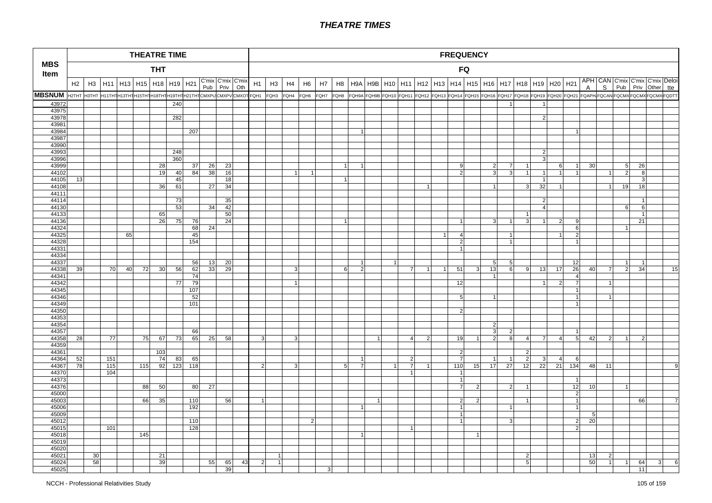|                                                                                      |          |          |            |    | <b>THEATRE TIME</b>        |           |            |                   |          |     |                |                |                |                |              |                |                      |              |                |                |              | <b>FREQUENCY</b>                 |                |                      |                                                                                                                                            |                                       |                                  |                 |                                |                                 |                                  |                |                |
|--------------------------------------------------------------------------------------|----------|----------|------------|----|----------------------------|-----------|------------|-------------------|----------|-----|----------------|----------------|----------------|----------------|--------------|----------------|----------------------|--------------|----------------|----------------|--------------|----------------------------------|----------------|----------------------|--------------------------------------------------------------------------------------------------------------------------------------------|---------------------------------------|----------------------------------|-----------------|--------------------------------|---------------------------------|----------------------------------|----------------|----------------|
| <b>MBS</b><br>Item                                                                   |          |          |            |    | <b>THT</b>                 |           |            |                   |          |     |                |                |                |                |              |                |                      |              |                |                |              | <b>FQ</b>                        |                |                      |                                                                                                                                            |                                       |                                  |                 |                                |                                 |                                  |                |                |
|                                                                                      | H2       |          |            |    | H3 H11 H13 H15 H18 H19 H21 |           |            | C'mix C'mix C'mix |          |     | H1             | H3             | H4             | H <sub>6</sub> | H7           |                |                      |              |                |                |              |                                  |                |                      | H8   H9A   H9B   H10   H11   H12   H13   H14   H15   H16   H17   H18   H19   H20   H21                                                     |                                       |                                  |                 |                                | APH CAN C'mix C'mix C'mix Deloi |                                  |                |                |
| MBSNUM H2THT H3THT H11THTH13THTH15THTH18THTH19THTH21THTCMXPUCMXPVCMXOTFQH1 FQH3 FQH4 |          |          |            |    |                            |           |            |                   | Pub Priv | Oth |                |                |                |                |              |                |                      |              |                |                |              |                                  |                |                      | FQH6  FQH7  FQH8  FQH9A FQH9B FQH10 FQH11  FQH12 FQH13 FQH14 FQH15 FQH16 FQH17 FQH18 FQH19 FQH20 FQH21 FQAPH FQCAN FQCMX FQCMX FQCMX FQCMX |                                       |                                  | A               | S                              | Pub Priv Other tte              |                                  |                |                |
| 43972                                                                                |          |          |            |    |                            | 240       |            |                   |          |     |                |                |                |                |              |                |                      |              |                |                |              |                                  |                |                      | $\overline{1}$                                                                                                                             | $\mathbf{1}$                          |                                  |                 |                                |                                 |                                  |                |                |
| 43975<br>43978                                                                       |          |          |            |    |                            | 282       |            |                   |          |     |                |                |                |                |              |                |                      |              |                |                |              |                                  |                |                      |                                                                                                                                            | 2 <sup>1</sup>                        |                                  |                 |                                |                                 |                                  |                |                |
| 43981                                                                                |          |          |            |    |                            |           |            |                   |          |     |                |                |                |                |              |                |                      |              |                |                |              |                                  |                |                      |                                                                                                                                            |                                       |                                  |                 |                                |                                 |                                  |                |                |
| 43984                                                                                |          |          |            |    |                            |           | 207        |                   |          |     |                |                |                |                |              |                | $\vert$              |              |                |                |              |                                  |                |                      |                                                                                                                                            |                                       | 11                               |                 |                                |                                 |                                  |                |                |
| 43987                                                                                |          |          |            |    |                            |           |            |                   |          |     |                |                |                |                |              |                |                      |              |                |                |              |                                  |                |                      |                                                                                                                                            |                                       |                                  |                 |                                |                                 |                                  |                |                |
| 43990<br>43993                                                                       |          |          |            |    |                            | 248       |            |                   |          |     |                |                |                |                |              |                |                      |              |                |                |              |                                  |                |                      |                                                                                                                                            | $\overline{2}$                        |                                  |                 |                                |                                 |                                  |                |                |
| 43996                                                                                |          |          |            |    |                            | 360       |            |                   |          |     |                |                |                |                |              |                |                      |              |                |                |              |                                  |                |                      |                                                                                                                                            | 3 <sup>1</sup>                        |                                  |                 |                                |                                 |                                  |                |                |
| 43999                                                                                |          |          |            |    | 28                         |           | 37         | 26                | 23       |     |                |                |                |                |              | 1              | $\overline{1}$       |              |                |                |              | 9                                |                | $2 \vert$            | $\overline{7}$<br>1                                                                                                                        | $6 \overline{6}$                      | 1                                | 30              |                                | $5\overline{)}$                 | 26                               |                |                |
| 44102<br>44105                                                                       | 13       |          |            |    | 19                         | 40<br>45  | 84         | 38                | 16<br>18 |     |                |                | 11             | 1              |              | 11             |                      |              |                |                |              | 2                                |                | 3 <sup>1</sup>       | $\mathbf{3}$<br>1                                                                                                                          | 1<br>$\mathbf{1}$<br>1 <sup>1</sup>   | 1                                |                 | $\mathbf{1}$                   | $\overline{2}$                  | 8 <sup>1</sup><br>3 <sup>l</sup> |                |                |
| 44108                                                                                |          |          |            |    | 36                         | 61        |            | 27                | 34       |     |                |                |                |                |              |                |                      |              |                | $\mathbf{1}$   |              |                                  |                | 1 <sup>1</sup>       | 3                                                                                                                                          | 32<br>1 <sup>1</sup>                  |                                  |                 | $\mathbf{1}$                   | 19                              | 18                               |                |                |
| 44111                                                                                |          |          |            |    |                            |           |            |                   |          |     |                |                |                |                |              |                |                      |              |                |                |              |                                  |                |                      |                                                                                                                                            |                                       |                                  |                 |                                |                                 |                                  |                |                |
| 44114<br>44130                                                                       |          |          |            |    |                            | 73<br>53  |            | 34                | 35<br>42 |     |                |                |                |                |              |                |                      |              |                |                |              |                                  |                |                      |                                                                                                                                            | $\mathbf{2}$<br>$\vert$ 4             |                                  |                 |                                | 6                               | $\overline{1}$<br>6              |                |                |
| 44133                                                                                |          |          |            |    | 65                         |           |            |                   | 50       |     |                |                |                |                |              |                |                      |              |                |                |              |                                  |                |                      |                                                                                                                                            |                                       |                                  |                 |                                |                                 | $\mathbf{1}$                     |                |                |
| 44136                                                                                |          |          |            |    | 26                         | 75        | 76         |                   | 24       |     |                |                |                |                |              | 11             |                      |              |                |                |              | 1                                |                | 3 <sup>1</sup>       | 3<br>$\mathbf{1}$                                                                                                                          | 2<br>$\mathbf{1}$                     | 9                                |                 |                                |                                 | 21                               |                |                |
| 44324                                                                                |          |          |            | 65 |                            |           | 68<br>45   | 24                |          |     |                |                |                |                |              |                |                      |              |                |                | $\mathbf{1}$ | $\overline{4}$                   |                |                      | 1                                                                                                                                          | $\vert$ 1                             | 6<br>$\overline{2}$              |                 |                                | 1                               |                                  |                |                |
| 44325<br>44328                                                                       |          |          |            |    |                            |           | 154        |                   |          |     |                |                |                |                |              |                |                      |              |                |                |              | 2                                |                |                      | $\overline{1}$                                                                                                                             |                                       | 11                               |                 |                                |                                 |                                  |                |                |
| 44331                                                                                |          |          |            |    |                            |           |            |                   |          |     |                |                |                |                |              |                |                      |              |                |                |              | 1                                |                |                      |                                                                                                                                            |                                       |                                  |                 |                                |                                 |                                  |                |                |
| 44334                                                                                |          |          |            |    |                            |           |            |                   |          |     |                |                |                |                |              |                |                      |              |                |                |              |                                  |                |                      |                                                                                                                                            |                                       |                                  |                 |                                |                                 |                                  |                |                |
| 44337<br>44338                                                                       | 39       |          | 70         | 40 | 72<br>30 <sup>1</sup>      | 56        | 56<br>62   | 13<br>33          | 20<br>29 |     |                |                | $\mathbf{3}$   |                |              | 6              | -1<br>2 <sup>1</sup> | 11           | $\overline{7}$ | $\overline{1}$ | 11           | 51                               | 3 <sup>1</sup> | 5 <sup>1</sup><br>13 | $5\phantom{.0}$<br>$6 \mid$<br>9                                                                                                           | 13<br>17                              | 12<br>26                         | 40              | $\overline{7}$                 | 1<br>$\overline{2}$             | $\overline{1}$<br>34             |                | 15             |
| 44341                                                                                |          |          |            |    |                            |           | 74         |                   |          |     |                |                |                |                |              |                |                      |              |                |                |              |                                  |                | 1 <sup>1</sup>       |                                                                                                                                            |                                       | $\overline{4}$                   |                 |                                |                                 |                                  |                |                |
| 44342                                                                                |          |          |            |    |                            | 77        | 79         |                   |          |     |                |                | $\overline{1}$ |                |              |                |                      |              |                |                |              | 12                               |                |                      |                                                                                                                                            | $\overline{2}$<br>$\mathbf{1}$        | $\overline{7}$                   |                 | $\mathbf{1}$                   |                                 |                                  |                |                |
| 44345                                                                                |          |          |            |    |                            |           | 107        |                   |          |     |                |                |                |                |              |                |                      |              |                |                |              |                                  |                | 1 <sup>1</sup>       |                                                                                                                                            |                                       | 1                                |                 |                                |                                 |                                  |                |                |
| 44346<br>44349                                                                       |          |          |            |    |                            |           | 52<br>101  |                   |          |     |                |                |                |                |              |                |                      |              |                |                |              | 5 <sup>1</sup>                   |                |                      |                                                                                                                                            |                                       | 1<br>11                          |                 | $\mathbf{1}$                   |                                 |                                  |                |                |
| 44350                                                                                |          |          |            |    |                            |           |            |                   |          |     |                |                |                |                |              |                |                      |              |                |                |              | 2 <sup>1</sup>                   |                |                      |                                                                                                                                            |                                       |                                  |                 |                                |                                 |                                  |                |                |
| 44353                                                                                |          |          |            |    |                            |           |            |                   |          |     |                |                |                |                |              |                |                      |              |                |                |              |                                  |                |                      |                                                                                                                                            |                                       |                                  |                 |                                |                                 |                                  |                |                |
| 44354<br>44357                                                                       |          |          |            |    |                            |           | 66         |                   |          |     |                |                |                |                |              |                |                      |              |                |                |              |                                  |                | $2 \vert$<br>3       | $\overline{2}$                                                                                                                             |                                       | 11                               |                 |                                |                                 |                                  |                |                |
| 44358                                                                                | 28       |          | 77         |    | 75<br>67                   | 73        | 65         | 25                | 58       |     | $\overline{3}$ |                | $\overline{3}$ |                |              |                | 1                    |              | $\overline{4}$ | $\overline{2}$ |              | 19                               | 11             | $\overline{2}$       | 8<br>$\overline{4}$                                                                                                                        | 7<br>$\overline{4}$                   | 5 <sup>1</sup>                   | 42              | $\overline{2}$                 | 1                               | $\overline{2}$                   |                |                |
| 44359                                                                                |          |          |            |    |                            |           |            |                   |          |     |                |                |                |                |              |                |                      |              |                |                |              |                                  |                |                      |                                                                                                                                            |                                       |                                  |                 |                                |                                 |                                  |                |                |
| 44361                                                                                |          |          |            |    | 103                        |           |            |                   |          |     |                |                |                |                |              |                |                      |              | $\overline{2}$ |                |              | $\overline{2}$<br>$\overline{7}$ |                |                      | $\overline{2}$                                                                                                                             |                                       |                                  |                 |                                |                                 |                                  |                |                |
| 44364<br>44367                                                                       | 52<br>78 |          | 151<br>115 |    | 74<br>92<br>115            | 83<br>123 | 65<br>118  |                   |          |     | $\overline{2}$ |                | 3 <sup>1</sup> |                |              | 5 <sup>1</sup> | 1<br>$\overline{7}$  | $\mathbf{1}$ | $\overline{7}$ | $\overline{1}$ |              | 110                              | 15             | 1<br>17              | $\overline{2}$<br>$\overline{1}$<br>27<br>12                                                                                               | 3 <sup>1</sup><br>$\vert$<br>22<br>21 | $6 \mid$<br>$134$                | 48              | 11                             |                                 |                                  |                | ٩              |
| 44370                                                                                |          |          | 104        |    |                            |           |            |                   |          |     |                |                |                |                |              |                |                      |              | $\overline{1}$ |                |              | $\overline{1}$                   |                |                      |                                                                                                                                            |                                       |                                  |                 |                                |                                 |                                  |                |                |
| 44373                                                                                |          |          |            |    |                            |           |            |                   |          |     |                |                |                |                |              |                |                      |              |                |                |              | $\mathbf{1}$                     |                |                      |                                                                                                                                            |                                       | $\overline{1}$                   |                 |                                |                                 |                                  |                |                |
| 44376<br>45000                                                                       |          |          |            |    | 88<br>50                   |           | 80         | 27                |          |     |                |                |                |                |              |                |                      |              |                |                |              | 7                                | $\overline{2}$ |                      | $\overline{2}$<br>1                                                                                                                        |                                       | 12<br>$\overline{2}$             | 10              |                                | 1                               |                                  |                |                |
| 45003                                                                                |          |          |            |    | 35<br>66                   |           | 110        |                   | 56       |     | 11             |                |                |                |              |                | 11                   |              |                |                |              | $2 \vert$                        | $\overline{2}$ |                      | 1                                                                                                                                          |                                       | 1                                |                 |                                |                                 | 66                               |                | $\overline{7}$ |
| 45006                                                                                |          |          |            |    |                            |           | 192        |                   |          |     |                |                |                |                |              |                | $\mathbf{1}$         |              |                |                |              | $\mathbf{1}$                     |                |                      | $\overline{1}$                                                                                                                             |                                       | $\vert$ 1                        |                 |                                |                                 |                                  |                |                |
| 45009                                                                                |          |          |            |    |                            |           |            |                   |          |     |                |                |                |                |              |                |                      |              |                |                |              | $\mathbf{1}$                     |                |                      |                                                                                                                                            |                                       |                                  | $5\phantom{.0}$ |                                |                                 |                                  |                |                |
| 45012<br>45015                                                                       |          |          | 101        |    |                            |           | 110<br>128 |                   |          |     |                |                |                | 2              |              |                |                      |              |                |                |              | 1                                |                |                      | $\mathbf{3}$                                                                                                                               |                                       | $\overline{2}$<br>$\overline{2}$ | 20              |                                |                                 |                                  |                |                |
| 45018                                                                                |          |          |            |    | 145                        |           |            |                   |          |     |                |                |                |                |              |                | $\mathbf{1}$         |              |                |                |              |                                  | $\overline{1}$ |                      |                                                                                                                                            |                                       |                                  |                 |                                |                                 |                                  |                |                |
| 45019                                                                                |          |          |            |    |                            |           |            |                   |          |     |                |                |                |                |              |                |                      |              |                |                |              |                                  |                |                      |                                                                                                                                            |                                       |                                  |                 |                                |                                 |                                  |                |                |
| 45020                                                                                |          |          |            |    | 21                         |           |            |                   |          |     |                | 1              |                |                |              |                |                      |              |                |                |              |                                  |                |                      |                                                                                                                                            |                                       |                                  |                 |                                |                                 |                                  |                |                |
| 45021<br>45024                                                                       |          | 30<br>58 |            |    | 39                         |           |            | 55                | 65       | 43  | $\overline{2}$ | $\overline{1}$ |                |                |              |                |                      |              |                |                |              |                                  |                |                      | $\vert$ 2<br>5 <sub>l</sub>                                                                                                                |                                       |                                  | 13<br>50        | $\overline{2}$<br>$\mathbf{1}$ | 1                               | 64                               | 3 <sup>1</sup> | 6              |
| 45025                                                                                |          |          |            |    |                            |           |            |                   | 39       |     |                |                |                |                | $\mathbf{3}$ |                |                      |              |                |                |              |                                  |                |                      |                                                                                                                                            |                                       |                                  |                 |                                |                                 | 11                               |                |                |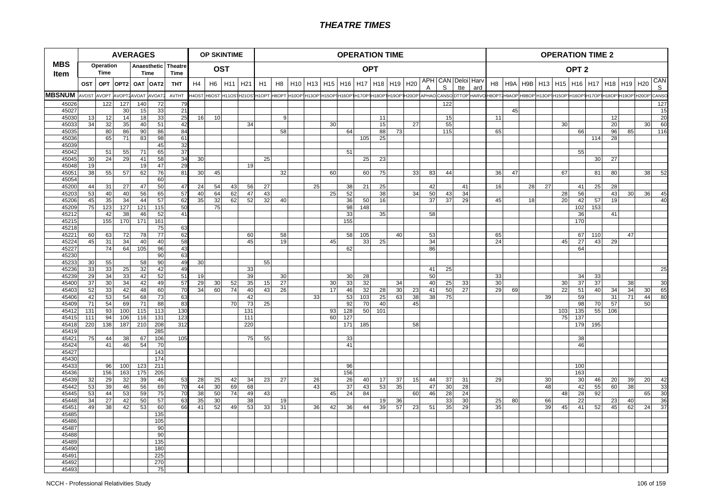|                           |                       | <b>AVERAGES</b><br><b>OP SKINTIME</b><br>Operation<br>Anaesthetic<br><b>Theatre</b> |           |                                |            |                 |                |            |          |          |          |          |                                                                                                                 |                 | <b>OPERATION TIME</b> |            |                       |          |    |                               |                 |          |     |          |    |    | <b>OPERATION TIME 2</b>                                           |                  |           |                 |          |          |                             |
|---------------------------|-----------------------|-------------------------------------------------------------------------------------|-----------|--------------------------------|------------|-----------------|----------------|------------|----------|----------|----------|----------|-----------------------------------------------------------------------------------------------------------------|-----------------|-----------------------|------------|-----------------------|----------|----|-------------------------------|-----------------|----------|-----|----------|----|----|-------------------------------------------------------------------|------------------|-----------|-----------------|----------|----------|-----------------------------|
| <b>MBS</b><br><b>Item</b> |                       | Time                                                                                |           | <b>Time</b>                    |            | Time            |                | <b>OST</b> |          |          |          |          |                                                                                                                 |                 |                       | <b>OPT</b> |                       |          |    |                               |                 |          |     |          |    |    |                                                                   | OPT <sub>2</sub> |           |                 |          |          |                             |
|                           | <b>OST</b>            |                                                                                     |           | OPT OPT2 OAT OAT2              |            | <b>THT</b>      | H <sub>4</sub> |            | H6 H11   | H21      | H1       | H8       | H10   H13   H15   H16   H17   H18   H19   H20                                                                   |                 |                       |            |                       |          |    | APH   CAN   Deloi   Harv<br>A | S               | tte      | ard |          |    |    | H8   H9A   H9B   H13   H15   H16   H17   H18   H19   H20          |                  |           |                 |          |          | CAN<br>S.                   |
| <b>MBSNUM</b>             |                       |                                                                                     |           | AVOST AVOPT AVOPTZAVOAT AVOATZ |            | AVTHT           |                |            |          |          |          |          | 140ST  H6OST  H11OSTH21OSTH1OPT  H8OPT  H10OPTH13OPTH15OPTH16OPTH17OPTH18OPTH19OPTH20OPTAPHAO CANSO DTTOPTHARVO |                 |                       |            |                       |          |    |                               |                 |          |     |          |    |    | H8OPT/H9AOP H9BOP H13OP H15OP H16OP H17OP H18OP H19OP H20OP CANSC |                  |           |                 |          |          |                             |
| 45026                     |                       | 122                                                                                 | 127       | 140                            | 72         | 79              |                |            |          |          |          |          |                                                                                                                 |                 |                       |            |                       |          |    |                               | 122             |          |     |          |    |    |                                                                   |                  |           |                 |          |          | 127                         |
| 45027                     |                       |                                                                                     | 30        | 15                             | 33         | 21              |                |            |          |          |          |          |                                                                                                                 |                 |                       |            |                       |          |    |                               |                 |          |     |          | 45 |    |                                                                   |                  |           |                 |          |          | 15                          |
| 45030<br>45033            | 13<br>34              | 12<br>32                                                                            | 14<br>35  | 18<br>40                       | 33<br>51   | 25<br>42        | 16             | 10         |          | 34       |          | 9        |                                                                                                                 | 30 <sup>1</sup> |                       |            | 11<br>15              |          | 27 |                               | 15<br>55        |          |     | 11       |    |    |                                                                   | 30               |           |                 | 12<br>20 |          | 20<br>30 <sub>1</sub><br>60 |
| 45035                     |                       | 80                                                                                  | 86        | 90                             | 86         | 84              |                |            |          |          |          | 58       |                                                                                                                 |                 | 64                    |            | 88                    | 73       |    |                               | 115             |          |     | 65       |    |    |                                                                   |                  | 66        |                 | 96       | 85       | 116                         |
| 45036                     |                       | 65                                                                                  | 71        | 83                             | 98         | 61              |                |            |          |          |          |          |                                                                                                                 |                 |                       | 105        | 25                    |          |    |                               |                 |          |     |          |    |    |                                                                   |                  |           | 114             | 28       |          |                             |
| 45039                     |                       |                                                                                     |           |                                | 45         | 32              |                |            |          |          |          |          |                                                                                                                 |                 |                       |            |                       |          |    |                               |                 |          |     |          |    |    |                                                                   |                  |           |                 |          |          |                             |
| 45042                     |                       | 51                                                                                  | 55        | 71                             | 65         | $\overline{37}$ |                |            |          |          |          |          |                                                                                                                 |                 | 51                    |            |                       |          |    |                               |                 |          |     |          |    |    |                                                                   |                  | 55        |                 |          |          |                             |
| 45045<br>45048            | 30 <sup>°</sup><br>19 | 24                                                                                  | 29        | 41<br>19                       | 58<br>47   | 34<br>29        | 30             |            |          | 19       | 25       |          |                                                                                                                 |                 |                       | 25         | 23                    |          |    |                               |                 |          |     |          |    |    |                                                                   |                  |           | 30 <sub>l</sub> | 27       |          |                             |
| 45051                     | 38                    | 55                                                                                  | 57        | 62                             | 76         | 81              | 30             | 45         |          |          |          | 32       |                                                                                                                 | 60              |                       | 60         | 75                    |          | 33 | 83                            | 44              |          |     | 36       | 47 |    |                                                                   | 67               |           | 81              | 80       |          | 38<br>52                    |
| 45054                     |                       |                                                                                     |           |                                | 60         |                 |                |            |          |          |          |          |                                                                                                                 |                 |                       |            |                       |          |    |                               |                 |          |     |          |    |    |                                                                   |                  |           |                 |          |          |                             |
| 45200                     | 44                    | 31                                                                                  | 27        | 47                             | 50         | 47              | 24             | 54         | 43       | 56       | 27       |          | 25                                                                                                              |                 | 38                    | 21         | 25                    |          |    | 42                            |                 | 41       |     | 16       |    | 28 | 27                                                                |                  | 41        | 25              | 28       |          |                             |
| 45203                     | 53                    | 40                                                                                  | 40        | 56                             | 65         | 57              | 40             | 64         | 62       | 47       | 43       |          |                                                                                                                 | 25              | 52                    |            | 38                    |          | 34 | 50                            | 43              | 34       |     |          |    |    |                                                                   | 28               | 56        |                 | 43       | 30       | 36 <sup>1</sup><br>45       |
| 45206<br>45209            | 45<br>75              | 35<br>123                                                                           | 34<br>127 | 44<br>121                      | 57<br>115  | 62<br>50        | 35             | 32<br>75   | 62       | 52       | 32       | 40       |                                                                                                                 |                 | 36<br>98              | 50<br>148  | 16                    |          |    | 37                            | 37              | 29       |     | 45       |    | 18 |                                                                   | 20               | 42<br>102 | 57<br>153       | 19       |          | 40                          |
| 45212                     |                       | 42                                                                                  | 38        | 46                             | 52         | 41              |                |            |          |          |          |          |                                                                                                                 |                 | 33                    |            | 35                    |          |    | 58                            |                 |          |     |          |    |    |                                                                   |                  | 36        |                 | 41       |          |                             |
| 45215                     |                       | 155                                                                                 | 170       | 171                            | 161        |                 |                |            |          |          |          |          |                                                                                                                 |                 | 155                   |            |                       |          |    |                               |                 |          |     |          |    |    |                                                                   |                  | 170       |                 |          |          |                             |
| 45218                     |                       |                                                                                     |           |                                | 75         | 63              |                |            |          |          |          |          |                                                                                                                 |                 |                       |            |                       |          |    |                               |                 |          |     |          |    |    |                                                                   |                  |           |                 |          |          |                             |
| 45221                     | 60                    | 63                                                                                  | 72        | 78                             | 77         | 62              |                |            |          | 60       |          | 58       |                                                                                                                 |                 | 58                    | 105        |                       | 40       |    | 53                            |                 |          |     | 65       |    |    |                                                                   |                  | 67        | 110             |          | 47       |                             |
| 45224<br>45227            | 45                    | 31<br>74                                                                            | 34<br>64  | 40<br>105                      | 40<br>96   | 58<br>43        |                |            |          | 45       |          | 19       |                                                                                                                 | 45              | 62                    | 33         | 25                    |          |    | 34<br>86                      |                 |          |     | 24       |    |    |                                                                   | 45               | 27<br>64  | 43              | 29       |          |                             |
| 45230                     |                       |                                                                                     |           |                                | 90         | 63              |                |            |          |          |          |          |                                                                                                                 |                 |                       |            |                       |          |    |                               |                 |          |     |          |    |    |                                                                   |                  |           |                 |          |          |                             |
| 45233                     | 30                    | 55                                                                                  |           | 58                             | 90         | 4S              | 30             |            |          |          | 55       |          |                                                                                                                 |                 |                       |            |                       |          |    |                               |                 |          |     |          |    |    |                                                                   |                  |           |                 |          |          |                             |
| 45236                     | 33                    | 33                                                                                  | 25        | 32                             | 42         | 4S              |                |            |          | 33       |          |          |                                                                                                                 |                 |                       |            |                       |          |    | 41                            | 25              |          |     |          |    |    |                                                                   |                  |           |                 |          |          | 25                          |
| 45239                     | 29                    | 34                                                                                  | 33        | 42                             | 52         | 51              | 19             |            |          | 39       |          | 30       |                                                                                                                 |                 | 30 <sup>1</sup>       | 28         |                       |          |    | 50                            |                 |          |     | 33       |    |    |                                                                   |                  | 34        | 33              |          |          |                             |
| 45400<br>45403            | 37<br>52              | 30<br>33                                                                            | 34<br>42  | 42<br>48                       | 49<br>60   | 57<br>70        | 29<br>34       | 30<br>60   | 52<br>74 | 35<br>40 | 15<br>43 | 27<br>26 |                                                                                                                 | 30<br>17        | 33<br>46              | 32<br>32   | 28                    | 34<br>30 | 23 | 40<br>41                      | 25<br>50        | 33<br>27 |     | 30<br>29 | 69 |    |                                                                   | 30<br>22         | 37<br>51  | 37<br>40        | 34       | 38<br>34 | 30<br>30<br>65              |
| 45406                     | 42                    | 53                                                                                  | 54        | 68                             | 73         | 63              |                |            |          | 42       |          |          | 33                                                                                                              |                 | 53                    | 103        | 25                    | 63       | 38 | 38                            | 75              |          |     |          |    |    | 39                                                                |                  | 59        |                 | 31       | 71       | 44<br>80                    |
| 45409                     | 71                    | 54                                                                                  | 69        | 71                             | 88         | 83              |                |            | 70       | 73       | 25       |          |                                                                                                                 |                 | 92                    | 70         | 40                    |          | 45 |                               |                 |          |     |          |    |    |                                                                   |                  | 98        | 70              | 57       |          | 50                          |
| 45412                     | 131                   | 93                                                                                  | 100       | 115                            | 113        | 130             |                |            |          | 131      |          |          |                                                                                                                 | 93              | 128                   | 50         | 101                   |          |    |                               |                 |          |     |          |    |    |                                                                   | 103<br>135       |           | 55              | 106      |          |                             |
| 45415                     | 111                   | 94                                                                                  | 106       | 116                            | 131        | 123             |                |            |          | 111      |          |          |                                                                                                                 | 60              | 127                   |            |                       |          |    |                               |                 |          |     |          |    |    |                                                                   | 75<br>137        |           |                 |          |          |                             |
| 45418<br>45419            | 220                   | 138                                                                                 | 187       | 210                            | 208<br>285 | 312             |                |            |          | 220      |          |          |                                                                                                                 |                 | 171                   | 185        |                       |          | 58 |                               |                 |          |     |          |    |    |                                                                   |                  | 179       | 195             |          |          |                             |
| 45421                     | 75                    | 44                                                                                  | 38        | 67                             | 106        | 105             |                |            |          | 75       | 55       |          |                                                                                                                 |                 | 33                    |            |                       |          |    |                               |                 |          |     |          |    |    |                                                                   |                  | 38        |                 |          |          |                             |
| 45424                     |                       | 41                                                                                  | 46        | 54                             | 70         |                 |                |            |          |          |          |          |                                                                                                                 |                 | 41                    |            |                       |          |    |                               |                 |          |     |          |    |    |                                                                   |                  | 46        |                 |          |          |                             |
| 45427                     |                       |                                                                                     |           |                                | 143        |                 |                |            |          |          |          |          |                                                                                                                 |                 |                       |            |                       |          |    |                               |                 |          |     |          |    |    |                                                                   |                  |           |                 |          |          |                             |
| 45430<br>45433            |                       | 96                                                                                  | 100       | 123                            | 174<br>211 |                 |                |            |          |          |          |          |                                                                                                                 |                 | 96                    |            |                       |          |    |                               |                 |          |     |          |    |    |                                                                   | 100              |           |                 |          |          |                             |
| 45436                     |                       | 156                                                                                 | 163       | 175                            | 205        |                 |                |            |          |          |          |          |                                                                                                                 |                 | 156                   |            |                       |          |    |                               |                 |          |     |          |    |    |                                                                   | 163              |           |                 |          |          |                             |
| 45439                     | 32                    | 29                                                                                  | 32        | 39                             | 46         | 53              | 28             | 25         | 42       | 34       | 23       | 27       | 26                                                                                                              |                 | 26                    | 40         | 17                    | 37       | 15 | 44                            | 37              | 31       |     | 29       |    |    | 30                                                                |                  | 30        | 46              | 20       | 39       | 20<br>42                    |
| 45442                     | 53                    | 39                                                                                  | 46        | 56                             | 69         | 70              | 44             | 30         | 69       | 68       |          |          | 43                                                                                                              |                 | 37                    | 43         | 53                    | 35       |    | 47                            | 30 <sup>1</sup> | 28       |     |          |    |    | 48                                                                |                  | 42        | 55              | 60       | 38       | 33                          |
| 45445                     | 53                    | 44                                                                                  | 53        | 59                             | 75         | 70              | 38             | 50         | 74       | 49       | 43       |          |                                                                                                                 | 45              | 24                    | 84         |                       |          | 60 | 46                            | 28              | 24       |     |          |    |    |                                                                   | 48               | 28        | 92              |          |          | 65<br>30                    |
| 45448<br>45451            | 34<br>49              | 27<br>38                                                                            | 42<br>42  | 50<br>53                       | 57<br>60   | 63<br>66        | 35<br>41       | 30<br>52   | 49       | 38<br>53 | 33       | 19<br>31 | 36                                                                                                              | 42              | 36                    | 44         | 19 <sup>1</sup><br>39 | 36<br>57 | 23 | 51                            | 33<br>35        | 30<br>29 |     | 25<br>35 | 80 |    | 66<br>39                                                          | 45               | 22<br>41  | 52              | 23<br>45 | 40<br>62 | 36<br>24<br>37              |
| 45485                     |                       |                                                                                     |           |                                | 135        |                 |                |            |          |          |          |          |                                                                                                                 |                 |                       |            |                       |          |    |                               |                 |          |     |          |    |    |                                                                   |                  |           |                 |          |          |                             |
| 45486                     |                       |                                                                                     |           |                                | 105        |                 |                |            |          |          |          |          |                                                                                                                 |                 |                       |            |                       |          |    |                               |                 |          |     |          |    |    |                                                                   |                  |           |                 |          |          |                             |
| 45487                     |                       |                                                                                     |           |                                | 90         |                 |                |            |          |          |          |          |                                                                                                                 |                 |                       |            |                       |          |    |                               |                 |          |     |          |    |    |                                                                   |                  |           |                 |          |          |                             |
| 45488                     |                       |                                                                                     |           |                                | 90         |                 |                |            |          |          |          |          |                                                                                                                 |                 |                       |            |                       |          |    |                               |                 |          |     |          |    |    |                                                                   |                  |           |                 |          |          |                             |
| 45489<br>45490            |                       |                                                                                     |           |                                | 135<br>180 |                 |                |            |          |          |          |          |                                                                                                                 |                 |                       |            |                       |          |    |                               |                 |          |     |          |    |    |                                                                   |                  |           |                 |          |          |                             |
| 45491                     |                       |                                                                                     |           |                                | 225        |                 |                |            |          |          |          |          |                                                                                                                 |                 |                       |            |                       |          |    |                               |                 |          |     |          |    |    |                                                                   |                  |           |                 |          |          |                             |
| 45492                     |                       |                                                                                     |           |                                | 270        |                 |                |            |          |          |          |          |                                                                                                                 |                 |                       |            |                       |          |    |                               |                 |          |     |          |    |    |                                                                   |                  |           |                 |          |          |                             |
| 45493                     |                       |                                                                                     |           |                                | 75         |                 |                |            |          |          |          |          |                                                                                                                 |                 |                       |            |                       |          |    |                               |                 |          |     |          |    |    |                                                                   |                  |           |                 |          |          |                             |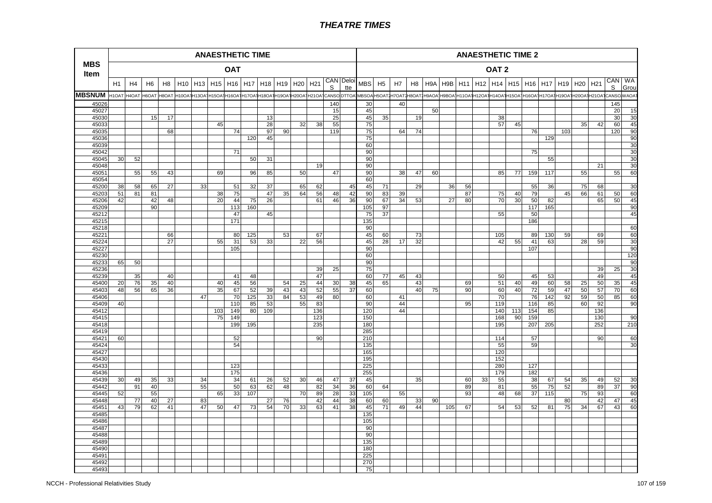|                                                                                                    |                 |          |                                       |                |                 |                                               |     |            |     |          |    |    |            |                       |     |            |                               |    |                |                  |     |    |    |                  | <b>ANAESTHETIC TIME 2</b>                                              |            |     |     |    |            |             |           |
|----------------------------------------------------------------------------------------------------|-----------------|----------|---------------------------------------|----------------|-----------------|-----------------------------------------------|-----|------------|-----|----------|----|----|------------|-----------------------|-----|------------|-------------------------------|----|----------------|------------------|-----|----|----|------------------|------------------------------------------------------------------------|------------|-----|-----|----|------------|-------------|-----------|
| <b>MBS</b><br><b>Item</b>                                                                          |                 |          | <b>ANAESTHETIC TIME</b><br><b>OAT</b> |                |                 |                                               |     |            |     |          |    |    |            |                       |     |            |                               |    |                |                  |     |    |    | OAT <sub>2</sub> |                                                                        |            |     |     |    |            |             |           |
|                                                                                                    | H1              | H4       | H <sub>6</sub>                        | H <sub>8</sub> | H <sub>10</sub> | H13   H15   H16   H17   H18   H19   H20   H21 |     |            |     |          |    |    |            | <b>CAN Deloi</b><br>S | tte | <b>MBS</b> | H <sub>5</sub>                | H7 | H <sub>8</sub> | H <sub>9</sub> A |     |    |    |                  | H9B   H11   H12   H14   H15   H16   H17   H19   H20   H21              |            |     |     |    |            | CAN WA<br>S | Grou      |
| MBSNUM  H1OAT H4OAT H6OAT H8OAT H10OAT H13OATH15OATH16OATH17OATH18OATH19OATH20OATH21OATCANSO DTTOA |                 |          |                                       |                |                 |                                               |     |            |     |          |    |    |            |                       |     |            | MBSOA H5OAT2H7OAT2H8OAT2H9AOA |    |                |                  |     |    |    |                  | H9BOA H110A H12OA H14OA H15OA H16OA H17OA H19OA H20OA H21OA CANSO WAOA |            |     |     |    |            |             |           |
| 45026                                                                                              |                 |          |                                       |                |                 |                                               |     |            |     |          |    |    |            | 140                   |     | 30         |                               | 40 |                |                  |     |    |    |                  |                                                                        |            |     |     |    |            | 145         |           |
| 45027                                                                                              |                 |          |                                       |                |                 |                                               |     |            |     |          |    |    |            | 15                    |     | 45         |                               |    |                | 50               |     |    |    |                  |                                                                        |            |     |     |    |            | 20          | 15        |
| 45030                                                                                              |                 |          | 15                                    | 17             |                 |                                               |     |            |     | 13       |    |    |            | 25                    |     | 45         | 35                            |    | 19             |                  |     |    |    | 38               |                                                                        |            |     |     |    |            | 30          | 30        |
| 45033<br>45035                                                                                     |                 |          |                                       | 68             |                 |                                               | 45  | 74         |     | 28<br>97 | 90 | 32 | 38         | 55<br>119             |     | 75<br>75   |                               | 64 | 74             |                  |     |    |    | 57               | 45                                                                     | 76         |     | 103 | 35 | 42         | 60<br>120   | 45<br>90  |
| 45036                                                                                              |                 |          |                                       |                |                 |                                               |     |            | 120 | 45       |    |    |            |                       |     | 75         |                               |    |                |                  |     |    |    |                  |                                                                        |            | 129 |     |    |            |             | 90        |
| 45039                                                                                              |                 |          |                                       |                |                 |                                               |     |            |     |          |    |    |            |                       |     | 60         |                               |    |                |                  |     |    |    |                  |                                                                        |            |     |     |    |            |             | 30        |
| 45042                                                                                              |                 |          |                                       |                |                 |                                               |     | 71         |     |          |    |    |            |                       |     | 90         |                               |    |                |                  |     |    |    |                  |                                                                        | 75         |     |     |    |            |             | 30        |
| 45045                                                                                              | 30 <sup>°</sup> | 52       |                                       |                |                 |                                               |     |            | 50  | 31       |    |    |            |                       |     | 90         |                               |    |                |                  |     |    |    |                  |                                                                        |            | 55  |     |    |            |             | 30        |
| 45048                                                                                              |                 |          |                                       |                |                 |                                               |     |            |     |          |    |    | 19         |                       |     | 90         |                               |    |                |                  |     |    |    |                  |                                                                        |            |     |     |    | 21         |             | 30        |
| 45051<br>45054                                                                                     |                 | 55       | 55                                    | 43             |                 |                                               | 69  |            | 96  | 85       |    | 50 |            | 47                    |     | 90<br>60   |                               | 38 | 47             | 60               |     |    |    | 85               | 77                                                                     | 159        | 117 |     | 55 |            | 55          | 60        |
| 45200                                                                                              | 38              | 58       | 65                                    | 27             |                 | 33                                            |     | 51         | 32  | 37       |    | 65 | 62         |                       | 45  | 45         | 71                            |    | 29             |                  | 36  | 56 |    |                  |                                                                        | 55         | 36  |     | 75 | 68         |             | 30        |
| 45203                                                                                              | 51              | 81       | 81                                    |                |                 |                                               | 38  | 75         |     | 47       | 35 | 64 | 56         | 48                    | 42  | 90         | 83                            | 39 |                |                  |     | 87 |    | 75               | 40                                                                     | 79         |     | 45  | 66 | 61         | 50          | 60        |
| 45206                                                                                              | 42              |          | 42                                    | 48             |                 |                                               | 20  | 44         | 75  | 26       |    |    | 61         | 46                    | 36  | 90         | 67                            | 34 | 53             |                  | 27  | 80 |    | 70               | 30                                                                     | 50         | 82  |     |    | 65         | 50          | 45        |
| 45209                                                                                              |                 |          | 90                                    |                |                 |                                               |     | 113        | 160 |          |    |    |            |                       |     | 105        | 97                            |    |                |                  |     |    |    |                  |                                                                        | 117        | 165 |     |    |            |             | 90        |
| 45212                                                                                              |                 |          |                                       |                |                 |                                               |     | 47         |     | 45       |    |    |            |                       |     | 75         | 37                            |    |                |                  |     |    |    | 55               |                                                                        | 50         |     |     |    |            |             | 45        |
| 45215<br>45218                                                                                     |                 |          |                                       |                |                 |                                               |     | 171        |     |          |    |    |            |                       |     | 135<br>90  |                               |    |                |                  |     |    |    |                  |                                                                        | 186        |     |     |    |            |             | 60        |
| 45221                                                                                              |                 |          |                                       | 66             |                 |                                               |     | 80         | 125 |          | 53 |    | 67         |                       |     | 45         | 60                            |    | 73             |                  |     |    |    | 105              |                                                                        | 89         | 130 | 59  |    | 69         |             | 60        |
| 45224                                                                                              |                 |          |                                       | 27             |                 |                                               | 55  | 31         | 53  | 33       |    | 22 | 56         |                       |     | 45         | 28                            | 17 | 32             |                  |     |    |    | 42               | 55                                                                     | 41         | 63  |     | 28 | 59         |             | 30        |
| 45227                                                                                              |                 |          |                                       |                |                 |                                               |     | 105        |     |          |    |    |            |                       |     | 90         |                               |    |                |                  |     |    |    |                  |                                                                        | 107        |     |     |    |            |             | 90        |
| 45230                                                                                              |                 |          |                                       |                |                 |                                               |     |            |     |          |    |    |            |                       |     | 60         |                               |    |                |                  |     |    |    |                  |                                                                        |            |     |     |    |            |             | 120       |
| 45233                                                                                              | 65              | 50       |                                       |                |                 |                                               |     |            |     |          |    |    |            |                       |     | 90         |                               |    |                |                  |     |    |    |                  |                                                                        |            |     |     |    |            |             | 90        |
| 45236<br>45239                                                                                     |                 |          |                                       | 40             |                 |                                               |     | 41         | 48  |          |    |    | 39         | 25                    |     | 75<br>60   | 77                            | 45 | 43             |                  |     |    |    |                  |                                                                        | 45         | 53  |     |    | 39<br>49   | 25          | 30<br>45  |
| 45400                                                                                              | 20              | 35<br>76 | 35                                    | 40             |                 |                                               | 40  | 45         | 56  |          | 54 | 25 | 47<br>44   | 30                    | 38  | 45         | 65                            |    | 43             |                  |     | 69 |    | 50<br>51         | 40                                                                     | 49         | 60  | 58  | 25 | 50         | 35          | 45        |
| 45403                                                                                              | 48              | 56       | 65                                    | 36             |                 |                                               | 35  | 67         | 52  | 39       | 43 | 43 | 52         | 55                    | 37  | 60         |                               |    | 40             | 75               |     | 90 |    | 60               | 40                                                                     | 72         | 59  | 47  | 50 | 57         | 70          | 60        |
| 45406                                                                                              |                 |          |                                       |                |                 | 47                                            |     | 70         | 125 | 33       | 84 | 53 | 49         | 80                    |     | 60         |                               | 41 |                |                  |     |    |    | 70               |                                                                        | 76         | 142 | 92  | 59 | 50         | 85          | 60        |
| 45409                                                                                              | 40              |          |                                       |                |                 |                                               |     | 110        | 85  | 53       |    | 55 | 83         |                       |     | 90         |                               | 44 |                |                  |     | 95 |    | 119              |                                                                        | 116        | 85  |     | 60 | 92         |             | 90        |
| 45412                                                                                              |                 |          |                                       |                |                 |                                               | 103 | 149        | 80  | 109      |    |    | 136        |                       |     | 120        |                               | 44 |                |                  |     |    |    | 140              | 113                                                                    | 154        | 85  |     |    | 136        |             |           |
| 45415<br>45418                                                                                     |                 |          |                                       |                |                 |                                               | 75  | 149        | 195 |          |    |    | 123<br>235 |                       |     | 150<br>180 |                               |    |                |                  |     |    |    | 168              | 90                                                                     | 159<br>207 | 205 |     |    | 130<br>252 |             | 90<br>210 |
| 45419                                                                                              |                 |          |                                       |                |                 |                                               |     | 199        |     |          |    |    |            |                       |     | 285        |                               |    |                |                  |     |    |    | 195              |                                                                        |            |     |     |    |            |             |           |
| 45421                                                                                              | 60              |          |                                       |                |                 |                                               |     | 52         |     |          |    |    | 90         |                       |     | 210        |                               |    |                |                  |     |    |    | 114              |                                                                        | 57         |     |     |    | 90         |             | 60        |
| 45424                                                                                              |                 |          |                                       |                |                 |                                               |     | 54         |     |          |    |    |            |                       |     | 135        |                               |    |                |                  |     |    |    | 55               |                                                                        | 59         |     |     |    |            |             | 30        |
| 45427                                                                                              |                 |          |                                       |                |                 |                                               |     |            |     |          |    |    |            |                       |     | 165        |                               |    |                |                  |     |    |    | 120              |                                                                        |            |     |     |    |            |             |           |
| 45430                                                                                              |                 |          |                                       |                |                 |                                               |     |            |     |          |    |    |            |                       |     | 195        |                               |    |                |                  |     |    |    | 152              |                                                                        |            |     |     |    |            |             |           |
| 45433<br>45436                                                                                     |                 |          |                                       |                |                 |                                               |     | 123<br>175 |     |          |    |    |            |                       |     | 225<br>255 |                               |    |                |                  |     |    |    | 280<br>179       |                                                                        | 127<br>182 |     |     |    |            |             |           |
| 45439                                                                                              | 30              | 49       | 35                                    | 33             |                 | 34                                            |     | 34         | 61  | 26       | 52 | 30 | 46         | 47                    | 37  | 45         |                               |    | 35             |                  |     | 60 | 33 | 55               |                                                                        | 38         | 67  | 54  | 35 | 49         | 52          | 30        |
| 45442                                                                                              |                 | 91       | 40                                    |                |                 | 55                                            |     | 50         | 63  | 62       | 48 |    | 82         | 34                    | 36  | 60         | 64                            |    |                |                  |     | 89 |    | 81               |                                                                        | 55         | 75  | 52  |    | 89         | 37          | 90        |
| 45445                                                                                              | 52              |          | 55                                    |                |                 |                                               | 65  | 33         | 107 |          |    | 70 | 89         | 28                    | 33  | 105        |                               | 55 |                |                  |     | 93 |    | 48               | 68                                                                     | 37         | 115 |     | 75 | 93         |             | 60        |
| 45448                                                                                              |                 | 77       | 40                                    | 27             |                 | 83                                            |     |            |     | 27       | 76 |    | 42         | 44                    | 38  | 60         | 60                            |    | 33             | 90               |     |    |    |                  |                                                                        |            |     | 80  |    | 42         | 47          | 45        |
| 45451                                                                                              | 43              | 79       | 62                                    | 41             |                 | 47                                            | 50  | 47         | 73  | 54       | 70 | 33 | 63         | 41                    | 38  | 45         | 71                            | 49 | 44             |                  | 105 | 67 |    | 54               | 53                                                                     | 52         | 81  | 75  | 34 | 67         | 43          | 60        |
| 45485<br>45486                                                                                     |                 |          |                                       |                |                 |                                               |     |            |     |          |    |    |            |                       |     | 135<br>105 |                               |    |                |                  |     |    |    |                  |                                                                        |            |     |     |    |            |             |           |
| 45487                                                                                              |                 |          |                                       |                |                 |                                               |     |            |     |          |    |    |            |                       |     | 90         |                               |    |                |                  |     |    |    |                  |                                                                        |            |     |     |    |            |             |           |
| 45488                                                                                              |                 |          |                                       |                |                 |                                               |     |            |     |          |    |    |            |                       |     | 90         |                               |    |                |                  |     |    |    |                  |                                                                        |            |     |     |    |            |             |           |
| 45489                                                                                              |                 |          |                                       |                |                 |                                               |     |            |     |          |    |    |            |                       |     | 135        |                               |    |                |                  |     |    |    |                  |                                                                        |            |     |     |    |            |             |           |
| 45490                                                                                              |                 |          |                                       |                |                 |                                               |     |            |     |          |    |    |            |                       |     | 180        |                               |    |                |                  |     |    |    |                  |                                                                        |            |     |     |    |            |             |           |
| 45491                                                                                              |                 |          |                                       |                |                 |                                               |     |            |     |          |    |    |            |                       |     | 225        |                               |    |                |                  |     |    |    |                  |                                                                        |            |     |     |    |            |             |           |
| 45492                                                                                              |                 |          |                                       |                |                 |                                               |     |            |     |          |    |    |            |                       |     | 270        |                               |    |                |                  |     |    |    |                  |                                                                        |            |     |     |    |            |             |           |
| 45493                                                                                              |                 |          |                                       |                |                 |                                               |     |            |     |          |    |    |            |                       |     | 75         |                               |    |                |                  |     |    |    |                  |                                                                        |            |     |     |    |            |             |           |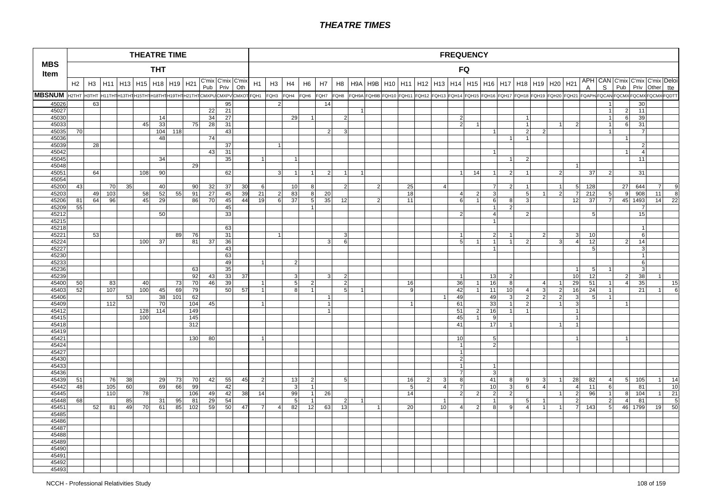|                                                                                                                  |          |    |           |          | <b>THEATRE TIME</b>               |                 |          |            |          |          |                                                                                                                                         |                |                |                                  |                     |                |                                  |                |  |                |                |                           |  | <b>FREQUENCY</b>    |                                              |                                                                                                                                                                                                                                |                                     |                      |                 |                                   |                                  |                                  |                |                |
|------------------------------------------------------------------------------------------------------------------|----------|----|-----------|----------|-----------------------------------|-----------------|----------|------------|----------|----------|-----------------------------------------------------------------------------------------------------------------------------------------|----------------|----------------|----------------------------------|---------------------|----------------|----------------------------------|----------------|--|----------------|----------------|---------------------------|--|---------------------|----------------------------------------------|--------------------------------------------------------------------------------------------------------------------------------------------------------------------------------------------------------------------------------|-------------------------------------|----------------------|-----------------|-----------------------------------|----------------------------------|----------------------------------|----------------|----------------|
| <b>MBS</b><br><b>Item</b>                                                                                        |          |    |           |          |                                   | <b>THT</b>      |          |            |          |          | <b>FQ</b><br>C'mix C'mix C'mix<br>H <sub>6</sub><br>  H9A   H9B   H10   H11   H12   H13   H14   H15   H16   H17   H18   H19   H20   H21 |                |                |                                  |                     |                |                                  |                |  |                |                |                           |  |                     |                                              |                                                                                                                                                                                                                                |                                     |                      |                 |                                   |                                  |                                  |                |                |
|                                                                                                                  | H2       | H3 |           |          | H11   H13   H15   H18   H19   H21 |                 |          |            | Pub      | Priv     | Oth                                                                                                                                     | H1             | H3             | H <sub>4</sub>                   |                     | H7             | H8                               |                |  |                |                |                           |  |                     |                                              |                                                                                                                                                                                                                                |                                     |                      |                 | S                                 | APH CAN C'mix C'mix C'mix Deloi  | Pub Priv Other tte               |                |                |
| MBSNUM   H2THT   H3THT   H11THT   H13THT   H13THT   H13THT   H13THT   CHT   H13THT   CMXPV   CMXPV   CMXP   FQH3 |          |    |           |          |                                   |                 |          |            |          |          |                                                                                                                                         |                |                |                                  |                     |                |                                  |                |  |                |                |                           |  |                     |                                              | FQH6 FQH7 FQH8 FQH9A FQH9B FQH10 FQH11 FQH12 FQH12 FQH13 FQH14 FQH15 FQH16 FQH17 FQH18 FQH19 FQH20 FQH21 FQAPH FQCAN FQCMX FQCMX FQCMX FQCMX FQCMX FQCMX FQCMX FQCMX FQCMX FQCMX FQCMX FQCMX FQCMX FQCMX FQCMX FQCMX FQCMX FQC |                                     |                      |                 |                                   |                                  |                                  |                |                |
| 45026                                                                                                            |          | 63 |           |          |                                   |                 |          |            |          | 95       |                                                                                                                                         |                | $\overline{2}$ |                                  |                     | 14             |                                  |                |  |                |                |                           |  |                     |                                              |                                                                                                                                                                                                                                |                                     |                      |                 | $\mathbf{1}$                      |                                  | 30                               |                |                |
| 45027<br>45030                                                                                                   |          |    |           |          |                                   | 14              |          |            | 22<br>34 | 21<br>27 |                                                                                                                                         |                |                | 29                               | 11                  |                | $\overline{2}$                   | $\mathbf 1$    |  |                |                |                           |  | 2                   |                                              | 11                                                                                                                                                                                                                             |                                     |                      |                 | $\mathbf{1}$<br>$\mathbf{1}$      | $\overline{2}$<br>$6 \mid$       | 11<br>39                         |                |                |
| 45033                                                                                                            |          |    |           |          | 45                                | 33              |          | 75         | 28       | 31       |                                                                                                                                         |                |                |                                  |                     |                |                                  |                |  |                |                |                           |  | 2                   |                                              | 1                                                                                                                                                                                                                              | 1 <sup>1</sup>                      | $\overline{2}$       |                 | $\mathbf{1}$                      | $6 \mid$                         | 31                               |                |                |
| 45035                                                                                                            | 70       |    |           |          |                                   | 104             | 118      |            |          | 43       |                                                                                                                                         |                |                |                                  |                     | $\overline{2}$ | 3 <sup>l</sup>                   |                |  |                |                |                           |  |                     | 1                                            | $\overline{2}$                                                                                                                                                                                                                 | 2 <sup>1</sup>                      |                      |                 | $\mathbf{1}$                      |                                  | $\overline{7}$                   |                |                |
| 45036                                                                                                            |          |    |           |          |                                   | 48              |          |            | 74       |          |                                                                                                                                         |                |                |                                  |                     |                |                                  |                |  |                |                |                           |  |                     |                                              | 1<br>$\mathbf{1}$                                                                                                                                                                                                              |                                     |                      |                 |                                   | $\mathbf{1}$                     |                                  |                |                |
| 45039<br>45042                                                                                                   |          | 28 |           |          |                                   |                 |          |            | 43       | 37<br>31 |                                                                                                                                         |                | $\vert$ 1      |                                  |                     |                |                                  |                |  |                |                |                           |  |                     | 1 <sup>1</sup>                               |                                                                                                                                                                                                                                |                                     |                      |                 |                                   | 1                                | $\overline{2}$<br>$\overline{4}$ |                |                |
| 45045                                                                                                            |          |    |           |          |                                   | 34              |          |            |          | 35       |                                                                                                                                         | 1              |                | $\mathbf{1}$                     |                     |                |                                  |                |  |                |                |                           |  |                     |                                              | 1<br>$\overline{2}$                                                                                                                                                                                                            |                                     |                      |                 |                                   |                                  | 11                               |                |                |
| 45048                                                                                                            |          |    |           |          |                                   |                 |          | 29         |          |          |                                                                                                                                         |                |                |                                  |                     |                |                                  |                |  |                |                |                           |  |                     |                                              |                                                                                                                                                                                                                                |                                     | 1                    |                 |                                   |                                  |                                  |                |                |
| 45051                                                                                                            |          | 64 |           |          | 108                               | 90              |          |            |          | 62       |                                                                                                                                         |                | 3              | 1                                | 1                   | $\overline{2}$ | 1                                | $\overline{1}$ |  |                |                |                           |  | 1                   | 14<br>1                                      | $\overline{2}$<br>1 <sup>1</sup>                                                                                                                                                                                               | $\overline{2}$                      |                      | 37              | $\overline{2}$                    |                                  | 31                               |                |                |
| 45054<br>45200                                                                                                   | 43       |    | 70        | 35       |                                   | 40              |          | 90         | 32       | 37       | 30                                                                                                                                      | $6 \mid$       |                | 10                               | 8 <sup>1</sup>      |                | $\overline{2}$                   | 2 <sup>1</sup> |  | 25             |                | $\overline{4}$            |  |                     | $\overline{7}$                               | $\overline{2}$                                                                                                                                                                                                                 | 1                                   | 5 <sup>1</sup>       | 128             |                                   | 27                               | 644                              | $\overline{7}$ | 9              |
| 45203                                                                                                            |          | 49 | 103       |          | 58                                | 52              | 55       | 91         | 27       | 45       | 39                                                                                                                                      | 21             | $\overline{2}$ | 83                               | 8 <sup>1</sup>      | 20             |                                  |                |  | 18             |                |                           |  | 4 <sup>1</sup>      | 3 <sup>1</sup><br>$\overline{2}$             | 5                                                                                                                                                                                                                              | 2<br>1                              | 7 <sup>1</sup>       | 212             | $5\phantom{.0}$                   | 9                                | 908                              | 11             | 8              |
| 45206                                                                                                            | 81       | 64 | 96        |          | 45                                | 29              |          | 86         | 70       | 45       | 44                                                                                                                                      | 19             | 6              | 37                               | 5 <sup>1</sup>      | 35             | 12                               | 2              |  | 11             |                |                           |  | 6                   | $\vert$ 1                                    | 3<br>$6 \mid$<br>8                                                                                                                                                                                                             |                                     | 12                   | 37              | $\overline{7}$                    |                                  | 45 1493                          | 14             | 22             |
| 45209                                                                                                            | 55       |    |           |          |                                   | 50 <sup>1</sup> |          |            |          | 45       |                                                                                                                                         |                |                |                                  | 1                   |                |                                  |                |  |                |                |                           |  | $\overline{2}$      | 1<br>$\vert$                                 | $\overline{2}$<br>2 <sup>1</sup>                                                                                                                                                                                               |                                     |                      |                 |                                   |                                  | 7                                |                |                |
| 45212<br>45215                                                                                                   |          |    |           |          |                                   |                 |          |            |          | 33       |                                                                                                                                         |                |                |                                  |                     |                |                                  |                |  |                |                |                           |  |                     | 1 <sup>1</sup>                               |                                                                                                                                                                                                                                |                                     |                      | 5               |                                   |                                  | 15                               |                |                |
| 45218                                                                                                            |          |    |           |          |                                   |                 |          |            |          | 63       |                                                                                                                                         |                |                |                                  |                     |                |                                  |                |  |                |                |                           |  |                     |                                              |                                                                                                                                                                                                                                |                                     |                      |                 |                                   |                                  | 11                               |                |                |
| 45221                                                                                                            |          | 53 |           |          |                                   |                 | 89       | 76         |          | 31       |                                                                                                                                         |                | 1              |                                  |                     |                | 3 <sup>1</sup>                   |                |  |                |                |                           |  | $\mathbf{1}$        |                                              | $2 \vert$<br>$\mathbf{1}$                                                                                                                                                                                                      | 2 <sup>1</sup>                      | 3 <sup>l</sup>       | 10              |                                   |                                  | $6 \overline{6}$                 |                |                |
| 45224<br>45227                                                                                                   |          |    |           |          | 100                               | 37              |          | 81         | 37       | 36<br>43 |                                                                                                                                         |                |                |                                  |                     | $\mathbf{3}$   | 6                                |                |  |                |                |                           |  | 5 <sup>1</sup>      | 1                                            | 2 <sup>1</sup><br>1<br>1 <sup>1</sup>                                                                                                                                                                                          | 3 <sup>1</sup>                      | $\vert$              | 12<br>5         |                                   | $\overline{2}$                   | 14                               |                |                |
| 45230                                                                                                            |          |    |           |          |                                   |                 |          |            |          | 63       |                                                                                                                                         |                |                |                                  |                     |                |                                  |                |  |                |                |                           |  |                     |                                              |                                                                                                                                                                                                                                |                                     |                      |                 |                                   |                                  | $\mathbf{3}$<br>$\mathbf{1}$     |                |                |
| 45233                                                                                                            |          |    |           |          |                                   |                 |          |            |          | 49       |                                                                                                                                         | 1              |                | $\overline{2}$                   |                     |                |                                  |                |  |                |                |                           |  |                     |                                              |                                                                                                                                                                                                                                |                                     |                      |                 |                                   |                                  | $6 \mid$                         |                |                |
| 45236                                                                                                            |          |    |           |          |                                   |                 |          | 63         |          | 35       |                                                                                                                                         |                |                |                                  |                     |                |                                  |                |  |                |                |                           |  |                     |                                              |                                                                                                                                                                                                                                |                                     | 11                   | $5\phantom{.0}$ | $\mathbf{1}$                      |                                  | 3                                |                |                |
| 45239                                                                                                            | 50       |    | 83        |          | 40                                |                 | 73       | 92<br>70   | 43<br>46 | 33<br>39 | 37                                                                                                                                      | $\mathbf{1}$   |                | 3 <sup>1</sup><br>5 <sup>1</sup> | 2 <sup>1</sup>      | 3 <sup>l</sup> | $\overline{2}$<br>$\overline{2}$ |                |  | 16             |                |                           |  | 1<br>36             | 13<br>16<br>1 <sup>1</sup>                   | $\overline{2}$<br>8                                                                                                                                                                                                            | 1<br>$\vert$                        | 10<br>29             | 12<br>51        |                                   | $\overline{2}$<br>$\overline{4}$ | 38<br>35                         | 11             |                |
| 45400<br>45403                                                                                                   | 52       |    | 107       |          | 100                               | 45              | 69       | 79         |          | 50       | 57                                                                                                                                      | 1              |                | 81                               | $\overline{1}$      |                | 5 <sup>1</sup>                   | $\mathbf 1$    |  | 9              |                |                           |  | 42                  | 11<br>11                                     | 10<br>4 <sup>1</sup>                                                                                                                                                                                                           | 3 <sup>1</sup><br>$\overline{2}$    | 16                   | 24              | $\mathbf{1}$<br>$\mathbf{1}$      |                                  | 21                               | 11             | 15<br>6        |
| 45406                                                                                                            |          |    |           | 53       |                                   | 38              | 101      | 62         |          |          |                                                                                                                                         |                |                |                                  |                     | 1              |                                  |                |  |                |                | $\overline{1}$            |  | 49                  | 49                                           | $\mathbf{3}$<br>2                                                                                                                                                                                                              | $\overline{2}$<br>2 <sup>1</sup>    | 3 <sup>1</sup>       | $5\phantom{.0}$ | $\mathbf{1}$                      |                                  |                                  |                |                |
| 45409                                                                                                            |          |    | 112       |          |                                   | 70              |          | 104        | 45       |          |                                                                                                                                         | 1              |                |                                  |                     | $\mathbf{1}$   |                                  |                |  | $\overline{1}$ |                |                           |  | 61                  | 33                                           | $\overline{2}$<br>$\vert$ 1                                                                                                                                                                                                    | 1                                   | 3 <sup>1</sup>       |                 |                                   | $\overline{1}$                   |                                  |                |                |
| 45412<br>45415                                                                                                   |          |    |           |          | 128<br>100                        | 114             |          | 149<br>145 |          |          |                                                                                                                                         |                |                |                                  |                     | $\overline{1}$ |                                  |                |  |                |                |                           |  | 51<br>45            | $\overline{2}$<br>16<br>-9<br>1 <sup>1</sup> | 1<br>1                                                                                                                                                                                                                         |                                     | 1 <sup>1</sup><br>1  |                 |                                   |                                  |                                  |                |                |
| 45418                                                                                                            |          |    |           |          |                                   |                 |          | 312        |          |          |                                                                                                                                         |                |                |                                  |                     |                |                                  |                |  |                |                |                           |  | 41                  | 17                                           | $\mathbf{1}$                                                                                                                                                                                                                   | 1                                   | 11                   |                 |                                   |                                  |                                  |                |                |
| 45419                                                                                                            |          |    |           |          |                                   |                 |          |            |          |          |                                                                                                                                         |                |                |                                  |                     |                |                                  |                |  |                |                |                           |  |                     |                                              |                                                                                                                                                                                                                                |                                     |                      |                 |                                   |                                  |                                  |                |                |
| 45421                                                                                                            |          |    |           |          |                                   |                 |          | 130        | 80       |          |                                                                                                                                         | $\overline{1}$ |                |                                  |                     |                |                                  |                |  |                |                |                           |  | 10                  | 5 <sup>1</sup>                               |                                                                                                                                                                                                                                |                                     | $\overline{1}$       |                 |                                   | $\overline{1}$                   |                                  |                |                |
| 45424<br>45427                                                                                                   |          |    |           |          |                                   |                 |          |            |          |          |                                                                                                                                         |                |                |                                  |                     |                |                                  |                |  |                |                |                           |  | $\overline{1}$<br>1 | 2 <sup>1</sup>                               |                                                                                                                                                                                                                                |                                     |                      |                 |                                   |                                  |                                  |                |                |
| 45430                                                                                                            |          |    |           |          |                                   |                 |          |            |          |          |                                                                                                                                         |                |                |                                  |                     |                |                                  |                |  |                |                |                           |  | $\overline{2}$      |                                              |                                                                                                                                                                                                                                |                                     |                      |                 |                                   |                                  |                                  |                |                |
| 45433                                                                                                            |          |    |           |          |                                   |                 |          |            |          |          |                                                                                                                                         |                |                |                                  |                     |                |                                  |                |  |                |                |                           |  | $\mathbf{1}$        | 11                                           |                                                                                                                                                                                                                                |                                     |                      |                 |                                   |                                  |                                  |                |                |
| 45436                                                                                                            |          |    |           |          |                                   |                 |          |            |          |          |                                                                                                                                         |                |                |                                  |                     |                |                                  |                |  |                |                |                           |  | $\overline{7}$      | 3 <sup>1</sup>                               |                                                                                                                                                                                                                                |                                     |                      |                 |                                   |                                  |                                  |                |                |
| 45439<br>45442                                                                                                   | 51<br>48 |    | 76<br>105 | 38<br>60 |                                   | 29<br>69        | 73<br>66 | 70<br>99   | 42       | 55<br>42 | 45                                                                                                                                      | $\overline{2}$ |                | 13<br>3                          | 2 <sup>1</sup><br>1 |                | 5 <sub>5</sub>                   |                |  | 16<br>5        | $\overline{2}$ | $\mathbf{3}$<br>$\vert$ 4 |  | 8<br>7              | 41<br>10 <sup>1</sup>                        | 8<br>9<br>6<br>$\mathbf{3}$                                                                                                                                                                                                    | 3<br>$\mathbf{1}$<br>4 <sup>1</sup> | 28<br>$\overline{4}$ | 82<br>11        | $\overline{4}$<br>$6\phantom{.}6$ | 5 <sup>1</sup>                   | 105<br>81                        | 1              | 14<br>10       |
| 45445                                                                                                            |          |    | 110       |          | 78                                |                 |          | 106        | 49       | 42       | 38                                                                                                                                      | 14             |                | 99                               | 1                   | 26             |                                  |                |  | 14             |                |                           |  | $2 \vert$           | $\overline{2}$<br>$\vert$ 2                  | $\overline{2}$                                                                                                                                                                                                                 | 1 <sup>1</sup>                      | 2                    | 96              | $\mathbf{1}$                      | 8                                | 104                              | 1              | 21             |
| 45448                                                                                                            | 68       |    |           | 85       |                                   | 31              | 95       | 81         | 29       | 54       |                                                                                                                                         |                |                | 5                                | 1 <sup>1</sup>      |                | 2 <sup>1</sup>                   | $\mathbf{1}$   |  |                |                | $\overline{1}$            |  |                     | 1 <sup>1</sup>                               | 5 <sup>1</sup>                                                                                                                                                                                                                 | $\mathbf{1}$                        | $\overline{2}$       |                 | $\overline{2}$                    | $\vert$ 4                        | 81                               |                | $\overline{5}$ |
| 45451                                                                                                            |          | 52 | 81        | 49       | 70                                | 61              | 85       | 102        | 59       | 50       | 47                                                                                                                                      | $\overline{7}$ | $\vert$ 4      | 82                               | 12                  | 63             | 13                               | 1              |  | 20             |                | 10 <sup>1</sup>           |  | $\vert$ 4           | 2 <sup>1</sup><br>8                          | $\overline{4}$<br>9                                                                                                                                                                                                            | 1 <sup>1</sup><br>1                 |                      | 7 143           | $5\phantom{.0}$                   |                                  | 46 1799                          | 19             | 50             |
| 45485<br>45486                                                                                                   |          |    |           |          |                                   |                 |          |            |          |          |                                                                                                                                         |                |                |                                  |                     |                |                                  |                |  |                |                |                           |  |                     |                                              |                                                                                                                                                                                                                                |                                     |                      |                 |                                   |                                  |                                  |                |                |
| 45487                                                                                                            |          |    |           |          |                                   |                 |          |            |          |          |                                                                                                                                         |                |                |                                  |                     |                |                                  |                |  |                |                |                           |  |                     |                                              |                                                                                                                                                                                                                                |                                     |                      |                 |                                   |                                  |                                  |                |                |
| 45488                                                                                                            |          |    |           |          |                                   |                 |          |            |          |          |                                                                                                                                         |                |                |                                  |                     |                |                                  |                |  |                |                |                           |  |                     |                                              |                                                                                                                                                                                                                                |                                     |                      |                 |                                   |                                  |                                  |                |                |
| 45489                                                                                                            |          |    |           |          |                                   |                 |          |            |          |          |                                                                                                                                         |                |                |                                  |                     |                |                                  |                |  |                |                |                           |  |                     |                                              |                                                                                                                                                                                                                                |                                     |                      |                 |                                   |                                  |                                  |                |                |
| 45490<br>45491                                                                                                   |          |    |           |          |                                   |                 |          |            |          |          |                                                                                                                                         |                |                |                                  |                     |                |                                  |                |  |                |                |                           |  |                     |                                              |                                                                                                                                                                                                                                |                                     |                      |                 |                                   |                                  |                                  |                |                |
| 45492                                                                                                            |          |    |           |          |                                   |                 |          |            |          |          |                                                                                                                                         |                |                |                                  |                     |                |                                  |                |  |                |                |                           |  |                     |                                              |                                                                                                                                                                                                                                |                                     |                      |                 |                                   |                                  |                                  |                |                |
| 45493                                                                                                            |          |    |           |          |                                   |                 |          |            |          |          |                                                                                                                                         |                |                |                                  |                     |                |                                  |                |  |                |                |                           |  |                     |                                              |                                                                                                                                                                                                                                |                                     |                      |                 |                                   |                                  |                                  |                |                |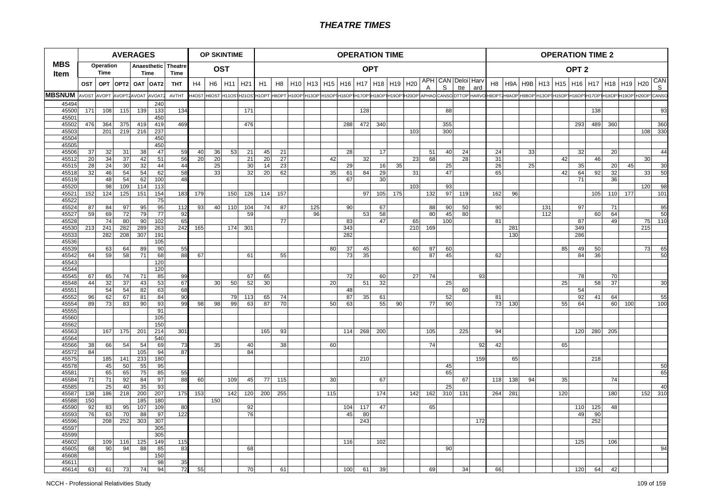|                            |           |                          |           | <b>AVERAGES</b>                |                            |                        |                |          | OP SKINTIME     |                 |          |          |     |     | <b>OPERATION TIME</b> |            |         |                                                                                                                 |     |                                |     |     |          |     |    |                                                                   |     |                  | <b>OPERATION TIME 2</b> |          |     |     |                     |
|----------------------------|-----------|--------------------------|-----------|--------------------------------|----------------------------|------------------------|----------------|----------|-----------------|-----------------|----------|----------|-----|-----|-----------------------|------------|---------|-----------------------------------------------------------------------------------------------------------------|-----|--------------------------------|-----|-----|----------|-----|----|-------------------------------------------------------------------|-----|------------------|-------------------------|----------|-----|-----|---------------------|
| <b>MBS</b><br><b>Item</b>  |           | Operation<br><b>Time</b> |           |                                | Anaesthetic<br><b>Time</b> | <b>Theatre</b><br>Time |                |          | <b>OST</b>      |                 |          |          |     |     |                       | <b>OPT</b> |         |                                                                                                                 |     |                                |     |     |          |     |    |                                                                   |     | OPT <sub>2</sub> |                         |          |     |     |                     |
|                            | OST       |                          |           | OPT OPT2 OAT OAT2              |                            | <b>THT</b>             | H <sub>4</sub> | H6       | H <sub>11</sub> | H <sub>21</sub> | H1       | H8       |     |     |                       |            |         | H10   H13   H15   H16   H17   H18   H19   H20                                                                   | A   | APH   CAN   Deloi   Harv<br>S. | tte | ard |          |     |    | H8   H9A   H9B   H13   H15   H16   H17   H18   H19   H20          |     |                  |                         |          |     |     | CAN<br><sub>S</sub> |
| <b>MBSNUM</b>              |           |                          |           | AVOST AVOPT AVOPT2AVOAT AVOAT2 |                            | AVTHT                  |                |          |                 |                 |          |          |     |     |                       |            |         | 140ST  H6OST  H11OSTH21OSTH1OPT  H8OPT  H10OPTH13OPTH15OPTH16OPTH17OPTH18OPTH19OPTH20OPTAPHAO CANSO DTTOPTHARVO |     |                                |     |     |          |     |    | H8OPT/H9AOP H9BOP H13OP H15OP1H16OP H17OP1H18OP H19OP H20OP CANSC |     |                  |                         |          |     |     |                     |
| 45494                      |           |                          |           |                                | 240                        |                        |                |          |                 |                 |          |          |     |     |                       |            |         |                                                                                                                 |     |                                |     |     |          |     |    |                                                                   |     |                  |                         |          |     |     |                     |
| 45500                      | $171$     | 108                      | 115       | 139                            | 133                        | 134                    |                |          |                 | 171             |          |          |     |     |                       | 128        |         |                                                                                                                 |     | 88                             |     |     |          |     |    |                                                                   |     |                  | 138                     |          |     |     | 93                  |
| 4550 <sup>-</sup><br>45502 | 476       | 364                      | 375       | 419                            | 450<br>419                 | 469                    |                |          |                 | 476             |          |          |     |     | 288                   | 472        | 340     |                                                                                                                 |     | 355                            |     |     |          |     |    |                                                                   |     |                  | 489                     | 360      |     |     | 360                 |
| 45503                      |           | 201                      | 219       | 216                            | 237                        |                        |                |          |                 |                 |          |          |     |     |                       |            |         | 103                                                                                                             |     | 300                            |     |     |          |     |    |                                                                   |     | 293              |                         |          |     | 108 | 330                 |
| 45504                      |           |                          |           |                                | 450                        |                        |                |          |                 |                 |          |          |     |     |                       |            |         |                                                                                                                 |     |                                |     |     |          |     |    |                                                                   |     |                  |                         |          |     |     |                     |
| 45505                      |           |                          |           |                                | 450                        |                        |                |          |                 |                 |          |          |     |     |                       |            |         |                                                                                                                 |     |                                |     |     |          |     |    |                                                                   |     |                  |                         |          |     |     |                     |
| 45506                      | 37        | 32                       | 31        | 38                             | 47                         | 59                     | 40             | 36       | 53              | 21              | 45       | 21       |     |     | 28                    |            | 17      |                                                                                                                 | 51  | 40                             | 24  |     | 24       |     | 33 |                                                                   |     | 32               |                         | 20       |     |     | 44                  |
| 45512<br>45515             | 20<br>28  | 34<br>24                 | 37<br>30  | 42<br>32                       | 51<br>44                   | 56<br>44               | 20             | 20<br>25 |                 | 21<br>30        | 20<br>14 | 27<br>23 |     | 42  | 29                    | 32         | 16      | 23<br>35                                                                                                        | 68  | 25                             | 28  |     | 31<br>26 |     | 25 |                                                                   | 42  | 35               | 46                      | 20       | 45  | 30  | 3 <sub>C</sub>      |
| 45518                      | 32        | 46                       | 54        | 54                             | 62                         | 58                     |                | 33       |                 | 32              | 20       | 62       |     | 35  | 61                    | 84         | 29      | 31                                                                                                              |     | 47                             |     |     | 65       |     |    |                                                                   | 42  | 64               | 92                      | 32       |     | 33  | 50                  |
| 45519                      |           | 48                       | 54        | 62                             | 100                        | 48                     |                |          |                 |                 |          |          |     |     | 67                    |            | 30      |                                                                                                                 |     |                                |     |     |          |     |    |                                                                   |     | 71               |                         | 36       |     |     |                     |
| 45520                      |           | 98                       | 109       | 114                            | 113                        |                        |                |          |                 |                 |          |          |     |     |                       |            |         | 103                                                                                                             |     | 93                             |     |     |          |     |    |                                                                   |     |                  |                         |          |     | 120 | 98                  |
| 45521                      | 152       | 124                      | 125       | 151                            | 154                        | 183                    | 179            |          | 150             | 126             | 114      | 157      |     |     |                       | 97         | 105     | 175                                                                                                             | 132 | 97                             | 119 |     | 162      | 96  |    |                                                                   |     |                  | 105                     | 110      | 177 |     | 101                 |
| 45522<br>45524             | 87        | 84                       | 97        | 95                             | 75<br>95                   | 112                    | 93             | 40       | 110             | 104             | 74       | 87       | 125 |     | 90                    |            | 67      |                                                                                                                 | 88  | 90                             | 50  |     | 90       |     |    | 131                                                               |     | 97               |                         | 71       |     |     | 95                  |
| 45527                      | 59        | 69                       | 72        | 79                             | 77                         | 92                     |                |          |                 | 59              |          |          | 96  |     |                       | 53         | 58      |                                                                                                                 | 80  | 45                             | 80  |     |          |     |    | 112                                                               |     |                  | 60                      | 64       |     |     | 50                  |
| 45528                      |           | 74                       | 80        | 90                             | 102                        | 65                     |                |          |                 |                 |          | 77       |     |     | 83                    |            | 47      | 65                                                                                                              |     | 100                            |     |     | 81       |     |    |                                                                   |     | 87               |                         | 49       |     | 75  | 110                 |
| 45530                      | 213       | 241                      | 282       | 289                            | 263                        | 242                    | 165            |          | 174             | 301             |          |          |     |     | 343                   |            |         | 210                                                                                                             | 169 |                                |     |     |          | 281 |    |                                                                   |     | 349              |                         |          |     | 215 |                     |
| 45533                      |           | 282                      | 208       | 307                            | 191                        |                        |                |          |                 |                 |          |          |     |     | 282                   |            |         |                                                                                                                 |     |                                |     |     |          | 130 |    |                                                                   |     | 286              |                         |          |     |     |                     |
| 45536<br>45539             |           | 63                       | 64        | 89                             | 105<br>90                  | 55                     |                |          |                 |                 |          |          |     | 80  | 37                    | 45         |         | 60                                                                                                              | 97  | 60                             |     |     |          |     |    |                                                                   | 85  | 49               | 50                      |          |     | 73  | 65                  |
| 45542                      | 64        | 59                       | 58        | 71                             | 68                         | 88                     | 67             |          |                 | 61              |          | 55       |     |     | 73                    | 35         |         |                                                                                                                 | 87  | 45                             |     |     | 62       |     |    |                                                                   |     | 84               | 36                      |          |     |     | 50                  |
| 45543                      |           |                          |           |                                | 120                        |                        |                |          |                 |                 |          |          |     |     |                       |            |         |                                                                                                                 |     |                                |     |     |          |     |    |                                                                   |     |                  |                         |          |     |     |                     |
| 45544                      |           |                          |           |                                | 120                        |                        |                |          |                 |                 |          |          |     |     |                       |            |         |                                                                                                                 |     |                                |     |     |          |     |    |                                                                   |     |                  |                         |          |     |     |                     |
| 45545<br>45548             | 67<br>44  | 65<br>32                 | 74<br>37  | 71<br>43                       | 85<br>53                   | 99<br>67               |                | 30       |                 | 67              | 65       |          |     | 20  | 72                    |            | 60      | 27                                                                                                              | 74  | 25                             |     | 93  |          |     |    |                                                                   | 25  | 78               |                         | 70<br>37 |     |     | 30                  |
| 45551                      |           | 54                       | 54        | 82                             | 63                         | 68                     |                |          | 50              | 52              | 30       |          |     |     | 48                    | 51         | 32      |                                                                                                                 |     |                                | 60  |     |          |     |    |                                                                   |     | 54               | 58                      |          |     |     |                     |
| 45552                      | 96        | 62                       | 67        | 81                             | 84                         | 90                     |                |          | 79              | 113             | 65       | 74       |     |     | 87                    | 35         | 61      |                                                                                                                 |     | 52                             |     |     | 81       |     |    |                                                                   |     | 92               | 41                      | 64       |     |     | 55                  |
| 45554                      | 89        | 73                       | 83        | 90                             | 93                         | 99                     | 98             | 98       | 99              | 63              | 87       | 70       |     | 50  | 63                    |            | 55      | 90                                                                                                              | 77  | 90                             |     |     | 73       | 130 |    |                                                                   | 55  | 64               |                         | 60       | 100 |     | 100                 |
| 45555                      |           |                          |           |                                | 91                         |                        |                |          |                 |                 |          |          |     |     |                       |            |         |                                                                                                                 |     |                                |     |     |          |     |    |                                                                   |     |                  |                         |          |     |     |                     |
| 45560<br>45562             |           |                          |           |                                | 105<br>150                 |                        |                |          |                 |                 |          |          |     |     |                       |            |         |                                                                                                                 |     |                                |     |     |          |     |    |                                                                   |     |                  |                         |          |     |     |                     |
| 45563                      |           | 167                      | 175       | 201                            | 214                        | 301                    |                |          |                 |                 | 165      | 93       |     |     | 114                   |            | 268 200 |                                                                                                                 | 105 |                                | 225 |     | 94       |     |    |                                                                   |     | 120              | 280                     | 205      |     |     |                     |
| 45564                      |           |                          |           |                                | 540                        |                        |                |          |                 |                 |          |          |     |     |                       |            |         |                                                                                                                 |     |                                |     |     |          |     |    |                                                                   |     |                  |                         |          |     |     |                     |
| 45566                      | 38        | 66                       | 54        | 54                             | 69                         | 73                     |                | 35       |                 | 40              |          | 38       |     | 60  |                       |            |         |                                                                                                                 | 74  |                                |     | 92  | 42       |     |    |                                                                   | 65  |                  |                         |          |     |     |                     |
| 45572                      | 84        |                          |           | 105                            | 94                         | 87                     |                |          |                 | 84              |          |          |     |     |                       |            |         |                                                                                                                 |     |                                |     |     |          |     |    |                                                                   |     |                  |                         |          |     |     |                     |
| 45575<br>45578             |           | 185<br>45                | 141<br>50 | 233<br>55                      | 180<br>95                  |                        |                |          |                 |                 |          |          |     |     |                       | 210        |         |                                                                                                                 |     | 45                             |     | 159 |          | 65  |    |                                                                   |     |                  | 218                     |          |     |     | 50                  |
| 45581                      |           | 65                       | 65        | 75                             | 85                         | 55                     |                |          |                 |                 |          |          |     |     |                       |            |         |                                                                                                                 |     | 65                             |     |     |          |     |    |                                                                   |     |                  |                         |          |     |     | 65                  |
| 45584                      | 71        | 71                       | 92        | 84                             | 97                         | 88                     | 60             |          | 109             | 45              | 77       | 115      |     | 30  |                       |            | 67      |                                                                                                                 |     |                                | 67  |     | 118      | 138 | 94 |                                                                   | 35  |                  |                         | 74       |     |     |                     |
| 45585                      |           | 25                       | 40        | 35                             | 93                         |                        |                |          |                 |                 |          |          |     |     |                       |            |         |                                                                                                                 |     | 25                             |     |     |          |     |    |                                                                   |     |                  |                         |          |     |     | 40                  |
| 45587                      | 138       | 186                      | 218       | 200                            | 207                        | 175                    | 153            |          | 142             | 120             | 200      | 255      |     | 115 |                       |            | 174     | 142                                                                                                             | 162 | 310                            | 131 |     | 264      | 281 |    |                                                                   | 120 |                  |                         | 180      |     | 152 | 310                 |
| 45588<br>45590             | 150<br>92 | 83                       | 95        | 185<br>107                     | 180<br>109                 | 80                     |                | 150      |                 | 92              |          |          |     |     | 104                   | 117        | 47      |                                                                                                                 | 65  |                                |     |     |          |     |    |                                                                   |     | 110              | 125                     | 48       |     |     |                     |
| 45593                      | 76        | 63                       | 70        | 88                             | 97                         | 122                    |                |          |                 | 76              |          |          |     |     | 45                    | 80         |         |                                                                                                                 |     |                                |     |     |          |     |    |                                                                   |     | 49               | 90                      |          |     |     |                     |
| 45596                      |           | 208                      | 252       | 303                            | 307                        |                        |                |          |                 |                 |          |          |     |     |                       | 243        |         |                                                                                                                 |     |                                |     | 172 |          |     |    |                                                                   |     |                  | 252                     |          |     |     |                     |
| 45597                      |           |                          |           |                                | 305                        |                        |                |          |                 |                 |          |          |     |     |                       |            |         |                                                                                                                 |     |                                |     |     |          |     |    |                                                                   |     |                  |                         |          |     |     |                     |
| 45599                      |           |                          | 116       |                                | 305                        | 115                    |                |          |                 |                 |          |          |     |     | 116                   |            | 102     |                                                                                                                 |     |                                |     |     |          |     |    |                                                                   |     |                  |                         | 106      |     |     |                     |
| 45602<br>45605             | 68        | 109<br>90                | 94        | 125<br>88                      | 149<br>85                  | 83                     |                |          |                 | 68              |          |          |     |     |                       |            |         |                                                                                                                 |     | 90                             |     |     |          |     |    |                                                                   |     | 125              |                         |          |     |     | 94                  |
| 45608                      |           |                          |           |                                | 150                        |                        |                |          |                 |                 |          |          |     |     |                       |            |         |                                                                                                                 |     |                                |     |     |          |     |    |                                                                   |     |                  |                         |          |     |     |                     |
| 45611                      |           |                          |           |                                | 98                         | 35                     |                |          |                 |                 |          |          |     |     |                       |            |         |                                                                                                                 |     |                                |     |     |          |     |    |                                                                   |     |                  |                         |          |     |     |                     |
| 45614                      | 63        | 61                       | 73        | 74                             | 94                         | 72                     | 55             |          |                 | 70              |          | 61       |     |     | 100                   | 61         | 39      |                                                                                                                 | 69  |                                | 34  |     | 66       |     |    |                                                                   |     | 120              | 64                      | 42       |     |     |                     |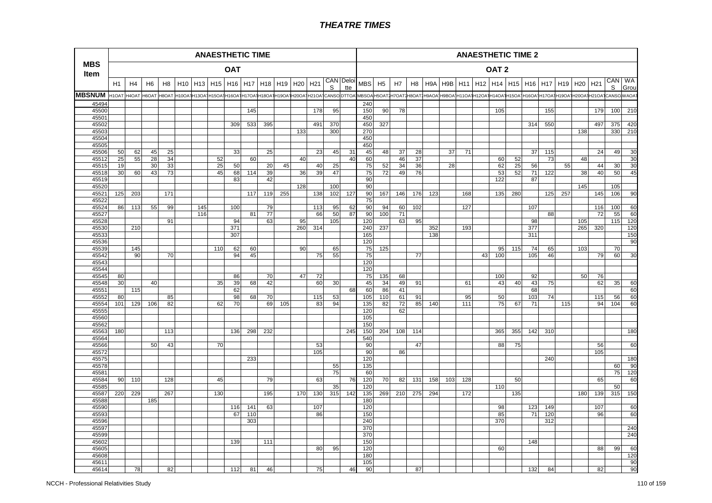|                    |          |          |                |                |                                                                                           |     | <b>ANAESTHETIC TIME</b>                                         |            |                       |     |                |     |                |                      |     |                       |          |            |                                                           |                 |                                                                                                      |                  | <b>ANAESTHETIC TIME 2</b> |                  |      |     |          |     |            |
|--------------------|----------|----------|----------------|----------------|-------------------------------------------------------------------------------------------|-----|-----------------------------------------------------------------|------------|-----------------------|-----|----------------|-----|----------------|----------------------|-----|-----------------------|----------|------------|-----------------------------------------------------------|-----------------|------------------------------------------------------------------------------------------------------|------------------|---------------------------|------------------|------|-----|----------|-----|------------|
| <b>MBS</b><br>Item |          |          |                |                |                                                                                           |     | <b>OAT</b>                                                      |            |                       |     |                |     |                |                      |     |                       |          |            |                                                           |                 |                                                                                                      | OAT <sub>2</sub> |                           |                  |      |     |          |     |            |
|                    | H1       | H4       | H <sub>6</sub> | H <sub>8</sub> | H10   H13   H15   H16   H17                                                               |     | H <sub>18</sub> H <sub>19</sub> H <sub>20</sub> H <sub>21</sub> |            | CAN Deloi<br>S<br>tte | MBS | H <sub>5</sub> | H7  | H <sub>8</sub> | H <sub>9</sub> A     |     |                       |          |            | H9B   H11   H12   H14   H15   H16   H17   H19   H20   H21 |                 |                                                                                                      |                  |                           | CAN WA<br>S      | Grou |     |          |     |            |
| <b>MBSNUM</b>      |          |          |                |                | H1OAT H4OAT H6OAT H8OAT H10OATH13OATH15OATH16OATH17OATH18OATH19OATH20OATH21OATCANSO DTTOA |     |                                                                 |            |                       |     |                |     |                |                      |     |                       |          |            |                                                           |                 | MBSOA H5OAT2H7OAT2H8OAT2H9AOA H9BOA H11OATH12OATH14OATH15OATH16OATH17OATH19OATH21OATE21OATCANSO[WAOA |                  |                           |                  |      |     |          |     |            |
| 45494              |          |          |                |                |                                                                                           |     |                                                                 |            |                       |     |                |     | 240            |                      |     |                       |          |            |                                                           |                 |                                                                                                      |                  |                           |                  |      |     |          |     |            |
| 45500              |          |          |                |                |                                                                                           |     |                                                                 | 145        |                       |     |                | 178 | 95             | 150                  | 90  | 78                    |          |            |                                                           |                 |                                                                                                      | 105              |                           | 155              |      |     | 179      | 100 | 210        |
| 45501<br>45502     |          |          |                |                |                                                                                           |     | 309                                                             | 533        | 395                   |     |                | 491 | 370            | 450<br>450           | 327 |                       |          |            |                                                           |                 |                                                                                                      |                  | 314                       | 550              |      |     | 497      | 375 | 420        |
| 45503              |          |          |                |                |                                                                                           |     |                                                                 |            |                       |     | 133            |     | 300            | 270                  |     |                       |          |            |                                                           |                 |                                                                                                      |                  |                           |                  |      | 138 |          | 330 | 210        |
| 45504              |          |          |                |                |                                                                                           |     |                                                                 |            |                       |     |                |     |                | 450                  |     |                       |          |            |                                                           |                 |                                                                                                      |                  |                           |                  |      |     |          |     |            |
| 45505              |          |          |                |                |                                                                                           |     |                                                                 |            |                       |     |                |     |                | 450                  |     |                       |          |            |                                                           |                 |                                                                                                      |                  |                           |                  |      |     |          |     |            |
| 45506<br>45512     | 50<br>25 | 62<br>55 | 45<br>28       | 25<br>34       |                                                                                           | 52  | 33                                                              | 60         | 25                    |     | 40             | 23  | 45             | 31<br>45<br>40<br>60 | 48  | 37<br>46              | 28<br>37 |            | 37                                                        | $\overline{71}$ |                                                                                                      | 60               | 52                        | 37<br>115        | 73   |     | 24<br>48 | 49  | 30<br>30   |
| 45515              | 19       |          | 30             | 33             |                                                                                           | 25  | 50                                                              |            | 20                    | 45  |                | 40  | 25             | 75                   | 52  | 34                    | 36       |            | 28                                                        |                 |                                                                                                      | 62               | 25                        | 56               |      | 55  | 44       | 30  | 30         |
| 45518              | 30       | 60       | 43             | 73             |                                                                                           | 45  | 68                                                              | 114        | 39                    |     | 36             | 39  | 47             | 75                   | 72  | 49                    | 76       |            |                                                           |                 |                                                                                                      | 53               | 52                        | 122<br>71        |      |     | 38<br>40 | 50  | 45         |
| 45519              |          |          |                |                |                                                                                           |     | 83                                                              |            | 42                    |     |                |     |                | 90                   |     |                       |          |            |                                                           |                 |                                                                                                      | 122              |                           | 87               |      |     |          |     |            |
| 45520              | 125      |          |                |                |                                                                                           |     |                                                                 | 117        | 119                   |     | 128            | 138 | 100<br>102     | 90<br>127            |     | 146                   | 176      | 123        |                                                           | 168             |                                                                                                      | 135              | 280                       |                  | 125  | 145 | 145      | 105 |            |
| 45521<br>45522     |          | 203      |                | 171            |                                                                                           |     |                                                                 |            |                       | 255 |                |     |                | 90<br>75             | 167 |                       |          |            |                                                           |                 |                                                                                                      |                  |                           |                  | 257  |     |          | 106 | 90         |
| 45524              | 86       | 113      | 55             | 99             | 145                                                                                       |     | 100                                                             |            | 79                    |     |                | 113 | 95             | 90<br>62             | 94  | 60                    | 102      |            |                                                           | 127             |                                                                                                      |                  | 107                       |                  |      |     | 116      | 100 | 60         |
| 45527              |          |          |                |                | 116                                                                                       |     |                                                                 | 81         | $\overline{77}$       |     |                | 66  | 50             | 87<br>90             | 100 | 71                    |          |            |                                                           |                 |                                                                                                      |                  |                           |                  | 88   |     | 72       | 55  | 60         |
| 45528              |          |          |                | 91             |                                                                                           |     | 94                                                              |            | 63                    |     | 95             |     | 105            | 120                  |     | 63                    | 95       |            |                                                           |                 |                                                                                                      |                  |                           | 98               |      | 105 |          | 115 | 120        |
| 45530<br>45533     |          | 210      |                |                |                                                                                           |     | 371<br>307                                                      |            |                       |     | 260            | 314 |                | 240<br>165           | 237 |                       |          | 352<br>138 |                                                           | 193             |                                                                                                      |                  | 377<br>311                |                  |      | 265 | 320      |     | 120<br>150 |
| 45536              |          |          |                |                |                                                                                           |     |                                                                 |            |                       |     |                |     |                | 120                  |     |                       |          |            |                                                           |                 |                                                                                                      |                  |                           |                  |      |     |          |     | 90         |
| 45539              |          | 145      |                |                |                                                                                           | 110 | 62                                                              | 60         |                       |     | 90             |     | 65             | 75                   | 125 |                       |          |            |                                                           |                 |                                                                                                      | 95               | 115                       | 74               | 65   | 103 |          | 70  |            |
| 45542              |          | 90       |                | 70             |                                                                                           |     | 94                                                              | 45         |                       |     |                | 75  | 55             | 75                   |     |                       | 77       |            |                                                           |                 | 43                                                                                                   | 100              |                           | 105              | 46   |     | 79       | 60  | 30         |
| 45543<br>45544     |          |          |                |                |                                                                                           |     |                                                                 |            |                       |     |                |     |                | 120<br>120           |     |                       |          |            |                                                           |                 |                                                                                                      |                  |                           |                  |      |     |          |     |            |
| 45545              | 80       |          |                |                |                                                                                           |     | 86                                                              |            | 70                    |     | 47             | 72  |                | 75                   | 135 | 68                    |          |            |                                                           |                 |                                                                                                      | 100              |                           | 92               |      |     | 50<br>76 |     |            |
| 45548              | 30       |          | 40             |                |                                                                                           | 35  | 39                                                              | 68         | 42                    |     |                | 60  | 30             | 45                   | 34  | 49                    | 91       |            |                                                           | 61              |                                                                                                      | 43               | 40                        | 43               | 75   |     | 62       | 35  | 60         |
| 45551              |          | 115      |                |                |                                                                                           |     | 62                                                              |            |                       |     |                |     |                | 68<br>60             | 86  | 41                    |          |            |                                                           |                 |                                                                                                      |                  |                           | 68               |      |     |          |     | 60         |
| 45552              | 80       |          |                | 85             |                                                                                           |     | 98                                                              | 68         | 70                    |     |                | 115 | 53             | 105                  | 110 | 61                    | 91       |            |                                                           | 95              |                                                                                                      | 50               | 103                       |                  | 74   |     | 115      | 56  | 60         |
| 45554<br>45555     | 101      | 129      | 106            | 82             |                                                                                           | 62  | 70                                                              |            | 69                    | 105 |                | 83  | 94             | 135<br>120           | 82  | $\overline{72}$<br>62 | 85       | 140        |                                                           | 111             |                                                                                                      | 75               | 67                        | 71               |      | 115 | 94       | 104 | 60         |
| 45560              |          |          |                |                |                                                                                           |     |                                                                 |            |                       |     |                |     |                | 105                  |     |                       |          |            |                                                           |                 |                                                                                                      |                  |                           |                  |      |     |          |     |            |
| 45562              |          |          |                |                |                                                                                           |     |                                                                 |            |                       |     |                |     |                | 150                  |     |                       |          |            |                                                           |                 |                                                                                                      |                  |                           |                  |      |     |          |     |            |
| 45563              | 180      |          |                | 113            |                                                                                           |     | 136                                                             | 298        | 232                   |     |                |     |                | 245<br>150           | 204 | 108                   | 114      |            |                                                           |                 |                                                                                                      | 365              | 355<br>142                | 310              |      |     |          |     | 180        |
| 45564<br>45566     |          |          | 50             | 43             |                                                                                           | 70  |                                                                 |            |                       |     |                | 53  |                | 540<br>90            |     |                       | 47       |            |                                                           |                 |                                                                                                      | 88               | 75                        |                  |      |     | 56       |     | 60         |
| 45572              |          |          |                |                |                                                                                           |     |                                                                 |            |                       |     |                | 105 |                | 90                   |     | 86                    |          |            |                                                           |                 |                                                                                                      |                  |                           |                  |      |     | 105      |     |            |
| 45575              |          |          |                |                |                                                                                           |     |                                                                 | 233        |                       |     |                |     |                | 120                  |     |                       |          |            |                                                           |                 |                                                                                                      |                  |                           | 240              |      |     |          |     | 180        |
| 45578              |          |          |                |                |                                                                                           |     |                                                                 |            |                       |     |                |     | 55             | 135                  |     |                       |          |            |                                                           |                 |                                                                                                      |                  |                           |                  |      |     |          | 60  | 90         |
| 45581              |          |          |                |                |                                                                                           |     |                                                                 |            | 79                    |     |                |     | 75             | 60<br>76             | 70  |                       |          |            |                                                           | 128             |                                                                                                      |                  |                           |                  |      |     |          | 75  | 120        |
| 45584<br>45585     | 90       | 110      |                | 128            |                                                                                           | 45  |                                                                 |            |                       |     |                | 63  | 35             | 120<br>120           |     | 82                    | 131      | 158        | 103                                                       |                 |                                                                                                      | 110              | 50                        |                  |      |     | 65       | 50  | 60         |
| 45587              | 220      | 229      |                | 267            |                                                                                           | 130 |                                                                 |            | 195                   |     | 170            | 130 | 315            | 142<br>135           | 269 | 210                   | 275      | 294        |                                                           | 172             |                                                                                                      |                  | 135                       |                  |      | 180 | 139      | 315 | 150        |
| 45588              |          |          | 185            |                |                                                                                           |     |                                                                 |            |                       |     |                |     |                | 180                  |     |                       |          |            |                                                           |                 |                                                                                                      |                  |                           |                  |      |     |          |     |            |
| 45590              |          |          |                |                |                                                                                           |     | 116                                                             | 141        | 63                    |     |                | 107 |                | 120                  |     |                       |          |            |                                                           |                 |                                                                                                      | 98               | 123                       | 149              |      |     | 107      |     | 60         |
| 45593<br>45596     |          |          |                |                |                                                                                           |     | 67                                                              | 110<br>303 |                       |     |                | 86  |                | 150<br>240           |     |                       |          |            |                                                           |                 |                                                                                                      | 85<br>370        |                           | 71<br>120<br>312 |      |     | 96       |     | 60         |
| 45597              |          |          |                |                |                                                                                           |     |                                                                 |            |                       |     |                |     |                | 370                  |     |                       |          |            |                                                           |                 |                                                                                                      |                  |                           |                  |      |     |          |     | 240        |
| 45599              |          |          |                |                |                                                                                           |     |                                                                 |            |                       |     |                |     |                | 370                  |     |                       |          |            |                                                           |                 |                                                                                                      |                  |                           |                  |      |     |          |     | 240        |
| 45602              |          |          |                |                |                                                                                           |     | 139                                                             |            | 111                   |     |                |     |                | 150                  |     |                       |          |            |                                                           |                 |                                                                                                      |                  | 148                       |                  |      |     |          |     |            |
| 45605              |          |          |                |                |                                                                                           |     |                                                                 |            |                       |     |                | 80  | 95             | 120<br>180           |     |                       |          |            |                                                           |                 |                                                                                                      | 60               |                           |                  |      |     | 88       | 99  | 60<br>120  |
| 45608<br>45611     |          |          |                |                |                                                                                           |     |                                                                 |            |                       |     |                |     |                | 105                  |     |                       |          |            |                                                           |                 |                                                                                                      |                  |                           |                  |      |     |          |     | 90         |
| 45614              |          | 78       |                | 82             |                                                                                           |     | 112                                                             | 81         | 46                    |     |                | 75  |                | 46<br>90             |     |                       | 87       |            |                                                           |                 |                                                                                                      |                  |                           | $\overline{132}$ | 84   |     | 82       |     | 90         |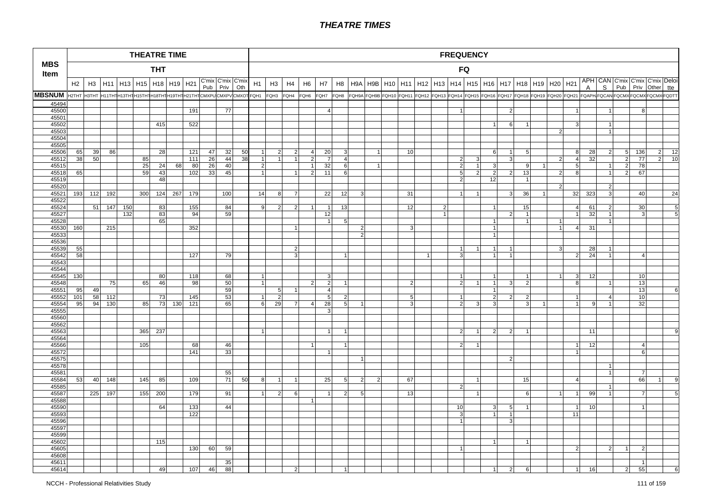|                                                                                      |     |     |         |            | <b>THEATRE TIME</b>               |          |            |     |                           |     |                |                |                |                 |                                |                |                                                                                                                                                                                                                                |                |              |                                  |                      | <b>FREQUENCY</b>                     |                                  |                            |                                |                    |                                        |                                |                                 |                            |                    |              |
|--------------------------------------------------------------------------------------|-----|-----|---------|------------|-----------------------------------|----------|------------|-----|---------------------------|-----|----------------|----------------|----------------|-----------------|--------------------------------|----------------|--------------------------------------------------------------------------------------------------------------------------------------------------------------------------------------------------------------------------------|----------------|--------------|----------------------------------|----------------------|--------------------------------------|----------------------------------|----------------------------|--------------------------------|--------------------|----------------------------------------|--------------------------------|---------------------------------|----------------------------|--------------------|--------------|
| <b>MBS</b><br><b>Item</b>                                                            |     |     |         |            | <b>THT</b>                        |          |            |     |                           |     |                |                |                |                 |                                |                |                                                                                                                                                                                                                                |                |              |                                  |                      | <b>FQ</b>                            |                                  |                            |                                |                    |                                        |                                |                                 |                            |                    |              |
|                                                                                      | H2  | H3  |         |            | H11   H13   H15   H18   H19   H21 |          |            | Pub | C'mix C'mix C'mix<br>Priv | Oth | H <sub>1</sub> | H3             | H4             | H <sub>6</sub>  | H <sub>7</sub>                 | H8             | H9A   H9B   H10   H11   H12   H13   H14   H15   H16   H17   H18   H19   H20   H21                                                                                                                                              |                |              |                                  |                      |                                      |                                  |                            |                                |                    |                                        | S                              | APH CAN C'mix C'mix C'mix Deloi |                            | Pub Priv Other tte |              |
| MBSNUM H2THT H3THT H11THTH13THTH15THTH18THTH19THTH21THTCMXPUCMXPVCMXOTFQH1 FQH3 FQH4 |     |     |         |            |                                   |          |            |     |                           |     |                |                |                |                 |                                |                | FQH6 FQH7 FQH8 FQH9A FQH9B FQH10 FQH11 FQH12 FQH12 FQH13 FQH14 FQH15 FQH16 FQH17 FQH18 FQH19 FQH20 FQH21 FQAPH FQCAN FQCMX FQCMX FQCMX FQCMX FQCMX FQCMX FQCMX FQCMX FQCMX FQCMX FQCMX FQCMX FQCMX FQCMX FQCMX FQCMX FQCMX FQC |                |              |                                  |                      |                                      |                                  |                            |                                |                    |                                        |                                |                                 |                            |                    |              |
| 45494                                                                                |     |     |         |            |                                   |          |            |     |                           |     |                |                |                |                 |                                |                |                                                                                                                                                                                                                                |                |              |                                  |                      |                                      |                                  |                            |                                |                    |                                        |                                |                                 |                            |                    |              |
| 45500<br>45501                                                                       |     |     |         |            |                                   |          | 191        |     | 77                        |     |                |                |                |                 | $\overline{4}$                 |                |                                                                                                                                                                                                                                |                |              |                                  | 1                    |                                      |                                  | $\overline{2}$             |                                | $\mathbf{1}$       |                                        | $\mathbf{1}$                   |                                 | 8 <sup>1</sup>             |                    |              |
| 45502                                                                                |     |     |         |            | 415                               |          | 522        |     |                           |     |                |                |                |                 |                                |                |                                                                                                                                                                                                                                |                |              |                                  |                      |                                      | 11                               | 6                          |                                | 3 <sup>l</sup>     |                                        | $\mathbf{1}$                   |                                 |                            |                    |              |
| 45503                                                                                |     |     |         |            |                                   |          |            |     |                           |     |                |                |                |                 |                                |                |                                                                                                                                                                                                                                |                |              |                                  |                      |                                      |                                  |                            |                                | $\overline{2}$     |                                        | $\mathbf{1}$                   |                                 |                            |                    |              |
| 45504                                                                                |     |     |         |            |                                   |          |            |     |                           |     |                |                |                |                 |                                |                |                                                                                                                                                                                                                                |                |              |                                  |                      |                                      |                                  |                            |                                |                    |                                        |                                |                                 |                            |                    |              |
| 45505<br>45506                                                                       | 65  | 39  | 86      |            |                                   | 28       | 121        | 47  | 32                        | 50  | 1              | 2              | 2              | 4               | 20                             | 3 <sup>1</sup> | 1                                                                                                                                                                                                                              | 10             |              |                                  |                      |                                      | $6 \mid$                         | $\overline{1}$             | 5 <sub>5</sub>                 |                    | 8<br>28                                | $\overline{2}$                 | 5 <sup>1</sup>                  | 136                        | $\overline{2}$     | 12           |
| 45512                                                                                | 38  | 50  |         |            | 85                                |          | 111        | 26  | 44                        | 38  | 1              | $\mathbf{1}$   | $\mathbf{1}$   | $2 \vert$       | $\overline{7}$                 | $\overline{4}$ |                                                                                                                                                                                                                                |                |              |                                  |                      | 2 <br>3                              |                                  | $\mathbf{3}$               |                                | $\overline{2}$     | 32<br>$\overline{4}$                   |                                | $\overline{2}$                  | $\overline{77}$            | $\overline{2}$     | 10           |
| 45515                                                                                |     |     |         |            | 25                                | 24       | 68<br>80   | 26  | 40                        |     | $\vert$ 2      |                |                | 1               | 32                             | $6 \mid$       | 1                                                                                                                                                                                                                              |                |              |                                  |                      | 2 <br>1 <sup>1</sup>                 | 3 <sup>l</sup>                   |                            | 9<br>$\mathbf{1}$              |                    | 5 <sup>1</sup>                         | $\mathbf{1}$                   | $\vert$ 2                       | 78                         |                    |              |
| 45518                                                                                | 65  |     |         |            | 59                                | 43       | 102        | 33  | 45                        |     | 1              |                | 1 <sup>1</sup> | $\overline{2}$  | 11                             | 6              |                                                                                                                                                                                                                                |                |              |                                  |                      | $\overline{2}$<br>5 <sub>l</sub>     | 2                                | $\overline{2}$             | 13                             | $\overline{2}$     | 8 <sup>1</sup>                         | $\mathbf{1}$                   | $\overline{2}$                  | 67                         |                    |              |
| 45519<br>45520                                                                       |     |     |         |            |                                   | 48       |            |     |                           |     |                |                |                |                 |                                |                |                                                                                                                                                                                                                                |                |              |                                  |                      | 2 <sup>1</sup>                       | 12                               |                            | $\overline{1}$                 | 2                  |                                        | $\overline{2}$                 |                                 |                            |                    |              |
| 45521                                                                                | 193 | 112 | 192     |            | 300                               | 124 267  | 179        |     | 100                       |     | 14             | 8 <sup>1</sup> | 7              |                 | 22                             | 12             | 3 <sup>1</sup>                                                                                                                                                                                                                 | 31             |              |                                  | 1                    | $\vert$ 1                            |                                  | $\mathbf{3}$<br>36         | $\mathbf{1}$                   |                    | 32 323                                 | $\mathbf{3}$                   |                                 | 40                         |                    | 24           |
| 45522                                                                                |     |     |         |            |                                   |          |            |     |                           |     |                |                |                |                 |                                |                |                                                                                                                                                                                                                                |                |              |                                  |                      |                                      |                                  |                            |                                |                    |                                        |                                |                                 |                            |                    |              |
| 45524                                                                                |     | 51  | 147     | 150<br>132 |                                   | 83       | 155<br>94  |     | 84<br>59                  |     | 9              | 2              | $\overline{2}$ | $\mathbf{1}$    | $\mathbf{1}$                   | 13             |                                                                                                                                                                                                                                | 12             |              | $\overline{2}$<br>$\overline{1}$ |                      |                                      | 1 <sup>1</sup>                   | 15<br>$\overline{2}$       | $\mathbf{1}$                   | 1                  | 61<br>$\overline{4}$<br>32             | $\overline{2}$<br>$\mathbf{1}$ |                                 | 30 <sup>1</sup><br>3       |                    | 5<br>5       |
| 45527<br>45528                                                                       |     |     |         |            |                                   | 83<br>65 |            |     |                           |     |                |                |                |                 | 12<br>$\overline{1}$           | 5 <sub>5</sub> |                                                                                                                                                                                                                                |                |              |                                  |                      |                                      | 1 <sup>1</sup>                   |                            | 1                              | $\vert$ 1          |                                        | $\overline{1}$                 |                                 |                            |                    |              |
| 45530                                                                                | 160 |     | 215     |            |                                   |          | 352        |     |                           |     |                |                | $\overline{1}$ |                 |                                |                | 2 <sup>1</sup>                                                                                                                                                                                                                 | 3              |              |                                  |                      |                                      | 1                                |                            |                                | 1                  | 31<br>$\overline{4}$                   |                                |                                 |                            |                    |              |
| 45533                                                                                |     |     |         |            |                                   |          |            |     |                           |     |                |                |                |                 |                                |                | $\overline{2}$                                                                                                                                                                                                                 |                |              |                                  |                      |                                      | 1 <sup>1</sup>                   |                            |                                |                    |                                        |                                |                                 |                            |                    |              |
| 45536<br>45539                                                                       | 55  |     |         |            |                                   |          |            |     |                           |     |                |                | $\overline{2}$ |                 |                                |                |                                                                                                                                                                                                                                |                |              |                                  | $\mathbf{1}$         |                                      | 1 <sup>1</sup>                   | $\mathbf{1}$               |                                | 3 <sup>l</sup>     | 28                                     | $\mathbf{1}$                   |                                 |                            |                    |              |
| 45542                                                                                | 58  |     |         |            |                                   |          | 127        |     | 79                        |     |                |                | $\mathbf{3}$   |                 |                                | $\mathbf{1}$   |                                                                                                                                                                                                                                |                | $\mathbf{1}$ |                                  |                      | $\mathbf{3}$                         | 1                                | $\overline{1}$             |                                |                    | $\overline{2}$<br>24                   | $\mathbf{1}$                   |                                 | $\overline{4}$             |                    |              |
| 45543                                                                                |     |     |         |            |                                   |          |            |     |                           |     |                |                |                |                 |                                |                |                                                                                                                                                                                                                                |                |              |                                  |                      |                                      |                                  |                            |                                |                    |                                        |                                |                                 |                            |                    |              |
| 45544                                                                                |     |     |         |            |                                   |          |            |     |                           |     |                |                |                |                 |                                |                |                                                                                                                                                                                                                                |                |              |                                  |                      |                                      |                                  |                            |                                |                    |                                        |                                |                                 |                            |                    |              |
| 45545<br>45548                                                                       | 130 |     | 75      |            | 65                                | 80<br>46 | 118<br>98  |     | 68<br>50                  |     | 1<br>1         |                |                | 2 <sup>1</sup>  | $\mathbf{3}$<br>$\overline{c}$ | 1              |                                                                                                                                                                                                                                | $\overline{2}$ |              |                                  |                      | 11<br>$\overline{2}$<br>$\mathbf{1}$ | 1 <sup>1</sup><br>1 <sup>1</sup> | $\mathbf{3}$               | 11<br>$\overline{2}$           | 1                  | 3 <sup>l</sup><br>12<br>8 <sup>1</sup> | $\mathbf{1}$                   |                                 | 10 <sup>1</sup><br>13      |                    |              |
| 45551                                                                                | 95  | 49  |         |            |                                   |          |            |     | 59                        |     |                | 5 <sub>l</sub> | $\overline{1}$ |                 | $\overline{4}$                 |                |                                                                                                                                                                                                                                |                |              |                                  |                      |                                      | 1                                |                            |                                |                    |                                        |                                |                                 | 13                         |                    | 6            |
| 45552                                                                                | 101 | 58  | 112     |            |                                   | 73       | 145        |     | 53                        |     | 1              | $\overline{2}$ |                |                 | $5\phantom{.0}$                | $\overline{2}$ |                                                                                                                                                                                                                                | 5              |              |                                  | $\blacktriangleleft$ |                                      | $2 \vert$                        | $\overline{2}$             | $\overline{2}$                 | 1                  |                                        | $\overline{4}$                 |                                 | 10                         |                    |              |
| 45554                                                                                | 95  | 94  | 130     |            | 85                                | 73       | 130<br>121 |     | 65                        |     | $6 \mid$       | 29             | 7 <sup>1</sup> | $\vert 4 \vert$ | 28                             | 5              | $\mathbf{1}$                                                                                                                                                                                                                   | 3              |              |                                  |                      | 2 <br>3 <sup>l</sup>                 | 3 <sup>1</sup>                   |                            | $\overline{3}$<br>$\mathbf{1}$ |                    | 9<br>1                                 | $\mathbf{1}$                   |                                 | 32                         |                    |              |
| 45555<br>45560                                                                       |     |     |         |            |                                   |          |            |     |                           |     |                |                |                |                 | 3                              |                |                                                                                                                                                                                                                                |                |              |                                  |                      |                                      |                                  |                            |                                |                    |                                        |                                |                                 |                            |                    |              |
| 45562                                                                                |     |     |         |            |                                   |          |            |     |                           |     |                |                |                |                 |                                |                |                                                                                                                                                                                                                                |                |              |                                  |                      |                                      |                                  |                            |                                |                    |                                        |                                |                                 |                            |                    |              |
| 45563                                                                                |     |     |         |            | 365<br>237                        |          |            |     |                           |     | 1              |                |                |                 | 1                              | 11             |                                                                                                                                                                                                                                |                |              |                                  | $\overline{2}$       | 11                                   | $\overline{2}$                   | $\overline{2}$             | $\overline{1}$                 |                    | 11                                     |                                |                                 |                            |                    | 9            |
| 45564                                                                                |     |     |         |            |                                   |          |            |     |                           |     |                |                |                |                 |                                | $\overline{1}$ |                                                                                                                                                                                                                                |                |              |                                  |                      |                                      |                                  |                            |                                |                    |                                        |                                |                                 |                            |                    |              |
| 45566<br>45572                                                                       |     |     |         |            | 105                               |          | 68<br>141  |     | 46<br>33                  |     |                |                |                | 1               | $\mathbf{1}$                   |                |                                                                                                                                                                                                                                |                |              |                                  |                      | 2                                    |                                  |                            |                                | 1<br>11            | 12                                     |                                |                                 | $\overline{4}$<br>$6 \mid$ |                    |              |
| 45575                                                                                |     |     |         |            |                                   |          |            |     |                           |     |                |                |                |                 |                                |                | $\mathbf{1}$                                                                                                                                                                                                                   |                |              |                                  |                      |                                      |                                  | $\overline{2}$             |                                |                    |                                        |                                |                                 |                            |                    |              |
| 45578                                                                                |     |     |         |            |                                   |          |            |     |                           |     |                |                |                |                 |                                |                |                                                                                                                                                                                                                                |                |              |                                  |                      |                                      |                                  |                            |                                |                    |                                        | $\mathbf{1}$                   |                                 |                            |                    |              |
| 45581<br>45584                                                                       | 53  | 40  | 148     |            | 145                               | 85       | 109        |     | 55<br>71                  | 50  | 8 <sup>1</sup> | $\vert$ 1      | $\overline{1}$ |                 | 25                             | 5 <sub>5</sub> | $\overline{2}$<br>$\overline{2}$                                                                                                                                                                                               | 67             |              |                                  |                      |                                      |                                  | 15                         |                                | $\overline{4}$     |                                        | $\mathbf{1}$                   |                                 | $\overline{7}$<br>66       | 11                 | $\mathbf{q}$ |
| 45585                                                                                |     |     |         |            |                                   |          |            |     |                           |     |                |                |                |                 |                                |                |                                                                                                                                                                                                                                |                |              |                                  | $\overline{2}$       |                                      |                                  |                            |                                |                    |                                        | $\mathbf{1}$                   |                                 |                            |                    |              |
| 45587                                                                                |     |     | 225 197 |            | 155<br>200                        |          | 179        |     | 91                        |     | 1              | 2 <sup>1</sup> | 6              |                 | $\overline{1}$                 | $\overline{2}$ | 5 <sup>1</sup>                                                                                                                                                                                                                 | 13             |              |                                  |                      | 11                                   |                                  |                            | 6                              | 1                  | 1<br>99                                | $\mathbf{1}$                   |                                 | -7 I                       |                    | 5            |
| 45588                                                                                |     |     |         |            |                                   |          |            |     |                           |     |                |                |                | 1               |                                |                |                                                                                                                                                                                                                                |                |              |                                  |                      |                                      |                                  |                            |                                |                    |                                        |                                |                                 |                            |                    |              |
| 45590<br>45593                                                                       |     |     |         |            |                                   | 64       | 133<br>122 |     | 44                        |     |                |                |                |                 |                                |                |                                                                                                                                                                                                                                |                |              |                                  | 10<br>3              |                                      | 3 <sup>1</sup><br>$\mathbf{1}$   | $\sqrt{5}$<br>$\mathbf{1}$ |                                | $\mathbf{1}$<br>11 | 10                                     |                                |                                 | $\mathbf{1}$               |                    |              |
| 45596                                                                                |     |     |         |            |                                   |          |            |     |                           |     |                |                |                |                 |                                |                |                                                                                                                                                                                                                                |                |              |                                  |                      | 1                                    |                                  | $\mathbf{3}$               |                                |                    |                                        |                                |                                 |                            |                    |              |
| 45597                                                                                |     |     |         |            |                                   |          |            |     |                           |     |                |                |                |                 |                                |                |                                                                                                                                                                                                                                |                |              |                                  |                      |                                      |                                  |                            |                                |                    |                                        |                                |                                 |                            |                    |              |
| 45599                                                                                |     |     |         |            |                                   |          |            |     |                           |     |                |                |                |                 |                                |                |                                                                                                                                                                                                                                |                |              |                                  |                      |                                      |                                  |                            |                                |                    |                                        |                                |                                 |                            |                    |              |
| 45602<br>45605                                                                       |     |     |         |            | 115                               |          | 130        | 60  | 59                        |     |                |                |                |                 |                                |                |                                                                                                                                                                                                                                |                |              |                                  | $\mathbf{1}$         |                                      | 1 <sup>1</sup>                   |                            | $\mathbf{1}$                   |                    | $\overline{2}$                         | $\overline{2}$                 | 1                               | $\overline{2}$             |                    |              |
| 45608                                                                                |     |     |         |            |                                   |          |            |     |                           |     |                |                |                |                 |                                |                |                                                                                                                                                                                                                                |                |              |                                  |                      |                                      |                                  |                            |                                |                    |                                        |                                |                                 |                            |                    |              |
| 45611                                                                                |     |     |         |            |                                   |          |            |     | 35                        |     |                |                |                |                 |                                |                |                                                                                                                                                                                                                                |                |              |                                  |                      |                                      |                                  |                            |                                |                    |                                        |                                |                                 | $\overline{1}$             |                    |              |
| 45614                                                                                |     |     |         |            |                                   | 49       | 107        | 46  | 88                        |     |                |                | 2              |                 |                                | 1              |                                                                                                                                                                                                                                |                |              |                                  |                      |                                      | 1                                | $\overline{2}$             | 6                              |                    | 16<br>1                                |                                | 2                               | 55                         |                    | 6            |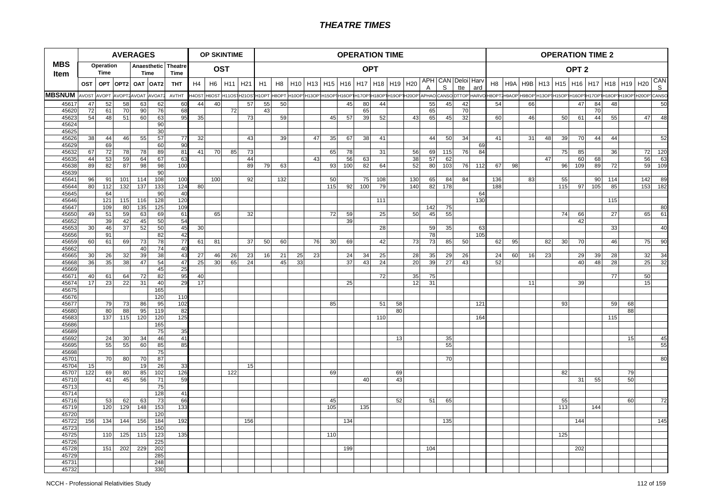|                    |                 |                   |          | <b>AVERAGES</b>               |            |                        |                |     | OP SKINTIME |                   |    |                |                                               |                 | <b>OPERATION TIME</b> |            |     |                                                                                         |                 |                                |        |     |     |     |    | <b>OPERATION TIME 2</b>                                           |     |                  |                 |     |    |     |           |
|--------------------|-----------------|-------------------|----------|-------------------------------|------------|------------------------|----------------|-----|-------------|-------------------|----|----------------|-----------------------------------------------|-----------------|-----------------------|------------|-----|-----------------------------------------------------------------------------------------|-----------------|--------------------------------|--------|-----|-----|-----|----|-------------------------------------------------------------------|-----|------------------|-----------------|-----|----|-----|-----------|
| <b>MBS</b><br>Item |                 | Operation<br>Time |          | Anaesthetic<br><b>Time</b>    |            | <b>Theatre</b><br>Time |                |     | <b>OST</b>  |                   |    |                |                                               |                 |                       | <b>OPT</b> |     |                                                                                         |                 |                                |        |     |     |     |    |                                                                   |     | OPT <sub>2</sub> |                 |     |    |     |           |
|                    | <b>OST</b>      |                   |          | OPT OPT2 OAT OAT2             |            | <b>THT</b>             | H <sub>4</sub> |     | H6 H11      | H <sub>21</sub>   | H1 | H <sub>8</sub> | H10   H13   H15   H16   H17   H18   H19   H20 |                 |                       |            |     |                                                                                         |                 | APH   CAN   Deloi   Harv<br>S. | tte    | ard | H8  | H9A |    | H9B   H13   H15   H16   H17   H18   H19   H20                     |     |                  |                 |     |    |     | CAN<br>S. |
| <b>MBSNUM</b>      |                 |                   |          | VOST AVOPT AVOPT2AVOAT AVOAT2 |            | AVTHT                  | 14OST          |     |             | H6OST H11OS1H21OS |    |                |                                               |                 |                       |            |     | 110PT   H8OPT   H10OPTH13OPTH15OPTH16OPTH17OPTH18OPTH19OPTH20OPTAPHAO CANSO DTTOPTHARVO |                 |                                |        |     |     |     |    | H8OPT/H9AOP H9BOP H13OP H15OP H16OP H17OP H18OP H19OP H20OP CANSC |     |                  |                 |     |    |     |           |
| 45617              | 47              | 52                | 58       | 63                            | 62         | 60                     | 44             | 40  |             | 57                | 55 | 50             |                                               |                 | 45                    | 80         | 44  |                                                                                         | 55              | 45                             | 42     |     | 54  |     | 66 |                                                                   |     | 47               | 84              | 48  |    |     | 50        |
| 45620              | 72              | 61                | 70       | 90                            | 76         | 68                     |                |     | 72          |                   | 43 |                |                                               |                 |                       | 65         |     |                                                                                         | 65              |                                | 70     |     |     |     |    |                                                                   |     |                  | 70              |     |    |     |           |
| 45623              | 54              | 48                | 51       | 60                            | 63         | 95                     | 35             |     |             | 73                |    | 59             |                                               | 45              | 57                    | 39         | 52  | 43                                                                                      | 65              | 45                             | 32     |     | 60  |     | 46 |                                                                   | 50  | 61               | 44              | 55  |    | 47  | 48        |
| 45624<br>45625     |                 |                   |          |                               | 90<br>30   |                        |                |     |             |                   |    |                |                                               |                 |                       |            |     |                                                                                         |                 |                                |        |     |     |     |    |                                                                   |     |                  |                 |     |    |     |           |
| 45626              | 38              | 44                | 46       | 55                            | 57         | 77                     | 32             |     |             | 43                |    | 39             | 47                                            | 35              | 67                    | 38         | 41  |                                                                                         | 44              | 50                             | 34     |     | 41  |     | 31 | 48                                                                | 39  | 70               | 44              | 44  |    |     | 52        |
| 45629              |                 | 69                |          |                               | 60         | 90                     |                |     |             |                   |    |                |                                               |                 |                       |            |     |                                                                                         |                 |                                |        | 69  |     |     |    |                                                                   |     |                  |                 |     |    |     |           |
| 45632              | 67              | 72                | 78       | 78                            | 89         | 81                     | 41             | 70  | 85          | 73                |    |                |                                               | 65              | 78                    |            | 31  | 56                                                                                      | 69              | 115                            | 76     | 84  |     |     |    |                                                                   | 75  | 85               |                 | 36  |    | 72  | 120       |
| 45635              | 44              | 53                | 59       | 64                            | 67         | 63                     |                |     |             | 44                |    |                | 43                                            |                 | 56                    | 63         |     | 38                                                                                      | 57              | 62                             |        |     |     |     |    | 47                                                                |     | 60               | 68              |     |    | 56  | 63        |
| 45638              | 89              | 82                | 87       | 98                            | 98         | 100                    |                |     |             | 89                | 79 | 63             |                                               | 93              | 100                   | 82         | 64  | 52                                                                                      | 80              | 103                            | 76 112 |     | 67  | 98  |    |                                                                   | 96  | 109              | 89              | 72  |    | 59  | 109       |
| 45639<br>45641     | 96              | 91                | 101      | 114                           | 90<br>108  | 100                    |                | 100 |             | 92                |    | 132            |                                               | 50              |                       | 75         | 108 | 130                                                                                     | 65              | 84                             | 84     |     | 136 |     | 83 |                                                                   | 55  |                  | 90              | 114 |    | 142 | 89        |
| 45644              | 80              | 112               | 132      | 137                           | 133        | 124                    | 80             |     |             |                   |    |                |                                               | 115             | 92                    | 100        | 79  | 140                                                                                     | 82              | 178                            |        |     | 188 |     |    |                                                                   | 115 | 97               | 105             | 85  |    | 153 | 182       |
| 45645              |                 | 64                |          |                               | 90         | 40                     |                |     |             |                   |    |                |                                               |                 |                       |            |     |                                                                                         |                 |                                |        | 64  |     |     |    |                                                                   |     |                  |                 |     |    |     |           |
| 45646              |                 | 121               | 115      | 116                           | 128        | 120                    |                |     |             |                   |    |                |                                               |                 |                       |            | 111 |                                                                                         |                 |                                |        | 130 |     |     |    |                                                                   |     |                  |                 | 115 |    |     |           |
| 45647              |                 | 109               | 80       | 135                           | 125        | 109                    |                |     |             |                   |    |                |                                               |                 |                       |            |     |                                                                                         | 142             | 75                             |        |     |     |     |    |                                                                   |     |                  |                 |     |    |     | 80        |
| 45650              | 49              | 51                | 59       | 63                            | 69         | 61                     |                | 65  |             | 32                |    |                |                                               | 72              | 59                    |            | 25  | 50                                                                                      | 45              | 55                             |        |     |     |     |    |                                                                   | 74  | 66               |                 | 27  |    | 65  | 61        |
| 45652<br>45653     | 30              | 39<br>46          | 42<br>37 | 45<br>52                      | 50<br>50   | 54<br>45               | 30             |     |             |                   |    |                |                                               |                 | 39                    |            | 28  |                                                                                         | 59              | 35                             |        | 63  |     |     |    |                                                                   |     | 42               |                 | 33  |    |     | 40        |
| 45656              |                 | 91                |          |                               | 82         | 42                     |                |     |             |                   |    |                |                                               |                 |                       |            |     |                                                                                         | 78              |                                |        | 105 |     |     |    |                                                                   |     |                  |                 |     |    |     |           |
| 45659              | 60              | 61                | 69       | 73                            | 78         | $\overline{77}$        | 61             | 81  |             | 37                | 50 | 60             | 76                                            | 30 <sup>1</sup> | 69                    |            | 42  | 73                                                                                      | 73              | 85                             | 50     |     | 62  | 95  |    | 82                                                                | 30  | 70               |                 | 46  |    | 75  | 90        |
| 45662              |                 |                   |          | 40                            | 74         | 40                     |                |     |             |                   |    |                |                                               |                 |                       |            |     |                                                                                         |                 |                                |        |     |     |     |    |                                                                   |     |                  |                 |     |    |     |           |
| 45665              | 30 <sup>1</sup> | 26                | 32       | 39 <sup>°</sup>               | 38         | 43                     | 27             | 46  | 26          | 23                | 16 | 21             | 23<br>25 <sub>l</sub>                         |                 | 24                    | 34         | 25  | 28                                                                                      | 35 <sub>1</sub> | 29                             | 26     |     | 24  | 60  | 16 | 23                                                                |     | 29               | 39 <sub>l</sub> | 28  |    | 32  | 34        |
| 45668              | 36              | 35                | 38       | 47                            | 54         | 47                     | 25             | 30  | 65          | 24                |    | 45             | 33                                            |                 | 37                    | 43         | 24  | 20                                                                                      | 39              | 27                             | 43     |     | 52  |     |    |                                                                   |     | 40               | 48              | 28  |    | 25  | 32        |
| 45669<br>4567      | 40              | 61                | 64       | 72                            | 45<br>82   | 25<br>95               | 40             |     |             |                   |    |                |                                               |                 |                       |            | 72  | 35                                                                                      | 75              |                                |        |     |     |     |    |                                                                   |     |                  |                 | 77  |    | 50  |           |
| 45674              | 17              | 23                | 22       | 31                            | 40         | 29                     | 17             |     |             |                   |    |                |                                               |                 | 25                    |            |     | 12                                                                                      | 31              |                                |        |     |     |     | 11 |                                                                   |     | 39               |                 |     |    | 15  |           |
| 45675              |                 |                   |          |                               | 165        |                        |                |     |             |                   |    |                |                                               |                 |                       |            |     |                                                                                         |                 |                                |        |     |     |     |    |                                                                   |     |                  |                 |     |    |     |           |
| 45676              |                 |                   |          |                               | 120        | 110                    |                |     |             |                   |    |                |                                               |                 |                       |            |     |                                                                                         |                 |                                |        |     |     |     |    |                                                                   |     |                  |                 |     |    |     |           |
| 45677              |                 | 79                | 73       | 86                            | 95         | 102                    |                |     |             |                   |    |                |                                               | 85              |                       |            | 51  | 58                                                                                      |                 |                                |        | 121 |     |     |    |                                                                   | 93  |                  |                 | 59  | 68 |     |           |
| 45680              |                 | 80                | 88       | 95                            | 119        | 82                     |                |     |             |                   |    |                |                                               |                 |                       |            |     | 80                                                                                      |                 |                                |        |     |     |     |    |                                                                   |     |                  |                 |     | 88 |     |           |
| 45683<br>45686     |                 | 137               | 115      | 120                           | 120<br>165 | 125                    |                |     |             |                   |    |                |                                               |                 |                       |            | 110 |                                                                                         |                 |                                |        | 164 |     |     |    |                                                                   |     |                  |                 | 115 |    |     |           |
| 45689              |                 |                   |          |                               | 75         | 35                     |                |     |             |                   |    |                |                                               |                 |                       |            |     |                                                                                         |                 |                                |        |     |     |     |    |                                                                   |     |                  |                 |     |    |     |           |
| 45692              |                 | 24                | 30       | 34                            | 46         | 41                     |                |     |             |                   |    |                |                                               |                 |                       |            |     | 13                                                                                      |                 | 35                             |        |     |     |     |    |                                                                   |     |                  |                 |     | 15 |     | 45        |
| 45695              |                 | 55                | 55       | 60                            | 85         | 85                     |                |     |             |                   |    |                |                                               |                 |                       |            |     |                                                                                         |                 | 55                             |        |     |     |     |    |                                                                   |     |                  |                 |     |    |     | 55        |
| 45698              |                 |                   |          |                               | 75         |                        |                |     |             |                   |    |                |                                               |                 |                       |            |     |                                                                                         |                 |                                |        |     |     |     |    |                                                                   |     |                  |                 |     |    |     |           |
| 45701              |                 | 70                | 80       | 70                            | 87         |                        |                |     |             |                   |    |                |                                               |                 |                       |            |     |                                                                                         |                 | 70                             |        |     |     |     |    |                                                                   |     |                  |                 |     |    |     | 80        |
| 45704<br>45707     | 15<br>122       | 69                | 80       | 19<br>85                      | 26<br>102  | 33<br>126              |                |     | 122         | 15 <sup>1</sup>   |    |                |                                               | 69              |                       |            |     | 69                                                                                      |                 |                                |        |     |     |     |    |                                                                   | 82  |                  |                 |     | 79 |     |           |
| 45710              |                 | 41                | 45       | 56                            | 71         | 59                     |                |     |             |                   |    |                |                                               |                 |                       | 40         |     | 43                                                                                      |                 |                                |        |     |     |     |    |                                                                   |     | 31               | 55              |     | 50 |     |           |
| 45713              |                 |                   |          |                               | 75         |                        |                |     |             |                   |    |                |                                               |                 |                       |            |     |                                                                                         |                 |                                |        |     |     |     |    |                                                                   |     |                  |                 |     |    |     |           |
| 45714              |                 |                   |          |                               | 128        | 41                     |                |     |             |                   |    |                |                                               |                 |                       |            |     |                                                                                         |                 |                                |        |     |     |     |    |                                                                   |     |                  |                 |     |    |     |           |
| 45716              |                 | 53                | 62       | 63                            | 73         | 66                     |                |     |             |                   |    |                |                                               | 45              |                       |            |     | 52                                                                                      | 51              | 65                             |        |     |     |     |    |                                                                   | 55  |                  |                 |     | 60 |     | 72        |
| 45719              |                 | 120               | 129      | 148                           | 153        | 133                    |                |     |             |                   |    |                |                                               | 105             |                       | 135        |     |                                                                                         |                 |                                |        |     |     |     |    |                                                                   | 113 |                  | 144             |     |    |     |           |
| 45720<br>45722     | 156             | 134               | 144      | 156                           | 120<br>184 | 192                    |                |     |             | 156               |    |                |                                               |                 | 134                   |            |     |                                                                                         |                 | 135                            |        |     |     |     |    |                                                                   |     | 144              |                 |     |    |     | 145       |
| 45723              |                 |                   |          |                               | 150        |                        |                |     |             |                   |    |                |                                               |                 |                       |            |     |                                                                                         |                 |                                |        |     |     |     |    |                                                                   |     |                  |                 |     |    |     |           |
| 45725              |                 | 110               | 125      | 115                           | 123        | 135                    |                |     |             |                   |    |                |                                               | 110             |                       |            |     |                                                                                         |                 |                                |        |     |     |     |    |                                                                   | 125 |                  |                 |     |    |     |           |
| 45726              |                 |                   |          |                               | 225        |                        |                |     |             |                   |    |                |                                               |                 |                       |            |     |                                                                                         |                 |                                |        |     |     |     |    |                                                                   |     |                  |                 |     |    |     |           |
| 45728              |                 | 151               | 202      | 229                           | 202        |                        |                |     |             |                   |    |                |                                               |                 | 199                   |            |     |                                                                                         | 104             |                                |        |     |     |     |    |                                                                   |     | 202              |                 |     |    |     |           |
| 45729              |                 |                   |          |                               | 285        |                        |                |     |             |                   |    |                |                                               |                 |                       |            |     |                                                                                         |                 |                                |        |     |     |     |    |                                                                   |     |                  |                 |     |    |     |           |
| 45731<br>45732     |                 |                   |          |                               | 248<br>330 |                        |                |     |             |                   |    |                |                                               |                 |                       |            |     |                                                                                         |                 |                                |        |     |     |     |    |                                                                   |     |                  |                 |     |    |     |           |
|                    |                 |                   |          |                               |            |                        |                |     |             |                   |    |                |                                               |                 |                       |            |     |                                                                                         |                 |                                |        |     |     |     |    |                                                                   |     |                  |                 |     |    |     |           |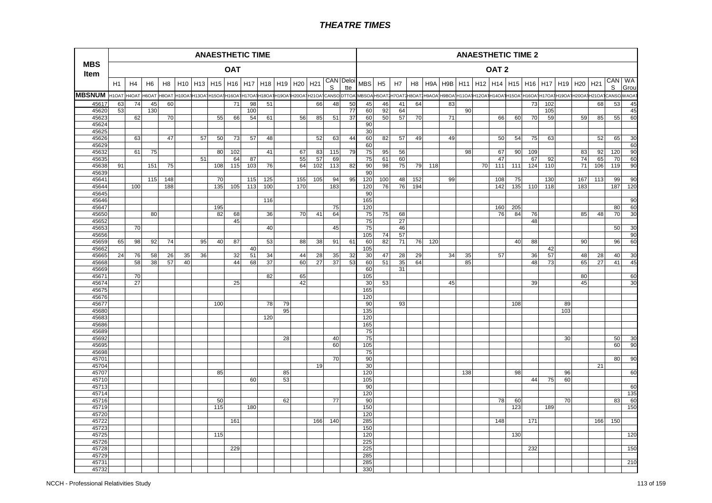| <b>OAT</b><br>OAT <sub>2</sub><br>Item<br>CAN WA<br>CAN Deloi<br><b>MBS</b><br>H9B   H11   H12   H14   H15   H16   H17   H19   H20   H21<br>H1<br>H <sub>8</sub><br>H10   H13   H15   H16   H17   H18   H19   H20   H21<br>H <sub>5</sub><br>H7<br>H <sub>8</sub><br>H <sub>9</sub> A<br>H4<br>H <sub>6</sub><br>S<br>Grou<br>S<br>tte<br><b>MBSNUM</b><br>H1OAT H4OAT H6OAT H8OAT H10OATH13OATH15OATH16OATH17OATH18OATH19OATH20OATH21OATCANSO DTTOA<br>MBSOA H5OAT2H7OAT2H8OAT2H9AOAT<br>H9BOA1H11OA1H12OA1H14OA1H15OA1H16OA1H17OA1H19OA1H20OA1H21OA1CANSOWAOA1<br>74<br>60<br>83<br>53<br>45617<br>63<br>45<br>71<br>98<br>51<br>66<br>48<br>50<br>45<br>46<br>41<br>64<br>73<br>102<br>68<br>45<br>53<br>60<br>92<br>90<br>45620<br>130<br>100<br>77<br>64<br>105<br>45623<br>62<br>70<br>55<br>56<br>51<br>37<br>50<br>57<br>70<br>71<br>70<br>85<br>55<br>66<br>54<br>61<br>85<br>60<br>66<br>60<br>59<br>59<br>45624<br>90<br>30<br>45625<br>30<br>47<br>57<br>50<br>73<br>57<br>48<br>52<br>63<br>60<br>82<br>57<br>49<br>75<br>63<br>52<br>65<br>45626<br>63<br>44<br>49<br>50<br>54<br>45629<br>60<br>60<br>41<br>75<br>98<br>92<br>120<br>45632<br>61<br>75<br>80<br>102<br>67<br>115<br>79<br>95<br>56<br>67<br>90<br>109<br>83<br>83<br>45635<br>51<br>55<br>75<br>61<br>60<br>47<br>67<br>92<br>74<br>65<br>70<br>64<br>87<br>57<br>69<br>91<br>151<br>75<br>108<br>115<br>103<br>76<br>102<br>113<br>82<br>90<br>98<br>75<br>79<br>118<br>70<br>111<br>124<br>110<br>71<br>106<br>119<br>45638<br>64<br>111<br>90<br>45639<br>70<br>45641<br>115<br>148<br>115<br>125<br>155<br>105<br>94<br>95<br>120<br>100<br>48<br>152<br>99<br>108<br>75<br>130<br>167<br>113<br>99<br>90<br>135<br>105<br>113<br>100<br>170<br>183<br>120<br>76<br>76<br>194<br>142<br>135<br>110<br>118<br>183<br>120<br>45644<br>100<br>188<br>187<br>45645<br>90<br>90<br>165<br>45646<br>116<br>120<br>45647<br>195<br>75<br>205<br>80<br>160<br>75<br>45650<br>80<br>82<br>68<br>36<br>70<br>41<br>64<br>75<br>68<br>76<br>84<br>76<br>85<br>48<br>70<br>45<br>75<br>27<br>45652<br>48<br>45653<br>70<br>40<br>75<br>30<br>45<br>46<br>50<br>90<br>45656<br>105<br>74<br>57<br>82<br>$\overline{71}$<br>60<br>45659<br>92<br>74<br>95<br>40<br>87<br>53<br>88<br>91<br>61<br>60<br>76<br>120<br>88<br>90<br>96<br>65<br>98<br>38<br>40<br>45662<br>40<br>42<br>105<br>57<br>45665<br>26<br>35<br>36<br>32<br>51<br>34<br>30<br>47<br>34<br>35<br>36<br>48<br>28<br>24<br>76<br>58<br>44<br>28<br>35<br>32<br>28<br>29<br>57<br>40<br>38<br>57<br>40<br>44<br>68<br>37<br>27<br>37<br>53<br>51<br>85<br>48<br>73<br>65<br>27<br>41<br>58<br>60<br>60<br>35<br>64<br>45668<br>45669<br>60<br>31<br>45671<br>70<br>82<br>65<br>105<br>80<br>60<br>25<br>53<br>45674<br>27<br>42<br>30<br>45<br>39<br>45<br>30<br>45675<br>165<br>45676<br>120<br>90<br>100<br>78<br>79<br>93<br>89<br>45677<br>108<br>95<br>103<br>45680<br>135<br>120<br>45683<br>120<br>45686<br>165<br>45689<br>75<br>28<br>75<br>45692<br>40<br>30<br>50<br>30<br>60<br>105<br>60<br>45695<br>75<br>45698<br>70<br>90<br>80<br>90<br>45701<br>19<br>30<br>21<br>45704<br>45707<br>85<br>85<br>120<br>138<br>98<br>96<br>60<br>60<br>53<br>75<br>45710<br>105<br>44<br>60<br>45713<br>90<br>60<br>45714<br>120<br>135<br>62<br>70<br>45716<br>50<br>77<br>90<br>78<br>60<br>83<br>150<br>115<br>180<br>150<br>123<br>189<br>45719<br>120<br>45720<br>45722<br>161<br>166<br>140<br>285<br>148<br>171<br>166<br>150<br>45723<br>150<br>45725<br>115<br>120<br>130<br>120<br>225<br>45726<br>45728<br>229<br>225<br>232<br>150<br>285<br>45729<br>45731<br>285<br>210 |            |  |  |  |  | <b>ANAESTHETIC TIME</b> |  |  |  |  |  |  | <b>ANAESTHETIC TIME 2</b> |  |  |  |    |
|------------------------------------------------------------------------------------------------------------------------------------------------------------------------------------------------------------------------------------------------------------------------------------------------------------------------------------------------------------------------------------------------------------------------------------------------------------------------------------------------------------------------------------------------------------------------------------------------------------------------------------------------------------------------------------------------------------------------------------------------------------------------------------------------------------------------------------------------------------------------------------------------------------------------------------------------------------------------------------------------------------------------------------------------------------------------------------------------------------------------------------------------------------------------------------------------------------------------------------------------------------------------------------------------------------------------------------------------------------------------------------------------------------------------------------------------------------------------------------------------------------------------------------------------------------------------------------------------------------------------------------------------------------------------------------------------------------------------------------------------------------------------------------------------------------------------------------------------------------------------------------------------------------------------------------------------------------------------------------------------------------------------------------------------------------------------------------------------------------------------------------------------------------------------------------------------------------------------------------------------------------------------------------------------------------------------------------------------------------------------------------------------------------------------------------------------------------------------------------------------------------------------------------------------------------------------------------------------------------------------------------------------------------------------------------------------------------------------------------------------------------------------------------------------------------------------------------------------------------------------------------------------------------------------------------------------------------------------------------------------------------------------------------------------------------------------------------------------------------------------------------------------------------------------------------------------------------------------------------------------------------------------------------------------------------------------------------------------------------------------------------------------------------------------------------------------------------------------------------------------------------------------------------------------------------------------------------------------------------------------------|------------|--|--|--|--|-------------------------|--|--|--|--|--|--|---------------------------|--|--|--|----|
|                                                                                                                                                                                                                                                                                                                                                                                                                                                                                                                                                                                                                                                                                                                                                                                                                                                                                                                                                                                                                                                                                                                                                                                                                                                                                                                                                                                                                                                                                                                                                                                                                                                                                                                                                                                                                                                                                                                                                                                                                                                                                                                                                                                                                                                                                                                                                                                                                                                                                                                                                                                                                                                                                                                                                                                                                                                                                                                                                                                                                                                                                                                                                                                                                                                                                                                                                                                                                                                                                                                                                                                                                              | <b>MBS</b> |  |  |  |  |                         |  |  |  |  |  |  |                           |  |  |  |    |
|                                                                                                                                                                                                                                                                                                                                                                                                                                                                                                                                                                                                                                                                                                                                                                                                                                                                                                                                                                                                                                                                                                                                                                                                                                                                                                                                                                                                                                                                                                                                                                                                                                                                                                                                                                                                                                                                                                                                                                                                                                                                                                                                                                                                                                                                                                                                                                                                                                                                                                                                                                                                                                                                                                                                                                                                                                                                                                                                                                                                                                                                                                                                                                                                                                                                                                                                                                                                                                                                                                                                                                                                                              |            |  |  |  |  |                         |  |  |  |  |  |  |                           |  |  |  |    |
|                                                                                                                                                                                                                                                                                                                                                                                                                                                                                                                                                                                                                                                                                                                                                                                                                                                                                                                                                                                                                                                                                                                                                                                                                                                                                                                                                                                                                                                                                                                                                                                                                                                                                                                                                                                                                                                                                                                                                                                                                                                                                                                                                                                                                                                                                                                                                                                                                                                                                                                                                                                                                                                                                                                                                                                                                                                                                                                                                                                                                                                                                                                                                                                                                                                                                                                                                                                                                                                                                                                                                                                                                              |            |  |  |  |  |                         |  |  |  |  |  |  |                           |  |  |  |    |
|                                                                                                                                                                                                                                                                                                                                                                                                                                                                                                                                                                                                                                                                                                                                                                                                                                                                                                                                                                                                                                                                                                                                                                                                                                                                                                                                                                                                                                                                                                                                                                                                                                                                                                                                                                                                                                                                                                                                                                                                                                                                                                                                                                                                                                                                                                                                                                                                                                                                                                                                                                                                                                                                                                                                                                                                                                                                                                                                                                                                                                                                                                                                                                                                                                                                                                                                                                                                                                                                                                                                                                                                                              |            |  |  |  |  |                         |  |  |  |  |  |  |                           |  |  |  |    |
|                                                                                                                                                                                                                                                                                                                                                                                                                                                                                                                                                                                                                                                                                                                                                                                                                                                                                                                                                                                                                                                                                                                                                                                                                                                                                                                                                                                                                                                                                                                                                                                                                                                                                                                                                                                                                                                                                                                                                                                                                                                                                                                                                                                                                                                                                                                                                                                                                                                                                                                                                                                                                                                                                                                                                                                                                                                                                                                                                                                                                                                                                                                                                                                                                                                                                                                                                                                                                                                                                                                                                                                                                              |            |  |  |  |  |                         |  |  |  |  |  |  |                           |  |  |  | 45 |
|                                                                                                                                                                                                                                                                                                                                                                                                                                                                                                                                                                                                                                                                                                                                                                                                                                                                                                                                                                                                                                                                                                                                                                                                                                                                                                                                                                                                                                                                                                                                                                                                                                                                                                                                                                                                                                                                                                                                                                                                                                                                                                                                                                                                                                                                                                                                                                                                                                                                                                                                                                                                                                                                                                                                                                                                                                                                                                                                                                                                                                                                                                                                                                                                                                                                                                                                                                                                                                                                                                                                                                                                                              |            |  |  |  |  |                         |  |  |  |  |  |  |                           |  |  |  | 60 |
|                                                                                                                                                                                                                                                                                                                                                                                                                                                                                                                                                                                                                                                                                                                                                                                                                                                                                                                                                                                                                                                                                                                                                                                                                                                                                                                                                                                                                                                                                                                                                                                                                                                                                                                                                                                                                                                                                                                                                                                                                                                                                                                                                                                                                                                                                                                                                                                                                                                                                                                                                                                                                                                                                                                                                                                                                                                                                                                                                                                                                                                                                                                                                                                                                                                                                                                                                                                                                                                                                                                                                                                                                              |            |  |  |  |  |                         |  |  |  |  |  |  |                           |  |  |  |    |
|                                                                                                                                                                                                                                                                                                                                                                                                                                                                                                                                                                                                                                                                                                                                                                                                                                                                                                                                                                                                                                                                                                                                                                                                                                                                                                                                                                                                                                                                                                                                                                                                                                                                                                                                                                                                                                                                                                                                                                                                                                                                                                                                                                                                                                                                                                                                                                                                                                                                                                                                                                                                                                                                                                                                                                                                                                                                                                                                                                                                                                                                                                                                                                                                                                                                                                                                                                                                                                                                                                                                                                                                                              |            |  |  |  |  |                         |  |  |  |  |  |  |                           |  |  |  |    |
|                                                                                                                                                                                                                                                                                                                                                                                                                                                                                                                                                                                                                                                                                                                                                                                                                                                                                                                                                                                                                                                                                                                                                                                                                                                                                                                                                                                                                                                                                                                                                                                                                                                                                                                                                                                                                                                                                                                                                                                                                                                                                                                                                                                                                                                                                                                                                                                                                                                                                                                                                                                                                                                                                                                                                                                                                                                                                                                                                                                                                                                                                                                                                                                                                                                                                                                                                                                                                                                                                                                                                                                                                              |            |  |  |  |  |                         |  |  |  |  |  |  |                           |  |  |  |    |
|                                                                                                                                                                                                                                                                                                                                                                                                                                                                                                                                                                                                                                                                                                                                                                                                                                                                                                                                                                                                                                                                                                                                                                                                                                                                                                                                                                                                                                                                                                                                                                                                                                                                                                                                                                                                                                                                                                                                                                                                                                                                                                                                                                                                                                                                                                                                                                                                                                                                                                                                                                                                                                                                                                                                                                                                                                                                                                                                                                                                                                                                                                                                                                                                                                                                                                                                                                                                                                                                                                                                                                                                                              |            |  |  |  |  |                         |  |  |  |  |  |  |                           |  |  |  | 90 |
|                                                                                                                                                                                                                                                                                                                                                                                                                                                                                                                                                                                                                                                                                                                                                                                                                                                                                                                                                                                                                                                                                                                                                                                                                                                                                                                                                                                                                                                                                                                                                                                                                                                                                                                                                                                                                                                                                                                                                                                                                                                                                                                                                                                                                                                                                                                                                                                                                                                                                                                                                                                                                                                                                                                                                                                                                                                                                                                                                                                                                                                                                                                                                                                                                                                                                                                                                                                                                                                                                                                                                                                                                              |            |  |  |  |  |                         |  |  |  |  |  |  |                           |  |  |  | 60 |
|                                                                                                                                                                                                                                                                                                                                                                                                                                                                                                                                                                                                                                                                                                                                                                                                                                                                                                                                                                                                                                                                                                                                                                                                                                                                                                                                                                                                                                                                                                                                                                                                                                                                                                                                                                                                                                                                                                                                                                                                                                                                                                                                                                                                                                                                                                                                                                                                                                                                                                                                                                                                                                                                                                                                                                                                                                                                                                                                                                                                                                                                                                                                                                                                                                                                                                                                                                                                                                                                                                                                                                                                                              |            |  |  |  |  |                         |  |  |  |  |  |  |                           |  |  |  | 90 |
|                                                                                                                                                                                                                                                                                                                                                                                                                                                                                                                                                                                                                                                                                                                                                                                                                                                                                                                                                                                                                                                                                                                                                                                                                                                                                                                                                                                                                                                                                                                                                                                                                                                                                                                                                                                                                                                                                                                                                                                                                                                                                                                                                                                                                                                                                                                                                                                                                                                                                                                                                                                                                                                                                                                                                                                                                                                                                                                                                                                                                                                                                                                                                                                                                                                                                                                                                                                                                                                                                                                                                                                                                              |            |  |  |  |  |                         |  |  |  |  |  |  |                           |  |  |  |    |
|                                                                                                                                                                                                                                                                                                                                                                                                                                                                                                                                                                                                                                                                                                                                                                                                                                                                                                                                                                                                                                                                                                                                                                                                                                                                                                                                                                                                                                                                                                                                                                                                                                                                                                                                                                                                                                                                                                                                                                                                                                                                                                                                                                                                                                                                                                                                                                                                                                                                                                                                                                                                                                                                                                                                                                                                                                                                                                                                                                                                                                                                                                                                                                                                                                                                                                                                                                                                                                                                                                                                                                                                                              |            |  |  |  |  |                         |  |  |  |  |  |  |                           |  |  |  |    |
|                                                                                                                                                                                                                                                                                                                                                                                                                                                                                                                                                                                                                                                                                                                                                                                                                                                                                                                                                                                                                                                                                                                                                                                                                                                                                                                                                                                                                                                                                                                                                                                                                                                                                                                                                                                                                                                                                                                                                                                                                                                                                                                                                                                                                                                                                                                                                                                                                                                                                                                                                                                                                                                                                                                                                                                                                                                                                                                                                                                                                                                                                                                                                                                                                                                                                                                                                                                                                                                                                                                                                                                                                              |            |  |  |  |  |                         |  |  |  |  |  |  |                           |  |  |  |    |
|                                                                                                                                                                                                                                                                                                                                                                                                                                                                                                                                                                                                                                                                                                                                                                                                                                                                                                                                                                                                                                                                                                                                                                                                                                                                                                                                                                                                                                                                                                                                                                                                                                                                                                                                                                                                                                                                                                                                                                                                                                                                                                                                                                                                                                                                                                                                                                                                                                                                                                                                                                                                                                                                                                                                                                                                                                                                                                                                                                                                                                                                                                                                                                                                                                                                                                                                                                                                                                                                                                                                                                                                                              |            |  |  |  |  |                         |  |  |  |  |  |  |                           |  |  |  |    |
|                                                                                                                                                                                                                                                                                                                                                                                                                                                                                                                                                                                                                                                                                                                                                                                                                                                                                                                                                                                                                                                                                                                                                                                                                                                                                                                                                                                                                                                                                                                                                                                                                                                                                                                                                                                                                                                                                                                                                                                                                                                                                                                                                                                                                                                                                                                                                                                                                                                                                                                                                                                                                                                                                                                                                                                                                                                                                                                                                                                                                                                                                                                                                                                                                                                                                                                                                                                                                                                                                                                                                                                                                              |            |  |  |  |  |                         |  |  |  |  |  |  |                           |  |  |  | 60 |
|                                                                                                                                                                                                                                                                                                                                                                                                                                                                                                                                                                                                                                                                                                                                                                                                                                                                                                                                                                                                                                                                                                                                                                                                                                                                                                                                                                                                                                                                                                                                                                                                                                                                                                                                                                                                                                                                                                                                                                                                                                                                                                                                                                                                                                                                                                                                                                                                                                                                                                                                                                                                                                                                                                                                                                                                                                                                                                                                                                                                                                                                                                                                                                                                                                                                                                                                                                                                                                                                                                                                                                                                                              |            |  |  |  |  |                         |  |  |  |  |  |  |                           |  |  |  | 30 |
|                                                                                                                                                                                                                                                                                                                                                                                                                                                                                                                                                                                                                                                                                                                                                                                                                                                                                                                                                                                                                                                                                                                                                                                                                                                                                                                                                                                                                                                                                                                                                                                                                                                                                                                                                                                                                                                                                                                                                                                                                                                                                                                                                                                                                                                                                                                                                                                                                                                                                                                                                                                                                                                                                                                                                                                                                                                                                                                                                                                                                                                                                                                                                                                                                                                                                                                                                                                                                                                                                                                                                                                                                              |            |  |  |  |  |                         |  |  |  |  |  |  |                           |  |  |  |    |
|                                                                                                                                                                                                                                                                                                                                                                                                                                                                                                                                                                                                                                                                                                                                                                                                                                                                                                                                                                                                                                                                                                                                                                                                                                                                                                                                                                                                                                                                                                                                                                                                                                                                                                                                                                                                                                                                                                                                                                                                                                                                                                                                                                                                                                                                                                                                                                                                                                                                                                                                                                                                                                                                                                                                                                                                                                                                                                                                                                                                                                                                                                                                                                                                                                                                                                                                                                                                                                                                                                                                                                                                                              |            |  |  |  |  |                         |  |  |  |  |  |  |                           |  |  |  |    |
|                                                                                                                                                                                                                                                                                                                                                                                                                                                                                                                                                                                                                                                                                                                                                                                                                                                                                                                                                                                                                                                                                                                                                                                                                                                                                                                                                                                                                                                                                                                                                                                                                                                                                                                                                                                                                                                                                                                                                                                                                                                                                                                                                                                                                                                                                                                                                                                                                                                                                                                                                                                                                                                                                                                                                                                                                                                                                                                                                                                                                                                                                                                                                                                                                                                                                                                                                                                                                                                                                                                                                                                                                              |            |  |  |  |  |                         |  |  |  |  |  |  |                           |  |  |  |    |
|                                                                                                                                                                                                                                                                                                                                                                                                                                                                                                                                                                                                                                                                                                                                                                                                                                                                                                                                                                                                                                                                                                                                                                                                                                                                                                                                                                                                                                                                                                                                                                                                                                                                                                                                                                                                                                                                                                                                                                                                                                                                                                                                                                                                                                                                                                                                                                                                                                                                                                                                                                                                                                                                                                                                                                                                                                                                                                                                                                                                                                                                                                                                                                                                                                                                                                                                                                                                                                                                                                                                                                                                                              |            |  |  |  |  |                         |  |  |  |  |  |  |                           |  |  |  |    |
|                                                                                                                                                                                                                                                                                                                                                                                                                                                                                                                                                                                                                                                                                                                                                                                                                                                                                                                                                                                                                                                                                                                                                                                                                                                                                                                                                                                                                                                                                                                                                                                                                                                                                                                                                                                                                                                                                                                                                                                                                                                                                                                                                                                                                                                                                                                                                                                                                                                                                                                                                                                                                                                                                                                                                                                                                                                                                                                                                                                                                                                                                                                                                                                                                                                                                                                                                                                                                                                                                                                                                                                                                              |            |  |  |  |  |                         |  |  |  |  |  |  |                           |  |  |  | 30 |
|                                                                                                                                                                                                                                                                                                                                                                                                                                                                                                                                                                                                                                                                                                                                                                                                                                                                                                                                                                                                                                                                                                                                                                                                                                                                                                                                                                                                                                                                                                                                                                                                                                                                                                                                                                                                                                                                                                                                                                                                                                                                                                                                                                                                                                                                                                                                                                                                                                                                                                                                                                                                                                                                                                                                                                                                                                                                                                                                                                                                                                                                                                                                                                                                                                                                                                                                                                                                                                                                                                                                                                                                                              |            |  |  |  |  |                         |  |  |  |  |  |  |                           |  |  |  | 45 |
|                                                                                                                                                                                                                                                                                                                                                                                                                                                                                                                                                                                                                                                                                                                                                                                                                                                                                                                                                                                                                                                                                                                                                                                                                                                                                                                                                                                                                                                                                                                                                                                                                                                                                                                                                                                                                                                                                                                                                                                                                                                                                                                                                                                                                                                                                                                                                                                                                                                                                                                                                                                                                                                                                                                                                                                                                                                                                                                                                                                                                                                                                                                                                                                                                                                                                                                                                                                                                                                                                                                                                                                                                              |            |  |  |  |  |                         |  |  |  |  |  |  |                           |  |  |  |    |
|                                                                                                                                                                                                                                                                                                                                                                                                                                                                                                                                                                                                                                                                                                                                                                                                                                                                                                                                                                                                                                                                                                                                                                                                                                                                                                                                                                                                                                                                                                                                                                                                                                                                                                                                                                                                                                                                                                                                                                                                                                                                                                                                                                                                                                                                                                                                                                                                                                                                                                                                                                                                                                                                                                                                                                                                                                                                                                                                                                                                                                                                                                                                                                                                                                                                                                                                                                                                                                                                                                                                                                                                                              |            |  |  |  |  |                         |  |  |  |  |  |  |                           |  |  |  |    |
|                                                                                                                                                                                                                                                                                                                                                                                                                                                                                                                                                                                                                                                                                                                                                                                                                                                                                                                                                                                                                                                                                                                                                                                                                                                                                                                                                                                                                                                                                                                                                                                                                                                                                                                                                                                                                                                                                                                                                                                                                                                                                                                                                                                                                                                                                                                                                                                                                                                                                                                                                                                                                                                                                                                                                                                                                                                                                                                                                                                                                                                                                                                                                                                                                                                                                                                                                                                                                                                                                                                                                                                                                              |            |  |  |  |  |                         |  |  |  |  |  |  |                           |  |  |  |    |
|                                                                                                                                                                                                                                                                                                                                                                                                                                                                                                                                                                                                                                                                                                                                                                                                                                                                                                                                                                                                                                                                                                                                                                                                                                                                                                                                                                                                                                                                                                                                                                                                                                                                                                                                                                                                                                                                                                                                                                                                                                                                                                                                                                                                                                                                                                                                                                                                                                                                                                                                                                                                                                                                                                                                                                                                                                                                                                                                                                                                                                                                                                                                                                                                                                                                                                                                                                                                                                                                                                                                                                                                                              |            |  |  |  |  |                         |  |  |  |  |  |  |                           |  |  |  |    |
|                                                                                                                                                                                                                                                                                                                                                                                                                                                                                                                                                                                                                                                                                                                                                                                                                                                                                                                                                                                                                                                                                                                                                                                                                                                                                                                                                                                                                                                                                                                                                                                                                                                                                                                                                                                                                                                                                                                                                                                                                                                                                                                                                                                                                                                                                                                                                                                                                                                                                                                                                                                                                                                                                                                                                                                                                                                                                                                                                                                                                                                                                                                                                                                                                                                                                                                                                                                                                                                                                                                                                                                                                              |            |  |  |  |  |                         |  |  |  |  |  |  |                           |  |  |  |    |
|                                                                                                                                                                                                                                                                                                                                                                                                                                                                                                                                                                                                                                                                                                                                                                                                                                                                                                                                                                                                                                                                                                                                                                                                                                                                                                                                                                                                                                                                                                                                                                                                                                                                                                                                                                                                                                                                                                                                                                                                                                                                                                                                                                                                                                                                                                                                                                                                                                                                                                                                                                                                                                                                                                                                                                                                                                                                                                                                                                                                                                                                                                                                                                                                                                                                                                                                                                                                                                                                                                                                                                                                                              |            |  |  |  |  |                         |  |  |  |  |  |  |                           |  |  |  |    |
|                                                                                                                                                                                                                                                                                                                                                                                                                                                                                                                                                                                                                                                                                                                                                                                                                                                                                                                                                                                                                                                                                                                                                                                                                                                                                                                                                                                                                                                                                                                                                                                                                                                                                                                                                                                                                                                                                                                                                                                                                                                                                                                                                                                                                                                                                                                                                                                                                                                                                                                                                                                                                                                                                                                                                                                                                                                                                                                                                                                                                                                                                                                                                                                                                                                                                                                                                                                                                                                                                                                                                                                                                              |            |  |  |  |  |                         |  |  |  |  |  |  |                           |  |  |  |    |
|                                                                                                                                                                                                                                                                                                                                                                                                                                                                                                                                                                                                                                                                                                                                                                                                                                                                                                                                                                                                                                                                                                                                                                                                                                                                                                                                                                                                                                                                                                                                                                                                                                                                                                                                                                                                                                                                                                                                                                                                                                                                                                                                                                                                                                                                                                                                                                                                                                                                                                                                                                                                                                                                                                                                                                                                                                                                                                                                                                                                                                                                                                                                                                                                                                                                                                                                                                                                                                                                                                                                                                                                                              |            |  |  |  |  |                         |  |  |  |  |  |  |                           |  |  |  |    |
|                                                                                                                                                                                                                                                                                                                                                                                                                                                                                                                                                                                                                                                                                                                                                                                                                                                                                                                                                                                                                                                                                                                                                                                                                                                                                                                                                                                                                                                                                                                                                                                                                                                                                                                                                                                                                                                                                                                                                                                                                                                                                                                                                                                                                                                                                                                                                                                                                                                                                                                                                                                                                                                                                                                                                                                                                                                                                                                                                                                                                                                                                                                                                                                                                                                                                                                                                                                                                                                                                                                                                                                                                              |            |  |  |  |  |                         |  |  |  |  |  |  |                           |  |  |  |    |
|                                                                                                                                                                                                                                                                                                                                                                                                                                                                                                                                                                                                                                                                                                                                                                                                                                                                                                                                                                                                                                                                                                                                                                                                                                                                                                                                                                                                                                                                                                                                                                                                                                                                                                                                                                                                                                                                                                                                                                                                                                                                                                                                                                                                                                                                                                                                                                                                                                                                                                                                                                                                                                                                                                                                                                                                                                                                                                                                                                                                                                                                                                                                                                                                                                                                                                                                                                                                                                                                                                                                                                                                                              |            |  |  |  |  |                         |  |  |  |  |  |  |                           |  |  |  | 90 |
|                                                                                                                                                                                                                                                                                                                                                                                                                                                                                                                                                                                                                                                                                                                                                                                                                                                                                                                                                                                                                                                                                                                                                                                                                                                                                                                                                                                                                                                                                                                                                                                                                                                                                                                                                                                                                                                                                                                                                                                                                                                                                                                                                                                                                                                                                                                                                                                                                                                                                                                                                                                                                                                                                                                                                                                                                                                                                                                                                                                                                                                                                                                                                                                                                                                                                                                                                                                                                                                                                                                                                                                                                              |            |  |  |  |  |                         |  |  |  |  |  |  |                           |  |  |  |    |
|                                                                                                                                                                                                                                                                                                                                                                                                                                                                                                                                                                                                                                                                                                                                                                                                                                                                                                                                                                                                                                                                                                                                                                                                                                                                                                                                                                                                                                                                                                                                                                                                                                                                                                                                                                                                                                                                                                                                                                                                                                                                                                                                                                                                                                                                                                                                                                                                                                                                                                                                                                                                                                                                                                                                                                                                                                                                                                                                                                                                                                                                                                                                                                                                                                                                                                                                                                                                                                                                                                                                                                                                                              |            |  |  |  |  |                         |  |  |  |  |  |  |                           |  |  |  |    |
|                                                                                                                                                                                                                                                                                                                                                                                                                                                                                                                                                                                                                                                                                                                                                                                                                                                                                                                                                                                                                                                                                                                                                                                                                                                                                                                                                                                                                                                                                                                                                                                                                                                                                                                                                                                                                                                                                                                                                                                                                                                                                                                                                                                                                                                                                                                                                                                                                                                                                                                                                                                                                                                                                                                                                                                                                                                                                                                                                                                                                                                                                                                                                                                                                                                                                                                                                                                                                                                                                                                                                                                                                              |            |  |  |  |  |                         |  |  |  |  |  |  |                           |  |  |  |    |
|                                                                                                                                                                                                                                                                                                                                                                                                                                                                                                                                                                                                                                                                                                                                                                                                                                                                                                                                                                                                                                                                                                                                                                                                                                                                                                                                                                                                                                                                                                                                                                                                                                                                                                                                                                                                                                                                                                                                                                                                                                                                                                                                                                                                                                                                                                                                                                                                                                                                                                                                                                                                                                                                                                                                                                                                                                                                                                                                                                                                                                                                                                                                                                                                                                                                                                                                                                                                                                                                                                                                                                                                                              |            |  |  |  |  |                         |  |  |  |  |  |  |                           |  |  |  |    |
|                                                                                                                                                                                                                                                                                                                                                                                                                                                                                                                                                                                                                                                                                                                                                                                                                                                                                                                                                                                                                                                                                                                                                                                                                                                                                                                                                                                                                                                                                                                                                                                                                                                                                                                                                                                                                                                                                                                                                                                                                                                                                                                                                                                                                                                                                                                                                                                                                                                                                                                                                                                                                                                                                                                                                                                                                                                                                                                                                                                                                                                                                                                                                                                                                                                                                                                                                                                                                                                                                                                                                                                                                              |            |  |  |  |  |                         |  |  |  |  |  |  |                           |  |  |  |    |
|                                                                                                                                                                                                                                                                                                                                                                                                                                                                                                                                                                                                                                                                                                                                                                                                                                                                                                                                                                                                                                                                                                                                                                                                                                                                                                                                                                                                                                                                                                                                                                                                                                                                                                                                                                                                                                                                                                                                                                                                                                                                                                                                                                                                                                                                                                                                                                                                                                                                                                                                                                                                                                                                                                                                                                                                                                                                                                                                                                                                                                                                                                                                                                                                                                                                                                                                                                                                                                                                                                                                                                                                                              |            |  |  |  |  |                         |  |  |  |  |  |  |                           |  |  |  |    |
|                                                                                                                                                                                                                                                                                                                                                                                                                                                                                                                                                                                                                                                                                                                                                                                                                                                                                                                                                                                                                                                                                                                                                                                                                                                                                                                                                                                                                                                                                                                                                                                                                                                                                                                                                                                                                                                                                                                                                                                                                                                                                                                                                                                                                                                                                                                                                                                                                                                                                                                                                                                                                                                                                                                                                                                                                                                                                                                                                                                                                                                                                                                                                                                                                                                                                                                                                                                                                                                                                                                                                                                                                              |            |  |  |  |  |                         |  |  |  |  |  |  |                           |  |  |  | 60 |
|                                                                                                                                                                                                                                                                                                                                                                                                                                                                                                                                                                                                                                                                                                                                                                                                                                                                                                                                                                                                                                                                                                                                                                                                                                                                                                                                                                                                                                                                                                                                                                                                                                                                                                                                                                                                                                                                                                                                                                                                                                                                                                                                                                                                                                                                                                                                                                                                                                                                                                                                                                                                                                                                                                                                                                                                                                                                                                                                                                                                                                                                                                                                                                                                                                                                                                                                                                                                                                                                                                                                                                                                                              |            |  |  |  |  |                         |  |  |  |  |  |  |                           |  |  |  |    |
|                                                                                                                                                                                                                                                                                                                                                                                                                                                                                                                                                                                                                                                                                                                                                                                                                                                                                                                                                                                                                                                                                                                                                                                                                                                                                                                                                                                                                                                                                                                                                                                                                                                                                                                                                                                                                                                                                                                                                                                                                                                                                                                                                                                                                                                                                                                                                                                                                                                                                                                                                                                                                                                                                                                                                                                                                                                                                                                                                                                                                                                                                                                                                                                                                                                                                                                                                                                                                                                                                                                                                                                                                              |            |  |  |  |  |                         |  |  |  |  |  |  |                           |  |  |  |    |
|                                                                                                                                                                                                                                                                                                                                                                                                                                                                                                                                                                                                                                                                                                                                                                                                                                                                                                                                                                                                                                                                                                                                                                                                                                                                                                                                                                                                                                                                                                                                                                                                                                                                                                                                                                                                                                                                                                                                                                                                                                                                                                                                                                                                                                                                                                                                                                                                                                                                                                                                                                                                                                                                                                                                                                                                                                                                                                                                                                                                                                                                                                                                                                                                                                                                                                                                                                                                                                                                                                                                                                                                                              |            |  |  |  |  |                         |  |  |  |  |  |  |                           |  |  |  |    |
|                                                                                                                                                                                                                                                                                                                                                                                                                                                                                                                                                                                                                                                                                                                                                                                                                                                                                                                                                                                                                                                                                                                                                                                                                                                                                                                                                                                                                                                                                                                                                                                                                                                                                                                                                                                                                                                                                                                                                                                                                                                                                                                                                                                                                                                                                                                                                                                                                                                                                                                                                                                                                                                                                                                                                                                                                                                                                                                                                                                                                                                                                                                                                                                                                                                                                                                                                                                                                                                                                                                                                                                                                              |            |  |  |  |  |                         |  |  |  |  |  |  |                           |  |  |  |    |
|                                                                                                                                                                                                                                                                                                                                                                                                                                                                                                                                                                                                                                                                                                                                                                                                                                                                                                                                                                                                                                                                                                                                                                                                                                                                                                                                                                                                                                                                                                                                                                                                                                                                                                                                                                                                                                                                                                                                                                                                                                                                                                                                                                                                                                                                                                                                                                                                                                                                                                                                                                                                                                                                                                                                                                                                                                                                                                                                                                                                                                                                                                                                                                                                                                                                                                                                                                                                                                                                                                                                                                                                                              |            |  |  |  |  |                         |  |  |  |  |  |  |                           |  |  |  |    |
|                                                                                                                                                                                                                                                                                                                                                                                                                                                                                                                                                                                                                                                                                                                                                                                                                                                                                                                                                                                                                                                                                                                                                                                                                                                                                                                                                                                                                                                                                                                                                                                                                                                                                                                                                                                                                                                                                                                                                                                                                                                                                                                                                                                                                                                                                                                                                                                                                                                                                                                                                                                                                                                                                                                                                                                                                                                                                                                                                                                                                                                                                                                                                                                                                                                                                                                                                                                                                                                                                                                                                                                                                              |            |  |  |  |  |                         |  |  |  |  |  |  |                           |  |  |  |    |
|                                                                                                                                                                                                                                                                                                                                                                                                                                                                                                                                                                                                                                                                                                                                                                                                                                                                                                                                                                                                                                                                                                                                                                                                                                                                                                                                                                                                                                                                                                                                                                                                                                                                                                                                                                                                                                                                                                                                                                                                                                                                                                                                                                                                                                                                                                                                                                                                                                                                                                                                                                                                                                                                                                                                                                                                                                                                                                                                                                                                                                                                                                                                                                                                                                                                                                                                                                                                                                                                                                                                                                                                                              |            |  |  |  |  |                         |  |  |  |  |  |  |                           |  |  |  |    |
| 45732<br>330                                                                                                                                                                                                                                                                                                                                                                                                                                                                                                                                                                                                                                                                                                                                                                                                                                                                                                                                                                                                                                                                                                                                                                                                                                                                                                                                                                                                                                                                                                                                                                                                                                                                                                                                                                                                                                                                                                                                                                                                                                                                                                                                                                                                                                                                                                                                                                                                                                                                                                                                                                                                                                                                                                                                                                                                                                                                                                                                                                                                                                                                                                                                                                                                                                                                                                                                                                                                                                                                                                                                                                                                                 |            |  |  |  |  |                         |  |  |  |  |  |  |                           |  |  |  |    |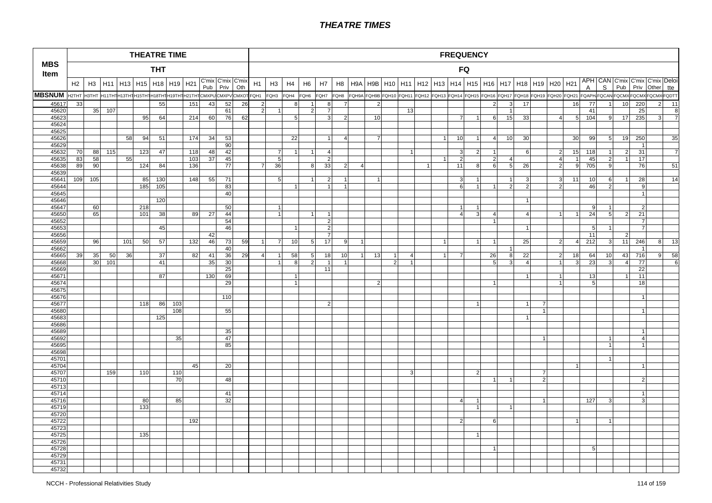|                    |     |     |        |     |           | <b>THEATRE TIME</b>                                                                            |     |                          |          |     |                |                 |                |                |                |                |                                                                                        |                |                |                |              | <b>FREQUENCY</b> |                                  |                |                 |                |                |                |                |                                                                                                                                                    |                |                                  |                                  |
|--------------------|-----|-----|--------|-----|-----------|------------------------------------------------------------------------------------------------|-----|--------------------------|----------|-----|----------------|-----------------|----------------|----------------|----------------|----------------|----------------------------------------------------------------------------------------|----------------|----------------|----------------|--------------|------------------|----------------------------------|----------------|-----------------|----------------|----------------|----------------|----------------|----------------------------------------------------------------------------------------------------------------------------------------------------|----------------|----------------------------------|----------------------------------|
| <b>MBS</b><br>Item |     |     |        |     |           | <b>THT</b>                                                                                     |     |                          |          |     |                |                 |                |                |                |                |                                                                                        |                |                |                |              |                  | <b>FQ</b>                        |                |                 |                |                |                |                |                                                                                                                                                    |                |                                  |                                  |
|                    | H2  | H3  |        |     |           | H11 H13 H15 H18 H19 H21                                                                        |     | C'mix C'mix C'mix<br>Pub | Priv     | Oth | H1             | H <sub>3</sub>  | H4             | H <sub>6</sub> | H7             |                | H8   H9A   H9B   H10   H11   H12   H13   H14   H15   H16   H17   H18   H19   H20   H21 |                |                |                |              |                  |                                  |                |                 |                |                |                |                | APH CAN C'mix C'mix C'mix Deloi<br>S<br>A                                                                                                          |                |                                  | Pub Priv Other tte               |
| <b>MBSNUM</b>      |     |     |        |     |           | н2тнт  нзтнт  н11тнт н13тнт н15тнт н18тнт н19тнт н21тнт смхр∪ смхр∨ смхот гон1    гон3    гон4 |     |                          |          |     |                |                 |                |                |                |                |                                                                                        |                |                |                |              |                  |                                  |                |                 |                |                |                |                | FQH6 FQH7 FQH8 FQH9A FQH9B FQH10 FQH11 FQH12 FQH12 FQH13 FQH14 FQH15 FQH16 FQH17 FQH18 FQH19 FQH20 FQH21 FQAPH FQCAN FQCMX FQCMX FQCMX FQCMX FQCMX |                |                                  |                                  |
| 45617              | 33  |     |        |     |           | 55                                                                                             | 151 | 43                       | 52       | 26  | $2 \vert$      |                 | 8              | 1              | 8              | 7              |                                                                                        | $\overline{2}$ |                |                |              |                  |                                  | $\overline{2}$ | 3               | 17             |                |                | 16             | 77<br>1                                                                                                                                            | 10             | 220                              | $2 \overline{ }$<br>11           |
| 45620              |     |     | 35 107 |     |           |                                                                                                |     |                          | 61       |     | $2 \vert$      | $\vert$ 1       |                | $\overline{2}$ | $\overline{7}$ |                |                                                                                        |                | 13             |                |              |                  |                                  |                | $\mathbf{1}$    |                |                |                |                | 41                                                                                                                                                 |                | 25                               | 8                                |
| 45623              |     |     |        |     | 95        | 64                                                                                             | 214 | 60                       | 76       | 62  |                |                 | 5 <sup>1</sup> |                | $\mathbf{3}$   | $\overline{2}$ | 10 <sup>1</sup>                                                                        |                |                |                |              | 7 <sup>1</sup>   | $\mathbf{1}$                     | $6 \mid$       | 15              | 33             |                | 4 <sup>1</sup> | 5 <sup>1</sup> | 104<br>9                                                                                                                                           | 17             | 235                              | 3 <sup>1</sup><br>$\overline{7}$ |
| 45624              |     |     |        |     |           |                                                                                                |     |                          |          |     |                |                 |                |                |                |                |                                                                                        |                |                |                |              |                  |                                  |                |                 |                |                |                |                |                                                                                                                                                    |                |                                  |                                  |
| 45625<br>45626     |     |     |        | 58  | 94        | 51                                                                                             | 174 | 34                       | 53       |     |                |                 | 22             |                | $\overline{1}$ | $\overline{4}$ | $\overline{7}$                                                                         |                |                |                | 1            | 10 <sup>1</sup>  | 11                               | 4              | 10 <sup>1</sup> | 30             |                |                | 30             | 99<br>5 <sub>5</sub>                                                                                                                               | 19             | 250                              |                                  |
| 45629              |     |     |        |     |           |                                                                                                |     |                          | 90       |     |                |                 |                |                |                |                |                                                                                        |                |                |                |              |                  |                                  |                |                 |                |                |                |                |                                                                                                                                                    |                | $\mathbf{1}$                     | 35                               |
| 45632              | 70  | 88  | 115    |     | 123       | 47                                                                                             | 118 | 48                       | 42       |     |                | $\overline{7}$  | $\vert$ 1      | 1              | $\overline{4}$ |                |                                                                                        |                |                |                |              | 3 <sup>1</sup>   | $\overline{2}$                   | 1              |                 | 6              |                | $\overline{2}$ | 15             | 118<br>$\mathbf{1}$                                                                                                                                | $\overline{2}$ | 31                               | $\overline{7}$                   |
| 45635              | 83  | 58  |        | 55  |           |                                                                                                | 103 | 37                       | 45       |     |                | $5\phantom{.0}$ |                |                | $\overline{c}$ |                |                                                                                        |                |                |                | $\mathbf{1}$ | 2                |                                  | $\mathbf{2}$   | $\overline{4}$  |                |                | $\overline{4}$ |                | 45<br>$\vert$ 2                                                                                                                                    | $\mathbf{1}$   | 17                               |                                  |
| 45638              | 89  | 90  |        |     | 124       | 84                                                                                             | 136 |                          | 77       |     | $\overline{7}$ | 36              |                | 8 <sup>8</sup> | 33             | $\overline{2}$ | $\vert$ 4                                                                              |                |                | $\overline{1}$ |              | 11               | 8                                | $6 \mid$       | $5\overline{)}$ | 26             |                | $\overline{2}$ | 9              | 705<br>9                                                                                                                                           |                | 76                               | 51                               |
| 45639              |     |     |        |     |           |                                                                                                |     |                          |          |     |                |                 |                |                |                |                |                                                                                        |                |                |                |              |                  |                                  |                |                 |                |                |                |                |                                                                                                                                                    |                |                                  |                                  |
| 45641              | 109 | 105 |        |     | 85        | 130                                                                                            | 148 | 55                       | 71       |     |                | -51             |                | $1 \vert$      | $\overline{2}$ | 11             | $\overline{1}$                                                                         |                |                |                |              | $\mathbf{3}$     | $\vert$ 1                        |                | 1               | 3              |                | 3              | 11             | $6 \overline{6}$<br>10                                                                                                                             | $\overline{1}$ | 28                               | 14                               |
| 45644<br>45645     |     |     |        |     | 185       | 105                                                                                            |     |                          | 83<br>40 |     |                |                 | $\overline{1}$ |                | $\mathbf{1}$   | $\vert$ 1      |                                                                                        |                |                |                |              | 6                | $\vert$ 1                        | 1 <sup>1</sup> | $\overline{2}$  | $\overline{2}$ |                | $\overline{2}$ |                | $\overline{2}$<br>46                                                                                                                               |                | 9 <sup>1</sup><br>1 <sup>1</sup> |                                  |
| 45646              |     |     |        |     |           | 120                                                                                            |     |                          |          |     |                |                 |                |                |                |                |                                                                                        |                |                |                |              |                  |                                  |                |                 | $\overline{1}$ |                |                |                |                                                                                                                                                    |                |                                  |                                  |
| 45647              |     | 60  |        |     | 218       |                                                                                                |     |                          | 50       |     |                | $\mathbf{1}$    |                |                |                |                |                                                                                        |                |                |                |              | 1 <sup>1</sup>   |                                  |                |                 |                |                |                |                | 9<br>$\mathbf{1}$                                                                                                                                  |                | $2 \vert$                        |                                  |
| 45650              |     | 65  |        |     | 101       | 38                                                                                             | 89  | 27                       | 44       |     |                | 11              |                | $1 \vert$      | $\overline{1}$ |                |                                                                                        |                |                |                |              | $\vert$          | 3 <sup>1</sup>                   | $\vert$ 4      |                 | $\overline{4}$ |                | 1              | $\overline{1}$ | 24<br>5 <sup>1</sup>                                                                                                                               | $\overline{2}$ | 21                               |                                  |
| 45652              |     |     |        |     |           |                                                                                                |     |                          | 54       |     |                |                 |                |                | $\mathbf{L}$   |                |                                                                                        |                |                |                |              |                  |                                  | 1              |                 |                |                |                |                |                                                                                                                                                    |                | $\overline{7}$                   |                                  |
| 45653              |     |     |        |     |           | 45                                                                                             |     |                          | 46       |     |                |                 | $\overline{1}$ |                | $\overline{2}$ |                |                                                                                        |                |                |                |              |                  |                                  |                |                 | $\vert$ 1      |                |                |                | 5<br>$\overline{1}$                                                                                                                                |                | $\overline{7}$                   |                                  |
| 45656              |     | 96  |        |     |           |                                                                                                |     | 42                       |          |     |                |                 |                | 5 <sup>1</sup> | $\overline{7}$ |                | $\mathbf 1$                                                                            |                |                |                |              |                  | $\mathbf{1}$                     |                |                 | 25             |                | $\overline{2}$ |                | 11                                                                                                                                                 | $\overline{2}$ |                                  | 8                                |
| 45659<br>45662     |     |     |        | 101 | 50        | 57                                                                                             | 132 | 46                       | 73<br>40 | 59  | 1              | $\overline{7}$  | 10             |                | 17             | 9              |                                                                                        |                |                |                | $\mathbf{1}$ |                  |                                  | $\mathbf{1}$   | $\mathbf{1}$    |                |                |                | 4 <sup>1</sup> | 212<br>$\overline{3}$                                                                                                                              | 11             | 246<br>1                         | 13                               |
| 45665              | 39  | 35  | 50     | 36  |           | 37                                                                                             | 82  | 41                       | 36       | 29  | 4 <sup>1</sup> |                 | 58             | 5 <sup>1</sup> | 18             | 10             | 13<br>$\mathbf{1}$                                                                     | $\overline{1}$ | $\overline{4}$ |                | $\mathbf{1}$ | $\overline{7}$   |                                  | 26             | $8\phantom{.}$  | 22             |                | $\overline{2}$ | 18             | 64<br>10                                                                                                                                           | 43             | 716                              | 58<br>9                          |
| 45668              |     | 30  | 101    |     |           | 41                                                                                             |     | 35                       | 30       |     |                | 11              | 8              | $\overline{2}$ | $\mathbf{1}$   | $\mathbf{1}$   |                                                                                        | $\overline{2}$ | $\mathbf{1}$   |                |              |                  |                                  | 5 <sub>l</sub> | $\mathbf{3}$    | $\overline{4}$ |                | 1              | $\mathbf{3}$   | 23<br>$\mathbf{3}$                                                                                                                                 | $\overline{a}$ | 77                               | 6                                |
| 45669              |     |     |        |     |           |                                                                                                |     |                          | 25       |     |                |                 |                |                | 11             |                |                                                                                        |                |                |                |              |                  |                                  |                |                 |                |                |                |                |                                                                                                                                                    |                | 22                               |                                  |
| 45671              |     |     |        |     |           | 87                                                                                             |     | 130                      | 69       |     |                |                 | $\vert$ 1      |                |                |                |                                                                                        |                |                |                |              |                  |                                  |                |                 | $\overline{1}$ |                | 1              |                | 13                                                                                                                                                 | 1              | 11                               |                                  |
| 45674              |     |     |        |     |           |                                                                                                |     |                          | 29       |     |                |                 | $\overline{1}$ |                |                |                | $\overline{2}$                                                                         |                |                |                |              |                  |                                  | 1              |                 |                |                | 1 <sup>1</sup> |                | $5\phantom{.0}$                                                                                                                                    |                | 18                               |                                  |
| 45675              |     |     |        |     |           |                                                                                                |     |                          |          |     |                |                 |                |                |                |                |                                                                                        |                |                |                |              |                  |                                  |                |                 |                |                |                |                |                                                                                                                                                    |                | $\mathbf{1}$                     |                                  |
| 45676<br>45677     |     |     |        |     | 118       | 86                                                                                             | 103 |                          | 110      |     |                |                 |                |                | $\overline{2}$ |                |                                                                                        |                |                |                |              |                  |                                  |                |                 |                | $\overline{7}$ |                |                |                                                                                                                                                    |                |                                  |                                  |
| 45680              |     |     |        |     |           |                                                                                                | 108 |                          | 55       |     |                |                 |                |                |                |                |                                                                                        |                |                |                |              |                  |                                  |                |                 |                | 1              |                |                |                                                                                                                                                    |                | $\overline{1}$                   |                                  |
| 45683              |     |     |        |     |           | 125                                                                                            |     |                          |          |     |                |                 |                |                |                |                |                                                                                        |                |                |                |              |                  |                                  |                |                 | $\overline{1}$ |                |                |                |                                                                                                                                                    |                |                                  |                                  |
| 45686              |     |     |        |     |           |                                                                                                |     |                          |          |     |                |                 |                |                |                |                |                                                                                        |                |                |                |              |                  |                                  |                |                 |                |                |                |                |                                                                                                                                                    |                |                                  |                                  |
| 45689              |     |     |        |     |           |                                                                                                |     |                          | 35       |     |                |                 |                |                |                |                |                                                                                        |                |                |                |              |                  |                                  |                |                 |                |                |                |                |                                                                                                                                                    |                | $\mathbf{1}$                     |                                  |
| 45692              |     |     |        |     |           |                                                                                                | 35  |                          | 47       |     |                |                 |                |                |                |                |                                                                                        |                |                |                |              |                  |                                  |                |                 |                | 1              |                |                | $\mathbf{1}$                                                                                                                                       |                | 4 <sup>1</sup>                   |                                  |
| 45695              |     |     |        |     |           |                                                                                                |     |                          | 85       |     |                |                 |                |                |                |                |                                                                                        |                |                |                |              |                  |                                  |                |                 |                |                |                |                | $\mathbf{1}$                                                                                                                                       |                | $\mathbf{1}$                     |                                  |
| 45698<br>45701     |     |     |        |     |           |                                                                                                |     |                          |          |     |                |                 |                |                |                |                |                                                                                        |                |                |                |              |                  |                                  |                |                 |                |                |                |                | 1                                                                                                                                                  |                |                                  |                                  |
| 45704              |     |     |        |     |           |                                                                                                | 45  |                          | 20       |     |                |                 |                |                |                |                |                                                                                        |                |                |                |              |                  |                                  |                |                 |                |                |                | $\overline{1}$ |                                                                                                                                                    |                | $\mathbf{1}$                     |                                  |
| 45707              |     |     | 159    |     | 110       |                                                                                                | 110 |                          |          |     |                |                 |                |                |                |                |                                                                                        |                | 3              |                |              |                  | $\overline{2}$                   |                |                 |                | $\overline{7}$ |                |                |                                                                                                                                                    |                |                                  |                                  |
| 45710              |     |     |        |     |           |                                                                                                | 70  |                          | 48       |     |                |                 |                |                |                |                |                                                                                        |                |                |                |              |                  |                                  | 1              | $\mathbf{1}$    |                | $\overline{2}$ |                |                |                                                                                                                                                    |                | 2 <sup>1</sup>                   |                                  |
| 45713              |     |     |        |     |           |                                                                                                |     |                          |          |     |                |                 |                |                |                |                |                                                                                        |                |                |                |              |                  |                                  |                |                 |                |                |                |                |                                                                                                                                                    |                |                                  |                                  |
| 45714              |     |     |        |     |           |                                                                                                |     |                          | 41       |     |                |                 |                |                |                |                |                                                                                        |                |                |                |              |                  |                                  |                |                 |                |                |                |                |                                                                                                                                                    |                | $\mathbf{1}$                     |                                  |
| 45716<br>45719     |     |     |        |     | 80<br>133 |                                                                                                | 85  |                          | 32       |     |                |                 |                |                |                |                |                                                                                        |                |                |                |              | 4 <sup>1</sup>   | $\overline{1}$<br>$\overline{1}$ |                | $\mathbf{1}$    |                | 1              |                |                | 127<br>$\mathbf{3}$                                                                                                                                |                | 3 <sup>1</sup>                   |                                  |
| 45720              |     |     |        |     |           |                                                                                                |     |                          |          |     |                |                 |                |                |                |                |                                                                                        |                |                |                |              |                  |                                  |                |                 |                |                |                |                |                                                                                                                                                    |                |                                  |                                  |
| 45722              |     |     |        |     |           |                                                                                                | 192 |                          |          |     |                |                 |                |                |                |                |                                                                                        |                |                |                |              | $\overline{2}$   |                                  | 6              |                 |                |                |                | $\overline{1}$ | $\mathbf{1}$                                                                                                                                       |                |                                  |                                  |
| 45723              |     |     |        |     |           |                                                                                                |     |                          |          |     |                |                 |                |                |                |                |                                                                                        |                |                |                |              |                  |                                  |                |                 |                |                |                |                |                                                                                                                                                    |                |                                  |                                  |
| 45725              |     |     |        |     | 135       |                                                                                                |     |                          |          |     |                |                 |                |                |                |                |                                                                                        |                |                |                |              |                  | $\mathbf{1}$                     |                |                 |                |                |                |                |                                                                                                                                                    |                |                                  |                                  |
| 45726              |     |     |        |     |           |                                                                                                |     |                          |          |     |                |                 |                |                |                |                |                                                                                        |                |                |                |              |                  |                                  |                |                 |                |                |                |                |                                                                                                                                                    |                |                                  |                                  |
| 45728              |     |     |        |     |           |                                                                                                |     |                          |          |     |                |                 |                |                |                |                |                                                                                        |                |                |                |              |                  |                                  | $\mathbf{1}$   |                 |                |                |                |                | $5\phantom{.0}$                                                                                                                                    |                |                                  |                                  |
| 45729<br>45731     |     |     |        |     |           |                                                                                                |     |                          |          |     |                |                 |                |                |                |                |                                                                                        |                |                |                |              |                  |                                  |                |                 |                |                |                |                |                                                                                                                                                    |                |                                  |                                  |
| 45732              |     |     |        |     |           |                                                                                                |     |                          |          |     |                |                 |                |                |                |                |                                                                                        |                |                |                |              |                  |                                  |                |                 |                |                |                |                |                                                                                                                                                    |                |                                  |                                  |
|                    |     |     |        |     |           |                                                                                                |     |                          |          |     |                |                 |                |                |                |                |                                                                                        |                |                |                |              |                  |                                  |                |                 |                |                |                |                |                                                                                                                                                    |                |                                  |                                  |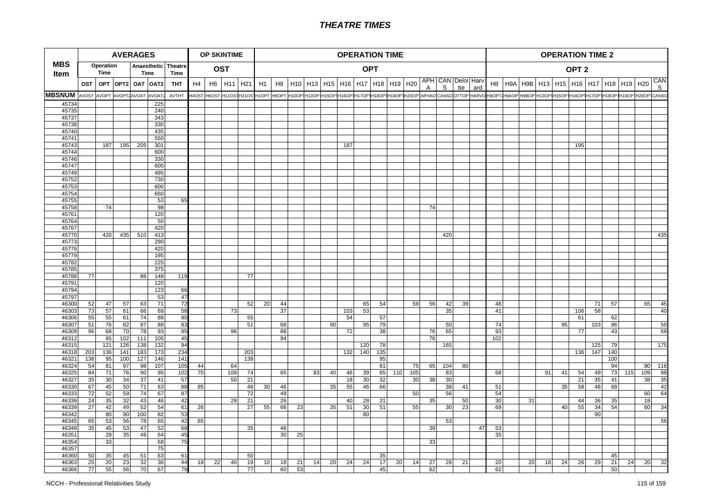|                           |            |                   |           | <b>AVERAGES</b>                |            |                        |    |    | OP SKINTIME |          |    |          |    |    |    | <b>OPERATION TIME</b> |                       |          |                                                                                                                                                                                   |     |                 |                                |          |     |          |    |    |    | <b>OPERATION TIME 2</b> |          |           |                                                          |                 |           |
|---------------------------|------------|-------------------|-----------|--------------------------------|------------|------------------------|----|----|-------------|----------|----|----------|----|----|----|-----------------------|-----------------------|----------|-----------------------------------------------------------------------------------------------------------------------------------------------------------------------------------|-----|-----------------|--------------------------------|----------|-----|----------|----|----|----|-------------------------|----------|-----------|----------------------------------------------------------|-----------------|-----------|
| <b>MBS</b><br><b>Item</b> |            | Operation<br>Time |           | Anaesthetic<br><b>Time</b>     |            | <b>Theatre</b><br>Time |    |    | <b>OST</b>  |          |    |          |    |    |    |                       | <b>OPT</b>            |          |                                                                                                                                                                                   |     |                 |                                |          |     |          |    |    |    | OPT <sub>2</sub>        |          |           |                                                          |                 |           |
|                           | <b>OST</b> |                   |           | OPT OPT2 OAT OAT2              |            | <b>THT</b>             | H4 |    | $H6$ $H11$  | H21      | H1 | H8       |    |    |    |                       |                       |          | H10   H13   H15   H16   H17   H18   H19   H20                                                                                                                                     |     | A               | APH   CAN   Deloi   Harv<br>S. | tte      | ard |          |    |    |    |                         |          |           | H8   H9A   H9B   H13   H15   H16   H17   H18   H19   H20 |                 | CAN<br>S. |
| <b>MBSNUM</b>             |            |                   |           | AVOST AVOPT AVOPTZAVOAT AVOATZ |            | AVTHT                  |    |    |             |          |    |          |    |    |    |                       |                       |          | +4OST H6OST H11OS1H21OS H1OPT H8OPT H10OP1H13OP1H15OP1H16OP1H17OP1H18OP1H19OP1H20OP1APHAO CANSO DTTOP HARVO H8OPT H9AOP H9BOP H13OP1H15OP1H15OP1H16OP1H17OP1H18OP1H2OP1H2OP1CANSC |     |                 |                                |          |     |          |    |    |    |                         |          |           |                                                          |                 |           |
| 45734                     |            |                   |           |                                | 225        |                        |    |    |             |          |    |          |    |    |    |                       |                       |          |                                                                                                                                                                                   |     |                 |                                |          |     |          |    |    |    |                         |          |           |                                                          |                 |           |
| 45735                     |            |                   |           |                                | 240        |                        |    |    |             |          |    |          |    |    |    |                       |                       |          |                                                                                                                                                                                   |     |                 |                                |          |     |          |    |    |    |                         |          |           |                                                          |                 |           |
| 45737<br>45738            |            |                   |           |                                | 343<br>330 |                        |    |    |             |          |    |          |    |    |    |                       |                       |          |                                                                                                                                                                                   |     |                 |                                |          |     |          |    |    |    |                         |          |           |                                                          |                 |           |
| 45740                     |            |                   |           |                                | 435        |                        |    |    |             |          |    |          |    |    |    |                       |                       |          |                                                                                                                                                                                   |     |                 |                                |          |     |          |    |    |    |                         |          |           |                                                          |                 |           |
| 45741                     |            |                   |           |                                | 550        |                        |    |    |             |          |    |          |    |    |    |                       |                       |          |                                                                                                                                                                                   |     |                 |                                |          |     |          |    |    |    |                         |          |           |                                                          |                 |           |
| 45743                     |            | 187               | 195       | 205                            | 301        |                        |    |    |             |          |    |          |    |    |    | 187                   |                       |          |                                                                                                                                                                                   |     |                 |                                |          |     |          |    |    |    | 195                     |          |           |                                                          |                 |           |
| 45744<br>45746            |            |                   |           |                                | 600<br>330 |                        |    |    |             |          |    |          |    |    |    |                       |                       |          |                                                                                                                                                                                   |     |                 |                                |          |     |          |    |    |    |                         |          |           |                                                          |                 |           |
| 45747                     |            |                   |           |                                | 600        |                        |    |    |             |          |    |          |    |    |    |                       |                       |          |                                                                                                                                                                                   |     |                 |                                |          |     |          |    |    |    |                         |          |           |                                                          |                 |           |
| 45749                     |            |                   |           |                                | 495        |                        |    |    |             |          |    |          |    |    |    |                       |                       |          |                                                                                                                                                                                   |     |                 |                                |          |     |          |    |    |    |                         |          |           |                                                          |                 |           |
| 45752                     |            |                   |           |                                | 730        |                        |    |    |             |          |    |          |    |    |    |                       |                       |          |                                                                                                                                                                                   |     |                 |                                |          |     |          |    |    |    |                         |          |           |                                                          |                 |           |
| 45753                     |            |                   |           |                                | 600        |                        |    |    |             |          |    |          |    |    |    |                       |                       |          |                                                                                                                                                                                   |     |                 |                                |          |     |          |    |    |    |                         |          |           |                                                          |                 |           |
| 45754                     |            |                   |           |                                | 660<br>53  | 65                     |    |    |             |          |    |          |    |    |    |                       |                       |          |                                                                                                                                                                                   |     |                 |                                |          |     |          |    |    |    |                         |          |           |                                                          |                 |           |
| 45755<br>45758            |            | 74                |           |                                | 98         |                        |    |    |             |          |    |          |    |    |    |                       |                       |          |                                                                                                                                                                                   |     | 74              |                                |          |     |          |    |    |    |                         |          |           |                                                          |                 |           |
| 45761                     |            |                   |           |                                | 120        |                        |    |    |             |          |    |          |    |    |    |                       |                       |          |                                                                                                                                                                                   |     |                 |                                |          |     |          |    |    |    |                         |          |           |                                                          |                 |           |
| 45764                     |            |                   |           |                                | 50         |                        |    |    |             |          |    |          |    |    |    |                       |                       |          |                                                                                                                                                                                   |     |                 |                                |          |     |          |    |    |    |                         |          |           |                                                          |                 |           |
| 45767                     |            |                   |           |                                | 420        |                        |    |    |             |          |    |          |    |    |    |                       |                       |          |                                                                                                                                                                                   |     |                 |                                |          |     |          |    |    |    |                         |          |           |                                                          |                 |           |
| 45770<br>45773            |            | 420               | 435       | 510                            | 413<br>290 |                        |    |    |             |          |    |          |    |    |    |                       |                       |          |                                                                                                                                                                                   |     |                 | 420                            |          |     |          |    |    |    |                         |          |           |                                                          |                 | 435       |
| 45776                     |            |                   |           |                                | 420        |                        |    |    |             |          |    |          |    |    |    |                       |                       |          |                                                                                                                                                                                   |     |                 |                                |          |     |          |    |    |    |                         |          |           |                                                          |                 |           |
| 45779                     |            |                   |           |                                | 195        |                        |    |    |             |          |    |          |    |    |    |                       |                       |          |                                                                                                                                                                                   |     |                 |                                |          |     |          |    |    |    |                         |          |           |                                                          |                 |           |
| 45782                     |            |                   |           |                                | 225        |                        |    |    |             |          |    |          |    |    |    |                       |                       |          |                                                                                                                                                                                   |     |                 |                                |          |     |          |    |    |    |                         |          |           |                                                          |                 |           |
| 45785                     |            |                   |           |                                | 375        |                        |    |    |             |          |    |          |    |    |    |                       |                       |          |                                                                                                                                                                                   |     |                 |                                |          |     |          |    |    |    |                         |          |           |                                                          |                 |           |
| 45788<br>45791            | 77         |                   |           | 86                             | 148<br>120 | 119                    |    |    |             | 77       |    |          |    |    |    |                       |                       |          |                                                                                                                                                                                   |     |                 |                                |          |     |          |    |    |    |                         |          |           |                                                          |                 |           |
| 45794                     |            |                   |           |                                | 123        | 66                     |    |    |             |          |    |          |    |    |    |                       |                       |          |                                                                                                                                                                                   |     |                 |                                |          |     |          |    |    |    |                         |          |           |                                                          |                 |           |
| 45797                     |            |                   |           |                                | 53         | 47                     |    |    |             |          |    |          |    |    |    |                       |                       |          |                                                                                                                                                                                   |     |                 |                                |          |     |          |    |    |    |                         |          |           |                                                          |                 |           |
| 46300                     | 52         | 47                | 57        | 63                             | 71         | $\overline{72}$        |    |    |             | 52       | 20 | 44       |    |    |    |                       | 65                    | 54       |                                                                                                                                                                                   | 59  | 56              | 42                             | 39       |     | 48       |    |    |    |                         | 71       | 57        |                                                          | 65              | 45        |
| 46303                     | 73         | 57                | 61        | 66                             | 69         | 58                     |    |    | 73          |          |    | 37       |    |    |    | 103                   | 53                    |          |                                                                                                                                                                                   |     |                 | 35                             |          |     | 41       |    |    |    | 106                     | 58       |           |                                                          |                 | 40        |
| 46306<br>46307            | 55<br>51   | 55<br>76          | 61<br>82  | 74<br>87                       | 88<br>88   | 90<br>83               |    |    |             | 55<br>51 |    | 68       |    |    | 90 | 54                    | 95                    | 57<br>79 |                                                                                                                                                                                   |     |                 | 50                             |          |     | 74       |    |    | 95 | 61                      | 103      | 62<br>86  |                                                          |                 | 50        |
| 46309                     | 96         | 68                | 70        | 78                             | 93         | 95                     |    |    | 96          |          |    | 88       |    |    |    | 72                    |                       | 38       |                                                                                                                                                                                   |     | 76              | 65                             |          |     | 93       |    |    |    | 77                      |          | 43        |                                                          |                 | 68        |
| 46312                     |            | 85                | 102       | 111                            | 105        | 45                     |    |    |             |          |    | 94       |    |    |    |                       |                       |          |                                                                                                                                                                                   |     | 76              |                                |          |     | 102      |    |    |    |                         |          |           |                                                          |                 |           |
| 46315                     |            | 121               | 126       | 138                            | 132        | 94                     |    |    |             |          |    |          |    |    |    |                       | 120                   | 78       |                                                                                                                                                                                   |     |                 | 165                            |          |     |          |    |    |    |                         | 125      | 79        |                                                          |                 | 175       |
| 46318                     | 203        | 136               | 141       | 183                            | 173        | 234                    |    |    |             | 203      |    |          |    |    |    | 132                   | 140                   | 135      |                                                                                                                                                                                   |     |                 |                                |          |     |          |    |    |    | 136                     | 147      | 140       |                                                          |                 |           |
| 46321<br>46324            | 138<br>54  | 95<br>81          | 100<br>97 | 127<br>98                      | 146<br>107 | 141<br>105             | 44 |    | 64          | 138      |    |          |    |    |    |                       |                       | 95<br>81 |                                                                                                                                                                                   | 75  | 65              | 104                            | 80       |     |          |    |    |    |                         |          | 100<br>94 |                                                          | 80              | 116       |
| 46325                     | 84         | 71                | 76        | 90                             | 95         | 102                    | 70 |    | 109         | 74       |    | 65       |    | 83 | 40 | 46                    | 39 <sup>°</sup>       | 65       | 110                                                                                                                                                                               | 105 |                 | 83                             |          |     | 68       |    | 91 | 41 | 54                      | 49       | 73        | 115                                                      | 109             | 88        |
| 46327                     | 35         | 30                | 34        | 37                             | 41         | 57                     |    |    | 50          | 21       |    |          |    |    |    | 18                    | 30 <sub>l</sub>       | 32       |                                                                                                                                                                                   | 30  | 38              | 30                             |          |     |          |    |    |    | 21                      | 35       | 41        |                                                          | 38              | 35        |
| 46330                     | 67         | 45                | 50        | 71                             | 63         | 88                     | 85 |    |             | 48       | 30 | 46       |    |    | 35 | 55                    | 46                    | 66       |                                                                                                                                                                                   |     |                 | 38                             | 41       |     | 51       |    |    | 35 | 58                      | 48       | 68        |                                                          |                 | 42        |
| 46333                     | 72         | 52                | 59        | 74                             | 67         | 87                     |    |    |             | 72       |    | 49       |    |    |    |                       |                       |          |                                                                                                                                                                                   | 50  |                 | 56                             |          |     | 54       |    |    |    |                         |          |           |                                                          | 60              | 64        |
| 46336<br>46339            | 24<br>27   | 35<br>42          | 32<br>49  | 43<br>52                       | 46<br>54   | 42<br>61               | 26 |    | 28          | 21<br>27 | 55 | 26<br>66 | 23 |    | 35 | 40<br>51              | 28<br>30 <sup>1</sup> | 31<br>51 |                                                                                                                                                                                   | 55  | 35 <sub>1</sub> | 30 <sup>°</sup>                | 50<br>23 |     | 30<br>69 | 31 |    | 40 | 44<br>55                | 36<br>34 | 35<br>54  |                                                          | 18<br>60        | 34        |
| 46342                     |            | 80                | 90        | 100                            | 82         | 53                     |    |    |             |          |    |          |    |    |    |                       | 80                    |          |                                                                                                                                                                                   |     |                 |                                |          |     |          |    |    |    |                         | 90       |           |                                                          |                 |           |
| 46345                     | 65         | 53                | 56        | 78                             | 65         | 42                     | 65 |    |             |          |    |          |    |    |    |                       |                       |          |                                                                                                                                                                                   |     |                 | 53                             |          |     |          |    |    |    |                         |          |           |                                                          |                 | 56        |
| 46348                     | 35         | 45                | 53        | 47                             | 52         | 68                     |    |    |             | 35       |    | 48       |    |    |    |                       |                       |          |                                                                                                                                                                                   |     | 39              |                                |          | 47  | 53       |    |    |    |                         |          |           |                                                          |                 |           |
| 46351                     |            | 28                | 35        | 49                             | 64         | 45                     |    |    |             |          |    | 30       | 25 |    |    |                       |                       |          |                                                                                                                                                                                   |     |                 |                                |          |     | 35       |    |    |    |                         |          |           |                                                          |                 |           |
| 46354<br>46357            |            | 33                |           |                                | 68<br>75   | 75                     |    |    |             |          |    |          |    |    |    |                       |                       |          |                                                                                                                                                                                   |     | 33              |                                |          |     |          |    |    |    |                         |          |           |                                                          |                 |           |
| 46360                     | 50         | 35                | 45        | 51                             | 63         | 61                     |    |    |             | 50       |    |          |    |    |    |                       |                       | 35       |                                                                                                                                                                                   |     |                 |                                |          |     |          |    |    |    |                         |          | 45        |                                                          |                 |           |
| 46363                     | 25         | 20                | 23        | 32                             | 36         | 44                     | 18 | 22 | 40          | 19       | 10 | 18       | 21 | 14 | 20 | 24                    | 24                    | 17       | 20                                                                                                                                                                                | 14  | 27              | 28                             | 21       |     | 20       | 20 | 18 | 24 | 26                      | 29       | 21        | 24                                                       | 20 <sup>1</sup> | 32        |
| 46366                     | 77         | 55                | 56        | 70                             | 67         | 79                     |    |    |             | 77       |    | 60       | 53 |    |    |                       |                       | 45       |                                                                                                                                                                                   |     | 62              |                                |          |     | 62       |    |    |    |                         |          | 50        |                                                          |                 |           |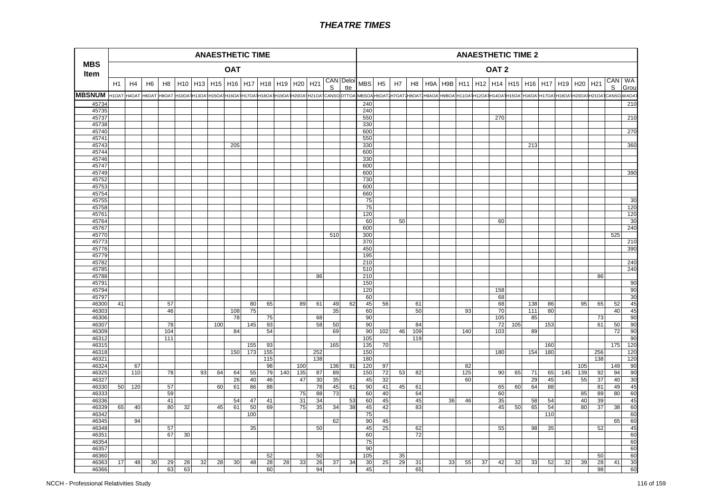| <b>OAT</b><br>OAT <sub>2</sub><br><b>Item</b><br>CAN Deloi<br>CAN WA<br>H10   H13   H15   H16   H17   H18   H19   H20   H21<br>MBS<br>H <sub>5</sub><br>H7<br>H9B H11<br>H12   H14   H15   H16   H17   H19   H20   H21<br>H1<br>H4<br>H <sub>6</sub><br>H <sub>8</sub><br>H <sub>8</sub><br>H9A<br>S<br>Grou<br>S<br>tte<br>MBSNUM H10AT H40AT H60AT H60AT H10OAT H13OATH15OATH15OATH17OATH18OATH19OATH20OATH210ATCANSODTTOA<br>MBSOA H5OAT1H7OAT1H8OAT1H9AOA H9BOA H11OATH12OATH14OATH15OATH16OATH17OATH19OATH20OATH21OATCANSORMA<br>45734<br>240<br>210<br>45735<br>240<br>45737<br>550<br>270<br>210<br>45738<br>330<br>45740<br>270<br>600<br>45741<br>550<br>45743<br>330<br>360<br>205<br>213<br>45744<br>600<br>45746<br>330<br>45747<br>600<br>45749<br>600<br>390<br>45752<br>730<br>45753<br>600<br>660<br>45754<br>45755<br>75<br>30<br>120<br>45758<br>75<br>45761<br>120<br>120<br>30<br>45764<br>60<br>50<br>60<br>45767<br>600<br>240<br>525<br>45770<br>510<br>300<br>45773<br>370<br>210<br>390<br>45776<br>450<br>45779<br>195<br>45782<br>210<br>240<br>45785<br>240<br>510<br>45788<br>86<br>210<br>86<br>45791<br>150<br>90<br>90<br>45794<br>120<br>158<br>30<br>45797<br>60<br>68<br>45<br>65<br>45<br>46300<br>41<br>57<br>65<br>89<br>61<br>62<br>56<br>61<br>68<br>138<br>86<br>95<br>52<br>80<br>49<br>46<br>108<br>75<br>35<br>60<br>50<br>93<br>70<br>111<br>80<br>45<br>46303<br>40<br>90<br>46306<br>78<br>75<br>68<br>90<br>105<br>73<br>85<br>90<br>46307<br>78<br>100<br>93<br>58<br>50<br>90<br>84<br>72<br>105<br>153<br>61<br>50<br>145<br>90<br>90<br>140<br>103<br>72<br>46309<br>104<br>84<br>54<br>69<br>102<br>46<br>109<br>89<br>90<br>105<br>46312<br>111<br>119<br>120<br>70<br>160<br>175<br>46315<br>155<br>93<br>135<br>165<br>173<br>120<br>46318<br>150<br>155<br>252<br>150<br>180<br>154<br>180<br>256<br>120<br>46321<br>115<br>180<br>138<br>138<br>90<br>46324<br>98<br>91<br>120<br>82<br>67<br>100<br>136<br>97<br>105<br>149<br>46325<br>72<br>125<br>90<br>110<br>78<br>93<br>64<br>55<br>79<br>140<br>135<br>87<br>89<br>150<br>53<br>82<br>90<br>65<br>71<br>65<br>145<br>139<br>92<br>94<br>64<br>$\frac{1}{30}$<br>46327<br>26<br>46<br>47<br>30<br>35<br>45<br>32<br>60<br>29<br>45<br>55<br>37<br>40<br>40<br>45<br>61<br>90<br>41<br>88<br>46330<br>50<br>120<br>57<br>60<br>61<br>86<br>88<br>78<br>45<br>45<br>61<br>65<br>60<br>64<br>81<br>49<br>60<br>75<br>73<br>80<br>46333<br>59<br>88<br>60<br>40<br>85<br>89<br>64<br>60<br>45<br>46336<br>31<br>60<br>45<br>58<br>39<br>41<br>54<br>47<br>41<br>34<br>53<br>45<br>36 <sup>°</sup><br>46<br>35<br>54<br>40<br>80<br>32<br>45<br>75<br>35<br>34<br>38<br>42<br>83<br>45<br>54<br>80<br>37<br>60<br>46339<br>65<br>40<br>61<br>50<br>69<br>45<br>50<br>65<br>38<br>75<br>60<br>46342<br>100<br>110<br>60<br>46345<br>94<br>62<br>90<br>65<br>45<br>46348<br>35<br>50<br>45<br>25<br>35<br>52<br>45<br>57<br>62<br>55<br>98<br>60<br>46351<br>67<br>30<br>60<br>72<br>60<br>46354<br>75<br>60<br>90<br>46357<br>60<br>52<br>105<br>50<br>46360<br>50<br>35<br>28<br>30<br>46363<br>30<br>29<br>28<br>32<br>28<br>30<br>28<br>28<br>33<br>37<br>34<br>30 <sup>°</sup><br>25<br>29<br>55<br>37<br>42<br>32<br>33<br>52<br>32<br>39<br>17<br>48<br>48<br>26<br>31<br>33<br>41<br>98<br>60<br>46366<br>63<br>63<br>60<br>94<br>45<br>65 |            |  | <b>ANAESTHETIC TIME</b> |  |  |  |  |  |  |  |  |  |  |  |  |  |  |  |  | <b>ANAESTHETIC TIME 2</b> |  |  |  |  |
|--------------------------------------------------------------------------------------------------------------------------------------------------------------------------------------------------------------------------------------------------------------------------------------------------------------------------------------------------------------------------------------------------------------------------------------------------------------------------------------------------------------------------------------------------------------------------------------------------------------------------------------------------------------------------------------------------------------------------------------------------------------------------------------------------------------------------------------------------------------------------------------------------------------------------------------------------------------------------------------------------------------------------------------------------------------------------------------------------------------------------------------------------------------------------------------------------------------------------------------------------------------------------------------------------------------------------------------------------------------------------------------------------------------------------------------------------------------------------------------------------------------------------------------------------------------------------------------------------------------------------------------------------------------------------------------------------------------------------------------------------------------------------------------------------------------------------------------------------------------------------------------------------------------------------------------------------------------------------------------------------------------------------------------------------------------------------------------------------------------------------------------------------------------------------------------------------------------------------------------------------------------------------------------------------------------------------------------------------------------------------------------------------------------------------------------------------------------------------------------------------------------------------------------------------------------------------------------------------------------------------------------------------------------------------------------------------------------------------------------------------------------------------------------------------------------------------------------------------------------------------------------------------------------------------------------------------------------------------------------------------------------------------------------------------------------------------------------------------------------------------------------------------------------------------------------------------------------------------------------------------------------------------------------------------------------------------------------------------------------|------------|--|-------------------------|--|--|--|--|--|--|--|--|--|--|--|--|--|--|--|--|---------------------------|--|--|--|--|
|                                                                                                                                                                                                                                                                                                                                                                                                                                                                                                                                                                                                                                                                                                                                                                                                                                                                                                                                                                                                                                                                                                                                                                                                                                                                                                                                                                                                                                                                                                                                                                                                                                                                                                                                                                                                                                                                                                                                                                                                                                                                                                                                                                                                                                                                                                                                                                                                                                                                                                                                                                                                                                                                                                                                                                                                                                                                                                                                                                                                                                                                                                                                                                                                                                                                                                                                                              | <b>MBS</b> |  |                         |  |  |  |  |  |  |  |  |  |  |  |  |  |  |  |  |                           |  |  |  |  |
|                                                                                                                                                                                                                                                                                                                                                                                                                                                                                                                                                                                                                                                                                                                                                                                                                                                                                                                                                                                                                                                                                                                                                                                                                                                                                                                                                                                                                                                                                                                                                                                                                                                                                                                                                                                                                                                                                                                                                                                                                                                                                                                                                                                                                                                                                                                                                                                                                                                                                                                                                                                                                                                                                                                                                                                                                                                                                                                                                                                                                                                                                                                                                                                                                                                                                                                                                              |            |  |                         |  |  |  |  |  |  |  |  |  |  |  |  |  |  |  |  |                           |  |  |  |  |
|                                                                                                                                                                                                                                                                                                                                                                                                                                                                                                                                                                                                                                                                                                                                                                                                                                                                                                                                                                                                                                                                                                                                                                                                                                                                                                                                                                                                                                                                                                                                                                                                                                                                                                                                                                                                                                                                                                                                                                                                                                                                                                                                                                                                                                                                                                                                                                                                                                                                                                                                                                                                                                                                                                                                                                                                                                                                                                                                                                                                                                                                                                                                                                                                                                                                                                                                                              |            |  |                         |  |  |  |  |  |  |  |  |  |  |  |  |  |  |  |  |                           |  |  |  |  |
|                                                                                                                                                                                                                                                                                                                                                                                                                                                                                                                                                                                                                                                                                                                                                                                                                                                                                                                                                                                                                                                                                                                                                                                                                                                                                                                                                                                                                                                                                                                                                                                                                                                                                                                                                                                                                                                                                                                                                                                                                                                                                                                                                                                                                                                                                                                                                                                                                                                                                                                                                                                                                                                                                                                                                                                                                                                                                                                                                                                                                                                                                                                                                                                                                                                                                                                                                              |            |  |                         |  |  |  |  |  |  |  |  |  |  |  |  |  |  |  |  |                           |  |  |  |  |
|                                                                                                                                                                                                                                                                                                                                                                                                                                                                                                                                                                                                                                                                                                                                                                                                                                                                                                                                                                                                                                                                                                                                                                                                                                                                                                                                                                                                                                                                                                                                                                                                                                                                                                                                                                                                                                                                                                                                                                                                                                                                                                                                                                                                                                                                                                                                                                                                                                                                                                                                                                                                                                                                                                                                                                                                                                                                                                                                                                                                                                                                                                                                                                                                                                                                                                                                                              |            |  |                         |  |  |  |  |  |  |  |  |  |  |  |  |  |  |  |  |                           |  |  |  |  |
|                                                                                                                                                                                                                                                                                                                                                                                                                                                                                                                                                                                                                                                                                                                                                                                                                                                                                                                                                                                                                                                                                                                                                                                                                                                                                                                                                                                                                                                                                                                                                                                                                                                                                                                                                                                                                                                                                                                                                                                                                                                                                                                                                                                                                                                                                                                                                                                                                                                                                                                                                                                                                                                                                                                                                                                                                                                                                                                                                                                                                                                                                                                                                                                                                                                                                                                                                              |            |  |                         |  |  |  |  |  |  |  |  |  |  |  |  |  |  |  |  |                           |  |  |  |  |
|                                                                                                                                                                                                                                                                                                                                                                                                                                                                                                                                                                                                                                                                                                                                                                                                                                                                                                                                                                                                                                                                                                                                                                                                                                                                                                                                                                                                                                                                                                                                                                                                                                                                                                                                                                                                                                                                                                                                                                                                                                                                                                                                                                                                                                                                                                                                                                                                                                                                                                                                                                                                                                                                                                                                                                                                                                                                                                                                                                                                                                                                                                                                                                                                                                                                                                                                                              |            |  |                         |  |  |  |  |  |  |  |  |  |  |  |  |  |  |  |  |                           |  |  |  |  |
|                                                                                                                                                                                                                                                                                                                                                                                                                                                                                                                                                                                                                                                                                                                                                                                                                                                                                                                                                                                                                                                                                                                                                                                                                                                                                                                                                                                                                                                                                                                                                                                                                                                                                                                                                                                                                                                                                                                                                                                                                                                                                                                                                                                                                                                                                                                                                                                                                                                                                                                                                                                                                                                                                                                                                                                                                                                                                                                                                                                                                                                                                                                                                                                                                                                                                                                                                              |            |  |                         |  |  |  |  |  |  |  |  |  |  |  |  |  |  |  |  |                           |  |  |  |  |
|                                                                                                                                                                                                                                                                                                                                                                                                                                                                                                                                                                                                                                                                                                                                                                                                                                                                                                                                                                                                                                                                                                                                                                                                                                                                                                                                                                                                                                                                                                                                                                                                                                                                                                                                                                                                                                                                                                                                                                                                                                                                                                                                                                                                                                                                                                                                                                                                                                                                                                                                                                                                                                                                                                                                                                                                                                                                                                                                                                                                                                                                                                                                                                                                                                                                                                                                                              |            |  |                         |  |  |  |  |  |  |  |  |  |  |  |  |  |  |  |  |                           |  |  |  |  |
|                                                                                                                                                                                                                                                                                                                                                                                                                                                                                                                                                                                                                                                                                                                                                                                                                                                                                                                                                                                                                                                                                                                                                                                                                                                                                                                                                                                                                                                                                                                                                                                                                                                                                                                                                                                                                                                                                                                                                                                                                                                                                                                                                                                                                                                                                                                                                                                                                                                                                                                                                                                                                                                                                                                                                                                                                                                                                                                                                                                                                                                                                                                                                                                                                                                                                                                                                              |            |  |                         |  |  |  |  |  |  |  |  |  |  |  |  |  |  |  |  |                           |  |  |  |  |
|                                                                                                                                                                                                                                                                                                                                                                                                                                                                                                                                                                                                                                                                                                                                                                                                                                                                                                                                                                                                                                                                                                                                                                                                                                                                                                                                                                                                                                                                                                                                                                                                                                                                                                                                                                                                                                                                                                                                                                                                                                                                                                                                                                                                                                                                                                                                                                                                                                                                                                                                                                                                                                                                                                                                                                                                                                                                                                                                                                                                                                                                                                                                                                                                                                                                                                                                                              |            |  |                         |  |  |  |  |  |  |  |  |  |  |  |  |  |  |  |  |                           |  |  |  |  |
|                                                                                                                                                                                                                                                                                                                                                                                                                                                                                                                                                                                                                                                                                                                                                                                                                                                                                                                                                                                                                                                                                                                                                                                                                                                                                                                                                                                                                                                                                                                                                                                                                                                                                                                                                                                                                                                                                                                                                                                                                                                                                                                                                                                                                                                                                                                                                                                                                                                                                                                                                                                                                                                                                                                                                                                                                                                                                                                                                                                                                                                                                                                                                                                                                                                                                                                                                              |            |  |                         |  |  |  |  |  |  |  |  |  |  |  |  |  |  |  |  |                           |  |  |  |  |
|                                                                                                                                                                                                                                                                                                                                                                                                                                                                                                                                                                                                                                                                                                                                                                                                                                                                                                                                                                                                                                                                                                                                                                                                                                                                                                                                                                                                                                                                                                                                                                                                                                                                                                                                                                                                                                                                                                                                                                                                                                                                                                                                                                                                                                                                                                                                                                                                                                                                                                                                                                                                                                                                                                                                                                                                                                                                                                                                                                                                                                                                                                                                                                                                                                                                                                                                                              |            |  |                         |  |  |  |  |  |  |  |  |  |  |  |  |  |  |  |  |                           |  |  |  |  |
|                                                                                                                                                                                                                                                                                                                                                                                                                                                                                                                                                                                                                                                                                                                                                                                                                                                                                                                                                                                                                                                                                                                                                                                                                                                                                                                                                                                                                                                                                                                                                                                                                                                                                                                                                                                                                                                                                                                                                                                                                                                                                                                                                                                                                                                                                                                                                                                                                                                                                                                                                                                                                                                                                                                                                                                                                                                                                                                                                                                                                                                                                                                                                                                                                                                                                                                                                              |            |  |                         |  |  |  |  |  |  |  |  |  |  |  |  |  |  |  |  |                           |  |  |  |  |
|                                                                                                                                                                                                                                                                                                                                                                                                                                                                                                                                                                                                                                                                                                                                                                                                                                                                                                                                                                                                                                                                                                                                                                                                                                                                                                                                                                                                                                                                                                                                                                                                                                                                                                                                                                                                                                                                                                                                                                                                                                                                                                                                                                                                                                                                                                                                                                                                                                                                                                                                                                                                                                                                                                                                                                                                                                                                                                                                                                                                                                                                                                                                                                                                                                                                                                                                                              |            |  |                         |  |  |  |  |  |  |  |  |  |  |  |  |  |  |  |  |                           |  |  |  |  |
|                                                                                                                                                                                                                                                                                                                                                                                                                                                                                                                                                                                                                                                                                                                                                                                                                                                                                                                                                                                                                                                                                                                                                                                                                                                                                                                                                                                                                                                                                                                                                                                                                                                                                                                                                                                                                                                                                                                                                                                                                                                                                                                                                                                                                                                                                                                                                                                                                                                                                                                                                                                                                                                                                                                                                                                                                                                                                                                                                                                                                                                                                                                                                                                                                                                                                                                                                              |            |  |                         |  |  |  |  |  |  |  |  |  |  |  |  |  |  |  |  |                           |  |  |  |  |
|                                                                                                                                                                                                                                                                                                                                                                                                                                                                                                                                                                                                                                                                                                                                                                                                                                                                                                                                                                                                                                                                                                                                                                                                                                                                                                                                                                                                                                                                                                                                                                                                                                                                                                                                                                                                                                                                                                                                                                                                                                                                                                                                                                                                                                                                                                                                                                                                                                                                                                                                                                                                                                                                                                                                                                                                                                                                                                                                                                                                                                                                                                                                                                                                                                                                                                                                                              |            |  |                         |  |  |  |  |  |  |  |  |  |  |  |  |  |  |  |  |                           |  |  |  |  |
|                                                                                                                                                                                                                                                                                                                                                                                                                                                                                                                                                                                                                                                                                                                                                                                                                                                                                                                                                                                                                                                                                                                                                                                                                                                                                                                                                                                                                                                                                                                                                                                                                                                                                                                                                                                                                                                                                                                                                                                                                                                                                                                                                                                                                                                                                                                                                                                                                                                                                                                                                                                                                                                                                                                                                                                                                                                                                                                                                                                                                                                                                                                                                                                                                                                                                                                                                              |            |  |                         |  |  |  |  |  |  |  |  |  |  |  |  |  |  |  |  |                           |  |  |  |  |
|                                                                                                                                                                                                                                                                                                                                                                                                                                                                                                                                                                                                                                                                                                                                                                                                                                                                                                                                                                                                                                                                                                                                                                                                                                                                                                                                                                                                                                                                                                                                                                                                                                                                                                                                                                                                                                                                                                                                                                                                                                                                                                                                                                                                                                                                                                                                                                                                                                                                                                                                                                                                                                                                                                                                                                                                                                                                                                                                                                                                                                                                                                                                                                                                                                                                                                                                                              |            |  |                         |  |  |  |  |  |  |  |  |  |  |  |  |  |  |  |  |                           |  |  |  |  |
|                                                                                                                                                                                                                                                                                                                                                                                                                                                                                                                                                                                                                                                                                                                                                                                                                                                                                                                                                                                                                                                                                                                                                                                                                                                                                                                                                                                                                                                                                                                                                                                                                                                                                                                                                                                                                                                                                                                                                                                                                                                                                                                                                                                                                                                                                                                                                                                                                                                                                                                                                                                                                                                                                                                                                                                                                                                                                                                                                                                                                                                                                                                                                                                                                                                                                                                                                              |            |  |                         |  |  |  |  |  |  |  |  |  |  |  |  |  |  |  |  |                           |  |  |  |  |
|                                                                                                                                                                                                                                                                                                                                                                                                                                                                                                                                                                                                                                                                                                                                                                                                                                                                                                                                                                                                                                                                                                                                                                                                                                                                                                                                                                                                                                                                                                                                                                                                                                                                                                                                                                                                                                                                                                                                                                                                                                                                                                                                                                                                                                                                                                                                                                                                                                                                                                                                                                                                                                                                                                                                                                                                                                                                                                                                                                                                                                                                                                                                                                                                                                                                                                                                                              |            |  |                         |  |  |  |  |  |  |  |  |  |  |  |  |  |  |  |  |                           |  |  |  |  |
|                                                                                                                                                                                                                                                                                                                                                                                                                                                                                                                                                                                                                                                                                                                                                                                                                                                                                                                                                                                                                                                                                                                                                                                                                                                                                                                                                                                                                                                                                                                                                                                                                                                                                                                                                                                                                                                                                                                                                                                                                                                                                                                                                                                                                                                                                                                                                                                                                                                                                                                                                                                                                                                                                                                                                                                                                                                                                                                                                                                                                                                                                                                                                                                                                                                                                                                                                              |            |  |                         |  |  |  |  |  |  |  |  |  |  |  |  |  |  |  |  |                           |  |  |  |  |
|                                                                                                                                                                                                                                                                                                                                                                                                                                                                                                                                                                                                                                                                                                                                                                                                                                                                                                                                                                                                                                                                                                                                                                                                                                                                                                                                                                                                                                                                                                                                                                                                                                                                                                                                                                                                                                                                                                                                                                                                                                                                                                                                                                                                                                                                                                                                                                                                                                                                                                                                                                                                                                                                                                                                                                                                                                                                                                                                                                                                                                                                                                                                                                                                                                                                                                                                                              |            |  |                         |  |  |  |  |  |  |  |  |  |  |  |  |  |  |  |  |                           |  |  |  |  |
|                                                                                                                                                                                                                                                                                                                                                                                                                                                                                                                                                                                                                                                                                                                                                                                                                                                                                                                                                                                                                                                                                                                                                                                                                                                                                                                                                                                                                                                                                                                                                                                                                                                                                                                                                                                                                                                                                                                                                                                                                                                                                                                                                                                                                                                                                                                                                                                                                                                                                                                                                                                                                                                                                                                                                                                                                                                                                                                                                                                                                                                                                                                                                                                                                                                                                                                                                              |            |  |                         |  |  |  |  |  |  |  |  |  |  |  |  |  |  |  |  |                           |  |  |  |  |
|                                                                                                                                                                                                                                                                                                                                                                                                                                                                                                                                                                                                                                                                                                                                                                                                                                                                                                                                                                                                                                                                                                                                                                                                                                                                                                                                                                                                                                                                                                                                                                                                                                                                                                                                                                                                                                                                                                                                                                                                                                                                                                                                                                                                                                                                                                                                                                                                                                                                                                                                                                                                                                                                                                                                                                                                                                                                                                                                                                                                                                                                                                                                                                                                                                                                                                                                                              |            |  |                         |  |  |  |  |  |  |  |  |  |  |  |  |  |  |  |  |                           |  |  |  |  |
|                                                                                                                                                                                                                                                                                                                                                                                                                                                                                                                                                                                                                                                                                                                                                                                                                                                                                                                                                                                                                                                                                                                                                                                                                                                                                                                                                                                                                                                                                                                                                                                                                                                                                                                                                                                                                                                                                                                                                                                                                                                                                                                                                                                                                                                                                                                                                                                                                                                                                                                                                                                                                                                                                                                                                                                                                                                                                                                                                                                                                                                                                                                                                                                                                                                                                                                                                              |            |  |                         |  |  |  |  |  |  |  |  |  |  |  |  |  |  |  |  |                           |  |  |  |  |
|                                                                                                                                                                                                                                                                                                                                                                                                                                                                                                                                                                                                                                                                                                                                                                                                                                                                                                                                                                                                                                                                                                                                                                                                                                                                                                                                                                                                                                                                                                                                                                                                                                                                                                                                                                                                                                                                                                                                                                                                                                                                                                                                                                                                                                                                                                                                                                                                                                                                                                                                                                                                                                                                                                                                                                                                                                                                                                                                                                                                                                                                                                                                                                                                                                                                                                                                                              |            |  |                         |  |  |  |  |  |  |  |  |  |  |  |  |  |  |  |  |                           |  |  |  |  |
|                                                                                                                                                                                                                                                                                                                                                                                                                                                                                                                                                                                                                                                                                                                                                                                                                                                                                                                                                                                                                                                                                                                                                                                                                                                                                                                                                                                                                                                                                                                                                                                                                                                                                                                                                                                                                                                                                                                                                                                                                                                                                                                                                                                                                                                                                                                                                                                                                                                                                                                                                                                                                                                                                                                                                                                                                                                                                                                                                                                                                                                                                                                                                                                                                                                                                                                                                              |            |  |                         |  |  |  |  |  |  |  |  |  |  |  |  |  |  |  |  |                           |  |  |  |  |
|                                                                                                                                                                                                                                                                                                                                                                                                                                                                                                                                                                                                                                                                                                                                                                                                                                                                                                                                                                                                                                                                                                                                                                                                                                                                                                                                                                                                                                                                                                                                                                                                                                                                                                                                                                                                                                                                                                                                                                                                                                                                                                                                                                                                                                                                                                                                                                                                                                                                                                                                                                                                                                                                                                                                                                                                                                                                                                                                                                                                                                                                                                                                                                                                                                                                                                                                                              |            |  |                         |  |  |  |  |  |  |  |  |  |  |  |  |  |  |  |  |                           |  |  |  |  |
|                                                                                                                                                                                                                                                                                                                                                                                                                                                                                                                                                                                                                                                                                                                                                                                                                                                                                                                                                                                                                                                                                                                                                                                                                                                                                                                                                                                                                                                                                                                                                                                                                                                                                                                                                                                                                                                                                                                                                                                                                                                                                                                                                                                                                                                                                                                                                                                                                                                                                                                                                                                                                                                                                                                                                                                                                                                                                                                                                                                                                                                                                                                                                                                                                                                                                                                                                              |            |  |                         |  |  |  |  |  |  |  |  |  |  |  |  |  |  |  |  |                           |  |  |  |  |
|                                                                                                                                                                                                                                                                                                                                                                                                                                                                                                                                                                                                                                                                                                                                                                                                                                                                                                                                                                                                                                                                                                                                                                                                                                                                                                                                                                                                                                                                                                                                                                                                                                                                                                                                                                                                                                                                                                                                                                                                                                                                                                                                                                                                                                                                                                                                                                                                                                                                                                                                                                                                                                                                                                                                                                                                                                                                                                                                                                                                                                                                                                                                                                                                                                                                                                                                                              |            |  |                         |  |  |  |  |  |  |  |  |  |  |  |  |  |  |  |  |                           |  |  |  |  |
|                                                                                                                                                                                                                                                                                                                                                                                                                                                                                                                                                                                                                                                                                                                                                                                                                                                                                                                                                                                                                                                                                                                                                                                                                                                                                                                                                                                                                                                                                                                                                                                                                                                                                                                                                                                                                                                                                                                                                                                                                                                                                                                                                                                                                                                                                                                                                                                                                                                                                                                                                                                                                                                                                                                                                                                                                                                                                                                                                                                                                                                                                                                                                                                                                                                                                                                                                              |            |  |                         |  |  |  |  |  |  |  |  |  |  |  |  |  |  |  |  |                           |  |  |  |  |
|                                                                                                                                                                                                                                                                                                                                                                                                                                                                                                                                                                                                                                                                                                                                                                                                                                                                                                                                                                                                                                                                                                                                                                                                                                                                                                                                                                                                                                                                                                                                                                                                                                                                                                                                                                                                                                                                                                                                                                                                                                                                                                                                                                                                                                                                                                                                                                                                                                                                                                                                                                                                                                                                                                                                                                                                                                                                                                                                                                                                                                                                                                                                                                                                                                                                                                                                                              |            |  |                         |  |  |  |  |  |  |  |  |  |  |  |  |  |  |  |  |                           |  |  |  |  |
|                                                                                                                                                                                                                                                                                                                                                                                                                                                                                                                                                                                                                                                                                                                                                                                                                                                                                                                                                                                                                                                                                                                                                                                                                                                                                                                                                                                                                                                                                                                                                                                                                                                                                                                                                                                                                                                                                                                                                                                                                                                                                                                                                                                                                                                                                                                                                                                                                                                                                                                                                                                                                                                                                                                                                                                                                                                                                                                                                                                                                                                                                                                                                                                                                                                                                                                                                              |            |  |                         |  |  |  |  |  |  |  |  |  |  |  |  |  |  |  |  |                           |  |  |  |  |
|                                                                                                                                                                                                                                                                                                                                                                                                                                                                                                                                                                                                                                                                                                                                                                                                                                                                                                                                                                                                                                                                                                                                                                                                                                                                                                                                                                                                                                                                                                                                                                                                                                                                                                                                                                                                                                                                                                                                                                                                                                                                                                                                                                                                                                                                                                                                                                                                                                                                                                                                                                                                                                                                                                                                                                                                                                                                                                                                                                                                                                                                                                                                                                                                                                                                                                                                                              |            |  |                         |  |  |  |  |  |  |  |  |  |  |  |  |  |  |  |  |                           |  |  |  |  |
|                                                                                                                                                                                                                                                                                                                                                                                                                                                                                                                                                                                                                                                                                                                                                                                                                                                                                                                                                                                                                                                                                                                                                                                                                                                                                                                                                                                                                                                                                                                                                                                                                                                                                                                                                                                                                                                                                                                                                                                                                                                                                                                                                                                                                                                                                                                                                                                                                                                                                                                                                                                                                                                                                                                                                                                                                                                                                                                                                                                                                                                                                                                                                                                                                                                                                                                                                              |            |  |                         |  |  |  |  |  |  |  |  |  |  |  |  |  |  |  |  |                           |  |  |  |  |
|                                                                                                                                                                                                                                                                                                                                                                                                                                                                                                                                                                                                                                                                                                                                                                                                                                                                                                                                                                                                                                                                                                                                                                                                                                                                                                                                                                                                                                                                                                                                                                                                                                                                                                                                                                                                                                                                                                                                                                                                                                                                                                                                                                                                                                                                                                                                                                                                                                                                                                                                                                                                                                                                                                                                                                                                                                                                                                                                                                                                                                                                                                                                                                                                                                                                                                                                                              |            |  |                         |  |  |  |  |  |  |  |  |  |  |  |  |  |  |  |  |                           |  |  |  |  |
|                                                                                                                                                                                                                                                                                                                                                                                                                                                                                                                                                                                                                                                                                                                                                                                                                                                                                                                                                                                                                                                                                                                                                                                                                                                                                                                                                                                                                                                                                                                                                                                                                                                                                                                                                                                                                                                                                                                                                                                                                                                                                                                                                                                                                                                                                                                                                                                                                                                                                                                                                                                                                                                                                                                                                                                                                                                                                                                                                                                                                                                                                                                                                                                                                                                                                                                                                              |            |  |                         |  |  |  |  |  |  |  |  |  |  |  |  |  |  |  |  |                           |  |  |  |  |
|                                                                                                                                                                                                                                                                                                                                                                                                                                                                                                                                                                                                                                                                                                                                                                                                                                                                                                                                                                                                                                                                                                                                                                                                                                                                                                                                                                                                                                                                                                                                                                                                                                                                                                                                                                                                                                                                                                                                                                                                                                                                                                                                                                                                                                                                                                                                                                                                                                                                                                                                                                                                                                                                                                                                                                                                                                                                                                                                                                                                                                                                                                                                                                                                                                                                                                                                                              |            |  |                         |  |  |  |  |  |  |  |  |  |  |  |  |  |  |  |  |                           |  |  |  |  |
|                                                                                                                                                                                                                                                                                                                                                                                                                                                                                                                                                                                                                                                                                                                                                                                                                                                                                                                                                                                                                                                                                                                                                                                                                                                                                                                                                                                                                                                                                                                                                                                                                                                                                                                                                                                                                                                                                                                                                                                                                                                                                                                                                                                                                                                                                                                                                                                                                                                                                                                                                                                                                                                                                                                                                                                                                                                                                                                                                                                                                                                                                                                                                                                                                                                                                                                                                              |            |  |                         |  |  |  |  |  |  |  |  |  |  |  |  |  |  |  |  |                           |  |  |  |  |
|                                                                                                                                                                                                                                                                                                                                                                                                                                                                                                                                                                                                                                                                                                                                                                                                                                                                                                                                                                                                                                                                                                                                                                                                                                                                                                                                                                                                                                                                                                                                                                                                                                                                                                                                                                                                                                                                                                                                                                                                                                                                                                                                                                                                                                                                                                                                                                                                                                                                                                                                                                                                                                                                                                                                                                                                                                                                                                                                                                                                                                                                                                                                                                                                                                                                                                                                                              |            |  |                         |  |  |  |  |  |  |  |  |  |  |  |  |  |  |  |  |                           |  |  |  |  |
|                                                                                                                                                                                                                                                                                                                                                                                                                                                                                                                                                                                                                                                                                                                                                                                                                                                                                                                                                                                                                                                                                                                                                                                                                                                                                                                                                                                                                                                                                                                                                                                                                                                                                                                                                                                                                                                                                                                                                                                                                                                                                                                                                                                                                                                                                                                                                                                                                                                                                                                                                                                                                                                                                                                                                                                                                                                                                                                                                                                                                                                                                                                                                                                                                                                                                                                                                              |            |  |                         |  |  |  |  |  |  |  |  |  |  |  |  |  |  |  |  |                           |  |  |  |  |
|                                                                                                                                                                                                                                                                                                                                                                                                                                                                                                                                                                                                                                                                                                                                                                                                                                                                                                                                                                                                                                                                                                                                                                                                                                                                                                                                                                                                                                                                                                                                                                                                                                                                                                                                                                                                                                                                                                                                                                                                                                                                                                                                                                                                                                                                                                                                                                                                                                                                                                                                                                                                                                                                                                                                                                                                                                                                                                                                                                                                                                                                                                                                                                                                                                                                                                                                                              |            |  |                         |  |  |  |  |  |  |  |  |  |  |  |  |  |  |  |  |                           |  |  |  |  |
|                                                                                                                                                                                                                                                                                                                                                                                                                                                                                                                                                                                                                                                                                                                                                                                                                                                                                                                                                                                                                                                                                                                                                                                                                                                                                                                                                                                                                                                                                                                                                                                                                                                                                                                                                                                                                                                                                                                                                                                                                                                                                                                                                                                                                                                                                                                                                                                                                                                                                                                                                                                                                                                                                                                                                                                                                                                                                                                                                                                                                                                                                                                                                                                                                                                                                                                                                              |            |  |                         |  |  |  |  |  |  |  |  |  |  |  |  |  |  |  |  |                           |  |  |  |  |
|                                                                                                                                                                                                                                                                                                                                                                                                                                                                                                                                                                                                                                                                                                                                                                                                                                                                                                                                                                                                                                                                                                                                                                                                                                                                                                                                                                                                                                                                                                                                                                                                                                                                                                                                                                                                                                                                                                                                                                                                                                                                                                                                                                                                                                                                                                                                                                                                                                                                                                                                                                                                                                                                                                                                                                                                                                                                                                                                                                                                                                                                                                                                                                                                                                                                                                                                                              |            |  |                         |  |  |  |  |  |  |  |  |  |  |  |  |  |  |  |  |                           |  |  |  |  |
|                                                                                                                                                                                                                                                                                                                                                                                                                                                                                                                                                                                                                                                                                                                                                                                                                                                                                                                                                                                                                                                                                                                                                                                                                                                                                                                                                                                                                                                                                                                                                                                                                                                                                                                                                                                                                                                                                                                                                                                                                                                                                                                                                                                                                                                                                                                                                                                                                                                                                                                                                                                                                                                                                                                                                                                                                                                                                                                                                                                                                                                                                                                                                                                                                                                                                                                                                              |            |  |                         |  |  |  |  |  |  |  |  |  |  |  |  |  |  |  |  |                           |  |  |  |  |
|                                                                                                                                                                                                                                                                                                                                                                                                                                                                                                                                                                                                                                                                                                                                                                                                                                                                                                                                                                                                                                                                                                                                                                                                                                                                                                                                                                                                                                                                                                                                                                                                                                                                                                                                                                                                                                                                                                                                                                                                                                                                                                                                                                                                                                                                                                                                                                                                                                                                                                                                                                                                                                                                                                                                                                                                                                                                                                                                                                                                                                                                                                                                                                                                                                                                                                                                                              |            |  |                         |  |  |  |  |  |  |  |  |  |  |  |  |  |  |  |  |                           |  |  |  |  |
|                                                                                                                                                                                                                                                                                                                                                                                                                                                                                                                                                                                                                                                                                                                                                                                                                                                                                                                                                                                                                                                                                                                                                                                                                                                                                                                                                                                                                                                                                                                                                                                                                                                                                                                                                                                                                                                                                                                                                                                                                                                                                                                                                                                                                                                                                                                                                                                                                                                                                                                                                                                                                                                                                                                                                                                                                                                                                                                                                                                                                                                                                                                                                                                                                                                                                                                                                              |            |  |                         |  |  |  |  |  |  |  |  |  |  |  |  |  |  |  |  |                           |  |  |  |  |
|                                                                                                                                                                                                                                                                                                                                                                                                                                                                                                                                                                                                                                                                                                                                                                                                                                                                                                                                                                                                                                                                                                                                                                                                                                                                                                                                                                                                                                                                                                                                                                                                                                                                                                                                                                                                                                                                                                                                                                                                                                                                                                                                                                                                                                                                                                                                                                                                                                                                                                                                                                                                                                                                                                                                                                                                                                                                                                                                                                                                                                                                                                                                                                                                                                                                                                                                                              |            |  |                         |  |  |  |  |  |  |  |  |  |  |  |  |  |  |  |  |                           |  |  |  |  |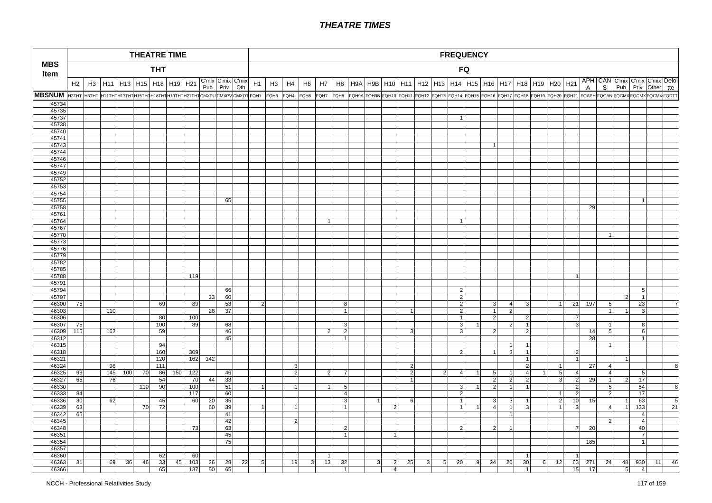|                                                                                      |     |                            |     |     |            | <b>THEATRE TIME</b> |           |         |                               |     |                |    |                         |                |                      |                |                |                |                |              |                |                       | <b>FREQUENCY</b>             |                        |                                                                 |                                                                                                                        |                                                  |        |                                 |                |                                                                 |    |    |
|--------------------------------------------------------------------------------------|-----|----------------------------|-----|-----|------------|---------------------|-----------|---------|-------------------------------|-----|----------------|----|-------------------------|----------------|----------------------|----------------|----------------|----------------|----------------|--------------|----------------|-----------------------|------------------------------|------------------------|-----------------------------------------------------------------|------------------------------------------------------------------------------------------------------------------------|--------------------------------------------------|--------|---------------------------------|----------------|-----------------------------------------------------------------|----|----|
| <b>MBS</b><br>Item                                                                   |     |                            |     |     | <b>THT</b> |                     |           |         |                               |     |                |    |                         |                |                      |                |                |                |                |              |                |                       | <b>FQ</b>                    |                        |                                                                 |                                                                                                                        |                                                  |        |                                 |                |                                                                 |    |    |
|                                                                                      | H2  | H3 H11 H13 H15 H18 H19 H21 |     |     |            |                     |           |         | C'mix C'mix C'mix<br>Pub Priv | Oth | H1             | H3 | H4                      | H <sub>6</sub> | H7                   | H8             | H9A            |                |                |              |                |                       |                              |                        |                                                                 | H9B H10 H11 H12 H13 H14 H15 H16 H17 H18 H19 H20 H21                                                                    |                                                  | Δ      | S.                              |                | APH   CAN   C'mix   C'mix   C'mix   Deloi<br>Pub Priv Other tte |    |    |
| MBSNUM H2THT H3THT H11THTH13THTH15THTH18THTH19THTH21THTCMXPUCMXPVCMXOTFQH1 FQH3 FQH4 |     |                            |     |     |            |                     |           |         |                               |     |                |    |                         |                |                      | FQH6 FQH7 FQH8 |                |                |                |              |                |                       |                              |                        |                                                                 | FQH9A FQH9B FQH10 FQH11 FQH12 FQH13 FQH14 FQH15 FQH16 FQH17 FQH18 FQH19 FQH20 FQH21 FQAPH FQCANFQCMX FQCMX FQCMX FQCMX |                                                  |        |                                 |                |                                                                 |    |    |
| 45734                                                                                |     |                            |     |     |            |                     |           |         |                               |     |                |    |                         |                |                      |                |                |                |                |              |                |                       |                              |                        |                                                                 |                                                                                                                        |                                                  |        |                                 |                |                                                                 |    |    |
| 45735                                                                                |     |                            |     |     |            |                     |           |         |                               |     |                |    |                         |                |                      |                |                |                |                |              |                |                       |                              |                        |                                                                 |                                                                                                                        |                                                  |        |                                 |                |                                                                 |    |    |
| 45737<br>45738                                                                       |     |                            |     |     |            |                     |           |         |                               |     |                |    |                         |                |                      |                |                |                |                |              |                | $\blacktriangleleft$  |                              |                        |                                                                 |                                                                                                                        |                                                  |        |                                 |                |                                                                 |    |    |
| 45740                                                                                |     |                            |     |     |            |                     |           |         |                               |     |                |    |                         |                |                      |                |                |                |                |              |                |                       |                              |                        |                                                                 |                                                                                                                        |                                                  |        |                                 |                |                                                                 |    |    |
| 45741                                                                                |     |                            |     |     |            |                     |           |         |                               |     |                |    |                         |                |                      |                |                |                |                |              |                |                       |                              |                        |                                                                 |                                                                                                                        |                                                  |        |                                 |                |                                                                 |    |    |
| 45743<br>45744                                                                       |     |                            |     |     |            |                     |           |         |                               |     |                |    |                         |                |                      |                |                |                |                |              |                |                       |                              | 1 <sup>1</sup>         |                                                                 |                                                                                                                        |                                                  |        |                                 |                |                                                                 |    |    |
| 45746                                                                                |     |                            |     |     |            |                     |           |         |                               |     |                |    |                         |                |                      |                |                |                |                |              |                |                       |                              |                        |                                                                 |                                                                                                                        |                                                  |        |                                 |                |                                                                 |    |    |
| 45747                                                                                |     |                            |     |     |            |                     |           |         |                               |     |                |    |                         |                |                      |                |                |                |                |              |                |                       |                              |                        |                                                                 |                                                                                                                        |                                                  |        |                                 |                |                                                                 |    |    |
| 45749                                                                                |     |                            |     |     |            |                     |           |         |                               |     |                |    |                         |                |                      |                |                |                |                |              |                |                       |                              |                        |                                                                 |                                                                                                                        |                                                  |        |                                 |                |                                                                 |    |    |
| 45752<br>45753                                                                       |     |                            |     |     |            |                     |           |         |                               |     |                |    |                         |                |                      |                |                |                |                |              |                |                       |                              |                        |                                                                 |                                                                                                                        |                                                  |        |                                 |                |                                                                 |    |    |
| 45754                                                                                |     |                            |     |     |            |                     |           |         |                               |     |                |    |                         |                |                      |                |                |                |                |              |                |                       |                              |                        |                                                                 |                                                                                                                        |                                                  |        |                                 |                |                                                                 |    |    |
| 45755                                                                                |     |                            |     |     |            |                     |           |         | 65                            |     |                |    |                         |                |                      |                |                |                |                |              |                |                       |                              |                        |                                                                 |                                                                                                                        |                                                  |        |                                 |                | $\overline{1}$                                                  |    |    |
| 45758                                                                                |     |                            |     |     |            |                     |           |         |                               |     |                |    |                         |                |                      |                |                |                |                |              |                |                       |                              |                        |                                                                 |                                                                                                                        |                                                  | 29     |                                 |                |                                                                 |    |    |
| 45761<br>45764                                                                       |     |                            |     |     |            |                     |           |         |                               |     |                |    |                         |                | $\overline{1}$       |                |                |                |                |              |                | $\overline{1}$        |                              |                        |                                                                 |                                                                                                                        |                                                  |        |                                 |                |                                                                 |    |    |
| 45767                                                                                |     |                            |     |     |            |                     |           |         |                               |     |                |    |                         |                |                      |                |                |                |                |              |                |                       |                              |                        |                                                                 |                                                                                                                        |                                                  |        |                                 |                |                                                                 |    |    |
| 45770                                                                                |     |                            |     |     |            |                     |           |         |                               |     |                |    |                         |                |                      |                |                |                |                |              |                |                       |                              |                        |                                                                 |                                                                                                                        |                                                  |        | $\mathbf{1}$                    |                |                                                                 |    |    |
| 45773                                                                                |     |                            |     |     |            |                     |           |         |                               |     |                |    |                         |                |                      |                |                |                |                |              |                |                       |                              |                        |                                                                 |                                                                                                                        |                                                  |        |                                 |                |                                                                 |    |    |
| 45776<br>45779                                                                       |     |                            |     |     |            |                     |           |         |                               |     |                |    |                         |                |                      |                |                |                |                |              |                |                       |                              |                        |                                                                 |                                                                                                                        |                                                  |        |                                 |                |                                                                 |    |    |
| 45782                                                                                |     |                            |     |     |            |                     |           |         |                               |     |                |    |                         |                |                      |                |                |                |                |              |                |                       |                              |                        |                                                                 |                                                                                                                        |                                                  |        |                                 |                |                                                                 |    |    |
| 45785                                                                                |     |                            |     |     |            |                     |           |         |                               |     |                |    |                         |                |                      |                |                |                |                |              |                |                       |                              |                        |                                                                 |                                                                                                                        |                                                  |        |                                 |                |                                                                 |    |    |
| 45788                                                                                |     |                            |     |     |            |                     | 119       |         |                               |     |                |    |                         |                |                      |                |                |                |                |              |                |                       |                              |                        |                                                                 |                                                                                                                        | 1 <sup>1</sup>                                   |        |                                 |                |                                                                 |    |    |
| 45791<br>45794                                                                       |     |                            |     |     |            |                     |           |         | 66                            |     |                |    |                         |                |                      |                |                |                |                |              |                |                       | $2 \vert$                    |                        |                                                                 |                                                                                                                        |                                                  |        |                                 |                | $5\overline{)}$                                                 |    |    |
| 45797                                                                                |     |                            |     |     |            |                     |           | 33      | 60                            |     |                |    |                         |                |                      |                |                |                |                |              |                |                       | $2 \vert$                    |                        |                                                                 |                                                                                                                        |                                                  |        |                                 | $\overline{2}$ | $\overline{1}$                                                  |    |    |
| 46300                                                                                | 75  |                            |     |     | 69         |                     | 89        |         | 53                            |     | $\overline{2}$ |    |                         |                |                      | 8 <sup>1</sup> |                |                |                |              |                |                       | $2 \vert$                    | 3                      | $\overline{4}$<br>$\mathbf{3}$                                  |                                                                                                                        | 1                                                | 21 197 | $5\phantom{.0}$                 |                | 23                                                              |    | -7 |
| 46303                                                                                |     | 110                        |     |     |            |                     |           | 28      | 37                            |     |                |    |                         |                |                      | $\vert$ 1      |                |                | 1              |              |                |                       | $\overline{2}$               | 1 <sup>1</sup>         | $\overline{2}$                                                  |                                                                                                                        |                                                  |        | $\mathbf{1}$                    | $\overline{1}$ | 3                                                               |    |    |
| 46306<br>46307                                                                       | 75  |                            |     |     | 80<br>100  |                     | 100<br>89 |         | 68                            |     |                |    |                         |                |                      | 3              |                |                |                |              |                | $\mathbf{1}$          | $\mathbf{3}$                 | 2 <sup>1</sup>         | $\left  \right $<br>$\overline{2}$<br>1                         |                                                                                                                        | 7<br>3 <sup>1</sup>                              |        | $\mathbf{1}$                    |                | 8                                                               |    |    |
| 46309                                                                                | 115 | 162                        |     |     | 59         |                     |           |         | 46                            |     |                |    |                         |                | $\overline{2}$       | $\overline{2}$ |                |                | 3              |              |                |                       | 3                            | 2                      | $\overline{2}$                                                  |                                                                                                                        |                                                  | 14     | $5\overline{)}$                 |                | $6 \mid$                                                        |    |    |
| 46312                                                                                |     |                            |     |     |            |                     |           |         | 45                            |     |                |    |                         |                |                      | 1              |                |                |                |              |                |                       |                              |                        |                                                                 |                                                                                                                        |                                                  | 28     |                                 |                | $\mathbf{1}$                                                    |    |    |
| 46315<br>46318                                                                       |     |                            |     |     | 94<br>160  |                     | 309       |         |                               |     |                |    |                         |                |                      |                |                |                |                |              |                |                       |                              | 11                     | 1<br>$\mathbf{3}$                                               |                                                                                                                        |                                                  |        | $\mathbf{1}$                    |                |                                                                 |    |    |
| 46321                                                                                |     |                            |     |     | 120        |                     |           | 162 142 |                               |     |                |    |                         |                |                      |                |                |                |                |              |                |                       | $\overline{2}$               |                        | $\vert$ 1<br>1                                                  |                                                                                                                        | $\overline{2}$<br>11                             |        |                                 | 1              |                                                                 |    |    |
| 46324                                                                                |     | 98                         |     |     | 111        |                     |           |         |                               |     |                |    | $\overline{\mathbf{3}}$ |                |                      |                |                |                | $\overline{2}$ |              |                |                       |                              |                        | $\overline{2}$                                                  |                                                                                                                        | 1                                                | 27     | $\overline{4}$                  |                |                                                                 |    | 8  |
| 46325                                                                                | 99  | 145                        | 100 | 70  | 86         | 150                 | 122       |         | 46                            |     |                |    | 2 <sup>1</sup>          |                | $\overline{2}$       | $\overline{7}$ |                |                | $\overline{2}$ |              | $\overline{2}$ |                       | 4                            | 5 <sup>1</sup>         | 4 <sup>1</sup>                                                  |                                                                                                                        | 5 <sub>1</sub><br>$\overline{4}$                 |        | $\overline{4}$                  |                | $5\overline{5}$                                                 |    |    |
| 46327<br>46330                                                                       | 65  | 76                         |     | 110 | 54<br>90   |                     | 70<br>100 | 44      | 33<br>51                      |     | 1              |    | $\overline{1}$          |                | 1                    | 5 <sub>5</sub> |                |                | $\overline{1}$ |              |                |                       | $\mathbf{3}$<br>$\mathbf{1}$ | $2 \vert$<br>$2 \vert$ | $\overline{2}$<br>$\overline{2}$<br>$\vert$ 1<br>$\overline{1}$ |                                                                                                                        | $\mathbf{3}$<br>$\overline{2}$<br>$\overline{2}$ | 29     | $\mathbf{1}$<br>$5\phantom{.0}$ | $\overline{2}$ | 17<br>54                                                        |    | 8  |
| 46333                                                                                | 84  |                            |     |     |            |                     | 117       |         | 60                            |     |                |    |                         |                |                      | $\overline{4}$ |                |                |                |              |                |                       | $\overline{2}$               |                        |                                                                 |                                                                                                                        | $\vert$ 2<br>1                                   |        | $\overline{2}$                  |                | 17                                                              |    |    |
| 46336                                                                                | 30  | 62                         |     |     | 45         |                     | 60        | 20      | 35                            |     |                |    |                         |                |                      | $\mathbf{3}$   | 1              |                | 6              |              |                |                       | 1                            | $\mathbf{3}$           | $\mathbf{3}$<br>$\overline{1}$                                  |                                                                                                                        | 10<br>$\overline{2}$                             | 15     |                                 | 1              | 63                                                              |    | 5  |
| 46339                                                                                | 63  |                            |     | 70  | 72         |                     |           | 60      | 39                            |     | $\mathbf{1}$   |    | $\overline{1}$          |                |                      | 1              |                | 2              |                |              |                |                       | 1<br>$\vert$ 1               | $\vert$ 4              | 3<br>$\vert$ 1                                                  |                                                                                                                        | 1<br>$\mathbf{3}$                                |        | $\overline{4}$                  | 1              | 133                                                             |    | 21 |
| 46342                                                                                | 65  |                            |     |     |            |                     |           |         | 41                            |     |                |    |                         |                |                      |                |                |                |                |              |                |                       |                              |                        | $\overline{1}$                                                  |                                                                                                                        |                                                  |        |                                 |                | $\vert$                                                         |    |    |
| 46345<br>46348                                                                       |     |                            |     |     |            |                     | 73        |         | 42<br>63                      |     |                |    | $\overline{2}$          |                |                      | $\overline{2}$ |                |                |                |              |                |                       | 2 <sup>1</sup>               | 2 <sup>1</sup>         | $\overline{1}$                                                  |                                                                                                                        | $\overline{7}$                                   | 20     | $\overline{2}$                  |                | $\overline{4}$<br>40                                            |    |    |
| 46351                                                                                |     |                            |     |     |            |                     |           |         | 45                            |     |                |    |                         |                |                      | $\vert$ 1      |                | 1              |                |              |                |                       |                              |                        |                                                                 |                                                                                                                        |                                                  |        |                                 |                | $\overline{7}$                                                  |    |    |
| 46354                                                                                |     |                            |     |     |            |                     |           |         | 75                            |     |                |    |                         |                |                      |                |                |                |                |              |                |                       |                              |                        |                                                                 |                                                                                                                        |                                                  | 185    |                                 |                | 1                                                               |    |    |
| 46357                                                                                |     |                            |     |     |            |                     |           |         |                               |     |                |    |                         |                |                      |                |                |                |                |              |                |                       |                              |                        |                                                                 |                                                                                                                        |                                                  |        |                                 |                |                                                                 |    |    |
| 46360<br>46363                                                                       | 31  | 69                         | 36  | 46  | 62<br>33   | 45                  | 60<br>103 | 26      | 28                            | 22  | 5 <sub>5</sub> |    | 19                      | 3              | $\overline{1}$<br>13 | 32             | 3 <sup>1</sup> | $\overline{2}$ | 25             | $\mathbf{3}$ |                | $5\overline{)}$<br>20 | 9                            | 24                     | $\mathbf{1}$<br>30<br>20                                        | 12<br>6                                                                                                                | $\mathbf{1}$<br>63                               | 271    | 24                              | 48             | 930                                                             | 11 | 46 |
| 46366                                                                                |     |                            |     |     | 65         |                     | 137       | 50      | 65                            |     |                |    |                         |                |                      | $\overline{1}$ |                | $\overline{4}$ |                |              |                |                       |                              |                        | $\overline{1}$                                                  |                                                                                                                        | 15                                               | 17     |                                 | 5 <sup>1</sup> | $\overline{4}$                                                  |    |    |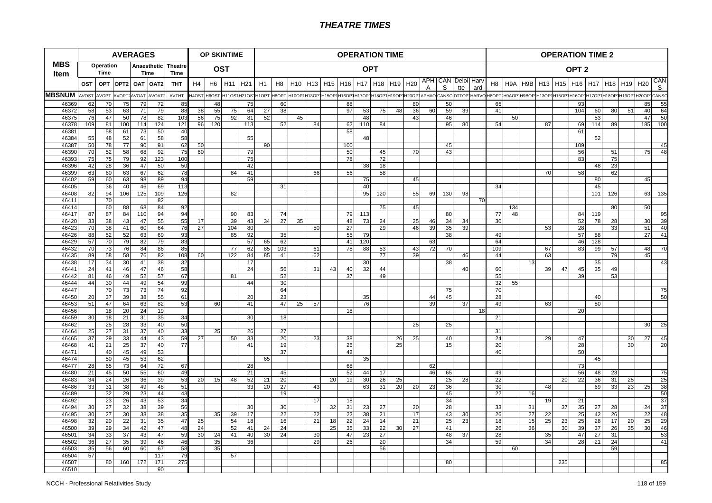|                           |                 |                          |                  | <b>AVERAGES</b> |                            |                        |                |                | <b>OP SKINTIME</b> |                 |          |                |                                                                                         |                 |          |                       |                       | <b>OPERATION TIME</b> |    |          |                 |                                |     |     |                |     |          | <b>OPERATION TIME 2</b>        |                      |           |          |                                                                                 |                                     |           |
|---------------------------|-----------------|--------------------------|------------------|-----------------|----------------------------|------------------------|----------------|----------------|--------------------|-----------------|----------|----------------|-----------------------------------------------------------------------------------------|-----------------|----------|-----------------------|-----------------------|-----------------------|----|----------|-----------------|--------------------------------|-----|-----|----------------|-----|----------|--------------------------------|----------------------|-----------|----------|---------------------------------------------------------------------------------|-------------------------------------|-----------|
| <b>MBS</b><br><b>Item</b> |                 | Operation<br><b>Time</b> |                  |                 | Anaesthetic<br><b>Time</b> | <b>Theatre</b><br>Time |                | <b>OST</b>     |                    |                 |          |                |                                                                                         |                 |          |                       | <b>OPT</b>            |                       |    |          |                 |                                |     |     |                |     |          |                                | OPT <sub>2</sub>     |           |          |                                                                                 |                                     |           |
|                           | <b>OST</b>      | <b>OPT</b>               | OPT <sub>2</sub> |                 | OAT OAT2                   | <b>THT</b>             | H <sub>4</sub> | H <sub>6</sub> | H <sub>11</sub>    | H <sub>21</sub> | H1       | H <sub>8</sub> | H10   H13   H15   H16   H17   H18   H19   H20                                           |                 |          |                       |                       |                       |    |          |                 | APH   CAN   Deloi   Harv<br>S. | tte | ard | H <sub>8</sub> | H9A |          | H9B H13 H15                    |                      |           |          | H <sub>16</sub> H <sub>17</sub> H <sub>18</sub> H <sub>19</sub> H <sub>20</sub> |                                     | CAN<br>S. |
| <b>MBSNUM</b>             |                 | VOST AVOPT               |                  |                 | AVOPT2AVOAT AVOAT2         | AVTHT                  | 14OST          |                | H6OST H11OS1H21OS  |                 |          |                | 110PT   H8OPT   H10OPTH13OPTH15OPTH16OPTH17OPTH18OPTH19OPTH20OPTAPHAO CANSO DTTOPTHARVO |                 |          |                       |                       |                       |    |          |                 |                                |     |     |                |     |          | H8OPT1H9AOP1H9BOP1H13OP1H15OP1 |                      |           |          |                                                                                 | H16OP1H17OP1H18OP1H19OP1H20OP1CANSC |           |
| 46369                     | 62              | 70                       | 75               | 79              | 72                         | 85                     |                | 48             |                    | 75              |          | 60             |                                                                                         |                 |          | 88                    |                       |                       |    | 80       |                 | 50                             |     |     | 65             |     |          |                                | 93                   |           |          |                                                                                 | 85                                  | 55        |
| 46372<br>46375            | 58<br>76        | 53<br>47                 | 63<br>50         | 71<br>78        | 79<br>82                   | 88<br>103              | 38             | 55<br>75       | 75<br>92           | 64<br>81        | 27<br>52 | 38             | 45                                                                                      |                 |          | 97                    | 53<br>48              | 75                    | 48 | 36<br>43 | 60              | 59<br>46                       | 39  |     | 41             | 50  |          |                                | 104                  | 60<br>53  | 80       | 51                                                                              | 40<br>47                            | 64<br>50  |
| 46378                     | 109             | 81                       | 100              | 114             | 124                        | 121                    | 56<br>96       | 120            |                    | 113             |          | 52             |                                                                                         | 84              |          | 62                    | 110                   | 84                    |    |          |                 | 95                             | 80  |     | 54             |     |          | 87                             | 69                   | 114       | 89       |                                                                                 | 185                                 | 100       |
| 4638                      |                 | 58                       | 61               | 73              | 50                         | 40                     |                |                |                    |                 |          |                |                                                                                         |                 |          | 58                    |                       |                       |    |          |                 |                                |     |     |                |     |          |                                | 61                   |           |          |                                                                                 |                                     |           |
| 46384                     | 55              | 48                       | 52               | 61              | 58                         | 58                     |                |                |                    | 55              |          |                |                                                                                         |                 |          |                       | 48                    |                       |    |          |                 |                                |     |     |                |     |          |                                |                      | 52        |          |                                                                                 |                                     |           |
| 46387<br>46390            | 50<br>70        | 78<br>52                 | 77<br>58         | 90<br>68        | 91<br>92                   | 62<br>75               | 50<br>60       |                |                    | 79              | 90       |                |                                                                                         |                 |          | 100<br>50             |                       | 45                    |    | 70       |                 | 45<br>43                       |     |     |                |     |          |                                | 109<br>56            |           | 51       |                                                                                 | 75                                  | 45<br>48  |
| 46393                     | 75              | 75                       | 79               | 92              | 123                        | 100                    |                |                |                    | 75              |          |                |                                                                                         |                 |          | 78                    |                       | 72                    |    |          |                 |                                |     |     |                |     |          |                                | 83                   |           | 75       |                                                                                 |                                     |           |
| 46396                     | 42              | 28                       | 36               | 47              | 50                         | 50                     |                |                |                    | 42              |          |                |                                                                                         |                 |          |                       | 38                    | 18                    |    |          |                 |                                |     |     |                |     |          |                                |                      | 48        | 23       |                                                                                 |                                     |           |
| 46399                     | 63              | 60                       | 63               | 67              | 62                         | 78                     |                |                | 84                 | 41              |          |                |                                                                                         | 66              |          | 56                    |                       | 58                    |    |          |                 |                                |     |     |                |     |          | 70                             | 58                   |           | 62       |                                                                                 |                                     |           |
| 46402<br>46405            | 59              | 60<br>36                 | 63<br>40         | 98<br>46        | 89<br>69                   | 94<br>113              |                |                |                    | 59              |          | 31             |                                                                                         |                 |          |                       | 75<br>40              |                       |    | 45       |                 |                                |     |     | 34             |     |          |                                |                      | 80<br>45  |          |                                                                                 | 45                                  |           |
| 46408                     | 82              | 94                       | 106              | 125             | 109                        | 126                    |                |                | 82                 |                 |          |                |                                                                                         |                 |          |                       | 95                    | 120                   |    | 55       | 69              | 130                            | 98  |     |                |     |          |                                |                      | 101       | 126      |                                                                                 | 63                                  | 135       |
| 46411                     |                 | 70                       |                  |                 | 82                         |                        |                |                |                    |                 |          |                |                                                                                         |                 |          |                       |                       |                       |    |          |                 |                                |     | 70  |                |     |          |                                |                      |           |          |                                                                                 |                                     |           |
| 46414                     |                 | 60                       | 88               | 68              | 84                         | 92                     |                |                |                    |                 |          |                |                                                                                         |                 |          |                       |                       | 75                    |    | 45       |                 |                                |     |     |                | 134 |          |                                |                      |           | 80       |                                                                                 | 50                                  |           |
| 46417<br>46420            | 87<br>33        | 87<br>38                 | 84<br>43         | 110<br>47       | 94<br>55                   | 94<br>55               | 17             |                | 90<br>39           | 83<br>43        | 34       | 74<br>27       | 35                                                                                      |                 |          | 79<br>48              | 113<br>73             | 24                    |    | 25       | 46              | 80<br>34                       | 34  |     | 77<br>30       | 48  |          |                                | 84<br>52             | 119<br>78 | 28       |                                                                                 | 30                                  | 95<br>39  |
| 46423                     | 70              | 38                       | 41               | 60              | 64                         | 76                     | 27             |                | 104                | 80              |          |                |                                                                                         | 50              |          | 27                    |                       | 29                    |    | 46       | 39              | 35                             | 39  |     |                |     |          | 53                             | 28                   |           | 33       |                                                                                 | 51                                  | 40        |
| 46426                     | 88              | 52                       | 52               | 63              | 69                         | 93                     |                |                | 85                 | 92              |          | 35             |                                                                                         |                 |          | 55                    | 79                    |                       |    |          |                 | 38                             |     |     | 49             |     |          |                                | 57                   | 88        |          |                                                                                 | 27                                  | 41        |
| 46429                     | 57              | 70                       | 79               | 82              | 79                         | 83                     |                |                |                    | 57              | 65       | 62             |                                                                                         |                 |          | 41                    | 120                   |                       |    |          | 63              |                                |     |     | 64             |     |          |                                | 46                   | 128       |          |                                                                                 |                                     |           |
| 46432<br>46435            | 70<br>89        | 73<br>58                 | 76<br>58         | 84<br>76        | 86<br>82                   | 85<br>108              | 60             |                | 77<br>122          | 62<br>84        | 85<br>85 | 103<br>41      |                                                                                         | 61<br>62        |          | 78                    | 88                    | 53<br>77              |    | 43<br>39 | 72              | 70                             | 46  |     | 109<br>44      |     |          | 67<br>63                       | 83                   | 99        | 57<br>79 |                                                                                 | 48<br>45                            | 70        |
| 46438                     | 17              | 34                       | 30               | 41              | 38                         | 32                     |                |                |                    | 17              |          |                |                                                                                         |                 |          |                       | 30                    |                       |    |          |                 | 38                             |     |     |                |     | 13       |                                |                      | 35        |          |                                                                                 |                                     | 43        |
| 46441                     | 24              | 41                       | 46               | 47              | 46                         | 58                     |                |                |                    | 24              |          | 56             |                                                                                         | 31              | 43       | 40                    | 32                    | 44                    |    |          |                 |                                | 40  |     | 60             |     |          | 39                             | 47<br>45             | 35        | 49       |                                                                                 |                                     |           |
| 46442                     | 81              | 46                       | 49               | 52              | 57                         | 67                     |                |                | 81                 |                 |          | 52             |                                                                                         |                 |          | 37                    |                       | 49                    |    |          |                 |                                |     |     | 55             |     |          |                                | 39                   |           | 53       |                                                                                 |                                     |           |
| 46444<br>46447            | 44              | 30<br>70                 | 44<br>73         | 49<br>73        | 54<br>74                   | 99<br>92               |                |                |                    | 44              |          | 30<br>64       |                                                                                         |                 |          |                       |                       |                       |    |          |                 | 75                             |     |     | 32<br>70       | 55  |          |                                |                      |           |          |                                                                                 |                                     | 75        |
| 46450                     | 20              | 37                       | 39               | 38              | 55                         | 61                     |                |                |                    | 20              |          | 23             |                                                                                         |                 |          |                       | 35                    |                       |    |          | 44              | 45                             |     |     | 28             |     |          |                                |                      | 40        |          |                                                                                 |                                     | 50        |
| 46453                     | 51              | 47                       | 64               | 63              | 82                         | 53                     |                | 60             |                    | 41              |          | 47             | 25                                                                                      | 57              |          |                       | 76                    |                       |    |          | 39 <sup>°</sup> |                                | 37  |     | 49             |     |          | 63                             |                      | 80        |          |                                                                                 |                                     |           |
| 46456                     |                 | 18                       | 20               | 24              | 19                         |                        |                |                |                    |                 |          |                |                                                                                         |                 |          | 18                    |                       |                       |    |          |                 |                                |     | 18  |                |     |          |                                | 20                   |           |          |                                                                                 |                                     |           |
| 46459<br>46462            | 30 <sub>l</sub> | 18<br>25                 | 21<br>28         | 31<br>33        | 35<br>40                   | 34<br>50               |                |                |                    | 30              |          | 18             |                                                                                         |                 |          |                       |                       |                       |    | 25       |                 | 25                             |     |     | 21             |     |          |                                |                      |           |          |                                                                                 | 30                                  | 25        |
| 46464                     | 25              | 27                       | 31               | 37              | 40                         | 33                     |                | 25             |                    | 26              |          | 27             |                                                                                         |                 |          |                       |                       |                       |    |          |                 |                                |     |     | 31             |     |          |                                |                      |           |          |                                                                                 |                                     |           |
| 46465                     | 37              | 29                       | 33               | 44              | 43                         | 59                     | 27             |                | 50                 | 33              |          | 20             |                                                                                         | 23              |          | 38                    |                       |                       | 26 | 25       |                 | 40                             |     |     | 24             |     |          | 29                             | 47                   |           |          | 30                                                                              | 27                                  | 45        |
| 46468                     | 41              | 21                       | 25               | 37              | 40                         | 77                     |                |                |                    | 41              |          | 19             |                                                                                         |                 |          | 26                    |                       |                       | 25 |          |                 | 15                             |     |     | 20             |     |          |                                | 28                   |           |          | 30                                                                              |                                     | 20        |
| 46471<br>46474            |                 | 40<br>50                 | 45<br>45         | 49<br>53        | 53<br>62                   |                        |                |                |                    |                 | 65       | 37             |                                                                                         |                 |          | 42                    | 35                    |                       |    |          |                 |                                |     |     | 40             |     |          |                                | 50                   | 45        |          |                                                                                 |                                     |           |
| 46477                     | 28              | 65                       | 73               | 64              | 72                         | 67                     |                |                |                    | 28              |          |                |                                                                                         |                 |          | 68                    |                       |                       |    |          | 62              |                                |     |     |                |     |          |                                | 73                   |           |          |                                                                                 |                                     |           |
| 46480                     | 21              | 45                       | 50               | 55              | 60                         | 49                     |                |                |                    | 21              |          | 45             |                                                                                         |                 |          | 52                    | 44                    | 17                    |    |          | 46              | 65                             |     |     | 49             |     |          |                                | 56                   | 48        | 23       |                                                                                 |                                     | 75        |
| 46483                     | 34              | 24                       | 26               | 36              | 39                         | 53                     | 20             | 15             | 48                 | 52              | 21       | 20             |                                                                                         |                 | 20       | 19                    | 30 <sup>°</sup>       | 26                    | 25 |          |                 | 25                             | 28  |     | 22             |     |          |                                | 20<br>22             | 36        | 31       | 25                                                                              |                                     | 25        |
| 46486<br>46489            | 33 <sub>1</sub> | 31<br>32                 | 38<br>29         | 49<br>23        | 48<br>44                   | 51<br>43               |                |                |                    | 33              | 20       | 27<br>19       |                                                                                         | 43              |          |                       | 63                    | 31                    | 20 | 20       | 23              | 36<br>45                       |     |     | 30<br>22       |     | 16       | 48                             |                      | 69        | 33       | 23                                                                              | 25                                  | 38<br>50  |
| 46492                     |                 | 23                       | 26               | 43              | 53                         | 34                     |                |                |                    |                 |          |                |                                                                                         | 17              |          | 18                    |                       |                       |    |          |                 | 34                             |     |     |                |     |          | 19 <sup>l</sup>                | 21                   |           |          |                                                                                 |                                     | 37        |
| 46494                     | 30              | 27                       | 32               | 38              | 39                         | 56                     |                |                |                    | 30              |          | 30             |                                                                                         |                 | 32       | 31                    | 23                    | 27                    |    | 20       |                 | 28                             |     |     | 33             |     | 31       |                                | 37<br>35             | 27        | 28       |                                                                                 | 24                                  | 37        |
| 46495                     | 30              | 27                       | 30               | 38              | 38                         | 35                     |                | 35             | 39                 | 17              |          | 22             |                                                                                         | 22              |          | 22                    | 38                    | 21                    |    | 17       |                 | 43                             | 30  |     | 26             |     | 27       | 22                             | 25                   | 42        | 26       |                                                                                 | 22                                  | 48        |
| 46498<br>46500            | 32<br>39        | 20<br>29                 | 22<br>34         | 31<br>42        | 35<br>47                   | 47<br>48               | 25<br>24       |                | 54<br>52           | 18<br>41        | 24       | 16<br>24       |                                                                                         | 21              | 18<br>25 | 22<br>35 <sub>1</sub> | 24<br>33 <sub>1</sub> | 14<br>22              | 30 | 21<br>27 |                 | 25<br>41                       | 23  |     | 18<br>26       |     | 15<br>36 | 25                             | 23<br>25<br>30<br>39 | 28<br>37  | 17<br>26 | 20<br>35                                                                        | 25<br>30                            | 29<br>46  |
| 4650 <sup>-</sup>         | 34              | 33                       | 37               | 43              | 47                         | 59                     | 30             | 24             | 41                 | 40              | 30       | 24             |                                                                                         | 30 <sup>1</sup> |          | 47                    | 23                    | 27                    |    |          |                 | 48                             | 37  |     | 28             |     |          | 35                             | 47                   | 27        | 31       |                                                                                 |                                     | 53        |
| 46502                     | 36              | 27                       | 35               | 39              | 46                         | 46                     |                | 35             |                    | 36              |          |                |                                                                                         | 29              |          | 26                    |                       | 20                    |    |          |                 | 34                             |     |     | 59             |     |          | 34                             | 28                   | 21        | 24       |                                                                                 |                                     | 41        |
| 46503                     | 35 <sub>1</sub> | 56                       | 60               | 60              | 67<br>117                  | 58<br>79               |                | 35             |                    |                 |          |                |                                                                                         |                 |          |                       |                       | 56                    |    |          |                 |                                |     |     |                | 60  |          |                                |                      |           | 59       |                                                                                 |                                     |           |
| 46504<br>46507            | 57              | 80                       | 160              | 172             | 171                        | 275                    |                |                | 57                 |                 |          |                |                                                                                         |                 |          |                       |                       |                       |    |          |                 | 80                             |     |     |                |     |          | 235                            |                      |           |          |                                                                                 |                                     | 85        |
| 46510                     |                 |                          |                  |                 | 90                         |                        |                |                |                    |                 |          |                |                                                                                         |                 |          |                       |                       |                       |    |          |                 |                                |     |     |                |     |          |                                |                      |           |          |                                                                                 |                                     |           |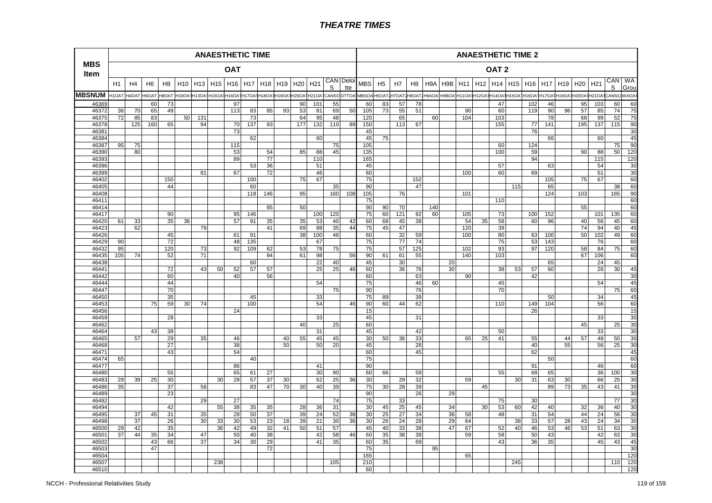|                           |          |                   |                |                |                                                                         | <b>ANAESTHETIC TIME</b> |                                                 |                 |                           |     |            |                |           |                |                  |                 |                 |           |                                                 |          |         |                 |                  | <b>ANAESTHETIC TIME 2</b>                                                                            |                 |                   |           |           |           |           |
|---------------------------|----------|-------------------|----------------|----------------|-------------------------------------------------------------------------|-------------------------|-------------------------------------------------|-----------------|---------------------------|-----|------------|----------------|-----------|----------------|------------------|-----------------|-----------------|-----------|-------------------------------------------------|----------|---------|-----------------|------------------|------------------------------------------------------------------------------------------------------|-----------------|-------------------|-----------|-----------|-----------|-----------|
| <b>MBS</b><br><b>Item</b> |          |                   |                |                |                                                                         |                         | <b>OAT</b>                                      |                 |                           |     |            |                |           |                |                  |                 |                 |           |                                                 |          |         |                 | OAT <sub>2</sub> |                                                                                                      |                 |                   |           |           |           |           |
|                           | H1       | H <sub>4</sub>    | H <sub>6</sub> | H <sub>8</sub> | $H10$ H <sub>13</sub>                                                   | H <sub>15</sub>         | H <sub>18</sub> H <sub>19</sub> H <sub>20</sub> | H <sub>21</sub> | CAN Deloi<br>$\mathbf{C}$ | tte | <b>MBS</b> | H <sub>5</sub> | H7        | H <sub>8</sub> | H <sub>9</sub> A | H9B             | H <sub>11</sub> |           | H <sub>12</sub> H <sub>14</sub> H <sub>15</sub> | H16      | H17 H19 |                 | H <sub>20</sub>  | H <sub>21</sub>                                                                                      | <b>CAN</b><br>S | <b>WA</b><br>Grou |           |           |           |           |
| <b>MBSNUM</b>             |          | H1OAT H4OAT H6OAT |                |                | H8OAT H10OATH13OATH15OATH16OATH17OATH18OATH19OATH20OATH21OATCANSO DTTOA |                         |                                                 |                 |                           |     |            |                |           |                |                  |                 |                 |           |                                                 |          |         |                 |                  | MBSOA H5OAT1H7OAT1H8OAT1H9AOA H9BOA H11OATH12OATH14OATH15OATH16OATH17OATH19OATH20OATH21OATCANSO WAOA |                 |                   |           |           |           |           |
| 46369                     |          |                   | 60             | 73             |                                                                         |                         | 97                                              |                 |                           |     | 90         | 101            | 55        |                | 60               | 83              | 57              | 78        |                                                 |          |         |                 | 47               | 102                                                                                                  | 46              |                   | 95        | 103       | 60        | 60        |
| 46372                     | 36       | 70                | 65             | 49             |                                                                         |                         | 113                                             | 83              | 85                        | 93  | 53         | 81             | 69        | 50             | 105              | 73              | 55              | 51        |                                                 |          | 90      |                 | 60               | 119                                                                                                  | 90 <sup>1</sup> | 96                | 57        | 85        | 74        | 75        |
| 46375                     | 72       | 85<br>125         | 83<br>160      |                | 50<br>131                                                               | 94                      | 70                                              | 73<br>137       | 93                        |     | 64<br>177  | 95<br>132      | 48<br>110 |                | 120<br>150       |                 | 65<br>113       | 67        | 60                                              |          | 104     |                 | 103<br>155       |                                                                                                      | 78<br>141       |                   | 68<br>195 | 99<br>137 | 52<br>115 | 75<br>90  |
| 46378<br>46381            |          |                   |                | 65             |                                                                         |                         | 73                                              |                 |                           |     |            |                |           | 89             | 45               |                 |                 |           |                                                 |          |         |                 |                  | 77<br>76                                                                                             |                 |                   |           |           |           | 30        |
| 46384                     |          |                   |                |                |                                                                         |                         |                                                 | 62              |                           |     |            | 60             |           |                | 45               | 75              |                 |           |                                                 |          |         |                 |                  |                                                                                                      | 66              |                   |           | 60        |           | 45        |
| 46387                     | 95       | 75                |                |                |                                                                         |                         | 115                                             |                 |                           |     |            |                | 75        |                | 105              |                 |                 |           |                                                 |          |         |                 | 60               | 124                                                                                                  |                 |                   |           |           | 75        | 90        |
| 46390                     |          | 80                |                |                |                                                                         |                         | 53                                              |                 | 54                        |     | 85         | 88             | 45        |                | 135              |                 |                 |           |                                                 |          |         |                 | 100              | 59                                                                                                   |                 |                   | 90        | 88        | 50        | 120       |
| 46393<br>46396            |          |                   |                |                |                                                                         |                         | 89                                              | 53              | 77<br>36                  |     |            | 110<br>51      |           |                | 165<br>45        |                 |                 |           |                                                 |          |         |                 | 57               | 94                                                                                                   | 63              |                   |           | 115<br>54 |           | 120<br>30 |
| 46399                     |          |                   |                |                |                                                                         | 81                      | 67                                              |                 | 72                        |     |            | 46             |           |                | 60               |                 |                 |           |                                                 |          | 100     |                 | 60               | 69                                                                                                   |                 |                   |           | 51        |           | 30        |
| 46402                     |          |                   |                | 150            |                                                                         |                         |                                                 | 100             |                           |     | 75         | 67             |           |                | 75               |                 |                 | 152       |                                                 |          |         |                 |                  |                                                                                                      | 105             |                   | 75        | 67        |           | 60        |
| 46405                     |          |                   |                | 44             |                                                                         |                         |                                                 | 60              |                           |     |            |                | 35        |                | 90               |                 |                 | 47        |                                                 |          |         |                 |                  | 115                                                                                                  | 65              |                   |           |           | 38        | 60        |
| 46408                     |          |                   |                |                |                                                                         |                         |                                                 | 118             | 146                       |     | 95         |                | 160       | 108            | 105              |                 | 76              |           |                                                 |          | 101     |                 |                  |                                                                                                      | 124             |                   | 103       |           | 165       | 90        |
| 46411<br>46414            |          |                   |                |                |                                                                         |                         |                                                 |                 | 85                        |     | 50         |                |           |                | 75<br>90         | 90              | 70              |           | 140                                             |          |         |                 | 110              |                                                                                                      |                 |                   | 55        |           |           | 60<br>60  |
| 46417                     |          |                   |                | 90             |                                                                         |                         | 95                                              | 146             |                           |     |            | 100            | 120       |                | 75               | 60              | 121             | 92        | 60                                              |          | 105     |                 | 73               | 100                                                                                                  | 152             |                   |           | 101       | 135       | 60        |
| 46420                     | 61       | 33                |                | 35             | 36                                                                      |                         | 57                                              | 91              | 35                        |     | 35         | 53             | 40        | 42             | 60               | 68              | 45              | 38        |                                                 |          | 54      | 35 <sub>1</sub> | 58               | 60                                                                                                   | 96              |                   | 40        | 56        | 45        | 60        |
| 46423                     |          | 62                |                |                |                                                                         | 79                      |                                                 |                 | 41                        |     | 69         | 88             | 35        | 44             | 75               | 45              | 47              |           |                                                 |          | 120     |                 | 39               |                                                                                                      |                 |                   | 74        | 94        | 40        | 45        |
| 46426                     |          |                   |                | 45             |                                                                         |                         | 61                                              | 91              |                           |     | 38         | 100            | 46        |                | 60               |                 | 32              | 59        |                                                 |          | 100     |                 | 80               | 63                                                                                                   | 100             |                   | 50        | 102       | 49        | 60        |
| 46429<br>46432            | 90<br>95 |                   |                | 72<br>120      |                                                                         | 73                      | 48<br>92                                        | 135<br>109      | 62                        |     | 53         | 67<br>78       | 75        |                | 75<br>75         |                 | 77<br>57        | 74<br>125 |                                                 |          | 102     |                 | 75<br>93         | 53<br>97                                                                                             | 143<br>120      |                   | 58        | 76<br>84  | 75        | 60<br>60  |
| 46435                     | 105      | 74                |                | 52             |                                                                         | 71                      |                                                 |                 | 94                        |     | 61         | 98             |           | 56             | 90               | 61              | 61              | 55        |                                                 |          | 140     |                 | 103              |                                                                                                      |                 |                   | 67        | 106       |           | 60        |
| 46438                     |          |                   |                |                |                                                                         |                         |                                                 | 60              |                           |     |            | 22             | 40        |                | 45               |                 | 30              |           |                                                 | 20       |         |                 |                  |                                                                                                      | 65              |                   |           | 24        | 45        |           |
| 46441                     |          |                   |                | 72             |                                                                         | 43<br>50                | 52                                              | 57              | 57                        |     |            | 25             | 25        | 46             | 60               |                 | 36              | 76        |                                                 | 30       |         |                 | 38               | 53<br>57                                                                                             | 60              |                   |           | 26        | 30        | 45        |
| 46442                     |          |                   |                | 60             |                                                                         |                         | 40                                              |                 | 56                        |     |            |                |           |                | 60               |                 |                 | 63        |                                                 |          | 90      |                 |                  | 42                                                                                                   |                 |                   |           |           |           | 30        |
| 46444<br>46447            |          |                   |                | 44<br>70       |                                                                         |                         |                                                 |                 |                           |     |            | 54             | 75        |                | 75<br>90         |                 |                 | 46<br>76  | 60                                              |          |         |                 | 45<br>70         |                                                                                                      |                 |                   |           | 54        | 75        | 45<br>60  |
| 46450                     |          |                   |                | 35             |                                                                         |                         |                                                 | 45              |                           |     |            | 33             |           |                | 75               | 89              |                 | 39        |                                                 |          |         |                 |                  |                                                                                                      | 50              |                   |           | 34        |           | 45        |
| 46453                     |          |                   | 75             | 59             | 30 <sup>°</sup>                                                         | 74                      |                                                 | 100             |                           |     |            | 54             |           | 46             | 90               | 60              | 44              | 62        |                                                 |          |         |                 | 110              | 149                                                                                                  | 104             |                   |           | 56        |           | 60        |
| 46456                     |          |                   |                |                |                                                                         |                         | 24                                              |                 |                           |     |            |                |           |                | 15               |                 |                 |           |                                                 |          |         |                 |                  | 26                                                                                                   |                 |                   |           |           |           | 15        |
| 46459                     |          |                   |                | 28             |                                                                         |                         |                                                 |                 |                           |     |            | 33             |           |                | 45               |                 |                 | 31        |                                                 |          |         |                 |                  |                                                                                                      |                 |                   |           | 33        |           | 30        |
| 46462<br>46464            |          |                   | 43             | 38             |                                                                         |                         |                                                 |                 |                           |     | 40         | 31             | 25        |                | 60<br>45         |                 |                 | 42        |                                                 |          |         |                 | 50               |                                                                                                      |                 |                   | 45        | 33        | 25        | 30<br>30  |
| 46465                     |          | 57                |                | 29             |                                                                         | 35                      | 46                                              |                 |                           | 40  | 55         | 45             | 45        |                | 30               | 50              | 36              | 33        |                                                 |          | 65      | 25              | 41               | 55                                                                                                   |                 | 44                | 57        | 48        | 50        | 30        |
| 46468                     |          |                   |                | 27             |                                                                         |                         | 38                                              |                 |                           | 50  |            | 50             | 20        |                | 45               |                 |                 | 28        |                                                 |          |         |                 |                  | 40                                                                                                   |                 | 55                |           | 56        | 25        | 30        |
| 46471                     |          |                   |                | 43             |                                                                         |                         | 54                                              |                 |                           |     |            |                |           |                | 60               |                 |                 | 45        |                                                 |          |         |                 |                  | 62                                                                                                   |                 |                   |           |           |           | 45        |
| 46474                     | 65       |                   |                |                |                                                                         |                         |                                                 | 40              |                           |     |            |                |           |                | 75               |                 |                 |           |                                                 |          |         |                 |                  |                                                                                                      | 50              |                   |           |           |           | 60        |
| 46477<br>46480            |          |                   |                | 55             |                                                                         |                         | 86<br>65                                        | 61              | 27                        |     |            | 41<br>30       | 90        |                | 90<br>60         | 66              |                 | 59        |                                                 |          |         |                 | 55               | 91<br>68                                                                                             | 65              |                   |           | 46<br>36  | 100       | 60<br>30  |
| 46483                     | 29       | 39 <sup>°</sup>   | 25             | 30             |                                                                         | 30                      | 28                                              | 57              | 37                        | 30  |            | 62             | 25        | 36             | 30               |                 | 29              | 32        |                                                 |          | 59      |                 |                  | 30<br>31                                                                                             | 63              | 30                |           | 66        | 25        | 30        |
| 46486                     | 35       |                   |                | 37             |                                                                         | 58                      |                                                 | 83              | 47                        | 70  | 30         | 40             | 39        |                | 75               | 30              | 28              | 39        |                                                 |          |         | 45              |                  |                                                                                                      | 89              | 73                | 35        | 43        | 41        | 30        |
| 46489                     |          |                   |                | 23             |                                                                         |                         |                                                 |                 |                           |     |            |                |           |                | 90               |                 |                 | 26        |                                                 | 29       |         |                 |                  |                                                                                                      |                 |                   |           |           |           | 30        |
| 46492                     |          |                   |                |                |                                                                         | 29                      | 27                                              |                 |                           |     |            |                | 74        |                | 75               |                 | 33              |           |                                                 |          |         |                 | 75               | 30                                                                                                   |                 |                   |           |           | 77        | 30        |
| 46494<br>46495            |          | 37                | 45             | 42<br>31       |                                                                         | 55<br>35                | 38<br>28                                        | 35<br>50        | 35<br>37                  |     | 28<br>39   | 36<br>24       | 31<br>52  | 38             | 30<br>30         | 45<br>25        | 25<br>27        | 45<br>34  |                                                 | 34<br>36 | 58      | 30              | 53<br>48         | 42<br>60<br>31                                                                                       | 40<br>54        |                   | 32<br>44  | 36<br>24  | 40<br>56  | 30<br>30  |
| 46498                     |          | 37                |                | 26             |                                                                         | 30<br>33                | 30                                              | 53              | 23                        | 18  | 39         | 21             | 30        | 36             | 30               | $\overline{26}$ | 24              | 28        |                                                 | 29       | 64      |                 |                  | 33<br>38                                                                                             | 57              | 28                | 43        | 24        | 34        | 30        |
| 46500                     | 29       | 42                |                | 35             |                                                                         | 36                      | 42                                              | 49              | 32                        | 41  | 50         | 51             | 57        |                | 45               | 40              | 33              | 38        |                                                 | 47       | 67      |                 | 52               | 40<br>46                                                                                             | 53              | 46                | 53        | 51        | 63        | 30        |
| 46501                     | 37       | 44                | 35             | 34             |                                                                         | 47                      | 50                                              | 40              | 38                        |     |            | 42             | 58        | 46             | 60               | 35              | 38              | 38        |                                                 |          | 59      |                 | 58               | 50                                                                                                   | 43              |                   |           | 42        | 63        | 30        |
| 46502                     |          |                   | 43             | 66             |                                                                         | 37                      | 34                                              | 30              | 29                        |     |            | 41             | 35        |                | 60               | 35              |                 | 69        |                                                 |          |         |                 | 43               | 36                                                                                                   | 35              |                   |           | 45        | 43        | 45        |
| 46503<br>46504            |          |                   | 47             |                |                                                                         |                         |                                                 |                 | 72                        |     |            |                |           |                | 75<br>165        |                 |                 |           | 95                                              |          | 65      |                 |                  |                                                                                                      |                 |                   |           |           |           | 30<br>120 |
| 46507                     |          |                   |                |                |                                                                         | 238                     |                                                 |                 |                           |     |            |                | 105       |                | 210              |                 |                 |           |                                                 |          |         |                 |                  | 245                                                                                                  |                 |                   |           |           | 110       | 120       |
| 46510                     |          |                   |                |                |                                                                         |                         |                                                 |                 |                           |     |            |                |           |                | 60               |                 |                 |           |                                                 |          |         |                 |                  |                                                                                                      |                 |                   |           |           |           | 120       |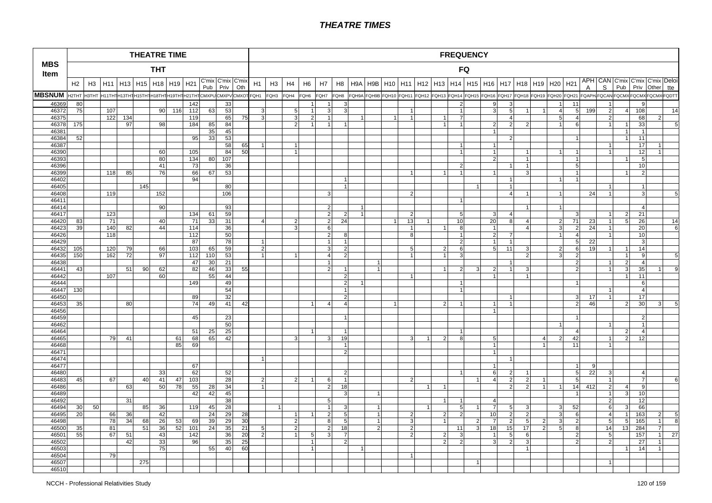|                           |                 |                |                       |          | <b>THEATRE TIME</b>                                                                            |          |                  |                          |          |          |                                |                |                                  |                |                                  |                                  |                |                      |              |                         |                |                     | <b>FREQUENCY</b>               |                                   |                                                                                                                                                                                                                              |                                                                      |                                  |                 |                                  |                                   |                                    |                                        |
|---------------------------|-----------------|----------------|-----------------------|----------|------------------------------------------------------------------------------------------------|----------|------------------|--------------------------|----------|----------|--------------------------------|----------------|----------------------------------|----------------|----------------------------------|----------------------------------|----------------|----------------------|--------------|-------------------------|----------------|---------------------|--------------------------------|-----------------------------------|------------------------------------------------------------------------------------------------------------------------------------------------------------------------------------------------------------------------------|----------------------------------------------------------------------|----------------------------------|-----------------|----------------------------------|-----------------------------------|------------------------------------|----------------------------------------|
| <b>MBS</b><br><b>Item</b> |                 |                |                       |          | <b>THT</b>                                                                                     |          |                  |                          |          |          |                                |                |                                  |                |                                  |                                  |                |                      |              |                         |                |                     | <b>FQ</b>                      |                                   |                                                                                                                                                                                                                              |                                                                      |                                  |                 |                                  |                                   |                                    |                                        |
|                           | H2              | H <sub>3</sub> |                       |          | H11 H13 H15 H18 H19 H21                                                                        |          |                  | C'mix C'mix C'mix<br>Pub | Priv     | Oth      | H1                             | H <sub>3</sub> | H <sub>4</sub>                   | H <sub>6</sub> | H7                               | H8                               | H9A            |                      | H9B H10 H11  |                         |                |                     |                                |                                   | H12   H13   H14   H15   H16   H17   H18   H19   H20   H21                                                                                                                                                                    |                                                                      |                                  |                 | S.                               |                                   | Pub Priv Other                     | APH CAN C'mix C'mix C'mix Deloi<br>tte |
| <b>MBSNUM</b>             |                 |                |                       |          | н2тнт  нзтнт  н11тнт н13тнт н15тнт н18тнт н19тнт н21тнт смхр∪ смхр∨ смхот гон1    гонз    гон4 |          |                  |                          |          |          |                                |                |                                  |                |                                  |                                  |                |                      |              |                         |                |                     |                                |                                   | FQH6  FQH7  FQH8  FQH9A FQH9B FQH10 FQH11 FQH12 FQH12 FQH13 FQH14 FQH15 FQH16 FQH17 FQH18 FQH19 FQH20 FQH21 FQAPH FQCAN FQCMX FQCMX FQCMX FQCMX FQCMX FQCMX FQCMX FQCMX FQCMX FQCMX FQCMX FQCMX FQCMX FQCMX FQCMX FQCMX FQCM |                                                                      |                                  |                 |                                  |                                   |                                    |                                        |
| 46369                     | 80              |                |                       |          |                                                                                                |          | 142              |                          | 33       |          |                                |                |                                  | 1              | $\overline{1}$                   | $\mathbf{3}$                     |                |                      |              |                         |                |                     | $\overline{2}$                 | 9                                 | 3                                                                                                                                                                                                                            | 1                                                                    | 11                               |                 | $\mathbf{1}$                     |                                   | 9                                  |                                        |
| 46372<br>46375            | 75              |                | 107<br>122            | 134      |                                                                                                | 90 116   | 112<br>119       | 63                       | 53<br>65 | 75       | 3<br>3 <sup>1</sup>            |                | $5\phantom{.0}$<br>$\mathbf{3}$  | 1<br>$2 \vert$ | $\mathbf{3}$<br>1                | 3                                | $\mathbf{1}$   |                      | $\mathbf{1}$ |                         |                | $\overline{1}$      | $\mathbf{1}$<br>$\overline{7}$ | 3 <sup>1</sup>                    | $5\phantom{.0}$<br>$\overline{4}$                                                                                                                                                                                            | $\overline{4}$<br>1<br>$5\overline{)}$                               | 5 <sub>5</sub>                   | 199             | $\overline{2}$<br>$\overline{2}$ | $\overline{4}$                    | 108<br>68                          | 14<br>$\overline{2}$                   |
| 46378                     | 175             |                |                       | 97       | 98                                                                                             |          | 184              | 85                       | 84       |          |                                |                | $\overline{2}$                   | $\mathbf{1}$   | 1                                | $\mathbf{1}$                     |                |                      |              |                         |                | $\mathbf{1}$        |                                | 2                                 | $\overline{2}$<br>2 <sup>1</sup>                                                                                                                                                                                             | 1                                                                    | $\overline{4}$<br>6 <sup>1</sup> |                 | $\overline{1}$                   | 1                                 | 33                                 | 5                                      |
| 46381                     |                 |                |                       |          |                                                                                                |          |                  | 35                       | 45       |          |                                |                |                                  |                |                                  |                                  |                |                      |              |                         |                |                     |                                | 1                                 |                                                                                                                                                                                                                              |                                                                      |                                  |                 |                                  | 1                                 | $\overline{1}$                     |                                        |
| 46384                     | 52              |                |                       |          |                                                                                                |          | 95               | 33                       | 53       |          |                                |                |                                  |                |                                  |                                  |                |                      |              |                         |                |                     |                                |                                   | $\overline{2}$                                                                                                                                                                                                               |                                                                      | 1 <sup>1</sup>                   |                 |                                  | 1                                 | 11                                 |                                        |
| 46387<br>46390            |                 |                |                       |          | 60                                                                                             |          | 105              |                          | 58<br>84 | 65<br>50 | $\overline{1}$                 |                | $\overline{1}$<br>$\mathbf{1}$   |                |                                  |                                  |                |                      |              |                         |                |                     | $\blacktriangleleft$<br>1      | 1<br>1                            |                                                                                                                                                                                                                              | 1                                                                    | 1                                |                 | $\overline{1}$<br>$\mathbf{1}$   |                                   | 17<br>12                           | $\mathbf{1}$<br>$\mathbf{1}$           |
| 46393                     |                 |                |                       |          | 80                                                                                             |          | $\overline{134}$ | 80                       | 107      |          |                                |                |                                  |                |                                  |                                  |                |                      |              |                         |                |                     |                                | $\overline{2}$                    | $\mathbf{1}$                                                                                                                                                                                                                 |                                                                      | 11                               |                 |                                  | $\vert$                           | 5                                  |                                        |
| 46396                     |                 |                |                       |          | 41                                                                                             |          | 73               |                          | 36       |          |                                |                |                                  |                |                                  |                                  |                |                      |              |                         |                |                     | 2                              |                                   | 1<br>1                                                                                                                                                                                                                       |                                                                      | 5 <sub>l</sub>                   |                 |                                  |                                   | 10                                 |                                        |
| 46399                     |                 |                | 118                   | 85       | 76                                                                                             |          | 66               | 67                       | 53       |          |                                |                |                                  |                |                                  |                                  |                |                      |              | -1                      |                | $\mathbf{1}$        | $\blacktriangleleft$           | 1 <sup>1</sup>                    | 3 <sup>1</sup>                                                                                                                                                                                                               |                                                                      | 1                                |                 |                                  | $\mathbf{1}$                      | 2                                  |                                        |
| 46402<br>46405            |                 |                |                       |          | 145                                                                                            |          | 94               |                          | 80       |          |                                |                |                                  |                |                                  | $\overline{1}$<br>1              |                |                      |              |                         |                |                     |                                |                                   | $\mathbf{1}$<br>$\mathbf{1}$                                                                                                                                                                                                 | 11                                                                   | 11                               |                 | $\mathbf{1}$                     |                                   | $\mathbf{1}$                       |                                        |
| 46408                     |                 |                | 119                   |          | 152                                                                                            |          |                  |                          | 106      |          |                                |                |                                  |                | $\mathbf{3}$                     |                                  |                |                      |              | $\overline{2}$          |                |                     |                                |                                   | $\overline{4}$<br>11                                                                                                                                                                                                         | 1                                                                    |                                  | 24              | $\mathbf{1}$                     |                                   | $\mathbf{3}$                       | 5                                      |
| 46411                     |                 |                |                       |          |                                                                                                |          |                  |                          |          |          |                                |                |                                  |                |                                  |                                  |                |                      |              |                         |                |                     | $\overline{1}$                 |                                   |                                                                                                                                                                                                                              |                                                                      |                                  |                 |                                  |                                   |                                    |                                        |
| 46414                     |                 |                |                       |          | 90                                                                                             |          |                  |                          | 93       |          |                                |                |                                  |                | $\overline{2}$                   |                                  | 1 <sup>1</sup> |                      |              |                         |                |                     |                                |                                   |                                                                                                                                                                                                                              | 1 <sup>1</sup>                                                       |                                  |                 |                                  |                                   | $\overline{4}$                     |                                        |
| 46417<br>46420            | 83              |                | 123<br>71             |          | 40                                                                                             |          | 134<br>71        | 61<br>33                 | 59<br>31 |          | $\overline{4}$                 |                | 2                                |                | $\overline{2}$<br>$\overline{2}$ | $\overline{2}$<br>24             |                |                      | $\mathbf{1}$ | $\overline{2}$<br>13    | $\overline{1}$ |                     | 5 <sub>5</sub><br>10           | 3 <sup>1</sup><br>20              | $\overline{4}$<br>8<br>$\overline{4}$                                                                                                                                                                                        | $2 \vert$                                                            | 3 <sup>1</sup><br>71             | 23              | $\mathbf{1}$<br>$\mathbf{1}$     | $\overline{2}$<br>5 <sub>l</sub>  | 21<br>26                           | 14                                     |
| 46423                     | 39              |                | 140                   | 82       | 44                                                                                             |          | 114              |                          | 36       |          |                                |                | $\mathbf{3}$                     |                | 6                                |                                  |                |                      |              | $\overline{1}$          |                | $\overline{1}$      | 8                              | $\vert$ 1                         | $\overline{4}$                                                                                                                                                                                                               | $\mathbf{3}$                                                         | 2                                | 24              | $\mathbf{1}$                     |                                   | 20                                 | 6                                      |
| 46426                     |                 |                | 118                   |          |                                                                                                |          | $\overline{112}$ |                          | 50       |          |                                |                |                                  |                | $\overline{2}$                   | 8                                |                |                      |              | 8                       |                |                     | $\mathbf{1}$                   | $\overline{2}$                    | $\overline{7}$                                                                                                                                                                                                               | $\overline{1}$                                                       | $\vert$ 4                        |                 | $\overline{1}$                   |                                   | 10                                 |                                        |
| 46429                     |                 |                |                       |          |                                                                                                |          | 87               |                          | 78       |          | 1                              |                |                                  |                | $\overline{1}$                   | 1                                |                |                      |              |                         |                |                     | 2                              | 1                                 | $\mathbf{1}$                                                                                                                                                                                                                 |                                                                      | 5 <sup>1</sup>                   | 22              |                                  |                                   | $\mathbf{3}$                       |                                        |
| 46432<br>46435            | 105<br>150      |                | 120<br>162            | 79<br>72 | 66<br>97                                                                                       |          | 103<br>112       | 65<br>110                | 59<br>53 |          | $\overline{2}$<br>$\mathbf{1}$ |                | $\overline{1}$                   |                | $\mathbf{3}$<br>$\overline{4}$   | $\overline{2}$<br>$\overline{2}$ |                |                      |              | 5                       |                | $\overline{2}$<br>1 | 6<br>3                         | 5 <sup>1</sup>                    | 11<br>$\mathbf{3}$<br>2 <sup>1</sup>                                                                                                                                                                                         | $\overline{2}$<br>3 <sup>l</sup>                                     | $6 \mid$<br>2 <sub>1</sub>       | 19              | $\mathbf{1}$                     | 1<br>$\mathbf{1}$                 | 14<br>9                            | 5                                      |
| 46438                     |                 |                |                       |          |                                                                                                |          | 47               | 30                       | 21       |          |                                |                |                                  |                | $\overline{1}$                   |                                  |                | 11                   |              |                         |                |                     |                                |                                   | $\overline{1}$                                                                                                                                                                                                               |                                                                      | $\overline{2}$                   |                 | $\mathbf{1}$                     | $\overline{2}$                    | $\overline{4}$                     |                                        |
| 46441                     | 43              |                |                       | 51       | 62<br>90                                                                                       |          | 82               | 46                       | 33       | 55       |                                |                |                                  |                | $\overline{2}$                   | 11                               |                | 1 <sup>1</sup>       |              |                         |                | 1                   | $\overline{2}$                 | 3 <sup>l</sup><br>2               | 3 <sup>1</sup><br>$\mathbf{1}$                                                                                                                                                                                               |                                                                      | $\overline{2}$                   |                 | $\overline{1}$                   | 3                                 | 35                                 | 9                                      |
| 46442                     |                 |                | 107                   |          | 60                                                                                             |          |                  | 55                       | 44       |          |                                |                |                                  |                |                                  | $\overline{2}$                   |                |                      |              | $\overline{\mathbf{1}}$ |                |                     |                                | 11                                | $\overline{1}$                                                                                                                                                                                                               |                                                                      |                                  |                 |                                  | 11                                | 11                                 |                                        |
| 46444<br>46447            | 130             |                |                       |          |                                                                                                |          | 149              |                          | 49<br>54 |          |                                |                |                                  |                |                                  | $\overline{2}$<br>1              |                |                      |              |                         |                |                     | $\mathbf{1}$                   |                                   |                                                                                                                                                                                                                              |                                                                      | 1                                |                 | $\mathbf{1}$                     |                                   | $6 \overline{6}$<br>$\overline{4}$ |                                        |
| 46450                     |                 |                |                       |          |                                                                                                |          | 89               |                          | 32       |          |                                |                |                                  |                |                                  | $\overline{2}$                   |                |                      |              |                         |                |                     |                                |                                   | $\mathbf{1}$                                                                                                                                                                                                                 |                                                                      | 3 <sup>l</sup>                   | 17              | $\mathbf{1}$                     |                                   | 17                                 |                                        |
| 46453                     | 35              |                |                       | 80       |                                                                                                |          | 74               | 49                       | 41       | 42       |                                |                |                                  | $\mathbf{1}$   | $\overline{4}$                   | $\overline{a}$                   |                |                      |              |                         |                | 2                   |                                | 11                                | $\overline{1}$                                                                                                                                                                                                               |                                                                      | $\overline{2}$                   | 46              |                                  | $\overline{2}$                    | 30                                 | 3 <sup>l</sup><br>-5                   |
| 46456                     |                 |                |                       |          |                                                                                                |          |                  |                          |          |          |                                |                |                                  |                |                                  |                                  |                |                      |              |                         |                |                     |                                | 1 <sup>1</sup>                    |                                                                                                                                                                                                                              |                                                                      |                                  |                 |                                  |                                   |                                    |                                        |
| 46459<br>46462            |                 |                |                       |          |                                                                                                |          | 45               |                          | 23<br>50 |          |                                |                |                                  |                |                                  | $\overline{1}$                   |                |                      |              |                         |                |                     |                                |                                   |                                                                                                                                                                                                                              | $\overline{1}$                                                       | $\mathbf{1}$                     |                 | $\overline{1}$                   |                                   | $\overline{2}$<br>11               |                                        |
| 46464                     |                 |                |                       |          |                                                                                                |          | 51               | $\overline{25}$          | 25       |          |                                |                |                                  | 1 <sup>1</sup> |                                  | 1                                |                |                      |              |                         |                |                     | $\mathbf{1}$                   |                                   |                                                                                                                                                                                                                              |                                                                      | $\vert$                          |                 |                                  | $\vert$ 2                         | $\overline{4}$                     |                                        |
| 46465                     |                 |                | 79                    | 41       |                                                                                                | 61       | 68               | 65                       | 42       |          |                                |                | 3 <sup>1</sup>                   |                | $\mathbf{3}$                     | 19                               |                |                      |              | 3                       | $\mathbf{1}$   | $\overline{2}$      | 8 <sup>1</sup>                 | 5 <sup>1</sup>                    |                                                                                                                                                                                                                              | $\overline{2}$<br>$\vert$                                            | 42                               |                 | $\overline{1}$                   | $\overline{2}$                    | 12 <sup>1</sup>                    |                                        |
| 46468                     |                 |                |                       |          |                                                                                                | 85       | 69               |                          |          |          |                                |                |                                  |                |                                  | $\overline{1}$                   |                |                      |              |                         |                |                     |                                | 1 <sup>1</sup>                    |                                                                                                                                                                                                                              | $\mathbf{1}$                                                         | 11                               |                 | $\overline{1}$                   |                                   |                                    |                                        |
| 46471<br>46474            |                 |                |                       |          |                                                                                                |          |                  |                          |          |          | 11                             |                |                                  |                |                                  | $\overline{2}$                   |                |                      |              |                         |                |                     |                                | 1                                 | 1                                                                                                                                                                                                                            |                                                                      |                                  |                 |                                  |                                   |                                    |                                        |
| 46477                     |                 |                |                       |          |                                                                                                |          | 67               |                          |          |          |                                |                |                                  |                |                                  |                                  |                |                      |              |                         |                |                     |                                | 1 <sup>1</sup>                    |                                                                                                                                                                                                                              |                                                                      | 1                                | 9               |                                  |                                   |                                    |                                        |
| 46480                     |                 |                |                       |          | 33                                                                                             |          | 62               |                          | 52       |          |                                |                |                                  |                |                                  | $\overline{2}$                   |                |                      |              |                         |                |                     | 1                              | 6 <sup>1</sup>                    | $\overline{2}$<br>$\mathbf{1}$                                                                                                                                                                                               |                                                                      | 5 <sup>1</sup>                   | $\overline{22}$ | $\mathbf{3}$                     |                                   | 4                                  |                                        |
| 46483                     | 45              |                | 67                    | 63       | 40<br>41<br>50                                                                                 | 47<br>78 | 103<br>55        | 28                       | 28<br>34 |          | $\overline{2}$<br>$\mathbf{1}$ |                | 2 <sup>1</sup>                   | 1 <sup>1</sup> | 6                                | $\overline{1}$<br>18             |                |                      |              | $\overline{2}$          |                |                     |                                | $\vert$<br>$\vert$ 1              | $\overline{2}$<br>$\mathbf{2}$<br>$\overline{2}$<br>$\overline{2}$                                                                                                                                                           | $\mathbf{1}$<br>$\mathbf{1}$<br>1                                    | 5 <sup>1</sup><br>14             | 412             | $\overline{1}$<br>$\overline{2}$ |                                   | $\overline{7}$                     | 6                                      |
| 46486<br>46489            |                 |                |                       |          |                                                                                                |          | 42               | 42                       | 45       |          |                                |                |                                  |                | $\overline{2}$                   | $\overline{3}$                   |                | 1                    |              |                         | $\mathbf{1}$   | $\mathbf{1}$        |                                |                                   |                                                                                                                                                                                                                              |                                                                      | $\mathbf{1}$                     |                 | $\mathbf{1}$                     | $\vert 4 \vert$<br>3 <sup>1</sup> | 9<br>10                            |                                        |
| 46492                     |                 |                |                       | 31       |                                                                                                |          |                  |                          | 38       |          |                                |                |                                  |                | $5\phantom{.0}$                  |                                  |                |                      |              |                         |                | $\overline{1}$      | $\mathbf{1}$                   | $\overline{4}$                    |                                                                                                                                                                                                                              |                                                                      |                                  |                 | $\overline{2}$                   |                                   | 12                                 |                                        |
| 46494                     | 30 <sup>1</sup> | 50             |                       |          | 85<br>36                                                                                       |          | 119              | 45                       | 28       |          |                                | $\vert$ 1      |                                  |                | $\vert$ 1                        | $\mathbf{3}$                     |                | 1                    |              |                         | $\mathbf{1}$   |                     | 5 <sub>5</sub>                 | 7<br>11                           | $5\phantom{.0}$<br>$\mathbf{3}$                                                                                                                                                                                              | 3 <sup>1</sup>                                                       | 52                               |                 | 6                                | 3                                 | 66                                 |                                        |
| 46495                     | 20              |                | 66<br>$\overline{78}$ | 36       | 42                                                                                             |          |                  | 24                       | 29       | 28       |                                |                | $\mathbf{1}$                     | 1 <sup>1</sup> | <sub>2</sub>                     | $5\overline{)}$                  |                | 1 <sup>1</sup>       |              | $\overline{2}$          |                | $\overline{c}$      | $\overline{2}$                 | 10<br>$\overline{7}$              | $\overline{2}$<br>$\overline{2}$                                                                                                                                                                                             | 3 <sup>1</sup>                                                       | 6                                |                 | $\overline{4}$<br>$\overline{5}$ | 1                                 | 163                                | 2 <br>5                                |
| 46498<br>46500            | 35              |                | 81                    | 34       | 68<br>26<br>51<br>36                                                                           | 53<br>52 | 69<br>101        | 39<br>24                 | 29<br>35 | 30<br>21 | 5 <sub>5</sub>                 |                | $\overline{2}$<br>$\overline{2}$ |                | 8<br>$\overline{2}$              | $5\overline{)}$<br>18            |                | 11<br>$\overline{2}$ |              | 3<br>$\overline{2}$     |                | $\vert$             | 11                             | $2 \vert$<br>$\overline{3}$<br>18 | $5 \vert$<br>$\overline{2}$<br>15<br>17                                                                                                                                                                                      | 2 <sup>1</sup><br>3 <sup>1</sup><br>2 <sup>1</sup><br>5 <sup>1</sup> | $\overline{2}$<br>8              |                 | 14                               | 5 <sub>5</sub><br>13              | 165<br>284                         | 8<br>11<br>7 <sup>1</sup>              |
| 46501                     | 55              |                | 67                    | 51       | 43                                                                                             |          | 142              |                          | 36       | 20       | $\overline{2}$                 |                | $\overline{1}$                   | 5 <sub>l</sub> | $\mathbf{3}$                     | $\overline{7}$                   |                |                      |              | $\mathcal{P}$           |                | $\overline{2}$      | 3                              | 11                                | $5\phantom{.0}$<br>6                                                                                                                                                                                                         |                                                                      | $\overline{2}$                   |                 | 5                                |                                   | 157                                | 27<br>1                                |
| 46502                     |                 |                |                       | 42       | 33                                                                                             |          | 96               |                          | 35       | 25       |                                |                |                                  | 1 <sup>1</sup> |                                  | 2 <sup>1</sup>                   |                |                      |              |                         |                | 2                   | $\overline{2}$                 | 3 <sup>1</sup>                    | $\overline{2}$<br>$\mathbf{3}$                                                                                                                                                                                               |                                                                      | 2 <sup>1</sup>                   |                 | $\overline{2}$                   |                                   | 27                                 |                                        |
| 46503                     |                 |                |                       |          | 75                                                                                             |          |                  | 55                       | 40       | 60       |                                |                |                                  | 1              |                                  |                                  | $\mathbf{1}$   |                      |              | $\overline{1}$          |                |                     |                                |                                   | 1                                                                                                                                                                                                                            |                                                                      |                                  |                 |                                  | 1 <sup>1</sup>                    | 14                                 |                                        |
| 46504<br>46507            |                 |                | 79                    |          | 275                                                                                            |          |                  |                          |          |          |                                |                |                                  |                |                                  |                                  |                |                      |              |                         |                |                     |                                |                                   |                                                                                                                                                                                                                              |                                                                      |                                  |                 | $\overline{1}$                   |                                   |                                    |                                        |
| 46510                     |                 |                |                       |          |                                                                                                |          |                  |                          |          |          |                                |                |                                  |                |                                  |                                  |                |                      |              |                         |                |                     |                                |                                   |                                                                                                                                                                                                                              |                                                                      |                                  |                 |                                  |                                   |                                    |                                        |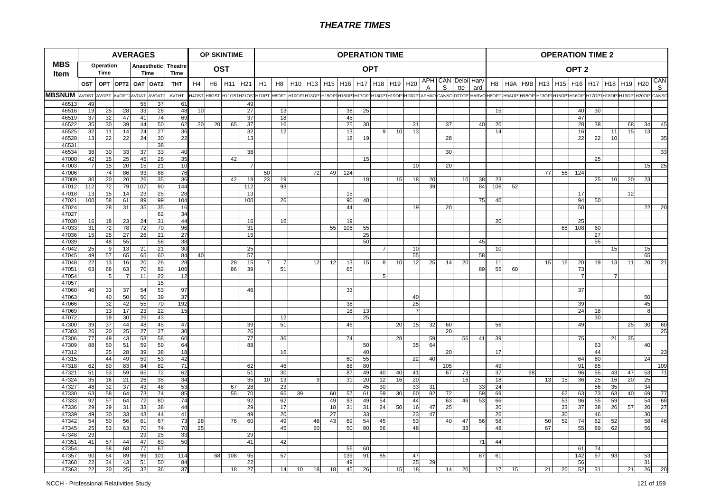|                           |                |                          |                | <b>AVERAGES</b>               |                 |                        |                |    | <b>OP SKINTIME</b> |                 |                |                      |                                                                                                                                               |                |          | <b>OPERATION TIME</b> |                 |                |                 |                |          |                                |          |     |                 |     |    | <b>OPERATION TIME 2</b>                                           |          |                  |                 |                |          |                 |           |
|---------------------------|----------------|--------------------------|----------------|-------------------------------|-----------------|------------------------|----------------|----|--------------------|-----------------|----------------|----------------------|-----------------------------------------------------------------------------------------------------------------------------------------------|----------------|----------|-----------------------|-----------------|----------------|-----------------|----------------|----------|--------------------------------|----------|-----|-----------------|-----|----|-------------------------------------------------------------------|----------|------------------|-----------------|----------------|----------|-----------------|-----------|
| <b>MBS</b><br><b>Item</b> |                | Operation<br><b>Time</b> |                | Anaesthetic<br><b>Time</b>    |                 | <b>Theatre</b><br>Time |                |    | <b>OST</b>         |                 |                |                      |                                                                                                                                               |                |          |                       | <b>OPT</b>      |                |                 |                |          |                                |          |     |                 |     |    |                                                                   |          | OPT <sub>2</sub> |                 |                |          |                 |           |
|                           | <b>OST</b>     |                          |                | OPT OPT2 OAT OAT2             |                 | <b>THT</b>             | H <sub>4</sub> | H6 | H <sub>11</sub>    | H <sub>21</sub> | H1             | H8                   | H <sub>10</sub>   H <sub>13</sub>   H <sub>15</sub>   H <sub>16</sub>   H <sub>17</sub>   H <sub>18</sub>   H <sub>19</sub>   H <sub>20</sub> |                |          |                       |                 |                |                 |                | A        | APH   CAN   Deloi   Harv<br>S. | tte      | ard | H8              | H9A |    | H9B   H13   H15   H16   H17   H18   H19   H20                     |          |                  |                 |                |          |                 | CAN<br>S. |
| <b>MBSNUM</b>             |                |                          |                | VOST AVOPT AVOPTŽAVOAT AVOATŽ |                 | AVTHT                  |                |    |                    |                 |                |                      | 14OST  H6OST  H11OSTH21OSTH1OPT  H8OPT  H10OPTH13OPTH15OPTH16OPTH17OPTH18OPTH19OPTH20OPTAPHAO CANSO DTTOPTHARVO                               |                |          |                       |                 |                |                 |                |          |                                |          |     |                 |     |    | H8OPT/H9AOP H9BOP H13OP H15OP H16OP H17OP H18OP H19OP H20OP CANSC |          |                  |                 |                |          |                 |           |
| 46513                     | 49             |                          |                | 55                            | 37              | 61                     |                |    |                    | 49              |                |                      |                                                                                                                                               |                |          |                       |                 |                |                 |                |          |                                |          |     |                 |     |    |                                                                   |          |                  |                 |                |          |                 |           |
| 46516<br>46519            | 19<br>37       | 25<br>32                 | 28<br>47       | 33<br>41                      | 28<br>74        | 48<br>69               | 10             |    |                    | 27<br>37        |                | 13<br>18             |                                                                                                                                               |                |          | 38<br>45              | 25              |                |                 |                |          |                                |          |     | 15 <sup>1</sup> |     |    |                                                                   |          | 40<br>47         | 30 <sup>1</sup> |                |          |                 |           |
| 46522                     | 35             | 30                       | 39             | 44                            | 50              | 62                     | 20             | 20 | 65                 | 37              |                | 16                   |                                                                                                                                               |                |          | 25                    | 30              |                |                 | 31             |          | 37                             |          | 40  | 20              |     |    |                                                                   |          | 28               | 38              |                | 68       | 34              | 45        |
| 46525                     | 32             | 11                       | 14             | 24                            | 27              | 36                     |                |    |                    | 32              |                | 12                   |                                                                                                                                               |                |          | 13                    |                 | 9              | 10 <sup>1</sup> | 13             |          |                                |          |     | 14              |     |    |                                                                   |          | 16               |                 | 11             | 15       | 13              |           |
| 46528                     | 13             | 22                       | 22             | 24                            | 30              | 22                     |                |    |                    | 13              |                |                      |                                                                                                                                               |                |          | 18 <sup>1</sup>       | 19              |                |                 |                |          | 28                             |          |     |                 |     |    |                                                                   |          | 22               | 22              | 10             |          |                 | 35        |
| 46531<br>46534            | 38             | 30                       | 33             | 37                            | 38<br>33        | 40                     |                |    |                    | 38              |                |                      |                                                                                                                                               |                |          |                       |                 |                |                 |                |          | 30                             |          |     |                 |     |    |                                                                   |          |                  |                 |                |          |                 | 33        |
| 47000                     | 42             | 15 <sup>1</sup>          | 25             | 45                            | 26              | 35                     |                |    | 42                 |                 |                |                      |                                                                                                                                               |                |          |                       | 15 <sup>1</sup> |                |                 |                |          |                                |          |     |                 |     |    |                                                                   |          |                  | 25              |                |          |                 |           |
| 47003                     | $\overline{7}$ | 15                       | 20             | 15                            | 21              | 10                     |                |    |                    | $\overline{7}$  |                |                      |                                                                                                                                               |                |          |                       |                 |                |                 | 10             |          | 20                             |          |     |                 |     |    |                                                                   |          |                  |                 |                |          | 15              | 25        |
| 47006                     |                | 74                       | 86             | 93                            | 88              | 76                     |                |    |                    |                 | 50             |                      |                                                                                                                                               | 72             | 49       | 124                   |                 |                |                 |                |          |                                |          |     |                 |     |    | 77                                                                | 56       | 124              |                 |                |          |                 |           |
| 47009                     | 30             | 20                       | 20             | 26                            | 35              | 36                     |                |    | 42                 | 18              | 23             | 19                   |                                                                                                                                               |                |          |                       | 18              |                | 15              | 18             | 20       |                                | 10       | 38  | 23              |     |    |                                                                   |          |                  | 25              | 10             | 20       | 23              |           |
| 47012<br>47018            | 112<br>13      | 72<br>15                 | 79<br>14       | 107<br>23                     | 90<br>25        | 144<br>28              |                |    |                    | 112<br>13       |                | 93                   |                                                                                                                                               |                |          | 15                    |                 |                |                 |                | 39       |                                |          | 84  | 106             | 52  |    |                                                                   |          | 17               |                 |                | 12       |                 |           |
| 47021                     | 100            | 58                       | 61             | 89                            | 99              | 104                    |                |    |                    | 100             |                | 26                   |                                                                                                                                               |                |          | 90                    | 40              |                |                 |                |          |                                |          | 75  | 40              |     |    |                                                                   |          | 94               | 50              |                |          |                 |           |
| 47024                     |                | 28                       | 31             | 35                            | 35              | 16                     |                |    |                    |                 |                |                      |                                                                                                                                               |                |          | 44                    |                 |                |                 | 19             |          | 20                             |          |     |                 |     |    |                                                                   |          | 50               |                 |                |          | 22              | 20        |
| 47027                     |                |                          |                |                               | 62              | 34                     |                |    |                    |                 |                |                      |                                                                                                                                               |                |          |                       |                 |                |                 |                |          |                                |          |     |                 |     |    |                                                                   |          |                  |                 |                |          |                 |           |
| 47030<br>47033            | 16<br>31       | 18<br>72                 | 23<br>78       | 24<br>72                      | 31<br>70        | 44<br>96               |                |    |                    | 16<br>31        |                | 16                   |                                                                                                                                               |                | 55       | 19<br>106             | 55              |                |                 |                |          |                                |          |     | 20              |     |    |                                                                   | 65       | 25<br>108        | 60              |                |          |                 |           |
| 47036                     | 15             | 25                       | 27             | 26                            | 21              | 27                     |                |    |                    | 15              |                |                      |                                                                                                                                               |                |          |                       | 25              |                |                 |                |          |                                |          |     |                 |     |    |                                                                   |          |                  | 27              |                |          |                 |           |
| 47039                     |                | 48                       | 55             |                               | 58              | 38                     |                |    |                    |                 |                |                      |                                                                                                                                               |                |          |                       | 50              |                |                 |                |          |                                |          | 45  |                 |     |    |                                                                   |          |                  | 55              |                |          |                 |           |
| 47042                     | 25             | 9                        | 13             | 21                            | 21              | 30                     |                |    |                    | 25              |                |                      |                                                                                                                                               |                |          |                       |                 | $\overline{7}$ |                 | 10             |          |                                |          |     | 10              |     |    |                                                                   |          |                  |                 | 15             |          | 15              |           |
| 47045                     | 49             | 57                       | 65             | 65                            | 60              | 84                     | 40             |    |                    | 57              |                |                      |                                                                                                                                               |                |          |                       |                 |                |                 | 55             |          |                                |          | 58  |                 |     |    |                                                                   |          |                  |                 |                |          | 65              |           |
| 47048<br>47051            | 22<br>63       | 13<br>68                 | 16<br>63       | 20<br>70                      | 28<br>82        | 28<br>106              |                |    | 28<br>86           | 15<br>39        | $\overline{7}$ | $\overline{7}$<br>51 |                                                                                                                                               | 12             | 12       | 13<br>65              | 15              | 8 <sup>1</sup> | 10              | 12             | 25       | 14                             | 20       | 89  | 11<br>55        | 60  |    | 15                                                                | 16       | 20<br>73         | 19              | 13             | 11       | 20 <sup>1</sup> | 21        |
| 47054                     |                | 5 <sub>l</sub>           | $\overline{7}$ | 11                            | $\overline{22}$ | 12                     |                |    |                    |                 |                |                      |                                                                                                                                               |                |          |                       |                 | 5 <sup>5</sup> |                 |                |          |                                |          |     |                 |     |    |                                                                   |          | $\overline{7}$   |                 | $\overline{7}$ |          |                 |           |
| 47057                     |                |                          |                |                               | 15              |                        |                |    |                    |                 |                |                      |                                                                                                                                               |                |          |                       |                 |                |                 |                |          |                                |          |     |                 |     |    |                                                                   |          |                  |                 |                |          |                 |           |
| 47060                     | 46             | 33                       | 37             | 54                            | 53              | 97                     |                |    |                    | 46              |                |                      |                                                                                                                                               |                |          | 33                    |                 |                |                 |                |          |                                |          |     |                 |     |    |                                                                   |          | 37               |                 |                |          |                 |           |
| 47063<br>47066            |                | 40<br>32                 | 50<br>42       | 50<br>55                      | 39<br>70        | 37<br>192              |                |    |                    |                 |                |                      |                                                                                                                                               |                |          | 38                    |                 |                |                 | 40<br>25       |          |                                |          |     |                 |     |    |                                                                   |          | 39               |                 |                |          | 50<br>45        |           |
| 47069                     |                | 13                       | 17             | 23                            | 22              | 15                     |                |    |                    |                 |                |                      |                                                                                                                                               |                |          | 18                    | 13              |                |                 | $\overline{7}$ |          |                                |          |     |                 |     |    |                                                                   |          | 24               | 18              |                |          | 8               |           |
| 47072                     |                | 19                       | 30             | 26                            | 43              |                        |                |    |                    |                 |                | 12                   |                                                                                                                                               |                |          |                       | 25              |                |                 |                |          |                                |          |     |                 |     |    |                                                                   |          |                  | 30              |                |          |                 |           |
| 47300                     | 39             | 37                       | 44             | 48                            | 45              | 47                     |                |    |                    | 39              |                | 51                   |                                                                                                                                               |                |          | 46                    |                 |                | 20              | 15             | 32       | 60                             |          |     | 56              |     |    |                                                                   |          | 49               |                 |                | 25       | 30              | 60        |
| 47303                     | 26             | 20                       | 25             | 27                            | 27              | 30                     |                |    |                    | 26              |                |                      |                                                                                                                                               |                |          |                       |                 |                |                 |                |          | 20                             |          |     |                 |     |    |                                                                   |          |                  |                 |                |          |                 | 25        |
| 47306<br>47309            | 77<br>88       | 49<br>50                 | 43<br>51       | 58<br>59                      | 58<br>59        | 60<br>64               |                |    |                    | 77<br>88        |                | 36                   |                                                                                                                                               |                |          | 74                    | 50              |                | 28              | 35             | 59<br>64 |                                | 56       | 41  | 39              |     |    |                                                                   |          | 75               | 63              | 21             | 35       | 40              |           |
| 47312                     |                | 25                       | 28             | 39 <sup>°</sup>               | 38              | 18                     |                |    |                    |                 |                | 16                   |                                                                                                                                               |                |          |                       | 40              |                |                 |                |          | 20                             |          |     | 17              |     |    |                                                                   |          |                  | 44              |                |          |                 | 23        |
| 47315                     |                | 44                       | 49             | 59                            | 53              | 42                     |                |    |                    |                 |                |                      |                                                                                                                                               |                |          | 60                    | 55              |                |                 | 22             | 40       |                                |          |     |                 |     |    |                                                                   |          | 64               | 60              |                |          | 24              |           |
| 47318                     | 62             | 80                       | 83             | 84                            | 82              | $\overline{71}$        |                |    |                    | 62              |                | 46                   |                                                                                                                                               |                |          | 88                    | 80              |                |                 |                |          | 105                            |          |     | 49              |     |    |                                                                   |          | 91               | 85              |                |          |                 | 109       |
| 47321<br>47324            | 51<br>35       | 53<br>16                 | 59<br>21       | 65<br>26                      | 72<br>35        | 62<br>34               |                |    |                    | 51<br>35        | 10             | 30<br>13             |                                                                                                                                               | 9 <sup>1</sup> |          | 87<br>31              | 49<br>20        | 40<br>12       | 40<br>16        | 41<br>20       |          | 67                             | 73<br>16 |     | 37<br>18        |     | 68 | 13                                                                | 15       | 96<br>36         | 55<br>25        | 43<br>16       | 47<br>20 | 53<br>25        | 71        |
| 47327                     | 48             | 32                       | 37             | 43                            | 48              | 53                     |                |    | 67                 | 28              |                | 23                   |                                                                                                                                               |                |          |                       | 45              | 30             |                 | 33             | 31       |                                |          | 33  | 24              |     |    |                                                                   |          |                  | 56              | 35             |          | 34              |           |
| 47330                     | 63             | 58                       | 64             | 73                            | 74              | 85                     |                |    | 55                 | 70              |                | 65                   | 39                                                                                                                                            |                | 60       | 57                    | 61              | 59             | 30              | 60             | 82       | 72                             |          | 59  | 69              |     |    |                                                                   | 62       | 63               | 73              | 63             | 40       | 69              | 77        |
| 47333                     | 92             | 57                       | 64             | 72                            | 80              | 74                     |                |    |                    | 92              |                | 62                   |                                                                                                                                               |                | 49       | 93                    | 49              | 54             |                 | 44             |          | 63                             | 46       | 53  | 66              |     |    |                                                                   | 53       | 96               | 55              | 59             |          | 54              | 68        |
| 47336                     | 29             | 29                       | 31             | 33                            | 38              | 44                     |                |    |                    | 29              |                | 17                   |                                                                                                                                               |                | 18       | 31                    | 31              | 24             | 50              | 16             | 47       | 25                             |          |     | 20              |     |    |                                                                   | 23       | 37               | 38              | 26             | 57       | 20              | 27        |
| 47339<br>47342            | 49<br>54       | 30<br>50                 | 33<br>56       | 43<br>61                      | 44<br>67        | 41<br>73               | 28             |    | 76                 | 49<br>60        |                | 20<br>49             |                                                                                                                                               | 48             | 27<br>43 | 69                    | 33<br>54        | 45             |                 | 23<br>53       | 47       | 40                             | 47       | 56  | 26<br>58        |     |    | 50                                                                | 30<br>52 | 74               | 46<br>62        | 52             |          | 30<br>58        | 46        |
| 47345                     | 25             | 53                       | 63             | 70                            | 74              | 70                     | 25             |    |                    |                 |                | 45                   |                                                                                                                                               | 60             |          | 50                    | 80              | 56             |                 | 48             |          |                                | 33       |     | 48              |     |    | 67                                                                |          | 55               | 89              | 62             |          | 56              |           |
| 47348                     | 29             |                          |                | 29                            | 25              | 33                     |                |    |                    | 29              |                |                      |                                                                                                                                               |                |          |                       |                 |                |                 |                |          |                                |          |     |                 |     |    |                                                                   |          |                  |                 |                |          |                 |           |
| 47351                     | 41             | 57                       | 44             | 47                            | 69              | 50                     |                |    |                    | 41              |                | 42                   |                                                                                                                                               |                |          |                       |                 |                |                 |                |          |                                |          | 71  | 44              |     |    |                                                                   |          |                  |                 |                |          |                 |           |
| 47354                     |                | 58                       | 68             | 77                            | 67              |                        |                |    |                    |                 |                |                      |                                                                                                                                               |                |          | 56                    | 60              | 85             |                 | 47             |          |                                |          |     |                 |     |    |                                                                   |          | 61               | 74              |                |          |                 |           |
| 47357<br>47360            | 90<br>22       | 84<br>34                 | 89<br>43       | 99<br>51                      | 101<br>50       | 114<br>84              |                | 68 | 108                | 95<br>22        |                | 57                   |                                                                                                                                               |                |          | 139<br>49             | 91              |                |                 | 25             | 29       |                                |          | 87  | 61              |     |    |                                                                   |          | 142<br>56        | 97              | 93             |          | 53<br>31        |           |
| 47363                     | 22             | 20                       | 25             | 32                            | 36              | 37                     |                |    | 18                 | 27              |                | 14                   | 10 <sup>1</sup>                                                                                                                               | 18             | 18       | 45                    | 26              |                | 15              | 18             |          | 14                             | 20       |     | 17              | 15  |    | 21                                                                | 20       | 52               | 31              |                | 21       | 26              | 20        |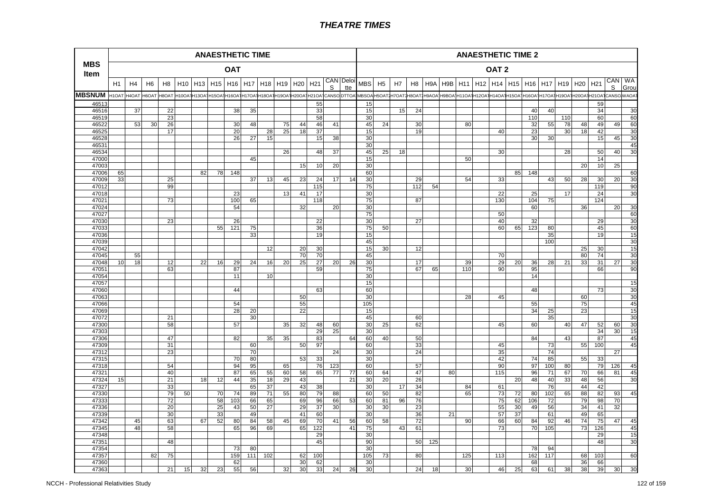|                           |                 |                |                |                |                                                                                           |    |    | <b>ANAESTHETIC TIME</b> |          |          |                                                                 |          |           |                 |     |          |                |                 |                |                  |     |                 |                  | <b>ANAESTHETIC TIME 2</b>                                                                            |           |     |                 |                 |             |          |
|---------------------------|-----------------|----------------|----------------|----------------|-------------------------------------------------------------------------------------------|----|----|-------------------------|----------|----------|-----------------------------------------------------------------|----------|-----------|-----------------|-----|----------|----------------|-----------------|----------------|------------------|-----|-----------------|------------------|------------------------------------------------------------------------------------------------------|-----------|-----|-----------------|-----------------|-------------|----------|
| <b>MBS</b><br><b>Item</b> |                 |                |                |                |                                                                                           |    |    | <b>OAT</b>              |          |          |                                                                 |          |           |                 |     |          |                |                 |                |                  |     |                 | OAT <sub>2</sub> |                                                                                                      |           |     |                 |                 |             |          |
|                           | H1              | H <sub>4</sub> | H <sub>6</sub> | H <sub>8</sub> | H <sub>10</sub>   H <sub>13</sub>   H <sub>15</sub>   H <sub>16</sub>   H <sub>17</sub>   |    |    |                         |          |          | H <sub>18</sub> H <sub>19</sub> H <sub>20</sub> H <sub>21</sub> |          |           | CAN Deloi<br>S  | tte | MBS      | H <sub>5</sub> | H7              | H <sub>8</sub> | H <sub>9</sub> A | H9B |                 |                  | H11 H12 H14 H15 H16 H17 H19                                                                          |           |     | H <sub>20</sub> | H <sub>21</sub> | CAN WA<br>S | Grou     |
| <b>MBSNUM</b>             |                 |                |                |                | H1OAT H4OAT H6OAT H8OAT H10OATH13OATH15OATH16OATH17OATH18OATH19OATH20OATH21OATCANSO DTTOA |    |    |                         |          |          |                                                                 |          |           |                 |     |          |                |                 |                |                  |     |                 |                  | MBSOA H5OAT2H7OAT2H8OAT2H9AOA H9BOA H11OATH12OATH14OATH15OATH16OATH17OATH19OATH21OATE21OATCANSO[WAOA |           |     |                 |                 |             |          |
| 46513                     |                 |                |                |                |                                                                                           |    |    |                         |          |          |                                                                 |          | 55        |                 |     | 15       |                |                 |                |                  |     |                 |                  |                                                                                                      |           |     |                 | 59              |             |          |
| 46516                     |                 | 37             |                | 22             |                                                                                           |    |    | 38                      | 35       |          |                                                                 |          | 33        |                 |     | 15       |                | 15 <sup>1</sup> | 24             |                  |     |                 |                  | 40                                                                                                   | 40        |     |                 | 34              |             | 30       |
| 46519                     |                 |                |                | 23             |                                                                                           |    |    |                         |          |          |                                                                 |          | 58        |                 |     | 30       |                |                 |                |                  |     |                 |                  | 110                                                                                                  |           | 110 |                 | 60              |             | 60       |
| 46522                     |                 | 53             | 30             | 26             |                                                                                           |    |    | 30                      | 48       |          | 75<br>25                                                        | 44       | 46        | 41              |     | 45       | 24             |                 | 30             |                  |     | 80              |                  | 32                                                                                                   | 55        | 78  | 48              | 49              | 49          | 60       |
| 46525<br>46528            |                 |                |                | 17             |                                                                                           |    |    | 20<br>26                | 27       | 28<br>15 |                                                                 | 18       | 37<br>15  | 38              |     | 15<br>30 |                |                 | 19             |                  |     |                 | 40               | 23<br>30                                                                                             | 30        | 30  | 18              | 42<br>15        | 45          | 30<br>30 |
| 46531                     |                 |                |                |                |                                                                                           |    |    |                         |          |          |                                                                 |          |           |                 |     | 30       |                |                 |                |                  |     |                 |                  |                                                                                                      |           |     |                 |                 |             | 45       |
| 46534                     |                 |                |                |                |                                                                                           |    |    |                         |          |          | $\overline{26}$                                                 |          | 48        | $\overline{37}$ |     | 45       | 25             | 18              |                |                  |     |                 | 30               |                                                                                                      |           | 28  |                 | 50              | 40          | 30       |
| 47000                     |                 |                |                |                |                                                                                           |    |    |                         | 45       |          |                                                                 |          |           |                 |     | 15       |                |                 |                |                  |     | 50              |                  |                                                                                                      |           |     |                 | 14              |             |          |
| 47003                     |                 |                |                |                |                                                                                           |    |    |                         |          |          |                                                                 | 15       | 10        | 20              |     | 30       |                |                 |                |                  |     |                 |                  |                                                                                                      |           |     | 20              | 10              | 25          |          |
| 47006                     | 65              |                |                |                |                                                                                           | 82 | 78 | 148                     |          |          |                                                                 |          |           |                 |     | 60       |                |                 |                |                  |     |                 |                  | 85<br>148                                                                                            |           |     |                 |                 |             | 60       |
| 47009                     | 33              |                |                | 25             |                                                                                           |    |    |                         | 37       | 13       | 45                                                              | 23       | 24<br>115 | 17              | 14  | 30       |                |                 | 29<br>112      |                  |     | 54              | 33               |                                                                                                      | 43        | 50  | 28              | 30              | 20          | 30       |
| 47012<br>47018            |                 |                |                | 99             |                                                                                           |    |    | 23                      |          |          | 13                                                              | 41       | 17        |                 |     | 75<br>30 |                |                 |                | 54               |     |                 | 22               | 25                                                                                                   |           | 17  |                 | 119<br>24       |             | 90<br>30 |
| 47021                     |                 |                |                | 73             |                                                                                           |    |    | 100                     | 65       |          |                                                                 |          | 118       |                 |     | 75       |                |                 | 87             |                  |     |                 | 130              | 104                                                                                                  | 75        |     |                 | 124             |             |          |
| 47024                     |                 |                |                |                |                                                                                           |    |    | 54                      |          |          |                                                                 | 32       |           | 20              |     | 30       |                |                 |                |                  |     |                 |                  | 60                                                                                                   |           |     | 36              |                 | 20          | 30       |
| 47027                     |                 |                |                |                |                                                                                           |    |    |                         |          |          |                                                                 |          |           |                 |     | 75       |                |                 |                |                  |     |                 | 50               |                                                                                                      |           |     |                 |                 |             | 60       |
| 47030                     |                 |                |                | 23             |                                                                                           |    |    | 26                      |          |          |                                                                 |          | 22        |                 |     | 30       |                |                 | 27             |                  |     |                 | 40               | 32                                                                                                   |           |     |                 | 29              |             | 30       |
| 47033                     |                 |                |                |                |                                                                                           |    | 55 | 121                     | 75       |          |                                                                 |          | 36        |                 |     | 75       | 50             |                 |                |                  |     |                 | 60               | 123<br>65                                                                                            | 80        |     |                 | 45              |             | 60       |
| 47036                     |                 |                |                |                |                                                                                           |    |    |                         | 33       |          |                                                                 |          | 19        |                 |     | 15       |                |                 |                |                  |     |                 |                  |                                                                                                      | 35        |     |                 | 19              |             | 15       |
| 47039                     |                 |                |                |                |                                                                                           |    |    |                         |          |          |                                                                 |          |           |                 |     | 45       |                |                 |                |                  |     |                 |                  |                                                                                                      | 100       |     |                 |                 |             | 30       |
| 47042<br>47045            |                 |                |                |                |                                                                                           |    |    |                         |          | 12       |                                                                 | 20       | 30<br>70  |                 |     | 15       | 30             |                 | 12             |                  |     |                 | 70               |                                                                                                      |           |     | 25              | 30<br>74        |             | 15<br>30 |
| 47048                     | 10 <sup>1</sup> | 55<br>18       |                | 12             |                                                                                           | 22 | 16 | 29                      | 24       | 16       | 20                                                              | 70<br>25 | 27        | 20              | 26  | 45<br>30 |                |                 | 17             |                  |     | 39              | 29               | 20<br>36                                                                                             | 28        | 21  | 80<br>33        | 31              | 27          | 30       |
| 47051                     |                 |                |                | 63             |                                                                                           |    |    | 87                      |          |          |                                                                 |          | 59        |                 |     | 75       |                |                 | 67             | 65               |     | 110             | 90               | 95                                                                                                   |           |     |                 | 66              |             | 90       |
| 47054                     |                 |                |                |                |                                                                                           |    |    | 11                      |          | 10       |                                                                 |          |           |                 |     | 30       |                |                 |                |                  |     |                 |                  | 14                                                                                                   |           |     |                 |                 |             |          |
| 47057                     |                 |                |                |                |                                                                                           |    |    |                         |          |          |                                                                 |          |           |                 |     | 15       |                |                 |                |                  |     |                 |                  |                                                                                                      |           |     |                 |                 |             | 15       |
| 47060                     |                 |                |                |                |                                                                                           |    |    | 44                      |          |          |                                                                 |          | 63        |                 |     | 60       |                |                 |                |                  |     |                 |                  | 48                                                                                                   |           |     |                 | 73              |             | 30       |
| 47063                     |                 |                |                |                |                                                                                           |    |    |                         |          |          |                                                                 | 50       |           |                 |     | 30       |                |                 |                |                  |     | $\overline{28}$ | 45               |                                                                                                      |           |     | 60              |                 |             | 30       |
| 47066                     |                 |                |                |                |                                                                                           |    |    | 54                      |          |          |                                                                 | 55       |           |                 |     | 105      |                |                 |                |                  |     |                 |                  | 55                                                                                                   |           |     | 75              |                 |             | 45       |
| 47069                     |                 |                |                |                |                                                                                           |    |    | 28                      | 20       |          |                                                                 | 22       |           |                 |     | 15       |                |                 |                |                  |     |                 |                  | 34                                                                                                   | 25        |     | 23              |                 |             | 15       |
| 47072                     |                 |                |                | 21<br>58       |                                                                                           |    |    | 57                      | 30       |          | 35                                                              | 32       |           | 60              |     | 45<br>30 | 25             |                 | 60<br>62       |                  |     |                 | 45               | 60                                                                                                   | 35        | 40  | 47              | 52              | 60          | 30<br>30 |
| 47300<br>47303            |                 |                |                |                |                                                                                           |    |    |                         |          |          |                                                                 |          | 48<br>29  | 25              |     | 30       |                |                 |                |                  |     |                 |                  |                                                                                                      |           |     |                 | 34              | 30          | 15       |
| 47306                     |                 |                |                | 47             |                                                                                           |    |    | 82                      |          | 35       | 35                                                              |          | 83        |                 | 64  | 60       | 40             |                 | 50             |                  |     |                 |                  | 84                                                                                                   |           | 43  |                 | 87              |             | 45       |
| 47309                     |                 |                |                | 31             |                                                                                           |    |    |                         | 60       |          |                                                                 | 50       | 97        |                 |     | 60       |                |                 | 33             |                  |     |                 | 45               |                                                                                                      | 73        |     | 55              | 100             |             | 45       |
| 47312                     |                 |                |                | 23             |                                                                                           |    |    |                         | 70       |          |                                                                 |          |           | 24              |     | 30       |                |                 | 24             |                  |     |                 | 35               |                                                                                                      | 74        |     |                 |                 | 27          |          |
| 47315                     |                 |                |                |                |                                                                                           |    |    | 70                      | 80       |          |                                                                 | 53       | 33        |                 |     | 30       |                |                 |                |                  |     |                 | 42               | 74                                                                                                   | 85        |     | 55              | 33              |             |          |
| 47318                     |                 |                |                | 54             |                                                                                           |    |    | 94                      | 95       |          | 65                                                              |          | 76        | 123             |     | 60       |                |                 | 57             |                  |     |                 | 90               | 97                                                                                                   | 100       | 80  |                 | 79              | 126         | 45       |
| 47321                     |                 |                |                | 40             |                                                                                           |    |    | 87                      | 65       | 55       | 60                                                              | 58       | 65        | 77              | 77  | 60       | 64             |                 | 47             |                  | 80  |                 | 115              | 96                                                                                                   | 71        | 67  | 70              | 66              | 81          | 45       |
| 47324                     | 15              |                |                | 21             |                                                                                           | 18 | 12 | 44                      | 35       | 18       | 29                                                              | 43       |           |                 | 21  | 30       | 20             |                 | 26             |                  |     |                 |                  | 20<br>48                                                                                             | 40        | 33  | 48              | 56              |             | 30       |
| 47327<br>47330            |                 |                |                | 33<br>79       | 50                                                                                        |    | 70 | 74                      | 65<br>89 | 37<br>71 | 55                                                              | 43<br>80 | 38<br>79  | 88              |     | 30<br>60 | 50             | 17              | 34<br>82       |                  |     | 84<br>65        | 61<br>73         | 72<br>80                                                                                             | 76<br>102 | 65  | 44<br>88        | 42<br>82        | 93          | 45       |
| 47333                     |                 |                |                | 72             |                                                                                           |    | 58 | 103                     | 66       | 65       |                                                                 | 69       | 96        | 66              | 53  | 60       | 81             | 96              | 76             |                  |     |                 | 75               | 62<br>106                                                                                            | 72        |     | 79              | 98              | 70          |          |
| 47336                     |                 |                |                | 20             |                                                                                           |    | 25 | 43                      | 50       | 27       |                                                                 | 29       | 37        | 30              |     | 30       | 30             |                 | 23             |                  |     |                 | 55               | 30<br>49                                                                                             | 56        |     | 34              | 41              | 32          |          |
| 47339                     |                 |                |                | 30             |                                                                                           |    | 33 |                         | 49       |          |                                                                 | 41       | 60        |                 |     | 30       |                |                 | 36             |                  | 21  |                 | 57               | 37                                                                                                   | 61        |     | 49              | 65              |             |          |
| 47342                     |                 | 45             |                | 63             |                                                                                           | 67 | 52 | 80                      | 84       | 58       | 45                                                              | 69       | 70        | 41              | 56  | 60       | 58             |                 | 72             |                  |     | 90              | 66               | 60<br>84                                                                                             | 92        | 46  | 74              | 75              | 47          | 45       |
| 47345                     |                 | 48             |                | 58             |                                                                                           |    |    | 65                      | 96       | 69       |                                                                 | 65       | 122       |                 | 41  | 75       |                | 43              | 61             |                  |     |                 | 73               | 70                                                                                                   | 105       |     | 73              | 126             |             | 45       |
| 47348                     |                 |                |                |                |                                                                                           |    |    |                         |          |          |                                                                 |          | 29        |                 |     | 30       |                |                 |                |                  |     |                 |                  |                                                                                                      |           |     |                 | 29              |             | 15       |
| 47351                     |                 |                |                | 48             |                                                                                           |    |    |                         |          |          |                                                                 |          | 45        |                 |     | 90       |                |                 | 50             | 125              |     |                 |                  |                                                                                                      |           |     |                 | 48              |             | 30       |
| 47354                     |                 |                |                |                |                                                                                           |    |    | 73                      | 80       |          |                                                                 |          |           |                 |     | 30       |                |                 |                |                  |     |                 |                  | 78                                                                                                   | 94        |     |                 |                 |             |          |
| 47357                     |                 |                | 82             | 75             |                                                                                           |    |    | 159                     | 111      | 102      |                                                                 | 62       | 100       |                 |     | 105      | 73             |                 | 80             |                  |     | 125             | 113              | 162                                                                                                  | 117       |     | 68              | 103             |             | 60       |
| 47360                     |                 |                |                | 21             |                                                                                           | 32 | 23 | 62<br>55                | 56       |          | 32                                                              | 30       | 62<br>33  | 24              |     | 30<br>30 |                |                 | 24             | 18               |     | 30              | 46               | 68<br>25<br>63                                                                                       | 61        | 38  | 36<br>38        | 66<br>39        | 30          | 30       |
| 47363                     |                 |                |                |                | 15                                                                                        |    |    |                         |          |          |                                                                 | 30       |           |                 | 26  |          |                |                 |                |                  |     |                 |                  |                                                                                                      |           |     |                 |                 |             |          |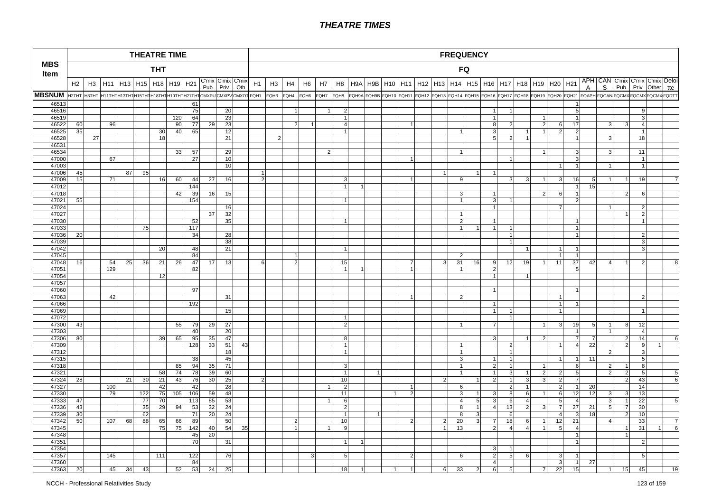| <b>MBS</b><br><b>THT</b><br><b>FQ</b><br>Item<br>C'mix C'mix C'mix<br>APH   CAN   C'mix   C'mix   C'mix   Deloi<br>  H11   H13   H15   H18   H19   H21<br>H1<br>H8   H9A   H9B   H10   H11   H12   H13   H14   H15   H16   H17   H18   H19   H20   H21<br>H2<br>H <sub>3</sub><br>H3<br><b>H7</b><br>H <sub>4</sub><br>H <sub>6</sub><br>Priv<br>Oth<br>S.<br>Pub Priv Other tte<br>Pub<br>A<br> н2тнт  н3тнт  н11тнт н13тнт н15тнт н18тнт н19тнт н21тнт смхрu смхрu смхот гон1  гон3  гон4  гон6  <br> FQH7  FQH8  FQH9A FQH9B FQH10 FQH11 FQH12 FQH13 FQH14 FQH15 FQH16 FQH17 FQH18 FQH19 FQH20 FQH21 FQAPH FQCAN FQCMX FQCMX FQCMX FQCMX FQCMX FQCMX FQCMX FQCMX FQCMX FQCMX FQCMX FQCMX FQCMX <br>46513<br>61<br>$\overline{1}$<br>75<br>20<br>5 <sub>5</sub><br>46516<br>$2 \vert$<br>11<br>$\mathbf{1}$<br>$\overline{1}$<br>9<br>$\mathbf{1}$<br>120<br>64<br>23<br>46519<br>1<br>$\mathbf{1}$<br>1<br>3<br>$\mathbf{1}$<br>46522<br>96<br>77<br>29<br>23<br>17<br>60<br>90 <sub>1</sub><br>$\overline{2}$<br>4<br>8<br>$\overline{2}$<br>$\overline{2}$<br>3 <sup>1</sup><br>3 <sup>1</sup><br>6<br>$\overline{1}$<br>$\overline{4}$<br>1<br>46525<br>35<br>30 <sup>1</sup><br>40<br>65<br>12<br>3<br>1<br>1 <sup>1</sup><br>2 <sup>1</sup><br>$\overline{2}$<br>$\vert$ 1<br>$\overline{1}$<br>27<br>21<br>5 <sub>l</sub><br>46528<br>18<br>2<br>$\overline{2}$<br>1<br>$\mathbf{3}$<br>18<br>$\mathbf{1}$<br>46531<br>33<br>57<br>29<br>46534<br>$\overline{c}$<br>$\mathbf{3}$<br>$\mathbf{3}$<br>11<br>$\overline{1}$<br>27<br>47000<br>67<br>10<br>$\overline{1}$<br>$\overline{1}$<br>3 <sup>1</sup><br>$\overline{1}$<br>10<br>$\vert$ 1<br>47003<br>$\mathbf{1}$<br>$\overline{1}$<br>$\overline{1}$<br>87<br>95<br>47006<br>45<br>$\mathbf{1}$<br>$\mathbf{1}$<br>11<br>$\overline{1}$<br>47009<br>15<br>71<br>16<br>60<br>44<br>27<br>16<br>$\overline{2}$<br>3 <sup>1</sup><br>9<br>$\mathbf{3}$<br>3 <sup>l</sup><br>16<br>19<br>1<br>3 <sup>l</sup><br>$5\phantom{.0}$<br>1<br>1 <sup>1</sup><br>$\mathbf{1}$<br>15<br>47012<br>144<br>1<br>$\mathbf{1}$<br>47018<br>42<br>39<br>16<br>15<br>$\overline{2}$<br>$\mathbf{3}$<br>$\mathbf{1}$<br>2 <sup>1</sup><br>6<br>1<br>6<br>$\vert$ 3<br>47021<br>55<br>154<br>1 <sup>1</sup><br>$\overline{2}$<br>$\overline{1}$<br>47024<br>16<br>$\mathbf{1}$<br>7<br>$\mathbf{1}$<br>$\overline{2}$<br>37<br>32<br>47027<br>2<br>$\blacktriangleleft$<br>$\mathbf{1}$<br>35<br>47030<br>52<br>$\overline{2}$<br>$\mathbf{1}$<br>11<br>$\mathbf{1}$<br>$\overline{1}$<br>75<br>$\mathbf{1}$<br>47033<br>117<br>$\blacktriangleleft$<br>1<br>$\mathbf{1}$<br>28<br>47036<br>20<br>34<br>$\overline{1}$<br>$\overline{2}$<br>47039<br>38<br>$\overline{1}$<br>3<br>21<br>47042<br>20<br>48<br>1<br>1 <sup>1</sup><br>$\mathbf{1}$<br>47045<br>84<br>2<br>1<br>11<br>$\overline{1}$<br>21<br>$\overline{2}$<br>37<br>25<br>36<br>26<br>47<br>13<br>15<br>19<br>42<br>47048<br>54<br>17<br>$\overline{7}$<br>3 <sup>1</sup><br>31<br>16<br>12<br>11<br>16<br>6<br>9<br>$\overline{4}$<br>2<br>$\vert$<br>129<br>82<br>47051<br>1<br>$\vert$ 2<br>$5\phantom{.0}$<br>$\mathbf{1}$<br>$\mathbf{1}$<br>47054<br>12<br>$\overline{1}$<br>1 <sup>1</sup><br>47057<br>47060<br>97<br>$\overline{1}$<br>1<br>47063<br>42<br>31<br>$\overline{2}$<br>2<br>192<br>47066<br>$\overline{1}$<br>11<br>11<br>15<br>47069<br>$\mathbf{1}$<br>$\overline{1}$<br>47072<br>1<br>1<br>$\overline{2}$<br>47300<br>43<br>55<br>79<br>29<br>27<br>$\overline{7}$<br>19<br>12<br>$\overline{1}$<br>$\mathbf{1}$<br>$\mathbf{3}$<br>5 <sub>l</sub><br>$\mathbf{1}$<br>8 <sup>1</sup><br>20<br>47303<br>40<br>$\overline{1}$<br>$\mathbf{1}$<br>$\overline{4}$<br>39<br>35<br>47<br>$\overline{3}$<br>$\overline{7}$<br>$\overline{7}$<br>14<br>47306<br>80<br>65<br>95<br>8 <sup>1</sup><br>1 <sup>1</sup><br>2<br>$2 \mid$<br>47309<br>128<br>33<br>51<br>43<br>1<br>$\overline{2}$<br>$\overline{4}$<br>22<br>2 <br>9<br>$\overline{1}$<br>47312<br>1<br>18<br>1<br>1<br>$\overline{2}$<br>$\mathbf{3}$<br>38<br>45<br>11<br>47315<br>$\mathbf{3}$<br>1<br>5<br>$\mathbf{1}$<br>11<br>94<br>71<br>35<br>$\overline{2}$<br>$6 \overline{6}$<br>47318<br>85<br>3 <sup>1</sup><br>1<br>$\overline{2}$<br>$\overline{1}$<br>$\mathbf{1}$<br>11<br>8<br>58<br>74<br>78<br>39<br>60<br>1<br>$\mathbf{3}$<br>2 <sup>1</sup><br>5 <sup>1</sup><br>$\overline{2}$<br>$\overline{2}$<br>$5\phantom{.0}$<br>47321<br>$\mathbf{1}$<br>$\mathbf{1}$<br>2 <br>5<br>1 <sup>1</sup><br>47324<br>21<br>30<br>21<br>43<br>76<br>30<br>25<br>2 <sup>1</sup><br>10 <sup>1</sup><br>2 <sup>1</sup><br>$\overline{2}$<br>3 <sup>1</sup><br>$\overline{2}$<br>$\overline{7}$<br>$\overline{2}$<br>43<br>28<br>$\mathbf{1}$<br>3 <sup>1</sup><br>1<br>100<br>42<br>28<br>$\mathbf{2}$<br>$\overline{c}$<br>1<br>$\overline{2}$<br>20<br>47327<br>42<br>6<br>1<br>14<br>$\overline{1}$<br>47330<br>79<br>75<br>105<br>106<br>59<br>48<br>11<br>$\overline{2}$<br>3<br>3 <sup>1</sup><br>$\bf8$<br>6<br>$6\phantom{.}6$<br>12<br>12<br>$\mathbf{3}$<br>3 <sup>1</sup><br>13<br>122<br>1<br>1<br>85<br>53<br>22<br>47333<br>47<br>77<br>70<br>113<br>6<br>5 <sub>l</sub><br>3<br>6<br>4<br>5 <sup>1</sup><br>$\overline{4}$<br>$\mathbf{3}$<br>1<br>$\mathbf{1}$<br>$\overline{4}$<br>35<br>24<br>$2\vert$<br>$\mathbf{2}$<br>27<br>$5\phantom{.0}$<br>29<br>94<br>53<br>32<br>4<br>13<br>$\overline{7}$<br>21<br>$\overline{7}$<br>30<br>47336<br>43<br>8<br>1<br>3 <sup>l</sup><br>24<br>62<br>71<br>20<br>$\mathbf{3}$<br>18<br>$\overline{2}$<br>10<br>47339<br>30<br>1<br>3 <sup>l</sup><br>6<br>8<br>$\overline{4}$<br>$\vert$ 1<br>107<br>68<br>88<br>65<br>89<br>50<br>10<br>20<br>3 <sup>1</sup><br>18<br>$6 \mid$<br>12<br>21<br>33<br>47342<br>50<br>66<br>$\overline{2}$<br>$\overline{2}$<br>2 <sup>1</sup><br>7<br>$\mathbf{1}$<br>$\overline{4}$<br>7<br>54<br>47345<br>75<br>75<br>142<br>40<br>35<br>9 <sup>1</sup><br>13<br>$\overline{2}$<br>$\overline{4}$<br>$\vert$ 4<br>5 <sup>1</sup><br>31<br>$\mathbf{1}$<br>$\overline{4}$<br>1 <sup>1</sup><br>$\mathbf{1}$<br>11<br>11<br>$\mathbf{1}$<br>47348<br>45<br>20<br>1 <sup>1</sup><br>$\mathbf{1}$<br>47351<br>70<br>31<br>1<br>$\mathbf{1}$<br>$\overline{2}$<br>47354<br>3<br>$\mathbf{1}$<br>$\vert$ 2<br>$\mathbf 5$<br>47357<br>122<br>76<br>$\mathbf{3}$<br>5 <sup>1</sup><br>6<br>145<br>111<br>$\overline{2}$<br>6<br>$\mathbf{3}$<br>5<br>$\overline{1}$<br>84<br>27<br>47360<br>$\overline{4}$<br>$\mathbf{3}$<br>1<br>25<br>22<br>47363<br>20<br>34<br>43<br>52<br>53<br>24<br>18<br>$\overline{\phantom{a}}$<br>6<br>33<br>$\overline{2}$<br>6<br>$5\overline{)}$<br>$\overline{7}$<br>15<br>15<br>45<br>45<br>1 <sup>1</sup><br>1<br>1 |  |  |  | <b>THEATRE TIME</b> |  |  |  |  |  |  |  | <b>FREQUENCY</b> |  |  |  |  |    |
|-------------------------------------------------------------------------------------------------------------------------------------------------------------------------------------------------------------------------------------------------------------------------------------------------------------------------------------------------------------------------------------------------------------------------------------------------------------------------------------------------------------------------------------------------------------------------------------------------------------------------------------------------------------------------------------------------------------------------------------------------------------------------------------------------------------------------------------------------------------------------------------------------------------------------------------------------------------------------------------------------------------------------------------------------------------------------------------------------------------------------------------------------------------------------------------------------------------------------------------------------------------------------------------------------------------------------------------------------------------------------------------------------------------------------------------------------------------------------------------------------------------------------------------------------------------------------------------------------------------------------------------------------------------------------------------------------------------------------------------------------------------------------------------------------------------------------------------------------------------------------------------------------------------------------------------------------------------------------------------------------------------------------------------------------------------------------------------------------------------------------------------------------------------------------------------------------------------------------------------------------------------------------------------------------------------------------------------------------------------------------------------------------------------------------------------------------------------------------------------------------------------------------------------------------------------------------------------------------------------------------------------------------------------------------------------------------------------------------------------------------------------------------------------------------------------------------------------------------------------------------------------------------------------------------------------------------------------------------------------------------------------------------------------------------------------------------------------------------------------------------------------------------------------------------------------------------------------------------------------------------------------------------------------------------------------------------------------------------------------------------------------------------------------------------------------------------------------------------------------------------------------------------------------------------------------------------------------------------------------------------------------------------------------------------------------------------------------------------------------------------------------------------------------------------------------------------------------------------------------------------------------------------------------------------------------------------------------------------------------------------------------------------------------------------------------------------------------------------------------------------------------------------------------------------------------------------------------------------------------------------------------------------------------------------------------------------------------------------------------------------------------------------------------------------------------------------------------------------------------------------------------------------------------------------------------------------------------------------------------------------------------------------------------------------------------------------------------------------------------------------------------------------------------------------------------------------------------------------------------------------------------------------------------------------------------------------------------------------------------------------------------------------------------------------------------------------------------------------------------------------------------------------------------------------------------------------------------------------------------------------------------------------------------------------------------------------------------------------------------------------------------------------------------------------------------------------------------------------------------------------------------------------------------------------------------------------------------------------------------------------------------------------------------------------------------------------------------------------------------------------------------------------------------------------------------------------------------------------------------------------------------------------------------------------------------------------------------------------------------------------------------------------------------------------------------------------------------------------------------------------------------------------------------------------------------------------------------------------------------------------------------------------------------------------------------------------------------------------------------------------------------------------------------------------------------------------------------------------------------------------------------------------------------------------------------------------------------------------------------------------------------------------------------------------------------------------------------------------------------|--|--|--|---------------------|--|--|--|--|--|--|--|------------------|--|--|--|--|----|
| <b>MBSNUM</b>                                                                                                                                                                                                                                                                                                                                                                                                                                                                                                                                                                                                                                                                                                                                                                                                                                                                                                                                                                                                                                                                                                                                                                                                                                                                                                                                                                                                                                                                                                                                                                                                                                                                                                                                                                                                                                                                                                                                                                                                                                                                                                                                                                                                                                                                                                                                                                                                                                                                                                                                                                                                                                                                                                                                                                                                                                                                                                                                                                                                                                                                                                                                                                                                                                                                                                                                                                                                                                                                                                                                                                                                                                                                                                                                                                                                                                                                                                                                                                                                                                                                                                                                                                                                                                                                                                                                                                                                                                                                                                                                                                                                                                                                                                                                                                                                                                                                                                                                                                                                                                                                                                                                                                                                                                                                                                                                                                                                                                                                                                                                                                                                                                                                                                                                                                                                                                                                                                                                                                                                                                                                                                                                                                                                                                                                                                                                                                                                                                                                                                                                                                                                                                                                                                                       |  |  |  |                     |  |  |  |  |  |  |  |                  |  |  |  |  |    |
|                                                                                                                                                                                                                                                                                                                                                                                                                                                                                                                                                                                                                                                                                                                                                                                                                                                                                                                                                                                                                                                                                                                                                                                                                                                                                                                                                                                                                                                                                                                                                                                                                                                                                                                                                                                                                                                                                                                                                                                                                                                                                                                                                                                                                                                                                                                                                                                                                                                                                                                                                                                                                                                                                                                                                                                                                                                                                                                                                                                                                                                                                                                                                                                                                                                                                                                                                                                                                                                                                                                                                                                                                                                                                                                                                                                                                                                                                                                                                                                                                                                                                                                                                                                                                                                                                                                                                                                                                                                                                                                                                                                                                                                                                                                                                                                                                                                                                                                                                                                                                                                                                                                                                                                                                                                                                                                                                                                                                                                                                                                                                                                                                                                                                                                                                                                                                                                                                                                                                                                                                                                                                                                                                                                                                                                                                                                                                                                                                                                                                                                                                                                                                                                                                                                                     |  |  |  |                     |  |  |  |  |  |  |  |                  |  |  |  |  |    |
|                                                                                                                                                                                                                                                                                                                                                                                                                                                                                                                                                                                                                                                                                                                                                                                                                                                                                                                                                                                                                                                                                                                                                                                                                                                                                                                                                                                                                                                                                                                                                                                                                                                                                                                                                                                                                                                                                                                                                                                                                                                                                                                                                                                                                                                                                                                                                                                                                                                                                                                                                                                                                                                                                                                                                                                                                                                                                                                                                                                                                                                                                                                                                                                                                                                                                                                                                                                                                                                                                                                                                                                                                                                                                                                                                                                                                                                                                                                                                                                                                                                                                                                                                                                                                                                                                                                                                                                                                                                                                                                                                                                                                                                                                                                                                                                                                                                                                                                                                                                                                                                                                                                                                                                                                                                                                                                                                                                                                                                                                                                                                                                                                                                                                                                                                                                                                                                                                                                                                                                                                                                                                                                                                                                                                                                                                                                                                                                                                                                                                                                                                                                                                                                                                                                                     |  |  |  |                     |  |  |  |  |  |  |  |                  |  |  |  |  |    |
|                                                                                                                                                                                                                                                                                                                                                                                                                                                                                                                                                                                                                                                                                                                                                                                                                                                                                                                                                                                                                                                                                                                                                                                                                                                                                                                                                                                                                                                                                                                                                                                                                                                                                                                                                                                                                                                                                                                                                                                                                                                                                                                                                                                                                                                                                                                                                                                                                                                                                                                                                                                                                                                                                                                                                                                                                                                                                                                                                                                                                                                                                                                                                                                                                                                                                                                                                                                                                                                                                                                                                                                                                                                                                                                                                                                                                                                                                                                                                                                                                                                                                                                                                                                                                                                                                                                                                                                                                                                                                                                                                                                                                                                                                                                                                                                                                                                                                                                                                                                                                                                                                                                                                                                                                                                                                                                                                                                                                                                                                                                                                                                                                                                                                                                                                                                                                                                                                                                                                                                                                                                                                                                                                                                                                                                                                                                                                                                                                                                                                                                                                                                                                                                                                                                                     |  |  |  |                     |  |  |  |  |  |  |  |                  |  |  |  |  |    |
|                                                                                                                                                                                                                                                                                                                                                                                                                                                                                                                                                                                                                                                                                                                                                                                                                                                                                                                                                                                                                                                                                                                                                                                                                                                                                                                                                                                                                                                                                                                                                                                                                                                                                                                                                                                                                                                                                                                                                                                                                                                                                                                                                                                                                                                                                                                                                                                                                                                                                                                                                                                                                                                                                                                                                                                                                                                                                                                                                                                                                                                                                                                                                                                                                                                                                                                                                                                                                                                                                                                                                                                                                                                                                                                                                                                                                                                                                                                                                                                                                                                                                                                                                                                                                                                                                                                                                                                                                                                                                                                                                                                                                                                                                                                                                                                                                                                                                                                                                                                                                                                                                                                                                                                                                                                                                                                                                                                                                                                                                                                                                                                                                                                                                                                                                                                                                                                                                                                                                                                                                                                                                                                                                                                                                                                                                                                                                                                                                                                                                                                                                                                                                                                                                                                                     |  |  |  |                     |  |  |  |  |  |  |  |                  |  |  |  |  |    |
|                                                                                                                                                                                                                                                                                                                                                                                                                                                                                                                                                                                                                                                                                                                                                                                                                                                                                                                                                                                                                                                                                                                                                                                                                                                                                                                                                                                                                                                                                                                                                                                                                                                                                                                                                                                                                                                                                                                                                                                                                                                                                                                                                                                                                                                                                                                                                                                                                                                                                                                                                                                                                                                                                                                                                                                                                                                                                                                                                                                                                                                                                                                                                                                                                                                                                                                                                                                                                                                                                                                                                                                                                                                                                                                                                                                                                                                                                                                                                                                                                                                                                                                                                                                                                                                                                                                                                                                                                                                                                                                                                                                                                                                                                                                                                                                                                                                                                                                                                                                                                                                                                                                                                                                                                                                                                                                                                                                                                                                                                                                                                                                                                                                                                                                                                                                                                                                                                                                                                                                                                                                                                                                                                                                                                                                                                                                                                                                                                                                                                                                                                                                                                                                                                                                                     |  |  |  |                     |  |  |  |  |  |  |  |                  |  |  |  |  |    |
|                                                                                                                                                                                                                                                                                                                                                                                                                                                                                                                                                                                                                                                                                                                                                                                                                                                                                                                                                                                                                                                                                                                                                                                                                                                                                                                                                                                                                                                                                                                                                                                                                                                                                                                                                                                                                                                                                                                                                                                                                                                                                                                                                                                                                                                                                                                                                                                                                                                                                                                                                                                                                                                                                                                                                                                                                                                                                                                                                                                                                                                                                                                                                                                                                                                                                                                                                                                                                                                                                                                                                                                                                                                                                                                                                                                                                                                                                                                                                                                                                                                                                                                                                                                                                                                                                                                                                                                                                                                                                                                                                                                                                                                                                                                                                                                                                                                                                                                                                                                                                                                                                                                                                                                                                                                                                                                                                                                                                                                                                                                                                                                                                                                                                                                                                                                                                                                                                                                                                                                                                                                                                                                                                                                                                                                                                                                                                                                                                                                                                                                                                                                                                                                                                                                                     |  |  |  |                     |  |  |  |  |  |  |  |                  |  |  |  |  |    |
|                                                                                                                                                                                                                                                                                                                                                                                                                                                                                                                                                                                                                                                                                                                                                                                                                                                                                                                                                                                                                                                                                                                                                                                                                                                                                                                                                                                                                                                                                                                                                                                                                                                                                                                                                                                                                                                                                                                                                                                                                                                                                                                                                                                                                                                                                                                                                                                                                                                                                                                                                                                                                                                                                                                                                                                                                                                                                                                                                                                                                                                                                                                                                                                                                                                                                                                                                                                                                                                                                                                                                                                                                                                                                                                                                                                                                                                                                                                                                                                                                                                                                                                                                                                                                                                                                                                                                                                                                                                                                                                                                                                                                                                                                                                                                                                                                                                                                                                                                                                                                                                                                                                                                                                                                                                                                                                                                                                                                                                                                                                                                                                                                                                                                                                                                                                                                                                                                                                                                                                                                                                                                                                                                                                                                                                                                                                                                                                                                                                                                                                                                                                                                                                                                                                                     |  |  |  |                     |  |  |  |  |  |  |  |                  |  |  |  |  |    |
|                                                                                                                                                                                                                                                                                                                                                                                                                                                                                                                                                                                                                                                                                                                                                                                                                                                                                                                                                                                                                                                                                                                                                                                                                                                                                                                                                                                                                                                                                                                                                                                                                                                                                                                                                                                                                                                                                                                                                                                                                                                                                                                                                                                                                                                                                                                                                                                                                                                                                                                                                                                                                                                                                                                                                                                                                                                                                                                                                                                                                                                                                                                                                                                                                                                                                                                                                                                                                                                                                                                                                                                                                                                                                                                                                                                                                                                                                                                                                                                                                                                                                                                                                                                                                                                                                                                                                                                                                                                                                                                                                                                                                                                                                                                                                                                                                                                                                                                                                                                                                                                                                                                                                                                                                                                                                                                                                                                                                                                                                                                                                                                                                                                                                                                                                                                                                                                                                                                                                                                                                                                                                                                                                                                                                                                                                                                                                                                                                                                                                                                                                                                                                                                                                                                                     |  |  |  |                     |  |  |  |  |  |  |  |                  |  |  |  |  |    |
|                                                                                                                                                                                                                                                                                                                                                                                                                                                                                                                                                                                                                                                                                                                                                                                                                                                                                                                                                                                                                                                                                                                                                                                                                                                                                                                                                                                                                                                                                                                                                                                                                                                                                                                                                                                                                                                                                                                                                                                                                                                                                                                                                                                                                                                                                                                                                                                                                                                                                                                                                                                                                                                                                                                                                                                                                                                                                                                                                                                                                                                                                                                                                                                                                                                                                                                                                                                                                                                                                                                                                                                                                                                                                                                                                                                                                                                                                                                                                                                                                                                                                                                                                                                                                                                                                                                                                                                                                                                                                                                                                                                                                                                                                                                                                                                                                                                                                                                                                                                                                                                                                                                                                                                                                                                                                                                                                                                                                                                                                                                                                                                                                                                                                                                                                                                                                                                                                                                                                                                                                                                                                                                                                                                                                                                                                                                                                                                                                                                                                                                                                                                                                                                                                                                                     |  |  |  |                     |  |  |  |  |  |  |  |                  |  |  |  |  |    |
|                                                                                                                                                                                                                                                                                                                                                                                                                                                                                                                                                                                                                                                                                                                                                                                                                                                                                                                                                                                                                                                                                                                                                                                                                                                                                                                                                                                                                                                                                                                                                                                                                                                                                                                                                                                                                                                                                                                                                                                                                                                                                                                                                                                                                                                                                                                                                                                                                                                                                                                                                                                                                                                                                                                                                                                                                                                                                                                                                                                                                                                                                                                                                                                                                                                                                                                                                                                                                                                                                                                                                                                                                                                                                                                                                                                                                                                                                                                                                                                                                                                                                                                                                                                                                                                                                                                                                                                                                                                                                                                                                                                                                                                                                                                                                                                                                                                                                                                                                                                                                                                                                                                                                                                                                                                                                                                                                                                                                                                                                                                                                                                                                                                                                                                                                                                                                                                                                                                                                                                                                                                                                                                                                                                                                                                                                                                                                                                                                                                                                                                                                                                                                                                                                                                                     |  |  |  |                     |  |  |  |  |  |  |  |                  |  |  |  |  |    |
|                                                                                                                                                                                                                                                                                                                                                                                                                                                                                                                                                                                                                                                                                                                                                                                                                                                                                                                                                                                                                                                                                                                                                                                                                                                                                                                                                                                                                                                                                                                                                                                                                                                                                                                                                                                                                                                                                                                                                                                                                                                                                                                                                                                                                                                                                                                                                                                                                                                                                                                                                                                                                                                                                                                                                                                                                                                                                                                                                                                                                                                                                                                                                                                                                                                                                                                                                                                                                                                                                                                                                                                                                                                                                                                                                                                                                                                                                                                                                                                                                                                                                                                                                                                                                                                                                                                                                                                                                                                                                                                                                                                                                                                                                                                                                                                                                                                                                                                                                                                                                                                                                                                                                                                                                                                                                                                                                                                                                                                                                                                                                                                                                                                                                                                                                                                                                                                                                                                                                                                                                                                                                                                                                                                                                                                                                                                                                                                                                                                                                                                                                                                                                                                                                                                                     |  |  |  |                     |  |  |  |  |  |  |  |                  |  |  |  |  |    |
|                                                                                                                                                                                                                                                                                                                                                                                                                                                                                                                                                                                                                                                                                                                                                                                                                                                                                                                                                                                                                                                                                                                                                                                                                                                                                                                                                                                                                                                                                                                                                                                                                                                                                                                                                                                                                                                                                                                                                                                                                                                                                                                                                                                                                                                                                                                                                                                                                                                                                                                                                                                                                                                                                                                                                                                                                                                                                                                                                                                                                                                                                                                                                                                                                                                                                                                                                                                                                                                                                                                                                                                                                                                                                                                                                                                                                                                                                                                                                                                                                                                                                                                                                                                                                                                                                                                                                                                                                                                                                                                                                                                                                                                                                                                                                                                                                                                                                                                                                                                                                                                                                                                                                                                                                                                                                                                                                                                                                                                                                                                                                                                                                                                                                                                                                                                                                                                                                                                                                                                                                                                                                                                                                                                                                                                                                                                                                                                                                                                                                                                                                                                                                                                                                                                                     |  |  |  |                     |  |  |  |  |  |  |  |                  |  |  |  |  |    |
|                                                                                                                                                                                                                                                                                                                                                                                                                                                                                                                                                                                                                                                                                                                                                                                                                                                                                                                                                                                                                                                                                                                                                                                                                                                                                                                                                                                                                                                                                                                                                                                                                                                                                                                                                                                                                                                                                                                                                                                                                                                                                                                                                                                                                                                                                                                                                                                                                                                                                                                                                                                                                                                                                                                                                                                                                                                                                                                                                                                                                                                                                                                                                                                                                                                                                                                                                                                                                                                                                                                                                                                                                                                                                                                                                                                                                                                                                                                                                                                                                                                                                                                                                                                                                                                                                                                                                                                                                                                                                                                                                                                                                                                                                                                                                                                                                                                                                                                                                                                                                                                                                                                                                                                                                                                                                                                                                                                                                                                                                                                                                                                                                                                                                                                                                                                                                                                                                                                                                                                                                                                                                                                                                                                                                                                                                                                                                                                                                                                                                                                                                                                                                                                                                                                                     |  |  |  |                     |  |  |  |  |  |  |  |                  |  |  |  |  |    |
|                                                                                                                                                                                                                                                                                                                                                                                                                                                                                                                                                                                                                                                                                                                                                                                                                                                                                                                                                                                                                                                                                                                                                                                                                                                                                                                                                                                                                                                                                                                                                                                                                                                                                                                                                                                                                                                                                                                                                                                                                                                                                                                                                                                                                                                                                                                                                                                                                                                                                                                                                                                                                                                                                                                                                                                                                                                                                                                                                                                                                                                                                                                                                                                                                                                                                                                                                                                                                                                                                                                                                                                                                                                                                                                                                                                                                                                                                                                                                                                                                                                                                                                                                                                                                                                                                                                                                                                                                                                                                                                                                                                                                                                                                                                                                                                                                                                                                                                                                                                                                                                                                                                                                                                                                                                                                                                                                                                                                                                                                                                                                                                                                                                                                                                                                                                                                                                                                                                                                                                                                                                                                                                                                                                                                                                                                                                                                                                                                                                                                                                                                                                                                                                                                                                                     |  |  |  |                     |  |  |  |  |  |  |  |                  |  |  |  |  |    |
|                                                                                                                                                                                                                                                                                                                                                                                                                                                                                                                                                                                                                                                                                                                                                                                                                                                                                                                                                                                                                                                                                                                                                                                                                                                                                                                                                                                                                                                                                                                                                                                                                                                                                                                                                                                                                                                                                                                                                                                                                                                                                                                                                                                                                                                                                                                                                                                                                                                                                                                                                                                                                                                                                                                                                                                                                                                                                                                                                                                                                                                                                                                                                                                                                                                                                                                                                                                                                                                                                                                                                                                                                                                                                                                                                                                                                                                                                                                                                                                                                                                                                                                                                                                                                                                                                                                                                                                                                                                                                                                                                                                                                                                                                                                                                                                                                                                                                                                                                                                                                                                                                                                                                                                                                                                                                                                                                                                                                                                                                                                                                                                                                                                                                                                                                                                                                                                                                                                                                                                                                                                                                                                                                                                                                                                                                                                                                                                                                                                                                                                                                                                                                                                                                                                                     |  |  |  |                     |  |  |  |  |  |  |  |                  |  |  |  |  |    |
|                                                                                                                                                                                                                                                                                                                                                                                                                                                                                                                                                                                                                                                                                                                                                                                                                                                                                                                                                                                                                                                                                                                                                                                                                                                                                                                                                                                                                                                                                                                                                                                                                                                                                                                                                                                                                                                                                                                                                                                                                                                                                                                                                                                                                                                                                                                                                                                                                                                                                                                                                                                                                                                                                                                                                                                                                                                                                                                                                                                                                                                                                                                                                                                                                                                                                                                                                                                                                                                                                                                                                                                                                                                                                                                                                                                                                                                                                                                                                                                                                                                                                                                                                                                                                                                                                                                                                                                                                                                                                                                                                                                                                                                                                                                                                                                                                                                                                                                                                                                                                                                                                                                                                                                                                                                                                                                                                                                                                                                                                                                                                                                                                                                                                                                                                                                                                                                                                                                                                                                                                                                                                                                                                                                                                                                                                                                                                                                                                                                                                                                                                                                                                                                                                                                                     |  |  |  |                     |  |  |  |  |  |  |  |                  |  |  |  |  |    |
|                                                                                                                                                                                                                                                                                                                                                                                                                                                                                                                                                                                                                                                                                                                                                                                                                                                                                                                                                                                                                                                                                                                                                                                                                                                                                                                                                                                                                                                                                                                                                                                                                                                                                                                                                                                                                                                                                                                                                                                                                                                                                                                                                                                                                                                                                                                                                                                                                                                                                                                                                                                                                                                                                                                                                                                                                                                                                                                                                                                                                                                                                                                                                                                                                                                                                                                                                                                                                                                                                                                                                                                                                                                                                                                                                                                                                                                                                                                                                                                                                                                                                                                                                                                                                                                                                                                                                                                                                                                                                                                                                                                                                                                                                                                                                                                                                                                                                                                                                                                                                                                                                                                                                                                                                                                                                                                                                                                                                                                                                                                                                                                                                                                                                                                                                                                                                                                                                                                                                                                                                                                                                                                                                                                                                                                                                                                                                                                                                                                                                                                                                                                                                                                                                                                                     |  |  |  |                     |  |  |  |  |  |  |  |                  |  |  |  |  |    |
|                                                                                                                                                                                                                                                                                                                                                                                                                                                                                                                                                                                                                                                                                                                                                                                                                                                                                                                                                                                                                                                                                                                                                                                                                                                                                                                                                                                                                                                                                                                                                                                                                                                                                                                                                                                                                                                                                                                                                                                                                                                                                                                                                                                                                                                                                                                                                                                                                                                                                                                                                                                                                                                                                                                                                                                                                                                                                                                                                                                                                                                                                                                                                                                                                                                                                                                                                                                                                                                                                                                                                                                                                                                                                                                                                                                                                                                                                                                                                                                                                                                                                                                                                                                                                                                                                                                                                                                                                                                                                                                                                                                                                                                                                                                                                                                                                                                                                                                                                                                                                                                                                                                                                                                                                                                                                                                                                                                                                                                                                                                                                                                                                                                                                                                                                                                                                                                                                                                                                                                                                                                                                                                                                                                                                                                                                                                                                                                                                                                                                                                                                                                                                                                                                                                                     |  |  |  |                     |  |  |  |  |  |  |  |                  |  |  |  |  |    |
|                                                                                                                                                                                                                                                                                                                                                                                                                                                                                                                                                                                                                                                                                                                                                                                                                                                                                                                                                                                                                                                                                                                                                                                                                                                                                                                                                                                                                                                                                                                                                                                                                                                                                                                                                                                                                                                                                                                                                                                                                                                                                                                                                                                                                                                                                                                                                                                                                                                                                                                                                                                                                                                                                                                                                                                                                                                                                                                                                                                                                                                                                                                                                                                                                                                                                                                                                                                                                                                                                                                                                                                                                                                                                                                                                                                                                                                                                                                                                                                                                                                                                                                                                                                                                                                                                                                                                                                                                                                                                                                                                                                                                                                                                                                                                                                                                                                                                                                                                                                                                                                                                                                                                                                                                                                                                                                                                                                                                                                                                                                                                                                                                                                                                                                                                                                                                                                                                                                                                                                                                                                                                                                                                                                                                                                                                                                                                                                                                                                                                                                                                                                                                                                                                                                                     |  |  |  |                     |  |  |  |  |  |  |  |                  |  |  |  |  |    |
|                                                                                                                                                                                                                                                                                                                                                                                                                                                                                                                                                                                                                                                                                                                                                                                                                                                                                                                                                                                                                                                                                                                                                                                                                                                                                                                                                                                                                                                                                                                                                                                                                                                                                                                                                                                                                                                                                                                                                                                                                                                                                                                                                                                                                                                                                                                                                                                                                                                                                                                                                                                                                                                                                                                                                                                                                                                                                                                                                                                                                                                                                                                                                                                                                                                                                                                                                                                                                                                                                                                                                                                                                                                                                                                                                                                                                                                                                                                                                                                                                                                                                                                                                                                                                                                                                                                                                                                                                                                                                                                                                                                                                                                                                                                                                                                                                                                                                                                                                                                                                                                                                                                                                                                                                                                                                                                                                                                                                                                                                                                                                                                                                                                                                                                                                                                                                                                                                                                                                                                                                                                                                                                                                                                                                                                                                                                                                                                                                                                                                                                                                                                                                                                                                                                                     |  |  |  |                     |  |  |  |  |  |  |  |                  |  |  |  |  |    |
|                                                                                                                                                                                                                                                                                                                                                                                                                                                                                                                                                                                                                                                                                                                                                                                                                                                                                                                                                                                                                                                                                                                                                                                                                                                                                                                                                                                                                                                                                                                                                                                                                                                                                                                                                                                                                                                                                                                                                                                                                                                                                                                                                                                                                                                                                                                                                                                                                                                                                                                                                                                                                                                                                                                                                                                                                                                                                                                                                                                                                                                                                                                                                                                                                                                                                                                                                                                                                                                                                                                                                                                                                                                                                                                                                                                                                                                                                                                                                                                                                                                                                                                                                                                                                                                                                                                                                                                                                                                                                                                                                                                                                                                                                                                                                                                                                                                                                                                                                                                                                                                                                                                                                                                                                                                                                                                                                                                                                                                                                                                                                                                                                                                                                                                                                                                                                                                                                                                                                                                                                                                                                                                                                                                                                                                                                                                                                                                                                                                                                                                                                                                                                                                                                                                                     |  |  |  |                     |  |  |  |  |  |  |  |                  |  |  |  |  |    |
|                                                                                                                                                                                                                                                                                                                                                                                                                                                                                                                                                                                                                                                                                                                                                                                                                                                                                                                                                                                                                                                                                                                                                                                                                                                                                                                                                                                                                                                                                                                                                                                                                                                                                                                                                                                                                                                                                                                                                                                                                                                                                                                                                                                                                                                                                                                                                                                                                                                                                                                                                                                                                                                                                                                                                                                                                                                                                                                                                                                                                                                                                                                                                                                                                                                                                                                                                                                                                                                                                                                                                                                                                                                                                                                                                                                                                                                                                                                                                                                                                                                                                                                                                                                                                                                                                                                                                                                                                                                                                                                                                                                                                                                                                                                                                                                                                                                                                                                                                                                                                                                                                                                                                                                                                                                                                                                                                                                                                                                                                                                                                                                                                                                                                                                                                                                                                                                                                                                                                                                                                                                                                                                                                                                                                                                                                                                                                                                                                                                                                                                                                                                                                                                                                                                                     |  |  |  |                     |  |  |  |  |  |  |  |                  |  |  |  |  |    |
|                                                                                                                                                                                                                                                                                                                                                                                                                                                                                                                                                                                                                                                                                                                                                                                                                                                                                                                                                                                                                                                                                                                                                                                                                                                                                                                                                                                                                                                                                                                                                                                                                                                                                                                                                                                                                                                                                                                                                                                                                                                                                                                                                                                                                                                                                                                                                                                                                                                                                                                                                                                                                                                                                                                                                                                                                                                                                                                                                                                                                                                                                                                                                                                                                                                                                                                                                                                                                                                                                                                                                                                                                                                                                                                                                                                                                                                                                                                                                                                                                                                                                                                                                                                                                                                                                                                                                                                                                                                                                                                                                                                                                                                                                                                                                                                                                                                                                                                                                                                                                                                                                                                                                                                                                                                                                                                                                                                                                                                                                                                                                                                                                                                                                                                                                                                                                                                                                                                                                                                                                                                                                                                                                                                                                                                                                                                                                                                                                                                                                                                                                                                                                                                                                                                                     |  |  |  |                     |  |  |  |  |  |  |  |                  |  |  |  |  |    |
|                                                                                                                                                                                                                                                                                                                                                                                                                                                                                                                                                                                                                                                                                                                                                                                                                                                                                                                                                                                                                                                                                                                                                                                                                                                                                                                                                                                                                                                                                                                                                                                                                                                                                                                                                                                                                                                                                                                                                                                                                                                                                                                                                                                                                                                                                                                                                                                                                                                                                                                                                                                                                                                                                                                                                                                                                                                                                                                                                                                                                                                                                                                                                                                                                                                                                                                                                                                                                                                                                                                                                                                                                                                                                                                                                                                                                                                                                                                                                                                                                                                                                                                                                                                                                                                                                                                                                                                                                                                                                                                                                                                                                                                                                                                                                                                                                                                                                                                                                                                                                                                                                                                                                                                                                                                                                                                                                                                                                                                                                                                                                                                                                                                                                                                                                                                                                                                                                                                                                                                                                                                                                                                                                                                                                                                                                                                                                                                                                                                                                                                                                                                                                                                                                                                                     |  |  |  |                     |  |  |  |  |  |  |  |                  |  |  |  |  |    |
|                                                                                                                                                                                                                                                                                                                                                                                                                                                                                                                                                                                                                                                                                                                                                                                                                                                                                                                                                                                                                                                                                                                                                                                                                                                                                                                                                                                                                                                                                                                                                                                                                                                                                                                                                                                                                                                                                                                                                                                                                                                                                                                                                                                                                                                                                                                                                                                                                                                                                                                                                                                                                                                                                                                                                                                                                                                                                                                                                                                                                                                                                                                                                                                                                                                                                                                                                                                                                                                                                                                                                                                                                                                                                                                                                                                                                                                                                                                                                                                                                                                                                                                                                                                                                                                                                                                                                                                                                                                                                                                                                                                                                                                                                                                                                                                                                                                                                                                                                                                                                                                                                                                                                                                                                                                                                                                                                                                                                                                                                                                                                                                                                                                                                                                                                                                                                                                                                                                                                                                                                                                                                                                                                                                                                                                                                                                                                                                                                                                                                                                                                                                                                                                                                                                                     |  |  |  |                     |  |  |  |  |  |  |  |                  |  |  |  |  |    |
|                                                                                                                                                                                                                                                                                                                                                                                                                                                                                                                                                                                                                                                                                                                                                                                                                                                                                                                                                                                                                                                                                                                                                                                                                                                                                                                                                                                                                                                                                                                                                                                                                                                                                                                                                                                                                                                                                                                                                                                                                                                                                                                                                                                                                                                                                                                                                                                                                                                                                                                                                                                                                                                                                                                                                                                                                                                                                                                                                                                                                                                                                                                                                                                                                                                                                                                                                                                                                                                                                                                                                                                                                                                                                                                                                                                                                                                                                                                                                                                                                                                                                                                                                                                                                                                                                                                                                                                                                                                                                                                                                                                                                                                                                                                                                                                                                                                                                                                                                                                                                                                                                                                                                                                                                                                                                                                                                                                                                                                                                                                                                                                                                                                                                                                                                                                                                                                                                                                                                                                                                                                                                                                                                                                                                                                                                                                                                                                                                                                                                                                                                                                                                                                                                                                                     |  |  |  |                     |  |  |  |  |  |  |  |                  |  |  |  |  |    |
|                                                                                                                                                                                                                                                                                                                                                                                                                                                                                                                                                                                                                                                                                                                                                                                                                                                                                                                                                                                                                                                                                                                                                                                                                                                                                                                                                                                                                                                                                                                                                                                                                                                                                                                                                                                                                                                                                                                                                                                                                                                                                                                                                                                                                                                                                                                                                                                                                                                                                                                                                                                                                                                                                                                                                                                                                                                                                                                                                                                                                                                                                                                                                                                                                                                                                                                                                                                                                                                                                                                                                                                                                                                                                                                                                                                                                                                                                                                                                                                                                                                                                                                                                                                                                                                                                                                                                                                                                                                                                                                                                                                                                                                                                                                                                                                                                                                                                                                                                                                                                                                                                                                                                                                                                                                                                                                                                                                                                                                                                                                                                                                                                                                                                                                                                                                                                                                                                                                                                                                                                                                                                                                                                                                                                                                                                                                                                                                                                                                                                                                                                                                                                                                                                                                                     |  |  |  |                     |  |  |  |  |  |  |  |                  |  |  |  |  |    |
|                                                                                                                                                                                                                                                                                                                                                                                                                                                                                                                                                                                                                                                                                                                                                                                                                                                                                                                                                                                                                                                                                                                                                                                                                                                                                                                                                                                                                                                                                                                                                                                                                                                                                                                                                                                                                                                                                                                                                                                                                                                                                                                                                                                                                                                                                                                                                                                                                                                                                                                                                                                                                                                                                                                                                                                                                                                                                                                                                                                                                                                                                                                                                                                                                                                                                                                                                                                                                                                                                                                                                                                                                                                                                                                                                                                                                                                                                                                                                                                                                                                                                                                                                                                                                                                                                                                                                                                                                                                                                                                                                                                                                                                                                                                                                                                                                                                                                                                                                                                                                                                                                                                                                                                                                                                                                                                                                                                                                                                                                                                                                                                                                                                                                                                                                                                                                                                                                                                                                                                                                                                                                                                                                                                                                                                                                                                                                                                                                                                                                                                                                                                                                                                                                                                                     |  |  |  |                     |  |  |  |  |  |  |  |                  |  |  |  |  |    |
|                                                                                                                                                                                                                                                                                                                                                                                                                                                                                                                                                                                                                                                                                                                                                                                                                                                                                                                                                                                                                                                                                                                                                                                                                                                                                                                                                                                                                                                                                                                                                                                                                                                                                                                                                                                                                                                                                                                                                                                                                                                                                                                                                                                                                                                                                                                                                                                                                                                                                                                                                                                                                                                                                                                                                                                                                                                                                                                                                                                                                                                                                                                                                                                                                                                                                                                                                                                                                                                                                                                                                                                                                                                                                                                                                                                                                                                                                                                                                                                                                                                                                                                                                                                                                                                                                                                                                                                                                                                                                                                                                                                                                                                                                                                                                                                                                                                                                                                                                                                                                                                                                                                                                                                                                                                                                                                                                                                                                                                                                                                                                                                                                                                                                                                                                                                                                                                                                                                                                                                                                                                                                                                                                                                                                                                                                                                                                                                                                                                                                                                                                                                                                                                                                                                                     |  |  |  |                     |  |  |  |  |  |  |  |                  |  |  |  |  |    |
|                                                                                                                                                                                                                                                                                                                                                                                                                                                                                                                                                                                                                                                                                                                                                                                                                                                                                                                                                                                                                                                                                                                                                                                                                                                                                                                                                                                                                                                                                                                                                                                                                                                                                                                                                                                                                                                                                                                                                                                                                                                                                                                                                                                                                                                                                                                                                                                                                                                                                                                                                                                                                                                                                                                                                                                                                                                                                                                                                                                                                                                                                                                                                                                                                                                                                                                                                                                                                                                                                                                                                                                                                                                                                                                                                                                                                                                                                                                                                                                                                                                                                                                                                                                                                                                                                                                                                                                                                                                                                                                                                                                                                                                                                                                                                                                                                                                                                                                                                                                                                                                                                                                                                                                                                                                                                                                                                                                                                                                                                                                                                                                                                                                                                                                                                                                                                                                                                                                                                                                                                                                                                                                                                                                                                                                                                                                                                                                                                                                                                                                                                                                                                                                                                                                                     |  |  |  |                     |  |  |  |  |  |  |  |                  |  |  |  |  |    |
|                                                                                                                                                                                                                                                                                                                                                                                                                                                                                                                                                                                                                                                                                                                                                                                                                                                                                                                                                                                                                                                                                                                                                                                                                                                                                                                                                                                                                                                                                                                                                                                                                                                                                                                                                                                                                                                                                                                                                                                                                                                                                                                                                                                                                                                                                                                                                                                                                                                                                                                                                                                                                                                                                                                                                                                                                                                                                                                                                                                                                                                                                                                                                                                                                                                                                                                                                                                                                                                                                                                                                                                                                                                                                                                                                                                                                                                                                                                                                                                                                                                                                                                                                                                                                                                                                                                                                                                                                                                                                                                                                                                                                                                                                                                                                                                                                                                                                                                                                                                                                                                                                                                                                                                                                                                                                                                                                                                                                                                                                                                                                                                                                                                                                                                                                                                                                                                                                                                                                                                                                                                                                                                                                                                                                                                                                                                                                                                                                                                                                                                                                                                                                                                                                                                                     |  |  |  |                     |  |  |  |  |  |  |  |                  |  |  |  |  |    |
|                                                                                                                                                                                                                                                                                                                                                                                                                                                                                                                                                                                                                                                                                                                                                                                                                                                                                                                                                                                                                                                                                                                                                                                                                                                                                                                                                                                                                                                                                                                                                                                                                                                                                                                                                                                                                                                                                                                                                                                                                                                                                                                                                                                                                                                                                                                                                                                                                                                                                                                                                                                                                                                                                                                                                                                                                                                                                                                                                                                                                                                                                                                                                                                                                                                                                                                                                                                                                                                                                                                                                                                                                                                                                                                                                                                                                                                                                                                                                                                                                                                                                                                                                                                                                                                                                                                                                                                                                                                                                                                                                                                                                                                                                                                                                                                                                                                                                                                                                                                                                                                                                                                                                                                                                                                                                                                                                                                                                                                                                                                                                                                                                                                                                                                                                                                                                                                                                                                                                                                                                                                                                                                                                                                                                                                                                                                                                                                                                                                                                                                                                                                                                                                                                                                                     |  |  |  |                     |  |  |  |  |  |  |  |                  |  |  |  |  | 6  |
|                                                                                                                                                                                                                                                                                                                                                                                                                                                                                                                                                                                                                                                                                                                                                                                                                                                                                                                                                                                                                                                                                                                                                                                                                                                                                                                                                                                                                                                                                                                                                                                                                                                                                                                                                                                                                                                                                                                                                                                                                                                                                                                                                                                                                                                                                                                                                                                                                                                                                                                                                                                                                                                                                                                                                                                                                                                                                                                                                                                                                                                                                                                                                                                                                                                                                                                                                                                                                                                                                                                                                                                                                                                                                                                                                                                                                                                                                                                                                                                                                                                                                                                                                                                                                                                                                                                                                                                                                                                                                                                                                                                                                                                                                                                                                                                                                                                                                                                                                                                                                                                                                                                                                                                                                                                                                                                                                                                                                                                                                                                                                                                                                                                                                                                                                                                                                                                                                                                                                                                                                                                                                                                                                                                                                                                                                                                                                                                                                                                                                                                                                                                                                                                                                                                                     |  |  |  |                     |  |  |  |  |  |  |  |                  |  |  |  |  |    |
|                                                                                                                                                                                                                                                                                                                                                                                                                                                                                                                                                                                                                                                                                                                                                                                                                                                                                                                                                                                                                                                                                                                                                                                                                                                                                                                                                                                                                                                                                                                                                                                                                                                                                                                                                                                                                                                                                                                                                                                                                                                                                                                                                                                                                                                                                                                                                                                                                                                                                                                                                                                                                                                                                                                                                                                                                                                                                                                                                                                                                                                                                                                                                                                                                                                                                                                                                                                                                                                                                                                                                                                                                                                                                                                                                                                                                                                                                                                                                                                                                                                                                                                                                                                                                                                                                                                                                                                                                                                                                                                                                                                                                                                                                                                                                                                                                                                                                                                                                                                                                                                                                                                                                                                                                                                                                                                                                                                                                                                                                                                                                                                                                                                                                                                                                                                                                                                                                                                                                                                                                                                                                                                                                                                                                                                                                                                                                                                                                                                                                                                                                                                                                                                                                                                                     |  |  |  |                     |  |  |  |  |  |  |  |                  |  |  |  |  |    |
|                                                                                                                                                                                                                                                                                                                                                                                                                                                                                                                                                                                                                                                                                                                                                                                                                                                                                                                                                                                                                                                                                                                                                                                                                                                                                                                                                                                                                                                                                                                                                                                                                                                                                                                                                                                                                                                                                                                                                                                                                                                                                                                                                                                                                                                                                                                                                                                                                                                                                                                                                                                                                                                                                                                                                                                                                                                                                                                                                                                                                                                                                                                                                                                                                                                                                                                                                                                                                                                                                                                                                                                                                                                                                                                                                                                                                                                                                                                                                                                                                                                                                                                                                                                                                                                                                                                                                                                                                                                                                                                                                                                                                                                                                                                                                                                                                                                                                                                                                                                                                                                                                                                                                                                                                                                                                                                                                                                                                                                                                                                                                                                                                                                                                                                                                                                                                                                                                                                                                                                                                                                                                                                                                                                                                                                                                                                                                                                                                                                                                                                                                                                                                                                                                                                                     |  |  |  |                     |  |  |  |  |  |  |  |                  |  |  |  |  |    |
|                                                                                                                                                                                                                                                                                                                                                                                                                                                                                                                                                                                                                                                                                                                                                                                                                                                                                                                                                                                                                                                                                                                                                                                                                                                                                                                                                                                                                                                                                                                                                                                                                                                                                                                                                                                                                                                                                                                                                                                                                                                                                                                                                                                                                                                                                                                                                                                                                                                                                                                                                                                                                                                                                                                                                                                                                                                                                                                                                                                                                                                                                                                                                                                                                                                                                                                                                                                                                                                                                                                                                                                                                                                                                                                                                                                                                                                                                                                                                                                                                                                                                                                                                                                                                                                                                                                                                                                                                                                                                                                                                                                                                                                                                                                                                                                                                                                                                                                                                                                                                                                                                                                                                                                                                                                                                                                                                                                                                                                                                                                                                                                                                                                                                                                                                                                                                                                                                                                                                                                                                                                                                                                                                                                                                                                                                                                                                                                                                                                                                                                                                                                                                                                                                                                                     |  |  |  |                     |  |  |  |  |  |  |  |                  |  |  |  |  |    |
|                                                                                                                                                                                                                                                                                                                                                                                                                                                                                                                                                                                                                                                                                                                                                                                                                                                                                                                                                                                                                                                                                                                                                                                                                                                                                                                                                                                                                                                                                                                                                                                                                                                                                                                                                                                                                                                                                                                                                                                                                                                                                                                                                                                                                                                                                                                                                                                                                                                                                                                                                                                                                                                                                                                                                                                                                                                                                                                                                                                                                                                                                                                                                                                                                                                                                                                                                                                                                                                                                                                                                                                                                                                                                                                                                                                                                                                                                                                                                                                                                                                                                                                                                                                                                                                                                                                                                                                                                                                                                                                                                                                                                                                                                                                                                                                                                                                                                                                                                                                                                                                                                                                                                                                                                                                                                                                                                                                                                                                                                                                                                                                                                                                                                                                                                                                                                                                                                                                                                                                                                                                                                                                                                                                                                                                                                                                                                                                                                                                                                                                                                                                                                                                                                                                                     |  |  |  |                     |  |  |  |  |  |  |  |                  |  |  |  |  | 6  |
|                                                                                                                                                                                                                                                                                                                                                                                                                                                                                                                                                                                                                                                                                                                                                                                                                                                                                                                                                                                                                                                                                                                                                                                                                                                                                                                                                                                                                                                                                                                                                                                                                                                                                                                                                                                                                                                                                                                                                                                                                                                                                                                                                                                                                                                                                                                                                                                                                                                                                                                                                                                                                                                                                                                                                                                                                                                                                                                                                                                                                                                                                                                                                                                                                                                                                                                                                                                                                                                                                                                                                                                                                                                                                                                                                                                                                                                                                                                                                                                                                                                                                                                                                                                                                                                                                                                                                                                                                                                                                                                                                                                                                                                                                                                                                                                                                                                                                                                                                                                                                                                                                                                                                                                                                                                                                                                                                                                                                                                                                                                                                                                                                                                                                                                                                                                                                                                                                                                                                                                                                                                                                                                                                                                                                                                                                                                                                                                                                                                                                                                                                                                                                                                                                                                                     |  |  |  |                     |  |  |  |  |  |  |  |                  |  |  |  |  |    |
|                                                                                                                                                                                                                                                                                                                                                                                                                                                                                                                                                                                                                                                                                                                                                                                                                                                                                                                                                                                                                                                                                                                                                                                                                                                                                                                                                                                                                                                                                                                                                                                                                                                                                                                                                                                                                                                                                                                                                                                                                                                                                                                                                                                                                                                                                                                                                                                                                                                                                                                                                                                                                                                                                                                                                                                                                                                                                                                                                                                                                                                                                                                                                                                                                                                                                                                                                                                                                                                                                                                                                                                                                                                                                                                                                                                                                                                                                                                                                                                                                                                                                                                                                                                                                                                                                                                                                                                                                                                                                                                                                                                                                                                                                                                                                                                                                                                                                                                                                                                                                                                                                                                                                                                                                                                                                                                                                                                                                                                                                                                                                                                                                                                                                                                                                                                                                                                                                                                                                                                                                                                                                                                                                                                                                                                                                                                                                                                                                                                                                                                                                                                                                                                                                                                                     |  |  |  |                     |  |  |  |  |  |  |  |                  |  |  |  |  |    |
|                                                                                                                                                                                                                                                                                                                                                                                                                                                                                                                                                                                                                                                                                                                                                                                                                                                                                                                                                                                                                                                                                                                                                                                                                                                                                                                                                                                                                                                                                                                                                                                                                                                                                                                                                                                                                                                                                                                                                                                                                                                                                                                                                                                                                                                                                                                                                                                                                                                                                                                                                                                                                                                                                                                                                                                                                                                                                                                                                                                                                                                                                                                                                                                                                                                                                                                                                                                                                                                                                                                                                                                                                                                                                                                                                                                                                                                                                                                                                                                                                                                                                                                                                                                                                                                                                                                                                                                                                                                                                                                                                                                                                                                                                                                                                                                                                                                                                                                                                                                                                                                                                                                                                                                                                                                                                                                                                                                                                                                                                                                                                                                                                                                                                                                                                                                                                                                                                                                                                                                                                                                                                                                                                                                                                                                                                                                                                                                                                                                                                                                                                                                                                                                                                                                                     |  |  |  |                     |  |  |  |  |  |  |  |                  |  |  |  |  | 5  |
|                                                                                                                                                                                                                                                                                                                                                                                                                                                                                                                                                                                                                                                                                                                                                                                                                                                                                                                                                                                                                                                                                                                                                                                                                                                                                                                                                                                                                                                                                                                                                                                                                                                                                                                                                                                                                                                                                                                                                                                                                                                                                                                                                                                                                                                                                                                                                                                                                                                                                                                                                                                                                                                                                                                                                                                                                                                                                                                                                                                                                                                                                                                                                                                                                                                                                                                                                                                                                                                                                                                                                                                                                                                                                                                                                                                                                                                                                                                                                                                                                                                                                                                                                                                                                                                                                                                                                                                                                                                                                                                                                                                                                                                                                                                                                                                                                                                                                                                                                                                                                                                                                                                                                                                                                                                                                                                                                                                                                                                                                                                                                                                                                                                                                                                                                                                                                                                                                                                                                                                                                                                                                                                                                                                                                                                                                                                                                                                                                                                                                                                                                                                                                                                                                                                                     |  |  |  |                     |  |  |  |  |  |  |  |                  |  |  |  |  |    |
|                                                                                                                                                                                                                                                                                                                                                                                                                                                                                                                                                                                                                                                                                                                                                                                                                                                                                                                                                                                                                                                                                                                                                                                                                                                                                                                                                                                                                                                                                                                                                                                                                                                                                                                                                                                                                                                                                                                                                                                                                                                                                                                                                                                                                                                                                                                                                                                                                                                                                                                                                                                                                                                                                                                                                                                                                                                                                                                                                                                                                                                                                                                                                                                                                                                                                                                                                                                                                                                                                                                                                                                                                                                                                                                                                                                                                                                                                                                                                                                                                                                                                                                                                                                                                                                                                                                                                                                                                                                                                                                                                                                                                                                                                                                                                                                                                                                                                                                                                                                                                                                                                                                                                                                                                                                                                                                                                                                                                                                                                                                                                                                                                                                                                                                                                                                                                                                                                                                                                                                                                                                                                                                                                                                                                                                                                                                                                                                                                                                                                                                                                                                                                                                                                                                                     |  |  |  |                     |  |  |  |  |  |  |  |                  |  |  |  |  |    |
|                                                                                                                                                                                                                                                                                                                                                                                                                                                                                                                                                                                                                                                                                                                                                                                                                                                                                                                                                                                                                                                                                                                                                                                                                                                                                                                                                                                                                                                                                                                                                                                                                                                                                                                                                                                                                                                                                                                                                                                                                                                                                                                                                                                                                                                                                                                                                                                                                                                                                                                                                                                                                                                                                                                                                                                                                                                                                                                                                                                                                                                                                                                                                                                                                                                                                                                                                                                                                                                                                                                                                                                                                                                                                                                                                                                                                                                                                                                                                                                                                                                                                                                                                                                                                                                                                                                                                                                                                                                                                                                                                                                                                                                                                                                                                                                                                                                                                                                                                                                                                                                                                                                                                                                                                                                                                                                                                                                                                                                                                                                                                                                                                                                                                                                                                                                                                                                                                                                                                                                                                                                                                                                                                                                                                                                                                                                                                                                                                                                                                                                                                                                                                                                                                                                                     |  |  |  |                     |  |  |  |  |  |  |  |                  |  |  |  |  | 6  |
|                                                                                                                                                                                                                                                                                                                                                                                                                                                                                                                                                                                                                                                                                                                                                                                                                                                                                                                                                                                                                                                                                                                                                                                                                                                                                                                                                                                                                                                                                                                                                                                                                                                                                                                                                                                                                                                                                                                                                                                                                                                                                                                                                                                                                                                                                                                                                                                                                                                                                                                                                                                                                                                                                                                                                                                                                                                                                                                                                                                                                                                                                                                                                                                                                                                                                                                                                                                                                                                                                                                                                                                                                                                                                                                                                                                                                                                                                                                                                                                                                                                                                                                                                                                                                                                                                                                                                                                                                                                                                                                                                                                                                                                                                                                                                                                                                                                                                                                                                                                                                                                                                                                                                                                                                                                                                                                                                                                                                                                                                                                                                                                                                                                                                                                                                                                                                                                                                                                                                                                                                                                                                                                                                                                                                                                                                                                                                                                                                                                                                                                                                                                                                                                                                                                                     |  |  |  |                     |  |  |  |  |  |  |  |                  |  |  |  |  |    |
|                                                                                                                                                                                                                                                                                                                                                                                                                                                                                                                                                                                                                                                                                                                                                                                                                                                                                                                                                                                                                                                                                                                                                                                                                                                                                                                                                                                                                                                                                                                                                                                                                                                                                                                                                                                                                                                                                                                                                                                                                                                                                                                                                                                                                                                                                                                                                                                                                                                                                                                                                                                                                                                                                                                                                                                                                                                                                                                                                                                                                                                                                                                                                                                                                                                                                                                                                                                                                                                                                                                                                                                                                                                                                                                                                                                                                                                                                                                                                                                                                                                                                                                                                                                                                                                                                                                                                                                                                                                                                                                                                                                                                                                                                                                                                                                                                                                                                                                                                                                                                                                                                                                                                                                                                                                                                                                                                                                                                                                                                                                                                                                                                                                                                                                                                                                                                                                                                                                                                                                                                                                                                                                                                                                                                                                                                                                                                                                                                                                                                                                                                                                                                                                                                                                                     |  |  |  |                     |  |  |  |  |  |  |  |                  |  |  |  |  |    |
|                                                                                                                                                                                                                                                                                                                                                                                                                                                                                                                                                                                                                                                                                                                                                                                                                                                                                                                                                                                                                                                                                                                                                                                                                                                                                                                                                                                                                                                                                                                                                                                                                                                                                                                                                                                                                                                                                                                                                                                                                                                                                                                                                                                                                                                                                                                                                                                                                                                                                                                                                                                                                                                                                                                                                                                                                                                                                                                                                                                                                                                                                                                                                                                                                                                                                                                                                                                                                                                                                                                                                                                                                                                                                                                                                                                                                                                                                                                                                                                                                                                                                                                                                                                                                                                                                                                                                                                                                                                                                                                                                                                                                                                                                                                                                                                                                                                                                                                                                                                                                                                                                                                                                                                                                                                                                                                                                                                                                                                                                                                                                                                                                                                                                                                                                                                                                                                                                                                                                                                                                                                                                                                                                                                                                                                                                                                                                                                                                                                                                                                                                                                                                                                                                                                                     |  |  |  |                     |  |  |  |  |  |  |  |                  |  |  |  |  |    |
|                                                                                                                                                                                                                                                                                                                                                                                                                                                                                                                                                                                                                                                                                                                                                                                                                                                                                                                                                                                                                                                                                                                                                                                                                                                                                                                                                                                                                                                                                                                                                                                                                                                                                                                                                                                                                                                                                                                                                                                                                                                                                                                                                                                                                                                                                                                                                                                                                                                                                                                                                                                                                                                                                                                                                                                                                                                                                                                                                                                                                                                                                                                                                                                                                                                                                                                                                                                                                                                                                                                                                                                                                                                                                                                                                                                                                                                                                                                                                                                                                                                                                                                                                                                                                                                                                                                                                                                                                                                                                                                                                                                                                                                                                                                                                                                                                                                                                                                                                                                                                                                                                                                                                                                                                                                                                                                                                                                                                                                                                                                                                                                                                                                                                                                                                                                                                                                                                                                                                                                                                                                                                                                                                                                                                                                                                                                                                                                                                                                                                                                                                                                                                                                                                                                                     |  |  |  |                     |  |  |  |  |  |  |  |                  |  |  |  |  |    |
|                                                                                                                                                                                                                                                                                                                                                                                                                                                                                                                                                                                                                                                                                                                                                                                                                                                                                                                                                                                                                                                                                                                                                                                                                                                                                                                                                                                                                                                                                                                                                                                                                                                                                                                                                                                                                                                                                                                                                                                                                                                                                                                                                                                                                                                                                                                                                                                                                                                                                                                                                                                                                                                                                                                                                                                                                                                                                                                                                                                                                                                                                                                                                                                                                                                                                                                                                                                                                                                                                                                                                                                                                                                                                                                                                                                                                                                                                                                                                                                                                                                                                                                                                                                                                                                                                                                                                                                                                                                                                                                                                                                                                                                                                                                                                                                                                                                                                                                                                                                                                                                                                                                                                                                                                                                                                                                                                                                                                                                                                                                                                                                                                                                                                                                                                                                                                                                                                                                                                                                                                                                                                                                                                                                                                                                                                                                                                                                                                                                                                                                                                                                                                                                                                                                                     |  |  |  |                     |  |  |  |  |  |  |  |                  |  |  |  |  | 19 |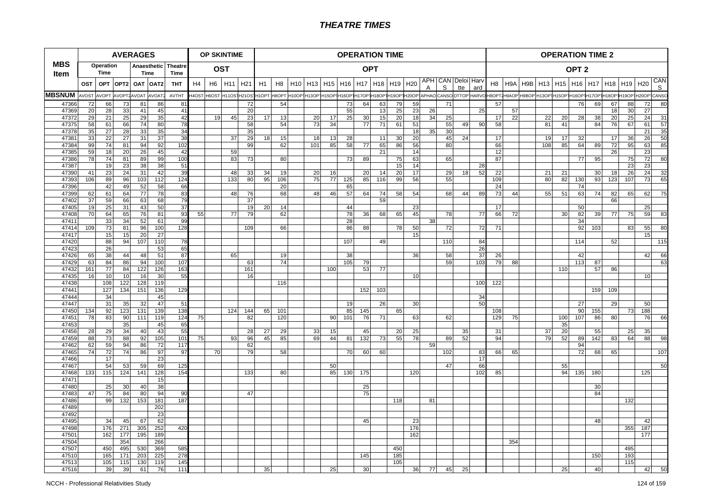|                    |             |                   |                 | <b>AVERAGES</b>             |                        |    |    | <b>OP SKINTIME</b> |                 |          |                |                                               |          |                       |                        | <b>OPERATION TIME</b> |                       |          |          |                                |          |           |                 |          | <b>OPERATION TIME 2</b>                                                                                                                                                                                                        |          |                  |           |          |          |          |                      |
|--------------------|-------------|-------------------|-----------------|-----------------------------|------------------------|----|----|--------------------|-----------------|----------|----------------|-----------------------------------------------|----------|-----------------------|------------------------|-----------------------|-----------------------|----------|----------|--------------------------------|----------|-----------|-----------------|----------|--------------------------------------------------------------------------------------------------------------------------------------------------------------------------------------------------------------------------------|----------|------------------|-----------|----------|----------|----------|----------------------|
| <b>MBS</b><br>Item |             | Operation<br>Time |                 | Anaesthetic Theatre<br>Time | Time                   |    |    | <b>OST</b>         |                 |          |                |                                               |          |                       |                        | <b>OPT</b>            |                       |          |          |                                |          |           |                 |          |                                                                                                                                                                                                                                |          | OPT <sub>2</sub> |           |          |          |          |                      |
|                    | OST         |                   |                 | OPT OPT2 OAT OAT2           | <b>THT</b>             | H4 |    | $H6$ $H11$         | H <sub>21</sub> | H1       | H <sub>8</sub> | H10   H13   H15   H16   H17   H18   H19   H20 |          |                       |                        |                       |                       |          |          | APH   CAN   Deloi   Harv<br>S. | tte      | ard       |                 |          | H8   H9A   H9B   H13   H15   H16   H17   H18   H19   H20                                                                                                                                                                       |          |                  |           |          |          |          | CAN<br>$\mathcal{S}$ |
| <b>MBSNUM</b>      | <b>NOST</b> |                   |                 | AVOPT AVOPT2 AVOAT AVOAT2   | AVTHT                  |    |    |                    |                 |          |                |                                               |          |                       |                        |                       |                       |          |          |                                |          |           |                 |          | +40ST H60ST H110S1H210S1H10PT H80PT H10OP1H13OP1H18OP1H16OP1H18OP1H18OP1H18OP1H20OP1APHA0 CANSO DTTOP1HARVO H80OP1H18OP1H18OP1H15OP1H16OP1H16OP1H17OP1H18OP1H18OP1H20OP1H20OP1H20OP1H20OP1H20OP1H20OP1H2OP1H20OP1H20OP1H20OP1H |          |                  |           |          |          |          |                      |
| 47366              | 72          | 66                | 73              | 81                          | 86<br>81               |    |    |                    | 72              |          | 54             |                                               |          |                       | 73                     | 64                    | 63                    | 79       | 59       | 71                             |          |           | 57              |          |                                                                                                                                                                                                                                |          | 76               | 69        | 67       | 88       | 72       | 80                   |
| 47369<br>47372     | 20<br>29    | 28<br>21          | 33<br>25        | 41<br>29                    | 41<br>45<br>35<br>42   |    | 19 | 45                 | 20<br>23        | 17       | 13             |                                               | 20       | 17                    | 55<br>25               | 30 <sup>1</sup>       | 13<br>15 <sup>1</sup> | 25<br>20 | 23<br>18 | 26<br>25<br>34                 |          | 25        | 17              | 57<br>22 | 22                                                                                                                                                                                                                             | 20       | 28               | 38        | 18<br>20 | 30<br>25 | 27<br>24 | 31                   |
| 47375              | 58          | 61                | 66              | 74                          | 78<br>80               |    |    |                    | 58              |          | 54             |                                               | 73       | 34                    |                        | 77                    | 71                    | 61       | 51       | 55                             | 49       | 90        | 58              |          | 81                                                                                                                                                                                                                             | 41       |                  | 84        | 76       | 67       | 61       | 57                   |
| 47378              | 35          | 27                | 28              | 33                          | 35<br>34               |    |    |                    | 35              |          |                |                                               |          |                       |                        |                       |                       |          | 18       | 35<br>30                       |          |           |                 |          |                                                                                                                                                                                                                                |          |                  |           |          |          | 21       | 35                   |
| 47381              | 33          | 22                | 27              | 31                          | 37<br>38               |    |    | 37                 | 29              | 18       | 15             |                                               | 18       | 13                    | 28                     |                       | 11                    | 30       | 20       | 45                             | 24       |           | 17              |          | 19                                                                                                                                                                                                                             | 17       | 32               |           | 17       | 36       | 26       | 50                   |
| 47384<br>47385     | 99<br>59    | 74<br>18          | 81<br>20        | 94<br>26                    | 92<br>102<br>45<br>42  |    |    | 59                 | 99              |          | 62             |                                               | 101      | 85                    | 58                     | 77                    | 65<br>21              | 86       | 56<br>14 | 80                             |          |           | 66<br>12        |          | 108                                                                                                                                                                                                                            | 85       | 64               | 89        | 72<br>26 | 95       | 63<br>23 | 85                   |
| 47386              | 78          | 74                | 81              | 89                          | 99<br>100              |    |    | 83                 | 73              |          | 80             |                                               |          |                       | 73                     | 89                    |                       | 75       | 63       | 65                             |          |           | 87              |          |                                                                                                                                                                                                                                |          | 77               | 95        |          | 75       | 72       | 80                   |
| 47387              |             | 19                | 23              | $38$                        | 38<br>51               |    |    |                    |                 |          |                |                                               |          |                       |                        |                       |                       | 15       | 14       |                                |          | 28        |                 |          |                                                                                                                                                                                                                                |          |                  |           |          | 23       | 23       |                      |
| 47390              | 41          | 23                | 24              | 31                          | 42<br>39               |    |    | 48                 | 33              | 34       | 19             |                                               | 20       | 16                    |                        | 20                    | 14                    | 20       | 17       | 29                             | 18       | 52        | 22              |          | 21                                                                                                                                                                                                                             | 21       |                  | 30        | 18       | 26       | 24       | 32                   |
| 47393              | 106         | 89                | 96              | 103<br>112                  | 124                    |    |    | 133                | 80              | 95       | 106            |                                               | 75       | 77                    | 125                    | 85                    | 116                   | 99       | 56       | 55                             |          |           | 109             |          | 80                                                                                                                                                                                                                             | 82       | 130              | 93        | 123      | 107      | 73       | 65                   |
| 47396<br>47399     | 62          | 42<br>61          | 49<br>64        | 52<br>77                    | 58<br>66<br>78<br>83   |    |    | 48                 | 76              |          | 20<br>68       |                                               | 48       | 46                    | 65<br>57               | 64                    | 74                    | 58       | 54       | 68                             | 44       | 89        | 24<br>73        | 44       | 55                                                                                                                                                                                                                             | 51       | 74<br>63         | 74        | 82       | 65       | 62       | 75                   |
| 47402              | 37          | 59                | 66              | 63                          | 79<br>68               |    |    |                    | 37              |          |                |                                               |          |                       |                        |                       | 59                    |          |          |                                |          |           |                 |          |                                                                                                                                                                                                                                |          |                  |           | 66       |          |          |                      |
| 47405              | 19          | 25                | 31              | 43                          | $\overline{37}$<br>50  |    |    |                    | 19              | 20       | 14             |                                               |          |                       | 44                     |                       |                       |          | 23       |                                |          |           | 17 <sup>1</sup> |          |                                                                                                                                                                                                                                |          | 50               |           |          |          | 25       |                      |
| 47408              | 70          | 64                | 65              | 76                          | 93<br>81               | 55 |    | 77                 | 79              |          | 62             |                                               |          |                       | 78                     | 36                    | 68                    | 65       | 45       | 78                             |          | 77        | 66              | 72       |                                                                                                                                                                                                                                | 30       | 82               | 39        | 77       | 75       | 59       | 83                   |
| 47411<br>47414     | 109         | 33<br>73          | 34<br>81        | 52<br>96<br>100             | 99<br>61<br>128        |    |    |                    | 109             |          | 66             |                                               |          |                       | 28<br>86               | 88                    |                       | 78       | 50       | 38<br>72                       |          | 72        | 71              |          |                                                                                                                                                                                                                                |          | 34<br>92         | 103       |          | 83       | 55       | 80                   |
| 47417              |             | 15                | 15 <sup>1</sup> | 20                          | 27                     |    |    |                    |                 |          |                |                                               |          |                       |                        |                       |                       |          | 15       |                                |          |           |                 |          |                                                                                                                                                                                                                                |          |                  |           |          |          | 15       |                      |
| 47420              |             | 88                | 94              | 107<br>110                  | 78                     |    |    |                    |                 |          |                |                                               |          |                       | 107                    |                       | 49                    |          |          | 110                            |          | 84        |                 |          |                                                                                                                                                                                                                                |          | 114              |           | 52       |          |          | 115                  |
| 47423              |             | 26                |                 |                             | 53<br>65               |    |    |                    |                 |          |                |                                               |          |                       |                        |                       |                       |          |          |                                |          | 26        |                 |          |                                                                                                                                                                                                                                |          |                  |           |          |          |          |                      |
| 47426<br>47429     | 65<br>63    | 38<br>84          | 44<br>86        | 48<br>94<br>100             | 51<br>87<br>107        |    |    | 65                 | 63              |          | 19<br>74       |                                               |          |                       | 38 <sup>1</sup><br>105 | 79                    |                       |          | 36       | 58<br>59                       |          | 37<br>103 | 26<br>79        | 88       |                                                                                                                                                                                                                                |          | 42<br>113        | 87        |          |          | 42       | 66<br>63             |
| 47432              | 161         | 77                | 84              | 122<br>126                  | 163                    |    |    |                    | 161             |          |                |                                               |          | 100                   |                        | 53                    | 77                    |          |          |                                |          |           |                 |          |                                                                                                                                                                                                                                | 110      |                  | 57        | 86       |          |          |                      |
| 47435              | 16          | 10 <sup>1</sup>   | 10 <sup>1</sup> | 16                          | 30<br>55               |    |    |                    | 16              |          |                |                                               |          |                       |                        |                       |                       |          | 10       |                                |          |           |                 |          |                                                                                                                                                                                                                                |          |                  |           |          |          | 10       |                      |
| 47438              |             | 108               | 122             | 128<br>119                  |                        |    |    |                    |                 |          | 116            |                                               |          |                       |                        |                       |                       |          |          |                                |          | 100       | 122             |          |                                                                                                                                                                                                                                |          |                  |           |          |          |          |                      |
| 47441<br>47444     |             | 127<br>34         | 134             | 151<br>136                  | 129<br>45              |    |    |                    |                 |          |                |                                               |          |                       |                        | 152                   | 103                   |          |          |                                |          | 34        |                 |          |                                                                                                                                                                                                                                |          |                  | 159       | 109      |          |          |                      |
| 47447              |             | 31                | 35              | 32                          | 47<br>51               |    |    |                    |                 |          |                |                                               |          |                       | 19                     |                       | 26                    |          | 30       |                                |          | 50        |                 |          |                                                                                                                                                                                                                                |          | 27               |           | 29       |          | 50       |                      |
| 47450              | 134         | 92                | 123             | 131<br>139                  | 138                    |    |    | 124                | 144             | 65       | 101            |                                               |          |                       | 85                     | 145                   |                       | 65       |          |                                |          |           | 108             |          |                                                                                                                                                                                                                                |          | 90               | 155       |          | 73       | 188      |                      |
| 47451              | 78          | 83                | 90              | 111<br>119                  | 124                    | 75 |    |                    | 82              |          | 120            |                                               |          | 90                    | 101                    | 76                    | 71                    |          | 63       | 62                             |          |           | 129             | 75       |                                                                                                                                                                                                                                | 100      | 107              | 86        | 80       |          | 76       | 66                   |
| 47453              |             |                   | 35              |                             | 45<br>65               |    |    |                    |                 |          |                |                                               |          |                       |                        |                       |                       |          |          |                                |          |           |                 |          |                                                                                                                                                                                                                                | 35       |                  |           |          |          |          |                      |
| 47456<br>47459     | 28<br>88    | 29<br>73          | 34<br>88        | 40<br>92<br>105             | 43<br>55<br>101        | 75 |    | 93                 | 28<br>96        | 27<br>45 | 29<br>85       |                                               | 33<br>69 | 15 <sup>1</sup><br>44 | 81                     | 45<br>132             | 73                    | 20<br>55 | 25<br>78 | 89                             | 35<br>52 |           | 31<br>94        |          | 37<br>79                                                                                                                                                                                                                       | 20<br>52 | 89               | 55<br>142 | 83       | 25<br>64 | 35<br>88 | 98                   |
| 47462              | 62          | 59                | 94              | 86                          | 72<br>117              |    |    |                    | 62              |          |                |                                               |          |                       |                        |                       |                       |          |          | 59                             |          |           |                 |          |                                                                                                                                                                                                                                |          | 94               |           |          |          |          |                      |
| 47465              | 74          | 72                | 74              | 86                          | 97<br>97               |    | 70 |                    | 79              |          | 58             |                                               |          |                       | 70                     | 60                    | 60                    |          |          | 102                            |          | 83        | 66              | 65       |                                                                                                                                                                                                                                |          | 72               | 68        | 65       |          |          | 107                  |
| 47466              |             | 17                |                 |                             | 23                     |    |    |                    |                 |          |                |                                               |          |                       |                        |                       |                       |          |          |                                |          | 17        |                 |          |                                                                                                                                                                                                                                |          |                  |           |          |          |          |                      |
| 47467<br>47468     | 133         | 54<br>115         | 53<br>124       | 59<br>128<br>141            | 69<br>125<br>154       |    |    |                    | 133             |          | 80             |                                               |          | 50<br>85              | 130                    | 175                   |                       |          | 120      | 47                             |          | 66<br>102 | 85              |          |                                                                                                                                                                                                                                | 55<br>94 | 135              | 180       |          |          | 125      | 50                   |
| 47471              |             |                   |                 |                             | 15 <sup>1</sup>        |    |    |                    |                 |          |                |                                               |          |                       |                        |                       |                       |          |          |                                |          |           |                 |          |                                                                                                                                                                                                                                |          |                  |           |          |          |          |                      |
| 47480              |             | 25                | 30              | 40                          | 38                     |    |    |                    |                 |          |                |                                               |          |                       |                        | 25                    |                       |          |          |                                |          |           |                 |          |                                                                                                                                                                                                                                |          |                  | 30        |          |          |          |                      |
| 47483              | 47          | 75                | 84              | 80                          | 94<br>90               |    |    |                    | 47              |          |                |                                               |          |                       |                        | 75                    |                       |          |          |                                |          |           |                 |          |                                                                                                                                                                                                                                |          |                  | 84        |          |          |          |                      |
| 47486<br>47489     |             | 99                | 132             | 153<br>181<br>202           | 187                    |    |    |                    |                 |          |                |                                               |          |                       |                        |                       |                       | 118      |          | 81                             |          |           |                 |          |                                                                                                                                                                                                                                |          |                  |           |          | 132      |          |                      |
| 47492              |             |                   |                 |                             | 23                     |    |    |                    |                 |          |                |                                               |          |                       |                        |                       |                       |          |          |                                |          |           |                 |          |                                                                                                                                                                                                                                |          |                  |           |          |          |          |                      |
| 47495              |             | 34                | 45              | 67                          | 62                     |    |    |                    |                 |          |                |                                               |          |                       |                        | 45                    |                       |          | 23       |                                |          |           |                 |          |                                                                                                                                                                                                                                |          |                  | 48        |          |          | 42       |                      |
| 47498              |             | 176               | 271             | 305<br>252                  | 420                    |    |    |                    |                 |          |                |                                               |          |                       |                        |                       |                       |          | 176      |                                |          |           |                 |          |                                                                                                                                                                                                                                |          |                  |           |          | 355      | 187      |                      |
| 47501<br>47504     |             | 162               | 177<br>354      | 195<br>189<br>266           |                        |    |    |                    |                 |          |                |                                               |          |                       |                        |                       |                       |          | 162      |                                |          |           |                 | 354      |                                                                                                                                                                                                                                |          |                  |           |          |          | 177      |                      |
| 47507              |             | 450               | 495             | 530<br>369                  | 585                    |    |    |                    |                 |          |                |                                               |          |                       |                        |                       |                       | 450      |          |                                |          |           |                 |          |                                                                                                                                                                                                                                |          |                  |           |          | 495      |          |                      |
| 47510              |             | 165               | 171             | 225<br>203                  | 278                    |    |    |                    |                 |          |                |                                               |          |                       |                        | 145                   |                       | 185      |          |                                |          |           |                 |          |                                                                                                                                                                                                                                |          |                  | 150       |          | 193      |          |                      |
| 47513              |             | 105               | 115             | 130<br>119                  | 145                    |    |    |                    |                 |          |                |                                               |          |                       |                        |                       |                       | 105      |          |                                |          |           |                 |          |                                                                                                                                                                                                                                |          |                  |           |          | 115      |          |                      |
| 47516              |             | 39                | 39              | 61                          | 76<br>$\overline{111}$ |    |    |                    |                 | 35       |                |                                               |          | 25                    |                        | 30                    |                       |          | 36       | 77<br>45                       | 25       |           |                 |          |                                                                                                                                                                                                                                | 25       |                  | 40        |          |          | 42       | 50                   |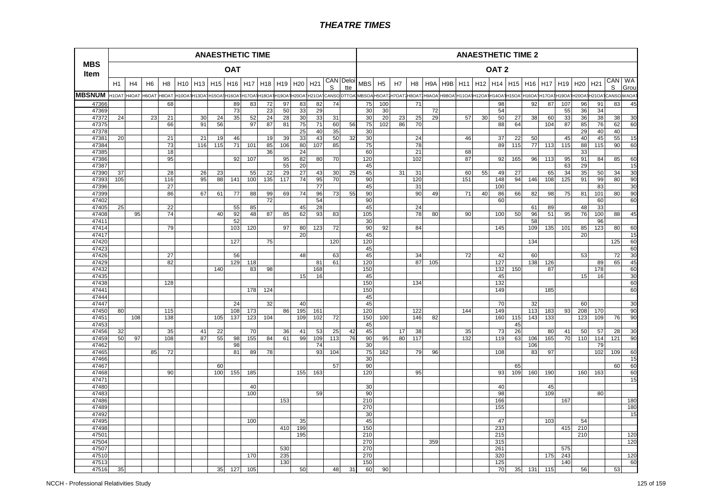|                    |     | <b>ANAESTHETIC TIME</b><br><b>OAT</b> |                |                 |                 |     |                                                                 |          |     |                                                                                           |          |            |                 |                 |     |                       |                |                                                                                                    |                  |                  |                 |    | <b>ANAESTHETIC TIME 2</b> |          |          |                                                 |          |                 |                 |             |          |
|--------------------|-----|---------------------------------------|----------------|-----------------|-----------------|-----|-----------------------------------------------------------------|----------|-----|-------------------------------------------------------------------------------------------|----------|------------|-----------------|-----------------|-----|-----------------------|----------------|----------------------------------------------------------------------------------------------------|------------------|------------------|-----------------|----|---------------------------|----------|----------|-------------------------------------------------|----------|-----------------|-----------------|-------------|----------|
| <b>MBS</b><br>Item |     |                                       |                |                 |                 |     |                                                                 |          |     |                                                                                           |          |            |                 |                 |     |                       |                |                                                                                                    |                  |                  |                 |    | OAT <sub>2</sub>          |          |          |                                                 |          |                 |                 |             |          |
|                    | H1  | H4                                    | H <sub>6</sub> | H <sub>8</sub>  | H <sub>10</sub> |     | H <sub>13</sub> H <sub>15</sub> H <sub>16</sub> H <sub>17</sub> |          |     | H <sub>18</sub> H <sub>19</sub> H <sub>20</sub>                                           |          |            | H <sub>21</sub> | CAN Deloi<br>S. | tte | <b>MBS</b>            | H <sub>5</sub> | H <sub>7</sub><br>H <sub>8</sub>                                                                   | H <sub>9</sub> A | H <sub>9</sub> B | H <sub>11</sub> |    | H12 H14 H15               |          |          | H <sub>16</sub> H <sub>17</sub> H <sub>19</sub> |          | H <sub>20</sub> | H <sub>21</sub> | CAN WA<br>S | Grou     |
| <b>MBSNUM</b>      |     |                                       |                |                 |                 |     |                                                                 |          |     | H1OAT H4OAT H6OAT H8OAT H10OATH13OATH15OATH16OATH17OATH18OATH19OATH20OATH21OATCANSO DTTOA |          |            |                 |                 |     |                       |                | :MBSOAH5OAT1H7OAT1H8OAT1H9AOA H9BOA H11OA1H12OA1H14OA1H15OA1H16OA1H17OA1H19OA1H20OA1H21OA1CANSORMA |                  |                  |                 |    |                           |          |          |                                                 |          |                 |                 |             |          |
| 47366              |     |                                       |                | 68              |                 |     |                                                                 | 89       | 83  | 72                                                                                        | 97       | 83         | 82              | 74              |     | 75                    | 100            | 71                                                                                                 |                  |                  |                 |    | 98                        |          | 92       | 87                                              | 107      | 96              | 91              | 83          | 45       |
| 47369<br>47372     | 24  |                                       | 23             | 21              |                 | 30  |                                                                 | 73<br>35 | 52  | 23<br>24                                                                                  | 50       | 33         | 29              | 31              |     | 30                    | 30<br>20       | 25                                                                                                 | 72<br>29         |                  | 57              | 30 | 54                        | 27       | 38       |                                                 | 55       | 36              | 34<br>38        | 38          |          |
| 47375              |     |                                       |                | 66              |                 | 91  | 24<br>56                                                        |          | 97  | 87                                                                                        | 28<br>81 | 30<br>75   | 33<br>71        | 60              | 56  | 30 <sup>1</sup><br>75 | 102            | 23<br>86<br>70                                                                                     |                  |                  |                 |    | 50<br>88                  | 64       |          | 60<br>104                                       | 33<br>87 | 36<br>85        | 76              | 62          | 30<br>60 |
| 47378              |     |                                       |                |                 |                 |     |                                                                 |          |     |                                                                                           |          | 25         | 40              | 35              |     | 30                    |                |                                                                                                    |                  |                  |                 |    |                           |          |          |                                                 |          | 29              | 40              | 40          |          |
| 47381              | 20  |                                       |                | 21              |                 | 21  | 19                                                              | 46       |     | 19                                                                                        | 39       | 33         | 43              | 50              | 32  | 30                    |                | 24                                                                                                 |                  |                  | 46              |    | 37                        | 22       | 50       |                                                 | 45       | 40              | 45              | 55          | 15       |
| 47384<br>47385     |     |                                       |                | 73<br>18        |                 | 116 | 115                                                             | 71       | 101 | 85<br>36                                                                                  | 106      | 80<br>24   | 107             | 85              |     | 75<br>60              |                | 78<br>21                                                                                           |                  |                  | 68              |    | 89                        | 115      | 77       | 113                                             | 115      | 88<br>33        | 115             | 90          | 60       |
| 47386              |     |                                       |                | 95              |                 |     |                                                                 | 92       | 107 |                                                                                           | 95       | 82         | 80              | 70              |     | 120                   |                | 102                                                                                                |                  |                  | 87              |    | 92                        | 165      | 96       | 113                                             | 95       | 91              | 84              | 85          | 60       |
| 47387              |     |                                       |                |                 |                 |     |                                                                 |          |     |                                                                                           | 55       | 20         |                 |                 |     | 45                    |                |                                                                                                    |                  |                  |                 |    |                           |          |          |                                                 | 63       | 29              |                 |             | 15       |
| 47390              | 37  |                                       |                | 28              |                 | 26  | 23                                                              |          | 55  | 22                                                                                        | 29       | 27         | 43              | 30              | 25  | 45                    |                | 31<br>31                                                                                           |                  |                  | 60              | 55 | 49                        | 27       |          | 65                                              | 34       | 35              | 50              | 34          | 30       |
| 47393<br>47396     | 105 |                                       |                | 116<br>27       |                 | 95  | 88                                                              | 141      | 100 | 135                                                                                       | 117      | 74         | 95<br>77        | 70              |     | 90<br>45              |                | 120<br>31                                                                                          |                  |                  | 151             |    | 148<br>100                | 94       | 146      | 108                                             | 125      | 91              | 99<br>83        | 80          | 90<br>30 |
| 47399              |     |                                       |                | 86              |                 | 67  | 61                                                              | 77       | 88  | 99                                                                                        | 69       | 74         | 96              | 73              | 55  | 90                    |                | 90                                                                                                 | 49               |                  | 71              | 40 | 86                        | 66       | 82       | 98                                              | 75       | 81              | 101             | 80          | 90       |
| 47402              |     |                                       |                |                 |                 |     |                                                                 |          |     | 72                                                                                        |          |            | 54              |                 |     | 90                    |                |                                                                                                    |                  |                  |                 |    | 60                        |          |          |                                                 |          |                 | 60              |             | 60       |
| 47405              | 25  |                                       |                | $\overline{22}$ |                 |     |                                                                 | 55       | 85  |                                                                                           |          | 45         | 28              |                 |     | 45                    |                | 24                                                                                                 |                  |                  |                 |    |                           |          | 61       | 89                                              |          | 48              | 33              |             |          |
| 47408<br>47411     |     | 95                                    |                | 74              |                 |     | 40                                                              | 92<br>52 | 48  | 87                                                                                        | 85       | 62         | 93              | 83              |     | 105<br>30             |                | 78                                                                                                 | 80               |                  | 90              |    | 100                       | 50       | 96<br>58 | 51                                              | 95       | 76              | 100<br>96       | 88          | 45       |
| 47414              |     |                                       |                | 79              |                 |     |                                                                 | 103      | 120 |                                                                                           | 97       | 80         | 123             | 72              |     | 90                    | 92             | 84                                                                                                 |                  |                  |                 |    | 145                       |          | 109      | 135                                             | 101      | 85              | 123             | 80          | 60       |
| 47417              |     |                                       |                |                 |                 |     |                                                                 |          |     |                                                                                           |          | 20         |                 |                 |     | 45                    |                |                                                                                                    |                  |                  |                 |    |                           |          |          |                                                 |          | 20              |                 |             | 15       |
| 47420              |     |                                       |                |                 |                 |     |                                                                 | 127      |     | 75                                                                                        |          |            |                 | 120             |     | 120                   |                |                                                                                                    |                  |                  |                 |    |                           |          | 134      |                                                 |          |                 |                 | 125         | 60       |
| 47423              |     |                                       |                |                 |                 |     |                                                                 | 56       |     |                                                                                           |          | 48         |                 |                 |     | 45<br>45              |                | 34                                                                                                 |                  |                  | 72              |    | 42                        |          | 60       |                                                 |          | 53              |                 |             | 60<br>30 |
| 47426<br>47429     |     |                                       |                | 27<br>82        |                 |     |                                                                 | 129      | 118 |                                                                                           |          |            | 81              | 63<br>61        |     | 120                   |                | 87                                                                                                 | 105              |                  |                 |    | 127                       |          | 138      | 126                                             |          |                 | 89              | 72<br>65    | 45       |
| 47432              |     |                                       |                |                 |                 |     | 140                                                             |          | 83  | 98                                                                                        |          |            | 168             |                 |     | 150                   |                |                                                                                                    |                  |                  |                 |    | 132                       | 150      |          | 87                                              |          |                 | 178             |             | 60       |
| 47435              |     |                                       |                |                 |                 |     |                                                                 |          |     |                                                                                           |          | 15         | 16              |                 |     | 45                    |                |                                                                                                    |                  |                  |                 |    | 45                        |          |          |                                                 |          | 15              | 16              |             | 30       |
| 47438              |     |                                       |                | 128             |                 |     |                                                                 |          |     |                                                                                           |          |            |                 |                 |     | 150                   |                | 134                                                                                                |                  |                  |                 |    | 132                       |          |          |                                                 |          |                 |                 |             | 60       |
| 47441<br>47444     |     |                                       |                |                 |                 |     |                                                                 |          | 178 | 124                                                                                       |          |            |                 |                 |     | 150<br>45             |                |                                                                                                    |                  |                  |                 |    | 149                       |          |          | 185                                             |          |                 |                 |             | 60       |
| 47447              |     |                                       |                |                 |                 |     |                                                                 | 24       |     | 32                                                                                        |          | 40         |                 |                 |     | 45                    |                |                                                                                                    |                  |                  |                 |    | 70                        |          | 32       |                                                 |          | 60              |                 |             | 30       |
| 47450              | 80  |                                       |                | 115             |                 |     |                                                                 | 108      | 173 |                                                                                           | 86       | 195        | 161             |                 |     | 120                   |                | 122                                                                                                |                  |                  | 144             |    | 149                       |          | 113      | 183                                             | 93       | 208             | 170             |             | 90       |
| 47451              |     | 108                                   |                | 138             |                 |     | 105                                                             | 137      | 123 | 104                                                                                       |          | 109        | 102             | 72              |     | 150                   | 100            | 146                                                                                                | 82               |                  |                 |    | 160                       | 115      | 143      | 133                                             |          | 123             | 109             | 76          | 90       |
| 47453<br>47456     | 32  |                                       |                | 35              |                 | 41  | 22                                                              |          | 70  |                                                                                           | 36       | 41         | 53              | 25              | 42  | 45<br>45              |                | 17<br>38                                                                                           |                  |                  | 35              |    | 73                        | 45<br>26 |          | 80                                              | 41       | 50              | 57              | 28          | 30       |
| 47459              | 50  | 97                                    |                | 108             |                 | 87  | 55                                                              | 98       | 155 | 84                                                                                        | 61       | 99         | 109             | 113             | 76  | 90 <sub>1</sub>       | 95             | 80<br>117                                                                                          |                  |                  | 132             |    | 119                       | 63       | 106      | 165                                             | 70       | 110             | 114             | 121         | 90       |
| 47462              |     |                                       |                |                 |                 |     |                                                                 | 98       |     |                                                                                           |          |            | 74              |                 |     | 30                    |                |                                                                                                    |                  |                  |                 |    |                           |          | 106      |                                                 |          |                 | 79              |             |          |
| 47465              |     |                                       | 85             | 72              |                 |     |                                                                 | 81       | 89  | 78                                                                                        |          |            | 93              | 104             |     | 75                    | 162            | 79                                                                                                 | 96               |                  |                 |    | 108                       |          | 83       | 97                                              |          |                 | 102             | 109         | 60       |
| 47466<br>47467     |     |                                       |                |                 |                 |     | 60                                                              |          |     |                                                                                           |          |            |                 | 57              |     | 30<br>90              |                |                                                                                                    |                  |                  |                 |    |                           | 65       |          |                                                 |          |                 |                 | 60          | 15<br>60 |
| 47468              |     |                                       |                | 90              |                 |     | 100                                                             | 155      | 185 |                                                                                           |          | 155        | 163             |                 |     | 120                   |                | 95                                                                                                 |                  |                  |                 |    | 93                        | 109      | 160      | 190                                             |          | 160             | 163             |             | 60       |
| 47471              |     |                                       |                |                 |                 |     |                                                                 |          |     |                                                                                           |          |            |                 |                 |     |                       |                |                                                                                                    |                  |                  |                 |    |                           |          |          |                                                 |          |                 |                 |             | 15       |
| 47480              |     |                                       |                |                 |                 |     |                                                                 |          | 40  |                                                                                           |          |            |                 |                 |     | 30                    |                |                                                                                                    |                  |                  |                 |    | 40                        |          |          | 45                                              |          |                 |                 |             |          |
| 47483<br>47486     |     |                                       |                |                 |                 |     |                                                                 |          | 100 |                                                                                           | 153      |            | 59              |                 |     | 90<br>210             |                |                                                                                                    |                  |                  |                 |    | 98<br>166                 |          |          | 109                                             | 167      |                 | 80              |             | 180      |
| 47489              |     |                                       |                |                 |                 |     |                                                                 |          |     |                                                                                           |          |            |                 |                 |     | 270                   |                |                                                                                                    |                  |                  |                 |    | 155                       |          |          |                                                 |          |                 |                 |             | 180      |
| 47492              |     |                                       |                |                 |                 |     |                                                                 |          |     |                                                                                           |          |            |                 |                 |     | 30                    |                |                                                                                                    |                  |                  |                 |    |                           |          |          |                                                 |          |                 |                 |             | 15       |
| 47495              |     |                                       |                |                 |                 |     |                                                                 |          | 100 |                                                                                           |          | 35         |                 |                 |     | 45                    |                |                                                                                                    |                  |                  |                 |    | 47                        |          |          | 103                                             |          | 54              |                 |             |          |
| 47498<br>47501     |     |                                       |                |                 |                 |     |                                                                 |          |     |                                                                                           | 410      | 199<br>195 |                 |                 |     | 150<br>210            |                |                                                                                                    |                  |                  |                 |    | 233<br>215                |          |          |                                                 | 415      | 210<br>210      |                 |             | 120      |
| 47504              |     |                                       |                |                 |                 |     |                                                                 |          |     |                                                                                           |          |            |                 |                 |     | 270                   |                |                                                                                                    | 359              |                  |                 |    | 315                       |          |          |                                                 |          |                 |                 |             | 120      |
| 47507              |     |                                       |                |                 |                 |     |                                                                 |          |     |                                                                                           | 530      |            |                 |                 |     | 270                   |                |                                                                                                    |                  |                  |                 |    | 261                       |          |          |                                                 | 575      |                 |                 |             |          |
| 47510              |     |                                       |                |                 |                 |     |                                                                 |          | 170 |                                                                                           | 235      |            |                 |                 |     | 270                   |                |                                                                                                    |                  |                  |                 |    | 320                       |          |          | 175                                             | 243      |                 |                 |             | 120      |
| 47513<br>47516     | 35  |                                       |                |                 |                 |     | 35                                                              | 127      | 105 |                                                                                           | 130      | 50         |                 | 48              | 31  | 150<br>60             | 90             |                                                                                                    |                  |                  |                 |    | 125<br>70                 | 35       | 131      | 115                                             | 140      | 56              |                 | 53          | 60       |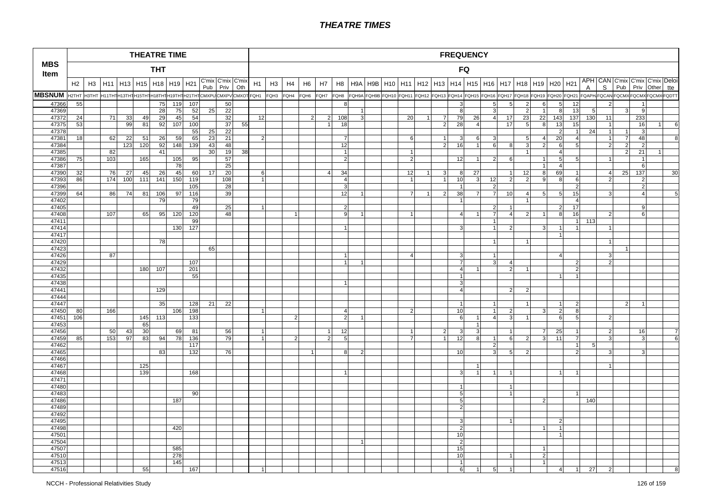|                           |     |    |                 |     |       | <b>THEATRE TIME</b> |     |            |                                                                                  | <b>FREQUENCY</b><br><b>FQ</b><br>APH   CAN   C'mix   C'mix   C'mix   Deloi |                |                |                |                |                |                      |                                                                                                                                                                                                      |  |                |              |                |                      |                                        |                                  |                                                                                                 |                |                |                      |                                  |                                 |                                |                           |                    |
|---------------------------|-----|----|-----------------|-----|-------|---------------------|-----|------------|----------------------------------------------------------------------------------|----------------------------------------------------------------------------|----------------|----------------|----------------|----------------|----------------|----------------------|------------------------------------------------------------------------------------------------------------------------------------------------------------------------------------------------------|--|----------------|--------------|----------------|----------------------|----------------------------------------|----------------------------------|-------------------------------------------------------------------------------------------------|----------------|----------------|----------------------|----------------------------------|---------------------------------|--------------------------------|---------------------------|--------------------|
| <b>MBS</b><br><b>Item</b> |     |    |                 |     |       | <b>THT</b>          |     |            |                                                                                  |                                                                            |                |                |                |                |                |                      |                                                                                                                                                                                                      |  |                |              |                |                      |                                        |                                  |                                                                                                 |                |                |                      |                                  |                                 |                                |                           |                    |
|                           | H2  | H3 | H <sub>11</sub> |     |       | H13 H15 H18 H19 H21 |     |            | C'mix C'mix C'mix<br>Pub<br>Priv                                                 | Oth                                                                        | H1             | H <sub>3</sub> | H4             | H <sub>6</sub> | H7             | H <sub>8</sub>       | H9A   H9B   H10   H11   H12   H13   H14   H15                                                                                                                                                        |  |                |              |                |                      |                                        |                                  | H <sub>16</sub> H <sub>17</sub> H <sub>18</sub> H <sub>19</sub> H <sub>20</sub> H <sub>21</sub> |                |                |                      |                                  | S.                              |                                |                           | Pub Priv Other tte |
| <b>MBSNUM</b>             |     |    |                 |     |       |                     |     |            | Н2ТНТ Н3ТНТ Н11ТНТН13ТНТН15ТНТН18ТНТН19ТНТН21ТНТСМХРU СМХРV СМХОТ ГQН1 FQH3 FQH4 |                                                                            |                |                |                |                |                |                      | ғонс   ғонт   ғонз   ғонза  ғонзв  ғон10   ғон11   ғон12   ғон13   ғон14   ғон15   ғон17   ғон18   ғон19   ғон20   ғон21   ғодрн  ғосм  ғосмх  ғосмх  ғосмх  ғосмх  ғосмх  ғосмх  ғосмх  ғосмх  ғосм |  |                |              |                |                      |                                        |                                  |                                                                                                 |                |                |                      |                                  |                                 |                                |                           |                    |
| 47366                     | 55  |    |                 |     |       | 75                  | 119 | 107        | 50                                                                               |                                                                            |                |                |                |                |                | 8                    |                                                                                                                                                                                                      |  |                |              |                | 3 <sup>1</sup>       |                                        | 5 <sub>l</sub>                   | $5\phantom{.0}$                                                                                 | $\overline{2}$ | 6 <sup>1</sup> | 5 <sub>5</sub>       | 12                               | $\overline{2}$                  |                                | $\overline{1}$            |                    |
| 47369                     |     |    |                 |     |       | 28                  | 75  | 52         | 25<br>22                                                                         |                                                                            |                |                |                |                |                |                      | $\mathbf{1}$                                                                                                                                                                                         |  |                |              |                | 8 <sup>1</sup>       |                                        | 3 <sup>1</sup>                   |                                                                                                 | $\overline{c}$ | 1              | 8                    | 13                               | $5\phantom{.0}$                 | $\mathbf{3}$                   | $\overline{9}$            |                    |
| 47372                     | 24  |    | 71              | 33  | 49    | 29                  | 45  | 54         | 32                                                                               |                                                                            | 12             |                |                | 2              | $\overline{c}$ | 108                  | 3 <sup>1</sup>                                                                                                                                                                                       |  | 20             | $\mathbf{1}$ | $\overline{7}$ | 79                   | 26                                     | 4 <sup>1</sup>                   | 17                                                                                              | 23             | 22             | 143                  | 137                              | 130<br>11                       |                                | 233                       |                    |
| 47375                     | 53  |    |                 | 99  | 81    | 92                  | 107 | 100        | 37                                                                               | 55                                                                         |                |                |                |                | $\vert$ 1      | 18                   |                                                                                                                                                                                                      |  |                |              | $\overline{2}$ | 28                   | $\overline{4}$                         |                                  | 17                                                                                              | $\overline{5}$ | 8              | 13                   | 15                               | $\mathbf{1}$                    |                                | 16                        | 11<br>6            |
| 47378<br>47381            | 18  |    | 62              | 22  | 51    | 26                  | 59  | 55<br>65   | 22<br>25<br>23<br>21                                                             |                                                                            | 2 <sup>1</sup> |                |                |                |                | $\overline{7}$       |                                                                                                                                                                                                      |  | 6              |              | $\mathbf{1}$   | 3 <sup>1</sup>       | $6 \mid$                               | 3 <sup>1</sup>                   |                                                                                                 | $\sqrt{5}$     | $\overline{4}$ | $\overline{2}$<br>20 | $\overline{1}$<br>$\overline{4}$ | 24<br>1<br>$\mathbf{1}$         | $\mathbf{1}$<br>$\overline{7}$ | 3 <sup>l</sup><br>48      | 8                  |
| 47384                     |     |    |                 | 123 | 120   | 92                  | 148 | 139        | 43<br>48                                                                         |                                                                            |                |                |                |                |                | 12                   |                                                                                                                                                                                                      |  |                |              | $\overline{2}$ | 16                   | $\vert$ 1                              | $6 \mid$                         | 8                                                                                               | $\mathbf{3}$   | 2              | 6                    | 5 <sup>1</sup>                   | $\overline{2}$                  | $\overline{2}$                 | $\overline{2}$            |                    |
| 47385                     |     |    | 82              |     |       | 41                  |     |            | 30<br>19                                                                         | 38                                                                         |                |                |                |                |                | $\mathbf{1}$         |                                                                                                                                                                                                      |  | $\overline{1}$ |              |                |                      |                                        |                                  |                                                                                                 | $\overline{1}$ |                | $\vert 4 \vert$      |                                  |                                 | $\overline{2}$                 | 21                        | $\overline{1}$     |
| 47386                     | 75  |    | 103             |     | 165   |                     | 105 | 95         | 57                                                                               |                                                                            |                |                |                |                |                | $\overline{2}$       |                                                                                                                                                                                                      |  | $\overline{2}$ |              |                | 12                   | $\vert$ 1                              | $2 \vert$                        | $6\phantom{.}6$                                                                                 |                | 1              | 5 <sup>1</sup>       | $5\phantom{.0}$                  | $\mathbf{1}$                    |                                | $\mathbf{1}$              |                    |
| 47387                     |     |    |                 |     |       |                     | 78  |            | 25                                                                               |                                                                            |                |                |                |                |                |                      |                                                                                                                                                                                                      |  |                |              |                |                      |                                        |                                  |                                                                                                 |                | 1              | $\vert$              |                                  |                                 |                                | 6                         |                    |
| 47390                     | 32  |    | 76              | 27  | 45    | 26                  | 45  | 60         | 20<br>17                                                                         |                                                                            | $6 \mid$       |                |                |                | 4              | 34                   |                                                                                                                                                                                                      |  | 12             | 1            | 3              | 8                    | 27                                     |                                  | 1                                                                                               | 12             | 8 <sup>1</sup> | 69                   | $\overline{1}$                   | 4                               | 25                             | 137                       | 30                 |
| 47393                     | 86  |    | $174$           | 100 | $111$ | 141                 | 150 | 119        | 108                                                                              |                                                                            | 1              |                |                |                |                | $\overline{a}$       |                                                                                                                                                                                                      |  | $\overline{1}$ |              | 1              | 10                   | $\mathbf{3}$                           | 12                               | $\overline{2}$                                                                                  | $\overline{2}$ | 9              | 8                    | 6<br>$\overline{2}$              | $\overline{2}$                  |                                | $\mathbf{2}$              |                    |
| 47396<br>47399            | 64  |    | 86              | 74  | 81    | 106                 | 97  | 105<br>116 | 28<br>39                                                                         |                                                                            |                |                |                |                |                | $\overline{3}$<br>12 |                                                                                                                                                                                                      |  | $\overline{7}$ | $\mathbf{1}$ | $\overline{2}$ | $\mathbf{1}$<br>38   | 7                                      | $\overline{2}$<br>$\overline{7}$ | 10 <sup>1</sup>                                                                                 | $\overline{4}$ | $5^{\circ}$    | 5 <sub>l</sub>       | 15                               | 3                               |                                | $\overline{2}$<br>$\vert$ | 5                  |
| 47402                     |     |    |                 |     |       | 79                  |     | 79         |                                                                                  |                                                                            |                |                |                |                |                |                      |                                                                                                                                                                                                      |  |                |              |                | 1                    |                                        |                                  |                                                                                                 |                |                |                      | $\overline{4}$                   |                                 |                                |                           |                    |
| 47405                     |     |    |                 |     |       |                     |     | 49         | 25                                                                               |                                                                            | 1              |                |                |                |                | $\overline{2}$       |                                                                                                                                                                                                      |  |                |              |                |                      |                                        | 2                                | $\mathbf{1}$                                                                                    |                |                | $\overline{2}$       | 17                               |                                 |                                | 9                         |                    |
| 47408                     |     |    | 107             |     | 65    | 95                  | 120 | 120        | 48                                                                               |                                                                            |                |                | $\mathbf{1}$   |                |                | 9                    | $\mathbf{1}$                                                                                                                                                                                         |  | $\mathbf{1}$   |              |                |                      | 4 <sup>1</sup><br>$\blacktriangleleft$ | 7 <sup>1</sup>                   | $\overline{4}$                                                                                  | $\overline{2}$ | 11             | 8                    | 16                               | $\overline{2}$                  |                                | 6 <sup>1</sup>            |                    |
| 47411                     |     |    |                 |     |       |                     |     | 99         |                                                                                  |                                                                            |                |                |                |                |                |                      |                                                                                                                                                                                                      |  |                |              |                |                      |                                        | 1                                |                                                                                                 |                |                |                      | $\vert$ 1                        | 113                             |                                |                           |                    |
| 47414                     |     |    |                 |     |       |                     | 130 | 127        |                                                                                  |                                                                            |                |                |                |                |                | 1                    |                                                                                                                                                                                                      |  |                |              |                | 3 <sup>l</sup>       |                                        | 1                                | $\overline{2}$                                                                                  |                | $\mathbf{3}$   | 1                    | $\overline{1}$                   | $\mathbf{1}$                    |                                |                           |                    |
| 47417<br>47420            |     |    |                 |     |       | 78                  |     |            |                                                                                  |                                                                            |                |                |                |                |                |                      |                                                                                                                                                                                                      |  |                |              |                |                      |                                        | 1 <sup>1</sup>                   |                                                                                                 | $\mathbf{1}$   |                | $\overline{1}$       |                                  | $\mathbf{1}$                    |                                |                           |                    |
| 47423                     |     |    |                 |     |       |                     |     |            | 65                                                                               |                                                                            |                |                |                |                |                |                      |                                                                                                                                                                                                      |  |                |              |                |                      |                                        |                                  |                                                                                                 |                |                |                      |                                  |                                 | $\overline{1}$                 |                           |                    |
| 47426                     |     |    | 87              |     |       |                     |     |            |                                                                                  |                                                                            |                |                |                |                |                | 11                   |                                                                                                                                                                                                      |  | $\overline{4}$ |              |                |                      | 3 <sup>1</sup>                         | 1                                |                                                                                                 |                |                | $\overline{4}$       |                                  | 3                               |                                |                           |                    |
| 47429                     |     |    |                 |     |       |                     |     | 107        |                                                                                  |                                                                            |                |                |                |                |                | 11                   | $\overline{1}$                                                                                                                                                                                       |  |                |              |                | 7 <sup>1</sup>       |                                        | 3 <sup>1</sup>                   | $\overline{4}$                                                                                  |                |                |                      | $\overline{2}$                   | $\overline{2}$                  |                                |                           |                    |
| 47432                     |     |    |                 |     | 180   | 107                 |     | 201        |                                                                                  |                                                                            |                |                |                |                |                |                      |                                                                                                                                                                                                      |  |                |              |                |                      | 4 <sup>1</sup>                         |                                  | $\overline{2}$                                                                                  |                |                |                      | $\overline{2}$                   |                                 |                                |                           |                    |
| 47435                     |     |    |                 |     |       |                     |     | 55         |                                                                                  |                                                                            |                |                |                |                |                |                      |                                                                                                                                                                                                      |  |                |              |                |                      | 1 <sup>1</sup>                         |                                  |                                                                                                 |                |                | 11                   | $\overline{1}$                   |                                 |                                |                           |                    |
| 47438                     |     |    |                 |     |       |                     |     |            |                                                                                  |                                                                            |                |                |                |                |                | $\overline{1}$       |                                                                                                                                                                                                      |  |                |              |                |                      | 3 <sup>1</sup>                         |                                  |                                                                                                 |                |                |                      |                                  |                                 |                                |                           |                    |
| 47441<br>47444            |     |    |                 |     |       | 129                 |     |            |                                                                                  |                                                                            |                |                |                |                |                |                      |                                                                                                                                                                                                      |  |                |              |                |                      | 4 <sup>1</sup>                         |                                  | 2                                                                                               | $\overline{2}$ |                |                      |                                  |                                 |                                |                           |                    |
| 47447                     |     |    |                 |     |       | 35                  |     | 128        | 21<br>22                                                                         |                                                                            |                |                |                |                |                |                      |                                                                                                                                                                                                      |  |                |              |                | $\mathbf{1}$         |                                        | 11                               |                                                                                                 |                |                | $\mathbf{1}$         | $\overline{2}$                   |                                 | $\overline{2}$                 | $\overline{1}$            |                    |
| 47450                     | 80  |    | 166             |     |       |                     | 106 | 198        |                                                                                  |                                                                            | 1              |                |                |                |                | $\overline{4}$       |                                                                                                                                                                                                      |  | $\overline{2}$ |              |                | 10                   |                                        | 1                                | $\overline{2}$                                                                                  |                | 3 <sup>1</sup> | $\overline{2}$       | 8                                |                                 |                                |                           |                    |
| 47451                     | 106 |    |                 |     | 145   | 113                 |     | 133        |                                                                                  |                                                                            |                |                | 2              |                |                | $\overline{2}$       | 1                                                                                                                                                                                                    |  |                |              |                | 6                    | $\vert$ 1                              | $\vert$ 4                        | $\mathbf{3}$                                                                                    | $\overline{1}$ |                | $6 \overline{6}$     | 5                                | $\overline{2}$                  |                                |                           |                    |
| 47453                     |     |    |                 |     | 65    |                     |     |            |                                                                                  |                                                                            |                |                |                |                |                |                      |                                                                                                                                                                                                      |  |                |              |                |                      | 11                                     |                                  |                                                                                                 |                |                |                      |                                  |                                 |                                |                           |                    |
| 47456                     |     |    | 50              | 43  | 30    |                     | 69  | 81         | 56                                                                               |                                                                            | 1              |                |                |                | $\mathbf{1}$   | 12                   |                                                                                                                                                                                                      |  | $\overline{1}$ |              | $\vert$ 2      | $\mathbf{3}$         | 3                                      |                                  | $\mathbf{1}$                                                                                    |                | 7              | 25                   |                                  | $\overline{2}$                  |                                | 16                        | $\overline{7}$     |
| 47459<br>47462            | 85  |    | 153             | 97  | 83    | 94                  | 78  | 136<br>117 | 79                                                                               |                                                                            | 1              |                | $\overline{2}$ |                | $\overline{2}$ | $5\phantom{.0}$      |                                                                                                                                                                                                      |  | $\overline{7}$ |              | 1              | 12                   | 8                                      | 1<br>$\overline{2}$              | $6\overline{6}$                                                                                 | $\overline{2}$ | $\mathbf{3}$   | 11                   | $\overline{7}$<br>1              | $\mathbf{3}$<br>$5\phantom{.0}$ |                                | 3 <sup>1</sup>            | 6                  |
| 47465                     |     |    |                 |     |       | 83                  |     | 132        | 76                                                                               |                                                                            |                |                |                | 1              |                | 8                    | $\overline{2}$                                                                                                                                                                                       |  |                |              |                | 10                   |                                        | 3 <sup>1</sup>                   | 5 <sup>1</sup>                                                                                  | $\overline{2}$ |                |                      | $\overline{2}$                   | $\mathbf{3}$                    |                                | 3 <sup>1</sup>            |                    |
| 47466                     |     |    |                 |     |       |                     |     |            |                                                                                  |                                                                            |                |                |                |                |                |                      |                                                                                                                                                                                                      |  |                |              |                |                      |                                        |                                  |                                                                                                 |                |                |                      |                                  |                                 |                                |                           |                    |
| 47467                     |     |    |                 |     | 125   |                     |     |            |                                                                                  |                                                                            |                |                |                |                |                |                      |                                                                                                                                                                                                      |  |                |              |                |                      | $\overline{1}$                         |                                  |                                                                                                 |                |                |                      |                                  | $\overline{1}$                  |                                |                           |                    |
| 47468                     |     |    |                 |     | 139   |                     |     | 168        |                                                                                  |                                                                            |                |                |                |                |                | $\overline{1}$       |                                                                                                                                                                                                      |  |                |              |                | 3 <sup>1</sup>       | 11                                     | 1                                | $\mathbf{1}$                                                                                    |                |                | 1                    | $\overline{1}$                   |                                 |                                |                           |                    |
| 47471                     |     |    |                 |     |       |                     |     |            |                                                                                  |                                                                            |                |                |                |                |                |                      |                                                                                                                                                                                                      |  |                |              |                |                      |                                        |                                  |                                                                                                 |                |                |                      |                                  |                                 |                                |                           |                    |
| 47480                     |     |    |                 |     |       |                     |     |            |                                                                                  |                                                                            |                |                |                |                |                |                      |                                                                                                                                                                                                      |  |                |              |                | 1                    |                                        |                                  | 1<br>$\overline{1}$                                                                             |                |                |                      | $\overline{\mathbf{1}}$          |                                 |                                |                           |                    |
| 47483<br>47486            |     |    |                 |     |       |                     | 187 | 90         |                                                                                  |                                                                            |                |                |                |                |                |                      |                                                                                                                                                                                                      |  |                |              |                | 5 <sup>1</sup>       | 5 <sup>1</sup>                         |                                  |                                                                                                 |                | 2              |                      |                                  | 140                             |                                |                           |                    |
| 47489                     |     |    |                 |     |       |                     |     |            |                                                                                  |                                                                            |                |                |                |                |                |                      |                                                                                                                                                                                                      |  |                |              |                |                      | 2                                      |                                  |                                                                                                 |                |                |                      |                                  |                                 |                                |                           |                    |
| 47492                     |     |    |                 |     |       |                     |     |            |                                                                                  |                                                                            |                |                |                |                |                |                      |                                                                                                                                                                                                      |  |                |              |                |                      |                                        |                                  |                                                                                                 |                |                |                      |                                  |                                 |                                |                           |                    |
| 47495                     |     |    |                 |     |       |                     |     |            |                                                                                  |                                                                            |                |                |                |                |                |                      |                                                                                                                                                                                                      |  |                |              |                | $\mathbf{3}$         |                                        |                                  | 1                                                                                               |                |                | $\overline{2}$       |                                  |                                 |                                |                           |                    |
| 47498                     |     |    |                 |     |       |                     | 420 |            |                                                                                  |                                                                            |                |                |                |                |                |                      |                                                                                                                                                                                                      |  |                |              |                | $\overline{2}$       |                                        |                                  |                                                                                                 |                | $\vert$ 1      | $\vert$ 1            |                                  |                                 |                                |                           |                    |
| 47501                     |     |    |                 |     |       |                     |     |            |                                                                                  |                                                                            |                |                |                |                |                |                      |                                                                                                                                                                                                      |  |                |              |                | 10 <sup>1</sup>      |                                        |                                  |                                                                                                 |                |                | 11                   |                                  |                                 |                                |                           |                    |
| 47504<br>47507            |     |    |                 |     |       |                     | 585 |            |                                                                                  |                                                                            |                |                |                |                |                |                      | $\overline{1}$                                                                                                                                                                                       |  |                |              |                | $\overline{2}$<br>15 |                                        |                                  |                                                                                                 |                |                |                      |                                  |                                 |                                |                           |                    |
| 47510                     |     |    |                 |     |       |                     | 278 |            |                                                                                  |                                                                            |                |                |                |                |                |                      |                                                                                                                                                                                                      |  |                |              |                | 10                   |                                        |                                  | $\mathbf{1}$                                                                                    |                | 1 <br>2        |                      |                                  |                                 |                                |                           |                    |
| 47513                     |     |    |                 |     |       |                     | 145 |            |                                                                                  |                                                                            |                |                |                |                |                |                      |                                                                                                                                                                                                      |  |                |              |                | 1                    |                                        |                                  |                                                                                                 |                | 1              |                      |                                  |                                 |                                |                           |                    |
| 47516                     |     |    |                 |     | 55    |                     |     | 167        |                                                                                  |                                                                            | 1              |                |                |                |                |                      |                                                                                                                                                                                                      |  |                |              |                | $6 \overline{6}$     | 1                                      | 5 <sup>1</sup>                   | 1                                                                                               |                |                | 4                    | $\overline{1}$                   | 27<br>$\overline{2}$            |                                |                           | -8                 |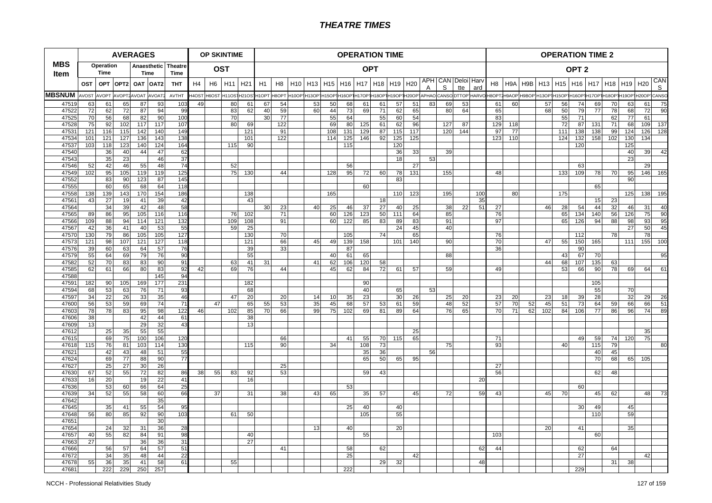| <b>MBS</b><br>Operation<br>Anaesthetic<br><b>Theatre</b><br><b>OST</b><br><b>OPT</b><br>OPT <sub>2</sub><br><b>Time</b><br><b>Time</b><br>Time<br><b>Item</b><br>APH   CAN   Deloi   Harv<br>CAN<br>H <sub>6</sub><br>H10   H13   H15   H16   H17   H18   H19   H20<br>H <sub>8</sub><br>H9A<br>H9B H13 H15<br><b>OPT</b><br>OPT <sub>2</sub><br>H4<br>H <sub>11</sub><br>H <sub>21</sub><br>H <sub>8</sub><br>H16   H17   H18   H19   H20<br><b>OST</b><br>OAT OAT2<br>H1<br><b>THT</b><br>$\mathcal{S}$<br>S.<br>tte<br>ard<br><b>MBSNUM</b><br>AVOPT2AVOAT AVOAT2<br>110PT H80PT H100PTH130PTH150PTH160PTH170PTH180PTH190PTH200PTAPHA0 CANSO DTT0PTHARVO<br>VOST AVOPT<br><b>AVTHT</b><br>40ST H60ST H110ST H210S<br>H8OPT1H9AOP1H9BOP1H13OP1<br><b>H15OPT</b><br>H16OP1H17OP1H18OP1H19OP1H20OP1CANSC<br>65<br>47519<br>63<br>61<br>87<br>93<br>50<br>57<br>83<br>69<br>53<br>61<br>57<br>103<br>49<br>80<br>61<br>67<br>54<br>53<br>68<br>61<br>61<br>51<br>60<br>56<br>74<br>69<br>70<br>63<br>61<br>75<br>72<br>62<br>72<br>87<br>71<br>80<br>68<br>79<br>77<br>78<br>90<br>47522<br>94<br>99<br>83<br>62<br>40<br>59<br>60<br>44<br>73<br>69<br>62<br>65<br>64<br>65<br>50<br>68<br>72<br>47525<br>70<br>56<br>68<br>82<br>90<br>10 <sub>C</sub><br>70<br>30<br>77<br>55<br>55<br>83<br>71<br>62<br>77<br>61<br>64<br>60<br>54<br>55<br>47528<br>75<br>92<br>102<br>117<br>107<br>80<br>122<br>69<br>125<br>61<br>62<br>96<br>127<br>129<br>118<br>72<br>131<br>71<br>109<br>117<br>69<br>80<br>87<br>87<br>68<br>137<br>47531<br>121<br>115<br>142<br>140<br>149<br>121<br>91<br>108<br>131<br>129<br>87<br>115<br>117<br>120<br>144<br>97<br>77<br>111<br>138<br>138<br>99<br>124<br>126<br>128<br>116<br>101<br>138<br>122<br>146<br>92<br>125<br>110<br>158<br>134<br>47534<br>121<br>127<br>136<br>143<br>101<br>114<br>125<br>125<br>123<br>124<br>132<br>102<br>130<br>47537<br>103<br>118<br>123<br>140<br>124<br>164<br>115<br>90<br>115<br>120<br>120<br>125<br>47540<br>36<br>40<br>44<br>47<br>62<br>33<br>39<br>40<br>39<br>42<br>36<br>47543<br>23<br>37<br>18<br>53<br>23<br>35<br>46<br>74<br>52<br>42<br>46<br>55<br>48<br>27<br>63<br>29<br>47546<br>52<br>56<br>102<br>95<br>125<br>72<br>78<br>70<br>146<br>165<br>47549<br>105<br>119<br>119<br>75<br>130<br>44<br>128<br>95<br>60<br>78<br>131<br>155<br>48<br>133<br>109<br>95<br>47552<br>83<br>83<br>90<br>123<br>87<br>145<br>90<br>47555<br>60<br>65<br>68<br>64<br>118<br>60<br>65<br>47558<br>138<br>139<br>143<br>170<br>154<br>186<br>138<br>165<br>110<br>123<br>195<br>100<br>80<br>175<br>125<br>138<br>195<br>23<br>27<br>41<br>39<br>35<br>47561<br>43<br>19<br>42<br>43<br>18<br>15<br>34<br>39<br>58<br>38<br>42<br>48<br>25<br>46<br>37<br>27<br>25<br>22<br>51<br>27<br>28<br>54<br>44<br>32<br>31<br>47564<br>30 <sup>1</sup><br>23<br>40<br>40<br>46<br>46<br>40<br>47565<br>105<br>116<br>116<br>71<br>123<br>85<br>75<br>90<br>89<br>86<br>95<br>76<br>102<br>60<br>126<br>50<br>111<br>64<br>76<br>65<br>134<br>140<br>56<br>126<br>109<br>132<br>91<br>122<br>85<br>83<br>83<br>91<br>97<br>94<br>88<br>47566<br>88<br>94<br>114<br>121<br>109<br>108<br>60<br>89<br>65<br>126<br>98<br>93<br>95<br>47567<br>42<br>36<br>41<br>40<br>53<br>55<br>24<br>45<br>40<br>27<br>50<br>45<br>59<br>25<br>74<br>47570<br>130<br>79<br>86<br>105<br>105<br>127<br>70<br>105<br>65<br>76<br>112<br>78<br>78<br>130<br>98<br>90<br>150<br>155<br>47573<br>121<br>107<br>121<br>127<br>118<br>121<br>66<br>45<br>49<br>139<br>158<br>101<br>140<br>70<br>47<br>55<br>165<br>111<br>100<br>33<br>47576<br>57<br>76<br>39<br>60<br>63<br>64<br>39<br>87<br>36<br>90<br>90<br>47579<br>55<br>64<br>69<br>79<br>76<br>55<br>61<br>65<br>88<br>67<br>70<br>95<br>40<br>43<br>52<br>83<br>90<br>91<br>41<br>62<br>68<br>135<br>63<br>47582<br>70<br>83<br>63<br>41<br>31<br>106<br>120<br>58<br>44<br>107<br>62<br>61<br>66<br>80<br>83<br>92<br>42<br>76<br>62<br>84<br>72<br>57<br>59<br>49<br>66<br>90<br>78<br>61<br>47585<br>69<br>44<br>45<br>61<br>53<br>69<br>64<br>47588<br>145<br>94<br>105<br>177<br>231<br>182<br>105<br>47591<br>182<br>90<br>169<br>90<br>68<br>53<br>71<br>93<br>53<br>55<br>70<br>47594<br>63<br>76<br>68<br>40<br>65<br>35<br>22<br>26<br>33<br>46<br>20<br>26<br>25<br>20<br>28<br>32<br>29<br>26<br>47597<br>34<br>47<br>20<br>14<br>10 <sup>1</sup><br>35<br>23<br>30<br>23<br>20<br>23<br>18<br>39<br>$\overline{71}$<br>56<br>47600<br>53<br>59<br>69<br>74<br>47<br>45<br>68<br>57<br>61<br>59<br>48<br>52<br>70<br>52<br>45<br>51<br>73<br>64<br>59<br>66<br>66<br>51<br>65<br>55<br>53<br>35 <sup>1</sup><br>53<br>57<br>122<br>78<br>83<br>98<br>76<br>65<br>71<br>62<br>102<br>77<br>74<br>89<br>47603<br>78<br>95<br>46<br>102<br>85<br>70<br>66<br>99<br>75<br>102<br>69<br>81<br>89<br>64<br>70<br>84<br>106<br>86<br>96<br>38<br>42<br>44<br>61<br>38<br>47606<br>32<br>47609<br>13 <sup>1</sup><br>29<br>43<br>13<br>47612<br>25<br>35<br>55<br>55<br>35<br>25<br>47615<br>69<br>75<br>100<br>106<br>120<br>41<br>65<br>71<br>49<br>59<br>74<br>75<br>66<br>55<br>70<br>115<br>120<br>79<br>47618<br>115<br>76<br>81<br>103<br>114<br>130<br>115<br>90<br>34<br>108<br>73<br>75<br>93<br>40<br>115<br>80<br>42<br>43<br>51<br>55<br>47621<br>48<br>35<br>36<br>56<br>40<br>45<br>69<br>$\overline{77}$<br>$\overline{77}$<br>95<br>47624<br>88<br>90<br>50<br>65<br>70<br>68<br>65<br>105<br>65<br>25<br>27<br>26<br>47627<br>30 <sup>1</sup><br>25<br>27<br>47630<br>67<br>52<br>55<br>72<br>82<br>86<br>38<br>55<br>83<br>92<br>53<br>59<br>43<br>56<br>62<br>48<br>47633<br>16<br>20<br>19<br>22<br>41<br>20<br>16<br>25<br>47636<br>53<br>66<br>64<br>53<br>60<br>60<br>55<br>60<br>66<br>38<br>57<br>72<br>70<br>48<br>73<br>47639<br>34<br>52<br>58<br>37<br>31<br>43<br>65<br>35<br>45<br>59<br>43<br>45<br>45<br>62<br>35<br>47642<br>55<br>54<br>25<br>40<br>30<br>45<br>47645<br>35<br>41<br>95<br>40<br>49<br>85<br>92<br>90<br>103<br>59<br>47648<br>56<br>80<br>50<br>105<br>55<br>110<br>61<br>47651<br>30<br>36<br>47654<br>24<br>32<br>31<br>28<br>13 <sup>1</sup><br>40<br>20<br>20<br>41<br>35<br>55<br>60<br>47657<br>40<br>55<br>82<br>84<br>91<br>98<br>40<br>103<br>36<br>31<br>27<br>47663<br>27<br>36<br>47666<br>57<br>51<br>56<br>57<br>64<br>41<br>58<br>62<br>62<br>44<br>62<br>64<br>22<br>34<br>35<br>44<br>42<br>27<br>42<br>47672<br>48<br>25<br>47678<br>36<br>35<br>41<br>58<br>61<br>48<br>55<br>55<br>29<br>32<br>31<br>38<br>47681<br>222<br>229<br>250<br>257<br>222<br>229 |  |  | <b>AVERAGES</b> |  |  | <b>OP SKINTIME</b> |  |  | <b>OPERATION TIME</b> |  |  |  |  |  |  |  | <b>OPERATION TIME 2</b> |  |  |
|-----------------------------------------------------------------------------------------------------------------------------------------------------------------------------------------------------------------------------------------------------------------------------------------------------------------------------------------------------------------------------------------------------------------------------------------------------------------------------------------------------------------------------------------------------------------------------------------------------------------------------------------------------------------------------------------------------------------------------------------------------------------------------------------------------------------------------------------------------------------------------------------------------------------------------------------------------------------------------------------------------------------------------------------------------------------------------------------------------------------------------------------------------------------------------------------------------------------------------------------------------------------------------------------------------------------------------------------------------------------------------------------------------------------------------------------------------------------------------------------------------------------------------------------------------------------------------------------------------------------------------------------------------------------------------------------------------------------------------------------------------------------------------------------------------------------------------------------------------------------------------------------------------------------------------------------------------------------------------------------------------------------------------------------------------------------------------------------------------------------------------------------------------------------------------------------------------------------------------------------------------------------------------------------------------------------------------------------------------------------------------------------------------------------------------------------------------------------------------------------------------------------------------------------------------------------------------------------------------------------------------------------------------------------------------------------------------------------------------------------------------------------------------------------------------------------------------------------------------------------------------------------------------------------------------------------------------------------------------------------------------------------------------------------------------------------------------------------------------------------------------------------------------------------------------------------------------------------------------------------------------------------------------------------------------------------------------------------------------------------------------------------------------------------------------------------------------------------------------------------------------------------------------------------------------------------------------------------------------------------------------------------------------------------------------------------------------------------------------------------------------------------------------------------------------------------------------------------------------------------------------------------------------------------------------------------------------------------------------------------------------------------------------------------------------------------------------------------------------------------------------------------------------------------------------------------------------------------------------------------------------------------------------------------------------------------------------------------------------------------------------------------------------------------------------------------------------------------------------------------------------------------------------------------------------------------------------------------------------------------------------------------------------------------------------------------------------------------------------------------------------------------------------------------------------------------------------------------------------------------------------------------------------------------------------------------------------------------------------------------------------------------------------------------------------------------------------------------------------------------------------------------------------------------------------------------------------------------------------------------------------------------------------------------------------------------------------------------------------------------------------------------------------------------------------------------------------------------------------------------------------------------------------------------------------------------------------------------------------------------------------------------------------------------------------------------------------------------------------------------------------------------------------------------------------------------------------------------------------------------------------------------------------------------------------------------------------------------------------------------------------------------------------------------------------------------------------------------------------------------------------------------------------------------------------------------------------------------------------------------------------------------------------------------------------------------------------------------------------------------------------------------------------------------------------------------------------------------------------------------------------------------------------------------------------|--|--|-----------------|--|--|--------------------|--|--|-----------------------|--|--|--|--|--|--|--|-------------------------|--|--|
|                                                                                                                                                                                                                                                                                                                                                                                                                                                                                                                                                                                                                                                                                                                                                                                                                                                                                                                                                                                                                                                                                                                                                                                                                                                                                                                                                                                                                                                                                                                                                                                                                                                                                                                                                                                                                                                                                                                                                                                                                                                                                                                                                                                                                                                                                                                                                                                                                                                                                                                                                                                                                                                                                                                                                                                                                                                                                                                                                                                                                                                                                                                                                                                                                                                                                                                                                                                                                                                                                                                                                                                                                                                                                                                                                                                                                                                                                                                                                                                                                                                                                                                                                                                                                                                                                                                                                                                                                                                                                                                                                                                                                                                                                                                                                                                                                                                                                                                                                                                                                                                                                                                                                                                                                                                                                                                                                                                                                                                                                                                                                                                                                                                                                                                                                                                                                                                                                                                                                                                                                                                                                                                                                                                                                                                                                                                                                                                                                                                                                                                                                     |  |  |                 |  |  |                    |  |  |                       |  |  |  |  |  |  |  |                         |  |  |
|                                                                                                                                                                                                                                                                                                                                                                                                                                                                                                                                                                                                                                                                                                                                                                                                                                                                                                                                                                                                                                                                                                                                                                                                                                                                                                                                                                                                                                                                                                                                                                                                                                                                                                                                                                                                                                                                                                                                                                                                                                                                                                                                                                                                                                                                                                                                                                                                                                                                                                                                                                                                                                                                                                                                                                                                                                                                                                                                                                                                                                                                                                                                                                                                                                                                                                                                                                                                                                                                                                                                                                                                                                                                                                                                                                                                                                                                                                                                                                                                                                                                                                                                                                                                                                                                                                                                                                                                                                                                                                                                                                                                                                                                                                                                                                                                                                                                                                                                                                                                                                                                                                                                                                                                                                                                                                                                                                                                                                                                                                                                                                                                                                                                                                                                                                                                                                                                                                                                                                                                                                                                                                                                                                                                                                                                                                                                                                                                                                                                                                                                                     |  |  |                 |  |  |                    |  |  |                       |  |  |  |  |  |  |  |                         |  |  |
|                                                                                                                                                                                                                                                                                                                                                                                                                                                                                                                                                                                                                                                                                                                                                                                                                                                                                                                                                                                                                                                                                                                                                                                                                                                                                                                                                                                                                                                                                                                                                                                                                                                                                                                                                                                                                                                                                                                                                                                                                                                                                                                                                                                                                                                                                                                                                                                                                                                                                                                                                                                                                                                                                                                                                                                                                                                                                                                                                                                                                                                                                                                                                                                                                                                                                                                                                                                                                                                                                                                                                                                                                                                                                                                                                                                                                                                                                                                                                                                                                                                                                                                                                                                                                                                                                                                                                                                                                                                                                                                                                                                                                                                                                                                                                                                                                                                                                                                                                                                                                                                                                                                                                                                                                                                                                                                                                                                                                                                                                                                                                                                                                                                                                                                                                                                                                                                                                                                                                                                                                                                                                                                                                                                                                                                                                                                                                                                                                                                                                                                                                     |  |  |                 |  |  |                    |  |  |                       |  |  |  |  |  |  |  |                         |  |  |
|                                                                                                                                                                                                                                                                                                                                                                                                                                                                                                                                                                                                                                                                                                                                                                                                                                                                                                                                                                                                                                                                                                                                                                                                                                                                                                                                                                                                                                                                                                                                                                                                                                                                                                                                                                                                                                                                                                                                                                                                                                                                                                                                                                                                                                                                                                                                                                                                                                                                                                                                                                                                                                                                                                                                                                                                                                                                                                                                                                                                                                                                                                                                                                                                                                                                                                                                                                                                                                                                                                                                                                                                                                                                                                                                                                                                                                                                                                                                                                                                                                                                                                                                                                                                                                                                                                                                                                                                                                                                                                                                                                                                                                                                                                                                                                                                                                                                                                                                                                                                                                                                                                                                                                                                                                                                                                                                                                                                                                                                                                                                                                                                                                                                                                                                                                                                                                                                                                                                                                                                                                                                                                                                                                                                                                                                                                                                                                                                                                                                                                                                                     |  |  |                 |  |  |                    |  |  |                       |  |  |  |  |  |  |  |                         |  |  |
|                                                                                                                                                                                                                                                                                                                                                                                                                                                                                                                                                                                                                                                                                                                                                                                                                                                                                                                                                                                                                                                                                                                                                                                                                                                                                                                                                                                                                                                                                                                                                                                                                                                                                                                                                                                                                                                                                                                                                                                                                                                                                                                                                                                                                                                                                                                                                                                                                                                                                                                                                                                                                                                                                                                                                                                                                                                                                                                                                                                                                                                                                                                                                                                                                                                                                                                                                                                                                                                                                                                                                                                                                                                                                                                                                                                                                                                                                                                                                                                                                                                                                                                                                                                                                                                                                                                                                                                                                                                                                                                                                                                                                                                                                                                                                                                                                                                                                                                                                                                                                                                                                                                                                                                                                                                                                                                                                                                                                                                                                                                                                                                                                                                                                                                                                                                                                                                                                                                                                                                                                                                                                                                                                                                                                                                                                                                                                                                                                                                                                                                                                     |  |  |                 |  |  |                    |  |  |                       |  |  |  |  |  |  |  |                         |  |  |
|                                                                                                                                                                                                                                                                                                                                                                                                                                                                                                                                                                                                                                                                                                                                                                                                                                                                                                                                                                                                                                                                                                                                                                                                                                                                                                                                                                                                                                                                                                                                                                                                                                                                                                                                                                                                                                                                                                                                                                                                                                                                                                                                                                                                                                                                                                                                                                                                                                                                                                                                                                                                                                                                                                                                                                                                                                                                                                                                                                                                                                                                                                                                                                                                                                                                                                                                                                                                                                                                                                                                                                                                                                                                                                                                                                                                                                                                                                                                                                                                                                                                                                                                                                                                                                                                                                                                                                                                                                                                                                                                                                                                                                                                                                                                                                                                                                                                                                                                                                                                                                                                                                                                                                                                                                                                                                                                                                                                                                                                                                                                                                                                                                                                                                                                                                                                                                                                                                                                                                                                                                                                                                                                                                                                                                                                                                                                                                                                                                                                                                                                                     |  |  |                 |  |  |                    |  |  |                       |  |  |  |  |  |  |  |                         |  |  |
|                                                                                                                                                                                                                                                                                                                                                                                                                                                                                                                                                                                                                                                                                                                                                                                                                                                                                                                                                                                                                                                                                                                                                                                                                                                                                                                                                                                                                                                                                                                                                                                                                                                                                                                                                                                                                                                                                                                                                                                                                                                                                                                                                                                                                                                                                                                                                                                                                                                                                                                                                                                                                                                                                                                                                                                                                                                                                                                                                                                                                                                                                                                                                                                                                                                                                                                                                                                                                                                                                                                                                                                                                                                                                                                                                                                                                                                                                                                                                                                                                                                                                                                                                                                                                                                                                                                                                                                                                                                                                                                                                                                                                                                                                                                                                                                                                                                                                                                                                                                                                                                                                                                                                                                                                                                                                                                                                                                                                                                                                                                                                                                                                                                                                                                                                                                                                                                                                                                                                                                                                                                                                                                                                                                                                                                                                                                                                                                                                                                                                                                                                     |  |  |                 |  |  |                    |  |  |                       |  |  |  |  |  |  |  |                         |  |  |
|                                                                                                                                                                                                                                                                                                                                                                                                                                                                                                                                                                                                                                                                                                                                                                                                                                                                                                                                                                                                                                                                                                                                                                                                                                                                                                                                                                                                                                                                                                                                                                                                                                                                                                                                                                                                                                                                                                                                                                                                                                                                                                                                                                                                                                                                                                                                                                                                                                                                                                                                                                                                                                                                                                                                                                                                                                                                                                                                                                                                                                                                                                                                                                                                                                                                                                                                                                                                                                                                                                                                                                                                                                                                                                                                                                                                                                                                                                                                                                                                                                                                                                                                                                                                                                                                                                                                                                                                                                                                                                                                                                                                                                                                                                                                                                                                                                                                                                                                                                                                                                                                                                                                                                                                                                                                                                                                                                                                                                                                                                                                                                                                                                                                                                                                                                                                                                                                                                                                                                                                                                                                                                                                                                                                                                                                                                                                                                                                                                                                                                                                                     |  |  |                 |  |  |                    |  |  |                       |  |  |  |  |  |  |  |                         |  |  |
|                                                                                                                                                                                                                                                                                                                                                                                                                                                                                                                                                                                                                                                                                                                                                                                                                                                                                                                                                                                                                                                                                                                                                                                                                                                                                                                                                                                                                                                                                                                                                                                                                                                                                                                                                                                                                                                                                                                                                                                                                                                                                                                                                                                                                                                                                                                                                                                                                                                                                                                                                                                                                                                                                                                                                                                                                                                                                                                                                                                                                                                                                                                                                                                                                                                                                                                                                                                                                                                                                                                                                                                                                                                                                                                                                                                                                                                                                                                                                                                                                                                                                                                                                                                                                                                                                                                                                                                                                                                                                                                                                                                                                                                                                                                                                                                                                                                                                                                                                                                                                                                                                                                                                                                                                                                                                                                                                                                                                                                                                                                                                                                                                                                                                                                                                                                                                                                                                                                                                                                                                                                                                                                                                                                                                                                                                                                                                                                                                                                                                                                                                     |  |  |                 |  |  |                    |  |  |                       |  |  |  |  |  |  |  |                         |  |  |
|                                                                                                                                                                                                                                                                                                                                                                                                                                                                                                                                                                                                                                                                                                                                                                                                                                                                                                                                                                                                                                                                                                                                                                                                                                                                                                                                                                                                                                                                                                                                                                                                                                                                                                                                                                                                                                                                                                                                                                                                                                                                                                                                                                                                                                                                                                                                                                                                                                                                                                                                                                                                                                                                                                                                                                                                                                                                                                                                                                                                                                                                                                                                                                                                                                                                                                                                                                                                                                                                                                                                                                                                                                                                                                                                                                                                                                                                                                                                                                                                                                                                                                                                                                                                                                                                                                                                                                                                                                                                                                                                                                                                                                                                                                                                                                                                                                                                                                                                                                                                                                                                                                                                                                                                                                                                                                                                                                                                                                                                                                                                                                                                                                                                                                                                                                                                                                                                                                                                                                                                                                                                                                                                                                                                                                                                                                                                                                                                                                                                                                                                                     |  |  |                 |  |  |                    |  |  |                       |  |  |  |  |  |  |  |                         |  |  |
|                                                                                                                                                                                                                                                                                                                                                                                                                                                                                                                                                                                                                                                                                                                                                                                                                                                                                                                                                                                                                                                                                                                                                                                                                                                                                                                                                                                                                                                                                                                                                                                                                                                                                                                                                                                                                                                                                                                                                                                                                                                                                                                                                                                                                                                                                                                                                                                                                                                                                                                                                                                                                                                                                                                                                                                                                                                                                                                                                                                                                                                                                                                                                                                                                                                                                                                                                                                                                                                                                                                                                                                                                                                                                                                                                                                                                                                                                                                                                                                                                                                                                                                                                                                                                                                                                                                                                                                                                                                                                                                                                                                                                                                                                                                                                                                                                                                                                                                                                                                                                                                                                                                                                                                                                                                                                                                                                                                                                                                                                                                                                                                                                                                                                                                                                                                                                                                                                                                                                                                                                                                                                                                                                                                                                                                                                                                                                                                                                                                                                                                                                     |  |  |                 |  |  |                    |  |  |                       |  |  |  |  |  |  |  |                         |  |  |
|                                                                                                                                                                                                                                                                                                                                                                                                                                                                                                                                                                                                                                                                                                                                                                                                                                                                                                                                                                                                                                                                                                                                                                                                                                                                                                                                                                                                                                                                                                                                                                                                                                                                                                                                                                                                                                                                                                                                                                                                                                                                                                                                                                                                                                                                                                                                                                                                                                                                                                                                                                                                                                                                                                                                                                                                                                                                                                                                                                                                                                                                                                                                                                                                                                                                                                                                                                                                                                                                                                                                                                                                                                                                                                                                                                                                                                                                                                                                                                                                                                                                                                                                                                                                                                                                                                                                                                                                                                                                                                                                                                                                                                                                                                                                                                                                                                                                                                                                                                                                                                                                                                                                                                                                                                                                                                                                                                                                                                                                                                                                                                                                                                                                                                                                                                                                                                                                                                                                                                                                                                                                                                                                                                                                                                                                                                                                                                                                                                                                                                                                                     |  |  |                 |  |  |                    |  |  |                       |  |  |  |  |  |  |  |                         |  |  |
|                                                                                                                                                                                                                                                                                                                                                                                                                                                                                                                                                                                                                                                                                                                                                                                                                                                                                                                                                                                                                                                                                                                                                                                                                                                                                                                                                                                                                                                                                                                                                                                                                                                                                                                                                                                                                                                                                                                                                                                                                                                                                                                                                                                                                                                                                                                                                                                                                                                                                                                                                                                                                                                                                                                                                                                                                                                                                                                                                                                                                                                                                                                                                                                                                                                                                                                                                                                                                                                                                                                                                                                                                                                                                                                                                                                                                                                                                                                                                                                                                                                                                                                                                                                                                                                                                                                                                                                                                                                                                                                                                                                                                                                                                                                                                                                                                                                                                                                                                                                                                                                                                                                                                                                                                                                                                                                                                                                                                                                                                                                                                                                                                                                                                                                                                                                                                                                                                                                                                                                                                                                                                                                                                                                                                                                                                                                                                                                                                                                                                                                                                     |  |  |                 |  |  |                    |  |  |                       |  |  |  |  |  |  |  |                         |  |  |
|                                                                                                                                                                                                                                                                                                                                                                                                                                                                                                                                                                                                                                                                                                                                                                                                                                                                                                                                                                                                                                                                                                                                                                                                                                                                                                                                                                                                                                                                                                                                                                                                                                                                                                                                                                                                                                                                                                                                                                                                                                                                                                                                                                                                                                                                                                                                                                                                                                                                                                                                                                                                                                                                                                                                                                                                                                                                                                                                                                                                                                                                                                                                                                                                                                                                                                                                                                                                                                                                                                                                                                                                                                                                                                                                                                                                                                                                                                                                                                                                                                                                                                                                                                                                                                                                                                                                                                                                                                                                                                                                                                                                                                                                                                                                                                                                                                                                                                                                                                                                                                                                                                                                                                                                                                                                                                                                                                                                                                                                                                                                                                                                                                                                                                                                                                                                                                                                                                                                                                                                                                                                                                                                                                                                                                                                                                                                                                                                                                                                                                                                                     |  |  |                 |  |  |                    |  |  |                       |  |  |  |  |  |  |  |                         |  |  |
|                                                                                                                                                                                                                                                                                                                                                                                                                                                                                                                                                                                                                                                                                                                                                                                                                                                                                                                                                                                                                                                                                                                                                                                                                                                                                                                                                                                                                                                                                                                                                                                                                                                                                                                                                                                                                                                                                                                                                                                                                                                                                                                                                                                                                                                                                                                                                                                                                                                                                                                                                                                                                                                                                                                                                                                                                                                                                                                                                                                                                                                                                                                                                                                                                                                                                                                                                                                                                                                                                                                                                                                                                                                                                                                                                                                                                                                                                                                                                                                                                                                                                                                                                                                                                                                                                                                                                                                                                                                                                                                                                                                                                                                                                                                                                                                                                                                                                                                                                                                                                                                                                                                                                                                                                                                                                                                                                                                                                                                                                                                                                                                                                                                                                                                                                                                                                                                                                                                                                                                                                                                                                                                                                                                                                                                                                                                                                                                                                                                                                                                                                     |  |  |                 |  |  |                    |  |  |                       |  |  |  |  |  |  |  |                         |  |  |
|                                                                                                                                                                                                                                                                                                                                                                                                                                                                                                                                                                                                                                                                                                                                                                                                                                                                                                                                                                                                                                                                                                                                                                                                                                                                                                                                                                                                                                                                                                                                                                                                                                                                                                                                                                                                                                                                                                                                                                                                                                                                                                                                                                                                                                                                                                                                                                                                                                                                                                                                                                                                                                                                                                                                                                                                                                                                                                                                                                                                                                                                                                                                                                                                                                                                                                                                                                                                                                                                                                                                                                                                                                                                                                                                                                                                                                                                                                                                                                                                                                                                                                                                                                                                                                                                                                                                                                                                                                                                                                                                                                                                                                                                                                                                                                                                                                                                                                                                                                                                                                                                                                                                                                                                                                                                                                                                                                                                                                                                                                                                                                                                                                                                                                                                                                                                                                                                                                                                                                                                                                                                                                                                                                                                                                                                                                                                                                                                                                                                                                                                                     |  |  |                 |  |  |                    |  |  |                       |  |  |  |  |  |  |  |                         |  |  |
|                                                                                                                                                                                                                                                                                                                                                                                                                                                                                                                                                                                                                                                                                                                                                                                                                                                                                                                                                                                                                                                                                                                                                                                                                                                                                                                                                                                                                                                                                                                                                                                                                                                                                                                                                                                                                                                                                                                                                                                                                                                                                                                                                                                                                                                                                                                                                                                                                                                                                                                                                                                                                                                                                                                                                                                                                                                                                                                                                                                                                                                                                                                                                                                                                                                                                                                                                                                                                                                                                                                                                                                                                                                                                                                                                                                                                                                                                                                                                                                                                                                                                                                                                                                                                                                                                                                                                                                                                                                                                                                                                                                                                                                                                                                                                                                                                                                                                                                                                                                                                                                                                                                                                                                                                                                                                                                                                                                                                                                                                                                                                                                                                                                                                                                                                                                                                                                                                                                                                                                                                                                                                                                                                                                                                                                                                                                                                                                                                                                                                                                                                     |  |  |                 |  |  |                    |  |  |                       |  |  |  |  |  |  |  |                         |  |  |
|                                                                                                                                                                                                                                                                                                                                                                                                                                                                                                                                                                                                                                                                                                                                                                                                                                                                                                                                                                                                                                                                                                                                                                                                                                                                                                                                                                                                                                                                                                                                                                                                                                                                                                                                                                                                                                                                                                                                                                                                                                                                                                                                                                                                                                                                                                                                                                                                                                                                                                                                                                                                                                                                                                                                                                                                                                                                                                                                                                                                                                                                                                                                                                                                                                                                                                                                                                                                                                                                                                                                                                                                                                                                                                                                                                                                                                                                                                                                                                                                                                                                                                                                                                                                                                                                                                                                                                                                                                                                                                                                                                                                                                                                                                                                                                                                                                                                                                                                                                                                                                                                                                                                                                                                                                                                                                                                                                                                                                                                                                                                                                                                                                                                                                                                                                                                                                                                                                                                                                                                                                                                                                                                                                                                                                                                                                                                                                                                                                                                                                                                                     |  |  |                 |  |  |                    |  |  |                       |  |  |  |  |  |  |  |                         |  |  |
|                                                                                                                                                                                                                                                                                                                                                                                                                                                                                                                                                                                                                                                                                                                                                                                                                                                                                                                                                                                                                                                                                                                                                                                                                                                                                                                                                                                                                                                                                                                                                                                                                                                                                                                                                                                                                                                                                                                                                                                                                                                                                                                                                                                                                                                                                                                                                                                                                                                                                                                                                                                                                                                                                                                                                                                                                                                                                                                                                                                                                                                                                                                                                                                                                                                                                                                                                                                                                                                                                                                                                                                                                                                                                                                                                                                                                                                                                                                                                                                                                                                                                                                                                                                                                                                                                                                                                                                                                                                                                                                                                                                                                                                                                                                                                                                                                                                                                                                                                                                                                                                                                                                                                                                                                                                                                                                                                                                                                                                                                                                                                                                                                                                                                                                                                                                                                                                                                                                                                                                                                                                                                                                                                                                                                                                                                                                                                                                                                                                                                                                                                     |  |  |                 |  |  |                    |  |  |                       |  |  |  |  |  |  |  |                         |  |  |
|                                                                                                                                                                                                                                                                                                                                                                                                                                                                                                                                                                                                                                                                                                                                                                                                                                                                                                                                                                                                                                                                                                                                                                                                                                                                                                                                                                                                                                                                                                                                                                                                                                                                                                                                                                                                                                                                                                                                                                                                                                                                                                                                                                                                                                                                                                                                                                                                                                                                                                                                                                                                                                                                                                                                                                                                                                                                                                                                                                                                                                                                                                                                                                                                                                                                                                                                                                                                                                                                                                                                                                                                                                                                                                                                                                                                                                                                                                                                                                                                                                                                                                                                                                                                                                                                                                                                                                                                                                                                                                                                                                                                                                                                                                                                                                                                                                                                                                                                                                                                                                                                                                                                                                                                                                                                                                                                                                                                                                                                                                                                                                                                                                                                                                                                                                                                                                                                                                                                                                                                                                                                                                                                                                                                                                                                                                                                                                                                                                                                                                                                                     |  |  |                 |  |  |                    |  |  |                       |  |  |  |  |  |  |  |                         |  |  |
|                                                                                                                                                                                                                                                                                                                                                                                                                                                                                                                                                                                                                                                                                                                                                                                                                                                                                                                                                                                                                                                                                                                                                                                                                                                                                                                                                                                                                                                                                                                                                                                                                                                                                                                                                                                                                                                                                                                                                                                                                                                                                                                                                                                                                                                                                                                                                                                                                                                                                                                                                                                                                                                                                                                                                                                                                                                                                                                                                                                                                                                                                                                                                                                                                                                                                                                                                                                                                                                                                                                                                                                                                                                                                                                                                                                                                                                                                                                                                                                                                                                                                                                                                                                                                                                                                                                                                                                                                                                                                                                                                                                                                                                                                                                                                                                                                                                                                                                                                                                                                                                                                                                                                                                                                                                                                                                                                                                                                                                                                                                                                                                                                                                                                                                                                                                                                                                                                                                                                                                                                                                                                                                                                                                                                                                                                                                                                                                                                                                                                                                                                     |  |  |                 |  |  |                    |  |  |                       |  |  |  |  |  |  |  |                         |  |  |
|                                                                                                                                                                                                                                                                                                                                                                                                                                                                                                                                                                                                                                                                                                                                                                                                                                                                                                                                                                                                                                                                                                                                                                                                                                                                                                                                                                                                                                                                                                                                                                                                                                                                                                                                                                                                                                                                                                                                                                                                                                                                                                                                                                                                                                                                                                                                                                                                                                                                                                                                                                                                                                                                                                                                                                                                                                                                                                                                                                                                                                                                                                                                                                                                                                                                                                                                                                                                                                                                                                                                                                                                                                                                                                                                                                                                                                                                                                                                                                                                                                                                                                                                                                                                                                                                                                                                                                                                                                                                                                                                                                                                                                                                                                                                                                                                                                                                                                                                                                                                                                                                                                                                                                                                                                                                                                                                                                                                                                                                                                                                                                                                                                                                                                                                                                                                                                                                                                                                                                                                                                                                                                                                                                                                                                                                                                                                                                                                                                                                                                                                                     |  |  |                 |  |  |                    |  |  |                       |  |  |  |  |  |  |  |                         |  |  |
|                                                                                                                                                                                                                                                                                                                                                                                                                                                                                                                                                                                                                                                                                                                                                                                                                                                                                                                                                                                                                                                                                                                                                                                                                                                                                                                                                                                                                                                                                                                                                                                                                                                                                                                                                                                                                                                                                                                                                                                                                                                                                                                                                                                                                                                                                                                                                                                                                                                                                                                                                                                                                                                                                                                                                                                                                                                                                                                                                                                                                                                                                                                                                                                                                                                                                                                                                                                                                                                                                                                                                                                                                                                                                                                                                                                                                                                                                                                                                                                                                                                                                                                                                                                                                                                                                                                                                                                                                                                                                                                                                                                                                                                                                                                                                                                                                                                                                                                                                                                                                                                                                                                                                                                                                                                                                                                                                                                                                                                                                                                                                                                                                                                                                                                                                                                                                                                                                                                                                                                                                                                                                                                                                                                                                                                                                                                                                                                                                                                                                                                                                     |  |  |                 |  |  |                    |  |  |                       |  |  |  |  |  |  |  |                         |  |  |
|                                                                                                                                                                                                                                                                                                                                                                                                                                                                                                                                                                                                                                                                                                                                                                                                                                                                                                                                                                                                                                                                                                                                                                                                                                                                                                                                                                                                                                                                                                                                                                                                                                                                                                                                                                                                                                                                                                                                                                                                                                                                                                                                                                                                                                                                                                                                                                                                                                                                                                                                                                                                                                                                                                                                                                                                                                                                                                                                                                                                                                                                                                                                                                                                                                                                                                                                                                                                                                                                                                                                                                                                                                                                                                                                                                                                                                                                                                                                                                                                                                                                                                                                                                                                                                                                                                                                                                                                                                                                                                                                                                                                                                                                                                                                                                                                                                                                                                                                                                                                                                                                                                                                                                                                                                                                                                                                                                                                                                                                                                                                                                                                                                                                                                                                                                                                                                                                                                                                                                                                                                                                                                                                                                                                                                                                                                                                                                                                                                                                                                                                                     |  |  |                 |  |  |                    |  |  |                       |  |  |  |  |  |  |  |                         |  |  |
|                                                                                                                                                                                                                                                                                                                                                                                                                                                                                                                                                                                                                                                                                                                                                                                                                                                                                                                                                                                                                                                                                                                                                                                                                                                                                                                                                                                                                                                                                                                                                                                                                                                                                                                                                                                                                                                                                                                                                                                                                                                                                                                                                                                                                                                                                                                                                                                                                                                                                                                                                                                                                                                                                                                                                                                                                                                                                                                                                                                                                                                                                                                                                                                                                                                                                                                                                                                                                                                                                                                                                                                                                                                                                                                                                                                                                                                                                                                                                                                                                                                                                                                                                                                                                                                                                                                                                                                                                                                                                                                                                                                                                                                                                                                                                                                                                                                                                                                                                                                                                                                                                                                                                                                                                                                                                                                                                                                                                                                                                                                                                                                                                                                                                                                                                                                                                                                                                                                                                                                                                                                                                                                                                                                                                                                                                                                                                                                                                                                                                                                                                     |  |  |                 |  |  |                    |  |  |                       |  |  |  |  |  |  |  |                         |  |  |
|                                                                                                                                                                                                                                                                                                                                                                                                                                                                                                                                                                                                                                                                                                                                                                                                                                                                                                                                                                                                                                                                                                                                                                                                                                                                                                                                                                                                                                                                                                                                                                                                                                                                                                                                                                                                                                                                                                                                                                                                                                                                                                                                                                                                                                                                                                                                                                                                                                                                                                                                                                                                                                                                                                                                                                                                                                                                                                                                                                                                                                                                                                                                                                                                                                                                                                                                                                                                                                                                                                                                                                                                                                                                                                                                                                                                                                                                                                                                                                                                                                                                                                                                                                                                                                                                                                                                                                                                                                                                                                                                                                                                                                                                                                                                                                                                                                                                                                                                                                                                                                                                                                                                                                                                                                                                                                                                                                                                                                                                                                                                                                                                                                                                                                                                                                                                                                                                                                                                                                                                                                                                                                                                                                                                                                                                                                                                                                                                                                                                                                                                                     |  |  |                 |  |  |                    |  |  |                       |  |  |  |  |  |  |  |                         |  |  |
|                                                                                                                                                                                                                                                                                                                                                                                                                                                                                                                                                                                                                                                                                                                                                                                                                                                                                                                                                                                                                                                                                                                                                                                                                                                                                                                                                                                                                                                                                                                                                                                                                                                                                                                                                                                                                                                                                                                                                                                                                                                                                                                                                                                                                                                                                                                                                                                                                                                                                                                                                                                                                                                                                                                                                                                                                                                                                                                                                                                                                                                                                                                                                                                                                                                                                                                                                                                                                                                                                                                                                                                                                                                                                                                                                                                                                                                                                                                                                                                                                                                                                                                                                                                                                                                                                                                                                                                                                                                                                                                                                                                                                                                                                                                                                                                                                                                                                                                                                                                                                                                                                                                                                                                                                                                                                                                                                                                                                                                                                                                                                                                                                                                                                                                                                                                                                                                                                                                                                                                                                                                                                                                                                                                                                                                                                                                                                                                                                                                                                                                                                     |  |  |                 |  |  |                    |  |  |                       |  |  |  |  |  |  |  |                         |  |  |
|                                                                                                                                                                                                                                                                                                                                                                                                                                                                                                                                                                                                                                                                                                                                                                                                                                                                                                                                                                                                                                                                                                                                                                                                                                                                                                                                                                                                                                                                                                                                                                                                                                                                                                                                                                                                                                                                                                                                                                                                                                                                                                                                                                                                                                                                                                                                                                                                                                                                                                                                                                                                                                                                                                                                                                                                                                                                                                                                                                                                                                                                                                                                                                                                                                                                                                                                                                                                                                                                                                                                                                                                                                                                                                                                                                                                                                                                                                                                                                                                                                                                                                                                                                                                                                                                                                                                                                                                                                                                                                                                                                                                                                                                                                                                                                                                                                                                                                                                                                                                                                                                                                                                                                                                                                                                                                                                                                                                                                                                                                                                                                                                                                                                                                                                                                                                                                                                                                                                                                                                                                                                                                                                                                                                                                                                                                                                                                                                                                                                                                                                                     |  |  |                 |  |  |                    |  |  |                       |  |  |  |  |  |  |  |                         |  |  |
|                                                                                                                                                                                                                                                                                                                                                                                                                                                                                                                                                                                                                                                                                                                                                                                                                                                                                                                                                                                                                                                                                                                                                                                                                                                                                                                                                                                                                                                                                                                                                                                                                                                                                                                                                                                                                                                                                                                                                                                                                                                                                                                                                                                                                                                                                                                                                                                                                                                                                                                                                                                                                                                                                                                                                                                                                                                                                                                                                                                                                                                                                                                                                                                                                                                                                                                                                                                                                                                                                                                                                                                                                                                                                                                                                                                                                                                                                                                                                                                                                                                                                                                                                                                                                                                                                                                                                                                                                                                                                                                                                                                                                                                                                                                                                                                                                                                                                                                                                                                                                                                                                                                                                                                                                                                                                                                                                                                                                                                                                                                                                                                                                                                                                                                                                                                                                                                                                                                                                                                                                                                                                                                                                                                                                                                                                                                                                                                                                                                                                                                                                     |  |  |                 |  |  |                    |  |  |                       |  |  |  |  |  |  |  |                         |  |  |
|                                                                                                                                                                                                                                                                                                                                                                                                                                                                                                                                                                                                                                                                                                                                                                                                                                                                                                                                                                                                                                                                                                                                                                                                                                                                                                                                                                                                                                                                                                                                                                                                                                                                                                                                                                                                                                                                                                                                                                                                                                                                                                                                                                                                                                                                                                                                                                                                                                                                                                                                                                                                                                                                                                                                                                                                                                                                                                                                                                                                                                                                                                                                                                                                                                                                                                                                                                                                                                                                                                                                                                                                                                                                                                                                                                                                                                                                                                                                                                                                                                                                                                                                                                                                                                                                                                                                                                                                                                                                                                                                                                                                                                                                                                                                                                                                                                                                                                                                                                                                                                                                                                                                                                                                                                                                                                                                                                                                                                                                                                                                                                                                                                                                                                                                                                                                                                                                                                                                                                                                                                                                                                                                                                                                                                                                                                                                                                                                                                                                                                                                                     |  |  |                 |  |  |                    |  |  |                       |  |  |  |  |  |  |  |                         |  |  |
|                                                                                                                                                                                                                                                                                                                                                                                                                                                                                                                                                                                                                                                                                                                                                                                                                                                                                                                                                                                                                                                                                                                                                                                                                                                                                                                                                                                                                                                                                                                                                                                                                                                                                                                                                                                                                                                                                                                                                                                                                                                                                                                                                                                                                                                                                                                                                                                                                                                                                                                                                                                                                                                                                                                                                                                                                                                                                                                                                                                                                                                                                                                                                                                                                                                                                                                                                                                                                                                                                                                                                                                                                                                                                                                                                                                                                                                                                                                                                                                                                                                                                                                                                                                                                                                                                                                                                                                                                                                                                                                                                                                                                                                                                                                                                                                                                                                                                                                                                                                                                                                                                                                                                                                                                                                                                                                                                                                                                                                                                                                                                                                                                                                                                                                                                                                                                                                                                                                                                                                                                                                                                                                                                                                                                                                                                                                                                                                                                                                                                                                                                     |  |  |                 |  |  |                    |  |  |                       |  |  |  |  |  |  |  |                         |  |  |
|                                                                                                                                                                                                                                                                                                                                                                                                                                                                                                                                                                                                                                                                                                                                                                                                                                                                                                                                                                                                                                                                                                                                                                                                                                                                                                                                                                                                                                                                                                                                                                                                                                                                                                                                                                                                                                                                                                                                                                                                                                                                                                                                                                                                                                                                                                                                                                                                                                                                                                                                                                                                                                                                                                                                                                                                                                                                                                                                                                                                                                                                                                                                                                                                                                                                                                                                                                                                                                                                                                                                                                                                                                                                                                                                                                                                                                                                                                                                                                                                                                                                                                                                                                                                                                                                                                                                                                                                                                                                                                                                                                                                                                                                                                                                                                                                                                                                                                                                                                                                                                                                                                                                                                                                                                                                                                                                                                                                                                                                                                                                                                                                                                                                                                                                                                                                                                                                                                                                                                                                                                                                                                                                                                                                                                                                                                                                                                                                                                                                                                                                                     |  |  |                 |  |  |                    |  |  |                       |  |  |  |  |  |  |  |                         |  |  |
|                                                                                                                                                                                                                                                                                                                                                                                                                                                                                                                                                                                                                                                                                                                                                                                                                                                                                                                                                                                                                                                                                                                                                                                                                                                                                                                                                                                                                                                                                                                                                                                                                                                                                                                                                                                                                                                                                                                                                                                                                                                                                                                                                                                                                                                                                                                                                                                                                                                                                                                                                                                                                                                                                                                                                                                                                                                                                                                                                                                                                                                                                                                                                                                                                                                                                                                                                                                                                                                                                                                                                                                                                                                                                                                                                                                                                                                                                                                                                                                                                                                                                                                                                                                                                                                                                                                                                                                                                                                                                                                                                                                                                                                                                                                                                                                                                                                                                                                                                                                                                                                                                                                                                                                                                                                                                                                                                                                                                                                                                                                                                                                                                                                                                                                                                                                                                                                                                                                                                                                                                                                                                                                                                                                                                                                                                                                                                                                                                                                                                                                                                     |  |  |                 |  |  |                    |  |  |                       |  |  |  |  |  |  |  |                         |  |  |
|                                                                                                                                                                                                                                                                                                                                                                                                                                                                                                                                                                                                                                                                                                                                                                                                                                                                                                                                                                                                                                                                                                                                                                                                                                                                                                                                                                                                                                                                                                                                                                                                                                                                                                                                                                                                                                                                                                                                                                                                                                                                                                                                                                                                                                                                                                                                                                                                                                                                                                                                                                                                                                                                                                                                                                                                                                                                                                                                                                                                                                                                                                                                                                                                                                                                                                                                                                                                                                                                                                                                                                                                                                                                                                                                                                                                                                                                                                                                                                                                                                                                                                                                                                                                                                                                                                                                                                                                                                                                                                                                                                                                                                                                                                                                                                                                                                                                                                                                                                                                                                                                                                                                                                                                                                                                                                                                                                                                                                                                                                                                                                                                                                                                                                                                                                                                                                                                                                                                                                                                                                                                                                                                                                                                                                                                                                                                                                                                                                                                                                                                                     |  |  |                 |  |  |                    |  |  |                       |  |  |  |  |  |  |  |                         |  |  |
|                                                                                                                                                                                                                                                                                                                                                                                                                                                                                                                                                                                                                                                                                                                                                                                                                                                                                                                                                                                                                                                                                                                                                                                                                                                                                                                                                                                                                                                                                                                                                                                                                                                                                                                                                                                                                                                                                                                                                                                                                                                                                                                                                                                                                                                                                                                                                                                                                                                                                                                                                                                                                                                                                                                                                                                                                                                                                                                                                                                                                                                                                                                                                                                                                                                                                                                                                                                                                                                                                                                                                                                                                                                                                                                                                                                                                                                                                                                                                                                                                                                                                                                                                                                                                                                                                                                                                                                                                                                                                                                                                                                                                                                                                                                                                                                                                                                                                                                                                                                                                                                                                                                                                                                                                                                                                                                                                                                                                                                                                                                                                                                                                                                                                                                                                                                                                                                                                                                                                                                                                                                                                                                                                                                                                                                                                                                                                                                                                                                                                                                                                     |  |  |                 |  |  |                    |  |  |                       |  |  |  |  |  |  |  |                         |  |  |
|                                                                                                                                                                                                                                                                                                                                                                                                                                                                                                                                                                                                                                                                                                                                                                                                                                                                                                                                                                                                                                                                                                                                                                                                                                                                                                                                                                                                                                                                                                                                                                                                                                                                                                                                                                                                                                                                                                                                                                                                                                                                                                                                                                                                                                                                                                                                                                                                                                                                                                                                                                                                                                                                                                                                                                                                                                                                                                                                                                                                                                                                                                                                                                                                                                                                                                                                                                                                                                                                                                                                                                                                                                                                                                                                                                                                                                                                                                                                                                                                                                                                                                                                                                                                                                                                                                                                                                                                                                                                                                                                                                                                                                                                                                                                                                                                                                                                                                                                                                                                                                                                                                                                                                                                                                                                                                                                                                                                                                                                                                                                                                                                                                                                                                                                                                                                                                                                                                                                                                                                                                                                                                                                                                                                                                                                                                                                                                                                                                                                                                                                                     |  |  |                 |  |  |                    |  |  |                       |  |  |  |  |  |  |  |                         |  |  |
|                                                                                                                                                                                                                                                                                                                                                                                                                                                                                                                                                                                                                                                                                                                                                                                                                                                                                                                                                                                                                                                                                                                                                                                                                                                                                                                                                                                                                                                                                                                                                                                                                                                                                                                                                                                                                                                                                                                                                                                                                                                                                                                                                                                                                                                                                                                                                                                                                                                                                                                                                                                                                                                                                                                                                                                                                                                                                                                                                                                                                                                                                                                                                                                                                                                                                                                                                                                                                                                                                                                                                                                                                                                                                                                                                                                                                                                                                                                                                                                                                                                                                                                                                                                                                                                                                                                                                                                                                                                                                                                                                                                                                                                                                                                                                                                                                                                                                                                                                                                                                                                                                                                                                                                                                                                                                                                                                                                                                                                                                                                                                                                                                                                                                                                                                                                                                                                                                                                                                                                                                                                                                                                                                                                                                                                                                                                                                                                                                                                                                                                                                     |  |  |                 |  |  |                    |  |  |                       |  |  |  |  |  |  |  |                         |  |  |
|                                                                                                                                                                                                                                                                                                                                                                                                                                                                                                                                                                                                                                                                                                                                                                                                                                                                                                                                                                                                                                                                                                                                                                                                                                                                                                                                                                                                                                                                                                                                                                                                                                                                                                                                                                                                                                                                                                                                                                                                                                                                                                                                                                                                                                                                                                                                                                                                                                                                                                                                                                                                                                                                                                                                                                                                                                                                                                                                                                                                                                                                                                                                                                                                                                                                                                                                                                                                                                                                                                                                                                                                                                                                                                                                                                                                                                                                                                                                                                                                                                                                                                                                                                                                                                                                                                                                                                                                                                                                                                                                                                                                                                                                                                                                                                                                                                                                                                                                                                                                                                                                                                                                                                                                                                                                                                                                                                                                                                                                                                                                                                                                                                                                                                                                                                                                                                                                                                                                                                                                                                                                                                                                                                                                                                                                                                                                                                                                                                                                                                                                                     |  |  |                 |  |  |                    |  |  |                       |  |  |  |  |  |  |  |                         |  |  |
|                                                                                                                                                                                                                                                                                                                                                                                                                                                                                                                                                                                                                                                                                                                                                                                                                                                                                                                                                                                                                                                                                                                                                                                                                                                                                                                                                                                                                                                                                                                                                                                                                                                                                                                                                                                                                                                                                                                                                                                                                                                                                                                                                                                                                                                                                                                                                                                                                                                                                                                                                                                                                                                                                                                                                                                                                                                                                                                                                                                                                                                                                                                                                                                                                                                                                                                                                                                                                                                                                                                                                                                                                                                                                                                                                                                                                                                                                                                                                                                                                                                                                                                                                                                                                                                                                                                                                                                                                                                                                                                                                                                                                                                                                                                                                                                                                                                                                                                                                                                                                                                                                                                                                                                                                                                                                                                                                                                                                                                                                                                                                                                                                                                                                                                                                                                                                                                                                                                                                                                                                                                                                                                                                                                                                                                                                                                                                                                                                                                                                                                                                     |  |  |                 |  |  |                    |  |  |                       |  |  |  |  |  |  |  |                         |  |  |
|                                                                                                                                                                                                                                                                                                                                                                                                                                                                                                                                                                                                                                                                                                                                                                                                                                                                                                                                                                                                                                                                                                                                                                                                                                                                                                                                                                                                                                                                                                                                                                                                                                                                                                                                                                                                                                                                                                                                                                                                                                                                                                                                                                                                                                                                                                                                                                                                                                                                                                                                                                                                                                                                                                                                                                                                                                                                                                                                                                                                                                                                                                                                                                                                                                                                                                                                                                                                                                                                                                                                                                                                                                                                                                                                                                                                                                                                                                                                                                                                                                                                                                                                                                                                                                                                                                                                                                                                                                                                                                                                                                                                                                                                                                                                                                                                                                                                                                                                                                                                                                                                                                                                                                                                                                                                                                                                                                                                                                                                                                                                                                                                                                                                                                                                                                                                                                                                                                                                                                                                                                                                                                                                                                                                                                                                                                                                                                                                                                                                                                                                                     |  |  |                 |  |  |                    |  |  |                       |  |  |  |  |  |  |  |                         |  |  |
|                                                                                                                                                                                                                                                                                                                                                                                                                                                                                                                                                                                                                                                                                                                                                                                                                                                                                                                                                                                                                                                                                                                                                                                                                                                                                                                                                                                                                                                                                                                                                                                                                                                                                                                                                                                                                                                                                                                                                                                                                                                                                                                                                                                                                                                                                                                                                                                                                                                                                                                                                                                                                                                                                                                                                                                                                                                                                                                                                                                                                                                                                                                                                                                                                                                                                                                                                                                                                                                                                                                                                                                                                                                                                                                                                                                                                                                                                                                                                                                                                                                                                                                                                                                                                                                                                                                                                                                                                                                                                                                                                                                                                                                                                                                                                                                                                                                                                                                                                                                                                                                                                                                                                                                                                                                                                                                                                                                                                                                                                                                                                                                                                                                                                                                                                                                                                                                                                                                                                                                                                                                                                                                                                                                                                                                                                                                                                                                                                                                                                                                                                     |  |  |                 |  |  |                    |  |  |                       |  |  |  |  |  |  |  |                         |  |  |
|                                                                                                                                                                                                                                                                                                                                                                                                                                                                                                                                                                                                                                                                                                                                                                                                                                                                                                                                                                                                                                                                                                                                                                                                                                                                                                                                                                                                                                                                                                                                                                                                                                                                                                                                                                                                                                                                                                                                                                                                                                                                                                                                                                                                                                                                                                                                                                                                                                                                                                                                                                                                                                                                                                                                                                                                                                                                                                                                                                                                                                                                                                                                                                                                                                                                                                                                                                                                                                                                                                                                                                                                                                                                                                                                                                                                                                                                                                                                                                                                                                                                                                                                                                                                                                                                                                                                                                                                                                                                                                                                                                                                                                                                                                                                                                                                                                                                                                                                                                                                                                                                                                                                                                                                                                                                                                                                                                                                                                                                                                                                                                                                                                                                                                                                                                                                                                                                                                                                                                                                                                                                                                                                                                                                                                                                                                                                                                                                                                                                                                                                                     |  |  |                 |  |  |                    |  |  |                       |  |  |  |  |  |  |  |                         |  |  |
|                                                                                                                                                                                                                                                                                                                                                                                                                                                                                                                                                                                                                                                                                                                                                                                                                                                                                                                                                                                                                                                                                                                                                                                                                                                                                                                                                                                                                                                                                                                                                                                                                                                                                                                                                                                                                                                                                                                                                                                                                                                                                                                                                                                                                                                                                                                                                                                                                                                                                                                                                                                                                                                                                                                                                                                                                                                                                                                                                                                                                                                                                                                                                                                                                                                                                                                                                                                                                                                                                                                                                                                                                                                                                                                                                                                                                                                                                                                                                                                                                                                                                                                                                                                                                                                                                                                                                                                                                                                                                                                                                                                                                                                                                                                                                                                                                                                                                                                                                                                                                                                                                                                                                                                                                                                                                                                                                                                                                                                                                                                                                                                                                                                                                                                                                                                                                                                                                                                                                                                                                                                                                                                                                                                                                                                                                                                                                                                                                                                                                                                                                     |  |  |                 |  |  |                    |  |  |                       |  |  |  |  |  |  |  |                         |  |  |
|                                                                                                                                                                                                                                                                                                                                                                                                                                                                                                                                                                                                                                                                                                                                                                                                                                                                                                                                                                                                                                                                                                                                                                                                                                                                                                                                                                                                                                                                                                                                                                                                                                                                                                                                                                                                                                                                                                                                                                                                                                                                                                                                                                                                                                                                                                                                                                                                                                                                                                                                                                                                                                                                                                                                                                                                                                                                                                                                                                                                                                                                                                                                                                                                                                                                                                                                                                                                                                                                                                                                                                                                                                                                                                                                                                                                                                                                                                                                                                                                                                                                                                                                                                                                                                                                                                                                                                                                                                                                                                                                                                                                                                                                                                                                                                                                                                                                                                                                                                                                                                                                                                                                                                                                                                                                                                                                                                                                                                                                                                                                                                                                                                                                                                                                                                                                                                                                                                                                                                                                                                                                                                                                                                                                                                                                                                                                                                                                                                                                                                                                                     |  |  |                 |  |  |                    |  |  |                       |  |  |  |  |  |  |  |                         |  |  |
|                                                                                                                                                                                                                                                                                                                                                                                                                                                                                                                                                                                                                                                                                                                                                                                                                                                                                                                                                                                                                                                                                                                                                                                                                                                                                                                                                                                                                                                                                                                                                                                                                                                                                                                                                                                                                                                                                                                                                                                                                                                                                                                                                                                                                                                                                                                                                                                                                                                                                                                                                                                                                                                                                                                                                                                                                                                                                                                                                                                                                                                                                                                                                                                                                                                                                                                                                                                                                                                                                                                                                                                                                                                                                                                                                                                                                                                                                                                                                                                                                                                                                                                                                                                                                                                                                                                                                                                                                                                                                                                                                                                                                                                                                                                                                                                                                                                                                                                                                                                                                                                                                                                                                                                                                                                                                                                                                                                                                                                                                                                                                                                                                                                                                                                                                                                                                                                                                                                                                                                                                                                                                                                                                                                                                                                                                                                                                                                                                                                                                                                                                     |  |  |                 |  |  |                    |  |  |                       |  |  |  |  |  |  |  |                         |  |  |
|                                                                                                                                                                                                                                                                                                                                                                                                                                                                                                                                                                                                                                                                                                                                                                                                                                                                                                                                                                                                                                                                                                                                                                                                                                                                                                                                                                                                                                                                                                                                                                                                                                                                                                                                                                                                                                                                                                                                                                                                                                                                                                                                                                                                                                                                                                                                                                                                                                                                                                                                                                                                                                                                                                                                                                                                                                                                                                                                                                                                                                                                                                                                                                                                                                                                                                                                                                                                                                                                                                                                                                                                                                                                                                                                                                                                                                                                                                                                                                                                                                                                                                                                                                                                                                                                                                                                                                                                                                                                                                                                                                                                                                                                                                                                                                                                                                                                                                                                                                                                                                                                                                                                                                                                                                                                                                                                                                                                                                                                                                                                                                                                                                                                                                                                                                                                                                                                                                                                                                                                                                                                                                                                                                                                                                                                                                                                                                                                                                                                                                                                                     |  |  |                 |  |  |                    |  |  |                       |  |  |  |  |  |  |  |                         |  |  |
|                                                                                                                                                                                                                                                                                                                                                                                                                                                                                                                                                                                                                                                                                                                                                                                                                                                                                                                                                                                                                                                                                                                                                                                                                                                                                                                                                                                                                                                                                                                                                                                                                                                                                                                                                                                                                                                                                                                                                                                                                                                                                                                                                                                                                                                                                                                                                                                                                                                                                                                                                                                                                                                                                                                                                                                                                                                                                                                                                                                                                                                                                                                                                                                                                                                                                                                                                                                                                                                                                                                                                                                                                                                                                                                                                                                                                                                                                                                                                                                                                                                                                                                                                                                                                                                                                                                                                                                                                                                                                                                                                                                                                                                                                                                                                                                                                                                                                                                                                                                                                                                                                                                                                                                                                                                                                                                                                                                                                                                                                                                                                                                                                                                                                                                                                                                                                                                                                                                                                                                                                                                                                                                                                                                                                                                                                                                                                                                                                                                                                                                                                     |  |  |                 |  |  |                    |  |  |                       |  |  |  |  |  |  |  |                         |  |  |
|                                                                                                                                                                                                                                                                                                                                                                                                                                                                                                                                                                                                                                                                                                                                                                                                                                                                                                                                                                                                                                                                                                                                                                                                                                                                                                                                                                                                                                                                                                                                                                                                                                                                                                                                                                                                                                                                                                                                                                                                                                                                                                                                                                                                                                                                                                                                                                                                                                                                                                                                                                                                                                                                                                                                                                                                                                                                                                                                                                                                                                                                                                                                                                                                                                                                                                                                                                                                                                                                                                                                                                                                                                                                                                                                                                                                                                                                                                                                                                                                                                                                                                                                                                                                                                                                                                                                                                                                                                                                                                                                                                                                                                                                                                                                                                                                                                                                                                                                                                                                                                                                                                                                                                                                                                                                                                                                                                                                                                                                                                                                                                                                                                                                                                                                                                                                                                                                                                                                                                                                                                                                                                                                                                                                                                                                                                                                                                                                                                                                                                                                                     |  |  |                 |  |  |                    |  |  |                       |  |  |  |  |  |  |  |                         |  |  |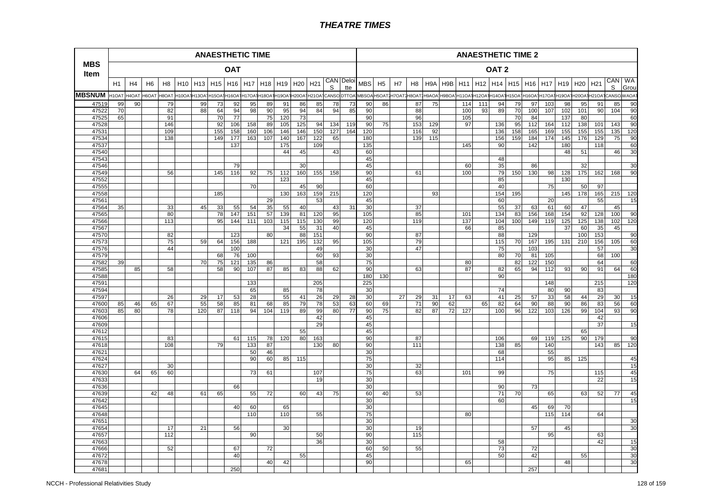|                    |    |            |                |                |                 |          | <b>ANAESTHETIC TIME</b>                                         |           |            |                                                 |            |                                                                                          |                 |                           |          |                       |                |                                      |                |                  |                  |                 |     | <b>ANAESTHETIC TIME 2</b>                                        |          |           |                                                 |            |                 |                 |             |          |
|--------------------|----|------------|----------------|----------------|-----------------|----------|-----------------------------------------------------------------|-----------|------------|-------------------------------------------------|------------|------------------------------------------------------------------------------------------|-----------------|---------------------------|----------|-----------------------|----------------|--------------------------------------|----------------|------------------|------------------|-----------------|-----|------------------------------------------------------------------|----------|-----------|-------------------------------------------------|------------|-----------------|-----------------|-------------|----------|
| <b>MBS</b><br>Item |    | <b>OAT</b> |                |                |                 |          |                                                                 |           |            |                                                 |            |                                                                                          |                 |                           |          |                       |                |                                      |                |                  |                  |                 |     | OAT <sub>2</sub>                                                 |          |           |                                                 |            |                 |                 |             |          |
|                    | H1 | H4         | H <sub>6</sub> | H <sub>8</sub> | H <sub>10</sub> |          | H <sub>13</sub> H <sub>15</sub> H <sub>16</sub> H <sub>17</sub> |           |            | H <sub>18</sub> H <sub>19</sub> H <sub>20</sub> |            |                                                                                          | H <sub>21</sub> | CAN Deloi<br>$\mathbf{C}$ | tte      | <b>MBS</b>            | H <sub>5</sub> | H7                                   | H <sub>8</sub> | H <sub>9</sub> A | H <sub>9</sub> B | H <sub>11</sub> |     | H12 H14 H15                                                      |          |           | H <sub>16</sub> H <sub>17</sub> H <sub>19</sub> |            | H <sub>20</sub> | H <sub>21</sub> | CAN WA<br>S | Grou     |
| <b>MBSNUM</b>      |    |            |                |                |                 |          |                                                                 |           |            |                                                 |            | H1OAT H4OAT H6OAT H8OAT H10OATH13OATH15OATH16OATH17OATH18OATH19OATH20OATH21OATCANSODTTOA |                 |                           |          |                       |                | VIBSOA H5OAT2H7OAT2H8OAT2H9AOA1H9BOA |                |                  |                  |                 |     | H11OA1H12OA1H14OA1H15OA1H16OA1H17OA1H19OA1H20OA1H21OA1CANSOWAOA1 |          |           |                                                 |            |                 |                 |             |          |
| 47519              | 99 | 90         |                | 79             |                 | 99       | 73                                                              | 92        | 95         | 89                                              | 91         | 86                                                                                       | 85              | 78                        | 73       | 90                    | 86             |                                      | 87             | 75               |                  | 114             | 111 | 94                                                               | 79       | 97        | 103                                             | 98         | 95              | 91              | 85          | 90       |
| 47522              | 70 |            |                | 82             |                 | 88       | 64                                                              | 94        | 98         | 90                                              | 95         | 94                                                                                       | 84              | 94                        | 85       | 90                    |                |                                      | 88             |                  |                  | 100             | 93  | 89                                                               | 70       | 100       | 107                                             | 102        | 101             | 90              | 104         | 90       |
| 47525<br>47528     | 65 |            |                | 91<br>146      |                 |          | 70<br>92                                                        | 77<br>106 | 158        | 75<br>89                                        | 120<br>105 | 73<br>125                                                                                | 94              | 134                       | 11S      | 90<br>90 <sub>1</sub> | 75             |                                      | 96<br>153      | 129              |                  | 105<br>97       |     | 136                                                              | 70<br>95 | 84<br>112 | 164                                             | 137<br>112 | 80<br>138       | 101             | 143         | 60<br>90 |
| 47531              |    |            |                | 109            |                 |          | 155                                                             | 158       | 160        | 106                                             | 146        | 146                                                                                      | 150             | 127                       | 164      | 120                   |                |                                      | 116            | 92               |                  |                 |     | 136                                                              | 158      | 165       | 169                                             | 155        | 155             | 155             | 135         | 120      |
| 47534              |    |            |                | 138            |                 |          | 149                                                             | 177       | 163        | 107                                             | 140        | 167                                                                                      | 122             | 65                        |          | 180                   |                |                                      | 139            | 115              |                  |                 |     | 156                                                              | 159      | 184       | 174                                             | 145        | 176             | 129             | 75          | 90       |
| 47537              |    |            |                |                |                 |          |                                                                 | 137       |            |                                                 | 175        |                                                                                          | 109             |                           |          | 135                   |                |                                      |                |                  |                  | 145             |     | 90                                                               |          | 142       |                                                 | 180        |                 | 118             |             | 60       |
| 47540<br>47543     |    |            |                |                |                 |          |                                                                 |           |            |                                                 | 44         | 45                                                                                       |                 | 43                        |          | 60<br>45              |                |                                      |                |                  |                  |                 |     | 48                                                               |          |           |                                                 | 48         | 51              |                 | 46          | 30       |
| 47546              |    |            |                |                |                 |          |                                                                 | 79        |            |                                                 |            | 30                                                                                       |                 |                           |          | 45                    |                |                                      |                |                  |                  | 60              |     | 35                                                               |          | 86        |                                                 |            | 32              |                 |             | 30       |
| 47549              |    |            |                | 56             |                 |          | 145                                                             | 116       | 92         | 75                                              | 112        | 160                                                                                      | 155             | 158                       |          | 90                    |                |                                      | 61             |                  |                  | 100             |     | 79                                                               | 150      | 130       | 98                                              | 128        | 175             | 162             | 168         | 90       |
| 47552              |    |            |                |                |                 |          |                                                                 |           |            |                                                 | 123        |                                                                                          |                 |                           |          | 45                    |                |                                      |                |                  |                  |                 |     | 85                                                               |          |           |                                                 | 130        |                 |                 |             |          |
| 47555<br>47558     |    |            |                |                |                 |          | 185                                                             |           | 70         |                                                 | 130        | 45<br>163                                                                                | 90<br>159       | 215                       |          | 60<br>120             |                |                                      |                | 93               |                  |                 |     | 40<br>154                                                        | 195      |           | 75                                              | 145        | 50<br>178       | 97<br>165       | 215         | 120      |
| 47561              |    |            |                |                |                 |          |                                                                 |           |            | 29                                              |            |                                                                                          | 53              |                           |          | 45                    |                |                                      |                |                  |                  |                 |     | 60                                                               |          |           | 20                                              |            |                 | 55              |             | 15       |
| 47564              | 35 |            |                | 33             |                 | 45       | 33                                                              | 55        | 54         | 35                                              | 55         | 40                                                                                       |                 | 43                        | 31       | 30                    |                |                                      | 37             |                  |                  |                 |     | 55                                                               | 37       | 63        | 61                                              | 60         | 47              |                 | 45          |          |
| 47565              |    |            |                | 80             |                 |          | 78                                                              | 147       | 151        | 57                                              | 139        | 81                                                                                       | 120             | 95                        |          | 105                   |                |                                      | 85             |                  |                  | 101             |     | 134                                                              | 83       | 156       | 168                                             | 154        | 92              | 128             | 100         | 90       |
| 47566<br>47567     |    |            |                | 113            |                 |          | 95                                                              | 144       | 111        | 103                                             | 115<br>34  | 115<br>55                                                                                | 130             | 99<br>40                  |          | 120<br>45             |                |                                      | 119            |                  |                  | 137<br>66       |     | 104                                                              | 100      | 149       | 119                                             | 125<br>37  | 125<br>60       | 138<br>35       | 102<br>45   | 120      |
| 47570              |    |            |                | 82             |                 |          |                                                                 | 123       |            | 80                                              |            | 88                                                                                       | 31<br>151       |                           |          | 90                    |                |                                      | 87             |                  |                  |                 |     | 85<br>88                                                         |          | 129       |                                                 |            | 100             | 153             |             | 90       |
| 47573              |    |            |                | 75             |                 | 59       | 64                                                              | 156       | 188        |                                                 | 121        | 195                                                                                      | 132             | 95                        |          | 105                   |                |                                      | 79             |                  |                  |                 |     | 115                                                              | 70       | 167       | 195                                             | 131        | 210             | 156             | 105         | 60       |
| 47576              |    |            |                | 44             |                 |          |                                                                 | 100       |            |                                                 |            |                                                                                          | 49              |                           |          | 30                    |                |                                      | 47             |                  |                  |                 |     | 75                                                               |          | 103       |                                                 |            |                 | 57              |             | 30       |
| 47579              |    |            |                |                |                 |          | 68                                                              | 76        | 100        |                                                 |            |                                                                                          | 60              | 93                        |          | 30                    |                |                                      |                |                  |                  |                 |     | 80                                                               | 70       | 81        | 105                                             |            |                 | 68              | 100         |          |
| 47582<br>47585     | 39 | 85         |                | 58             |                 | 70       | 75<br>58                                                        | 121<br>90 | 135<br>107 | 86<br>87                                        | 85         | 83                                                                                       | 58<br>88        | 62                        |          | 75<br>90              |                |                                      | 63             |                  |                  | 80<br>87        |     | 82                                                               | 82<br>65 | 122<br>94 | 150<br>112                                      | 93         | 90              | 64<br>91        | 64          | 60<br>60 |
| 47588              |    |            |                |                |                 |          |                                                                 |           |            |                                                 |            |                                                                                          |                 |                           |          | 180                   | 130            |                                      |                |                  |                  |                 |     | 90                                                               |          |           |                                                 |            |                 |                 |             | 180      |
| 47591              |    |            |                |                |                 |          |                                                                 |           | 133        |                                                 |            |                                                                                          | 205             |                           |          | 225                   |                |                                      |                |                  |                  |                 |     |                                                                  |          |           | 148                                             |            |                 | 215             |             | 120      |
| 47594              |    |            |                |                |                 |          |                                                                 |           | 65         |                                                 | 85         |                                                                                          | 78              |                           |          | 30                    |                |                                      |                |                  |                  |                 |     | 74                                                               |          |           | 80                                              | 90         |                 | 83              |             |          |
| 47597<br>47600     | 85 | 46         | 65             | 26<br>67       |                 | 29<br>55 | 17 <sup>1</sup><br>58                                           | 53<br>85  | 28<br>81   | 68                                              | 55<br>85   | 41<br>79                                                                                 | 26<br>78        | 29<br>53                  | 28<br>63 | 30<br>60              | 69             | 27                                   | 29<br>71       | 31<br>90         | 17<br>62         | 63              | 65  | 41<br>82                                                         | 25<br>64 | 57<br>90  | 33<br>88                                        | 58<br>90   | 44<br>86        | 29<br>83        | 30<br>56    | 15<br>60 |
| 47603              | 85 | 80         |                | 78             |                 | 120      | 87                                                              | 118       | 94         | 104                                             | 119        | 89                                                                                       | 99              | 80                        | 77       | 90                    | 75             |                                      | 82             | 87               | 72               | 127             |     | 100                                                              | 96       | 122       | 103                                             | 126        | 99              | 104             | 93          | 90       |
| 47606              |    |            |                |                |                 |          |                                                                 |           |            |                                                 |            |                                                                                          | 42              |                           |          | 45                    |                |                                      |                |                  |                  |                 |     |                                                                  |          |           |                                                 |            |                 | 42              |             |          |
| 47609              |    |            |                |                |                 |          |                                                                 |           |            |                                                 |            |                                                                                          | 29              |                           |          | 45                    |                |                                      |                |                  |                  |                 |     |                                                                  |          |           |                                                 |            |                 | 37              |             | 15       |
| 47612<br>47615     |    |            |                | 83             |                 |          |                                                                 | 61        | 115        | 78                                              | 120        | 55<br>80                                                                                 | 163             |                           |          | 45<br>90              |                |                                      | 87             |                  |                  |                 |     | 106                                                              |          | 69        | 119                                             | 125        | 65<br>90        | 179             |             | 90       |
| 47618              |    |            |                | 108            |                 |          | 79                                                              |           | 133        | 87                                              |            |                                                                                          | 130             | 80                        |          | 90                    |                |                                      | 111            |                  |                  |                 |     | 138                                                              | 85       |           | 140                                             |            |                 | 143             | 85          | 120      |
| 47621              |    |            |                |                |                 |          |                                                                 |           | 50         | 46                                              |            |                                                                                          |                 |                           |          | 30 <sup>1</sup>       |                |                                      |                |                  |                  |                 |     | 68                                                               |          |           | 55                                              |            |                 |                 |             |          |
| 47624              |    |            |                |                |                 |          |                                                                 |           | 90         | 60                                              | 85         | 115                                                                                      |                 |                           |          | 75                    |                |                                      |                |                  |                  |                 |     | 114                                                              |          |           | 95                                              | 85         | 125             |                 |             | 45       |
| 47627<br>47630     |    | 64         | 65             | 30<br>60       |                 |          |                                                                 |           | 73         | 61                                              |            |                                                                                          | 107             |                           |          | 30<br>75              |                |                                      | 32<br>63       |                  |                  | 101             |     | 99                                                               |          |           | 75                                              |            |                 | 115             |             | 15<br>45 |
| 47633              |    |            |                |                |                 |          |                                                                 |           |            |                                                 |            |                                                                                          | 19              |                           |          | 30                    |                |                                      |                |                  |                  |                 |     |                                                                  |          |           |                                                 |            |                 | 22              |             | 15       |
| 47636              |    |            |                |                |                 |          |                                                                 | 66        |            |                                                 |            |                                                                                          |                 |                           |          | 30                    |                |                                      |                |                  |                  |                 |     | 90                                                               |          | 73        |                                                 |            |                 |                 |             |          |
| 47639              |    |            | 42             | 48             |                 | 61       | 65                                                              |           | 55         | 72                                              |            | 60                                                                                       | 43              | 75                        |          | 60                    | 40             |                                      | 53             |                  |                  |                 |     | 71                                                               | 70       |           | 65                                              |            | 63              | 52              | 77          | 45       |
| 47642<br>47645     |    |            |                |                |                 |          |                                                                 | 40        | 60         |                                                 | 65         |                                                                                          |                 |                           |          | 30<br>30              |                |                                      |                |                  |                  |                 |     | 60                                                               |          | 45        | 69                                              | 70         |                 |                 |             | 15       |
| 47648              |    |            |                |                |                 |          |                                                                 |           | 110        |                                                 | 110        |                                                                                          | 55              |                           |          | 75                    |                |                                      |                |                  |                  | 80              |     |                                                                  |          |           | 115                                             | 114        |                 | 64              |             |          |
| 47651              |    |            |                |                |                 |          |                                                                 |           |            |                                                 |            |                                                                                          |                 |                           |          | 30                    |                |                                      |                |                  |                  |                 |     |                                                                  |          |           |                                                 |            |                 |                 |             | 30       |
| 47654              |    |            |                | 17             |                 | 21       |                                                                 | 56        |            |                                                 | 30         |                                                                                          |                 |                           |          | 30                    |                |                                      | 19             |                  |                  |                 |     |                                                                  |          | 57        |                                                 | 45         |                 |                 |             | 30       |
| 47657<br>47663     |    |            |                | 112            |                 |          |                                                                 |           | 90         |                                                 |            |                                                                                          | 50<br>36        |                           |          | 90<br>30              |                |                                      | 115            |                  |                  |                 |     | 58                                                               |          |           | 95                                              |            |                 | 63<br>42        |             | 15       |
| 47666              |    |            |                | 52             |                 |          |                                                                 | 67        |            | 72                                              |            |                                                                                          |                 |                           |          | 60                    | 50             |                                      | 55             |                  |                  |                 |     | 73                                                               |          | 72        |                                                 |            |                 |                 |             | 30       |
| 47672              |    |            |                |                |                 |          |                                                                 | 40        |            |                                                 |            | 55                                                                                       |                 |                           |          | 45                    |                |                                      |                |                  |                  |                 |     | 50                                                               |          | 42        |                                                 |            | 55              |                 |             | 30       |
| 47678              |    |            |                |                |                 |          |                                                                 |           |            | 40                                              | 42         |                                                                                          |                 |                           |          | 90                    |                |                                      |                |                  |                  | 65              |     |                                                                  |          |           |                                                 | 48         |                 |                 |             | 30       |
| 47681              |    |            |                |                |                 |          |                                                                 | 250       |            |                                                 |            |                                                                                          |                 |                           |          |                       |                |                                      |                |                  |                  |                 |     |                                                                  |          | 257       |                                                 |            |                 |                 |             |          |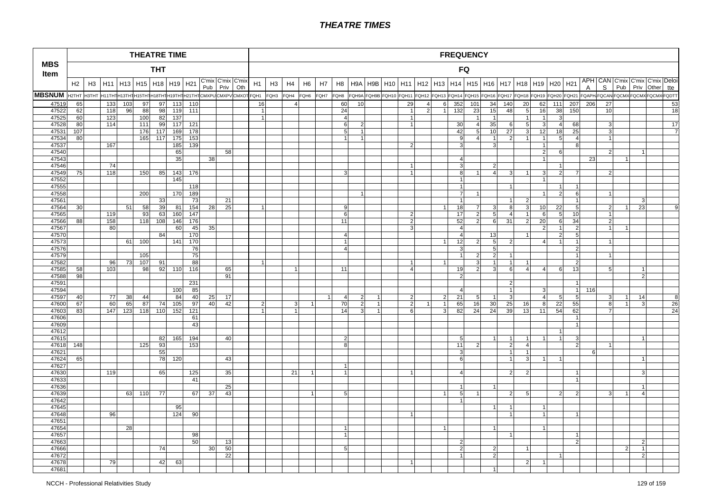|                           |                 |                                                                                                |           | <b>THEATRE TIME</b>     |            |            |            |                          |          |     |                                |    |                                                |                |                         |                                |                              |                |                     | <b>FREQUENCY</b>                                                                                                    |                                  |                                                  |                                                     |                       |                                  |               |                                |                                                       |                                |                |
|---------------------------|-----------------|------------------------------------------------------------------------------------------------|-----------|-------------------------|------------|------------|------------|--------------------------|----------|-----|--------------------------------|----|------------------------------------------------|----------------|-------------------------|--------------------------------|------------------------------|----------------|---------------------|---------------------------------------------------------------------------------------------------------------------|----------------------------------|--------------------------------------------------|-----------------------------------------------------|-----------------------|----------------------------------|---------------|--------------------------------|-------------------------------------------------------|--------------------------------|----------------|
| <b>MBS</b><br><b>Item</b> |                 |                                                                                                |           |                         | <b>THT</b> |            |            |                          |          |     |                                |    |                                                |                |                         |                                |                              |                |                     | <b>FQ</b>                                                                                                           |                                  |                                                  |                                                     |                       |                                  |               |                                |                                                       |                                |                |
|                           | H2              | H3                                                                                             |           | H11 H13 H15 H18 H19 H21 |            |            |            | C'mix C'mix C'mix<br>Pub | Priv     | Oth | H1                             | H3 | H <sub>4</sub><br>H <sub>6</sub>               | H7             | H8                      | H9A                            |                              |                |                     | H9B   H10   H11   H12   H13   H14   H15   H16   H17   H18   H19   H20   H21                                         |                                  |                                                  |                                                     |                       |                                  |               | $\mathbf{s}$                   | APH CAN C'mix C'mix C'mix Deloi<br>Pub Priv Other tte |                                |                |
| <b>MBSNUM</b>             |                 | н2тнт  нзтнт  н11тнт н13тнт н15тнт н18тнт н19тнт н21тнт смхр∪ смхр∨ смхот гон1    гон3    гон4 |           |                         |            |            |            |                          |          |     |                                |    |                                                | FQH6 FQH7 FQH8 |                         |                                |                              |                |                     | FQH9A FQH9B FQH10 FQH11 FQH12 FQH13 FQH14 FQH15 FQH16 FQH17 FQH18 FQH19 FQH20 FQH21 FQAPH FQCANFQCMXFQCMXFQCMXFQCMX |                                  |                                                  |                                                     |                       |                                  |               |                                |                                                       |                                |                |
| 47519                     | 65              | 133                                                                                            | 103       | 97                      | 97         | 113        | 110        |                          |          |     | 16                             |    | $\overline{4}$                                 |                | 60                      | 10                             | 29                           | 4              | $6 \overline{6}$    | 352<br>101                                                                                                          | 34                               | 140<br>20 <sub>2</sub>                           | 62                                                  | 111                   | 207                              | 206           | 27                             |                                                       |                                | 53             |
| 47522<br>47525            | 62<br>60        | 118<br>123                                                                                     | 96        | 88<br>100               | 98<br>82   | 119<br>137 | 111        |                          |          |     | $\mathbf{1}$<br>1 <sup>1</sup> |    |                                                |                | 24<br>$\overline{4}$    |                                | $\overline{\mathbf{1}}$<br>1 | 2              | 11                  | 132<br>23<br>$\overline{1}$                                                                                         | 15<br>1                          | 48<br>5 <sup>1</sup><br>1                        | 16<br>$\mathbf{1}$                                  | 38<br>$\mathbf{3}$    | 150                              |               | 10                             |                                                       |                                | 18             |
| 47528                     | 80              | 114                                                                                            |           | 111                     | 99         | 117        | 121        |                          |          |     |                                |    |                                                |                | 6                       | $\overline{2}$                 |                              |                |                     | 30<br>$\vert 4 \vert$                                                                                               | 35                               | 5 <sub>5</sub><br>6                              | 3 <sup>1</sup>                                      | $\overline{4}$        | 68                               |               | 3                              |                                                       |                                | 17             |
| 47531                     | 107             |                                                                                                |           | 176                     | 117        | 169        | 178        |                          |          |     |                                |    |                                                |                | 5 <sub>5</sub>          | 11                             |                              |                |                     | 42<br>5 <sub>l</sub>                                                                                                | 10                               | 27<br>3 <sup>1</sup>                             | 12                                                  | 18                    | 25                               |               | 3                              |                                                       |                                | $\overline{7}$ |
| 47534<br>47537            | 80              | 167                                                                                            |           | 165                     | 117        | 175<br>185 | 153<br>139 |                          |          |     |                                |    |                                                |                | $\mathbf{1}$            | $\overline{1}$                 | $\overline{2}$               |                |                     | 9<br>$\vert$<br>$\overline{3}$                                                                                      | 1<br>3 <sup>1</sup>              | $\overline{2}$<br>1                              | $\overline{1}$<br>1 <sup>1</sup>                    | $5\overline{)}$       | $\vert$<br>8                     |               | $\mathbf{1}$                   |                                                       |                                |                |
| 47540                     |                 |                                                                                                |           |                         |            | 65         |            |                          | 58       |     |                                |    |                                                |                |                         |                                |                              |                |                     |                                                                                                                     |                                  |                                                  | $\overline{2}$                                      | 6                     |                                  |               | 2                              |                                                       |                                |                |
| 47543                     |                 |                                                                                                |           |                         |            | 35         |            | 38                       |          |     |                                |    |                                                |                |                         |                                |                              |                |                     | 4                                                                                                                   |                                  |                                                  | $\mathbf{1}$                                        |                       |                                  | 23            |                                | $\mathbf{1}$                                          |                                |                |
| 47546                     |                 | 74                                                                                             |           |                         |            |            |            |                          |          |     |                                |    |                                                |                |                         |                                | $\overline{1}$               |                |                     | $\overline{3}$                                                                                                      | 2 <sup>1</sup>                   |                                                  |                                                     | 1                     |                                  |               |                                |                                                       |                                |                |
| 47549<br>47552            | 75              | 118                                                                                            |           | 150                     | 85         | 143<br>145 | 176        |                          |          |     |                                |    |                                                |                | 3 <sup>1</sup>          |                                | 1                            |                |                     | 8 <sup>1</sup><br>$\mathbf{1}$                                                                                      | $\overline{4}$                   | $\mathbf{3}$                                     | 3 <sup>1</sup><br>1 <sup>1</sup>                    | $\overline{2}$        | $\overline{7}$                   |               | $\overline{2}$                 |                                                       |                                |                |
| 47555                     |                 |                                                                                                |           |                         |            |            | 118        |                          |          |     |                                |    |                                                |                |                         |                                |                              |                |                     | $\mathbf{1}$                                                                                                        |                                  | $\mathbf{1}$                                     |                                                     | 11                    | $\mathbf{1}$                     |               |                                |                                                       |                                |                |
| 47558                     |                 |                                                                                                |           | 200                     |            | 170        | 189        |                          |          |     |                                |    |                                                |                |                         | $\mathbf{1}$                   |                              |                |                     | $\overline{7}$<br>1                                                                                                 |                                  |                                                  | 1 <sup>1</sup>                                      | $\overline{2}$        | $6 \mid$                         |               | $\mathbf{1}$                   |                                                       |                                |                |
| 47561                     |                 |                                                                                                |           |                         | 33         |            | 73         |                          | 21       |     |                                |    |                                                |                |                         |                                |                              |                |                     | $\mathbf{A}$                                                                                                        |                                  | $\mathbf{1}$                                     | $\overline{2}$                                      |                       | 1 <sup>1</sup>                   |               |                                |                                                       | $\mathbf{3}$                   |                |
| 47564<br>47565            | 30 <sup>1</sup> | 119                                                                                            | 51        | 58<br>93                | 39<br>63   | 81<br>160  | 154<br>147 | 28                       | 25       |     | 11                             |    |                                                |                | 9<br>6                  |                                | $\overline{2}$               |                | $\mathbf{1}$        | 18<br>$\overline{7}$<br>$\overline{2}$<br>17                                                                        | 3 <sup>1</sup><br>5 <sup>1</sup> | 8<br>$\overline{4}$<br>1                         | 3 <sup>1</sup><br>10 <sup>1</sup><br>6 <sup>1</sup> | 22<br>$5\overline{)}$ | 5 <sup>1</sup><br>10             |               | $\overline{2}$<br>$\mathbf{1}$ | 1                                                     | 23                             | 9              |
| 47566                     | 88              | 158                                                                                            |           | 118                     | 108        | 146        | 176        |                          |          |     |                                |    |                                                |                | 11                      |                                | $\overline{2}$               |                |                     | 52<br>$\overline{2}$                                                                                                | 6 <sup>1</sup>                   | $\overline{2}$<br>31                             | 20                                                  | 6                     | 34                               |               | $\overline{c}$                 |                                                       |                                |                |
| 47567                     |                 | 80                                                                                             |           |                         |            | 60         | 45         | 35                       |          |     |                                |    |                                                |                |                         |                                | $\mathcal{R}$                |                |                     | $\overline{4}$                                                                                                      |                                  |                                                  | $\overline{2}$                                      | 1                     | $\overline{2}$                   |               | $\overline{1}$                 | 1 <sup>1</sup>                                        |                                |                |
| 47570<br>47573            |                 |                                                                                                |           |                         | 84         | 141        | 170<br>170 |                          |          |     |                                |    |                                                |                | $\vert$<br>$\mathbf{1}$ |                                |                              |                |                     | $\overline{4}$<br>12<br>$2 \vert$                                                                                   | 13<br>5 <sub>l</sub>             | 1 <sup>1</sup><br>$\overline{2}$                 | $\vert$                                             | $\overline{2}$<br>11  | 5 <sup>1</sup>                   |               |                                |                                                       |                                |                |
| 47576                     |                 |                                                                                                |           | 61 100                  |            |            | 76         |                          |          |     |                                |    |                                                |                | $\vert$                 |                                |                              |                | $\overline{1}$      | 3                                                                                                                   | 5 <sup>1</sup>                   |                                                  |                                                     |                       | 11<br>2 <sup>1</sup>             |               | $\overline{1}$                 |                                                       |                                |                |
| 47579                     |                 |                                                                                                |           | 105                     |            |            | 75         |                          |          |     |                                |    |                                                |                |                         |                                |                              |                |                     | $\overline{2}$<br>1                                                                                                 | 2 <sup>1</sup>                   | $\mathbf{1}$                                     |                                                     |                       | 11                               |               | $\mathbf{1}$                   |                                                       |                                |                |
| 47582                     |                 | 96                                                                                             | 73        | 107                     | 91         |            | 88         |                          |          |     | 1                              |    |                                                |                |                         |                                | $\overline{\mathbf{1}}$      |                | $\overline{1}$      | 3 <sup>1</sup>                                                                                                      | 1 <sup>1</sup>                   | 1<br>1                                           |                                                     |                       | $\vert$ 2                        |               |                                |                                                       |                                |                |
| 47585<br>47588            | 58<br>98        | 103                                                                                            |           | 98                      |            | 92 110     | 116        |                          | 65<br>91 |     |                                |    | $\mathbf{1}$                                   |                | 11                      |                                | $\overline{4}$               |                |                     | $\overline{2}$<br>19<br>2 <sup>1</sup>                                                                              | 3 <sup>l</sup>                   | $6\phantom{.}6$<br>$\overline{4}$                | 4 <sup>1</sup>                                      | 6                     | 13                               |               | 5                              |                                                       | $\mathbf{1}$<br>2 <sup>1</sup> |                |
| 47591                     |                 |                                                                                                |           |                         |            |            | 231        |                          |          |     |                                |    |                                                |                |                         |                                |                              |                |                     |                                                                                                                     |                                  | $\overline{2}$                                   |                                                     |                       | 11                               |               |                                |                                                       |                                |                |
| 47594                     |                 |                                                                                                |           |                         |            | 100        | 85         |                          |          |     |                                |    |                                                |                |                         |                                |                              |                |                     | 4                                                                                                                   |                                  | $\mathbf{1}$                                     | 3 <sup>1</sup>                                      |                       |                                  | $1 \quad 116$ |                                |                                                       |                                |                |
| 47597                     | 40              | 77                                                                                             | 38        | 44                      |            | 84         | 40         | 25                       | 17       |     |                                |    |                                                |                | $\overline{4}$          | $\overline{2}$<br>$\mathbf{1}$ | $\overline{2}$               |                | $\overline{2}$      | 21<br>5 <sub>l</sub>                                                                                                | 11                               | $\mathbf{3}$                                     | $\overline{4}$                                      | 5                     | 5 <sub>l</sub>                   |               | 3                              | 1                                                     | 14                             | 8              |
| 47600<br>47603            | 67<br>83        | 60<br>147                                                                                      | 65<br>123 | 87<br>118               | 74<br>110  | 105<br>152 | 97<br>121  | 40                       | 42       |     | $\overline{2}$<br>1            |    | $\mathbf{3}$<br>1 <sup>1</sup><br>$\mathbf{1}$ |                | 70<br>14                | 2 <br>1<br>3 <sup>1</sup><br>1 | $\overline{2}$<br>6          | $\overline{1}$ | 1<br>3 <sup>1</sup> | 65<br>16<br>24<br>82                                                                                                | 30 <sub>1</sub><br>24            | 25<br>16<br>39<br>13                             | 8 <sup>1</sup><br>11                                | 22<br>54              | 55<br>62                         |               | 8<br>$\overline{7}$            | 1                                                     | $\mathbf{3}$                   | 26<br>24       |
| 47606                     |                 |                                                                                                |           |                         |            |            | 61         |                          |          |     |                                |    |                                                |                |                         |                                |                              |                |                     |                                                                                                                     |                                  |                                                  |                                                     |                       | $\mathbf{1}$                     |               |                                |                                                       |                                |                |
| 47609                     |                 |                                                                                                |           |                         |            |            | 43         |                          |          |     |                                |    |                                                |                |                         |                                |                              |                |                     |                                                                                                                     |                                  |                                                  |                                                     |                       | 11                               |               |                                |                                                       |                                |                |
| 47612                     |                 |                                                                                                |           |                         |            |            |            |                          |          |     |                                |    |                                                |                |                         |                                |                              |                |                     |                                                                                                                     |                                  |                                                  |                                                     | $\vert$ 1             |                                  |               |                                |                                                       |                                |                |
| 47615<br>47618            | 148             |                                                                                                |           | 125                     | 82<br>93   | 165        | 194<br>153 |                          | 40       |     |                                |    |                                                |                | $\overline{2}$<br>8     |                                |                              |                |                     | 5 <sub>l</sub><br>11<br>$\overline{2}$                                                                              | 1 <sup>1</sup>                   | $\mathbf{1}$<br>$\overline{2}$<br>$\overline{4}$ | 1                                                   | 1                     | $\overline{3}$<br>$\overline{2}$ |               | $\mathbf{1}$                   |                                                       | $\mathbf 1$                    |                |
| 47621                     |                 |                                                                                                |           |                         | 55         |            |            |                          |          |     |                                |    |                                                |                |                         |                                |                              |                |                     | 3                                                                                                                   |                                  | $\mathbf{1}$                                     |                                                     |                       |                                  | 6             |                                |                                                       |                                |                |
| 47624                     | 65              |                                                                                                |           |                         | 78         | 120        |            |                          | 43       |     |                                |    |                                                |                |                         |                                |                              |                |                     | $6 \mid$                                                                                                            |                                  | $\overline{1}$                                   | 3 <sup>1</sup><br>$\mathbf{1}$                      | 1                     |                                  |               |                                |                                                       | 1                              |                |
| 47627                     |                 | 119                                                                                            |           |                         | 65         |            |            |                          | 35       |     |                                |    | 21<br>11                                       |                | 1<br>1                  |                                | 1                            |                |                     | $\overline{4}$                                                                                                      |                                  | $\overline{2}$<br>$\overline{2}$                 |                                                     |                       | $\mathbf{1}$                     |               |                                |                                                       | $\overline{3}$                 |                |
| 47630<br>47633            |                 |                                                                                                |           |                         |            |            | 125<br>41  |                          |          |     |                                |    |                                                |                |                         |                                |                              |                |                     |                                                                                                                     |                                  |                                                  |                                                     |                       | 1 <sup>1</sup>                   |               |                                |                                                       |                                |                |
| 47636                     |                 |                                                                                                |           |                         |            |            |            |                          | 25       |     |                                |    |                                                |                |                         |                                |                              |                |                     | $\mathbf{1}$                                                                                                        | 11                               |                                                  |                                                     |                       |                                  |               |                                |                                                       | 1                              |                |
| 47639                     |                 |                                                                                                |           | 63 110                  | 77         |            | 67         | 37                       | 43       |     |                                |    | 1 <sup>1</sup>                                 |                | 5 <sup>1</sup>          |                                |                              |                | $\overline{1}$      | 5 <sub>5</sub><br>$\vert$ 1                                                                                         |                                  | 5 <sup>1</sup><br>$\overline{2}$                 |                                                     | $\overline{2}$        | $\overline{2}$                   |               | $\mathbf{3}$                   | $\overline{1}$                                        | $\overline{4}$                 |                |
| 47642<br>47645            |                 |                                                                                                |           |                         |            | 95         |            |                          |          |     |                                |    |                                                |                |                         |                                |                              |                |                     | 1                                                                                                                   | 1 <sup>1</sup>                   | $\overline{1}$                                   | $\mathbf{1}$                                        |                       |                                  |               |                                |                                                       |                                |                |
| 47648                     |                 | 96                                                                                             |           |                         |            | 124        | 90         |                          |          |     |                                |    |                                                |                |                         |                                |                              |                |                     |                                                                                                                     |                                  | $\mathbf{1}$                                     | $\mathbf{1}$                                        |                       | 11                               |               |                                |                                                       |                                |                |
| 47651                     |                 |                                                                                                |           |                         |            |            |            |                          |          |     |                                |    |                                                |                |                         |                                |                              |                |                     |                                                                                                                     |                                  |                                                  |                                                     |                       |                                  |               |                                |                                                       |                                |                |
| 47654                     |                 |                                                                                                | 28        |                         |            |            |            |                          |          |     |                                |    |                                                |                | $\overline{1}$          |                                |                              |                | 1                   |                                                                                                                     | 1                                |                                                  | $\mathbf{1}$                                        |                       |                                  |               |                                |                                                       |                                |                |
| 47657<br>47663            |                 |                                                                                                |           |                         |            |            | 98<br>50   |                          | 13       |     |                                |    |                                                |                | 1                       |                                |                              |                |                     | $\overline{2}$                                                                                                      |                                  | $\mathbf{1}$                                     |                                                     |                       | -1<br>$\overline{2}$             |               |                                |                                                       | $2 \vert$                      |                |
| 47666                     |                 |                                                                                                |           |                         | 74         |            |            | 30 <sub>0</sub>          | 50       |     |                                |    |                                                |                | 5 <sub>l</sub>          |                                |                              |                |                     | $\overline{2}$                                                                                                      | 2                                | 1                                                |                                                     |                       |                                  |               |                                | $\overline{2}$                                        | 1                              |                |
| 47672                     |                 |                                                                                                |           |                         |            |            |            |                          | 22       |     |                                |    |                                                |                |                         |                                |                              |                |                     | $\mathbf{1}$                                                                                                        | $2 \vert$                        |                                                  |                                                     | $1\vert$              |                                  |               |                                |                                                       | 2                              |                |
| 47678                     |                 | 79                                                                                             |           |                         | 42         | 63         |            |                          |          |     |                                |    |                                                |                |                         |                                |                              |                |                     |                                                                                                                     |                                  |                                                  | $\overline{2}$<br>$\overline{1}$                    |                       |                                  |               |                                |                                                       |                                |                |
| 47681                     |                 |                                                                                                |           |                         |            |            |            |                          |          |     |                                |    |                                                |                |                         |                                |                              |                |                     |                                                                                                                     | 1                                |                                                  |                                                     |                       |                                  |               |                                |                                                       |                                |                |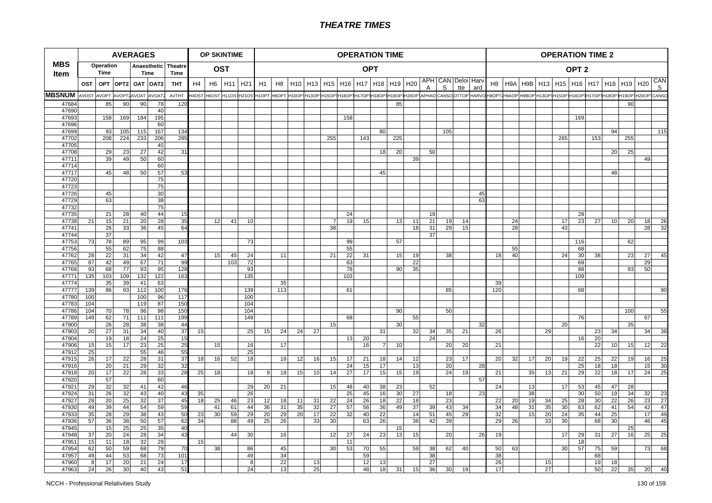|                           |                 |                                |          | <b>AVERAGES</b>   |                            |                        |                |                 | <b>OP SKINTIME</b> |                 |          |                                                                                                                 |                 |                 |                 |          |                       | <b>OPERATION TIME</b> |                                               |          |          |                                |     |     |                 |          |          | <b>OPERATION TIME 2</b>                                           |                  |          |          |                 |          |          |           |
|---------------------------|-----------------|--------------------------------|----------|-------------------|----------------------------|------------------------|----------------|-----------------|--------------------|-----------------|----------|-----------------------------------------------------------------------------------------------------------------|-----------------|-----------------|-----------------|----------|-----------------------|-----------------------|-----------------------------------------------|----------|----------|--------------------------------|-----|-----|-----------------|----------|----------|-------------------------------------------------------------------|------------------|----------|----------|-----------------|----------|----------|-----------|
| <b>MBS</b><br><b>Item</b> |                 | Operation<br><b>Time</b>       |          |                   | Anaesthetic<br><b>Time</b> | <b>Theatre</b><br>Time |                |                 | <b>OST</b>         |                 |          |                                                                                                                 |                 |                 |                 |          | <b>OPT</b>            |                       |                                               |          |          |                                |     |     |                 |          |          |                                                                   | OPT <sub>2</sub> |          |          |                 |          |          |           |
|                           | <b>OST</b>      |                                |          | OPT OPT2 OAT OAT2 |                            | <b>THT</b>             | H <sub>4</sub> | H6              | H <sub>11</sub>    | H <sub>21</sub> | H1       | H8                                                                                                              |                 |                 |                 |          |                       |                       | H10   H13   H15   H16   H17   H18   H19   H20 |          | A        | APH   CAN   Deloi   Harv<br>S. | tte | ard | H8              | H9A      |          | H9B   H13   H15   H16   H17   H18   H19   H20                     |                  |          |          |                 |          |          | CAN<br>S. |
| <b>MBSNUM</b>             |                 | AVOST AVOPT AVOPTZAVOAT AVOATZ |          |                   |                            | AVTHT                  |                |                 |                    |                 |          | 14OST  H6OST  H11OSTH21OSTH1OPT  H8OPT  H10OPTH13OPTH15OPTH16OPTH17OPTH18OPTH19OPTH20OPTAPHAO CANSO DTTOPTHARVO |                 |                 |                 |          |                       |                       |                                               |          |          |                                |     |     |                 |          |          | H8OPT/H9AOP H9BOP H13OP H15OP H16OP H17OP H18OP H19OP H20OP CANSC |                  |          |          |                 |          |          |           |
| 47684                     |                 | 85                             | 90       | 90                | 78                         | 120                    |                |                 |                    |                 |          |                                                                                                                 |                 |                 |                 |          |                       |                       | 85                                            |          |          |                                |     |     |                 |          |          |                                                                   |                  |          |          |                 | 90       |          |           |
| 47690                     |                 |                                |          |                   | 40                         |                        |                |                 |                    |                 |          |                                                                                                                 |                 |                 |                 |          |                       |                       |                                               |          |          |                                |     |     |                 |          |          |                                                                   |                  |          |          |                 |          |          |           |
| 47693<br>47696            |                 | 158                            | 169      | 184               | 195<br>60                  |                        |                |                 |                    |                 |          |                                                                                                                 |                 |                 |                 | 158      |                       |                       |                                               |          |          |                                |     |     |                 |          |          |                                                                   |                  | 169      |          |                 |          |          |           |
| 47699                     |                 | 93                             | 105      | 115               | 167                        | 134                    |                |                 |                    |                 |          |                                                                                                                 |                 |                 |                 |          |                       | 80                    |                                               |          |          | 105                            |     |     |                 |          |          |                                                                   |                  |          |          | 94              |          |          | 115       |
| 47702                     |                 | 208                            | 224      | 233               | 206                        | 285                    |                |                 |                    |                 |          |                                                                                                                 |                 |                 | 255             |          | 143                   |                       | 225                                           |          |          |                                |     |     |                 |          |          |                                                                   | 265              |          | 153      |                 | 255      |          |           |
| 47705<br>47708            |                 | 29                             | 23       | 27                | 45<br>42                   | 31                     |                |                 |                    |                 |          |                                                                                                                 |                 |                 |                 |          |                       | 18                    | 20                                            |          | 50       |                                |     |     |                 |          |          |                                                                   |                  |          |          | 20              | 25       |          |           |
| 47711                     |                 | 39                             | 49       | 50                | 60                         |                        |                |                 |                    |                 |          |                                                                                                                 |                 |                 |                 |          |                       |                       |                                               | 39       |          |                                |     |     |                 |          |          |                                                                   |                  |          |          |                 |          | 49       |           |
| 47714                     |                 |                                |          |                   | 60                         |                        |                |                 |                    |                 |          |                                                                                                                 |                 |                 |                 |          |                       |                       |                                               |          |          |                                |     |     |                 |          |          |                                                                   |                  |          |          |                 |          |          |           |
| 47717                     |                 | 45                             | 48       | 50                | 57                         | 53                     |                |                 |                    |                 |          |                                                                                                                 |                 |                 |                 |          |                       | 45                    |                                               |          |          |                                |     |     |                 |          |          |                                                                   |                  |          |          | 48              |          |          |           |
| 47720<br>47723            |                 |                                |          |                   | 75<br>75                   |                        |                |                 |                    |                 |          |                                                                                                                 |                 |                 |                 |          |                       |                       |                                               |          |          |                                |     |     |                 |          |          |                                                                   |                  |          |          |                 |          |          |           |
| 47726                     |                 | 45                             |          |                   | 30                         |                        |                |                 |                    |                 |          |                                                                                                                 |                 |                 |                 |          |                       |                       |                                               |          |          |                                |     | 45  |                 |          |          |                                                                   |                  |          |          |                 |          |          |           |
| 47729                     |                 | 63                             |          |                   | 38                         |                        |                |                 |                    |                 |          |                                                                                                                 |                 |                 |                 |          |                       |                       |                                               |          |          |                                |     | 63  |                 |          |          |                                                                   |                  |          |          |                 |          |          |           |
| 47732                     |                 |                                |          |                   | 75                         |                        |                |                 |                    |                 |          |                                                                                                                 |                 |                 |                 |          |                       |                       |                                               |          |          |                                |     |     |                 |          |          |                                                                   |                  |          |          |                 |          |          |           |
| 47735<br>47738            | 21              | 21<br>15                       | 28<br>21 | 40<br>20          | 44<br>28                   | 15<br>35               |                | 12              | 41                 | 10              |          |                                                                                                                 |                 |                 | $\overline{7}$  | 24<br>19 | 15                    |                       | 13                                            | 11       | 19<br>21 | 19                             | 14  |     |                 | 24       |          |                                                                   | 17               | 28<br>23 | 27       | 10 <sup>1</sup> | 20       | 18       | 26        |
| 47741                     |                 | 26                             | 33       | 36                | 45                         | 64                     |                |                 |                    |                 |          |                                                                                                                 |                 |                 | 38              |          |                       |                       |                                               | 18       | 31       | 29                             | 15  |     |                 | 28       |          |                                                                   | 43               |          |          |                 |          | 28       | 32        |
| 47744                     |                 | 37                             |          |                   |                            |                        |                |                 |                    |                 |          |                                                                                                                 |                 |                 |                 |          |                       |                       |                                               |          | 37       |                                |     |     |                 |          |          |                                                                   |                  |          |          |                 |          |          |           |
| 47753                     | 73              | 78                             | 89       | 95                | 99                         | 103                    |                |                 |                    | 73              |          |                                                                                                                 |                 |                 |                 | 99       |                       |                       | 57                                            |          |          |                                |     |     |                 |          |          |                                                                   |                  | 116      |          |                 | 62       |          |           |
| 47756<br>47762            | 28              | 55<br>22                       | 62<br>31 | 75<br>34          | 88<br>42                   | 47                     |                | 15 <sup>1</sup> | 45                 | 24              |          | 11                                                                                                              |                 |                 | 21              | 55<br>22 | 31                    |                       | 15 <sup>1</sup>                               | 19       |          | 38                             |     |     | 18 <sup>1</sup> | 55<br>40 |          |                                                                   | 24               | 68<br>30 | $38$     |                 | 23       | 27       | 45        |
| 47765                     | 87              | 42                             | 49       | 67                | 71                         | 99                     |                |                 | 103                | 72              |          |                                                                                                                 |                 |                 |                 | 63       |                       |                       |                                               | 22       |          |                                |     |     |                 |          |          |                                                                   |                  | 69       |          |                 |          | 29       |           |
| 47768                     | 93              | 68                             | 77       | 93                | 95                         | 128                    |                |                 |                    | 93              |          |                                                                                                                 |                 |                 |                 | 78       |                       |                       | 90 <sub>1</sub>                               | 35       |          |                                |     |     |                 |          |          |                                                                   |                  | 88       |          |                 | 93       | 50       |           |
| 47771                     | 135             | 103                            | 109      | 132               | 122                        | 163                    |                |                 |                    | 135             |          |                                                                                                                 |                 |                 |                 | 103      |                       |                       |                                               |          |          |                                |     |     |                 |          |          |                                                                   |                  | 109      |          |                 |          |          |           |
| 47774<br>47777            | 139             | 35<br>86                       | 39<br>93 | 41<br>112         | 63<br>100                  | 176                    |                |                 |                    | 139             |          | 35<br>113                                                                                                       |                 |                 |                 | 61       |                       |                       |                                               |          |          | 85                             |     |     | 39<br>120       |          |          |                                                                   |                  | 68       |          |                 |          |          | 90        |
| 47780                     | 100             |                                |          | 100               | 96                         | 117                    |                |                 |                    | 100             |          |                                                                                                                 |                 |                 |                 |          |                       |                       |                                               |          |          |                                |     |     |                 |          |          |                                                                   |                  |          |          |                 |          |          |           |
| 47783                     | 104             |                                |          | 119               | 87                         | 150                    |                |                 |                    | 104             |          |                                                                                                                 |                 |                 |                 |          |                       |                       |                                               |          |          |                                |     |     |                 |          |          |                                                                   |                  |          |          |                 |          |          |           |
| 47786                     | 104             | 70                             | 78       | 96                | 98                         | 150                    |                |                 |                    | 104             |          |                                                                                                                 |                 |                 |                 |          |                       |                       | 90                                            |          |          | 50                             |     |     |                 |          |          |                                                                   |                  |          |          |                 | 100      |          | 55        |
| 47789<br>47900            | 149             | 62<br>26                       | 71<br>28 | 111<br>38         | 111<br>38                  | 199<br>44              |                |                 |                    | 149             |          |                                                                                                                 |                 |                 | 15 <sub>l</sub> | 68       |                       |                       | 30                                            | 55       |          |                                |     | 32  |                 |          |          |                                                                   | 20               | 76       |          |                 | 35       | 67       |           |
| 47903                     | 20              | 27                             | 31       | 34                | 40                         | 37                     | 15             |                 |                    | 25              | 15       | 24                                                                                                              | 24              | 27              |                 |          |                       | 31                    |                                               | 32       | 34       | 35                             | 21  |     | 26              |          |          | 29                                                                |                  |          | 23       | 34              |          | 34       | 38        |
| 47904                     |                 | 19                             | 18       | 24                | 25                         | 15                     |                |                 |                    |                 |          |                                                                                                                 |                 |                 |                 | 13       | 20                    |                       |                                               |          | 24       |                                |     |     |                 |          |          |                                                                   |                  | 16       | 20       |                 |          |          |           |
| 47906                     | 15              | 15                             | 17       | 23                | 25                         | $\overline{25}$        |                | 15              |                    | 16              |          | 17                                                                                                              |                 |                 |                 |          | 16                    | 7                     | 10                                            |          |          | 20 <sup>1</sup>                | 20  |     | 21              |          |          |                                                                   |                  |          | 22       | 10 <sup>1</sup> | 15       | 12       | 22        |
| 47912<br>47915            | 25<br>26        | 17                             | 22       | 55<br>28          | 46<br>31                   | 55<br>37               | 18             | 16              | 52                 | 25<br>18        |          | 18                                                                                                              | 12              | 16              | 15              | 17       | 21                    | 18                    | 14                                            | 12       |          | 23                             | 17  |     | 20              | 32       | 17       | 20                                                                | 19               | 22       | 25       | 22              | 19       | 16       | 25        |
| 47916                     |                 | 20                             | 21       | 29                | 32                         | 32                     |                |                 |                    |                 |          |                                                                                                                 |                 |                 |                 | 24       | 15                    | 17                    |                                               | 13       |          | 20                             |     | 28  |                 |          |          |                                                                   |                  | 25       | 18       | 18              |          | 15       | 30        |
| 47918                     | 20              | 17                             | 22       | 28                | 33                         | 28                     | 25             | 18              |                    | 18              | 9        | 18                                                                                                              | 15 <sup>1</sup> | 10 <sup>1</sup> | 14              | 27       | 17 <sup>1</sup>       | 15 <sup>1</sup>       | 15 <sup>1</sup>                               | 19       |          | 24                             | 19  |     | 21              |          | 35       | 13                                                                | 21               | 29       | 22       | 18              | 17       | 24       | 25        |
| 47920                     |                 | 57<br>32                       | 32       |                   | 60                         |                        |                |                 |                    |                 |          | 21                                                                                                              |                 |                 |                 |          |                       |                       |                                               |          | 52       |                                |     | 57  | 24              |          |          |                                                                   | 17               |          |          |                 |          |          |           |
| 47921<br>47924            | 29<br>31        | 26                             | 32       | 41<br>43          | 42<br>40                   | 46<br>43               | 35             |                 |                    | 29<br>26        | 20       |                                                                                                                 |                 |                 | 15              | 48<br>25 | 40<br>45              | 38<br>16 <sup>1</sup> | 23<br>30                                      | 27       |          | 18                             |     | 23  |                 |          | 13<br>38 |                                                                   |                  | 53<br>30 | 45<br>50 | 47<br>19        | 28<br>34 | 32       | 23        |
| 47927                     | 28              | 20                             | 25       | 32                | 37                         | 45                     | 18             | 25              | 46                 | 23              | 12       | 18                                                                                                              | 11              | 31              | 22              | 24       | 26                    | 18                    | 22                                            | 18       |          | 23                             |     |     | 22              | 20       | 19       | 34                                                                | 25               | 28       | 30       | 22              | 26       | 23       | 27        |
| 47930                     | 49              | 39                             | 44       | 54                | 59                         | 59                     |                | 41              | 61                 | 44              | 36       | 31                                                                                                              | 35              | 32              | 27              | 57       | 56                    | 36                    | 49                                            | 37       | 39       | 43                             | 34  |     | 34              | 48       | 31       | 35                                                                | 30               | 63       | 62       | 41              | 54       | 42       | 47        |
| 47933                     | 35<br>57        | 28                             | 29<br>38 | 38<br>50          | 43<br>57                   | 50                     | 23<br>34       | 30              | 59                 | 29<br>49        | 20<br>25 | 29<br>26                                                                                                        | 20              | 17              | 22<br>30        | 32       | 40                    | 22<br>26              |                                               | 14<br>38 | 51<br>42 | 45<br>39                       | 29  |     | 32              | 26       | 15       | 20<br>33                                                          | 24<br>30         | 35       | 44<br>68 | 25<br>30        |          | 17<br>46 | 49<br>45  |
| 47936<br>47945            |                 | 36<br>15                       | 25       | 25                | 35                         | 62<br>40               |                |                 | 88                 |                 |          |                                                                                                                 |                 | 33              |                 |          | 63                    |                       | 15                                            |          |          |                                |     |     | 29              |          |          |                                                                   |                  |          |          |                 | 25       |          |           |
| 47948                     | 37              | 20                             | 24       | 28                | 34                         | 43                     |                |                 | 44                 | 30              |          | 16                                                                                                              |                 |                 | 12              | 27       | 24                    | 23                    | 13                                            | 15       |          | 20                             |     | 26  | 19              |          |          |                                                                   | 17               | 29       | 31       | 27              | 16       | 25       | 25        |
| 47951                     | 15 <sup>1</sup> | 11                             | 18       | 32                | 29                         |                        | 15             |                 |                    |                 |          |                                                                                                                 |                 |                 |                 | 11       |                       |                       |                                               |          |          |                                |     |     |                 |          |          |                                                                   |                  | 18       |          |                 |          |          |           |
| 47954                     | 62              | 50                             | 59       | 68                | 79                         | 70                     |                | 38              |                    | 86              |          | 45                                                                                                              |                 |                 | 30 <sup>1</sup> | 53       | 70                    | 55                    |                                               | 59       | $38$     | 62                             | 40  |     | 50              | 63       |          |                                                                   | 30               | 57       | 75       | 59              |          | 73       | 68        |
| 47957<br>47960            | 49<br>8         | 44<br>17                       | 53<br>20 | 68<br>21          | 73<br>24                   | 101<br>17              |                |                 |                    | 49<br>8         |          | 34<br>22                                                                                                        |                 | 13 <sup>1</sup> |                 |          | 59<br>12 <sub>l</sub> | 13                    |                                               |          | 38<br>27 |                                |     |     | 38<br>26        |          |          | 15                                                                |                  |          | 68<br>19 | 18              |          |          |           |
| 47963                     | 24              | 26                             | 30       | 40                | 43                         | 51                     |                |                 |                    | 24              |          | 13                                                                                                              |                 | 25              |                 |          | 48                    | 18                    | 31                                            | 15       | 36       | 30 <sup>1</sup>                | 19  |     | 17              |          |          | 27                                                                |                  |          | 50       | 22              | 35       | 20       | 40        |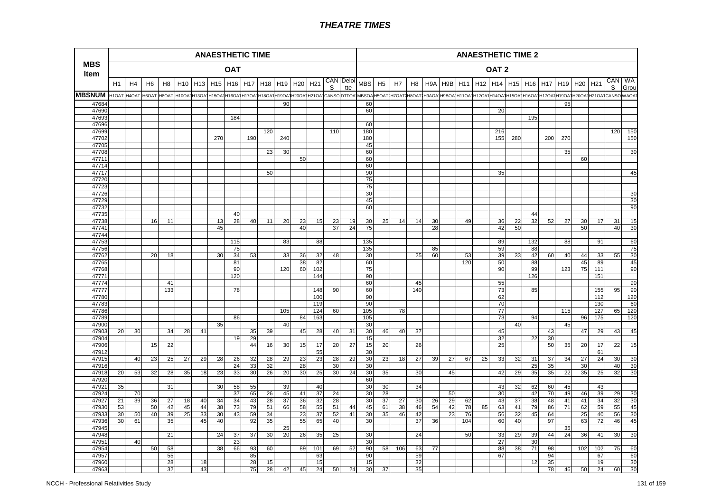|                                                                                                  |    |                |                |                |                 |                 | <b>ANAESTHETIC TIME</b>                         |            |          |          |                 |                 |                                                                                       |          |     |                 |                |     |                |     |    |           |    | <b>ANAESTHETIC TIME 2</b> |     |          |          |          |          |                                                                                                    |             |            |
|--------------------------------------------------------------------------------------------------|----|----------------|----------------|----------------|-----------------|-----------------|-------------------------------------------------|------------|----------|----------|-----------------|-----------------|---------------------------------------------------------------------------------------|----------|-----|-----------------|----------------|-----|----------------|-----|----|-----------|----|---------------------------|-----|----------|----------|----------|----------|----------------------------------------------------------------------------------------------------|-------------|------------|
| <b>MBS</b><br><b>Item</b>                                                                        |    |                |                |                |                 |                 |                                                 | <b>OAT</b> |          |          |                 |                 | OAT <sub>2</sub><br><b>CAN Deloi</b><br>H12   H14   H15   H16   H17   H19   H20   H21 |          |     |                 |                |     |                |     |    |           |    |                           |     |          |          |          |          |                                                                                                    |             |            |
|                                                                                                  | H1 | H <sub>4</sub> | H <sub>6</sub> | H <sub>8</sub> | H <sub>10</sub> | H <sub>13</sub> | H <sub>15</sub> H <sub>16</sub> H <sub>17</sub> |            |          |          |                 | H18 H19 H20 H21 |                                                                                       | S        | tte | <b>MBS</b>      | H <sub>5</sub> | H7  | H <sub>8</sub> | H9A |    | H9B H11   |    |                           |     |          |          |          |          |                                                                                                    | CAN WA<br>S | Grou       |
| MBSNUM H10AT H40AT H60AT H60AT H10OAT H13OATH15OATH15OATH17OATH18OATH19OATH20OATH210ATCANSODTTOA |    |                |                |                |                 |                 |                                                 |            |          |          |                 |                 |                                                                                       |          |     |                 |                |     |                |     |    |           |    |                           |     |          |          |          |          | MBSOAH5OAT1H7OAT1H8OAT1H9AOA1H9BOA1H11OA1H12OA1H14OA1H15OA1H16OA1H17OA1H19OA1H20OA1H21OA1CANSOWAOA |             |            |
| 47684                                                                                            |    |                |                |                |                 |                 |                                                 |            |          |          | 90              |                 |                                                                                       |          |     | 60              |                |     |                |     |    |           |    |                           |     |          |          | 95       |          |                                                                                                    |             |            |
| 47690                                                                                            |    |                |                |                |                 |                 |                                                 |            |          |          |                 |                 |                                                                                       |          |     | 60              |                |     |                |     |    |           |    | 20                        |     |          |          |          |          |                                                                                                    |             |            |
| 47693                                                                                            |    |                |                |                |                 |                 |                                                 | 184        |          |          |                 |                 |                                                                                       |          |     |                 |                |     |                |     |    |           |    |                           |     | 195      |          |          |          |                                                                                                    |             |            |
| 47696                                                                                            |    |                |                |                |                 |                 |                                                 |            |          |          |                 |                 |                                                                                       |          |     | 60              |                |     |                |     |    |           |    |                           |     |          |          |          |          |                                                                                                    |             |            |
| 47699                                                                                            |    |                |                |                |                 |                 |                                                 |            |          | 120      |                 |                 |                                                                                       | 110      |     | 180             |                |     |                |     |    |           |    | 216                       |     |          |          |          |          |                                                                                                    | 120         | 150        |
| 47702                                                                                            |    |                |                |                |                 |                 | 270                                             |            | 190      |          | 240             |                 |                                                                                       |          |     | 180             |                |     |                |     |    |           |    | 155                       | 280 |          | 200      | 270      |          |                                                                                                    |             | 150        |
| 47705<br>47708                                                                                   |    |                |                |                |                 |                 |                                                 |            |          | 23       | 30              |                 |                                                                                       |          |     | 45<br>60        |                |     |                |     |    |           |    |                           |     |          |          | 35       |          |                                                                                                    |             | 30         |
| 47711                                                                                            |    |                |                |                |                 |                 |                                                 |            |          |          |                 | 50              |                                                                                       |          |     | 60              |                |     |                |     |    |           |    |                           |     |          |          |          | 60       |                                                                                                    |             |            |
| 47714                                                                                            |    |                |                |                |                 |                 |                                                 |            |          |          |                 |                 |                                                                                       |          |     | 60              |                |     |                |     |    |           |    |                           |     |          |          |          |          |                                                                                                    |             |            |
| 47717                                                                                            |    |                |                |                |                 |                 |                                                 |            |          | 50       |                 |                 |                                                                                       |          |     | 90              |                |     |                |     |    |           |    | 35                        |     |          |          |          |          |                                                                                                    |             | 45         |
| 47720                                                                                            |    |                |                |                |                 |                 |                                                 |            |          |          |                 |                 |                                                                                       |          |     | 75              |                |     |                |     |    |           |    |                           |     |          |          |          |          |                                                                                                    |             |            |
| 47723                                                                                            |    |                |                |                |                 |                 |                                                 |            |          |          |                 |                 |                                                                                       |          |     | $\overline{75}$ |                |     |                |     |    |           |    |                           |     |          |          |          |          |                                                                                                    |             |            |
| 47726                                                                                            |    |                |                |                |                 |                 |                                                 |            |          |          |                 |                 |                                                                                       |          |     | 30              |                |     |                |     |    |           |    |                           |     |          |          |          |          |                                                                                                    |             | 30         |
| 47729<br>47732                                                                                   |    |                |                |                |                 |                 |                                                 |            |          |          |                 |                 |                                                                                       |          |     | 45<br>60        |                |     |                |     |    |           |    |                           |     |          |          |          |          |                                                                                                    |             | 30<br>90   |
| 47735                                                                                            |    |                |                |                |                 |                 |                                                 | 40         |          |          |                 |                 |                                                                                       |          |     |                 |                |     |                |     |    |           |    |                           |     | 44       |          |          |          |                                                                                                    |             |            |
| 47738                                                                                            |    |                | 16             | 11             |                 |                 | 13                                              | 28         | 40       | 11       | 20              | 23              | 15                                                                                    | 23       | 19  | 30              | 25             | 14  | 14             | 30  |    | 49        |    | 36                        | 22  | 32       | 52       | 27       | 30       | 17                                                                                                 | 31          | 15         |
| 47741                                                                                            |    |                |                |                |                 |                 | 45                                              |            |          |          |                 | 40              |                                                                                       | 37       | 24  | 75              |                |     |                | 28  |    |           |    | 42                        | 50  |          |          |          | 50       |                                                                                                    | 40          | 30         |
| 47744                                                                                            |    |                |                |                |                 |                 |                                                 |            |          |          |                 |                 |                                                                                       |          |     |                 |                |     |                |     |    |           |    |                           |     |          |          |          |          |                                                                                                    |             |            |
| 47753                                                                                            |    |                |                |                |                 |                 |                                                 | 115        |          |          | 83              |                 | 88                                                                                    |          |     | 135             |                |     |                |     |    |           |    | 89                        |     | 132      |          | 88       |          | 91                                                                                                 |             | 60         |
| 47756                                                                                            |    |                |                |                |                 |                 |                                                 | 75         |          |          |                 |                 |                                                                                       |          |     | 135             |                |     |                | 85  |    |           |    | 59                        |     | 88       |          |          |          |                                                                                                    |             | 75         |
| 47762<br>47765                                                                                   |    |                | 20             | 18             |                 |                 | 30                                              | 34<br>81   | 53       |          | 33              | 36<br>38        | 32<br>82                                                                              | 48       |     | 30<br>60        |                |     | 25             | 60  |    | 53<br>120 |    | 39<br>50                  | 33  | 42<br>88 | 60       | 40       | 44<br>45 | 33<br>89                                                                                           | 55          | 30<br>45   |
| 47768                                                                                            |    |                |                |                |                 |                 |                                                 | 90         |          |          | 120             | 60              | 102                                                                                   |          |     | 75              |                |     |                |     |    |           |    | 90                        |     | 99       |          | 123      | 75       | 111                                                                                                |             | 90         |
| 47771                                                                                            |    |                |                |                |                 |                 |                                                 | 120        |          |          |                 |                 | 144                                                                                   |          |     | 90              |                |     |                |     |    |           |    |                           |     | 126      |          |          |          | 151                                                                                                |             |            |
| 47774                                                                                            |    |                |                | 41             |                 |                 |                                                 |            |          |          |                 |                 |                                                                                       |          |     | 60              |                |     | 45             |     |    |           |    | 55                        |     |          |          |          |          |                                                                                                    |             | 90         |
| 47777                                                                                            |    |                |                | 133            |                 |                 |                                                 | 78         |          |          |                 |                 | 148                                                                                   | 90       |     | 60              |                |     | 140            |     |    |           |    | 73                        |     | 85       |          |          |          | 155                                                                                                | 95          | 90         |
| 47780                                                                                            |    |                |                |                |                 |                 |                                                 |            |          |          |                 |                 | 100                                                                                   |          |     | 90              |                |     |                |     |    |           |    | 62                        |     |          |          |          |          | 112                                                                                                |             | 120        |
| 47783                                                                                            |    |                |                |                |                 |                 |                                                 |            |          |          |                 |                 | 119                                                                                   |          |     | 90              |                |     |                |     |    |           |    | 70<br>77                  |     |          |          |          |          | 130                                                                                                |             | 60         |
| 47786<br>47789                                                                                   |    |                |                |                |                 |                 |                                                 | 86         |          |          | 105             | 84              | 124<br>163                                                                            | 60       |     | 105<br>105      |                | 78  |                |     |    |           |    | 73                        |     | 94       |          | 115      | 96       | 127<br>175                                                                                         | 65          | 120<br>120 |
| 47900                                                                                            |    |                |                |                |                 |                 | 35                                              |            |          |          | 40              |                 |                                                                                       |          |     | 30              |                |     |                |     |    |           |    |                           | 40  |          |          | 45       |          |                                                                                                    |             |            |
| 47903                                                                                            | 20 | 30             |                | 34             | 28              | 41              |                                                 |            | 35       | 39       |                 | 45              | 28                                                                                    | 40       | 31  | 30              | 46             | 40  | 37             |     |    |           |    | 45                        |     |          | 43       |          | 47       | 29                                                                                                 | 43          | 45         |
| 47904                                                                                            |    |                |                |                |                 |                 |                                                 | 19         | 29       |          |                 |                 |                                                                                       |          |     | 15              |                |     |                |     |    |           |    | 32                        |     | 22       | 30       |          |          |                                                                                                    |             |            |
| 47906                                                                                            |    |                | 15             | 22             |                 |                 |                                                 |            | 44       | 16       | 30 <sub>o</sub> | 15              | 17                                                                                    | 20       | 27  | 15              | 20             |     | 26             |     |    |           |    | 25                        |     |          | 50       | 35       | 20       | 17                                                                                                 | 22          | 15         |
| 47912                                                                                            |    |                |                |                |                 |                 |                                                 |            |          |          |                 |                 | 55                                                                                    |          |     | 30              |                |     |                |     |    |           |    |                           |     |          |          |          |          | 61                                                                                                 |             |            |
| 47915<br>47916                                                                                   |    | 40             | 23             | 25             | $\overline{27}$ | 29              | 28                                              | 26         | 32<br>33 | 28       | 29              | 23              | 23                                                                                    | 28       | 29  | 30<br>30        | 23             | 18  | 27             | 39  | 27 | 67        | 25 | 33                        | 32  | 31<br>25 | 37<br>35 | 34       | 27       | 24                                                                                                 | 30<br>40    | 30         |
| 47918                                                                                            | 20 | 53             | 32             | 28             | 35              | 18              | 23                                              | 24<br>33   | 30       | 32<br>26 | 20              | 28<br>30        | 25                                                                                    | 30<br>30 | 24  | 30              | 35             |     | 30             |     | 45 |           |    | 42                        | 29  | 35       | 35       | 22       | 30<br>35 | 25                                                                                                 | 32          | 30<br>30   |
| 47920                                                                                            |    |                |                |                |                 |                 |                                                 |            |          |          |                 |                 |                                                                                       |          |     | 60              |                |     |                |     |    |           |    |                           |     |          |          |          |          |                                                                                                    |             |            |
| 47921                                                                                            | 35 |                |                | 31             |                 |                 | 30                                              | 58         | 55       |          | 39              |                 | 40                                                                                    |          |     | 30              | 30             |     | 34             |     |    |           |    | 43                        | 32  | 62       | 60       | 45       |          | 43                                                                                                 |             |            |
| 47924                                                                                            |    | 70             |                |                |                 |                 |                                                 | 37         | 65       | 26       | 45              | 41              | 37                                                                                    | 24       |     | 30 <sup>1</sup> | 28             |     |                |     | 50 |           |    | 30                        |     | 42       | 70       | 49       | 46       | 39                                                                                                 | 29          | 30         |
| 47927                                                                                            | 21 | 39             | 36             | 27             | 18              | 40              | 34                                              | 34         | 43       | 28       | 37              | 36              | 32                                                                                    | 28       |     | 30              | 37             | 27  | 30             | 26  | 29 | 62        |    | 43                        | 37  | 38       | 48       | 41       | 41       | 34                                                                                                 | 32          | 30         |
| 47930                                                                                            | 53 |                | 50             | 42             | 45              | 44              | 38                                              | 73         | 79       | 51       | 66              | 58              | 55                                                                                    | 51       | 44  | 45              | 61             | 38  | 46             | 54  | 42 | 78        | 85 | 63                        | 41  | 79       | 86       | 71       | 62       | 59                                                                                                 | 55          | 45         |
| 47933                                                                                            | 30 | 50             | 40             | 39             | 25              | 33              | 30                                              | 43         | 59       | 34       |                 | 23              | 37                                                                                    | 52       | 41  | 30              | 35             | 46  | 42             |     | 23 | 76        |    | 56                        | 32  | 45       | 64       |          | 25       | 40                                                                                                 | 56          | 30         |
| 47936<br>47945                                                                                   | 30 | 61             |                | 35             |                 | 45              | 40                                              |            | 92       | 35       | 25              | 55              | 65                                                                                    | 40       |     | 30              |                |     | 37             | 36  |    | 104       |    | 60                        | 40  |          | 97       |          | 63       | 72                                                                                                 | 46          | 45         |
| 47948                                                                                            |    |                |                | 21             |                 |                 | 24                                              | 37         | 37       | 30       | 20              | 26              | 35                                                                                    | 25       |     | 30              |                |     | 24             |     |    | 50        |    | 33                        | 29  | 39       | 44       | 35<br>24 | 36       | 41                                                                                                 | 30          | 30         |
| 47951                                                                                            |    | 40             |                |                |                 |                 |                                                 | 23         |          |          |                 |                 |                                                                                       |          |     | 30              |                |     |                |     |    |           |    | 27                        |     | 30       |          |          |          |                                                                                                    |             |            |
| 47954                                                                                            |    |                | 50             | 58             |                 |                 | 38                                              | 66         | 93       | 60       |                 | 89              | 101                                                                                   | 69       | 52  | 90              | 58             | 106 | 63             | 77  |    |           |    | 88                        | 38  | 71       | 98       |          | 102      | 102                                                                                                | 75          | 60         |
| 47957                                                                                            |    |                |                | 55             |                 |                 |                                                 |            | 85       |          |                 |                 | 63                                                                                    |          |     | 90              |                |     | 59             |     |    |           |    | 67                        |     |          | 94       |          |          | 67                                                                                                 |             | 60         |
| 47960                                                                                            |    |                |                | 28             |                 | 18              |                                                 |            | 28       | 15       |                 |                 | 15                                                                                    |          |     | 15              |                |     | 32             |     |    |           |    |                           |     | 12       | 35       |          |          | 19                                                                                                 |             | 30         |
| 47963                                                                                            |    |                |                | 32             |                 | 43              |                                                 |            | 75       | 28       | 42              | 45              | 24                                                                                    | 50       | 24  | 30              | 37             |     | 35             |     |    |           |    |                           |     |          | 78       | 46       | 50       | 24                                                                                                 | 60          | 30         |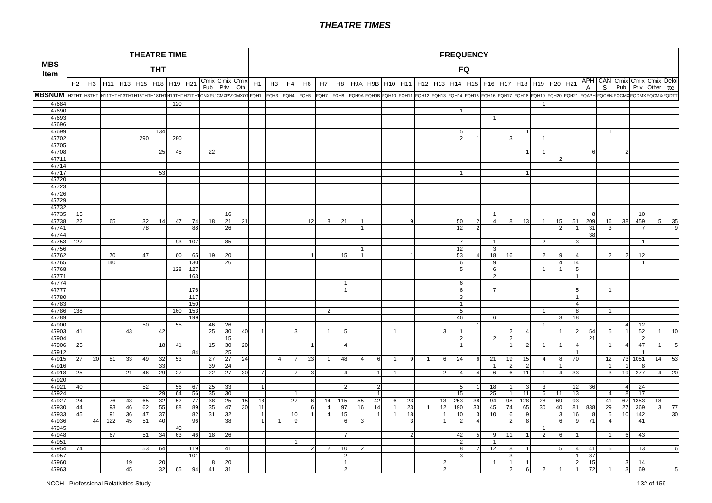|                           |     |                |     |                                                                                  |    | <b>THEATRE TIME</b> |     |                 |                |                                   |    |                |                |                |                  |                |                     |                |                |                |                |              |                              |                     | <b>FREQUENCY</b>                                                                       |                            |                              |                |                  |                  |                                  |                                                                                                                                  |                                  |                      |                      |
|---------------------------|-----|----------------|-----|----------------------------------------------------------------------------------|----|---------------------|-----|-----------------|----------------|-----------------------------------|----|----------------|----------------|----------------|------------------|----------------|---------------------|----------------|----------------|----------------|----------------|--------------|------------------------------|---------------------|----------------------------------------------------------------------------------------|----------------------------|------------------------------|----------------|------------------|------------------|----------------------------------|----------------------------------------------------------------------------------------------------------------------------------|----------------------------------|----------------------|----------------------|
| <b>MBS</b><br><b>Item</b> |     |                |     |                                                                                  |    | <b>THT</b>          |     |                 |                |                                   |    |                |                |                |                  |                |                     |                |                |                |                |              |                              |                     | <b>FQ</b>                                                                              |                            |                              |                |                  |                  |                                  |                                                                                                                                  |                                  |                      |                      |
|                           | H2  | H <sub>3</sub> |     | H11 H13 H15 H18 H19 H21                                                          |    |                     |     |                 |                | C'mix C'mix C'mix<br>Pub Priv Oth |    | H <sub>1</sub> | H <sub>3</sub> | H <sub>4</sub> | H <sub>6</sub>   | H7             |                     |                |                |                |                |              |                              |                     | H8   H9A   H9B   H10   H11   H12   H13   H14   H15   H16   H17   H18   H19   H20   H21 |                            |                              |                |                  |                  |                                  | APH   CAN   C'mix   C'mix   C'mix   Deloi<br><sub>S</sub><br>A                                                                   |                                  |                      | Pub Priv Other tte   |
| <b>MBSNUM</b>             |     |                |     | Н2ТНТ Н3ТНТ Н11ТНТН13ТНТН15ТНТН18ТНТН19ТНТН21ТНТСМХРU СМХРV СМХОТ FQH1 FQH3 FQH4 |    |                     |     |                 |                |                                   |    |                |                |                | FQH <sub>6</sub> |                |                     |                |                |                |                |              |                              |                     |                                                                                        |                            |                              |                |                  |                  |                                  | ғонт  ғонв  ғонза ғонзв ғон10 ғон11 ғон12 ғон13 ғон14 ғон15 ғон16 ғон17 ғон18 ғон19 ғон20 ғон21 ғодн4 ғослм ғосмх ғосмх ғосмх ғо |                                  |                      |                      |
| 47684                     |     |                |     |                                                                                  |    |                     | 120 |                 |                |                                   |    |                |                |                |                  |                |                     |                |                |                |                |              |                              |                     |                                                                                        |                            |                              |                |                  |                  |                                  |                                                                                                                                  |                                  |                      |                      |
| 47690                     |     |                |     |                                                                                  |    |                     |     |                 |                |                                   |    |                |                |                |                  |                |                     |                |                |                |                |              |                              | 1                   |                                                                                        |                            |                              |                |                  |                  |                                  |                                                                                                                                  |                                  |                      |                      |
| 47693<br>47696            |     |                |     |                                                                                  |    |                     |     |                 |                |                                   |    |                |                |                |                  |                |                     |                |                |                |                |              |                              |                     |                                                                                        | $\mathbf{1}$               |                              |                |                  |                  |                                  |                                                                                                                                  |                                  |                      |                      |
| 47699                     |     |                |     |                                                                                  |    | 134                 |     |                 |                |                                   |    |                |                |                |                  |                |                     |                |                |                |                |              |                              | 5                   |                                                                                        |                            |                              | 1 <sup>1</sup> |                  |                  |                                  | $\mathbf{1}$                                                                                                                     |                                  |                      |                      |
| 47702                     |     |                |     | 290                                                                              |    |                     | 280 |                 |                |                                   |    |                |                |                |                  |                |                     |                |                |                |                |              |                              | $\overline{2}$      | 1                                                                                      |                            | $\mathbf{3}$                 |                | $\vert$          |                  |                                  |                                                                                                                                  |                                  |                      |                      |
| 47705                     |     |                |     |                                                                                  |    |                     |     |                 |                |                                   |    |                |                |                |                  |                |                     |                |                |                |                |              |                              |                     |                                                                                        |                            |                              |                |                  |                  |                                  |                                                                                                                                  |                                  |                      |                      |
| 47708                     |     |                |     |                                                                                  |    | 25                  | 45  |                 | 22             |                                   |    |                |                |                |                  |                |                     |                |                |                |                |              |                              |                     |                                                                                        |                            |                              | 1              | $\overline{1}$   |                  |                                  | $6 \mid$                                                                                                                         | $\overline{2}$                   |                      |                      |
| 47711<br>47714            |     |                |     |                                                                                  |    |                     |     |                 |                |                                   |    |                |                |                |                  |                |                     |                |                |                |                |              |                              |                     |                                                                                        |                            |                              |                |                  | $\overline{2}$   |                                  |                                                                                                                                  |                                  |                      |                      |
| 47717                     |     |                |     |                                                                                  |    | 53                  |     |                 |                |                                   |    |                |                |                |                  |                |                     |                |                |                |                |              |                              | $\overline{1}$      |                                                                                        |                            |                              | 1 <sup>1</sup> |                  |                  |                                  |                                                                                                                                  |                                  |                      |                      |
| 47720                     |     |                |     |                                                                                  |    |                     |     |                 |                |                                   |    |                |                |                |                  |                |                     |                |                |                |                |              |                              |                     |                                                                                        |                            |                              |                |                  |                  |                                  |                                                                                                                                  |                                  |                      |                      |
| 47723                     |     |                |     |                                                                                  |    |                     |     |                 |                |                                   |    |                |                |                |                  |                |                     |                |                |                |                |              |                              |                     |                                                                                        |                            |                              |                |                  |                  |                                  |                                                                                                                                  |                                  |                      |                      |
| 47726<br>47729            |     |                |     |                                                                                  |    |                     |     |                 |                |                                   |    |                |                |                |                  |                |                     |                |                |                |                |              |                              |                     |                                                                                        |                            |                              |                |                  |                  |                                  |                                                                                                                                  |                                  |                      |                      |
| 47732                     |     |                |     |                                                                                  |    |                     |     |                 |                |                                   |    |                |                |                |                  |                |                     |                |                |                |                |              |                              |                     |                                                                                        |                            |                              |                |                  |                  |                                  |                                                                                                                                  |                                  |                      |                      |
| 47735                     | 15  |                |     |                                                                                  |    |                     |     |                 |                | 16                                |    |                |                |                |                  |                |                     |                |                |                |                |              |                              |                     |                                                                                        | $\mathbf{1}$               |                              |                |                  |                  |                                  | 8                                                                                                                                |                                  | 10                   |                      |
| 47738                     | 22  |                | 65  |                                                                                  | 32 | 14                  | 47  | 74              | 18             | 21                                | 21 |                |                |                | 12               | 8 <sup>1</sup> | 21                  |                |                |                | 9              |              |                              | 50                  | $\overline{2}$                                                                         | 4 <sup>1</sup>             | 8                            | 13             | $\mathbf 1$      | 15               | 51                               | 209<br>16                                                                                                                        | 38                               | 459                  | 5 <sup>1</sup><br>35 |
| 47741<br>47744            |     |                |     |                                                                                  | 78 |                     |     | 88              |                | 26                                |    |                |                |                |                  |                |                     | 1              |                |                |                |              |                              | 12                  | $\overline{2}$                                                                         |                            |                              |                |                  | 2                | $\overline{1}$                   | 31<br>3                                                                                                                          |                                  | $\overline{7}$       | -9                   |
| 47753                     | 127 |                |     |                                                                                  |    |                     | 93  | 107             |                | 85                                |    |                |                |                |                  |                |                     |                |                |                |                |              |                              | -71                 |                                                                                        | $\mathbf{1}$               |                              |                | 2 <sup>1</sup>   |                  | $\overline{\mathbf{3}}$          | 38                                                                                                                               |                                  | $\overline{1}$       |                      |
| 47756                     |     |                |     |                                                                                  |    |                     |     |                 |                |                                   |    |                |                |                |                  |                |                     | $\mathbf{1}$   |                |                |                |              |                              | 12                  |                                                                                        | $\overline{3}$             |                              |                |                  |                  |                                  |                                                                                                                                  |                                  |                      |                      |
| 47762                     |     |                | 70  |                                                                                  | 47 |                     | 60  | 65              | 19             | 20                                |    |                |                |                | 1                |                | 15                  |                |                |                | $\mathbf{1}$   |              |                              | 53                  | $\left 4\right $                                                                       | 18                         | 16                           |                | $2 \vert$        | 9                | $\overline{4}$                   | $\overline{2}$                                                                                                                   | $\overline{2}$                   | 12                   |                      |
| 47765                     |     |                | 140 |                                                                                  |    |                     |     | 130             |                | 26                                |    |                |                |                |                  |                |                     |                |                |                | $\overline{1}$ |              |                              | 6                   |                                                                                        | 9                          |                              |                |                  | $\overline{4}$   | 14                               |                                                                                                                                  |                                  | $\overline{1}$       |                      |
| 47768<br>47771            |     |                |     |                                                                                  |    |                     | 128 | 127<br>163      |                |                                   |    |                |                |                |                  |                |                     |                |                |                |                |              |                              | 5                   |                                                                                        | $6 \mid$<br>$\overline{2}$ |                              |                | $\mathbf{1}$     |                  | 5<br>1                           |                                                                                                                                  |                                  |                      |                      |
| 47774                     |     |                |     |                                                                                  |    |                     |     |                 |                |                                   |    |                |                |                |                  |                | 1                   |                |                |                |                |              |                              | 6                   |                                                                                        |                            |                              |                |                  |                  |                                  |                                                                                                                                  |                                  |                      |                      |
| 47777                     |     |                |     |                                                                                  |    |                     |     | 176             |                |                                   |    |                |                |                |                  |                | 1 <sup>1</sup>      |                |                |                |                |              |                              | <sup>6</sup>        |                                                                                        | 7                          |                              |                |                  |                  | 5 <sup>1</sup>                   | $\overline{1}$                                                                                                                   |                                  |                      |                      |
| 47780                     |     |                |     |                                                                                  |    |                     |     | 117             |                |                                   |    |                |                |                |                  |                |                     |                |                |                |                |              |                              | $\mathbf{3}$        |                                                                                        |                            |                              |                |                  |                  | 1                                |                                                                                                                                  |                                  |                      |                      |
| 47783                     | 138 |                |     |                                                                                  |    |                     | 160 | 150<br>153      |                |                                   |    |                |                |                |                  | $\overline{2}$ |                     |                |                |                |                |              |                              | $\overline{1}$<br>5 |                                                                                        |                            |                              |                | $\overline{1}$   |                  | $\overline{4}$<br>8              | $\mathbf{1}$                                                                                                                     |                                  |                      |                      |
| 47786<br>47789            |     |                |     |                                                                                  |    |                     |     | 199             |                |                                   |    |                |                |                |                  |                |                     |                |                |                |                |              |                              | 46                  |                                                                                        | $6 \mid$                   |                              |                |                  | 3 <sup>1</sup>   | 18                               |                                                                                                                                  |                                  |                      |                      |
| 47900                     |     |                |     |                                                                                  | 50 |                     | 55  |                 | 46             | 26                                |    |                |                |                |                  |                |                     |                |                |                |                |              |                              |                     | 1                                                                                      |                            |                              |                | $\mathbf{1}$     |                  |                                  |                                                                                                                                  | $\vert$                          | 12                   |                      |
| 47903                     | 41  |                |     | 43                                                                               |    | 42                  |     |                 | 25             | 30                                | 40 | $\mathbf{1}$   |                | 3 <sup>1</sup> |                  | $\mathbf{1}$   | 5 <sup>1</sup>      |                |                | 11             |                |              | 3 <sup>1</sup>               | $\mathbf{1}$        |                                                                                        |                            | $\overline{2}$               | 4 <sup>1</sup> |                  |                  | $2 \vert$                        | 54<br>$5\phantom{.0}$                                                                                                            | 1                                | 52                   | 1<br>10              |
| 47904                     |     |                |     |                                                                                  |    |                     |     |                 |                | 15                                |    |                |                |                |                  |                |                     |                |                |                |                |              |                              | 2 <sup>1</sup>      |                                                                                        | $\overline{2}$             | $\overline{c}$               |                |                  |                  |                                  | 21                                                                                                                               |                                  | $\overline{2}$       |                      |
| 47906<br>47912            | 25  |                |     |                                                                                  |    | 18                  | 41  | 84              | 15             | 30<br>25                          | 20 |                |                |                | $\overline{1}$   |                | $\vert$             |                |                |                |                |              |                              | $\overline{1}$      |                                                                                        |                            | 1                            | 2 <sup>1</sup> | 1                | $\overline{1}$   | $\overline{4}$<br>$\vert$ 1      | 1                                                                                                                                | 4 <sup>1</sup>                   | 47<br>$\overline{1}$ | 1<br>5               |
| 47915                     | 27  | 20             | 81  | 33                                                                               | 49 | 32                  | 53  |                 | 27             | 27                                | 24 |                | $\overline{4}$ | $\overline{7}$ | 23               | 11             | 48                  | 4 <sup>1</sup> | $6 \mid$       | 1 <sup>1</sup> | 9              | $\mathbf{1}$ | 6 <sup>1</sup>               | 24                  | 6                                                                                      | 21                         | 19                           | 15             | 4 <sup>1</sup>   | 8                | 70                               | 12                                                                                                                               | 73 1051                          |                      | 53<br>14             |
| 47916                     |     |                |     |                                                                                  |    | 33                  |     |                 | 39             | 24                                |    |                |                |                |                  |                |                     |                |                |                |                |              |                              |                     |                                                                                        | $\overline{1}$             | $\overline{2}$               | $2 \vert$      |                  |                  |                                  | $\mathbf{1}$                                                                                                                     | $\mathbf{1}$                     | 8                    |                      |
| 47918                     | 25  |                |     | 21                                                                               | 46 | 29                  | 27  |                 | 22             | 27                                | 30 | $\overline{7}$ |                | $\overline{7}$ | 3                |                | $\overline{4}$      |                |                | 1 <sup>1</sup> |                |              | 2 <sup>1</sup>               | $\overline{4}$      | $\vert$                                                                                | $6\phantom{1}$             | 6                            | 11             | 1 <sup>1</sup>   | $\overline{4}$   | 33                               | $\mathbf{3}$                                                                                                                     | 19                               | 277                  | $\vert$ 4<br>20      |
| 47920<br>47921            | 40  |                |     |                                                                                  | 52 |                     | 56  | 67              | 25             | 33                                |    | 1              |                |                |                  |                | 2 <sup>1</sup>      |                | $\overline{2}$ |                |                |              |                              | -5                  | 1                                                                                      | 18                         | $\mathbf{1}$                 | 3 <sup>1</sup> | 3 <sup>1</sup>   |                  | 12                               | 36                                                                                                                               | $\vert 4 \vert$                  | 24                   |                      |
| 47924                     |     |                |     |                                                                                  |    | 29                  | 64  | 56              | 35             | 30                                |    |                |                | 1              |                  |                |                     |                | 1              |                |                |              |                              | 15                  |                                                                                        | 25                         | $\overline{1}$               | 11             | $6 \overline{6}$ | 11               | 13                               | $\overline{4}$                                                                                                                   | $\overline{8}$                   | 17                   |                      |
| 47927                     | 24  |                | 76  | 43                                                                               | 65 | 32                  | 52  | $\overline{77}$ | 38             | 25                                | 15 | 18             |                | 27             | $6 \mid$         | 14             | 115                 | 55             | 42             | 6 <sup>1</sup> | 23             |              | 13                           | 253                 | 38                                                                                     | 94                         | 98                           | 128            | 28               | 69               | 93                               | 41                                                                                                                               | 67 1353                          |                      | 18                   |
| 47930                     | 44  |                | 93  | 46                                                                               | 62 | 55                  | 88  | 89              | 35             | 47                                | 30 | 11             |                |                | 6 <sup>1</sup>   | $\overline{4}$ | 97                  | 16             | 14             | 1 <sup>1</sup> | 23             | 1            | 12                           | 190                 | 33                                                                                     | 45                         | 74                           | 65             | 30               | 40               | 81                               | 838<br>29                                                                                                                        | 27                               | 369                  | 3 <sup>1</sup><br>77 |
| 47933                     | 45  |                | 91  | 36                                                                               | 47 | 37                  |     | 82              | 31             | 32                                |    | $\mathbf{1}$   |                | 10             |                  | $\overline{4}$ | 15                  |                |                | 1 <sup>1</sup> | 18             |              | $\mathbf{1}$<br>$\mathbf{1}$ | 10                  | 3                                                                                      | 10                         | 6                            | 9              |                  | 3 <sup>1</sup>   | 16                               | $5\phantom{.0}$<br>8                                                                                                             | 10                               | $\frac{1}{142}$      | 30                   |
| 47936<br>47945            |     | 44             | 122 | 45                                                                               | 51 | 40                  | 40  | 96              |                | 38                                |    | 1 <sup>1</sup> | 1              | 9              |                  |                | $6 \mid$            | 3              |                |                | 3              |              |                              | $\overline{2}$      | $\overline{4}$                                                                         |                            | $\overline{2}$               | $\overline{8}$ |                  | $6 \overline{6}$ | 9                                | 71<br>$\overline{4}$                                                                                                             |                                  | 41                   |                      |
| 47948                     |     |                | 67  |                                                                                  | 51 | 34                  | 63  | 46              | 18             | 26                                |    |                |                |                |                  |                | $\overline{7}$      |                |                |                | $\mathcal{P}$  |              |                              | 42                  | 5 <sub>l</sub>                                                                         | 9                          | 11                           | 1              | $2 \vert$        | 6                | $\mathbf{1}$                     | $\mathbf{1}$                                                                                                                     | 6                                | 43                   |                      |
| 47951                     |     |                |     |                                                                                  |    |                     |     |                 |                |                                   |    |                |                | 1              |                  |                |                     |                |                |                |                |              |                              | $\overline{2}$      |                                                                                        | $\mathbf{1}$               |                              |                |                  |                  |                                  |                                                                                                                                  |                                  |                      |                      |
| 47954                     | 74  |                |     |                                                                                  | 53 | 64                  |     | 119             |                | 41                                |    |                |                |                | $\overline{2}$   | $\overline{2}$ | 10 <sup>1</sup>     | 2 <sup>1</sup> |                |                |                |              |                              | 8                   | $\overline{2}$                                                                         | 12                         | 8                            | 11             |                  | 51               | $\overline{4}$                   | 41<br>$5\overline{)}$                                                                                                            |                                  | 13                   | 6                    |
| 47957<br>47960            |     |                |     | 19                                                                               |    | 20                  |     | 101             | 8 <sup>1</sup> | 20                                |    |                |                |                |                  |                | 2 <sup>1</sup><br>1 |                |                |                |                |              | 2 <sup>1</sup>               | $\overline{3}$      |                                                                                        | 1                          | $\mathbf{3}$<br>$\mathbf{1}$ |                |                  |                  | $\overline{1}$<br>$\overline{2}$ | 37<br>15                                                                                                                         |                                  |                      |                      |
| 47963                     |     |                |     | 45                                                                               |    | 32                  | 65  | 94              | 41             | 31                                |    |                |                |                |                  |                | $\overline{2}$      |                |                |                |                |              | $\overline{2}$               |                     |                                                                                        |                            | $\overline{2}$               | 1<br>6         | $2 \vert$        | 1                | 1                                | 72<br>1                                                                                                                          | 3 <sup>1</sup><br>3 <sup>1</sup> | 14<br>69             | 5                    |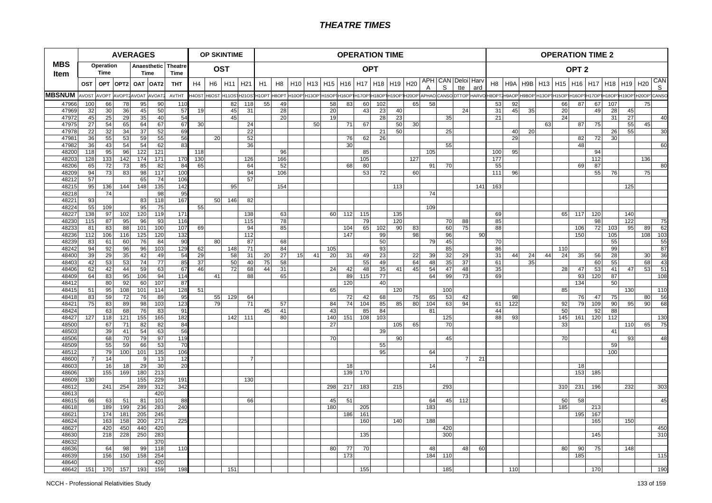|                    | <b>AVERAGES</b><br>Operation<br>Anaesthetic<br>Time<br><b>Time</b><br>OAT OAT2 |            |                  |                    |            |                        |           | <b>OP SKINTIME</b> |                 |                          |    |           |                                                                                         | <b>OPERATION TIME</b> |           |            |          |          |     |                          |          |                |     |                |     | <b>OPERATION TIME 2</b> |                                |           |                  |           |          |                                                                                 |                                     |           |
|--------------------|--------------------------------------------------------------------------------|------------|------------------|--------------------|------------|------------------------|-----------|--------------------|-----------------|--------------------------|----|-----------|-----------------------------------------------------------------------------------------|-----------------------|-----------|------------|----------|----------|-----|--------------------------|----------|----------------|-----|----------------|-----|-------------------------|--------------------------------|-----------|------------------|-----------|----------|---------------------------------------------------------------------------------|-------------------------------------|-----------|
| <b>MBS</b><br>Item |                                                                                |            |                  |                    |            | <b>Theatre</b><br>Time |           |                    | <b>OST</b>      |                          |    |           |                                                                                         |                       |           | <b>OPT</b> |          |          |     |                          |          |                |     |                |     |                         |                                |           | OPT <sub>2</sub> |           |          |                                                                                 |                                     |           |
|                    | <b>OST</b>                                                                     | <b>OPT</b> | OPT <sub>2</sub> |                    |            | <b>THT</b>             | H4        | H <sub>6</sub>     | H <sub>11</sub> | H <sub>21</sub>          | H1 | H8        | H10   H13   H15   H16   H17   H18   H19   H20                                           |                       |           |            |          |          |     | APH   CAN   Deloi   Harv | S.       | tte            | ard | H <sub>8</sub> | H9A |                         | H9B H13 H15                    |           |                  |           |          | H <sub>16</sub> H <sub>17</sub> H <sub>18</sub> H <sub>19</sub> H <sub>20</sub> |                                     | CAN<br>S. |
| <b>MBSNUM</b>      |                                                                                | VOST AVOPT |                  | AVOPT2AVOAT AVOAT2 |            | <b>AVTHT</b>           |           |                    |                 | 140ST H60ST H110ST H210S |    |           | 110PT   H8OPT   H10OPTH13OPTH15OPTH16OPTH17OPTH18OPTH19OPTH20OPTAPHAO CANSO DTTOPTHARVO |                       |           |            |          |          |     |                          |          |                |     |                |     |                         | H8OPT1H9AOP1H9BOP1H13OP1H15OP1 |           |                  |           |          |                                                                                 | H16OP1H17OP1H18OP1H19OP1H20OP1CANSC |           |
| 47966              | 100                                                                            | 66         | 78               | 95                 | 90         | 110                    |           |                    | 82              | 118                      | 55 | 49        |                                                                                         | 58                    | 83        | 60         | 102      |          | 65  | 58                       |          |                |     | 53             | 92  |                         |                                | 66        | 87               | 67        | 107      |                                                                                 | 75                                  |           |
| 47969              | 32                                                                             | 30         | 36               | 45                 | 50         | 57                     | 19        |                    | 45              | 31                       |    | 28        |                                                                                         | 20                    |           | 43         | 23       | 40       |     |                          |          | 24             |     | 31             | 45  | 35                      |                                | 20        |                  | 49        | 28       | 45                                                                              |                                     |           |
| 47972<br>47975     | 45<br>27                                                                       | 25<br>54   | 29<br>65         | 35<br>64           | 40<br>67   | 54<br>67               | 30        |                    | 45              | 24                       |    | 20        | 50                                                                                      | 19                    | 71        | 67         | 28       | 23<br>50 | 30  |                          | 35       |                |     | 21             |     |                         | 63                             | 24        | 87               | 75        | 31       | 27<br>55                                                                        | 45                                  | 40        |
| 47978              | 22                                                                             | 32         | 34               | 37                 | 52         | 69                     |           |                    |                 | 22                       |    |           |                                                                                         |                       |           |            | 21       | 50       |     |                          | 25       |                |     |                | 40  | 20                      |                                |           |                  |           | 26       | 55                                                                              |                                     | 30        |
| 47981              | 36                                                                             | 55         | 53               | 59                 | 55         | 56                     |           | 20                 |                 | 52                       |    |           |                                                                                         |                       | 76        | 62         | 26       |          |     |                          |          |                |     |                | 29  |                         |                                |           | 82               | 72        | 30       |                                                                                 |                                     |           |
| 47982              | 36                                                                             | 43         | 54               | 54                 | 62         | 83                     |           |                    |                 | 36                       |    |           |                                                                                         |                       | 30        |            |          |          |     |                          | 55       |                |     |                |     |                         |                                |           | 48               |           |          |                                                                                 |                                     | 60        |
| 48200              | 118                                                                            | 95         | 96               | 122                | 121        |                        | 118       |                    |                 |                          |    | 96        |                                                                                         |                       |           | 85         |          |          |     | 105                      |          |                |     | 100            | 95  |                         |                                |           |                  | 94        |          |                                                                                 |                                     |           |
| 48203<br>48206     | 128<br>65                                                                      | 133<br>72  | 142<br>73        | 174<br>85          | 171<br>82  | 170<br>84              | 130<br>65 |                    |                 | 126<br>64                |    | 166<br>52 |                                                                                         |                       | 68        | 105<br>80  |          |          | 127 | 91                       | 70       |                |     | 177<br>55      |     |                         |                                |           | 69               | 112<br>87 |          |                                                                                 | 136                                 | 80        |
| 48209              | 94                                                                             | 73         | 83               | 98                 | 117        | 100                    |           |                    |                 | 94                       |    | 106       |                                                                                         |                       |           | 53         | 72       |          | 60  |                          |          |                |     | 111            | 96  |                         |                                |           |                  | 55        | 76       |                                                                                 | 75                                  |           |
| 48212              | 57                                                                             |            |                  | 65                 | 74         | 106                    |           |                    |                 | 57                       |    |           |                                                                                         |                       |           |            |          |          |     |                          |          |                |     |                |     |                         |                                |           |                  |           |          |                                                                                 |                                     |           |
| 48215              | 95                                                                             | 136        | 144              | 148                | 135        | 142                    |           |                    | 95              |                          |    | 154       |                                                                                         |                       |           |            |          | 113      |     |                          |          |                | 141 | 163            |     |                         |                                |           |                  |           |          | 125                                                                             |                                     |           |
| 48218              |                                                                                | 74         |                  |                    | 98         | 95                     |           |                    |                 |                          |    |           |                                                                                         |                       |           |            |          |          |     | 74                       |          |                |     |                |     |                         |                                |           |                  |           |          |                                                                                 |                                     |           |
| 48221<br>48224     | 93<br>55                                                                       | 109        |                  | 83<br>95           | 118<br>75  | 167                    | 55        | 50                 | 146             | 82                       |    |           |                                                                                         |                       |           |            |          |          |     | 109                      |          |                |     |                |     |                         |                                |           |                  |           |          |                                                                                 |                                     |           |
| 48227              | 138                                                                            | 97         | 102              | 120                | 119        | 171                    |           |                    |                 | 138                      |    | 63        |                                                                                         | 60                    | 112       | 115        |          | 135      |     |                          |          |                |     | 69             |     |                         |                                | 65        | 117              | 120       |          | 140                                                                             |                                     |           |
| 48230              | 115                                                                            | 87         | 95               | 96                 | 93         | 116                    |           |                    |                 | 115                      |    | 78        |                                                                                         |                       |           | 79         |          | 120      |     |                          | 70       | 88             |     | 85             |     |                         |                                |           |                  | 98        |          | 122                                                                             |                                     | 75        |
| 48233              | 81                                                                             | 83         | 88               | 101                | 100        | 107                    | 69        |                    |                 | 94                       |    | 85        |                                                                                         |                       | 104       | 65         | 102      | 90       | 83  |                          | 60       | 75             |     | 88             |     |                         |                                |           | 106              | 72        | 103      | 95                                                                              | 89                                  | 62        |
| 48236              | 112                                                                            | 106        | 116              | 125                | 120        | 132                    |           |                    |                 | 112                      |    |           |                                                                                         |                       | 147       |            | 99       |          | 98  |                          | 96       |                | 90  |                |     |                         |                                |           | 150              |           | 105      |                                                                                 | 108                                 | 103       |
| 48239<br>48242     | 83<br>94                                                                       | 61<br>92   | 60<br>96         | 76<br>96           | 84<br>103  | 90<br>129              | 62        | 80                 | 148             | 87<br>71                 |    | 68<br>84  |                                                                                         | 105                   |           |            | 50<br>93 |          |     | 79                       | 45<br>85 |                |     | 70<br>86       |     |                         |                                | 110       |                  |           | 55<br>99 |                                                                                 |                                     | 55<br>87  |
| 48400              | 39                                                                             | 29         | 35               | 42                 | 49         | 54                     | 29        |                    | 58              | 31                       | 20 | 27        | 41<br>15 <sub>l</sub>                                                                   | 20                    | 31        | 49         | 23       |          | 22  | 39 <sup>°</sup>          | 32       | 29             |     | 31             | 44  | 24                      | 44                             | 24        | 35               | 56        | 28       |                                                                                 | 30                                  | 36        |
| 48403              | 42                                                                             | 53         | 53               | 74                 | 77         | 85                     | 37        |                    | 50              | 40                       | 75 | 58        |                                                                                         |                       |           | 55         | 49       |          | 64  | 48                       | 35       | 37             |     | 61             |     | 35                      |                                |           |                  | 60        | 55       |                                                                                 | 68                                  | 43        |
| 48406              | 62                                                                             | 42         | 44               | 59                 | 63         | 67                     | 46        |                    | 72              | 68                       | 44 | 31        |                                                                                         | 24                    | 42        | 48         | 35       | 41       | 45  | 54                       | 47       | 48             |     | 35             |     |                         |                                | 28        | 47               | 53        | 41       | 47                                                                              | 53                                  | 51        |
| 48409              | 64                                                                             | 83         | 95               | 106                | 94         | 114                    |           | 41                 |                 | 88                       |    | 65        |                                                                                         |                       | 89        | 115        | 77       |          |     | 64                       | 99       | 73             |     | 69             |     |                         |                                |           | 93               | 120       | 87       |                                                                                 |                                     | 108       |
| 48412<br>48415     | 51                                                                             | 80<br>95   | 92<br>108        | 60<br>101          | 107<br>114 | 87<br>128              | 51        |                    |                 |                          |    |           |                                                                                         | 65                    | 120       |            | 40       | 120      |     |                          | 100      |                |     |                |     |                         |                                | 85        | 134              |           | 50       | 130                                                                             |                                     | 110       |
| 48418              | 83                                                                             | 59         | 72               | 76                 | 89         | 95                     |           | 55                 | 129             | 64                       |    |           |                                                                                         |                       | 72        | 42         | 68       |          | 75  | 65                       | 53       | 42             |     |                | 98  |                         |                                |           | 76               | 47        | 75       |                                                                                 | 80                                  | 56        |
| 48421              | 75                                                                             | 83         | 89               | 98                 | 103        | 123                    |           | 79                 |                 | 71                       |    | 57        |                                                                                         | 84                    | 74        | 104        | 85       | 85       | 80  | 104                      | 63       | 94             |     | 61             | 122 |                         |                                | 92        | 79               | 109       | 90       | 95                                                                              | 90                                  | 68        |
| 48424              |                                                                                | 63         | 68               | 76                 | 83         | 91                     |           |                    |                 |                          | 45 | 41        |                                                                                         | 43                    |           | 85         | 84       |          |     | 81                       |          |                |     | 44             |     |                         |                                | 50        |                  | 92        | 88       |                                                                                 |                                     |           |
| 48427              | 127                                                                            | 118        | 121              | 155                | 165        | 182                    |           |                    | 142             | 111                      |    | 80        |                                                                                         | 140                   | 151       | 108        | 103      |          |     |                          | 125      |                |     | 88             | 93  |                         |                                | 145       | 161              | 120       | 112      |                                                                                 |                                     | 130       |
| 48500<br>48503     |                                                                                | 67<br>39   | 71<br>41         | 82<br>54           | 82<br>63   | 84<br>56               |           |                    |                 |                          |    |           |                                                                                         | 27                    |           |            | 39       | 105      | 65  |                          | 70       |                |     |                |     |                         |                                | 33        |                  |           | 41       | 110                                                                             | 65                                  | 75        |
| 48506              |                                                                                | 68         | 70               | 79                 | 97         | 119                    |           |                    |                 |                          |    |           |                                                                                         | 70                    |           |            |          | 90       |     |                          | 45       |                |     |                |     |                         |                                | 70        |                  |           |          | 93                                                                              |                                     | 48        |
| 48509              |                                                                                | 55         | 59               | 66                 | 53         | 70                     |           |                    |                 |                          |    |           |                                                                                         |                       |           |            | 55       |          |     |                          |          |                |     |                |     |                         |                                |           |                  |           | 59       |                                                                                 |                                     |           |
| 48512              |                                                                                | 79         | 100              | 101                | 135        | 106                    |           |                    |                 |                          |    |           |                                                                                         |                       |           |            | 95       |          |     | 64                       |          |                |     |                |     |                         |                                |           |                  |           | 100      |                                                                                 |                                     |           |
| 48600<br>48603     | $\overline{7}$                                                                 | 14<br>16   | 18               | 9<br>29            | 13<br>30   | 12<br>20               |           |                    |                 | -7                       |    |           |                                                                                         |                       | 18        |            |          |          |     | 14                       |          | $\overline{7}$ | 21  |                |     |                         |                                |           | 18               |           |          |                                                                                 |                                     |           |
| 48606              |                                                                                | 155        | 169              | 180                | 213        |                        |           |                    |                 |                          |    |           |                                                                                         |                       | 139       | 170        |          |          |     |                          |          |                |     |                |     |                         |                                |           | 153              | 185       |          |                                                                                 |                                     |           |
| 48609              | 130                                                                            |            |                  | 155                | 229        | 191                    |           |                    |                 | 130                      |    |           |                                                                                         |                       |           |            |          |          |     |                          |          |                |     |                |     |                         |                                |           |                  |           |          |                                                                                 |                                     |           |
| 48612              |                                                                                | 241        | 254              | 289                | 312        | 342                    |           |                    |                 |                          |    |           |                                                                                         | 298                   | 217       | 183        |          | 215      |     |                          | 293      |                |     |                |     |                         |                                | 310       | 231              | 196       |          | 232                                                                             |                                     | 303       |
| 48613              |                                                                                |            |                  |                    | 420        |                        |           |                    |                 |                          |    |           |                                                                                         |                       |           |            |          |          |     |                          |          |                |     |                |     |                         |                                |           |                  |           |          |                                                                                 |                                     |           |
| 48615              | 66                                                                             | 63         | 51               | 81<br>236          | 101        | 88<br>240              |           |                    |                 | 66                       |    |           |                                                                                         | 45<br>180             | 51        | 205        |          |          |     | 64<br>183                | 45 112   |                |     |                |     |                         |                                | 50<br>185 | 58               | 213       |          |                                                                                 |                                     | 45        |
| 48618<br>48621     |                                                                                | 189<br>174 | 199<br>181       | 205                | 283<br>245 |                        |           |                    |                 |                          |    |           |                                                                                         |                       | 186       | 161        |          |          |     |                          |          |                |     |                |     |                         |                                |           | 195              | 167       |          |                                                                                 |                                     |           |
| 48624              |                                                                                | 163        | 158              | 200                | 271        | 225                    |           |                    |                 |                          |    |           |                                                                                         |                       |           | 160        |          | 140      |     | 188                      |          |                |     |                |     |                         |                                |           |                  | 165       |          | 150                                                                             |                                     |           |
| 48627              |                                                                                | 420        | 450              | 440                | 420        |                        |           |                    |                 |                          |    |           |                                                                                         |                       |           |            |          |          |     |                          | 420      |                |     |                |     |                         |                                |           |                  |           |          |                                                                                 |                                     | 450       |
| 48630              |                                                                                | 218        | 228              | 250                | 283        |                        |           |                    |                 |                          |    |           |                                                                                         |                       |           | 135        |          |          |     |                          | 300      |                |     |                |     |                         |                                |           |                  | 145       |          |                                                                                 |                                     | 310       |
| 48632              |                                                                                |            |                  |                    | 370        |                        |           |                    |                 |                          |    |           |                                                                                         |                       |           |            |          |          |     |                          |          |                |     |                |     |                         |                                |           |                  |           |          |                                                                                 |                                     |           |
| 48636<br>48639     |                                                                                | 64<br>156  | 98<br>150        | 99<br>158          | 118<br>254 | 110                    |           |                    |                 |                          |    |           |                                                                                         | 80                    | 77<br>173 | 70 I       |          |          |     | 48<br>184                | 110      | 48             | 60  |                |     |                         |                                | 80        | 90<br>185        | 75        |          | 148                                                                             |                                     | 115       |
| 48640              |                                                                                |            |                  |                    | 420        |                        |           |                    |                 |                          |    |           |                                                                                         |                       |           |            |          |          |     |                          |          |                |     |                |     |                         |                                |           |                  |           |          |                                                                                 |                                     |           |
| 48642              | 151                                                                            | 170        | 157              | 193                | 159        | 198                    |           |                    | 151             |                          |    |           |                                                                                         |                       |           | 155        |          |          |     |                          | 185      |                |     |                | 110 |                         |                                |           |                  | 170       |          |                                                                                 |                                     | 190       |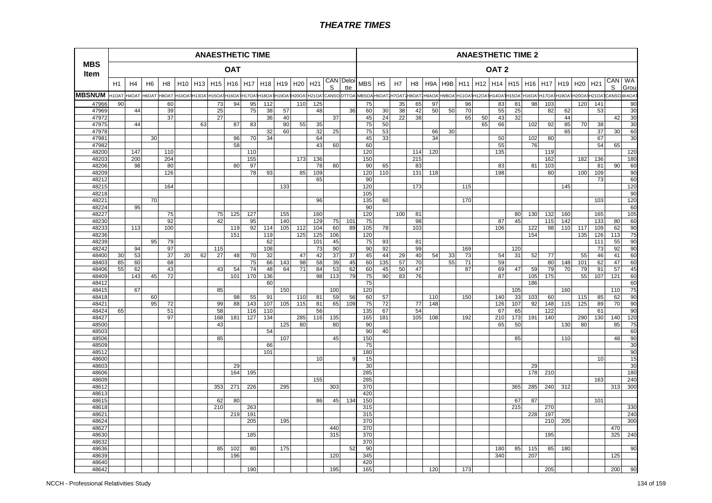|                    |    |                |                                                        |                                 | <b>ANAESTHETIC TIME</b> |                 |            |           |                                                 |     |                 |                                     |     |            |                |     |                |                  |     |                 |    |                                                 | <b>ANAESTHETIC TIME 2</b> |            |                                                 |          |                 |                                                                                                                 |                 |                   |
|--------------------|----|----------------|--------------------------------------------------------|---------------------------------|-------------------------|-----------------|------------|-----------|-------------------------------------------------|-----|-----------------|-------------------------------------|-----|------------|----------------|-----|----------------|------------------|-----|-----------------|----|-------------------------------------------------|---------------------------|------------|-------------------------------------------------|----------|-----------------|-----------------------------------------------------------------------------------------------------------------|-----------------|-------------------|
| <b>MBS</b><br>Item |    |                |                                                        |                                 |                         | <b>OAT</b>      |            |           |                                                 |     |                 |                                     |     |            |                |     |                |                  |     |                 |    | OAT <sub>2</sub>                                |                           |            |                                                 |          |                 |                                                                                                                 |                 |                   |
|                    | H1 | H <sub>4</sub> | H <sub>8</sub><br>H <sub>6</sub>                       | H <sub>10</sub> H <sub>13</sub> | H <sub>15</sub>         | H <sub>16</sub> | H17        |           | H <sub>18</sub> H <sub>19</sub> H <sub>20</sub> |     | H <sub>21</sub> | CAN Deloi<br>$\mathbf{C}$           | tte | <b>MBS</b> | H <sub>5</sub> | H7  | H <sub>8</sub> | H <sub>9</sub> A | H9B | H <sub>11</sub> |    | H <sub>12</sub> H <sub>14</sub> H <sub>15</sub> |                           |            | H <sub>16</sub> H <sub>17</sub> H <sub>19</sub> |          | H <sub>20</sub> | H <sub>21</sub>                                                                                                 | <b>CAN</b><br>S | <b>WA</b><br>Grou |
| <b>MBSNUM</b>      |    |                | H1OAT H4OAT H6OAT H8OAT H10OATH13OATH15OATH16OATH17OAT |                                 |                         |                 |            |           |                                                 |     |                 | H18OA1H19OA1H20OA1H21OA1CANSOODTTOA |     |            |                |     |                |                  |     |                 |    |                                                 |                           |            |                                                 |          |                 | AOAWOSANDI PADA LAOAH FAOAH FAOAH FAOAH FAOAH FAOAH FAOAH FAOIH FAOAH FAOAH FAOAH FAOAH FAOAH FAOAH FAOAH FAOAH |                 |                   |
| 47966              | 90 |                | 60                                                     |                                 | 73                      | 94              | 95         | 112       |                                                 | 110 | 125             |                                     |     | 75         |                | 35  | 65             | 97               |     | 96              |    | 83                                              | 81                        | 98         | 103                                             |          | 120             | 141                                                                                                             |                 | 90                |
| 47969              |    | 44             | 39                                                     |                                 | 25                      |                 | 75         | 38        | 57                                              |     | 48              |                                     | 36  | 60         | 30             | 38  | 42             | 50               | 50  | 70              |    | 55                                              | 25                        |            | 82                                              | 62       |                 | 53                                                                                                              |                 | 30                |
| 47972              |    |                | 37                                                     |                                 | 27                      |                 |            | 36        | 40                                              |     |                 | 37                                  |     | 45<br>75   | 24<br>50       | 22  | 38             |                  |     | 65              | 50 | 43                                              | 32                        |            |                                                 | 44       |                 |                                                                                                                 | 42              | 30                |
| 47975<br>47978     |    | 44             |                                                        |                                 | 63                      | 87              | 83         | 32        | 80<br>60                                        | 55  | 35<br>32        | 25                                  |     | 75         | 53             |     |                | 66               | 30  |                 | 65 | 66                                              |                           | 102        | 92                                              | 85<br>65 | 70              | 38<br>37                                                                                                        | 30              | 30<br>60          |
| 47981              |    |                | 30                                                     |                                 |                         | 96              | 70         | 34        |                                                 |     | 64              |                                     |     | 45         | 33             |     |                | 34               |     |                 |    | 50                                              |                           | 102        | 80                                              |          |                 | 67                                                                                                              |                 | 30                |
| 47982              |    |                |                                                        |                                 |                         | 58              |            |           |                                                 |     | 43              | 60                                  |     | 60         |                |     |                |                  |     |                 |    | 55                                              |                           | 76         |                                                 |          |                 | 54                                                                                                              | 65              |                   |
| 48200              |    | 147            | 110                                                    |                                 |                         |                 | 110        |           |                                                 |     |                 |                                     |     | 120        |                |     | 114            | 120              |     |                 |    | 135                                             |                           |            | 119                                             |          |                 |                                                                                                                 |                 | 120               |
| 48203<br>48206     |    | 200<br>98      | 204<br>80                                              |                                 |                         | 80              | 155<br>97  |           |                                                 | 173 | 136<br>78       | 80                                  |     | 150<br>90  | 65             |     | 215<br>83      |                  |     |                 |    | 83                                              |                           | 81         | 162<br>103                                      |          | 182             | 136<br>81                                                                                                       | 90              | 180<br>60         |
| 48209              |    |                | 126                                                    |                                 |                         |                 | 78         | 93        |                                                 | 85  | 109             |                                     |     | 120        | 110            |     | 131            | 118              |     |                 |    | 198                                             |                           |            | 80                                              |          | 100             | 109                                                                                                             |                 | 90                |
| 48212              |    |                |                                                        |                                 |                         |                 |            |           |                                                 |     | 65              |                                     |     | 90         |                |     |                |                  |     |                 |    |                                                 |                           |            |                                                 |          |                 | 73                                                                                                              |                 | 60                |
| 48215              |    |                | 164                                                    |                                 |                         |                 |            |           | 133                                             |     |                 |                                     |     | 120        |                |     | 173            |                  |     | 115             |    |                                                 |                           |            |                                                 | 145      |                 |                                                                                                                 |                 | 120               |
| 48218              |    |                |                                                        |                                 |                         |                 |            |           |                                                 |     |                 |                                     |     | 105        |                |     |                |                  |     |                 |    |                                                 |                           |            |                                                 |          |                 |                                                                                                                 |                 | 90                |
| 48221<br>48224     |    | 95             | 70                                                     |                                 |                         |                 |            |           |                                                 |     | 96              |                                     |     | 135<br>90  | 60             |     |                |                  |     | 170             |    |                                                 |                           |            |                                                 |          |                 | 103                                                                                                             |                 | 120<br>60         |
| 48227              |    |                | 75                                                     |                                 | 75                      | 125             | 127        |           | 155                                             |     | 160             |                                     |     | 120        |                | 100 | 81             |                  |     |                 |    |                                                 | 80                        | 130        | 132                                             | 160      |                 | 165                                                                                                             |                 | 105               |
| 48230              |    |                | 92                                                     |                                 | 42                      |                 | 95         |           | 140                                             |     | 129             | 75                                  | 101 | 75         |                |     | 98             |                  |     |                 |    | 87                                              | 45                        |            | 115                                             | 142      |                 | 133                                                                                                             | 80              | 60                |
| 48233              |    | 113            | 100                                                    |                                 |                         | 119             | 92         | 114       | 105                                             | 112 | 104             | 60                                  | 89  | 105        | 78             |     | 103            |                  |     |                 |    | 106                                             |                           | 122        | 98                                              | 110      | 117             | 109                                                                                                             | 62              | 90                |
| 48236              |    |                |                                                        |                                 |                         | 151             |            | 119       |                                                 | 125 | 125             | 106                                 |     | 120        |                |     |                |                  |     |                 |    |                                                 |                           | 154        |                                                 |          | 135             | 126                                                                                                             | 113             | 75                |
| 48239<br>48242     |    | 94             | 95<br>79<br>97                                         |                                 | 115                     |                 |            | 62<br>108 |                                                 |     | 101<br>73       | 45<br>90                            |     | 75<br>90   | 93<br>92       |     | 81<br>99       |                  |     | 169             |    |                                                 | 120                       |            |                                                 |          |                 | 111<br>73                                                                                                       | 55<br>92        | 90<br>90          |
| 48400              | 30 | 53             | 37                                                     | 20                              | 62<br>27                | 48              | 70         | 32        |                                                 | 47  | 42              | 37                                  | 37  | 45         | 44             | 29  | 40             | 54               | 33  | 73              |    | 54                                              | 31                        | 52         | 77                                              |          | 55              | 46                                                                                                              | 41              | 60                |
| 48403              | 85 | 60             | 68                                                     |                                 |                         |                 | 75         | 66        | 143                                             | 98  | 58              | 39                                  | 45  | 60         | 135            | 57  | 70             |                  | 55  | 71              |    | 59                                              |                           |            | 80                                              | 148      | 101             | 62                                                                                                              | 47              | 60                |
| 48406              | 55 | 62             | 43                                                     |                                 | 43                      | 54              | 74         | 48        | 64                                              | 71  | 84              | 53                                  | 62  | 60         | 45             | 50  | 47             |                  |     | 87              |    | 69                                              | 47                        | 59         | 79                                              | 70       | 79              | 91                                                                                                              | 57              | 45                |
| 48409              |    | 143            | 72<br>45                                               |                                 |                         | 101             | 170        | 136       |                                                 |     | 98              | 113                                 | 79  | 75         | 90             | 83  | 76             |                  |     |                 |    | 87                                              |                           | 105        | 175                                             |          | 55              | 107                                                                                                             | 121             | 60                |
| 48412<br>48415     |    | 67             |                                                        |                                 | 85                      |                 |            | 60        | 150                                             |     |                 | 100                                 |     | 75<br>120  |                |     |                |                  |     |                 |    |                                                 | 105                       | 186        |                                                 | 160      |                 |                                                                                                                 | 110             | 60<br>75          |
| 48418              |    |                | 60                                                     |                                 |                         | 98              | 55         | 91        |                                                 | 110 | 81              | 59                                  | 56  | 60         | 57             |     |                | 110              |     | 150             |    | 140                                             | 33                        | 103        | 60                                              |          | 115             | 85                                                                                                              | 62              | 90                |
| 48421              |    |                | 95<br>72                                               |                                 | 99                      | 88              | 143        | 107       | 105                                             | 115 | 81              | 65                                  | 109 | 75         | 72             |     | 77             | 148              |     |                 |    | 126                                             | 107                       | 92         | 148                                             | 115      | 125             | 89                                                                                                              | 70              | 90                |
| 48424              | 65 |                | 51                                                     |                                 | 58                      |                 | 116        | 110       |                                                 |     | 56              |                                     |     | 135        | 67             |     | 54             |                  |     |                 |    | 67                                              | 65                        |            | 122                                             |          |                 | 61                                                                                                              |                 | 90                |
| 48427              |    |                | 97                                                     |                                 | 168                     | 181             | 127        | 134       |                                                 | 285 | 116             | 135                                 |     | 165        | 181            |     | 105            | 108              |     | 192             |    | 210                                             | 173                       | 191        | 140                                             |          | 290             | 130                                                                                                             | 140             | 120               |
| 48500<br>48503     |    |                |                                                        |                                 | 43                      |                 |            | 54        | 125                                             | 80  |                 | 80                                  |     | 90<br>90   | 40             |     |                |                  |     |                 |    | 65                                              | 50                        |            |                                                 | 130      | 80              |                                                                                                                 | 85              | 75<br>60          |
| 48506              |    |                |                                                        |                                 | 85                      |                 |            |           | 107                                             |     |                 | 45                                  |     | 150        |                |     |                |                  |     |                 |    |                                                 | 85                        |            |                                                 | 110      |                 |                                                                                                                 | 48              | 90                |
| 48509              |    |                |                                                        |                                 |                         |                 |            | 66        |                                                 |     |                 |                                     |     | 75         |                |     |                |                  |     |                 |    |                                                 |                           |            |                                                 |          |                 |                                                                                                                 |                 | 30                |
| 48512              |    |                |                                                        |                                 |                         |                 |            | 101       |                                                 |     |                 |                                     |     | 180        |                |     |                |                  |     |                 |    |                                                 |                           |            |                                                 |          |                 |                                                                                                                 |                 | 90                |
| 48600              |    |                |                                                        |                                 |                         |                 |            |           |                                                 |     | 10              |                                     |     | 15         |                |     |                |                  |     |                 |    |                                                 |                           |            |                                                 |          |                 | 10                                                                                                              |                 | 15                |
| 48603<br>48606     |    |                |                                                        |                                 |                         | 29<br>164       | 195        |           |                                                 |     |                 |                                     |     | 30<br>285  |                |     |                |                  |     |                 |    |                                                 |                           | 29<br>178  | 210                                             |          |                 |                                                                                                                 |                 | 30<br>180         |
| 48609              |    |                |                                                        |                                 |                         |                 |            |           |                                                 |     | 155             |                                     |     | 285        |                |     |                |                  |     |                 |    |                                                 |                           |            |                                                 |          |                 | 163                                                                                                             |                 | 240               |
| 48612              |    |                |                                                        |                                 | 353                     | 271             | 226        |           | 295                                             |     |                 | 303                                 |     | 370        |                |     |                |                  |     |                 |    |                                                 | 365                       | 285        | 240                                             | 312      |                 |                                                                                                                 | 313             | 300               |
| 48613              |    |                |                                                        |                                 |                         |                 |            |           |                                                 |     |                 |                                     |     | 420        |                |     |                |                  |     |                 |    |                                                 |                           |            |                                                 |          |                 |                                                                                                                 |                 |                   |
| 48615              |    |                |                                                        |                                 | 62                      | 80              |            |           |                                                 |     | 86              | 45                                  | 134 | 150        |                |     |                |                  |     |                 |    |                                                 | 67                        | 87         |                                                 |          |                 | 101                                                                                                             |                 |                   |
| 48618<br>48621     |    |                |                                                        |                                 | 210                     | 219             | 263<br>191 |           |                                                 |     |                 |                                     |     | 315<br>315 |                |     |                |                  |     |                 |    |                                                 | 215                       | 228        | 270<br>197                                      |          |                 |                                                                                                                 |                 | 330<br>240        |
| 48624              |    |                |                                                        |                                 |                         |                 | 205        |           | 195                                             |     |                 |                                     |     | 370        |                |     |                |                  |     |                 |    |                                                 |                           |            | 210                                             | 205      |                 |                                                                                                                 |                 | 300               |
| 48627              |    |                |                                                        |                                 |                         |                 |            |           |                                                 |     |                 | 440                                 |     | 370        |                |     |                |                  |     |                 |    |                                                 |                           |            |                                                 |          |                 |                                                                                                                 | 470             |                   |
| 48630              |    |                |                                                        |                                 |                         |                 | 185        |           |                                                 |     |                 | 315                                 |     | 370        |                |     |                |                  |     |                 |    |                                                 |                           |            | 195                                             |          |                 |                                                                                                                 | 325             | 240               |
| 48632              |    |                |                                                        |                                 |                         |                 |            |           |                                                 |     |                 |                                     |     | 370        |                |     |                |                  |     |                 |    |                                                 |                           |            |                                                 |          |                 |                                                                                                                 |                 |                   |
| 48636<br>48639     |    |                |                                                        |                                 | 85                      | 102<br>196      | 80         |           | 175                                             |     |                 | 120                                 | 52  | 90<br>345  |                |     |                |                  |     |                 |    | 180<br>340                                      | 85                        | 115<br>207 | 85                                              | 180      |                 |                                                                                                                 | 125             | 90                |
| 48640              |    |                |                                                        |                                 |                         |                 |            |           |                                                 |     |                 |                                     |     | 420        |                |     |                |                  |     |                 |    |                                                 |                           |            |                                                 |          |                 |                                                                                                                 |                 |                   |
| 48642              |    |                |                                                        |                                 |                         |                 | 190        |           |                                                 |     |                 | 195                                 |     | 165        |                |     |                | 120              |     | 173             |    |                                                 |                           |            | 205                                             |          |                 |                                                                                                                 | 200             | 90                |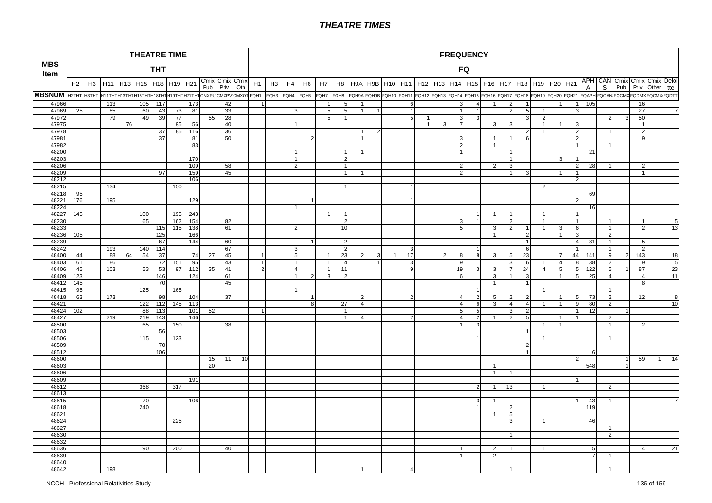|                                                                                      |                      |     | <b>THEATRE TIME</b>               |                         |     |            |     |                           |                       |                |                |                  |                |                      |                |                                |                |              |                | <b>FREQUENCY</b>                        |                                |                                                  |                                  |                |                              |                                  |                                              |                                                                                                                                                                                            |                             |
|--------------------------------------------------------------------------------------|----------------------|-----|-----------------------------------|-------------------------|-----|------------|-----|---------------------------|-----------------------|----------------|----------------|------------------|----------------|----------------------|----------------|--------------------------------|----------------|--------------|----------------|-----------------------------------------|--------------------------------|--------------------------------------------------|----------------------------------|----------------|------------------------------|----------------------------------|----------------------------------------------|--------------------------------------------------------------------------------------------------------------------------------------------------------------------------------------------|-----------------------------|
| <b>MBS</b><br><b>Item</b>                                                            |                      |     |                                   | <b>THT</b>              |     |            |     |                           |                       |                |                |                  |                |                      |                |                                |                |              |                | <b>FQ</b>                               |                                |                                                  |                                  |                |                              |                                  |                                              |                                                                                                                                                                                            |                             |
|                                                                                      | H <sub>2</sub><br>H3 |     | H11   H13   H15   H18   H19   H21 |                         |     |            | Pub | C'mix C'mix C'mix<br>Priv | H <sub>1</sub><br>Oth | H <sub>3</sub> | H4             | H <sub>6</sub>   | H7             | H <sub>8</sub>       |                | H9A   H9B   H10   H11          |                |              |                | H12 H13 H14 H15 H16 H17 H18 H19 H20 H21 |                                |                                                  |                                  |                |                              |                                  | Pub<br>$\mathcal{S}$                         | APH   CAN   C'mix   C'mix   C'mix   Deloi<br>Priv Other tte                                                                                                                                |                             |
| MBSNUM H2THT H3THT H11THTH13THTH15THTH18THTH19THTH21THTCMXPUCMXPVCMXOTFQH1 FQH3 FQH4 |                      |     |                                   |                         |     |            |     |                           |                       |                |                | FQH <sub>6</sub> |                |                      |                |                                |                |              |                |                                         |                                |                                                  |                                  |                |                              |                                  |                                              | FQH7  FQH8  FQH9A FQH9B FQH10 FQH11  FQH12 FQH13 FQH14 FQH15 FQH16 FQH17 FQH18 FQH19 FQH20 FQH21 FQAPH FQCAN FQCMX FQCMX FQCMX FQCMX FQCMX FQCMX FQCMX FQCMX FQCMX FQCMX FQCMX FQCMX FQCMX |                             |
| 47966                                                                                |                      | 113 | 105                               | 117                     |     | 173        |     | 42                        |                       | $\overline{1}$ |                |                  | $\overline{1}$ | $5\phantom{.0}$      | $\mathbf{1}$   |                                | $6 \mid$       |              |                | $\mathbf{3}$                            | $\vert$<br>$\mathbf{1}$        | $\overline{2}$                                   | 1                                |                | 1 <sup>1</sup>               | $1 \quad 105$                    |                                              | 16                                                                                                                                                                                         |                             |
| 47969                                                                                | 25                   | 85  | 60                                | 43                      | 73  | 81         |     | 33                        |                       |                | $\mathbf{3}$   |                  | 5 <sub>l</sub> | 5 <sup>5</sup>       | 1              | $\blacktriangleleft$           | 1              |              |                | 1                                       | 1 <sup>1</sup>                 | $\overline{2}$                                   | 5 <sup>1</sup>                   | $\mathbf{1}$   |                              | 3 <sup>1</sup>                   |                                              | 27                                                                                                                                                                                         | $\overline{7}$              |
| 47972                                                                                |                      | 79  | 49                                | 39                      | 77  |            | 55  | 28                        |                       |                |                |                  | 5 <sub>l</sub> | $\overline{1}$       |                |                                | 5 <sup>1</sup> | $\mathbf{1}$ |                | $\mathbf{3}$                            | $\mathbf{3}$                   |                                                  | 3                                | $\overline{2}$ |                              |                                  | $\overline{2}$                               | 3<br>50                                                                                                                                                                                    |                             |
| 47975                                                                                |                      |     | 76                                |                         |     | 95<br>56   |     | 40                        |                       |                | $\vert$ 1      |                  |                |                      |                |                                |                | $\mathbf{1}$ | $\mathbf{3}$   | $\overline{7}$                          |                                | 3<br>$\mathbf{3}$                                |                                  | 1              | 11                           | $\mathbf{3}$                     |                                              | 1                                                                                                                                                                                          |                             |
| 47978                                                                                |                      |     |                                   | 37                      |     | 85<br>116  |     | 36                        |                       |                |                |                  |                |                      | 11             | 2 <sup>1</sup>                 |                |              |                |                                         |                                |                                                  | $\overline{2}$                   | 1              |                              | $\overline{2}$                   | $\overline{1}$                               | $\overline{2}$                                                                                                                                                                             |                             |
| 47981                                                                                |                      |     |                                   | 37                      |     | 81         |     | 50                        |                       |                |                | $\overline{2}$   |                |                      | 1              |                                |                |              |                | $\overline{3}$                          | 1                              | 1                                                | 6                                |                |                              | 2                                |                                              | 9                                                                                                                                                                                          |                             |
| 47982<br>48200                                                                       |                      |     |                                   |                         |     | 83         |     |                           |                       |                | $\overline{1}$ |                  |                | 1                    | 1              |                                |                |              |                | $\overline{2}$<br>$\blacktriangleleft$  | $\overline{1}$                 | $\mathbf{1}$                                     |                                  |                |                              | 1                                | $\mathbf{1}$<br>21                           |                                                                                                                                                                                            |                             |
| 48203                                                                                |                      |     |                                   |                         |     | 170        |     |                           |                       |                | 1              |                  |                | $\overline{2}$       |                |                                |                |              |                |                                         |                                | $\mathbf{1}$                                     |                                  |                | 3 <sup>1</sup>               | 1 <sup>1</sup>                   |                                              |                                                                                                                                                                                            |                             |
| 48206                                                                                |                      |     |                                   |                         |     | 109        |     | 58                        |                       |                | $\overline{2}$ |                  |                | 1                    |                |                                |                |              |                | $\overline{2}$                          | $\overline{2}$                 | 3                                                |                                  |                |                              | $\overline{2}$                   | 28<br>$\overline{1}$                         | $\overline{2}$                                                                                                                                                                             |                             |
| 48209                                                                                |                      |     |                                   | 97                      |     | 159        |     | 45                        |                       |                |                |                  |                | 1                    | $\mathbf{1}$   |                                |                |              |                | $\overline{2}$                          |                                | $\mathbf{1}$                                     | $\mathbf{3}$                     |                | 11                           | 1                                |                                              | 1                                                                                                                                                                                          |                             |
| 48212                                                                                |                      |     |                                   |                         |     | 106        |     |                           |                       |                |                |                  |                |                      |                |                                |                |              |                |                                         |                                |                                                  |                                  |                |                              | $\overline{2}$                   |                                              |                                                                                                                                                                                            |                             |
| 48215                                                                                |                      | 134 |                                   |                         | 150 |            |     |                           |                       |                |                |                  |                | $\overline{1}$       |                |                                | 1              |              |                |                                         |                                |                                                  |                                  | $\overline{2}$ |                              |                                  |                                              |                                                                                                                                                                                            |                             |
| 48218                                                                                | 95                   |     |                                   |                         |     |            |     |                           |                       |                |                |                  |                |                      |                |                                |                |              |                |                                         |                                |                                                  |                                  |                |                              |                                  | 69                                           |                                                                                                                                                                                            |                             |
| 48221                                                                                | 176                  | 195 |                                   |                         |     | 129        |     |                           |                       |                |                | 1                |                |                      |                |                                | 1              |              |                |                                         |                                |                                                  |                                  |                |                              | 2                                |                                              |                                                                                                                                                                                            |                             |
| 48224                                                                                |                      |     |                                   |                         |     |            |     |                           |                       |                | 1              |                  |                |                      |                |                                |                |              |                |                                         |                                |                                                  |                                  |                |                              |                                  | 16                                           |                                                                                                                                                                                            |                             |
| 48227                                                                                | 145                  |     | 100                               |                         | 195 | 243        |     |                           |                       |                |                |                  | $\overline{1}$ | $\overline{1}$       |                |                                |                |              |                |                                         | 1<br>11                        | 1                                                |                                  | $\vert$        |                              | 1 <sup>1</sup><br>1 <sup>1</sup> |                                              |                                                                                                                                                                                            |                             |
| 48230                                                                                |                      |     | 65                                |                         | 162 | 154        |     | 82<br>61                  |                       |                | $\overline{2}$ |                  |                | $\overline{2}$<br>10 |                |                                |                |              |                | 3<br>5 <sub>5</sub>                     | 1 <sup>1</sup>                 | $\overline{2}$<br>$\overline{2}$                 |                                  | 1<br>1         |                              | 6                                | $\overline{1}$<br>1                          | 1                                                                                                                                                                                          | 5<br>13                     |
| 48233<br>48236                                                                       | 105                  |     |                                   | 115<br>$\overline{125}$ | 115 | 138<br>166 |     |                           |                       |                |                |                  |                |                      |                |                                |                |              |                |                                         | $\overline{1}$                 | 3                                                | 1<br>$\overline{2}$              |                | 3<br>1                       | 3 <sup>1</sup>                   | $\overline{2}$                               | 2                                                                                                                                                                                          |                             |
| 48239                                                                                |                      |     |                                   | 67                      |     | 144        |     | 60                        |                       |                |                | 11               |                | $\overline{2}$       |                |                                |                |              |                |                                         |                                |                                                  | 1                                |                |                              | $\vert$ 4<br>81                  | $\mathbf{1}$                                 | $5\phantom{.0}$                                                                                                                                                                            |                             |
| 48242                                                                                |                      | 193 | 140                               | 114                     |     |            |     | 67                        |                       |                | $\mathbf{3}$   |                  |                | $\overline{2}$       |                |                                | 3 <sup>1</sup> |              |                |                                         | 1                              |                                                  | 6                                |                |                              | $\overline{1}$                   | $\mathbf{1}$                                 | $\overline{2}$                                                                                                                                                                             |                             |
| 48400                                                                                | 44                   | 88  | 64<br>54                          | 37                      |     | 74         | 27  | 45                        |                       | $\mathbf{1}$   | 5              |                  | 1              | 23                   | 2 <sup>1</sup> | 3 <sup>l</sup><br>$\mathbf{1}$ | 17             |              | $\overline{2}$ | 8                                       | 8                              | 3 <sup>1</sup><br>5                              | 23                               |                | $\overline{7}$               | 44<br>141                        | 9                                            | 143<br>$\overline{2}$                                                                                                                                                                      | 18                          |
| 48403                                                                                | 61                   | 86  |                                   | 72                      | 151 | 95         |     | 43                        |                       | 1              | 1              |                  | $\mathbf{1}$   | $\overline{4}$       |                | 1                              | 3 <sup>1</sup> |              |                | 9                                       |                                | $\mathbf{3}$                                     | 6                                | 1 <sup>1</sup> | $\overline{4}$               | 8 <sup>1</sup><br>38             | $\vert$ 2                                    | 9                                                                                                                                                                                          | 5                           |
| 48406                                                                                | 45                   | 103 | 53                                | 53                      | 97  | 112        | 35  | 41                        |                       | $\overline{2}$ | $\overline{4}$ |                  |                | 11                   |                |                                | 9 <sup>1</sup> |              |                | 19                                      | 3 <sup>1</sup>                 | $\mathbf{3}$<br>$\overline{7}$                   | 24                               | $\overline{4}$ | 5 <sup>1</sup>               | 5 <sub>5</sub><br>122            | 5                                            | 87                                                                                                                                                                                         | 23                          |
| 48409                                                                                | 123                  |     |                                   | 146                     |     | 124        |     | 61                        |                       |                | 1              | 2 <sup>1</sup>   | 3 <sup>l</sup> | $\overline{2}$       |                |                                |                |              |                | 6                                       |                                | $\mathbf{3}$<br>$\overline{1}$                   | $\overline{3}$                   |                | 11                           | 5 <sup>1</sup>                   | 25<br>$\overline{4}$                         | $\vert$ 4                                                                                                                                                                                  | 11                          |
| 48412                                                                                | 145                  |     |                                   | 70                      |     |            |     | 45                        |                       |                |                |                  |                |                      |                |                                |                |              |                |                                         | $\mathbf{1}$                   |                                                  | 1                                |                |                              |                                  |                                              | 8 <sup>1</sup>                                                                                                                                                                             |                             |
| 48415                                                                                | 95                   |     | 125                               |                         | 165 |            |     |                           |                       |                | $\vert$ 1      |                  |                |                      |                |                                |                |              |                |                                         | 1                              |                                                  |                                  | $\mathbf{1}$   |                              |                                  | $\mathbf{1}$                                 |                                                                                                                                                                                            |                             |
| 48418                                                                                | 63                   | 173 |                                   | 98                      |     | 104        |     | 37                        |                       |                |                | 1                |                | 27                   | $\overline{2}$ |                                | 2 <sup>1</sup> |              |                | $\overline{4}$                          | $\overline{2}$                 | 5 <sup>1</sup><br>$\overline{2}$                 | $\overline{2}$<br>$\overline{4}$ | $\mathbf{1}$   | $\mathbf{1}$<br>$\mathbf{1}$ | 5 <sup>1</sup><br>9              | $\overline{2}$<br>73<br>80<br>$\overline{2}$ | 12                                                                                                                                                                                         | $\infty$<br>10 <sup>1</sup> |
| 48421<br>48424                                                                       | 102                  |     | 122<br>88                         | 112<br>113              | 145 | 113<br>101 | 52  |                           |                       | $\overline{1}$ |                | 8                |                | $\mathbf{1}$         | $\vert$ 4      |                                |                |              |                | $\overline{4}$<br>$5\phantom{.0}$       | 6<br>$5\overline{)}$           | $\mathbf{3}$<br>$\overline{4}$<br>3 <sup>1</sup> | $\overline{2}$                   |                |                              | 1                                | 12                                           | $\overline{1}$                                                                                                                                                                             |                             |
| 48427                                                                                |                      | 219 | 219                               | 143                     |     | 146        |     |                           |                       |                |                |                  |                | 1                    | $\overline{4}$ |                                | 2 <sup>1</sup> |              |                | $\overline{4}$                          | $\overline{2}$<br>1            | $\overline{2}$                                   | 5 <sub>1</sub>                   |                | 1                            | 1 <sup>1</sup>                   | $\overline{2}$                               |                                                                                                                                                                                            |                             |
| 48500                                                                                |                      |     | 65                                |                         | 150 |            |     | 38 <sup>l</sup>           |                       |                |                |                  |                |                      |                |                                |                |              |                | 1                                       | $\mathbf{3}$                   |                                                  |                                  | 1              | 11                           |                                  | 1                                            | $\overline{2}$                                                                                                                                                                             |                             |
| 48503                                                                                |                      |     |                                   | 56                      |     |            |     |                           |                       |                |                |                  |                |                      |                |                                |                |              |                |                                         |                                |                                                  | $\overline{1}$                   |                |                              |                                  |                                              |                                                                                                                                                                                            |                             |
| 48506                                                                                |                      |     | 115                               |                         | 123 |            |     |                           |                       |                |                |                  |                |                      |                |                                |                |              |                |                                         | 1 <sup>1</sup>                 |                                                  |                                  | $\mathbf{1}$   |                              |                                  | $\mathbf{1}$                                 |                                                                                                                                                                                            |                             |
| 48509                                                                                |                      |     |                                   | 70                      |     |            |     |                           |                       |                |                |                  |                |                      |                |                                |                |              |                |                                         |                                |                                                  | $\overline{2}$                   |                |                              |                                  |                                              |                                                                                                                                                                                            |                             |
| 48512                                                                                |                      |     |                                   | 106                     |     |            |     |                           |                       |                |                |                  |                |                      |                |                                |                |              |                |                                         |                                |                                                  | 1                                |                |                              |                                  | $6 \mid$                                     |                                                                                                                                                                                            |                             |
| 48600                                                                                |                      |     |                                   |                         |     |            | 15  | 11                        | 10                    |                |                |                  |                |                      |                |                                |                |              |                |                                         |                                |                                                  |                                  |                |                              | $\overline{2}$                   |                                              | 59<br>$\overline{1}$                                                                                                                                                                       | 1<br>14                     |
| 48603                                                                                |                      |     |                                   |                         |     |            | 20  |                           |                       |                |                |                  |                |                      |                |                                |                |              |                |                                         | 1                              |                                                  |                                  |                |                              | 548                              |                                              |                                                                                                                                                                                            |                             |
| 48606                                                                                |                      |     |                                   |                         |     |            |     |                           |                       |                |                |                  |                |                      |                |                                |                |              |                |                                         | 1                              | $\overline{1}$                                   |                                  |                |                              | 1                                |                                              |                                                                                                                                                                                            |                             |
| 48609<br>48612                                                                       |                      |     | 368                               |                         | 317 | 191        |     |                           |                       |                |                |                  |                |                      |                |                                |                |              |                |                                         | $\overline{2}$                 | 13<br>11                                         |                                  | $\overline{1}$ |                              |                                  | $\overline{2}$                               |                                                                                                                                                                                            |                             |
| 48613                                                                                |                      |     |                                   |                         |     |            |     |                           |                       |                |                |                  |                |                      |                |                                |                |              |                |                                         |                                |                                                  |                                  |                |                              |                                  |                                              |                                                                                                                                                                                            |                             |
| 48615                                                                                |                      |     | 70                                |                         |     | 106        |     |                           |                       |                |                |                  |                |                      |                |                                |                |              |                |                                         | 3 <sup>1</sup><br>$\mathbf{1}$ |                                                  |                                  |                |                              | 1                                | 43<br>$\mathbf{1}$                           |                                                                                                                                                                                            |                             |
| 48618                                                                                |                      |     | 240                               |                         |     |            |     |                           |                       |                |                |                  |                |                      |                |                                |                |              |                |                                         | 1                              | $\overline{2}$                                   |                                  |                |                              | 119                              |                                              |                                                                                                                                                                                            |                             |
| 48621                                                                                |                      |     |                                   |                         |     |            |     |                           |                       |                |                |                  |                |                      |                |                                |                |              |                |                                         | $\mathbf{1}$                   | 5                                                |                                  |                |                              |                                  |                                              |                                                                                                                                                                                            |                             |
| 48624                                                                                |                      |     |                                   |                         | 225 |            |     |                           |                       |                |                |                  |                |                      |                |                                |                |              |                |                                         |                                | $\mathbf{3}$                                     |                                  | 1              |                              |                                  | 46                                           |                                                                                                                                                                                            |                             |
| 48627                                                                                |                      |     |                                   |                         |     |            |     |                           |                       |                |                |                  |                |                      |                |                                |                |              |                |                                         |                                |                                                  |                                  |                |                              |                                  | $\mathbf{1}$                                 |                                                                                                                                                                                            |                             |
| 48630                                                                                |                      |     |                                   |                         |     |            |     |                           |                       |                |                |                  |                |                      |                |                                |                |              |                |                                         |                                | 1                                                |                                  |                |                              |                                  | $\overline{2}$                               |                                                                                                                                                                                            |                             |
| 48632                                                                                |                      |     |                                   |                         |     |            |     |                           |                       |                |                |                  |                |                      |                |                                |                |              |                |                                         |                                |                                                  |                                  |                |                              |                                  |                                              |                                                                                                                                                                                            |                             |
| 48636                                                                                |                      |     | 90                                |                         | 200 |            |     | 40                        |                       |                |                |                  |                |                      |                |                                |                |              |                | 1                                       | 1                              | 2 <sup>1</sup><br>-1                             |                                  | -1             |                              |                                  | 5 <sub>l</sub>                               | 4 <sup>1</sup>                                                                                                                                                                             | 21                          |
| 48639<br>48640                                                                       |                      |     |                                   |                         |     |            |     |                           |                       |                |                |                  |                |                      |                |                                |                |              |                | 1                                       |                                | $\overline{2}$                                   |                                  |                |                              |                                  | 7 <sup>1</sup><br>$\overline{1}$             |                                                                                                                                                                                            |                             |
| 48642                                                                                |                      | 198 |                                   |                         |     |            |     |                           |                       |                |                |                  |                |                      | 1              |                                | 4              |              |                |                                         |                                | $\mathbf{1}$                                     |                                  |                |                              |                                  | 11                                           |                                                                                                                                                                                            |                             |
|                                                                                      |                      |     |                                   |                         |     |            |     |                           |                       |                |                |                  |                |                      |                |                                |                |              |                |                                         |                                |                                                  |                                  |                |                              |                                  |                                              |                                                                                                                                                                                            |                             |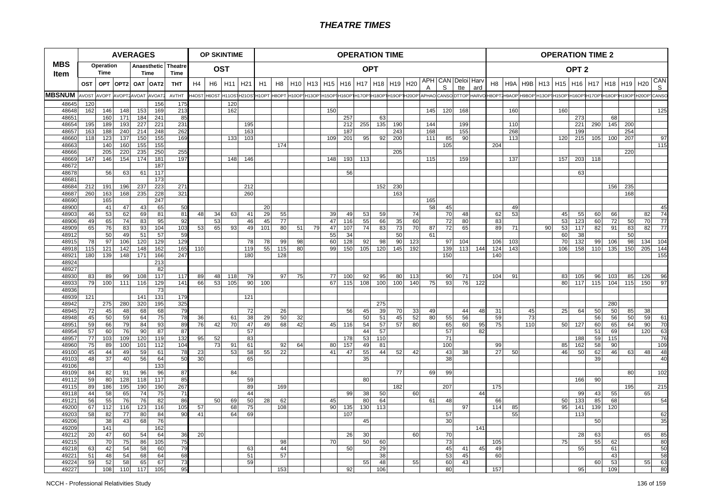|                           |                                                                                                             |                               |            | <b>AVERAGES</b> |                        |                 |     |                | <b>OP SKINTIME</b> |                 |           |           |    |                                                                                                                 |          |                 |                 | <b>OPERATION TIME</b> |            |          |                          |          |          |     |                |     |     | <b>OPERATION TIME 2</b>                                           |                  |            |           |           |                                                                                 |          |                     |
|---------------------------|-------------------------------------------------------------------------------------------------------------|-------------------------------|------------|-----------------|------------------------|-----------------|-----|----------------|--------------------|-----------------|-----------|-----------|----|-----------------------------------------------------------------------------------------------------------------|----------|-----------------|-----------------|-----------------------|------------|----------|--------------------------|----------|----------|-----|----------------|-----|-----|-------------------------------------------------------------------|------------------|------------|-----------|-----------|---------------------------------------------------------------------------------|----------|---------------------|
| <b>MBS</b><br><b>Item</b> | Operation<br>Anaesthetic<br><b>Time</b><br>Time<br><b>OPT</b><br>OPT <sub>2</sub><br><b>OST</b><br>OAT OAT2 |                               |            |                 | <b>Theatre</b><br>Time |                 |     | <b>OST</b>     |                    |                 |           |           |    |                                                                                                                 |          | <b>OPT</b>      |                 |                       |            |          |                          |          |          |     |                |     |     |                                                                   | OPT <sub>2</sub> |            |           |           |                                                                                 |          |                     |
|                           |                                                                                                             |                               |            |                 |                        | <b>THT</b>      | H4  | H <sub>6</sub> | H <sub>11</sub>    | H <sub>21</sub> | H1        | H8        |    | H10   H13   H15   H16   H17   H18   H19   H20                                                                   |          |                 |                 |                       |            |          | APH   CAN   Deloi   Harv | S.       | tte      | ard | H <sub>8</sub> | H9A |     | H9B H13 H15                                                       |                  |            |           |           | H <sub>16</sub> H <sub>17</sub> H <sub>18</sub> H <sub>19</sub> H <sub>20</sub> |          | CAN<br>$\mathbf{C}$ |
| <b>MBSNUM</b>             |                                                                                                             | VOST AVOPT AVOPT2AVOAT AVOAT2 |            |                 |                        | <b>AVTHT</b>    |     |                |                    |                 |           |           |    | 140ST  H6OST  H11OSTH21OSTH1OPT  H8OPT  H10OPTH13OPTH15OPTH16OPTH17OPTH18OPTH19OPTH20OPTAPHAO CANSO DTTOPTHARVO |          |                 |                 |                       |            |          |                          |          |          |     |                |     |     | H8OPT/H9AOP H9BOP H13OP H15OP H16OP H17OP H18OP H19OP H20OP CANSC |                  |            |           |           |                                                                                 |          |                     |
| 48645                     | 120                                                                                                         |                               |            |                 | 156                    | 175             |     |                | 120                |                 |           |           |    |                                                                                                                 |          |                 |                 |                       |            |          |                          |          |          |     |                |     |     |                                                                   |                  |            |           |           |                                                                                 |          |                     |
| 48648<br>4865             | 162                                                                                                         | 146<br>160                    | 148<br>171 | 153<br>184      | 169<br>241             | 213<br>85       |     |                | 162                |                 |           |           |    | 150                                                                                                             |          | 257             |                 | 63                    |            |          | 145                      | 120      | 168      |     |                | 160 |     |                                                                   | 160              | 273        |           | 68        |                                                                                 |          | 125                 |
| 48654                     | 195                                                                                                         | 189                           | 193        | 227             | 221                    | 231             |     |                |                    | 195             |           |           |    |                                                                                                                 |          | 212             | 255             | 135                   | 190        |          | 144                      |          | 199      |     |                | 110 |     |                                                                   |                  | 221        | 290       | 145       | 200                                                                             |          |                     |
| 48657                     | 163                                                                                                         | 188                           | 240        | 214             | 248                    | 262             |     |                |                    | 163             |           |           |    |                                                                                                                 |          | 187             |                 |                       | 243        |          | 168                      |          | 155      |     |                | 268 |     |                                                                   |                  | 199        |           |           | 254                                                                             |          |                     |
| 48660                     | 118                                                                                                         | 123                           | 137        | 150             | 155                    | 169             |     |                | 133                | 103             |           |           |    | 109                                                                                                             |          | 201             | 95              | 92                    | 200        |          | $111$                    | 85       | 90       |     |                | 113 |     |                                                                   | 120              | 215        | 105       | 100       | 207                                                                             |          | 97                  |
| 48663                     |                                                                                                             | 140<br>205                    | 160        | 155<br>235      | 155                    | 255             |     |                |                    |                 |           | 174       |    |                                                                                                                 |          |                 |                 |                       | 205        |          |                          | 105      |          |     | 204            |     |     |                                                                   |                  |            |           |           | 220                                                                             |          | 115                 |
| 48666<br>48669            | 147                                                                                                         | 146                           | 220<br>154 | 174             | 250<br>181             | 197             |     |                | 148                | 146             |           |           |    |                                                                                                                 | 148      | 193             | 113             |                       |            |          | 115                      |          | 159      |     |                | 137 |     |                                                                   | 157              | 203        | 118       |           |                                                                                 |          |                     |
| 48672                     |                                                                                                             |                               |            |                 | 187                    |                 |     |                |                    |                 |           |           |    |                                                                                                                 |          |                 |                 |                       |            |          |                          |          |          |     |                |     |     |                                                                   |                  |            |           |           |                                                                                 |          |                     |
| 48678                     |                                                                                                             | 56                            | 63         | 61              | 117                    |                 |     |                |                    |                 |           |           |    |                                                                                                                 |          | 56              |                 |                       |            |          |                          |          |          |     |                |     |     |                                                                   |                  | 63         |           |           |                                                                                 |          |                     |
| 4868                      |                                                                                                             |                               |            |                 | 173                    |                 |     |                |                    |                 |           |           |    |                                                                                                                 |          |                 |                 |                       |            |          |                          |          |          |     |                |     |     |                                                                   |                  |            |           |           |                                                                                 |          |                     |
| 48684<br>48687            | 212<br>260                                                                                                  | 191<br>163                    | 196<br>168 | 237<br>235      | 223<br>228             | 271<br>321      |     |                |                    | 212<br>260      |           |           |    |                                                                                                                 |          |                 |                 | 152                   | 230<br>163 |          |                          |          |          |     |                |     |     |                                                                   |                  |            |           | 156       | 235<br>168                                                                      |          |                     |
| 48690                     |                                                                                                             | 165                           |            |                 | 247                    |                 |     |                |                    |                 |           |           |    |                                                                                                                 |          |                 |                 |                       |            |          | 165                      |          |          |     |                |     |     |                                                                   |                  |            |           |           |                                                                                 |          |                     |
| 48900                     |                                                                                                             | 41                            | 47         | 43              | 65                     | 50              |     |                |                    |                 | 20        |           |    |                                                                                                                 |          |                 |                 |                       |            |          | 58                       | 45       |          |     |                | 49  |     |                                                                   |                  |            |           |           |                                                                                 |          | 45                  |
| 48903                     | 46                                                                                                          | 53                            | 62         | 69              | 81                     | 81              | 48  | 34             | 63                 | 41              | 29        | 55        |    |                                                                                                                 | 39       | 49              | 53              | 59                    |            | 74       |                          | 70       | 48       |     | 62             | 53  |     |                                                                   | 45               | 55         | 60        | 66        |                                                                                 | 82       | 74                  |
| 48906<br>48909            | 49<br>65                                                                                                    | 65<br>76                      | 74<br>83   | 83<br>93        | 95<br>104              | 92<br>103       | 53  | 53<br>65       | 93                 | 46<br>49        | 45<br>101 | 77<br>80  | 51 | 79                                                                                                              | 47<br>47 | 116<br>107      | 55<br>74        | 66<br>83              | 35<br>73   | 60<br>70 | 87                       | 72<br>72 | 80<br>65 |     | 83<br>89       | 71  |     | 90                                                                | 53<br>53         | 123<br>117 | 60<br>82  | 72<br>91  | 50<br>83                                                                        | 70<br>82 | 77<br>77            |
| 48912                     |                                                                                                             | 50                            | 49         | 51              | 57                     | 59              |     |                |                    |                 |           |           |    |                                                                                                                 | 55       | 34              |                 |                       | 50         |          | 61                       |          |          |     |                |     |     |                                                                   | 60               | 38         |           |           | 50                                                                              |          |                     |
| 48915                     | 78                                                                                                          | 97                            | 106        | 120             | 129                    | 129             |     |                |                    | 78              | 78        | 99        | 98 |                                                                                                                 | 60       | 128             | 92 <sub>1</sub> | 98                    | 90         | 123      |                          | 97       | 104      |     | 106            | 103 |     |                                                                   | 70               | 132        | 99        | 106       | 98                                                                              | 134      | 104                 |
| 48918                     | 115                                                                                                         | 121                           | 142        | 148             | 162                    | 165             | 110 |                |                    | 119             | 55        | 115       | 80 |                                                                                                                 | 99       | 150             | 105             | 120                   | 145        | 192      |                          | 139      | 113      | 144 | 124            | 143 |     |                                                                   | 106              | 158        | 110       | 135       | 150                                                                             | 205      | 144                 |
| 48921                     | 180                                                                                                         | 139                           | 148        | 171             | 166                    | 247             |     |                |                    | 180             |           | 128       |    |                                                                                                                 |          |                 |                 |                       |            |          |                          | 150      |          |     | 140            |     |     |                                                                   |                  |            |           |           |                                                                                 |          | 155                 |
| 48924<br>48927            |                                                                                                             |                               |            |                 | 213<br>82              |                 |     |                |                    |                 |           |           |    |                                                                                                                 |          |                 |                 |                       |            |          |                          |          |          |     |                |     |     |                                                                   |                  |            |           |           |                                                                                 |          |                     |
| 48930                     | 83                                                                                                          | 89                            | 99         | 108             | 117                    | 117             | 89  | 48             | 118                | 79              |           | 97        | 75 |                                                                                                                 | 77       | 100             | 92              | 95                    | 80         | 113      |                          | 90       | 71       |     | 104            | 91  |     |                                                                   | 83               | 105        | 96        | 103       | 85                                                                              | 126      | 96                  |
| 48933                     | 79                                                                                                          | 100                           | 111        | 116             | 129                    | 141             | 66  | 53             | 105                | 90              | 100       |           |    |                                                                                                                 | 67       | 115             | 108             | 100                   | 100        | 140      | 75                       | 93       | 76       | 122 |                |     |     |                                                                   | 80               | 117        | 115       | 104       | 115                                                                             | 150      | 97                  |
| 48936<br>48939            | 121                                                                                                         |                               |            | 141             | 73<br>131              | 179             |     |                |                    | 121             |           |           |    |                                                                                                                 |          |                 |                 |                       |            |          |                          |          |          |     |                |     |     |                                                                   |                  |            |           |           |                                                                                 |          |                     |
| 48942                     |                                                                                                             | 275                           | 280        | 320             | 195                    | 325             |     |                |                    |                 |           |           |    |                                                                                                                 |          |                 |                 | 275                   |            |          |                          |          |          |     |                |     |     |                                                                   |                  |            |           | 280       |                                                                                 |          |                     |
| 48945                     | 72                                                                                                          | 45                            | 48         | 68              | 68                     | 79              |     |                |                    | 72              |           | 26        |    |                                                                                                                 |          | 56              | 45              | 39                    | 70         | 33       | 49                       |          | 44       | 48  | 31             |     | 45  |                                                                   | 25               | 64         | 50        | 50        | 85                                                                              | 38       |                     |
| 48948                     | 45                                                                                                          | 50                            | 59         | 64              | 75                     | 78              | 36  |                | 61                 | 38              | 29        | 50        | 32 |                                                                                                                 |          |                 | 50              | 51                    | 45         | 52       | 80                       | 55       | 56       |     | 59             |     | 73  |                                                                   |                  |            | 56        | 56        | 50                                                                              | 59       | 61                  |
| 48951                     | 59                                                                                                          | 66                            | 79         | 84              | 93                     | 89              | 76  | 42             | 70                 | 47              | 49        | 68        | 42 |                                                                                                                 | 45       | 116             | 54              | 57                    | 57         | 80       |                          | 65       | 60       | 95  | 75             |     | 110 |                                                                   | 50               | 127        | 60        | 65        | 64                                                                              | 90       | 70                  |
| 48954<br>48957            | 57<br>77                                                                                                    | 60<br>103                     | 76<br>109  | 90<br>120       | 87<br>119              | 87<br>132       | 95  | 52             |                    | 57<br>83        |           |           |    |                                                                                                                 |          | 178             | 44<br>53        | 57<br>110             |            |          |                          | 57<br>71 |          | 82  |                |     |     |                                                                   |                  | 188        | 51<br>59  | 69<br>115 |                                                                                 | 120      | 63<br>76            |
| 48960                     | 75                                                                                                          | 89                            | 100        | 101             | 112                    | 104             |     | 73             | 91                 | 61              |           | 92        | 64 |                                                                                                                 | 80       | 157             | 49              | 81                    |            |          |                          | 100      |          |     | 99             |     |     |                                                                   | 85               | 162        | 58        | 90        |                                                                                 |          | 109                 |
| 49100                     | 45                                                                                                          | 44                            | 49         | 59              | 61                     | 78              | 23  |                | 53                 | 58              | 55        | 22        |    |                                                                                                                 | 41       | 47              | 55              | 44                    | 52         | 42       |                          | 43       | 38       |     | 27             | 50  |     |                                                                   | 46               | 50         | 62        | 46        | 63                                                                              | 48       | 48                  |
| 49103                     | 48                                                                                                          | 37                            | 40         | 56              | 64                     | 50              | 30  |                |                    | 65              |           |           |    |                                                                                                                 |          |                 | 35              |                       |            |          |                          | 38       |          |     |                |     |     |                                                                   |                  |            | 39        |           |                                                                                 |          | 40                  |
| 49106<br>49109            | 84                                                                                                          | 82                            | 91         | 96              | 133<br>96              | 87              |     |                | 84                 |                 |           |           |    |                                                                                                                 |          |                 |                 |                       | 77         |          | 69                       | 99       |          |     |                |     |     |                                                                   |                  |            |           |           | 80                                                                              |          | 102                 |
| 49112                     | 59                                                                                                          | 80                            | 128        | 118             | 117                    | 85              |     |                |                    | 59              |           |           |    |                                                                                                                 |          |                 | 80              |                       |            |          |                          |          |          |     |                |     |     |                                                                   |                  | 166        | 90        |           |                                                                                 |          |                     |
| 49115                     | 89                                                                                                          | 186                           | 195        | 190             | 190                    | 267             |     |                |                    | 89              |           | 169       |    |                                                                                                                 |          |                 |                 |                       | 182        |          |                          | 207      |          |     | 175            |     |     |                                                                   |                  |            |           |           | 195                                                                             |          | 215                 |
| 49118                     | 44                                                                                                          | 58                            | 65         | 74              | 75                     | $\overline{71}$ |     |                |                    | 44              |           |           |    |                                                                                                                 |          | 99              | 38              | 50                    |            | 60       |                          |          |          | 44  |                |     |     |                                                                   |                  | 99         | 43        | 55        |                                                                                 | 65       |                     |
| 49121<br>49200            | 56<br>67                                                                                                    | 55<br>112                     | 76<br>116  | 76<br>123       | 82<br>116              | 86<br>105       | 57  | 50             | 69<br>68           | 50<br>75        | 28        | 62<br>108 |    |                                                                                                                 | 45<br>90 | 135             | 80<br>130       | 64<br>113             |            |          | 61                       | 48       | 97       |     | 66<br>114      | 85  |     |                                                                   | 50<br>95         | 133<br>141 | 85<br>139 | 68<br>120 |                                                                                 |          | 54                  |
| 49203                     | 58                                                                                                          | 82                            | 77         | 80              | 84                     | 90              | 41  |                | 64                 | 69              |           |           |    |                                                                                                                 |          | 107             |                 |                       |            |          |                          | 57       |          |     |                | 55  |     |                                                                   |                  | 113        |           |           |                                                                                 |          | 62                  |
| 49206                     |                                                                                                             | 38                            | 43         | 68              | 76                     |                 |     |                |                    |                 |           |           |    |                                                                                                                 |          |                 | 45              |                       |            |          |                          | 30       |          |     |                |     |     |                                                                   |                  |            | 50        |           |                                                                                 |          | 35                  |
| 49209                     |                                                                                                             | 141                           |            |                 | 162                    |                 |     |                |                    |                 |           |           |    |                                                                                                                 |          |                 |                 |                       |            |          |                          |          |          | 141 |                |     |     |                                                                   |                  |            |           |           |                                                                                 |          |                     |
| 49212<br>49215            | 20                                                                                                          | 47<br>70                      | 60<br>75   | 54<br>86        | 64<br>105              | 36<br>75        | 20  |                |                    |                 |           | 98        |    |                                                                                                                 | 70       | 26              | 30<br>50        |                       |            | 60       |                          | 70<br>73 |          |     | 105            |     |     |                                                                   | 75               | 28         | 63<br>55  | 62        |                                                                                 | 65       | 85<br>80            |
| 49218                     | 63                                                                                                          | 42                            | 54         | 58              | 60                     | 79              |     |                |                    | 63              |           | 44        |    |                                                                                                                 |          | 50              |                 | 60<br>29              |            |          |                          | 45       | 41       | 45  | 49             |     |     |                                                                   |                  | 55         |           | 61        |                                                                                 |          | 50                  |
| 4922 <sup>-</sup>         | 51                                                                                                          | 48                            | 54         | 68              | 64                     | 68              |     |                |                    | 51              |           | 57        |    |                                                                                                                 |          |                 |                 | 38                    |            |          |                          | 53       | 45       |     | 60             |     |     |                                                                   |                  |            |           | 43        |                                                                                 |          | 58                  |
| 49224                     | 59                                                                                                          | 52                            | 58         | 65              | 67                     | 73              |     |                |                    | 59              |           |           |    |                                                                                                                 |          |                 | 55              | 48                    |            | 55       |                          | 60       | 43       |     |                |     |     |                                                                   |                  |            | 60        | 53        |                                                                                 | 55       | 63                  |
| 49227                     |                                                                                                             | 108                           | 110        | 117             | 105                    | 95              |     |                |                    |                 |           | 153       |    |                                                                                                                 |          | 92 <sub>1</sub> |                 | 106                   |            |          |                          | 80       |          |     | 157            |     |     |                                                                   |                  | 95         |           | 109       |                                                                                 |          | 80                  |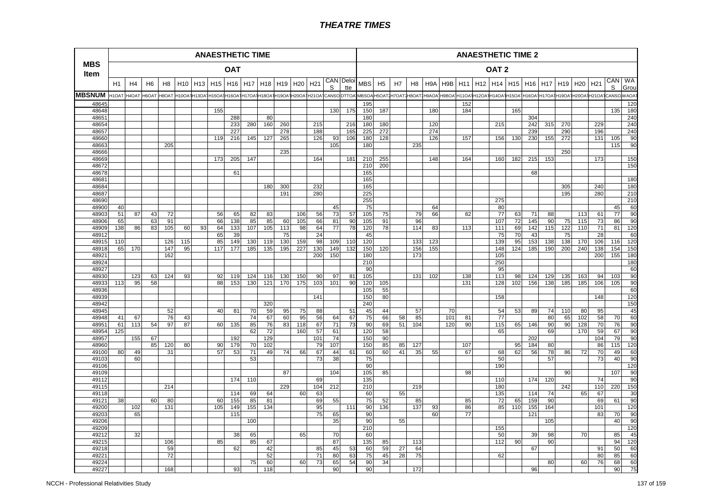|                           |           | <b>ANAESTHETIC TIME</b><br><b>OAT</b> |                                                                                                                                                                        |           |                                                                                          |    |          |            |            |            |                 |            |            |                       |                      |            |                |    |                                                                                                             |                  |     |            |                                                                 | <b>ANAESTHETIC TIME 2</b> |            |            |             |                 |                 |             |            |
|---------------------------|-----------|---------------------------------------|------------------------------------------------------------------------------------------------------------------------------------------------------------------------|-----------|------------------------------------------------------------------------------------------|----|----------|------------|------------|------------|-----------------|------------|------------|-----------------------|----------------------|------------|----------------|----|-------------------------------------------------------------------------------------------------------------|------------------|-----|------------|-----------------------------------------------------------------|---------------------------|------------|------------|-------------|-----------------|-----------------|-------------|------------|
| <b>MBS</b><br><b>Item</b> |           |                                       | H <sub>17</sub><br>H <sub>18</sub> H <sub>19</sub> H <sub>20</sub> H <sub>21</sub><br>H <sub>6</sub><br>H <sub>8</sub><br>$H10$ H13<br>H <sub>15</sub> H <sub>16</sub> |           |                                                                                          |    |          |            |            |            |                 |            |            |                       |                      |            |                |    |                                                                                                             |                  |     |            | OAT <sub>2</sub>                                                |                           |            |            |             |                 |                 |             |            |
|                           | H1        | H <sub>4</sub>                        |                                                                                                                                                                        |           |                                                                                          |    |          |            |            |            |                 |            |            | <b>CAN Deloi</b><br>S | tte                  | <b>MBS</b> | H <sub>5</sub> | H7 | H <sub>8</sub>                                                                                              | H <sub>9</sub> A | H9B |            | H <sub>11</sub> H <sub>12</sub> H <sub>14</sub> H <sub>15</sub> |                           |            |            | H16 H17 H19 | H <sub>20</sub> | H <sub>21</sub> | CAN WA<br>S | Grou       |
| <b>MBSNUM</b>             |           |                                       |                                                                                                                                                                        |           | H1OAT H4OAT H6OAT H8OAT H10OATH13OATH15OATH16OATH17OATH18OATH19OATH20OATH21OATCANSO DTTO |    |          |            |            |            |                 |            |            |                       |                      |            |                |    | MBSOA H5OAT1H7OAT1H8OAT1H9AOA H9BOA H11OA H112OA H114OA H115OA H116OA H117OA H119OA H20OA H21OA ICANSO WAOA |                  |     |            |                                                                 |                           |            |            |             |                 |                 |             |            |
| 48645                     |           |                                       |                                                                                                                                                                        |           |                                                                                          |    |          |            |            |            |                 |            |            |                       |                      | 195        |                |    |                                                                                                             |                  |     | 152        |                                                                 |                           |            |            |             |                 |                 |             | 120        |
| 48648                     |           |                                       |                                                                                                                                                                        |           |                                                                                          |    | 155      |            |            |            |                 |            |            | 130                   | 175                  | 150        | 187            |    |                                                                                                             | 180              |     | 184        |                                                                 | 165                       |            |            |             |                 |                 | 135         | 180        |
| 48651                     |           |                                       |                                                                                                                                                                        |           |                                                                                          |    |          | 288        |            | 80         |                 |            |            |                       |                      | 180        |                |    |                                                                                                             |                  |     |            |                                                                 |                           | 304        |            |             |                 |                 |             | 240        |
| 48654<br>48657            |           |                                       |                                                                                                                                                                        |           |                                                                                          |    |          | 233<br>227 | 280        | 160        | 260<br>278      |            | 215<br>188 |                       | 216<br>165           | 180<br>225 | 180<br>272     |    |                                                                                                             | 120<br>274       |     |            | 215                                                             |                           | 242<br>239 | 315        | 270<br>290  |                 | 229<br>196      |             | 240<br>240 |
| 48660                     |           |                                       |                                                                                                                                                                        |           |                                                                                          |    | 119      | 216        | 145        | 127        | 265             |            | 126        | 93                    | 106                  | 180        | 128            |    |                                                                                                             | 126              |     | 157        | 156                                                             | 130                       | 230        | 155        | 272         |                 | 131             | 105         | 90         |
| 48663                     |           |                                       |                                                                                                                                                                        | 205       |                                                                                          |    |          |            |            |            |                 |            |            | 105                   |                      | 180        |                |    | 235                                                                                                         |                  |     |            |                                                                 |                           |            |            |             |                 |                 | 115         | 90         |
| 48666                     |           |                                       |                                                                                                                                                                        |           |                                                                                          |    |          |            |            |            | 235             |            |            |                       |                      |            |                |    |                                                                                                             |                  |     |            |                                                                 |                           |            |            | 250         |                 |                 |             |            |
| 48669                     |           |                                       |                                                                                                                                                                        |           |                                                                                          |    | 173      | 205        | 147        |            |                 |            | 164        |                       | 181                  | 210        | 255            |    |                                                                                                             | 148              |     | 164        | 160                                                             | 182                       | 215        | 153        |             |                 | 173             |             | 150        |
| 48672                     |           |                                       |                                                                                                                                                                        |           |                                                                                          |    |          |            |            |            |                 |            |            |                       |                      | 210        | 200            |    |                                                                                                             |                  |     |            |                                                                 |                           |            |            |             |                 |                 |             | 150        |
| 48678<br>48681            |           |                                       |                                                                                                                                                                        |           |                                                                                          |    |          | 61         |            |            |                 |            |            |                       |                      | 165<br>165 |                |    |                                                                                                             |                  |     |            |                                                                 |                           | 68         |            |             |                 |                 |             | 180        |
| 48684                     |           |                                       |                                                                                                                                                                        |           |                                                                                          |    |          |            |            | 180        | 300             |            | 232        |                       |                      | 165        |                |    |                                                                                                             |                  |     |            |                                                                 |                           |            |            | 305         |                 | 240             |             | 180        |
| 48687                     |           |                                       |                                                                                                                                                                        |           |                                                                                          |    |          |            |            |            | 191             |            | 280        |                       |                      | 225        |                |    |                                                                                                             |                  |     |            |                                                                 |                           |            |            | 195         |                 | 280             |             | 210        |
| 48690                     |           |                                       |                                                                                                                                                                        |           |                                                                                          |    |          |            |            |            |                 |            |            |                       |                      | 255        |                |    |                                                                                                             |                  |     |            | 275                                                             |                           |            |            |             |                 |                 |             | 210        |
| 48900                     | 40        |                                       |                                                                                                                                                                        |           |                                                                                          |    |          |            |            |            |                 |            |            | 45                    |                      | 75         |                |    |                                                                                                             | 64               |     |            | 80                                                              |                           |            |            |             |                 |                 | 45          | 60         |
| 48903                     | 51        | 87                                    | 43                                                                                                                                                                     | 72        |                                                                                          |    | 56       | 65         | 82         | 83         |                 | 106        | 56         | 73                    | 57                   | 105        | 75             |    | 79                                                                                                          | 66               |     | 82         | 77                                                              | 63                        | 71         | 88         |             | 113             | 61              | 77          | 90         |
| 48906                     | 65<br>138 |                                       | 63<br>83                                                                                                                                                               | 91<br>105 | 60                                                                                       |    | 66       | 138<br>133 | 85         | 85         | 60<br>113       | 105<br>98  | 66         | 81                    | 90<br>78             | 105<br>120 | 91<br>78       |    | 96<br>114                                                                                                   | 83               |     | 113        | 107<br>111                                                      | 72                        | 145        | 90<br>115  | 75<br>122   | 115<br>110      | 73<br>71        | 86          | 90         |
| 48909<br>48912            |           | 86                                    |                                                                                                                                                                        |           |                                                                                          | 93 | 64<br>65 | 39         | 107        | 105        | 75              |            | 64<br>24   | 77                    |                      | 45         |                |    |                                                                                                             |                  |     |            | 75                                                              | 69<br>70                  | 142<br>43  |            | 75          |                 | 28              | 81          | 120<br>60  |
| 48915                     | 110       |                                       |                                                                                                                                                                        | 126       | 115                                                                                      |    | 85       | 149        | 130        | 119        | 130             | 159        | 98         | 109                   | 110                  | 120        |                |    | 133                                                                                                         | 123              |     |            | 139                                                             | 95                        | 153        | 138        | 138         | 170             | 106             | 116         | 120        |
| 48918                     | 65        | 170                                   |                                                                                                                                                                        | 147       | 95                                                                                       |    | 117      | 177        | 185        | 135        | 195             | 227        | 130        | 149                   | 132                  | 150        | 120            |    | 156                                                                                                         | 155              |     |            | 148                                                             | 124                       | 185        | 190        | 200         | 240             | 138             | 154         | 150        |
| 48921                     |           |                                       |                                                                                                                                                                        | 162       |                                                                                          |    |          |            |            |            |                 |            | 200        | 150                   |                      | 180        |                |    | 173                                                                                                         |                  |     |            | 105                                                             |                           |            |            |             |                 | 200             | 155         | 180        |
| 48924                     |           |                                       |                                                                                                                                                                        |           |                                                                                          |    |          |            |            |            |                 |            |            |                       |                      | 210        |                |    |                                                                                                             |                  |     |            | 250                                                             |                           |            |            |             |                 |                 |             | 180        |
| 48927                     |           |                                       |                                                                                                                                                                        |           |                                                                                          |    |          |            |            |            |                 |            |            |                       |                      | 90         |                |    |                                                                                                             |                  |     |            | 95                                                              |                           |            |            |             |                 |                 |             | 60         |
| 48930<br>48933            | 113       | 123<br>95                             | 63<br>58                                                                                                                                                               | 124       | 93                                                                                       |    | 92<br>88 | 119<br>153 | 124<br>130 | 116<br>121 | 130<br>170      | 150<br>175 | 90<br>103  | 97<br>101             | 8 <sup>1</sup><br>90 | 105<br>120 | 105            |    | 131                                                                                                         | 102              |     | 138<br>131 | 113<br>128                                                      | 98<br>102                 | 124<br>156 | 129<br>138 | 135<br>185  | 163<br>185      | 94<br>106       | 103<br>105  | 90<br>90   |
| 48936                     |           |                                       |                                                                                                                                                                        |           |                                                                                          |    |          |            |            |            |                 |            |            |                       |                      | 105        | 55             |    |                                                                                                             |                  |     |            |                                                                 |                           |            |            |             |                 |                 |             | 60         |
| 48939                     |           |                                       |                                                                                                                                                                        |           |                                                                                          |    |          |            |            |            |                 |            | 141        |                       |                      | 150        | 80             |    |                                                                                                             |                  |     |            | 158                                                             |                           |            |            |             |                 | 148             |             | 120        |
| 48942                     |           |                                       |                                                                                                                                                                        |           |                                                                                          |    |          |            |            | 320        |                 |            |            |                       |                      | 240        |                |    |                                                                                                             |                  |     |            |                                                                 |                           |            |            |             |                 |                 |             | 150        |
| 48945                     |           |                                       |                                                                                                                                                                        | 52        |                                                                                          |    | 40       | 81         | 70         | 59         | 95              | 75         | 88         |                       | 51                   | 45         | 44             |    | 57                                                                                                          |                  | 70  |            | 54                                                              | 53                        | 89         | 74         | 110         | 80              | 95              |             | 45         |
| 48948                     | 41        | 67                                    |                                                                                                                                                                        | 76        | 43                                                                                       |    |          |            | 74         | 67         | 60              | 95         | 56         | 64                    | 67                   | 75         | 66             | 58 | 85                                                                                                          |                  | 101 | 81         | 77                                                              |                           |            | 80         | 65          | 102             | 58              | 70          | 60         |
| 48951<br>48954            | 61<br>125 | 113                                   | 54                                                                                                                                                                     | 97        | 87                                                                                       |    | 60       | 135        | 85<br>62   | 76<br>72   | 83              | 118<br>160 | 67<br>57   | 71<br>61              | 73                   | 90<br>120  | 69<br>58       | 51 | 104                                                                                                         |                  | 120 | 90         | 115<br>65                                                       | 65                        | 146        | 90<br>69   | 90          | 128<br>170      | 70<br>59        | 76<br>67    | 90<br>90   |
| 48957                     |           | 155                                   | 67                                                                                                                                                                     |           |                                                                                          |    |          | 192        |            | 129        |                 |            | 101        | 74                    |                      | 150        | 90             |    |                                                                                                             |                  |     |            |                                                                 |                           | 202        |            |             |                 | 104             | 79          | 90         |
| 48960                     |           |                                       | 85                                                                                                                                                                     | 120       | 80                                                                                       |    | 90       | 179        | 70         | 102        |                 |            | 79         | 107                   |                      | 150        | 85             | 85 | 127                                                                                                         |                  |     | 107        |                                                                 | 95                        | 184        | 80         |             |                 | 86              | 115         | 120        |
| 49100                     | 80        | 49                                    |                                                                                                                                                                        | 31        |                                                                                          |    | 57       | 53         | 71         | 49         | $\overline{74}$ | 66         | 67         | 44                    | 61                   | 60         | 60             | 41 | 35                                                                                                          | 55               |     | 67         | 68                                                              | 62                        | 56         | 78         | 86          | 72              | 70              | 49          | 60         |
| 49103                     |           | 60                                    |                                                                                                                                                                        |           |                                                                                          |    |          |            | 53         |            |                 |            | 73         | 38                    |                      | 75         |                |    |                                                                                                             |                  |     |            | 50                                                              |                           |            | 57         |             |                 | 73              | 40          | 90         |
| 49106                     |           |                                       |                                                                                                                                                                        |           |                                                                                          |    |          |            |            |            |                 |            |            |                       |                      | 90         |                |    |                                                                                                             |                  |     |            | 190                                                             |                           |            |            |             |                 |                 |             | 120        |
| 49109                     |           |                                       |                                                                                                                                                                        |           |                                                                                          |    |          | 174        |            |            | 87              |            | 69         | 104                   |                      | 105<br>135 | 85             |    |                                                                                                             |                  |     | 98         | 110                                                             |                           | 174        | 120        | 90          |                 | 74              | 107         | 90         |
| 49112<br>49115            |           |                                       |                                                                                                                                                                        | 214       |                                                                                          |    |          |            | 110        |            | 229             |            | 104        | 212                   |                      | 210        |                |    | 219                                                                                                         |                  |     |            | 180                                                             |                           |            |            | 242         |                 | 110             | 220         | 90<br>150  |
| 49118                     |           |                                       |                                                                                                                                                                        |           |                                                                                          |    |          | 114        | 69         | 64         |                 | 60         | 63         |                       |                      | 60         |                | 55 |                                                                                                             |                  |     |            | 135                                                             |                           | 114        | 74         |             | 65              | 67              |             | 30         |
| 49121                     | 38        |                                       | 60                                                                                                                                                                     | 80        |                                                                                          |    | 60       | 155        | 85         | 81         |                 |            | 69         | 55                    |                      | 75         | 52             |    | 85                                                                                                          |                  |     | 85         | 72                                                              | 65                        | 159        | 90         |             |                 | 69              | 61          | 90         |
| 49200                     |           | 102                                   |                                                                                                                                                                        | 131       |                                                                                          |    | 105      | 149        | 155        | 134        |                 |            | 95         |                       | 111                  | 90         | 136            |    | 137                                                                                                         | 93               |     | 86         | 85                                                              | 110                       | 155        | 164        |             |                 | 101             |             | 120        |
| 49203                     |           | 65                                    |                                                                                                                                                                        |           |                                                                                          |    |          | 115        |            |            |                 |            | 75         | 65                    |                      | 90         |                |    |                                                                                                             | 60               |     | 77         |                                                                 |                           | 121        |            |             |                 | 83              | 70          | 90         |
| 49206                     |           |                                       |                                                                                                                                                                        |           |                                                                                          |    |          |            | 100        |            |                 |            |            | 35                    |                      | 90<br>210  |                | 55 |                                                                                                             |                  |     |            |                                                                 |                           |            | 105        |             |                 |                 | 40          | 90         |
| 49209<br>49212            |           | 32                                    |                                                                                                                                                                        |           |                                                                                          |    |          | 38         | 65         |            |                 | 65         |            | 70                    |                      | 60         |                |    |                                                                                                             |                  |     |            | 155<br>50                                                       |                           | 39         | 98         |             | 70              |                 | 85          | 120<br>45  |
| 49215                     |           |                                       |                                                                                                                                                                        | 106       |                                                                                          |    | 85       |            | 85         | 67         |                 |            |            | 87                    |                      | 135        | 85             |    | 113                                                                                                         |                  |     |            | 112                                                             | 90                        |            | 90         |             |                 |                 | 94          | 120        |
| 49218                     |           |                                       |                                                                                                                                                                        | 59        |                                                                                          |    |          | 62         |            | 42         |                 |            | 85         | 45                    | 53                   | 60         | 59             | 27 | 64                                                                                                          |                  |     |            |                                                                 |                           | 67         |            |             |                 | 91              | 50          | 60         |
| 49221                     |           |                                       |                                                                                                                                                                        | 72        |                                                                                          |    |          |            |            | 52         |                 |            | 71         | 80                    | 63                   | 75         | 45             | 28 | 75                                                                                                          |                  |     |            | 62                                                              |                           |            |            |             |                 | 80              | 85          | 60         |
| 49224                     |           |                                       |                                                                                                                                                                        |           |                                                                                          |    |          |            | 75         | 60         |                 | 60         | 73         | 65                    | 54                   | 90         | 34             |    |                                                                                                             |                  |     |            |                                                                 |                           |            | 80         |             | 60              | 76              | 68          | 60         |
| 49227                     |           |                                       |                                                                                                                                                                        | 168       |                                                                                          |    |          | 93         |            | 118        |                 |            |            | 90                    |                      | 90         |                |    | 172                                                                                                         |                  |     |            |                                                                 |                           | 96         |            |             |                 |                 | 90          | 75         |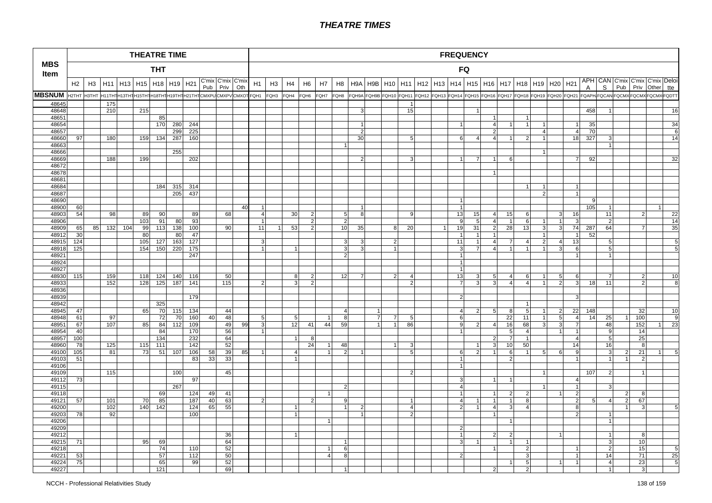|                                                                                                                    |           |    |                         |     | <b>THEATRE TIME</b> |               |            |            |     |                           |     |                |    |                                  |                      |                             |                       |                                |                |                                  |  |                | <b>FREQUENCY</b>                             |                                  |                                                                                                                                              |                                                  |                     |           |                       |                                                       |                |    |          |
|--------------------------------------------------------------------------------------------------------------------|-----------|----|-------------------------|-----|---------------------|---------------|------------|------------|-----|---------------------------|-----|----------------|----|----------------------------------|----------------------|-----------------------------|-----------------------|--------------------------------|----------------|----------------------------------|--|----------------|----------------------------------------------|----------------------------------|----------------------------------------------------------------------------------------------------------------------------------------------|--------------------------------------------------|---------------------|-----------|-----------------------|-------------------------------------------------------|----------------|----|----------|
| <b>MBS</b><br><b>Item</b>                                                                                          |           |    |                         |     |                     | <b>THT</b>    |            |            |     |                           |     |                |    |                                  |                      |                             |                       |                                |                |                                  |  |                | <b>FQ</b>                                    |                                  |                                                                                                                                              |                                                  |                     |           |                       |                                                       |                |    |          |
|                                                                                                                    | H2        | H3 | H11 H13 H15 H18 H19 H21 |     |                     |               |            |            | Pub | C'mix C'mix C'mix<br>Priv | Oth | H1             | H3 | H <sub>4</sub>                   | H <sub>6</sub>       | H7                          | H <sub>8</sub>        |                                |                |                                  |  |                |                                              |                                  | H9A   H9B   H10   H11   H12   H13   H14   H15   H16   H17   H18   H19   H20   H21                                                            |                                                  |                     | $\Delta$  | S.                    | APH CAN C'mix C'mix C'mix Deloi<br>Pub Priv Other tte |                |    |          |
| MBSNUM   H2THT   H3THT   H11THT   H13THT   H13THT   H13THT   H13THT   H13THT   CMXPV   CMXPV   CMXPV   CMH3   FQH4 |           |    |                         |     |                     |               |            |            |     |                           |     |                |    |                                  |                      |                             |                       |                                |                |                                  |  |                |                                              |                                  | ғанв  ғант  ғанв  ғанзя ғанзв ған10 ған11 ған12 ған13 ған14 ған15 ған16 ған17 ған18 ған19 ған20 ған21 ғалрн ғаслм ғасмх ғасмх ғасмх ғасмх ға |                                                  |                     |           |                       |                                                       |                |    |          |
| 48645                                                                                                              |           |    | 175                     |     |                     |               |            |            |     |                           |     |                |    |                                  |                      |                             |                       |                                |                | $\overline{1}$                   |  |                |                                              |                                  |                                                                                                                                              |                                                  |                     |           |                       |                                                       |                |    |          |
| 48648                                                                                                              |           |    | 210                     |     | 215                 |               |            |            |     |                           |     |                |    |                                  |                      |                             |                       | 3 <sup>1</sup>                 |                | 15                               |  |                | $\mathbf{1}$                                 |                                  |                                                                                                                                              |                                                  |                     | 458       | $\overline{1}$        |                                                       |                |    | 16       |
| 48651<br>48654                                                                                                     |           |    |                         |     |                     | 85<br>170     | 280        | 244        |     |                           |     |                |    |                                  |                      |                             |                       | $\mathbf{1}$                   |                |                                  |  |                | 1                                            | 1<br>4 <sup>1</sup>              | $\mathbf{1}$<br>1 <sup>1</sup><br>$\mathbf{1}$                                                                                               | 1                                                | 1 <sup>1</sup>      | 35        |                       |                                                       |                |    | 34       |
| 48657                                                                                                              |           |    |                         |     |                     |               | 299        | 225        |     |                           |     |                |    |                                  |                      |                             |                       | 2 <sup>1</sup>                 |                |                                  |  |                |                                              | 2 <sup>1</sup>                   |                                                                                                                                              | $\vert$                                          | $\overline{4}$      | 70        |                       |                                                       |                |    | 6        |
| 48660                                                                                                              | 97        |    | 180                     |     | 159                 | 134           | 287        | 160        |     |                           |     |                |    |                                  |                      |                             |                       | 30 <sup>°</sup>                |                | 5                                |  |                | 6<br>$\overline{4}$                          | $\vert$                          | $\overline{2}$<br>$\overline{1}$                                                                                                             | $\overline{1}$                                   | 18                  | 327       | $\mathbf{3}$          |                                                       |                |    | 14       |
| 48663                                                                                                              |           |    |                         |     |                     |               |            |            |     |                           |     |                |    |                                  |                      |                             | $\overline{1}$        |                                |                |                                  |  |                |                                              |                                  |                                                                                                                                              | $\overline{1}$                                   |                     |           | $\mathbf{1}$          |                                                       |                |    |          |
| 48666<br>48669                                                                                                     |           |    | 188                     |     | 199                 |               | 255        | 202        |     |                           |     |                |    |                                  |                      |                             |                       | $\overline{2}$                 |                | 3                                |  |                | $\overline{7}$<br>11                         | 11                               | 6                                                                                                                                            |                                                  | $\overline{7}$      | 92        |                       |                                                       |                |    | 32       |
| 48672                                                                                                              |           |    |                         |     |                     |               |            |            |     |                           |     |                |    |                                  |                      |                             |                       |                                |                |                                  |  |                |                                              |                                  |                                                                                                                                              |                                                  |                     |           |                       |                                                       |                |    |          |
| 48678                                                                                                              |           |    |                         |     |                     |               |            |            |     |                           |     |                |    |                                  |                      |                             |                       |                                |                |                                  |  |                |                                              | 1                                |                                                                                                                                              |                                                  |                     |           |                       |                                                       |                |    |          |
| 48681                                                                                                              |           |    |                         |     |                     |               |            |            |     |                           |     |                |    |                                  |                      |                             |                       |                                |                |                                  |  |                |                                              |                                  |                                                                                                                                              |                                                  |                     |           |                       |                                                       |                |    |          |
| 48684<br>48687                                                                                                     |           |    |                         |     |                     | 184           | 315<br>205 | 314<br>437 |     |                           |     |                |    |                                  |                      |                             |                       |                                |                |                                  |  |                |                                              |                                  | 1                                                                                                                                            | $\mathbf 1$<br>2 <sup>1</sup>                    | $\mathbf{1}$<br>11  |           |                       |                                                       |                |    |          |
| 48690                                                                                                              |           |    |                         |     |                     |               |            |            |     |                           |     |                |    |                                  |                      |                             |                       |                                |                |                                  |  |                | $\mathbf{1}$                                 |                                  |                                                                                                                                              |                                                  |                     | 9         |                       |                                                       |                |    |          |
| 48900                                                                                                              | 60        |    |                         |     |                     |               |            |            |     |                           | 40  | $\vert$        |    |                                  |                      |                             |                       | 1                              |                |                                  |  |                | $\mathbf{1}$                                 |                                  |                                                                                                                                              |                                                  |                     | 105       | -1                    |                                                       |                |    |          |
| 48903                                                                                                              | 54        |    | 98                      |     | 89                  | 90            |            | 89         |     | 68                        |     | $\vert$        |    | 30                               | 2                    |                             | 5 <sub>5</sub>        | 8 <sup>1</sup>                 |                | 9                                |  |                | 13<br>15                                     | 4                                | 15<br>$6 \mid$                                                                                                                               | 3 <sup>1</sup>                                   | 16                  |           | 11                    |                                                       | $2 \vert$      |    | 22       |
| 48906                                                                                                              |           |    |                         |     | 103                 | 91            | 80         | 93         |     |                           |     | 1              |    |                                  | 2                    |                             | $\overline{2}$        |                                |                |                                  |  | 1 <sup>1</sup> | 9<br>5                                       | 4 <sup>1</sup>                   | 6<br>$\overline{1}$                                                                                                                          | 1<br>1                                           | $\mathbf{3}$        |           | $\overline{2}$        |                                                       | -7 I           |    | 14<br>35 |
| 48909<br>48912                                                                                                     | 65<br>30  | 85 | 132                     | 104 | 99<br>80            | 113           | 138<br>80  | 100<br>47  |     | 90                        |     | 11             | 11 | 53                               | 2 <sup>1</sup>       |                             | 10 <sup>1</sup>       | 35                             | 8              | 20                               |  |                | 31<br>19<br>$\overline{1}$<br>$\overline{1}$ | $\mathbf{2}$<br>1                | 28<br>13                                                                                                                                     | 3 <sup>1</sup><br>3 <sup>1</sup><br>$\mathbf{1}$ | 74<br>$\mathbf{1}$  | 287<br>52 | 64                    |                                                       |                |    |          |
| 48915                                                                                                              | 124       |    |                         |     | 105                 | 127           | 163        | 127        |     |                           |     | 3 <sup>1</sup> |    |                                  |                      |                             | 3                     | 3 <sup>1</sup>                 | $\overline{2}$ |                                  |  |                | 11<br>$\vert$ 1                              | 4 <sup>1</sup>                   | $\overline{7}$<br>$\overline{4}$                                                                                                             | 2 <sup>1</sup><br>$\overline{4}$                 | 13                  |           | $5\phantom{.0}$       |                                                       |                |    | 5        |
| 48918                                                                                                              | 125       |    |                         |     | 154                 | 150           | 220        | 175        |     |                           |     | 1              |    | $\mathbf{1}$                     |                      |                             | $\overline{3}$        | $\overline{3}$                 | $\mathbf{1}$   |                                  |  |                | 3                                            | 7 <sup>1</sup><br>$\vert$        | 1<br>1                                                                                                                                       | $\mathbf{1}$<br>$\overline{3}$                   | $6\overline{6}$     |           | 5                     |                                                       |                |    | 5        |
| 48921                                                                                                              |           |    |                         |     |                     |               |            | 247        |     |                           |     |                |    |                                  |                      |                             | $\overline{2}$        |                                |                |                                  |  |                | $\mathbf{1}$                                 |                                  |                                                                                                                                              |                                                  | 11                  |           | $\mathbf{1}$          |                                                       |                |    |          |
| 48924<br>48927                                                                                                     |           |    |                         |     |                     |               |            |            |     |                           |     |                |    |                                  |                      |                             |                       |                                |                |                                  |  |                | 1                                            |                                  |                                                                                                                                              |                                                  |                     |           |                       |                                                       |                |    |          |
| 48930                                                                                                              | 115       |    | 159                     |     | 118                 | 124           | 140        | 116        |     | 50                        |     |                |    | 8                                | 2                    |                             | 12                    | $\overline{7}$                 | $2^{\mid}$     | $\overline{4}$                   |  |                | 13                                           | 3 <sup>1</sup><br>5 <sup>1</sup> | $\overline{4}$<br>$6 \mid$                                                                                                                   | 5 <sub>5</sub><br>$\mathbf{1}$                   | 6                   |           | $\overline{7}$        |                                                       | $\overline{2}$ |    | 10       |
| 48933                                                                                                              |           |    | 152                     |     | 128                 | $\boxed{125}$ | 187        | 141        |     | 115                       |     | $\overline{2}$ |    | 3 <sup>1</sup>                   | 2 <sup>1</sup>       |                             |                       |                                |                | $\overline{2}$                   |  |                | $\overline{7}$                               | $\overline{3}$<br>$\overline{3}$ | $\overline{4}$<br>$\vert$ 4                                                                                                                  | $\overline{2}$<br>1                              | 3 <sup>l</sup>      | 18        | 11                    |                                                       | $\overline{2}$ |    | 8        |
| 48936                                                                                                              |           |    |                         |     |                     |               |            |            |     |                           |     |                |    |                                  |                      |                             |                       |                                |                |                                  |  |                |                                              |                                  |                                                                                                                                              |                                                  |                     |           |                       |                                                       |                |    |          |
| 48939<br>48942                                                                                                     |           |    |                         |     |                     | 325           |            | 179        |     |                           |     |                |    |                                  |                      |                             |                       |                                |                |                                  |  |                | 2                                            |                                  |                                                                                                                                              |                                                  | $\mathbf{3}$        |           |                       |                                                       |                |    |          |
| 48945                                                                                                              | 47        |    |                         |     | 65                  | 70            | 115        | 134        |     | 44                        |     |                |    |                                  |                      |                             | $\overline{4}$        | 1 <sup>1</sup>                 |                |                                  |  |                | 4                                            | 2 <sup>1</sup><br>5 <sup>1</sup> | 5 <sub>5</sub><br>8                                                                                                                          | $2 \vert$<br>$\mathbf{1}$                        | 22                  | 148       |                       |                                                       | 32             |    | $10$     |
| 48948                                                                                                              | 61        |    | 97                      |     |                     | 72            | 70         | 160        | 40  | 48                        |     | 5 <sub>5</sub> |    | $5\phantom{.0}$                  |                      | $\mathbf{1}$                | 8                     | $\overline{7}$                 | $\overline{7}$ | 5                                |  |                | 6                                            |                                  | 22<br>11                                                                                                                                     | $5\overline{)}$<br>1 <sup>1</sup>                | $\vert$             | 14        | 25                    | 1                                                     | 100            |    | 9        |
| 48951                                                                                                              | 67        |    | 107                     |     | 85                  | 84            | 112        | 109        |     | 49                        | 99  | 3              |    | 12                               | 41                   | 44                          | 59                    | 1                              | 1              | 86                               |  |                | 9                                            | $2 \vert$<br>$\overline{4}$      | 16<br>68                                                                                                                                     | 3 <sup>1</sup><br>3 <sup>1</sup>                 | $\overline{7}$      |           | 48                    |                                                       | 152            | 11 | 23       |
| 48954                                                                                                              | 40        |    |                         |     |                     | 84            |            | 170        |     | 56                        |     | 1              |    |                                  |                      |                             |                       |                                |                |                                  |  |                | 1                                            |                                  | $5\overline{)}$<br>$\vert$                                                                                                                   | 1                                                | 1 <sup>1</sup>      |           | 9                     |                                                       | 14             |    |          |
| 48957<br>48960                                                                                                     | 100<br>78 |    | 125                     |     | 115                 | 134<br>111    |            | 232<br>142 |     | 64<br>52                  |     |                |    | 1                                | 8 <sup>1</sup><br>24 | $\mathbf{1}$                | 48                    |                                | $\mathbf{1}$   | 3                                |  |                |                                              | 2 <br>3 <sup>1</sup>             | $\overline{7}$<br>1<br>10<br>50                                                                                                              |                                                  | $\vert$<br>14       |           | $5\phantom{.0}$<br>16 |                                                       | 25<br>8        |    |          |
| 49100                                                                                                              | 105       |    | 81                      |     | 73                  | 51            | 107        | 106        | 58  | 39                        | 85  | 1 <sup>1</sup> |    | 4                                |                      | $\overline{1}$              | $\overline{2}$        | 1                              |                | 5                                |  |                | 6 <sup>1</sup><br>$\overline{2}$             | 1                                | 6<br>1                                                                                                                                       | 5 <sup>1</sup><br>$6 \mid$                       | 9                   |           | 3                     | $\overline{2}$                                        | 21             | 11 | 5        |
| 49103                                                                                                              | 51        |    |                         |     |                     |               |            | 83         | 33  | 33                        |     |                |    |                                  |                      |                             |                       |                                |                |                                  |  |                | $\mathbf{1}$                                 |                                  | $\overline{2}$                                                                                                                               |                                                  | 1 <sup>1</sup>      |           | $\mathbf{1}$          | 1                                                     | 2              |    |          |
| 49106                                                                                                              |           |    |                         |     |                     |               |            |            |     |                           |     |                |    |                                  |                      |                             |                       |                                |                |                                  |  |                | $\mathbf{1}$                                 |                                  |                                                                                                                                              |                                                  |                     |           |                       |                                                       |                |    |          |
| 49109<br>49112                                                                                                     | 73        |    | 115                     |     |                     |               | 100        | 97         |     | 45                        |     |                |    |                                  |                      |                             |                       |                                |                | 2                                |  |                | $\overline{3}$                               | 1 <sup>1</sup>                   | $\mathbf{1}$                                                                                                                                 | 1 <sup>1</sup>                                   | $\vert$             | 107       | $\overline{2}$        |                                                       | 1              |    |          |
| 49115                                                                                                              |           |    |                         |     |                     |               | 267        |            |     |                           |     |                |    |                                  |                      |                             | $\overline{2}$        |                                |                |                                  |  |                | $\vert 4 \vert$                              |                                  |                                                                                                                                              | 1 <sup>1</sup>                                   | 11                  |           | $\mathbf{3}$          |                                                       |                |    |          |
| 49118                                                                                                              |           |    |                         |     |                     | 69            |            | 124        | 49  | 41                        |     |                |    |                                  |                      | $\overline{1}$              |                       |                                |                |                                  |  |                | $\mathbf{1}$                                 | 1                                | $\overline{2}$<br>$\overline{2}$                                                                                                             | 1                                                | $\overline{2}$      |           |                       | $\overline{2}$                                        | 8 <sup>1</sup> |    |          |
| 49121                                                                                                              | 57        |    | 101                     |     | 70                  | 85            |            | 187        | 40  | 63                        |     | $\overline{2}$ |    |                                  | $2 \vert$            |                             | 9                     |                                |                | 1                                |  |                | 4 <sup>1</sup>                               | 1                                | 8 <sup>1</sup><br>$\mathbf{1}$                                                                                                               |                                                  | $\overline{2}$      | 5         | $\overline{4}$        | $\overline{2}$                                        | 67             |    |          |
| 49200                                                                                                              |           |    | 102<br>92               |     | 140                 | 142           |            | 124<br>100 | 65  | 55                        |     |                |    | $\overline{1}$<br>$\overline{1}$ |                      |                             | 1                     | $\overline{2}$<br>$\mathbf{1}$ |                | $\overline{4}$<br>$\overline{2}$ |  |                | 2 <sup>1</sup><br>1 <sup>1</sup>             | 4 <sup>1</sup><br>$\mathbf{1}$   | $\mathbf{3}$<br>$\overline{4}$                                                                                                               |                                                  | 8<br>2 <sup>1</sup> |           | $\mathbf{1}$          | 1                                                     | 3              |    | 5        |
| 49203<br>49206                                                                                                     | 78        |    |                         |     |                     |               |            |            |     |                           |     |                |    |                                  |                      | 1                           |                       |                                |                |                                  |  |                |                                              |                                  | 1                                                                                                                                            |                                                  |                     |           | $\overline{1}$        |                                                       |                |    |          |
| 49209                                                                                                              |           |    |                         |     |                     |               |            |            |     |                           |     |                |    |                                  |                      |                             |                       |                                |                |                                  |  |                | $\overline{2}$                               |                                  |                                                                                                                                              |                                                  |                     |           |                       |                                                       |                |    |          |
| 49212                                                                                                              |           |    |                         |     |                     |               |            |            |     | 36                        |     |                |    | $\overline{1}$                   |                      |                             |                       |                                |                |                                  |  |                | $\mathbf{1}$                                 | 2 <sup>1</sup>                   | $\overline{2}$                                                                                                                               | 11                                               |                     |           | $\overline{1}$        |                                                       | 8              |    |          |
| 49215                                                                                                              | 71        |    |                         |     | 95                  | 69            |            |            |     | 64                        |     |                |    |                                  |                      |                             |                       |                                |                |                                  |  |                | $\mathbf{3}$                                 |                                  | $\mathbf{1}$                                                                                                                                 |                                                  |                     |           | $\mathbf{3}$          |                                                       | 10             |    |          |
| 49218<br>49221                                                                                                     | 53        |    |                         |     |                     | 74<br>57      |            | 110<br>112 |     | 52<br>50                  |     |                |    |                                  |                      | $\vert$ 1<br>$\overline{4}$ | $6 \overline{6}$<br>8 |                                |                |                                  |  |                | $\overline{2}$                               | 1 <sup>1</sup>                   | $2 \vert$<br>3 <sup>1</sup>                                                                                                                  |                                                  | -1<br>$\mathbf{1}$  |           | $\overline{2}$<br>14  |                                                       | 15<br>71       |    | 5<br>25  |
| 49224                                                                                                              | 75        |    |                         |     |                     | 65            |            | 99         |     | 52                        |     |                |    |                                  |                      |                             |                       |                                |                |                                  |  |                |                                              |                                  | $5\overline{)}$<br>1                                                                                                                         | $\mathbf{1}$                                     | $\mathbf{1}$        |           | $\overline{4}$        |                                                       | 23             |    | 5        |
| 49227                                                                                                              |           |    |                         |     |                     | 121           |            |            |     | 69                        |     |                |    |                                  |                      |                             | 1 <sup>1</sup>        |                                |                |                                  |  |                |                                              | 2                                | $\overline{2}$                                                                                                                               |                                                  |                     |           | 1                     |                                                       | 3              |    |          |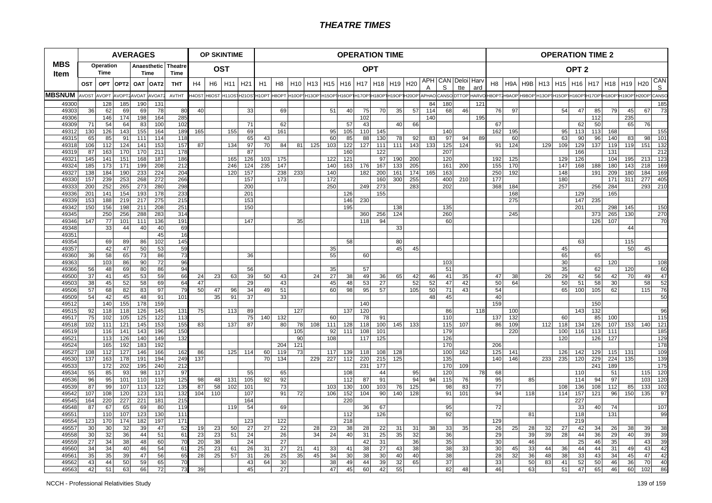|                    |                                                                          |            |            | <b>AVERAGES</b> |                     |                        |           |                | <b>OP SKINTIME</b>      |                 |          |                                                                                     |                                                                                                           |     |            |            |            | <b>OPERATION TIME</b> |                 |          |          |                                          |          |     |                |            |          | <b>OPERATION TIME 2</b>                                           |            |                  |                                 |            |                                                 |                  |            |
|--------------------|--------------------------------------------------------------------------|------------|------------|-----------------|---------------------|------------------------|-----------|----------------|-------------------------|-----------------|----------|-------------------------------------------------------------------------------------|-----------------------------------------------------------------------------------------------------------|-----|------------|------------|------------|-----------------------|-----------------|----------|----------|------------------------------------------|----------|-----|----------------|------------|----------|-------------------------------------------------------------------|------------|------------------|---------------------------------|------------|-------------------------------------------------|------------------|------------|
| <b>MBS</b><br>Item | Operation<br><b>Time</b><br><b>OPT</b><br>OPT <sub>2</sub><br><b>OST</b> |            |            |                 | Anaesthetic<br>Time | <b>Theatre</b><br>Time |           |                | <b>OST</b>              |                 |          |                                                                                     |                                                                                                           |     |            |            | <b>OPT</b> |                       |                 |          |          |                                          |          |     |                |            |          |                                                                   |            | OPT <sub>2</sub> |                                 |            |                                                 |                  |            |
|                    |                                                                          |            |            |                 | OAT OAT2            | <b>THT</b>             | H4        | H <sub>6</sub> | H <sub>11</sub>         | H <sub>21</sub> | H1       | H <sub>8</sub>                                                                      | H <sub>10</sub>   H <sub>13</sub>   H <sub>15</sub>   H <sub>16</sub>   H <sub>17</sub>   H <sub>18</sub> |     |            |            |            |                       | H19 H20         |          |          | APH   CAN   Deloi   Harv<br>$\mathbf{S}$ |          | ard | H <sub>8</sub> | H9A        |          | H9B H13 H15                                                       |            |                  | H <sub>16</sub> H <sub>17</sub> |            | H <sub>18</sub> H <sub>19</sub> H <sub>20</sub> |                  | CAN        |
| <b>MBSNUM</b>      |                                                                          | VOST AVOPT |            | AVOPT2AVOAT     | AVOAT:              | AVTHT                  |           |                | 140ST H60ST H110STH210S |                 |          | H1OPT H8OPT H10OPTH13OPTH15OPTH16OPTH17OPTH18OPTH19OPTH20OPTAPHAOICANSOIDTTOPTHARVO |                                                                                                           |     |            |            |            |                       |                 |          |          |                                          |          |     |                |            |          | +8OPT/H9AOP H9BOP H13OP H15OP H16OP H17OP H18OP H19OP H20OP CANSC |            |                  |                                 |            |                                                 |                  |            |
| 49300              |                                                                          | 128        | 185        | 190             | 131                 |                        |           |                |                         |                 |          |                                                                                     |                                                                                                           |     |            |            |            |                       |                 |          | 84       | 180                                      |          | 121 |                |            |          |                                                                   |            |                  |                                 |            |                                                 |                  | 185        |
| 49303              | 36                                                                       | 62         | 69         | 69              | 78                  | 80                     | 40        |                |                         | 33              |          | 69                                                                                  |                                                                                                           |     | 51         | 40         | 75         | 70                    | 35              | 57       | 114      | 68                                       | 46       |     | 76             | 97         |          |                                                                   | 54         | 47               | 85                              | 79         | 45                                              | 67               | 73         |
| 49306<br>49309     | 71                                                                       | 146<br>54  | 174<br>64  | 198<br>83       | 164<br>100          | 285<br>102             |           |                |                         | 71              |          | 62                                                                                  |                                                                                                           |     |            | 57         | 102<br>43  |                       | 40              | 66       | 140      |                                          |          | 195 | 67             |            |          |                                                                   |            | 62               | 112<br>50                       |            | 235<br>65                                       | 76               |            |
| 49312              | 130                                                                      | 126        | 143        | 155             | 164                 | 189                    | 165       |                | 155                     | 69              |          | 161                                                                                 |                                                                                                           |     | 95         | 105        | 110        | 145                   |                 |          |          | 140                                      |          |     | 162            | 195        |          |                                                                   | 95         | 113              | 113                             | 168        |                                                 |                  | 155        |
| 49315              | 65                                                                       | 85         | 91         | 111             | 114                 | 118                    |           |                |                         | 65              | 43       |                                                                                     |                                                                                                           |     | 60         | 85         | 88         | 130                   | 78              | 92       | 83       | 97                                       | 94       | -89 |                | 60         |          |                                                                   | 63         | 90               | 96                              | 140        | 83                                              | 98               | 101        |
| 49318              | 106                                                                      | 112        | 124        | 141             | 153                 | 157                    | 87        |                | 134                     | 97              | 70       | 84                                                                                  | 81                                                                                                        | 125 | 103        | 122        | 127        | 111                   | 111             | 143      | 133      | 125                                      | 124      |     | 91             | 124        |          | 129                                                               | 109        | 129              | 137                             | 119        | 119                                             | 151              | 132        |
| 49319<br>49321     | 87<br>145                                                                | 163<br>141 | 170<br>151 | 170<br>168      | 211<br>187          | 178<br>186             |           |                | 165                     | 87<br>126       | 103      | 175                                                                                 |                                                                                                           |     | 122        | 160<br>121 |            | 122<br>97             | 190             | 200      |          | 207<br>120                               |          |     | 192            | 125        |          |                                                                   | 129        | 166<br>126       |                                 | 131<br>104 | 195                                             | 213              | 212<br>123 |
| 49324              | 185                                                                      | 173        | 171        | 199             | 208                 | 212                    |           |                | 246                     | 124             | 235      | 147                                                                                 |                                                                                                           |     | 140        | 163        | 176        | 167                   | 133             | 205      |          | 161                                      | 200      |     | 155            | 170        |          |                                                                   | 147        | 168              | 188                             | 180        | 143                                             | 218              | 169        |
| 49327              | 138                                                                      | 184        | 190        | 233             | 224                 | 204                    |           |                | 120                     | 157             |          | 238                                                                                 | 233                                                                                                       |     | 140        |            | 182        | 200                   | 161             | 174      | 165      | 163                                      |          |     | 250            | 192        |          |                                                                   | 148        |                  | 191                             | 209        | 180                                             | 184              | 169        |
| 49330              | 157                                                                      | 239        | 253        | 268             | 272                 | 266                    |           |                |                         | 157             |          | 173                                                                                 |                                                                                                           |     | 172        |            |            | 160                   | 300             | 255      |          | 400                                      | 210      |     | 177            |            |          |                                                                   | 180        |                  |                                 | 171        | 311                                             | 277              | 405        |
| 49333              | 200                                                                      | 252        | 265        | 273             | 280                 | 298                    |           |                |                         | 200             |          |                                                                                     |                                                                                                           |     | 250        |            | 249        | 273                   |                 | 283      |          | 202                                      |          |     | 368            | 184        |          |                                                                   | 257        |                  | 256                             | 284        |                                                 | 293              | 210        |
| 49336<br>49339     | 201<br>153                                                               | 141<br>188 | 154<br>219 | 193<br>217      | 178<br>275          | 233<br>215             |           |                |                         | 201<br>153      |          |                                                                                     |                                                                                                           |     |            | 126<br>146 | 230        | 155                   |                 |          |          |                                          |          |     |                | 168<br>275 |          |                                                                   |            | 129<br>147       | 235                             | 165        |                                                 |                  |            |
| 49342              | 150                                                                      | 156        | 198        | 211             | 208                 | 251                    |           |                |                         | 150             |          |                                                                                     |                                                                                                           |     |            | 195        |            |                       | 138             |          |          | 135                                      |          |     |                |            |          |                                                                   |            | 201              |                                 | 298        | 145                                             |                  | 150        |
| 49345              |                                                                          | 250        | 256        | 288             | 283                 | 314                    |           |                |                         |                 |          |                                                                                     |                                                                                                           |     |            |            | 360        | 256                   | 124             |          |          | 260                                      |          |     |                | 245        |          |                                                                   |            |                  | 373                             | 265        | 130                                             |                  | 270        |
| 49346              | 147                                                                      | 77         | 101        | 111             | 136                 | 191                    |           |                |                         | 147             |          |                                                                                     | 35                                                                                                        |     |            |            | 118        | 94                    |                 |          |          | 60                                       |          |     |                |            |          |                                                                   |            |                  | 126                             | 107        |                                                 |                  | 70         |
| 49348              |                                                                          | 33         | 44         | 40              | 40                  | 69                     |           |                |                         |                 |          |                                                                                     |                                                                                                           |     |            |            |            |                       | 33              |          |          |                                          |          |     |                |            |          |                                                                   |            |                  |                                 |            | 44                                              |                  |            |
| 49351<br>49354     |                                                                          | 69         | 89         | 86              | 45<br>102           | 16<br>145              |           |                |                         |                 |          |                                                                                     |                                                                                                           |     |            | 58         |            |                       | 80              |          |          |                                          |          |     |                |            |          |                                                                   |            | 63               |                                 |            | 115                                             |                  |            |
| 49357              |                                                                          | 42         | 47         | 50              | 53                  | 59                     |           |                |                         |                 |          |                                                                                     |                                                                                                           |     | 35         |            |            |                       | 45              | 45       |          |                                          |          |     |                |            |          |                                                                   | 45         |                  |                                 |            | 50                                              | 45               |            |
| 49360              | 36                                                                       | 58         | 65         | 73              | 86                  | 73                     |           |                |                         | 36              |          |                                                                                     |                                                                                                           |     | 55         |            | 60         |                       |                 |          |          |                                          |          |     |                |            |          |                                                                   | 65         |                  | 65                              |            |                                                 |                  |            |
| 49363              |                                                                          | 103        | 86         | 90              | 72                  | 96                     |           |                |                         |                 |          |                                                                                     |                                                                                                           |     |            |            |            |                       |                 |          |          | 103                                      |          |     |                |            |          |                                                                   | 30         |                  |                                 | 120        |                                                 |                  | 108        |
| 49366              | 56                                                                       | 48         | 69         | 80              | 86                  | 94                     |           |                |                         | 56              |          |                                                                                     |                                                                                                           |     | 35         |            | 57         |                       |                 |          |          | 51                                       |          |     |                |            |          |                                                                   | 35         |                  | 62                              |            | 120                                             |                  | 60         |
| 49500<br>49503     | 37<br>38                                                                 | 41<br>45   | 45<br>52   | 53<br>58        | 59<br>69            | 66<br>64               | 24<br>47  | 23             | 63                      | 39<br>29        | 50       | 43<br>43                                                                            |                                                                                                           | 24  | 27<br>45   | 38<br>48   | 49<br>53   | 36<br>27              | 65              | 42<br>52 | 46<br>52 | 41<br>47                                 | 35<br>42 |     | 47<br>50       | 38<br>64   |          | 26                                                                | 29<br>50   | 42<br>51         | 56<br>58                        | 42<br>30   | 70                                              | 49<br>58         | 47<br>52   |
| 49506              | 57                                                                       | 68         | 82         | 83              | 97                  | 79                     | 50        | 47             | 96                      | 34              | 49       | 51                                                                                  |                                                                                                           |     | 60         | 98         | 95         | 57                    |                 | 105      | 50       | 71                                       | 43       |     | 54             |            |          |                                                                   | 65         | 100              | 105                             | 62         |                                                 | 115              | 76         |
| 49509              | 54                                                                       | 42         | 45         | 48              | 91                  | 101                    |           | 35             | 91                      | 37              |          | 33                                                                                  |                                                                                                           |     |            |            |            |                       |                 |          | 48       | 45                                       |          |     | 40             |            |          |                                                                   |            |                  |                                 |            |                                                 |                  | 50         |
| 49512              |                                                                          | 140        | 155        | 178             | 159                 |                        |           |                |                         |                 |          |                                                                                     |                                                                                                           |     |            |            | 140        |                       |                 |          |          |                                          |          |     | 159            |            |          |                                                                   |            |                  | 150                             |            |                                                 |                  |            |
| 49515              | 92                                                                       | 118        | 118        | 126             | 145                 | 131<br>113             | 75        |                | 113                     | 89              |          |                                                                                     | 127                                                                                                       |     | 60         | 137        | 120<br>78  | 91                    |                 |          |          | 86<br>110                                |          | 118 |                | 100        |          |                                                                   | 60         | 143              | 132                             | 100        |                                                 |                  | 96<br>115  |
| 49517<br>49518     | 75<br>102                                                                | 102<br>111 | 105<br>121 | 125<br>145      | 122<br>153          | 155                    | 83        |                | 137                     | 75<br>87        | 140      | 132<br>80                                                                           | 78                                                                                                        | 108 | 111        | 128        | 118        | 100                   | 145             | 133      |          | 115                                      | 107      |     | 137<br>86      | 132<br>109 |          | 112                                                               | 118        | 134              | 85<br>126                       | 107        | 153                                             | 140              | 121        |
| 49519              |                                                                          | 116        | 141        | 143             | 196                 | 150                    |           |                |                         |                 |          |                                                                                     | 105                                                                                                       |     | 92         | 111        | 108        | 101                   |                 |          |          | 179                                      |          |     |                | 220        |          |                                                                   | 100        | 116              | 113                             | 111        |                                                 |                  | 185        |
| 49521              |                                                                          | 113        | 126        | 140             | 149                 | 132                    |           |                |                         |                 |          |                                                                                     | 90                                                                                                        |     | 108        |            | 117        | 125                   |                 |          |          | 126                                      |          |     |                |            |          |                                                                   | 120        |                  | 126                             | 127        |                                                 |                  | 129        |
| 49524              |                                                                          | 165        | 192        | 183             | 192                 |                        |           |                |                         |                 |          | 204                                                                                 | 121                                                                                                       |     |            |            |            |                       |                 |          |          | 170                                      |          |     | 206            |            |          |                                                                   |            |                  |                                 |            |                                                 |                  | 178        |
| 49527<br>49530     | 108<br>137                                                               | 112<br>163 | 127<br>178 | 146<br>191      | 166<br>194          | 162<br>249             | 86<br>137 |                | 125                     | 114             | 60<br>70 | 119<br>134                                                                          | 73                                                                                                        | 229 | 117<br>227 | 139<br>112 | 118<br>220 | 108<br>215            | 128<br>125      |          |          | 100<br>135                               | 162      |     | 125<br>140     | 141<br>146 |          | 233                                                               | 126<br>235 | 142<br>120       | 129<br>229                      | 115<br>224 | 131<br>135                                      |                  | 109<br>139 |
| 49533              |                                                                          | 172        | 202        | 195             | 240                 | 212                    |           |                |                         |                 |          |                                                                                     |                                                                                                           |     |            |            | 231        | 177                   |                 |          |          | 170                                      | 109      |     |                |            |          |                                                                   |            |                  | 241                             | 189        |                                                 |                  | 175        |
| 49534              | 55                                                                       | 85         | 93         | 98              | 117                 | 97                     |           |                |                         | 55              |          | 65                                                                                  |                                                                                                           |     |            | 108        |            | 44                    |                 | 95       |          | 120                                      |          | 78  | 68             |            |          |                                                                   |            | 110              |                                 | 51         |                                                 | 115              | 120        |
| 49536              | 96                                                                       | 95         | 101        | 110             | 119                 | 125                    | 98        | 48             | 131                     | 105             | 92       | 92                                                                                  |                                                                                                           |     |            | 112        | 87         | 91                    |                 | 94       | 94       | 115                                      | 76       |     | 95             |            | 85       |                                                                   |            | 114              | 94                              | 97         |                                                 | 103              | 120        |
| 49539              | 87                                                                       | 99         | 107        | 113             | 122                 | 135                    | 87        | 58             | 102                     | 101             |          | 73                                                                                  |                                                                                                           |     | 103        | 130        | 100        | 103                   | 76              | 125      |          | 98                                       | 83       |     | 77             |            |          |                                                                   | 108        | 136              | 108                             | 112        | 85                                              | 133              | 102        |
| 49542              | 107<br>164                                                               | 108<br>220 | 120<br>227 | 123<br>221      | 131                 | 132<br>215             | 104       | 110            |                         | 107<br>164      |          | 91                                                                                  | 72                                                                                                        |     | 106        | 152<br>220 | 104        | 90                    | 140             | 128      |          | 91                                       | 101      |     | 94             |            | 118      |                                                                   | 114        | 157<br>227       | 121                             | 96         | 150                                             | $\overline{135}$ | 97         |
| 49545<br>49548     | 87                                                                       | 67         | 65         | 69              | 181<br>80           | 119                    |           |                | 119                     | 54              |          | 69                                                                                  |                                                                                                           |     |            |            | 36         | 67                    |                 |          |          | 95                                       |          |     | 72             |            |          |                                                                   |            | 33               | 40                              | 74         |                                                 |                  | 107        |
| 49551              |                                                                          | 110        | 107        | 123             | 130                 | 111                    |           |                |                         |                 |          |                                                                                     |                                                                                                           |     |            | 112        |            | 126                   |                 |          |          | 92                                       |          |     |                |            | 81       |                                                                   |            | 118              |                                 | 131        |                                                 |                  | 99         |
| 49554              | 123                                                                      | 170        | 174        | 182             | 197                 | 171                    |           |                |                         | 123             |          | 122                                                                                 |                                                                                                           |     |            | 218        |            |                       |                 |          |          |                                          |          |     | 129            |            |          |                                                                   |            | 219              |                                 |            |                                                 |                  |            |
| 49557              | 30                                                                       | 30         | 32         | 39              | 47                  | 52                     | 19        | 23             | 50                      | 27              | 27       | 22                                                                                  |                                                                                                           | 28  | 23         | 38         | 28         | 22                    | 31              | 31       | 38       | 33                                       | 35       |     | 26             | 25         | 28       | 32                                                                | 27         | 42               | 34                              | 26         | 38                                              | 39               | 38         |
| 49558<br>49559     | 30<br>27                                                                 | 32<br>34   | 36<br>38   | 44<br>48        | 51<br>60            | 61<br>70               | 23<br>20  | 23<br>38       | 51                      | 24<br>24        |          | 26<br>27                                                                            |                                                                                                           | 34  | 24         | 40         | 31<br>42   | 25<br>31              | 35 <sup>2</sup> | 32<br>36 |          | 36<br>35                                 |          |     | 29<br>30       |            | 39<br>46 | 39                                                                | 28         | 44<br>25         | 36<br>46                        | 29<br>35   | 40                                              | 39<br>43         | 39<br>39   |
| 49560              | 34                                                                       | 34         | 40         | 46              | 54                  | 61                     | 25        | 23             | 61                      | 26              | 31       | 27                                                                                  | 21                                                                                                        | 41  | 33         | 41         | 38         | 27                    | 43              | 38       |          | 38                                       | 33       |     | 30             | 45         | 33       | 44                                                                | 36         | 44               | 44                              | 31         | 49                                              | 43               | 42         |
| 4956               | 35                                                                       | 35         | 39         | 47              | 56                  | 65                     | 28        | 25             | 57                      | 31              | 26       | 25                                                                                  | 35                                                                                                        | 45  | 34         | 30         | 38         | 30                    | 40              | 40       |          | 38                                       |          |     | 28             | 32         | 36       | 48                                                                | 38         | 33               | 43                              | 34         | 45                                              | 47               | 42         |
| 49562              | 43                                                                       | 44         | 50         | 59              | 65                  | 70                     |           |                |                         | 43              | 64       | 30                                                                                  |                                                                                                           |     | 38         | 49         | 44         | 39                    | 32              | 65       |          | 37                                       |          |     | 33             |            | 50       | 83                                                                | 41         | 52               | 50                              | 46         | 36                                              | 70               | 40         |
| 49563              | 42                                                                       | 51         | 63         | 66              | 72                  | 73                     | 39        |                |                         | 45              |          | 27                                                                                  |                                                                                                           |     | 47         | 45         | 60         | 42                    | 55              |          |          | 82                                       | 48       |     | 46             |            | 63       |                                                                   | 51         | 47               | 65                              | 46         | 60                                              | 102              | 86         |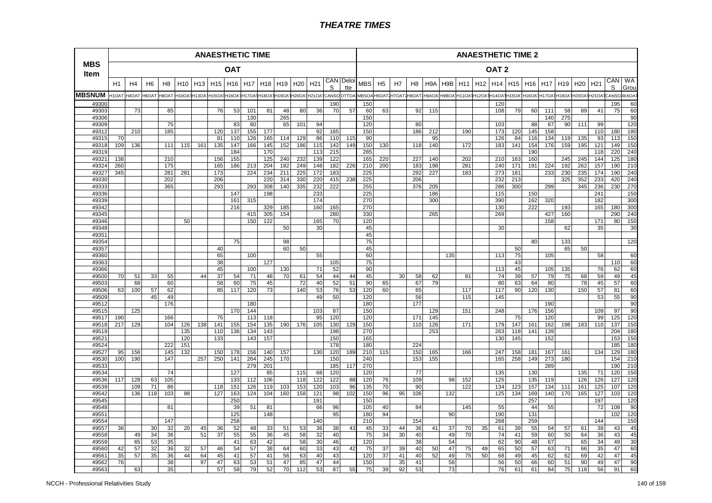|                           |     | <b>ANAESTHETIC TIME</b> |                |                |                 |                 |                 |                 |                                                                         |            |                                 |                                 |            |                       |                 |            |                |           |                |                  |                                                                                                     |                 | <b>ANAESTHETIC TIME 2</b> |                  |                 |            |                                                 |          |                 |                 |             |                 |
|---------------------------|-----|-------------------------|----------------|----------------|-----------------|-----------------|-----------------|-----------------|-------------------------------------------------------------------------|------------|---------------------------------|---------------------------------|------------|-----------------------|-----------------|------------|----------------|-----------|----------------|------------------|-----------------------------------------------------------------------------------------------------|-----------------|---------------------------|------------------|-----------------|------------|-------------------------------------------------|----------|-----------------|-----------------|-------------|-----------------|
| <b>MBS</b><br><b>Item</b> |     |                         |                |                |                 |                 |                 | <b>OAT</b>      |                                                                         |            |                                 |                                 |            |                       |                 |            |                |           |                |                  |                                                                                                     |                 |                           | OAT <sub>2</sub> |                 |            |                                                 |          |                 |                 |             |                 |
|                           | H1  | H <sub>4</sub>          | H <sub>6</sub> | H <sub>8</sub> | H <sub>10</sub> | H <sub>13</sub> | H <sub>15</sub> | H <sub>16</sub> | H <sub>17</sub>                                                         |            | H <sub>18</sub> H <sub>19</sub> | H <sub>20</sub> H <sub>21</sub> |            | <b>CAN</b> Deloi<br>c | tte             | <b>MBS</b> | H <sub>5</sub> | <b>H7</b> | H <sub>8</sub> | H <sub>9</sub> A | H <sub>9</sub> B                                                                                    | H <sub>11</sub> | $H12$ H <sub>14</sub>     |                  | H <sub>15</sub> |            | H <sub>16</sub> H <sub>17</sub> H <sub>19</sub> |          | H <sub>20</sub> | H <sub>21</sub> | CAN WA<br>S | Grou            |
| <b>MBSNUM</b>             |     | H1OAT H4OAT H6OAT       |                |                |                 |                 |                 |                 | H8OAT H10OATH13OATH15OATH16OATH17OATH18OATH19OATH20OATH21OATCANSO DTTOA |            |                                 |                                 |            |                       |                 |            |                |           |                |                  | 800 MD3041450AT2H7OAT1H8OAT1H9AOA H9BOA H11OATH12OATH14OATH15OATH16OATH17OATH19OATH20OATH21OATCANSO |                 |                           |                  |                 |            |                                                 |          |                 |                 |             |                 |
| 49300                     |     |                         |                |                |                 |                 |                 |                 |                                                                         |            |                                 |                                 |            | 190                   |                 | 150        |                |           |                |                  |                                                                                                     |                 |                           | 120              |                 |            |                                                 |          |                 |                 | 195         | 60              |
| 49303                     |     | 73                      |                | 85             |                 |                 | 76              | 53              | 101                                                                     | 81         | 48                              | 80                              | 36         | 70                    | 57              | 60         | 63             |           | 92             | 115              |                                                                                                     |                 |                           | 108              | 79              | 60         | 111                                             | 58       | 89              | 41              | 75          | 60              |
| 49306                     |     |                         |                |                |                 |                 |                 |                 | 130                                                                     |            | 265                             |                                 |            |                       |                 | 150        |                |           |                |                  |                                                                                                     |                 |                           |                  |                 |            | 140                                             | 275      |                 |                 |             | 90              |
| 49309                     |     | 210                     |                | 75             |                 |                 | 120             | 83              | 80                                                                      |            | 65                              | 101                             | 94         |                       |                 | 120        |                |           | 80<br>186      |                  |                                                                                                     | 190             |                           | 103              | 120             | 88         | 87                                              | 90       | 111             | 99<br>110       |             | 120             |
| 49312<br>49315            | 70  |                         |                | 185            |                 |                 | 81              | 137<br>110      | 155<br>126                                                              | 177<br>165 | 114                             | 129                             | 92<br>86   | 165<br>110            | 115             | 150<br>90  |                |           |                | 212<br>95        |                                                                                                     |                 |                           | 173<br>126       | 84              | 145<br>116 | 158<br>134                                      | 119      | 135             | 93              | 180<br>113  | 180<br>150      |
| 49318                     | 109 | 136                     |                | 111            | 115             | 161             | 135             | 147             | 166                                                                     | 145        | 152                             | 186                             | 115        | 142                   | 149             | 150        | 130            |           | 118            | 140              |                                                                                                     | 172             |                           | 183              | 141             | 154        | 176                                             | 159      | 195             | 121             | 149         | 150             |
| 49319                     |     |                         |                |                |                 |                 |                 | 184             |                                                                         | 170        |                                 |                                 | 113        | 215                   |                 | 285        |                |           |                |                  |                                                                                                     |                 |                           |                  |                 | 190        |                                                 |          |                 | 118             | 220         | 240             |
| 49321                     | 138 |                         |                | 210            |                 |                 | 156             | 155             |                                                                         | 125        | 240                             | 232                             | 139        | 122                   |                 | 165        | 220            |           | 227            | 140              |                                                                                                     | 202             |                           | 210              | 163             | 160        |                                                 | 245      | 245             | 144             | 125         | 180             |
| 49324                     | 260 |                         |                | 175            |                 |                 | 165             | 186             | 213                                                                     | 204        | 182                             | 249                             | 148        | 182                   | 226             | 210        | 200            |           | 183            | 198              |                                                                                                     | 281             |                           | 240              | 171             | 191        | 224                                             | 192      | 262             | 157             | 190         | 210             |
| 49327                     | 345 |                         |                | 281            | 281             |                 | 173             |                 | 224                                                                     | 234        | 211                             | 225                             | 172        | 183                   |                 | 225        |                |           | 292            | 227              |                                                                                                     | 183             |                           | 273              | 181             |            | 233                                             | 230      | 235             | 174             | 190         | 240             |
| 49330<br>49333            |     |                         |                | 202<br>365     |                 |                 | 206<br>293      |                 | 293                                                                     | 220<br>308 | 314<br>140                      | 330<br>335                      | 220<br>232 | 415<br>222            | 238             | 225<br>255 |                |           | 206<br>376     | 205              |                                                                                                     |                 |                           | 232<br>286       | 213<br>300      |            | 299                                             | 325      | 352<br>345      | 233<br>236      | 420<br>230  | 240<br>270      |
| 49336                     |     |                         |                |                |                 |                 |                 | 147             |                                                                         | 198        |                                 |                                 | 233        |                       |                 | 225        |                |           |                | 186              |                                                                                                     |                 |                           | 115              |                 | 150        |                                                 |          |                 | 241             |             | 150             |
| 49339                     |     |                         |                |                |                 |                 |                 | 161             | 315                                                                     |            |                                 |                                 | 174        |                       |                 | 270        |                |           |                | 300              |                                                                                                     |                 |                           | 390              |                 | 162        | 320                                             |          |                 | 182             |             | 300             |
| 49342                     |     |                         |                |                |                 |                 |                 | 216             |                                                                         | 329        | 185                             |                                 | 160        | 165                   |                 | 270        |                |           |                |                  |                                                                                                     |                 |                           | 130              |                 | 222        |                                                 | 193      |                 | 165             | 180         | 300             |
| 49345                     |     |                         |                |                |                 |                 |                 |                 | 415                                                                     | 305        | 154                             |                                 |            | 280                   |                 | 330        |                |           |                | 265              |                                                                                                     |                 |                           | 269              |                 |            | 427                                             | 160      |                 |                 | 290         | 240             |
| 49346                     |     |                         |                |                | 50              |                 |                 |                 | 150                                                                     | 122        |                                 |                                 | 165        | 70                    |                 | 120        |                |           |                |                  |                                                                                                     |                 |                           |                  |                 |            | 158                                             |          |                 | 171             | 80          | 150             |
| 49348                     |     |                         |                |                |                 |                 |                 |                 |                                                                         |            | 50                              |                                 | 30         |                       |                 | 45         |                |           |                |                  |                                                                                                     |                 |                           | 30               |                 |            |                                                 | 62       |                 | 35              |             | 30              |
| 49351<br>49354            |     |                         |                |                |                 |                 |                 | 75              |                                                                         |            | 98                              |                                 |            |                       |                 | 45<br>75   |                |           |                |                  |                                                                                                     |                 |                           |                  |                 | 80         |                                                 | 133      |                 |                 |             | 120             |
| 49357                     |     |                         |                |                |                 |                 | 40              |                 |                                                                         |            | 60                              | 50                              |            |                       |                 | 45         |                |           |                |                  |                                                                                                     |                 |                           |                  | 50              |            |                                                 | 65       | 50              |                 |             |                 |
| 49360                     |     |                         |                |                |                 |                 | 65              |                 | 100                                                                     |            |                                 |                                 | 55         |                       |                 | 60         |                |           |                |                  | 135                                                                                                 |                 |                           | 113              | 75              |            | 105                                             |          |                 | 58              |             | 60              |
| 49363                     |     |                         |                |                |                 |                 | 38              |                 |                                                                         | 127        |                                 |                                 |            | 105                   |                 | 75         |                |           |                |                  |                                                                                                     |                 |                           |                  | 43              |            |                                                 |          |                 |                 | 110         | 60              |
| 49366                     |     |                         |                |                |                 |                 | 45              |                 | 100                                                                     |            | 130                             |                                 | 71         | 52                    |                 | 90         |                |           |                |                  |                                                                                                     |                 |                           | 113              | 45              |            | 105                                             | 135      |                 | 76              | 62          | 60              |
| 49500                     | 70  | 51                      | 33             | 55             |                 | 44              | 37              | 54              | 71                                                                      | 48         | 70                              | 61                              | 54         | 44                    | 44              | 45         |                | 30        | 58             | 62               |                                                                                                     | 81              |                           | 74               | 39              | 57         | 79                                              | 75       | 68              | 59              | 49          | 45              |
| 49503                     |     | 68                      |                | 60             |                 |                 | 58              | 60              | 75                                                                      | 45         |                                 | 72                              | 40         | 52                    | 51              | 90         | 65             |           | 67             | 79               |                                                                                                     |                 |                           | 80               | 63              | 64         | 80                                              |          | 78              | 45              | 57          | 60              |
| 49506<br>49509            | 63  | 100                     | 57<br>45       | 62<br>49       |                 |                 | 85              | 117             | 120                                                                     | 73         |                                 | 140                             | 53<br>49   | 76<br>50              | 53              | 120<br>120 | 60             |           | 65<br>56       |                  |                                                                                                     | 117<br>115      |                           | 117<br>145       | 90              | 120        | 130                                             |          | 150             | 57<br>53        | 81<br>55    | 60<br>90        |
| 49512                     |     |                         |                | 176            |                 |                 |                 |                 | 180                                                                     |            |                                 |                                 |            |                       |                 | 180        |                |           | 177            |                  |                                                                                                     |                 |                           |                  |                 |            | 190                                             |          |                 |                 |             | 90              |
| 49515                     |     | 125                     |                |                |                 |                 |                 | 170             | 144                                                                     |            |                                 |                                 | 103        | 87                    |                 | 150        |                |           |                | 129              |                                                                                                     | 151             |                           | 248              |                 | 176        | 156                                             |          |                 | 109             | 97          | 90              |
| 49517                     | 190 |                         |                | 166            |                 |                 | 75              |                 | 113                                                                     | 118        |                                 |                                 | 95         | 120                   |                 | 120        |                |           | 171            | 145              |                                                                                                     |                 |                           |                  | 75              |            | 120                                             |          |                 | 99              | 125         | 120             |
| 49518                     | 217 | 129                     |                | 104            | 126             | 138             | 141             | 155             | 154                                                                     | 135        | 190                             | 176                             | 105        | 130                   | 12 <sup>c</sup> | 150        |                |           | 110            | 126              |                                                                                                     | 171             |                           | 179              | 147             | 161        | 162                                             | 198      | 183             | 110             | 137         | 150             |
| 49519                     |     |                         |                |                | 135             |                 | 110             | 136             | 134                                                                     | 143        |                                 |                                 |            | 198                   |                 | 270        |                |           |                | 253              |                                                                                                     |                 |                           | 263              | 118             | 141        | 139                                             |          |                 |                 | 204         | 180             |
| 49521                     |     |                         |                | 222            | 120             |                 | 133             |                 | 143                                                                     | 157        |                                 |                                 |            | 150                   |                 | 165        |                |           | 224            |                  |                                                                                                     |                 |                           | 130              | 145             |            | 152                                             |          |                 |                 | 153         | 150             |
| 49524<br>49527            | 95  | 156                     |                | 145            | 151<br>132      |                 | 150             | 178             | 156                                                                     | 140        | 157                             |                                 | 130        | 178<br>120            | 189             | 180<br>210 | 115            |           | 150            | 165              |                                                                                                     | 166             |                           | 247              | 158             | 181        | 167                                             | 161      |                 | 134             | 185<br>129  | 180<br>180      |
| 49530                     | 100 | 190                     |                | 147            |                 | 257             | 250             | 141             | 264                                                                     | 245        | 170                             |                                 |            | 150                   |                 | 240        |                |           | 153            | 155              |                                                                                                     |                 |                           | 165              | 258             | 149        | 273                                             | 180      |                 |                 | 154         | 210             |
| 49533                     |     |                         |                |                |                 |                 |                 |                 | 279                                                                     | 201        |                                 |                                 |            | 185                   | 117             | 270        |                |           |                |                  |                                                                                                     |                 |                           |                  |                 |            | 289                                             |          |                 |                 | 190         | 210             |
| 49534                     |     |                         |                | 74             |                 |                 |                 | 127             |                                                                         | 85         |                                 | 115                             | 68         | 120                   |                 | 120        |                |           | 77             |                  |                                                                                                     |                 |                           | 135              |                 | 130        |                                                 |          | 135             | 71              | 120         | 150             |
| 49536                     | 117 | 128                     | 63             | 105            |                 |                 |                 | 133             | 112                                                                     | 106        |                                 | 118                             | 122        | 122                   | 88              | 120        | 76             |           | 109            |                  | 98                                                                                                  | 152             |                           | 125              |                 | 135        | 119                                             |          | 126             | 126             | 127         | 120             |
| 49539                     |     | 109                     | 71             | 86             |                 |                 | 118             | 151             | 126                                                                     | 119        | 103                             | 153                             | 120        | 103                   | 96              | 135        | 70             |           | 90             |                  |                                                                                                     | 122             |                           | 134              | 123             | 157        | 134                                             | 111      | 161             | 125             | 107         | 120             |
| 49542                     |     | 136                     | 118            | 103            | 88              |                 | 127             | 163             | 124                                                                     | 104        | 160                             | 158                             | 121        | 98                    | 102             | 150        | 96             | 95        | 106            |                  | 132                                                                                                 |                 |                           | 125              | 134             | 169        | 140                                             | 170      | 165             | 127             | 103         | 120             |
| 49545<br>49548            |     |                         |                | 81             |                 |                 |                 | 250<br>39       | 51                                                                      | 81         |                                 |                                 | 191<br>66  | 96                    |                 | 150<br>105 | 40             |           | 84             |                  |                                                                                                     | 145             |                           | 55               |                 | 257<br>44  | 55                                              |          |                 | 197<br>72       | 108         | 120<br>90       |
| 49551                     |     |                         |                |                |                 |                 |                 | 125             |                                                                         | 148        |                                 |                                 |            | 95                    |                 | 180        | 94             |           |                |                  | 90                                                                                                  |                 |                           | 190              |                 | 131        |                                                 |          |                 |                 | 102         | 120             |
| 49554                     |     |                         |                | 147            |                 |                 |                 | 258             |                                                                         |            |                                 |                                 | 140        |                       |                 | 210        |                |           | 154            |                  |                                                                                                     |                 |                           | 268              |                 | 259        |                                                 |          |                 | 144             |             | 150             |
| 49557                     | 36  |                         | 30             | 32             | 20              | 45              | 36              | 52              | 48                                                                      | 33         | 51                              | 53                              | 36         | 38                    | 43              | 45         | 33             | 44        | 36             | 41               | 37                                                                                                  | 70              | 35                        | 61               | 39              | 55         | 54                                              | 57       | 61              | 38              | 43          | 45              |
| 49558                     |     | 49                      | 34             | 36             |                 | 51              | 37              | 55              | 55                                                                      | 36         | 45                              | 58                              | 32         | 40                    |                 | 75         | 34             | 30        | 40             |                  | 49                                                                                                  | 70              |                           | 74               | 41              | 59         | 60                                              | 50       | 64              | 36              | 43          | $\frac{45}{30}$ |
| 49559                     |     | 65                      | 53             | 35             |                 |                 |                 | 41              | 63                                                                      | 42         |                                 | 58                              | 30         | 46                    |                 | 120        |                |           | 38             |                  | 54                                                                                                  |                 |                           | 62               | 90              | 48         | 67                                              |          | 65              | 34              | 49          |                 |
| 49560                     | 42  | 57                      | 32             | 36             | 32              | 57              | 46              | 54              | 57                                                                      | 38         | 64                              | 60                              | 33         | 43                    | 42              | 75         | 37             | 39        | 40             | 50               | 47                                                                                                  | 75              | 49                        | 65               | 50              | 57         | 63                                              | 71       | 66              | 35              | 47          | 60              |
| 49561                     | 35  | 57                      | 35             | 36             | 44              | 64              | 45              | 41              | 57                                                                      | 41         | 56                              | 63                              | 40         | 43                    |                 | 120        | 37             | 41        | 40             | 52               | 49                                                                                                  | 75              | 50                        | 68               | 49              | 45         | 62                                              | 62       | 69              | 42              | 47          | 45              |
| 49562<br>49563            | 76  | 63                      |                | 38<br>35       |                 | 97              | 47<br>57        | 63<br>58        | 53<br>79                                                                | 51<br>52   | 47<br>70                        | 85<br>112                       | 47<br>53   | 44<br>87              | 55              | 150<br>75  | 39             | 35<br>92  | 41<br>53       |                  | 58<br>73                                                                                            |                 |                           | 56<br>76         | 50<br>61        | 66<br>61   | 60<br>84                                        | 51<br>75 | 90<br>118       | 49<br>56        | 47<br>91    | 90<br>60        |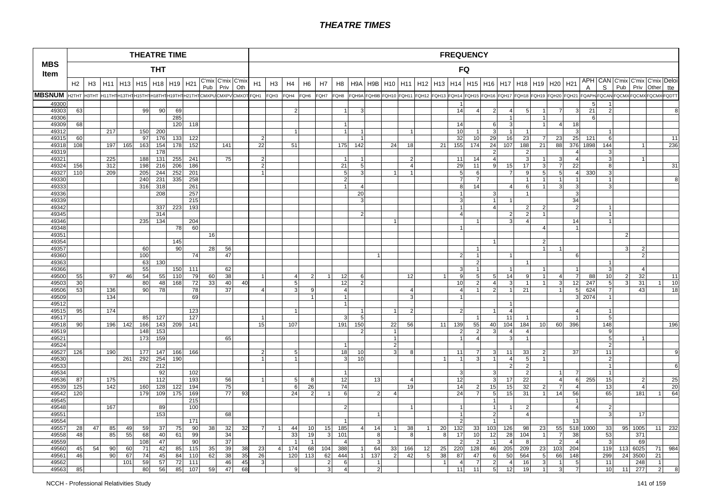|                    |     |                |     |     |            | <b>THEATRE TIME</b>                                                             |            |            |                          |                 |          |                |                |                                   |                 |                      |                                                       |                      |                |                 |                | <b>FREQUENCY</b>                                                |                      |                             |                      |                                  |                         |                         |                     |                                 |                                                                                                                     |                                     |
|--------------------|-----|----------------|-----|-----|------------|---------------------------------------------------------------------------------|------------|------------|--------------------------|-----------------|----------|----------------|----------------|-----------------------------------|-----------------|----------------------|-------------------------------------------------------|----------------------|----------------|-----------------|----------------|-----------------------------------------------------------------|----------------------|-----------------------------|----------------------|----------------------------------|-------------------------|-------------------------|---------------------|---------------------------------|---------------------------------------------------------------------------------------------------------------------|-------------------------------------|
| <b>MBS</b><br>Item |     |                |     |     |            | <b>THT</b>                                                                      |            |            |                          |                 |          |                |                |                                   |                 |                      |                                                       |                      |                |                 |                | <b>FQ</b>                                                       |                      |                             |                      |                                  |                         |                         |                     |                                 |                                                                                                                     |                                     |
|                    | H2  | H <sub>3</sub> | H11 |     |            | H <sub>13</sub> H <sub>15</sub> H <sub>18</sub> H <sub>19</sub> H <sub>21</sub> |            |            | C'mix C'mix C'mix<br>Pub | Priv            | Oth      | H1             | H <sub>3</sub> | H <sub>4</sub>                    | H <sub>6</sub>  | H7<br>H <sub>8</sub> | H9A                                                   | H9B H10 H11          |                |                 |                | H <sub>12</sub> H <sub>13</sub> H <sub>14</sub> H <sub>15</sub> |                      |                             |                      |                                  | H16 H17 H18 H19 H20 H21 |                         |                     | S<br>A                          | APH   CAN   C'mix   C'mix   C'mix   Deloi<br>Pub Priv Other tte                                                     |                                     |
| <b>MBSNUM</b>      |     |                |     |     |            |                                                                                 |            |            |                          |                 |          |                |                |                                   |                 | FQH6 FQH7 FQH8       |                                                       |                      |                |                 |                |                                                                 |                      |                             |                      |                                  |                         |                         |                     |                                 | FQH9A FQH9B FQH10 FQH11 FQH12 FQH13 FQH14 FQH15 FQH16 FQH17 FQH18 FQH19 FQH20 FQH21 FQAPH FQCANFQCMXFQCMXFQCMXFQCMX |                                     |
| 49300              |     |                |     |     |            |                                                                                 |            |            |                          |                 |          |                |                |                                   |                 |                      |                                                       |                      |                |                 |                |                                                                 |                      |                             |                      |                                  |                         |                         |                     | 5<br>$\overline{1}$             |                                                                                                                     |                                     |
| 49303              | 63  |                |     |     | 99         | 90                                                                              | 69         |            |                          |                 |          |                |                | $\overline{2}$                    |                 |                      | 3 <sup>1</sup><br>1                                   |                      |                |                 |                | 14                                                              | $\vert$ 4            | $2 \mid$                    | $\overline{4}$       | 5                                | 11                      | $\overline{7}$          | $\mathbf{3}$        | 21<br>2                         |                                                                                                                     | 8                                   |
| 49306              |     |                |     |     |            |                                                                                 | 285        |            |                          |                 |          |                |                |                                   |                 |                      |                                                       |                      |                |                 |                |                                                                 |                      |                             | 1                    |                                  | 1                       |                         |                     | 6                               |                                                                                                                     |                                     |
| 49309              | 68  |                |     |     |            |                                                                                 | 120        | 118        |                          |                 |          |                |                |                                   |                 |                      | 1                                                     |                      |                |                 |                | 14                                                              |                      | $6 \mid$                    | $\mathbf{3}$         |                                  | 1                       | $\vert 4 \vert$         | 18                  |                                 |                                                                                                                     |                                     |
| 49312<br>49315     | 60  |                | 217 |     | 150<br>97  | 200<br>176                                                                      | 133        | 122        |                          |                 |          | $\overline{2}$ |                | $\overline{1}$                    |                 |                      | 1<br>$\mathbf{1}$<br>1                                |                      | $\overline{1}$ |                 |                | 10<br>32                                                        | $\vert$ 1<br>10      | 3 <sup>1</sup><br>29        | 1<br>16              | 23                               | 7 <sup>1</sup>          | 23                      | 25                  | $\overline{1}$<br>$\,$ 6<br>121 |                                                                                                                     | 11                                  |
| 49318              | 108 |                | 197 | 165 | 163        | 154                                                                             | 178        | 152        |                          | 141             |          | 22             |                | 51                                |                 | 175                  | 142                                                   | 24                   | 18             |                 | 21             | 155                                                             | 174                  | 24                          | 107                  | 188                              | 21                      | 88                      | 376                 | 1898<br>144                     | 1                                                                                                                   | 236                                 |
| 49319              |     |                |     |     |            | 178                                                                             |            |            |                          |                 |          |                |                |                                   |                 |                      |                                                       |                      |                |                 |                |                                                                 |                      | $\overline{2}$              |                      | $\overline{2}$                   |                         |                         |                     | $\mathbf{3}$                    |                                                                                                                     |                                     |
| 49321              |     |                | 225 |     | 188        | 131                                                                             | 255        | 241        |                          | 75              |          | 2 <sup>1</sup> |                |                                   |                 |                      | 11<br>$\mathbf 1$                                     |                      | $\overline{2}$ |                 |                | 11                                                              | 14                   | $\overline{4}$              |                      | $\mathbf{3}$                     | 1                       | $\overline{3}$          | $\overline{4}$      | 3                               | $\vert$                                                                                                             |                                     |
| 49324              | 156 |                | 312 |     | 198        | 216                                                                             | 206        | 186        |                          |                 |          | 2 <sup>1</sup> |                |                                   |                 | 21                   | 5 <sup>1</sup>                                        |                      | $\overline{4}$ |                 |                | 29                                                              | 11                   | 9                           | 15                   | 17                               | 3 <sup>1</sup>          | $\overline{7}$          | 22                  | 8                               |                                                                                                                     | 31                                  |
| 49327              | 110 |                | 209 |     | 205        | 244                                                                             | 252        | 201        |                          |                 |          | 1              |                |                                   |                 |                      | 5 <sub>5</sub><br>3 <sup>1</sup>                      | $\mathbf{1}$         |                |                 |                | 5 <sub>l</sub>                                                  | 6                    |                             | $\overline{7}$       | 9                                | 5 <sub>l</sub>          | 5 <sub>l</sub>          | $\vert$ 4           | 330<br>$\mathbf{3}$             |                                                                                                                     |                                     |
| 49330              |     |                |     |     | 240        | 231                                                                             | 335        | 258        |                          |                 |          |                |                |                                   |                 |                      | $\overline{2}$                                        |                      |                |                 |                | 7 <sup>1</sup>                                                  | $\overline{7}$       |                             |                      | $\overline{1}$                   | 1 <sup>1</sup>          | 1 <sup>1</sup>          | $\overline{1}$      | 1                               |                                                                                                                     | 8                                   |
| 49333<br>49336     |     |                |     |     | 316        | 318<br>208                                                                      |            | 261<br>257 |                          |                 |          |                |                |                                   |                 |                      | 1<br>$\overline{4}$<br>20                             |                      |                |                 |                | 8 <sup>1</sup><br>1                                             | 14                   | $\mathbf{3}$                | 4                    | 6<br>$\overline{1}$              | 1 <sup>1</sup>          | 3                       | 3<br>3              | $\mathbf{3}$                    |                                                                                                                     |                                     |
| 49339              |     |                |     |     |            |                                                                                 |            | 215        |                          |                 |          |                |                |                                   |                 |                      | 3                                                     |                      |                |                 |                | 3 <sup>1</sup>                                                  |                      | 1 <sup>1</sup>              | 1                    |                                  |                         |                         | 34                  |                                 |                                                                                                                     |                                     |
| 49342              |     |                |     |     |            | 337                                                                             | 223        | 193        |                          |                 |          |                |                |                                   |                 |                      |                                                       |                      |                |                 |                | $\mathbf{1}$                                                    |                      | $\overline{4}$              |                      | $\overline{2}$                   | $\overline{2}$          |                         | 2                   | $\mathbf{1}$                    |                                                                                                                     |                                     |
| 49345              |     |                |     |     |            | 314                                                                             |            |            |                          |                 |          |                |                |                                   |                 |                      | $\overline{2}$                                        |                      |                |                 |                | 4 <sup>1</sup>                                                  |                      |                             | $\overline{2}$       | $\overline{2}$                   | 1                       |                         |                     | 1                               |                                                                                                                     |                                     |
| 49346              |     |                |     |     | 235        | 134                                                                             |            | 204        |                          |                 |          |                |                |                                   |                 |                      |                                                       | $\overline{1}$       |                |                 |                |                                                                 |                      |                             | $\overline{3}$       | $\overline{4}$                   |                         |                         | 14                  | $\mathbf{1}$                    |                                                                                                                     |                                     |
| 49348              |     |                |     |     |            |                                                                                 | 78         | 60         |                          |                 |          |                |                |                                   |                 |                      |                                                       |                      |                |                 |                | 1                                                               |                      |                             |                      |                                  | $\overline{4}$          |                         | $\overline{1}$      |                                 |                                                                                                                     |                                     |
| 49351              |     |                |     |     |            |                                                                                 |            |            | 16                       |                 |          |                |                |                                   |                 |                      |                                                       |                      |                |                 |                |                                                                 |                      |                             |                      |                                  |                         |                         |                     |                                 | $\overline{2}$                                                                                                      |                                     |
| 49354<br>49357     |     |                |     |     | 60         |                                                                                 | 145<br>90  |            | 28                       | 56              |          |                |                |                                   |                 |                      |                                                       |                      |                |                 |                |                                                                 |                      | 11                          |                      |                                  | $\overline{2}$<br>1     | $\overline{1}$          |                     |                                 | $\overline{2}$<br>$\mathbf{3}$                                                                                      |                                     |
| 49360              |     |                |     |     | 100        |                                                                                 |            | 74         |                          | 47              |          |                |                |                                   |                 |                      | 11                                                    |                      |                |                 |                | 2                                                               |                      |                             | $\mathbf{1}$         |                                  |                         |                         | 6                   |                                 | 2 <sup>1</sup>                                                                                                      |                                     |
| 49363              |     |                |     |     | 63         | 130                                                                             |            |            |                          |                 |          |                |                |                                   |                 |                      |                                                       |                      |                |                 |                |                                                                 | 2                    |                             |                      |                                  |                         |                         |                     | $\mathbf{1}$                    |                                                                                                                     |                                     |
| 49366              |     |                |     |     | 55         |                                                                                 | 150        | 111        |                          | 62              |          |                |                |                                   |                 |                      |                                                       |                      |                |                 |                | 3 <sup>1</sup>                                                  |                      |                             | $\mathbf{1}$         |                                  | 1                       |                         |                     | 3                               | $\overline{4}$                                                                                                      |                                     |
| 49500              | 55  |                | 97  | 46  | 54         | 55                                                                              | 110        | 79         | 60                       | 38              |          | 1 <sup>1</sup> |                | $\overline{4}$                    | $2 \vert$       | 1<br>12              | 6 <sup>1</sup>                                        |                      | 12             |                 | $\mathbf{1}$   | 9                                                               | 5 <sub>5</sub>       | 5 <sub>1</sub>              | 14                   | 9                                | 1                       | $\overline{\mathbf{A}}$ | $\overline{7}$      | 10<br>88                        | 32<br>$\overline{2}$                                                                                                | 11                                  |
| 49503              | 30  |                |     |     | 80         | 48                                                                              | 168        | 72         | 33                       | 40              | 40       |                |                | $5\phantom{.0}$                   |                 | 12                   | 2 <sup>1</sup>                                        |                      |                |                 |                | 10                                                              | $\overline{2}$       | $\vert$ 4                   | $\mathbf{3}$         | $\overline{1}$                   | 1                       | 3 <sup>1</sup>          | 12                  | 247<br>5 <sub>l</sub>           | $\mathbf{3}$<br>31                                                                                                  | 10<br>1                             |
| 49506              | 53  |                | 136 |     | 90         | 78                                                                              |            | 78         |                          | 37              |          | $\vert$        |                | $\overline{3}$                    | 9 <sup>1</sup>  |                      | $\overline{4}$                                        |                      | $\overline{4}$ |                 |                | 4 <sup>1</sup>                                                  | $\mathbf{1}$         | $\overline{2}$              | 1                    | 21                               |                         | 1 <sup>1</sup>          | 5                   | 624<br>$\overline{7}$           | 43                                                                                                                  | 18                                  |
| 49509<br>49512     |     |                | 134 |     |            |                                                                                 |            | 69         |                          |                 |          |                |                |                                   | 1 <sup>1</sup>  |                      | 1<br>1                                                |                      | 3              |                 |                | $\mathbf{1}$                                                    |                      |                             | $\mathbf{1}$         |                                  |                         |                         |                     | 3 2074<br>$\mathbf{1}$          |                                                                                                                     |                                     |
| 49515              | 95  |                | 174 |     |            |                                                                                 |            | 123        |                          |                 |          |                |                | $\overline{1}$                    |                 |                      |                                                       | $\mathbf{1}$         | $\overline{2}$ |                 |                | 2 <sup>1</sup>                                                  |                      | 1 <sup>1</sup>              | $\overline{4}$       |                                  |                         |                         | $\overline{4}$      | $\mathbf{1}$                    |                                                                                                                     |                                     |
| 49517              |     |                |     |     | 85         | 127                                                                             |            | 127        |                          |                 |          | $\vert$        |                |                                   |                 |                      | $\mathbf{3}$<br>5                                     |                      |                |                 |                |                                                                 |                      |                             | 11                   |                                  |                         |                         |                     | 5                               |                                                                                                                     |                                     |
| 49518              | 90  |                | 196 | 142 | 166        | 143                                                                             | 209        | 141        |                          |                 |          | 15             |                | 107                               |                 | 191                  | 150                                                   | 22                   | 56             |                 | 11             | 139                                                             | 55                   | 40                          | 104                  | 184                              | 10                      | 60                      | 396                 | 148                             |                                                                                                                     | 196                                 |
| 49519              |     |                |     |     | 148        | 153                                                                             |            |            |                          |                 |          |                |                |                                   |                 |                      | $\overline{2}$                                        | $\overline{1}$       |                |                 |                | $\overline{2}$                                                  | $\overline{2}$       | $\mathbf{3}$                | $\overline{4}$       | $\overline{4}$                   |                         |                         |                     | 9                               |                                                                                                                     |                                     |
| 49521              |     |                |     |     | 173        | 159                                                                             |            |            |                          | 65              |          |                |                |                                   |                 |                      |                                                       | $\mathbf{1}$         |                |                 |                | 1 <sup>1</sup>                                                  | $\overline{4}$       |                             | $\overline{3}$       | $\overline{1}$                   |                         |                         |                     | $\sqrt{5}$                      | 1                                                                                                                   |                                     |
| 49524              |     |                |     |     |            |                                                                                 |            |            |                          |                 |          |                |                |                                   |                 |                      |                                                       | 2                    |                |                 |                |                                                                 |                      |                             |                      |                                  |                         |                         |                     | $\overline{2}$                  |                                                                                                                     |                                     |
| 49527<br>49530     | 126 |                | 190 | 261 | 177<br>292 | 147<br>254                                                                      | 166<br>190 | 166        |                          |                 |          | $2 \vert$<br>1 |                | $5\phantom{.0}$<br>$\overline{1}$ |                 | 18                   | 10 <sup>1</sup><br>3 <sup>l</sup><br>10               | 3 <sup>1</sup>       | 8              |                 | $\vert$        | 11                                                              | 7<br>$\overline{3}$  | 3 <sup>1</sup><br>1         | 11<br>$\overline{4}$ | 33<br>5                          | 2 <br>1                 |                         | 37                  | 11<br>$\overline{2}$            |                                                                                                                     | -9                                  |
| 49533              |     |                |     |     |            | 212                                                                             |            |            |                          |                 |          |                |                |                                   |                 |                      |                                                       |                      |                |                 |                |                                                                 |                      |                             | $\overline{2}$       | $\overline{2}$                   |                         |                         |                     | $\mathbf{1}$                    |                                                                                                                     | 6                                   |
| 49534              |     |                |     |     |            | 92                                                                              |            | 102        |                          |                 |          |                |                |                                   |                 |                      |                                                       |                      |                |                 |                | 3 <sup>l</sup>                                                  |                      | 3 <sup>1</sup>              |                      | $\overline{2}$                   |                         | $\blacktriangleleft$    | $\overline{7}$      | $\mathbf{1}$                    |                                                                                                                     |                                     |
| 49536              | 87  |                | 175 |     |            | 112                                                                             |            | 193        |                          | 56              |          | $\mathbf{1}$   |                | 5                                 | 8 <sup>1</sup>  | 12                   | 13                                                    |                      | $\overline{4}$ |                 |                | 12                                                              |                      | 3 <sup>1</sup>              | 17                   | 22                               |                         | 4 <sup>1</sup>          | $6 \mid$            | 255<br>15                       | 2 <sup>1</sup>                                                                                                      | 25                                  |
| 49539              | 125 |                | 142 |     | 160        | 128                                                                             | 122        | 194        |                          | 75              |          |                |                | 6                                 | 26              | 74                   |                                                       |                      | 19             |                 |                | 14                                                              | $\overline{2}$       | 15                          | 15                   | 32                               | $\overline{2}$          | $\overline{7}$          | $\overline{4}$      | 13                              | $\overline{4}$                                                                                                      | 20                                  |
| 49542              | 120 |                |     |     | 179        | 109                                                                             | 175        | 169        |                          | 77              | 93       |                |                | 24                                | $\overline{2}$  |                      | 6                                                     | 2 <br>$\overline{4}$ |                |                 |                | 24                                                              | $\overline{7}$       | 5 <sub>1</sub>              | 15                   | 31                               | 1 <sup>1</sup>          | 14                      | 56                  | 65                              | 181                                                                                                                 | 64<br>$\mathbf{1}$                  |
| 49545              |     |                |     |     |            |                                                                                 |            | 215        |                          |                 |          |                |                |                                   |                 |                      |                                                       |                      |                |                 |                |                                                                 |                      | $\mathbf{1}$                |                      |                                  |                         |                         | $\overline{1}$      |                                 |                                                                                                                     |                                     |
| 49548<br>49551     |     |                | 167 |     |            | 89<br>153                                                                       |            | 100        |                          | 68              |          |                |                |                                   |                 |                      | $\overline{2}$<br>1                                   |                      |                |                 |                | $\mathbf{1}$                                                    |                      | 1<br>2                      | $\mathbf{1}$         | $\overline{2}$<br>$\overline{4}$ |                         |                         | $\overline{4}$      | $\overline{c}$<br>3             | 17                                                                                                                  |                                     |
| 49554              |     |                |     |     |            |                                                                                 |            | 171        |                          |                 |          |                |                |                                   |                 |                      |                                                       |                      |                |                 |                | $\overline{2}$                                                  |                      | 1                           |                      |                                  |                         |                         | 13                  |                                 |                                                                                                                     |                                     |
| 49557              | 28  | 47             | 85  | 49  | 59         | 37                                                                              | 75         | 90         | 38                       | 32              | 32       | $\overline{7}$ | $\vert$ 1      | 44                                | 10 <sup>1</sup> | 185<br>15            | 14<br>$\vert$                                         | $\mathbf{1}$         | 38             | 1               | 20             | 132                                                             | 33                   | 103                         | 126                  | 98                               | 23                      | 55                      |                     | 518 1000<br>33                  | 95 1005                                                                                                             | 11 232                              |
| 49558              | 48  |                | 85  | 55  | 68         | 40                                                                              | 61         | 99         |                          | 34              |          |                |                | 33                                | 19              | $\mathbf{3}$<br>101  | 8 <sup>1</sup>                                        |                      | 8              |                 | 8              | 17                                                              | 10                   | 12                          | 28                   | 104                              | 1                       | $\overline{7}$          | 38                  | 53                              | 371                                                                                                                 |                                     |
| 49559              |     |                |     |     | 108        | 47                                                                              |            | 90         |                          | $\overline{37}$ |          |                |                |                                   | 1 <sup>1</sup>  |                      | 3 <sup>1</sup><br>$\overline{4}$                      |                      |                |                 |                | 2                                                               | 2                    | 1 <sup>1</sup>              | $\overline{4}$       | 8                                |                         | $\overline{2}$          | $\overline{4}$      | $\mathbf{3}$                    | 69                                                                                                                  |                                     |
| 49560              | 45  | 54             | 90  | 60  | 71         | 42                                                                              | 85         | 115        | 35                       | 39              | 38       | 23             | $\vert$ 4      | 174                               | 68              | 388<br>104           | 64<br>1 <sup>1</sup>                                  | 33                   | 166            | 12              | 25             | 220                                                             | 128                  | 46                          | 205                  | 209                              | 23                      | 103                     | 204                 | 119                             | 113 6025                                                                                                            | 71 984                              |
| 49561              | 46  |                | 90  | 67  | 74         | 45                                                                              | 84         | 110        | 62                       | 38              | 35       | 26             |                | 120                               | 113             | 62<br>444            | 137<br>$\mathbf{1}$                                   | $\overline{2}$       | 42             | $5\phantom{.0}$ | 38             | 87                                                              | 47                   | $6 \mid$                    | 50                   | 564                              | 5 <sub>l</sub>          | 66                      | 148                 | 299                             | 24<br>3500                                                                                                          | 21                                  |
| 49562<br>49563     | 85  |                |     | 101 | 59<br>80   | 57<br>56                                                                        | 72<br>85   | 111<br>107 | 59                       | 46<br>47        | 45<br>68 | 3              |                | 9                                 |                 | $\overline{2}$<br>3  | 6<br>$\mathbf{1}$<br>$\overline{2}$<br>$\overline{4}$ |                      |                |                 | $\overline{1}$ | $\overline{4}$<br>11                                            | $\overline{7}$<br>11 | $2 \vert$<br>5 <sub>1</sub> | $\overline{4}$<br>12 | 16<br>19                         | $\mathbf{3}$<br>1       | $\overline{3}$          | 5<br>7 <sup>1</sup> | 11<br>10                        | 248<br>277<br>11                                                                                                    | $\mathbf{1}$<br>$\overline{2}$<br>8 |
|                    |     |                |     |     |            |                                                                                 |            |            |                          |                 |          |                |                |                                   |                 |                      |                                                       |                      |                |                 |                |                                                                 |                      |                             |                      |                                  |                         |                         |                     |                                 |                                                                                                                     |                                     |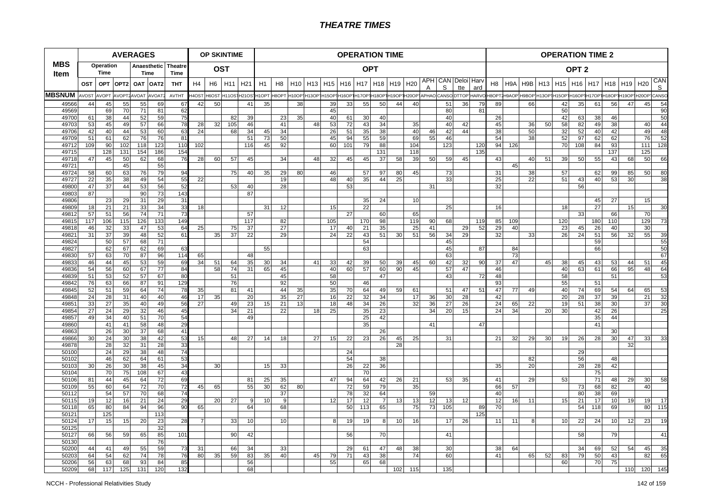|                           |            |                          |                  | <b>AVERAGES</b>            |           |                               |                | <b>OP SKINTIME</b> |                 |                   |                 |                                                                                       |                                                                                                           |    |                                    |                 |                       | <b>OPERATION TIME</b> |                                 |           |                          |          |                       |     |                |          |    | <b>OPERATION TIME 2</b>       |          |                  |          |                                                                                 |          |                                     |                     |
|---------------------------|------------|--------------------------|------------------|----------------------------|-----------|-------------------------------|----------------|--------------------|-----------------|-------------------|-----------------|---------------------------------------------------------------------------------------|-----------------------------------------------------------------------------------------------------------|----|------------------------------------|-----------------|-----------------------|-----------------------|---------------------------------|-----------|--------------------------|----------|-----------------------|-----|----------------|----------|----|-------------------------------|----------|------------------|----------|---------------------------------------------------------------------------------|----------|-------------------------------------|---------------------|
| <b>MBS</b><br><b>Item</b> |            | Operation<br><b>Time</b> |                  | Anaesthetic<br><b>Time</b> |           | <b>Theatre</b><br><b>Time</b> |                |                    | <b>OST</b>      |                   |                 |                                                                                       |                                                                                                           |    |                                    |                 | <b>OPT</b>            |                       |                                 |           |                          |          |                       |     |                |          |    |                               |          | OPT <sub>2</sub> |          |                                                                                 |          |                                     |                     |
|                           | <b>OST</b> | <b>OPT</b>               | OPT <sub>2</sub> |                            | OAT OAT2  | <b>THT</b>                    | H4             | H <sub>6</sub>     | H <sub>11</sub> | H <sub>21</sub>   | H1              | H <sub>8</sub>                                                                        | H <sub>10</sub>   H <sub>13</sub>   H <sub>15</sub>   H <sub>16</sub>   H <sub>17</sub>   H <sub>18</sub> |    |                                    |                 |                       |                       | H <sub>19</sub> H <sub>20</sub> |           | APH   CAN   Deloi   Harv | S.       | tte                   | ard | H <sub>8</sub> | H9A      |    | H9B H13 H15                   |          |                  |          | H <sub>16</sub> H <sub>17</sub> H <sub>18</sub> H <sub>19</sub> H <sub>20</sub> |          |                                     | CAN<br>$\mathbf{C}$ |
| <b>MBSNUM</b>             |            | VOST AVOPT               |                  | AVOPT2AVOAT AVOAT2         |           | <b>AVTHT</b>                  | I4OST          |                    |                 | H6OST H11OS1H21OS |                 | 110PT  H8OPT  H10OPTH13OPTH15OPTH16OPTH17OPTH18OPTH19OPTH20OPTAPHAO CANSO DTTOPTHARVO |                                                                                                           |    |                                    |                 |                       |                       |                                 |           |                          |          |                       |     |                |          |    | H8OPT2H9AOP1H9BOP1H13OP1H15OP |          |                  |          |                                                                                 |          | H16OP1H17OP1H18OP1H19OP1H20OP1CANSC |                     |
| 49566                     | 44         | 45                       | 55               | 55                         | 69        | 67                            | 42             | 50                 |                 | 41                | 35              |                                                                                       | 38                                                                                                        |    | 39                                 | 33 <sub>1</sub> | 55                    | 50                    | 44                              | 40        |                          | 51       | 36                    | -79 | 89             |          | 66 |                               | 42       | 35 <sub>l</sub>  | 61       | 56                                                                              | 47       | 45                                  | 54                  |
| 49569                     |            | 69                       | 70               | 71                         | 81        | 62                            |                |                    |                 |                   |                 |                                                                                       |                                                                                                           |    | 45                                 |                 |                       |                       |                                 |           |                          | 80       |                       | 81  |                |          |    |                               | 50       |                  |          |                                                                                 |          |                                     | 90                  |
| 49700<br>49703            | 61<br>53   | 38<br>45                 | 44<br>49         | 52<br>57                   | 59<br>66  | 75<br>78                      | 28             | 32                 | 82<br>105       | 39<br>46          |                 | 23<br>41                                                                              | 35                                                                                                        | 48 | 40<br>53                           | 61<br>72        | 30<br>43              | 40<br>34              |                                 | 35        |                          | 40<br>40 | 42                    |     | 26<br>45       |          | 36 | 50                            | 42<br>58 | 63<br>82         | 38<br>49 | 46<br>38                                                                        |          | 40                                  | 50<br>44            |
| 49706                     | 42         | 40                       | 44               | 53                         | 60        | 63                            | 24             |                    | 68              | 34                | 45              | 34                                                                                    |                                                                                                           |    | 26                                 | 51              | 35                    | 38                    |                                 | 40        | 46                       | 42       | 44                    |     | 38             |          | 50 |                               | 32       | 52               | 40       | 42                                                                              |          | 49                                  | 48                  |
| 49709                     | 51         | 61                       | 62               | 76                         | 76        | 81                            |                |                    |                 | 51                | 73              | 50                                                                                    |                                                                                                           |    | 45                                 | 94              | 55                    | 59                    |                                 | 69        | 55                       | 46       |                       |     | 54             |          | 38 |                               | 52       | 97               | 62       | 62                                                                              |          | 76                                  | 52                  |
| 49712                     | 109        | 90                       | 102              | 118                        | 123       | 110                           | 102            |                    |                 | 116               | 45              | 92                                                                                    |                                                                                                           |    | 60                                 | 101             | 79                    | 88                    |                                 | 104       |                          | 123      |                       | 120 | 94             | 126      |    |                               | 70       | 108              | 84       | 93                                                                              |          | 111                                 | 128                 |
| 49715<br>49718            | 47         | 128<br>45                | 131<br>50        | 154<br>62                  | 186<br>68 | 154<br>76                     | 28             | 60                 | 57              | 45                |                 | 34                                                                                    |                                                                                                           | 48 | 32                                 | 45              | 45                    | 131<br>37             | 58                              | 118<br>39 | 50                       | 59       | 45                    | 135 | 43             |          | 40 | 51                            | 39       | 50               | 55       | 137<br>43                                                                       | 68       | 125<br>50                           | 66                  |
| 49721                     |            |                          | 45               |                            | 55        |                               |                |                    |                 |                   |                 |                                                                                       |                                                                                                           |    |                                    |                 |                       |                       |                                 |           |                          |          |                       |     |                | 45       |    |                               |          |                  |          |                                                                                 |          |                                     |                     |
| 49724                     | 58         | 60                       | 63               | 76                         | 79        | 94                            |                |                    | 75              | 40                | 35              | 29                                                                                    | 80                                                                                                        |    | 46                                 |                 | 57                    | 97                    | 80                              | 45        |                          | 73       |                       |     | 31             |          | 38 |                               | 57       |                  | 62       | 99                                                                              | 85       | 50                                  | 80                  |
| 49727                     | 22         | 35                       | 38               | 49                         | 54        | 55                            | 22             |                    |                 |                   |                 | 19                                                                                    |                                                                                                           |    | 48                                 | 40              | 35                    | 44                    | 25                              |           |                          | 33       |                       |     | 25             |          | 22 |                               | 51       | 43               | 40       | 53                                                                              | 30       |                                     | 38                  |
| 49800<br>49803            | 47<br>87   | 37                       | 44               | 53<br>90                   | 56<br>73  | 52<br>143                     |                |                    | 53              | 40<br>87          |                 | 28                                                                                    |                                                                                                           |    |                                    | 53              |                       |                       |                                 |           | 31                       |          |                       |     | 32             |          |    |                               |          | 56               |          |                                                                                 |          |                                     |                     |
| 49806                     |            | 23                       | 29               | 31                         | 29        | 31                            |                |                    |                 |                   |                 |                                                                                       |                                                                                                           |    |                                    |                 | 35                    | 24                    |                                 | 10        |                          |          |                       |     |                |          |    |                               |          |                  | 45       | 27                                                                              |          | 15                                  |                     |
| 49809                     | 18         | 21                       | 21               | 33                         | 34        | 33                            | 18             |                    |                 |                   | 31              | 12                                                                                    |                                                                                                           |    | 15 <sup>1</sup>                    |                 | 22                    |                       |                                 |           |                          | 25       |                       |     | 16             |          |    |                               | 18       |                  | 27       |                                                                                 | 15       |                                     | 30                  |
| 49812                     | 57         | 51                       | 56               | 74                         | 71        | 73                            |                |                    |                 | 57                |                 |                                                                                       |                                                                                                           |    |                                    | 27              |                       | 60                    |                                 | 65        |                          |          |                       |     |                |          |    |                               |          | 33               |          | 66                                                                              |          | 70                                  |                     |
| 49815                     | 117        | 106                      | 115              | 126                        | 133       | 149                           |                |                    |                 | 117               |                 | 82                                                                                    |                                                                                                           |    | 105                                |                 | 170                   | 98                    |                                 | 119       | 90                       | 68       |                       | 119 | 85             | 109      |    |                               | 120      |                  | 180      | 110                                                                             |          | 129                                 | 73                  |
| 49818<br>49821            | 46<br>31   | 32<br>37                 | 33<br>39         | 47<br>48                   | 53<br>52  | 64<br>61                      | 25             | 35 <sub>1</sub>    | 75<br>37        | 37<br>22          |                 | 27<br>29                                                                              |                                                                                                           |    | 17<br>24                           | 40<br>22        | 21<br>43              | 35<br>51              | 30 <sup>1</sup>                 | 25<br>51  | 41<br>56                 | 34       | 29<br>29              | 52  | 29<br>32       | 40       | 33 |                               | 23<br>26 | 45<br>24         | 26<br>51 | 40<br>56                                                                        | 32       | 30<br>55                            | 39                  |
| 49824                     |            | 50                       | 57               | 68                         | 71        |                               |                |                    |                 |                   |                 |                                                                                       |                                                                                                           |    |                                    |                 | 54                    |                       |                                 |           |                          | 45       |                       |     |                |          |    |                               |          |                  | 59       |                                                                                 |          |                                     | 55                  |
| 49827                     |            | 62                       | 67               | 62                         | 69        | 63                            |                |                    |                 |                   | 55              |                                                                                       |                                                                                                           |    |                                    |                 | 63                    |                       |                                 |           |                          | 45       |                       | 87  |                | 84       |    |                               |          |                  | 66       |                                                                                 |          |                                     | 50                  |
| 49830                     | 57         | 63                       | 70               | 87                         | 96        | 114                           | 65             |                    |                 | 48                |                 |                                                                                       |                                                                                                           |    |                                    |                 |                       |                       |                                 |           |                          | 63       |                       |     |                | 73       |    |                               |          |                  |          |                                                                                 |          |                                     | 67                  |
| 49833<br>49836            | 46<br>54   | 44<br>56                 | 45<br>60         | 53<br>67                   | 59<br>77  | 69<br>84                      | 34             | 51<br>58           | 64<br>74        | 35<br>31          | 30<br>65        | 34<br>45                                                                              |                                                                                                           | 41 | 33<br>40                           | 42<br>60        | 39<br>57              | 50<br>60              | 39<br>90                        | 45<br>45  | 60                       | 42<br>57 | 32<br>47              | 90  | 37<br>46       | 47       |    | 45                            | 38<br>40 | 45<br>63         | 43<br>61 | 53<br>66                                                                        | 44<br>95 | 51<br>48                            | 45<br>64            |
| 49839                     | 51         | 53                       | 52               | 57                         | 67        | 80                            |                |                    | 51              |                   |                 | 45                                                                                    |                                                                                                           |    | 58                                 |                 |                       | 47                    |                                 |           |                          | 43       |                       | 72  | 48             |          |    |                               | 58       |                  |          | 51                                                                              |          |                                     | 53                  |
| 49842                     | 76         | 63                       | 66               | 87                         | 91        | 129                           |                |                    | 76              |                   |                 | 92                                                                                    |                                                                                                           |    | 50                                 |                 | 46                    |                       |                                 |           |                          |          |                       |     | 93             |          |    |                               | 55       |                  | 51       |                                                                                 |          |                                     |                     |
| 49845                     | 52         | 51                       | 59               | 64                         | 74        | 78                            | 35             |                    | 81              | 41                |                 | 44                                                                                    | 35                                                                                                        |    | 35                                 | 70              | 64                    | 49                    | 59                              | 61        |                          | 51       | 47                    | 51  | 47             | 77       | 49 |                               | 40       | 74               | 69       | 54                                                                              | 64       | 65                                  | 53                  |
| 49848<br>49851            | 24         | 28<br>27                 | 31<br>35         | 40<br>40                   | 40<br>49  | 46                            | 17<br>27       | 35                 |                 | 20                | 15 <sup>1</sup> | 35<br>21                                                                              | 27                                                                                                        |    | 16 <sup>1</sup><br>18 <sup>1</sup> | 22<br>48        | 32 <sub>1</sub><br>34 | 34<br>26              |                                 | 17<br>32  | 36 <sup>°</sup><br>36    | 30<br>27 | $\overline{28}$<br>26 |     | 42<br>24       |          | 22 |                               | 20<br>19 | 28<br>51         | 37       | 39                                                                              |          | 21<br>37                            | 32<br>30            |
| 49854                     | 33<br>27   | 24                       | 29               | 32                         | 46        | 56<br>45                      |                |                    | 49<br>34        | 23<br>21          |                 | 22                                                                                    | 13                                                                                                        | 18 | 25                                 |                 | 35                    | 23                    |                                 |           | 34                       | 20       | 15                    |     | 24             | 65<br>34 |    | 20                            | 30       |                  | 38<br>42 | 30<br>26                                                                        |          |                                     | 25                  |
| 49857                     | 49         | 34                       | 40               | 51                         | 70        | 54                            |                |                    |                 | 49                |                 |                                                                                       |                                                                                                           |    |                                    |                 | 25                    | 42                    |                                 |           |                          |          |                       |     |                |          |    |                               |          |                  | 35       | 44                                                                              |          |                                     |                     |
| 49860                     |            | 41                       | 41               | 58                         | 48        | 29                            |                |                    |                 |                   |                 |                                                                                       |                                                                                                           |    |                                    |                 | 35                    |                       |                                 |           | 41                       |          |                       | 47  |                |          |    |                               |          |                  | 41       |                                                                                 |          |                                     |                     |
| 49863                     |            | 26                       | 30               | 37                         | 68        | 41                            |                |                    |                 |                   |                 |                                                                                       |                                                                                                           |    |                                    |                 |                       | 26                    |                                 |           |                          |          |                       |     |                |          |    |                               |          |                  |          | 30                                                                              |          |                                     |                     |
| 49866<br>49878            | 30         | 24<br>28                 | 30<br>32         | 38<br>31                   | 42<br>28  | 53<br>33                      | 15             |                    | 48              | 27                | 14              | 18                                                                                    |                                                                                                           | 27 | 15                                 | 22              | 23                    | 26                    | 45<br>28                        | 25        |                          | 31       |                       |     | 21             | 32       | 29 | 30                            | 19       | 26               | 28       | 30                                                                              | 47<br>32 | 33                                  | 33                  |
| 50100                     |            | 24                       | 29               | 38                         | 48        | 74                            |                |                    |                 |                   |                 |                                                                                       |                                                                                                           |    |                                    | 24              |                       |                       |                                 |           |                          |          |                       |     |                |          |    |                               |          | 29               |          |                                                                                 |          |                                     |                     |
| 50102                     |            | 46                       | 62               | 64                         | 61        | 53                            |                |                    |                 |                   |                 |                                                                                       |                                                                                                           |    |                                    | 54              |                       | 38                    |                                 |           |                          |          |                       |     |                |          | 82 |                               |          | 56               |          | 48                                                                              |          |                                     |                     |
| 50103                     | 30         | 26                       | 30               | 38                         | 45        | 34                            |                | 30                 |                 |                   | 15              | 33                                                                                    |                                                                                                           |    |                                    | 26              | 22                    | 36                    |                                 |           |                          |          |                       |     | 35             |          | 20 |                               |          | 28               | 28       | 42                                                                              |          |                                     |                     |
| 50104                     |            | 70<br>44                 | 75               | 108                        | 67<br>72  | 43<br>69                      |                |                    |                 |                   |                 |                                                                                       |                                                                                                           |    | 47                                 |                 | 70                    |                       |                                 | 21        |                          | 53       | 35                    |     | 41             |          | 29 |                               | 53       |                  | 75<br>71 |                                                                                 | 29       | 30                                  | 58                  |
| 50106<br>50109            | 81<br>55   | 60                       | 45<br>64         | 64<br>72                   | 70        | 72                            | 45             | 65                 |                 | 81<br>55          | 25<br>30        | 35<br>62                                                                              | 80                                                                                                        |    |                                    | 94<br>72        | 64<br>59              | 42<br>79              | 26                              | 35        |                          |          |                       |     | 66             | 57       |    |                               |          | 73               | 68       | 48<br>82                                                                        |          | 40                                  |                     |
| 50112                     |            | 54                       | 57               | 70                         | 68        | 74                            |                |                    |                 |                   |                 | 37                                                                                    |                                                                                                           |    |                                    | 78              | 32                    | 64                    |                                 |           | 59                       |          |                       |     | 40             |          |    |                               |          | 80               | 38       | 69                                                                              |          |                                     |                     |
| 50115                     | 19         | 12                       | 16               | 21                         | 24        | 29                            |                | 20                 | 27              | 9                 | 10              | 9                                                                                     |                                                                                                           |    | 12 <sup>1</sup>                    | 17              | 12                    | $\overline{7}$        | 13                              | 13        | 12                       | 13       | 12                    |     | 12             | 16       | 11 |                               | 15       | 21               | 17       | 10                                                                              | 19       | 19                                  | 17                  |
| 50118                     | 65         | 80                       | 84               | 94                         | 96        | 90                            | 65             |                    |                 | 64                |                 | 68                                                                                    |                                                                                                           |    |                                    | 50              | 113                   | 65                    |                                 | 75        | 73                       | 105      |                       | 89  | 70             |          |    |                               |          | 54               | 118      | 69                                                                              |          | 80                                  | 115                 |
| 50121<br>50124            | 17         | 125<br>15                | 15               | 20                         | 113<br>23 | 28                            | $\overline{7}$ |                    | 33              | 10                |                 | 10                                                                                    |                                                                                                           |    | 8 <sup>1</sup>                     | 19              | 19                    | 8 <sup>1</sup>        | 10 <sup>1</sup>                 | 16        |                          | 17       | 26                    | 125 | 11             | 11       | 8  |                               | 10       | 22               | 24       | 10                                                                              | 12       | 23                                  | 19                  |
| 50125                     |            |                          |                  |                            | 32        |                               |                |                    |                 |                   |                 |                                                                                       |                                                                                                           |    |                                    |                 |                       |                       |                                 |           |                          |          |                       |     |                |          |    |                               |          |                  |          |                                                                                 |          |                                     |                     |
| 50127                     | 66         | 56                       | 59               | 65                         | 85        | 101                           |                |                    | 90              | 42                |                 |                                                                                       |                                                                                                           |    |                                    | 56              |                       | 70                    |                                 |           |                          | 41       |                       |     |                |          |    |                               |          | 58               |          | 79                                                                              |          |                                     | 41                  |
| 50130                     |            |                          |                  |                            | 76        |                               |                |                    |                 |                   |                 |                                                                                       |                                                                                                           |    |                                    |                 |                       |                       |                                 |           |                          |          |                       |     |                |          |    |                               |          |                  |          |                                                                                 |          |                                     |                     |
| 50200                     | 44         | 41                       | 49               | 55                         | 59        | 73                            | 31             |                    | 66              | 34                |                 | 33                                                                                    |                                                                                                           |    |                                    | 29              | 61                    | 47                    | 48                              | 38        |                          | 30       |                       |     | 38             | 64       |    |                               |          | 34               | 69       | 52                                                                              | 54       | 45                                  | 35                  |
| 50203<br>50206            | 64<br>56   | 54<br>63                 | 62<br>68         | 74<br>93                   | 78<br>84  | 76<br>85                      | 80             | 35                 | 59              | 83<br>56          | 35              | 40                                                                                    |                                                                                                           | 45 | 79<br>55                           | 71              | 43<br>65              | 38<br>68              |                                 | 74        |                          | 60       |                       |     | 41             |          | 65 | 52                            | 83<br>60 | 79               | 50<br>70 | 43<br>75                                                                        |          | 82                                  | 65                  |
| 50209                     | 68         | 117                      | 125              | 131                        | 120       | 132                           |                |                    |                 | 68                |                 |                                                                                       |                                                                                                           |    |                                    |                 |                       |                       | 102 115                         |           |                          | 135      |                       |     |                |          |    |                               |          |                  |          |                                                                                 | 110      | 120 145                             |                     |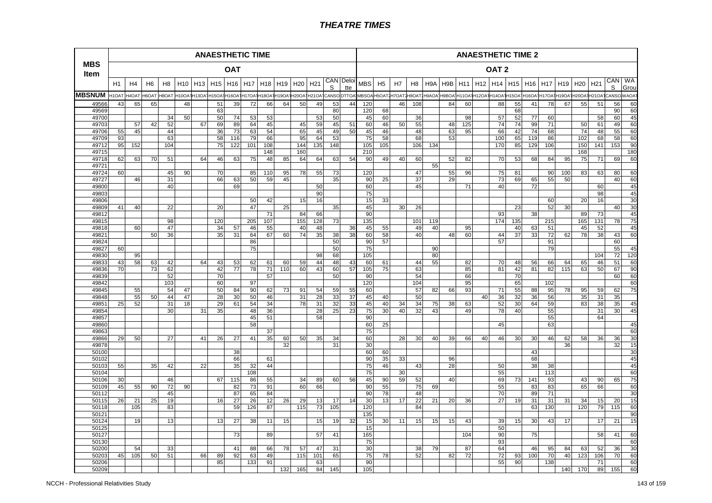|                           |                 |                |                |                |                                                                                          |    |                 | <b>ANAESTHETIC TIME</b> |                 |          |                                                 |           |                 |                          |     |            |                |    |                |                  |                 |                 |    |                                 | <b>ANAESTHETIC TIME 2</b>                                                                            |           |                                 |          |                 |                 |                 |            |
|---------------------------|-----------------|----------------|----------------|----------------|------------------------------------------------------------------------------------------|----|-----------------|-------------------------|-----------------|----------|-------------------------------------------------|-----------|-----------------|--------------------------|-----|------------|----------------|----|----------------|------------------|-----------------|-----------------|----|---------------------------------|------------------------------------------------------------------------------------------------------|-----------|---------------------------------|----------|-----------------|-----------------|-----------------|------------|
| <b>MBS</b><br><b>Item</b> |                 |                |                |                |                                                                                          |    |                 | <b>OAT</b>              |                 |          |                                                 |           |                 |                          |     |            |                |    |                |                  |                 |                 |    | OAT <sub>2</sub>                |                                                                                                      |           |                                 |          |                 |                 |                 |            |
|                           | H1              | H <sub>4</sub> | H <sub>6</sub> | H <sub>8</sub> | $H10$ H <sub>13</sub>                                                                    |    | H <sub>15</sub> | H16                     | H <sub>17</sub> |          | H <sub>18</sub> H <sub>19</sub> H <sub>20</sub> |           | H <sub>21</sub> | CAN Delo<br>$\mathbf{C}$ | tte | <b>MBS</b> | H <sub>5</sub> | H7 | H <sub>8</sub> | H <sub>9</sub> A | H9B             | H <sub>11</sub> |    | H <sub>12</sub> H <sub>14</sub> | H <sub>15</sub>                                                                                      | H16       | H <sub>17</sub> H <sub>19</sub> |          | H <sub>20</sub> | H <sub>21</sub> | <b>CAN</b><br>S | WA<br>Grou |
| <b>MBSNUM</b>             |                 |                |                |                | H1OAT H4OAT H6OAT H8OAT H10OATH13OATH15OATH16OATH17OATH18OATH19OATH20OATH21OATCANSO DTTO |    |                 |                         |                 |          |                                                 |           |                 |                          |     |            |                |    |                |                  |                 |                 |    |                                 | 400W OSMASTAO1SHTAOOSHTAOOSHTAOTHI10ATHI2OATHI4OATHI4OATHI5OATHI6OAHH7OATHI2OATHI2OATH21OATCANSOBHAO |           |                                 |          |                 |                 |                 |            |
| 49566                     | 43              | 65             | 65             |                | 48                                                                                       |    | 51              | 39                      | 72              | 66       | 64                                              | 50        | 49              | 53                       | 44  | 120        |                | 46 | 108            |                  | 84              | 60              |    | 88                              | 55                                                                                                   | 41        | 78                              | 67       | 55              | 51              | 56              | 60         |
| 49569                     |                 |                |                |                |                                                                                          |    | 63              |                         |                 |          |                                                 |           |                 | 80                       |     | 120        | 68             |    |                |                  |                 |                 |    |                                 | 68                                                                                                   |           |                                 |          |                 |                 | 90              | 60         |
| 49700<br>49703            |                 | 57             | 42             | 34<br>52       | 50                                                                                       | 67 | 50<br>69        | 74<br>89                | 53<br>64        | 53<br>45 |                                                 | 45        | 53<br>59        | 50<br>45                 | 51  | 45<br>60   | 60<br>46       | 50 | 36<br>55       |                  | 48              | 98<br>125       |    | 57<br>74                        | 52<br>74                                                                                             | 77<br>99  | 60<br>71                        |          | 50              | 58<br>61        | 60<br>49        | 45<br>60   |
| 49706                     | 55              | 45             |                | 44             |                                                                                          |    | 36              | 73                      | 63              | 54       |                                                 | 65        | 45              | 49                       | 50  | 45         | 46             |    | 48             |                  | 63              | 95              |    | 66                              | 42                                                                                                   | 74        | 68                              |          | 74              | 48              | 55              | 60         |
| 49709                     | 93              |                |                | 63             |                                                                                          |    | 58              | 116                     | 79              | 66       |                                                 | 95        | 64              | 53                       |     | 75         | 58             |    | 68             |                  | 53              |                 |    | 100                             | 65                                                                                                   | 119       | 86                              |          | 102             | 68              | 58              | 60         |
| 49712                     | 95              | 152            |                | 104            |                                                                                          |    | 75              | 122                     | 101             | 108      |                                                 | 144       | 135             | 148                      |     | 105        | 105            |    | 106            | 134              |                 |                 |    | 170                             | 85                                                                                                   | 129       | 106                             |          | 150             | 141             | 153             | 90         |
| 49715                     |                 |                |                |                |                                                                                          |    |                 |                         |                 | 148      |                                                 | 160       |                 |                          |     | 210        |                |    |                |                  |                 |                 |    |                                 |                                                                                                      |           |                                 |          | 168             |                 |                 | 180        |
| 49718<br>49721            | 62              | 63             | 70             | 51             |                                                                                          | 64 | 46              | 63                      | 75              | 48       | 85                                              | 64        | 64              | 63                       | 54  | 90         | 49             | 40 | 60             | 55               | 52              | 82              |    | 70                              | 53                                                                                                   | 68        | 84                              | 95       | 75              | 71              | 69              | 60         |
| 49724                     | 60              |                |                | 45             | 90                                                                                       |    | 70              |                         | 85              | 110      | 95                                              | 78        | 55              | 73                       |     | 120        |                |    | 47             |                  | 55              | 96              |    | 75                              | 81                                                                                                   |           | 90                              | 100      | 83              | 63              | 80              | 60         |
| 49727                     |                 | 46             |                | 31             |                                                                                          |    | 66              | 63                      | 50              | 59       | 45                                              |           |                 | 35                       |     | 90         | 25             |    | 37             |                  | 29              |                 |    | 73                              | 69                                                                                                   | 65        | 55                              | 50       |                 |                 | 40              | 60         |
| 49800                     |                 |                |                | 40             |                                                                                          |    |                 | 69                      |                 |          |                                                 |           | 50              |                          |     | 60         |                |    | 45             |                  |                 | 71              |    | 40                              |                                                                                                      | 72        |                                 |          |                 | 60              |                 | 45         |
| 49803                     |                 |                |                |                |                                                                                          |    |                 |                         |                 |          |                                                 |           | 90              |                          |     | 75         |                |    |                |                  |                 |                 |    |                                 |                                                                                                      |           |                                 |          |                 | 98              |                 | 45         |
| 49806<br>49809            | 41              | 40             |                | 22             |                                                                                          |    | 20              |                         | 50<br>47        | 42       | 25                                              | 15        | 16              | 35                       |     | 15<br>45   | 33             | 30 | 26             |                  |                 |                 |    |                                 | 23                                                                                                   |           | 60<br>52                        | 30       | 20              | 16              | 40              | 30<br>30   |
| 49812                     |                 |                |                |                |                                                                                          |    |                 |                         |                 | 71       |                                                 | 84        | 66              |                          |     | 90         |                |    |                |                  |                 |                 |    | 93                              |                                                                                                      | 38        |                                 |          | 89              | 73              |                 | 45         |
| 49815                     |                 |                |                | 98             |                                                                                          |    | 120             |                         | 205             | 107      |                                                 | 155       | 128             | 73                       |     | 135        |                |    | 101            | 119              |                 |                 |    | 174                             | 135                                                                                                  |           | 215                             |          | 165             | 131             | 78              | 75         |
| 49818                     |                 | 60             |                | 47             |                                                                                          |    | 34              | 57                      | 46              | 55       |                                                 | 40        | 48              |                          | 36  | 45         | 55             |    | 49             | 40               |                 | 95              |    |                                 | 40                                                                                                   | 63        | 51                              |          | 45              | 52              |                 | 45         |
| 49821                     |                 |                | 50             | 36             |                                                                                          |    | 35              | 31                      | 64              | 67       | 60                                              | 74        | 35              | 38                       | 38  | 60         | 58             |    | 40             |                  | 48              | 60              |    | 44                              | 37                                                                                                   | 33        | 72                              | 62       | 78              | 38              | 43              | 60         |
| 49824<br>49827            | 60              |                |                |                |                                                                                          |    |                 |                         | 86<br>75        |          |                                                 |           |                 | 50<br>50                 |     | 90<br>75   | 57             |    |                | 90               |                 |                 |    | 57                              |                                                                                                      |           | 91<br>79                        |          |                 |                 | 60<br>55        | 45         |
| 49830                     |                 | 95             |                |                |                                                                                          |    |                 |                         |                 |          |                                                 |           | 98              | 68                       |     | 105        |                |    |                | 80               |                 |                 |    |                                 |                                                                                                      |           |                                 |          |                 | 104             | 72              | 120        |
| 49833                     | 43              | 58             | 63             | 42             |                                                                                          | 64 | 43              | 53                      | 62              | 61       | 60                                              | 59        | 44              | 48                       | 43  | 60         | 61             |    | 44             | 55               |                 | 82              |    | 70                              | 48                                                                                                   | 56        | 66                              | 64       | 65              | 46              | 51              | 60         |
| 49836                     | 70              |                | 73             | 62             |                                                                                          |    | 42              | 77                      | 78              | 71       | 110                                             | 60        | 43              | 60                       | 57  | 105        | 75             |    | 63             |                  |                 | 85              |    | 81                              | 42                                                                                                   | 81        | 82                              | 115      | 63              | 50              | 67              | 90         |
| 49839                     |                 |                |                | 52             |                                                                                          |    | 70              |                         |                 | 57       |                                                 |           |                 | 50                       |     | 90         |                |    | 54             |                  |                 | 66              |    |                                 | 70                                                                                                   |           |                                 |          |                 |                 | 60              | 60         |
| 49842<br>49845            |                 | 55             |                | 103<br>54      | 47                                                                                       |    | 60<br>50        | 84                      | 97<br>90        | 62       | 73                                              | 91        | 54              | 59                       | 55  | 120<br>60  |                |    | 104<br>57      | 82               | 66              | 95<br>93        |    | 71                              | 65<br>55                                                                                             | 88        | 102<br>95                       | 78       | 95              | 59              | 62              | 60<br>75   |
| 49848                     |                 | 55             | 50             | 44             | 47                                                                                       |    | 28              | 30                      | 50              | 46       |                                                 | 31        | 28              | 33                       | 37  | 45         | 40             |    | 50             |                  |                 |                 | 40 | 36                              | 32                                                                                                   | 36        | 56                              |          | 35              | 31              | 35              |            |
| 49851                     | 25              | 52             |                | 31             | 18                                                                                       |    | 29              | 61                      | 54              | 34       |                                                 | 78        | 31              | 32                       | 33  | 45         | 40             | 34 | 34             | 75               | 38 <sup>1</sup> | 63              |    | 52                              | 30                                                                                                   | 64        | 59                              |          | 83              | 38              | 35              | 45         |
| 49854                     |                 |                |                | 30             |                                                                                          | 31 | 35              |                         | 48              | 36       |                                                 |           | 28              | 25                       | 23  | 75         | 30             | 40 | 32             | 43               |                 | 49              |    | 78                              | 40                                                                                                   |           | 55                              |          |                 | 31              | 30              | 45         |
| 49857                     |                 |                |                |                |                                                                                          |    |                 |                         | 45              | 51       |                                                 |           | 58              |                          |     | 90         |                |    |                |                  |                 |                 |    |                                 |                                                                                                      |           | 55<br>63                        |          |                 | 64              |                 |            |
| 49860<br>49863            |                 |                |                |                |                                                                                          |    |                 |                         | 58              | 37       |                                                 |           |                 |                          |     | 60<br>75   | 25             |    |                |                  |                 |                 |    | 45                              |                                                                                                      |           |                                 |          |                 |                 |                 | 45<br>60   |
| 49866                     | 29              | 50             |                | 27             |                                                                                          | 41 | 26              | 27                      | 41              | 35       | 60                                              | 50        | 35              | 34                       |     | 60         |                | 28 | 30             | 40               | 39              | 66              | 40 | 46                              | 30                                                                                                   | 30        | 46                              | 62       | 58              | 36              | 36              | 30         |
| 49878                     |                 |                |                |                |                                                                                          |    |                 |                         |                 |          | 32                                              |           |                 | 31                       |     | 30         |                |    |                |                  |                 |                 |    |                                 |                                                                                                      |           |                                 | 36       |                 |                 | 32              | 15         |
| 50100                     |                 |                |                |                |                                                                                          |    |                 | 38                      |                 |          |                                                 |           |                 |                          |     | 60         | 60             |    |                |                  |                 |                 |    |                                 |                                                                                                      | 43        |                                 |          |                 |                 |                 | 30         |
| 50102                     |                 |                | 35             | 42             |                                                                                          | 22 |                 | 66<br>35                |                 | 61<br>44 |                                                 |           |                 |                          |     | 90<br>75   | 35<br>46       | 33 | 43             |                  | 96<br>28        |                 |    |                                 |                                                                                                      | 68<br>38  | 38                              |          |                 |                 |                 | 45<br>45   |
| 50103<br>50104            | 55              |                |                |                |                                                                                          |    |                 |                         | 32<br>108       |          |                                                 |           |                 |                          |     | 75         |                | 30 |                |                  |                 |                 |    | 50<br>55                        |                                                                                                      |           | 113                             |          |                 |                 |                 | 60         |
| 50106                     | 30 <sub>1</sub> |                |                | 46             |                                                                                          |    | 67              | 115                     | 86              | 55       |                                                 | 34        | 89              | 60                       | 56  | 45         | 90             | 59 | 52             |                  | 40              |                 |    | 69                              | 73                                                                                                   | 141       | 93                              |          | 43              | 90              | 65              | 75         |
| 50109                     | 45              | 55             | 90             | 72             | 90                                                                                       |    |                 | 82                      | 73              | 91       |                                                 | 60        | 66              |                          |     | 90         | 55             |    | 75             | 69               |                 |                 |    | 55                              |                                                                                                      | 83        | 83                              |          | 65              | 66              |                 | 60         |
| 50112                     |                 |                |                | 45             |                                                                                          |    |                 | 87                      | 65              | 84       |                                                 |           |                 |                          |     | 90         | 78             |    | 48             |                  |                 |                 |    | 70                              |                                                                                                      | 89        | 71                              |          |                 |                 |                 | 30         |
| 50115                     | 26              | 21<br>105      | 25             | 19             |                                                                                          |    | 16              | 27<br>59                | 26<br>126       | 12<br>87 | 26                                              | 29<br>115 | 13<br>73        | 17                       | 14  | 30<br>120  | 13             | 17 | 22<br>84       | 21               | 20              | 36              |    | 27                              | 19                                                                                                   | 31<br>63  | 31<br>130                       | 31       | 34<br>120       | 15<br>79        | 20              | 15         |
| 50118<br>50121            |                 |                |                | 83             |                                                                                          |    |                 |                         |                 |          |                                                 |           |                 | 105                      |     | 135        |                |    |                |                  |                 |                 |    |                                 |                                                                                                      |           |                                 |          |                 |                 | 115             | 60<br>90   |
| 50124                     |                 | 19             |                | 13             |                                                                                          |    | 13              | 27                      | 38              | 11       | 15                                              |           | 15              | 19                       | 32  | 15         | 30             | 11 | 15             | 15               | 15              | 43              |    | 39                              | 15                                                                                                   | 30        | 43                              | 17       |                 | 17              | 21              | 15         |
| 50125                     |                 |                |                |                |                                                                                          |    |                 |                         |                 |          |                                                 |           |                 |                          |     | 15         |                |    |                |                  |                 |                 |    | 50                              |                                                                                                      |           |                                 |          |                 |                 |                 |            |
| 50127                     |                 |                |                |                |                                                                                          |    |                 | 73                      |                 | 89       |                                                 |           | 57              | 41                       |     | 165        |                |    |                |                  |                 | 104             |    | 90                              |                                                                                                      | 75        |                                 |          |                 | 58              | 41              | 60         |
| 50130                     |                 |                |                |                |                                                                                          |    |                 |                         |                 |          |                                                 |           |                 |                          |     | 75<br>30   |                |    |                | 79               |                 |                 |    | 93                              |                                                                                                      |           |                                 |          |                 |                 |                 | 60         |
| 50200<br>50203            | 45              | 54<br>105      | 50             | 33<br>51       |                                                                                          | 66 | 89              | 41<br>92                | 88<br>63        | 66<br>49 | 78                                              | 57<br>115 | 47<br>101       | 31<br>65                 |     | 75         | 78             |    | 38<br>52       |                  | 82              | 87<br>72        |    | 64<br>72                        | 93                                                                                                   | 46<br>100 | 95<br>70                        | 84<br>40 | 63<br>123       | 52<br>106       | 36<br>70        | 30<br>60   |
| 50206                     |                 |                |                |                |                                                                                          |    | 85              |                         | 133             | 91       |                                                 |           | 63              |                          |     | 90         |                |    |                |                  |                 |                 |    | 55                              | 90                                                                                                   |           | 138                             |          |                 | 71              |                 | 60         |
| 50209                     |                 |                |                |                |                                                                                          |    |                 |                         |                 |          | 132                                             | 165       | 84              | 145                      |     | 105        |                |    |                |                  |                 |                 |    |                                 |                                                                                                      |           |                                 | 140      | 170             | 89              | 155             | 60         |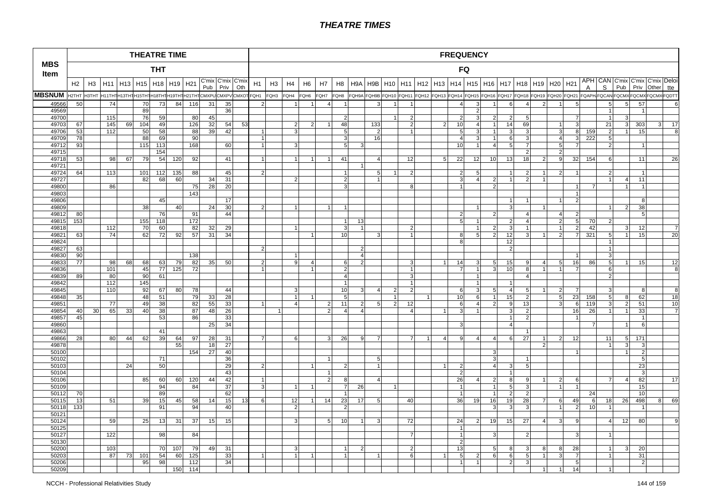|                           |          |                                                                                                |    | <b>THEATRE TIME</b>     |            |           |           |                          |          |     |                |                |                                  |                |                                |                                  |                                  |                      |                                  |              |                | <b>FREQUENCY</b>             |                                                    |                                                  |                                                                                                                                        |                     |                |                                |                      |                       |                                                       |
|---------------------------|----------|------------------------------------------------------------------------------------------------|----|-------------------------|------------|-----------|-----------|--------------------------|----------|-----|----------------|----------------|----------------------------------|----------------|--------------------------------|----------------------------------|----------------------------------|----------------------|----------------------------------|--------------|----------------|------------------------------|----------------------------------------------------|--------------------------------------------------|----------------------------------------------------------------------------------------------------------------------------------------|---------------------|----------------|--------------------------------|----------------------|-----------------------|-------------------------------------------------------|
| <b>MBS</b><br><b>Item</b> |          |                                                                                                |    |                         | <b>THT</b> |           |           |                          |          |     |                |                |                                  |                |                                |                                  |                                  |                      |                                  |              |                | <b>FQ</b>                    |                                                    |                                                  |                                                                                                                                        |                     |                |                                |                      |                       |                                                       |
|                           | H2       | H <sub>3</sub>                                                                                 |    | H11 H13 H15 H18 H19 H21 |            |           |           | C'mix C'mix C'mix<br>Pub | Priv     | Oth | H1             | H <sub>3</sub> | H <sub>4</sub>                   | H <sub>6</sub> | H7                             | H <sub>8</sub>                   | H9A                              |                      |                                  |              |                |                              |                                                    |                                                  | H9B   H10   H11   H12   H13   H14   H15   H16   H17   H18   H19   H20   H21                                                            |                     |                | S.                             |                      |                       | APH CAN C'mix C'mix C'mix Deloi<br>Pub Priv Other tte |
| <b>MBSNUM</b>             |          | н2тнт  н3тнт  н11тнт н13тнт н15тнт н18тнт н19тнт н21тнт смхр∪ смхр∨ смхот гон1    гон3    гон4 |    |                         |            |           |           |                          |          |     |                |                |                                  |                |                                |                                  |                                  |                      |                                  |              |                |                              |                                                    |                                                  | ғанв  ғант  ғанз  ғанзл ғанзв ған10 ған11 ған12 ған13 ған14 ған15 ған16 ған17 ған18 ған19 ған20 ған21 ғалғн ғаслы ғасмұғасмұғасмұғартт |                     |                |                                |                      |                       |                                                       |
| 49566                     | 50       | 74                                                                                             |    | 70                      | 73         | 84        | 116       | 31                       | 35       |     | $\overline{2}$ |                | $\overline{1}$                   | 1              | $\overline{4}$                 | $\overline{1}$                   | 3 <sup>1</sup>                   | $\overline{1}$       |                                  |              |                | 3<br>$\overline{4}$          | 1                                                  | 6<br>$\overline{4}$                              | 2 <sup>1</sup><br>1                                                                                                                    | 5 <sup>1</sup>      |                | 5                              | 5 <sup>1</sup>       | 57                    | 6                                                     |
| 49569                     |          |                                                                                                |    | 89                      |            |           |           |                          | 36       |     |                |                |                                  |                |                                |                                  |                                  |                      |                                  |              |                |                              | $\overline{2}$                                     |                                                  |                                                                                                                                        |                     |                | $\overline{1}$                 |                      | $\overline{1}$        |                                                       |
| 49700                     |          | 115                                                                                            |    | 76                      | 59         |           | 80        | 45                       |          |     |                |                |                                  |                |                                | $\overline{2}$                   |                                  | $\blacktriangleleft$ | $\overline{2}$                   |              |                | 2                            | 3<br>$2 \vert$                                     | $\overline{2}$<br>5 <sub>5</sub>                 |                                                                                                                                        | $\overline{7}$      |                | $\overline{1}$                 | 3                    |                       |                                                       |
| 49703<br>49706            | 67<br>53 | 145<br>112                                                                                     | 69 | 104<br>50               | 49<br>58   |           | 126<br>88 | 32<br>39                 | 54<br>42 | 53  | 1              |                | $\overline{2}$<br>$\overline{3}$ | $\overline{2}$ | $\mathbf{1}$                   | 48<br>5 <sub>5</sub>             | 133<br>$\overline{2}$            |                      | $\overline{2}$                   |              | 2              | 10<br>5 <sub>l</sub>         | $\vert$<br>$1\vert$<br>3<br>1                      | 14<br>69<br>$\mathbf{3}$<br>$\mathbf{3}$         | 1 <sup>1</sup><br>3 <sup>1</sup>                                                                                                       | $\overline{3}$<br>8 | 159            | 21<br>$\overline{2}$           | 3<br>1               | 303<br>15             | 3 <sup>l</sup><br>17<br>8                             |
| 49709                     | 78       |                                                                                                |    | 88                      | 69         |           | 90        |                          |          |     | $\mathbf{1}$   |                |                                  |                |                                | $\overline{3}$                   | 16                               |                      |                                  |              |                | $\overline{4}$               | 3<br>1                                             | 3 <sup>1</sup><br>$6\phantom{.}6$                | $\overline{4}$                                                                                                                         | 3 <sup>1</sup>      | 222            | $\sqrt{5}$                     |                      |                       |                                                       |
| 49712                     | 93       |                                                                                                |    | 115                     | 113        |           | 168       |                          | 60       |     | $\vert$        |                | $\mathbf{3}$                     |                |                                | 5 <sub>l</sub>                   | 3 <sup>1</sup>                   |                      |                                  |              |                | 10 <sup>1</sup><br>$\vert$ 1 | 4 <sup>1</sup>                                     | $5\phantom{.0}$<br>$\overline{7}$                | 5 <sup>1</sup>                                                                                                                         | $\overline{7}$      |                | $\overline{2}$                 |                      | 1                     |                                                       |
| 49715                     |          |                                                                                                |    |                         | 154        |           |           |                          |          |     |                |                |                                  |                |                                |                                  |                                  |                      |                                  |              |                |                              |                                                    | $\overline{2}$                                   | 2                                                                                                                                      |                     |                |                                |                      |                       |                                                       |
| 49718                     | 53       | 98                                                                                             | 67 | 79                      | 54         | 120       | 92        |                          | 41       |     | $\mathbf{1}$   |                | $\vert$ 1                        | 11             | $\mathbf{1}$                   | 41                               | $\overline{4}$                   |                      | 12                               |              | 5 <sub>l</sub> | 22<br>12                     | 10                                                 | 18<br>13                                         | 9<br>2 <sup>1</sup>                                                                                                                    |                     | 32 154         | $6\phantom{.}6$                |                      | 11                    | 26                                                    |
| 49721                     |          |                                                                                                |    |                         |            |           |           |                          |          |     |                |                |                                  |                |                                |                                  |                                  |                      |                                  |              |                |                              |                                                    |                                                  |                                                                                                                                        |                     |                |                                |                      |                       |                                                       |
| 49724                     | 64       | 113                                                                                            |    | 101<br>82               | 112        | 135<br>60 | 88        |                          | 45<br>31 |     | $\overline{2}$ |                | $\overline{2}$                   |                |                                | $\mathbf{1}$                     | 5 <sub>5</sub><br>1              | $\mathbf{1}$         | $\overline{2}$                   |              |                | 2 <br>5<br>3 <sup>l</sup>    | 4 <sup>1</sup>                                     | $\overline{2}$<br>$\mathbf{1}$<br>$\overline{1}$ | $\overline{2}$<br>1<br>$\mathbf{1}$                                                                                                    | $\mathbf{1}$        |                | $\overline{2}$<br>$\mathbf{1}$ |                      | $\mathbf{1}$<br>11    |                                                       |
| 49727<br>49800            |          | 86                                                                                             |    |                         | 68         |           | 75        | 34<br>28                 | 20       |     |                |                |                                  |                |                                | $\overline{2}$<br>3              |                                  |                      | 8                                |              |                | $\mathbf{1}$                 | $2 \vert$<br>$\overline{2}$                        | $\overline{2}$                                   |                                                                                                                                        | 1 <sup>1</sup>      | $\overline{7}$ |                                | $\vert 4 \vert$<br>1 | $\mathbf{1}$          |                                                       |
| 49803                     |          |                                                                                                |    |                         |            |           | 143       |                          |          |     |                |                |                                  |                |                                |                                  |                                  |                      |                                  |              |                |                              |                                                    |                                                  |                                                                                                                                        | 11                  |                |                                |                      |                       |                                                       |
| 49806                     |          |                                                                                                |    |                         | 45         |           |           |                          | 17       |     |                |                |                                  |                |                                |                                  |                                  |                      |                                  |              |                |                              |                                                    | $\mathbf{1}$<br>1                                | 1 <sup>1</sup>                                                                                                                         | 2                   |                |                                |                      | 8                     |                                                       |
| 49809                     |          |                                                                                                |    | 38                      |            | 40        |           | 24                       | 30       |     | $\overline{2}$ |                | -1                               |                | $\mathbf{1}$                   | -1                               |                                  |                      |                                  |              |                |                              |                                                    | ω                                                |                                                                                                                                        |                     |                | $\mathbf{1}$                   | $\overline{2}$       | 38                    |                                                       |
| 49812                     | 80       |                                                                                                |    |                         | 76         |           | 91        |                          | 44       |     |                |                |                                  |                |                                |                                  |                                  |                      |                                  |              |                | 2                            | 2                                                  | $\overline{4}$                                   | 4 <sup>1</sup>                                                                                                                         | $\overline{2}$      |                |                                |                      | 5 <sub>5</sub>        |                                                       |
| 49815                     | 153      |                                                                                                |    | 155                     | 118        |           | 172       |                          |          |     |                |                |                                  |                |                                | 1                                | 13                               |                      |                                  |              |                | 5 <sub>l</sub>               |                                                    | $\overline{2}$<br>$\overline{4}$                 | $\overline{2}$                                                                                                                         | 5 <sub>1</sub>      | 70             | $\overline{2}$                 |                      |                       |                                                       |
| 49818<br>49821            | 63       | 112<br>74                                                                                      |    | 70<br>62                | 60<br>72   | 92        | 82<br>57  | 32<br>31                 | 29<br>34 |     |                |                | $\overline{1}$                   | 11             |                                | 3 <sup>1</sup><br>10             | $\mathbf{1}$<br>3 <sup>1</sup>   |                      | $\overline{2}$<br>$\overline{1}$ |              |                | 8                            | 1<br>$2 \vert$<br>5 <sup>1</sup><br>$\overline{2}$ | 3<br>1<br>3<br>12                                | 1<br>$\overline{2}$<br>$\mathbf 1$                                                                                                     | 2 <br>7             | 42<br>321      | $5\phantom{.0}$                | 3<br>1               | 12<br>15 <sup>1</sup> | $\overline{7}$<br>20                                  |
| 49824                     |          |                                                                                                |    |                         |            |           |           |                          |          |     |                |                |                                  |                |                                |                                  |                                  |                      |                                  |              |                | 8 <sup>1</sup>               |                                                    | 12                                               |                                                                                                                                        |                     |                | $\mathbf{1}$                   |                      |                       |                                                       |
| 49827                     | 63       |                                                                                                |    |                         |            |           |           |                          |          |     | $\overline{2}$ |                |                                  |                |                                |                                  | $\overline{2}$                   |                      |                                  |              |                |                              |                                                    | $\overline{2}$                                   |                                                                                                                                        |                     |                | $\overline{1}$                 |                      |                       |                                                       |
| 49830                     | 90       |                                                                                                |    |                         |            |           | 138       |                          |          |     |                |                | $\mathbf{1}$                     |                |                                |                                  | $\vert$                          |                      |                                  |              |                |                              |                                                    |                                                  |                                                                                                                                        | $\mathbf{1}$        |                | $\mathbf{3}$                   |                      |                       |                                                       |
| 49833                     | 77       | 98                                                                                             | 68 | 68                      | 63         | 79        | 82        | 35                       | 50       |     | $\overline{2}$ |                | 9                                | $\overline{4}$ |                                | $6 \overline{6}$                 | $\overline{2}$                   |                      | 3                                |              | 1              | 14                           | 5 <sup>1</sup><br>3 <sup>l</sup>                   | 15<br>9                                          | 5 <sup>1</sup><br>$\overline{4}$                                                                                                       | 16                  | 86             | 5                              | 1                    | 15                    | 12                                                    |
| 49836                     |          | 101                                                                                            |    | 45                      | 77         | 125       | 72        |                          |          |     | $\mathbf{1}$   |                |                                  | $\mathbf{1}$   |                                | $\overline{2}$                   |                                  |                      | 1                                |              |                | 7<br>$\vert$ 1               | 3 <sup>1</sup>                                     | 10<br>8 <sup>1</sup>                             | $\mathbf{1}$<br>1                                                                                                                      | $\overline{7}$      |                | 6                              |                      |                       | 8                                                     |
| 49839<br>49842            | 89       | 80<br>112                                                                                      |    | 90<br>145               | 61         |           |           |                          |          |     |                |                |                                  |                |                                | $\overline{4}$<br>1              |                                  |                      | 3<br>$\overline{1}$              |              |                | 1                            | 11                                                 | $\vert$<br>$\mathbf{1}$                          |                                                                                                                                        |                     |                | $\overline{2}$                 |                      |                       |                                                       |
| 49845                     |          | 110                                                                                            |    | 92                      | 67         | 80        | 78        |                          | 44       |     |                |                | 3 <sup>1</sup>                   |                |                                | 10                               | 3 <sup>1</sup><br>4 <sup>1</sup> | $\overline{2}$       | $\overline{2}$                   |              |                | $6 \overline{6}$             | 3 <sup>l</sup><br>5 <sup>1</sup>                   | $\overline{4}$<br>5 <sub>5</sub>                 | $\overline{2}$<br>1                                                                                                                    | $\overline{7}$      |                | $\mathbf{3}$                   |                      | 8 <sup>1</sup>        | 8                                                     |
| 49848                     | 35       |                                                                                                |    | 48                      | 51         |           | 79        | 33                       | 28       |     |                |                | 1                                | 1              |                                | $5\overline{)}$                  |                                  | 11                   |                                  | $\mathbf{1}$ |                | 10                           | $6 \overline{6}$<br>1                              | 15<br>$\overline{2}$                             | 5                                                                                                                                      | 23                  | 158            | $\overline{5}$                 | 8 <sup>1</sup>       | 62                    | 18                                                    |
| 49851                     |          | 77                                                                                             |    | 49                      | 38         |           | 82        | 55                       | 33       |     | 11             |                | $\overline{4}$                   |                | $\overline{2}$                 | 11                               | 2 <sup>1</sup><br>5 <sup>1</sup> | $\overline{2}$       | 12                               |              |                | $6 \mid$                     | 2 <sup>1</sup><br>4 <sup>1</sup>                   | 9<br>13                                          | 3 <sup>1</sup>                                                                                                                         | $6 \overline{6}$    | 119            | 3                              | $\overline{2}$       | 51                    | 10                                                    |
| 49854                     | 40       | 30<br>65                                                                                       | 33 | 40                      | 38         |           | 87        | 48                       | 26       |     |                |                |                                  |                | $\overline{2}$                 | $\overline{4}$                   | $\vert$                          |                      | $\overline{4}$                   |              | 1              | $\mathbf{3}$                 |                                                    | 3<br>$\overline{2}$                              |                                                                                                                                        | 16                  | 26             | $\mathbf{1}$                   | $\mathbf{1}$         | 33                    | $\overline{7}$                                        |
| 49857                     | 45       |                                                                                                |    |                         | 53         |           | 86        |                          | 33       |     |                |                |                                  |                |                                |                                  |                                  |                      |                                  |              |                |                              |                                                    | 2 <sup>1</sup><br>$\overline{1}$                 |                                                                                                                                        | $\overline{1}$      |                |                                |                      | $\overline{1}$        |                                                       |
| 49860<br>49863            |          |                                                                                                |    |                         | 41         |           |           | 25                       | 34       |     |                |                |                                  |                |                                |                                  |                                  |                      |                                  |              |                | $\mathbf{3}$                 |                                                    | $\overline{4}$<br>1 <sup>1</sup>                 |                                                                                                                                        |                     | $\overline{7}$ |                                | 11                   | $6 \mid$              |                                                       |
| 49866                     | 28       | 80                                                                                             | 44 | 62                      | 39         | 64        | 97        | 28                       | 31       |     | $\overline{7}$ |                | $6 \overline{6}$                 |                | 3 <sup>1</sup>                 | 26                               | 9 <br>$\overline{7}$             |                      | $\overline{7}$                   | $\mathbf{1}$ | $\vert$ 4      | 9                            | 4 <sup>1</sup><br>4 <sup>1</sup>                   | 27<br>6                                          | 2 <sup>1</sup><br>1                                                                                                                    | 12                  |                | 11                             | $5\overline{)}$      | 171                   |                                                       |
| 49878                     |          |                                                                                                |    |                         |            | 55        |           | 18                       | 27       |     |                |                |                                  |                |                                |                                  |                                  |                      |                                  |              |                |                              |                                                    |                                                  | 2 <sup>1</sup>                                                                                                                         |                     |                | $\overline{1}$                 | 3 <sup>1</sup>       | 3                     |                                                       |
| 50100                     |          |                                                                                                |    |                         |            |           | 154       | 27                       | 40       |     |                |                |                                  |                |                                |                                  |                                  |                      |                                  |              |                |                              | 3 <sup>1</sup>                                     |                                                  |                                                                                                                                        | $\vert$ 1           |                |                                | $\mathbf{1}$         | $\overline{2}$        |                                                       |
| 50102                     |          |                                                                                                |    |                         | 71         |           |           |                          | 36       |     |                |                |                                  |                | 1                              |                                  | 5 <sup>1</sup>                   |                      |                                  |              |                |                              | 3 <sup>1</sup>                                     | 1                                                |                                                                                                                                        |                     |                |                                |                      | $5\phantom{.0}$       |                                                       |
| 50103                     |          |                                                                                                | 24 |                         | 50         |           |           |                          | 29       |     | $\overline{2}$ |                |                                  | 11             |                                | $\overline{2}$                   | 1 <sup>1</sup>                   |                      |                                  |              | 1              | $\overline{2}$               | 4 <sup>1</sup>                                     | 5 <sup>1</sup><br>3                              |                                                                                                                                        |                     |                |                                |                      | 23                    |                                                       |
| 50104<br>50106            |          |                                                                                                |    |                         |            | 60        |           | 44                       | 43       |     | $\mathbf{1}$   |                |                                  |                | $\mathbf{1}$<br>$\overline{2}$ |                                  |                                  |                      |                                  |              |                | $\overline{2}$               |                                                    | 1                                                | 1                                                                                                                                      | $6 \mid$            |                | $\overline{7}$                 |                      | 3                     | 17                                                    |
| 50109                     |          |                                                                                                |    | 85                      | 60<br>94   |           | 120<br>84 |                          | 42<br>37 |     | 3 <sup>1</sup> |                | $\overline{1}$                   | $1 \vert$      |                                | 8 <sup>1</sup><br>$\overline{7}$ | 4 <sup>1</sup><br>26             | 11                   |                                  |              |                | 26<br>1                      | 2 <br>4 <sup>1</sup><br>$1 \vert$                  | 8<br>9<br>$\overline{3}$<br>$5\overline{)}$      | 2 <br>1                                                                                                                                | 11                  |                |                                | $\vert$              | 82<br>15 <sup>1</sup> |                                                       |
| 50112                     | 70       |                                                                                                |    |                         | 89         |           |           |                          | 62       |     |                |                |                                  |                |                                | $\mathbf{1}$                     |                                  |                      |                                  |              |                | $\mathbf{1}$                 | 1                                                  | $\overline{2}$<br>$\overline{2}$                 |                                                                                                                                        |                     | 24             |                                |                      | 10                    |                                                       |
| 50115                     | 13       | 51                                                                                             |    | 39                      | 15         | 45        | 58        | 14                       | 15       | 13  | $6 \mid$       |                | 12                               | 11             | 14                             | 23                               | 17<br>$5\overline{5}$            |                      | 40                               |              |                | 36<br>19                     | 16                                                 | 28<br>19                                         | 6<br>$\overline{7}$                                                                                                                    | 49                  | 6              | 18                             | 26                   | 498                   | 69<br>8 <sup>1</sup>                                  |
| 50118                     | 133      |                                                                                                |    |                         | 91         |           | 94        |                          | 40       |     |                |                | $\overline{2}$                   |                |                                | $\overline{2}$                   |                                  |                      |                                  |              |                |                              | 3 <sup>1</sup>                                     | 3<br>$\overline{3}$                              | 1                                                                                                                                      | $\overline{2}$      | 10             | $\overline{1}$                 |                      |                       |                                                       |
| 50121                     |          |                                                                                                |    |                         |            |           |           |                          |          |     |                |                |                                  |                |                                |                                  |                                  |                      |                                  |              |                |                              |                                                    |                                                  |                                                                                                                                        |                     |                |                                |                      |                       |                                                       |
| 50124                     |          | 59                                                                                             |    | 25                      | 13         | 31        | 37        | 15                       | 15       |     |                |                | $\mathbf{3}$                     |                | $5\phantom{.0}$                | 10                               | 3 <sup>l</sup>                   |                      | 72                               |              |                | 24                           | $\overline{2}$<br>19                               | 15<br>27                                         | $\overline{4}$<br>3 <sup>l</sup>                                                                                                       | 9                   |                | $\overline{4}$                 | 12                   | 80                    | 9                                                     |
| 50125<br>50127            |          | 122                                                                                            |    |                         | 98         |           | 84        |                          |          |     |                |                |                                  |                |                                |                                  |                                  |                      | $\overline{7}$                   |              |                | $\overline{1}$<br>1          | $\overline{3}$                                     | $\overline{2}$                                   |                                                                                                                                        | $\overline{3}$      |                | $\overline{1}$                 |                      |                       |                                                       |
| 50130                     |          |                                                                                                |    |                         |            |           |           |                          |          |     |                |                |                                  |                |                                |                                  |                                  |                      |                                  |              |                | $\overline{2}$               |                                                    |                                                  |                                                                                                                                        |                     |                |                                |                      |                       |                                                       |
| 50200                     |          | 103                                                                                            |    |                         | 70         | 107       | 79        | 49                       | 31       |     |                |                | 3                                |                |                                | -1                               | 2                                |                      | $\overline{2}$                   |              |                | 13                           | 5 <sub>l</sub>                                     | 3 <sup>1</sup><br>8                              | 8<br>8                                                                                                                                 | 28                  |                | $\mathbf{1}$                   | $\mathbf{3}$         | 20                    |                                                       |
| 50203                     |          | 87                                                                                             | 73 | 101                     | 54         | 60        | 125       |                          | 33       |     | 1              |                | 1                                | 1 <sup>1</sup> |                                | 1                                | 1 <sup>1</sup>                   |                      | 6                                |              | $\overline{1}$ | 5 <sup>1</sup>               | $\overline{2}$<br>6 <sup>1</sup>                   | 6<br>5 <sup>1</sup>                              | 3 <sup>1</sup><br>$\mathbf{1}$                                                                                                         | $\overline{7}$      |                | $\mathbf{1}$                   |                      | 31                    |                                                       |
| 50206                     |          |                                                                                                |    | 95                      | 98         |           | 112       |                          | 34       |     |                |                |                                  |                |                                |                                  |                                  |                      |                                  |              |                | $\mathbf{1}$<br>$\mathbf{1}$ |                                                    | 3 <sup>1</sup><br>2                              |                                                                                                                                        | $5\phantom{.0}$     |                |                                |                      | $\overline{2}$        |                                                       |
| 50209                     |          |                                                                                                |    |                         |            | 150       | 114       |                          |          |     |                |                |                                  |                |                                |                                  |                                  |                      |                                  |              |                |                              |                                                    |                                                  | 1<br>1 <sup>1</sup>                                                                                                                    | 14                  |                | $\mathbf{1}$                   |                      |                       |                                                       |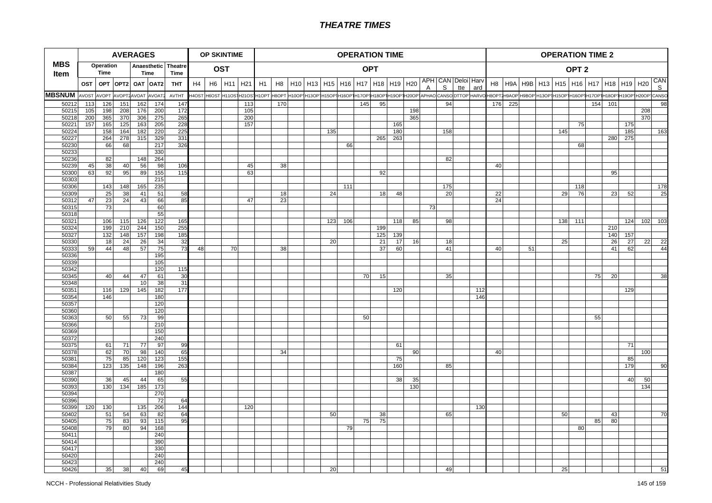|                           |            |                               |            | <b>AVERAGES</b>            |            |                 |    | <b>OP SKINTIME</b> |            |                |     |                                                    | <b>OPERATION TIME</b> |            |     |     |                                                                                                                 |     |     |     |    | <b>OPERATION TIME 2</b>                                           |                  |     |     |     |     |           |
|---------------------------|------------|-------------------------------|------------|----------------------------|------------|-----------------|----|--------------------|------------|----------------|-----|----------------------------------------------------|-----------------------|------------|-----|-----|-----------------------------------------------------------------------------------------------------------------|-----|-----|-----|----|-------------------------------------------------------------------|------------------|-----|-----|-----|-----|-----------|
| <b>MBS</b><br><b>Item</b> |            | Operation<br>Time             |            | Anaesthetic<br><b>Time</b> |            | Theatre<br>Time |    | <b>OST</b>         |            |                |     |                                                    |                       | <b>OPT</b> |     |     |                                                                                                                 |     |     |     |    |                                                                   | OPT <sub>2</sub> |     |     |     |     |           |
|                           | OST        |                               |            | OPT OPT2 OAT OAT2          |            | <b>THT</b>      | H4 | H6 H11 H21         |            | H <sub>1</sub> |     | H8   H10   H13   H15   H16   H17   H18   H19   H20 |                       |            |     | A   | APH   CAN   Deloi   Harv<br>S<br>tte                                                                            | ard |     |     |    | H8   H9A   H9B   H13   H15   H16   H17   H18   H19   H20          |                  |     |     |     |     | CAN<br>S. |
| <b>MBSNUM</b>             |            | NOST AVOPT AVOPTZAVOAT AVOATZ |            |                            |            | AVTHT           |    |                    |            |                |     |                                                    |                       |            |     |     | 140ST  H6OST  H11OSTH21OSTH1OPT  H8OPT  H10OPTH13OPTH15OPTH16OPTH17OPTH18OPTH19OPTH20OPTAPHAO CANSO DTTOPTHARVO |     |     |     |    | H8OPT/H9AOP H9BOP H13OP H15OP H16OP H17OP H18OP H19OP H20OP CANSC |                  |     |     |     |     |           |
| 50212                     | 113        | 126                           | 151        | 162                        | 174        | 147             |    |                    | 113        |                | 170 |                                                    | 145                   | 95         |     |     | 94                                                                                                              |     | 176 | 225 |    |                                                                   |                  | 154 | 101 |     |     | 98        |
| 50215                     | 105        | 198                           | 208        | 176                        | 200        | 172             |    |                    | 105        |                |     |                                                    |                       |            |     | 198 |                                                                                                                 |     |     |     |    |                                                                   |                  |     |     |     | 208 |           |
| 50218<br>50221            | 200<br>157 | 365<br>165                    | 370<br>125 | 306<br>163                 | 275<br>205 | 265<br>228      |    |                    | 200<br>157 |                |     |                                                    |                       |            | 165 | 365 |                                                                                                                 |     |     |     |    |                                                                   | 75               |     |     | 175 | 370 |           |
| 50224                     |            | 158                           | 164        | 182                        | 220        | 225             |    |                    |            |                |     | 135                                                |                       |            | 180 |     | 158                                                                                                             |     |     |     |    | 145                                                               |                  |     |     | 185 |     | 163       |
| 50227                     |            | 264                           | 278        | 315                        | 329        | 331             |    |                    |            |                |     |                                                    |                       | 265        | 263 |     |                                                                                                                 |     |     |     |    |                                                                   |                  |     | 280 | 275 |     |           |
| 50230                     |            | 66                            | 68         |                            | 217        | 326             |    |                    |            |                |     |                                                    | 66                    |            |     |     |                                                                                                                 |     |     |     |    |                                                                   | 68               |     |     |     |     |           |
| 50233                     |            |                               |            |                            | 330        |                 |    |                    |            |                |     |                                                    |                       |            |     |     |                                                                                                                 |     |     |     |    |                                                                   |                  |     |     |     |     |           |
| 50236                     |            | 82                            |            | 148                        | 264        |                 |    |                    |            |                |     |                                                    |                       |            |     |     | 82                                                                                                              |     |     |     |    |                                                                   |                  |     |     |     |     |           |
| 50239<br>50300            | 45<br>63   | 38<br>92                      | 40<br>95   | 56<br>89                   | 98<br>155  | 106<br>115      |    |                    | 45<br>63   |                | 38  |                                                    |                       | 92         |     |     |                                                                                                                 |     | 40  |     |    |                                                                   |                  |     | 95  |     |     |           |
| 50303                     |            |                               |            |                            | 215        |                 |    |                    |            |                |     |                                                    |                       |            |     |     |                                                                                                                 |     |     |     |    |                                                                   |                  |     |     |     |     |           |
| 50306                     |            | 143                           | 148        | 165                        | 235        |                 |    |                    |            |                |     | 111                                                |                       |            |     |     | 175                                                                                                             |     |     |     |    |                                                                   | 118              |     |     |     |     | 178       |
| 50309                     |            | 25                            | 38         | 41                         | 51         | 58              |    |                    |            |                | 18  | 24                                                 |                       | 18         | 48  |     | 20                                                                                                              |     | 22  |     |    | 29                                                                | 76               |     | 23  | 52  |     | 25        |
| 50312                     | 47         | 23                            | 24         | 43                         | 66         | 85              |    |                    | 47         |                | 23  |                                                    |                       |            |     |     |                                                                                                                 |     | 24  |     |    |                                                                   |                  |     |     |     |     |           |
| 50315<br>50318            |            | 73                            |            |                            | 60<br>55   |                 |    |                    |            |                |     |                                                    |                       |            |     | 73  |                                                                                                                 |     |     |     |    |                                                                   |                  |     |     |     |     |           |
| 50321                     |            | 106                           | 115        | 126                        | 122        | 165             |    |                    |            |                |     | 123<br>106                                         |                       |            | 118 | 85  | 98                                                                                                              |     |     |     |    | 138                                                               | 111              |     |     | 124 | 102 | 103       |
| 50324                     |            | 199                           | 210        | 244                        | 150        | 255             |    |                    |            |                |     |                                                    |                       | 199        |     |     |                                                                                                                 |     |     |     |    |                                                                   |                  |     | 210 |     |     |           |
| 50327                     |            | 132                           | 148        | 157                        | 198        | 185             |    |                    |            |                |     |                                                    |                       | 125        | 139 |     |                                                                                                                 |     |     |     |    |                                                                   |                  |     | 140 | 157 |     |           |
| 50330                     |            | 18                            | 24         | 26                         | 34         | 32              |    |                    |            |                |     | 20                                                 |                       | 21         | 17  | 16  | 18                                                                                                              |     |     |     |    | 25                                                                |                  |     | 26  | 27  | 22  | 22        |
| 50333                     | 59         | 44                            | 48         | 57                         | 75         | $\overline{73}$ | 48 | 70                 |            |                | 38  |                                                    |                       | 37         | 60  |     | 41                                                                                                              |     | 40  |     | 51 |                                                                   |                  |     | 41  | 62  |     | 44        |
| 50336<br>50339            |            |                               |            |                            | 195<br>105 |                 |    |                    |            |                |     |                                                    |                       |            |     |     |                                                                                                                 |     |     |     |    |                                                                   |                  |     |     |     |     |           |
| 50342                     |            |                               |            |                            | 120        | 115             |    |                    |            |                |     |                                                    |                       |            |     |     |                                                                                                                 |     |     |     |    |                                                                   |                  |     |     |     |     |           |
| 50345                     |            | 40                            | 44         | 47                         | 61         | 30              |    |                    |            |                |     |                                                    | 70                    | 15         |     |     | 35                                                                                                              |     |     |     |    |                                                                   |                  | 75  | 20  |     |     | 38        |
| 50348                     |            |                               |            | 10                         | 38         | 31              |    |                    |            |                |     |                                                    |                       |            |     |     |                                                                                                                 |     |     |     |    |                                                                   |                  |     |     |     |     |           |
| 50351                     |            | 116                           | 129        | 145                        | 182        | 177             |    |                    |            |                |     |                                                    |                       |            | 120 |     |                                                                                                                 | 112 |     |     |    |                                                                   |                  |     |     | 129 |     |           |
| 50354                     |            | 146                           |            |                            | 180<br>120 |                 |    |                    |            |                |     |                                                    |                       |            |     |     |                                                                                                                 | 146 |     |     |    |                                                                   |                  |     |     |     |     |           |
| 50357<br>50360            |            |                               |            |                            | 120        |                 |    |                    |            |                |     |                                                    |                       |            |     |     |                                                                                                                 |     |     |     |    |                                                                   |                  |     |     |     |     |           |
| 50363                     |            | 50                            | 55         | 73                         | 99         |                 |    |                    |            |                |     |                                                    | 50                    |            |     |     |                                                                                                                 |     |     |     |    |                                                                   |                  | 55  |     |     |     |           |
| 50366                     |            |                               |            |                            | 210        |                 |    |                    |            |                |     |                                                    |                       |            |     |     |                                                                                                                 |     |     |     |    |                                                                   |                  |     |     |     |     |           |
| 50369                     |            |                               |            |                            | 150        |                 |    |                    |            |                |     |                                                    |                       |            |     |     |                                                                                                                 |     |     |     |    |                                                                   |                  |     |     |     |     |           |
| 50372                     |            |                               |            |                            | 240        |                 |    |                    |            |                |     |                                                    |                       |            |     |     |                                                                                                                 |     |     |     |    |                                                                   |                  |     |     |     |     |           |
| 50375<br>50378            |            | 61<br>62                      | 71<br>70   | 77<br>98                   | 97<br>140  | 99<br>65        |    |                    |            |                | 34  |                                                    |                       |            | 61  | 90  |                                                                                                                 |     | 40  |     |    |                                                                   |                  |     |     | 71  | 100 |           |
| 50381                     |            | 75                            | 85         | 120                        | 123        | 155             |    |                    |            |                |     |                                                    |                       |            | 75  |     |                                                                                                                 |     |     |     |    |                                                                   |                  |     |     | 85  |     |           |
| 50384                     |            | 123                           | 135        | 148                        | 196        | 263             |    |                    |            |                |     |                                                    |                       |            | 160 |     | 85                                                                                                              |     |     |     |    |                                                                   |                  |     |     | 179 |     | 90        |
| 50387                     |            |                               |            |                            | 180        |                 |    |                    |            |                |     |                                                    |                       |            |     |     |                                                                                                                 |     |     |     |    |                                                                   |                  |     |     |     |     |           |
| 50390                     |            | 36                            | 45         | 44                         | 65         | 55              |    |                    |            |                |     |                                                    |                       |            | 38  | 35  |                                                                                                                 |     |     |     |    |                                                                   |                  |     |     | 40  | 50  |           |
| 50393                     |            | 130                           | 134        | 185                        | 173<br>270 |                 |    |                    |            |                |     |                                                    |                       |            |     | 130 |                                                                                                                 |     |     |     |    |                                                                   |                  |     |     |     | 134 |           |
| 50394<br>50396            |            |                               |            |                            | 72         | 64              |    |                    |            |                |     |                                                    |                       |            |     |     |                                                                                                                 |     |     |     |    |                                                                   |                  |     |     |     |     |           |
| 50399                     | 120        | 130                           |            | 135                        | 206        | 144             |    |                    | 120        |                |     |                                                    |                       |            |     |     |                                                                                                                 | 130 |     |     |    |                                                                   |                  |     |     |     |     |           |
| 50402                     |            | 51                            | 54         | 63                         | 82         | 64              |    |                    |            |                |     | 50                                                 |                       | 38         |     |     | 65                                                                                                              |     |     |     |    | 50                                                                |                  |     | 43  |     |     | 70        |
| 50405                     |            | 75                            | 83         | 93                         | 115        | 95              |    |                    |            |                |     |                                                    | 75                    | 75         |     |     |                                                                                                                 |     |     |     |    |                                                                   |                  | 85  | 80  |     |     |           |
| 50408                     |            | 79                            | 80         | 94                         | 168        |                 |    |                    |            |                |     |                                                    | 79                    |            |     |     |                                                                                                                 |     |     |     |    |                                                                   | 80               |     |     |     |     |           |
| 50411<br>50414            |            |                               |            |                            | 240<br>390 |                 |    |                    |            |                |     |                                                    |                       |            |     |     |                                                                                                                 |     |     |     |    |                                                                   |                  |     |     |     |     |           |
| 50417                     |            |                               |            |                            | 330        |                 |    |                    |            |                |     |                                                    |                       |            |     |     |                                                                                                                 |     |     |     |    |                                                                   |                  |     |     |     |     |           |
| 50420                     |            |                               |            |                            | 240        |                 |    |                    |            |                |     |                                                    |                       |            |     |     |                                                                                                                 |     |     |     |    |                                                                   |                  |     |     |     |     |           |
| 50423                     |            |                               |            |                            | 240        |                 |    |                    |            |                |     |                                                    |                       |            |     |     |                                                                                                                 |     |     |     |    |                                                                   |                  |     |     |     |     |           |
| 50426                     |            | 35                            | 38         | 40                         | 69         | 45              |    |                    |            |                |     | 20                                                 |                       |            |     |     | 49                                                                                                              |     |     |     |    | 25                                                                |                  |     |     |     |     | 51        |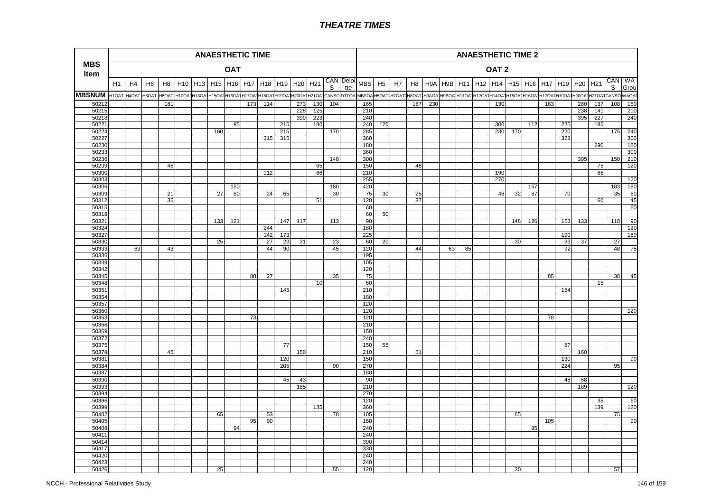|                                                                                                 |    |    |                |                |  | <b>ANAESTHETIC TIME</b>                             |            |     |          |          |     |     |          |                  |            |                |    |                |     |    |    |                  | <b>ANAESTHETIC TIME 2</b>                                       |     |     |          |     |     |             |            |
|-------------------------------------------------------------------------------------------------|----|----|----------------|----------------|--|-----------------------------------------------------|------------|-----|----------|----------|-----|-----|----------|------------------|------------|----------------|----|----------------|-----|----|----|------------------|-----------------------------------------------------------------|-----|-----|----------|-----|-----|-------------|------------|
| <b>MBS</b><br><b>Item</b>                                                                       |    |    |                |                |  |                                                     | <b>OAT</b> |     |          |          |     |     |          |                  |            |                |    |                |     |    |    | OAT <sub>2</sub> |                                                                 |     |     |          |     |     |             |            |
|                                                                                                 | H1 | H4 | H <sub>6</sub> | H <sub>8</sub> |  | H10   H13   H15   H16   H17   H18   H19   H20   H21 |            |     |          |          |     |     | S        | CAN Deloi<br>tte | <b>MBS</b> | H <sub>5</sub> | H7 | H <sub>8</sub> |     |    |    |                  | H9A   H9B   H11   H12   H14   H15   H16   H17   H19   H20   H21 |     |     |          |     |     | CAN WA<br>S | Grou       |
| MBSNUM H10AT H40AT H60AT H80AT H10OATH13OATH15OATH16OATH17OATH18OATH20OATH20OATH20OATCANSODTTOA |    |    |                |                |  |                                                     |            |     |          |          |     |     |          |                  |            |                |    |                |     |    |    |                  |                                                                 |     |     |          |     |     |             |            |
| 50212                                                                                           |    |    |                | 181            |  |                                                     |            | 173 | 114      |          | 273 | 130 | 104      |                  | 165        |                |    | 187            | 230 |    |    | 130              |                                                                 |     | 183 |          | 280 | 137 | 108         | 150        |
| 50215                                                                                           |    |    |                |                |  |                                                     |            |     |          |          | 228 | 125 |          |                  | 210        |                |    |                |     |    |    |                  |                                                                 |     |     |          | 238 | 141 |             | 210        |
| 50218                                                                                           |    |    |                |                |  |                                                     |            |     |          |          | 390 | 223 |          |                  | 240        |                |    |                |     |    |    |                  |                                                                 |     |     |          | 395 | 227 |             | 240        |
| 50221                                                                                           |    |    |                |                |  |                                                     | 95         |     |          | 215      |     | 180 |          |                  | 240        | 170            |    |                |     |    |    | 300              |                                                                 | 112 |     | 225      |     | 185 |             |            |
| 50224                                                                                           |    |    |                |                |  | 160                                                 |            |     |          | 215      |     |     | 170      |                  | 285        |                |    |                |     |    |    | 230              | 170                                                             |     |     | 220      |     |     | 175         | 240        |
| 50227                                                                                           |    |    |                |                |  |                                                     |            |     | 315      | 315      |     |     |          |                  | 360        |                |    |                |     |    |    |                  |                                                                 |     |     | 328      |     |     |             | 300        |
| 50230                                                                                           |    |    |                |                |  |                                                     |            |     |          |          |     |     |          |                  | 180        |                |    |                |     |    |    |                  |                                                                 |     |     |          |     | 290 |             | 180        |
| 50233                                                                                           |    |    |                |                |  |                                                     |            |     |          |          |     |     |          |                  | 360<br>300 |                |    |                |     |    |    |                  |                                                                 |     |     |          | 395 |     |             | 300<br>210 |
| 50236<br>50239                                                                                  |    |    |                | 46             |  |                                                     |            |     |          |          |     | 65  | 148      |                  | 150        |                |    | 48             |     |    |    |                  |                                                                 |     |     |          |     | 75  | 150         | 120        |
| 50300                                                                                           |    |    |                |                |  |                                                     |            |     | 112      |          |     | 66  |          |                  | 210        |                |    |                |     |    |    | 190              |                                                                 |     |     |          |     | 66  |             |            |
| 50303                                                                                           |    |    |                |                |  |                                                     |            |     |          |          |     |     |          |                  | 255        |                |    |                |     |    |    | 270              |                                                                 |     |     |          |     |     |             | 120        |
| 50306                                                                                           |    |    |                |                |  |                                                     | 150        |     |          |          |     |     | 180      |                  | 420        |                |    |                |     |    |    |                  |                                                                 | 157 |     |          |     |     | 183         | 180        |
| 50309                                                                                           |    |    |                | 21             |  | 27                                                  | 80         |     | 24       | 65       |     |     | 30       |                  | 75         | 30             |    | 25             |     |    |    | 46               | 32                                                              | 87  |     | 70       |     |     | 35          | 60         |
| 50312                                                                                           |    |    |                | 36             |  |                                                     |            |     |          |          |     | 51  |          |                  | 120        |                |    | 37             |     |    |    |                  |                                                                 |     |     |          |     | 60  |             | 45         |
| 50315                                                                                           |    |    |                |                |  |                                                     |            |     |          |          |     |     |          |                  | 60         |                |    |                |     |    |    |                  |                                                                 |     |     |          |     |     |             | 60         |
| 50318                                                                                           |    |    |                |                |  |                                                     |            |     |          |          |     |     |          |                  | 60         | 50             |    |                |     |    |    |                  |                                                                 |     |     |          |     |     |             |            |
| 50321                                                                                           |    |    |                |                |  | 133                                                 | 121        |     |          | 147      | 117 |     | 113      |                  | 90         |                |    |                |     |    |    |                  | 148                                                             | 126 |     | 153      | 133 |     | 118         | 90         |
| 50324                                                                                           |    |    |                |                |  |                                                     |            |     | 244      |          |     |     |          |                  | 180        |                |    |                |     |    |    |                  |                                                                 |     |     |          |     |     |             | 120        |
| 50327                                                                                           |    |    |                |                |  |                                                     |            |     | 142      | 173      |     |     |          |                  | 225        |                |    |                |     |    |    |                  |                                                                 |     |     | 190      |     |     |             | 180        |
| 50330<br>50333                                                                                  |    | 63 |                | 43             |  | 25                                                  |            |     | 27<br>44 | 23<br>90 | 31  |     | 23<br>45 |                  | 60<br>120  | 20             |    | 44             |     | 63 | 85 |                  | 30                                                              |     |     | 33<br>92 | 37  |     | 27<br>48    | 75         |
| 50336                                                                                           |    |    |                |                |  |                                                     |            |     |          |          |     |     |          |                  | 195        |                |    |                |     |    |    |                  |                                                                 |     |     |          |     |     |             |            |
| 50339                                                                                           |    |    |                |                |  |                                                     |            |     |          |          |     |     |          |                  | 105        |                |    |                |     |    |    |                  |                                                                 |     |     |          |     |     |             |            |
| 50342                                                                                           |    |    |                |                |  |                                                     |            |     |          |          |     |     |          |                  | 120        |                |    |                |     |    |    |                  |                                                                 |     |     |          |     |     |             |            |
| 50345                                                                                           |    |    |                |                |  |                                                     |            | 80  | 27       |          |     |     | 35       |                  | 75         |                |    |                |     |    |    |                  |                                                                 |     | 85  |          |     |     | 38          | 45         |
| 50348                                                                                           |    |    |                |                |  |                                                     |            |     |          |          |     | 10  |          |                  | 60         |                |    |                |     |    |    |                  |                                                                 |     |     |          |     | 15  |             |            |
| 50351                                                                                           |    |    |                |                |  |                                                     |            |     |          | 145      |     |     |          |                  | 210        |                |    |                |     |    |    |                  |                                                                 |     |     | 154      |     |     |             |            |
| 50354                                                                                           |    |    |                |                |  |                                                     |            |     |          |          |     |     |          |                  | 180        |                |    |                |     |    |    |                  |                                                                 |     |     |          |     |     |             |            |
| 50357                                                                                           |    |    |                |                |  |                                                     |            |     |          |          |     |     |          |                  | 120        |                |    |                |     |    |    |                  |                                                                 |     |     |          |     |     |             |            |
| 50360                                                                                           |    |    |                |                |  |                                                     |            |     |          |          |     |     |          |                  | 120        |                |    |                |     |    |    |                  |                                                                 |     |     |          |     |     |             | 120        |
| 50363                                                                                           |    |    |                |                |  |                                                     |            | 73  |          |          |     |     |          |                  | 120        |                |    |                |     |    |    |                  |                                                                 |     | 78  |          |     |     |             |            |
| 50366                                                                                           |    |    |                |                |  |                                                     |            |     |          |          |     |     |          |                  | 210        |                |    |                |     |    |    |                  |                                                                 |     |     |          |     |     |             |            |
| 50369                                                                                           |    |    |                |                |  |                                                     |            |     |          |          |     |     |          |                  | 150<br>240 |                |    |                |     |    |    |                  |                                                                 |     |     |          |     |     |             |            |
| 50372<br>50375                                                                                  |    |    |                |                |  |                                                     |            |     |          | 77       |     |     |          |                  | 150        | 55             |    |                |     |    |    |                  |                                                                 |     |     | 87       |     |     |             |            |
| 50378                                                                                           |    |    |                | 45             |  |                                                     |            |     |          |          | 150 |     |          |                  | 210        |                |    | 51             |     |    |    |                  |                                                                 |     |     |          | 160 |     |             |            |
| 50381                                                                                           |    |    |                |                |  |                                                     |            |     |          | 120      |     |     |          |                  | 150        |                |    |                |     |    |    |                  |                                                                 |     |     | 130      |     |     |             | 90         |
| 50384                                                                                           |    |    |                |                |  |                                                     |            |     |          | 205      |     |     | 90       |                  | 270        |                |    |                |     |    |    |                  |                                                                 |     |     | 224      |     |     | 95          |            |
| 50387                                                                                           |    |    |                |                |  |                                                     |            |     |          |          |     |     |          |                  | 180        |                |    |                |     |    |    |                  |                                                                 |     |     |          |     |     |             |            |
| 50390                                                                                           |    |    |                |                |  |                                                     |            |     |          | 45       | 43  |     |          |                  | 90         |                |    |                |     |    |    |                  |                                                                 |     |     | 48       | 58  |     |             |            |
| 50393                                                                                           |    |    |                |                |  |                                                     |            |     |          |          | 185 |     |          |                  | 210        |                |    |                |     |    |    |                  |                                                                 |     |     |          | 189 |     |             | 120        |
| 50394                                                                                           |    |    |                |                |  |                                                     |            |     |          |          |     |     |          |                  | 270        |                |    |                |     |    |    |                  |                                                                 |     |     |          |     |     |             |            |
| 50396                                                                                           |    |    |                |                |  |                                                     |            |     |          |          |     |     |          |                  | 120        |                |    |                |     |    |    |                  |                                                                 |     |     |          |     | 35  |             | 60         |
| 50399                                                                                           |    |    |                |                |  |                                                     |            |     |          |          |     | 135 |          |                  | 360        |                |    |                |     |    |    |                  |                                                                 |     |     |          |     | 139 |             | 120        |
| 50402                                                                                           |    |    |                |                |  | 65                                                  |            |     | 53       |          |     |     | 70       |                  | 105        |                |    |                |     |    |    |                  | 65                                                              |     |     |          |     |     | 75          |            |
| 50405<br>50408                                                                                  |    |    |                |                |  |                                                     | 94         | 95  | 90       |          |     |     |          |                  | 150<br>240 |                |    |                |     |    |    |                  |                                                                 | 95  | 105 |          |     |     |             | 90         |
| 50411                                                                                           |    |    |                |                |  |                                                     |            |     |          |          |     |     |          |                  | 240        |                |    |                |     |    |    |                  |                                                                 |     |     |          |     |     |             |            |
| 50414                                                                                           |    |    |                |                |  |                                                     |            |     |          |          |     |     |          |                  | 390        |                |    |                |     |    |    |                  |                                                                 |     |     |          |     |     |             |            |
| 50417                                                                                           |    |    |                |                |  |                                                     |            |     |          |          |     |     |          |                  | 330        |                |    |                |     |    |    |                  |                                                                 |     |     |          |     |     |             |            |
| 50420                                                                                           |    |    |                |                |  |                                                     |            |     |          |          |     |     |          |                  | 240        |                |    |                |     |    |    |                  |                                                                 |     |     |          |     |     |             |            |
| 50423                                                                                           |    |    |                |                |  |                                                     |            |     |          |          |     |     |          |                  | 240        |                |    |                |     |    |    |                  |                                                                 |     |     |          |     |     |             |            |
| 50426                                                                                           |    |    |                |                |  | 25                                                  |            |     |          |          |     |     | 55       |                  | 120        |                |    |                |     |    |    |                  | 30                                                              |     |     |          |     |     | 57          |            |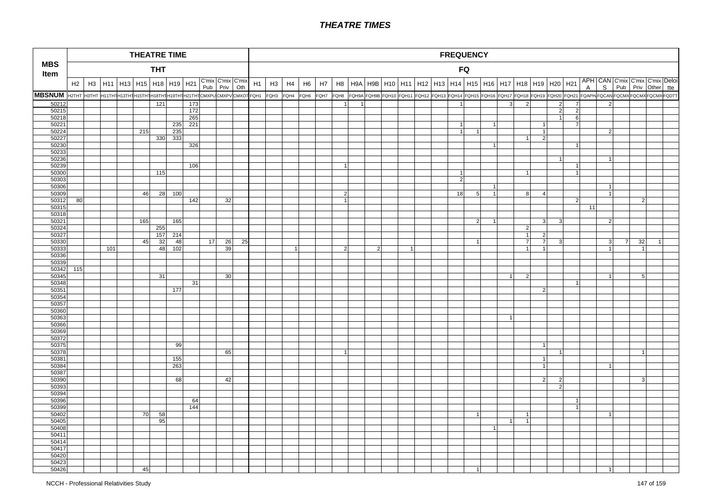|                                                                                                                                                                                                                                |     |                                              |     |            | <b>THEATRE TIME</b> |     |    |          |    |           |              |    |    |                  |                |  |  | <b>FREQUENCY</b> |                |                |                                      |                                                                                        |                |                |                                 |                      |                      |    |  |
|--------------------------------------------------------------------------------------------------------------------------------------------------------------------------------------------------------------------------------|-----|----------------------------------------------|-----|------------|---------------------|-----|----|----------|----|-----------|--------------|----|----|------------------|----------------|--|--|------------------|----------------|----------------|--------------------------------------|----------------------------------------------------------------------------------------|----------------|----------------|---------------------------------|----------------------|----------------------|----|--|
| <b>MBS</b><br>Item                                                                                                                                                                                                             |     |                                              |     | <b>THT</b> |                     |     |    |          |    |           |              |    |    |                  |                |  |  | <b>FQ</b>        |                |                |                                      |                                                                                        |                |                |                                 |                      |                      |    |  |
|                                                                                                                                                                                                                                | H2  | H3 H11 H13 H15 H18 H19 H21 C'mix C'mix C'mix |     |            |                     |     |    |          |    | $H1$ $H3$ | H4           | H6 | H7 |                  |                |  |  |                  |                |                |                                      | H8   H9A   H9B   H10   H11   H12   H13   H14   H15   H16   H17   H18   H19   H20   H21 |                | $\overline{A}$ | APH CAN C'mix C'mix C'mix Deloi | S Pub Priv Other tte |                      |    |  |
| MBSNUM  H2THT  H3THT  H11THT H13THT H15THT H18THT H18THT CMXPU CMXPV CMXOT FQH1  FQH3  FQH4  FQH6  FQH7  FQH8  FQH8  FQH9B FQH19  FQH13  FQH14 FQH14 FQH15 FQH16 FQH17  FQH18 FQH12 FQH2 FQAH2 FQAH2 FQCMX FQCMX FQCMX FQCMX F |     |                                              |     |            |                     |     |    |          |    |           |              |    |    |                  |                |  |  |                  |                |                |                                      |                                                                                        |                |                |                                 |                      |                      |    |  |
| 50212                                                                                                                                                                                                                          |     |                                              |     | 121        |                     | 173 |    |          |    |           |              |    |    | $\overline{1}$   | $\overline{1}$ |  |  | $\overline{1}$   |                |                | $\overline{\mathbf{3}}$<br>$\vert$ 2 | $\overline{2}$                                                                         | $\overline{7}$ |                | $\overline{2}$                  |                      |                      |    |  |
| 50215                                                                                                                                                                                                                          |     |                                              |     |            |                     | 172 |    |          |    |           |              |    |    |                  |                |  |  |                  |                |                |                                      | $\overline{2}$                                                                         | 2              |                |                                 |                      |                      |    |  |
| 50218                                                                                                                                                                                                                          |     |                                              |     |            |                     | 265 |    |          |    |           |              |    |    |                  |                |  |  |                  |                |                |                                      | 1                                                                                      | 6              |                |                                 |                      |                      |    |  |
| 50221                                                                                                                                                                                                                          |     |                                              |     |            | 235                 | 221 |    |          |    |           |              |    |    |                  |                |  |  | 1                |                | 1 <sup>1</sup> |                                      | $\mathbf{1}$                                                                           | $\overline{7}$ |                |                                 |                      |                      |    |  |
| 50224<br>50227                                                                                                                                                                                                                 |     |                                              | 215 | 330        | 235<br>333          |     |    |          |    |           |              |    |    |                  |                |  |  | 1                | 1              |                | 1                                    | 1<br>$\overline{2}$                                                                    |                |                | $\overline{2}$                  |                      |                      |    |  |
| 50230                                                                                                                                                                                                                          |     |                                              |     |            |                     | 326 |    |          |    |           |              |    |    |                  |                |  |  |                  |                | 1              |                                      |                                                                                        | 11             |                |                                 |                      |                      |    |  |
| 50233                                                                                                                                                                                                                          |     |                                              |     |            |                     |     |    |          |    |           |              |    |    |                  |                |  |  |                  |                |                |                                      |                                                                                        |                |                |                                 |                      |                      |    |  |
| 50236                                                                                                                                                                                                                          |     |                                              |     |            |                     |     |    |          |    |           |              |    |    |                  |                |  |  |                  |                |                |                                      | 1                                                                                      |                |                | $\overline{1}$                  |                      |                      |    |  |
| 50239                                                                                                                                                                                                                          |     |                                              |     |            |                     | 106 |    |          |    |           |              |    |    | $\vert$ 1        |                |  |  |                  |                |                |                                      |                                                                                        | $\vert$ 1      |                |                                 |                      |                      |    |  |
| 50300                                                                                                                                                                                                                          |     |                                              |     | 115        |                     |     |    |          |    |           |              |    |    |                  |                |  |  | 1                |                |                | 1                                    |                                                                                        | 1              |                |                                 |                      |                      |    |  |
| 50303                                                                                                                                                                                                                          |     |                                              |     |            |                     |     |    |          |    |           |              |    |    |                  |                |  |  | 2                |                |                |                                      |                                                                                        |                |                |                                 |                      |                      |    |  |
| 50306<br>50309                                                                                                                                                                                                                 |     |                                              | 46  |            | 28 100              |     |    |          |    |           |              |    |    | $\left  \right $ |                |  |  | 18               | 5 <sub>5</sub> | 1<br>1         | 8 <sup>1</sup>                       | $\vert$ 4                                                                              |                |                | $\overline{1}$<br>$\mathbf{1}$  |                      |                      |    |  |
| 50312                                                                                                                                                                                                                          | 80  |                                              |     |            |                     | 142 |    | 32       |    |           |              |    |    | 1                |                |  |  |                  |                |                |                                      |                                                                                        | $\overline{2}$ |                |                                 |                      | $\overline{2}$       |    |  |
| 50315                                                                                                                                                                                                                          |     |                                              |     |            |                     |     |    |          |    |           |              |    |    |                  |                |  |  |                  |                |                |                                      |                                                                                        |                | 11             |                                 |                      |                      |    |  |
| 50318                                                                                                                                                                                                                          |     |                                              |     |            |                     |     |    |          |    |           |              |    |    |                  |                |  |  |                  |                |                |                                      |                                                                                        |                |                |                                 |                      |                      |    |  |
| 50321                                                                                                                                                                                                                          |     |                                              | 165 |            | 165                 |     |    |          |    |           |              |    |    |                  |                |  |  |                  | $\overline{2}$ | 1              |                                      | 3 <sup>1</sup><br>$\mathbf{3}$                                                         |                |                | $\overline{2}$                  |                      |                      |    |  |
| 50324                                                                                                                                                                                                                          |     |                                              |     | 255        |                     |     |    |          |    |           |              |    |    |                  |                |  |  |                  |                |                | $\left  \right $                     |                                                                                        |                |                |                                 |                      |                      |    |  |
| 50327                                                                                                                                                                                                                          |     |                                              |     | 157        | 214                 |     |    |          |    |           |              |    |    |                  |                |  |  |                  |                |                | 1                                    | $\overline{2}$                                                                         |                |                |                                 |                      |                      |    |  |
| 50330                                                                                                                                                                                                                          |     | 101                                          | 45  | 32<br>48   | 48                  |     | 17 | 26<br>39 | 25 |           | $\mathbf{1}$ |    |    | $\overline{2}$   | 2              |  |  |                  | $\vert$ 1      |                | $\overline{7}$<br>1                  | $\overline{7}$<br>$\mathbf{3}$<br>$\overline{1}$                                       |                |                | $\mathbf{3}$<br>$\mathbf{1}$    | 7 <sup>1</sup>       | 32<br>$\overline{1}$ | -1 |  |
| 50333<br>50336                                                                                                                                                                                                                 |     |                                              |     |            | 102                 |     |    |          |    |           |              |    |    |                  |                |  |  |                  |                |                |                                      |                                                                                        |                |                |                                 |                      |                      |    |  |
| 50339                                                                                                                                                                                                                          |     |                                              |     |            |                     |     |    |          |    |           |              |    |    |                  |                |  |  |                  |                |                |                                      |                                                                                        |                |                |                                 |                      |                      |    |  |
| 50342                                                                                                                                                                                                                          | 115 |                                              |     |            |                     |     |    |          |    |           |              |    |    |                  |                |  |  |                  |                |                |                                      |                                                                                        |                |                |                                 |                      |                      |    |  |
| 50345                                                                                                                                                                                                                          |     |                                              |     | 31         |                     |     |    | 30       |    |           |              |    |    |                  |                |  |  |                  |                |                | $\overline{1}$<br>$\overline{2}$     |                                                                                        |                |                | $\overline{1}$                  |                      | 5 <sub>l</sub>       |    |  |
| 50348                                                                                                                                                                                                                          |     |                                              |     |            |                     | 31  |    |          |    |           |              |    |    |                  |                |  |  |                  |                |                |                                      |                                                                                        | 1              |                |                                 |                      |                      |    |  |
| 50351                                                                                                                                                                                                                          |     |                                              |     |            | 177                 |     |    |          |    |           |              |    |    |                  |                |  |  |                  |                |                |                                      | $\overline{2}$                                                                         |                |                |                                 |                      |                      |    |  |
| 50354                                                                                                                                                                                                                          |     |                                              |     |            |                     |     |    |          |    |           |              |    |    |                  |                |  |  |                  |                |                |                                      |                                                                                        |                |                |                                 |                      |                      |    |  |
| 50357                                                                                                                                                                                                                          |     |                                              |     |            |                     |     |    |          |    |           |              |    |    |                  |                |  |  |                  |                |                |                                      |                                                                                        |                |                |                                 |                      |                      |    |  |
| 50360<br>50363                                                                                                                                                                                                                 |     |                                              |     |            |                     |     |    |          |    |           |              |    |    |                  |                |  |  |                  |                |                | $\mathbf{1}$                         |                                                                                        |                |                |                                 |                      |                      |    |  |
| 50366                                                                                                                                                                                                                          |     |                                              |     |            |                     |     |    |          |    |           |              |    |    |                  |                |  |  |                  |                |                |                                      |                                                                                        |                |                |                                 |                      |                      |    |  |
| 50369                                                                                                                                                                                                                          |     |                                              |     |            |                     |     |    |          |    |           |              |    |    |                  |                |  |  |                  |                |                |                                      |                                                                                        |                |                |                                 |                      |                      |    |  |
| 50372                                                                                                                                                                                                                          |     |                                              |     |            |                     |     |    |          |    |           |              |    |    |                  |                |  |  |                  |                |                |                                      |                                                                                        |                |                |                                 |                      |                      |    |  |
| 50375                                                                                                                                                                                                                          |     |                                              |     |            | 99                  |     |    |          |    |           |              |    |    |                  |                |  |  |                  |                |                |                                      | $\mathbf{1}$                                                                           |                |                |                                 |                      |                      |    |  |
| 50378                                                                                                                                                                                                                          |     |                                              |     |            |                     |     |    | 65       |    |           |              |    |    | 1                |                |  |  |                  |                |                |                                      | 1                                                                                      |                |                |                                 |                      | $\mathbf{1}$         |    |  |
| 50381                                                                                                                                                                                                                          |     |                                              |     |            | 155                 |     |    |          |    |           |              |    |    |                  |                |  |  |                  |                |                |                                      | $\mathbf{1}$<br>$\mathbf{1}$                                                           |                |                |                                 |                      |                      |    |  |
| 50384<br>50387                                                                                                                                                                                                                 |     |                                              |     |            | 263                 |     |    |          |    |           |              |    |    |                  |                |  |  |                  |                |                |                                      |                                                                                        |                |                | $\mathbf{1}$                    |                      |                      |    |  |
| 50390                                                                                                                                                                                                                          |     |                                              |     |            | 68                  |     |    | 42       |    |           |              |    |    |                  |                |  |  |                  |                |                |                                      | 2 <sup>1</sup><br>$\overline{2}$                                                       |                |                |                                 |                      | $\mathbf{3}$         |    |  |
| 50393                                                                                                                                                                                                                          |     |                                              |     |            |                     |     |    |          |    |           |              |    |    |                  |                |  |  |                  |                |                |                                      | $\overline{2}$                                                                         |                |                |                                 |                      |                      |    |  |
| 50394                                                                                                                                                                                                                          |     |                                              |     |            |                     |     |    |          |    |           |              |    |    |                  |                |  |  |                  |                |                |                                      |                                                                                        |                |                |                                 |                      |                      |    |  |
| 50396                                                                                                                                                                                                                          |     |                                              |     |            |                     | 64  |    |          |    |           |              |    |    |                  |                |  |  |                  |                |                |                                      |                                                                                        | $\mathbf{1}$   |                |                                 |                      |                      |    |  |
| 50399                                                                                                                                                                                                                          |     |                                              |     |            |                     | 144 |    |          |    |           |              |    |    |                  |                |  |  |                  |                |                |                                      |                                                                                        | 1 <sup>1</sup> |                |                                 |                      |                      |    |  |
| 50402                                                                                                                                                                                                                          |     |                                              | 70  | 58         |                     |     |    |          |    |           |              |    |    |                  |                |  |  |                  |                |                | $\mathbf{1}$                         |                                                                                        |                |                | $\mathbf{1}$                    |                      |                      |    |  |
| 50405<br>50408                                                                                                                                                                                                                 |     |                                              |     | 95         |                     |     |    |          |    |           |              |    |    |                  |                |  |  |                  |                | 1 <sup>1</sup> | 1<br>1                               |                                                                                        |                |                |                                 |                      |                      |    |  |
| 50411                                                                                                                                                                                                                          |     |                                              |     |            |                     |     |    |          |    |           |              |    |    |                  |                |  |  |                  |                |                |                                      |                                                                                        |                |                |                                 |                      |                      |    |  |
| 50414                                                                                                                                                                                                                          |     |                                              |     |            |                     |     |    |          |    |           |              |    |    |                  |                |  |  |                  |                |                |                                      |                                                                                        |                |                |                                 |                      |                      |    |  |
| 50417                                                                                                                                                                                                                          |     |                                              |     |            |                     |     |    |          |    |           |              |    |    |                  |                |  |  |                  |                |                |                                      |                                                                                        |                |                |                                 |                      |                      |    |  |
| 50420                                                                                                                                                                                                                          |     |                                              |     |            |                     |     |    |          |    |           |              |    |    |                  |                |  |  |                  |                |                |                                      |                                                                                        |                |                |                                 |                      |                      |    |  |
| 50423                                                                                                                                                                                                                          |     |                                              |     |            |                     |     |    |          |    |           |              |    |    |                  |                |  |  |                  |                |                |                                      |                                                                                        |                |                |                                 |                      |                      |    |  |
| 50426                                                                                                                                                                                                                          |     |                                              | 45  |            |                     |     |    |          |    |           |              |    |    |                  |                |  |  |                  | 1              |                |                                      |                                                                                        |                |                | 1                               |                      |                      |    |  |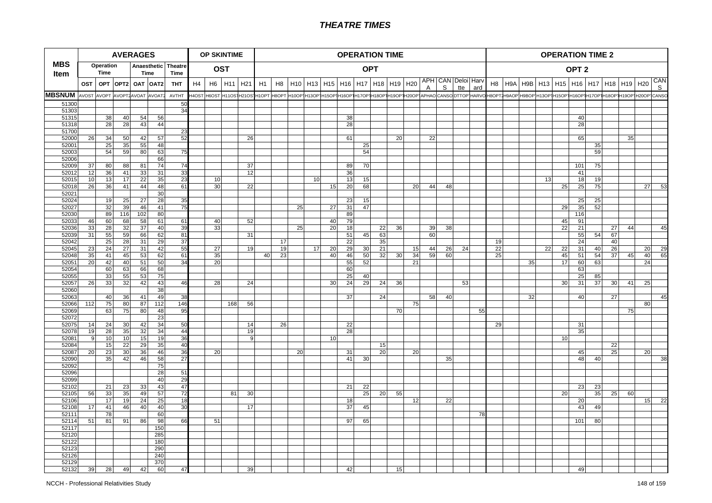|                           |          |                   |                       | <b>AVERAGES</b>   |                 |                                      |    |                 | OP SKINTIME                                                                                                                                                                  |    |    |          |    |    |                                                    |          |                       | <b>OPERATION TIME</b> |    |          |                               |          |     |     |          |    |    |          | <b>OPERATION TIME 2</b> |          |                 |                                                          |    |                      |
|---------------------------|----------|-------------------|-----------------------|-------------------|-----------------|--------------------------------------|----|-----------------|------------------------------------------------------------------------------------------------------------------------------------------------------------------------------|----|----|----------|----|----|----------------------------------------------------|----------|-----------------------|-----------------------|----|----------|-------------------------------|----------|-----|-----|----------|----|----|----------|-------------------------|----------|-----------------|----------------------------------------------------------|----|----------------------|
| <b>MBS</b><br><b>Item</b> |          | Operation<br>Time |                       | <b>Time</b>       |                 | Anaesthetic Theatre<br>Time          |    |                 | <b>OST</b>                                                                                                                                                                   |    |    |          |    |    |                                                    |          | <b>OPT</b>            |                       |    |          |                               |          |     |     |          |    |    |          | OPT <sub>2</sub>        |          |                 |                                                          |    |                      |
|                           | OST      |                   |                       | OPT OPT2 OAT OAT2 |                 | <b>THT</b>                           | H4 |                 | H6 H11 H21                                                                                                                                                                   |    | H1 |          |    |    | H8   H10   H13   H15   H16   H17   H18   H19   H20 |          |                       |                       |    |          | APH   CAN   Deloi   Harv<br>A | S.       | tte | ard |          |    |    |          |                         |          |                 | H8   H9A   H9B   H13   H15   H16   H17   H18   H19   H20 |    | CAN<br>$\mathcal{S}$ |
| <b>MBSNUM</b>             |          |                   |                       |                   |                 | AVOST AVOPT AVOPTZAVOAT AVOATZ AVTHT |    |                 | H4OST H6OST H11OSTH21OS H1OPT H8OPT H10OPTH13OPTH15OPTH16OPTH17OPTH18OPTH19OPTH20OPTAPHAO CANSO DTTOP HARVO H8OPT H9AOP H9BOP H13OP H13OPTH15OPTH16OPTH13OPTH18OPTH2OPTCANSC |    |    |          |    |    |                                                    |          |                       |                       |    |          |                               |          |     |     |          |    |    |          |                         |          |                 |                                                          |    |                      |
| 51300                     |          |                   |                       |                   |                 | 50                                   |    |                 |                                                                                                                                                                              |    |    |          |    |    |                                                    |          |                       |                       |    |          |                               |          |     |     |          |    |    |          |                         |          |                 |                                                          |    |                      |
| 51303<br>51315            |          | 38                | 40                    | 54                | 56              | 34                                   |    |                 |                                                                                                                                                                              |    |    |          |    |    |                                                    | 38       |                       |                       |    |          |                               |          |     |     |          |    |    |          | 40                      |          |                 |                                                          |    |                      |
| 51318                     |          | 28                | 28                    | 43                | 44              |                                      |    |                 |                                                                                                                                                                              |    |    |          |    |    |                                                    | 28       |                       |                       |    |          |                               |          |     |     |          |    |    |          | 28                      |          |                 |                                                          |    |                      |
| 51700                     |          |                   |                       |                   |                 | 23                                   |    |                 |                                                                                                                                                                              |    |    |          |    |    |                                                    |          |                       |                       |    |          |                               |          |     |     |          |    |    |          |                         |          |                 |                                                          |    |                      |
| 52000                     | 26       | 34                | 50                    | 42                | 57              | 52                                   |    |                 |                                                                                                                                                                              | 26 |    |          |    |    |                                                    | 61       |                       |                       | 20 |          | 22                            |          |     |     |          |    |    |          | 65                      |          |                 | 35                                                       |    |                      |
| 52001<br>52003            |          | 25<br>54          | 35<br>59              | 55<br>80          | 48<br>63        | 75                                   |    |                 |                                                                                                                                                                              |    |    |          |    |    |                                                    |          | 25<br>54              |                       |    |          |                               |          |     |     |          |    |    |          |                         | 35<br>59 |                 |                                                          |    |                      |
| 52006                     |          |                   |                       |                   | 66              |                                      |    |                 |                                                                                                                                                                              |    |    |          |    |    |                                                    |          |                       |                       |    |          |                               |          |     |     |          |    |    |          |                         |          |                 |                                                          |    |                      |
| 52009                     | 37       | 80                | 88                    | 81                | 74              | 74                                   |    |                 |                                                                                                                                                                              | 37 |    |          |    |    |                                                    | 89       | 70                    |                       |    |          |                               |          |     |     |          |    |    |          | 101                     | 75       |                 |                                                          |    |                      |
| 52012<br>52015            | 12<br>10 | 36<br>13          | 41<br>17              | 33<br>22          | 31<br>35        | 33                                   |    | 10 <sup>1</sup> |                                                                                                                                                                              | 12 |    |          |    | 10 |                                                    | 36       | 15                    |                       |    |          |                               |          |     |     |          |    | 13 |          | 41<br>18                | 19       |                 |                                                          |    |                      |
| 52018                     | 26       | 36                | 41                    | 44                | 48              | 23<br>61                             |    |                 | 30                                                                                                                                                                           | 22 |    |          |    |    | 15                                                 | 13<br>20 | 68                    |                       |    | 20       | 44                            | 48       |     |     |          |    |    | 25       | 25                      | 75       |                 |                                                          | 27 | 53                   |
| 52021                     |          |                   |                       |                   | 30 <sup>°</sup> |                                      |    |                 |                                                                                                                                                                              |    |    |          |    |    |                                                    |          |                       |                       |    |          |                               |          |     |     |          |    |    |          |                         |          |                 |                                                          |    |                      |
| 52024                     |          | 19                | 25                    | 27                | 28              | 35                                   |    |                 |                                                                                                                                                                              |    |    |          |    |    |                                                    | 23       | 15                    |                       |    |          |                               |          |     |     |          |    |    |          | 25                      | 25       |                 |                                                          |    |                      |
| 52027<br>52030            |          | 32<br>89          | 39<br>116             | 46<br>102         | 41<br>80        | 75                                   |    |                 |                                                                                                                                                                              |    |    |          | 25 |    | 27                                                 | 31<br>89 | 47                    |                       |    |          |                               |          |     |     |          |    |    | 29       | 35<br>116               | 52       |                 |                                                          |    |                      |
| 52033                     | 46       | 60                | 68                    | 58                | 61              | 61                                   |    | 40              |                                                                                                                                                                              | 52 |    |          |    |    | 40                                                 | 79       |                       |                       |    |          |                               |          |     |     |          |    |    | 45       | 91                      |          |                 |                                                          |    |                      |
| 52036                     | 33       | 28                | 32                    | 37                | 40              | 39                                   |    | 33              |                                                                                                                                                                              |    |    |          | 25 |    | 20                                                 | 18       |                       | 22                    | 36 |          | 39                            | 38       |     |     |          |    |    | 22       | 21                      |          | 27              | 44                                                       |    | 45                   |
| 52039                     | 31       | 55                | 59                    | 66                | 62              | 81                                   |    |                 |                                                                                                                                                                              | 31 |    |          |    |    |                                                    | 51       | 45                    | 63                    |    |          | 60                            |          |     |     |          |    |    |          | 55                      | 54       | 67              |                                                          |    |                      |
| 52042<br>52045            |          | 25<br>24          | 28<br>27              | 31<br>31          | 29<br>42        | 37<br>55                             |    | 27              |                                                                                                                                                                              | 19 |    | 17<br>19 |    | 17 |                                                    | 22<br>29 |                       | 35<br>21              |    |          |                               |          | 24  |     | 19<br>22 |    | 22 |          | 24<br>31                | 40       | 40<br>26        |                                                          | 20 |                      |
| 52048                     | 23<br>35 | 41                | 45                    | 53                | 62              | 61                                   |    | 35              |                                                                                                                                                                              |    | 40 | 23       |    |    | 20<br>40                                           | 46       | 30 <sup>°</sup><br>50 | 32                    | 30 | 15<br>34 | 44<br>59                      | 26<br>60 |     |     | 25       |    |    | 22<br>45 | 51                      | 54       | 37              | 45                                                       | 40 | 29<br>65             |
| 52051                     | 20       | 42                | 40                    | 51                | 50              | 34                                   |    | 20              |                                                                                                                                                                              |    |    |          |    |    |                                                    | 55       | 52                    |                       |    | 21       |                               |          |     |     |          | 35 |    | 17       | 60                      | 63       |                 |                                                          | 24 |                      |
| 52054                     |          | 60                | 63                    | 66                | 68              |                                      |    |                 |                                                                                                                                                                              |    |    |          |    |    |                                                    | 60       |                       |                       |    |          |                               |          |     |     |          |    |    |          | 63                      |          |                 |                                                          |    |                      |
| 52055                     |          | 33<br>33          | 55<br>32              | 53<br>42          | 75<br>43        |                                      |    |                 |                                                                                                                                                                              |    |    |          |    |    |                                                    | 25<br>24 | 40                    |                       | 36 |          |                               |          | 53  |     |          |    |    |          | 25<br>31                | 85<br>37 |                 |                                                          | 25 |                      |
| 52057<br>52060            | 26       |                   |                       |                   | 38              | 46                                   |    | 28              |                                                                                                                                                                              | 24 |    |          |    |    | 30                                                 |          | 29                    | 24                    |    |          |                               |          |     |     |          |    |    | 30       |                         |          | 30 <sup>1</sup> | 41                                                       |    |                      |
| 52063                     |          | 40                | 36                    | 41                | 49              | 38                                   |    |                 |                                                                                                                                                                              |    |    |          |    |    |                                                    | 37       |                       | 24                    |    |          | 58                            | 40       |     |     |          | 32 |    |          | 40                      |          | 27              |                                                          |    | 45                   |
| 52066                     | 112      | 75                | 80                    | 87                | $112$           | 146                                  |    |                 | 168                                                                                                                                                                          | 56 |    |          |    |    |                                                    |          |                       |                       |    | 75       |                               |          |     |     |          |    |    |          |                         |          |                 |                                                          | 80 |                      |
| 52069<br>52072            |          | 63                | 75                    | 80                | 48<br>23        | 95                                   |    |                 |                                                                                                                                                                              |    |    |          |    |    |                                                    |          |                       |                       | 70 |          |                               |          |     | 55  |          |    |    |          |                         |          |                 | 75                                                       |    |                      |
| 52075                     | 14       | 24                | 30 <sup>1</sup>       | 42                | 34              | 50                                   |    |                 |                                                                                                                                                                              | 14 |    | 26       |    |    |                                                    | 22       |                       |                       |    |          |                               |          |     |     | 29       |    |    |          | 31                      |          |                 |                                                          |    |                      |
| 52078                     | 19       | 28                | 35                    | 32                | 34              | 44                                   |    |                 |                                                                                                                                                                              | 19 |    |          |    |    |                                                    | 28       |                       |                       |    |          |                               |          |     |     |          |    |    |          | 35                      |          |                 |                                                          |    |                      |
| 52081                     | 9        | 10                | 10                    | 15                | 19              | 36                                   |    |                 |                                                                                                                                                                              | 9  |    |          |    |    | 10                                                 |          |                       |                       |    |          |                               |          |     |     |          |    |    | 10       |                         |          |                 |                                                          |    |                      |
| 52084<br>52087            | 20       | 15<br>23          | 22<br>30 <sup>1</sup> | 29<br>36          | 35<br>46        | 40<br>36                             |    | 20              |                                                                                                                                                                              |    |    |          | 20 |    |                                                    | 31       |                       | 15<br>20              |    | 20       |                               |          |     |     |          |    |    |          | 45                      |          | 22<br>25        |                                                          | 20 |                      |
| 52090                     |          | 35                | 42                    | 46                | 58              | $\overline{27}$                      |    |                 |                                                                                                                                                                              |    |    |          |    |    |                                                    | 41       | 30                    |                       |    |          |                               | 35       |     |     |          |    |    |          | 48                      | 40       |                 |                                                          |    | 38                   |
| 52092                     |          |                   |                       |                   | 75              |                                      |    |                 |                                                                                                                                                                              |    |    |          |    |    |                                                    |          |                       |                       |    |          |                               |          |     |     |          |    |    |          |                         |          |                 |                                                          |    |                      |
| 52096                     |          |                   |                       |                   | 28              | 51                                   |    |                 |                                                                                                                                                                              |    |    |          |    |    |                                                    |          |                       |                       |    |          |                               |          |     |     |          |    |    |          |                         |          |                 |                                                          |    |                      |
| 52099<br>52102            |          | 21                | 23                    | 33                | 40<br>43        | 29<br>47                             |    |                 |                                                                                                                                                                              |    |    |          |    |    |                                                    | 21       | 22                    |                       |    |          |                               |          |     |     |          |    |    |          | 23                      | 23       |                 |                                                          |    |                      |
| 52105                     | 56       | 33                | 35                    | 49                | 57              | 72                                   |    |                 | 81                                                                                                                                                                           | 30 |    |          |    |    |                                                    |          | 25                    | 20                    | 55 |          |                               |          |     |     |          |    |    | 20       |                         | 35       | 25              | 60                                                       |    |                      |
| 52106                     |          | 17                | 19                    | 24                | 25              | 18                                   |    |                 |                                                                                                                                                                              |    |    |          |    |    |                                                    | 18       |                       |                       |    | 12       |                               | 22       |     |     |          |    |    |          | 20                      |          |                 |                                                          | 15 | 22                   |
| 52108                     | 17       | 41                | 46                    | 40                | 40              | 30                                   |    |                 |                                                                                                                                                                              | 17 |    |          |    |    |                                                    | 37       | 45                    |                       |    |          |                               |          |     |     |          |    |    |          | 43                      | 49       |                 |                                                          |    |                      |
| 52111<br>52114            | 51       | 78<br>81          | 91                    | 86                | 60<br>98        | 66                                   |    | 51              |                                                                                                                                                                              |    |    |          |    |    |                                                    | 97       | 65                    |                       |    |          |                               |          |     | 78  |          |    |    |          | 101                     | 80       |                 |                                                          |    |                      |
| 52117                     |          |                   |                       |                   | 150             |                                      |    |                 |                                                                                                                                                                              |    |    |          |    |    |                                                    |          |                       |                       |    |          |                               |          |     |     |          |    |    |          |                         |          |                 |                                                          |    |                      |
| 52120                     |          |                   |                       |                   | 285             |                                      |    |                 |                                                                                                                                                                              |    |    |          |    |    |                                                    |          |                       |                       |    |          |                               |          |     |     |          |    |    |          |                         |          |                 |                                                          |    |                      |
| 52122                     |          |                   |                       |                   | 180             |                                      |    |                 |                                                                                                                                                                              |    |    |          |    |    |                                                    |          |                       |                       |    |          |                               |          |     |     |          |    |    |          |                         |          |                 |                                                          |    |                      |
| 52123<br>52126            |          |                   |                       |                   | 290<br>240      |                                      |    |                 |                                                                                                                                                                              |    |    |          |    |    |                                                    |          |                       |                       |    |          |                               |          |     |     |          |    |    |          |                         |          |                 |                                                          |    |                      |
| 52129                     |          |                   |                       |                   | 370             |                                      |    |                 |                                                                                                                                                                              |    |    |          |    |    |                                                    |          |                       |                       |    |          |                               |          |     |     |          |    |    |          |                         |          |                 |                                                          |    |                      |
| 52132                     | 39       | 28                | 49                    | 42                | 60              | 47                                   |    |                 |                                                                                                                                                                              | 39 |    |          |    |    |                                                    | 42       |                       |                       | 15 |          |                               |          |     |     |          |    |    |          | 49                      |          |                 |                                                          |    |                      |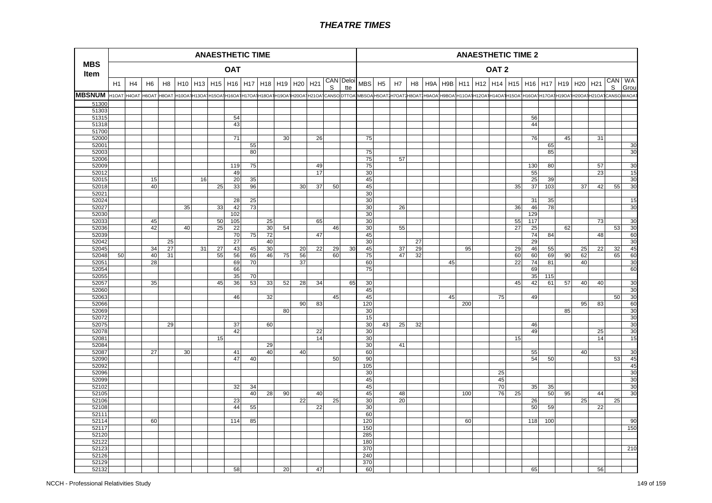|                |    |    |                                                                                                                                                             |                |    |    | <b>ANAESTHETIC TIME</b> |                 |    |          |    |    |                 |    |                  |            |                |                                                                                                   |                |     |    |         |                  | <b>ANAESTHETIC TIME 2</b> |           |          |    |                                               |    |              |                                                                     |
|----------------|----|----|-------------------------------------------------------------------------------------------------------------------------------------------------------------|----------------|----|----|-------------------------|-----------------|----|----------|----|----|-----------------|----|------------------|------------|----------------|---------------------------------------------------------------------------------------------------|----------------|-----|----|---------|------------------|---------------------------|-----------|----------|----|-----------------------------------------------|----|--------------|---------------------------------------------------------------------|
| <b>MBS</b>     |    |    |                                                                                                                                                             |                |    |    |                         | <b>OAT</b>      |    |          |    |    |                 |    |                  |            |                |                                                                                                   |                |     |    |         | OAT <sub>2</sub> |                           |           |          |    |                                               |    |              |                                                                     |
| <b>Item</b>    | H1 | H4 | H <sub>6</sub>                                                                                                                                              | H <sub>8</sub> |    |    |                         |                 |    |          |    |    |                 |    | CAN Deloi<br>tte | <b>MBS</b> | H <sub>5</sub> | H7                                                                                                | H <sub>8</sub> | H9A |    | H9B H11 |                  |                           |           |          |    | H12   H14   H15   H16   H17   H19   H20   H21 |    | CAN WA<br>S. | Grou                                                                |
|                |    |    | H10   H13   H15   H16   H17   H18   H19   H20   H21<br>S<br>MBSNUM H10AT H40AT H60AT H80AT H10OATH13OATH15OATH16OATH17OATH18OATH20OATH20OATH20OATCANSODTTOA |                |    |    |                         |                 |    |          |    |    |                 |    |                  |            |                | MBOAWOSHADTAOTHTAOOTHTAOTHTAOTHTAOTHTAOTHTAOATHTAOATHTAOTHTAOTHTAOTHTAOAHTAOTHTAOTHTAOTHTAOTHAOBH |                |     |    |         |                  |                           |           |          |    |                                               |    |              |                                                                     |
| 51300          |    |    |                                                                                                                                                             |                |    |    |                         |                 |    |          |    |    |                 |    |                  |            |                |                                                                                                   |                |     |    |         |                  |                           |           |          |    |                                               |    |              |                                                                     |
| 51303          |    |    |                                                                                                                                                             |                |    |    |                         |                 |    |          |    |    |                 |    |                  |            |                |                                                                                                   |                |     |    |         |                  |                           |           |          |    |                                               |    |              |                                                                     |
| 51315          |    |    |                                                                                                                                                             |                |    |    |                         | 54              |    |          |    |    |                 |    |                  |            |                |                                                                                                   |                |     |    |         |                  |                           | 56        |          |    |                                               |    |              |                                                                     |
| 51318          |    |    |                                                                                                                                                             |                |    |    |                         | 43              |    |          |    |    |                 |    |                  |            |                |                                                                                                   |                |     |    |         |                  |                           | 44        |          |    |                                               |    |              |                                                                     |
| 51700          |    |    |                                                                                                                                                             |                |    |    |                         | 71              |    |          | 30 |    |                 |    |                  |            |                |                                                                                                   |                |     |    |         |                  |                           |           |          |    |                                               | 31 |              |                                                                     |
| 52000<br>52001 |    |    |                                                                                                                                                             |                |    |    |                         |                 | 55 |          |    |    | 26              |    |                  | 75         |                |                                                                                                   |                |     |    |         |                  |                           | 76        | 65       | 45 |                                               |    |              | 30                                                                  |
| 52003          |    |    |                                                                                                                                                             |                |    |    |                         |                 | 80 |          |    |    |                 |    |                  | 75         |                |                                                                                                   |                |     |    |         |                  |                           |           | 85       |    |                                               |    |              | 30                                                                  |
| 52006          |    |    |                                                                                                                                                             |                |    |    |                         |                 |    |          |    |    |                 |    |                  | 75         |                | 57                                                                                                |                |     |    |         |                  |                           |           |          |    |                                               |    |              |                                                                     |
| 52009          |    |    |                                                                                                                                                             |                |    |    |                         | 119             | 75 |          |    |    | 49              |    |                  | 75         |                |                                                                                                   |                |     |    |         |                  |                           | 130       | 80       |    |                                               | 57 |              | 30                                                                  |
| 52012          |    |    |                                                                                                                                                             |                |    |    |                         | 49              |    |          |    |    | 17              |    |                  | 30         |                |                                                                                                   |                |     |    |         |                  |                           | 55        |          |    |                                               | 23 |              | 15                                                                  |
| 52015          |    |    | 15                                                                                                                                                          |                |    | 16 |                         | 20              | 35 |          |    |    |                 |    |                  | 45         |                |                                                                                                   |                |     |    |         |                  |                           | 25        | 39       |    |                                               |    |              | 30                                                                  |
| 52018          |    |    | 40                                                                                                                                                          |                |    |    | 25                      | 33              | 96 |          |    | 30 | 37              | 50 |                  | 45         |                |                                                                                                   |                |     |    |         |                  | 35                        | 37        | 103      |    | 37                                            | 42 | 55           | 30                                                                  |
| 52021          |    |    |                                                                                                                                                             |                |    |    |                         |                 |    |          |    |    |                 |    |                  | 30         |                |                                                                                                   |                |     |    |         |                  |                           |           |          |    |                                               |    |              |                                                                     |
| 52024          |    |    |                                                                                                                                                             |                | 35 |    | 33                      | 28              | 25 |          |    |    |                 |    |                  | 30         |                |                                                                                                   |                |     |    |         |                  |                           | 31        | 35<br>78 |    |                                               |    |              | 15<br>30                                                            |
| 52027<br>52030 |    |    |                                                                                                                                                             |                |    |    |                         | 42<br>102       | 73 |          |    |    |                 |    |                  | 30<br>30   |                | 26                                                                                                |                |     |    |         |                  | 36                        | 46<br>129 |          |    |                                               |    |              |                                                                     |
| 52033          |    |    | 45                                                                                                                                                          |                |    |    | 50                      | 105             |    | 25       |    |    | 65              |    |                  | 30         |                |                                                                                                   |                |     |    |         |                  | 55                        | 117       |          |    |                                               | 73 |              | 30                                                                  |
| 52036          |    |    | 42                                                                                                                                                          |                | 40 |    | 25                      | 22              |    | 30       | 54 |    |                 | 46 |                  | 30         |                | 55                                                                                                |                |     |    |         |                  | 27                        | 25        |          | 62 |                                               |    | 53           |                                                                     |
| 52039          |    |    |                                                                                                                                                             |                |    |    |                         | 70              | 75 | 72       |    |    | 47              |    |                  | 45         |                |                                                                                                   |                |     |    |         |                  |                           | 74        | 84       |    |                                               | 48 |              | $\frac{30}{60}$                                                     |
| 52042          |    |    |                                                                                                                                                             | 25             |    |    |                         | $\overline{27}$ |    | 40       |    |    |                 |    |                  | 30         |                |                                                                                                   | 27             |     |    |         |                  |                           | 29        |          |    |                                               |    |              | 30                                                                  |
| 52045          |    |    | 34                                                                                                                                                          | 27             |    | 31 | 27                      | 43              | 45 | 30       |    | 20 | $\overline{22}$ | 29 | 30               | 45         |                | 37                                                                                                | 29             |     |    | 95      |                  | 29                        | 46        | 55       |    | 25                                            | 22 | 32           | $\frac{45}{60}$                                                     |
| 52048          | 50 |    | 40                                                                                                                                                          | 31             |    |    | 55                      | 56              | 65 | 46       | 75 | 56 |                 | 60 |                  | 75         |                | 47                                                                                                | 32             |     |    |         |                  | 60                        | 60        | 69       | 90 | 62                                            |    | 65           |                                                                     |
| 52051          |    |    | 28                                                                                                                                                          |                |    |    |                         | 69              | 70 |          |    | 37 |                 |    |                  | 60         |                |                                                                                                   |                |     | 45 |         |                  | 22                        | 74        | 81       |    | 40                                            |    |              | 30                                                                  |
| 52054          |    |    |                                                                                                                                                             |                |    |    |                         | 66              |    |          |    |    |                 |    |                  | 75         |                |                                                                                                   |                |     |    |         |                  |                           | 69        |          |    |                                               |    |              | 60                                                                  |
| 52055          |    |    |                                                                                                                                                             |                |    |    |                         | 35              | 70 |          |    |    | 34              |    | 65               | 30         |                |                                                                                                   |                |     |    |         |                  |                           | 35        | 115      |    |                                               | 40 |              | 30                                                                  |
| 52057<br>52060 |    |    | 35                                                                                                                                                          |                |    |    | 45                      | 36              | 53 | 33       | 52 | 28 |                 |    |                  | 45         |                |                                                                                                   |                |     |    |         |                  | 45                        | 42        | 61       | 57 | 40                                            |    |              |                                                                     |
| 52063          |    |    |                                                                                                                                                             |                |    |    |                         | 46              |    | 32       |    |    |                 | 45 |                  | 45         |                |                                                                                                   |                |     | 45 |         | 75               |                           | 49        |          |    |                                               |    | 50           | $\frac{30}{30}$                                                     |
| 52066          |    |    |                                                                                                                                                             |                |    |    |                         |                 |    |          |    | 90 | 83              |    |                  | 120        |                |                                                                                                   |                |     |    | 200     |                  |                           |           |          |    | 95                                            | 83 |              | 60                                                                  |
| 52069          |    |    |                                                                                                                                                             |                |    |    |                         |                 |    |          | 80 |    |                 |    |                  | 30         |                |                                                                                                   |                |     |    |         |                  |                           |           |          | 85 |                                               |    |              |                                                                     |
| 52072          |    |    |                                                                                                                                                             |                |    |    |                         |                 |    |          |    |    |                 |    |                  | 15         |                |                                                                                                   |                |     |    |         |                  |                           |           |          |    |                                               |    |              | $\begin{array}{r} 30 \\ 30 \\ 30 \end{array}$                       |
| 52075          |    |    |                                                                                                                                                             | 29             |    |    |                         | 37              |    | 60       |    |    |                 |    |                  | 30         | 43             | 25                                                                                                | 32             |     |    |         |                  |                           | 46        |          |    |                                               |    |              |                                                                     |
| 52078          |    |    |                                                                                                                                                             |                |    |    |                         | 42              |    |          |    |    | 22              |    |                  | 30         |                |                                                                                                   |                |     |    |         |                  |                           | 49        |          |    |                                               | 25 |              | $\overline{30}$                                                     |
| 52081          |    |    |                                                                                                                                                             |                |    |    | 15                      |                 |    |          |    |    | 14              |    |                  | 30         |                |                                                                                                   |                |     |    |         |                  | 15                        |           |          |    |                                               | 14 |              | 15                                                                  |
| 52084<br>52087 |    |    | 27                                                                                                                                                          |                | 30 |    |                         | 41              |    | 29<br>40 |    | 40 |                 |    |                  | 30<br>60   |                | 41                                                                                                |                |     |    |         |                  |                           | 55        |          |    | 40                                            |    |              | 30                                                                  |
| 52090          |    |    |                                                                                                                                                             |                |    |    |                         | 47              | 40 |          |    |    |                 | 50 |                  | 90         |                |                                                                                                   |                |     |    |         |                  |                           | 54        | 50       |    |                                               |    | 53           | 45                                                                  |
| 52092          |    |    |                                                                                                                                                             |                |    |    |                         |                 |    |          |    |    |                 |    |                  | 105        |                |                                                                                                   |                |     |    |         |                  |                           |           |          |    |                                               |    |              |                                                                     |
| 52096          |    |    |                                                                                                                                                             |                |    |    |                         |                 |    |          |    |    |                 |    |                  | 30         |                |                                                                                                   |                |     |    |         | 25               |                           |           |          |    |                                               |    |              | $\begin{array}{r}\n 45 \\ \hline\n 30 \\ \hline\n 30\n \end{array}$ |
| 52099          |    |    |                                                                                                                                                             |                |    |    |                         |                 |    |          |    |    |                 |    |                  | 45         |                |                                                                                                   |                |     |    |         | 45               |                           |           |          |    |                                               |    |              |                                                                     |
| 52102          |    |    |                                                                                                                                                             |                |    |    |                         | 32              | 34 |          |    |    |                 |    |                  | 45         |                |                                                                                                   |                |     |    |         | 70               |                           | 35        | 35       |    |                                               |    |              | 30                                                                  |
| 52105          |    |    |                                                                                                                                                             |                |    |    |                         |                 | 40 | 28       | 90 |    | 40              |    |                  | 45         |                | 48                                                                                                |                |     |    | 100     | 76               | 25                        |           | 50       | 95 |                                               | 44 |              | 30                                                                  |
| 52106          |    |    |                                                                                                                                                             |                |    |    |                         | 23              |    |          |    | 22 |                 | 25 |                  | 30         |                | 20                                                                                                |                |     |    |         |                  |                           | 26        |          |    | 25                                            |    | 25           |                                                                     |
| 52108          |    |    |                                                                                                                                                             |                |    |    |                         | 44              | 55 |          |    |    | 22              |    |                  | 30         |                |                                                                                                   |                |     |    |         |                  |                           | 50        | 59       |    |                                               | 22 |              |                                                                     |
| 52111          |    |    | 60                                                                                                                                                          |                |    |    |                         | 114             | 85 |          |    |    |                 |    |                  | 60<br>120  |                |                                                                                                   |                |     |    | 60      |                  |                           | 118       | 100      |    |                                               |    |              | 90                                                                  |
| 52114<br>52117 |    |    |                                                                                                                                                             |                |    |    |                         |                 |    |          |    |    |                 |    |                  | 150        |                |                                                                                                   |                |     |    |         |                  |                           |           |          |    |                                               |    |              | 150                                                                 |
| 52120          |    |    |                                                                                                                                                             |                |    |    |                         |                 |    |          |    |    |                 |    |                  | 285        |                |                                                                                                   |                |     |    |         |                  |                           |           |          |    |                                               |    |              |                                                                     |
| 52122          |    |    |                                                                                                                                                             |                |    |    |                         |                 |    |          |    |    |                 |    |                  | 180        |                |                                                                                                   |                |     |    |         |                  |                           |           |          |    |                                               |    |              |                                                                     |
| 52123          |    |    |                                                                                                                                                             |                |    |    |                         |                 |    |          |    |    |                 |    |                  | 370        |                |                                                                                                   |                |     |    |         |                  |                           |           |          |    |                                               |    |              | 210                                                                 |
| 52126          |    |    |                                                                                                                                                             |                |    |    |                         |                 |    |          |    |    |                 |    |                  | 240        |                |                                                                                                   |                |     |    |         |                  |                           |           |          |    |                                               |    |              |                                                                     |
| 52129          |    |    |                                                                                                                                                             |                |    |    |                         |                 |    |          |    |    |                 |    |                  | 370        |                |                                                                                                   |                |     |    |         |                  |                           |           |          |    |                                               |    |              |                                                                     |
| 52132          |    |    |                                                                                                                                                             |                |    |    |                         | 58              |    |          | 20 |    | 47              |    |                  | 60         |                |                                                                                                   |                |     |    |         |                  |                           | 65        |          |    |                                               | 56 |              |                                                                     |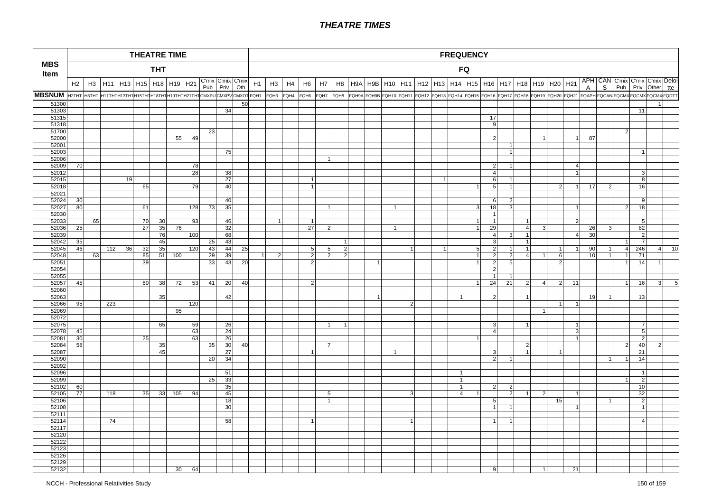|                                                                                                                                                                                                                                |                       |    |                            | <b>THEATRE TIME</b> |        |          |          |                           |     |    |                      |    |                             |                                   |                                  |    |              |                |              | <b>FREQUENCY</b>             |                     |                             |                                                                                        |                           |                     |          |                              |                                                       |                                   |                |                 |
|--------------------------------------------------------------------------------------------------------------------------------------------------------------------------------------------------------------------------------|-----------------------|----|----------------------------|---------------------|--------|----------|----------|---------------------------|-----|----|----------------------|----|-----------------------------|-----------------------------------|----------------------------------|----|--------------|----------------|--------------|------------------------------|---------------------|-----------------------------|----------------------------------------------------------------------------------------|---------------------------|---------------------|----------|------------------------------|-------------------------------------------------------|-----------------------------------|----------------|-----------------|
| <b>MBS</b><br><b>Item</b>                                                                                                                                                                                                      |                       |    |                            | <b>THT</b>          |        |          |          |                           |     |    |                      |    |                             |                                   |                                  |    |              |                |              |                              | <b>FQ</b>           |                             |                                                                                        |                           |                     |          |                              |                                                       |                                   |                |                 |
|                                                                                                                                                                                                                                | H2                    |    | H3 H11 H13 H15 H18 H19 H21 |                     |        |          | Pub      | C'mix C'mix C'mix<br>Priv | Oth | H1 | H3                   | H4 | H <sub>6</sub>              | H7                                |                                  |    |              |                |              |                              |                     |                             | H8   H9A   H9B   H10   H11   H12   H13   H14   H15   H16   H17   H18   H19   H20   H21 |                           |                     | A        | S.                           | APH CAN C'mix C'mix C'mix Deloi<br>Pub Priv Other tte |                                   |                |                 |
| MBSNUM  H2THT  H3THT  H11THT H13THT H13THT H18THT H18THT H21THT CMXPU CMXPV CMXOT FQH1  FQH3  FQH4  FQH6  FQH7  FQH8  FQH98  FQH19  FQH19  FQH19  FQH19  FQH19  FQH19  FQH19  FQH19  FQH19  FQH21  FQAPH FQC2N FQCMX FQCMX FQC |                       |    |                            |                     |        |          |          |                           |     |    |                      |    |                             |                                   |                                  |    |              |                |              |                              |                     |                             |                                                                                        |                           |                     |          |                              |                                                       |                                   |                |                 |
| 51300                                                                                                                                                                                                                          |                       |    |                            |                     |        |          |          |                           | 50  |    |                      |    |                             |                                   |                                  |    |              |                |              |                              |                     |                             |                                                                                        |                           |                     |          |                              |                                                       |                                   |                |                 |
| 51303                                                                                                                                                                                                                          |                       |    |                            |                     |        |          |          | 34                        |     |    |                      |    |                             |                                   |                                  |    |              |                |              |                              |                     |                             |                                                                                        |                           |                     |          |                              |                                                       | 11                                |                |                 |
| 51315                                                                                                                                                                                                                          |                       |    |                            |                     |        |          |          |                           |     |    |                      |    |                             |                                   |                                  |    |              |                |              |                              |                     | 17                          |                                                                                        |                           |                     |          |                              |                                                       |                                   |                |                 |
| 51318<br>51700                                                                                                                                                                                                                 |                       |    |                            |                     |        |          | 23       |                           |     |    |                      |    |                             |                                   |                                  |    |              |                |              |                              |                     | 9                           |                                                                                        |                           |                     |          |                              | $\overline{2}$                                        |                                   |                |                 |
| 52000                                                                                                                                                                                                                          |                       |    |                            |                     | 55     | 49       |          |                           |     |    |                      |    |                             |                                   |                                  |    |              |                |              |                              |                     | $\overline{2}$              |                                                                                        | $\overline{1}$            | 11                  | 87       |                              |                                                       |                                   |                |                 |
| 52001                                                                                                                                                                                                                          |                       |    |                            |                     |        |          |          |                           |     |    |                      |    |                             |                                   |                                  |    |              |                |              |                              |                     |                             | $\mathbf{1}$                                                                           |                           |                     |          |                              |                                                       |                                   |                |                 |
| 52003                                                                                                                                                                                                                          |                       |    |                            |                     |        |          |          | 75                        |     |    |                      |    |                             |                                   |                                  |    |              |                |              |                              |                     |                             | $\overline{1}$                                                                         |                           |                     |          |                              |                                                       | $\mathbf{1}$                      |                |                 |
| 52006                                                                                                                                                                                                                          |                       |    |                            |                     |        |          |          |                           |     |    |                      |    |                             | $\mathbf{1}$                      |                                  |    |              |                |              |                              |                     |                             |                                                                                        |                           |                     |          |                              |                                                       |                                   |                |                 |
| 52009<br>52012                                                                                                                                                                                                                 | 70                    |    |                            |                     |        | 78<br>28 |          | 38                        |     |    |                      |    |                             |                                   |                                  |    |              |                |              |                              |                     | $2 \vert$<br>$\overline{4}$ | $\mathbf{1}$                                                                           |                           | $\overline{4}$<br>1 |          |                              |                                                       | $\mathbf{3}$                      |                |                 |
| 52015                                                                                                                                                                                                                          |                       |    | 19                         |                     |        |          |          | 27                        |     |    |                      |    | 1                           |                                   |                                  |    |              |                | 11           |                              |                     | 6                           | $\mathbf{1}$                                                                           |                           |                     |          |                              |                                                       | 8                                 |                |                 |
| 52018                                                                                                                                                                                                                          |                       |    |                            | 65                  |        | 79       |          | 40                        |     |    |                      |    | 1 <sup>1</sup>              |                                   |                                  |    |              |                |              |                              |                     | 5 <sup>1</sup>              | $\overline{1}$                                                                         | $\overline{2}$            | 1                   | 17       | $\overline{2}$               |                                                       | 16                                |                |                 |
| 52021                                                                                                                                                                                                                          |                       |    |                            |                     |        |          |          |                           |     |    |                      |    |                             |                                   |                                  |    |              |                |              |                              |                     |                             |                                                                                        |                           |                     |          |                              |                                                       |                                   |                |                 |
| 52024                                                                                                                                                                                                                          | 30 <sup>°</sup>       |    |                            |                     |        |          |          | 40                        |     |    |                      |    |                             | $\mathbf{1}$                      |                                  |    |              |                |              |                              |                     | 6 <sup>1</sup>              | $\overline{2}$                                                                         |                           |                     |          |                              |                                                       | 9                                 |                |                 |
| 52027<br>52030                                                                                                                                                                                                                 | 80                    |    |                            | 61                  |        | 128      | 73       | 35                        |     |    |                      |    |                             |                                   |                                  |    | $\mathbf{1}$ |                |              |                              | 3 <sup>l</sup>      | 18<br>1                     | $\mathbf{3}$                                                                           |                           | $\mathbf 1$         |          |                              | $\overline{2}$                                        | 18                                |                |                 |
| 52033                                                                                                                                                                                                                          |                       | 65 |                            | 30<br>70            |        | 93       |          | 46                        |     |    | $\blacktriangleleft$ |    | 1                           |                                   |                                  |    |              |                |              |                              | $\overline{1}$      | 1                           | $\mathbf{1}$                                                                           |                           | $\overline{2}$      |          |                              |                                                       | $5\phantom{.0}$                   |                |                 |
| 52036                                                                                                                                                                                                                          | 25                    |    |                            | 27<br>35            | 76     |          |          | 32                        |     |    |                      |    | 27                          | 2                                 |                                  |    | 11           |                |              |                              | 11                  | 29                          | $\vert$ 4                                                                              | 3 <sup>1</sup>            |                     | 26       | $\mathbf{3}$                 |                                                       | 82                                |                |                 |
| 52039                                                                                                                                                                                                                          |                       |    |                            | 76                  |        | 100      |          | 68                        |     |    |                      |    |                             |                                   |                                  |    |              |                |              |                              |                     | 4 <sup>1</sup>              | 1<br>$\mathbf{3}$                                                                      |                           | $\overline{4}$      | 30       |                              |                                                       | $\overline{2}$                    |                |                 |
| 52042                                                                                                                                                                                                                          | 35                    |    |                            | 45                  |        |          | 25       | 43                        |     |    |                      |    |                             |                                   | 1                                |    |              |                |              |                              |                     | 3 <sup>1</sup>              | 1                                                                                      |                           |                     |          |                              | $\mathbf{1}$                                          | $\overline{7}$                    |                |                 |
| 52045<br>52048                                                                                                                                                                                                                 | 46                    | 63 | 112<br>36                  | 32<br>35<br>85      | 51 100 | 120      | 43<br>29 | 44<br>39                  | 25  | 1  | 2                    |    | 5 <sub>1</sub><br>$2 \vert$ | $5\phantom{.0}$<br>$\overline{2}$ | $\overline{2}$<br>$\overline{2}$ |    |              |                | $\mathbf{1}$ |                              | 5 <sub>l</sub><br>1 | $\overline{2}$<br>2         | 1<br>1<br>$\overline{4}$<br>$\overline{2}$                                             | 1<br>6<br>$\mathbf{1}$    | 11                  | 90<br>10 | $\mathbf{1}$<br>$\mathbf{1}$ | $\vert$<br>1                                          | 246<br>71                         | $\overline{4}$ | $\overline{10}$ |
| 52051                                                                                                                                                                                                                          |                       |    |                            | 39                  |        |          | 33       | 43                        | 20  |    |                      |    | 2 <sup>1</sup>              |                                   |                                  | 1  |              |                |              |                              | 1 <sup>1</sup>      | $2 \vert$                   | $5\phantom{.0}$                                                                        | 2 <sup>1</sup>            |                     |          |                              | 1                                                     | 14                                |                |                 |
| 52054                                                                                                                                                                                                                          |                       |    |                            |                     |        |          |          |                           |     |    |                      |    |                             |                                   |                                  |    |              |                |              |                              |                     | $\overline{2}$              |                                                                                        |                           |                     |          |                              |                                                       |                                   |                |                 |
| 52055                                                                                                                                                                                                                          |                       |    |                            |                     |        |          |          |                           |     |    |                      |    |                             |                                   |                                  |    |              |                |              |                              |                     | 1                           | 1                                                                                      |                           |                     |          |                              |                                                       |                                   |                |                 |
| 52057                                                                                                                                                                                                                          | 45                    |    |                            | 60<br>38            | 72     | 53       | 41       | 20                        | 40  |    |                      |    | $\overline{2}$              |                                   |                                  |    |              |                |              |                              | 1                   | 24                          | 21<br>$\overline{2}$                                                                   | $\overline{2}$<br>$\vert$ | 11                  |          |                              | 1                                                     | 16                                | 3 <sup>l</sup> | 5               |
| 52060<br>52063                                                                                                                                                                                                                 |                       |    |                            | 35                  |        |          |          | 42                        |     |    |                      |    |                             |                                   |                                  | 11 |              |                |              | 1                            |                     | $2 \vert$                   | 1                                                                                      |                           |                     | 19       | $\mathbf{1}$                 |                                                       | 13                                |                |                 |
| 52066                                                                                                                                                                                                                          | 95                    |    | 223                        |                     |        | 120      |          |                           |     |    |                      |    |                             |                                   |                                  |    |              | $\overline{2}$ |              |                              |                     |                             |                                                                                        | 1                         | 1                   |          |                              |                                                       |                                   |                |                 |
| 52069                                                                                                                                                                                                                          |                       |    |                            |                     | 95     |          |          |                           |     |    |                      |    |                             |                                   |                                  |    |              |                |              |                              |                     |                             |                                                                                        | 1 <sup>1</sup>            |                     |          |                              |                                                       |                                   |                |                 |
| 52072                                                                                                                                                                                                                          |                       |    |                            |                     |        |          |          |                           |     |    |                      |    |                             |                                   |                                  |    |              |                |              |                              |                     |                             |                                                                                        |                           |                     |          |                              |                                                       |                                   |                |                 |
| 52075                                                                                                                                                                                                                          |                       |    |                            | 65                  |        | 59       |          | 26                        |     |    |                      |    |                             | $\overline{1}$                    | -1                               |    |              |                |              |                              |                     | 3 <sup>1</sup>              | 11                                                                                     |                           | 1                   |          |                              |                                                       | 7                                 |                |                 |
| 52078<br>52081                                                                                                                                                                                                                 | 45<br>30 <sup>°</sup> |    |                            | 25                  |        | 63<br>63 |          | 24<br>26                  |     |    |                      |    |                             |                                   |                                  |    |              |                |              |                              |                     | 4 <sup>1</sup>              |                                                                                        |                           | 3 <sup>1</sup><br>1 |          |                              |                                                       | $5\phantom{.0}$<br>$\overline{2}$ |                |                 |
| 52084                                                                                                                                                                                                                          | 58                    |    |                            | 35                  |        |          | 35       | 30                        | 40  |    |                      |    |                             | $\overline{7}$                    |                                  |    |              |                |              |                              |                     |                             | $\overline{2}$                                                                         |                           |                     |          |                              | $\overline{2}$                                        | 40                                | $\overline{2}$ |                 |
| 52087                                                                                                                                                                                                                          |                       |    |                            | 45                  |        |          |          | 27                        |     |    |                      |    | 1 <sup>1</sup>              |                                   |                                  |    | $\mathbf{1}$ |                |              |                              |                     | 3 <sup>1</sup>              | 1                                                                                      | 11                        |                     |          |                              |                                                       | 21                                |                |                 |
| 52090                                                                                                                                                                                                                          |                       |    |                            |                     |        |          | 20       | 34                        |     |    |                      |    |                             |                                   |                                  |    |              |                |              |                              |                     | 2                           | $\overline{1}$                                                                         |                           |                     |          | $\mathbf{1}$                 | 11                                                    | 14                                |                |                 |
| 52092                                                                                                                                                                                                                          |                       |    |                            |                     |        |          |          |                           |     |    |                      |    |                             |                                   |                                  |    |              |                |              |                              |                     |                             |                                                                                        |                           |                     |          |                              |                                                       |                                   |                |                 |
| 52096<br>52099                                                                                                                                                                                                                 |                       |    |                            |                     |        |          | 25       | 51<br>33                  |     |    |                      |    |                             |                                   |                                  |    |              |                |              | $\mathbf{1}$<br>$\mathbf{1}$ |                     |                             |                                                                                        |                           |                     |          |                              | 1                                                     | $\overline{1}$<br>$\overline{2}$  |                |                 |
| 52102                                                                                                                                                                                                                          | 60                    |    |                            |                     |        |          |          | 35                        |     |    |                      |    |                             |                                   |                                  |    |              |                |              | $\mathbf{1}$                 |                     | $2 \vert$                   | $\overline{2}$                                                                         |                           |                     |          |                              |                                                       | 10 <sup>1</sup>                   |                |                 |
| 52105                                                                                                                                                                                                                          | 77                    |    | 118                        | 35<br>33            | 105    | 94       |          | 45                        |     |    |                      |    |                             | $5\phantom{.0}$                   |                                  |    |              | 3              |              | 4 <sup>1</sup>               | $\overline{1}$      |                             | $\overline{2}$                                                                         | $\overline{2}$            | 1                   |          |                              |                                                       | 32                                |                |                 |
| 52106                                                                                                                                                                                                                          |                       |    |                            |                     |        |          |          | 18                        |     |    |                      |    |                             | $\overline{1}$                    |                                  |    |              |                |              |                              |                     | 5 <sub>l</sub>              |                                                                                        | 15                        |                     |          | $\mathbf{1}$                 |                                                       | $\overline{2}$                    |                |                 |
| 52108                                                                                                                                                                                                                          |                       |    |                            |                     |        |          |          | 30                        |     |    |                      |    |                             |                                   |                                  |    |              |                |              |                              |                     | 1 <sup>1</sup>              | $\overline{1}$                                                                         |                           | 1                   |          |                              |                                                       | 1                                 |                |                 |
| 52111<br>52114                                                                                                                                                                                                                 |                       |    | 74                         |                     |        |          |          | 58                        |     |    |                      |    | 1                           |                                   |                                  |    |              | -1             |              |                              |                     | 1                           | $\mathbf{1}$                                                                           |                           |                     |          |                              |                                                       | $\vert$                           |                |                 |
| 52117                                                                                                                                                                                                                          |                       |    |                            |                     |        |          |          |                           |     |    |                      |    |                             |                                   |                                  |    |              |                |              |                              |                     |                             |                                                                                        |                           |                     |          |                              |                                                       |                                   |                |                 |
| 52120                                                                                                                                                                                                                          |                       |    |                            |                     |        |          |          |                           |     |    |                      |    |                             |                                   |                                  |    |              |                |              |                              |                     |                             |                                                                                        |                           |                     |          |                              |                                                       |                                   |                |                 |
| 52122                                                                                                                                                                                                                          |                       |    |                            |                     |        |          |          |                           |     |    |                      |    |                             |                                   |                                  |    |              |                |              |                              |                     |                             |                                                                                        |                           |                     |          |                              |                                                       |                                   |                |                 |
| 52123                                                                                                                                                                                                                          |                       |    |                            |                     |        |          |          |                           |     |    |                      |    |                             |                                   |                                  |    |              |                |              |                              |                     |                             |                                                                                        |                           |                     |          |                              |                                                       |                                   |                |                 |
| 52126<br>52129                                                                                                                                                                                                                 |                       |    |                            |                     |        |          |          |                           |     |    |                      |    |                             |                                   |                                  |    |              |                |              |                              |                     |                             |                                                                                        |                           |                     |          |                              |                                                       |                                   |                |                 |
| 52132                                                                                                                                                                                                                          |                       |    |                            |                     | 30     | 64       |          |                           |     |    |                      |    |                             |                                   |                                  |    |              |                |              |                              |                     | 9                           |                                                                                        | 1 <sup>1</sup>            | 21                  |          |                              |                                                       |                                   |                |                 |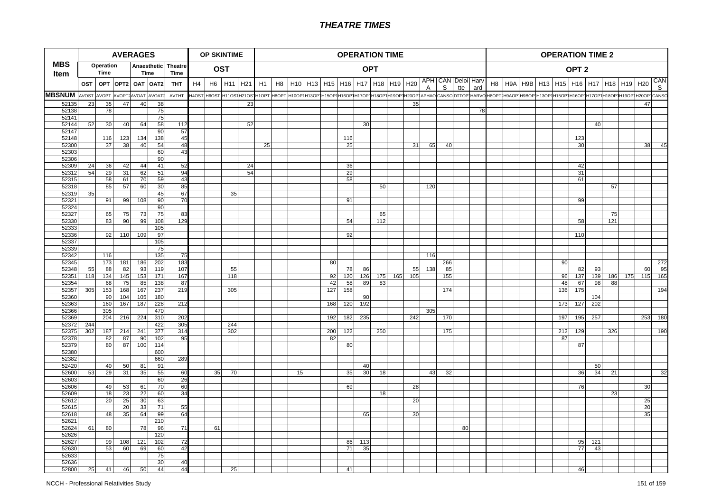|                           |            |                          |           | <b>AVERAGES</b> |                                |                        |    |                 | <b>OP SKINTIME</b> |    |                |                                                                                                                                                                                                                                | <b>OPERATION TIME</b> |                 |     |     |     |     |                                       |     |  | <b>OPERATION TIME 2</b>                                  |                  |     |     |     |     |     |           |
|---------------------------|------------|--------------------------|-----------|-----------------|--------------------------------|------------------------|----|-----------------|--------------------|----|----------------|--------------------------------------------------------------------------------------------------------------------------------------------------------------------------------------------------------------------------------|-----------------------|-----------------|-----|-----|-----|-----|---------------------------------------|-----|--|----------------------------------------------------------|------------------|-----|-----|-----|-----|-----|-----------|
| <b>MBS</b><br><b>Item</b> |            | Operation<br><b>Time</b> |           |                 | Anaesthetic<br><b>Time</b>     | <b>Theatre</b><br>Time |    |                 | <b>OST</b>         |    |                |                                                                                                                                                                                                                                |                       | <b>OPT</b>      |     |     |     |     |                                       |     |  |                                                          | OPT <sub>2</sub> |     |     |     |     |     |           |
|                           | <b>OST</b> |                          |           |                 | OPT OPT2 OAT OAT2              | THT                    | H4 |                 | H6 H11 H21         |    | H <sub>1</sub> | H8   H10   H13   H15   H16   H17   H18   H19   H20                                                                                                                                                                             |                       |                 |     |     |     |     | APH   CAN   Deloi   Harv<br>-S<br>tte | ard |  | H8   H9A   H9B   H13   H15   H16   H17   H18   H19   H20 |                  |     |     |     |     |     | CAN<br>S. |
| <b>MBSNUM</b>             |            |                          |           |                 | AVOST AVOPT AVOPTZAVOAT AVOATZ | AVTHT                  |    |                 |                    |    |                | H4OST H6OST H11OS1H21OS1H1OPT H8OPT H10OP1H13OP1H15OP1H16OP1H18OP1H18OP1H19OP1APHAO CANSO DTTOP HARVO H8OPT1H9AOP H9BOP H13OP H13OP1H16OP1H18OP1H18OP1H18OP1H19OP1H19OP1H19OP1H19OP1H19OP1H19OP1H19OP1H19OP1H19OP1H19OP1H19OP1 |                       |                 |     |     |     |     |                                       |     |  |                                                          |                  |     |     |     |     |     |           |
| 52135                     | 23         | 35                       | 47        | 40              | 38                             |                        |    |                 |                    | 23 |                |                                                                                                                                                                                                                                |                       |                 |     |     | 35  |     |                                       |     |  |                                                          |                  |     |     |     |     | 47  |           |
| 52138                     |            | 78                       |           |                 | 75                             |                        |    |                 |                    |    |                |                                                                                                                                                                                                                                |                       |                 |     |     |     |     |                                       | 78  |  |                                                          |                  |     |     |     |     |     |           |
| 52141                     |            |                          |           |                 | 75                             |                        |    |                 |                    |    |                |                                                                                                                                                                                                                                |                       |                 |     |     |     |     |                                       |     |  |                                                          |                  |     |     |     |     |     |           |
| 52144                     | 52         | 30                       | 40        | 64              | 58                             | 112                    |    |                 |                    | 52 |                |                                                                                                                                                                                                                                |                       | 30 <sup>°</sup> |     |     |     |     |                                       |     |  |                                                          |                  |     | 40  |     |     |     |           |
| 52147<br>52148            |            | 116                      | 123       | 134             | 90<br>138                      | 57<br>45               |    |                 |                    |    |                |                                                                                                                                                                                                                                | 116                   |                 |     |     |     |     |                                       |     |  |                                                          |                  | 123 |     |     |     |     |           |
| 52300                     |            | 37                       | 38        | 40              | 54                             | 48                     |    |                 |                    |    | 25             |                                                                                                                                                                                                                                | 25                    |                 |     |     | 31  | 65  | 40                                    |     |  |                                                          |                  | 30  |     |     |     | 38  | -45       |
| 52303                     |            |                          |           |                 | 60                             | 43                     |    |                 |                    |    |                |                                                                                                                                                                                                                                |                       |                 |     |     |     |     |                                       |     |  |                                                          |                  |     |     |     |     |     |           |
| 52306                     |            |                          |           |                 | 90                             |                        |    |                 |                    |    |                |                                                                                                                                                                                                                                |                       |                 |     |     |     |     |                                       |     |  |                                                          |                  |     |     |     |     |     |           |
| 52309                     | 24         | 36                       | 42        | 44              | 41                             | 52                     |    |                 |                    | 24 |                |                                                                                                                                                                                                                                | 36                    |                 |     |     |     |     |                                       |     |  |                                                          |                  | 42  |     |     |     |     |           |
| 52312                     | 54         | 29                       | 31        | 62              | 51                             | 94                     |    |                 |                    | 54 |                |                                                                                                                                                                                                                                | 29                    |                 |     |     |     |     |                                       |     |  |                                                          |                  | 31  |     |     |     |     |           |
| 52315                     |            | 58                       | 61        | 70              | 59                             | 43                     |    |                 |                    |    |                |                                                                                                                                                                                                                                | 58                    |                 |     |     |     |     |                                       |     |  |                                                          |                  | 61  |     |     |     |     |           |
| 52318<br>52319            | 35         | 85                       | 57        | 60              | 30<br>45                       | 85<br>67               |    |                 | 35                 |    |                |                                                                                                                                                                                                                                |                       |                 | 50  |     |     | 120 |                                       |     |  |                                                          |                  |     |     | 57  |     |     |           |
| 52321                     |            | 91                       | 99        | 108             | 90                             | 70                     |    |                 |                    |    |                |                                                                                                                                                                                                                                | 91                    |                 |     |     |     |     |                                       |     |  |                                                          |                  | 99  |     |     |     |     |           |
| 52324                     |            |                          |           |                 | 90                             |                        |    |                 |                    |    |                |                                                                                                                                                                                                                                |                       |                 |     |     |     |     |                                       |     |  |                                                          |                  |     |     |     |     |     |           |
| 52327                     |            | 65                       | 75        | 73              | 75                             | 83                     |    |                 |                    |    |                |                                                                                                                                                                                                                                |                       |                 | 65  |     |     |     |                                       |     |  |                                                          |                  |     |     | 75  |     |     |           |
| 52330                     |            | 83                       | 90        | 99              | 108                            | 129                    |    |                 |                    |    |                |                                                                                                                                                                                                                                | 54                    |                 | 112 |     |     |     |                                       |     |  |                                                          |                  | 58  |     | 121 |     |     |           |
| 52333                     |            |                          |           |                 | 105                            |                        |    |                 |                    |    |                |                                                                                                                                                                                                                                |                       |                 |     |     |     |     |                                       |     |  |                                                          |                  |     |     |     |     |     |           |
| 52336                     |            | 92                       | 110       | 109             | 97                             |                        |    |                 |                    |    |                |                                                                                                                                                                                                                                | 92                    |                 |     |     |     |     |                                       |     |  |                                                          |                  | 110 |     |     |     |     |           |
| 52337                     |            |                          |           |                 | 105                            |                        |    |                 |                    |    |                |                                                                                                                                                                                                                                |                       |                 |     |     |     |     |                                       |     |  |                                                          |                  |     |     |     |     |     |           |
| 52339                     |            |                          |           |                 | 75                             |                        |    |                 |                    |    |                |                                                                                                                                                                                                                                |                       |                 |     |     |     |     |                                       |     |  |                                                          |                  |     |     |     |     |     |           |
| 52342                     |            | 116<br>173               |           |                 | 135                            | 75<br>183              |    |                 |                    |    |                |                                                                                                                                                                                                                                | 80                    |                 |     |     |     | 116 | 266                                   |     |  |                                                          | 90               |     |     |     |     |     | 272       |
| 52345<br>52348            | 55         | 88                       | 181<br>82 | 186<br>93       | 202<br>119                     | 107                    |    |                 | 55                 |    |                |                                                                                                                                                                                                                                | 78                    | 86              |     |     | 55  | 138 | 85                                    |     |  |                                                          |                  | 82  | 93  |     |     | 60  | 95        |
| 52351                     | 118        | 134                      | 145       | 153             | 171                            | 167                    |    |                 | 118                |    |                |                                                                                                                                                                                                                                | 92<br>120             | 126             | 175 | 165 | 105 |     | 155                                   |     |  |                                                          | 96               | 137 | 139 | 186 | 175 | 115 | 165       |
| 52354                     |            | 68                       | 75        | 85              | 138                            | 87                     |    |                 |                    |    |                |                                                                                                                                                                                                                                | 42<br>58              | 89              | 83  |     |     |     |                                       |     |  |                                                          | 48               | 67  | 98  | 88  |     |     |           |
| 52357                     | 305        | 153                      | 168       | 167             | 237                            | 219                    |    |                 | 305                |    |                |                                                                                                                                                                                                                                | 127<br>158            |                 |     |     |     |     | 174                                   |     |  |                                                          | 136              | 175 |     |     |     |     | 194       |
| 52360                     |            | 90                       | 104       | 105             | 180                            |                        |    |                 |                    |    |                |                                                                                                                                                                                                                                |                       | 90              |     |     |     |     |                                       |     |  |                                                          |                  |     | 104 |     |     |     |           |
| 52363                     |            | 160                      | 167       | 187             | 228                            | 212                    |    |                 |                    |    |                |                                                                                                                                                                                                                                | 120<br>168            | 192             |     |     |     |     |                                       |     |  |                                                          | 173              | 127 | 202 |     |     |     |           |
| 52366                     |            | 305                      |           |                 | 470                            |                        |    |                 |                    |    |                |                                                                                                                                                                                                                                |                       |                 |     |     |     | 305 |                                       |     |  |                                                          |                  |     |     |     |     |     |           |
| 52369                     |            | 204                      | 216       | 224             | 310                            | 202                    |    |                 |                    |    |                |                                                                                                                                                                                                                                | 182<br>192            | 235             |     |     | 242 |     | 170                                   |     |  | 197                                                      |                  | 195 | 257 |     |     | 253 | 180       |
| 52372                     | 244        |                          |           |                 | 422<br>377                     | 305                    |    |                 | 244                |    |                |                                                                                                                                                                                                                                |                       |                 |     |     |     |     |                                       |     |  |                                                          |                  |     |     |     |     |     |           |
| 52375<br>52378            | 302        | 187<br>82                | 214<br>87 | 241<br>90       | 102                            | 314<br>95              |    |                 | 302                |    |                |                                                                                                                                                                                                                                | 200<br>122<br>82      |                 | 250 |     |     |     | 175                                   |     |  | 212                                                      | 87               | 129 |     | 326 |     |     | 190       |
| 52379                     |            | 80                       | 87        | 100             | 114                            |                        |    |                 |                    |    |                |                                                                                                                                                                                                                                | 80                    |                 |     |     |     |     |                                       |     |  |                                                          |                  | 87  |     |     |     |     |           |
| 52380                     |            |                          |           |                 | 600                            |                        |    |                 |                    |    |                |                                                                                                                                                                                                                                |                       |                 |     |     |     |     |                                       |     |  |                                                          |                  |     |     |     |     |     |           |
| 52382                     |            |                          |           |                 | 660                            | 289                    |    |                 |                    |    |                |                                                                                                                                                                                                                                |                       |                 |     |     |     |     |                                       |     |  |                                                          |                  |     |     |     |     |     |           |
| 52420                     |            | 40                       | 50        | 81              | 91                             |                        |    |                 |                    |    |                |                                                                                                                                                                                                                                |                       | 40              |     |     |     |     |                                       |     |  |                                                          |                  |     | 50  |     |     |     |           |
| 52600                     | 53         | 29                       | 31        | 35              | 55                             | 60                     |    | 35 <sup>1</sup> | 70                 |    |                | 15                                                                                                                                                                                                                             | 35                    | 30 <sup>1</sup> | 18  |     |     | 43  | 32                                    |     |  |                                                          |                  | 36  | 34  | 21  |     |     | 32        |
| 52603                     |            |                          |           |                 | 60                             | 26                     |    |                 |                    |    |                |                                                                                                                                                                                                                                |                       |                 |     |     |     |     |                                       |     |  |                                                          |                  |     |     |     |     |     |           |
| 52606                     |            | 49                       | 53        | 61              | 70                             | 60                     |    |                 |                    |    |                |                                                                                                                                                                                                                                | 69                    |                 |     |     | 28  |     |                                       |     |  |                                                          |                  | 76  |     |     |     | 30  |           |
| 52609<br>52612            |            | 18<br>20                 | 23<br>25  | 22<br>30        | 60<br>63                       | 34                     |    |                 |                    |    |                |                                                                                                                                                                                                                                |                       |                 | 18  |     | 20  |     |                                       |     |  |                                                          |                  |     |     | 23  |     | 25  |           |
| 52615                     |            |                          | 20        | 33              | 71                             | 55                     |    |                 |                    |    |                |                                                                                                                                                                                                                                |                       |                 |     |     |     |     |                                       |     |  |                                                          |                  |     |     |     |     | 20  |           |
| 52618                     |            | 48                       | 35        | 64              | 99                             | 64                     |    |                 |                    |    |                |                                                                                                                                                                                                                                |                       | 65              |     |     | 30  |     |                                       |     |  |                                                          |                  |     |     |     |     | 35  |           |
| 52621                     |            |                          |           |                 | 210                            |                        |    |                 |                    |    |                |                                                                                                                                                                                                                                |                       |                 |     |     |     |     |                                       |     |  |                                                          |                  |     |     |     |     |     |           |
| 52624                     | 61         | 80                       |           | 78              | 96                             | 71                     |    | 61              |                    |    |                |                                                                                                                                                                                                                                |                       |                 |     |     |     |     | 80                                    |     |  |                                                          |                  |     |     |     |     |     |           |
| 52626                     |            |                          |           |                 | 120                            |                        |    |                 |                    |    |                |                                                                                                                                                                                                                                |                       |                 |     |     |     |     |                                       |     |  |                                                          |                  |     |     |     |     |     |           |
| 52627                     |            | 99                       | 108       | 121             | 102                            | 72                     |    |                 |                    |    |                |                                                                                                                                                                                                                                | 86                    | 113             |     |     |     |     |                                       |     |  |                                                          |                  | 95  | 121 |     |     |     |           |
| 52630                     |            | 53                       | 60        | 69              | 60                             | 42                     |    |                 |                    |    |                |                                                                                                                                                                                                                                | 71                    | 35              |     |     |     |     |                                       |     |  |                                                          |                  | 77  | 43  |     |     |     |           |
| 52633                     |            |                          |           |                 | 75                             |                        |    |                 |                    |    |                |                                                                                                                                                                                                                                |                       |                 |     |     |     |     |                                       |     |  |                                                          |                  |     |     |     |     |     |           |
| 52636                     |            | 41                       |           |                 | 30                             | 40<br>44               |    |                 |                    |    |                |                                                                                                                                                                                                                                | 41                    |                 |     |     |     |     |                                       |     |  |                                                          |                  |     |     |     |     |     |           |
| 52800                     | 25         |                          | 46        | 50              | 44                             |                        |    |                 | 25                 |    |                |                                                                                                                                                                                                                                |                       |                 |     |     |     |     |                                       |     |  |                                                          |                  | 46  |     |     |     |     |           |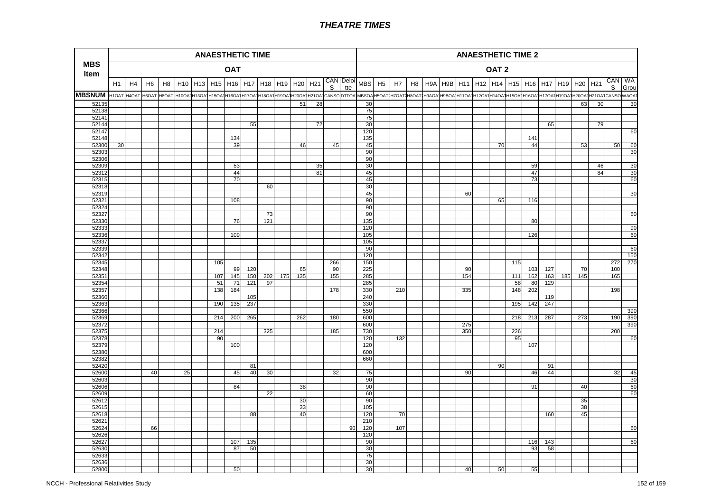|                           |    |    |                                                                                              |                |    |  |     |     |     |     |     |                 |    |     |                  |                 |                |     |                |  |     | <b>ANAESTHETIC TIME 2</b>                                       |     |     |     |     |     |     |                |
|---------------------------|----|----|----------------------------------------------------------------------------------------------|----------------|----|--|-----|-----|-----|-----|-----|-----------------|----|-----|------------------|-----------------|----------------|-----|----------------|--|-----|-----------------------------------------------------------------|-----|-----|-----|-----|-----|-----|----------------|
| <b>MBS</b><br><b>Item</b> |    |    | <b>ANAESTHETIC TIME</b><br><b>OAT</b><br>H10   H13   H15   H16   H17   H18   H19   H20   H21 |                |    |  |     |     |     |     |     |                 |    |     |                  |                 |                |     |                |  |     | OAT <sub>2</sub>                                                |     |     |     |     |     |     |                |
|                           | H1 | H4 | H <sub>6</sub>                                                                               | H <sub>8</sub> |    |  |     |     |     |     |     |                 |    | S   | CAN Deloi<br>tte | <b>MBS</b>      | H <sub>5</sub> | H7  | H <sub>8</sub> |  |     | H9A   H9B   H11   H12   H14   H15   H16   H17   H19   H20   H21 |     |     |     |     |     | S   | CAN WA<br>Grou |
|                           |    |    |                                                                                              |                |    |  |     |     |     |     |     |                 |    |     |                  |                 |                |     |                |  |     |                                                                 |     |     |     |     |     |     |                |
| 52135                     |    |    | 51<br>28                                                                                     |                |    |  |     |     |     |     |     |                 |    |     |                  | 30              |                |     |                |  |     |                                                                 |     |     |     |     | 63  | 30  | 30             |
| 52138                     |    |    |                                                                                              |                |    |  |     |     |     |     |     |                 |    |     |                  | 75              |                |     |                |  |     |                                                                 |     |     |     |     |     |     |                |
| 52141                     |    |    |                                                                                              |                |    |  |     |     |     |     |     |                 |    |     |                  | 75              |                |     |                |  |     |                                                                 |     |     |     |     |     |     |                |
| 52144                     |    |    |                                                                                              |                |    |  |     |     | 55  |     |     |                 | 72 |     |                  | 30              |                |     |                |  |     |                                                                 |     |     | 65  |     |     | 79  |                |
| 52147                     |    |    |                                                                                              |                |    |  |     |     |     |     |     |                 |    |     |                  | 120             |                |     |                |  |     |                                                                 |     |     |     |     |     |     | 60             |
| 52148                     |    |    |                                                                                              |                |    |  |     | 134 |     |     |     |                 |    |     |                  | 135             |                |     |                |  |     |                                                                 |     | 141 |     |     |     |     |                |
| 52300                     | 30 |    |                                                                                              |                |    |  |     | 39  |     |     |     | 46              |    | 45  |                  | 45<br>90        |                |     |                |  |     | 70                                                              |     | 44  |     |     | 53  | 50  | 60             |
| 52303<br>52306            |    |    |                                                                                              |                |    |  |     |     |     |     |     |                 |    |     |                  | 90              |                |     |                |  |     |                                                                 |     |     |     |     |     |     | 30             |
| 52309                     |    |    |                                                                                              |                |    |  |     | 53  |     |     |     |                 | 35 |     |                  | 30              |                |     |                |  |     |                                                                 |     | 59  |     |     |     | 46  | 30             |
| 52312                     |    |    |                                                                                              |                |    |  |     | 44  |     |     |     |                 | 81 |     |                  | 45              |                |     |                |  |     |                                                                 |     | 47  |     |     |     | 84  | 30             |
| 52315                     |    |    |                                                                                              |                |    |  |     | 70  |     |     |     |                 |    |     |                  | 45              |                |     |                |  |     |                                                                 |     | 73  |     |     |     |     | 60             |
| 52318                     |    |    |                                                                                              |                |    |  |     |     |     | 60  |     |                 |    |     |                  | 30              |                |     |                |  |     |                                                                 |     |     |     |     |     |     |                |
| 52319                     |    |    |                                                                                              |                |    |  |     |     |     |     |     |                 |    |     |                  | 45              |                |     |                |  | 60  |                                                                 |     |     |     |     |     |     | 30             |
| 52321                     |    |    |                                                                                              |                |    |  |     | 108 |     |     |     |                 |    |     |                  | 90              |                |     |                |  |     | 65                                                              |     | 116 |     |     |     |     |                |
| 52324                     |    |    |                                                                                              |                |    |  |     |     |     |     |     |                 |    |     |                  | 90              |                |     |                |  |     |                                                                 |     |     |     |     |     |     |                |
| 52327                     |    |    |                                                                                              |                |    |  |     |     |     | 73  |     |                 |    |     |                  | 90              |                |     |                |  |     |                                                                 |     |     |     |     |     |     | 60             |
| 52330                     |    |    |                                                                                              |                |    |  |     | 76  |     | 121 |     |                 |    |     |                  | 135             |                |     |                |  |     |                                                                 |     | 80  |     |     |     |     |                |
| 52333                     |    |    |                                                                                              |                |    |  |     | 109 |     |     |     |                 |    |     |                  | 120<br>105      |                |     |                |  |     |                                                                 |     | 126 |     |     |     |     | 90<br>60       |
| 52336<br>52337            |    |    |                                                                                              |                |    |  |     |     |     |     |     |                 |    |     |                  | 105             |                |     |                |  |     |                                                                 |     |     |     |     |     |     |                |
| 52339                     |    |    |                                                                                              |                |    |  |     |     |     |     |     |                 |    |     |                  | 90              |                |     |                |  |     |                                                                 |     |     |     |     |     |     | 60             |
| 52342                     |    |    |                                                                                              |                |    |  |     |     |     |     |     |                 |    |     |                  | 120             |                |     |                |  |     |                                                                 |     |     |     |     |     |     | 150            |
| 52345                     |    |    |                                                                                              |                |    |  | 105 |     |     |     |     |                 |    | 266 |                  | 150             |                |     |                |  |     |                                                                 | 115 |     |     |     |     | 272 | 270            |
| 52348                     |    |    |                                                                                              |                |    |  |     | 99  | 120 |     |     | 65              |    | 90  |                  | 225             |                |     |                |  | 90  |                                                                 |     | 103 | 127 |     | 70  | 100 |                |
| 52351                     |    |    |                                                                                              |                |    |  | 107 | 145 | 150 | 202 | 175 | 135             |    | 155 |                  | 285             |                |     |                |  | 154 |                                                                 | 111 | 162 | 163 | 185 | 145 | 165 |                |
| 52354                     |    |    |                                                                                              |                |    |  | 51  | 71  | 121 | 97  |     |                 |    |     |                  | 285             |                |     |                |  |     |                                                                 | 58  | 80  | 129 |     |     |     |                |
| 52357                     |    |    |                                                                                              |                |    |  | 138 | 184 |     |     |     |                 |    | 178 |                  | 330             |                | 210 |                |  | 335 |                                                                 | 148 | 202 |     |     |     | 198 |                |
| 52360                     |    |    |                                                                                              |                |    |  |     |     | 105 |     |     |                 |    |     |                  | 240             |                |     |                |  |     |                                                                 |     |     | 119 |     |     |     |                |
| 52363                     |    |    |                                                                                              |                |    |  | 190 | 135 | 237 |     |     |                 |    |     |                  | 330             |                |     |                |  |     |                                                                 | 195 | 142 | 247 |     |     |     |                |
| 52366                     |    |    |                                                                                              |                |    |  |     |     |     |     |     | 262             |    |     |                  | 550<br>600      |                |     |                |  |     |                                                                 |     |     |     |     | 273 |     | 390            |
| 52369<br>52372            |    |    |                                                                                              |                |    |  | 214 | 200 | 265 |     |     |                 |    | 180 |                  | 600             |                |     |                |  | 275 |                                                                 | 218 | 213 | 287 |     |     | 190 | 390<br>390     |
| 52375                     |    |    |                                                                                              |                |    |  | 214 |     |     | 325 |     |                 |    | 185 |                  | 730             |                |     |                |  | 350 |                                                                 | 226 |     |     |     |     | 200 |                |
| 52378                     |    |    |                                                                                              |                |    |  | 90  |     |     |     |     |                 |    |     |                  | 120             |                | 132 |                |  |     |                                                                 | 95  |     |     |     |     |     | 60             |
| 52379                     |    |    |                                                                                              |                |    |  |     | 100 |     |     |     |                 |    |     |                  | 120             |                |     |                |  |     |                                                                 |     | 107 |     |     |     |     |                |
| 52380                     |    |    |                                                                                              |                |    |  |     |     |     |     |     |                 |    |     |                  | 600             |                |     |                |  |     |                                                                 |     |     |     |     |     |     |                |
| 52382                     |    |    |                                                                                              |                |    |  |     |     |     |     |     |                 |    |     |                  | 660             |                |     |                |  |     |                                                                 |     |     |     |     |     |     |                |
| 52420                     |    |    |                                                                                              |                |    |  |     |     | 81  |     |     |                 |    |     |                  |                 |                |     |                |  |     | 90                                                              |     |     | 91  |     |     |     |                |
| 52600                     |    |    | 40                                                                                           |                | 25 |  |     | 45  | 40  | 30  |     |                 |    | 32  |                  | 75              |                |     |                |  | 90  |                                                                 |     | 46  | 44  |     |     | 32  | 45             |
| 52603                     |    |    |                                                                                              |                |    |  |     |     |     |     |     |                 |    |     |                  | 90              |                |     |                |  |     |                                                                 |     |     |     |     |     |     | 30             |
| 52606                     |    |    |                                                                                              |                |    |  |     | 84  |     |     |     | 38              |    |     |                  | 90              |                |     |                |  |     |                                                                 |     | 91  |     |     | 40  |     | 60<br>60       |
| 52609                     |    |    |                                                                                              |                |    |  |     |     |     | 22  |     | 30 <sup>1</sup> |    |     |                  | 60<br>90        |                |     |                |  |     |                                                                 |     |     |     |     | 35  |     |                |
| 52612<br>52615            |    |    |                                                                                              |                |    |  |     |     |     |     |     | 33              |    |     |                  | 105             |                |     |                |  |     |                                                                 |     |     |     |     | 38  |     |                |
| 52618                     |    |    |                                                                                              |                |    |  |     |     | 88  |     |     | 40              |    |     |                  | 120             |                | 70  |                |  |     |                                                                 |     |     | 160 |     | 45  |     |                |
| 52621                     |    |    |                                                                                              |                |    |  |     |     |     |     |     |                 |    |     |                  | 210             |                |     |                |  |     |                                                                 |     |     |     |     |     |     |                |
| 52624                     |    |    | 66                                                                                           |                |    |  |     |     |     |     |     |                 |    |     | 90               | 120             |                | 107 |                |  |     |                                                                 |     |     |     |     |     |     | 60             |
| 52626                     |    |    |                                                                                              |                |    |  |     |     |     |     |     |                 |    |     |                  | 120             |                |     |                |  |     |                                                                 |     |     |     |     |     |     |                |
| 52627                     |    |    |                                                                                              |                |    |  |     | 107 | 135 |     |     |                 |    |     |                  | 90              |                |     |                |  |     |                                                                 |     | 116 | 143 |     |     |     | 60             |
| 52630                     |    |    |                                                                                              |                |    |  |     | 87  | 50  |     |     |                 |    |     |                  | 30              |                |     |                |  |     |                                                                 |     | 93  | 58  |     |     |     |                |
| 52633                     |    |    |                                                                                              |                |    |  |     |     |     |     |     |                 |    |     |                  | 75              |                |     |                |  |     |                                                                 |     |     |     |     |     |     |                |
| 52636                     |    |    |                                                                                              |                |    |  |     |     |     |     |     |                 |    |     |                  | 30              |                |     |                |  |     |                                                                 |     |     |     |     |     |     |                |
| 52800                     |    |    |                                                                                              |                |    |  |     | 50  |     |     |     |                 |    |     |                  | 30 <sup>1</sup> |                |     |                |  | 40  | 50                                                              |     | 55  |     |     |     |     |                |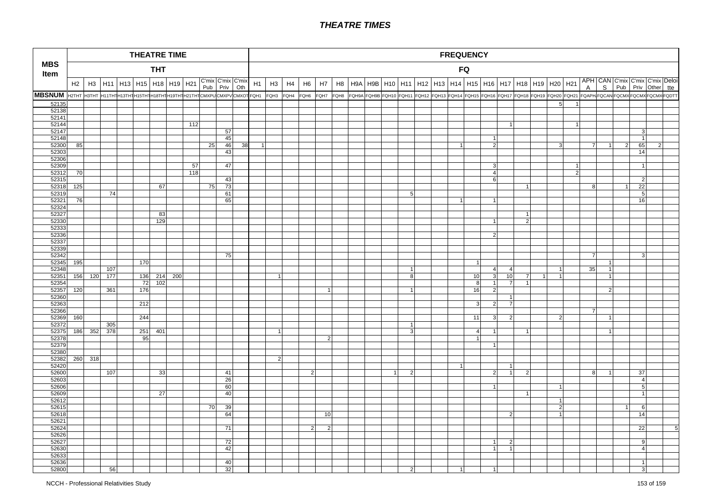|                                                                                                                                                                                                                                |     |         |            | <b>THEATRE TIME</b> |                                                 |    |          |    |   |                |    |                |                |  |    |                |  | <b>FREQUENCY</b>     |                      |                     |                                                                                        |                |                                  |                |                |                                                         |                     |                |   |
|--------------------------------------------------------------------------------------------------------------------------------------------------------------------------------------------------------------------------------|-----|---------|------------|---------------------|-------------------------------------------------|----|----------|----|---|----------------|----|----------------|----------------|--|----|----------------|--|----------------------|----------------------|---------------------|----------------------------------------------------------------------------------------|----------------|----------------------------------|----------------|----------------|---------------------------------------------------------|---------------------|----------------|---|
| <b>MBS</b><br>Item                                                                                                                                                                                                             |     |         |            | <b>THT</b>          |                                                 |    |          |    |   |                |    |                |                |  |    |                |  | <b>FQ</b>            |                      |                     |                                                                                        |                |                                  |                |                |                                                         |                     |                |   |
|                                                                                                                                                                                                                                |     |         |            |                     | H2 H3 H11 H13 H15 H18 H19 H21 C'mix C'mix C'mix |    |          |    |   | $H1$ $H3$      | H4 | H <sub>6</sub> | H7             |  |    |                |  |                      |                      |                     | H8   H9A   H9B   H10   H11   H12   H13   H14   H15   H16   H17   H18   H19   H20   H21 |                |                                  | A              |                | APH CAN C'mix C'mix C'mix Deloi<br>S Pub Priv Other tte |                     |                |   |
| MBSNUM  H2THT  H3THT  H1TTH H13TH1 H15TH1 H18TH1 H18TH1 H21TH1CMXPU CMXPV CMXOT FQH1  FQH3  FQH4  FQH6  FQH7  FQH8  FQH40 FQH11 FQH11 FQH12 FQH18 FQH14 FQH15 FQH16 FQH17 FQH18 FQH19 FQH21 FQAH2 FQAH2 FQCMX FQCMX FQCMX FQCM |     |         |            |                     |                                                 |    |          |    |   |                |    |                |                |  |    |                |  |                      |                      |                     |                                                                                        |                |                                  |                |                |                                                         |                     |                |   |
| 52135                                                                                                                                                                                                                          |     |         |            |                     |                                                 |    |          |    |   |                |    |                |                |  |    |                |  |                      |                      |                     |                                                                                        |                | 5 <sub>l</sub><br>$\overline{1}$ |                |                |                                                         |                     |                |   |
| 52138                                                                                                                                                                                                                          |     |         |            |                     |                                                 |    |          |    |   |                |    |                |                |  |    |                |  |                      |                      |                     |                                                                                        |                |                                  |                |                |                                                         |                     |                |   |
| 52141<br>52144                                                                                                                                                                                                                 |     |         |            |                     | 112                                             |    |          |    |   |                |    |                |                |  |    |                |  |                      |                      |                     | 1                                                                                      |                | 1                                |                |                |                                                         |                     |                |   |
| 52147                                                                                                                                                                                                                          |     |         |            |                     |                                                 |    | 57       |    |   |                |    |                |                |  |    |                |  |                      |                      |                     |                                                                                        |                |                                  |                |                |                                                         | 3                   |                |   |
| 52148                                                                                                                                                                                                                          |     |         |            |                     |                                                 |    | 45       |    |   |                |    |                |                |  |    |                |  |                      |                      | 1 <sup>1</sup>      |                                                                                        |                |                                  |                |                |                                                         | $\vert$ 1           |                |   |
| 52300                                                                                                                                                                                                                          | 85  |         |            |                     |                                                 | 25 | 46       | 38 | 1 |                |    |                |                |  |    |                |  | $\blacktriangleleft$ |                      | $2 \vert$           |                                                                                        |                | $\mathbf{3}$                     | <sup>7</sup>   | 1              | $\overline{2}$                                          | 65                  | $\overline{2}$ |   |
| 52303                                                                                                                                                                                                                          |     |         |            |                     |                                                 |    | 43       |    |   |                |    |                |                |  |    |                |  |                      |                      |                     |                                                                                        |                |                                  |                |                |                                                         | 14                  |                |   |
| 52306<br>52309                                                                                                                                                                                                                 |     |         |            |                     | 57                                              |    | 47       |    |   |                |    |                |                |  |    |                |  |                      |                      | 3 <sup>1</sup>      |                                                                                        |                | 1                                |                |                |                                                         | $\vert$ 1           |                |   |
| 52312                                                                                                                                                                                                                          | 70  |         |            |                     | 118                                             |    |          |    |   |                |    |                |                |  |    |                |  |                      |                      | 4 <sup>1</sup>      |                                                                                        |                | 2                                |                |                |                                                         |                     |                |   |
| 52315                                                                                                                                                                                                                          |     |         |            |                     |                                                 |    | 43       |    |   |                |    |                |                |  |    |                |  |                      |                      | 6 <sup>1</sup>      |                                                                                        |                |                                  |                |                |                                                         | $\overline{2}$      |                |   |
| 52318                                                                                                                                                                                                                          | 125 |         |            | 67                  |                                                 | 75 | 73       |    |   |                |    |                |                |  |    |                |  |                      |                      |                     | 1                                                                                      |                |                                  | 8              |                | 1                                                       | 22                  |                |   |
| 52319                                                                                                                                                                                                                          |     |         | 74         |                     |                                                 |    | 61       |    |   |                |    |                |                |  |    | 5 <sup>1</sup> |  |                      |                      |                     |                                                                                        |                |                                  |                |                |                                                         | 5 <sub>l</sub>      |                |   |
| 52321<br>52324                                                                                                                                                                                                                 | 76  |         |            |                     |                                                 |    | 65       |    |   |                |    |                |                |  |    |                |  | $\blacktriangleleft$ |                      | 1 <sup>1</sup>      |                                                                                        |                |                                  |                |                |                                                         | 16                  |                |   |
| 52327                                                                                                                                                                                                                          |     |         |            | 83                  |                                                 |    |          |    |   |                |    |                |                |  |    |                |  |                      |                      |                     | $\mathbf{1}$                                                                           |                |                                  |                |                |                                                         |                     |                |   |
| 52330                                                                                                                                                                                                                          |     |         |            | 129                 |                                                 |    |          |    |   |                |    |                |                |  |    |                |  |                      |                      | 1                   | $\vert$ 2                                                                              |                |                                  |                |                |                                                         |                     |                |   |
| 52333                                                                                                                                                                                                                          |     |         |            |                     |                                                 |    |          |    |   |                |    |                |                |  |    |                |  |                      |                      |                     |                                                                                        |                |                                  |                |                |                                                         |                     |                |   |
| 52336                                                                                                                                                                                                                          |     |         |            |                     |                                                 |    |          |    |   |                |    |                |                |  |    |                |  |                      |                      | $\overline{2}$      |                                                                                        |                |                                  |                |                |                                                         |                     |                |   |
| 52337<br>52339                                                                                                                                                                                                                 |     |         |            |                     |                                                 |    |          |    |   |                |    |                |                |  |    |                |  |                      |                      |                     |                                                                                        |                |                                  |                |                |                                                         |                     |                |   |
| 52342                                                                                                                                                                                                                          |     |         |            |                     |                                                 |    | 75       |    |   |                |    |                |                |  |    |                |  |                      |                      |                     |                                                                                        |                |                                  | $\overline{7}$ |                |                                                         | 3                   |                |   |
| 52345                                                                                                                                                                                                                          | 195 |         |            | 170                 |                                                 |    |          |    |   |                |    |                |                |  |    |                |  |                      | 1                    |                     |                                                                                        |                |                                  |                | $\mathbf{1}$   |                                                         |                     |                |   |
| 52348                                                                                                                                                                                                                          |     |         | 107        |                     |                                                 |    |          |    |   |                |    |                |                |  |    | 1              |  |                      |                      | $\vert 4 \vert$     | $\overline{4}$                                                                         |                | 1                                | 35             | $\mathbf{1}$   |                                                         |                     |                |   |
| 52351                                                                                                                                                                                                                          | 156 | 120     | 177        | 136                 | 214 200                                         |    |          |    |   | 11             |    |                |                |  |    | 8              |  |                      | 10                   | 3 <sup>1</sup>      | 10<br>$\overline{7}$                                                                   | $\overline{1}$ | 1                                |                | $\mathbf{1}$   |                                                         |                     |                |   |
| 52354<br>52357                                                                                                                                                                                                                 | 120 |         | 361        | 72<br>102<br>176    |                                                 |    |          |    |   |                |    |                | $\overline{1}$ |  |    | $\overline{1}$ |  |                      | 8 <sup>1</sup><br>16 | 1<br>$\overline{2}$ | $\overline{7}$<br>1                                                                    |                |                                  |                | $\overline{2}$ |                                                         |                     |                |   |
| 52360                                                                                                                                                                                                                          |     |         |            |                     |                                                 |    |          |    |   |                |    |                |                |  |    |                |  |                      |                      |                     | $\mathbf{1}$                                                                           |                |                                  |                |                |                                                         |                     |                |   |
| 52363                                                                                                                                                                                                                          |     |         |            | 212                 |                                                 |    |          |    |   |                |    |                |                |  |    |                |  |                      | $\mathbf{3}$         | $2 \vert$           | 7                                                                                      |                |                                  |                |                |                                                         |                     |                |   |
| 52366                                                                                                                                                                                                                          |     |         |            |                     |                                                 |    |          |    |   |                |    |                |                |  |    |                |  |                      |                      |                     |                                                                                        |                |                                  | $\overline{7}$ |                |                                                         |                     |                |   |
| 52369                                                                                                                                                                                                                          | 160 |         |            | 244                 |                                                 |    |          |    |   |                |    |                |                |  |    | $\overline{1}$ |  |                      | 11                   | 3 <sup>1</sup>      | $\overline{2}$                                                                         |                | 2                                |                | $\mathbf{1}$   |                                                         |                     |                |   |
| 52372<br>52375                                                                                                                                                                                                                 |     | 186 352 | 305<br>378 | $251$ 401           |                                                 |    |          |    |   | 1              |    |                |                |  |    | دى             |  |                      | $\overline{4}$       | 1 <sup>1</sup>      | 1                                                                                      |                |                                  |                | $\mathbf{1}$   |                                                         |                     |                |   |
| 52378                                                                                                                                                                                                                          |     |         |            | 95                  |                                                 |    |          |    |   |                |    |                | $\overline{2}$ |  |    |                |  |                      | $\vert$ 1            |                     |                                                                                        |                |                                  |                |                |                                                         |                     |                |   |
| 52379                                                                                                                                                                                                                          |     |         |            |                     |                                                 |    |          |    |   |                |    |                |                |  |    |                |  |                      |                      | 1 <sup>1</sup>      |                                                                                        |                |                                  |                |                |                                                         |                     |                |   |
| 52380                                                                                                                                                                                                                          |     |         |            |                     |                                                 |    |          |    |   |                |    |                |                |  |    |                |  |                      |                      |                     |                                                                                        |                |                                  |                |                |                                                         |                     |                |   |
| 52382<br>52420                                                                                                                                                                                                                 |     | 260 318 |            |                     |                                                 |    |          |    |   | $\overline{2}$ |    |                |                |  |    |                |  | $\mathbf{1}$         |                      |                     | 1                                                                                      |                |                                  |                |                |                                                         |                     |                |   |
| 52600                                                                                                                                                                                                                          |     |         | 107        | 33                  |                                                 |    | 41       |    |   |                |    | 2 <sup>1</sup> |                |  | 11 | $\overline{2}$ |  |                      |                      | $\overline{2}$      | $\vert$ 1<br>2                                                                         |                |                                  | 8              | $\mathbf{1}$   |                                                         | 37                  |                |   |
| 52603                                                                                                                                                                                                                          |     |         |            |                     |                                                 |    | 26       |    |   |                |    |                |                |  |    |                |  |                      |                      |                     |                                                                                        |                |                                  |                |                |                                                         | $\overline{a}$      |                |   |
| 52606                                                                                                                                                                                                                          |     |         |            |                     |                                                 |    | 60       |    |   |                |    |                |                |  |    |                |  |                      |                      | 1                   |                                                                                        |                | 1                                |                |                |                                                         | $5\overline{)}$     |                |   |
| 52609                                                                                                                                                                                                                          |     |         |            | 27                  |                                                 |    | 40       |    |   |                |    |                |                |  |    |                |  |                      |                      |                     | $\overline{1}$                                                                         |                |                                  |                |                |                                                         | $\overline{1}$      |                |   |
| 52612<br>52615                                                                                                                                                                                                                 |     |         |            |                     |                                                 | 70 | 39       |    |   |                |    |                |                |  |    |                |  |                      |                      |                     |                                                                                        |                | 11<br>$\vert$ 2                  |                |                | 1                                                       | 6                   |                |   |
| 52618                                                                                                                                                                                                                          |     |         |            |                     |                                                 |    | 64       |    |   |                |    |                | 10             |  |    |                |  |                      |                      |                     | $\overline{2}$                                                                         |                | 1                                |                |                |                                                         | 14                  |                |   |
| 52621                                                                                                                                                                                                                          |     |         |            |                     |                                                 |    |          |    |   |                |    |                |                |  |    |                |  |                      |                      |                     |                                                                                        |                |                                  |                |                |                                                         |                     |                |   |
| 52624                                                                                                                                                                                                                          |     |         |            |                     |                                                 |    | 71       |    |   |                |    | 2              | $\overline{2}$ |  |    |                |  |                      |                      |                     |                                                                                        |                |                                  |                |                |                                                         | 22                  |                | 5 |
| 52626                                                                                                                                                                                                                          |     |         |            |                     |                                                 |    |          |    |   |                |    |                |                |  |    |                |  |                      |                      |                     |                                                                                        |                |                                  |                |                |                                                         |                     |                |   |
| 52627<br>52630                                                                                                                                                                                                                 |     |         |            |                     |                                                 |    | 72<br>42 |    |   |                |    |                |                |  |    |                |  |                      |                      | 1<br>1              | $\overline{c}$<br>$\overline{1}$                                                       |                |                                  |                |                |                                                         | 9<br>$\overline{4}$ |                |   |
| 52633                                                                                                                                                                                                                          |     |         |            |                     |                                                 |    |          |    |   |                |    |                |                |  |    |                |  |                      |                      |                     |                                                                                        |                |                                  |                |                |                                                         |                     |                |   |
| 52636                                                                                                                                                                                                                          |     |         |            |                     |                                                 |    | 40       |    |   |                |    |                |                |  |    |                |  |                      |                      |                     |                                                                                        |                |                                  |                |                |                                                         | $\mathbf{1}$        |                |   |
| 52800                                                                                                                                                                                                                          |     |         | 56         |                     |                                                 |    | 32       |    |   |                |    |                |                |  |    | $\overline{2}$ |  | 1                    |                      | 1                   |                                                                                        |                |                                  |                |                |                                                         | 3                   |                |   |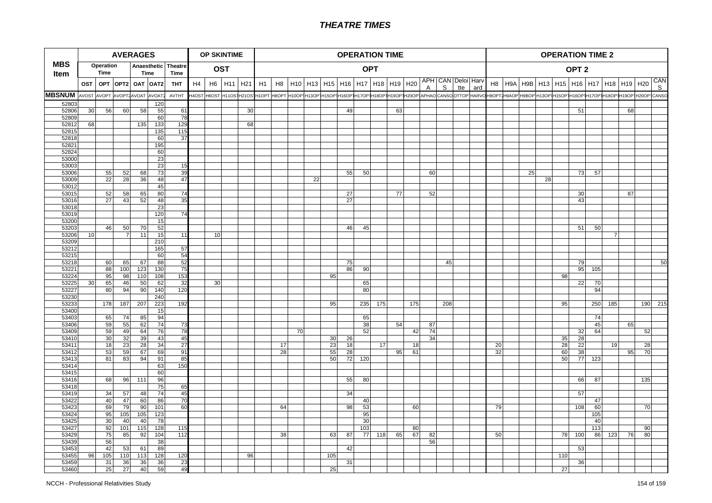|                           |                 |                          |                | <b>AVERAGES</b>                |            |                        |    |    | <b>OP SKINTIME</b> |            |    |    |                                                                                                                                                                                                                                |                 | <b>OPERATION TIME</b> |            |         |    |     |    |                          |     |     |    |    |    |     | <b>OPERATION TIME 2</b> |           |                |                                                          |     |           |
|---------------------------|-----------------|--------------------------|----------------|--------------------------------|------------|------------------------|----|----|--------------------|------------|----|----|--------------------------------------------------------------------------------------------------------------------------------------------------------------------------------------------------------------------------------|-----------------|-----------------------|------------|---------|----|-----|----|--------------------------|-----|-----|----|----|----|-----|-------------------------|-----------|----------------|----------------------------------------------------------|-----|-----------|
| <b>MBS</b><br><b>Item</b> |                 | Operation<br><b>Time</b> |                | Anaesthetic<br><b>Time</b>     |            | <b>Theatre</b><br>Time |    |    | <b>OST</b>         |            |    |    |                                                                                                                                                                                                                                |                 |                       | <b>OPT</b> |         |    |     |    |                          |     |     |    |    |    |     | OPT <sub>2</sub>        |           |                |                                                          |     |           |
|                           | <b>OST</b>      |                          |                | OPT OPT2 OAT OAT2              |            | <b>THT</b>             | H4 |    |                    | H6 H11 H21 | H1 |    | H8   H10   H13   H15   H16   H17   H18   H19   H20                                                                                                                                                                             |                 |                       |            |         |    |     | A  | APH CAN Deloi Harv<br>S. | tte | ard |    |    |    |     |                         |           |                | H8   H9A   H9B   H13   H15   H16   H17   H18   H19   H20 |     | CAN<br>S. |
| <b>MBSNUM</b>             |                 |                          |                | AVOST AVOPT AVOPT2AVOAT AVOAT2 |            | AVTHT                  |    |    |                    |            |    |    | H4OST H6OST H11OS1H21OS1H1OPT H8OPT H10OP1H13OP1H15OP1H16OP1H18OP1H18OP1H19OP1APHAO CANSO DTTOP HARVO H8OPT1H9AOP H9BOP H13OP H13OP1H16OP1H18OP1H18OP1H18OP1H19OP1H19OP1H19OP1H19OP1H19OP1H19OP1H19OP1H19OP1H19OP1H19OP1H19OP1 |                 |                       |            |         |    |     |    |                          |     |     |    |    |    |     |                         |           |                |                                                          |     |           |
| 52803                     |                 |                          |                |                                | 120        |                        |    |    |                    |            |    |    |                                                                                                                                                                                                                                |                 |                       |            |         |    |     |    |                          |     |     |    |    |    |     |                         |           |                |                                                          |     |           |
| 52806                     | 30              | 56                       | 60             | 58                             | 55         | 61                     |    |    |                    | 30         |    |    |                                                                                                                                                                                                                                |                 | 49                    |            |         | 63 |     |    |                          |     |     |    |    |    |     | 51                      |           |                | 68                                                       |     |           |
| 52809<br>52812            | 68              |                          |                | 135                            | 60<br>133  | 78<br>129              |    |    |                    | 68         |    |    |                                                                                                                                                                                                                                |                 |                       |            |         |    |     |    |                          |     |     |    |    |    |     |                         |           |                |                                                          |     |           |
| 52815                     |                 |                          |                |                                | 135        | 115                    |    |    |                    |            |    |    |                                                                                                                                                                                                                                |                 |                       |            |         |    |     |    |                          |     |     |    |    |    |     |                         |           |                |                                                          |     |           |
| 52818                     |                 |                          |                |                                | 60         | 37                     |    |    |                    |            |    |    |                                                                                                                                                                                                                                |                 |                       |            |         |    |     |    |                          |     |     |    |    |    |     |                         |           |                |                                                          |     |           |
| 52821                     |                 |                          |                |                                | 195        |                        |    |    |                    |            |    |    |                                                                                                                                                                                                                                |                 |                       |            |         |    |     |    |                          |     |     |    |    |    |     |                         |           |                |                                                          |     |           |
| 52824                     |                 |                          |                |                                | 60         |                        |    |    |                    |            |    |    |                                                                                                                                                                                                                                |                 |                       |            |         |    |     |    |                          |     |     |    |    |    |     |                         |           |                |                                                          |     |           |
| 53000                     |                 |                          |                |                                | 23         |                        |    |    |                    |            |    |    |                                                                                                                                                                                                                                |                 |                       |            |         |    |     |    |                          |     |     |    |    |    |     |                         |           |                |                                                          |     |           |
| 53003<br>53006            |                 | 55                       | 52             | 68                             | 23<br>73   | 15<br>39               |    |    |                    |            |    |    |                                                                                                                                                                                                                                |                 | 55                    | 50         |         |    |     | 60 |                          |     |     |    | 25 |    |     | 73                      | 57        |                |                                                          |     |           |
| 53009                     |                 | 22                       | 28             | 36                             | 48         | 47                     |    |    |                    |            |    |    |                                                                                                                                                                                                                                | 22              |                       |            |         |    |     |    |                          |     |     |    |    | 28 |     |                         |           |                |                                                          |     |           |
| 53012                     |                 |                          |                |                                | 45         |                        |    |    |                    |            |    |    |                                                                                                                                                                                                                                |                 |                       |            |         |    |     |    |                          |     |     |    |    |    |     |                         |           |                |                                                          |     |           |
| 53015                     |                 | 52                       | 58             | 65                             | 80         | 74                     |    |    |                    |            |    |    |                                                                                                                                                                                                                                |                 | 27                    |            |         | 77 |     | 52 |                          |     |     |    |    |    |     | 30                      |           |                | 87                                                       |     |           |
| 53016                     |                 | 27                       | 43             | 52                             | 48         | 35                     |    |    |                    |            |    |    |                                                                                                                                                                                                                                |                 | 27                    |            |         |    |     |    |                          |     |     |    |    |    |     | 43                      |           |                |                                                          |     |           |
| 53018                     |                 |                          |                |                                | 23         |                        |    |    |                    |            |    |    |                                                                                                                                                                                                                                |                 |                       |            |         |    |     |    |                          |     |     |    |    |    |     |                         |           |                |                                                          |     |           |
| 53019<br>53200            |                 |                          |                |                                | 120<br>15  | 74                     |    |    |                    |            |    |    |                                                                                                                                                                                                                                |                 |                       |            |         |    |     |    |                          |     |     |    |    |    |     |                         |           |                |                                                          |     |           |
| 53203                     |                 | 46                       | 50             | 70                             | 52         |                        |    |    |                    |            |    |    |                                                                                                                                                                                                                                |                 | 46                    | 45         |         |    |     |    |                          |     |     |    |    |    |     | 51                      | 50        |                |                                                          |     |           |
| 53206                     | 10 <sup>1</sup> |                          | $\overline{7}$ | 11                             | 15         | 11                     |    | 10 |                    |            |    |    |                                                                                                                                                                                                                                |                 |                       |            |         |    |     |    |                          |     |     |    |    |    |     |                         |           | $\overline{7}$ |                                                          |     |           |
| 53209                     |                 |                          |                |                                | 210        |                        |    |    |                    |            |    |    |                                                                                                                                                                                                                                |                 |                       |            |         |    |     |    |                          |     |     |    |    |    |     |                         |           |                |                                                          |     |           |
| 53212                     |                 |                          |                |                                | 165        | 57                     |    |    |                    |            |    |    |                                                                                                                                                                                                                                |                 |                       |            |         |    |     |    |                          |     |     |    |    |    |     |                         |           |                |                                                          |     |           |
| 53215                     |                 |                          |                |                                | 60         | 54                     |    |    |                    |            |    |    |                                                                                                                                                                                                                                |                 |                       |            |         |    |     |    |                          |     |     |    |    |    |     |                         |           |                |                                                          |     |           |
| 53218<br>53221            |                 | 60<br>88                 | 65<br>100      | 67<br>123                      | 88<br>130  | 52<br>75               |    |    |                    |            |    |    |                                                                                                                                                                                                                                |                 | 75<br>86              | 90         |         |    |     |    | 45                       |     |     |    |    |    |     | 79<br>95                | 105       |                |                                                          |     | 50        |
| 53224                     |                 | 95                       | 98             | 110                            | 108        | 153                    |    |    |                    |            |    |    |                                                                                                                                                                                                                                | 95              |                       |            |         |    |     |    |                          |     |     |    |    |    | 98  |                         |           |                |                                                          |     |           |
| 53225                     | 30 <sup>1</sup> | 65                       | 46             | 50                             | 62         | 32                     |    | 30 |                    |            |    |    |                                                                                                                                                                                                                                |                 |                       | 65         |         |    |     |    |                          |     |     |    |    |    |     | 22                      | 70        |                |                                                          |     |           |
| 53227                     |                 | 80                       | 94             | 90                             | 140        | 120                    |    |    |                    |            |    |    |                                                                                                                                                                                                                                |                 |                       | 80         |         |    |     |    |                          |     |     |    |    |    |     |                         | 94        |                |                                                          |     |           |
| 53230                     |                 |                          |                |                                | 240        |                        |    |    |                    |            |    |    |                                                                                                                                                                                                                                |                 |                       |            |         |    |     |    |                          |     |     |    |    |    |     |                         |           |                |                                                          |     |           |
| 53233                     |                 | 178                      | 187            | 207                            | 223        | 192                    |    |    |                    |            |    |    |                                                                                                                                                                                                                                | 95 <sub>1</sub> |                       |            | 235 175 |    | 175 |    | 208                      |     |     |    |    |    | 95  |                         | 250       | 185            |                                                          |     | 190 215   |
| 53400<br>53403            |                 | 65                       | 74             | 85                             | 15<br>94   |                        |    |    |                    |            |    |    |                                                                                                                                                                                                                                |                 |                       | 65         |         |    |     |    |                          |     |     |    |    |    |     |                         | 74        |                |                                                          |     |           |
| 53406                     |                 | 59                       | 55             | 62                             | 74         | 73                     |    |    |                    |            |    |    |                                                                                                                                                                                                                                |                 |                       | 38         |         | 54 |     | 87 |                          |     |     |    |    |    |     |                         | 45        |                | 65                                                       |     |           |
| 53409                     |                 | 59                       | 49             | 64                             | 76         | 78                     |    |    |                    |            |    |    | 70                                                                                                                                                                                                                             |                 |                       | 52         |         |    | 42  | 74 |                          |     |     |    |    |    |     | 32                      | 64        |                |                                                          | 52  |           |
| 53410                     |                 | 30                       | 32             | 39                             | 43         | 45                     |    |    |                    |            |    |    |                                                                                                                                                                                                                                | 30              | 26                    |            |         |    |     | 34 |                          |     |     |    |    |    | 35  | 28                      |           |                |                                                          |     |           |
| 53411                     |                 | 18                       | 23             | 28                             | 34         | $\overline{27}$        |    |    |                    |            |    | 17 |                                                                                                                                                                                                                                | 23              | 18                    |            | 17      |    | 18  |    |                          |     |     | 20 |    |    | 28  | 22                      |           | 19             |                                                          | 28  |           |
| 53412                     |                 | 53                       | 59             | 67                             | 69         | 91                     |    |    |                    |            |    | 28 |                                                                                                                                                                                                                                | 55              | 28                    |            |         | 95 | 61  |    |                          |     |     | 32 |    |    | 60  | 38                      |           |                | 95                                                       | 70  |           |
| 53413<br>53414            |                 | 81                       | 83             | 94                             | 91<br>63   | 85<br>150              |    |    |                    |            |    |    |                                                                                                                                                                                                                                | 50              | 72                    | 120        |         |    |     |    |                          |     |     |    |    |    | 50  | 77                      | 123       |                |                                                          |     |           |
| 53415                     |                 |                          |                |                                | 60         |                        |    |    |                    |            |    |    |                                                                                                                                                                                                                                |                 |                       |            |         |    |     |    |                          |     |     |    |    |    |     |                         |           |                |                                                          |     |           |
| 53416                     |                 | 68                       | 96             | 111                            | 96         |                        |    |    |                    |            |    |    |                                                                                                                                                                                                                                |                 | 55                    | 80         |         |    |     |    |                          |     |     |    |    |    |     | 66                      | 87        |                |                                                          | 135 |           |
| 53418                     |                 |                          |                |                                | 75         | 65                     |    |    |                    |            |    |    |                                                                                                                                                                                                                                |                 |                       |            |         |    |     |    |                          |     |     |    |    |    |     |                         |           |                |                                                          |     |           |
| 53419                     |                 | 34                       | 57             | 48                             | 74         | 45                     |    |    |                    |            |    |    |                                                                                                                                                                                                                                |                 | 34                    |            |         |    |     |    |                          |     |     |    |    |    |     | 57                      |           |                |                                                          |     |           |
| 53422                     |                 | 40                       | 47             | 60                             | 86         | 70                     |    |    |                    |            |    |    |                                                                                                                                                                                                                                |                 |                       | 40         |         |    |     |    |                          |     |     |    |    |    |     |                         | 47        |                |                                                          |     |           |
| 53423<br>53424            |                 | 69<br>95                 | 79<br>105      | 90<br>105                      | 101<br>123 | 60                     |    |    |                    |            |    | 64 |                                                                                                                                                                                                                                |                 | 98                    | 53<br>95   |         |    | 60  |    |                          |     |     | 79 |    |    |     | 108                     | 60<br>105 |                |                                                          | 70  |           |
| 53425                     |                 | 30                       | 40             | 40                             | 78         |                        |    |    |                    |            |    |    |                                                                                                                                                                                                                                |                 |                       | 30         |         |    |     |    |                          |     |     |    |    |    |     |                         | 40        |                |                                                          |     |           |
| 53427                     |                 | 92                       | 101            | 115                            | 128        | 115                    |    |    |                    |            |    |    |                                                                                                                                                                                                                                |                 |                       | 103        |         |    | 80  |    |                          |     |     |    |    |    |     |                         | 113       |                |                                                          | 90  |           |
| 53429                     |                 | 75                       | 85             | 92                             | 104        | 112                    |    |    |                    |            |    | 38 |                                                                                                                                                                                                                                | 63              | 87                    |            | 77 118  | 65 | 67  | 82 |                          |     |     | 50 |    |    | 78  | 100                     | 86        | 123            | 76                                                       | 80  |           |
| 53439                     |                 | 56                       |                |                                | 38         |                        |    |    |                    |            |    |    |                                                                                                                                                                                                                                |                 |                       |            |         |    |     | 56 |                          |     |     |    |    |    |     |                         |           |                |                                                          |     |           |
| 53453                     |                 | 42                       | 53             | 61                             | 89         |                        |    |    |                    |            |    |    |                                                                                                                                                                                                                                |                 | 42                    |            |         |    |     |    |                          |     |     |    |    |    |     | 53                      |           |                |                                                          |     |           |
| 53455<br>53459            | 96              | 105<br>31                | 110<br>36      | 113                            | 128        | 120                    |    |    |                    | 96         |    |    |                                                                                                                                                                                                                                | 105             |                       |            |         |    |     |    |                          |     |     |    |    |    | 110 |                         |           |                |                                                          |     |           |
| 53460                     |                 | 25                       | 27             | 36<br>40                       | 36<br>59   | 23<br>49               |    |    |                    |            |    |    |                                                                                                                                                                                                                                | 25              | 31                    |            |         |    |     |    |                          |     |     |    |    |    | 27  | 36                      |           |                |                                                          |     |           |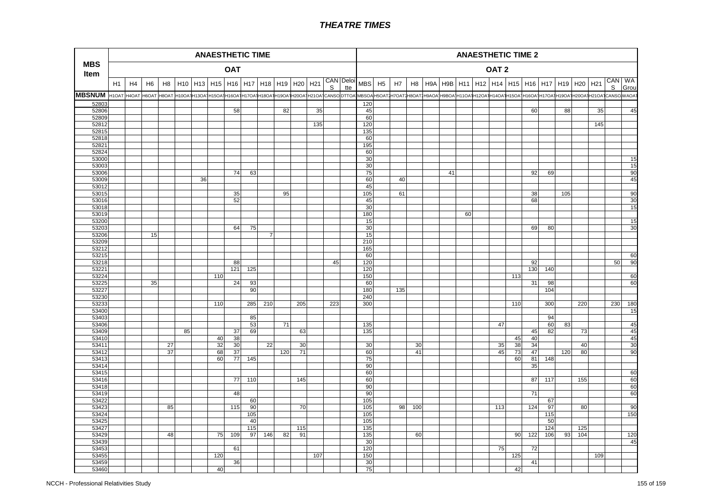|                                                                                                                                                                                                                                |    |    | <b>ANAESTHETIC TIME</b>                                                                 |                 |    |    |     |                 |     |                |     |                 |     |     |     |            |                |     |                |    |    | <b>ANAESTHETIC TIME 2</b>                                       |     |     |     |     |     |     |           |
|--------------------------------------------------------------------------------------------------------------------------------------------------------------------------------------------------------------------------------|----|----|-----------------------------------------------------------------------------------------|-----------------|----|----|-----|-----------------|-----|----------------|-----|-----------------|-----|-----|-----|------------|----------------|-----|----------------|----|----|-----------------------------------------------------------------|-----|-----|-----|-----|-----|-----|-----------|
| <b>MBS</b>                                                                                                                                                                                                                     |    |    | <b>OAT</b><br><b>CAN</b> Deloi                                                          |                 |    |    |     |                 |     |                |     |                 |     |     |     |            |                |     |                |    |    | OAT <sub>2</sub>                                                |     |     |     |     |     |     |           |
| <b>Item</b>                                                                                                                                                                                                                    | H1 | H4 | H10   H13   H15   H16   H17   H18   H19   H20   H21<br>H <sub>6</sub><br>H <sub>8</sub> |                 |    |    |     |                 |     |                |     |                 |     |     |     |            | H <sub>5</sub> | H7  | H <sub>8</sub> |    |    | H9A   H9B   H11   H12   H14   H15   H16   H17   H19   H20   H21 |     |     |     |     |     |     | CAN WA    |
| MBSNUM  H10AT H6OAT H6OAT H6OAT H6OAT H10OATH3OATH15OATH15OATH110OATH2OATH210ATEANSO DTTOAMBSOATH5OATH7OATTH8OATH9AOATH9BOATH110ATH12OATH4OATH5OATH16OATH15OATH110ATH110ATH15OATH110ATH15OATH110ATH15OATH110ATH15OATH110ATH110 |    |    |                                                                                         |                 |    |    |     |                 |     |                |     |                 |     | S   | tte | <b>MBS</b> |                |     |                |    |    |                                                                 |     |     |     |     |     | S   | Grou      |
| 52803                                                                                                                                                                                                                          |    |    |                                                                                         |                 |    |    |     |                 |     |                |     |                 |     |     |     | 120        |                |     |                |    |    |                                                                 |     |     |     |     |     |     |           |
| 52806                                                                                                                                                                                                                          |    |    |                                                                                         |                 |    |    |     | 58              |     |                | 82  |                 | 35  |     |     | 45         |                |     |                |    |    |                                                                 |     | 60  |     | 88  |     | 35  | 45        |
| 52809                                                                                                                                                                                                                          |    |    |                                                                                         |                 |    |    |     |                 |     |                |     |                 |     |     |     | 60         |                |     |                |    |    |                                                                 |     |     |     |     |     |     |           |
| 52812                                                                                                                                                                                                                          |    |    |                                                                                         |                 |    |    |     |                 |     |                |     |                 | 135 |     |     | 120        |                |     |                |    |    |                                                                 |     |     |     |     |     | 145 |           |
| 52815                                                                                                                                                                                                                          |    |    |                                                                                         |                 |    |    |     |                 |     |                |     |                 |     |     |     | 135        |                |     |                |    |    |                                                                 |     |     |     |     |     |     |           |
| 52818                                                                                                                                                                                                                          |    |    |                                                                                         |                 |    |    |     |                 |     |                |     |                 |     |     |     | 60         |                |     |                |    |    |                                                                 |     |     |     |     |     |     |           |
| 52821                                                                                                                                                                                                                          |    |    |                                                                                         |                 |    |    |     |                 |     |                |     |                 |     |     |     | 195        |                |     |                |    |    |                                                                 |     |     |     |     |     |     |           |
| 52824                                                                                                                                                                                                                          |    |    |                                                                                         |                 |    |    |     |                 |     |                |     |                 |     |     |     | 60<br>30   |                |     |                |    |    |                                                                 |     |     |     |     |     |     |           |
| 53000<br>53003                                                                                                                                                                                                                 |    |    |                                                                                         |                 |    |    |     |                 |     |                |     |                 |     |     |     | 30         |                |     |                |    |    |                                                                 |     |     |     |     |     |     | 15<br>15  |
| 53006                                                                                                                                                                                                                          |    |    |                                                                                         |                 |    |    |     | 74              | 63  |                |     |                 |     |     |     | 75         |                |     |                | 41 |    |                                                                 |     | 92  | 69  |     |     |     | 90        |
| 53009                                                                                                                                                                                                                          |    |    |                                                                                         |                 |    | 36 |     |                 |     |                |     |                 |     |     |     | 60         |                | 40  |                |    |    |                                                                 |     |     |     |     |     |     | 45        |
| 53012                                                                                                                                                                                                                          |    |    |                                                                                         |                 |    |    |     |                 |     |                |     |                 |     |     |     | 45         |                |     |                |    |    |                                                                 |     |     |     |     |     |     |           |
| 53015                                                                                                                                                                                                                          |    |    |                                                                                         |                 |    |    |     | 35              |     |                | 95  |                 |     |     |     | 105        |                | 61  |                |    |    |                                                                 |     | 38  |     | 105 |     |     | 90        |
| 53016                                                                                                                                                                                                                          |    |    |                                                                                         |                 |    |    |     | 52              |     |                |     |                 |     |     |     | 45         |                |     |                |    |    |                                                                 |     | 68  |     |     |     |     | 30        |
| 53018                                                                                                                                                                                                                          |    |    |                                                                                         |                 |    |    |     |                 |     |                |     |                 |     |     |     | 30         |                |     |                |    |    |                                                                 |     |     |     |     |     |     | 15        |
| 53019                                                                                                                                                                                                                          |    |    |                                                                                         |                 |    |    |     |                 |     |                |     |                 |     |     |     | 180        |                |     |                |    | 60 |                                                                 |     |     |     |     |     |     |           |
| 53200                                                                                                                                                                                                                          |    |    |                                                                                         |                 |    |    |     |                 |     |                |     |                 |     |     |     | 15         |                |     |                |    |    |                                                                 |     |     |     |     |     |     | 15        |
| 53203<br>53206                                                                                                                                                                                                                 |    |    | 15                                                                                      |                 |    |    |     | 64              | 75  | $\overline{7}$ |     |                 |     |     |     | 30<br>15   |                |     |                |    |    |                                                                 |     | 69  | 80  |     |     |     | 30        |
| 53209                                                                                                                                                                                                                          |    |    |                                                                                         |                 |    |    |     |                 |     |                |     |                 |     |     |     | 210        |                |     |                |    |    |                                                                 |     |     |     |     |     |     |           |
| 53212                                                                                                                                                                                                                          |    |    |                                                                                         |                 |    |    |     |                 |     |                |     |                 |     |     |     | 165        |                |     |                |    |    |                                                                 |     |     |     |     |     |     |           |
| 53215                                                                                                                                                                                                                          |    |    |                                                                                         |                 |    |    |     |                 |     |                |     |                 |     |     |     | 60         |                |     |                |    |    |                                                                 |     |     |     |     |     |     | 60        |
| 53218                                                                                                                                                                                                                          |    |    |                                                                                         |                 |    |    |     | 88              |     |                |     |                 |     | 45  |     | 120        |                |     |                |    |    |                                                                 |     | 92  |     |     |     | 50  | 90        |
| 53221                                                                                                                                                                                                                          |    |    |                                                                                         |                 |    |    |     | 121             | 125 |                |     |                 |     |     |     | 120        |                |     |                |    |    |                                                                 |     | 130 | 140 |     |     |     |           |
| 53224                                                                                                                                                                                                                          |    |    |                                                                                         |                 |    |    | 110 |                 |     |                |     |                 |     |     |     | 150        |                |     |                |    |    |                                                                 | 113 |     |     |     |     |     | 60        |
| 53225                                                                                                                                                                                                                          |    |    | 35                                                                                      |                 |    |    |     | 24              | 93  |                |     |                 |     |     |     | 60         |                |     |                |    |    |                                                                 |     | 31  | 98  |     |     |     | 60        |
| 53227                                                                                                                                                                                                                          |    |    |                                                                                         |                 |    |    |     |                 | 90  |                |     |                 |     |     |     | 180        |                | 135 |                |    |    |                                                                 |     |     | 104 |     |     |     |           |
| 53230                                                                                                                                                                                                                          |    |    |                                                                                         |                 |    |    |     |                 |     |                |     |                 |     |     |     | 240        |                |     |                |    |    |                                                                 |     |     |     |     |     |     |           |
| 53233<br>53400                                                                                                                                                                                                                 |    |    |                                                                                         |                 |    |    | 110 |                 | 285 | 210            |     | 205             |     | 223 |     | 300        |                |     |                |    |    |                                                                 | 110 |     | 300 |     | 220 | 230 | 180<br>15 |
| 53403                                                                                                                                                                                                                          |    |    |                                                                                         |                 |    |    |     |                 | 85  |                |     |                 |     |     |     |            |                |     |                |    |    |                                                                 |     |     | 94  |     |     |     |           |
| 53406                                                                                                                                                                                                                          |    |    |                                                                                         |                 |    |    |     |                 | 53  |                | 71  |                 |     |     |     | 135        |                |     |                |    |    | 47                                                              |     |     | 60  | 83  |     |     | 45        |
| 53409                                                                                                                                                                                                                          |    |    |                                                                                         |                 | 85 |    |     | 37              | 69  |                |     | 63              |     |     |     | 135        |                |     |                |    |    |                                                                 |     | 45  | 82  |     | 73  |     | 45        |
| 53410                                                                                                                                                                                                                          |    |    |                                                                                         |                 |    |    | 40  | 38              |     |                |     |                 |     |     |     |            |                |     |                |    |    |                                                                 | 45  | 40  |     |     |     |     | 45        |
| 53411                                                                                                                                                                                                                          |    |    |                                                                                         | 27              |    |    | 32  | 30 <sup>1</sup> |     | 22             |     | 30              |     |     |     | 30         |                |     | 30             |    |    | 35                                                              | 38  | 34  |     |     | 40  |     | 30        |
| 53412                                                                                                                                                                                                                          |    |    |                                                                                         | $\overline{37}$ |    |    | 68  | $\overline{37}$ |     |                | 120 | $\overline{71}$ |     |     |     | 60         |                |     | 41             |    |    | 45                                                              | 73  | 47  |     | 120 | 80  |     | 90        |
| 53413                                                                                                                                                                                                                          |    |    |                                                                                         |                 |    |    | 60  | 77              | 145 |                |     |                 |     |     |     | 75         |                |     |                |    |    |                                                                 | 60  | 81  | 148 |     |     |     |           |
| 53414                                                                                                                                                                                                                          |    |    |                                                                                         |                 |    |    |     |                 |     |                |     |                 |     |     |     | 90         |                |     |                |    |    |                                                                 |     | 35  |     |     |     |     |           |
| 53415<br>53416                                                                                                                                                                                                                 |    |    |                                                                                         |                 |    |    |     | 77              | 110 |                |     | 145             |     |     |     | 60<br>60   |                |     |                |    |    |                                                                 |     | 87  | 117 |     | 155 |     | 60<br>60  |
| 53418                                                                                                                                                                                                                          |    |    |                                                                                         |                 |    |    |     |                 |     |                |     |                 |     |     |     | 90         |                |     |                |    |    |                                                                 |     |     |     |     |     |     | 60        |
| 53419                                                                                                                                                                                                                          |    |    |                                                                                         |                 |    |    |     | 48              |     |                |     |                 |     |     |     | 90         |                |     |                |    |    |                                                                 |     | 71  |     |     |     |     | 60        |
| 53422                                                                                                                                                                                                                          |    |    |                                                                                         |                 |    |    |     |                 | 60  |                |     |                 |     |     |     | 105        |                |     |                |    |    |                                                                 |     |     | 67  |     |     |     |           |
| 53423                                                                                                                                                                                                                          |    |    |                                                                                         | 85              |    |    |     | 115             | 90  |                |     | 70              |     |     |     | 105        |                | 98  | 100            |    |    | 113                                                             |     | 124 | 97  |     | 80  |     | 90        |
| 53424                                                                                                                                                                                                                          |    |    |                                                                                         |                 |    |    |     |                 | 105 |                |     |                 |     |     |     | 105        |                |     |                |    |    |                                                                 |     |     | 115 |     |     |     | 150       |
| 53425                                                                                                                                                                                                                          |    |    |                                                                                         |                 |    |    |     |                 | 40  |                |     |                 |     |     |     | 105        |                |     |                |    |    |                                                                 |     |     | 50  |     |     |     |           |
| 53427                                                                                                                                                                                                                          |    |    |                                                                                         |                 |    |    |     |                 | 115 |                |     | 115             |     |     |     | 135        |                |     |                |    |    |                                                                 |     |     | 124 |     | 125 |     |           |
| 53429                                                                                                                                                                                                                          |    |    |                                                                                         | 48              |    |    | 75  | 109             | 97  | 146            | 82  | 91              |     |     |     | 135        |                |     | 60             |    |    |                                                                 | 90  | 122 | 106 | 93  | 104 |     | 120       |
| 53439                                                                                                                                                                                                                          |    |    |                                                                                         |                 |    |    |     |                 |     |                |     |                 |     |     |     | 30<br>120  |                |     |                |    |    | 75                                                              |     | 72  |     |     |     |     | 45        |
| 53453<br>53455                                                                                                                                                                                                                 |    |    |                                                                                         |                 |    |    | 120 | 61              |     |                |     |                 | 107 |     |     | 150        |                |     |                |    |    |                                                                 | 125 |     |     |     |     | 109 |           |
| 53459                                                                                                                                                                                                                          |    |    |                                                                                         |                 |    |    |     | 36              |     |                |     |                 |     |     |     | 30         |                |     |                |    |    |                                                                 |     | 41  |     |     |     |     |           |
| 53460                                                                                                                                                                                                                          |    |    |                                                                                         |                 |    |    | 40  |                 |     |                |     |                 |     |     |     | 75         |                |     |                |    |    |                                                                 | 42  |     |     |     |     |     |           |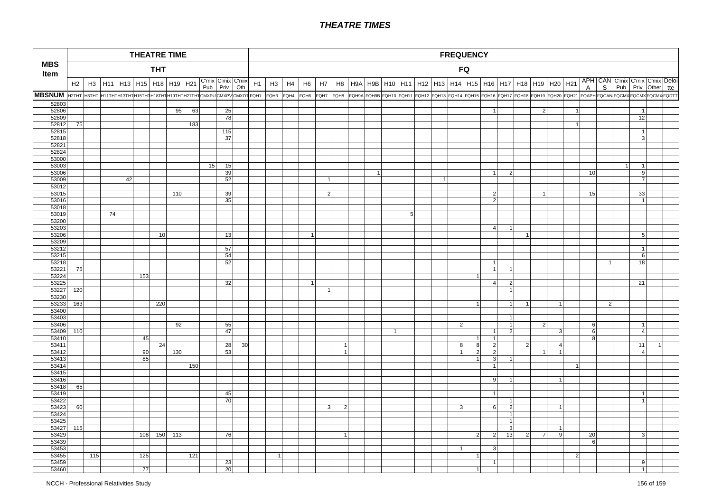|                                                                                                                                                                                                                                | <b>THEATRE TIME</b> |     |    |    |     |                                                 |         |     |    |          |    |  |           |    |    |                |                     |   |   |                 |                | <b>FREQUENCY</b>    |                                  |                                  |                                                                                        |                           |                |    |                |   |                                                           |  |
|--------------------------------------------------------------------------------------------------------------------------------------------------------------------------------------------------------------------------------|---------------------|-----|----|----|-----|-------------------------------------------------|---------|-----|----|----------|----|--|-----------|----|----|----------------|---------------------|---|---|-----------------|----------------|---------------------|----------------------------------|----------------------------------|----------------------------------------------------------------------------------------|---------------------------|----------------|----|----------------|---|-----------------------------------------------------------|--|
| <b>MBS</b><br>Item                                                                                                                                                                                                             |                     |     |    |    |     | <b>THT</b>                                      |         |     |    |          |    |  |           |    |    |                |                     |   |   |                 |                |                     | <b>FQ</b>                        |                                  |                                                                                        |                           |                |    |                |   |                                                           |  |
|                                                                                                                                                                                                                                |                     |     |    |    |     | H2 H3 H11 H13 H15 H18 H19 H21 C'mix C'mix C'mix |         |     |    |          |    |  | $H1$ $H3$ | H4 | H6 | H7             |                     |   |   |                 |                |                     |                                  |                                  | H8   H9A   H9B   H10   H11   H12   H13   H14   H15   H16   H17   H18   H19   H20   H21 |                           |                |    |                |   | APH CAN C'mix C'mix C'mix Deloi<br>A S Pub Priv Other tte |  |
| MBSNUM  H2THT  H3THT  H1TTH H13TH1 H15TH1 H18TH1 H18TH1 H21TH1CMXPU CMXPV CMXOT FQH1  FQH3  FQH4  FQH6  FQH7  FQH8  FQH40 FQH11 FQH11 FQH12 FQH18 FQH14 FQH15 FQH16 FQH17 FQH18 FQH19 FQH21 FQAH2 FQAH2 FQCMX FQCMX FQCMX FQCM |                     |     |    |    |     |                                                 |         |     |    |          |    |  |           |    |    |                |                     |   |   |                 |                |                     |                                  |                                  |                                                                                        |                           |                |    |                |   |                                                           |  |
| 52803                                                                                                                                                                                                                          |                     |     |    |    |     |                                                 |         |     |    |          |    |  |           |    |    |                |                     |   |   |                 |                |                     |                                  |                                  |                                                                                        |                           |                |    |                |   |                                                           |  |
| 52806                                                                                                                                                                                                                          |                     |     |    |    |     |                                                 | 95      | 63  |    | 25       |    |  |           |    |    |                |                     |   |   |                 |                |                     |                                  | $\overline{1}$                   |                                                                                        | $\overline{2}$            | 1              |    |                |   | $\overline{1}$<br>12                                      |  |
| 52809<br>52812                                                                                                                                                                                                                 | 75                  |     |    |    |     |                                                 |         | 183 |    | 78       |    |  |           |    |    |                |                     |   |   |                 |                |                     |                                  |                                  |                                                                                        |                           | 1              |    |                |   |                                                           |  |
| 52815                                                                                                                                                                                                                          |                     |     |    |    |     |                                                 |         |     |    | 115      |    |  |           |    |    |                |                     |   |   |                 |                |                     |                                  |                                  |                                                                                        |                           |                |    |                |   | 1                                                         |  |
| 52818                                                                                                                                                                                                                          |                     |     |    |    |     |                                                 |         |     |    | 37       |    |  |           |    |    |                |                     |   |   |                 |                |                     |                                  |                                  |                                                                                        |                           |                |    |                |   | 3                                                         |  |
| 52821<br>52824                                                                                                                                                                                                                 |                     |     |    |    |     |                                                 |         |     |    |          |    |  |           |    |    |                |                     |   |   |                 |                |                     |                                  |                                  |                                                                                        |                           |                |    |                |   |                                                           |  |
| 53000                                                                                                                                                                                                                          |                     |     |    |    |     |                                                 |         |     |    |          |    |  |           |    |    |                |                     |   |   |                 |                |                     |                                  |                                  |                                                                                        |                           |                |    |                |   |                                                           |  |
| 53003                                                                                                                                                                                                                          |                     |     |    |    |     |                                                 |         |     | 15 | 15       |    |  |           |    |    |                |                     |   |   |                 |                |                     |                                  |                                  |                                                                                        |                           |                |    |                | 1 | $\overline{1}$                                            |  |
| 53006                                                                                                                                                                                                                          |                     |     |    |    |     |                                                 |         |     |    | 39       |    |  |           |    |    |                |                     | 1 |   |                 |                |                     |                                  | 1 <sup>1</sup>                   | $\overline{2}$                                                                         |                           |                | 10 |                |   | 9                                                         |  |
| 53009<br>53012                                                                                                                                                                                                                 |                     |     |    | 42 |     |                                                 |         |     |    | 52       |    |  |           |    |    | $\overline{1}$ |                     |   |   |                 | 1 <sup>1</sup> |                     |                                  |                                  |                                                                                        |                           |                |    |                |   | 7                                                         |  |
| 53015                                                                                                                                                                                                                          |                     |     |    |    |     |                                                 | 110     |     |    | 39       |    |  |           |    |    | $\overline{2}$ |                     |   |   |                 |                |                     |                                  | $\overline{2}$                   |                                                                                        | $\vert$                   |                | 15 |                |   | 33                                                        |  |
| 53016                                                                                                                                                                                                                          |                     |     |    |    |     |                                                 |         |     |    | 35       |    |  |           |    |    |                |                     |   |   |                 |                |                     |                                  | $\overline{2}$                   |                                                                                        |                           |                |    |                |   | $\overline{1}$                                            |  |
| 53018                                                                                                                                                                                                                          |                     |     |    |    |     |                                                 |         |     |    |          |    |  |           |    |    |                |                     |   |   |                 |                |                     |                                  |                                  |                                                                                        |                           |                |    |                |   |                                                           |  |
| 53019<br>53200                                                                                                                                                                                                                 |                     |     | 74 |    |     |                                                 |         |     |    |          |    |  |           |    |    |                |                     |   |   | $5\phantom{.0}$ |                |                     |                                  |                                  |                                                                                        |                           |                |    |                |   |                                                           |  |
| 53203                                                                                                                                                                                                                          |                     |     |    |    |     |                                                 |         |     |    |          |    |  |           |    |    |                |                     |   |   |                 |                |                     |                                  | $\overline{4}$                   | $\mathbf{1}$                                                                           |                           |                |    |                |   |                                                           |  |
| 53206                                                                                                                                                                                                                          |                     |     |    |    |     | 10 <sup>1</sup>                                 |         |     |    | 13       |    |  |           |    | 11 |                |                     |   |   |                 |                |                     |                                  |                                  | 11                                                                                     |                           |                |    |                |   | 5 <sup>1</sup>                                            |  |
| 53209                                                                                                                                                                                                                          |                     |     |    |    |     |                                                 |         |     |    |          |    |  |           |    |    |                |                     |   |   |                 |                |                     |                                  |                                  |                                                                                        |                           |                |    |                |   |                                                           |  |
| 53212<br>53215                                                                                                                                                                                                                 |                     |     |    |    |     |                                                 |         |     |    | 57<br>54 |    |  |           |    |    |                |                     |   |   |                 |                |                     |                                  |                                  |                                                                                        |                           |                |    |                |   | $\mathbf{1}$<br>$6 \mid$                                  |  |
| 53218                                                                                                                                                                                                                          |                     |     |    |    |     |                                                 |         |     |    | 52       |    |  |           |    |    |                |                     |   |   |                 |                |                     |                                  | 1                                |                                                                                        |                           |                |    | $\mathbf{1}$   |   | 18                                                        |  |
| 53221                                                                                                                                                                                                                          | 75                  |     |    |    |     |                                                 |         |     |    |          |    |  |           |    |    |                |                     |   |   |                 |                |                     |                                  | 1                                | $\mathbf{1}$                                                                           |                           |                |    |                |   |                                                           |  |
| 53224<br>53225                                                                                                                                                                                                                 |                     |     |    |    | 153 |                                                 |         |     |    | 32       |    |  |           |    | 1  |                |                     |   |   |                 |                |                     | $\vert$ 1                        | $\overline{4}$                   |                                                                                        |                           |                |    |                |   | 21                                                        |  |
| 53227                                                                                                                                                                                                                          | 120                 |     |    |    |     |                                                 |         |     |    |          |    |  |           |    |    | $\overline{1}$ |                     |   |   |                 |                |                     |                                  |                                  | $\overline{c}$<br>$\overline{1}$                                                       |                           |                |    |                |   |                                                           |  |
| 53230                                                                                                                                                                                                                          |                     |     |    |    |     |                                                 |         |     |    |          |    |  |           |    |    |                |                     |   |   |                 |                |                     |                                  |                                  |                                                                                        |                           |                |    |                |   |                                                           |  |
| 53233                                                                                                                                                                                                                          | 163                 |     |    |    |     | 220                                             |         |     |    |          |    |  |           |    |    |                |                     |   |   |                 |                |                     | $\mathbf{1}$                     |                                  | $\mathbf{1}$<br>$\mathbf{1}$                                                           | 11                        |                |    | $\overline{2}$ |   |                                                           |  |
| 53400<br>53403                                                                                                                                                                                                                 |                     |     |    |    |     |                                                 |         |     |    |          |    |  |           |    |    |                |                     |   |   |                 |                |                     |                                  |                                  | 1                                                                                      |                           |                |    |                |   |                                                           |  |
| 53406                                                                                                                                                                                                                          |                     |     |    |    |     |                                                 | 92      |     |    | 55       |    |  |           |    |    |                |                     |   |   |                 |                | $\overline{2}$      |                                  |                                  | 1                                                                                      | $\overline{2}$            |                | 6  |                |   | 1                                                         |  |
| 53409                                                                                                                                                                                                                          | 110                 |     |    |    |     |                                                 |         |     |    | 47       |    |  |           |    |    |                |                     |   | 1 |                 |                |                     |                                  | 1                                | $\overline{2}$                                                                         | $\mathbf{3}$              |                | 6  |                |   | $\vert$                                                   |  |
| 53410                                                                                                                                                                                                                          |                     |     |    |    | 45  |                                                 |         |     |    |          |    |  |           |    |    |                |                     |   |   |                 |                |                     | 1                                | 1                                |                                                                                        |                           |                | 8  |                |   |                                                           |  |
| 53411<br>53412                                                                                                                                                                                                                 |                     |     |    |    | 90  | 24                                              | 130     |     |    | 28<br>53 | 30 |  |           |    |    |                | $\overline{1}$<br>1 |   |   |                 |                | 8 <sup>1</sup><br>1 | 8 <sup>1</sup><br>$\overline{2}$ | 2 <sup>1</sup><br>$\overline{2}$ | 2                                                                                      | $\vert 4 \vert$<br>1<br>1 |                |    |                |   | 11<br>$\overline{4}$                                      |  |
| 53413                                                                                                                                                                                                                          |                     |     |    |    | 85  |                                                 |         |     |    |          |    |  |           |    |    |                |                     |   |   |                 |                |                     | $\vert$ 1                        | 3 <sup>1</sup>                   | $\mathbf{1}$                                                                           |                           |                |    |                |   |                                                           |  |
| 53414                                                                                                                                                                                                                          |                     |     |    |    |     |                                                 |         | 150 |    |          |    |  |           |    |    |                |                     |   |   |                 |                |                     |                                  | 1                                |                                                                                        |                           | 1              |    |                |   |                                                           |  |
| 53415                                                                                                                                                                                                                          |                     |     |    |    |     |                                                 |         |     |    |          |    |  |           |    |    |                |                     |   |   |                 |                |                     |                                  |                                  | $\mathbf{1}$                                                                           | 1                         |                |    |                |   |                                                           |  |
| 53416<br>53418                                                                                                                                                                                                                 | 65                  |     |    |    |     |                                                 |         |     |    |          |    |  |           |    |    |                |                     |   |   |                 |                |                     |                                  | 9                                |                                                                                        |                           |                |    |                |   |                                                           |  |
| 53419                                                                                                                                                                                                                          |                     |     |    |    |     |                                                 |         |     |    | 45       |    |  |           |    |    |                |                     |   |   |                 |                |                     |                                  | $\overline{1}$                   |                                                                                        |                           |                |    |                |   | $\vert$ 1                                                 |  |
| 53422                                                                                                                                                                                                                          |                     |     |    |    |     |                                                 |         |     |    | 70       |    |  |           |    |    |                |                     |   |   |                 |                |                     |                                  |                                  | $\mathbf{1}$                                                                           |                           |                |    |                |   | $\mathbf{1}$                                              |  |
| 53423<br>53424                                                                                                                                                                                                                 | 60                  |     |    |    |     |                                                 |         |     |    |          |    |  |           |    |    | $\mathbf{3}$   | $\overline{2}$      |   |   |                 |                | 3                   |                                  | $6 \mid$                         | $\overline{2}$<br>$\overline{1}$                                                       | 1                         |                |    |                |   |                                                           |  |
| 53425                                                                                                                                                                                                                          |                     |     |    |    |     |                                                 |         |     |    |          |    |  |           |    |    |                |                     |   |   |                 |                |                     |                                  |                                  | $\overline{1}$                                                                         |                           |                |    |                |   |                                                           |  |
| 53427                                                                                                                                                                                                                          | 115                 |     |    |    |     |                                                 |         |     |    |          |    |  |           |    |    |                |                     |   |   |                 |                |                     |                                  |                                  | نن                                                                                     | 1                         |                |    |                |   |                                                           |  |
| 53429                                                                                                                                                                                                                          |                     |     |    |    | 108 |                                                 | 150 113 |     |    | 76       |    |  |           |    |    |                | 1                   |   |   |                 |                |                     | 2 <sup>1</sup>                   | $\overline{2}$                   | 13<br>2                                                                                | $\overline{7}$<br>9       |                | 20 |                |   | 3 <sup>1</sup>                                            |  |
| 53439<br>53453                                                                                                                                                                                                                 |                     |     |    |    |     |                                                 |         |     |    |          |    |  |           |    |    |                |                     |   |   |                 |                | 1                   |                                  | 3 <sup>1</sup>                   |                                                                                        |                           |                | 6  |                |   |                                                           |  |
| 53455                                                                                                                                                                                                                          |                     | 115 |    |    | 125 |                                                 |         | 121 |    |          |    |  | $\vert$ 1 |    |    |                |                     |   |   |                 |                |                     | $\vert$ 1                        |                                  |                                                                                        |                           | $\overline{2}$ |    |                |   |                                                           |  |
| 53459                                                                                                                                                                                                                          |                     |     |    |    |     |                                                 |         |     |    | 23       |    |  |           |    |    |                |                     |   |   |                 |                |                     |                                  | 1 <sup>1</sup>                   |                                                                                        |                           |                |    |                |   | 9                                                         |  |
| 53460                                                                                                                                                                                                                          |                     |     |    |    | 77  |                                                 |         |     |    | 20       |    |  |           |    |    |                |                     |   |   |                 |                |                     | 1                                |                                  |                                                                                        |                           |                |    |                |   | 1                                                         |  |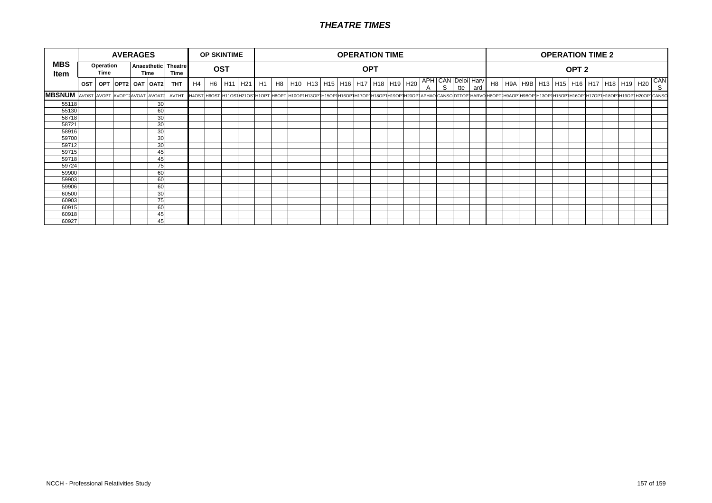|                           |       |                   |  | <b>AVERAGES</b>                                                                                                                                                                                                                |             | <b>OP SKINTIME</b> |  |            |                     |  | <b>OPERATION TIME</b> |  |                                                    |  |  |  |            |  |  |  |                    |    |       |     | <b>OPERATION TIME 2</b> |  |  |  |  |                  |  |  |  |  |                                                                                                                                                                                                                                                                                                                                 |  |
|---------------------------|-------|-------------------|--|--------------------------------------------------------------------------------------------------------------------------------------------------------------------------------------------------------------------------------|-------------|--------------------|--|------------|---------------------|--|-----------------------|--|----------------------------------------------------|--|--|--|------------|--|--|--|--------------------|----|-------|-----|-------------------------|--|--|--|--|------------------|--|--|--|--|---------------------------------------------------------------------------------------------------------------------------------------------------------------------------------------------------------------------------------------------------------------------------------------------------------------------------------|--|
| <b>MBS</b><br><b>Item</b> |       | Operation<br>Time |  | Anaesthetic Theatre<br>Time                                                                                                                                                                                                    | <b>Time</b> |                    |  | <b>OST</b> |                     |  |                       |  |                                                    |  |  |  | <b>OPT</b> |  |  |  |                    |    |       |     |                         |  |  |  |  | OPT <sub>2</sub> |  |  |  |  |                                                                                                                                                                                                                                                                                                                                 |  |
|                           | OST   |                   |  | OPT OPT2 OAT OAT2                                                                                                                                                                                                              | THT         | H4                 |  |            | H6   H11   H21   H1 |  |                       |  | H8   H10   H13   H15   H16   H17   H18   H19   H20 |  |  |  |            |  |  |  | APH CAN Deloi Harv | S. | tte l | ard | H <sub>8</sub>          |  |  |  |  |                  |  |  |  |  | $\boxed{\mathsf{H9A}\left[\mathsf{\mathsf{H9B}}\right]\mathsf{H13}\left[\mathsf{\mathsf{H15}}\right]\mathsf{H16}\left[\mathsf{\mathsf{H17}}\right]\mathsf{H18}\left[\mathsf{\mathsf{H19}}\right]\mathsf{H20}\left[\begin{smallmatrix} \mathsf{CAN} \ \mathsf{\mathsf{\mathsf{\mathsf{\mathsf{CAN}}}}}\end{smallmatrix}\right]}$ |  |
|                           |       |                   |  | MBSNUM AVOST AVOPT AVOPT4VOAT AVOAT4 AVTHT H4OST H6OST H11OST H10OST H10OFT H8OPT H10OPTH13OPTH13OPTH15OPTH15OPTH18OPTH18OPTAPDOPTAPHAQCANSO DTTOPTHARVOH8OPTTP9AOPTH9AOPTH3OPTH13OPTH13OPTH18OPTH18OPTH18OPTH18OPTH2OPTH2OPTC |             |                    |  |            |                     |  |                       |  |                                                    |  |  |  |            |  |  |  |                    |    |       |     |                         |  |  |  |  |                  |  |  |  |  |                                                                                                                                                                                                                                                                                                                                 |  |
| 55118                     |       |                   |  | 30 <sub>1</sub>                                                                                                                                                                                                                |             |                    |  |            |                     |  |                       |  |                                                    |  |  |  |            |  |  |  |                    |    |       |     |                         |  |  |  |  |                  |  |  |  |  |                                                                                                                                                                                                                                                                                                                                 |  |
| 55130                     |       |                   |  | 60                                                                                                                                                                                                                             |             |                    |  |            |                     |  |                       |  |                                                    |  |  |  |            |  |  |  |                    |    |       |     |                         |  |  |  |  |                  |  |  |  |  |                                                                                                                                                                                                                                                                                                                                 |  |
| 58718                     |       |                   |  | 30                                                                                                                                                                                                                             |             |                    |  |            |                     |  |                       |  |                                                    |  |  |  |            |  |  |  |                    |    |       |     |                         |  |  |  |  |                  |  |  |  |  |                                                                                                                                                                                                                                                                                                                                 |  |
| 58721                     |       |                   |  | 30 <sup>1</sup>                                                                                                                                                                                                                |             |                    |  |            |                     |  |                       |  |                                                    |  |  |  |            |  |  |  |                    |    |       |     |                         |  |  |  |  |                  |  |  |  |  |                                                                                                                                                                                                                                                                                                                                 |  |
| 58916                     |       |                   |  | 30 <sup>1</sup>                                                                                                                                                                                                                |             |                    |  |            |                     |  |                       |  |                                                    |  |  |  |            |  |  |  |                    |    |       |     |                         |  |  |  |  |                  |  |  |  |  |                                                                                                                                                                                                                                                                                                                                 |  |
| 59700                     |       |                   |  | 30 <sup>1</sup>                                                                                                                                                                                                                |             |                    |  |            |                     |  |                       |  |                                                    |  |  |  |            |  |  |  |                    |    |       |     |                         |  |  |  |  |                  |  |  |  |  |                                                                                                                                                                                                                                                                                                                                 |  |
| 59712                     |       |                   |  | 30                                                                                                                                                                                                                             |             |                    |  |            |                     |  |                       |  |                                                    |  |  |  |            |  |  |  |                    |    |       |     |                         |  |  |  |  |                  |  |  |  |  |                                                                                                                                                                                                                                                                                                                                 |  |
| 59715                     |       |                   |  | 45                                                                                                                                                                                                                             |             |                    |  |            |                     |  |                       |  |                                                    |  |  |  |            |  |  |  |                    |    |       |     |                         |  |  |  |  |                  |  |  |  |  |                                                                                                                                                                                                                                                                                                                                 |  |
| 59718                     |       |                   |  | 45                                                                                                                                                                                                                             |             |                    |  |            |                     |  |                       |  |                                                    |  |  |  |            |  |  |  |                    |    |       |     |                         |  |  |  |  |                  |  |  |  |  |                                                                                                                                                                                                                                                                                                                                 |  |
| 59724                     |       |                   |  | 75                                                                                                                                                                                                                             |             |                    |  |            |                     |  |                       |  |                                                    |  |  |  |            |  |  |  |                    |    |       |     |                         |  |  |  |  |                  |  |  |  |  |                                                                                                                                                                                                                                                                                                                                 |  |
| 59900                     |       |                   |  | 60                                                                                                                                                                                                                             |             |                    |  |            |                     |  |                       |  |                                                    |  |  |  |            |  |  |  |                    |    |       |     |                         |  |  |  |  |                  |  |  |  |  |                                                                                                                                                                                                                                                                                                                                 |  |
| 59903                     |       |                   |  | 60                                                                                                                                                                                                                             |             |                    |  |            |                     |  |                       |  |                                                    |  |  |  |            |  |  |  |                    |    |       |     |                         |  |  |  |  |                  |  |  |  |  |                                                                                                                                                                                                                                                                                                                                 |  |
| 59906                     |       |                   |  | 60                                                                                                                                                                                                                             |             |                    |  |            |                     |  |                       |  |                                                    |  |  |  |            |  |  |  |                    |    |       |     |                         |  |  |  |  |                  |  |  |  |  |                                                                                                                                                                                                                                                                                                                                 |  |
| 60500                     |       |                   |  | 30                                                                                                                                                                                                                             |             |                    |  |            |                     |  |                       |  |                                                    |  |  |  |            |  |  |  |                    |    |       |     |                         |  |  |  |  |                  |  |  |  |  |                                                                                                                                                                                                                                                                                                                                 |  |
| 60903                     |       |                   |  | 75                                                                                                                                                                                                                             |             |                    |  |            |                     |  |                       |  |                                                    |  |  |  |            |  |  |  |                    |    |       |     |                         |  |  |  |  |                  |  |  |  |  |                                                                                                                                                                                                                                                                                                                                 |  |
| 60915                     |       |                   |  | 60                                                                                                                                                                                                                             |             |                    |  |            |                     |  |                       |  |                                                    |  |  |  |            |  |  |  |                    |    |       |     |                         |  |  |  |  |                  |  |  |  |  |                                                                                                                                                                                                                                                                                                                                 |  |
|                           | 60918 |                   |  | 45                                                                                                                                                                                                                             |             |                    |  |            |                     |  |                       |  |                                                    |  |  |  |            |  |  |  |                    |    |       |     |                         |  |  |  |  |                  |  |  |  |  |                                                                                                                                                                                                                                                                                                                                 |  |
| 60927                     |       |                   |  | 45                                                                                                                                                                                                                             |             |                    |  |            |                     |  |                       |  |                                                    |  |  |  |            |  |  |  |                    |    |       |     |                         |  |  |  |  |                  |  |  |  |  |                                                                                                                                                                                                                                                                                                                                 |  |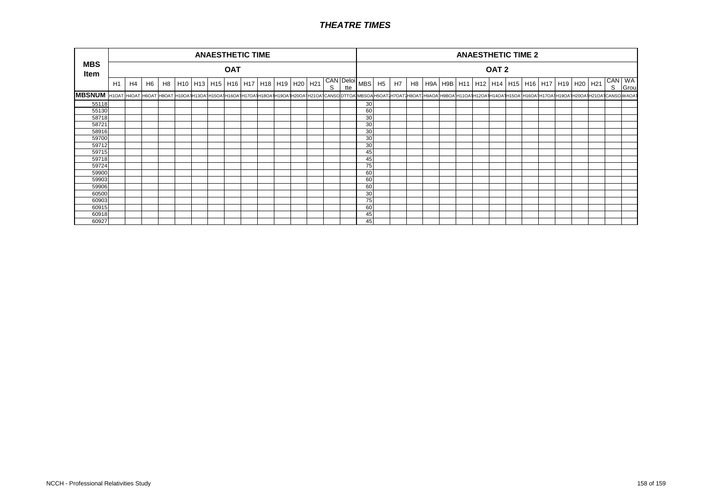|                    |    | <b>ANAESTHETIC TIME</b> |    |                |                                                     |  |  |            |  |  |  |  |  |   | <b>ANAESTHETIC TIME 2</b> |                  |                |           |                |  |                                                                 |  |  |  |  |  |  |  |  |  |   |                |
|--------------------|----|-------------------------|----|----------------|-----------------------------------------------------|--|--|------------|--|--|--|--|--|---|---------------------------|------------------|----------------|-----------|----------------|--|-----------------------------------------------------------------|--|--|--|--|--|--|--|--|--|---|----------------|
| <b>MBS</b><br>Item |    |                         |    |                |                                                     |  |  | <b>OAT</b> |  |  |  |  |  |   |                           | OAT <sub>2</sub> |                |           |                |  |                                                                 |  |  |  |  |  |  |  |  |  |   |                |
|                    | H1 | H4                      | H6 | H <sub>8</sub> | H10   H13   H15   H16   H17   H18   H19   H20   H21 |  |  |            |  |  |  |  |  | S | tte                       | CAN Deloi MBS    | H <sub>5</sub> | <b>H7</b> | H <sub>8</sub> |  | H9A   H9B   H11   H12   H14   H15   H16   H17   H19   H20   H21 |  |  |  |  |  |  |  |  |  | S | CAN WA<br>Grou |
|                    |    |                         |    |                |                                                     |  |  |            |  |  |  |  |  |   |                           |                  |                |           |                |  |                                                                 |  |  |  |  |  |  |  |  |  |   |                |
| 55118              |    |                         |    |                |                                                     |  |  |            |  |  |  |  |  |   |                           | 30               |                |           |                |  |                                                                 |  |  |  |  |  |  |  |  |  |   |                |
| 55130              |    |                         |    |                |                                                     |  |  |            |  |  |  |  |  |   |                           | 60               |                |           |                |  |                                                                 |  |  |  |  |  |  |  |  |  |   |                |
| 58718              |    |                         |    |                |                                                     |  |  |            |  |  |  |  |  |   |                           | 30               |                |           |                |  |                                                                 |  |  |  |  |  |  |  |  |  |   |                |
| 58721              |    |                         |    |                |                                                     |  |  |            |  |  |  |  |  |   |                           | 30               |                |           |                |  |                                                                 |  |  |  |  |  |  |  |  |  |   |                |
| 58916              |    |                         |    |                |                                                     |  |  |            |  |  |  |  |  |   |                           | 30               |                |           |                |  |                                                                 |  |  |  |  |  |  |  |  |  |   |                |
| 59700              |    |                         |    |                |                                                     |  |  |            |  |  |  |  |  |   |                           | 30               |                |           |                |  |                                                                 |  |  |  |  |  |  |  |  |  |   |                |
| 59712              |    |                         |    |                |                                                     |  |  |            |  |  |  |  |  |   |                           | 30               |                |           |                |  |                                                                 |  |  |  |  |  |  |  |  |  |   |                |
| 59715              |    |                         |    |                |                                                     |  |  |            |  |  |  |  |  |   |                           | 45               |                |           |                |  |                                                                 |  |  |  |  |  |  |  |  |  |   |                |
| 59718              |    |                         |    |                |                                                     |  |  |            |  |  |  |  |  |   |                           | 45               |                |           |                |  |                                                                 |  |  |  |  |  |  |  |  |  |   |                |
| 59724              |    |                         |    |                |                                                     |  |  |            |  |  |  |  |  |   |                           | 75               |                |           |                |  |                                                                 |  |  |  |  |  |  |  |  |  |   |                |
| 59900              |    |                         |    |                |                                                     |  |  |            |  |  |  |  |  |   |                           | 60               |                |           |                |  |                                                                 |  |  |  |  |  |  |  |  |  |   |                |
| 59903              |    |                         |    |                |                                                     |  |  |            |  |  |  |  |  |   |                           | 60               |                |           |                |  |                                                                 |  |  |  |  |  |  |  |  |  |   |                |
| 59906              |    |                         |    |                |                                                     |  |  |            |  |  |  |  |  |   |                           | 60               |                |           |                |  |                                                                 |  |  |  |  |  |  |  |  |  |   |                |
| 60500              |    |                         |    |                |                                                     |  |  |            |  |  |  |  |  |   |                           | 30               |                |           |                |  |                                                                 |  |  |  |  |  |  |  |  |  |   |                |
| 60903              |    |                         |    |                |                                                     |  |  |            |  |  |  |  |  |   |                           | 75               |                |           |                |  |                                                                 |  |  |  |  |  |  |  |  |  |   |                |
| 60915              |    |                         |    |                |                                                     |  |  |            |  |  |  |  |  |   |                           | 60               |                |           |                |  |                                                                 |  |  |  |  |  |  |  |  |  |   |                |
| 60918              |    |                         |    |                |                                                     |  |  |            |  |  |  |  |  |   |                           | 45               |                |           |                |  |                                                                 |  |  |  |  |  |  |  |  |  |   |                |
| 60927              |    |                         |    |                |                                                     |  |  |            |  |  |  |  |  |   |                           | 45               |                |           |                |  |                                                                 |  |  |  |  |  |  |  |  |  |   |                |